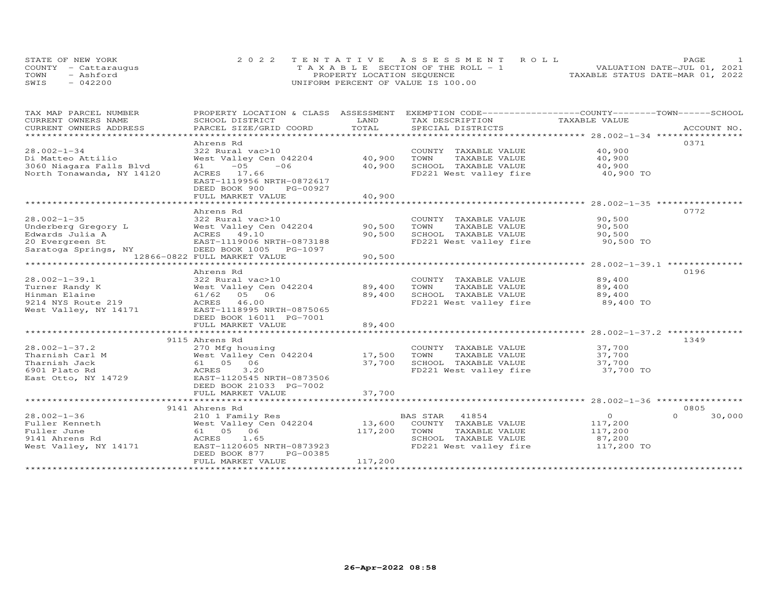| STATE OF NEW YORK    | 2022 TENTATIVE ASSESSMENT ROLL        | PAGE.                            |
|----------------------|---------------------------------------|----------------------------------|
| COUNTY - Cattaraugus | T A X A B L E SECTION OF THE ROLL - 1 | VALUATION DATE-JUL 01, 2021      |
| TOWN<br>- Ashford    | PROPERTY LOCATION SEQUENCE            | TAXABLE STATUS DATE-MAR 01, 2022 |
| $-042200$<br>SWIS    | UNIFORM PERCENT OF VALUE IS 100.00    |                                  |

| TAX MAP PARCEL NUMBER                                                                                                                |                              | LAND    | PROPERTY LOCATION & CLASS ASSESSMENT EXEMPTION CODE----------------COUNTY-------TOWN-----SCHOOL | TAXABLE VALUE  |                    |
|--------------------------------------------------------------------------------------------------------------------------------------|------------------------------|---------|-------------------------------------------------------------------------------------------------|----------------|--------------------|
| CURRENT OWNERS NAME                                                                                                                  | SCHOOL DISTRICT              |         | TAX DESCRIPTION                                                                                 |                |                    |
| .CURRENT OWNERS ADDRESS PARCEL SIZE/GRID COORD TOTAL SPECIAL DISTRICTS ACCOUNT NO ACCOUNT NO ACCOUNT NO ACCOUNT                      |                              |         |                                                                                                 |                |                    |
|                                                                                                                                      | Ahrens Rd                    |         |                                                                                                 |                | 0371               |
| $28.002 - 1 - 34$                                                                                                                    | 322 Rural vac>10             |         | COUNTY TAXABLE VALUE                                                                            | 40,900         |                    |
| Di Matteo Attilio                                                                                                                    | West Valley Cen 042204       | 40,900  | TOWN<br>TAXABLE VALUE                                                                           | 40,900         |                    |
| 3060 Niagara Falls Blvd                                                                                                              | $61 - 05$<br>$-06$           | 40,900  | SCHOOL TAXABLE VALUE                                                                            | 40,900         |                    |
| North Tonawanda, NY 14120                                                                                                            | ACRES 17.66                  |         | FD221 West valley fire 40,900 TO                                                                |                |                    |
|                                                                                                                                      | EAST-1119956 NRTH-0872617    |         |                                                                                                 |                |                    |
|                                                                                                                                      | DEED BOOK 900<br>PG-00927    |         |                                                                                                 |                |                    |
|                                                                                                                                      | FULL MARKET VALUE            | 40,900  |                                                                                                 |                |                    |
|                                                                                                                                      |                              |         |                                                                                                 |                |                    |
|                                                                                                                                      | Ahrens Rd                    |         |                                                                                                 |                | 0772               |
| $28.002 - 1 - 35$                                                                                                                    | 322 Rural vac>10             |         | COUNTY TAXABLE VALUE 90,500                                                                     |                |                    |
|                                                                                                                                      |                              |         | TOWN<br>TAXABLE VALUE                                                                           | 90,500         |                    |
| Underberg Gregory L West Valley Cen 042204 90,500<br>Edwards Julia A ACRES 49.10 90,500<br>20 Evergreen St EAST-1119006 NRTH-0873188 |                              |         | SCHOOL TAXABLE VALUE<br>FD221 West valley fire 90,500 TO                                        | 90,500         |                    |
| Saratoga Springs, NY                                                                                                                 | DEED BOOK 1005 PG-1097       |         |                                                                                                 |                |                    |
|                                                                                                                                      | 12866-0822 FULL MARKET VALUE | 90,500  |                                                                                                 |                |                    |
|                                                                                                                                      |                              |         |                                                                                                 |                |                    |
|                                                                                                                                      | Ahrens Rd                    |         |                                                                                                 |                | 0196               |
| $28.002 - 1 - 39.1$                                                                                                                  | 322 Rural vac>10             |         | COUNTY TAXABLE VALUE                                                                            | 89,400         |                    |
| Turner Randy K                                                                                                                       | West Valley Cen 042204       | 89,400  | TAXABLE VALUE<br>TOWN                                                                           | 89,400         |                    |
| Hinman Elaine                                                                                                                        | 61/62 05 06                  | 89,400  | SCHOOL TAXABLE VALUE                                                                            | 89,400         |                    |
| 9214 NYS Route 219                                                                                                                   | ACRES 46.00                  |         | FD221 West valley fire                                                                          | 89,400 TO      |                    |
| West Valley, NY 14171                                                                                                                | EAST-1118995 NRTH-0875065    |         |                                                                                                 |                |                    |
|                                                                                                                                      | DEED BOOK 16011 PG-7001      |         |                                                                                                 |                |                    |
|                                                                                                                                      | FULL MARKET VALUE            | 89,400  |                                                                                                 |                |                    |
|                                                                                                                                      |                              |         |                                                                                                 |                |                    |
|                                                                                                                                      | 9115 Ahrens Rd               |         |                                                                                                 |                | 1349               |
| $28.002 - 1 - 37.2$                                                                                                                  | 270 Mfg housing              |         | COUNTY TAXABLE VALUE                                                                            | 37,700         |                    |
| Tharnish Carl M                                                                                                                      | West Valley Cen 042204       | 17,500  | TAXABLE VALUE<br>TOWN                                                                           | 37,700         |                    |
| Tharnish Jack                                                                                                                        | 61 05 06                     | 37,700  | SCHOOL TAXABLE VALUE                                                                            | 37,700         |                    |
| 6901 Plato Rd                                                                                                                        | ACRES<br>3,20                |         | FD221 West valley fire 37,700 TO                                                                |                |                    |
| East Otto, NY 14729                                                                                                                  | EAST-1120545 NRTH-0873506    |         |                                                                                                 |                |                    |
|                                                                                                                                      | DEED BOOK 21033 PG-7002      | 37,700  |                                                                                                 |                |                    |
|                                                                                                                                      | FULL MARKET VALUE            |         |                                                                                                 |                |                    |
|                                                                                                                                      | 9141 Ahrens Rd               |         |                                                                                                 |                | 0805               |
| $28.002 - 1 - 36$                                                                                                                    | 210 1 Family Res             |         | BAS STAR<br>41854                                                                               | $\overline{O}$ | $\Omega$<br>30,000 |
| Fuller Kenneth                                                                                                                       | West Valley Cen 042204       | 13,600  | COUNTY TAXABLE VALUE                                                                            | 117,200        |                    |
| Fuller June                                                                                                                          | 61 05 06                     | 117,200 | TOWN<br>TAXABLE VALUE                                                                           | 117,200        |                    |
| 9141 Ahrens Rd                                                                                                                       | 1.65<br>ACRES                |         | SCHOOL TAXABLE VALUE                                                                            | 87,200         |                    |
| West Valley, NY 14171                                                                                                                | EAST-1120605 NRTH-0873923    |         | FD221 West valley fire                                                                          | 117,200 TO     |                    |
|                                                                                                                                      | DEED BOOK 877<br>PG-00385    |         |                                                                                                 |                |                    |
|                                                                                                                                      | FULL MARKET VALUE            | 117,200 |                                                                                                 |                |                    |
|                                                                                                                                      |                              |         |                                                                                                 |                |                    |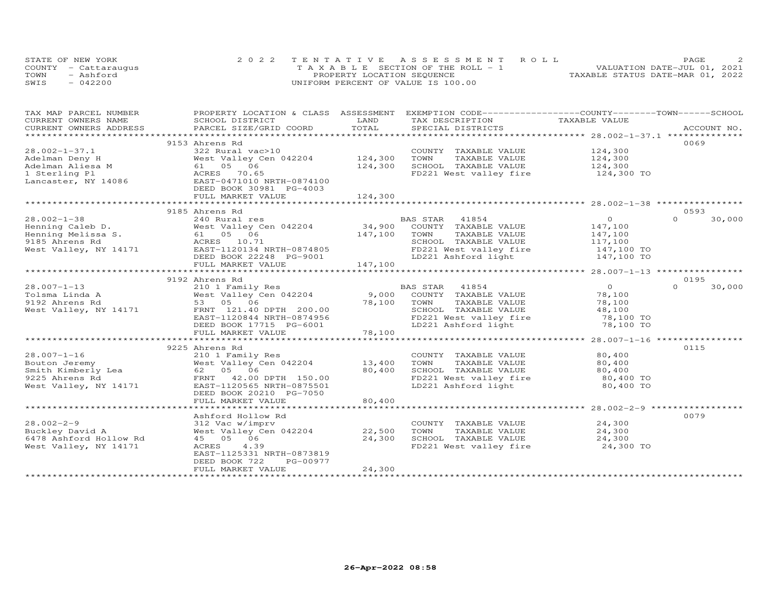| STATE OF NEW YORK    |           | 2022 TENTATIVE ASSESSMENT ROLL        |  |  |                                  | PAGE. |  |
|----------------------|-----------|---------------------------------------|--|--|----------------------------------|-------|--|
| COUNTY - Cattaraugus |           | T A X A B L E SECTION OF THE ROLL - 1 |  |  | VALUATION DATE-JUL 01, 2021      |       |  |
| TOWN                 | - Ashford | PROPERTY LOCATION SEQUENCE            |  |  | TAXABLE STATUS DATE-MAR 01, 2022 |       |  |
| SWIS                 | $-042200$ | UNIFORM PERCENT OF VALUE IS 100.00    |  |  |                                  |       |  |

| TAX MAP PARCEL NUMBER                                                                                                                                                                                                          |                                                       |                      | PROPERTY LOCATION & CLASS ASSESSMENT EXEMPTION CODE----------------COUNTY-------TOWN-----SCHOOL |                            |                    |
|--------------------------------------------------------------------------------------------------------------------------------------------------------------------------------------------------------------------------------|-------------------------------------------------------|----------------------|-------------------------------------------------------------------------------------------------|----------------------------|--------------------|
| CURRENT OWNERS NAME                                                                                                                                                                                                            | SCHOOL DISTRICT                                       | LAND                 | TAX DESCRIPTION                                                                                 | TAXABLE VALUE              |                    |
| .CURRENT OWNERS ADDRESS PARCEL SIZE/GRID COORD TOTAL SPECIAL DISTRICTS ACCOUNT NO ACCOUNT NO ARCOUNT NO ARE THE SERVER AND THE SERVER ASSESS THE SERVER SERVER AND THE SERVER SERVER AND THE SERVER SERVER AND THE SERVER SERV |                                                       |                      |                                                                                                 |                            |                    |
|                                                                                                                                                                                                                                |                                                       |                      |                                                                                                 |                            |                    |
|                                                                                                                                                                                                                                | 9153 Ahrens Rd                                        |                      |                                                                                                 |                            | 0069               |
| $28.002 - 1 - 37.1$                                                                                                                                                                                                            | 322 Rural vac>10                                      |                      | COUNTY TAXABLE VALUE                                                                            | 124,300                    |                    |
|                                                                                                                                                                                                                                | West Valley Cen 042204 124,300                        |                      | TOWN<br>TAXABLE VALUE                                                                           | 124,300                    |                    |
|                                                                                                                                                                                                                                |                                                       | 124,300              | SCHOOL TAXABLE VALUE 124,300                                                                    |                            |                    |
|                                                                                                                                                                                                                                |                                                       |                      | FD221 West valley fire 124,300 TO                                                               |                            |                    |
| Adelman Deny H West Valley Cen 042204<br>Adelman Aliesa M 61 05 06<br>1 Sterling Pl ACRES 70.65<br>Lancaster, NY 14086 EAST-0471010 NRTH-0874100                                                                               |                                                       |                      |                                                                                                 |                            |                    |
|                                                                                                                                                                                                                                | DEED BOOK 30981 PG-4003                               |                      |                                                                                                 |                            |                    |
|                                                                                                                                                                                                                                | FULL MARKET VALUE                                     | 124,300              |                                                                                                 |                            |                    |
|                                                                                                                                                                                                                                |                                                       |                      |                                                                                                 |                            |                    |
|                                                                                                                                                                                                                                | 9185 Ahrens Rd                                        |                      |                                                                                                 |                            | 0.593              |
| $28.002 - 1 - 38$                                                                                                                                                                                                              |                                                       |                      |                                                                                                 | $\overline{O}$             | $\Omega$<br>30,000 |
|                                                                                                                                                                                                                                |                                                       |                      |                                                                                                 | 147,100                    |                    |
|                                                                                                                                                                                                                                |                                                       | 147,100 TOWN         | TAXABLE VALUE                                                                                   | 147,100                    |                    |
|                                                                                                                                                                                                                                |                                                       |                      | SCHOOL TAXABLE VALUE                                                                            | 117,100                    |                    |
|                                                                                                                                                                                                                                |                                                       |                      | FD221 West valley fire 147,100 TO                                                               |                            |                    |
|                                                                                                                                                                                                                                | DEED BOOK 22248 PG-9001                               |                      | LD221 Ashford light                                                                             | 147,100 TO                 |                    |
|                                                                                                                                                                                                                                | FULL MARKET VALUE                                     | 147,100              |                                                                                                 |                            |                    |
|                                                                                                                                                                                                                                |                                                       |                      |                                                                                                 |                            |                    |
|                                                                                                                                                                                                                                | 9192 Ahrens Rd                                        |                      |                                                                                                 |                            | 0195               |
| $28.007 - 1 - 13$                                                                                                                                                                                                              |                                                       |                      |                                                                                                 | $\overline{O}$             | $\Omega$<br>30,000 |
| Tolsma Linda A                                                                                                                                                                                                                 |                                                       |                      |                                                                                                 | 78,100                     |                    |
| 9192 Ahrens Rd                                                                                                                                                                                                                 | West Valle,<br>53 05 06<br>FRNT 121.40<br>FRNT 121.40 |                      | TAXABLE VALUE                                                                                   | 78,100                     |                    |
| West Valley, NY 14171                                                                                                                                                                                                          | FRNT 121.40 DPTH 200.00                               | 78,100 TOWN<br>SCHOC | SCHOOL TAXABLE VALUE                                                                            | 48,100                     |                    |
|                                                                                                                                                                                                                                | EAST-1120844 NRTH-0874956                             |                      | FD221 West valley fire 78,100 TO                                                                |                            |                    |
|                                                                                                                                                                                                                                | DEED BOOK 17715 PG-6001                               |                      | LD221 Ashford light                                                                             | 78,100 TO                  |                    |
|                                                                                                                                                                                                                                | FULL MARKET VALUE                                     | 78,100               |                                                                                                 |                            |                    |
|                                                                                                                                                                                                                                |                                                       |                      |                                                                                                 |                            |                    |
|                                                                                                                                                                                                                                | 9225 Ahrens Rd                                        |                      |                                                                                                 |                            | 0115               |
| $28.007 - 1 - 16$                                                                                                                                                                                                              | 210 1 Family Res                                      |                      | COUNTY TAXABLE VALUE                                                                            | 80,400                     |                    |
|                                                                                                                                                                                                                                | West Valley Cen 042204 13,400                         |                      | TOWN<br>TAXABLE VALUE                                                                           | 80,400                     |                    |
|                                                                                                                                                                                                                                |                                                       | 80,400               |                                                                                                 |                            |                    |
|                                                                                                                                                                                                                                |                                                       |                      | SCHOOL TAXABLE VALUE<br>FD221 West valley fire                                                  | $80,400$ TO<br>$80,400$ TO |                    |
| West Valley, NY 14171                                                                                                                                                                                                          | EAST-1120565 NRTH-0875501                             |                      | LD221 Ashford light                                                                             | 80,400 TO                  |                    |
|                                                                                                                                                                                                                                | DEED BOOK 20210 PG-7050                               |                      |                                                                                                 |                            |                    |
|                                                                                                                                                                                                                                | FULL MARKET VALUE                                     | 80,400               |                                                                                                 |                            |                    |
|                                                                                                                                                                                                                                |                                                       |                      |                                                                                                 |                            |                    |
|                                                                                                                                                                                                                                | Ashford Hollow Rd                                     |                      |                                                                                                 |                            | 0079               |
| $28.002 - 2 - 9$                                                                                                                                                                                                               | 312 Vac w/imprv                                       |                      | COUNTY TAXABLE VALUE                                                                            | 24,300                     |                    |
| Buckley David A                                                                                                                                                                                                                | West Valley Cen 042204 22,500                         |                      | TAXABLE VALUE<br>TOWN                                                                           | 24,300                     |                    |
| 6478 Ashford Hollow Rd                                                                                                                                                                                                         | 45 05 06                                              | 24,300               |                                                                                                 | 24,300                     |                    |
| West Valley, NY 14171                                                                                                                                                                                                          | ACRES<br>4.39                                         |                      | SCHOOL TAXABLE VALUE<br>FD221 West valley fire                                                  | $24,300$ TO                |                    |
|                                                                                                                                                                                                                                | EAST-1125331 NRTH-0873819                             |                      |                                                                                                 |                            |                    |
|                                                                                                                                                                                                                                | PG-00977<br>DEED BOOK 722                             |                      |                                                                                                 |                            |                    |
|                                                                                                                                                                                                                                | FULL MARKET VALUE                                     | 24,300               |                                                                                                 |                            |                    |
|                                                                                                                                                                                                                                |                                                       |                      |                                                                                                 |                            |                    |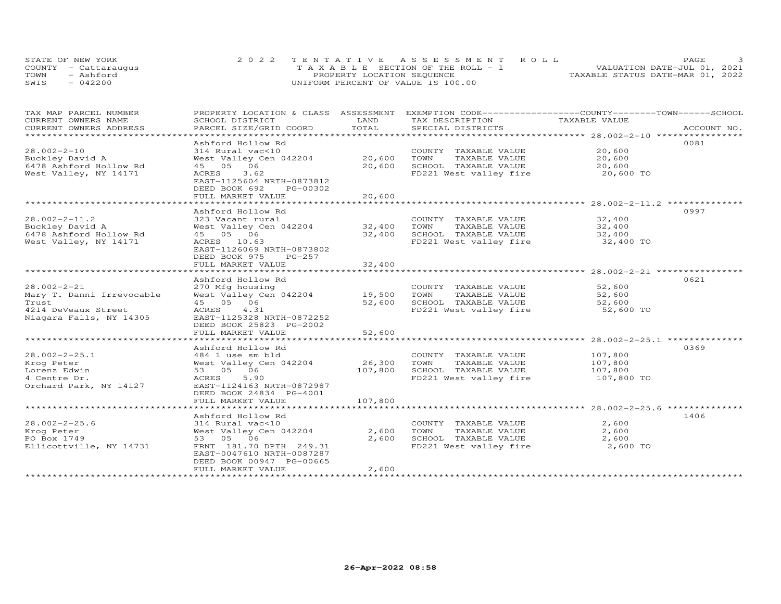| STATE OF NEW YORK    | 2022 TENTATIVE ASSESSMENT ROLL        | PAGE                             |
|----------------------|---------------------------------------|----------------------------------|
| COUNTY - Cattaraugus | T A X A B L E SECTION OF THE ROLL - 1 | VALUATION DATE-JUL 01, 2021      |
| TOWN<br>- Ashford    | PROPERTY LOCATION SEQUENCE            | TAXABLE STATUS DATE-MAR 01, 2022 |
| $-042200$<br>SWIS    | UNIFORM PERCENT OF VALUE IS 100.00    |                                  |

| TAX MAP PARCEL NUMBER<br>CURRENT OWNERS NAME | PROPERTY LOCATION & CLASS ASSESSMENT<br>SCHOOL DISTRICT | LAND           | EXEMPTION CODE-----------------COUNTY-------TOWN------SCHOOL<br>TAX DESCRIPTION | TAXABLE VALUE         |             |
|----------------------------------------------|---------------------------------------------------------|----------------|---------------------------------------------------------------------------------|-----------------------|-------------|
| CURRENT OWNERS ADDRESS                       | PARCEL SIZE/GRID COORD                                  | TOTAL          | SPECIAL DISTRICTS                                                               |                       | ACCOUNT NO. |
| **********************                       |                                                         |                |                                                                                 |                       |             |
|                                              | Ashford Hollow Rd                                       |                |                                                                                 |                       | 0081        |
| $28.002 - 2 - 10$                            | 314 Rural vac<10                                        |                | COUNTY TAXABLE VALUE                                                            | 20,600                |             |
| Buckley David A                              | West Valley Cen 042204                                  | 20,600         | TOWN<br>TAXABLE VALUE                                                           | 20,600                |             |
| 6478 Ashford Hollow Rd                       | 06<br>45 05                                             | 20,600         | SCHOOL TAXABLE VALUE                                                            | 20,600                |             |
| West Valley, NY 14171                        | 3.62<br>ACRES                                           |                | FD221 West valley fire                                                          | 20,600 TO             |             |
|                                              | EAST-1125604 NRTH-0873812<br>DEED BOOK 692<br>PG-00302  |                |                                                                                 |                       |             |
|                                              | FULL MARKET VALUE                                       | 20,600         |                                                                                 |                       |             |
|                                              |                                                         | ************   |                                                                                 |                       |             |
|                                              | Ashford Hollow Rd                                       |                |                                                                                 |                       | 0997        |
| $28.002 - 2 - 11.2$                          | 323 Vacant rural                                        |                | COUNTY TAXABLE VALUE                                                            | 32,400                |             |
| Buckley David A                              | West Valley Cen 042204                                  | 32,400         | TOWN<br>TAXABLE VALUE                                                           | 32,400                |             |
| 6478 Ashford Hollow Rd                       | 45 05 06                                                | 32,400         | SCHOOL TAXABLE VALUE                                                            | 32,400                |             |
| West Valley, NY 14171                        | ACRES 10.63                                             |                | FD221 West valley fire                                                          | 32,400 TO             |             |
|                                              | EAST-1126069 NRTH-0873802                               |                |                                                                                 |                       |             |
|                                              | DEED BOOK 975<br>PG-257                                 |                |                                                                                 |                       |             |
|                                              | FULL MARKET VALUE                                       | 32,400         |                                                                                 |                       |             |
|                                              |                                                         |                |                                                                                 |                       |             |
|                                              | Ashford Hollow Rd                                       |                |                                                                                 |                       | 0621        |
| $28.002 - 2 - 21$                            | 270 Mfg housing                                         |                | COUNTY TAXABLE VALUE                                                            | 52,600                |             |
| Mary T. Danni Irrevocable                    | West Valley Cen 042204                                  | 19,500         | TOWN<br>TAXABLE VALUE                                                           | 52,600                |             |
| Trust                                        | 45 05 06                                                | 52,600         | SCHOOL TAXABLE VALUE                                                            | 52,600                |             |
| 4214 DeVeaux Street                          | ACRES<br>4.31                                           |                | FD221 West valley fire                                                          | 52,600 TO             |             |
| Niagara Falls, NY 14305                      | EAST-1125328 NRTH-0872252                               |                |                                                                                 |                       |             |
|                                              | DEED BOOK 25823 PG-2002                                 |                |                                                                                 |                       |             |
|                                              | FULL MARKET VALUE<br>******************************     | 52,600         |                                                                                 |                       |             |
|                                              |                                                         | ************** |                                                                                 |                       |             |
|                                              | Ashford Hollow Rd                                       |                |                                                                                 |                       | 0369        |
| $28.002 - 2 - 25.1$                          | 484 1 use sm bld                                        |                | COUNTY TAXABLE VALUE                                                            | 107,800               |             |
| Krog Peter                                   | West Valley Cen 042204                                  | 26,300         | TOWN<br>TAXABLE VALUE                                                           | 107,800               |             |
| Lorenz Edwin<br>4 Centre Dr.                 | 53 05 06<br>5.90                                        | 107,800        | SCHOOL TAXABLE VALUE<br>FD221 West valley fire                                  | 107,800<br>107,800 TO |             |
| Orchard Park, NY 14127                       | ACRES<br>EAST-1124163 NRTH-0872987                      |                |                                                                                 |                       |             |
|                                              | DEED BOOK 24834 PG-4001                                 |                |                                                                                 |                       |             |
|                                              | FULL MARKET VALUE                                       | 107,800        |                                                                                 |                       |             |
|                                              |                                                         |                |                                                                                 |                       |             |
|                                              | Ashford Hollow Rd                                       |                |                                                                                 |                       | 1406        |
| $28.002 - 2 - 25.6$                          | 314 Rural vac<10                                        |                | COUNTY TAXABLE VALUE                                                            | 2,600                 |             |
| Krog Peter                                   | West Valley Cen 042204                                  | 2,600          | TAXABLE VALUE<br>TOWN                                                           | 2,600                 |             |
| PO Box 1749                                  | 53 05 06                                                | 2,600          | SCHOOL TAXABLE VALUE                                                            | 2,600                 |             |
| Ellicottville, NY 14731                      | FRNT 181.70 DPTH 249.31                                 |                | FD221 West valley fire                                                          | 2,600 TO              |             |
|                                              | EAST-0047610 NRTH-0087287                               |                |                                                                                 |                       |             |
|                                              | DEED BOOK 00947 PG-00665                                |                |                                                                                 |                       |             |
|                                              | FULL MARKET VALUE                                       | 2,600          |                                                                                 |                       |             |
|                                              |                                                         |                |                                                                                 |                       |             |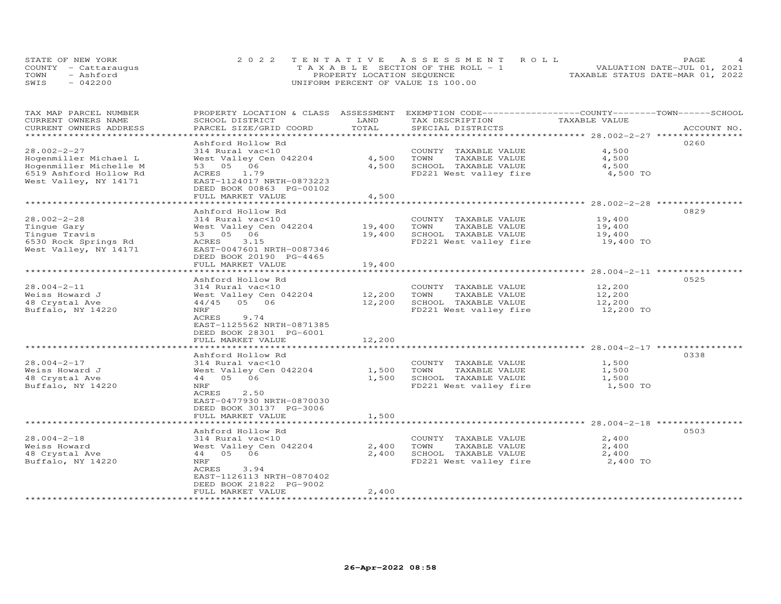| STATE OF NEW YORK    | 2022 TENTATIVE ASSESSMENT ROLL        | PAGE.                            |  |
|----------------------|---------------------------------------|----------------------------------|--|
| COUNTY - Cattaraugus | T A X A B L E SECTION OF THE ROLL - 1 | VALUATION DATE-JUL 01, 2021      |  |
| TOWN<br>- Ashford    | PROPERTY LOCATION SEQUENCE            | TAXABLE STATUS DATE-MAR 01, 2022 |  |
| SWIS<br>$-042200$    | UNIFORM PERCENT OF VALUE IS 100.00    |                                  |  |

| TAX MAP PARCEL NUMBER<br>CURRENT OWNERS NAME<br>CURRENT OWNERS ADDRESS                                                  | PROPERTY LOCATION & CLASS ASSESSMENT EXEMPTION CODE-----------------COUNTY-------TOWN------SCHOOL<br>SCHOOL DISTRICT<br>PARCEL SIZE/GRID COORD                                      | LAND<br>TOTAL              | TAX DESCRIPTION<br>SPECIAL DISTRICTS                                                            | TAXABLE VALUE                           | ACCOUNT NO. |
|-------------------------------------------------------------------------------------------------------------------------|-------------------------------------------------------------------------------------------------------------------------------------------------------------------------------------|----------------------------|-------------------------------------------------------------------------------------------------|-----------------------------------------|-------------|
| ****************                                                                                                        |                                                                                                                                                                                     |                            |                                                                                                 |                                         |             |
| $28.002 - 2 - 27$<br>Hogenmiller Michael L<br>Hogenmiller Michelle M<br>6519 Ashford Hollow Rd<br>West Valley, NY 14171 | Ashford Hollow Rd<br>314 Rural vac<10<br>West Valley Cen 042204<br>53 05 06<br>ACRES 1.79<br>EAST-1124017 NRTH-0873223<br>DEED BOOK 00863 PG-00102<br>FULL MARKET VALUE             | 4,500<br>4,500<br>4,500    | COUNTY TAXABLE VALUE<br>TOWN<br>TAXABLE VALUE<br>SCHOOL TAXABLE VALUE<br>FD221 West valley fire | 4,500<br>4,500<br>4,500<br>4,500 TO     | 0260        |
|                                                                                                                         |                                                                                                                                                                                     |                            |                                                                                                 |                                         |             |
| $28.002 - 2 - 28$<br>Tingue Gary<br>Tinque Travis<br>6530 Rock Springs Rd<br>West Valley, NY 14171                      | Ashford Hollow Rd<br>314 Rural vac<10<br>West Valley Cen 042204<br>53 05 06<br>ACRES<br>3.15<br>EAST-0047601 NRTH-0087346<br>DEED BOOK 20190 PG-4465<br>FULL MARKET VALUE           | 19,400<br>19,400<br>19,400 | COUNTY TAXABLE VALUE<br>TAXABLE VALUE<br>TOWN<br>SCHOOL TAXABLE VALUE<br>FD221 West valley fire | 19,400<br>19,400<br>19,400<br>19,400 TO | 0829        |
|                                                                                                                         |                                                                                                                                                                                     |                            |                                                                                                 |                                         |             |
| $28.004 - 2 - 11$<br>Weiss Howard J<br>48 Crystal Ave<br>Buffalo, NY 14220                                              | Ashford Hollow Rd<br>314 Rural vac<10<br>West Valley Cen 042204<br>44/45 05 06<br>NRF<br>ACRES<br>9.74<br>EAST-1125562 NRTH-0871385<br>DEED BOOK 28301 PG-6001<br>FULL MARKET VALUE | 12,200<br>12,200<br>12,200 | COUNTY TAXABLE VALUE<br>TAXABLE VALUE<br>TOWN<br>SCHOOL TAXABLE VALUE<br>FD221 West valley fire | 12,200<br>12,200<br>12,200<br>12,200 TO | 0525        |
|                                                                                                                         | Ashford Hollow Rd                                                                                                                                                                   |                            |                                                                                                 |                                         | 0338        |
| $28.004 - 2 - 17$<br>Weiss Howard J<br>48 Crystal Ave<br>Buffalo, NY 14220                                              | 314 Rural vac<10<br>West Valley Cen 042204<br>44 05 06<br>NRF<br>2.50<br>ACRES<br>EAST-0477930 NRTH-0870030                                                                         | 1,500<br>1,500             | COUNTY TAXABLE VALUE<br>TOWN<br>TAXABLE VALUE<br>SCHOOL TAXABLE VALUE<br>FD221 West valley fire | 1,500<br>1,500<br>1,500<br>1,500 TO     |             |
|                                                                                                                         | DEED BOOK 30137 PG-3006                                                                                                                                                             |                            |                                                                                                 |                                         |             |
|                                                                                                                         | FULL MARKET VALUE<br>**************************                                                                                                                                     | 1,500                      |                                                                                                 |                                         |             |
| $28.004 - 2 - 18$<br>Weiss Howard<br>48 Crystal Ave<br>Buffalo, NY 14220                                                | Ashford Hollow Rd<br>314 Rural vac<10<br>West Valley Cen 042204<br>44 05 06<br>NRF<br>ACRES<br>3.94<br>EAST-1126113 NRTH-0870402<br>DEED BOOK 21822 PG-9002<br>FULL MARKET VALUE    | 2,400<br>2,400<br>2,400    | COUNTY TAXABLE VALUE<br>TOWN<br>TAXABLE VALUE<br>SCHOOL TAXABLE VALUE<br>FD221 West valley fire | 2,400<br>2,400<br>2,400<br>2,400 TO     | 0503        |
|                                                                                                                         |                                                                                                                                                                                     |                            |                                                                                                 |                                         |             |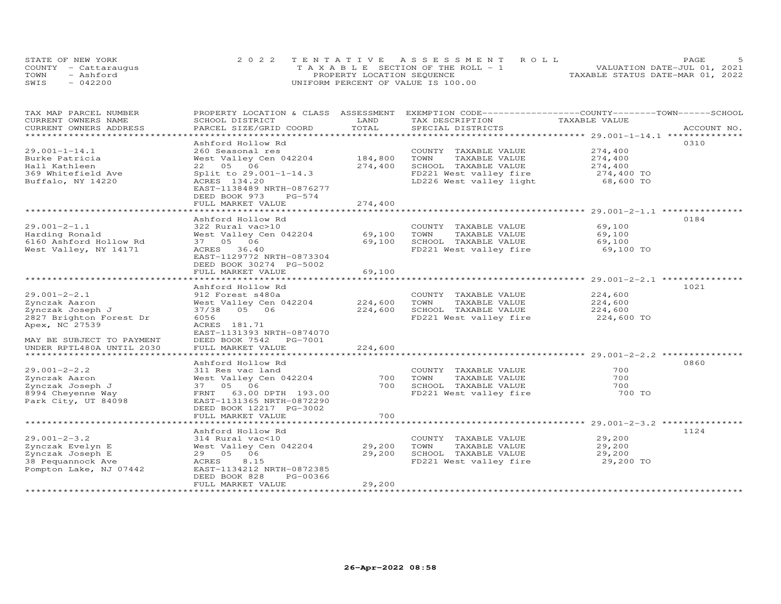| STATE OF NEW YORK    | 2022 TENTATIVE ASSESSMENT ROLL        |  |                                  | PAGE.                       |  |
|----------------------|---------------------------------------|--|----------------------------------|-----------------------------|--|
| COUNTY - Cattaraugus | T A X A B L E SECTION OF THE ROLL - 1 |  |                                  | VALUATION DATE-JUL 01, 2021 |  |
| TOWN<br>- Ashford    | PROPERTY LOCATION SEQUENCE            |  | TAXABLE STATUS DATE-MAR 01, 2022 |                             |  |
| $-042200$<br>SWIS    | UNIFORM PERCENT OF VALUE IS 100.00    |  |                                  |                             |  |

| TAX MAP PARCEL NUMBER<br>CURRENT OWNERS NAME<br>CURRENT OWNERS ADDRESS                                                                                         | PROPERTY LOCATION & CLASS ASSESSMENT<br>SCHOOL DISTRICT<br>PARCEL SIZE/GRID COORD                                                                                                                    | LAND<br>TOTAL                 | EXEMPTION CODE-----------------COUNTY-------TOWN------SCHOOL<br>TAX DESCRIPTION<br>SPECIAL DISTRICTS                       | TAXABLE VALUE                                            | ACCOUNT NO. |
|----------------------------------------------------------------------------------------------------------------------------------------------------------------|------------------------------------------------------------------------------------------------------------------------------------------------------------------------------------------------------|-------------------------------|----------------------------------------------------------------------------------------------------------------------------|----------------------------------------------------------|-------------|
| ******************************                                                                                                                                 |                                                                                                                                                                                                      |                               |                                                                                                                            |                                                          |             |
| $29.001 - 1 - 14.1$<br>Burke Patricia<br>Hall Kathleen<br>369 Whitefield Ave<br>Buffalo, NY 14220                                                              | Ashford Hollow Rd<br>260 Seasonal res<br>West Valley Cen 042204<br>22 05 06<br>Split to 29.001-1-14.3<br>ACRES 134.20<br>EAST-1138489 NRTH-0876277<br>DEED BOOK 973<br>$PG-574$<br>FULL MARKET VALUE | 184,800<br>274,400<br>274,400 | COUNTY TAXABLE VALUE<br>TOWN<br>TAXABLE VALUE<br>SCHOOL TAXABLE VALUE<br>FD221 West valley fire<br>LD226 West valley light | 274,400<br>274,400<br>274,400<br>274,400 TO<br>68,600 TO | 0310        |
|                                                                                                                                                                | Ashford Hollow Rd                                                                                                                                                                                    |                               |                                                                                                                            |                                                          | 0184        |
| $29.001 - 2 - 1.1$<br>Harding Ronald<br>6160 Ashford Hollow Rd<br>West Valley, NY 14171                                                                        | 322 Rural vac>10<br>West Valley Cen 042204<br>37 05 06<br>ACRES 36.40<br>EAST-1129772 NRTH-0873304<br>DEED BOOK 30274 PG-5002                                                                        | 69,100<br>69,100              | COUNTY TAXABLE VALUE<br>TAXABLE VALUE<br>TOWN<br>SCHOOL TAXABLE VALUE<br>FD221 West valley fire                            | 69,100<br>69,100<br>69,100<br>69,100 TO                  |             |
|                                                                                                                                                                | FULL MARKET VALUE<br>* * * * * * * * * * * * * * * * * *                                                                                                                                             | 69,100                        |                                                                                                                            | **************** 29.001-2-2.1 *********                  |             |
| $29.001 - 2 - 2.1$<br>Zynczak Aaron<br>Zynczak Joseph J<br>2827 Brighton Forest Dr<br>Apex, NC 27539<br>MAY BE SUBJECT TO PAYMENT<br>UNDER RPTL480A UNTIL 2030 | Ashford Hollow Rd<br>912 Forest s480a<br>West Valley Cen 042204<br>37/38 05 06<br>6056<br>ACRES 181.71<br>EAST-1131393 NRTH-0874070<br>DEED BOOK 7542 PG-7001<br>FULL MARKET VALUE                   | 224,600<br>224,600<br>224,600 | COUNTY TAXABLE VALUE<br>TOWN<br>TAXABLE VALUE<br>SCHOOL TAXABLE VALUE<br>FD221 West valley fire                            | 224,600<br>224,600<br>224,600<br>224,600 TO              | 1021        |
|                                                                                                                                                                | Ashford Hollow Rd                                                                                                                                                                                    |                               |                                                                                                                            |                                                          | 0860        |
| $29.001 - 2 - 2.2$<br>Zynczak Aaron<br>Zynczak Joseph J<br>8994 Cheyenne Way<br>Park City, UT 84098                                                            | 311 Res vac land<br>West Valley Cen 042204<br>37  05  06<br>FRNT 63.00 DPTH 193.00<br>EAST-1131365 NRTH-0872290<br>DEED BOOK 12217 PG-3002<br>FULL MARKET VALUE                                      | 700<br>700<br>700             | COUNTY TAXABLE VALUE<br>TAXABLE VALUE<br>TOWN<br>SCHOOL TAXABLE VALUE<br>FD221 West valley fire                            | 700<br>700<br>700<br>700 TO                              |             |
|                                                                                                                                                                |                                                                                                                                                                                                      |                               |                                                                                                                            |                                                          |             |
| $29.001 - 2 - 3.2$<br>Zynczak Evelyn E<br>Zynczak Joseph E<br>38 Pequannock Ave<br>Pompton Lake, NJ 07442                                                      | Ashford Hollow Rd<br>314 Rural vac<10<br>West Valley Cen 042204<br>29 05 06<br>8.15<br>ACRES<br>EAST-1134212 NRTH-0872385<br>DEED BOOK 828<br>PG-00366<br>FULL MARKET VALUE                          | 29,200<br>29,200<br>29,200    | COUNTY TAXABLE VALUE<br>TOWN<br>TAXABLE VALUE<br>SCHOOL TAXABLE VALUE<br>FD221 West valley fire                            | 29,200<br>29,200<br>29,200<br>29,200 TO                  | 1124        |
| ********************                                                                                                                                           |                                                                                                                                                                                                      |                               |                                                                                                                            |                                                          |             |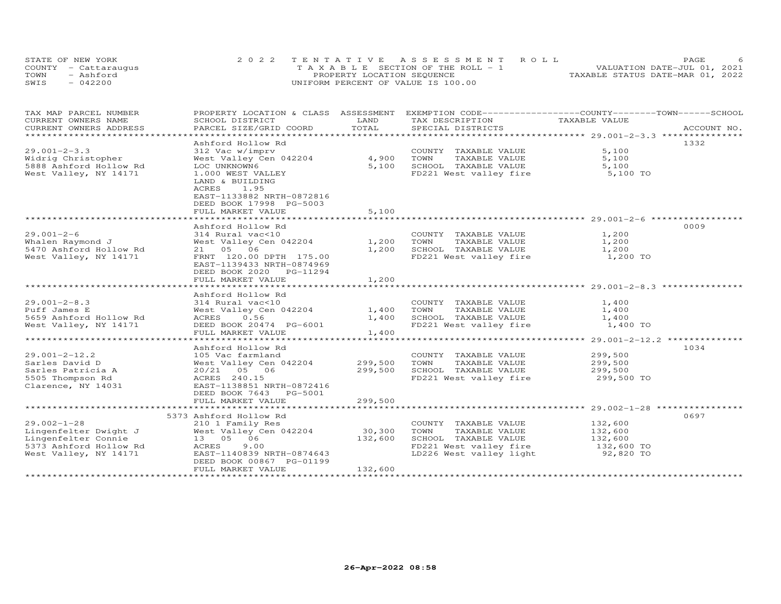| STATE OF NEW YORK    | 2022 TENTATIVE ASSESSMENT ROLL        | PAGE.                            |  |
|----------------------|---------------------------------------|----------------------------------|--|
| COUNTY - Cattaraugus | T A X A B L E SECTION OF THE ROLL - 1 | VALUATION DATE-JUL 01, 2021      |  |
| TOWN<br>- Ashford    | PROPERTY LOCATION SEQUENCE            | TAXABLE STATUS DATE-MAR 01, 2022 |  |
| SWIS<br>$-042200$    | UNIFORM PERCENT OF VALUE IS 100.00    |                                  |  |

| TAX MAP PARCEL NUMBER<br>CURRENT OWNERS NAME  | PROPERTY LOCATION & CLASS ASSESSMENT<br>SCHOOL DISTRICT | LAND    | EXEMPTION CODE-----------------COUNTY-------TOWN------SCHOOL<br>TAX DESCRIPTION | TAXABLE VALUE         |             |
|-----------------------------------------------|---------------------------------------------------------|---------|---------------------------------------------------------------------------------|-----------------------|-------------|
| CURRENT OWNERS ADDRESS                        | PARCEL SIZE/GRID COORD                                  | TOTAL   | SPECIAL DISTRICTS                                                               |                       | ACCOUNT NO. |
|                                               |                                                         |         |                                                                                 |                       |             |
|                                               | Ashford Hollow Rd                                       |         |                                                                                 |                       | 1332        |
| $29.001 - 2 - 3.3$                            | 312 Vac w/imprv                                         | 4,900   | COUNTY TAXABLE VALUE<br>TOWN                                                    | 5,100<br>5,100        |             |
| Widrig Christopher<br>5888 Ashford Hollow Rd  | West Valley Cen 042204<br>LOC UNKNOWN6                  | 5,100   | TAXABLE VALUE<br>SCHOOL TAXABLE VALUE                                           | 5,100                 |             |
| West Valley, NY 14171                         | 1.000 WEST VALLEY                                       |         | FD221 West valley fire 5,100 TO                                                 |                       |             |
|                                               | LAND & BUILDING                                         |         |                                                                                 |                       |             |
|                                               | ACRES<br>1.95                                           |         |                                                                                 |                       |             |
|                                               | EAST-1133882 NRTH-0872816                               |         |                                                                                 |                       |             |
|                                               | DEED BOOK 17998 PG-5003                                 |         |                                                                                 |                       |             |
|                                               | FULL MARKET VALUE                                       | 5,100   |                                                                                 |                       |             |
|                                               | Ashford Hollow Rd                                       |         |                                                                                 |                       | 0009        |
| $29.001 - 2 - 6$                              | 314 Rural vac<10                                        |         | COUNTY TAXABLE VALUE                                                            | 1,200                 |             |
| Whalen Raymond J                              | West Valley Cen 042204                                  | 1,200   | TAXABLE VALUE<br>TOWN                                                           | 1,200                 |             |
| 5470 Ashford Hollow Rd                        | 21 05 06                                                | 1,200   | SCHOOL TAXABLE VALUE                                                            | 1,200                 |             |
| West Valley, NY 14171                         | FRNT 120.00 DPTH 175.00                                 |         | FD221 West valley fire                                                          | 1,200 TO              |             |
|                                               | EAST-1139433 NRTH-0874969                               |         |                                                                                 |                       |             |
|                                               | DEED BOOK 2020 PG-11294                                 |         |                                                                                 |                       |             |
|                                               | FULL MARKET VALUE                                       | 1,200   |                                                                                 |                       |             |
|                                               |                                                         |         |                                                                                 |                       |             |
| $29.001 - 2 - 8.3$                            | Ashford Hollow Rd<br>314 Rural vac<10                   |         | COUNTY TAXABLE VALUE                                                            | 1,400                 |             |
| Puff James E                                  | West Valley Cen 042204                                  | 1,400   | TOWN<br>TAXABLE VALUE                                                           | 1,400                 |             |
| 5659 Ashford Hollow Rd                        | ACRES 0.56                                              | 1,400   | SCHOOL TAXABLE VALUE                                                            | 1,400                 |             |
| West Valley, NY 14171                         | DEED BOOK 20474 PG-6001                                 |         | FD221 West valley fire                                                          | 1,400 TO              |             |
|                                               | FULL MARKET VALUE                                       | 1,400   |                                                                                 |                       |             |
|                                               |                                                         |         |                                                                                 |                       |             |
|                                               | Ashford Hollow Rd                                       |         |                                                                                 |                       | 1034        |
| $29.001 - 2 - 12.2$                           | 105 Vac farmland                                        |         | COUNTY TAXABLE VALUE                                                            | 299,500               |             |
| Sarles David D                                | West Valley Cen 042204                                  | 299,500 | TOWN<br>TAXABLE VALUE                                                           | 299,500               |             |
| Sarles Patricia A<br>5505 Thompson Rd         | 20/21 05 06<br>ACRES 240.15                             | 299,500 | SCHOOL TAXABLE VALUE<br>FD221 West valley fire                                  | 299,500<br>299,500 TO |             |
| Clarence, NY 14031                            | EAST-1138851 NRTH-0872416                               |         |                                                                                 |                       |             |
|                                               | DEED BOOK 7643 PG-5001                                  |         |                                                                                 |                       |             |
|                                               | FULL MARKET VALUE                                       | 299,500 |                                                                                 |                       |             |
|                                               |                                                         |         |                                                                                 |                       |             |
|                                               | 5373 Ashford Hollow Rd                                  |         |                                                                                 |                       | 0697        |
| $29.002 - 1 - 28$                             | 210 1 Family Res                                        |         | COUNTY TAXABLE VALUE                                                            | 132,600               |             |
| Lingenfelter Dwight J                         | West Valley Cen 042204                                  | 30, 300 | TOWN<br>TAXABLE VALUE                                                           | 132,600               |             |
| Lingenfelter Connie<br>5373 Ashford Hollow Rd | 13  05  06<br>9.00                                      | 132,600 | SCHOOL TAXABLE VALUE<br>FD221 West valley fire                                  | 132,600<br>132,600 TO |             |
| West Valley, NY 14171                         | ACRES<br>EAST-1140839 NRTH-0874643                      |         | LD226 West valley light 92,820 TO                                               |                       |             |
|                                               | DEED BOOK 00867 PG-01199                                |         |                                                                                 |                       |             |
|                                               | FULL MARKET VALUE                                       | 132,600 |                                                                                 |                       |             |
|                                               |                                                         |         |                                                                                 |                       |             |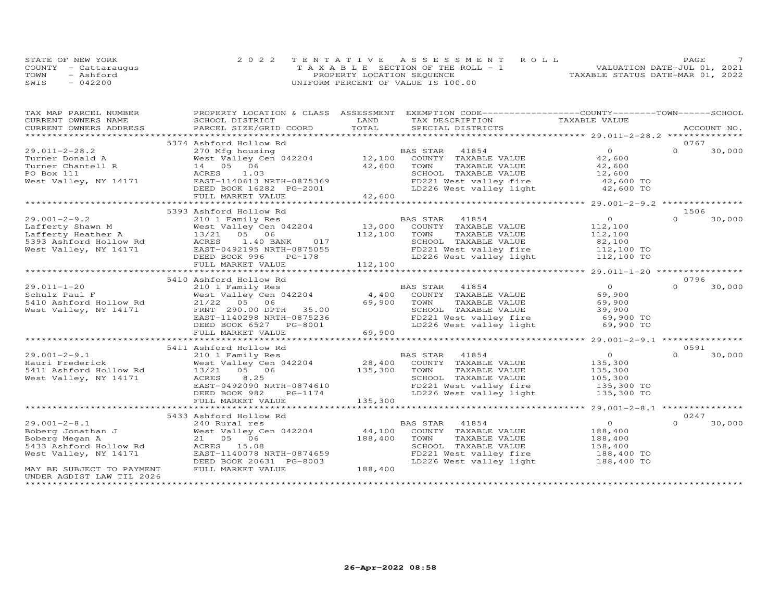| STATE OF NEW YORK    | 2022 TENTATIVE ASSESSMENT ROLL        | PAGE.                            |
|----------------------|---------------------------------------|----------------------------------|
| COUNTY - Cattaraugus | T A X A B L E SECTION OF THE ROLL - 1 | VALUATION DATE-JUL 01, 2021      |
| TOWN<br>- Ashford    | PROPERTY LOCATION SEQUENCE            | TAXABLE STATUS DATE-MAR 01, 2022 |
| $-042200$<br>SWIS    | UNIFORM PERCENT OF VALUE IS 100.00    |                                  |

| TAX MAP PARCEL NUMBER                                                                                                                                               |                                                                                                                                |                      | PROPERTY LOCATION & CLASS ASSESSMENT EXEMPTION CODE----------------COUNTY-------TOWN------SCHOOL |                                             |                  |             |
|---------------------------------------------------------------------------------------------------------------------------------------------------------------------|--------------------------------------------------------------------------------------------------------------------------------|----------------------|--------------------------------------------------------------------------------------------------|---------------------------------------------|------------------|-------------|
| CURRENT OWNERS NAME                                                                                                                                                 | SCHOOL DISTRICT                                                                                                                | LAND                 | TAX DESCRIPTION                                                                                  | TAXABLE VALUE                               |                  |             |
| .CURRENT OWNERS ADDRESS PARCEL SIZE/GRID COORD TOTAL SPECIAL DISTRICTS ACCOUNT NO ACCOUNT NO ACCOUNT NO ACCOUNT                                                     |                                                                                                                                |                      |                                                                                                  |                                             |                  | ACCOUNT NO. |
|                                                                                                                                                                     |                                                                                                                                |                      |                                                                                                  |                                             |                  |             |
|                                                                                                                                                                     | 5374 Ashford Hollow Rd                                                                                                         |                      |                                                                                                  |                                             | 0767             |             |
| $29.011 - 2 - 28.2$                                                                                                                                                 |                                                                                                                                |                      |                                                                                                  | $\overline{O}$ and $\overline{O}$<br>42,600 | $\Omega$         | 30,000      |
| Turner Donald A                                                                                                                                                     |                                                                                                                                |                      |                                                                                                  |                                             |                  |             |
| Turner Chantell R                                                                                                                                                   |                                                                                                                                | 42,600               | TOWN<br>TAXABLE VALUE                                                                            | 42,600                                      |                  |             |
| PO Box 111                                                                                                                                                          |                                                                                                                                |                      | SCHOOL TAXABLE VALUE                                                                             | 12,600                                      |                  |             |
| West Valley, NY 14171                                                                                                                                               | ACRES 1.03<br>EAST-1140613 NRTH-0875369<br>---- DOOM 16282 PG-2001                                                             |                      | FD221 West valley fire<br>LD226 West valley light $42,600$ TO<br>42,600 TO                       |                                             |                  |             |
|                                                                                                                                                                     |                                                                                                                                |                      |                                                                                                  |                                             |                  |             |
|                                                                                                                                                                     | FULL MARKET VALUE                                                                                                              | 42,600               |                                                                                                  |                                             |                  |             |
|                                                                                                                                                                     |                                                                                                                                |                      |                                                                                                  |                                             |                  |             |
|                                                                                                                                                                     | 5393 Ashford Hollow Rd                                                                                                         |                      |                                                                                                  |                                             | 1506<br>$\Omega$ |             |
| $29.001 - 2 - 9.2$                                                                                                                                                  | 210 1 Family Res                                                                                                               |                      | BAS STAR 41854                                                                                   | $0 \qquad \qquad$                           |                  | 30,000      |
| Exercise of the Mest Valley Central Shawn M<br>Lafferty Heather A<br>13/21 05 06<br>5393 Ashford Hollow Rd<br>13/21 05 06<br>West Valley, NY 14171 EAST-0492195 NRT | West Valley Cen 042204 13,000                                                                                                  |                      | COUNTY TAXABLE VALUE                                                                             | 112,100                                     |                  |             |
|                                                                                                                                                                     |                                                                                                                                | 112,100              | TOWN<br>TAXABLE VALUE                                                                            | 112,100                                     |                  |             |
|                                                                                                                                                                     | 1.40 BANK<br>017                                                                                                               |                      | SCHOOL TAXABLE VALUE                                                                             | 82,100                                      |                  |             |
|                                                                                                                                                                     |                                                                                                                                |                      | FD221 West valley fire 112,100 TO<br>LD226 West valley light 112,100 TO                          |                                             |                  |             |
|                                                                                                                                                                     | ACRES 1.40 BANK 017<br>EAST-0492195 NRTH-0875055<br>DEED BOOK 996 PG-178 112,100<br>FULL MARKET VALUE 112,100                  |                      |                                                                                                  |                                             |                  |             |
|                                                                                                                                                                     |                                                                                                                                |                      |                                                                                                  |                                             |                  |             |
|                                                                                                                                                                     |                                                                                                                                |                      |                                                                                                  |                                             |                  |             |
|                                                                                                                                                                     | 5410 Ashford Hollow Rd                                                                                                         |                      |                                                                                                  |                                             | 0796<br>$\Omega$ |             |
| $29.011 - 1 - 20$                                                                                                                                                   | 210 1 Family Res                                                                                                               |                      | BAS STAR<br>41854                                                                                | $\overline{O}$                              |                  | 30,000      |
| Schulz Paul F                                                                                                                                                       | West Valley Cen 042204                                                                                                         | 4,400                | COUNTY TAXABLE VALUE                                                                             | 69,900                                      |                  |             |
| 5410 Ashford Hollow Rd                                                                                                                                              | 21/22 05 06                                                                                                                    | 69,900               | TOWN<br>TAXABLE VALUE                                                                            | 69,900                                      |                  |             |
| West Valley, NY 14171                                                                                                                                               | FRNT 290.00 DPTH 35.00                                                                                                         |                      | SCHOOL TAXABLE VALUE                                                                             | 39,900                                      |                  |             |
|                                                                                                                                                                     | EAST-1140298 NRTH-0875236                                                                                                      |                      | FD221 West valley fire<br>LD226 West valley fire<br>LD226 West valley light                      | 69,900 TO                                   |                  |             |
|                                                                                                                                                                     | DEED BOOK 6527 PG-8001                                                                                                         |                      |                                                                                                  | 69,900 TO                                   |                  |             |
|                                                                                                                                                                     | FULL MARKET VALUE                                                                                                              | 69,900               |                                                                                                  |                                             |                  |             |
|                                                                                                                                                                     | 5411 Ashford Hollow Rd                                                                                                         |                      |                                                                                                  |                                             | 0591             |             |
| $29.001 - 2 - 9.1$                                                                                                                                                  | 210 1 Family Res                                                                                                               |                      | BAS STAR 41854                                                                                   | $\overline{O}$                              | $\Omega$         | 30,000      |
| Hauri Frederick                                                                                                                                                     |                                                                                                                                |                      |                                                                                                  | 135,300                                     |                  |             |
| 5411 Ashford Hollow Rd                                                                                                                                              |                                                                                                                                |                      |                                                                                                  |                                             |                  |             |
| West Valley, NY 14171                                                                                                                                               | EAS STAR 41854<br>13/21 05 Cen 042204 28,400 COUNTY TAXABLE VALUE<br>135,300 TOWN TAXABLE VALUE<br>ACRES 8.25<br>ACRES<br>8.25 |                      | SCHOOL TAXABLE VALUE                                                                             | 135,300<br>105,300                          |                  |             |
|                                                                                                                                                                     | EAST-0492090 NRTH-0874610                                                                                                      |                      |                                                                                                  |                                             |                  |             |
|                                                                                                                                                                     | DEED BOOK 982                                                                                                                  | H-0874610<br>PG-1174 | FD221 West valley fire<br>LD226 West valley light                                                | 135,300 TO<br>135,300 TO                    |                  |             |
|                                                                                                                                                                     | FULL MARKET VALUE                                                                                                              | 135,300              |                                                                                                  |                                             |                  |             |
|                                                                                                                                                                     |                                                                                                                                |                      |                                                                                                  |                                             |                  |             |
|                                                                                                                                                                     | 5433 Ashford Hollow Rd                                                                                                         |                      |                                                                                                  |                                             | 0247             |             |
| $29.001 - 2 - 8.1$                                                                                                                                                  | 240 Rural res                                                                                                                  |                      | BAS STAR 41854                                                                                   | $\Omega$                                    | $\Omega$         | 30,000      |
|                                                                                                                                                                     |                                                                                                                                |                      | COUNTY TAXABLE VALUE                                                                             | 188,400                                     |                  |             |
| Boberg Jonathan J<br>Boberg Megan A<br>Boberg Megan A                                                                                                               | West Valley Cen 042204 44,100<br>21 05 06 188,400                                                                              |                      | TOWN<br>TAXABLE VALUE                                                                            | 188,400                                     |                  |             |
| 5433 Ashford Hollow Rd                                                                                                                                              | ACRES 15.08                                                                                                                    |                      |                                                                                                  |                                             |                  |             |
| West Valley, NY 14171                                                                                                                                               | EAST-1140078 NRTH-0874659                                                                                                      |                      | SCHOOL TAXABLE VALUE 158,400<br>FD221 West valley fire 188,400 TO                                |                                             |                  |             |
|                                                                                                                                                                     | DEED BOOK 20631 PG-8003                                                                                                        |                      | LD226 West valley light 188,400 TO                                                               |                                             |                  |             |
| MAY BE SUBJECT TO PAYMENT                                                                                                                                           | FULL MARKET VALUE                                                                                                              | 188,400              |                                                                                                  |                                             |                  |             |
| UNDER AGDIST LAW TIL 2026                                                                                                                                           |                                                                                                                                |                      |                                                                                                  |                                             |                  |             |
| *********************                                                                                                                                               |                                                                                                                                |                      |                                                                                                  |                                             |                  |             |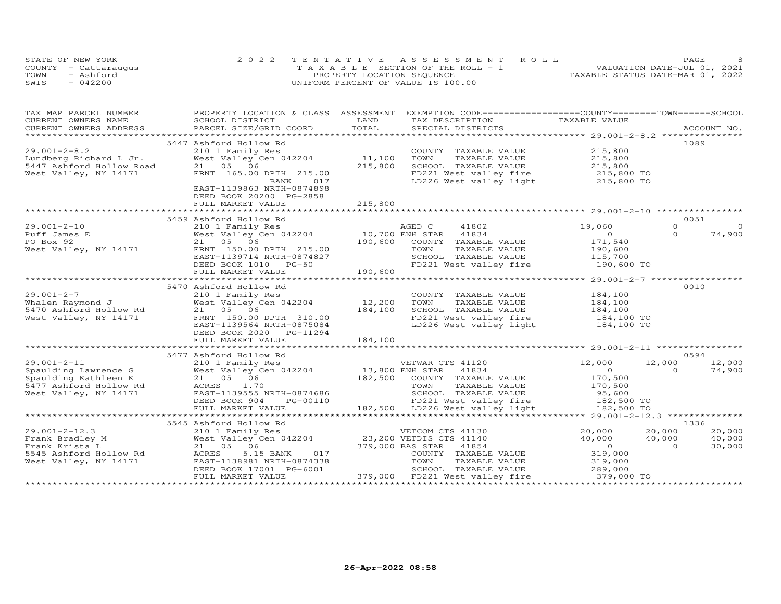| STATE OF NEW YORK    | 2022 TENTATIVE ASSESSMENT ROLL        | PAGE.                            |  |
|----------------------|---------------------------------------|----------------------------------|--|
| COUNTY - Cattaraugus | T A X A B L E SECTION OF THE ROLL - 1 | VALUATION DATE-JUL 01, 2021      |  |
| TOWN<br>- Ashford    | PROPERTY LOCATION SEQUENCE            | TAXABLE STATUS DATE-MAR 01, 2022 |  |
| SWIS<br>$-042200$    | UNIFORM PERCENT OF VALUE IS 100.00    |                                  |  |

| TAX MAP PARCEL NUMBER                                                                 |                                                               | PROPERTY LOCATION & CLASS ASSESSMENT EXEMPTION CODE----------------COUNTY-------TOWN-----SCHOOL                                                                                                    |                                      |
|---------------------------------------------------------------------------------------|---------------------------------------------------------------|----------------------------------------------------------------------------------------------------------------------------------------------------------------------------------------------------|--------------------------------------|
| CURRENT OWNERS NAME                                                                   | SCHOOL DISTRICT                                               | LAND<br>TAX DESCRIPTION                                                                                                                                                                            | TAXABLE VALUE                        |
|                                                                                       |                                                               |                                                                                                                                                                                                    |                                      |
|                                                                                       |                                                               | CONNEIN OWNERS ADDRESS FORCEL SIZE/GRID COORD FOTAL SEECIAL DISTRICTS ACCOUNT NO.<br>TOTAL SEECIAL DISTRICTS PROVIDED ACCOUNT NO. ACCOUNT AND SEECIAL DISTRICTS ACCOUNT AND A PROVIDENT ASSESS FOR |                                      |
|                                                                                       | 5447 Ashford Hollow Rd                                        |                                                                                                                                                                                                    | 1089                                 |
| $29.001 - 2 - 8.2$                                                                    | 210 1 Family Res                                              | COUNTY TAXABLE VALUE                                                                                                                                                                               | 215,800<br>215,800                   |
|                                                                                       | 210 1 Family Res<br>West Valley Cen 042204             11,100 | TOWN<br>TAXABLE VALUE                                                                                                                                                                              |                                      |
|                                                                                       |                                                               | 215,800                                                                                                                                                                                            |                                      |
|                                                                                       | FRNT 165.00 DPTH 215.00                                       | SCHOOL TAXABLE VALUE 215,800<br>FD221 West valley fire 215,800 TO                                                                                                                                  |                                      |
|                                                                                       | 017<br>BANK                                                   | FD221 West valley fire 215,800 TO<br>LD226 West valley light 215,800 TO                                                                                                                            |                                      |
|                                                                                       | EAST-1139863 NRTH-0874898                                     |                                                                                                                                                                                                    |                                      |
|                                                                                       | DEED BOOK 20200 PG-2858                                       |                                                                                                                                                                                                    |                                      |
|                                                                                       | FULL MARKET VALUE                                             | 215,800                                                                                                                                                                                            |                                      |
|                                                                                       |                                                               |                                                                                                                                                                                                    |                                      |
|                                                                                       | 5459 Ashford Hollow Rd                                        | 210 1 Family Res<br>West Valley Cen 042204 10,700 ENH STAR 41834<br>21 05 06 190,600 COUNTY TAXABLE VALUE<br>FRNT 150.00 DPTH 215.00 190,600 COUNTY TAXABLE VALUE<br>EAST-1139714 NBTH 00000       | 0051                                 |
| $29.001 - 2 - 10$                                                                     |                                                               |                                                                                                                                                                                                    | $\circ$<br>19,060<br>$\circ$         |
|                                                                                       |                                                               |                                                                                                                                                                                                    | $\overline{O}$<br>$\Omega$<br>74,900 |
| Puff James E<br>PO Box 92<br>West Valley, NY 14171                                    |                                                               |                                                                                                                                                                                                    |                                      |
|                                                                                       |                                                               |                                                                                                                                                                                                    | 171,540<br>190,600                   |
|                                                                                       | EAST-1139714 NRTH-0874827                                     |                                                                                                                                                                                                    |                                      |
|                                                                                       | DEED BOOK 1010 PG-50                                          |                                                                                                                                                                                                    |                                      |
|                                                                                       | FULL MARKET VALUE                                             | 190,600                                                                                                                                                                                            |                                      |
|                                                                                       |                                                               |                                                                                                                                                                                                    |                                      |
|                                                                                       | 5470 Ashford Hollow Rd                                        |                                                                                                                                                                                                    | 0010                                 |
| $29.001 - 2 - 7$                                                                      |                                                               |                                                                                                                                                                                                    |                                      |
|                                                                                       | 210 1 Family Res                                              | COUNTY TAXABLE VALUE<br>TOWN                                                                                                                                                                       | 184,100                              |
|                                                                                       |                                                               | TAXABLE VALUE                                                                                                                                                                                      | 184,100<br>184,100                   |
|                                                                                       |                                                               | SCHOOL TAXABLE VALUE                                                                                                                                                                               |                                      |
|                                                                                       |                                                               | FD221 West valley fire 184,100 TO                                                                                                                                                                  |                                      |
|                                                                                       | EAST-1139564 NRTH-0875084                                     | LD226 West valley light                                                                                                                                                                            | 184,100 TO                           |
|                                                                                       | DEED BOOK 2020 PG-11294                                       |                                                                                                                                                                                                    |                                      |
|                                                                                       | FULL MARKET VALUE                                             | 184,100                                                                                                                                                                                            |                                      |
|                                                                                       |                                                               |                                                                                                                                                                                                    |                                      |
|                                                                                       | 5477 Ashford Hollow Rd                                        |                                                                                                                                                                                                    | 0594                                 |
| $29.001 - 2 - 11$                                                                     |                                                               | VETWAR CTS 41120                                                                                                                                                                                   | 12,000<br>12,000<br>12,000           |
| 29.001-2-11<br>Spaulding Lawrence G<br>Spaulding Kathleen K<br>5477 Ashford Hollow Rd |                                                               | 210 1 Family Res<br>West Valley Cen 042204 13,800 ENH STAR 41834<br>21 05 06 06 182,500 COUNTY TAXABLE VALUE<br>20PFS 170 10                                                                       | $\sim$ 0<br>$\Omega$<br>74,900       |
|                                                                                       |                                                               |                                                                                                                                                                                                    | 170,500                              |
|                                                                                       | ACRES 1.70                                                    |                                                                                                                                                                                                    | 170,500                              |
| West Valley, NY 14171                                                                 | EAST-1139555 NRTH-0874686                                     | SCHOOL TAXABLE VALUE 95,600                                                                                                                                                                        |                                      |
|                                                                                       | PG-00110<br>DEED BOOK 904                                     |                                                                                                                                                                                                    | 182,500 TO                           |
|                                                                                       | FULL MARKET VALUE                                             | TOWN TAXABLE VALUE<br>74686 SCHOOL TAXABLE VALUE<br>70110 182,500 LD226 West valley fire<br>182,500 LD226 West valley light                                                                        | 182,500 TO                           |
|                                                                                       |                                                               |                                                                                                                                                                                                    |                                      |
|                                                                                       | 5545 Ashford Hollow Rd                                        |                                                                                                                                                                                                    | 1336                                 |
| $29.001 - 2 - 12.3$                                                                   |                                                               |                                                                                                                                                                                                    | 20,000<br>20,000<br>20,000           |
| Frank Bradley M                                                                       |                                                               |                                                                                                                                                                                                    | 40,000<br>40,000<br>40,000           |
| Frank Krista L                                                                        | 21 05 06                                                      | 379,000 BAS STAR 41854                                                                                                                                                                             | $\overline{O}$<br>$\Omega$<br>30,000 |
| 5545 Ashford Hollow Rd                                                                | 017<br>ACRES<br>5.15 BANK                                     | COUNTY TAXABLE VALUE                                                                                                                                                                               | 319,000                              |
| West Valley, NY 14171                                                                 | EAST-1138981 NRTH-0874338                                     | TOWN<br>TAXABLE VALUE                                                                                                                                                                              | 319,000                              |
|                                                                                       | DEED BOOK 17001 PG-6001                                       | SCHOOL TAXABLE VALUE 289,000                                                                                                                                                                       |                                      |
|                                                                                       | FULL MARKET VALUE                                             |                                                                                                                                                                                                    |                                      |
|                                                                                       |                                                               |                                                                                                                                                                                                    |                                      |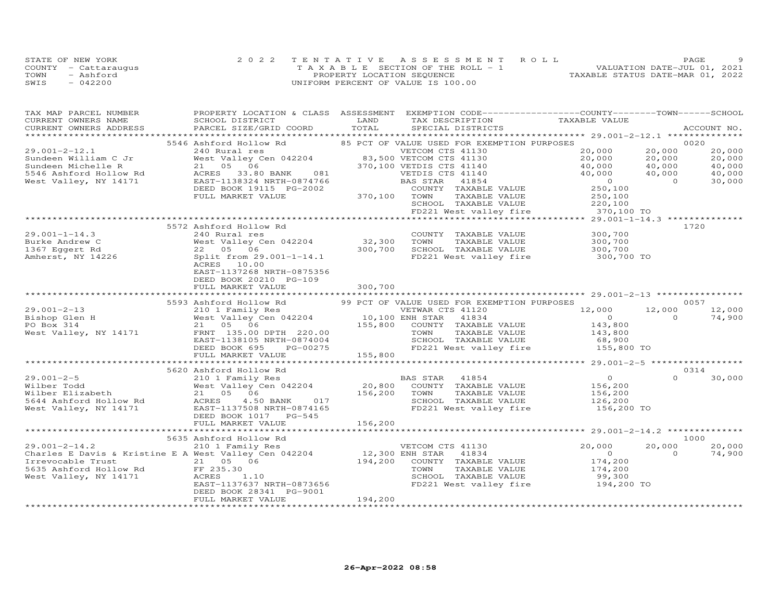|      | STATE OF NEW YORK    | 2022 TENTATIVE ASSESSMENT ROLL        | PAGE                             |
|------|----------------------|---------------------------------------|----------------------------------|
|      | COUNTY - Cattaraugus | T A X A B L E SECTION OF THE ROLL - 1 | VALUATION DATE-JUL 01, 2021      |
| TOWN | - Ashford            | PROPERTY LOCATION SEQUENCE            | TAXABLE STATUS DATE-MAR 01, 2022 |
| SWIS | $-042200$            | UNIFORM PERCENT OF VALUE IS 100.00    |                                  |

| TAX MAP PARCEL NUMBER                                                                             | PROPERTY LOCATION & CLASS ASSESSMENT EXEMPTION CODE----------------COUNTY-------TOWN------SCHOOL                                      |                                   |                                                |                               |                |             |
|---------------------------------------------------------------------------------------------------|---------------------------------------------------------------------------------------------------------------------------------------|-----------------------------------|------------------------------------------------|-------------------------------|----------------|-------------|
| CURRENT OWNERS NAME                                                                               | SCHOOL DISTRICT                                                                                                                       | LAND                              | TAX DESCRIPTION                                | TAXABLE VALUE                 |                |             |
| CURRENT OWNERS ADDRESS                                                                            | PARCEL SIZE/GRID COORD                                                                                                                | TOTAL                             | SPECIAL DISTRICTS                              |                               |                | ACCOUNT NO. |
|                                                                                                   |                                                                                                                                       |                                   |                                                |                               |                |             |
|                                                                                                   | 5546 Ashford Hollow Rd                                                                                                                |                                   | 85 PCT OF VALUE USED FOR EXEMPTION PURPOSES    |                               |                | 0020        |
| $29.001 - 2 - 12.1$                                                                               | 240 Rural res<br>West Valley Cen 042204 83,500 VETCOM CTS 41130<br>21 05 06 370,100 VETDIS CTS 41140                                  |                                   |                                                | 20,000                        | 20,000         | 20,000      |
| Sundeen William C Jr                                                                              |                                                                                                                                       |                                   |                                                | 20,000                        | 20,000         | 20,000      |
| Sundeen Michelle R                                                                                |                                                                                                                                       |                                   | 370,100 VETDIS CTS 41140                       | 40,000                        | 40,000         | 40,000      |
| 5546 Ashford Hollow Rd                                                                            | 33.80 BANK 081<br>ACRES                                                                                                               |                                   | VETDIS CTS 41140                               | 40,000                        | 40,000         | 40,000      |
| West Valley, NY 14171                                                                             | EAST-1138324 NRTH-0874766                                                                                                             |                                   | BAS STAR<br>41854                              | $\overline{0}$                | $\Omega$       | 30,000      |
|                                                                                                   | DEED BOOK 19115 PG-2002                                                                                                               |                                   | COUNTY TAXABLE VALUE                           | 250,100                       |                |             |
|                                                                                                   | FULL MARKET VALUE                                                                                                                     | 370,100 TOWN                      | TAXABLE VALUE                                  | 250,100<br>220,100            |                |             |
|                                                                                                   |                                                                                                                                       |                                   | SCHOOL TAXABLE VALUE                           |                               |                |             |
|                                                                                                   |                                                                                                                                       |                                   | FD221 West valley fire                         | 370,100 TO                    |                |             |
|                                                                                                   |                                                                                                                                       |                                   |                                                |                               |                |             |
|                                                                                                   | 5572 Ashford Hollow Rd                                                                                                                |                                   |                                                |                               |                | 1720        |
| $29.001 - 1 - 14.3$                                                                               | 240 Rural res                                                                                                                         |                                   | COUNTY TAXABLE VALUE                           | 300,700                       |                |             |
| Burke Andrew C                                                                                    | West Valley Cen 042204<br>22 05 06                                                                                                    | 32,300 TOWN<br>300,700 SCHOO      | TAXABLE VALUE<br>SCHOOL TAXABLE VALUE          | 300,700<br>300,700            |                |             |
| 1367 Eggert Rd                                                                                    |                                                                                                                                       |                                   |                                                |                               |                |             |
| Amherst, NY 14226                                                                                 | Split from 29.001-1-14.1                                                                                                              |                                   | FD221 West valley fire                         | 300,700 TO                    |                |             |
|                                                                                                   | ACRES 10.00                                                                                                                           |                                   |                                                |                               |                |             |
|                                                                                                   | EAST-1137268 NRTH-0875356<br>DEED BOOK 20210 PG-109                                                                                   |                                   |                                                |                               |                |             |
|                                                                                                   |                                                                                                                                       |                                   |                                                |                               |                |             |
|                                                                                                   | FULL MARKET VALUE                                                                                                                     | 300,700                           |                                                |                               |                |             |
|                                                                                                   | 5593 Ashford Hollow Rd                                                                                                                |                                   | 99 PCT OF VALUE USED FOR EXEMPTION PURPOSES    |                               |                | 0057        |
| $29.001 - 2 - 13$                                                                                 | 210 1 Family Res                                                                                                                      |                                   | VETWAR CTS 41120                               | 12,000                        | 12,000         | 12,000      |
| Bishop Glen H                                                                                     | West Valley Cen 042204<br>21 05 06                                                                                                    |                                   | 41834                                          | $\overline{O}$                | $\overline{0}$ | 74,900      |
| PO Box 314                                                                                        |                                                                                                                                       | 10,100 ENH STAR<br>155,800 COUNTY | COUNTY TAXABLE VALUE                           | 143,800                       |                |             |
| West Valley, NY 14171                                                                             | FRNT 135.00 DPTH 220.00                                                                                                               |                                   | TAXABLE VALUE<br>TOWN                          | 143,800                       |                |             |
|                                                                                                   | EAST-1138105 NRTH-0874004                                                                                                             |                                   | SCHOOL TAXABLE VALUE                           | 68,900                        |                |             |
|                                                                                                   | DEED BOOK 695<br>PG-00275                                                                                                             |                                   | FD221 West valley fire                         | 155,800 TO                    |                |             |
|                                                                                                   | FULL MARKET VALUE                                                                                                                     | 155,800                           |                                                |                               |                |             |
|                                                                                                   |                                                                                                                                       |                                   |                                                |                               |                |             |
|                                                                                                   | 5620 Ashford Hollow Rd                                                                                                                |                                   |                                                |                               |                | 0314        |
| $29.001 - 2 - 5$                                                                                  | ASINTOTA HOLLOW NU HOLLOW BAS STAR 41854<br>2001 Family Res (1994) 20,800 COUNTY TAXABLE VALUE<br>21 05 06 156,200 TOWN TAXABLE VALUE |                                   |                                                | $\overline{0}$                | $\Omega$       | 30,000      |
| Wilber Todd                                                                                       |                                                                                                                                       |                                   |                                                |                               |                |             |
| Wilber Elizabeth                                                                                  |                                                                                                                                       |                                   |                                                |                               |                |             |
| 5644 Ashford Hollow Rd                                                                            | 4.50 BANK 017<br>ACRES                                                                                                                |                                   | SCHOOL TAXABLE VALUE                           | 156,200<br>156,200<br>126,200 |                |             |
| West Valley, NY 14171                                                                             | EAST-1137508 NRTH-0874165                                                                                                             |                                   | FD221 West valley fire 156,200 TO              |                               |                |             |
|                                                                                                   | DEED BOOK 1017 PG-545                                                                                                                 |                                   |                                                |                               |                |             |
|                                                                                                   | FULL MARKET VALUE                                                                                                                     | 156,200                           |                                                |                               |                |             |
|                                                                                                   |                                                                                                                                       |                                   |                                                |                               |                |             |
|                                                                                                   | 5635 Ashford Hollow Rd                                                                                                                |                                   |                                                |                               |                | 1000        |
| $29.001 - 2 - 14.2$                                                                               | 210 1 Family Res                                                                                                                      |                                   | VETCOM CTS 41130                               | 20,000                        | 20,000         | 20,000      |
| $210$ 1 Family Res<br>Charles E Davis & Kristine E A West Valley Cen 042204 12,300 ENH STAR 41834 |                                                                                                                                       |                                   |                                                | $\circ$                       | $\Omega$       | 74,900      |
| Irrevocable Trust                                                                                 | 21 05 06                                                                                                                              |                                   | 194,200 COUNTY TAXABLE VALUE                   | 174,200<br>174,200            |                |             |
|                                                                                                   |                                                                                                                                       |                                   | TOWN<br>TAXABLE VALUE                          |                               |                |             |
|                                                                                                   | 1.10                                                                                                                                  |                                   | SCHOOL TAXABLE VALUE<br>FD221 West valley fire | 99,300                        |                |             |
|                                                                                                   | EAST-1137637 NRTH-0873656                                                                                                             |                                   |                                                | 194,200 TO                    |                |             |
|                                                                                                   | DEED BOOK 28341 PG-9001                                                                                                               |                                   |                                                |                               |                |             |
|                                                                                                   | FULL MARKET VALUE                                                                                                                     | 194,200                           |                                                |                               |                |             |
|                                                                                                   |                                                                                                                                       |                                   |                                                |                               |                |             |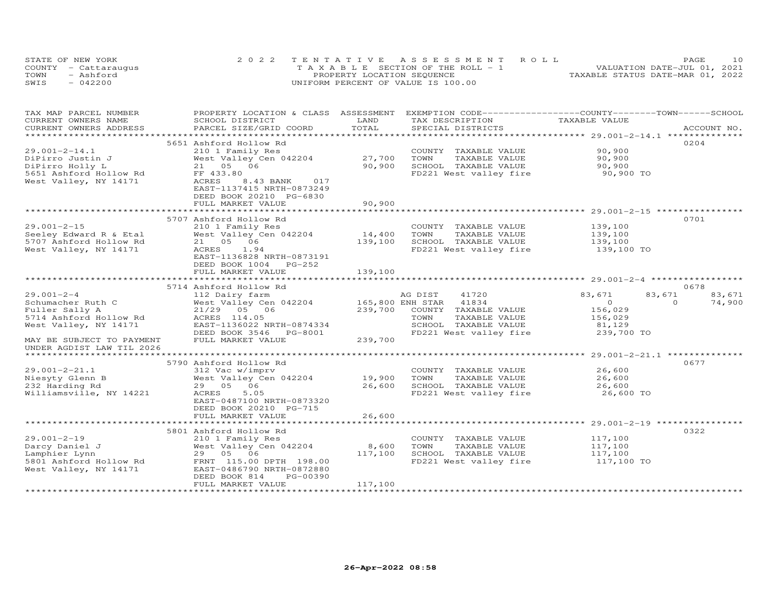| STATE OF NEW YORK    | 2022 TENTATIVE ASSESSMENT ROLL        | 1 O<br>PAGE                      |
|----------------------|---------------------------------------|----------------------------------|
| COUNTY - Cattaraugus | T A X A B L E SECTION OF THE ROLL - 1 | VALUATION DATE-JUL 01, 2021      |
| TOWN<br>- Ashford    | PROPERTY LOCATION SEQUENCE            | TAXABLE STATUS DATE-MAR 01, 2022 |
| SWIS<br>$-042200$    | UNIFORM PERCENT OF VALUE IS 100.00    |                                  |

| TAX MAP PARCEL NUMBER<br>CURRENT OWNERS NAME | PROPERTY LOCATION & CLASS ASSESSMENT<br>SCHOOL DISTRICT | LAND        | EXEMPTION CODE-----------------COUNTY-------TOWN------SCHOOL<br>TAX DESCRIPTION | TAXABLE VALUE                                  |                    |
|----------------------------------------------|---------------------------------------------------------|-------------|---------------------------------------------------------------------------------|------------------------------------------------|--------------------|
| CURRENT OWNERS ADDRESS                       | PARCEL SIZE/GRID COORD                                  | TOTAL       | SPECIAL DISTRICTS                                                               |                                                | ACCOUNT NO.        |
| *******************                          |                                                         |             |                                                                                 |                                                |                    |
|                                              | 5651 Ashford Hollow Rd                                  |             |                                                                                 |                                                | 0204               |
| $29.001 - 2 - 14.1$                          | 210 1 Family Res                                        |             | COUNTY TAXABLE VALUE                                                            | 90,900                                         |                    |
| DiPirro Justin J                             | West Valley Cen 042204                                  | 27,700      | TOWN<br>TAXABLE VALUE                                                           | 90,900                                         |                    |
| DiPirro Holly L                              | 21 05 06                                                | 90,900      | SCHOOL TAXABLE VALUE                                                            | 90,900                                         |                    |
| 5651 Ashford Hollow Rd                       | FF 433.80                                               |             | FD221 West valley fire                                                          | 90,900 TO                                      |                    |
| West Valley, NY 14171                        | ACRES<br>017<br>8.43 BANK                               |             |                                                                                 |                                                |                    |
|                                              | EAST-1137415 NRTH-0873249                               |             |                                                                                 |                                                |                    |
|                                              | DEED BOOK 20210 PG-6830<br>FULL MARKET VALUE            | 90,900      |                                                                                 |                                                |                    |
|                                              |                                                         |             |                                                                                 |                                                |                    |
|                                              | 5707 Ashford Hollow Rd                                  |             |                                                                                 |                                                | 0701               |
| $29.001 - 2 - 15$                            | 210 1 Family Res                                        |             | COUNTY TAXABLE VALUE                                                            | 139,100                                        |                    |
| Seeley Edward R & Etal                       | West Valley Cen 042204                                  | 14,400      | TOWN<br>TAXABLE VALUE                                                           | 139,100                                        |                    |
| 5707 Ashford Hollow Rd                       | 21 05 06                                                | 139,100     | SCHOOL TAXABLE VALUE                                                            | 139,100                                        |                    |
| West Valley, NY 14171                        | ACRES<br>1.94                                           |             | FD221 West valley fire 139,100 TO                                               |                                                |                    |
|                                              | EAST-1136828 NRTH-0873191                               |             |                                                                                 |                                                |                    |
|                                              | DEED BOOK 1004<br>PG-252                                |             |                                                                                 |                                                |                    |
|                                              | FULL MARKET VALUE                                       | 139,100     |                                                                                 |                                                |                    |
|                                              | **********************                                  | *********** |                                                                                 |                                                |                    |
|                                              | 5714 Ashford Hollow Rd                                  |             |                                                                                 |                                                | 0678               |
| $29.001 - 2 - 4$                             | 112 Dairy farm                                          |             | AG DIST<br>41720                                                                | 83,671<br>83,671                               | 83,671             |
| Schumacher Ruth C                            | West Valley Cen 042204                                  |             | 165,800 ENH STAR 41834                                                          | $\overline{0}$                                 | $\Omega$<br>74,900 |
| Fuller Sally A                               | 21/29 05 06                                             | 239,700     | COUNTY TAXABLE VALUE                                                            | 156,029                                        |                    |
| 5714 Ashford Hollow Rd                       | ACRES 114.05                                            |             | TOWN<br>TAXABLE VALUE                                                           | 156,029                                        |                    |
| West Valley, NY 14171                        | EAST-1136022 NRTH-0874334                               |             | SCHOOL TAXABLE VALUE                                                            | 81,129                                         |                    |
|                                              | DEED BOOK 3546<br>PG-8001                               |             | FD221 West valley fire                                                          | 239,700 TO                                     |                    |
| MAY BE SUBJECT TO PAYMENT                    | FULL MARKET VALUE                                       | 239,700     |                                                                                 |                                                |                    |
| UNDER AGDIST LAW TIL 2026                    |                                                         |             |                                                                                 |                                                |                    |
|                                              |                                                         |             |                                                                                 |                                                |                    |
|                                              | 5790 Ashford Hollow Rd                                  |             |                                                                                 |                                                | 0677               |
| $29.001 - 2 - 21.1$                          | 312 Vac w/imprv                                         |             | COUNTY TAXABLE VALUE                                                            | 26,600                                         |                    |
| Niesyty Glenn B                              | West Valley Cen 042204                                  | 19,900      | TOWN<br>TAXABLE VALUE                                                           | 26,600                                         |                    |
| 232 Harding Rd<br>Williamsville, NY 14221    | 29 05 06<br>5.05<br>ACRES                               | 26,600      | SCHOOL TAXABLE VALUE<br>FD221 West valley fire                                  | 26,600<br>26,600 TO                            |                    |
|                                              | EAST-0487100 NRTH-0873320                               |             |                                                                                 |                                                |                    |
|                                              | DEED BOOK 20210 PG-715                                  |             |                                                                                 |                                                |                    |
|                                              | FULL MARKET VALUE                                       | 26,600      |                                                                                 |                                                |                    |
|                                              |                                                         |             |                                                                                 | *********************** 29.001-2-19 ********** |                    |
|                                              | 5801 Ashford Hollow Rd                                  |             |                                                                                 |                                                | 0322               |
| $29.001 - 2 - 19$                            | 210 1 Family Res                                        |             | COUNTY TAXABLE VALUE                                                            | 117,100                                        |                    |
| Darcy Daniel J                               | West Valley Cen 042204                                  | 8,600       | TOWN<br>TAXABLE VALUE                                                           | 117,100                                        |                    |
| Lamphier Lynn                                | 29 05 06                                                | 117,100     | SCHOOL TAXABLE VALUE                                                            | 117,100                                        |                    |
| 5801 Ashford Hollow Rd                       | FRNT 115.00 DPTH 198.00                                 |             | FD221 West valley fire                                                          | 117,100 TO                                     |                    |
| West Valley, NY 14171                        | EAST-0486790 NRTH-0872880                               |             |                                                                                 |                                                |                    |
|                                              | PG-00390<br>DEED BOOK 814                               |             |                                                                                 |                                                |                    |
|                                              | FULL MARKET VALUE                                       | 117,100     |                                                                                 |                                                |                    |
|                                              |                                                         |             |                                                                                 |                                                |                    |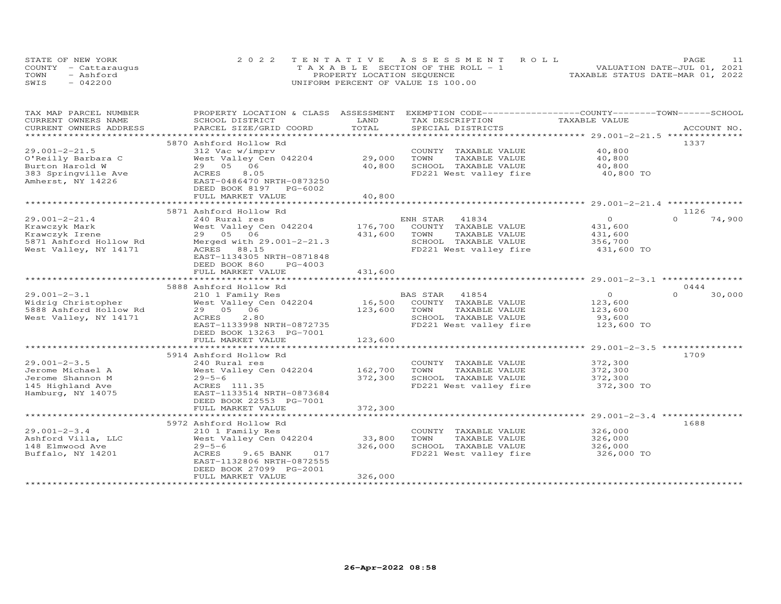| STATE OF NEW YORK    | 2022 TENTATIVE ASSESSMENT ROLL        |                                  | PAGE. |  |
|----------------------|---------------------------------------|----------------------------------|-------|--|
| COUNTY - Cattaraugus | T A X A B L E SECTION OF THE ROLL - 1 | VALUATION DATE-JUL 01, 2021      |       |  |
| TOWN<br>- Ashford    | PROPERTY LOCATION SEQUENCE            | TAXABLE STATUS DATE-MAR 01, 2022 |       |  |
| SWIS<br>$-042200$    | UNIFORM PERCENT OF VALUE IS 100.00    |                                  |       |  |

| TAX MAP PARCEL NUMBER                         | PROPERTY LOCATION & CLASS                    | ASSESSMENT                     | EXEMPTION CODE------------------COUNTY-------TOWN------SCHOOL |                                                 |                    |
|-----------------------------------------------|----------------------------------------------|--------------------------------|---------------------------------------------------------------|-------------------------------------------------|--------------------|
| CURRENT OWNERS NAME<br>CURRENT OWNERS ADDRESS | SCHOOL DISTRICT<br>PARCEL SIZE/GRID COORD    | LAND<br>TOTAL                  | TAX DESCRIPTION<br>SPECIAL DISTRICTS                          | TAXABLE VALUE                                   | ACCOUNT NO.        |
|                                               |                                              | ************                   |                                                               |                                                 |                    |
|                                               | 5870 Ashford Hollow Rd                       |                                |                                                               |                                                 | 1337               |
| $29.001 - 2 - 21.5$                           | 312 Vac w/imprv                              |                                | COUNTY TAXABLE VALUE                                          | 40,800                                          |                    |
| O'Reilly Barbara C                            | West Valley Cen 042204                       | 29,000                         | TOWN<br>TAXABLE VALUE                                         | 40,800                                          |                    |
| Burton Harold W                               | 29 05<br>06                                  | 40,800                         | SCHOOL TAXABLE VALUE                                          | 40,800                                          |                    |
| 383 Springville Ave                           | ACRES<br>8.05                                |                                | FD221 West valley fire                                        | 40,800 TO                                       |                    |
| Amherst, NY 14226                             | EAST-0486470 NRTH-0873250                    |                                |                                                               |                                                 |                    |
|                                               | DEED BOOK 8197 PG-6002                       |                                |                                                               |                                                 |                    |
|                                               | FULL MARKET VALUE                            | 40,800                         |                                                               |                                                 |                    |
|                                               |                                              |                                |                                                               |                                                 |                    |
|                                               | 5871 Ashford Hollow Rd                       |                                |                                                               |                                                 | 1126<br>$\Omega$   |
| $29.001 - 2 - 21.4$                           | 240 Rural res                                |                                | ENH STAR 41834                                                | $\circ$                                         | 74,900             |
| Krawczyk Mark                                 | West Valley Cen 042204<br>29 05 06           | 176,700<br>431,600             | COUNTY TAXABLE VALUE<br>TOWN                                  | 431,600                                         |                    |
| Krawczyk Irene<br>5871 Ashford Hollow Rd      | Merged with 29.001-2-21.3                    |                                | TAXABLE VALUE<br>SCHOOL TAXABLE VALUE                         | 431,600<br>356,700                              |                    |
| West Valley, NY 14171                         | ACRES 88.15                                  |                                | FD221 West valley fire                                        | 431,600 TO                                      |                    |
|                                               | EAST-1134305 NRTH-0871848                    |                                |                                                               |                                                 |                    |
|                                               | DEED BOOK 860<br>PG-4003                     |                                |                                                               |                                                 |                    |
|                                               | FULL MARKET VALUE                            | 431,600                        |                                                               |                                                 |                    |
|                                               |                                              |                                |                                                               |                                                 |                    |
|                                               | 5888 Ashford Hollow Rd                       |                                |                                                               |                                                 | 0444               |
| $29.001 - 2 - 3.1$                            | 210 1 Family Res                             |                                | BAS STAR<br>41854                                             | $\circ$                                         | $\Omega$<br>30,000 |
| Widrig Christopher                            | West Valley Cen 042204                       | 16,500                         | COUNTY TAXABLE VALUE                                          | 123,600                                         |                    |
| 5888 Ashford Hollow Rd                        | 06<br>29 05                                  | 123,600                        | TOWN<br>TAXABLE VALUE                                         | 123,600                                         |                    |
| West Valley, NY 14171                         | ACRES<br>2.80                                |                                | SCHOOL TAXABLE VALUE                                          | 93,600                                          |                    |
|                                               | EAST-1133998 NRTH-0872735                    |                                | FD221 West valley fire                                        | 123,600 TO                                      |                    |
|                                               | DEED BOOK 13263 PG-7001                      |                                |                                                               |                                                 |                    |
|                                               | FULL MARKET VALUE                            | 123,600<br>* * * * * * * * * * |                                                               |                                                 |                    |
|                                               | 5914 Ashford Hollow Rd                       |                                |                                                               | ******************** 29.001-2-3.5 ************* | 1709               |
| $29.001 - 2 - 3.5$                            | 240 Rural res                                |                                | COUNTY TAXABLE VALUE                                          | 372,300                                         |                    |
| Jerome Michael A                              | West Valley Cen 042204                       | 162,700                        | TOWN<br>TAXABLE VALUE                                         | 372,300                                         |                    |
| Jerome Shannon M                              | $29 - 5 - 6$                                 | 372,300                        | SCHOOL TAXABLE VALUE                                          | 372,300                                         |                    |
| 145 Highland Ave                              | ACRES 111.35                                 |                                | FD221 West valley fire                                        | 372,300 TO                                      |                    |
| Hamburg, NY 14075                             | EAST-1133514 NRTH-0873684                    |                                |                                                               |                                                 |                    |
|                                               | DEED BOOK 22553 PG-7001                      |                                |                                                               |                                                 |                    |
|                                               | FULL MARKET VALUE                            | 372,300                        |                                                               |                                                 |                    |
|                                               | *******************************              |                                |                                                               |                                                 |                    |
|                                               | 5972 Ashford Hollow Rd                       |                                |                                                               |                                                 | 1688               |
| $29.001 - 2 - 3.4$                            | 210 1 Family Res                             |                                | COUNTY TAXABLE VALUE                                          | 326,000                                         |                    |
| Ashford Villa, LLC                            | West Valley Cen 042204                       | 33,800                         | TOWN<br>TAXABLE VALUE                                         | 326,000                                         |                    |
| 148 Elmwood Ave                               | $29 - 5 - 6$                                 | 326,000                        | SCHOOL TAXABLE VALUE                                          | 326,000                                         |                    |
| Buffalo, NY 14201                             | ACRES<br>017<br>9.65 BANK                    |                                | FD221 West valley fire                                        | 326,000 TO                                      |                    |
|                                               | EAST-1132806 NRTH-0872555                    |                                |                                                               |                                                 |                    |
|                                               | DEED BOOK 27099 PG-2001<br>FULL MARKET VALUE | 326,000                        |                                                               |                                                 |                    |
|                                               | ********************                         |                                |                                                               |                                                 |                    |
|                                               |                                              |                                |                                                               |                                                 |                    |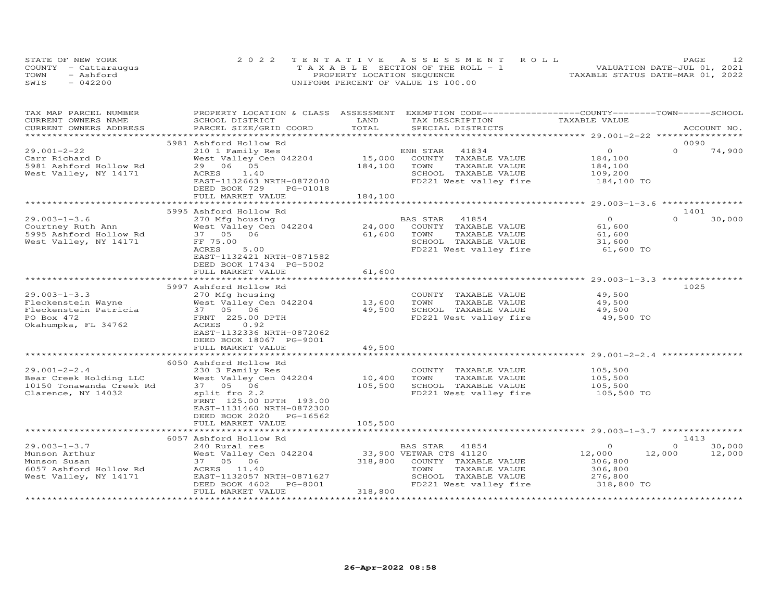| STATE OF NEW YORK    | 2022 TENTATIVE ASSESSMENT ROLL        | PAGE.                            |
|----------------------|---------------------------------------|----------------------------------|
| COUNTY - Cattaraugus | T A X A B L E SECTION OF THE ROLL - 1 | VALUATION DATE-JUL 01, 2021      |
| TOWN<br>- Ashford    | PROPERTY LOCATION SEQUENCE            | TAXABLE STATUS DATE-MAR 01, 2022 |
| SWIS<br>$-042200$    | UNIFORM PERCENT OF VALUE IS 100.00    |                                  |

| TAX MAP PARCEL NUMBER<br>CURRENT OWNERS NAME<br>CURRENT OWNERS ADDRESS                                 | PROPERTY LOCATION & CLASS ASSESSMENT EXEMPTION CODE----------------COUNTY-------TOWN------SCHOOL<br>SCHOOL DISTRICT<br>PARCEL SIZE/GRID COORD                                                             | LAND<br>TOTAL                | TAX DESCRIPTION<br>SPECIAL DISTRICTS                                                                                 | TAXABLE VALUE                                                     |                    | ACCOUNT NO.      |
|--------------------------------------------------------------------------------------------------------|-----------------------------------------------------------------------------------------------------------------------------------------------------------------------------------------------------------|------------------------------|----------------------------------------------------------------------------------------------------------------------|-------------------------------------------------------------------|--------------------|------------------|
|                                                                                                        |                                                                                                                                                                                                           |                              |                                                                                                                      |                                                                   |                    |                  |
| $29.001 - 2 - 22$<br>Carr Richard D<br>5981 Ashford Hollow Rd<br>West Valley, NY 14171                 | 5981 Ashford Hollow Rd<br>210 1 Family Res<br>West Valley Cen 042204<br>29 06 05<br>ACRES<br>1.40<br>EAST-1132663 NRTH-0872040<br>DEED BOOK 729<br>PG-01018<br>FULL MARKET VALUE                          | 15,000<br>184,100<br>184,100 | 41834<br>ENH STAR<br>COUNTY TAXABLE VALUE<br>TOWN<br>TAXABLE VALUE<br>SCHOOL TAXABLE VALUE<br>FD221 West valley fire | $\Omega$<br>184,100<br>184,100<br>109,200<br>184,100 TO           | 0090<br>$\Omega$   | 74,900           |
|                                                                                                        |                                                                                                                                                                                                           |                              |                                                                                                                      |                                                                   |                    |                  |
| $29.003 - 1 - 3.6$<br>Courtney Ruth Ann<br>5995 Ashford Hollow Rd<br>West Valley, NY 14171             | 5995 Ashford Hollow Rd<br>270 Mfg housing<br>West Valley Cen 042204<br>37  05  06<br>FF 75.00<br>ACRES<br>5.00<br>EAST-1132421 NRTH-0871582<br>DEED BOOK 17434 PG-5002<br>FULL MARKET VALUE               | 24,000<br>61,600<br>61,600   | BAS STAR 41854<br>COUNTY TAXABLE VALUE<br>TOWN<br>TAXABLE VALUE<br>SCHOOL TAXABLE VALUE<br>FD221 West valley fire    | $\overline{O}$<br>61,600<br>61,600<br>31,600<br>61,600 TO         | 1401<br>$\Omega$   | 30,000           |
|                                                                                                        |                                                                                                                                                                                                           |                              |                                                                                                                      |                                                                   |                    |                  |
| $29.003 - 1 - 3.3$<br>Fleckenstein Wayne<br>Fleckenstein Patricia<br>PO Box 472<br>Okahumpka, FL 34762 | 5997 Ashford Hollow Rd<br>270 Mfg housing<br>West Valley Cen 042204<br>37 05 06<br>FRNT 225.00 DPTH<br>0.92<br>ACRES<br>EAST-1132336 NRTH-0872062<br>DEED BOOK 18067 PG-9001                              | 13,600<br>49,500             | COUNTY TAXABLE VALUE<br>TAXABLE VALUE<br>TOWN<br>SCHOOL TAXABLE VALUE<br>FD221 West valley fire                      | 49,500<br>49,500<br>49,500<br>49,500 TO                           | 1025               |                  |
|                                                                                                        | FULL MARKET VALUE<br>************************                                                                                                                                                             | 49,500<br>*************      |                                                                                                                      |                                                                   |                    |                  |
| $29.001 - 2 - 2.4$<br>Bear Creek Holding LLC<br>10150 Tonawanda Creek Rd<br>Clarence, NY 14032         | 6050 Ashford Hollow Rd<br>230 3 Family Res<br>West Valley Cen 042204<br>37 05 06<br>split fro 2.2<br>FRNT 125.00 DPTH 193.00<br>EAST-1131460 NRTH-0872300<br>DEED BOOK 2020 PG-16562<br>FULL MARKET VALUE | 10,400<br>105,500<br>105,500 | COUNTY TAXABLE VALUE<br>TAXABLE VALUE<br>TOWN<br>SCHOOL TAXABLE VALUE<br>FD221 West valley fire                      | 105,500<br>105,500<br>105,500<br>105,500 TO                       |                    |                  |
|                                                                                                        |                                                                                                                                                                                                           |                              |                                                                                                                      |                                                                   |                    |                  |
|                                                                                                        | 6057 Ashford Hollow Rd                                                                                                                                                                                    |                              |                                                                                                                      |                                                                   | 1413               |                  |
| $29.003 - 1 - 3.7$<br>Munson Arthur<br>Munson Susan<br>6057 Ashford Hollow Rd<br>West Valley, NY 14171 | 240 Rural res<br>West Valley Cen 042204 33,900 VETWAR CTS 41120<br>37 05 06<br>ACRES 11.40<br>EAST-1132057 NRTH-0871627<br>DEED BOOK 4602<br>PG-8001<br>FULL MARKET VALUE                                 | 318,800<br>318,800           | BAS STAR 41854<br>COUNTY TAXABLE VALUE<br>TAXABLE VALUE<br>TOWN<br>SCHOOL TAXABLE VALUE<br>FD221 West valley fire    | $\Omega$<br>12,000<br>306,800<br>306,800<br>276,800<br>318,800 TO | $\Omega$<br>12,000 | 30,000<br>12,000 |
|                                                                                                        |                                                                                                                                                                                                           |                              |                                                                                                                      | *********************************                                 |                    |                  |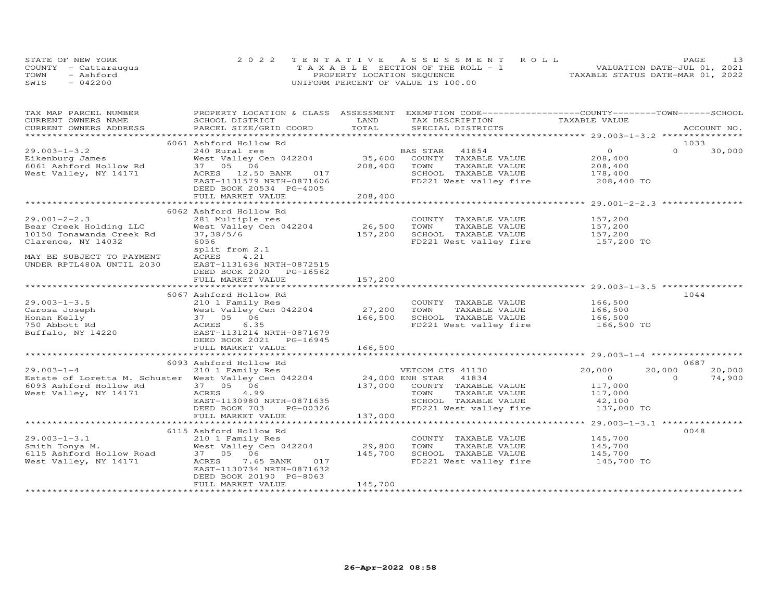| STATE OF NEW YORK    | 2022 TENTATIVE ASSESSMENT ROLL        | PAGE.                            |
|----------------------|---------------------------------------|----------------------------------|
| COUNTY - Cattaraugus | T A X A B L E SECTION OF THE ROLL - 1 | VALUATION DATE-JUL 01, 2021      |
| TOWN<br>- Ashford    | PROPERTY LOCATION SEQUENCE            | TAXABLE STATUS DATE-MAR 01, 2022 |
| SWIS<br>$-042200$    | UNIFORM PERCENT OF VALUE IS 100.00    |                                  |

| TAX MAP PARCEL NUMBER                                                |                           |                      | PROPERTY LOCATION & CLASS ASSESSMENT EXEMPTION CODE----------------COUNTY-------TOWN------SCHOOL |                    |                    |
|----------------------------------------------------------------------|---------------------------|----------------------|--------------------------------------------------------------------------------------------------|--------------------|--------------------|
| CURRENT OWNERS NAME                                                  | SCHOOL DISTRICT           | LAND<br>TOTAL        | TAX DESCRIPTION                                                                                  | TAXABLE VALUE      |                    |
| CURRENT OWNERS ADDRESS                                               | PARCEL SIZE/GRID COORD    |                      | SPECIAL DISTRICTS                                                                                |                    | ACCOUNT NO.        |
|                                                                      | 6061 Ashford Hollow Rd    |                      |                                                                                                  |                    | 1033               |
| $29.003 - 1 - 3.2$                                                   | 240 Rural res             |                      | BAS STAR<br>41854                                                                                | $\overline{O}$     | $\Omega$<br>30,000 |
| Eikenburg James                                                      | West Valley Cen 042204    | 35,600               | COUNTY TAXABLE VALUE                                                                             | 208,400            |                    |
| 6061 Ashford Hollow Rd                                               | 37  05  06                | 208,400              | TOWN<br>TAXABLE VALUE                                                                            |                    |                    |
| West Valley, NY 14171                                                | ACRES 12.50 BANK<br>017   |                      | SCHOOL TAXABLE VALUE                                                                             | 208,400<br>178,400 |                    |
|                                                                      | EAST-1131579 NRTH-0871606 |                      | FD221 West valley fire                                                                           | 208,400 TO         |                    |
|                                                                      | DEED BOOK 20534 PG-4005   |                      |                                                                                                  |                    |                    |
|                                                                      | FULL MARKET VALUE         | 208,400              |                                                                                                  |                    |                    |
|                                                                      |                           |                      |                                                                                                  |                    |                    |
|                                                                      | 6062 Ashford Hollow Rd    |                      |                                                                                                  |                    |                    |
| $29.001 - 2 - 2.3$                                                   | 281 Multiple res          |                      | COUNTY TAXABLE VALUE                                                                             | 157,200            |                    |
| Bear Creek Holding LLC                                               | West Valley Cen 042204    | 26,500               | TAXABLE VALUE<br>TOWN                                                                            | 157,200            |                    |
| 10150 Tonawanda Creek Rd                                             | 37,38/5/6                 | 157,200              | SCHOOL TAXABLE VALUE                                                                             | 157,200            |                    |
| Clarence, NY 14032                                                   | 6056                      |                      | FD221 West valley fire                                                                           | 157,200 TO         |                    |
|                                                                      | split from 2.1            |                      |                                                                                                  |                    |                    |
| MAY BE SUBJECT TO PAYMENT                                            | ACRES<br>4.21             |                      |                                                                                                  |                    |                    |
| UNDER RPTL480A UNTIL 2030                                            | EAST-1131636 NRTH-0872515 |                      |                                                                                                  |                    |                    |
|                                                                      | DEED BOOK 2020 PG-16562   |                      |                                                                                                  |                    |                    |
|                                                                      | FULL MARKET VALUE         | 157,200              |                                                                                                  |                    |                    |
|                                                                      |                           |                      |                                                                                                  |                    |                    |
|                                                                      | 6067 Ashford Hollow Rd    |                      |                                                                                                  |                    | 1044               |
| $29.003 - 1 - 3.5$                                                   | 210 1 Family Res          |                      | COUNTY TAXABLE VALUE                                                                             | 166,500            |                    |
| Carosa Joseph                                                        | West Valley Cen 042204    | 27,200               | TOWN<br>TAXABLE VALUE                                                                            |                    |                    |
| Honan Kelly                                                          | 37 05 06                  | 166,500              | SCHOOL TAXABLE VALUE                                                                             | 166,500<br>166,500 |                    |
| 750 Abbott Rd                                                        | ACRES<br>6.35             |                      | FD221 West valley fire 166,500 TO                                                                |                    |                    |
| Buffalo, NY 14220                                                    | EAST-1131214 NRTH-0871679 |                      |                                                                                                  |                    |                    |
|                                                                      | DEED BOOK 2021 PG-16945   |                      |                                                                                                  |                    |                    |
|                                                                      | FULL MARKET VALUE         | 166,500              |                                                                                                  |                    |                    |
|                                                                      |                           |                      |                                                                                                  |                    |                    |
|                                                                      | 6093 Ashford Hollow Rd    |                      |                                                                                                  |                    | 0687               |
| $29.003 - 1 - 4$                                                     | 210 1 Family Res          |                      | VETCOM CTS 41130                                                                                 | 20,000             | 20,000<br>20,000   |
| Estate of Loretta M. Schuster West Valley Cen 042204 24,000 ENH STAR |                           |                      | 41834                                                                                            | $\overline{O}$     | $\Omega$<br>74,900 |
| 6093 Ashford Hollow Rd                                               | 37 05 06                  |                      | 137,000 COUNTY TAXABLE VALUE                                                                     | 117,000            |                    |
| West Valley, NY 14171                                                | ACRES<br>4.99             |                      | TOWN<br>TAXABLE VALUE                                                                            | 117,000            |                    |
|                                                                      | EAST-1130980 NRTH-0871635 |                      | SCHOOL TAXABLE VALUE                                                                             | 42,100             |                    |
|                                                                      | DEED BOOK 703<br>PG-00326 |                      | FD221 West valley fire                                                                           | 137,000 TO         |                    |
|                                                                      | FULL MARKET VALUE         | 137,000              |                                                                                                  |                    |                    |
|                                                                      |                           |                      | .************************************ 29.003-1-3.1 ****************                              |                    |                    |
|                                                                      | 6115 Ashford Hollow Rd    |                      |                                                                                                  |                    | 0048               |
| $29.003 - 1 - 3.1$                                                   | 210 1 Family Res          |                      | COUNTY TAXABLE VALUE                                                                             | 145,700            |                    |
|                                                                      | West Valley Cen 042204    |                      | TOWN<br>TAXABLE VALUE                                                                            | 145,700            |                    |
| Smith Tonya M.<br>6115 Ashford Hollow Road                           | 37 05 06                  | $\frac{29,800}{145}$ | SCHOOL TAXABLE VALUE                                                                             | 145,700            |                    |
| West Valley, NY 14171                                                | 7.65 BANK<br>017<br>ACRES |                      | FD221 West valley fire                                                                           | 145,700 TO         |                    |
|                                                                      | EAST-1130734 NRTH-0871632 |                      |                                                                                                  |                    |                    |
|                                                                      | DEED BOOK 20190 PG-8063   |                      |                                                                                                  |                    |                    |
|                                                                      | FULL MARKET VALUE         | 145,700              |                                                                                                  |                    |                    |
|                                                                      |                           |                      |                                                                                                  |                    |                    |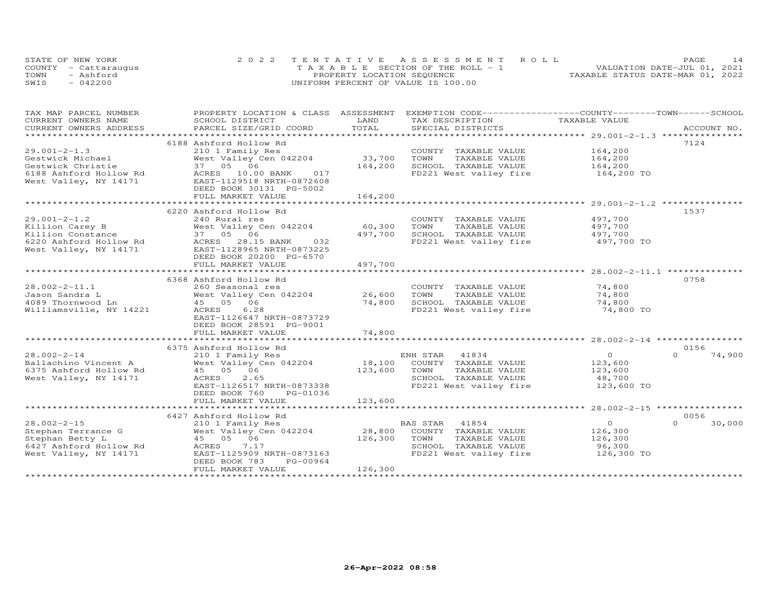| STATE OF NEW YORK    | 2022 TENTATIVE ASSESSMENT ROLL        | PAGE.                            |
|----------------------|---------------------------------------|----------------------------------|
| COUNTY - Cattaraugus | T A X A B L E SECTION OF THE ROLL - 1 | VALUATION DATE-JUL 01, 2021      |
| TOWN<br>- Ashford    | PROPERTY LOCATION SEQUENCE            | TAXABLE STATUS DATE-MAR 01, 2022 |
| SWIS<br>$-042200$    | UNIFORM PERCENT OF VALUE IS 100.00    |                                  |

| TAX MAP PARCEL NUMBER                             | PROPERTY LOCATION & CLASS ASSESSMENT                          |         | EXEMPTION CODE-----------------COUNTY-------TOWN------SCHOOL |                |                    |
|---------------------------------------------------|---------------------------------------------------------------|---------|--------------------------------------------------------------|----------------|--------------------|
| CURRENT OWNERS NAME                               | SCHOOL DISTRICT                                               | LAND    | TAX DESCRIPTION                                              | TAXABLE VALUE  |                    |
| CURRENT OWNERS ADDRESS<br>*********************** | PARCEL SIZE/GRID COORD                                        | TOTAL   | SPECIAL DISTRICTS                                            |                | ACCOUNT NO.        |
|                                                   |                                                               |         |                                                              |                |                    |
|                                                   | 6188 Ashford Hollow Rd                                        |         |                                                              |                | 7124               |
| $29.001 - 2 - 1.3$                                | 210 1 Family Res                                              |         | COUNTY TAXABLE VALUE                                         | 164,200        |                    |
| Gestwick Michael                                  | West Valley Cen 042204                                        | 33,700  | TOWN<br>TAXABLE VALUE                                        | 164,200        |                    |
| Gestwick Christie                                 | 37  05  06                                                    | 164,200 | SCHOOL TAXABLE VALUE                                         | 164,200        |                    |
| 6188 Ashford Hollow Rd                            | ACRES 10.00 BANK<br>017                                       |         | FD221 West valley fire 164,200 TO                            |                |                    |
| West Valley, NY 14171                             | EAST-1129518 NRTH-0872608                                     |         |                                                              |                |                    |
|                                                   | DEED BOOK 30131 PG-5002                                       |         |                                                              |                |                    |
|                                                   | FULL MARKET VALUE                                             | 164,200 |                                                              |                |                    |
|                                                   |                                                               |         |                                                              |                |                    |
|                                                   | 6220 Ashford Hollow Rd                                        |         |                                                              |                | 1537               |
| $29.001 - 2 - 1.2$                                | 240 Rural res                                                 |         | COUNTY TAXABLE VALUE                                         | 497,700        |                    |
| Killion Carey B                                   | West Valley Cen 042204                                        | 60,300  | TOWN<br>TAXABLE VALUE                                        | 497,700        |                    |
| Killion Constance                                 | 37 05 06                                                      | 497,700 | SCHOOL TAXABLE VALUE                                         | 497,700        |                    |
| 6220 Ashford Hollow Rd                            | ACRES 28.15 BANK<br>032                                       |         | FD221 West valley fire                                       | 497,700 TO     |                    |
| West Valley, NY 14171                             | EAST-1128965 NRTH-0873225                                     |         |                                                              |                |                    |
|                                                   | DEED BOOK 20200 PG-6570                                       |         |                                                              |                |                    |
|                                                   | FULL MARKET VALUE                                             | 497,700 |                                                              |                |                    |
|                                                   |                                                               |         |                                                              |                |                    |
|                                                   | 6368 Ashford Hollow Rd                                        |         |                                                              |                | 0758               |
| $28.002 - 2 - 11.1$                               | 260 Seasonal res                                              |         | COUNTY TAXABLE VALUE                                         | 74,800         |                    |
| Jason Sandra L                                    | COUNT! 260 Seasonal res<br>West Valley Cen 042204 26,600 TOWN |         |                                                              | 74,800         |                    |
|                                                   |                                                               |         | TAXABLE VALUE                                                |                |                    |
| 4089 Thornwood Ln                                 | 45 05 06                                                      | 74,800  | SCHOOL TAXABLE VALUE                                         | 74,800         |                    |
| Williamsville, NY 14221                           | ACRES 6.28                                                    |         | FD221 West valley fire                                       | 74,800 TO      |                    |
|                                                   | EAST-1126647 NRTH-0873729                                     |         |                                                              |                |                    |
|                                                   | DEED BOOK 28591 PG-9001                                       |         |                                                              |                |                    |
|                                                   | FULL MARKET VALUE                                             | 74,800  |                                                              |                |                    |
|                                                   |                                                               |         |                                                              |                |                    |
|                                                   | 6375 Ashford Hollow Rd                                        |         |                                                              |                | 0156               |
| $28.002 - 2 - 14$                                 | 210 1 Family Res                                              |         | ENH STAR<br>41834                                            | $\Omega$       | 74,900<br>$\Omega$ |
| Ballachino Vincent A                              | West Valley Cen 042204                                        |         | 18,100 COUNTY TAXABLE VALUE                                  | 123,600        |                    |
| 6375 Ashford Hollow Rd                            | 45 05 06                                                      | 123,600 | TOWN<br>TAXABLE VALUE                                        | 123,600        |                    |
| West Valley, NY 14171                             | 2.65<br>ACRES                                                 |         | SCHOOL TAXABLE VALUE                                         | 48,700         |                    |
|                                                   | EAST-1126517 NRTH-0873338                                     |         | FD221 West valley fire                                       | 123,600 TO     |                    |
|                                                   | PG-01036<br>DEED BOOK 760                                     |         |                                                              |                |                    |
|                                                   | FULL MARKET VALUE                                             | 123,600 |                                                              |                |                    |
|                                                   |                                                               |         |                                                              |                |                    |
|                                                   | 6427 Ashford Hollow Rd                                        |         |                                                              |                | 0056               |
| $28.002 - 2 - 15$                                 | 210 1 Family Res                                              |         | BAS STAR 41854                                               | $\overline{O}$ | $\Omega$<br>30,000 |
| Stephan Terrance G                                | West Valley Cen 042204                                        | 28,800  | COUNTY TAXABLE VALUE                                         | 126,300        |                    |
| Stephan Betty L                                   | 45 05 06                                                      | 126,300 | TOWN<br>TAXABLE VALUE                                        | 126,300        |                    |
| 6427 Ashford Hollow Rd                            | 7.17<br>ACRES                                                 |         | SCHOOL TAXABLE VALUE                                         | 96,300         |                    |
| West Valley, NY 14171                             | EAST-1125909 NRTH-0873163                                     |         | FD221 West valley fire                                       | 126,300 TO     |                    |
|                                                   | PG-00964<br>DEED BOOK 783                                     |         |                                                              |                |                    |
|                                                   | FULL MARKET VALUE                                             | 126,300 |                                                              |                |                    |
|                                                   |                                                               |         |                                                              |                |                    |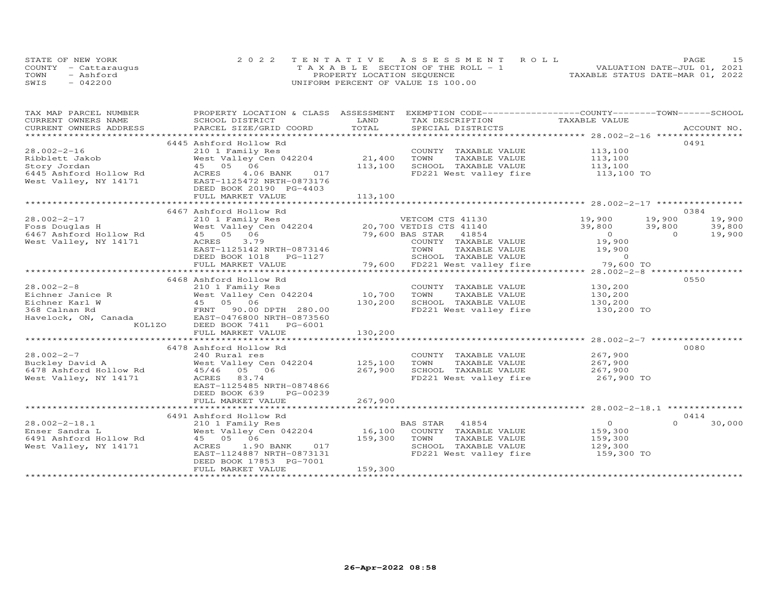|      | STATE OF NEW YORK    | 2022 TENTATIVE ASSESSMENT ROLL        | 15<br>PAGE.                      |
|------|----------------------|---------------------------------------|----------------------------------|
|      | COUNTY - Cattarauqus | T A X A B L E SECTION OF THE ROLL - 1 | VALUATION DATE-JUL 01, 2021      |
| TOWN | - Ashford            | PROPERTY LOCATION SEQUENCE            | TAXABLE STATUS DATE-MAR 01, 2022 |
| SWIS | $-042200$            | UNIFORM PERCENT OF VALUE IS 100.00    |                                  |

| TAX MAP PARCEL NUMBER                                                                                                                                                                                                          | PROPERTY LOCATION & CLASS ASSESSMENT                 |         | EXEMPTION CODE-----------------COUNTY-------TOWN------SCHOOL                                                                                                                                                                             |                       |                    |
|--------------------------------------------------------------------------------------------------------------------------------------------------------------------------------------------------------------------------------|------------------------------------------------------|---------|------------------------------------------------------------------------------------------------------------------------------------------------------------------------------------------------------------------------------------------|-----------------------|--------------------|
| CURRENT OWNERS NAME                                                                                                                                                                                                            | SCHOOL DISTRICT                                      | LAND    | TAX DESCRIPTION                                                                                                                                                                                                                          | TAXABLE VALUE         |                    |
| .CURRENT OWNERS ADDRESS PARCEL SIZE/GRID COORD TOTAL SPECIAL DISTRICTS ACCOUNT NO ACCOUNT NO ACCOUNT NO ARE A LIST AND A LIST ASSESS AND A LIST AND A LIST AND A LIST AND A LIST AND A LIST AND A LIST AND A LIST AND A LIST A |                                                      |         |                                                                                                                                                                                                                                          |                       |                    |
|                                                                                                                                                                                                                                |                                                      |         |                                                                                                                                                                                                                                          |                       |                    |
|                                                                                                                                                                                                                                | 6445 Ashford Hollow Rd                               |         |                                                                                                                                                                                                                                          |                       | 0491               |
| $28.002 - 2 - 16$                                                                                                                                                                                                              | 210 1 Family Res                                     |         | COUNTY TAXABLE VALUE                                                                                                                                                                                                                     | 113,100               |                    |
| Ribblett Jakob                                                                                                                                                                                                                 | West Valley Cen $042204$ 21,400                      |         | TOWN<br>TAXABLE VALUE                                                                                                                                                                                                                    |                       |                    |
| Story Jordan                                                                                                                                                                                                                   | 45 05 06                                             | 113,100 | SCHOOL TAXABLE VALUE                                                                                                                                                                                                                     | 113,100<br>113,100    |                    |
| 6445 Ashford Hollow Rd                                                                                                                                                                                                         | ACRES<br>4.06 BANK 017                               |         | FD221 West valley fire 113,100 TO                                                                                                                                                                                                        |                       |                    |
| West Valley, NY 14171                                                                                                                                                                                                          | EAST-1125472 NRTH-0873176                            |         |                                                                                                                                                                                                                                          |                       |                    |
|                                                                                                                                                                                                                                | DEED BOOK 20190 PG-4403                              |         |                                                                                                                                                                                                                                          |                       |                    |
|                                                                                                                                                                                                                                | FULL MARKET VALUE                                    | 113,100 |                                                                                                                                                                                                                                          |                       |                    |
|                                                                                                                                                                                                                                |                                                      |         |                                                                                                                                                                                                                                          |                       |                    |
|                                                                                                                                                                                                                                | 6467 Ashford Hollow Rd                               |         |                                                                                                                                                                                                                                          |                       | 0384               |
| $28.002 - 2 - 17$                                                                                                                                                                                                              |                                                      |         | 210 1 Family Res<br>West Valley Cen 042204 20,700 VETDIS CTS 41140 39,800 39,800<br>45 05 06 06 20,700 VETDIS CTS 41140 39,800 39,800<br>45 05 06 79,600 BAS STARE VALUE 0<br>ACRES 3.79 COUNTY TAXABLE VALUE 19,900 0<br>EAST-1125142 N |                       | 19,900             |
|                                                                                                                                                                                                                                |                                                      |         |                                                                                                                                                                                                                                          |                       | 39,800             |
|                                                                                                                                                                                                                                |                                                      |         |                                                                                                                                                                                                                                          |                       | 19,900             |
| West Valley, NY 14171                                                                                                                                                                                                          |                                                      |         |                                                                                                                                                                                                                                          |                       |                    |
|                                                                                                                                                                                                                                | EAST-1125142 NRTH-0873146                            |         | TAXABLE VALUE 19,900                                                                                                                                                                                                                     |                       |                    |
|                                                                                                                                                                                                                                |                                                      |         |                                                                                                                                                                                                                                          |                       |                    |
|                                                                                                                                                                                                                                | FULL MARKET VALUE                                    |         |                                                                                                                                                                                                                                          |                       |                    |
|                                                                                                                                                                                                                                |                                                      |         |                                                                                                                                                                                                                                          |                       |                    |
|                                                                                                                                                                                                                                | 6468 Ashford Hollow Rd                               |         |                                                                                                                                                                                                                                          |                       | 0550               |
| $28.002 - 2 - 8$                                                                                                                                                                                                               | 210 1 Family Res                                     |         | COUNTY TAXABLE VALUE                                                                                                                                                                                                                     | 130,200               |                    |
|                                                                                                                                                                                                                                | 210 1 Family Res<br>West Valley Cen 042204           | 10,700  | TOWN<br>TAXABLE VALUE                                                                                                                                                                                                                    | 130,200               |                    |
| 28.002-2-8<br>Eichner Janice R<br>Eichner Karl W (1985 Valley Cen 042204<br>368 Calnan Rd (1986 Valley Cen 042204<br>368 Calnan Rd (1987 19.00 DPTH 280.00<br>Havelock, ON, Canada (1985-0476800 NRTH-0873560                  |                                                      | 130,200 |                                                                                                                                                                                                                                          |                       |                    |
|                                                                                                                                                                                                                                |                                                      |         | SCHOOL TAXABLE VALUE 130,200<br>FD221 West valley fire 130,200 TO<br>FD221 West valley fire                                                                                                                                              |                       |                    |
|                                                                                                                                                                                                                                |                                                      |         |                                                                                                                                                                                                                                          |                       |                    |
| K0L1ZO                                                                                                                                                                                                                         | DEED BOOK 7411    PG-6001                            |         |                                                                                                                                                                                                                                          |                       |                    |
|                                                                                                                                                                                                                                | FULL MARKET VALUE                                    | 130,200 |                                                                                                                                                                                                                                          |                       |                    |
|                                                                                                                                                                                                                                |                                                      |         |                                                                                                                                                                                                                                          |                       |                    |
|                                                                                                                                                                                                                                | 6478 Ashford Hollow Rd                               |         |                                                                                                                                                                                                                                          |                       | 0080               |
| $28.002 - 2 - 7$                                                                                                                                                                                                               | 240 Rural res                                        |         | COUNTY TAXABLE VALUE                                                                                                                                                                                                                     |                       |                    |
| Buckley David A                                                                                                                                                                                                                | West Valley Cen 042204 125,100                       |         | TOWN<br>TAXABLE VALUE                                                                                                                                                                                                                    | 267,900<br>267,900    |                    |
| 6478 Ashford Hollow Rd                                                                                                                                                                                                         | 45/46 05 06                                          | 267,900 | SCHOOL TAXABLE VALUE                                                                                                                                                                                                                     |                       |                    |
| West Valley, NY 14171                                                                                                                                                                                                          | ACRES 83.74                                          |         | FD221 West valley fire                                                                                                                                                                                                                   | 267,900<br>267,900 TO |                    |
|                                                                                                                                                                                                                                | EAST-1125485 NRTH-0874866                            |         |                                                                                                                                                                                                                                          |                       |                    |
|                                                                                                                                                                                                                                | DEED BOOK 639<br>PG-00239                            |         |                                                                                                                                                                                                                                          |                       |                    |
|                                                                                                                                                                                                                                | FULL MARKET VALUE                                    | 267,900 |                                                                                                                                                                                                                                          |                       |                    |
|                                                                                                                                                                                                                                |                                                      |         |                                                                                                                                                                                                                                          |                       |                    |
|                                                                                                                                                                                                                                | 6491 Ashford Hollow Rd                               |         |                                                                                                                                                                                                                                          |                       | 0414               |
| $28.002 - 2 - 18.1$                                                                                                                                                                                                            |                                                      |         | BAS STAR 41854                                                                                                                                                                                                                           | $\overline{0}$        | $\Omega$<br>30,000 |
| Enser Sandra L                                                                                                                                                                                                                 | 210 1 Family Res BP<br>West Valley Cen 042204 16,100 |         | COUNTY TAXABLE VALUE                                                                                                                                                                                                                     | 159,300               |                    |
|                                                                                                                                                                                                                                | 45 05 06                                             | 159,300 | TOWN<br>TAXABLE VALUE                                                                                                                                                                                                                    | 159,300               |                    |
| 6491 Ashford Hollow Rd<br>West Vallev, NY 14171<br>West Valley, NY 14171                                                                                                                                                       | ACRES<br>1.90 BANK 017                               |         | SCHOOL TAXABLE VALUE                                                                                                                                                                                                                     | 129,300               |                    |
|                                                                                                                                                                                                                                | EAST-1124887 NRTH-0873131                            |         | FD221 West valley fire 159,300 TO                                                                                                                                                                                                        |                       |                    |
|                                                                                                                                                                                                                                | DEED BOOK 17853 PG-7001                              |         |                                                                                                                                                                                                                                          |                       |                    |
|                                                                                                                                                                                                                                | FULL MARKET VALUE                                    | 159,300 |                                                                                                                                                                                                                                          |                       |                    |
|                                                                                                                                                                                                                                |                                                      |         |                                                                                                                                                                                                                                          |                       |                    |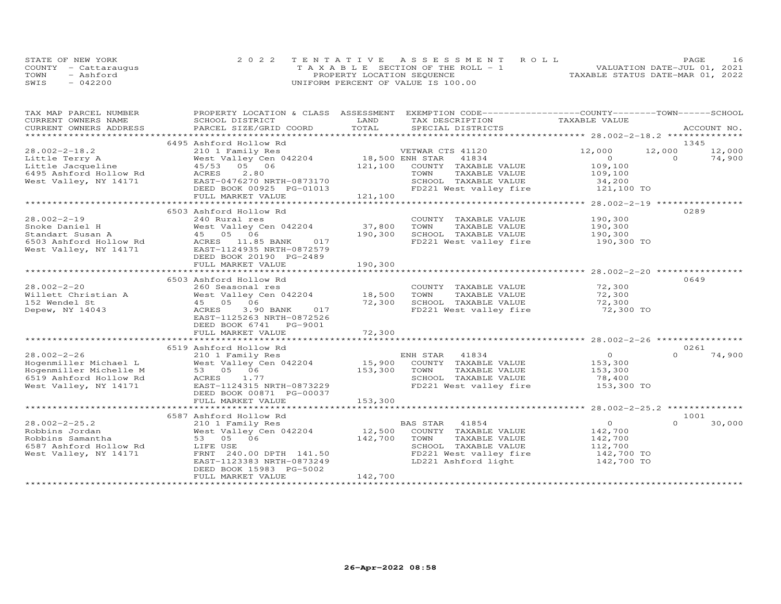|      | STATE OF NEW YORK    | 2022 TENTATIVE ASSESSMENT ROLL        | 16<br>PAGE                       |
|------|----------------------|---------------------------------------|----------------------------------|
|      | COUNTY - Cattaraugus | T A X A B L E SECTION OF THE ROLL - 1 | VALUATION DATE-JUL 01, 2021      |
| TOWN | - Ashford            | PROPERTY LOCATION SEQUENCE            | TAXABLE STATUS DATE-MAR 01, 2022 |
| SWIS | $-042200$            | UNIFORM PERCENT OF VALUE IS 100.00    |                                  |

| TAX MAP PARCEL NUMBER                           | PROPERTY LOCATION & CLASS ASSESSMENT |                                  | EXEMPTION CODE-----------------COUNTY-------TOWN------SCHOOL |
|-------------------------------------------------|--------------------------------------|----------------------------------|--------------------------------------------------------------|
| CURRENT OWNERS NAME                             | SCHOOL DISTRICT                      | LAND<br>TAX DESCRIPTION          | TAXABLE VALUE                                                |
| CURRENT OWNERS ADDRESS<br>********************* | PARCEL SIZE/GRID COORD               | TOTAL<br>SPECIAL DISTRICTS       | ACCOUNT NO.                                                  |
|                                                 |                                      |                                  |                                                              |
|                                                 | 6495 Ashford Hollow Rd               |                                  | 1345<br>12,000                                               |
| $28.002 - 2 - 18.2$                             | 210 1 Family Res                     | VETWAR CTS 41120                 | 12,000<br>12,000                                             |
| Little Terry A                                  | West Valley Cen 042204               | 18,500 ENH STAR<br>41834         | $\circ$<br>$\Omega$<br>74,900                                |
| Little Jacqueline                               | 05 06<br>45/53                       | 121,100<br>COUNTY TAXABLE VALUE  | 109,100                                                      |
| 6495 Ashford Hollow Rd                          | 2,80<br>ACRES                        | TOWN<br>TAXABLE VALUE            | 109,100                                                      |
| West Valley, NY 14171                           | EAST-0476270 NRTH-0873170            | SCHOOL TAXABLE VALUE             | 34,200                                                       |
|                                                 | DEED BOOK 00925 PG-01013             | FD221 West valley fire           | 121,100 TO                                                   |
|                                                 | FULL MARKET VALUE                    | 121,100                          |                                                              |
|                                                 |                                      |                                  |                                                              |
|                                                 | 6503 Ashford Hollow Rd               |                                  | 0289                                                         |
| $28.002 - 2 - 19$                               | 240 Rural res                        | COUNTY TAXABLE VALUE             | 190,300                                                      |
| Snoke Daniel H                                  | West Valley Cen 042204               | 37,800<br>TOWN<br>TAXABLE VALUE  | 190,300                                                      |
| Standart Susan A                                | 45 05 06                             | 190,300<br>SCHOOL TAXABLE VALUE  | 190,300                                                      |
| 6503 Ashford Hollow Rd                          | ACRES 11.85 BANK<br>017              | FD221 West valley fire           | 190,300 TO                                                   |
| West Valley, NY 14171                           | EAST-1124935 NRTH-0872579            |                                  |                                                              |
|                                                 | DEED BOOK 20190 PG-2489              |                                  |                                                              |
|                                                 | FULL MARKET VALUE                    | 190,300                          |                                                              |
|                                                 |                                      |                                  | ************************ 28.002-2-20 ****                    |
|                                                 | 6503 Ashford Hollow Rd               |                                  | 0649                                                         |
| $28.002 - 2 - 20$                               | 260 Seasonal res                     | COUNTY TAXABLE VALUE             | 72,300                                                       |
| Willett Christian A                             | West Valley Cen 042204               | 18,500<br>TOWN<br>TAXABLE VALUE  | 72,300                                                       |
| 152 Wendel St                                   | 45 05 06                             | 72,300<br>SCHOOL TAXABLE VALUE   | 72,300                                                       |
| Depew, NY 14043                                 | 3.90 BANK<br>ACRES<br>017            | FD221 West valley fire           | 72,300 TO                                                    |
|                                                 | EAST-1125263 NRTH-0872526            |                                  |                                                              |
|                                                 | DEED BOOK 6741<br>PG-9001            |                                  |                                                              |
|                                                 | FULL MARKET VALUE                    | 72,300                           |                                                              |
|                                                 |                                      |                                  |                                                              |
|                                                 | 6519 Ashford Hollow Rd               |                                  | 0261                                                         |
| $28.002 - 2 - 26$                               | 210 1 Family Res                     | ENH STAR<br>41834                | $\overline{O}$<br>$\Omega$<br>74,900                         |
| Hogenmiller Michael L                           | West Valley Cen 042204               | 15,900<br>COUNTY TAXABLE VALUE   | 153,300                                                      |
| Hogenmiller Michelle M                          | 53 05 06                             | 153,300<br>TOWN<br>TAXABLE VALUE | 153,300                                                      |
| 6519 Ashford Hollow Rd                          | 1.77<br>ACRES                        | SCHOOL TAXABLE VALUE             | 78,400                                                       |
| West Valley, NY 14171                           | EAST-1124315 NRTH-0873229            | FD221 West valley fire           | 153,300 TO                                                   |
|                                                 | DEED BOOK 00871 PG-00037             |                                  |                                                              |
|                                                 | FULL MARKET VALUE                    | 153,300                          |                                                              |
|                                                 | **************************           |                                  |                                                              |
|                                                 | 6587 Ashford Hollow Rd               |                                  | 1001                                                         |
| $28.002 - 2 - 25.2$                             | 210 1 Family Res                     | BAS STAR<br>41854                | $\circ$<br>$\Omega$<br>30,000                                |
| Robbins Jordan                                  | West Valley Cen 042204               | 12,500<br>COUNTY TAXABLE VALUE   | 142,700                                                      |
| Robbins Samantha                                | 53 05 06                             | 142,700<br>TOWN<br>TAXABLE VALUE | 142,700                                                      |
| 6587 Ashford Hollow Rd                          | LIFE USE                             | SCHOOL TAXABLE VALUE             | 112,700                                                      |
| West Valley, NY 14171                           | FRNT 240.00 DPTH 141.50              | FD221 West valley fire           | 142,700 TO                                                   |
|                                                 | EAST-1123383 NRTH-0873249            | LD221 Ashford light              | 142,700 TO                                                   |
|                                                 | DEED BOOK 15983 PG-5002              |                                  |                                                              |
|                                                 | FULL MARKET VALUE                    | 142,700                          |                                                              |
|                                                 |                                      |                                  |                                                              |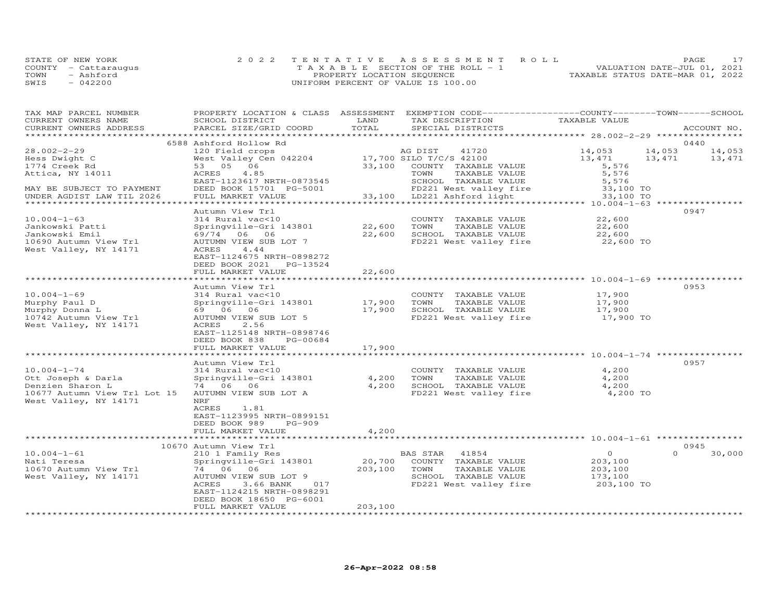|      | STATE OF NEW YORK    | 2022 TENTATIVE ASSESSMENT ROLL        | PAGE.                            |
|------|----------------------|---------------------------------------|----------------------------------|
|      | COUNTY - Cattaraugus | T A X A B L E SECTION OF THE ROLL - 1 | VALUATION DATE-JUL 01, 2021      |
| TOWN | - Ashford            | PROPERTY LOCATION SEQUENCE            | TAXABLE STATUS DATE-MAR 01, 2022 |
| SWIS | $-042200$            | UNIFORM PERCENT OF VALUE IS 100.00    |                                  |

| TAX MAP PARCEL NUMBER<br>CURRENT OWNERS NAME | PROPERTY LOCATION & CLASS ASSESSMENT<br>SCHOOL DISTRICT | LAND                      | EXEMPTION CODE-----------------COUNTY-------TOWN------SCHOOL<br>TAX DESCRIPTION | TAXABLE VALUE   |                            |
|----------------------------------------------|---------------------------------------------------------|---------------------------|---------------------------------------------------------------------------------|-----------------|----------------------------|
| CURRENT OWNERS ADDRESS                       | PARCEL SIZE/GRID COORD                                  | TOTAL                     | SPECIAL DISTRICTS                                                               |                 | ACCOUNT NO.                |
|                                              |                                                         |                           |                                                                                 |                 |                            |
|                                              | 6588 Ashford Hollow Rd                                  |                           |                                                                                 |                 | 0440                       |
| $28.002 - 2 - 29$                            | 120 Field crops                                         |                           | AG DIST<br>41720                                                                | 14,053          | 14,053<br>14,053<br>13,471 |
| Hess Dwight C<br>1774 Creek Rd               | West Valley Cen 042204<br>53 05 06                      | 33,100                    | 17,700 SILO T/C/S 42100<br>COUNTY TAXABLE VALUE                                 | 13,471<br>5,576 | 13,471                     |
| Attica, NY 14011                             | ACRES<br>4.85                                           |                           | TAXABLE VALUE<br>TOWN                                                           | 5,576           |                            |
|                                              | EAST-1123617 NRTH-0873545                               |                           | SCHOOL TAXABLE VALUE                                                            | 5,576           |                            |
| MAY BE SUBJECT TO PAYMENT                    | DEED BOOK 15701 PG-5001                                 |                           | FD221 West valley fire                                                          | 33,100 TO       |                            |
| UNDER AGDIST LAW TIL 2026                    | FULL MARKET VALUE                                       |                           | 33,100 LD221 Ashford light                                                      | 33,100 TO       |                            |
|                                              |                                                         |                           |                                                                                 |                 |                            |
|                                              | Autumn View Trl                                         |                           |                                                                                 |                 | 0947                       |
| $10.004 - 1 - 63$                            | 314 Rural vac<10                                        |                           | COUNTY TAXABLE VALUE                                                            | 22,600          |                            |
| Jankowski Patti                              | Springville-Gri 143801                                  | 22,600                    | TOWN<br>TAXABLE VALUE                                                           | 22,600          |                            |
| Jankowski Emil                               | 69/74 06 06                                             | 22,600                    | SCHOOL TAXABLE VALUE                                                            | 22,600          |                            |
| 10690 Autumn View Trl                        | AUTUMN VIEW SUB LOT 7                                   |                           | FD221 West valley fire                                                          | 22,600 TO       |                            |
| West Valley, NY 14171                        | 4.44<br>ACRES                                           |                           |                                                                                 |                 |                            |
|                                              | EAST-1124675 NRTH-0898272                               |                           |                                                                                 |                 |                            |
|                                              | DEED BOOK 2021<br>PG-13524                              |                           |                                                                                 |                 |                            |
|                                              | FULL MARKET VALUE                                       | 22,600                    |                                                                                 |                 |                            |
|                                              | ***************************                             | * * * * * * * * * * * * * |                                                                                 |                 |                            |
|                                              | Autumn View Trl                                         |                           |                                                                                 |                 | 0953                       |
| $10.004 - 1 - 69$                            | 314 Rural vac<10                                        |                           | COUNTY TAXABLE VALUE                                                            | 17,900          |                            |
| Murphy Paul D                                | Springville-Gri 143801                                  | 17,900                    | TOWN<br>TAXABLE VALUE                                                           | 17,900          |                            |
| Murphy Donna L                               | 69 06 06                                                | 17,900                    | SCHOOL TAXABLE VALUE                                                            | 17,900          |                            |
| 10742 Autumn View Trl                        | AUTUMN VIEW SUB LOT 5                                   |                           | FD221 West valley fire                                                          | 17,900 TO       |                            |
| West Valley, NY 14171                        | ACRES<br>2.56                                           |                           |                                                                                 |                 |                            |
|                                              | EAST-1125148 NRTH-0898746                               |                           |                                                                                 |                 |                            |
|                                              | DEED BOOK 838<br>PG-00684                               |                           |                                                                                 |                 |                            |
|                                              | FULL MARKET VALUE                                       | 17,900                    |                                                                                 |                 |                            |
|                                              |                                                         |                           |                                                                                 |                 | 0957                       |
| $10.004 - 1 - 74$                            | Autumn View Trl<br>314 Rural vac<10                     |                           | COUNTY TAXABLE VALUE                                                            | 4,200           |                            |
| Ott Joseph & Darla                           | Springville-Gri 143801                                  | 4,200                     | TOWN<br>TAXABLE VALUE                                                           | 4,200           |                            |
| Denzien Sharon L                             | 74 06 06                                                | 4,200                     | SCHOOL TAXABLE VALUE                                                            | 4,200           |                            |
| 10677 Autumn View Trl Lot 15                 | AUTUMN VIEW SUB LOT A                                   |                           | FD221 West valley fire                                                          | 4,200 TO        |                            |
| West Valley, NY 14171                        | NRF                                                     |                           |                                                                                 |                 |                            |
|                                              | ACRES<br>1.81                                           |                           |                                                                                 |                 |                            |
|                                              | EAST-1123995 NRTH-0899151                               |                           |                                                                                 |                 |                            |
|                                              | DEED BOOK 989<br>PG-909                                 |                           |                                                                                 |                 |                            |
|                                              | FULL MARKET VALUE                                       | 4,200                     |                                                                                 |                 |                            |
|                                              | ******************************                          | *************             |                                                                                 |                 |                            |
|                                              | 10670 Autumn View Trl                                   |                           |                                                                                 |                 | 0945                       |
| $10.004 - 1 - 61$                            | 210 1 Family Res                                        |                           | BAS STAR 41854                                                                  | $\overline{O}$  | $\Omega$<br>30,000         |
| Nati Teresa                                  | Springville-Gri 143801                                  | 20,700                    | COUNTY TAXABLE VALUE                                                            | 203,100         |                            |
| 10670 Autumn View Trl                        | 74 06 06                                                | 203,100                   | TOWN<br>TAXABLE VALUE                                                           | 203,100         |                            |
| West Valley, NY 14171                        | AUTUMN VIEW SUB LOT 9                                   |                           | SCHOOL TAXABLE VALUE                                                            | 173,100         |                            |
|                                              | ACRES<br>3.66 BANK<br>017                               |                           | FD221 West valley fire                                                          | 203,100 TO      |                            |
|                                              | EAST-1124215 NRTH-0898291                               |                           |                                                                                 |                 |                            |
|                                              | DEED BOOK 18650 PG-6001                                 |                           |                                                                                 |                 |                            |
|                                              | FULL MARKET VALUE                                       | 203,100                   |                                                                                 |                 |                            |
| *************************                    |                                                         |                           |                                                                                 |                 |                            |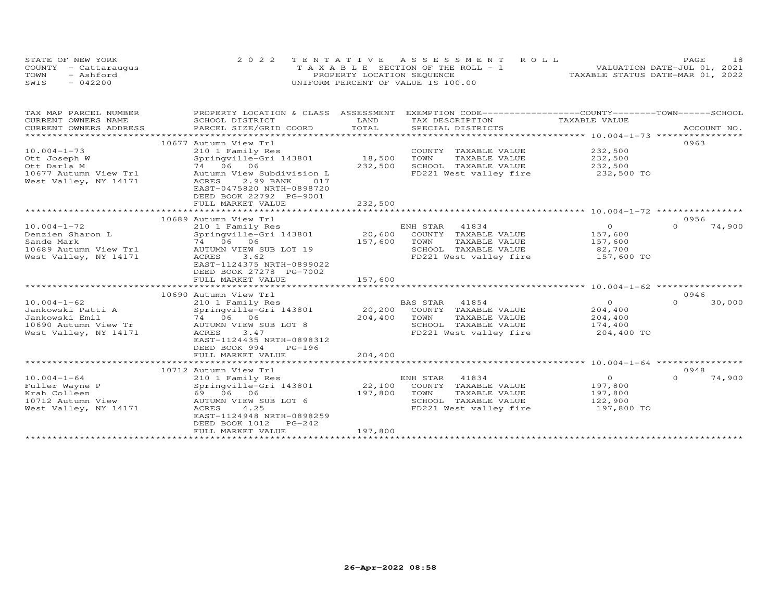| STATE OF NEW YORK    | 2022 TENTATIVE ASSESSMENT ROLL        |  |                                  | PAGE | 18 |
|----------------------|---------------------------------------|--|----------------------------------|------|----|
| COUNTY - Cattaraugus | T A X A B L E SECTION OF THE ROLL - 1 |  | VALUATION DATE-JUL 01, 2021      |      |    |
| TOWN<br>- Ashford    | PROPERTY LOCATION SEQUENCE            |  | TAXABLE STATUS DATE-MAR 01, 2022 |      |    |
| SWIS<br>$-042200$    | UNIFORM PERCENT OF VALUE IS 100.00    |  |                                  |      |    |

| TAX MAP PARCEL NUMBER<br>CURRENT OWNERS NAME<br>CURRENT OWNERS ADDRESS                                    | PROPERTY LOCATION & CLASS ASSESSMENT<br>SCHOOL DISTRICT<br>PARCEL SIZE/GRID COORD                                                                                                                                      | LAND<br>TOTAL                                              | TAX DESCRIPTION<br>SPECIAL DISTRICTS                                                               | EXEMPTION CODE-----------------COUNTY-------TOWN------SCHOOL<br>TAXABLE VALUE | ACCOUNT NO.                |
|-----------------------------------------------------------------------------------------------------------|------------------------------------------------------------------------------------------------------------------------------------------------------------------------------------------------------------------------|------------------------------------------------------------|----------------------------------------------------------------------------------------------------|-------------------------------------------------------------------------------|----------------------------|
| $10.004 - 1 - 73$<br>Ott Joseph W<br>Ott Darla M<br>10677 Autumn View Trl<br>West Valley, NY 14171        | 10677 Autumn View Trl<br>210 1 Family Res<br>Springville-Gri 143801<br>74 06 06<br>Autumn View Subdivision L<br>ACRES<br>2.99 BANK<br>017<br>EAST-0475820 NRTH-0898720<br>DEED BOOK 22792 PG-9001<br>FULL MARKET VALUE | 18,500<br>TOWN<br>232,500<br>232,500                       | COUNTY TAXABLE VALUE<br>TAXABLE VALUE<br>SCHOOL TAXABLE VALUE<br>FD221 West valley fire            | 232,500<br>232,500<br>232,500<br>232,500 TO                                   | 0963                       |
|                                                                                                           | 10689 Autumn View Trl                                                                                                                                                                                                  |                                                            |                                                                                                    |                                                                               | 0956                       |
| $10.004 - 1 - 72$<br>Denzien Sharon L<br>Sande Mark<br>10689 Autumn View Trl<br>West Valley, NY 14171     | 210 1 Family Res<br>Springville-Gri 143801<br>74 06 06<br>AUTUMN VIEW SUB LOT 19<br>3.62<br>ACRES<br>EAST-1124375 NRTH-0899022<br>DEED BOOK 27278 PG-7002<br>FULL MARKET VALUE                                         | ENH STAR<br>20,600<br>157,600<br>TOWN<br>157,600           | 41834<br>COUNTY TAXABLE VALUE<br>TAXABLE VALUE<br>SCHOOL TAXABLE VALUE<br>FD221 West valley fire   | $\circ$<br>157,600<br>157,600<br>82,700<br>157,600 TO                         | $\Omega$<br>74,900         |
|                                                                                                           |                                                                                                                                                                                                                        |                                                            |                                                                                                    |                                                                               |                            |
| $10.004 - 1 - 62$<br>Jankowski Patti A<br>Jankowski Emil<br>10690 Autumn View Tr<br>West Valley, NY 14171 | 10690 Autumn View Trl<br>210 1 Family Res<br>Springville-Gri 143801<br>74 06 06<br>AUTUMN VIEW SUB LOT 8<br>ACRES<br>3.47<br>EAST-1124435 NRTH-0898312<br>DEED BOOK 994<br>$PG-196$<br>FULL MARKET VALUE               | 20,200<br>204,400<br>TOWN<br>SCHOOL<br>204,400             | BAS STAR 41854<br>COUNTY TAXABLE VALUE<br>TAXABLE VALUE<br>TAXABLE VALUE<br>FD221 West valley fire | $\circ$<br>204,400<br>204,400<br>174,400<br>204,400 TO                        | 0946<br>$\Omega$<br>30,000 |
|                                                                                                           |                                                                                                                                                                                                                        |                                                            |                                                                                                    |                                                                               |                            |
| $10.004 - 1 - 64$<br>Fuller Wayne P<br>Krah Colleen<br>10712 Autumn View<br>West Valley, NY 14171         | 10712 Autumn View Trl<br>210 1 Family Res<br>Springville-Gri 143801<br>69 06 06<br>AUTUMN VIEW SUB LOT 6<br>4.25<br>ACRES<br>EAST-1124948 NRTH-0898259<br>DEED BOOK 1012<br>PG-242<br>FULL MARKET VALUE                | ENH STAR<br>22,100<br>197,800<br>TOWN<br>SCHOOL<br>197,800 | 41834<br>COUNTY TAXABLE VALUE<br>TAXABLE VALUE<br>TAXABLE VALUE<br>FD221 West valley fire          | $\overline{O}$<br>197,800<br>197,800<br>122,900<br>197,800 TO                 | 0948<br>$\Omega$<br>74,900 |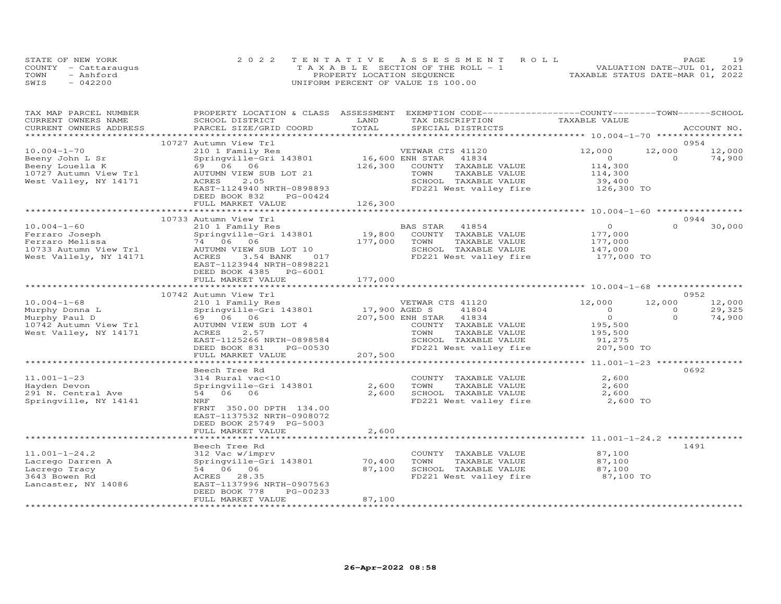|      | STATE OF NEW YORK    | 2022 TENTATIVE ASSESSMENT ROLL        | 19<br>PAGE                       |
|------|----------------------|---------------------------------------|----------------------------------|
|      | COUNTY - Cattarauqus | T A X A B L E SECTION OF THE ROLL - 1 | VALUATION DATE-JUL 01, 2021      |
| TOWN | - Ashford            | PROPERTY LOCATION SEQUENCE            | TAXABLE STATUS DATE-MAR 01, 2022 |
| SWIS | $-042200$            | UNIFORM PERCENT OF VALUE IS 100.00    |                                  |

| TAX MAP PARCEL NUMBER<br>CURRENT OWNERS NAME                                    | PROPERTY LOCATION & CLASS ASSESSMENT EXEMPTION CODE----------------COUNTY-------TOWN-----SCHOOL<br>SCHOOL DISTRICT | LAND                       | TAX DESCRIPTION                                                                            | TAXABLE VALUE                            |                    |                  |
|---------------------------------------------------------------------------------|--------------------------------------------------------------------------------------------------------------------|----------------------------|--------------------------------------------------------------------------------------------|------------------------------------------|--------------------|------------------|
| CURRENT OWNERS ADDRESS                                                          | PARCEL SIZE/GRID COORD                                                                                             | TOTAL                      | SPECIAL DISTRICTS                                                                          |                                          |                    | ACCOUNT NO.      |
|                                                                                 | 10727 Autumn View Trl                                                                                              |                            |                                                                                            |                                          |                    | 0954             |
| $10.004 - 1 - 70$<br>Beeny John L Sr<br>Beeny Louella K                         | 210 1 Family Res<br>Springville-Gri 143801<br>69 06 06                                                             | 16,600 ENH STAR<br>126,300 | VETWAR CTS 41120<br>41834<br>COUNTY TAXABLE VALUE                                          | 12,000<br>$\circ$<br>114,300             | 12,000<br>$\Omega$ | 12,000<br>74,900 |
| 10727 Autumn View Trl<br>West Valley, NY 14171                                  | AUTUMN VIEW SUB LOT 21<br>2.05<br>ACRES<br>EAST-1124940 NRTH-0898893                                               |                            | TAXABLE VALUE<br>TOWN<br>SCHOOL TAXABLE VALUE<br>FD221 West valley fire                    | 114,300<br>39,400<br>126,300 TO          |                    |                  |
|                                                                                 | DEED BOOK 832<br>PG-00424<br>FULL MARKET VALUE                                                                     | 126,300                    |                                                                                            |                                          |                    |                  |
|                                                                                 |                                                                                                                    | *************              |                                                                                            |                                          |                    |                  |
|                                                                                 | 10733 Autumn View Trl                                                                                              |                            |                                                                                            |                                          |                    | 0944             |
| $10.004 - 1 - 60$<br>Ferraro Joseph<br>Ferraro Melissa<br>10733 Autumn View Trl | 210 1 Family Res<br>Springville-Gri 143801<br>74 06 06<br>AUTUMN VIEW SUB LOT 10                                   | 19,800<br>177,000          | BAS STAR<br>41854<br>COUNTY TAXABLE VALUE<br>TOWN<br>TAXABLE VALUE<br>SCHOOL TAXABLE VALUE | $\circ$<br>177,000<br>177,000<br>147,000 | $\Omega$           | 30,000           |
| West Vallely, NY 14171                                                          | ACRES<br>3.54 BANK<br>017<br>EAST-1123944 NRTH-0898221<br>DEED BOOK 4385<br>PG-6001<br>FULL MARKET VALUE           | 177,000                    | FD221 West valley fire                                                                     | 177,000 TO                               |                    |                  |
|                                                                                 |                                                                                                                    |                            |                                                                                            |                                          |                    |                  |
|                                                                                 | 10742 Autumn View Trl                                                                                              |                            |                                                                                            |                                          |                    | 0952             |
| $10.004 - 1 - 68$                                                               | 210 1 Family Res                                                                                                   |                            | VETWAR CTS 41120                                                                           | 12,000                                   | 12,000             | 12,000           |
| Murphy Donna L                                                                  | Springville-Gri 143801                                                                                             | 17,900 AGED S              | 41804                                                                                      | $\Omega$                                 | $\Omega$           | 29,325           |
| Murphy Paul D                                                                   | 69 06 06                                                                                                           |                            | 207,500 ENH STAR<br>41834                                                                  | $\circ$<br>195,500                       | $\Omega$           | 74,900           |
| 10742 Autumn View Trl<br>West Valley, NY 14171                                  | AUTUMN VIEW SUB LOT 4<br>ACRES<br>2.57                                                                             |                            | COUNTY TAXABLE VALUE<br>TAXABLE VALUE<br>TOWN                                              | 195,500                                  |                    |                  |
|                                                                                 | EAST-1125266 NRTH-0898584<br>DEED BOOK 831<br>PG-00530                                                             |                            | SCHOOL TAXABLE VALUE<br>FD221 West valley fire                                             | 91,275<br>207,500 TO                     |                    |                  |
|                                                                                 | FULL MARKET VALUE                                                                                                  | 207,500                    |                                                                                            |                                          |                    |                  |
|                                                                                 |                                                                                                                    |                            |                                                                                            |                                          |                    |                  |
|                                                                                 | Beech Tree Rd                                                                                                      |                            |                                                                                            |                                          |                    | 0692             |
| $11.001 - 1 - 23$                                                               | 314 Rural vac<10                                                                                                   |                            | COUNTY TAXABLE VALUE                                                                       | 2,600                                    |                    |                  |
| Hayden Devon                                                                    | Springville-Gri 143801                                                                                             | 2,600                      | TOWN<br>TAXABLE VALUE                                                                      | 2,600                                    |                    |                  |
| 291 N. Central Ave                                                              | 54 06 06                                                                                                           | 2,600                      | SCHOOL TAXABLE VALUE                                                                       | 2,600                                    |                    |                  |
| Springville, NY 14141                                                           | NRF<br>FRNT 350.00 DPTH 134.00<br>EAST-1137532 NRTH-0908072<br>DEED BOOK 25749 PG-5003<br>FULL MARKET VALUE        | 2,600                      | FD221 West valley fire                                                                     | 2,600 TO                                 |                    |                  |
|                                                                                 |                                                                                                                    |                            |                                                                                            |                                          |                    |                  |
|                                                                                 | Beech Tree Rd                                                                                                      |                            |                                                                                            |                                          |                    | 1491             |
| $11.001 - 1 - 24.2$                                                             | 312 Vac w/imprv                                                                                                    |                            | COUNTY TAXABLE VALUE                                                                       | 87,100                                   |                    |                  |
| Lacrego Darren A                                                                | Springville-Gri 143801                                                                                             | 70,400                     | TAXABLE VALUE<br>TOWN                                                                      | 87,100                                   |                    |                  |
| Lacrego Tracy                                                                   | 54 06 06                                                                                                           | 87,100                     | SCHOOL TAXABLE VALUE                                                                       | 87,100                                   |                    |                  |
| 3643 Bowen Rd<br>Lancaster, NY 14086                                            | ACRES 28.35<br>EAST-1137996 NRTH-0907563<br>DEED BOOK 778<br>PG-00233                                              |                            | FD221 West valley fire                                                                     | 87,100 TO                                |                    |                  |
|                                                                                 | FULL MARKET VALUE                                                                                                  | 87,100                     |                                                                                            |                                          |                    |                  |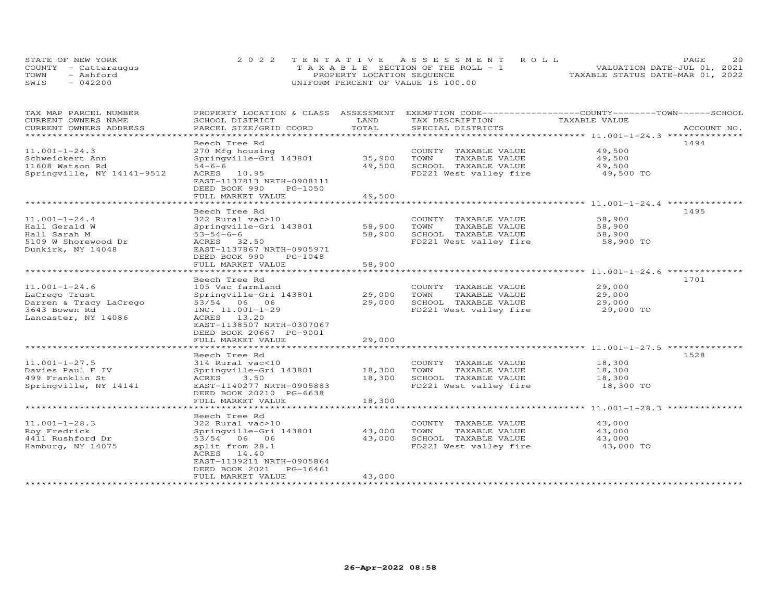| STATE OF NEW YORK    | 2022 TENTATIVE ASSESSMENT ROLL        | 20<br><b>PAGE</b>                |
|----------------------|---------------------------------------|----------------------------------|
| COUNTY - Cattaraugus | T A X A B L E SECTION OF THE ROLL - 1 | VALUATION DATE-JUL 01, 2021      |
| TOWN<br>- Ashford    | PROPERTY LOCATION SEQUENCE            | TAXABLE STATUS DATE-MAR 01, 2022 |
| $-042200$<br>SWIS    | UNIFORM PERCENT OF VALUE IS 100.00    |                                  |

| TAX MAP PARCEL NUMBER<br>CURRENT OWNERS NAME  | PROPERTY LOCATION & CLASS ASSESSMENT<br>SCHOOL DISTRICT                                   | LAND                 | EXEMPTION CODE-----------------COUNTY-------TOWN------SCHOOL<br>TAX DESCRIPTION | TAXABLE VALUE    |             |
|-----------------------------------------------|-------------------------------------------------------------------------------------------|----------------------|---------------------------------------------------------------------------------|------------------|-------------|
| CURRENT OWNERS ADDRESS<br>******************* | PARCEL SIZE/GRID COORD                                                                    | TOTAL                | SPECIAL DISTRICTS                                                               |                  | ACCOUNT NO. |
|                                               |                                                                                           |                      |                                                                                 |                  |             |
| $11.001 - 1 - 24.3$<br>Schweickert Ann        | Beech Tree Rd<br>270 Mfg housing<br>Springville-Gri 143801                                | 35,900               | COUNTY TAXABLE VALUE<br>TOWN<br>TAXABLE VALUE                                   | 49,500<br>49,500 | 1494        |
| 11608 Watson Rd                               | $54 - 6 - 6$                                                                              | 49,500               | SCHOOL TAXABLE VALUE                                                            | 49,500           |             |
| Springville, NY 14141-9512                    | ACRES 10.95<br>EAST-1137813 NRTH-0908111<br>DEED BOOK 990<br>PG-1050<br>FULL MARKET VALUE | 49,500               | FD221 West valley fire                                                          | 49,500 TO        |             |
|                                               | ********************                                                                      | ******************** |                                                                                 |                  |             |
|                                               | Beech Tree Rd                                                                             |                      |                                                                                 |                  | 1495        |
| $11.001 - 1 - 24.4$                           | 322 Rural vac>10                                                                          |                      | COUNTY TAXABLE VALUE                                                            | 58,900           |             |
| Hall Gerald W                                 | Springville-Gri 143801                                                                    | 58,900               | TOWN<br>TAXABLE VALUE                                                           | 58,900           |             |
| Hall Sarah M                                  | $53 - 54 - 6 - 6$                                                                         | 58,900               | SCHOOL TAXABLE VALUE                                                            | 58,900           |             |
| 5109 W Shorewood Dr<br>Dunkirk, NY 14048      | ACRES 32.50<br>EAST-1137867 NRTH-0905971<br>DEED BOOK 990<br>PG-1048                      |                      | FD221 West valley fire                                                          | 58,900 TO        |             |
|                                               | FULL MARKET VALUE                                                                         | 58,900               |                                                                                 |                  |             |
|                                               |                                                                                           |                      |                                                                                 |                  |             |
|                                               | Beech Tree Rd                                                                             |                      |                                                                                 |                  | 1701        |
| $11.001 - 1 - 24.6$                           | 105 Vac farmland                                                                          |                      | COUNTY TAXABLE VALUE                                                            | 29,000           |             |
| LaCrego Trust                                 | Springville-Gri 143801                                                                    | 29,000               | TOWN<br>TAXABLE VALUE                                                           | 29,000           |             |
| Darren & Tracy LaCrego                        | 53/54 06 06                                                                               | 29,000               | SCHOOL TAXABLE VALUE                                                            | 29,000           |             |
| 3643 Bowen Rd<br>Lancaster, NY 14086          | INC. 11.001-1-29<br>ACRES 13.20<br>EAST-1138507 NRTH-0307067<br>DEED BOOK 20667 PG-9001   |                      | FD221 West valley fire                                                          | 29,000 TO        |             |
|                                               | FULL MARKET VALUE                                                                         | 29,000               |                                                                                 |                  |             |
|                                               | ********************                                                                      | ************         |                                                                                 |                  |             |
|                                               | Beech Tree Rd                                                                             |                      |                                                                                 |                  | 1528        |
| $11.001 - 1 - 27.5$                           | 314 Rural vac<10                                                                          |                      | COUNTY TAXABLE VALUE                                                            | 18,300           |             |
| Davies Paul F IV<br>499 Franklin St           | Springville-Gri 143801<br>ACRES<br>3.50                                                   | 18,300<br>18,300     | TOWN<br>TAXABLE VALUE<br>SCHOOL TAXABLE VALUE                                   | 18,300<br>18,300 |             |
| Springville, NY 14141                         | EAST-1140277 NRTH-0905883                                                                 |                      | FD221 West valley fire                                                          | 18,300 TO        |             |
|                                               | DEED BOOK 20210 PG-6638<br>FULL MARKET VALUE                                              | 18,300               |                                                                                 |                  |             |
|                                               | ***************************                                                               |                      |                                                                                 |                  |             |
|                                               | Beech Tree Rd                                                                             |                      |                                                                                 |                  |             |
| $11.001 - 1 - 28.3$                           | 322 Rural vac>10                                                                          |                      | COUNTY TAXABLE VALUE                                                            | 43,000           |             |
| Roy Fredrick                                  | Springville-Gri 143801                                                                    | 43,000               | TOWN<br>TAXABLE VALUE                                                           | 43,000           |             |
| 4411 Rushford Dr                              | 53/54 06 06                                                                               | 43,000               | SCHOOL TAXABLE VALUE                                                            | 43,000           |             |
| Hamburg, NY 14075                             | split from 28.1<br>ACRES 14.40<br>EAST-1139211 NRTH-0905864<br>DEED BOOK 2021<br>PG-16461 |                      | FD221 West valley fire                                                          | 43,000 TO        |             |
|                                               | FULL MARKET VALUE                                                                         | 43,000               |                                                                                 |                  |             |
|                                               |                                                                                           |                      |                                                                                 |                  |             |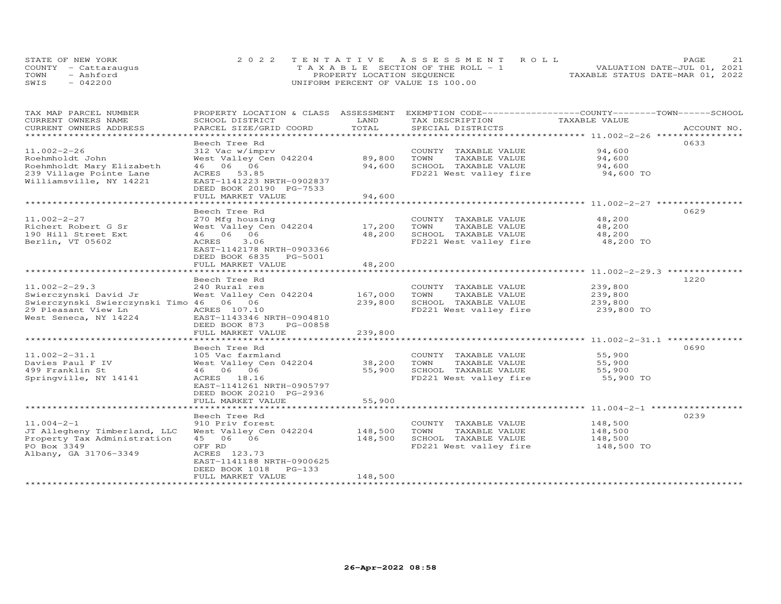|      | STATE OF NEW YORK    | 2022 TENTATIVE ASSESSMENT ROLL     | 21<br>PAGE.                      |
|------|----------------------|------------------------------------|----------------------------------|
|      | COUNTY - Cattarauqus | TAXABLE SECTION OF THE ROLL - 1    | VALUATION DATE-JUL 01, 2021      |
| TOWN | - Ashford            | PROPERTY LOCATION SEQUENCE         | TAXABLE STATUS DATE-MAR 01, 2022 |
| SWIS | $-042200$            | UNIFORM PERCENT OF VALUE IS 100.00 |                                  |

| TAX MAP PARCEL NUMBER<br>CURRENT OWNERS NAME       | PROPERTY LOCATION & CLASS ASSESSMENT<br>SCHOOL DISTRICT | LAND            | EXEMPTION CODE-----------------COUNTY-------TOWN------SCHOOL<br>TAX DESCRIPTION | TAXABLE VALUE                                             |             |
|----------------------------------------------------|---------------------------------------------------------|-----------------|---------------------------------------------------------------------------------|-----------------------------------------------------------|-------------|
| CURRENT OWNERS ADDRESS                             | PARCEL SIZE/GRID COORD                                  | TOTAL           | SPECIAL DISTRICTS                                                               |                                                           | ACCOUNT NO. |
|                                                    |                                                         | *************   |                                                                                 | ********************************* 11.002-2-26 *********** |             |
|                                                    | Beech Tree Rd                                           |                 |                                                                                 |                                                           | 0633        |
| $11.002 - 2 - 26$                                  | 312 Vac w/imprv                                         |                 | COUNTY TAXABLE VALUE                                                            | 94,600                                                    |             |
| Roehmholdt John                                    | West Valley Cen 042204                                  | 89,800          | TOWN<br>TAXABLE VALUE                                                           | 94,600                                                    |             |
| Roehmholdt Mary Elizabeth                          | 46 06 06                                                | 94,600          | SCHOOL TAXABLE VALUE                                                            | 94,600                                                    |             |
| 239 Village Pointe Lane<br>Williamsville, NY 14221 | ACRES 53.85<br>EAST-1141223 NRTH-0902837                |                 | FD221 West valley fire                                                          | 94,600 TO                                                 |             |
|                                                    | DEED BOOK 20190 PG-7533                                 |                 |                                                                                 |                                                           |             |
|                                                    | FULL MARKET VALUE                                       | 94,600          |                                                                                 |                                                           |             |
|                                                    | ******************                                      | *************** |                                                                                 |                                                           |             |
|                                                    | Beech Tree Rd                                           |                 |                                                                                 |                                                           | 0629        |
| $11.002 - 2 - 27$                                  | 270 Mfg housing                                         |                 | COUNTY TAXABLE VALUE                                                            | 48,200                                                    |             |
| Richert Robert G Sr                                | West Valley Cen 042204                                  | 17,200          | TOWN<br>TAXABLE VALUE                                                           | 48,200                                                    |             |
| 190 Hill Street Ext                                | 46 06 06                                                | 48,200          | SCHOOL TAXABLE VALUE                                                            | 48,200                                                    |             |
| Berlin, VT 05602                                   | ACRES<br>3.06                                           |                 | FD221 West valley fire                                                          | 48,200 TO                                                 |             |
|                                                    | EAST-1142178 NRTH-0903366                               |                 |                                                                                 |                                                           |             |
|                                                    | DEED BOOK 6835 PG-5001                                  |                 |                                                                                 |                                                           |             |
|                                                    | FULL MARKET VALUE                                       | 48,200          | .******************************* 11.002—2—29.3 **************                   |                                                           |             |
|                                                    | Beech Tree Rd                                           |                 |                                                                                 |                                                           | 1220        |
| $11.002 - 2 - 29.3$                                | 240 Rural res                                           |                 | COUNTY TAXABLE VALUE                                                            | 239,800                                                   |             |
| Swierczynski David Jr                              | West Valley Cen 042204                                  | 167,000         | TOWN<br>TAXABLE VALUE                                                           | 239,800                                                   |             |
| Swierczynski Swierczynski Timo 46 06 06            |                                                         | 239,800         | SCHOOL TAXABLE VALUE                                                            | 239,800                                                   |             |
| 29 Pleasant View Ln                                | ACRES 107.10                                            |                 | FD221 West valley fire                                                          | 239,800 TO                                                |             |
| West Seneca, NY 14224                              | EAST-1143346 NRTH-0904810                               |                 |                                                                                 |                                                           |             |
|                                                    | DEED BOOK 873<br>PG-00858                               |                 |                                                                                 |                                                           |             |
|                                                    | FULL MARKET VALUE                                       | 239,800         |                                                                                 |                                                           |             |
|                                                    |                                                         |                 |                                                                                 | ******************** 11.002-2-31.1 ************           |             |
|                                                    | Beech Tree Rd                                           |                 |                                                                                 |                                                           | 0690        |
| $11.002 - 2 - 31.1$                                | 105 Vac farmland                                        |                 | COUNTY TAXABLE VALUE                                                            | 55,900                                                    |             |
| Davies Paul F IV                                   | West Valley Cen 042204                                  | 38,200          | TOWN<br>TAXABLE VALUE                                                           | 55,900                                                    |             |
| 499 Franklin St<br>Springville, NY 14141           | 46 06 06<br>ACRES 18.16                                 | 55,900          | SCHOOL TAXABLE VALUE<br>FD221 West valley fire                                  | 55,900<br>55,900 TO                                       |             |
|                                                    | EAST-1141261 NRTH-0905797                               |                 |                                                                                 |                                                           |             |
|                                                    | DEED BOOK 20210 PG-2936                                 |                 |                                                                                 |                                                           |             |
|                                                    | FULL MARKET VALUE                                       | 55,900          |                                                                                 |                                                           |             |
|                                                    | *************************                               | **************  |                                                                                 |                                                           |             |
|                                                    | Beech Tree Rd                                           |                 |                                                                                 |                                                           | 0239        |
| $11.004 - 2 - 1$                                   | 910 Priv forest                                         |                 | COUNTY TAXABLE VALUE                                                            | 148,500                                                   |             |
| JT Allegheny Timberland, LLC                       | West Valley Cen 042204                                  | 148,500         | TOWN<br>TAXABLE VALUE                                                           | 148,500                                                   |             |
| Property Tax Administration                        | 45 06 06                                                | 148,500         | SCHOOL TAXABLE VALUE                                                            | 148,500                                                   |             |
| PO Box 3349                                        | OFF RD                                                  |                 | FD221 West valley fire                                                          | 148,500 TO                                                |             |
| Albany, GA 31706-3349                              | ACRES 123.73                                            |                 |                                                                                 |                                                           |             |
|                                                    | EAST-1141188 NRTH-0900625                               |                 |                                                                                 |                                                           |             |
|                                                    | $PG-133$<br>DEED BOOK 1018                              | 148,500         |                                                                                 |                                                           |             |
|                                                    | FULL MARKET VALUE                                       |                 |                                                                                 |                                                           |             |
|                                                    |                                                         |                 |                                                                                 |                                                           |             |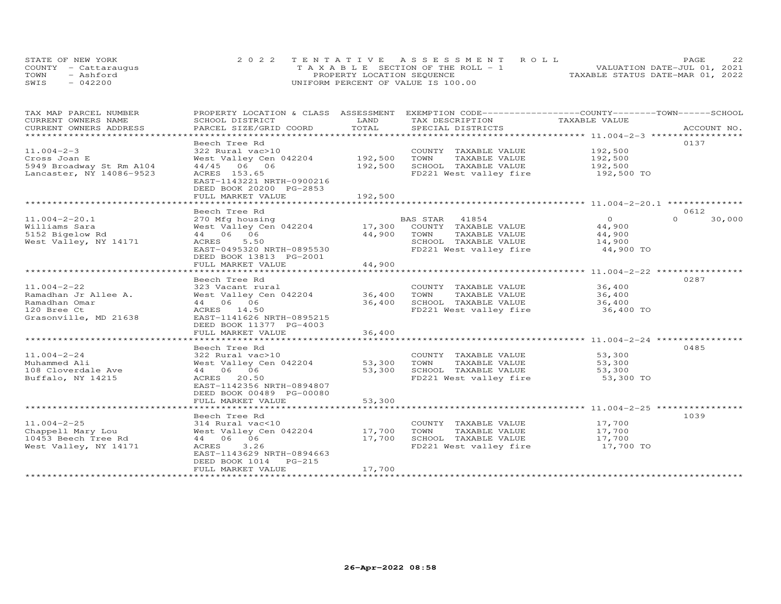|      | STATE OF NEW YORK    | 2022 TENTATIVE ASSESSMENT ROLL        | 22<br>PAGE.                      |
|------|----------------------|---------------------------------------|----------------------------------|
|      | COUNTY - Cattaraugus | T A X A B L E SECTION OF THE ROLL - 1 | VALUATION DATE-JUL 01, 2021      |
| TOWN | - Ashford            | PROPERTY LOCATION SEQUENCE            | TAXABLE STATUS DATE-MAR 01, 2022 |
| SWIS | $-042200$            | UNIFORM PERCENT OF VALUE IS 100.00    |                                  |

| TAX MAP PARCEL NUMBER          | PROPERTY LOCATION & CLASS ASSESSMENT |              | EXEMPTION CODE-----------------COUNTY-------TOWN------SCHOOL |                |                    |
|--------------------------------|--------------------------------------|--------------|--------------------------------------------------------------|----------------|--------------------|
| CURRENT OWNERS NAME            | SCHOOL DISTRICT                      | LAND         | TAX DESCRIPTION                                              | TAXABLE VALUE  |                    |
| CURRENT OWNERS ADDRESS         | PARCEL SIZE/GRID COORD               | TOTAL        | SPECIAL DISTRICTS                                            |                | ACCOUNT NO.        |
| ****************************** |                                      |              |                                                              |                |                    |
|                                | Beech Tree Rd                        |              |                                                              |                | 0137               |
| $11.004 - 2 - 3$               | 322 Rural vac>10                     |              | COUNTY TAXABLE VALUE                                         | 192,500        |                    |
| Cross Joan E                   | West Valley Cen 042204               | 192,500      | TOWN<br>TAXABLE VALUE                                        | 192,500        |                    |
| 5949 Broadway St Rm A104       | 44/45 06 06                          | 192,500      | SCHOOL TAXABLE VALUE                                         | 192,500        |                    |
| Lancaster, NY 14086-9523       | ACRES 153.65                         |              | FD221 West valley fire                                       | 192,500 TO     |                    |
|                                | EAST-1143221 NRTH-0900216            |              |                                                              |                |                    |
|                                | DEED BOOK 20200 PG-2853              |              |                                                              |                |                    |
|                                | FULL MARKET VALUE                    | 192,500      |                                                              |                |                    |
|                                | **********************               | ************ |                                                              |                |                    |
|                                | Beech Tree Rd                        |              |                                                              |                | 0612               |
| $11.004 - 2 - 20.1$            | 270 Mfg housing                      |              | BAS STAR<br>41854                                            | $\overline{0}$ | $\Omega$<br>30,000 |
| Williams Sara                  | West Valley Cen 042204               | 17,300       | COUNTY TAXABLE VALUE                                         | 44,900         |                    |
| 5152 Bigelow Rd                | 44 06 06                             | 44,900       | TOWN<br>TAXABLE VALUE                                        | 44,900         |                    |
| West Valley, NY 14171          | ACRES<br>5.50                        |              | SCHOOL TAXABLE VALUE                                         | 14,900         |                    |
|                                | EAST-0495320 NRTH-0895530            |              | FD221 West valley fire                                       | 44,900 TO      |                    |
|                                | DEED BOOK 13813 PG-2001              |              |                                                              |                |                    |
|                                | FULL MARKET VALUE                    | 44,900       |                                                              |                |                    |
|                                |                                      |              |                                                              |                |                    |
|                                | Beech Tree Rd                        |              |                                                              |                | 0287               |
| $11.004 - 2 - 22$              | 323 Vacant rural                     |              | COUNTY TAXABLE VALUE                                         | 36,400         |                    |
| Ramadhan Jr Allee A.           | West Valley Cen 042204               | 36,400       | TOWN<br>TAXABLE VALUE                                        | 36,400         |                    |
| Ramadhan Omar                  | 44 06 06                             | 36,400       | SCHOOL TAXABLE VALUE                                         | 36,400         |                    |
| 120 Bree Ct                    | ACRES 14.50                          |              | FD221 West valley fire                                       | 36,400 TO      |                    |
| Grasonville, MD 21638          | EAST-1141626 NRTH-0895215            |              |                                                              |                |                    |
|                                | DEED BOOK 11377 PG-4003              |              |                                                              |                |                    |
|                                | FULL MARKET VALUE                    | 36,400       |                                                              |                |                    |
|                                |                                      |              |                                                              |                |                    |
|                                | Beech Tree Rd                        |              |                                                              |                | 0485               |
| $11.004 - 2 - 24$              | 322 Rural vac>10                     |              | COUNTY TAXABLE VALUE                                         | 53,300         |                    |
| Muhammed Ali                   | West Valley Cen 042204               | 53,300       | TOWN<br>TAXABLE VALUE                                        | 53,300         |                    |
| 108 Cloverdale Ave             | 44 06 06                             | 53,300       | SCHOOL TAXABLE VALUE                                         | 53,300         |                    |
| Buffalo, NY 14215              | ACRES 20.50                          |              | FD221 West valley fire                                       | 53,300 TO      |                    |
|                                | EAST-1142356 NRTH-0894807            |              |                                                              |                |                    |
|                                | DEED BOOK 00489 PG-00080             |              |                                                              |                |                    |
|                                | FULL MARKET VALUE                    | 53,300       |                                                              |                |                    |
|                                |                                      |              |                                                              |                |                    |
|                                | Beech Tree Rd                        |              |                                                              |                | 1039               |
| $11.004 - 2 - 25$              | 314 Rural vac<10                     |              | COUNTY TAXABLE VALUE                                         | 17,700         |                    |
| Chappell Mary Lou              | West Valley Cen 042204               | 17,700       | TAXABLE VALUE<br>TOWN                                        | 17,700         |                    |
| 10453 Beech Tree Rd            | 44 06 06                             | 17,700       | SCHOOL TAXABLE VALUE                                         | 17,700         |                    |
| West Valley, NY 14171          | ACRES<br>3.26                        |              | FD221 West valley fire                                       | 17,700 TO      |                    |
|                                | EAST-1143629 NRTH-0894663            |              |                                                              |                |                    |
|                                | DEED BOOK 1014 PG-215                |              |                                                              |                |                    |
|                                | FULL MARKET VALUE                    | 17,700       |                                                              |                |                    |
|                                |                                      |              |                                                              |                |                    |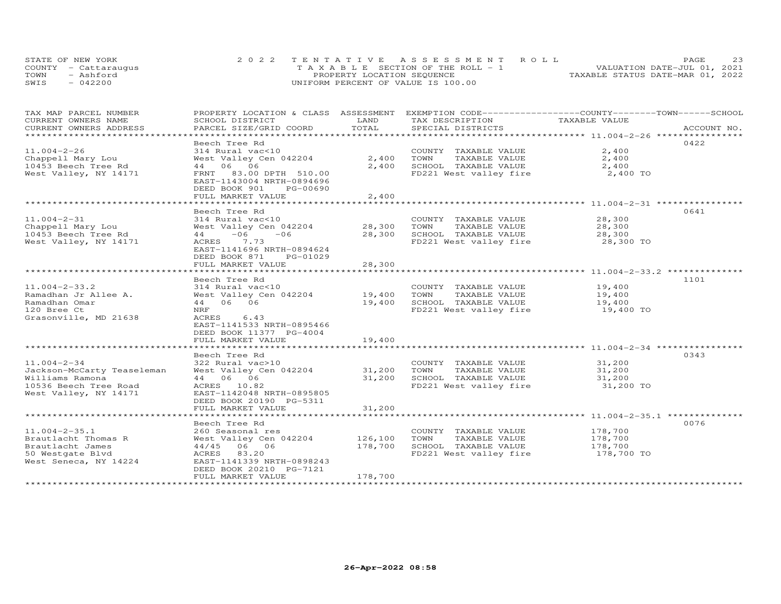|      | STATE OF NEW YORK    | 2022 TENTATIVE ASSESSMENT ROLL     | 23<br>PAGE.                      |
|------|----------------------|------------------------------------|----------------------------------|
|      | COUNTY - Cattarauqus | TAXABLE SECTION OF THE ROLL - 1    | VALUATION DATE-JUL 01, 2021      |
| TOWN | - Ashford            | PROPERTY LOCATION SEQUENCE         | TAXABLE STATUS DATE-MAR 01, 2022 |
| SWIS | $-042200$            | UNIFORM PERCENT OF VALUE IS 100.00 |                                  |

| TAX MAP PARCEL NUMBER                      | PROPERTY LOCATION & CLASS ASSESSMENT        |               | EXEMPTION CODE-----------------COUNTY-------TOWN-----SCHOOL |               |             |
|--------------------------------------------|---------------------------------------------|---------------|-------------------------------------------------------------|---------------|-------------|
| CURRENT OWNERS NAME                        | SCHOOL DISTRICT                             | LAND<br>TOTAL | TAX DESCRIPTION                                             | TAXABLE VALUE |             |
| CURRENT OWNERS ADDRESS                     | PARCEL SIZE/GRID COORD                      |               | SPECIAL DISTRICTS                                           |               | ACCOUNT NO. |
|                                            | Beech Tree Rd                               |               |                                                             |               | 0422        |
| $11.004 - 2 - 26$                          | 314 Rural vac<10                            |               | COUNTY TAXABLE VALUE                                        | 2,400         |             |
| Chappell Mary Lou                          | West Valley Cen 042204                      | 2,400         | TOWN<br>TAXABLE VALUE                                       | 2,400         |             |
| 10453 Beech Tree Rd                        | 44 06 06                                    | 2,400         | SCHOOL TAXABLE VALUE                                        | 2,400         |             |
| West Valley, NY 14171                      | FRNT 83.00 DPTH 510.00                      |               | FD221 West valley fire                                      | 2,400 TO      |             |
|                                            | EAST-1143004 NRTH-0894696                   |               |                                                             |               |             |
|                                            | DEED BOOK 901<br>PG-00690                   |               |                                                             |               |             |
|                                            | FULL MARKET VALUE                           | 2,400         |                                                             |               |             |
|                                            | ************************                    | ************* |                                                             |               |             |
|                                            | Beech Tree Rd                               |               |                                                             |               | 0641        |
| $11.004 - 2 - 31$                          | 314 Rural vac<10                            |               | COUNTY TAXABLE VALUE                                        | 28,300        |             |
| Chappell Mary Lou                          | West Valley Cen 042204                      | 28,300        | TOWN<br>TAXABLE VALUE                                       | 28,300        |             |
| 10453 Beech Tree Rd                        | $44 -06$<br>$-06$                           | 28,300        | SCHOOL TAXABLE VALUE                                        | 28,300        |             |
| West Valley, NY 14171                      | ACRES<br>7.73                               |               | FD221 West valley fire                                      | 28,300 TO     |             |
|                                            | EAST-1141696 NRTH-0894624                   |               |                                                             |               |             |
|                                            | DEED BOOK 871<br>PG-01029                   |               |                                                             |               |             |
|                                            | FULL MARKET VALUE                           | 28,300        |                                                             |               |             |
|                                            |                                             |               |                                                             |               |             |
|                                            | Beech Tree Rd                               |               |                                                             |               | 1101        |
| $11.004 - 2 - 33.2$                        | 314 Rural vac<10                            |               | COUNTY TAXABLE VALUE                                        | 19,400        |             |
| Ramadhan Jr Allee A.                       | West Valley Cen 042204                      | 19,400        | TOWN<br>TAXABLE VALUE                                       | 19,400        |             |
| Ramadhan Omar                              | 44 06 06                                    | 19,400        | SCHOOL TAXABLE VALUE                                        | 19,400        |             |
| 120 Bree Ct                                | NRF                                         |               | FD221 West valley fire                                      | 19,400 TO     |             |
| Grasonville, MD 21638                      | 6.43<br>ACRES                               |               |                                                             |               |             |
|                                            | EAST-1141533 NRTH-0895466                   |               |                                                             |               |             |
|                                            | DEED BOOK 11377 PG-4004                     |               |                                                             |               |             |
|                                            | FULL MARKET VALUE                           | 19,400        |                                                             |               |             |
|                                            |                                             |               |                                                             |               |             |
|                                            | Beech Tree Rd                               |               |                                                             |               | 0343        |
| $11.004 - 2 - 34$                          | 322 Rural vac>10                            |               | COUNTY TAXABLE VALUE                                        | 31,200        |             |
| Jackson-McCarty Teaseleman                 | West Valley Cen 042204                      | 31,200        | TOWN<br>TAXABLE VALUE                                       | 31,200        |             |
| Williams Ramona                            | 44 06 06                                    | 31,200        | SCHOOL TAXABLE VALUE                                        | 31,200        |             |
| 10536 Beech Tree Road                      | ACRES 10.82                                 |               | FD221 West valley fire                                      | 31,200 TO     |             |
| West Valley, NY 14171                      | EAST-1142048 NRTH-0895805                   |               |                                                             |               |             |
|                                            | DEED BOOK 20190 PG-5311                     |               |                                                             |               |             |
|                                            | FULL MARKET VALUE                           | 31,200        |                                                             |               |             |
|                                            | Beech Tree Rd                               |               |                                                             |               | 0076        |
|                                            |                                             |               |                                                             | 178,700       |             |
| $11.004 - 2 - 35.1$<br>Brautlacht Thomas R | 260 Seasonal res<br>West Valley Cen 042204  | 126,100       | COUNTY TAXABLE VALUE<br>TOWN                                | 178,700       |             |
| Brautlacht James                           | 44/45 06 06                                 | 178,700       | TAXABLE VALUE<br>SCHOOL TAXABLE VALUE                       | 178,700       |             |
|                                            |                                             |               | FD221 West valley fire                                      | 178,700 TO    |             |
| 50 Westgate Blvd<br>West Seneca, NY 14224  | ACRES<br>83.20<br>EAST-1141339 NRTH-0898243 |               |                                                             |               |             |
|                                            | DEED BOOK 20210 PG-7121                     |               |                                                             |               |             |
|                                            | FULL MARKET VALUE                           | 178,700       |                                                             |               |             |
|                                            |                                             |               |                                                             |               |             |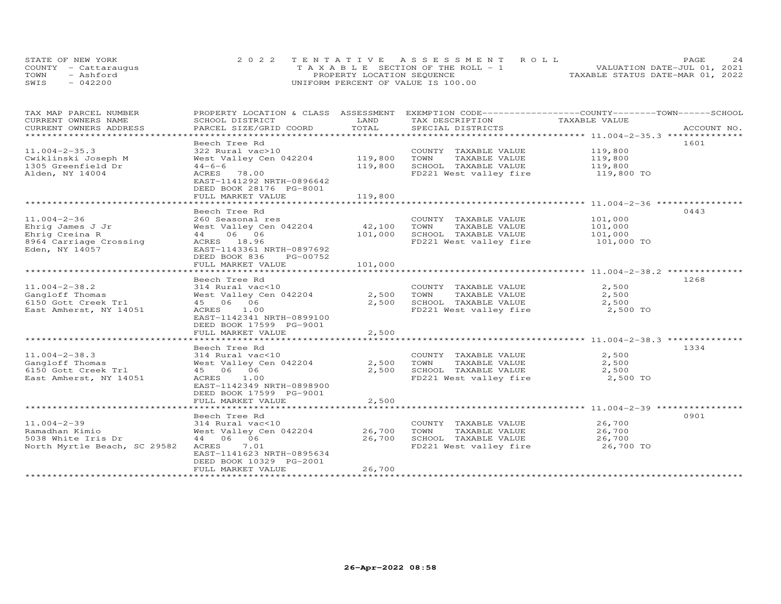|      | STATE OF NEW YORK    | 2022 TENTATIVE ASSESSMENT ROLL     | 24<br>PAGE.                      |
|------|----------------------|------------------------------------|----------------------------------|
|      | COUNTY - Cattarauqus | TAXABLE SECTION OF THE ROLL - 1    | VALUATION DATE-JUL 01, 2021      |
| TOWN | - Ashford            | PROPERTY LOCATION SEQUENCE         | TAXABLE STATUS DATE-MAR 01, 2022 |
| SWIS | $-042200$            | UNIFORM PERCENT OF VALUE IS 100.00 |                                  |

| TAX MAP PARCEL NUMBER<br>CURRENT OWNERS NAME        | PROPERTY LOCATION & CLASS ASSESSMENT<br>SCHOOL DISTRICT                | LAND         | EXEMPTION CODE------------------COUNTY-------TOWN------SCHOOL<br>TAX DESCRIPTION | TAXABLE VALUE                                           |             |
|-----------------------------------------------------|------------------------------------------------------------------------|--------------|----------------------------------------------------------------------------------|---------------------------------------------------------|-------------|
| CURRENT OWNERS ADDRESS<br>************************* | PARCEL SIZE/GRID COORD                                                 | TOTAL        | SPECIAL DISTRICTS                                                                |                                                         | ACCOUNT NO. |
|                                                     |                                                                        |              |                                                                                  |                                                         |             |
| $11.004 - 2 - 35.3$                                 | Beech Tree Rd                                                          |              |                                                                                  |                                                         | 1601        |
|                                                     | 322 Rural vac>10                                                       |              | COUNTY TAXABLE VALUE                                                             | 119,800                                                 |             |
| Cwiklinski Joseph M                                 | West Valley Cen 042204                                                 | 119,800      | TOWN<br>TAXABLE VALUE                                                            | 119,800                                                 |             |
| 1305 Greenfield Dr                                  | $44 - 6 - 6$                                                           | 119,800      | SCHOOL TAXABLE VALUE                                                             | 119,800                                                 |             |
| Alden, NY 14004                                     | ACRES<br>78.00<br>EAST-1141292 NRTH-0896642<br>DEED BOOK 28176 PG-8001 |              | FD221 West valley fire                                                           | 119,800 TO                                              |             |
|                                                     | FULL MARKET VALUE                                                      | 119,800      |                                                                                  |                                                         |             |
|                                                     | *************************                                              | ************ |                                                                                  | ************************* 11.004-2-36 ***************** |             |
|                                                     | Beech Tree Rd                                                          |              |                                                                                  |                                                         | 0443        |
| $11.004 - 2 - 36$                                   | 260 Seasonal res                                                       |              | COUNTY TAXABLE VALUE                                                             | 101,000                                                 |             |
| Ehrig James J Jr                                    | West Valley Cen 042204                                                 | 42,100       | TOWN<br>TAXABLE VALUE                                                            | 101,000                                                 |             |
| Ehrig Creina R                                      | 06 06<br>44                                                            | 101,000      | SCHOOL TAXABLE VALUE                                                             | 101,000                                                 |             |
| 8964 Carriage Crossing                              | ACRES 18.96                                                            |              | FD221 West valley fire                                                           | 101,000 TO                                              |             |
| Eden, NY 14057                                      | EAST-1143361 NRTH-0897692                                              |              |                                                                                  |                                                         |             |
|                                                     | DEED BOOK 836<br>PG-00752                                              |              |                                                                                  |                                                         |             |
|                                                     | FULL MARKET VALUE                                                      | 101,000      |                                                                                  |                                                         |             |
|                                                     | ***********************                                                | ***********  |                                                                                  | ************************ 11.004-2-38.2 *********        |             |
|                                                     | Beech Tree Rd                                                          |              |                                                                                  |                                                         | 1268        |
| $11.004 - 2 - 38.2$                                 | 314 Rural vac<10                                                       |              | COUNTY TAXABLE VALUE                                                             | 2,500                                                   |             |
| Gangloff Thomas                                     | West Valley Cen 042204                                                 | 2,500        | TOWN<br>TAXABLE VALUE                                                            | 2,500                                                   |             |
| 6150 Gott Creek Trl                                 | 45 06 06                                                               | 2,500        | SCHOOL TAXABLE VALUE                                                             | 2,500                                                   |             |
| East Amherst, NY 14051                              | ACRES<br>1.00                                                          |              | FD221 West valley fire                                                           | 2,500 TO                                                |             |
|                                                     | EAST-1142341 NRTH-0899100                                              |              |                                                                                  |                                                         |             |
|                                                     | DEED BOOK 17599 PG-9001                                                |              |                                                                                  |                                                         |             |
|                                                     | FULL MARKET VALUE                                                      | 2,500        |                                                                                  |                                                         |             |
|                                                     |                                                                        |              |                                                                                  |                                                         |             |
|                                                     | Beech Tree Rd                                                          |              |                                                                                  |                                                         | 1334        |
| $11.004 - 2 - 38.3$                                 | 314 Rural vac<10                                                       |              | COUNTY TAXABLE VALUE                                                             | 2,500                                                   |             |
| Gangloff Thomas                                     | West Valley Cen 042204                                                 | 2,500        | TOWN<br>TAXABLE VALUE                                                            | 2,500                                                   |             |
| 6150 Gott Creek Trl                                 | 45 06 06                                                               | 2,500        | SCHOOL TAXABLE VALUE                                                             | 2,500                                                   |             |
| East Amherst, NY 14051                              | ACRES<br>1.00<br>EAST-1142349 NRTH-0898900<br>DEED BOOK 17599 PG-9001  |              | FD221 West valley fire                                                           | 2,500 TO                                                |             |
|                                                     | FULL MARKET VALUE                                                      | 2,500        |                                                                                  |                                                         |             |
|                                                     |                                                                        |              |                                                                                  |                                                         |             |
|                                                     | Beech Tree Rd                                                          |              |                                                                                  |                                                         | 0901        |
| $11.004 - 2 - 39$                                   | 314 Rural vac<10                                                       |              | COUNTY TAXABLE VALUE                                                             | 26,700                                                  |             |
| Ramadhan Kimio                                      | West Valley Cen 042204                                                 | 26,700       | TOWN<br>TAXABLE VALUE                                                            | 26,700                                                  |             |
| 5038 White Iris Dr                                  | 44 06 06                                                               | 26,700       | SCHOOL TAXABLE VALUE                                                             | 26,700                                                  |             |
| North Myrtle Beach, SC 29582                        | 7.01<br>ACRES                                                          |              | FD221 West valley fire                                                           | 26,700 TO                                               |             |
|                                                     | EAST-1141623 NRTH-0895634                                              |              |                                                                                  |                                                         |             |
|                                                     | DEED BOOK 10329 PG-2001                                                |              |                                                                                  |                                                         |             |
|                                                     | FULL MARKET VALUE                                                      | 26,700       |                                                                                  |                                                         |             |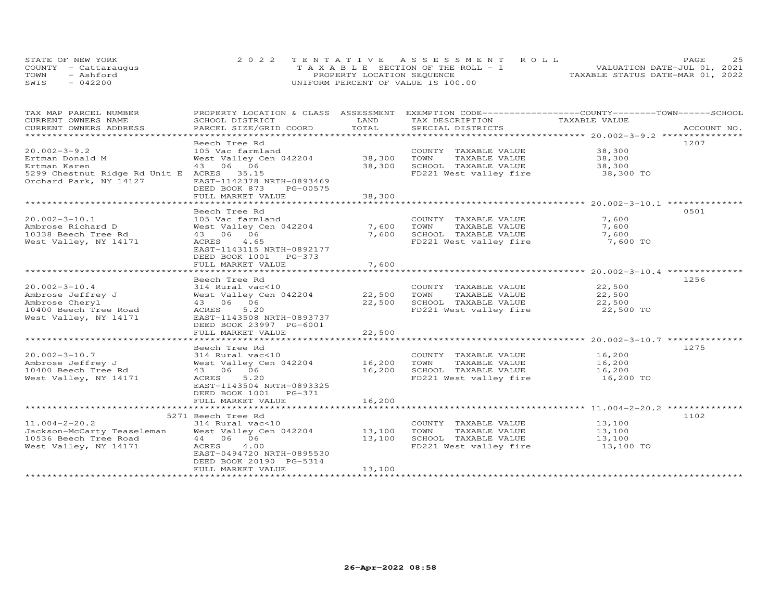|      | STATE OF NEW YORK    | 2022 TENTATIVE ASSESSMENT ROLL        | 25<br>PAGE.                      |
|------|----------------------|---------------------------------------|----------------------------------|
|      | COUNTY - Cattaraugus | T A X A B L E SECTION OF THE ROLL - 1 | VALUATION DATE-JUL 01, 2021      |
| TOWN | - Ashford            | PROPERTY LOCATION SEQUENCE            | TAXABLE STATUS DATE-MAR 01, 2022 |
| SWIS | $-042200$            | UNIFORM PERCENT OF VALUE IS 100.00    |                                  |

| TAX MAP PARCEL NUMBER                     | PROPERTY LOCATION & CLASS ASSESSMENT EXEMPTION CODE----------------COUNTY-------TOWN------SCHOOL |               |                                  |                                                      |             |
|-------------------------------------------|--------------------------------------------------------------------------------------------------|---------------|----------------------------------|------------------------------------------------------|-------------|
| CURRENT OWNERS NAME                       | SCHOOL DISTRICT                                                                                  | LAND<br>TOTAL | TAX DESCRIPTION                  | TAXABLE VALUE                                        | ACCOUNT NO. |
| CURRENT OWNERS ADDRESS                    | PARCEL SIZE/GRID COORD                                                                           |               | SPECIAL DISTRICTS                |                                                      |             |
|                                           | Beech Tree Rd                                                                                    |               |                                  |                                                      | 1207        |
| $20.002 - 3 - 9.2$                        | 105 Vac farmland                                                                                 |               | COUNTY TAXABLE VALUE             | 38,300                                               |             |
| Ertman Donald M                           | West Valley Cen 042204                                                                           | 38,300        | TOWN<br>TAXABLE VALUE            | 38,300                                               |             |
| Ertman Karen                              | 43 06 06                                                                                         | 38,300        | SCHOOL TAXABLE VALUE             | 38,300                                               |             |
| 5299 Chestnut Ridge Rd Unit E ACRES 35.15 |                                                                                                  |               | FD221 West valley fire 38,300 TO |                                                      |             |
| Orchard Park, NY 14127                    | EAST-1142378 NRTH-0893469                                                                        |               |                                  |                                                      |             |
|                                           | DEED BOOK 873<br>PG-00575                                                                        |               |                                  |                                                      |             |
|                                           | FULL MARKET VALUE                                                                                | 38,300        |                                  |                                                      |             |
|                                           | *******************************                                                                  | **********    |                                  | *********************** 20.002-3-10.1 ************** |             |
|                                           | Beech Tree Rd                                                                                    |               |                                  |                                                      | 0.501       |
| $20.002 - 3 - 10.1$                       | 105 Vac farmland                                                                                 |               | COUNTY TAXABLE VALUE             | 7,600                                                |             |
| Ambrose Richard D                         | West Valley Cen 042204                                                                           | 7,600         | TAXABLE VALUE<br>TOWN            | 7,600                                                |             |
| 10338 Beech Tree Rd                       | 43 06 06                                                                                         | 7,600         | SCHOOL TAXABLE VALUE             | 7,600                                                |             |
| West Valley, NY 14171                     | ACRES<br>4.65<br>EAST-1143115 NRTH-0892177                                                       |               | FD221 West valley fire           | 7,600 TO                                             |             |
|                                           | DEED BOOK 1001 PG-373                                                                            |               |                                  |                                                      |             |
|                                           | FULL MARKET VALUE                                                                                | 7,600         |                                  |                                                      |             |
|                                           |                                                                                                  |               |                                  |                                                      |             |
|                                           | Beech Tree Rd                                                                                    |               |                                  |                                                      | 1256        |
| $20.002 - 3 - 10.4$                       | 314 Rural vac<10                                                                                 |               | COUNTY TAXABLE VALUE             | 22,500                                               |             |
| Ambrose Jeffrey J                         | West Valley Cen 042204                                                                           | 22,500        | TOWN<br>TAXABLE VALUE            | 22,500                                               |             |
| Ambrose Cheryl                            | 43  06  06                                                                                       | 22,500        | SCHOOL TAXABLE VALUE             | 22,500                                               |             |
| 10400 Beech Tree Road                     | 5.20<br>ACRES                                                                                    |               | FD221 West valley fire           | 22,500 TO                                            |             |
| West Valley, NY 14171                     | EAST-1143508 NRTH-0893737                                                                        |               |                                  |                                                      |             |
|                                           | DEED BOOK 23997 PG-6001                                                                          |               |                                  |                                                      |             |
|                                           | FULL MARKET VALUE                                                                                | 22,500        |                                  |                                                      |             |
|                                           |                                                                                                  |               |                                  |                                                      |             |
|                                           | Beech Tree Rd                                                                                    |               |                                  |                                                      | 1275        |
| $20.002 - 3 - 10.7$                       | 314 Rural vac<10                                                                                 |               | COUNTY TAXABLE VALUE             | 16,200                                               |             |
| Ambrose Jeffrey J                         | West Valley Cen 042204                                                                           | 16,200        | TAXABLE VALUE<br>TOWN            | 16,200                                               |             |
| 10400 Beech Tree Rd                       | 43 06 06<br>ACRES<br>5.20                                                                        | 16,200        | SCHOOL TAXABLE VALUE             | 16,200                                               |             |
| West Valley, NY 14171                     | EAST-1143504 NRTH-0893325                                                                        |               | FD221 West valley fire           | 16,200 TO                                            |             |
|                                           | DEED BOOK 1001 PG-371                                                                            |               |                                  |                                                      |             |
|                                           | FULL MARKET VALUE                                                                                | 16,200        |                                  |                                                      |             |
|                                           |                                                                                                  |               |                                  |                                                      |             |
|                                           | 5271 Beech Tree Rd                                                                               |               |                                  |                                                      | 1102        |
| $11.004 - 2 - 20.2$                       | 314 Rural vac<10                                                                                 |               | COUNTY TAXABLE VALUE             | 13,100                                               |             |
| Jackson-McCarty Teaseleman                | West Valley Cen 042204                                                                           | 13,100        | TOWN<br>TAXABLE VALUE            | 13,100                                               |             |
| 10536 Beech Tree Road                     | 44 06 06                                                                                         | 13,100        | SCHOOL TAXABLE VALUE             | 13,100                                               |             |
| West Valley, NY 14171                     | 4.00<br>ACRES                                                                                    |               | FD221 West valley fire           | 13,100 TO                                            |             |
|                                           | EAST-0494720 NRTH-0895530                                                                        |               |                                  |                                                      |             |
|                                           | DEED BOOK 20190 PG-5314                                                                          |               |                                  |                                                      |             |
|                                           | FULL MARKET VALUE                                                                                | 13,100        |                                  |                                                      |             |
|                                           |                                                                                                  |               |                                  |                                                      |             |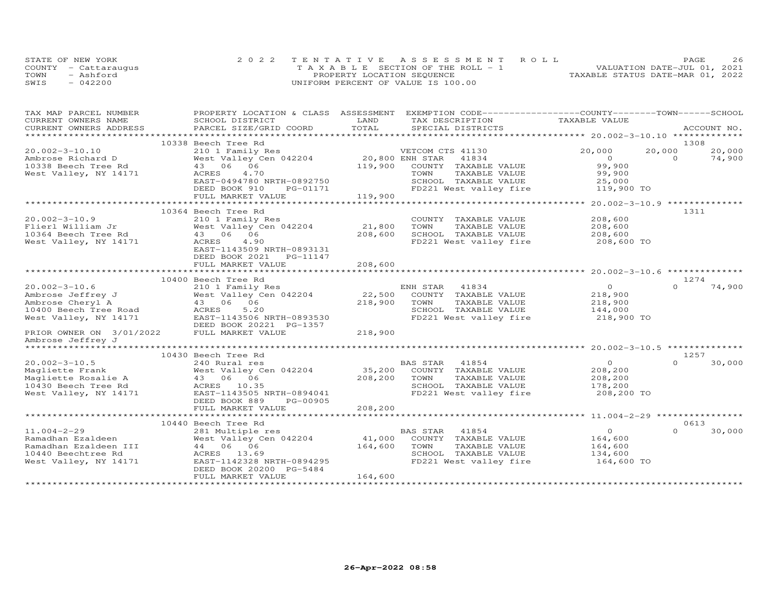|      | STATE OF NEW YORK    | 2022 TENTATIVE ASSESSMENT ROLL        |                                  | PAGE                        | 26 |
|------|----------------------|---------------------------------------|----------------------------------|-----------------------------|----|
|      | COUNTY - Cattaraugus | T A X A B L E SECTION OF THE ROLL - 1 |                                  | VALUATION DATE-JUL 01, 2021 |    |
| TOWN | - Ashford            | PROPERTY LOCATION SEQUENCE            | TAXABLE STATUS DATE-MAR 01, 2022 |                             |    |
| SWIS | $-042200$            | UNIFORM PERCENT OF VALUE IS 100.00    |                                  |                             |    |

| TAX MAP PARCEL NUMBER    | PROPERTY LOCATION & CLASS ASSESSMENT            |                 | EXEMPTION CODE-----------------COUNTY-------TOWN------SCHOOL |                |          |             |
|--------------------------|-------------------------------------------------|-----------------|--------------------------------------------------------------|----------------|----------|-------------|
| CURRENT OWNERS NAME      | SCHOOL DISTRICT                                 | LAND            | TAX DESCRIPTION                                              | TAXABLE VALUE  |          |             |
| CURRENT OWNERS ADDRESS   | PARCEL SIZE/GRID COORD                          | TOTAL           | SPECIAL DISTRICTS                                            |                |          | ACCOUNT NO. |
|                          | 10338 Beech Tree Rd                             |                 |                                                              |                | 1308     |             |
| $20.002 - 3 - 10.10$     | 210 1 Family Res                                |                 | VETCOM CTS 41130                                             | 20,000         | 20,000   | 20,000      |
| Ambrose Richard D        | West Valley Cen 042204                          | 20,800 ENH STAR | 41834                                                        | $\overline{0}$ | $\Omega$ | 74,900      |
| 10338 Beech Tree Rd      | 43 06 06                                        | 119,900         | COUNTY TAXABLE VALUE                                         | 99,900         |          |             |
| West Valley, NY 14171    | ACRES<br>4.70                                   |                 | TOWN<br>TAXABLE VALUE                                        | 99,900         |          |             |
|                          | EAST-0494780 NRTH-0892750                       |                 | SCHOOL TAXABLE VALUE                                         | 25,000         |          |             |
|                          | DEED BOOK 910<br>PG-01171                       |                 | FD221 West valley fire                                       | 119,900 TO     |          |             |
|                          | FULL MARKET VALUE                               | 119,900         |                                                              |                |          |             |
|                          |                                                 |                 |                                                              |                |          |             |
|                          | 10364 Beech Tree Rd                             |                 |                                                              |                | 1311     |             |
| $20.002 - 3 - 10.9$      | 210 1 Family Res                                |                 | COUNTY TAXABLE VALUE                                         | 208,600        |          |             |
| Flierl William Jr        | West Valley Cen 042204                          | 21,800          | TAXABLE VALUE<br>TOWN                                        | 208,600        |          |             |
| 10364 Beech Tree Rd      | 43 06 06                                        | 208,600         | SCHOOL TAXABLE VALUE                                         | 208,600        |          |             |
| West Valley, NY 14171    | ACRES<br>4.90                                   |                 | FD221 West valley fire                                       | 208,600 TO     |          |             |
|                          | EAST-1143509 NRTH-0893131                       |                 |                                                              |                |          |             |
|                          |                                                 |                 |                                                              |                |          |             |
|                          | DEED BOOK 2021    PG-11147<br>FULL MARKET VALUE | 208,600         |                                                              |                |          |             |
|                          |                                                 |                 |                                                              |                |          |             |
|                          | 10400 Beech Tree Rd                             |                 |                                                              |                | 1274     |             |
| $20.002 - 3 - 10.6$      | 210 1 Family Res                                |                 | ENH STAR<br>41834                                            | $\Omega$       | $\Omega$ | 74,900      |
| Ambrose Jeffrey J        | West Valley Cen 042204                          | 22,500          | COUNTY TAXABLE VALUE                                         | 218,900        |          |             |
| Ambrose Cheryl A         | 43 06 06                                        | 218,900         | TOWN<br>TAXABLE VALUE                                        | 218,900        |          |             |
| 10400 Beech Tree Road    | ACRES<br>5.20                                   |                 | SCHOOL TAXABLE VALUE                                         | 144,000        |          |             |
| West Valley, NY 14171    | EAST-1143506 NRTH-0893530                       |                 | FD221 West valley fire                                       | 218,900 TO     |          |             |
|                          | DEED BOOK 20221 PG-1357                         |                 |                                                              |                |          |             |
| PRIOR OWNER ON 3/01/2022 | FULL MARKET VALUE                               | 218,900         |                                                              |                |          |             |
| Ambrose Jeffrey J        |                                                 |                 |                                                              |                |          |             |
|                          |                                                 |                 |                                                              |                |          |             |
|                          | 10430 Beech Tree Rd                             |                 |                                                              |                | 1257     |             |
| $20.002 - 3 - 10.5$      | 240 Rural res                                   |                 | BAS STAR<br>41854                                            | $\overline{0}$ | $\Omega$ | 30,000      |
| Magliette Frank          | West Valley Cen 042204                          |                 | 35,200 COUNTY TAXABLE VALUE                                  | 208,200        |          |             |
| Magliette Rosalie A      | 43 06 06                                        | 208,200         | TAXABLE VALUE<br>TOWN                                        | 208,200        |          |             |
| 10430 Beech Tree Rd      | ACRES 10.35                                     |                 | SCHOOL TAXABLE VALUE                                         | 178,200        |          |             |
| West Valley, NY 14171    | EAST-1143505 NRTH-0894041                       |                 | FD221 West valley fire                                       | 208,200 TO     |          |             |
|                          | PG-00905<br>DEED BOOK 889                       |                 |                                                              |                |          |             |
|                          | FULL MARKET VALUE                               | 208,200         |                                                              |                |          |             |
|                          |                                                 |                 |                                                              |                |          |             |
|                          | 10440 Beech Tree Rd                             |                 |                                                              |                | 0613     |             |
| $11.004 - 2 - 29$        | 281 Multiple res                                |                 | BAS STAR<br>41854                                            | $\overline{O}$ | $\cap$   | 30,000      |
| Ramadhan Ezaldeen        | West Valley Cen 042204                          | 41,000          | COUNTY TAXABLE VALUE                                         | 164,600        |          |             |
| Ramadhan Ezaldeen III    | 44 06 06                                        | 164,600         | TAXABLE VALUE<br>TOWN                                        | 164,600        |          |             |
| 10440 Beechtree Rd       | ACRES 13.69                                     |                 | SCHOOL TAXABLE VALUE                                         | 134,600        |          |             |
| West Valley, NY 14171    | EAST-1142328 NRTH-0894295                       |                 | FD221 West valley fire                                       | 164,600 TO     |          |             |
|                          | DEED BOOK 20200 PG-5484                         |                 |                                                              |                |          |             |
|                          | FULL MARKET VALUE                               | 164,600         |                                                              |                |          |             |
|                          |                                                 |                 |                                                              |                |          |             |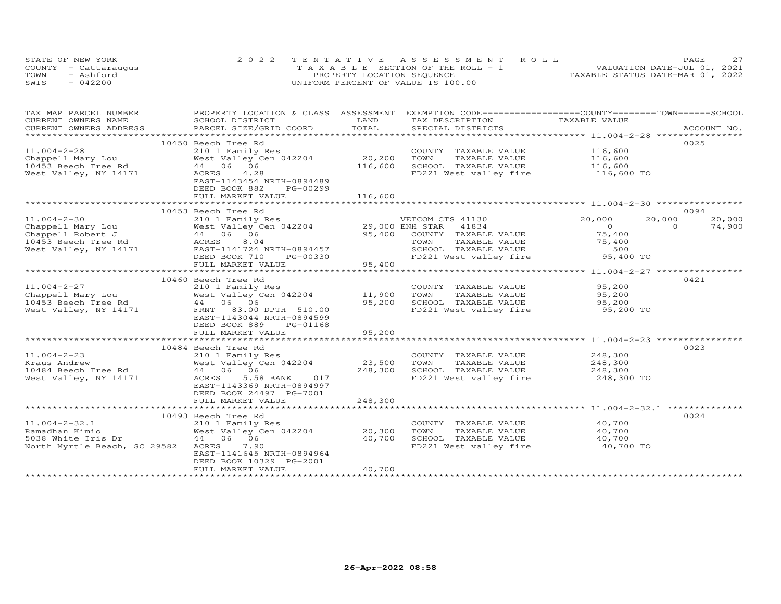|      | STATE OF NEW YORK    | 2022 TENTATIVE ASSESSMENT ROLL        | 27<br>PAGE                       |
|------|----------------------|---------------------------------------|----------------------------------|
|      | COUNTY - Cattaraugus | T A X A B L E SECTION OF THE ROLL - 1 | VALUATION DATE-JUL 01, 2021      |
| TOWN | - Ashford            | PROPERTY LOCATION SEQUENCE            | TAXABLE STATUS DATE-MAR 01, 2022 |
| SWIS | $-042200$            | UNIFORM PERCENT OF VALUE IS 100.00    |                                  |

| TAX MAP PARCEL NUMBER                                                                                                                                                                                                          | PROPERTY LOCATION & CLASS ASSESSMENT                             |         | EXEMPTION CODE-----------------COUNTY-------TOWN------SCHOOL |                       |                    |
|--------------------------------------------------------------------------------------------------------------------------------------------------------------------------------------------------------------------------------|------------------------------------------------------------------|---------|--------------------------------------------------------------|-----------------------|--------------------|
| CURRENT OWNERS NAME                                                                                                                                                                                                            | SCHOOL DISTRICT                                                  | LAND    | TAX DESCRIPTION                                              | TAXABLE VALUE         |                    |
| .CURRENT OWNERS ADDRESS PARCEL SIZE/GRID COORD TOTAL SPECIAL DISTRICTS ACCOUNT NO ACCOUNT NO ACCOUNT NO ARE THE SERVER AND THE SERVER ASSESS THE SERVER OF THE SERVER SERVER AND THE SERVER SERVER AND THE SERVER SERVER AND T |                                                                  |         |                                                              |                       |                    |
|                                                                                                                                                                                                                                |                                                                  |         |                                                              |                       |                    |
|                                                                                                                                                                                                                                | 10450 Beech Tree Rd                                              |         |                                                              |                       | 0025               |
| $11.004 - 2 - 28$                                                                                                                                                                                                              | 210 1 Family Res                                                 |         | COUNTY TAXABLE VALUE                                         | 116,600               |                    |
|                                                                                                                                                                                                                                | West Valley Cen 042204                                           | 20,200  | TOWN<br>TAXABLE VALUE                                        |                       |                    |
| Chappell Mary Lou by Nest Valley C<br>10453 Beech Tree Rd 44 06 06                                                                                                                                                             |                                                                  | 116,600 | SCHOOL TAXABLE VALUE                                         | 116,600<br>116,600    |                    |
| West Valley, NY 14171                                                                                                                                                                                                          | ACRES<br>4.28                                                    |         | FD221 West valley fire 116,600 TO                            |                       |                    |
|                                                                                                                                                                                                                                | EAST-1143454 NRTH-0894489                                        |         |                                                              |                       |                    |
|                                                                                                                                                                                                                                | DEED BOOK 882<br>PG-00299                                        |         |                                                              |                       |                    |
|                                                                                                                                                                                                                                | FULL MARKET VALUE                                                | 116,600 |                                                              |                       |                    |
|                                                                                                                                                                                                                                |                                                                  |         |                                                              |                       |                    |
|                                                                                                                                                                                                                                | 10453 Beech Tree Rd                                              |         |                                                              |                       | 0094               |
| $11.004 - 2 - 30$                                                                                                                                                                                                              | 210 1 Family Res<br>West Valley Cen 042204 29,000 ENH STAR 41834 |         | VETCOM CTS 41130                                             | 20,000                | 20,000<br>20,000   |
| Chappell Mary Lou and Mest Valley Cen 042204<br>Chappell Robert J and 44 06 06<br>10453 Beech Tree Rd ACRES 8.04<br>Nest Valley, NY 14171 EAST-1141724 NRTH-0894457                                                            |                                                                  |         |                                                              | $\Omega$              | $\Omega$<br>74,900 |
|                                                                                                                                                                                                                                |                                                                  |         | 95,400 COUNTY TAXABLE VALUE                                  | 75,400                |                    |
|                                                                                                                                                                                                                                |                                                                  |         | TAXABLE VALUE<br>TOWN                                        | 75,400                |                    |
|                                                                                                                                                                                                                                |                                                                  |         | SCHOOL TAXABLE VALUE                                         | 500                   |                    |
|                                                                                                                                                                                                                                | DEED BOOK 710<br>PG-00330                                        |         | FD221 West valley fire 95,400 TO                             |                       |                    |
|                                                                                                                                                                                                                                | FULL MARKET VALUE                                                | 95,400  |                                                              |                       |                    |
|                                                                                                                                                                                                                                |                                                                  |         |                                                              |                       |                    |
|                                                                                                                                                                                                                                | 10460 Beech Tree Rd                                              |         |                                                              |                       | 0421               |
| $11.004 - 2 - 27$                                                                                                                                                                                                              | 210 1 Family Res                                                 |         | COUNTY TAXABLE VALUE                                         | 95,200                |                    |
|                                                                                                                                                                                                                                |                                                                  |         | TAXABLE VALUE                                                | 95,200                |                    |
| 11.004-2-27 210 1 Family Res COUNTY<br>Chappell Mary Lou Mest Valley Cen 042204 11,900 TOWN<br>10453 Beech Tree Rd 1045 44 06 06 ----- --- -- -- 95,200 SCHOOI                                                                 |                                                                  |         | SCHOOL TAXABLE VALUE                                         |                       |                    |
| West Valley, NY 14171                                                                                                                                                                                                          | FRNT 83.00 DPTH 510.00                                           |         | FD221 West valley fire                                       | 95,200<br>95,200 TO   |                    |
|                                                                                                                                                                                                                                | EAST-1143044 NRTH-0894599                                        |         |                                                              |                       |                    |
|                                                                                                                                                                                                                                | DEED BOOK 889<br>PG-01168                                        |         |                                                              |                       |                    |
|                                                                                                                                                                                                                                | FULL MARKET VALUE                                                | 95,200  |                                                              |                       |                    |
|                                                                                                                                                                                                                                |                                                                  |         |                                                              |                       |                    |
|                                                                                                                                                                                                                                | 10484 Beech Tree Rd                                              |         |                                                              |                       | 0023               |
| $11.004 - 2 - 23$                                                                                                                                                                                                              | 210 1 Family Res                                                 |         | COUNTY TAXABLE VALUE                                         |                       |                    |
| Kraus Andrew                                                                                                                                                                                                                   | West Valley Cen 042204                                           | 23,500  | TOWN<br>TAXABLE VALUE                                        | 248,300<br>248,300    |                    |
| 10484 Beech Tree Rd                                                                                                                                                                                                            | 44 06 06                                                         | 248,300 | SCHOOL TAXABLE VALUE                                         |                       |                    |
| West Valley, NY 14171                                                                                                                                                                                                          | 5.58 BANK<br>017<br>ACRES                                        |         | FD221 West valley fire                                       | 248,300<br>248,300 TO |                    |
|                                                                                                                                                                                                                                | EAST-1143369 NRTH-0894997                                        |         |                                                              |                       |                    |
|                                                                                                                                                                                                                                | DEED BOOK 24497 PG-7001                                          |         |                                                              |                       |                    |
|                                                                                                                                                                                                                                | FULL MARKET VALUE                                                | 248,300 |                                                              |                       |                    |
|                                                                                                                                                                                                                                |                                                                  |         |                                                              |                       |                    |
|                                                                                                                                                                                                                                | 10493 Beech Tree Rd                                              |         |                                                              |                       | 0024               |
| $11.004 - 2 - 32.1$                                                                                                                                                                                                            | 210 1 Family Res                                                 |         | COUNTY TAXABLE VALUE                                         | 40,700                |                    |
| Ramadhan Kimio                                                                                                                                                                                                                 | West Valley Cen 042204                                           | 20,300  | TAXABLE VALUE<br>TOWN                                        | 40,700                |                    |
| 5038 White Iris Dr                                                                                                                                                                                                             | 44 06 06                                                         | 40,700  |                                                              | 40,700                |                    |
| North Myrtle Beach, SC 29582                                                                                                                                                                                                   | ACRES<br>7.90                                                    |         | SCHOOL TAXABLE VALUE<br>FD221 West valley fire               | $40,700$ TO           |                    |
|                                                                                                                                                                                                                                | EAST-1141645 NRTH-0894964                                        |         |                                                              |                       |                    |
|                                                                                                                                                                                                                                | DEED BOOK 10329 PG-2001                                          |         |                                                              |                       |                    |
|                                                                                                                                                                                                                                | FULL MARKET VALUE                                                | 40,700  |                                                              |                       |                    |
|                                                                                                                                                                                                                                |                                                                  |         |                                                              |                       |                    |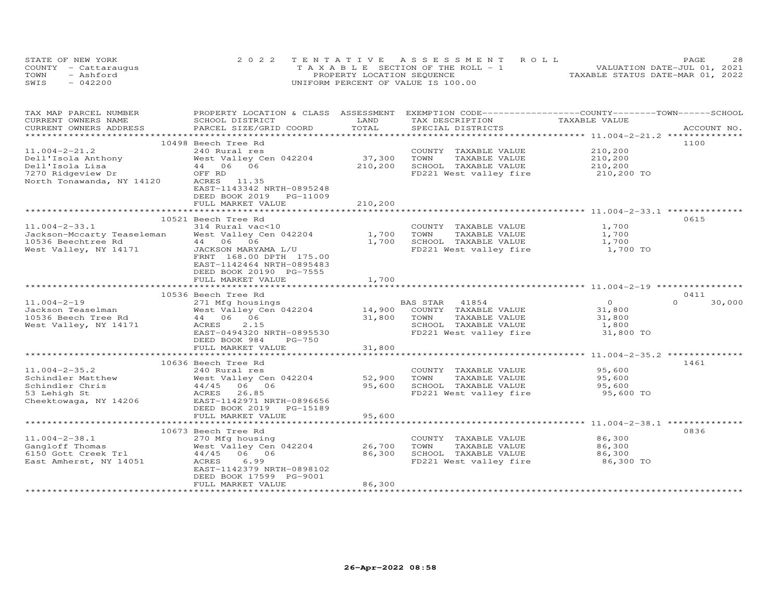| STATE OF NEW YORK    | 2022 TENTATIVE ASSESSMENT ROLL        | 28<br>PAGE                       |
|----------------------|---------------------------------------|----------------------------------|
| COUNTY - Cattaraugus | T A X A B L E SECTION OF THE ROLL - 1 | VALUATION DATE-JUL 01, 2021      |
| TOWN<br>- Ashford    | PROPERTY LOCATION SEQUENCE            | TAXABLE STATUS DATE-MAR 01, 2022 |
| SWIS<br>$-042200$    | UNIFORM PERCENT OF VALUE IS 100.00    |                                  |

| TAX MAP PARCEL NUMBER<br>CURRENT OWNERS NAME                        | PROPERTY LOCATION & CLASS ASSESSMENT EXEMPTION CODE----------------COUNTY-------TOWN------SCHOOL<br>SCHOOL DISTRICT | LAND    | TAX DESCRIPTION                                                 | TAXABLE VALUE         |                    |
|---------------------------------------------------------------------|---------------------------------------------------------------------------------------------------------------------|---------|-----------------------------------------------------------------|-----------------------|--------------------|
| CURRENT OWNERS ADDRESS                                              | PARCEL SIZE/GRID COORD                                                                                              | TOTAL   | SPECIAL DISTRICTS                                               |                       | ACCOUNT NO.        |
|                                                                     |                                                                                                                     |         |                                                                 |                       |                    |
|                                                                     | 10498 Beech Tree Rd                                                                                                 |         |                                                                 |                       | 1100               |
| $11.004 - 2 - 21.2$                                                 | 240 Rural res                                                                                                       |         | COUNTY TAXABLE VALUE                                            |                       |                    |
|                                                                     | West Valley Cen 042204                                                                                              | 37,300  | TOWN<br>TAXABLE VALUE                                           | 210,200<br>210,200    |                    |
|                                                                     |                                                                                                                     | 210,200 | SCHOOL TAXABLE VALUE                                            |                       |                    |
| -----<br>Dell'Isola Anthony<br>Dell'Isola Lisa<br>7270 Ridgeview Dr | West Valley C<br>44   06   06<br>OFF RD<br>OFF RD                                                                   |         | FD221 West valley fire                                          | 210,200<br>210,200 TO |                    |
| North Tonawanda, NY 14120                                           | ACRES 11.35                                                                                                         |         |                                                                 |                       |                    |
|                                                                     | EAST-1143342 NRTH-0895248                                                                                           |         |                                                                 |                       |                    |
|                                                                     | DEED BOOK 2019 PG-11009                                                                                             |         |                                                                 |                       |                    |
|                                                                     | FULL MARKET VALUE                                                                                                   | 210,200 |                                                                 |                       |                    |
|                                                                     |                                                                                                                     |         |                                                                 |                       |                    |
|                                                                     | 10521 Beech Tree Rd                                                                                                 |         |                                                                 |                       | 0615               |
| $11.004 - 2 - 33.1$                                                 | 314 Rural vac<10                                                                                                    |         | COUNTY TAXABLE VALUE                                            | 1,700                 |                    |
| Jackson-Mccarty Teaseleman West Valley Cen 042204 1,700             |                                                                                                                     |         | TAXABLE VALUE<br>TOWN                                           | 1,700                 |                    |
|                                                                     | 44 06 06                                                                                                            | 1,700   |                                                                 |                       |                    |
| 10536 Beechtree Rd<br>West Valley, NY 14171                         | JACKSON MARYAMA L/U                                                                                                 |         | SCHOOL TAXABLE VALUE 1,700<br>FD221 West valley fire 1,700 TO   |                       |                    |
|                                                                     | FRNT 168.00 DPTH 175.00                                                                                             |         |                                                                 |                       |                    |
|                                                                     | EAST-1142464 NRTH-0895483                                                                                           |         |                                                                 |                       |                    |
|                                                                     | DEED BOOK 20190 PG-7555                                                                                             |         |                                                                 |                       |                    |
|                                                                     | FULL MARKET VALUE                                                                                                   | 1,700   |                                                                 |                       |                    |
|                                                                     |                                                                                                                     |         |                                                                 |                       |                    |
|                                                                     | 10536 Beech Tree Rd                                                                                                 |         |                                                                 |                       | 0411               |
| $11.004 - 2 - 19$                                                   | 271 Mfg housings                                                                                                    |         | BAS STAR 41854                                                  | $\overline{O}$        | $\Omega$<br>30,000 |
|                                                                     |                                                                                                                     |         | 14,900 COUNTY TAXABLE VALUE                                     | 31,800                |                    |
|                                                                     |                                                                                                                     | 31,800  | TAXABLE VALUE<br>TOWN                                           | 31,800                |                    |
| West Valley, NY 14171                                               | 2.15<br>ACRES                                                                                                       |         | SCHOOL TAXABLE VALUE                                            | 1,800                 |                    |
|                                                                     | EAST-0494320 NRTH-0895530                                                                                           |         | FD221 West valley fire                                          | 31,800 TO             |                    |
|                                                                     | DEED BOOK 984<br>PG-750                                                                                             |         |                                                                 |                       |                    |
|                                                                     | FULL MARKET VALUE                                                                                                   | 31,800  |                                                                 |                       |                    |
|                                                                     |                                                                                                                     |         |                                                                 |                       |                    |
|                                                                     | 10636 Beech Tree Rd                                                                                                 |         |                                                                 |                       | 1461               |
| $11.004 - 2 - 35.2$                                                 | 240 Rural res                                                                                                       |         | COUNTY TAXABLE VALUE                                            | 95,600                |                    |
|                                                                     |                                                                                                                     | 52,900  | TOWN<br>TAXABLE VALUE                                           | 95,600                |                    |
|                                                                     |                                                                                                                     | 95,600  | SCHOOL TAXABLE VALUE 95,600<br>FD221 West valley fire 95,600 TO |                       |                    |
| 53 Lehigh St                                                        | ACRES<br>26.85                                                                                                      |         |                                                                 |                       |                    |
| Cheektowaga, NY 14206                                               | EAST-1142971 NRTH-0896656                                                                                           |         |                                                                 |                       |                    |
|                                                                     | DEED BOOK 2019 PG-15189                                                                                             |         |                                                                 |                       |                    |
|                                                                     | FULL MARKET VALUE<br>************************                                                                       | 95,600  |                                                                 |                       |                    |
|                                                                     |                                                                                                                     |         |                                                                 |                       |                    |
|                                                                     | 10673 Beech Tree Rd                                                                                                 |         |                                                                 |                       | 0836               |
| $11.004 - 2 - 38.1$                                                 | 270 Mfg housing<br>West Valley Cen 042204                                                                           | 26,700  | COUNTY TAXABLE VALUE                                            | 86,300                |                    |
| Gangloff Thomas<br>6150 Gott Creek Trl                              |                                                                                                                     | 86,300  | TOWN<br>TAXABLE VALUE                                           | 86,300                |                    |
| East Amherst, NY 14051                                              | 44/45 06 06<br>6.99<br>ACRES                                                                                        |         | SCHOOL TAXABLE VALUE<br>FD221 West valley fire                  | 86,300<br>86,300 TO   |                    |
|                                                                     | EAST-1142379 NRTH-0898102                                                                                           |         |                                                                 |                       |                    |
|                                                                     | DEED BOOK 17599 PG-9001                                                                                             |         |                                                                 |                       |                    |
|                                                                     | FULL MARKET VALUE                                                                                                   | 86,300  |                                                                 |                       |                    |
|                                                                     |                                                                                                                     |         |                                                                 |                       |                    |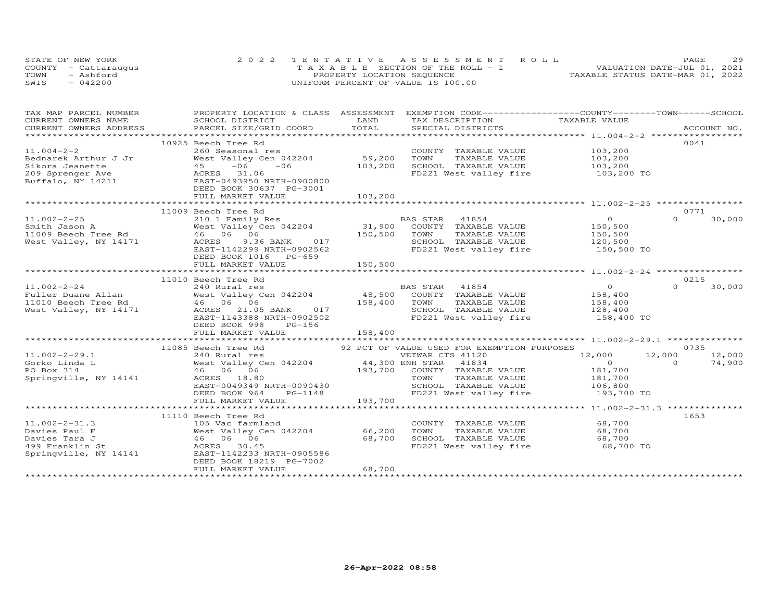| STATE OF NEW YORK    | 2022 TENTATIVE ASSESSMENT ROLL        | PAGE.                            | 29 |
|----------------------|---------------------------------------|----------------------------------|----|
| COUNTY - Cattaraugus | T A X A B L E SECTION OF THE ROLL - 1 | VALUATION DATE-JUL 01, 2021      |    |
| TOWN<br>- Ashford    | PROPERTY LOCATION SEQUENCE            | TAXABLE STATUS DATE-MAR 01, 2022 |    |
| $-042200$<br>SWIS    | UNIFORM PERCENT OF VALUE IS 100.00    |                                  |    |

| TAX MAP PARCEL NUMBER | PROPERTY LOCATION & CLASS ASSESSMENT EXEMPTION CODE----------------COUNTY-------TOWN-----SCHOOL                                                                                                                                                       |         |                                                                                                                                                   |                                                                 |                    |
|-----------------------|-------------------------------------------------------------------------------------------------------------------------------------------------------------------------------------------------------------------------------------------------------|---------|---------------------------------------------------------------------------------------------------------------------------------------------------|-----------------------------------------------------------------|--------------------|
|                       |                                                                                                                                                                                                                                                       |         | TAX DESCRIPTION TAXABLE VALUE                                                                                                                     |                                                                 |                    |
|                       |                                                                                                                                                                                                                                                       |         |                                                                                                                                                   |                                                                 |                    |
|                       |                                                                                                                                                                                                                                                       |         |                                                                                                                                                   |                                                                 |                    |
|                       | 10925 Beech Tree Rd                                                                                                                                                                                                                                   |         |                                                                                                                                                   |                                                                 | 0041               |
|                       |                                                                                                                                                                                                                                                       |         | COUNTY TAXABLE VALUE 103,200                                                                                                                      |                                                                 |                    |
|                       |                                                                                                                                                                                                                                                       |         |                                                                                                                                                   |                                                                 |                    |
|                       |                                                                                                                                                                                                                                                       |         | TOWN TAXABLE VALUE 103,200<br>SCHOOL TAXABLE VALUE 103,200                                                                                        |                                                                 |                    |
|                       | 11.004-2-2<br>260 Seasonal res<br>Bednarek Arthur J Jr West Valley Cen 042204 59,200<br>Sikora Jeanette 45 -06 -06 103,200<br>209 Sprenger Ave ACRES 31.06<br>209 Sprenger Ave ACRES 31.06<br>209 MEED BOOK 30637 PG-3001<br>2011<br>2011<br>201      |         | FD221 West valley fire 103,200 TO                                                                                                                 |                                                                 |                    |
|                       |                                                                                                                                                                                                                                                       |         |                                                                                                                                                   |                                                                 |                    |
|                       |                                                                                                                                                                                                                                                       |         |                                                                                                                                                   |                                                                 |                    |
|                       |                                                                                                                                                                                                                                                       |         |                                                                                                                                                   |                                                                 |                    |
|                       |                                                                                                                                                                                                                                                       |         |                                                                                                                                                   |                                                                 |                    |
|                       | 11009 Beech Tree Rd                                                                                                                                                                                                                                   |         |                                                                                                                                                   |                                                                 | 0771               |
|                       | 11.002-2-25<br>Smith Jason A<br>Mest Valley Cen 042204<br>11009 Beech Tree Rd<br>West Valley Cen 042204<br>46 06 06<br>West Valley, NY 14171<br>EAST-1142299 NRTH-0902562<br>EAST-1142299 NRTH-0902562<br>EAST-1142299 NRTH-0902562<br>FD221 West     |         |                                                                                                                                                   | $\overline{0}$                                                  | 30,000<br>$\Omega$ |
|                       |                                                                                                                                                                                                                                                       |         | 3AS STAR 41854<br>COUNTY TAXABLE VALUE 150,500<br>TOWN TAXABLE VALUE 150,500<br>SCHOOL TAXABLE VALUE 120,500<br>FD221 West valley fire 150,500 TO |                                                                 |                    |
|                       |                                                                                                                                                                                                                                                       |         |                                                                                                                                                   |                                                                 |                    |
|                       |                                                                                                                                                                                                                                                       |         |                                                                                                                                                   |                                                                 |                    |
|                       |                                                                                                                                                                                                                                                       |         |                                                                                                                                                   |                                                                 |                    |
|                       | DEED BOOK 1016 PG-659                                                                                                                                                                                                                                 |         |                                                                                                                                                   |                                                                 |                    |
|                       | FULL MARKET VALUE                                                                                                                                                                                                                                     | 150,500 |                                                                                                                                                   |                                                                 |                    |
|                       |                                                                                                                                                                                                                                                       |         |                                                                                                                                                   |                                                                 |                    |
|                       | 11010 Beech Tree Rd                                                                                                                                                                                                                                   |         |                                                                                                                                                   |                                                                 | 0215               |
|                       |                                                                                                                                                                                                                                                       |         |                                                                                                                                                   | $\begin{smallmatrix}&&0\0&158,400\end{smallmatrix}$             | $\Omega$<br>30,000 |
|                       |                                                                                                                                                                                                                                                       |         |                                                                                                                                                   |                                                                 |                    |
|                       | 11.002-2-24<br>Fuller Duane Allan Mest Valley Cen 042204<br>Mest Valley Cen 042204<br>Mest Valley Cen 042204<br>Mest Valley, NY 14171<br>Mest Valley, NY 14171<br>Mest Valley, NY 14171<br>Mest Valley, NY 14171<br>Mest Valley, NY 14171<br>Mes      |         |                                                                                                                                                   | TAXABLE VALUE<br>TAXABLE VALUE 158,400<br>TAXABLE VALUE 128,400 |                    |
|                       |                                                                                                                                                                                                                                                       |         |                                                                                                                                                   |                                                                 |                    |
|                       |                                                                                                                                                                                                                                                       |         | FD221 West valley fire 158,400 TO                                                                                                                 |                                                                 |                    |
|                       | DEED BOOK 998<br>PG-156                                                                                                                                                                                                                               |         |                                                                                                                                                   |                                                                 |                    |
|                       |                                                                                                                                                                                                                                                       |         |                                                                                                                                                   |                                                                 |                    |
|                       |                                                                                                                                                                                                                                                       |         |                                                                                                                                                   |                                                                 |                    |
|                       | 11085 Beech Tree Rd                                                                                                                                                                                                                                   |         | 92 PCT OF VALUE USED FOR EXEMPTION PURPOSES                                                                                                       |                                                                 | 0735               |
|                       | 11.002-2-29.1<br>Gorko Linda L<br>FO Box 314<br>PO Box 314<br>FO Box 314<br>Springville, NY 14141<br>EAST-0049349 NRTH-0090430<br>DEED BOOK 964<br>DEED BOOK 964<br>PG-1148<br>FO 221 West valley fire<br>FD221 West valley fire<br>FD221 West valley |         |                                                                                                                                                   | 12,000 12,000                                                   | 12,000             |
|                       |                                                                                                                                                                                                                                                       |         |                                                                                                                                                   | $\overline{O}$                                                  | $\Omega$<br>74,900 |
|                       |                                                                                                                                                                                                                                                       |         |                                                                                                                                                   |                                                                 |                    |
|                       |                                                                                                                                                                                                                                                       |         |                                                                                                                                                   | 181,700<br>181,700                                              |                    |
|                       |                                                                                                                                                                                                                                                       |         | TOWN TAXABLE VALUE<br>SCHOOL TAXABLE VALUE 106,800<br>--^^1 Mart valley fire 193,700 TO                                                           |                                                                 |                    |
|                       |                                                                                                                                                                                                                                                       |         |                                                                                                                                                   |                                                                 |                    |
|                       |                                                                                                                                                                                                                                                       |         |                                                                                                                                                   |                                                                 |                    |
|                       |                                                                                                                                                                                                                                                       |         |                                                                                                                                                   |                                                                 |                    |
|                       | 11110 Beech Tree Rd                                                                                                                                                                                                                                   |         |                                                                                                                                                   |                                                                 | 1653               |
| $11.002 - 2 - 31.3$   | 105 Vac farmland                                                                                                                                                                                                                                      |         | COUNTY TAXABLE VALUE 68,700                                                                                                                       |                                                                 |                    |
|                       |                                                                                                                                                                                                                                                       |         | TOWN                                                                                                                                              | TAXABLE VALUE 68,700                                            |                    |
|                       |                                                                                                                                                                                                                                                       |         |                                                                                                                                                   |                                                                 |                    |
|                       | 11.002-2-31.3<br>Davies Paul F<br>Davies Tara J<br>Pavies Tara J<br>The Mest Valley Cen 042204 66,200<br>499 Franklin St ACRES 30.45<br>Springville, NY 14141 EAST-1142233 NRTH-0905586                                                               |         |                                                                                                                                                   |                                                                 |                    |
|                       |                                                                                                                                                                                                                                                       |         |                                                                                                                                                   |                                                                 |                    |
|                       | DEED BOOK 18219 PG-7002                                                                                                                                                                                                                               |         |                                                                                                                                                   |                                                                 |                    |
|                       | FULL MARKET VALUE                                                                                                                                                                                                                                     | 68,700  |                                                                                                                                                   |                                                                 |                    |
|                       |                                                                                                                                                                                                                                                       |         |                                                                                                                                                   |                                                                 |                    |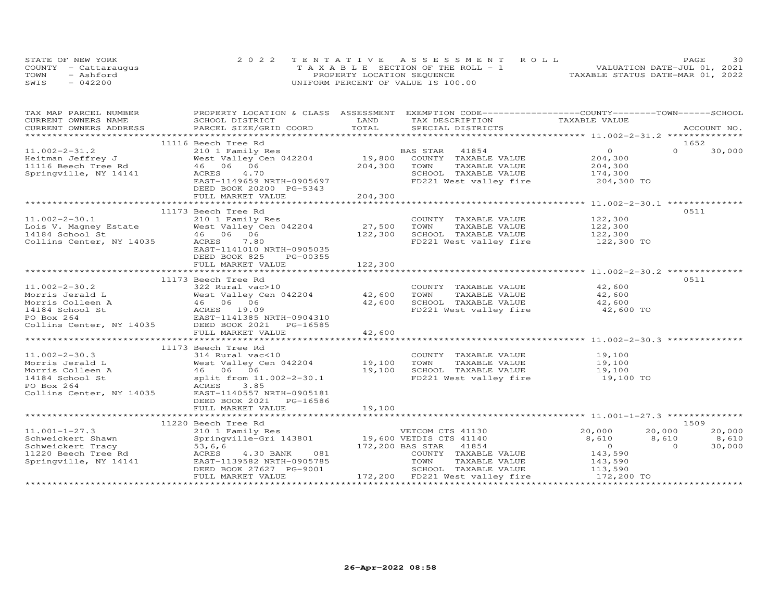|      | STATE OF NEW YORK    | 2022 TENTATIVE ASSESSMENT ROLL        | PAGE                             | 30 |
|------|----------------------|---------------------------------------|----------------------------------|----|
|      | COUNTY - Cattaraugus | T A X A B L E SECTION OF THE ROLL - 1 | VALUATION DATE-JUL 01, 2021      |    |
| TOWN | - Ashford            | PROPERTY LOCATION SEQUENCE            | TAXABLE STATUS DATE-MAR 01, 2022 |    |
| SWIS | $-042200$            | UNIFORM PERCENT OF VALUE IS 100.00    |                                  |    |

| TAX MAP PARCEL NUMBER | PROPERTY LOCATION & CLASS ASSESSMENT EXEMPTION CODE----------------COUNTY-------TOWN------SCHOOL                                                                                                                                                         |         |                                                           |                                                                                                           |                          |
|-----------------------|----------------------------------------------------------------------------------------------------------------------------------------------------------------------------------------------------------------------------------------------------------|---------|-----------------------------------------------------------|-----------------------------------------------------------------------------------------------------------|--------------------------|
| CURRENT OWNERS NAME   | SCHOOL DISTRICT<br>SCHOOL DISTRICT<br>PARCEL SIZE/GRID COORD                                                                                                                                                                                             | LAND    | TAX DESCRIPTION TAXABLE VALUE                             |                                                                                                           |                          |
|                       | .CURRENT OWNERS ADDRESS PARCEL SIZE/GRID COORD TOTAL SPECIAL DISTRICTS ACCOUNT NO ACCOUNT NO ACCOUNT NO ARE THE SERVER AND THE SERVER ASSESS THE SERVER OF THE SERVER SERVER AND THE SERVER SERVER AND THE SERVER SERVER AND T                           |         |                                                           |                                                                                                           | ACCOUNT NO.              |
|                       |                                                                                                                                                                                                                                                          |         |                                                           |                                                                                                           |                          |
|                       |                                                                                                                                                                                                                                                          |         |                                                           |                                                                                                           | 1652                     |
|                       |                                                                                                                                                                                                                                                          |         |                                                           |                                                                                                           | $\Omega$<br>30,000       |
|                       |                                                                                                                                                                                                                                                          |         |                                                           |                                                                                                           |                          |
|                       |                                                                                                                                                                                                                                                          |         |                                                           |                                                                                                           |                          |
|                       | 11.002-2-31.2<br>Heitman Jeffrey J<br>Heitman Jeffrey J<br>Mest Valley Cen 042204<br>19,800 COUNTY TAXABLE VALUE<br>1116 Beech Tree Rd<br>Springville, NY 14141<br>ACRES 11.4.70<br>204,300 TOWN TAXABLE VALUE<br>SCHOOL TAXABLE VALUE<br>SCHOOL         |         |                                                           | 41854 0<br>TAXABLE VALUE 204,300<br>TAXABLE VALUE 204,300<br>TAXABLE VALUE 174,300                        |                          |
|                       | EAST-1149659 NRTH-0905697                                                                                                                                                                                                                                |         | FD221 West valley fire 204,300 TO                         |                                                                                                           |                          |
|                       | DEED BOOK 20200 PG-5343                                                                                                                                                                                                                                  |         |                                                           |                                                                                                           |                          |
|                       | FULL MARKET VALUE                                                                                                                                                                                                                                        | 204,300 |                                                           |                                                                                                           |                          |
|                       |                                                                                                                                                                                                                                                          |         |                                                           |                                                                                                           |                          |
|                       | 11173 Beech Tree Rd                                                                                                                                                                                                                                      |         |                                                           |                                                                                                           | 0511                     |
| $11.002 - 2 - 30.1$   | 210 1 Family Res                                                                                                                                                                                                                                         |         | COUNTY TAXABLE VALUE                                      | 122,300                                                                                                   |                          |
|                       |                                                                                                                                                                                                                                                          |         | TOWN                                                      | TAXABLE VALUE<br>TAXABLE VALUE 122,300<br>TAXABLE VALUE 122,300                                           |                          |
|                       |                                                                                                                                                                                                                                                          |         | SCHOOL TAXABLE VALUE                                      |                                                                                                           |                          |
|                       | 11.002-2-30.1<br>Lois V. Magney Estate West Valley Cen 042204 27,500<br>14184 School St 46 06 06 122,300<br>Collins Center, NY 14035 ACRES 140.30 NDTV 0005035                                                                                           |         | FD221 West valley fire 122,300 TO                         |                                                                                                           |                          |
|                       |                                                                                                                                                                                                                                                          |         |                                                           |                                                                                                           |                          |
|                       | EAST-1141010 NRTH-0905035                                                                                                                                                                                                                                |         |                                                           |                                                                                                           |                          |
|                       | DEED BOOK 825<br>PG-00355                                                                                                                                                                                                                                |         |                                                           |                                                                                                           |                          |
|                       | FULL MARKET VALUE                                                                                                                                                                                                                                        | 122,300 |                                                           |                                                                                                           |                          |
|                       |                                                                                                                                                                                                                                                          |         |                                                           |                                                                                                           |                          |
|                       | 11173 Beech Tree Rd                                                                                                                                                                                                                                      |         |                                                           |                                                                                                           | 0511                     |
| $11.002 - 2 - 30.2$   |                                                                                                                                                                                                                                                          |         | COUNTY TAXABLE VALUE 42,600                               |                                                                                                           |                          |
|                       |                                                                                                                                                                                                                                                          |         | TOWN      TAXABLE VALUE<br>SCHOOL   TAXABLE VALUE<br>TOWN | 42,600                                                                                                    |                          |
|                       | 11.002-2-30.2 322 Rural vac>10<br>Morris Jerald L West Valley Cen 042204 42,600<br>Morris Colleen A 46 06 06 42,600<br>14184 School St ACRES 19.09<br>PO Box 264 EAST-1141385 NRTH-0904310<br>Collins Center, NY 14035 DEED BOOK 2021 PG                 |         |                                                           | 42,600                                                                                                    |                          |
|                       |                                                                                                                                                                                                                                                          |         | FD221 West valley fire                                    | 42,600 TO                                                                                                 |                          |
|                       |                                                                                                                                                                                                                                                          |         |                                                           |                                                                                                           |                          |
|                       |                                                                                                                                                                                                                                                          |         |                                                           |                                                                                                           |                          |
|                       |                                                                                                                                                                                                                                                          |         |                                                           |                                                                                                           |                          |
|                       |                                                                                                                                                                                                                                                          |         |                                                           |                                                                                                           |                          |
|                       | 11173 Beech Tree Rd                                                                                                                                                                                                                                      |         |                                                           |                                                                                                           |                          |
| $11.002 - 2 - 30.3$   | 314 Rural vac<10                                                                                                                                                                                                                                         |         | COUNTY TAXABLE VALUE                                      |                                                                                                           |                          |
|                       |                                                                                                                                                                                                                                                          |         |                                                           |                                                                                                           |                          |
|                       |                                                                                                                                                                                                                                                          |         |                                                           |                                                                                                           |                          |
|                       |                                                                                                                                                                                                                                                          |         |                                                           | TAXABLE VALUE $19,100$<br>TAXABLE VALUE $19,100$<br>TAXABLE VALUE $19,100$<br>est valley fire $19,100$ TO |                          |
|                       |                                                                                                                                                                                                                                                          |         |                                                           |                                                                                                           |                          |
|                       | 11.002-2-30.3<br>Morris Jordan Land Morris (11.002-2-30.4<br>Morris Colleen A<br>Morris Colleen A<br>14.002-2-30.1<br>Morris Colleen A<br>46 06 06<br>19,100 SCHOOL TAXABLE VALUE<br>19,100 SCHOOL TAXABLE VALUE<br>PO Box 264<br>RORES 3.85<br>Col      |         |                                                           |                                                                                                           |                          |
|                       |                                                                                                                                                                                                                                                          |         |                                                           |                                                                                                           |                          |
|                       | DEED BOOK 2021<br>PG-16586                                                                                                                                                                                                                               |         |                                                           |                                                                                                           |                          |
|                       | FULL MARKET VALUE                                                                                                                                                                                                                                        | 19,100  |                                                           |                                                                                                           |                          |
|                       |                                                                                                                                                                                                                                                          |         |                                                           |                                                                                                           |                          |
|                       | 11220 Beech Tree Rd                                                                                                                                                                                                                                      |         |                                                           |                                                                                                           | 1509                     |
| $11.001 - 1 - 27.3$   |                                                                                                                                                                                                                                                          |         |                                                           | 20,000 20,000<br>8,610 8,610                                                                              | 20,000                   |
| Schweickert Shawn     |                                                                                                                                                                                                                                                          |         |                                                           |                                                                                                           | 8,610                    |
|                       | SCHWEICKEIL SHAWI<br>SCHWEICKEIT TRACY<br>11220 Beech Tree Rd 1220 Beech Tree Rd 1230 BANK<br>Springville, NY 14141<br>EAST-1139582 NRTH-0905785<br>DEED BOOK 27627 PG-9001<br>172.200<br>172,200 BAS STAR 41854<br>4.30 BANK 081 172,200 BAS STAR 41854 |         |                                                           | $\overline{O}$                                                                                            | 30,000<br>$\overline{a}$ |
|                       |                                                                                                                                                                                                                                                          |         | COUNTY TAXABLE VALUE                                      | 143,590                                                                                                   |                          |
|                       |                                                                                                                                                                                                                                                          |         |                                                           |                                                                                                           |                          |
|                       |                                                                                                                                                                                                                                                          |         |                                                           |                                                                                                           |                          |
|                       | FULL MARKET VALUE                                                                                                                                                                                                                                        |         | 172,200 FD221 West valley fire 172,200 TO                 |                                                                                                           |                          |
|                       |                                                                                                                                                                                                                                                          |         |                                                           |                                                                                                           |                          |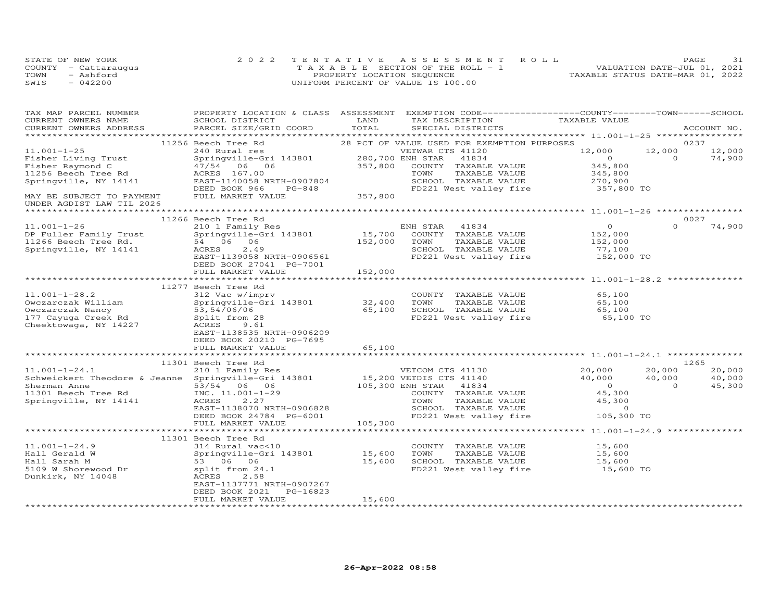|      | STATE OF NEW YORK    | 2022 TENTATIVE ASSESSMENT ROLL        | 31<br>PAGE                       |
|------|----------------------|---------------------------------------|----------------------------------|
|      | COUNTY - Cattaraugus | T A X A B L E SECTION OF THE ROLL - 1 | VALUATION DATE-JUL 01, 2021      |
| TOWN | - Ashford            | PROPERTY LOCATION SEQUENCE            | TAXABLE STATUS DATE-MAR 01, 2022 |
| SWIS | $-042200$            | UNIFORM PERCENT OF VALUE IS 100.00    |                                  |

| TAX MAP PARCEL NUMBER<br>CURRENT OWNERS NAME                                           | PROPERTY LOCATION & CLASS ASSESSMENT EXEMPTION CODE----------------COUNTY-------TOWN------SCHOOL<br>SCHOOL DISTRICT<br>PARCEL SIZE/GRID COORD TOTAL | LAND    | TAX DESCRIPTION TAXABLE VALUE                                                                   |                                                            |          |             |
|----------------------------------------------------------------------------------------|-----------------------------------------------------------------------------------------------------------------------------------------------------|---------|-------------------------------------------------------------------------------------------------|------------------------------------------------------------|----------|-------------|
| CURRENT OWNERS ADDRESS                                                                 |                                                                                                                                                     |         | SPECIAL DISTRICTS                                                                               |                                                            |          | ACCOUNT NO. |
|                                                                                        | 11256 Beech Tree Rd                                                                                                                                 |         | 28 PCT OF VALUE USED FOR EXEMPTION PURPOSES                                                     |                                                            |          | 0237        |
| $11.001 - 1 - 25$                                                                      | 240 Rural res                                                                                                                                       |         | VETWAR CTS 41120                                                                                |                                                            |          | 12,000      |
| Fisher Living Trust                                                                    | Springville-Gri 143801 280,700 ENH STAR                                                                                                             |         | 41834                                                                                           | $12,000$ $12,000$ 0                                        |          | 74,900      |
| Fisher Raymond C                                                                       | Springville-011<br>47/54 06 06<br>157.00                                                                                                            | 357,800 | COUNTY TAXABLE VALUE                                                                            | 345,800                                                    |          |             |
|                                                                                        | ACRES 167.00                                                                                                                                        |         |                                                                                                 |                                                            |          |             |
| 11256 Beech Tree Rd<br>Springville, NY 14141                                           |                                                                                                                                                     |         |                                                                                                 |                                                            |          |             |
|                                                                                        | ACRES 167.00<br>EAST-1140058 NRTH-0907804<br>DEED BOOK 966 PG-848<br>PG-848                                                                         |         | TOWN TAXABLE VALUE 345,800<br>SCHOOL TAXABLE VALUE 270,900<br>FD221 West valley fire 357,800 TO |                                                            |          |             |
| MAY BE SUBJECT TO PAYMENT<br>UNDER AGDIST LAW TIL 2026                                 | FULL MARKET VALUE                                                                                                                                   | 357,800 |                                                                                                 |                                                            |          |             |
|                                                                                        |                                                                                                                                                     |         |                                                                                                 |                                                            |          |             |
|                                                                                        | 11266 Beech Tree Rd                                                                                                                                 |         |                                                                                                 |                                                            | 0027     |             |
| $11.001 - 1 - 26$                                                                      |                                                                                                                                                     |         |                                                                                                 |                                                            | $\Omega$ | 74,900      |
| DP Fuller Family Trust                                                                 |                                                                                                                                                     |         |                                                                                                 |                                                            |          |             |
|                                                                                        | 54 06 06                                                                                                                                            | 152,000 | TAXABLE VALUE<br>TOWN                                                                           | 152,000                                                    |          |             |
| IIZOU Beech Tree Rd.<br>Springville, NY 14141                                          | 2.49<br>ACRES<br>ACRES 2.49<br>EAST-1139058 NRTH-0906561                                                                                            |         | SCHOOL TAXABLE VALUE                                                                            | 77,100                                                     |          |             |
|                                                                                        |                                                                                                                                                     |         | FD221 West valley fire                                                                          | 152,000 TO                                                 |          |             |
|                                                                                        | DEED BOOK 27041 PG-7001                                                                                                                             |         |                                                                                                 |                                                            |          |             |
|                                                                                        | FULL MARKET VALUE                                                                                                                                   | 152,000 |                                                                                                 |                                                            |          |             |
|                                                                                        |                                                                                                                                                     |         |                                                                                                 |                                                            |          |             |
|                                                                                        | 11277 Beech Tree Rd                                                                                                                                 |         |                                                                                                 |                                                            |          |             |
| $11.001 - 1 - 28.2$                                                                    | 312 Vac w/imprv                                                                                                                                     |         | COUNTY TAXABLE VALUE                                                                            | 65,100                                                     |          |             |
|                                                                                        | $Springville-Gri 143801 32,400$                                                                                                                     |         | TOWN<br>TAXABLE VALUE 65,100<br>TAXABLE VALUE 65,100                                            |                                                            |          |             |
|                                                                                        | 53,54/06/06                                                                                                                                         | 65,100  | SCHOOL TAXABLE VALUE                                                                            | 65,100                                                     |          |             |
| Owczarczak William<br>Owczarczak Nancy<br>177 Cayuga Creek Rd<br>Cheektowaga, NY 14227 | Split from 28                                                                                                                                       |         | FD221 West valley fire 65,100 TO                                                                |                                                            |          |             |
|                                                                                        | ACRES<br>9.61                                                                                                                                       |         |                                                                                                 |                                                            |          |             |
|                                                                                        | EAST-1138535 NRTH-0906209                                                                                                                           |         |                                                                                                 |                                                            |          |             |
|                                                                                        | DEED BOOK 20210 PG-7695                                                                                                                             |         |                                                                                                 |                                                            |          |             |
|                                                                                        | FULL MARKET VALUE                                                                                                                                   | 65,100  |                                                                                                 |                                                            |          |             |
|                                                                                        | 11301 Beech Tree Rd                                                                                                                                 |         |                                                                                                 |                                                            |          | 1265        |
| $11.001 - 1 - 24.1$                                                                    | 210 1 Family Res                                                                                                                                    |         | VETCOM CTS 41130                                                                                |                                                            |          | 20,000      |
| Schweickert Theodore & Jeanne Springville-Gri 143801 15,200 VETDIS CTS 41140           |                                                                                                                                                     |         |                                                                                                 | $20,000$ $20,000$<br>$40,000$ $40,000$                     |          | 40,000      |
| Sherman Anne                                                                           | 53/54 06 06                                                                                                                                         |         | 105,300 ENH STAR 41834                                                                          | $\overline{0}$                                             | $\sim$ 0 | 45,300      |
| Sherman Anne<br>11301 Beech Tree Rd                                                    | INC. 11.001-1-29                                                                                                                                    |         | COUNTY TAXABLE VALUE                                                                            | 45,300                                                     |          |             |
| Springville, NY 14141                                                                  | ACRES<br>2.27                                                                                                                                       |         |                                                                                                 | 45,300                                                     |          |             |
|                                                                                        | EAST-1138070 NRTH-0906828                                                                                                                           |         | TOWN       TAXABLE  VALUE<br>SCHOOL    TAXABLE  VALUE                                           |                                                            |          |             |
|                                                                                        |                                                                                                                                                     |         | FD221 West valley fire                                                                          | $\begin{array}{c}\n0 \\ \hline\n\end{array}$<br>105,300 TO |          |             |
|                                                                                        |                                                                                                                                                     |         |                                                                                                 |                                                            |          |             |
|                                                                                        |                                                                                                                                                     |         |                                                                                                 |                                                            |          |             |
|                                                                                        | 11301 Beech Tree Rd                                                                                                                                 |         |                                                                                                 |                                                            |          |             |
| $11.001 - 1 - 24.9$                                                                    | 314 Rural vac<10                                                                                                                                    |         | COUNTY TAXABLE VALUE                                                                            |                                                            |          |             |
| Hall Gerald W                                                                          | springville-Gri 143801 15,600                                                                                                                       |         | TOWN<br>TAXABLE VALUE                                                                           | $\frac{1}{15}$ , 600                                       |          |             |
|                                                                                        | 53 06 06                                                                                                                                            | 15,600  | SCHOOL TAXABLE VALUE                                                                            | 15,600                                                     |          |             |
| Hall Geraid w<br>Hall Sarah M<br>5109 W Shorewood Dr<br>Dunkirk, NY 14048              | split from 24.1                                                                                                                                     |         | FD221 West valley fire                                                                          | 15,600 TO                                                  |          |             |
|                                                                                        | ACRES<br>2.58                                                                                                                                       |         |                                                                                                 |                                                            |          |             |
|                                                                                        | EAST-1137771 NRTH-0907267                                                                                                                           |         |                                                                                                 |                                                            |          |             |
|                                                                                        | DEED BOOK 2021<br>PG-16823                                                                                                                          |         |                                                                                                 |                                                            |          |             |
|                                                                                        | FULL MARKET VALUE                                                                                                                                   | 15,600  |                                                                                                 |                                                            |          |             |
|                                                                                        |                                                                                                                                                     |         |                                                                                                 |                                                            |          |             |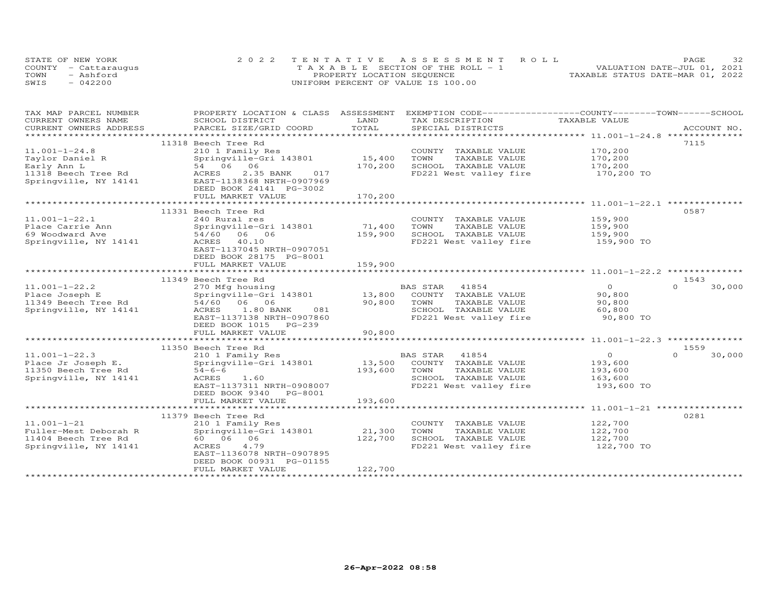|      | STATE OF NEW YORK    | 2022 TENTATIVE ASSESSMENT ROLL        | 32<br>PAGE                       |
|------|----------------------|---------------------------------------|----------------------------------|
|      | COUNTY - Cattaraugus | T A X A B L E SECTION OF THE ROLL - 1 | VALUATION DATE-JUL 01, 2021      |
| TOWN | - Ashford            | PROPERTY LOCATION SEQUENCE            | TAXABLE STATUS DATE-MAR 01, 2022 |
| SWIS | $-042200$            | UNIFORM PERCENT OF VALUE IS 100.00    |                                  |

| TAX MAP PARCEL NUMBER   | PROPERTY LOCATION & CLASS ASSESSMENT |         | EXEMPTION CODE-----------------COUNTY-------TOWN-----SCHOOL |                |                    |
|-------------------------|--------------------------------------|---------|-------------------------------------------------------------|----------------|--------------------|
| CURRENT OWNERS NAME     | SCHOOL DISTRICT                      | LAND    | TAX DESCRIPTION                                             | TAXABLE VALUE  |                    |
| CURRENT OWNERS ADDRESS  | PARCEL SIZE/GRID COORD               | TOTAL   | SPECIAL DISTRICTS                                           |                | ACCOUNT NO.        |
| *********************** |                                      |         |                                                             |                |                    |
|                         | 11318 Beech Tree Rd                  |         |                                                             |                | 7115               |
| $11.001 - 1 - 24.8$     | 210 1 Family Res                     |         | COUNTY TAXABLE VALUE                                        | 170,200        |                    |
| Taylor Daniel R         | Springville-Gri 143801               | 15,400  | TOWN<br>TAXABLE VALUE                                       | 170,200        |                    |
| Early Ann L             | 54 06 06                             | 170,200 | SCHOOL TAXABLE VALUE                                        | 170,200        |                    |
| 11318 Beech Tree Rd     | ACRES<br>2.35 BANK<br>017            |         | FD221 West valley fire                                      | 170,200 TO     |                    |
| Springville, NY 14141   | EAST-1138368 NRTH-0907969            |         |                                                             |                |                    |
|                         | DEED BOOK 24141 PG-3002              |         |                                                             |                |                    |
|                         | FULL MARKET VALUE                    | 170,200 |                                                             |                |                    |
|                         |                                      |         |                                                             |                |                    |
|                         | 11331 Beech Tree Rd                  |         |                                                             |                | 0587               |
| $11.001 - 1 - 22.1$     | 240 Rural res                        |         | COUNTY TAXABLE VALUE                                        | 159,900        |                    |
| Place Carrie Ann        | Springville-Gri 143801               | 71,400  | TOWN<br>TAXABLE VALUE                                       | 159,900        |                    |
| 69 Woodward Ave         | 54/60 06 06                          | 159,900 | SCHOOL TAXABLE VALUE                                        | 159,900        |                    |
| Springville, NY 14141   | ACRES 40.10                          |         | FD221 West valley fire                                      | 159,900 TO     |                    |
|                         | EAST-1137045 NRTH-0907051            |         |                                                             |                |                    |
|                         | DEED BOOK 28175 PG-8001              |         |                                                             |                |                    |
|                         | FULL MARKET VALUE                    | 159,900 |                                                             |                |                    |
|                         |                                      |         |                                                             |                |                    |
|                         | 11349 Beech Tree Rd                  |         |                                                             |                | 1543               |
| $11.001 - 1 - 22.2$     |                                      |         | BAS STAR<br>41854                                           | $\overline{O}$ | 30,000<br>$\Omega$ |
|                         | 270 Mfg housing                      |         | 13,800 COUNTY TAXABLE VALUE                                 | 90,800         |                    |
| Place Joseph E          | Springville-Gri 143801               | 90,800  | TOWN                                                        |                |                    |
| 11349 Beech Tree Rd     | 54/60 06 06<br>081                   |         | TAXABLE VALUE                                               | 90,800         |                    |
| Springville, NY 14141   | ACRES 1.80 BANK                      |         | SCHOOL TAXABLE VALUE                                        | 60,800         |                    |
|                         | EAST-1137138 NRTH-0907860            |         | FD221 West valley fire                                      | 90,800 TO      |                    |
|                         | DEED BOOK 1015 PG-239                |         |                                                             |                |                    |
|                         | FULL MARKET VALUE                    | 90,800  |                                                             |                |                    |
|                         |                                      |         |                                                             |                |                    |
|                         | 11350 Beech Tree Rd                  |         |                                                             |                | 1559               |
| $11.001 - 1 - 22.3$     | 210 1 Family Res                     |         | BAS STAR<br>41854                                           | $\overline{O}$ | 30,000<br>$\Omega$ |
| Place Jr Joseph E.      | Springville-Gri 143801               | 13,500  | COUNTY TAXABLE VALUE                                        | 193,600        |                    |
| 11350 Beech Tree Rd     | $54 - 6 - 6$                         | 193,600 | TAXABLE VALUE<br>TOWN                                       | 193,600        |                    |
| Springville, NY 14141   | ACRES<br>1.60                        |         | SCHOOL TAXABLE VALUE                                        | 163,600        |                    |
|                         | EAST-1137311 NRTH-0908007            |         | FD221 West valley fire                                      | 193,600 TO     |                    |
|                         | DEED BOOK 9340 PG-8001               |         |                                                             |                |                    |
|                         | FULL MARKET VALUE                    | 193,600 |                                                             |                |                    |
|                         |                                      |         |                                                             |                |                    |
|                         | 11379 Beech Tree Rd                  |         |                                                             |                | 0281               |
| $11.001 - 1 - 21$       | 210 1 Family Res                     |         | COUNTY TAXABLE VALUE                                        | 122,700        |                    |
| Fuller-Mest Deborah R   | Springville-Gri 143801               | 21,300  | TAXABLE VALUE<br>TOWN                                       | 122,700        |                    |
| 11404 Beech Tree Rd     | 60        06        06               | 122,700 | SCHOOL TAXABLE VALUE                                        | 122,700        |                    |
| Springville, NY 14141   | ACRES<br>4.79                        |         | FD221 West valley fire                                      | 122,700 TO     |                    |
|                         | EAST-1136078 NRTH-0907895            |         |                                                             |                |                    |
|                         | DEED BOOK 00931 PG-01155             |         |                                                             |                |                    |
|                         | FULL MARKET VALUE                    | 122,700 |                                                             |                |                    |
|                         |                                      |         |                                                             |                |                    |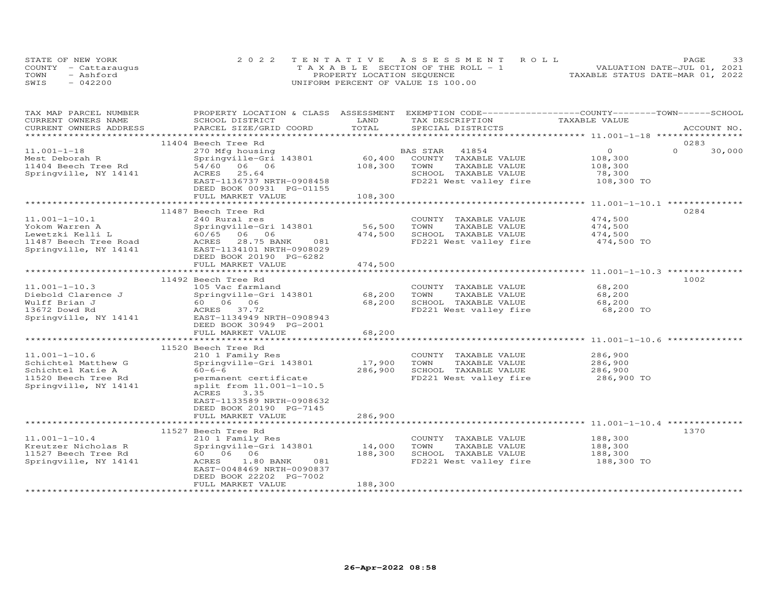|      | STATE OF NEW YORK    | 2022 TENTATIVE ASSESSMENT ROLL        | 33<br>PAGE                       |
|------|----------------------|---------------------------------------|----------------------------------|
|      | COUNTY - Cattarauqus | T A X A B L E SECTION OF THE ROLL - 1 | VALUATION DATE-JUL 01, 2021      |
| TOWN | - Ashford            | PROPERTY LOCATION SEQUENCE            | TAXABLE STATUS DATE-MAR 01, 2022 |
| SWIS | $-042200$            | UNIFORM PERCENT OF VALUE IS 100.00    |                                  |

| PROPERTY LOCATION & CLASS ASSESSMENT EXEMPTION CODE----------------COUNTY-------TOWN-----SCHOOL<br>TAX MAP PARCEL NUMBER<br>CURRENT OWNERS NAME<br>LAND<br>TAXABLE VALUE<br>SCHOOL DISTRICT<br>TAX DESCRIPTION |                    |
|----------------------------------------------------------------------------------------------------------------------------------------------------------------------------------------------------------------|--------------------|
| TOTAL<br>CURRENT OWNERS ADDRESS<br>PARCEL SIZE/GRID COORD<br>SPECIAL DISTRICTS                                                                                                                                 | ACCOUNT NO.        |
|                                                                                                                                                                                                                |                    |
| 11404 Beech Tree Rd                                                                                                                                                                                            | 0283               |
| $\Omega$<br>$11.001 - 1 - 18$<br>270 Mfg housing<br>41854<br>BAS STAR                                                                                                                                          | $\Omega$<br>30,000 |
| 60,400<br>Springville-Gri 143801<br>COUNTY TAXABLE VALUE<br>108,300<br>Mest Deborah R                                                                                                                          |                    |
| 54/60 06 06<br>108,300<br>TAXABLE VALUE                                                                                                                                                                        |                    |
| 11404 Beech Tree Rd<br>TOWN<br>108,300<br>25.64<br>SCHOOL TAXABLE VALUE                                                                                                                                        |                    |
| Springville, NY 14141<br>ACRES<br>78,300                                                                                                                                                                       |                    |
| EAST-1136737 NRTH-0908458<br>FD221 West valley fire                                                                                                                                                            | 108,300 TO         |
| DEED BOOK 00931 PG-01155                                                                                                                                                                                       |                    |
| FULL MARKET VALUE<br>108,300                                                                                                                                                                                   |                    |
|                                                                                                                                                                                                                |                    |
| 11487 Beech Tree Rd                                                                                                                                                                                            | 0284               |
| $11.001 - 1 - 10.1$<br>474,500<br>240 Rural res<br>COUNTY TAXABLE VALUE                                                                                                                                        |                    |
| 56,500<br>TAXABLE VALUE<br>474,500<br>Yokom Warren A<br>Springville-Gri 143801<br>TOWN                                                                                                                         |                    |
| 474,500<br>SCHOOL TAXABLE VALUE<br>Lewetzki Kelli L<br>60/65 06 06<br>474,500                                                                                                                                  |                    |
| 11487 Beech Tree Road<br>ACRES<br>28.75 BANK<br>081<br>FD221 West valley fire                                                                                                                                  | 474,500 TO         |
| Springville, NY 14141<br>EAST-1134101 NRTH-0908029                                                                                                                                                             |                    |
| DEED BOOK 20190 PG-6282                                                                                                                                                                                        |                    |
| 474,500<br>FULL MARKET VALUE                                                                                                                                                                                   |                    |
| **************<br>******************************* 11.001-1-10.3 ***************                                                                                                                                |                    |
| 11492 Beech Tree Rd                                                                                                                                                                                            | 1002               |
| $11.001 - 1 - 10.3$<br>68,200<br>105 Vac farmland<br>COUNTY TAXABLE VALUE                                                                                                                                      |                    |
| Springville-Gri 143801<br>68,200<br>Diebold Clarence J<br>TOWN<br>TAXABLE VALUE<br>68,200                                                                                                                      |                    |
| Wulff Brian J<br>60        06        06<br>68,200<br>SCHOOL TAXABLE VALUE<br>68,200                                                                                                                            |                    |
| FD221 West valley fire<br>13672 Dowd Rd<br>ACRES 37.72                                                                                                                                                         | 68,200 TO          |
| EAST-1134949 NRTH-0908943<br>Springville, NY 14141                                                                                                                                                             |                    |
| DEED BOOK 30949 PG-2001                                                                                                                                                                                        |                    |
| FULL MARKET VALUE<br>68,200                                                                                                                                                                                    |                    |
| ************************<br>**************                                                                                                                                                                     |                    |
| 11520 Beech Tree Rd                                                                                                                                                                                            |                    |
| $11.001 - 1 - 10.6$<br>210 1 Family Res<br>COUNTY TAXABLE VALUE<br>286,900                                                                                                                                     |                    |
| 17,900<br>Schichtel Matthew G<br>Springville-Gri 143801<br>TOWN<br>TAXABLE VALUE<br>286,900                                                                                                                    |                    |
| 286,900<br>$60 - 6 - 6$<br>SCHOOL TAXABLE VALUE<br>286,900<br>Schichtel Katie A                                                                                                                                |                    |
| FD221 West valley fire<br>11520 Beech Tree Rd<br>permanent certificate                                                                                                                                         | 286,900 TO         |
| Springville, NY 14141<br>split from 11.001-1-10.5                                                                                                                                                              |                    |
| ACRES<br>3.35                                                                                                                                                                                                  |                    |
| EAST-1133589 NRTH-0908632                                                                                                                                                                                      |                    |
| DEED BOOK 20190 PG-7145                                                                                                                                                                                        |                    |
| 286,900<br>FULL MARKET VALUE                                                                                                                                                                                   |                    |
|                                                                                                                                                                                                                |                    |
| 11527 Beech Tree Rd                                                                                                                                                                                            | 1370               |
| 188,300<br>$11.001 - 1 - 10.4$<br>210 1 Family Res<br>COUNTY TAXABLE VALUE                                                                                                                                     |                    |
| Kreutzer Nicholas R<br>14,000<br>TOWN<br>TAXABLE VALUE<br>188,300                                                                                                                                              |                    |
| Springville-Gri 143801                                                                                                                                                                                         |                    |
| 188,300<br>11527 Beech Tree Rd<br>60 06 06<br>SCHOOL TAXABLE VALUE<br>188,300                                                                                                                                  |                    |
| FD221 West valley fire<br>Springville, NY 14141<br>ACRES<br>$1.80$ BANK<br>081                                                                                                                                 | 188,300 TO         |
| EAST-0048469 NRTH-0090837                                                                                                                                                                                      |                    |
| DEED BOOK 22202 PG-7002                                                                                                                                                                                        |                    |
| FULL MARKET VALUE<br>188,300                                                                                                                                                                                   |                    |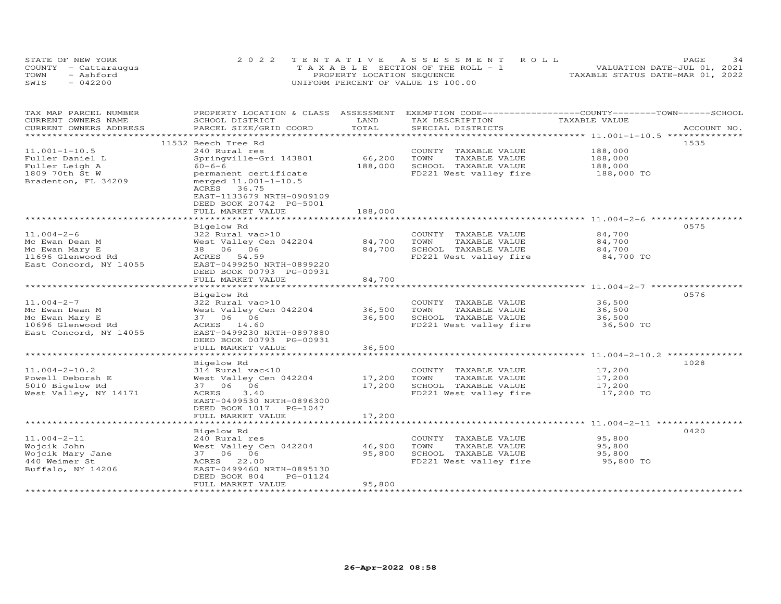| STATE OF NEW YORK    | 2022 TENTATIVE ASSESSMENT ROLL        | 34<br><b>PAGE</b>                |
|----------------------|---------------------------------------|----------------------------------|
| COUNTY - Cattaraugus | T A X A B L E SECTION OF THE ROLL - 1 | VALUATION DATE-JUL 01, 2021      |
| TOWN<br>- Ashford    | PROPERTY LOCATION SEQUENCE            | TAXABLE STATUS DATE-MAR 01, 2022 |
| SWIS<br>$-042200$    | UNIFORM PERCENT OF VALUE IS 100.00    |                                  |

| LAND<br>TAXABLE VALUE<br>CURRENT OWNERS NAME<br>SCHOOL DISTRICT<br>TAX DESCRIPTION<br>TOTAL<br>CURRENT OWNERS ADDRESS<br>PARCEL SIZE/GRID COORD<br>SPECIAL DISTRICTS | ACCOUNT NO. |
|----------------------------------------------------------------------------------------------------------------------------------------------------------------------|-------------|
|                                                                                                                                                                      |             |
|                                                                                                                                                                      |             |
| ***********************                                                                                                                                              |             |
| 1535<br>11532 Beech Tree Rd                                                                                                                                          |             |
| $11.001 - 1 - 10.5$<br>240 Rural res<br>188,000<br>COUNTY TAXABLE VALUE                                                                                              |             |
| Springville-Gri 143801<br>66,200<br>TAXABLE VALUE<br>Fuller Daniel L<br>TOWN<br>188,000                                                                              |             |
| SCHOOL TAXABLE VALUE<br>Fuller Leigh A<br>$60 - 6 - 6$<br>188,000<br>188,000                                                                                         |             |
| 1809 70th St W<br>FD221 West valley fire<br>188,000 TO<br>permanent certificate                                                                                      |             |
| Bradenton, FL 34209<br>merged 11.001-1-10.5                                                                                                                          |             |
| ACRES 36.75                                                                                                                                                          |             |
| EAST-1133679 NRTH-0909109                                                                                                                                            |             |
| DEED BOOK 20742 PG-5001                                                                                                                                              |             |
| FULL MARKET VALUE<br>188,000                                                                                                                                         |             |
|                                                                                                                                                                      |             |
| 0575<br>Bigelow Rd                                                                                                                                                   |             |
| 84,700<br>$11.004 - 2 - 6$<br>322 Rural vac>10<br>COUNTY TAXABLE VALUE                                                                                               |             |
| West Valley Cen 042204<br>84,700<br>TOWN<br>TAXABLE VALUE<br>84,700<br>Mc Ewan Dean M                                                                                |             |
| Mc Ewan Mary E<br>38  06  06<br>84,700<br>SCHOOL TAXABLE VALUE<br>84,700                                                                                             |             |
| 11696 Glenwood Rd<br>FD221 West valley fire<br>ACRES 54.59<br>84,700 TO                                                                                              |             |
| East Concord, NY 14055<br>EAST-0499250 NRTH-0899220                                                                                                                  |             |
| DEED BOOK 00793 PG-00931                                                                                                                                             |             |
| FULL MARKET VALUE<br>84,700                                                                                                                                          |             |
| ************************<br>*********************                                                                                                                    |             |
| 0576<br>Bigelow Rd                                                                                                                                                   |             |
| $11.004 - 2 - 7$<br>36,500<br>322 Rural vac>10<br>COUNTY TAXABLE VALUE                                                                                               |             |
| 36,500<br>Mc Ewan Dean M<br>West Valley Cen 042204<br>TOWN<br>TAXABLE VALUE<br>36,500                                                                                |             |
| Mc Ewan Mary E<br>36,500<br>SCHOOL TAXABLE VALUE<br>36,500<br>37 06 06                                                                                               |             |
| 10696 Glenwood Rd<br>ACRES 14.60<br>FD221 West valley fire<br>36,500 TO                                                                                              |             |
| East Concord, NY 14055<br>EAST-0499230 NRTH-0897880                                                                                                                  |             |
| DEED BOOK 00793 PG-00931                                                                                                                                             |             |
| 36,500<br>FULL MARKET VALUE                                                                                                                                          |             |
|                                                                                                                                                                      |             |
| 1028<br>Bigelow Rd                                                                                                                                                   |             |
| $11.004 - 2 - 10.2$<br>314 Rural vac<10<br>COUNTY TAXABLE VALUE<br>17,200                                                                                            |             |
| Powell Deborah E<br>West Valley Cen 042204<br>17,200<br>TAXABLE VALUE<br>17,200<br>TOWN                                                                              |             |
| 5010 Bigelow Rd<br>37 06 06<br>17,200<br>SCHOOL TAXABLE VALUE<br>17,200                                                                                              |             |
| 3.40<br>West Valley, NY 14171<br>FD221 West valley fire<br>17,200 TO<br>ACRES                                                                                        |             |
|                                                                                                                                                                      |             |
| EAST-0499530 NRTH-0896300<br>DEED BOOK 1017 PG-1047                                                                                                                  |             |
|                                                                                                                                                                      |             |
| 17,200<br>FULL MARKET VALUE                                                                                                                                          |             |
|                                                                                                                                                                      |             |
| 0420<br>Bigelow Rd                                                                                                                                                   |             |
| $11.004 - 2 - 11$<br>95,800<br>240 Rural res<br>COUNTY TAXABLE VALUE                                                                                                 |             |
| West Valley Cen 042204<br>46,900<br>TAXABLE VALUE<br>95,800<br>Wojcik John<br>TOWN                                                                                   |             |
| 37 06 06<br>95,800<br>SCHOOL TAXABLE VALUE<br>Wojcik Mary Jane<br>95,800                                                                                             |             |
| 440 Weimer St<br>ACRES 22.00<br>FD221 West valley fire<br>95,800 TO                                                                                                  |             |
| EAST-0499460 NRTH-0895130<br>Buffalo, NY 14206                                                                                                                       |             |
| DEED BOOK 804<br>PG-01124                                                                                                                                            |             |
| FULL MARKET VALUE<br>95,800                                                                                                                                          |             |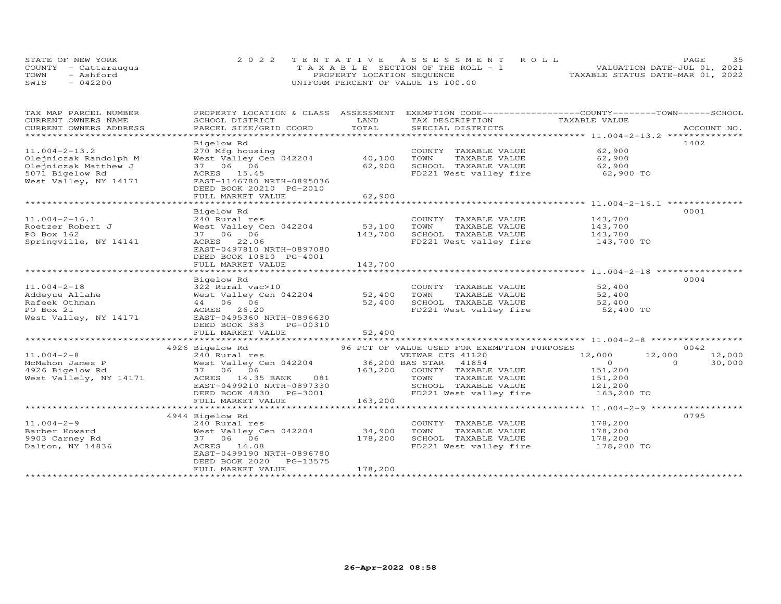| STATE OF NEW YORK    | 2022 TENTATIVE ASSESSMENT ROLL        | 35<br><b>PAGE</b>                |
|----------------------|---------------------------------------|----------------------------------|
| COUNTY - Cattaraugus | T A X A B L E SECTION OF THE ROLL - 1 | VALUATION DATE-JUL 01, 2021      |
| TOWN<br>- Ashford    | PROPERTY LOCATION SEQUENCE            | TAXABLE STATUS DATE-MAR 01, 2022 |
| $-042200$<br>SWIS    | UNIFORM PERCENT OF VALUE IS 100.00    |                                  |

| TAX MAP PARCEL NUMBER<br>CURRENT OWNERS NAME | PROPERTY LOCATION & CLASS ASSESSMENT EXEMPTION CODE----------------COUNTY-------TOWN------SCHOOL | LAND        |                                             | TAXABLE VALUE                                    |                    |
|----------------------------------------------|--------------------------------------------------------------------------------------------------|-------------|---------------------------------------------|--------------------------------------------------|--------------------|
| CURRENT OWNERS ADDRESS                       | SCHOOL DISTRICT<br>PARCEL SIZE/GRID COORD                                                        | TOTAL       | TAX DESCRIPTION<br>SPECIAL DISTRICTS        |                                                  | ACCOUNT NO.        |
|                                              |                                                                                                  |             |                                             |                                                  |                    |
|                                              | Bigelow Rd                                                                                       |             |                                             |                                                  | 1402               |
| $11.004 - 2 - 13.2$                          | 270 Mfg housing                                                                                  |             | COUNTY TAXABLE VALUE                        | 62,900                                           |                    |
| Olejniczak Randolph M                        | West Valley Cen 042204                                                                           | 40,100      | TOWN<br>TAXABLE VALUE                       | 62,900<br>62,900                                 |                    |
| Olejniczak Matthew J                         | 37 06 06                                                                                         | 62,900      | SCHOOL TAXABLE VALUE                        |                                                  |                    |
| 5071 Bigelow Rd                              | ACRES 15.45                                                                                      |             | FD221 West valley fire 62,900 TO            |                                                  |                    |
| West Valley, NY 14171                        | EAST-1146780 NRTH-0895036                                                                        |             |                                             |                                                  |                    |
|                                              | DEED BOOK 20210 PG-2010                                                                          |             |                                             |                                                  |                    |
|                                              | FULL MARKET VALUE                                                                                | 62,900      |                                             |                                                  |                    |
|                                              | ************************                                                                         | *********** |                                             | ************************ 11.004-2-16.1 ********* |                    |
|                                              | Bigelow Rd                                                                                       |             |                                             |                                                  | 0001               |
| $11.004 - 2 - 16.1$                          | 240 Rural res                                                                                    |             | COUNTY TAXABLE VALUE                        | 143,700                                          |                    |
| Roetzer Robert J                             | West Valley Cen 042204                                                                           | 53,100      | TOWN<br>TAXABLE VALUE                       | 143,700                                          |                    |
| PO Box 162                                   | 37 06 06                                                                                         | 143,700     | SCHOOL TAXABLE VALUE                        | 143,700                                          |                    |
| Springville, NY 14141                        | ACRES 22.06                                                                                      |             | FD221 West valley fire 143,700 TO           |                                                  |                    |
|                                              | EAST-0497810 NRTH-0897080                                                                        |             |                                             |                                                  |                    |
|                                              | DEED BOOK 10810 PG-4001                                                                          |             |                                             |                                                  |                    |
|                                              | FULL MARKET VALUE                                                                                | 143,700     |                                             |                                                  |                    |
|                                              |                                                                                                  |             |                                             |                                                  |                    |
|                                              | Bigelow Rd                                                                                       |             |                                             |                                                  | 0004               |
| $11.004 - 2 - 18$                            | 322 Rural vac>10                                                                                 |             | COUNTY TAXABLE VALUE                        | 52,400                                           |                    |
| Addeyue Allahe                               | West Valley Cen 042204                                                                           | 52,400      | TOWN<br>TAXABLE VALUE                       | 52,400                                           |                    |
| Rafeek Othman                                | 44 06 06                                                                                         | 52,400      | SCHOOL TAXABLE VALUE                        | 52,400                                           |                    |
| PO Box 21                                    | ACRES 26.20                                                                                      |             | FD221 West valley fire                      | 52,400 TO                                        |                    |
| West Valley, NY 14171                        | EAST-0495360 NRTH-0896630                                                                        |             |                                             |                                                  |                    |
|                                              | DEED BOOK 383<br>PG-00310                                                                        |             |                                             |                                                  |                    |
|                                              | FULL MARKET VALUE                                                                                | 52,400      |                                             |                                                  |                    |
|                                              |                                                                                                  |             |                                             |                                                  |                    |
|                                              | 4926 Bigelow Rd                                                                                  |             | 96 PCT OF VALUE USED FOR EXEMPTION PURPOSES |                                                  | 0042               |
| $11.004 - 2 - 8$                             |                                                                                                  |             |                                             | 12,000                                           | 12,000<br>12,000   |
| McMahon James P                              |                                                                                                  |             |                                             | $\sim$ 0                                         | $\Omega$<br>30,000 |
| 4926 Bigelow Rd                              | 37 06 06                                                                                         |             | 163,200 COUNTY TAXABLE VALUE                | 151,200<br>151,200                               |                    |
| West Vallely, NY 14171                       | ACRES 14.35 BANK 081                                                                             |             | TAXABLE VALUE<br>TOWN                       |                                                  |                    |
|                                              | EAST-0499210 NRTH-0897330                                                                        |             | SCHOOL TAXABLE VALUE 121,200                |                                                  |                    |
|                                              | DEED BOOK 4830 PG-3001                                                                           |             | FD221 West valley fire                      | 163,200 TO                                       |                    |
|                                              | FULL MARKET VALUE                                                                                | 163,200     |                                             |                                                  |                    |
|                                              |                                                                                                  |             |                                             |                                                  |                    |
|                                              | 4944 Bigelow Rd                                                                                  |             |                                             |                                                  | 0795               |
| $11.004 - 2 - 9$                             | 240 Rural res                                                                                    |             | COUNTY TAXABLE VALUE                        | 178,200                                          |                    |
| Barber Howard                                | West Valley Cen 042204                                                                           | 34,900      | TOWN<br>TAXABLE VALUE                       | 178,200                                          |                    |
| 9903 Carney Rd                               | 37 06 06                                                                                         | 178,200     | SCHOOL TAXABLE VALUE                        | 178,200                                          |                    |
| Dalton, NY 14836                             | ACRES 14.08                                                                                      |             | FD221 West valley fire                      | $178,200$ TO                                     |                    |
|                                              | EAST-0499190 NRTH-0896780                                                                        |             |                                             |                                                  |                    |
|                                              | DEED BOOK 2020 PG-13575                                                                          |             |                                             |                                                  |                    |
|                                              | FULL MARKET VALUE                                                                                | 178,200     |                                             |                                                  |                    |
|                                              |                                                                                                  |             |                                             |                                                  |                    |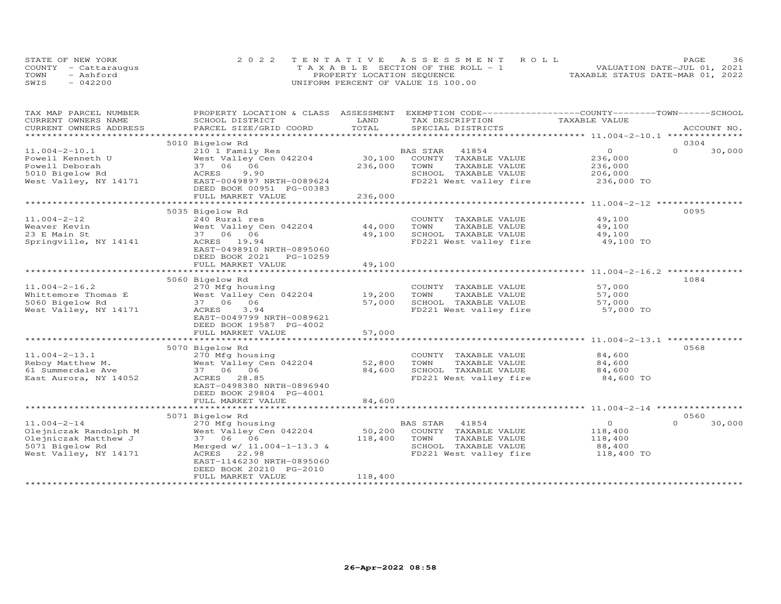| STATE OF NEW YORK    | 2022 TENTATIVE ASSESSMENT ROLL        |  |  |                                  | PAGE. | 36 |
|----------------------|---------------------------------------|--|--|----------------------------------|-------|----|
| COUNTY - Cattaraugus | T A X A B L E SECTION OF THE ROLL - 1 |  |  | VALUATION DATE-JUL 01, 2021      |       |    |
| TOWN<br>- Ashford    | PROPERTY LOCATION SEQUENCE            |  |  | TAXABLE STATUS DATE-MAR 01, 2022 |       |    |
| SWIS<br>$-042200$    | UNIFORM PERCENT OF VALUE IS 100.00    |  |  |                                  |       |    |

| TAX MAP PARCEL NUMBER                         | PROPERTY LOCATION & CLASS ASSESSMENT              | LAND    | EXEMPTION CODE-----------------COUNTY-------TOWN------SCHOOL | TAXABLE VALUE                                      |                    |
|-----------------------------------------------|---------------------------------------------------|---------|--------------------------------------------------------------|----------------------------------------------------|--------------------|
| CURRENT OWNERS NAME<br>CURRENT OWNERS ADDRESS | SCHOOL DISTRICT<br>PARCEL SIZE/GRID COORD         | TOTAL   | TAX DESCRIPTION<br>SPECIAL DISTRICTS                         |                                                    | ACCOUNT NO.        |
| ********************                          |                                                   |         |                                                              |                                                    |                    |
|                                               | 5010 Bigelow Rd                                   |         |                                                              |                                                    | 0304               |
| $11.004 - 2 - 10.1$                           | 210 1 Family Res                                  |         | 41854<br>BAS STAR                                            | $\Omega$                                           | $\Omega$<br>30,000 |
| Powell Kenneth U                              | West Valley Cen 042204                            | 30,100  | COUNTY TAXABLE VALUE                                         | 236,000                                            |                    |
| Powell Deborah                                | 37 06 06                                          | 236,000 | TOWN<br>TAXABLE VALUE                                        | 236,000                                            |                    |
| 5010 Bigelow Rd                               | 9.90<br>ACRES                                     |         | SCHOOL TAXABLE VALUE                                         | 206,000                                            |                    |
| West Valley, NY 14171                         | EAST-0049897 NRTH-0089624                         |         | FD221 West valley fire                                       | 236,000 TO                                         |                    |
|                                               | DEED BOOK 00951 PG-00383                          |         |                                                              |                                                    |                    |
|                                               | FULL MARKET VALUE                                 | 236,000 |                                                              |                                                    |                    |
|                                               |                                                   |         |                                                              |                                                    |                    |
|                                               | 5035 Bigelow Rd                                   |         |                                                              |                                                    | 0095               |
| $11.004 - 2 - 12$                             | 240 Rural res                                     |         | COUNTY TAXABLE VALUE                                         | 49,100                                             |                    |
| Weaver Kevin                                  | West Valley Cen 042204                            | 44,000  | TOWN<br>TAXABLE VALUE                                        | 49,100                                             |                    |
| 23 E Main St                                  | 37 06 06                                          | 49,100  | SCHOOL TAXABLE VALUE                                         | 49,100                                             |                    |
| Springville, NY 14141                         | ACRES 19.94                                       |         | FD221 West valley fire                                       | 49,100 TO                                          |                    |
|                                               | EAST-0498910 NRTH-0895060                         |         |                                                              |                                                    |                    |
|                                               | DEED BOOK 2021<br>PG-10259                        |         |                                                              |                                                    |                    |
|                                               | FULL MARKET VALUE                                 | 49,100  |                                                              |                                                    |                    |
|                                               |                                                   |         |                                                              |                                                    |                    |
|                                               | 5060 Bigelow Rd                                   |         |                                                              |                                                    | 1084               |
| $11.004 - 2 - 16.2$                           | 270 Mfg housing                                   |         | COUNTY TAXABLE VALUE                                         | 57,000                                             |                    |
| Whittemore Thomas E                           | West Valley Cen 042204                            | 19,200  | TOWN<br>TAXABLE VALUE                                        | 57,000                                             |                    |
|                                               | 37 06 06                                          | 57,000  | SCHOOL TAXABLE VALUE                                         | 57,000                                             |                    |
| 5060 Bigelow Rd<br>West Valley, NY 14171      | 3.94<br>ACRES                                     |         | FD221 West valley fire                                       | 57,000 TO                                          |                    |
|                                               | EAST-0049799 NRTH-0089621                         |         |                                                              |                                                    |                    |
|                                               | DEED BOOK 19587 PG-4002                           |         |                                                              |                                                    |                    |
|                                               |                                                   | 57,000  |                                                              |                                                    |                    |
|                                               | FULL MARKET VALUE                                 |         |                                                              | ********************* 11.004-2-13.1 ************** |                    |
|                                               |                                                   |         |                                                              |                                                    | 0568               |
|                                               | 5070 Bigelow Rd                                   |         |                                                              |                                                    |                    |
| $11.004 - 2 - 13.1$                           | 270 Mfg housing                                   |         | COUNTY TAXABLE VALUE                                         | 84,600                                             |                    |
| Reboy Matthew M.                              | West Valley Cen 042204                            | 52,800  | TOWN<br>TAXABLE VALUE                                        | 84,600                                             |                    |
| 61 Summerdale Ave                             | 37 06 06<br>ACRES 28.85                           | 84,600  | SCHOOL TAXABLE VALUE                                         | 84,600                                             |                    |
| East Aurora, NY 14052                         | EAST-0498380 NRTH-0896940                         |         | FD221 West valley fire                                       | 84,600 TO                                          |                    |
|                                               |                                                   |         |                                                              |                                                    |                    |
|                                               | DEED BOOK 29804 PG-4001                           |         |                                                              |                                                    |                    |
|                                               | FULL MARKET VALUE<br>**************************** | 84,600  |                                                              |                                                    |                    |
|                                               |                                                   |         |                                                              |                                                    |                    |
|                                               | 5071 Bigelow Rd                                   |         |                                                              | $\Omega$                                           | 0560<br>$\Omega$   |
| $11.004 - 2 - 14$                             | 270 Mfg housing                                   |         | BAS STAR<br>41854                                            |                                                    | 30,000             |
| Olejniczak Randolph M                         | West Valley Cen 042204                            | 50,200  | COUNTY TAXABLE VALUE                                         | 118,400                                            |                    |
| Olejniczak Matthew J                          | 37 06 06                                          | 118,400 | TAXABLE VALUE<br>TOWN                                        | 118,400                                            |                    |
| 5071 Bigelow Rd                               | Merged $w/11.004-1-13.3$ &                        |         | SCHOOL TAXABLE VALUE                                         | 88,400                                             |                    |
| West Valley, NY 14171                         | ACRES 22.98                                       |         | FD221 West valley fire                                       | 118,400 TO                                         |                    |
|                                               | EAST-1146230 NRTH-0895060                         |         |                                                              |                                                    |                    |
|                                               | DEED BOOK 20210 PG-2010                           |         |                                                              |                                                    |                    |
|                                               | FULL MARKET VALUE<br>**************************** | 118,400 |                                                              |                                                    |                    |
|                                               |                                                   |         |                                                              |                                                    |                    |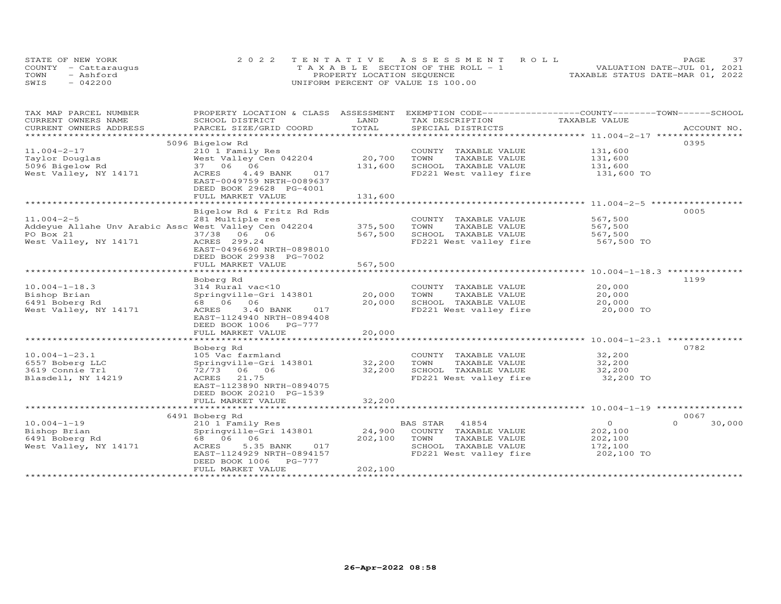|      | STATE OF NEW YORK    | 2022 TENTATIVE ASSESSMENT ROLL     | 37<br><b>PAGE</b>                |
|------|----------------------|------------------------------------|----------------------------------|
|      | COUNTY - Cattarauqus | TAXABLE SECTION OF THE ROLL - 1    | VALUATION DATE-JUL 01, 2021      |
| TOWN | - Ashford            | PROPERTY LOCATION SEQUENCE         | TAXABLE STATUS DATE-MAR 01, 2022 |
| SWIS | $-042200$            | UNIFORM PERCENT OF VALUE IS 100.00 |                                  |

| TAX MAP PARCEL NUMBER                                 | PROPERTY LOCATION & CLASS ASSESSMENT                   |         | EXEMPTION CODE-----------------COUNTY-------TOWN------SCHOOL |                |                    |
|-------------------------------------------------------|--------------------------------------------------------|---------|--------------------------------------------------------------|----------------|--------------------|
| CURRENT OWNERS NAME                                   | SCHOOL DISTRICT                                        | LAND    | TAX DESCRIPTION                                              | TAXABLE VALUE  |                    |
| CURRENT OWNERS ADDRESS                                | PARCEL SIZE/GRID COORD                                 | TOTAL   | SPECIAL DISTRICTS                                            |                | ACCOUNT NO.        |
| **********************                                |                                                        |         |                                                              |                |                    |
|                                                       | 5096 Bigelow Rd                                        |         |                                                              |                | 0395               |
| $11.004 - 2 - 17$                                     | 210 1 Family Res                                       |         | COUNTY TAXABLE VALUE                                         | 131,600        |                    |
| Taylor Douglas                                        | West Valley Cen 042204                                 | 20,700  | TOWN<br>TAXABLE VALUE                                        | 131,600        |                    |
| 5096 Bigelow Rd                                       | 37 06 06                                               | 131,600 | SCHOOL TAXABLE VALUE                                         | 131,600        |                    |
| West Valley, NY 14171                                 | ACRES<br>4.49 BANK<br>017<br>EAST-0049759 NRTH-0089637 |         | FD221 West valley fire                                       | 131,600 TO     |                    |
|                                                       | DEED BOOK 29628 PG-4001                                |         |                                                              |                |                    |
|                                                       | FULL MARKET VALUE                                      | 131,600 |                                                              |                |                    |
|                                                       |                                                        |         |                                                              |                |                    |
|                                                       | Bigelow Rd & Fritz Rd Rds                              |         |                                                              |                | 0005               |
| $11.004 - 2 - 5$                                      | 281 Multiple res                                       |         | COUNTY TAXABLE VALUE                                         | 567,500        |                    |
| Addeyue Allahe Unv Arabic Assc West Valley Cen 042204 |                                                        | 375,500 | TOWN<br>TAXABLE VALUE                                        | 567,500        |                    |
| PO Box 21                                             | 37/38 06 06                                            | 567,500 | SCHOOL TAXABLE VALUE                                         | 567,500        |                    |
|                                                       |                                                        |         |                                                              |                |                    |
| West Valley, NY 14171                                 | ACRES 299.24<br>EAST-0496690 NRTH-0898010              |         | FD221 West valley fire                                       | 567,500 TO     |                    |
|                                                       |                                                        |         |                                                              |                |                    |
|                                                       | DEED BOOK 29938 PG-7002                                |         |                                                              |                |                    |
|                                                       | FULL MARKET VALUE                                      | 567,500 |                                                              |                |                    |
|                                                       |                                                        |         |                                                              |                |                    |
|                                                       | Boberg Rd                                              |         |                                                              |                | 1199               |
| $10.004 - 1 - 18.3$                                   | 314 Rural vac<10                                       |         | COUNTY TAXABLE VALUE                                         | 20,000         |                    |
| Bishop Brian                                          | Springville-Gri 143801                                 | 20,000  | TOWN<br>TAXABLE VALUE                                        | 20,000         |                    |
| 6491 Boberg Rd                                        | 68        06        06                                 | 20,000  | SCHOOL TAXABLE VALUE                                         | 20,000         |                    |
| West Valley, NY 14171                                 | ACRES<br>3.40 BANK<br>017                              |         | FD221 West valley fire                                       | 20,000 TO      |                    |
|                                                       | EAST-1124940 NRTH-0894408                              |         |                                                              |                |                    |
|                                                       | DEED BOOK 1006 PG-777                                  |         |                                                              |                |                    |
|                                                       | FULL MARKET VALUE                                      | 20,000  |                                                              |                |                    |
|                                                       |                                                        |         |                                                              |                |                    |
|                                                       | Boberg Rd                                              |         |                                                              |                | 0782               |
| $10.004 - 1 - 23.1$                                   | 105 Vac farmland                                       |         | COUNTY TAXABLE VALUE                                         | 32,200         |                    |
| 6557 Boberg LLC                                       | Springville-Gri 143801                                 | 32,200  | TOWN<br>TAXABLE VALUE                                        | 32,200         |                    |
| 3619 Connie Trl                                       | 72/73 06 06                                            | 32,200  | SCHOOL TAXABLE VALUE                                         | 32,200         |                    |
| Blasdell, NY 14219                                    | 21.75<br>ACRES                                         |         | FD221 West valley fire                                       | 32,200 TO      |                    |
|                                                       | EAST-1123890 NRTH-0894075                              |         |                                                              |                |                    |
|                                                       | DEED BOOK 20210 PG-1539                                |         |                                                              |                |                    |
|                                                       | FULL MARKET VALUE                                      | 32,200  |                                                              |                |                    |
|                                                       |                                                        |         |                                                              |                |                    |
|                                                       | 6491 Boberg Rd                                         |         |                                                              |                | 0067               |
| $10.004 - 1 - 19$                                     | 210 1 Family Res                                       |         | 41854<br>BAS STAR                                            | $\overline{O}$ | $\Omega$<br>30,000 |
| Bishop Brian                                          | Springville-Gri 143801                                 | 24,900  | COUNTY TAXABLE VALUE                                         | 202,100        |                    |
| 6491 Boberg Rd                                        | 68 06 06                                               | 202,100 | TOWN<br>TAXABLE VALUE                                        | 202,100        |                    |
| West Valley, NY 14171                                 | 5.35 BANK<br>017<br>ACRES                              |         | SCHOOL TAXABLE VALUE                                         | 172,100        |                    |
|                                                       | EAST-1124929 NRTH-0894157                              |         | FD221 West valley fire                                       | 202,100 TO     |                    |
|                                                       | DEED BOOK 1006 PG-777                                  |         |                                                              |                |                    |
|                                                       | FULL MARKET VALUE                                      | 202,100 |                                                              |                |                    |
|                                                       |                                                        |         |                                                              |                |                    |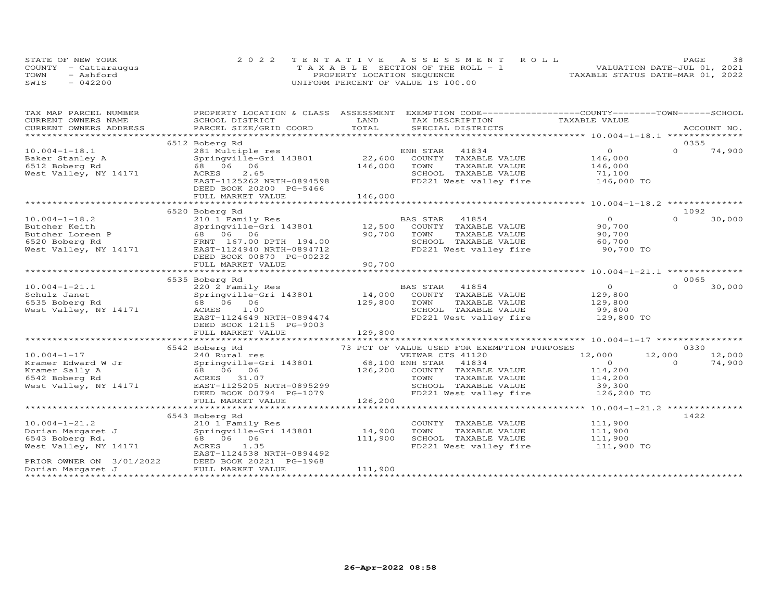|      | STATE OF NEW YORK    | 2022 TENTATIVE ASSESSMENT ROLL        | 38<br>PAGE                       |
|------|----------------------|---------------------------------------|----------------------------------|
|      | COUNTY - Cattaraugus | T A X A B L E SECTION OF THE ROLL - 1 | VALUATION DATE-JUL 01, 2021      |
| TOWN | - Ashford            | PROPERTY LOCATION SEQUENCE            | TAXABLE STATUS DATE-MAR 01, 2022 |
| SWIS | $-042200$            | UNIFORM PERCENT OF VALUE IS 100.00    |                                  |

| TAX MAP PARCEL NUMBER                | PROPERTY LOCATION & CLASS ASSESSMENT EXEMPTION CODE----------------COUNTY-------TOWN-----SCHOOL                                                                                                                                |             |                 |                                                        |                                   |          |             |
|--------------------------------------|--------------------------------------------------------------------------------------------------------------------------------------------------------------------------------------------------------------------------------|-------------|-----------------|--------------------------------------------------------|-----------------------------------|----------|-------------|
| CURRENT OWNERS NAME                  | SCHOOL DISTRICT                                                                                                                                                                                                                | LAND        |                 |                                                        | TAX DESCRIPTION TAXABLE VALUE     |          |             |
|                                      | .CURRENT OWNERS ADDRESS PARCEL SIZE/GRID COORD TOTAL SPECIAL DISTRICTS ACCOUNT NO ACCOUNT NO ARCOUNT NO ARE THE SERVER AND THE SERVER ASSESS THE SERVER SERVER AND THE SERVER SERVER AND THE SERVER SERVER AND THE SERVER SERV |             |                 |                                                        |                                   |          | ACCOUNT NO. |
|                                      |                                                                                                                                                                                                                                |             |                 |                                                        |                                   |          |             |
|                                      | 6512 Boberg Rd                                                                                                                                                                                                                 |             |                 |                                                        |                                   | 0355     |             |
| $10.004 - 1 - 18.1$                  | 281 Multiple res                                                                                                                                                                                                               |             | ENH STAR        | 41834                                                  | $\overline{O}$                    | $\Omega$ | 74,900      |
| Baker Stanley A                      | Springville-Gri 143801                                                                                                                                                                                                         |             |                 | 22,600 COUNTY TAXABLE VALUE                            | 146,000                           |          |             |
| 6512 Boberg Rd                       | 68 06 06                                                                                                                                                                                                                       | 146,000     | TOWN            | TAXABLE VALUE                                          | 146,000                           |          |             |
| West Valley, NY 14171                | ACRES<br>2.65                                                                                                                                                                                                                  |             |                 |                                                        | 71,100                            |          |             |
|                                      | EAST-1125262 NRTH-0894598                                                                                                                                                                                                      |             |                 | SCHOOL TAXABLE VALUE<br>FD221 West valley fire         | 146,000 TO                        |          |             |
|                                      | DEED BOOK 20200 PG-5466                                                                                                                                                                                                        |             |                 |                                                        |                                   |          |             |
|                                      | FULL MARKET VALUE                                                                                                                                                                                                              | 146,000     |                 |                                                        |                                   |          |             |
|                                      |                                                                                                                                                                                                                                |             |                 |                                                        |                                   |          |             |
|                                      | 6520 Boberg Rd                                                                                                                                                                                                                 |             |                 |                                                        |                                   | 1092     |             |
| $10.004 - 1 - 18.2$                  | 210 1 Family Res                                                                                                                                                                                                               |             |                 |                                                        | $\overline{O}$                    | $\Omega$ | 30,000      |
| Butcher Keith                        | Springville-Gri 143801                                                                                                                                                                                                         |             |                 | BAS STAR    41854<br>12,500    COUNTY   TAXABLE  VALUE | 90,700                            |          |             |
| Butcher Loreen P                     |                                                                                                                                                                                                                                | 90,700 TOWN |                 | TAXABLE VALUE                                          | 90,700                            |          |             |
|                                      | 68 06 06<br>FRNT 167.00 DPTH 194.00<br>1121940 NRTH-0894712                                                                                                                                                                    |             |                 | SCHOOL TAXABLE VALUE                                   | 60,700                            |          |             |
|                                      |                                                                                                                                                                                                                                |             |                 | FD221 West valley fire                                 | 90,700 TO                         |          |             |
|                                      | DEED BOOK 00870 PG-00232                                                                                                                                                                                                       |             |                 |                                                        |                                   |          |             |
|                                      | FULL MARKET VALUE                                                                                                                                                                                                              | 90,700      |                 |                                                        |                                   |          |             |
|                                      |                                                                                                                                                                                                                                |             |                 |                                                        |                                   |          |             |
|                                      | 6535 Boberg Rd                                                                                                                                                                                                                 |             |                 |                                                        |                                   | 0065     |             |
| $10.004 - 1 - 21.1$                  | 220 2 Family Res                                                                                                                                                                                                               |             | <b>BAS STAR</b> | 41854                                                  | $\overline{O}$                    | $\Omega$ | 30,000      |
| Schulz Janet                         |                                                                                                                                                                                                                                |             |                 | BAS STAR    41854<br>14,000    COUNTY   TAXABLE VALUE  | 129,800                           |          |             |
| 6535 Boberg Rd                       | 220 2 Family Res<br>Springville-Gri 143801<br>68   06   06<br>68 06 06                                                                                                                                                         | 129,800     | TOWN            | TAXABLE VALUE                                          |                                   |          |             |
| West Valley, NY 14171                | ACRES 1.00                                                                                                                                                                                                                     |             |                 | SCHOOL TAXABLE VALUE                                   | 129,800<br>99,800                 |          |             |
|                                      | EAST-1124649 NRTH-0894474                                                                                                                                                                                                      |             |                 |                                                        | FD221 West valley fire 129,800 TO |          |             |
|                                      | DEED BOOK 12115 PG-9003                                                                                                                                                                                                        |             |                 |                                                        |                                   |          |             |
|                                      | FULL MARKET VALUE                                                                                                                                                                                                              | 129,800     |                 |                                                        |                                   |          |             |
|                                      |                                                                                                                                                                                                                                |             |                 |                                                        |                                   |          |             |
|                                      | 6542 Boberg Rd                                                                                                                                                                                                                 |             |                 | 73 PCT OF VALUE USED FOR EXEMPTION PURPOSES            |                                   |          | 0330        |
| $10.004 - 1 - 17$                    | 240 Rural res                                                                                                                                                                                                                  |             |                 |                                                        | 12,000 12,000                     |          | 12,000      |
|                                      | 240 Rural res<br>Springville-Gri 143801 68,100 ENH STAR 41834                                                                                                                                                                  |             |                 |                                                        | $\overline{O}$                    | $\Omega$ | 74,900      |
| Kramer Edward W Jr                   |                                                                                                                                                                                                                                |             |                 |                                                        |                                   |          |             |
| Kramer Sally A<br>6542 Boberg Rd     | 68 06 06                                                                                                                                                                                                                       |             |                 | 126,200 COUNTY TAXABLE VALUE<br>TAXABLE VALUE          | 114,200<br>114,200                |          |             |
|                                      | ACRES 31.07                                                                                                                                                                                                                    |             | TOWN            |                                                        |                                   |          |             |
| West Valley, NY 14171                | EAST-1125205 NRTH-0895299<br>DEED BOOK 00794 PG-1079                                                                                                                                                                           |             |                 | SCHOOL TAXABLE VALUE                                   | 39,300                            |          |             |
|                                      |                                                                                                                                                                                                                                |             |                 | FD221 West valley fire                                 | 126,200 TO                        |          |             |
|                                      | FULL MARKET VALUE                                                                                                                                                                                                              | 126,200     |                 |                                                        |                                   |          |             |
|                                      |                                                                                                                                                                                                                                |             |                 |                                                        |                                   |          |             |
|                                      | 6543 Boberg Rd                                                                                                                                                                                                                 |             |                 |                                                        |                                   | 1422     |             |
| $10.004 - 1 - 21.2$                  | 210 1 Family Res                                                                                                                                                                                                               |             |                 | COUNTY TAXABLE VALUE                                   | 111,900                           |          |             |
| Dorian Margaret J<br>6543 Boberg Rd. | Springville-Gri 143801 14,900                                                                                                                                                                                                  |             | TOWN            | TAXABLE VALUE                                          | 111,900                           |          |             |
|                                      | 68 06 06                                                                                                                                                                                                                       | 111,900     |                 | SCHOOL TAXABLE VALUE                                   | 111,900<br>111,900 TO             |          |             |
| West Valley, NY 14171                | ACRES 1.35                                                                                                                                                                                                                     |             |                 | FD221 West valley fire                                 |                                   |          |             |
|                                      | EAST-1124538 NRTH-0894492                                                                                                                                                                                                      |             |                 |                                                        |                                   |          |             |
|                                      | PRIOR OWNER ON 3/01/2022<br>DEED BOOK 20221 PG-1968<br>Dorian Margaret J FULL MARKET VALUE                                                                                                                                     |             |                 |                                                        |                                   |          |             |
|                                      |                                                                                                                                                                                                                                | 111,900     |                 |                                                        |                                   |          |             |
|                                      |                                                                                                                                                                                                                                |             |                 |                                                        |                                   |          |             |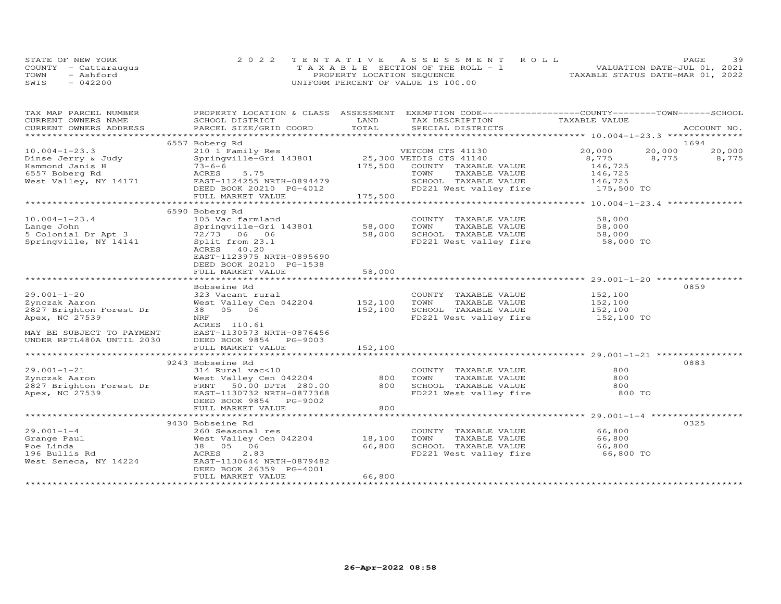|      | STATE OF NEW YORK    | 2022 TENTATIVE ASSESSMENT ROLL     | 39<br>PAGE.                      |
|------|----------------------|------------------------------------|----------------------------------|
|      | COUNTY - Cattarauqus | TAXABLE SECTION OF THE ROLL - 1    | VALUATION DATE-JUL 01, 2021      |
| TOWN | - Ashford            | PROPERTY LOCATION SEQUENCE         | TAXABLE STATUS DATE-MAR 01, 2022 |
| SWIS | $-042200$            | UNIFORM PERCENT OF VALUE IS 100.00 |                                  |

| TAX MAP PARCEL NUMBER     |                                                                                                                                           |         | PROPERTY LOCATION & CLASS ASSESSMENT EXEMPTION CODE----------------COUNTY-------TOWN-----SCHOOL |                    |        |             |
|---------------------------|-------------------------------------------------------------------------------------------------------------------------------------------|---------|-------------------------------------------------------------------------------------------------|--------------------|--------|-------------|
| CURRENT OWNERS NAME       | SCHOOL DISTRICT                                                                                                                           | LAND    | TAX DESCRIPTION                                                                                 | TAXABLE VALUE      |        |             |
| CURRENT OWNERS ADDRESS    | PARCEL SIZE/GRID COORD TOTAL                                                                                                              |         | SPECIAL DISTRICTS                                                                               |                    |        | ACCOUNT NO. |
|                           |                                                                                                                                           |         |                                                                                                 |                    |        |             |
|                           | 6557 Boberg Rd                                                                                                                            |         |                                                                                                 |                    |        | 1694        |
| $10.004 - 1 - 23.3$       | 210 1 Family Res<br>Springville-Gri 143801 25,300 VETDIS CTS 41140                                                                        |         |                                                                                                 | 20,000             | 20,000 | 20,000      |
| Dinse Jerry & Judy        |                                                                                                                                           |         |                                                                                                 | 8,775              | 8,775  | 8,775       |
|                           |                                                                                                                                           |         | 175,500 COUNTY TAXABLE VALUE                                                                    |                    |        |             |
|                           | Hammond Janis H<br>6557 Boberg Rd<br>West Valley, NY 14171<br>Mest Valley, NY 14171<br>Mest Valley, NY 14171<br>BAST-1124255 NRTH-0894479 |         | TOWN<br>TAXABLE VALUE                                                                           | 146,725<br>146,725 |        |             |
|                           |                                                                                                                                           |         | SCHOOL TAXABLE VALUE 146,725<br>FD221 West valley fire 175,500 TO                               |                    |        |             |
|                           | DEED BOOK 20210 PG-4012                                                                                                                   |         |                                                                                                 |                    |        |             |
|                           | FULL MARKET VALUE                                                                                                                         | 175,500 |                                                                                                 |                    |        |             |
|                           |                                                                                                                                           |         |                                                                                                 |                    |        |             |
|                           | 6590 Boberg Rd                                                                                                                            |         |                                                                                                 |                    |        |             |
| $10.004 - 1 - 23.4$       | 105 Vac farmland                                                                                                                          |         | COUNTY TAXABLE VALUE                                                                            | 58,000             |        |             |
|                           | Springville-Gri 143801 58,000                                                                                                             |         | TOWN                                                                                            |                    |        |             |
|                           |                                                                                                                                           | 58,000  | TAXABLE VALUE 58,000<br>TAXABLE VALUE 58,000<br>SCHOOL TAXABLE VALUE                            |                    |        |             |
|                           |                                                                                                                                           |         |                                                                                                 |                    |        |             |
| Springville, NY 14141     | Split from 23.1                                                                                                                           |         | FD221 West valley fire 58,000 TO                                                                |                    |        |             |
|                           | ACRES 40.20                                                                                                                               |         |                                                                                                 |                    |        |             |
|                           | EAST-1123975 NRTH-0895690                                                                                                                 |         |                                                                                                 |                    |        |             |
|                           | DEED BOOK 20210 PG-1538                                                                                                                   |         |                                                                                                 |                    |        |             |
|                           | FULL MARKET VALUE                                                                                                                         | 58,000  |                                                                                                 |                    |        |             |
|                           |                                                                                                                                           |         |                                                                                                 |                    |        |             |
|                           | Bobseine Rd                                                                                                                               |         |                                                                                                 |                    |        | 0859        |
| $29.001 - 1 - 20$         | 323 Vacant rural                                                                                                                          |         | COUNTY TAXABLE VALUE                                                                            | 152,100            |        |             |
| Zynczak Aaron             | West Valley Cen 042204 152,100                                                                                                            |         |                                                                                                 |                    |        |             |
| 2827 Brighton Forest Dr   | $38$ $05$ $06$                                                                                                                            | 152,100 |                                                                                                 |                    |        |             |
| Apex, NC 27539            | NRF                                                                                                                                       |         | TOWN TAXABLE VALUE 152,100<br>SCHOOL TAXABLE VALUE 152,100<br>FD221 West valley fire 152,100 TO |                    |        |             |
|                           | ACRES 110.61                                                                                                                              |         |                                                                                                 |                    |        |             |
| MAY BE SUBJECT TO PAYMENT | EAST-1130573 NRTH-0876456                                                                                                                 |         |                                                                                                 |                    |        |             |
| UNDER RPTL480A UNTIL 2030 | DEED BOOK 9854 PG-9003                                                                                                                    |         |                                                                                                 |                    |        |             |
|                           | FULL MARKET VALUE                                                                                                                         | 152,100 |                                                                                                 |                    |        |             |
|                           |                                                                                                                                           |         |                                                                                                 |                    |        |             |
|                           | 9243 Bobseine Rd                                                                                                                          |         |                                                                                                 |                    |        | 0883        |
|                           |                                                                                                                                           |         | COUNTY TAXABLE VALUE                                                                            | 800                |        |             |
|                           |                                                                                                                                           |         | TAXABLE VALUE<br>TOWN                                                                           | 800                |        |             |
|                           |                                                                                                                                           |         |                                                                                                 |                    |        |             |
|                           |                                                                                                                                           |         | SCHOOL TAXABLE VALUE<br>FD221 West valley fire                                                  | 800                |        |             |
| Apex, NC 27539            | EAST-1130732 NRTH-0877368                                                                                                                 |         |                                                                                                 | 800 TO             |        |             |
|                           | DEED BOOK 9854 PG-9002                                                                                                                    |         |                                                                                                 |                    |        |             |
|                           | FULL MARKET VALUE                                                                                                                         | 800     |                                                                                                 |                    |        |             |
|                           |                                                                                                                                           |         |                                                                                                 |                    |        |             |
|                           | 9430 Bobseine Rd                                                                                                                          |         |                                                                                                 |                    |        | 0325        |
|                           |                                                                                                                                           |         | COUNTY TAXABLE VALUE<br>TOWN     TAXABLE VALUE                                                  | 66,800<br>66,800   |        |             |
|                           |                                                                                                                                           |         |                                                                                                 |                    |        |             |
|                           |                                                                                                                                           |         |                                                                                                 |                    |        |             |
|                           |                                                                                                                                           |         |                                                                                                 |                    |        |             |
| West Seneca, NY 14224     | EAST-1130644 NRTH-0879482                                                                                                                 |         |                                                                                                 |                    |        |             |
|                           | DEED BOOK 26359 PG-4001                                                                                                                   |         |                                                                                                 |                    |        |             |
|                           | FULL MARKET VALUE                                                                                                                         | 66,800  |                                                                                                 |                    |        |             |
|                           |                                                                                                                                           |         |                                                                                                 |                    |        |             |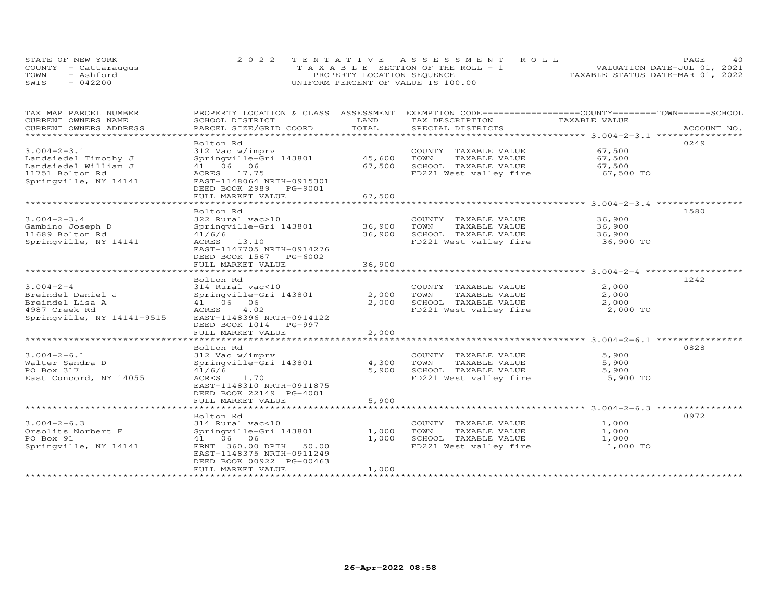|      | STATE OF NEW YORK    | 2022 TENTATIVE ASSESSMENT ROLL          | 4 O<br>PAGE.                     |
|------|----------------------|-----------------------------------------|----------------------------------|
|      | COUNTY - Cattarauqus | $T A X A B L E$ SECTION OF THE ROLL - 1 | VALUATION DATE-JUL 01, 2021      |
| TOWN | - Ashford            | PROPERTY LOCATION SEQUENCE              | TAXABLE STATUS DATE-MAR 01, 2022 |
| SWIS | $-042200$            | UNIFORM PERCENT OF VALUE IS 100.00      |                                  |

| TAX MAP PARCEL NUMBER<br>CURRENT OWNERS NAME        | PROPERTY LOCATION & CLASS ASSESSMENT<br>SCHOOL DISTRICT | LAND                  | EXEMPTION CODE------------------COUNTY-------TOWN------SCHOOL<br>TAX DESCRIPTION | TAXABLE VALUE                                |             |
|-----------------------------------------------------|---------------------------------------------------------|-----------------------|----------------------------------------------------------------------------------|----------------------------------------------|-------------|
| CURRENT OWNERS ADDRESS<br>************************* | PARCEL SIZE/GRID COORD                                  | TOTAL                 | SPECIAL DISTRICTS                                                                |                                              | ACCOUNT NO. |
|                                                     | Bolton Rd                                               |                       |                                                                                  |                                              | 0249        |
| $3.004 - 2 - 3.1$                                   | 312 Vac w/imprv                                         |                       | COUNTY TAXABLE VALUE                                                             | 67,500                                       |             |
| Landsiedel Timothy J                                | Springville-Gri 143801                                  | 45,600                | TOWN<br>TAXABLE VALUE                                                            | 67,500                                       |             |
| Landsiedel William J                                | 41 06 06                                                | 67,500                | SCHOOL TAXABLE VALUE                                                             | 67,500                                       |             |
| 11751 Bolton Rd                                     | ACRES 17.75                                             |                       | FD221 West valley fire                                                           | 67,500 TO                                    |             |
| Springville, NY 14141                               | EAST-1148064 NRTH-0915301                               |                       |                                                                                  |                                              |             |
|                                                     | DEED BOOK 2989 PG-9001                                  |                       |                                                                                  |                                              |             |
|                                                     | FULL MARKET VALUE                                       | 67,500                |                                                                                  |                                              |             |
|                                                     | ********************                                    |                       |                                                                                  | ******************** 3.004-2-3.4 *********** |             |
|                                                     | Bolton Rd                                               |                       |                                                                                  |                                              | 1580        |
| $3.004 - 2 - 3.4$                                   | 322 Rural vac>10                                        |                       | COUNTY TAXABLE VALUE                                                             | 36,900                                       |             |
| Gambino Joseph D                                    | Springville-Gri 143801                                  | 36,900                | TOWN<br>TAXABLE VALUE                                                            | 36,900                                       |             |
| 11689 Bolton Rd                                     | 41/6/6                                                  | 36,900                | SCHOOL TAXABLE VALUE                                                             | 36,900                                       |             |
| Springville, NY 14141                               | ACRES 13.10                                             |                       | FD221 West valley fire                                                           | 36,900 TO                                    |             |
|                                                     | EAST-1147705 NRTH-0914276                               |                       |                                                                                  |                                              |             |
|                                                     | DEED BOOK 1567 PG-6002                                  |                       |                                                                                  |                                              |             |
|                                                     | FULL MARKET VALUE<br>********************               | 36,900<br>*********** |                                                                                  |                                              |             |
|                                                     | Bolton Rd                                               |                       |                                                                                  |                                              | 1242        |
| $3.004 - 2 - 4$                                     | 314 Rural vac<10                                        |                       | COUNTY TAXABLE VALUE                                                             | 2,000                                        |             |
| Breindel Daniel J                                   | Springville-Gri 143801                                  | 2,000                 | TOWN<br>TAXABLE VALUE                                                            | 2,000                                        |             |
| Breindel Lisa A                                     | 41 06 06                                                | 2,000                 | SCHOOL TAXABLE VALUE                                                             | 2,000                                        |             |
| 4987 Creek Rd                                       | ACRES<br>4.02                                           |                       | FD221 West valley fire                                                           | 2,000 TO                                     |             |
| Springville, NY 14141-9515                          | EAST-1148396 NRTH-0914122                               |                       |                                                                                  |                                              |             |
|                                                     | DEED BOOK 1014 PG-997                                   |                       |                                                                                  |                                              |             |
|                                                     | FULL MARKET VALUE                                       | 2,000                 |                                                                                  |                                              |             |
|                                                     | ***************************                             |                       |                                                                                  |                                              |             |
|                                                     | Bolton Rd                                               |                       |                                                                                  |                                              | 0828        |
| $3.004 - 2 - 6.1$                                   | 312 Vac w/imprv                                         |                       | COUNTY TAXABLE VALUE                                                             | 5,900                                        |             |
| Walter Sandra D                                     | Springville-Gri 143801                                  | 4,300                 | TOWN<br>TAXABLE VALUE                                                            | 5,900                                        |             |
| PO Box 317                                          | 41/6/6                                                  | 5,900                 | SCHOOL TAXABLE VALUE                                                             | 5,900                                        |             |
| East Concord, NY 14055                              | ACRES<br>1.70<br>EAST-1148310 NRTH-0911875              |                       | FD221 West valley fire                                                           | 5,900 TO                                     |             |
|                                                     | DEED BOOK 22149 PG-4001                                 |                       |                                                                                  |                                              |             |
|                                                     | FULL MARKET VALUE                                       | 5,900                 |                                                                                  |                                              |             |
|                                                     |                                                         |                       |                                                                                  |                                              |             |
|                                                     | Bolton Rd                                               |                       |                                                                                  |                                              | 0972        |
| $3.004 - 2 - 6.3$                                   | 314 Rural vac<10                                        |                       | COUNTY TAXABLE VALUE                                                             | 1,000                                        |             |
| Orsolits Norbert F                                  | Springville-Gri 143801                                  | 1,000                 | TOWN<br>TAXABLE VALUE                                                            | 1,000                                        |             |
| PO Box 91                                           | 41 06 06                                                | 1,000                 | SCHOOL TAXABLE VALUE                                                             | 1,000                                        |             |
| Springville, NY 14141                               | FRNT 360.00 DPTH<br>50.00                               |                       | FD221 West valley fire                                                           | 1,000 TO                                     |             |
|                                                     | EAST-1148375 NRTH-0911249                               |                       |                                                                                  |                                              |             |
|                                                     | DEED BOOK 00922 PG-00463                                |                       |                                                                                  |                                              |             |
|                                                     | FULL MARKET VALUE                                       | 1,000                 |                                                                                  |                                              |             |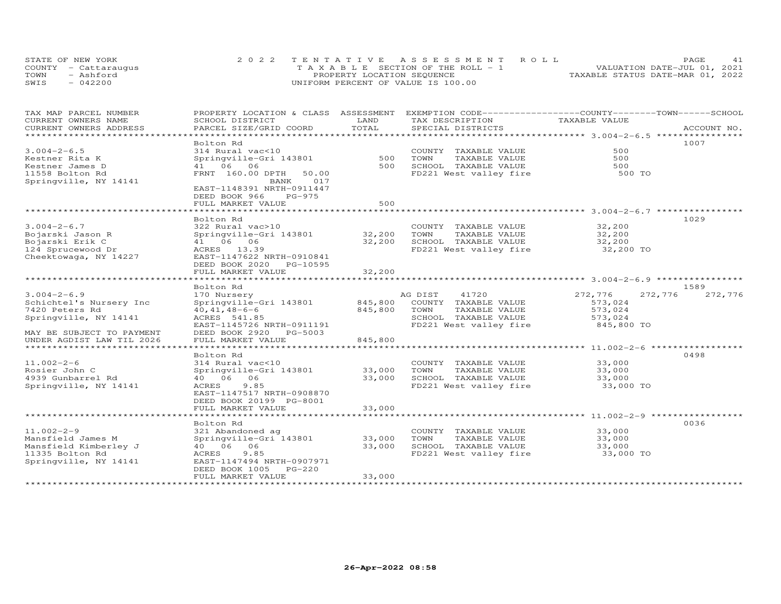| STATE OF NEW YORK    |           | 2022 TENTATIVE ASSESSMENT ROLL        |  |  |                                  | PAGE. | 41 |
|----------------------|-----------|---------------------------------------|--|--|----------------------------------|-------|----|
| COUNTY - Cattaraugus |           | T A X A B L E SECTION OF THE ROLL - 1 |  |  | VALUATION DATE-JUL 01, 2021      |       |    |
| TOWN                 | - Ashford | PROPERTY LOCATION SEQUENCE            |  |  | TAXABLE STATUS DATE-MAR 01, 2022 |       |    |
| SWIS                 | $-042200$ | UNIFORM PERCENT OF VALUE IS 100.00    |  |  |                                  |       |    |

| TAX MAP PARCEL NUMBER                         | PROPERTY LOCATION & CLASS ASSESSMENT      |               | EXEMPTION CODE-----------------COUNTY-------TOWN------SCHOOL |               |                    |
|-----------------------------------------------|-------------------------------------------|---------------|--------------------------------------------------------------|---------------|--------------------|
| CURRENT OWNERS NAME<br>CURRENT OWNERS ADDRESS | SCHOOL DISTRICT<br>PARCEL SIZE/GRID COORD | LAND<br>TOTAL | TAX DESCRIPTION<br>SPECIAL DISTRICTS                         | TAXABLE VALUE | ACCOUNT NO.        |
| * * * * * * * * * * * * * * *                 |                                           |               |                                                              |               |                    |
|                                               | Bolton Rd                                 |               |                                                              |               | 1007               |
| $3.004 - 2 - 6.5$                             | 314 Rural vac<10                          |               | COUNTY TAXABLE VALUE                                         | 500           |                    |
| Kestner Rita K                                | Springville-Gri 143801                    | 500           | TAXABLE VALUE<br>TOWN                                        | 500           |                    |
| Kestner James D                               | 41 06 06                                  | 500           | SCHOOL TAXABLE VALUE                                         | 500           |                    |
|                                               |                                           |               | FD221 West valley fire                                       |               |                    |
| 11558 Bolton Rd<br>Springville, NY 14141      | FRNT 160.00 DPTH<br>50.00<br>BANK<br>017  |               |                                                              | 500 TO        |                    |
|                                               | EAST-1148391 NRTH-0911447                 |               |                                                              |               |                    |
|                                               | DEED BOOK 966<br>PG-975                   |               |                                                              |               |                    |
|                                               | FULL MARKET VALUE                         | 500           |                                                              |               |                    |
|                                               |                                           |               |                                                              |               |                    |
|                                               | Bolton Rd                                 |               |                                                              |               | 1029               |
|                                               |                                           |               |                                                              | 32,200        |                    |
| $3.004 - 2 - 6.7$                             | 322 Rural vac>10                          |               | COUNTY TAXABLE VALUE                                         |               |                    |
| Bojarski Jason R                              | Springville-Gri 143801                    | 32,200        | TOWN<br>TAXABLE VALUE                                        | 32,200        |                    |
| Bojarski Erik C                               | 41 06 06                                  | 32,200        | SCHOOL TAXABLE VALUE                                         | 32,200        |                    |
| 124 Sprucewood Dr                             | ACRES 13.39                               |               | FD221 West valley fire                                       | 32,200 TO     |                    |
| Cheektowaga, NY 14227                         | EAST-1147622 NRTH-0910841                 |               |                                                              |               |                    |
|                                               | DEED BOOK 2020 PG-10595                   |               |                                                              |               |                    |
|                                               | FULL MARKET VALUE                         | 32,200        |                                                              |               |                    |
|                                               |                                           |               |                                                              |               |                    |
|                                               | Bolton Rd                                 |               |                                                              |               | 1589               |
| $3.004 - 2 - 6.9$                             | 170 Nursery                               |               | AG DIST 41720                                                | 272,776       | 272,776<br>272,776 |
| Schichtel's Nursery Inc                       | Springville-Gri 143801                    | 845,800       | COUNTY TAXABLE VALUE                                         | 573,024       |                    |
| 7420 Peters Rd                                | $40, 41, 48 - 6 - 6$                      | 845,800       | TOWN<br>TAXABLE VALUE                                        | 573,024       |                    |
| Springville, NY 14141                         | ACRES 541.85                              |               | SCHOOL TAXABLE VALUE                                         | 573,024       |                    |
|                                               | EAST-1145726 NRTH-0911191                 |               | FD221 West valley fire                                       | 845,800 TO    |                    |
| MAY BE SUBJECT TO PAYMENT                     | DEED BOOK 2920 PG-5003                    |               |                                                              |               |                    |
| UNDER AGDIST LAW TIL 2026                     | FULL MARKET VALUE                         | 845,800       |                                                              |               |                    |
| ******************************                |                                           |               |                                                              |               |                    |
|                                               | Bolton Rd                                 |               |                                                              |               | 0498               |
| $11.002 - 2 - 6$                              | 314 Rural vac<10                          |               | COUNTY TAXABLE VALUE                                         | 33,000        |                    |
| Rosier John C                                 | Springville-Gri 143801                    | 33,000        | TOWN<br>TAXABLE VALUE                                        | 33,000        |                    |
| 4939 Gunbarrel Rd                             | 40   06   06                              | 33,000        | SCHOOL TAXABLE VALUE                                         | 33,000        |                    |
| Springville, NY 14141                         | 9.85<br>ACRES                             |               | FD221 West valley fire                                       | 33,000 TO     |                    |
|                                               | EAST-1147517 NRTH-0908870                 |               |                                                              |               |                    |
|                                               | DEED BOOK 20199 PG-8001                   |               |                                                              |               |                    |
|                                               | FULL MARKET VALUE                         | 33,000        |                                                              |               |                    |
|                                               |                                           |               |                                                              |               |                    |
|                                               | Bolton Rd                                 |               |                                                              |               | 0036               |
| $11.002 - 2 - 9$                              | 321 Abandoned ag                          |               | COUNTY TAXABLE VALUE                                         | 33,000        |                    |
| Mansfield James M                             | Springville-Gri 143801                    | 33,000        | TOWN<br>TAXABLE VALUE                                        | 33,000        |                    |
| Mansfield Kimberley J                         | 40        06        06                    | 33,000        | SCHOOL TAXABLE VALUE                                         | 33,000        |                    |
| 11335 Bolton Rd                               | 9.85<br>ACRES                             |               | FD221 West valley fire 33,000 TO                             |               |                    |
| Springville, NY 14141                         | EAST-1147494 NRTH-0907971                 |               |                                                              |               |                    |
|                                               | DEED BOOK 1005 PG-220                     |               |                                                              |               |                    |
|                                               | FULL MARKET VALUE                         | 33,000        |                                                              |               |                    |
|                                               |                                           |               |                                                              |               |                    |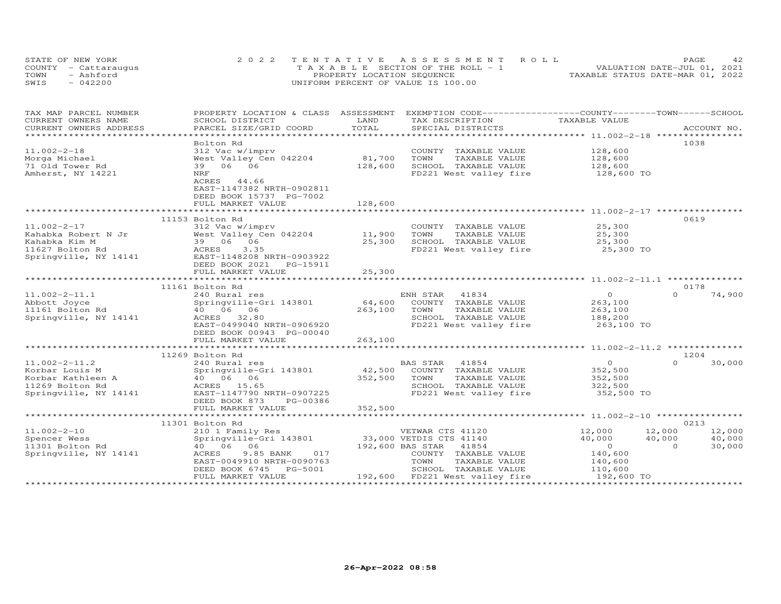| STATE OF NEW YORK    | 2022 TENTATIVE ASSESSMENT ROLL        | 42.<br>PAGE.                     |
|----------------------|---------------------------------------|----------------------------------|
| COUNTY - Cattaraugus | T A X A B L E SECTION OF THE ROLL - 1 | VALUATION DATE-JUL 01, 2021      |
| TOWN<br>- Ashford    | PROPERTY LOCATION SEQUENCE            | TAXABLE STATUS DATE-MAR 01, 2022 |
| $-042200$<br>SWIS    | UNIFORM PERCENT OF VALUE IS 100.00    |                                  |

| **********************<br>1038<br>Bolton Rd<br>$11.002 - 2 - 18$<br>312 Vac w/imprv<br>COUNTY TAXABLE VALUE<br>128,600<br>West Valley Cen 042204<br>81,700<br>Morga Michael<br>TOWN<br>TAXABLE VALUE<br>128,600<br>39 06 06<br>128,600<br>SCHOOL TAXABLE VALUE<br>71 Old Tower Rd<br>128,600<br>FD221 West valley fire<br>Amherst, NY 14221<br>NRF<br>128,600 TO<br>ACRES<br>44.66<br>EAST-1147382 NRTH-0902811<br>DEED BOOK 15737 PG-7002<br>128,600<br>FULL MARKET VALUE<br>11153 Bolton Rd<br>0619<br>$11.002 - 2 - 17$<br>312 Vac w/imprv<br>25,300<br>COUNTY TAXABLE VALUE<br>11,900<br>TOWN<br>TAXABLE VALUE<br>Kahabka Robert N Jr<br>West Valley Cen 042204<br>25,300<br>39 06 06<br>Kahabka Kim M<br>25,300<br>SCHOOL TAXABLE VALUE<br>25,300<br>FD221 West valley fire<br>11627 Bolton Rd<br>ACRES<br>3.35<br>25,300 TO<br>Springville, NY 14141<br>EAST-1148208 NRTH-0903922<br>DEED BOOK 2021    PG-15911<br>25,300<br>FULL MARKET VALUE<br>0178<br>11161 Bolton Rd<br>$\Omega$<br>41834<br>$\Omega$<br>74,900<br>$11.002 - 2 - 11.1$<br>240 Rural res<br>ENH STAR<br>Abbott Joyce<br>64,600<br>COUNTY TAXABLE VALUE<br>263,100<br>Springville-Gri 143801<br>40 06 06<br>263,100<br>11161 Bolton Rd<br>TOWN<br>TAXABLE VALUE<br>263,100<br>Springville, NY 14141<br>32.80<br>SCHOOL TAXABLE VALUE<br>ACRES<br>188,200<br>EAST-0499040 NRTH-0906920<br>FD221 West valley fire<br>263,100 TO<br>DEED BOOK 00943 PG-00040<br>263,100<br>FULL MARKET VALUE<br>1204<br>11269 Bolton Rd<br>$\Omega$<br>30,000<br>$11.002 - 2 - 11.2$<br>41854<br>240 Rural res<br>BAS STAR<br>$\circ$<br>42,500<br>Korbar Louis M<br>Springville-Gri 143801<br>COUNTY TAXABLE VALUE<br>352,500<br>40        06        06<br>352,500<br>TOWN<br>TAXABLE VALUE<br>Korbar Kathleen A<br>352,500<br>SCHOOL TAXABLE VALUE<br>11269 Bolton Rd<br>ACRES 15.65<br>322,500<br>352,500 TO<br>Springville, NY 14141<br>EAST-1147790 NRTH-0907225<br>FD221 West valley fire<br>DEED BOOK 873<br>PG-00386<br>352,500<br>FULL MARKET VALUE<br>0213<br>11301 Bolton Rd<br>$11.002 - 2 - 10$<br>12,000<br>12,000<br>12,000<br>210 1 Family Res<br>VETWAR CTS 41120<br>33,000 VETDIS CTS 41140<br>40,000<br>Springville-Gri 143801<br>40,000<br>40,000<br>Spencer Wess<br>11301 Bolton Rd<br>40 06 06<br>192,600 BAS STAR 41854<br>$\circ$<br>$\Omega$<br>30,000<br>9.85 BANK<br>017<br>COUNTY TAXABLE VALUE<br>Springville, NY 14141<br>ACRES<br>140,600<br>EAST-0049910 NRTH-0090763<br>TOWN<br>TAXABLE VALUE<br>140,600<br>DEED BOOK 6745<br>PG-5001<br>SCHOOL TAXABLE VALUE<br>110,600<br>192,600 FD221 West valley fire<br>FULL MARKET VALUE<br>192,600 TO | TAX MAP PARCEL NUMBER<br>CURRENT OWNERS NAME | PROPERTY LOCATION & CLASS ASSESSMENT<br>SCHOOL DISTRICT | LAND  | EXEMPTION CODE-----------------COUNTY-------TOWN-----SCHOOL<br>TAX DESCRIPTION | TAXABLE VALUE |             |
|--------------------------------------------------------------------------------------------------------------------------------------------------------------------------------------------------------------------------------------------------------------------------------------------------------------------------------------------------------------------------------------------------------------------------------------------------------------------------------------------------------------------------------------------------------------------------------------------------------------------------------------------------------------------------------------------------------------------------------------------------------------------------------------------------------------------------------------------------------------------------------------------------------------------------------------------------------------------------------------------------------------------------------------------------------------------------------------------------------------------------------------------------------------------------------------------------------------------------------------------------------------------------------------------------------------------------------------------------------------------------------------------------------------------------------------------------------------------------------------------------------------------------------------------------------------------------------------------------------------------------------------------------------------------------------------------------------------------------------------------------------------------------------------------------------------------------------------------------------------------------------------------------------------------------------------------------------------------------------------------------------------------------------------------------------------------------------------------------------------------------------------------------------------------------------------------------------------------------------------------------------------------------------------------------------------------------------------------------------------------------------------------------------------------------------------------------------------------------------------------------------------------------------------------------------------------------------------------------------------------------------------|----------------------------------------------|---------------------------------------------------------|-------|--------------------------------------------------------------------------------|---------------|-------------|
|                                                                                                                                                                                                                                                                                                                                                                                                                                                                                                                                                                                                                                                                                                                                                                                                                                                                                                                                                                                                                                                                                                                                                                                                                                                                                                                                                                                                                                                                                                                                                                                                                                                                                                                                                                                                                                                                                                                                                                                                                                                                                                                                                                                                                                                                                                                                                                                                                                                                                                                                                                                                                                      | CURRENT OWNERS ADDRESS                       | PARCEL SIZE/GRID COORD                                  | TOTAL | SPECIAL DISTRICTS                                                              |               | ACCOUNT NO. |
|                                                                                                                                                                                                                                                                                                                                                                                                                                                                                                                                                                                                                                                                                                                                                                                                                                                                                                                                                                                                                                                                                                                                                                                                                                                                                                                                                                                                                                                                                                                                                                                                                                                                                                                                                                                                                                                                                                                                                                                                                                                                                                                                                                                                                                                                                                                                                                                                                                                                                                                                                                                                                                      |                                              |                                                         |       |                                                                                |               |             |
|                                                                                                                                                                                                                                                                                                                                                                                                                                                                                                                                                                                                                                                                                                                                                                                                                                                                                                                                                                                                                                                                                                                                                                                                                                                                                                                                                                                                                                                                                                                                                                                                                                                                                                                                                                                                                                                                                                                                                                                                                                                                                                                                                                                                                                                                                                                                                                                                                                                                                                                                                                                                                                      |                                              |                                                         |       |                                                                                |               |             |
|                                                                                                                                                                                                                                                                                                                                                                                                                                                                                                                                                                                                                                                                                                                                                                                                                                                                                                                                                                                                                                                                                                                                                                                                                                                                                                                                                                                                                                                                                                                                                                                                                                                                                                                                                                                                                                                                                                                                                                                                                                                                                                                                                                                                                                                                                                                                                                                                                                                                                                                                                                                                                                      |                                              |                                                         |       |                                                                                |               |             |
|                                                                                                                                                                                                                                                                                                                                                                                                                                                                                                                                                                                                                                                                                                                                                                                                                                                                                                                                                                                                                                                                                                                                                                                                                                                                                                                                                                                                                                                                                                                                                                                                                                                                                                                                                                                                                                                                                                                                                                                                                                                                                                                                                                                                                                                                                                                                                                                                                                                                                                                                                                                                                                      |                                              |                                                         |       |                                                                                |               |             |
|                                                                                                                                                                                                                                                                                                                                                                                                                                                                                                                                                                                                                                                                                                                                                                                                                                                                                                                                                                                                                                                                                                                                                                                                                                                                                                                                                                                                                                                                                                                                                                                                                                                                                                                                                                                                                                                                                                                                                                                                                                                                                                                                                                                                                                                                                                                                                                                                                                                                                                                                                                                                                                      |                                              |                                                         |       |                                                                                |               |             |
|                                                                                                                                                                                                                                                                                                                                                                                                                                                                                                                                                                                                                                                                                                                                                                                                                                                                                                                                                                                                                                                                                                                                                                                                                                                                                                                                                                                                                                                                                                                                                                                                                                                                                                                                                                                                                                                                                                                                                                                                                                                                                                                                                                                                                                                                                                                                                                                                                                                                                                                                                                                                                                      |                                              |                                                         |       |                                                                                |               |             |
|                                                                                                                                                                                                                                                                                                                                                                                                                                                                                                                                                                                                                                                                                                                                                                                                                                                                                                                                                                                                                                                                                                                                                                                                                                                                                                                                                                                                                                                                                                                                                                                                                                                                                                                                                                                                                                                                                                                                                                                                                                                                                                                                                                                                                                                                                                                                                                                                                                                                                                                                                                                                                                      |                                              |                                                         |       |                                                                                |               |             |
|                                                                                                                                                                                                                                                                                                                                                                                                                                                                                                                                                                                                                                                                                                                                                                                                                                                                                                                                                                                                                                                                                                                                                                                                                                                                                                                                                                                                                                                                                                                                                                                                                                                                                                                                                                                                                                                                                                                                                                                                                                                                                                                                                                                                                                                                                                                                                                                                                                                                                                                                                                                                                                      |                                              |                                                         |       |                                                                                |               |             |
|                                                                                                                                                                                                                                                                                                                                                                                                                                                                                                                                                                                                                                                                                                                                                                                                                                                                                                                                                                                                                                                                                                                                                                                                                                                                                                                                                                                                                                                                                                                                                                                                                                                                                                                                                                                                                                                                                                                                                                                                                                                                                                                                                                                                                                                                                                                                                                                                                                                                                                                                                                                                                                      |                                              |                                                         |       |                                                                                |               |             |
|                                                                                                                                                                                                                                                                                                                                                                                                                                                                                                                                                                                                                                                                                                                                                                                                                                                                                                                                                                                                                                                                                                                                                                                                                                                                                                                                                                                                                                                                                                                                                                                                                                                                                                                                                                                                                                                                                                                                                                                                                                                                                                                                                                                                                                                                                                                                                                                                                                                                                                                                                                                                                                      |                                              |                                                         |       |                                                                                |               |             |
|                                                                                                                                                                                                                                                                                                                                                                                                                                                                                                                                                                                                                                                                                                                                                                                                                                                                                                                                                                                                                                                                                                                                                                                                                                                                                                                                                                                                                                                                                                                                                                                                                                                                                                                                                                                                                                                                                                                                                                                                                                                                                                                                                                                                                                                                                                                                                                                                                                                                                                                                                                                                                                      |                                              |                                                         |       |                                                                                |               |             |
|                                                                                                                                                                                                                                                                                                                                                                                                                                                                                                                                                                                                                                                                                                                                                                                                                                                                                                                                                                                                                                                                                                                                                                                                                                                                                                                                                                                                                                                                                                                                                                                                                                                                                                                                                                                                                                                                                                                                                                                                                                                                                                                                                                                                                                                                                                                                                                                                                                                                                                                                                                                                                                      |                                              |                                                         |       |                                                                                |               |             |
|                                                                                                                                                                                                                                                                                                                                                                                                                                                                                                                                                                                                                                                                                                                                                                                                                                                                                                                                                                                                                                                                                                                                                                                                                                                                                                                                                                                                                                                                                                                                                                                                                                                                                                                                                                                                                                                                                                                                                                                                                                                                                                                                                                                                                                                                                                                                                                                                                                                                                                                                                                                                                                      |                                              |                                                         |       |                                                                                |               |             |
|                                                                                                                                                                                                                                                                                                                                                                                                                                                                                                                                                                                                                                                                                                                                                                                                                                                                                                                                                                                                                                                                                                                                                                                                                                                                                                                                                                                                                                                                                                                                                                                                                                                                                                                                                                                                                                                                                                                                                                                                                                                                                                                                                                                                                                                                                                                                                                                                                                                                                                                                                                                                                                      |                                              |                                                         |       |                                                                                |               |             |
|                                                                                                                                                                                                                                                                                                                                                                                                                                                                                                                                                                                                                                                                                                                                                                                                                                                                                                                                                                                                                                                                                                                                                                                                                                                                                                                                                                                                                                                                                                                                                                                                                                                                                                                                                                                                                                                                                                                                                                                                                                                                                                                                                                                                                                                                                                                                                                                                                                                                                                                                                                                                                                      |                                              |                                                         |       |                                                                                |               |             |
|                                                                                                                                                                                                                                                                                                                                                                                                                                                                                                                                                                                                                                                                                                                                                                                                                                                                                                                                                                                                                                                                                                                                                                                                                                                                                                                                                                                                                                                                                                                                                                                                                                                                                                                                                                                                                                                                                                                                                                                                                                                                                                                                                                                                                                                                                                                                                                                                                                                                                                                                                                                                                                      |                                              |                                                         |       |                                                                                |               |             |
|                                                                                                                                                                                                                                                                                                                                                                                                                                                                                                                                                                                                                                                                                                                                                                                                                                                                                                                                                                                                                                                                                                                                                                                                                                                                                                                                                                                                                                                                                                                                                                                                                                                                                                                                                                                                                                                                                                                                                                                                                                                                                                                                                                                                                                                                                                                                                                                                                                                                                                                                                                                                                                      |                                              |                                                         |       |                                                                                |               |             |
|                                                                                                                                                                                                                                                                                                                                                                                                                                                                                                                                                                                                                                                                                                                                                                                                                                                                                                                                                                                                                                                                                                                                                                                                                                                                                                                                                                                                                                                                                                                                                                                                                                                                                                                                                                                                                                                                                                                                                                                                                                                                                                                                                                                                                                                                                                                                                                                                                                                                                                                                                                                                                                      |                                              |                                                         |       |                                                                                |               |             |
|                                                                                                                                                                                                                                                                                                                                                                                                                                                                                                                                                                                                                                                                                                                                                                                                                                                                                                                                                                                                                                                                                                                                                                                                                                                                                                                                                                                                                                                                                                                                                                                                                                                                                                                                                                                                                                                                                                                                                                                                                                                                                                                                                                                                                                                                                                                                                                                                                                                                                                                                                                                                                                      |                                              |                                                         |       |                                                                                |               |             |
|                                                                                                                                                                                                                                                                                                                                                                                                                                                                                                                                                                                                                                                                                                                                                                                                                                                                                                                                                                                                                                                                                                                                                                                                                                                                                                                                                                                                                                                                                                                                                                                                                                                                                                                                                                                                                                                                                                                                                                                                                                                                                                                                                                                                                                                                                                                                                                                                                                                                                                                                                                                                                                      |                                              |                                                         |       |                                                                                |               |             |
|                                                                                                                                                                                                                                                                                                                                                                                                                                                                                                                                                                                                                                                                                                                                                                                                                                                                                                                                                                                                                                                                                                                                                                                                                                                                                                                                                                                                                                                                                                                                                                                                                                                                                                                                                                                                                                                                                                                                                                                                                                                                                                                                                                                                                                                                                                                                                                                                                                                                                                                                                                                                                                      |                                              |                                                         |       |                                                                                |               |             |
|                                                                                                                                                                                                                                                                                                                                                                                                                                                                                                                                                                                                                                                                                                                                                                                                                                                                                                                                                                                                                                                                                                                                                                                                                                                                                                                                                                                                                                                                                                                                                                                                                                                                                                                                                                                                                                                                                                                                                                                                                                                                                                                                                                                                                                                                                                                                                                                                                                                                                                                                                                                                                                      |                                              |                                                         |       |                                                                                |               |             |
|                                                                                                                                                                                                                                                                                                                                                                                                                                                                                                                                                                                                                                                                                                                                                                                                                                                                                                                                                                                                                                                                                                                                                                                                                                                                                                                                                                                                                                                                                                                                                                                                                                                                                                                                                                                                                                                                                                                                                                                                                                                                                                                                                                                                                                                                                                                                                                                                                                                                                                                                                                                                                                      |                                              |                                                         |       |                                                                                |               |             |
|                                                                                                                                                                                                                                                                                                                                                                                                                                                                                                                                                                                                                                                                                                                                                                                                                                                                                                                                                                                                                                                                                                                                                                                                                                                                                                                                                                                                                                                                                                                                                                                                                                                                                                                                                                                                                                                                                                                                                                                                                                                                                                                                                                                                                                                                                                                                                                                                                                                                                                                                                                                                                                      |                                              |                                                         |       |                                                                                |               |             |
|                                                                                                                                                                                                                                                                                                                                                                                                                                                                                                                                                                                                                                                                                                                                                                                                                                                                                                                                                                                                                                                                                                                                                                                                                                                                                                                                                                                                                                                                                                                                                                                                                                                                                                                                                                                                                                                                                                                                                                                                                                                                                                                                                                                                                                                                                                                                                                                                                                                                                                                                                                                                                                      |                                              |                                                         |       |                                                                                |               |             |
|                                                                                                                                                                                                                                                                                                                                                                                                                                                                                                                                                                                                                                                                                                                                                                                                                                                                                                                                                                                                                                                                                                                                                                                                                                                                                                                                                                                                                                                                                                                                                                                                                                                                                                                                                                                                                                                                                                                                                                                                                                                                                                                                                                                                                                                                                                                                                                                                                                                                                                                                                                                                                                      |                                              |                                                         |       |                                                                                |               |             |
|                                                                                                                                                                                                                                                                                                                                                                                                                                                                                                                                                                                                                                                                                                                                                                                                                                                                                                                                                                                                                                                                                                                                                                                                                                                                                                                                                                                                                                                                                                                                                                                                                                                                                                                                                                                                                                                                                                                                                                                                                                                                                                                                                                                                                                                                                                                                                                                                                                                                                                                                                                                                                                      |                                              |                                                         |       |                                                                                |               |             |
|                                                                                                                                                                                                                                                                                                                                                                                                                                                                                                                                                                                                                                                                                                                                                                                                                                                                                                                                                                                                                                                                                                                                                                                                                                                                                                                                                                                                                                                                                                                                                                                                                                                                                                                                                                                                                                                                                                                                                                                                                                                                                                                                                                                                                                                                                                                                                                                                                                                                                                                                                                                                                                      |                                              |                                                         |       |                                                                                |               |             |
|                                                                                                                                                                                                                                                                                                                                                                                                                                                                                                                                                                                                                                                                                                                                                                                                                                                                                                                                                                                                                                                                                                                                                                                                                                                                                                                                                                                                                                                                                                                                                                                                                                                                                                                                                                                                                                                                                                                                                                                                                                                                                                                                                                                                                                                                                                                                                                                                                                                                                                                                                                                                                                      |                                              |                                                         |       |                                                                                |               |             |
|                                                                                                                                                                                                                                                                                                                                                                                                                                                                                                                                                                                                                                                                                                                                                                                                                                                                                                                                                                                                                                                                                                                                                                                                                                                                                                                                                                                                                                                                                                                                                                                                                                                                                                                                                                                                                                                                                                                                                                                                                                                                                                                                                                                                                                                                                                                                                                                                                                                                                                                                                                                                                                      |                                              |                                                         |       |                                                                                |               |             |
|                                                                                                                                                                                                                                                                                                                                                                                                                                                                                                                                                                                                                                                                                                                                                                                                                                                                                                                                                                                                                                                                                                                                                                                                                                                                                                                                                                                                                                                                                                                                                                                                                                                                                                                                                                                                                                                                                                                                                                                                                                                                                                                                                                                                                                                                                                                                                                                                                                                                                                                                                                                                                                      |                                              |                                                         |       |                                                                                |               |             |
|                                                                                                                                                                                                                                                                                                                                                                                                                                                                                                                                                                                                                                                                                                                                                                                                                                                                                                                                                                                                                                                                                                                                                                                                                                                                                                                                                                                                                                                                                                                                                                                                                                                                                                                                                                                                                                                                                                                                                                                                                                                                                                                                                                                                                                                                                                                                                                                                                                                                                                                                                                                                                                      |                                              |                                                         |       |                                                                                |               |             |
|                                                                                                                                                                                                                                                                                                                                                                                                                                                                                                                                                                                                                                                                                                                                                                                                                                                                                                                                                                                                                                                                                                                                                                                                                                                                                                                                                                                                                                                                                                                                                                                                                                                                                                                                                                                                                                                                                                                                                                                                                                                                                                                                                                                                                                                                                                                                                                                                                                                                                                                                                                                                                                      |                                              |                                                         |       |                                                                                |               |             |
|                                                                                                                                                                                                                                                                                                                                                                                                                                                                                                                                                                                                                                                                                                                                                                                                                                                                                                                                                                                                                                                                                                                                                                                                                                                                                                                                                                                                                                                                                                                                                                                                                                                                                                                                                                                                                                                                                                                                                                                                                                                                                                                                                                                                                                                                                                                                                                                                                                                                                                                                                                                                                                      |                                              |                                                         |       |                                                                                |               |             |
|                                                                                                                                                                                                                                                                                                                                                                                                                                                                                                                                                                                                                                                                                                                                                                                                                                                                                                                                                                                                                                                                                                                                                                                                                                                                                                                                                                                                                                                                                                                                                                                                                                                                                                                                                                                                                                                                                                                                                                                                                                                                                                                                                                                                                                                                                                                                                                                                                                                                                                                                                                                                                                      |                                              |                                                         |       |                                                                                |               |             |
|                                                                                                                                                                                                                                                                                                                                                                                                                                                                                                                                                                                                                                                                                                                                                                                                                                                                                                                                                                                                                                                                                                                                                                                                                                                                                                                                                                                                                                                                                                                                                                                                                                                                                                                                                                                                                                                                                                                                                                                                                                                                                                                                                                                                                                                                                                                                                                                                                                                                                                                                                                                                                                      |                                              |                                                         |       |                                                                                |               |             |
|                                                                                                                                                                                                                                                                                                                                                                                                                                                                                                                                                                                                                                                                                                                                                                                                                                                                                                                                                                                                                                                                                                                                                                                                                                                                                                                                                                                                                                                                                                                                                                                                                                                                                                                                                                                                                                                                                                                                                                                                                                                                                                                                                                                                                                                                                                                                                                                                                                                                                                                                                                                                                                      |                                              |                                                         |       |                                                                                |               |             |
|                                                                                                                                                                                                                                                                                                                                                                                                                                                                                                                                                                                                                                                                                                                                                                                                                                                                                                                                                                                                                                                                                                                                                                                                                                                                                                                                                                                                                                                                                                                                                                                                                                                                                                                                                                                                                                                                                                                                                                                                                                                                                                                                                                                                                                                                                                                                                                                                                                                                                                                                                                                                                                      |                                              |                                                         |       |                                                                                |               |             |
|                                                                                                                                                                                                                                                                                                                                                                                                                                                                                                                                                                                                                                                                                                                                                                                                                                                                                                                                                                                                                                                                                                                                                                                                                                                                                                                                                                                                                                                                                                                                                                                                                                                                                                                                                                                                                                                                                                                                                                                                                                                                                                                                                                                                                                                                                                                                                                                                                                                                                                                                                                                                                                      |                                              |                                                         |       |                                                                                |               |             |
|                                                                                                                                                                                                                                                                                                                                                                                                                                                                                                                                                                                                                                                                                                                                                                                                                                                                                                                                                                                                                                                                                                                                                                                                                                                                                                                                                                                                                                                                                                                                                                                                                                                                                                                                                                                                                                                                                                                                                                                                                                                                                                                                                                                                                                                                                                                                                                                                                                                                                                                                                                                                                                      |                                              |                                                         |       |                                                                                |               |             |
|                                                                                                                                                                                                                                                                                                                                                                                                                                                                                                                                                                                                                                                                                                                                                                                                                                                                                                                                                                                                                                                                                                                                                                                                                                                                                                                                                                                                                                                                                                                                                                                                                                                                                                                                                                                                                                                                                                                                                                                                                                                                                                                                                                                                                                                                                                                                                                                                                                                                                                                                                                                                                                      |                                              |                                                         |       |                                                                                |               |             |
|                                                                                                                                                                                                                                                                                                                                                                                                                                                                                                                                                                                                                                                                                                                                                                                                                                                                                                                                                                                                                                                                                                                                                                                                                                                                                                                                                                                                                                                                                                                                                                                                                                                                                                                                                                                                                                                                                                                                                                                                                                                                                                                                                                                                                                                                                                                                                                                                                                                                                                                                                                                                                                      |                                              |                                                         |       |                                                                                |               |             |
|                                                                                                                                                                                                                                                                                                                                                                                                                                                                                                                                                                                                                                                                                                                                                                                                                                                                                                                                                                                                                                                                                                                                                                                                                                                                                                                                                                                                                                                                                                                                                                                                                                                                                                                                                                                                                                                                                                                                                                                                                                                                                                                                                                                                                                                                                                                                                                                                                                                                                                                                                                                                                                      |                                              |                                                         |       |                                                                                |               |             |
|                                                                                                                                                                                                                                                                                                                                                                                                                                                                                                                                                                                                                                                                                                                                                                                                                                                                                                                                                                                                                                                                                                                                                                                                                                                                                                                                                                                                                                                                                                                                                                                                                                                                                                                                                                                                                                                                                                                                                                                                                                                                                                                                                                                                                                                                                                                                                                                                                                                                                                                                                                                                                                      |                                              |                                                         |       |                                                                                |               |             |
|                                                                                                                                                                                                                                                                                                                                                                                                                                                                                                                                                                                                                                                                                                                                                                                                                                                                                                                                                                                                                                                                                                                                                                                                                                                                                                                                                                                                                                                                                                                                                                                                                                                                                                                                                                                                                                                                                                                                                                                                                                                                                                                                                                                                                                                                                                                                                                                                                                                                                                                                                                                                                                      |                                              |                                                         |       |                                                                                |               |             |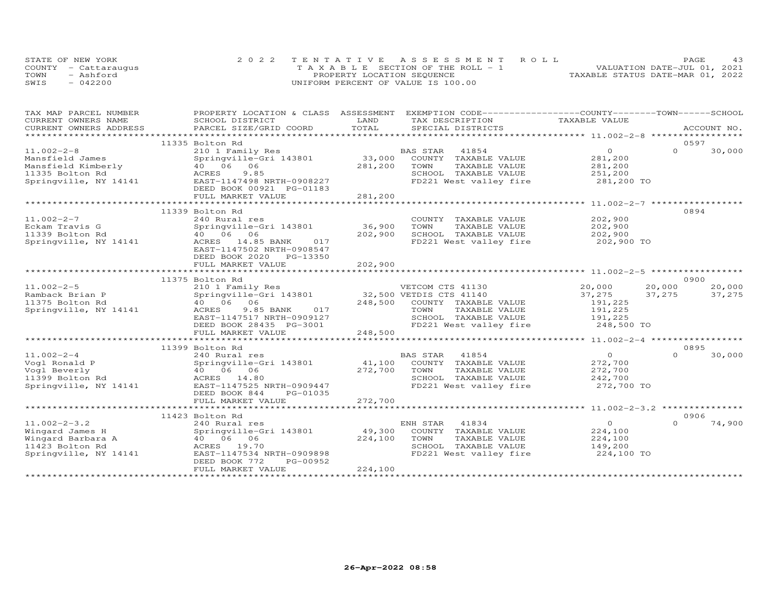| STATE OF NEW YORK    | 2022 TENTATIVE ASSESSMENT ROLL        | <b>PAGE</b>                      |
|----------------------|---------------------------------------|----------------------------------|
| COUNTY - Cattaraugus | T A X A B L E SECTION OF THE ROLL - 1 | VALUATION DATE-JUL 01, 2021      |
| TOWN<br>- Ashford    | PROPERTY LOCATION SEQUENCE            | TAXABLE STATUS DATE-MAR 01, 2022 |
| SWIS<br>$-042200$    | UNIFORM PERCENT OF VALUE IS 100.00    |                                  |

| TAX MAP PARCEL NUMBER                    | PROPERTY LOCATION & CLASS ASSESSMENT       |         | EXEMPTION CODE-----------------COUNTY-------TOWN------SCHOOL |                |                    |
|------------------------------------------|--------------------------------------------|---------|--------------------------------------------------------------|----------------|--------------------|
| CURRENT OWNERS NAME                      | SCHOOL DISTRICT                            | LAND    | TAX DESCRIPTION                                              | TAXABLE VALUE  |                    |
| CURRENT OWNERS ADDRESS                   | PARCEL SIZE/GRID COORD                     | TOTAL   | SPECIAL DISTRICTS                                            |                | ACCOUNT NO.        |
|                                          |                                            |         |                                                              |                |                    |
|                                          | 11335 Bolton Rd                            |         |                                                              |                | 0597               |
| $11.002 - 2 - 8$                         | 210 1 Family Res                           |         | BAS STAR<br>41854                                            | $\circ$        | $\Omega$<br>30,000 |
| Mansfield James                          | Springville-Gri 143801                     | 33,000  | COUNTY TAXABLE VALUE                                         | 281,200        |                    |
| Mansfield Kimberly                       | 40 06 06                                   | 281,200 | TAXABLE VALUE<br>TOWN                                        | 281,200        |                    |
| 11335 Bolton Rd                          | ACRES<br>9.85                              |         | SCHOOL TAXABLE VALUE                                         | 251,200        |                    |
| 11333 Bolton Rd<br>Springville, NY 14141 | EAST-1147498 NRTH-0908227                  |         | FD221 West valley fire                                       | 281,200 TO     |                    |
|                                          | DEED BOOK 00921 PG-01183                   |         |                                                              |                |                    |
|                                          | FULL MARKET VALUE                          | 281,200 |                                                              |                |                    |
|                                          |                                            |         |                                                              |                |                    |
|                                          | 11339 Bolton Rd                            |         |                                                              |                | 0894               |
| $11.002 - 2 - 7$                         | 240 Rural res                              |         | COUNTY TAXABLE VALUE                                         | 202,900        |                    |
| Eckam Travis G                           | Springville-Gri 143801                     | 36,900  | TOWN<br>TAXABLE VALUE                                        | 202,900        |                    |
| 11339 Bolton Rd                          | 40 06 06                                   | 202,900 | SCHOOL TAXABLE VALUE                                         | 202,900        |                    |
| Springville, NY 14141                    | ACRES 14.85 BANK<br>017                    |         | FD221 West valley fire                                       | 202,900 TO     |                    |
|                                          | EAST-1147502 NRTH-0908547                  |         |                                                              |                |                    |
|                                          | DEED BOOK 2020 PG-13350                    |         |                                                              |                |                    |
|                                          | FULL MARKET VALUE                          | 202,900 |                                                              |                |                    |
|                                          |                                            |         |                                                              |                |                    |
|                                          |                                            |         |                                                              |                | 0900               |
|                                          | 11375 Bolton Rd                            |         |                                                              |                |                    |
| $11.002 - 2 - 5$                         | 210 1 Family Res<br>Springville-Gri 143801 |         | VETCOM CTS 41130<br>32,500 VETDIS CTS 41140                  | 20,000         | 20,000<br>20,000   |
| Ramback Brian P                          |                                            |         |                                                              | 37,275         | 37,275<br>37,275   |
| 11375 Bolton Rd                          | 40 06 06                                   |         | 248,500 COUNTY TAXABLE VALUE                                 | 191,225        |                    |
| Springville, NY 14141                    | 9.85 BANK<br>017<br>ACRES                  |         | TOWN<br>TAXABLE VALUE                                        | 191,225        |                    |
|                                          | EAST-1147517 NRTH-0909127                  |         | SCHOOL TAXABLE VALUE                                         | 191,225        |                    |
|                                          | DEED BOOK 28435 PG-3001                    |         | FD221 West valley fire                                       | 248,500 TO     |                    |
|                                          | FULL MARKET VALUE                          | 248,500 |                                                              |                |                    |
|                                          |                                            |         |                                                              |                |                    |
|                                          | 11399 Bolton Rd                            |         |                                                              |                | 0895               |
| $11.002 - 2 - 4$                         | 240 Rural res                              |         | BAS STAR<br>41854                                            | $\Omega$       | 30,000<br>$\Omega$ |
| Vogl Ronald P                            | Springville-Gri 143801                     | 41,100  | COUNTY TAXABLE VALUE                                         | 272,700        |                    |
| Vogl Beverly                             | 40 06 06                                   | 272,700 | TOWN<br>TAXABLE VALUE                                        | 272,700        |                    |
| 11399 Bolton Rd                          | ACRES 14.80                                |         | SCHOOL TAXABLE VALUE                                         | 242,700        |                    |
| Springville, NY 14141                    | EAST-1147525 NRTH-0909447                  |         | FD221 West valley fire                                       | 272,700 TO     |                    |
|                                          | DEED BOOK 844<br>PG-01035                  |         |                                                              |                |                    |
|                                          | FULL MARKET VALUE                          | 272,700 |                                                              |                |                    |
|                                          |                                            |         |                                                              |                |                    |
|                                          | 11423 Bolton Rd                            |         |                                                              |                | 0906               |
| $11.002 - 2 - 3.2$                       | 240 Rural res                              |         | 41834<br>ENH STAR                                            | $\overline{0}$ | $\Omega$<br>74,900 |
|                                          |                                            | 49,300  |                                                              |                |                    |
| Wingard James H                          | Springville-Gri 143801                     |         | COUNTY TAXABLE VALUE                                         | 224,100        |                    |
| Wingard Barbara A                        | 40 06 06                                   | 224,100 | TAXABLE VALUE<br>TOWN                                        | 224,100        |                    |
| 11423 Bolton Rd                          | ACRES 19.70                                |         | SCHOOL TAXABLE VALUE                                         | 149,200        |                    |
| Springville, NY 14141                    | EAST-1147534 NRTH-0909898                  |         | FD221 West valley fire                                       | 224,100 TO     |                    |
|                                          | DEED BOOK 772<br>PG-00952                  |         |                                                              |                |                    |
|                                          | FULL MARKET VALUE                          | 224,100 |                                                              |                |                    |
|                                          |                                            |         |                                                              |                |                    |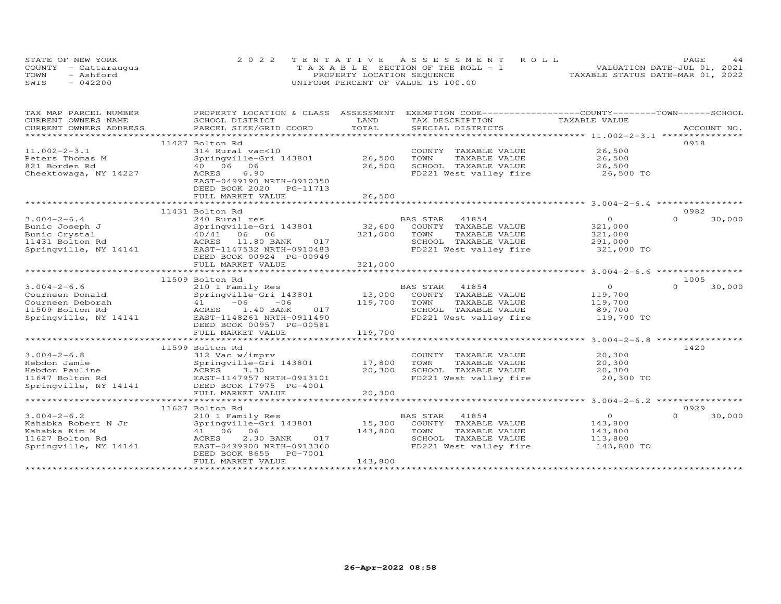| STATE OF NEW YORK    | 2022 TENTATIVE ASSESSMENT ROLL        | 44<br>PAGE.                      |
|----------------------|---------------------------------------|----------------------------------|
| COUNTY - Cattaraugus | T A X A B L E SECTION OF THE ROLL - 1 | VALUATION DATE-JUL 01, 2021      |
| TOWN<br>- Ashford    | PROPERTY LOCATION SEQUENCE            | TAXABLE STATUS DATE-MAR 01, 2022 |
| SWIS<br>$-042200$    | UNIFORM PERCENT OF VALUE IS 100.00    |                                  |

| TAX MAP PARCEL NUMBER                         | PROPERTY LOCATION & CLASS ASSESSMENT                                     |               | EXEMPTION CODE-----------------COUNTY-------TOWN------SCHOOL |                                                  |                    |
|-----------------------------------------------|--------------------------------------------------------------------------|---------------|--------------------------------------------------------------|--------------------------------------------------|--------------------|
| CURRENT OWNERS NAME<br>CURRENT OWNERS ADDRESS | SCHOOL DISTRICT<br>PARCEL SIZE/GRID COORD                                | LAND<br>TOTAL | TAX DESCRIPTION<br>SPECIAL DISTRICTS                         | TAXABLE VALUE                                    | ACCOUNT NO.        |
| **********************                        |                                                                          |               |                                                              |                                                  |                    |
|                                               | 11427 Bolton Rd                                                          |               |                                                              |                                                  | 0918               |
| $11.002 - 2 - 3.1$                            | 314 Rural vac<10                                                         |               | COUNTY TAXABLE VALUE                                         | 26,500                                           |                    |
| Peters Thomas M                               | Springville-Gri 143801                                                   | 26,500        | TOWN<br>TAXABLE VALUE                                        | 26,500                                           |                    |
| 821 Borden Rd                                 | 40 06<br>06                                                              | 26,500        | SCHOOL TAXABLE VALUE                                         | 26,500                                           |                    |
| Cheektowaga, NY 14227                         | ACRES<br>6.90<br>EAST-0499190 NRTH-0910350<br>DEED BOOK 2020<br>PG-11713 |               | FD221 West valley fire                                       | 26,500 TO                                        |                    |
|                                               | FULL MARKET VALUE                                                        | 26,500        |                                                              |                                                  |                    |
|                                               | ******************                                                       |               |                                                              |                                                  |                    |
|                                               | 11431 Bolton Rd                                                          |               |                                                              |                                                  | 0982               |
| $3.004 - 2 - 6.4$                             | 240 Rural res                                                            |               | <b>BAS STAR</b><br>41854                                     | $\circ$                                          | $\Omega$<br>30,000 |
| Bunic Joseph J                                | Springville-Gri 143801                                                   | 32,600        | COUNTY TAXABLE VALUE                                         | 321,000                                          |                    |
| Bunic Crystal                                 | 40/41 06 06<br>017                                                       | 321,000       | TOWN<br>TAXABLE VALUE<br>SCHOOL TAXABLE VALUE                | 321,000                                          |                    |
| 11431 Bolton Rd<br>Springville, NY 14141      | ACRES<br>11.80 BANK<br>EAST-1147532 NRTH-0910483                         |               | FD221 West valley fire                                       | 291,000<br>321,000 TO                            |                    |
|                                               | DEED BOOK 00924 PG-00949                                                 |               |                                                              |                                                  |                    |
|                                               | FULL MARKET VALUE                                                        | 321,000       |                                                              |                                                  |                    |
|                                               |                                                                          |               |                                                              |                                                  |                    |
|                                               | 11509 Bolton Rd                                                          |               |                                                              |                                                  | 1005               |
| $3.004 - 2 - 6.6$                             | 210 1 Family Res                                                         |               | BAS STAR 41854                                               | $\Omega$                                         | $\Omega$<br>30,000 |
| Courneen Donald                               | Springville-Gri 143801                                                   | 13,000        | COUNTY TAXABLE VALUE                                         | 119,700                                          |                    |
| Courneen Deborah                              | $-06$<br>$-06$<br>41                                                     | 119,700       | TOWN<br>TAXABLE VALUE                                        | 119,700                                          |                    |
| 11509 Bolton Rd                               | 1.40 BANK<br>017<br>ACRES                                                |               | SCHOOL TAXABLE VALUE                                         | 89,700                                           |                    |
| Springville, NY 14141                         | EAST-1148261 NRTH-0911490                                                |               | FD221 West valley fire                                       | 119,700 TO                                       |                    |
|                                               | DEED BOOK 00957 PG-00581                                                 |               |                                                              |                                                  |                    |
|                                               | FULL MARKET VALUE                                                        | 119,700       |                                                              |                                                  |                    |
|                                               |                                                                          |               |                                                              | ******************** 3.004-2-6.8 *************** |                    |
|                                               | 11599 Bolton Rd                                                          |               |                                                              |                                                  | 1420               |
| $3.004 - 2 - 6.8$                             | 312 Vac w/imprv                                                          |               | COUNTY TAXABLE VALUE                                         | 20,300                                           |                    |
| Hebdon Jamie                                  | Springville-Gri 143801                                                   | 17,800        | TOWN<br>TAXABLE VALUE                                        | 20,300                                           |                    |
| Hebdon Pauline                                | ACRES<br>3.30<br>EAST-1147957 NRTH-0913101                               | 20,300        | SCHOOL TAXABLE VALUE<br>FD221 West valley fire               | 20,300<br>20,300 TO                              |                    |
| 11647 Bolton Rd<br>Springville, NY 14141      | DEED BOOK 17975 PG-4001                                                  |               |                                                              |                                                  |                    |
|                                               | FULL MARKET VALUE                                                        | 20,300        |                                                              |                                                  |                    |
|                                               |                                                                          |               |                                                              |                                                  |                    |
|                                               | 11627 Bolton Rd                                                          |               |                                                              |                                                  | 0929               |
| $3.004 - 2 - 6.2$                             | 210 1 Family Res                                                         |               | BAS STAR<br>41854                                            | $\circ$                                          | $\Omega$<br>30,000 |
| Kahabka Robert N Jr                           | Springville-Gri 143801                                                   | 15,300        | COUNTY TAXABLE VALUE                                         | 143,800                                          |                    |
| Kahabka Kim M                                 | 41 06 06                                                                 | 143,800       | TOWN<br>TAXABLE VALUE                                        | 143,800                                          |                    |
| 11627 Bolton Rd                               | ACRES<br>2.30 BANK<br>017                                                |               | SCHOOL TAXABLE VALUE                                         | 113,800                                          |                    |
| Springville, NY 14141                         | EAST-0499900 NRTH-0913360                                                |               | FD221 West valley fire                                       | 143,800 TO                                       |                    |
|                                               | DEED BOOK 8655<br>PG-7001                                                |               |                                                              |                                                  |                    |
|                                               | FULL MARKET VALUE                                                        | 143,800       |                                                              |                                                  |                    |
|                                               |                                                                          |               |                                                              |                                                  |                    |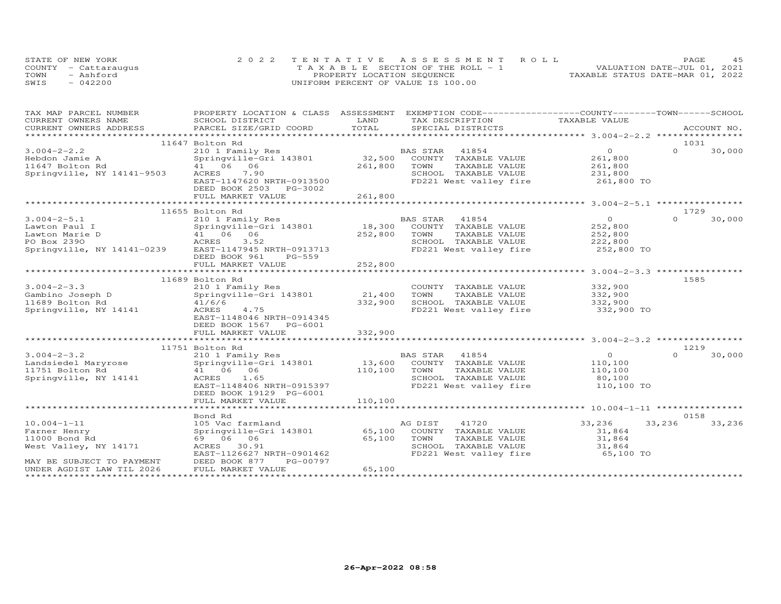| STATE OF NEW YORK |                      | 2022 TENTATIVE ASSESSMENT ROLL        |                                  | PAGE | 4.5 |
|-------------------|----------------------|---------------------------------------|----------------------------------|------|-----|
|                   | COUNTY - Cattaraugus | T A X A B L E SECTION OF THE ROLL - 1 | VALUATION DATE-JUL 01, 2021      |      |     |
| TOWN              | - Ashford            | PROPERTY LOCATION SEQUENCE            | TAXABLE STATUS DATE-MAR 01, 2022 |      |     |
| SWIS              | $-042200$            | UNIFORM PERCENT OF VALUE IS 100.00    |                                  |      |     |

| TAX MAP PARCEL NUMBER                                | PROPERTY LOCATION & CLASS ASSESSMENT EXEMPTION CODE----------------COUNTY-------TOWN------SCHOOL |         |                          |                |                    |
|------------------------------------------------------|--------------------------------------------------------------------------------------------------|---------|--------------------------|----------------|--------------------|
| CURRENT OWNERS NAME                                  | SCHOOL DISTRICT                                                                                  | LAND    | TAX DESCRIPTION          | TAXABLE VALUE  |                    |
| CURRENT OWNERS ADDRESS                               | PARCEL SIZE/GRID COORD                                                                           | TOTAL   | SPECIAL DISTRICTS        |                | ACCOUNT NO.        |
|                                                      |                                                                                                  |         |                          |                |                    |
|                                                      | 11647 Bolton Rd                                                                                  |         |                          |                | 1031               |
| $3.004 - 2 - 2.2$                                    | 210 1 Family Res                                                                                 |         | BAS STAR<br>41854        | $\circ$        | $\Omega$<br>30,000 |
| Hebdon Jamie A                                       | Springville-Gri 143801                                                                           | 32,500  | COUNTY TAXABLE VALUE     | 261,800        |                    |
| 11647 Bolton Rd                                      | 41 06 06                                                                                         | 261,800 | TAXABLE VALUE<br>TOWN    | 261,800        |                    |
| Springville, NY 14141-9503                           | ACRES<br>7.90                                                                                    |         | SCHOOL TAXABLE VALUE     | 231,800        |                    |
|                                                      | EAST-1147620 NRTH-0913500                                                                        |         | FD221 West valley fire   | 261,800 TO     |                    |
|                                                      | DEED BOOK 2503 PG-3002                                                                           |         |                          |                |                    |
|                                                      | FULL MARKET VALUE                                                                                | 261,800 |                          |                |                    |
|                                                      |                                                                                                  |         |                          |                |                    |
|                                                      | 11655 Bolton Rd                                                                                  |         |                          |                | 1729               |
| $3.004 - 2 - 5.1$                                    | 210 1 Family Res                                                                                 |         | <b>BAS STAR</b><br>41854 | $\overline{O}$ | $\Omega$<br>30,000 |
| Lawton Paul I                                        | Springville-Gri 143801                                                                           | 18,300  | COUNTY TAXABLE VALUE     | 252,800        |                    |
| Lawton Marie D                                       | 41 06 06                                                                                         | 252,800 | TOWN<br>TAXABLE VALUE    | 252,800        |                    |
| PO Box 2390                                          | ACRES<br>3.52                                                                                    |         | SCHOOL TAXABLE VALUE     | 222,800        |                    |
| Springville, NY 14141-0239 EAST-1147945 NRTH-0913713 |                                                                                                  |         | FD221 West valley fire   | 252,800 TO     |                    |
|                                                      | DEED BOOK 961<br>PG-559                                                                          |         |                          |                |                    |
|                                                      | FULL MARKET VALUE                                                                                | 252,800 |                          |                |                    |
|                                                      |                                                                                                  |         |                          |                |                    |
|                                                      | 11689 Bolton Rd                                                                                  |         |                          |                | 1585               |
| $3.004 - 2 - 3.3$                                    | 210 1 Family Res                                                                                 |         | COUNTY TAXABLE VALUE     | 332,900        |                    |
| Gambino Joseph D                                     | Springville-Gri 143801                                                                           | 21,400  | TOWN<br>TAXABLE VALUE    | 332,900        |                    |
| 11689 Bolton Rd                                      | 41/6/6                                                                                           | 332,900 | SCHOOL TAXABLE VALUE     | 332,900        |                    |
| Springville, NY 14141                                | ACRES<br>4.75                                                                                    |         | FD221 West valley fire   | 332,900 TO     |                    |
|                                                      | EAST-1148046 NRTH-0914345                                                                        |         |                          |                |                    |
|                                                      | DEED BOOK 1567 PG-6001                                                                           |         |                          |                |                    |
|                                                      | FULL MARKET VALUE                                                                                | 332,900 |                          |                |                    |
|                                                      |                                                                                                  |         |                          |                |                    |
|                                                      | 11751 Bolton Rd                                                                                  |         |                          |                | 1219               |
| $3.004 - 2 - 3.2$                                    |                                                                                                  |         | 41854                    | $\Omega$       | 30,000<br>$\Omega$ |
|                                                      | 210 1 Family Res                                                                                 | 13,600  | BAS STAR                 |                |                    |
| Landsiedel Maryrose                                  | Springville-Gri 143801                                                                           |         | COUNTY TAXABLE VALUE     | 110,100        |                    |
| 11751 Bolton Rd                                      | 41 06 06                                                                                         | 110,100 | TOWN<br>TAXABLE VALUE    | 110,100        |                    |
| Springville, NY 14141                                | ACRES 1.65                                                                                       |         | SCHOOL TAXABLE VALUE     | 80,100         |                    |
|                                                      | EAST-1148406 NRTH-0915397                                                                        |         | FD221 West valley fire   | 110,100 TO     |                    |
|                                                      | DEED BOOK 19129 PG-6001                                                                          |         |                          |                |                    |
|                                                      | FULL MARKET VALUE                                                                                | 110,100 |                          |                |                    |
|                                                      |                                                                                                  |         |                          |                |                    |
|                                                      | Bond Rd                                                                                          |         |                          |                | 0158               |
| $10.004 - 1 - 11$                                    | 105 Vac farmland                                                                                 |         | 41720<br>AG DIST         | 33,236         | 33,236<br>33,236   |
| Farner Henry                                         | Springville-Gri 143801                                                                           | 65,100  | COUNTY TAXABLE VALUE     | 31,864         |                    |
| 11000 Bond Rd                                        | 69 06 06                                                                                         | 65,100  | TAXABLE VALUE<br>TOWN    | 31,864         |                    |
| West Valley, NY 14171                                | ACRES 30.91                                                                                      |         | SCHOOL TAXABLE VALUE     | 31,864         |                    |
|                                                      | EAST-1126627 NRTH-0901462                                                                        |         | FD221 West valley fire   | 65,100 TO      |                    |
| MAY BE SUBJECT TO PAYMENT                            | DEED BOOK 877<br>PG-00797                                                                        |         |                          |                |                    |
| UNDER AGDIST LAW TIL 2026                            | FULL MARKET VALUE                                                                                | 65,100  |                          |                |                    |
|                                                      |                                                                                                  |         |                          |                |                    |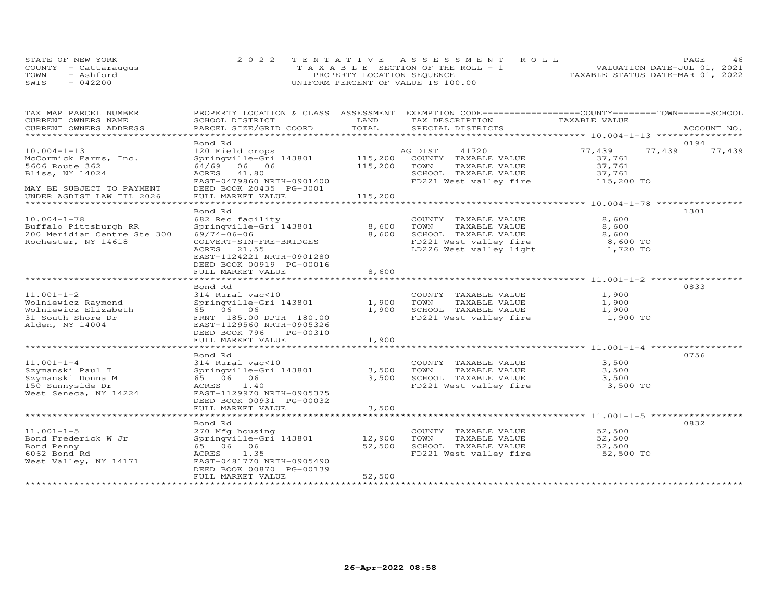|      | STATE OF NEW YORK    | 2022 TENTATIVE ASSESSMENT ROLL        | PAGE                             | 46 |
|------|----------------------|---------------------------------------|----------------------------------|----|
|      | COUNTY - Cattaraugus | T A X A B L E SECTION OF THE ROLL - 1 | VALUATION DATE-JUL 01, 2021      |    |
| TOWN | - Ashford            | PROPERTY LOCATION SEQUENCE            | TAXABLE STATUS DATE-MAR 01, 2022 |    |
| SWIS | $-042200$            | UNIFORM PERCENT OF VALUE IS 100.00    |                                  |    |

| TAX MAP PARCEL NUMBER<br>CURRENT OWNERS NAME | PROPERTY LOCATION & CLASS ASSESSMENT<br>SCHOOL DISTRICT | LAND         | EXEMPTION CODE-----------------COUNTY-------TOWN------SCHOOL<br>TAX DESCRIPTION | TAXABLE VALUE |        |                |
|----------------------------------------------|---------------------------------------------------------|--------------|---------------------------------------------------------------------------------|---------------|--------|----------------|
| CURRENT OWNERS ADDRESS                       | PARCEL SIZE/GRID COORD                                  | TOTAL        | SPECIAL DISTRICTS                                                               |               |        | ACCOUNT NO.    |
| **********************                       |                                                         |              |                                                                                 |               |        |                |
| $10.004 - 1 - 13$                            | Bond Rd<br>120 Field crops                              |              | AG DIST<br>41720                                                                | 77,439        | 77,439 | 0194<br>77,439 |
| McCormick Farms, Inc.                        | Springville-Gri 143801                                  |              | 115,200 COUNTY TAXABLE VALUE                                                    | 37,761        |        |                |
| 5606 Route 362                               | 64/69 06 06                                             | 115,200      | TOWN<br>TAXABLE VALUE                                                           | 37,761        |        |                |
| Bliss, NY 14024                              | ACRES 41.80                                             |              | SCHOOL TAXABLE VALUE                                                            | 37,761        |        |                |
|                                              | EAST-0479860 NRTH-0901400                               |              | FD221 West valley fire                                                          | 115,200 TO    |        |                |
| MAY BE SUBJECT TO PAYMENT                    | DEED BOOK 20435 PG-3001                                 |              |                                                                                 |               |        |                |
| UNDER AGDIST LAW TIL 2026                    | FULL MARKET VALUE                                       | 115,200      |                                                                                 |               |        |                |
| ********************                         | ********************                                    |              |                                                                                 |               |        |                |
|                                              | Bond Rd                                                 |              |                                                                                 |               |        | 1301           |
| $10.004 - 1 - 78$                            | 682 Rec facility                                        |              | COUNTY TAXABLE VALUE                                                            | 8,600         |        |                |
| Buffalo Pittsburgh RR                        | Springville-Gri 143801                                  | 8,600        | TOWN<br>TAXABLE VALUE                                                           | 8,600         |        |                |
| 200 Meridian Centre Ste 300                  | 69/74-06-06                                             | 8,600        | SCHOOL TAXABLE VALUE                                                            | 8,600         |        |                |
| Rochester, NY 14618                          | COLVERT-SIN-FRE-BRIDGES                                 |              | FD221 West valley fire                                                          | 8,600 TO      |        |                |
|                                              | ACRES 21.55                                             |              | LD226 West valley light                                                         | 1,720 TO      |        |                |
|                                              | EAST-1124221 NRTH-0901280                               |              |                                                                                 |               |        |                |
|                                              | DEED BOOK 00919 PG-00016                                |              |                                                                                 |               |        |                |
|                                              | FULL MARKET VALUE                                       | 8,600        |                                                                                 |               |        |                |
|                                              |                                                         |              | ********************************* 11.001-1-2 ******                             |               |        |                |
|                                              | Bond Rd                                                 |              |                                                                                 |               |        | 0833           |
| $11.001 - 1 - 2$                             | 314 Rural vac<10                                        |              | COUNTY TAXABLE VALUE                                                            | 1,900         |        |                |
| Wolniewicz Raymond                           | Springville-Gri 143801                                  | 1,900        | TOWN<br>TAXABLE VALUE                                                           | 1,900         |        |                |
| Wolniewicz Elizabeth                         | 65 06 06                                                | 1,900        | SCHOOL TAXABLE VALUE                                                            | 1,900         |        |                |
| 31 South Shore Dr                            | FRNT 185.00 DPTH 180.00                                 |              | FD221 West valley fire                                                          | 1,900 TO      |        |                |
| Alden, NY 14004                              | EAST-1129560 NRTH-0905326                               |              |                                                                                 |               |        |                |
|                                              | DEED BOOK 796<br>PG-00310                               |              |                                                                                 |               |        |                |
|                                              | FULL MARKET VALUE                                       | 1,900        |                                                                                 |               |        |                |
|                                              | ***************************                             | ************ |                                                                                 |               |        |                |
|                                              | Bond Rd                                                 |              |                                                                                 |               |        | 0756           |
| $11.001 - 1 - 4$                             | 314 Rural vac<10                                        |              | COUNTY TAXABLE VALUE                                                            | 3,500         |        |                |
| Szymanski Paul T                             | Springville-Gri 143801                                  | 3,500        | TOWN<br>TAXABLE VALUE                                                           | 3,500         |        |                |
| Szymanski Donna M                            | 65 06 06                                                | 3,500        | SCHOOL TAXABLE VALUE                                                            | 3,500         |        |                |
| 150 Sunnyside Dr                             | <b>ACRES</b><br>1.40                                    |              | FD221 West valley fire                                                          | 3,500 TO      |        |                |
| West Seneca, NY 14224                        | EAST-1129970 NRTH-0905375                               |              |                                                                                 |               |        |                |
|                                              | DEED BOOK 00931 PG-00032                                |              |                                                                                 |               |        |                |
|                                              | FULL MARKET VALUE                                       | 3,500        |                                                                                 |               |        |                |
|                                              |                                                         |              |                                                                                 |               |        |                |
|                                              | Bond Rd                                                 |              |                                                                                 |               |        | 0832           |
| $11.001 - 1 - 5$                             | 270 Mfg housing                                         |              | COUNTY TAXABLE VALUE                                                            | 52,500        |        |                |
| Bond Frederick W Jr                          | Springville-Gri 143801                                  | 12,900       | TAXABLE VALUE<br>TOWN                                                           | 52,500        |        |                |
| Bond Penny                                   | 65 06 06                                                | 52,500       | SCHOOL TAXABLE VALUE<br>FD221 West valley fire                                  | 52,500        |        |                |
| 6062 Bond Rd                                 | 1.35<br>ACRES                                           |              |                                                                                 | 52,500 TO     |        |                |
| West Valley, NY 14171                        | EAST-0481770 NRTH-0905490                               |              |                                                                                 |               |        |                |
|                                              | DEED BOOK 00870 PG-00139                                |              |                                                                                 |               |        |                |
|                                              | FULL MARKET VALUE                                       | 52,500       |                                                                                 |               |        |                |
|                                              |                                                         |              |                                                                                 |               |        |                |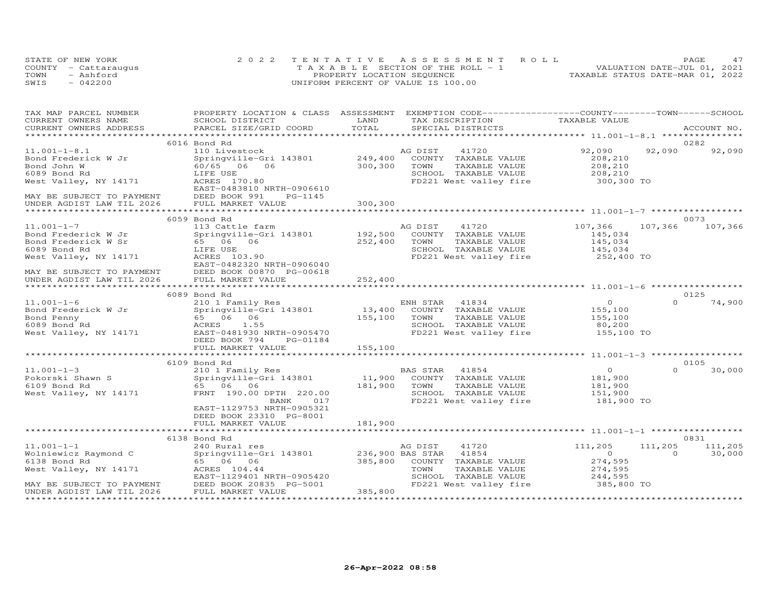| STATE OF NEW YORK    | 2022 TENTATIVE ASSESSMENT ROLL     |  |  |                                  | PAGE. |  |
|----------------------|------------------------------------|--|--|----------------------------------|-------|--|
| COUNTY - Cattaraugus | TAXABLE SECTION OF THE ROLL - 1    |  |  | VALUATION DATE-JUL 01, 2021      |       |  |
| TOWN<br>- Ashford    | PROPERTY LOCATION SEQUENCE         |  |  | TAXABLE STATUS DATE-MAR 01, 2022 |       |  |
| SWIS<br>$-042200$    | UNIFORM PERCENT OF VALUE IS 100.00 |  |  |                                  |       |  |

| TAX MAP PARCEL NUMBER<br>CURRENT OWNERS NAME                                                       | PROPERTY LOCATION & CLASS ASSESSMENT EXEMPTION CODE----------------COUNTY-------TOWN------SCHOOL<br>SCHOOL DISTRICT | LAND                     | TAX DESCRIPTION                   | TAXABLE VALUE             |                    |             |
|----------------------------------------------------------------------------------------------------|---------------------------------------------------------------------------------------------------------------------|--------------------------|-----------------------------------|---------------------------|--------------------|-------------|
| CURRENT OWNERS ADDRESS                                                                             | PARCEL SIZE/GRID COORD                                                                                              | TOTAL                    | SPECIAL DISTRICTS                 |                           |                    | ACCOUNT NO. |
|                                                                                                    |                                                                                                                     |                          |                                   |                           |                    |             |
|                                                                                                    | 6016 Bond Rd                                                                                                        |                          |                                   |                           |                    | 0282        |
| $11.001 - 1 - 8.1$                                                                                 | 110 Livestock                                                                                                       |                          | AG DIST<br>41720                  | 92,090                    | 92,090             | 92,090      |
| Bond Frederick W Jr                                                                                | Springville-Gri 143801                                                                                              | 249,400                  | COUNTY TAXABLE VALUE              | 208,210                   |                    |             |
| Bond John W                                                                                        | 60/65 06 06                                                                                                         | 300,300                  | TOWN<br>TAXABLE VALUE             | 208,210                   |                    |             |
| 6089 Bond Rd                                                                                       | LIFE USE                                                                                                            |                          | SCHOOL TAXABLE VALUE              | 208,210                   |                    |             |
| West Valley, NY 14171                                                                              | ACRES 170.80                                                                                                        |                          | FD221 West valley fire            | 300,300 TO                |                    |             |
|                                                                                                    | EAST-0483810 NRTH-0906610                                                                                           |                          |                                   |                           |                    |             |
| MAY BE SUBJECT TO PAYMENT<br>UNDER AGDIST LAW TIL 2026                                             | DEED BOOK 991<br>PG-1145                                                                                            |                          |                                   |                           |                    |             |
|                                                                                                    | FULL MARKET VALUE                                                                                                   | 300,300                  |                                   |                           |                    |             |
|                                                                                                    |                                                                                                                     |                          |                                   |                           |                    |             |
|                                                                                                    | 6059 Bond Rd                                                                                                        |                          |                                   |                           |                    | 0073        |
| $11.001 - 1 - 7$                                                                                   | 113 Cattle farm                                                                                                     |                          | AG DIST<br>41720                  | 107,366                   | 107,366            | 107,366     |
| Bond Frederick W Jr<br>Bond Frederick W Sr                                                         | Springville-Gri 143801                                                                                              |                          | 192,500 COUNTY TAXABLE VALUE      | 145,034                   |                    |             |
|                                                                                                    | 65 06 06                                                                                                            | 252,400                  | TAXABLE VALUE<br>TOWN             | 145,034<br>145,034        |                    |             |
| 6089 Bond Rd                                                                                       | LIFE USE                                                                                                            |                          | SCHOOL TAXABLE VALUE              |                           |                    |             |
| West Valley, NY 14171                                                                              | ACRES 103.90                                                                                                        |                          | FD221 West valley fire 252,400 TO |                           |                    |             |
|                                                                                                    | EAST-0482320 NRTH-0906040                                                                                           |                          |                                   |                           |                    |             |
| MAY BE SUBJECT TO PAYMENT<br>UNDER AGDIST LAW TIL 2026                                             | DEED BOOK 00870 PG-00618                                                                                            |                          |                                   |                           |                    |             |
|                                                                                                    | FULL MARKET VALUE                                                                                                   | 252,400                  |                                   |                           |                    |             |
|                                                                                                    |                                                                                                                     |                          |                                   |                           |                    |             |
|                                                                                                    | 6089 Bond Rd                                                                                                        |                          |                                   |                           |                    | 0125        |
| $11.001 - 1 - 6$                                                                                   | 210 1 Family Res                                                                                                    |                          | ENH STAR 41834                    | $\overline{O}$            | $\Omega$           | 74,900      |
| Example of Frederick W Jr<br>Bond Frederick W Jr<br>Bond Penny 65 06 06<br>6089 Bond Rd MCRES 1.55 | Springville-Gri 143801 13,400                                                                                       |                          | COUNTY TAXABLE VALUE              | 155,100                   |                    |             |
|                                                                                                    |                                                                                                                     | 155,100                  | TOWN<br>TAXABLE VALUE             | 155,100                   |                    |             |
|                                                                                                    | 1.55                                                                                                                |                          | SCHOOL TAXABLE VALUE              | 80,200                    |                    |             |
| West Valley, NY 14171                                                                              | EAST-0481930 NRTH-0905470                                                                                           |                          | FD221 West valley fire            | 155,100 TO                |                    |             |
|                                                                                                    | PG-01184<br>DEED BOOK 794                                                                                           |                          |                                   |                           |                    |             |
|                                                                                                    | FULL MARKET VALUE<br>*************************                                                                      | 155,100<br>************* |                                   |                           |                    |             |
|                                                                                                    |                                                                                                                     |                          |                                   |                           |                    |             |
|                                                                                                    | 6109 Bond Rd                                                                                                        |                          |                                   |                           |                    | 0105        |
| $11.001 - 1 - 3$                                                                                   | 210 1 Family Res                                                                                                    | BA<br>11,900             | BAS STAR<br>41854                 | $\overline{O}$            | $\Omega$           | 30,000      |
| Pokorski Shawn S                                                                                   | 210 1 ramily Res<br>Springville-Gri 143801<br>65   06   06                                                          |                          | COUNTY TAXABLE VALUE              | 181,900                   |                    |             |
| 6109 Bond Rd<br>West Valley, NY 14171                                                              |                                                                                                                     | 181,900                  | TAXABLE VALUE<br>TOWN             | 181,900<br>151,900        |                    |             |
|                                                                                                    | FRNT 190.00 DPTH 220.00                                                                                             |                          | SCHOOL TAXABLE VALUE              |                           |                    |             |
|                                                                                                    | BANK<br>017                                                                                                         |                          | FD221 West valley fire            | 181,900 TO                |                    |             |
|                                                                                                    | EAST-1129753 NRTH-0905321                                                                                           |                          |                                   |                           |                    |             |
|                                                                                                    | DEED BOOK 23310 PG-8001                                                                                             |                          |                                   |                           |                    |             |
|                                                                                                    | FULL MARKET VALUE                                                                                                   | 181,900                  |                                   |                           |                    |             |
|                                                                                                    |                                                                                                                     |                          |                                   |                           |                    | 0831        |
| $11.001 - 1 - 1$                                                                                   | 6138 Bond Rd                                                                                                        |                          | AG DIST<br>41720                  |                           |                    | 111,205     |
| Wolniewicz Raymond C                                                                               | 240 Rural res                                                                                                       |                          | 41854                             | 111,205<br>$\overline{0}$ | 111,205<br>$\circ$ | 30,000      |
| 6138 Bond Rd                                                                                       | Springville-Gri 143801 236,900 BAS STAR<br>65 06 06                                                                 | 385,800                  | COUNTY TAXABLE VALUE              | 274,595                   |                    |             |
|                                                                                                    | ACRES 104.44                                                                                                        |                          | TAXABLE VALUE<br>TOWN             | 274,595                   |                    |             |
| West Valley, NY 14171                                                                              | EAST-1129401 NRTH-0905420                                                                                           |                          | SCHOOL TAXABLE VALUE              | 244,595                   |                    |             |
| MAY BE SUBJECT TO PAYMENT                                                                          | DEED BOOK 20835 PG-5001                                                                                             |                          | FD221 West valley fire            | 385,800 TO                |                    |             |
| UNDER AGDIST LAW TIL 2026                                                                          | FULL MARKET VALUE                                                                                                   | 385,800                  |                                   |                           |                    |             |
|                                                                                                    |                                                                                                                     |                          |                                   |                           |                    |             |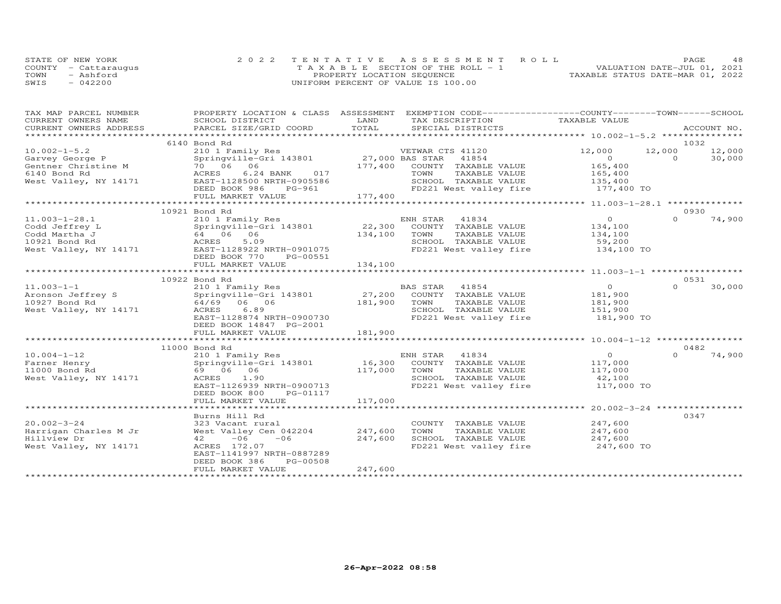|      | STATE OF NEW YORK    | 2022 TENTATIVE ASSESSMENT ROLL        | PAGE                             | 48 |
|------|----------------------|---------------------------------------|----------------------------------|----|
|      | COUNTY - Cattaraugus | T A X A B L E SECTION OF THE ROLL - 1 | VALUATION DATE-JUL 01, 2021      |    |
| TOWN | - Ashford            | PROPERTY LOCATION SEQUENCE            | TAXABLE STATUS DATE-MAR 01, 2022 |    |
| SWIS | 042200               | UNIFORM PERCENT OF VALUE IS 100.00    |                                  |    |

| TAX MAP PARCEL NUMBER                                                                                                                                                                                                          |                                                                                                           |              | PROPERTY LOCATION & CLASS ASSESSMENT EXEMPTION CODE-----------------COUNTY-------TOWN------SCHOOL |                    |          |             |
|--------------------------------------------------------------------------------------------------------------------------------------------------------------------------------------------------------------------------------|-----------------------------------------------------------------------------------------------------------|--------------|---------------------------------------------------------------------------------------------------|--------------------|----------|-------------|
| CURRENT OWNERS NAME                                                                                                                                                                                                            | SCHOOL DISTRICT                                                                                           | LAND         | TAX DESCRIPTION                                                                                   | TAXABLE VALUE      |          |             |
| .CURRENT OWNERS ADDRESS PARCEL SIZE/GRID COORD TOTAL SPECIAL DISTRICTS ACCOUNT NO ACCOUNT NO ARCOUNT NO ARE THE SERVER AND HER ASSESS THE SERVER SERVER AND HER SERVER AND HER SERVER AND HER SERVER AND HER SERVER AND HER SE |                                                                                                           |              |                                                                                                   |                    |          | ACCOUNT NO. |
|                                                                                                                                                                                                                                |                                                                                                           |              |                                                                                                   |                    |          |             |
|                                                                                                                                                                                                                                | 6140 Bond Rd                                                                                              |              |                                                                                                   |                    | 1032     |             |
| $10.002 - 1 - 5.2$                                                                                                                                                                                                             | 210 1 Family Res<br>Springville-Gri 143801 27,000 BAS STAR 41854<br>70 06 06 177,400 COUNTY TAXABLE VALUE |              |                                                                                                   | 12,000             | 12,000   | 12,000      |
| Garvey George P<br>Gentner Christine M<br>2110 Bond Pd<br>3110 Bond Pd<br>3124 Bond Pd                                                                                                                                         |                                                                                                           |              |                                                                                                   | $\overline{0}$     | $\Omega$ | 30,000      |
|                                                                                                                                                                                                                                |                                                                                                           |              |                                                                                                   | 165,400            |          |             |
|                                                                                                                                                                                                                                | 6.24 BANK 017                                                                                             |              | TAXABLE VALUE<br>TOWN                                                                             | 165,400            |          |             |
| West Valley, NY 14171 EAST-1128500 NRTH-0905586                                                                                                                                                                                |                                                                                                           |              | SCHOOL TAXABLE VALUE                                                                              | 135,400            |          |             |
|                                                                                                                                                                                                                                | DEED BOOK 986<br>PG-961                                                                                   |              | FD221 West valley fire 177,400 TO                                                                 |                    |          |             |
|                                                                                                                                                                                                                                | FULL MARKET VALUE                                                                                         | 177,400      |                                                                                                   |                    |          |             |
|                                                                                                                                                                                                                                |                                                                                                           |              |                                                                                                   |                    |          |             |
|                                                                                                                                                                                                                                | 10921 Bond Rd                                                                                             |              |                                                                                                   |                    | 0930     |             |
| $11.003 - 1 - 28.1$                                                                                                                                                                                                            |                                                                                                           |              |                                                                                                   | $\overline{O}$     | $\Omega$ | 74,900      |
| Codd Jeffrey L                                                                                                                                                                                                                 |                                                                                                           |              |                                                                                                   | 134,100            |          |             |
| Codd Martha J                                                                                                                                                                                                                  | $6\overline{4}$ 06 06<br>ACRES 5.09                                                                       | 134,100 TOWN | TAXABLE VALUE 134,100                                                                             |                    |          |             |
| 10921 Bond Rd                                                                                                                                                                                                                  | ACRES<br>5.09                                                                                             |              | SCHOOL TAXABLE VALUE                                                                              | 59,200             |          |             |
| West Valley, NY 14171 EAST-1128922 NRTH-0901075                                                                                                                                                                                |                                                                                                           |              | FD221 West valley fire 134,100 TO                                                                 |                    |          |             |
|                                                                                                                                                                                                                                | DEED BOOK 770<br>PG-00551                                                                                 |              |                                                                                                   |                    |          |             |
|                                                                                                                                                                                                                                | FULL MARKET VALUE                                                                                         | 134,100      |                                                                                                   |                    |          |             |
|                                                                                                                                                                                                                                |                                                                                                           |              |                                                                                                   |                    |          |             |
|                                                                                                                                                                                                                                | 10922 Bond Rd                                                                                             |              |                                                                                                   |                    | 0531     |             |
| $11.003 - 1 - 1$                                                                                                                                                                                                               |                                                                                                           |              |                                                                                                   | $\overline{O}$     | $\Omega$ | 30,000      |
| Aronson Jeffrey S                                                                                                                                                                                                              |                                                                                                           |              |                                                                                                   | 181,900            |          |             |
| 10927 Bond Rd                                                                                                                                                                                                                  | 64/69 06 06                                                                                               | 181,900      | TAXABLE VALUE<br>TOWN                                                                             |                    |          |             |
| West Valley, NY 14171                                                                                                                                                                                                          | 6.89<br>ACRES                                                                                             |              | SCHOOL TAXABLE VALUE                                                                              | 181,900<br>151,900 |          |             |
|                                                                                                                                                                                                                                | EAST-1128874 NRTH-0900730                                                                                 |              | FD221 West valley fire 181,900 TO                                                                 |                    |          |             |
|                                                                                                                                                                                                                                | DEED BOOK 14847 PG-2001                                                                                   |              |                                                                                                   |                    |          |             |
|                                                                                                                                                                                                                                | FULL MARKET VALUE                                                                                         | 181,900      |                                                                                                   |                    |          |             |
|                                                                                                                                                                                                                                |                                                                                                           |              |                                                                                                   |                    |          |             |
|                                                                                                                                                                                                                                | 11000 Bond Rd                                                                                             |              |                                                                                                   |                    | 0482     |             |
| $10.004 - 1 - 12$                                                                                                                                                                                                              | 210 1 Family Res                                                                                          |              | ENH STAR 41834                                                                                    | $\overline{O}$     | $\cap$   | 74,900      |
| Farner Henry                                                                                                                                                                                                                   | Springville-Gri 143801 16,300                                                                             |              | COUNTY TAXABLE VALUE                                                                              | 117,000            |          |             |
| 11000 Bond Rd                                                                                                                                                                                                                  | 69 06 06                                                                                                  | 117,000      | TAXABLE VALUE<br>TOWN                                                                             |                    |          |             |
| West Valley, NY 14171                                                                                                                                                                                                          | ACRES 1.90                                                                                                |              | SCHOOL TAXABLE VALUE                                                                              | 117,000<br>42,100  |          |             |
|                                                                                                                                                                                                                                | EAST-1126939 NRTH-0900713                                                                                 |              | FD221 West valley fire                                                                            | 117,000 TO         |          |             |
|                                                                                                                                                                                                                                | DEED BOOK 800<br>PG-01117                                                                                 |              |                                                                                                   |                    |          |             |
|                                                                                                                                                                                                                                | FULL MARKET VALUE                                                                                         | 117,000      |                                                                                                   |                    |          |             |
|                                                                                                                                                                                                                                |                                                                                                           |              |                                                                                                   |                    |          |             |
|                                                                                                                                                                                                                                | Burns Hill Rd                                                                                             |              |                                                                                                   |                    | 0347     |             |
| $20.002 - 3 - 24$                                                                                                                                                                                                              | 323 Vacant rural                                                                                          |              | COUNTY TAXABLE VALUE                                                                              | 247,600            |          |             |
| Harrigan Charles M Jr                                                                                                                                                                                                          | West Valley Cen 042204                                                                                    | 247,600      | TOWN<br>TAXABLE VALUE                                                                             | 247,600            |          |             |
| Hillview Dr                                                                                                                                                                                                                    | $-06$<br>42<br>$-06$                                                                                      | 247,600      | SCHOOL TAXABLE VALUE                                                                              | 247,600            |          |             |
| West Valley, NY 14171                                                                                                                                                                                                          | ACRES 172.07                                                                                              |              | FD221 West valley fire                                                                            | 247,600 TO         |          |             |
|                                                                                                                                                                                                                                | EAST-1141997 NRTH-0887289                                                                                 |              |                                                                                                   |                    |          |             |
|                                                                                                                                                                                                                                | DEED BOOK 386<br>PG-00508                                                                                 |              |                                                                                                   |                    |          |             |
|                                                                                                                                                                                                                                | FULL MARKET VALUE                                                                                         | 247,600      |                                                                                                   |                    |          |             |
|                                                                                                                                                                                                                                |                                                                                                           |              |                                                                                                   |                    |          |             |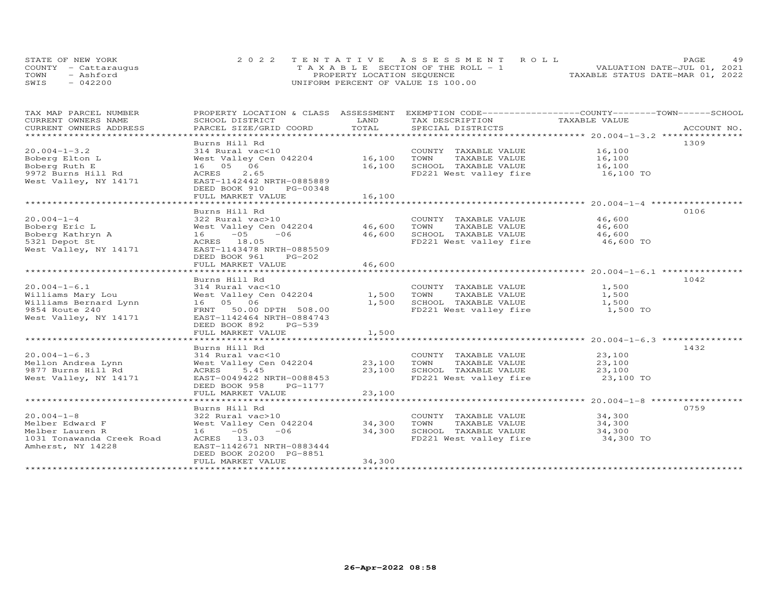|      | STATE OF NEW YORK    | 2022 TENTATIVE ASSESSMENT ROLL        | 49<br>PAGE.                      |
|------|----------------------|---------------------------------------|----------------------------------|
|      | COUNTY - Cattaraugus | T A X A B L E SECTION OF THE ROLL - 1 | VALUATION DATE-JUL 01, 2021      |
| TOWN | - Ashford            | PROPERTY LOCATION SEQUENCE            | TAXABLE STATUS DATE-MAR 01, 2022 |
| SWIS | $-042200$            | UNIFORM PERCENT OF VALUE IS 100.00    |                                  |

| TAX MAP PARCEL NUMBER<br>CURRENT OWNERS NAME<br>CURRENT OWNERS ADDRESS                                      | PROPERTY LOCATION & CLASS ASSESSMENT<br>SCHOOL DISTRICT<br>PARCEL SIZE/GRID COORD                                                                                                        | LAND<br>TOTAL                              | EXEMPTION CODE-----------------COUNTY-------TOWN------SCHOOL<br>TAX DESCRIPTION<br>SPECIAL DISTRICTS      | TAXABLE VALUE                           | ACCOUNT NO. |
|-------------------------------------------------------------------------------------------------------------|------------------------------------------------------------------------------------------------------------------------------------------------------------------------------------------|--------------------------------------------|-----------------------------------------------------------------------------------------------------------|-----------------------------------------|-------------|
| $20.004 - 1 - 3.2$<br>Boberg Elton L<br>Boberg Ruth E<br>9972 Burns Hill Rd<br>West Valley, NY 14171        | Burns Hill Rd<br>314 Rural vac<10<br>West Valley Cen 042204 16,100<br>16  05  06<br>ACRES<br>2.65<br>EAST-1142442 NRTH-0885889<br>DEED BOOK 910<br>PG-00348<br>FULL MARKET VALUE         | 16,100<br>16,100<br>********************** | COUNTY TAXABLE VALUE<br>TOWN<br>TAXABLE VALUE<br>SCHOOL TAXABLE VALUE<br>FD221 West valley fire           | 16,100<br>16,100<br>16,100<br>16,100 TO | 1309        |
| $20.004 - 1 - 4$<br>Boberg Eric L<br>Boberg Kathryn A<br>5321 Depot St<br>West Valley, NY 14171             | Burns Hill Rd<br>322 Rural vac>10<br>West Valley Cen 042204 46,600<br>$-05$<br>$-06$<br>16<br>ACRES 18.05<br>EAST-1143478 NRTH-0885509<br>DEED BOOK 961<br>$PG-202$<br>FULL MARKET VALUE | 46,600<br>46,600                           | COUNTY TAXABLE VALUE<br>TOWN<br>TAXABLE VALUE<br>SCHOOL TAXABLE VALUE<br>FD221 West valley fire           | 46,600<br>46,600<br>46,600<br>46,600 TO | 0106        |
| $20.004 - 1 - 6.1$<br>Williams Mary Lou<br>Williams Bernard Lynn<br>9854 Route 240<br>West Valley, NY 14171 | Burns Hill Rd<br>314 Rural vac<10<br>West Valley Cen 042204<br>16  05  06<br>FRNT 50.00 DPTH 508.00<br>EAST-1142464 NRTH-0884743<br>DEED BOOK 892<br>$PG-539$<br>FULL MARKET VALUE       | 1,500<br>1,500<br>1,500                    | COUNTY TAXABLE VALUE<br>TAXABLE VALUE<br>TOWN<br>SCHOOL TAXABLE VALUE<br>FD221 West valley fire           | 1,500<br>1,500<br>1,500<br>1,500 TO     | 1042        |
| $20.004 - 1 - 6.3$<br>Mellon Andrea Lynn<br>9877 Burns Hill Rd<br>West Valley, NY 14171                     | Burns Hill Rd<br>314 Rural vac<10<br>West Valley Cen 042204<br>5.45<br>ACRES<br>EAST-0049422 NRTH-0088453<br>DEED BOOK 958<br>PG-1177<br>FULL MARKET VALUE                               | 23,100<br>23,100<br>23,100                 | COUNTY TAXABLE VALUE<br>TOWN<br>TAXABLE VALUE<br>SCHOOL TAXABLE VALUE<br>FD221 West valley fire           | 23,100<br>23,100<br>23,100<br>23,100 TO | 1432        |
| $20.004 - 1 - 8$<br>Melber Edward F<br>Melber Lauren R<br>1031 Tonawanda Creek Road<br>Amherst, NY 14228    | Burns Hill Rd<br>322 Rural vac>10<br>West Valley Cen 042204<br>$16 - 05$<br>$-06$<br>ACRES 13.03<br>EAST-1142671 NRTH-0883444<br>DEED BOOK 20200 PG-8851<br>FULL MARKET VALUE            | 34,300<br>34,300<br>34,300                 | COUNTY TAXABLE VALUE<br>TOWN<br>TAXABLE VALUE<br>SCHOOL TAXABLE VALUE<br>FD221 West valley fire 34,300 TO | 34,300<br>34,300<br>34,300              | 0759        |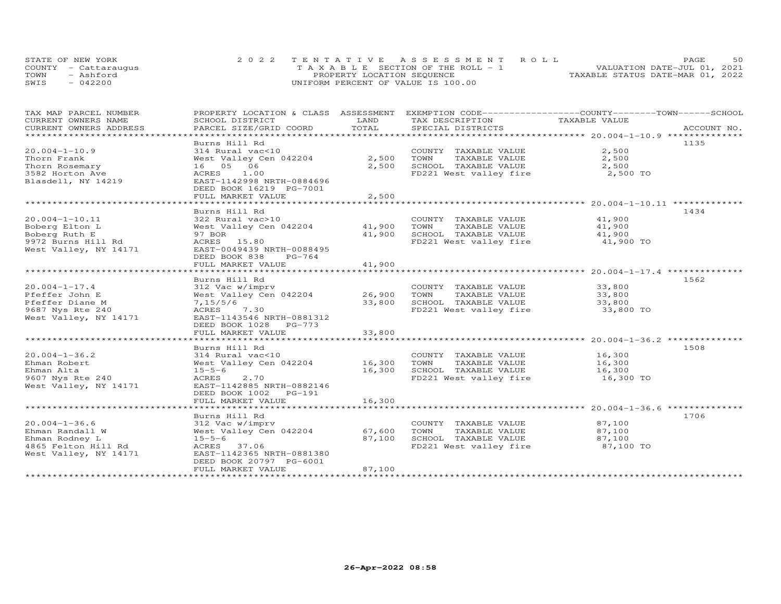|      | STATE OF NEW YORK    | 2022 TENTATIVE ASSESSMENT ROLL     | 50<br>PAGE.                      |
|------|----------------------|------------------------------------|----------------------------------|
|      | COUNTY - Cattarauqus | TAXABLE SECTION OF THE ROLL - 1    | VALUATION DATE-JUL 01, 2021      |
| TOWN | - Ashford            | PROPERTY LOCATION SEQUENCE         | TAXABLE STATUS DATE-MAR 01, 2022 |
| SWIS | $-042200$            | UNIFORM PERCENT OF VALUE IS 100.00 |                                  |

| TAX MAP PARCEL NUMBER          |                           |            | PROPERTY LOCATION & CLASS ASSESSMENT EXEMPTION CODE----------------COUNTY-------TOWN------SCHOOL |               |             |
|--------------------------------|---------------------------|------------|--------------------------------------------------------------------------------------------------|---------------|-------------|
| CURRENT OWNERS NAME            | SCHOOL DISTRICT           | LAND       | TAX DESCRIPTION                                                                                  | TAXABLE VALUE |             |
| CURRENT OWNERS ADDRESS         | PARCEL SIZE/GRID COORD    | TOTAL      | SPECIAL DISTRICTS                                                                                |               | ACCOUNT NO. |
| ****************************** |                           |            |                                                                                                  |               |             |
|                                | Burns Hill Rd             |            |                                                                                                  |               | 1135        |
| $20.004 - 1 - 10.9$            | 314 Rural vac<10          |            | COUNTY TAXABLE VALUE                                                                             | 2,500         |             |
| Thorn Frank                    | West Valley Cen 042204    | 2,500      | TOWN<br>TAXABLE VALUE                                                                            | 2,500         |             |
| Thorn Rosemary                 | 16 05 06                  | 2,500      | SCHOOL TAXABLE VALUE                                                                             | 2,500         |             |
| 3582 Horton Ave                | ACRES<br>1.00             |            | FD221 West valley fire                                                                           | 2,500 TO      |             |
| Blasdell, NY 14219             | EAST-1142998 NRTH-0884696 |            |                                                                                                  |               |             |
|                                | DEED BOOK 16219 PG-7001   |            |                                                                                                  |               |             |
|                                | FULL MARKET VALUE         | 2,500      |                                                                                                  |               |             |
|                                | ************************  | ********** |                                                                                                  |               |             |
|                                | Burns Hill Rd             |            |                                                                                                  |               | 1434        |
| $20.004 - 1 - 10.11$           | 322 Rural vac>10          |            | COUNTY TAXABLE VALUE                                                                             | 41,900        |             |
| Boberg Elton L                 | West Valley Cen 042204    | 41,900     | TOWN<br>TAXABLE VALUE                                                                            | 41,900        |             |
| Boberg Ruth E                  | 97 BOR                    | 41,900     | SCHOOL TAXABLE VALUE                                                                             | 41,900        |             |
| 9972 Burns Hill Rd             | ACRES 15.80               |            | FD221 West valley fire                                                                           | 41,900 TO     |             |
| West Valley, NY 14171          | EAST-0049439 NRTH-0088495 |            |                                                                                                  |               |             |
|                                | DEED BOOK 838<br>PG-764   |            |                                                                                                  |               |             |
|                                | FULL MARKET VALUE         | 41,900     |                                                                                                  |               |             |
|                                |                           |            |                                                                                                  |               |             |
|                                | Burns Hill Rd             |            |                                                                                                  |               | 1562        |
| $20.004 - 1 - 17.4$            | 312 Vac w/imprv           |            | COUNTY TAXABLE VALUE                                                                             | 33,800        |             |
| Pfeffer John E                 | West Valley Cen 042204    | 26,900     | TOWN<br>TAXABLE VALUE                                                                            | 33,800        |             |
| Pfeffer Diane M                | 7,15/5/6                  | 33,800     | SCHOOL TAXABLE VALUE                                                                             | 33,800        |             |
| 9687 Nys Rte 240               | ACRES 7.30                |            | FD221 West valley fire                                                                           | 33,800 TO     |             |
| West Valley, NY 14171          | EAST-1143546 NRTH-0881312 |            |                                                                                                  |               |             |
|                                | DEED BOOK 1028 PG-773     |            |                                                                                                  |               |             |
|                                | FULL MARKET VALUE         | 33,800     |                                                                                                  |               |             |
|                                |                           |            |                                                                                                  |               |             |
|                                | Burns Hill Rd             |            |                                                                                                  |               | 1508        |
| $20.004 - 1 - 36.2$            | 314 Rural vac<10          |            | COUNTY TAXABLE VALUE                                                                             | 16,300        |             |
| Ehman Robert                   | West Valley Cen 042204    | 16,300     | TOWN<br>TAXABLE VALUE                                                                            | 16,300        |             |
| Ehman Alta                     | $15 - 5 - 6$              | 16,300     | SCHOOL TAXABLE VALUE                                                                             | 16,300        |             |
| 9607 Nys Rte 240               | 2.70<br>ACRES             |            | FD221 West valley fire                                                                           | 16,300 TO     |             |
| West Valley, NY 14171          | EAST-1142885 NRTH-0882146 |            |                                                                                                  |               |             |
|                                | DEED BOOK 1002 PG-191     |            |                                                                                                  |               |             |
|                                | FULL MARKET VALUE         | 16,300     |                                                                                                  |               |             |
|                                |                           |            |                                                                                                  |               |             |
|                                | Burns Hill Rd             |            |                                                                                                  |               | 1706        |
| $20.004 - 1 - 36.6$            | 312 Vac w/imprv           |            | COUNTY TAXABLE VALUE                                                                             | 87,100        |             |
| Ehman Randall W                | West Valley Cen 042204    | 67,600     | TAXABLE VALUE<br>TOWN                                                                            | 87,100        |             |
| Ehman Rodney L                 | $15 - 5 - 6$              | 87,100     | SCHOOL TAXABLE VALUE                                                                             | 87,100        |             |
| 4865 Felton Hill Rd            | ACRES 37.06               |            | FD221 West valley fire                                                                           | 87,100 TO     |             |
| West Valley, NY 14171          | EAST-1142365 NRTH-0881380 |            |                                                                                                  |               |             |
|                                | DEED BOOK 20797 PG-6001   |            |                                                                                                  |               |             |
|                                | FULL MARKET VALUE         | 87,100     |                                                                                                  |               |             |
|                                |                           |            |                                                                                                  |               |             |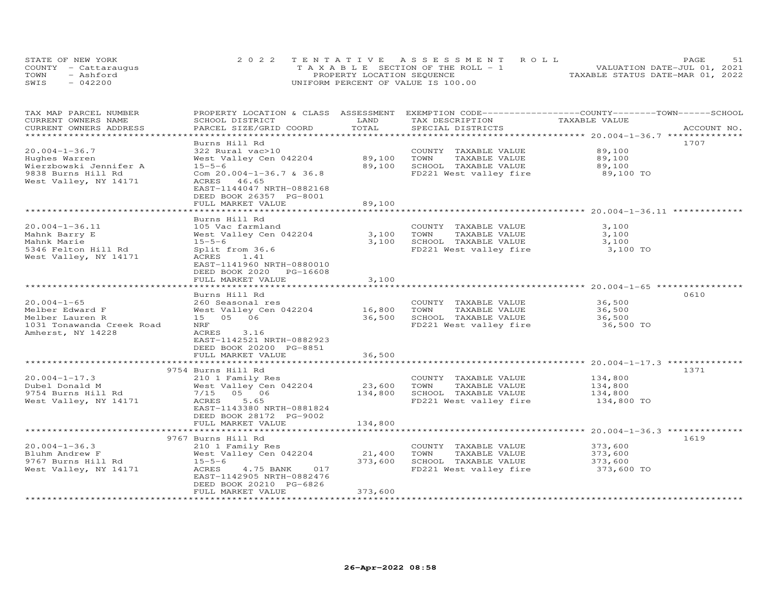| STATE OF NEW YORK    | 2022 TENTATIVE ASSESSMENT ROLL        | 51<br><b>PAGE</b>                |
|----------------------|---------------------------------------|----------------------------------|
| COUNTY - Cattaraugus | T A X A B L E SECTION OF THE ROLL - 1 | VALUATION DATE-JUL 01, 2021      |
| TOWN<br>- Ashford    | PROPERTY LOCATION SEQUENCE            | TAXABLE STATUS DATE-MAR 01, 2022 |
| $-042200$<br>SWIS    | UNIFORM PERCENT OF VALUE IS 100.00    |                                  |

| TAX MAP PARCEL NUMBER<br>CURRENT OWNERS NAME | PROPERTY LOCATION & CLASS ASSESSMENT<br>SCHOOL DISTRICT | LAND    | EXEMPTION CODE-----------------COUNTY-------TOWN------SCHOOL<br>TAX DESCRIPTION | TAXABLE VALUE                                     |             |
|----------------------------------------------|---------------------------------------------------------|---------|---------------------------------------------------------------------------------|---------------------------------------------------|-------------|
| CURRENT OWNERS ADDRESS                       | PARCEL SIZE/GRID COORD                                  | TOTAL   | SPECIAL DISTRICTS                                                               |                                                   | ACCOUNT NO. |
|                                              | Burns Hill Rd                                           |         |                                                                                 |                                                   | 1707        |
| $20.004 - 1 - 36.7$                          | 322 Rural vac>10                                        |         | COUNTY TAXABLE VALUE                                                            | 89,100                                            |             |
| Hughes Warren                                | West Valley Cen 042204                                  | 89,100  | TOWN<br>TAXABLE VALUE                                                           | 89,100                                            |             |
| Wierzbowski Jennifer A                       | $15 - 5 - 6$                                            | 89,100  | SCHOOL TAXABLE VALUE                                                            |                                                   |             |
| 9838 Burns Hill Rd                           | Com $20.004 - 1 - 36.7$ & $36.8$                        |         | FD221 West valley fire                                                          | 89,100<br>89,100 TO                               |             |
| West Valley, NY 14171                        | ACRES 46.65                                             |         |                                                                                 |                                                   |             |
|                                              | EAST-1144047 NRTH-0882168                               |         |                                                                                 |                                                   |             |
|                                              | DEED BOOK 26357 PG-8001                                 |         |                                                                                 |                                                   |             |
|                                              | FULL MARKET VALUE                                       | 89,100  |                                                                                 |                                                   |             |
|                                              |                                                         |         |                                                                                 |                                                   |             |
|                                              | Burns Hill Rd                                           |         |                                                                                 |                                                   |             |
| $20.004 - 1 - 36.11$                         | 105 Vac farmland                                        |         | COUNTY TAXABLE VALUE                                                            | 3,100                                             |             |
| Mahnk Barry E                                | West Valley Cen 042204                                  | 3,100   | TOWN<br>TAXABLE VALUE                                                           | 3,100                                             |             |
| Mahnk Marie                                  | $15 - 5 - 6$                                            | 3,100   | SCHOOL TAXABLE VALUE                                                            | 3,100                                             |             |
| 5346 Felton Hill Rd                          | Split from 36.6                                         |         | FD221 West valley fire                                                          | 3,100 TO                                          |             |
| West Valley, NY 14171                        | ACRES<br>1.41                                           |         |                                                                                 |                                                   |             |
|                                              | EAST-1141960 NRTH-0880010                               |         |                                                                                 |                                                   |             |
|                                              | DEED BOOK 2020 PG-16608                                 |         |                                                                                 |                                                   |             |
|                                              | FULL MARKET VALUE                                       | 3,100   |                                                                                 |                                                   |             |
|                                              |                                                         |         |                                                                                 |                                                   |             |
|                                              | Burns Hill Rd                                           |         |                                                                                 |                                                   | 0610        |
| $20.004 - 1 - 65$                            | 260 Seasonal res                                        |         | COUNTY TAXABLE VALUE                                                            | 36,500                                            |             |
| Melber Edward F                              | West Valley Cen 042204                                  | 16,800  | TOWN<br>TAXABLE VALUE                                                           | 36,500                                            |             |
| Melber Lauren R                              | 15 05 06                                                | 36,500  | SCHOOL TAXABLE VALUE                                                            | 36,500                                            |             |
| 1031 Tonawanda Creek Road                    | NRF                                                     |         | FD221 West valley fire                                                          | 36,500 TO                                         |             |
| Amherst, NY 14228                            | ACRES<br>3.16                                           |         |                                                                                 |                                                   |             |
|                                              | EAST-1142521 NRTH-0882923                               |         |                                                                                 |                                                   |             |
|                                              | DEED BOOK 20200 PG-8851                                 |         |                                                                                 |                                                   |             |
|                                              | FULL MARKET VALUE                                       | 36,500  |                                                                                 |                                                   |             |
|                                              |                                                         |         |                                                                                 |                                                   |             |
|                                              | 9754 Burns Hill Rd                                      |         |                                                                                 |                                                   | 1371        |
| $20.004 - 1 - 17.3$                          | 210 1 Family Res                                        |         | COUNTY TAXABLE VALUE                                                            | 134,800                                           |             |
| Dubel Donald M                               | West Valley Cen 042204                                  | 23,600  | TOWN<br>TAXABLE VALUE                                                           | 134,800                                           |             |
| 9754 Burns Hill Rd                           | 7/15 05 06                                              | 134,800 | SCHOOL TAXABLE VALUE                                                            | 134,800                                           |             |
| West Valley, NY 14171                        | ACRES<br>5.65                                           |         | FD221 West valley fire                                                          | 134,800 TO                                        |             |
|                                              | EAST-1143380 NRTH-0881824                               |         |                                                                                 |                                                   |             |
|                                              | DEED BOOK 28172 PG-9002                                 |         |                                                                                 |                                                   |             |
|                                              | FULL MARKET VALUE                                       | 134,800 |                                                                                 |                                                   |             |
|                                              | **************************                              |         |                                                                                 | ******************* 20.004-1-36.3 *************** |             |
|                                              | 9767 Burns Hill Rd                                      |         |                                                                                 |                                                   | 1619        |
| $20.004 - 1 - 36.3$                          | 210 1 Family Res                                        |         | COUNTY TAXABLE VALUE                                                            | 373,600                                           |             |
| Bluhm Andrew F                               | West Valley Cen 042204                                  | 21,400  | TOWN<br>TAXABLE VALUE                                                           | 373,600                                           |             |
| 9767 Burns Hill Rd                           | $15 - 5 - 6$                                            | 373,600 | SCHOOL TAXABLE VALUE                                                            | 373,600                                           |             |
| West Valley, NY 14171                        | ACRES<br>4.75 BANK<br>017                               |         | FD221 West valley fire                                                          | 373,600 TO                                        |             |
|                                              | EAST-1142905 NRTH-0882476                               |         |                                                                                 |                                                   |             |
|                                              | DEED BOOK 20210 PG-6826                                 |         |                                                                                 |                                                   |             |
|                                              | FULL MARKET VALUE                                       | 373,600 |                                                                                 |                                                   |             |
|                                              |                                                         |         |                                                                                 |                                                   |             |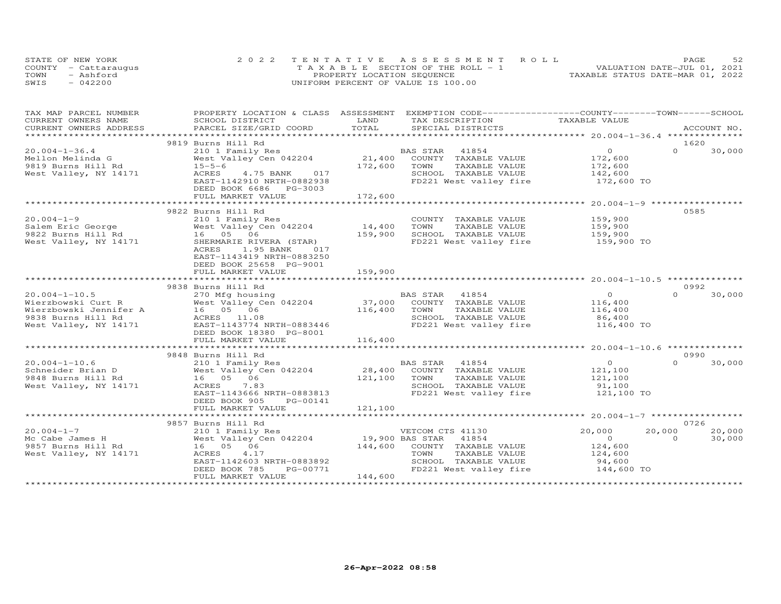|      | STATE OF NEW YORK    | 2022 TENTATIVE ASSESSMENT ROLL        | 52<br>PAGE                       |
|------|----------------------|---------------------------------------|----------------------------------|
|      | COUNTY - Cattaraugus | T A X A B L E SECTION OF THE ROLL - 1 | VALUATION DATE-JUL 01, 2021      |
| TOWN | - Ashford            | PROPERTY LOCATION SEQUENCE            | TAXABLE STATUS DATE-MAR 01, 2022 |
| SWIS | $-042200$            | UNIFORM PERCENT OF VALUE IS 100.00    |                                  |

| TAX MAP PARCEL NUMBER<br>CURRENT OWNERS NAME | PROPERTY LOCATION & CLASS ASSESSMENT EXEMPTION CODE----------------COUNTY-------TOWN------SCHOOL<br>SCHOOL DISTRICT                                                                                                                  | LAND    | TAX DESCRIPTION                                                                                                   | TAXABLE VALUE  |          |             |
|----------------------------------------------|--------------------------------------------------------------------------------------------------------------------------------------------------------------------------------------------------------------------------------------|---------|-------------------------------------------------------------------------------------------------------------------|----------------|----------|-------------|
| CURRENT OWNERS ADDRESS                       | PARCEL SIZE/GRID COORD                                                                                                                                                                                                               | TOTAL   | SPECIAL DISTRICTS                                                                                                 |                |          | ACCOUNT NO. |
|                                              |                                                                                                                                                                                                                                      |         |                                                                                                                   |                |          |             |
|                                              | 9819 Burns Hill Rd                                                                                                                                                                                                                   |         |                                                                                                                   |                | 1620     |             |
| $20.004 - 1 - 36.4$                          |                                                                                                                                                                                                                                      |         | 41854<br>TAXABLE VALUE 172,600<br>TAXABLE VALUE 172,600<br>TAXABLE VALUE 142,600                                  |                | $\Omega$ | 30,000      |
| Mellon Melinda G                             |                                                                                                                                                                                                                                      |         |                                                                                                                   |                |          |             |
| 9819 Burns Hill Rd 15-5-6                    |                                                                                                                                                                                                                                      |         |                                                                                                                   |                |          |             |
| West Valley, NY 14171                        | ACRES 4.75 BANK 017                                                                                                                                                                                                                  |         | SCHOOL TAXABLE VALUE                                                                                              |                |          |             |
|                                              | EAST-1142910 NRTH-0882938                                                                                                                                                                                                            |         | FD221 West valley fire 172,600 TO                                                                                 |                |          |             |
|                                              | DEED BOOK 6686 PG-3003                                                                                                                                                                                                               |         |                                                                                                                   |                |          |             |
|                                              | FULL MARKET VALUE                                                                                                                                                                                                                    | 172,600 |                                                                                                                   |                |          |             |
|                                              |                                                                                                                                                                                                                                      |         |                                                                                                                   |                |          |             |
|                                              | 9822 Burns Hill Rd                                                                                                                                                                                                                   |         |                                                                                                                   |                | 0585     |             |
| $20.004 - 1 - 9$                             | 210 1 Family Res                                                                                                                                                                                                                     |         | COUNTY TAXABLE VALUE 159,900                                                                                      |                |          |             |
|                                              |                                                                                                                                                                                                                                      |         | TAXABLE VALUE<br>TAXABLE VALUE 159,900<br>TIMBER VALUE 159,900<br>TOWN                                            |                |          |             |
|                                              |                                                                                                                                                                                                                                      |         | SCHOOL TAXABLE VALUE                                                                                              |                |          |             |
|                                              | CONTROLL OF THE CONTROLL OF THE SALE OF THE SALE OF THE SALE OF THE SALE OF THE SALE OF THE SALE OF THE SALE O<br>SALE BUT THE SALE OF THE SALE OF THE SALE OF THE SALE OF THE SHERMARIE RIVERA (STAR)<br>SHERMARIE RIVERA (STAR)    |         | FD221 West valley fire 159,900 TO                                                                                 |                |          |             |
|                                              | ACRES<br>1.95 BANK 017                                                                                                                                                                                                               |         |                                                                                                                   |                |          |             |
|                                              | EAST-1143419 NRTH-0883250                                                                                                                                                                                                            |         |                                                                                                                   |                |          |             |
|                                              | DEED BOOK 25658 PG-9001                                                                                                                                                                                                              |         |                                                                                                                   |                |          |             |
|                                              | FULL MARKET VALUE                                                                                                                                                                                                                    | 159,900 |                                                                                                                   |                |          |             |
|                                              |                                                                                                                                                                                                                                      |         |                                                                                                                   |                |          |             |
|                                              |                                                                                                                                                                                                                                      |         |                                                                                                                   |                | 0992     |             |
| $20.004 - 1 - 10.5$                          | 9838 Burns Hill Rd<br>$270$ Mfg housing                                                                                                                                                                                              |         | BAS STAR 41854                                                                                                    | $\overline{O}$ | $\Omega$ | 30,000      |
|                                              |                                                                                                                                                                                                                                      |         |                                                                                                                   |                |          |             |
|                                              |                                                                                                                                                                                                                                      |         |                                                                                                                   |                |          |             |
|                                              |                                                                                                                                                                                                                                      |         |                                                                                                                   |                |          |             |
|                                              |                                                                                                                                                                                                                                      |         |                                                                                                                   |                |          |             |
|                                              | Verzbowski Curt R Missing Machine Mess (New York)<br>Werzbowski Curt R Missing Machine Mess (New York)<br>Missing Machine Machine Machine Machine Machine Machine Machine Machine Machine Machine Machine Machine Machine<br>Mest Va |         | FD221 West valley fire 116,400 TO                                                                                 |                |          |             |
|                                              |                                                                                                                                                                                                                                      |         |                                                                                                                   |                |          |             |
|                                              | FULL MARKET VALUE                                                                                                                                                                                                                    | 116,400 |                                                                                                                   |                |          |             |
|                                              |                                                                                                                                                                                                                                      |         |                                                                                                                   |                |          |             |
|                                              | 9848 Burns Hill Rd                                                                                                                                                                                                                   |         |                                                                                                                   |                | 0990     |             |
|                                              |                                                                                                                                                                                                                                      |         |                                                                                                                   |                | $\Omega$ | 30,000      |
|                                              |                                                                                                                                                                                                                                      |         | $\begin{tabular}{cc} 41854 & 0 \\ \text{TAXABLE VALUE} & 121,100 \\ \text{TAXABLE VALUE} & 121,100 \end{tabular}$ |                |          |             |
|                                              |                                                                                                                                                                                                                                      |         |                                                                                                                   |                |          |             |
| West Valley, NY 14171 ACRES                  | 7.83                                                                                                                                                                                                                                 |         | SCHOOL TAXABLE VALUE 91,100<br>FD221 West valley fire 121,100 TO                                                  |                |          |             |
|                                              | EAST-1143666 NRTH-0883813                                                                                                                                                                                                            |         |                                                                                                                   |                |          |             |
|                                              | DEED BOOK 905<br>PG-00141                                                                                                                                                                                                            |         |                                                                                                                   |                |          |             |
|                                              | FULL MARKET VALUE                                                                                                                                                                                                                    | 121,100 |                                                                                                                   |                |          |             |
|                                              |                                                                                                                                                                                                                                      |         |                                                                                                                   |                |          |             |
|                                              |                                                                                                                                                                                                                                      |         |                                                                                                                   |                | 0726     |             |
|                                              |                                                                                                                                                                                                                                      |         | VETCOM CTS 41130                                                                                                  | 20,000         | 20,000   | 20,000      |
|                                              |                                                                                                                                                                                                                                      |         |                                                                                                                   | $\overline{0}$ | $\Omega$ | 30,000      |
|                                              |                                                                                                                                                                                                                                      |         | 144,600 COUNTY TAXABLE VALUE<br>TAXABLE VALUE 124,600<br>TAXABLE VALUE 124,600                                    |                |          |             |
|                                              |                                                                                                                                                                                                                                      |         |                                                                                                                   |                |          |             |
|                                              | ACRES 4.1/<br>EAST-1142603 NRTH-0883892                                                                                                                                                                                              |         |                                                                                                                   |                |          |             |
|                                              | DEED BOOK 785<br>PG-00771                                                                                                                                                                                                            |         |                                                                                                                   |                |          |             |
|                                              | FULL MARKET VALUE                                                                                                                                                                                                                    | 144,600 |                                                                                                                   |                |          |             |
|                                              |                                                                                                                                                                                                                                      |         |                                                                                                                   |                |          |             |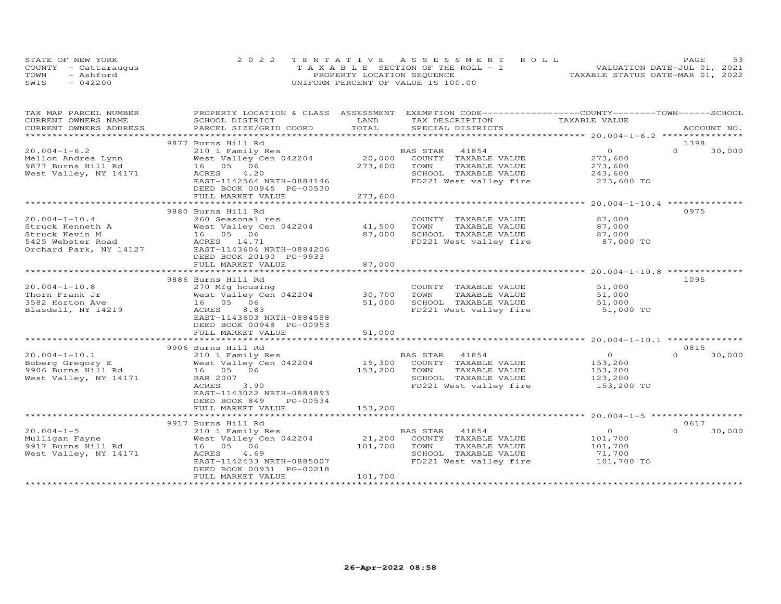|      | STATE OF NEW YORK    | 2022 TENTATIVE ASSESSMENT ROLL        | PAGE                             |
|------|----------------------|---------------------------------------|----------------------------------|
|      | COUNTY - Cattaraugus | T A X A B L E SECTION OF THE ROLL - 1 | VALUATION DATE-JUL 01, 2021      |
| TOWN | - Ashford            | PROPERTY LOCATION SEQUENCE            | TAXABLE STATUS DATE-MAR 01, 2022 |
| SWIS | $-042200$            | UNIFORM PERCENT OF VALUE IS 100.00    |                                  |

| TAX MAP PARCEL NUMBER<br>CURRENT OWNERS NAME | PROPERTY LOCATION & CLASS ASSESSMENT<br>SCHOOL DISTRICT | LAND                      | EXEMPTION CODE-----------------COUNTY-------TOWN------SCHOOL<br>TAX DESCRIPTION | TAXABLE VALUE  |                    |
|----------------------------------------------|---------------------------------------------------------|---------------------------|---------------------------------------------------------------------------------|----------------|--------------------|
| CURRENT OWNERS ADDRESS                       | PARCEL SIZE/GRID COORD                                  | TOTAL                     | SPECIAL DISTRICTS                                                               |                | ACCOUNT NO.        |
| ******************                           |                                                         | ************************* |                                                                                 |                |                    |
|                                              | 9877 Burns Hill Rd                                      |                           |                                                                                 |                | 1398               |
| $20.004 - 1 - 6.2$                           | 210 1 Family Res                                        |                           | BAS STAR<br>41854                                                               | $\overline{O}$ | $\Omega$<br>30,000 |
| Mellon Andrea Lynn                           | West Valley Cen 042204                                  | 20,000                    | COUNTY TAXABLE VALUE                                                            | 273,600        |                    |
| 9877 Burns Hill Rd                           | 16  05  06                                              | 273,600                   | TAXABLE VALUE<br>TOWN                                                           | 273,600        |                    |
| West Valley, NY 14171                        | 4.20<br>ACRES                                           |                           | SCHOOL TAXABLE VALUE                                                            | 243,600        |                    |
|                                              | EAST-1142564 NRTH-0884146                               |                           | FD221 West valley fire                                                          | 273,600 TO     |                    |
|                                              | DEED BOOK 00945 PG-00530                                |                           |                                                                                 |                |                    |
|                                              | FULL MARKET VALUE                                       | 273,600                   |                                                                                 |                |                    |
|                                              | ****************************                            | *******************       |                                                                                 |                |                    |
|                                              | 9880 Burns Hill Rd                                      |                           |                                                                                 |                | 0975               |
| $20.004 - 1 - 10.4$                          | 260 Seasonal res                                        |                           | COUNTY TAXABLE VALUE                                                            | 87,000         |                    |
| Struck Kenneth A                             | West Valley Cen 042204                                  | 41,500                    | TAXABLE VALUE<br>TOWN                                                           | 87,000         |                    |
| Struck Kevin M                               | 16 05 06                                                | 87,000                    | SCHOOL TAXABLE VALUE                                                            | 87,000         |                    |
| 5425 Webster Road                            | ACRES 14.71                                             |                           | FD221 West valley fire                                                          | 87,000 TO      |                    |
| Orchard Park, NY 14127                       | EAST-1143604 NRTH-0884206                               |                           |                                                                                 |                |                    |
|                                              | DEED BOOK 20190 PG-9933                                 |                           |                                                                                 |                |                    |
|                                              | FULL MARKET VALUE                                       | 87,000                    |                                                                                 |                |                    |
|                                              |                                                         |                           |                                                                                 |                |                    |
|                                              | 9886 Burns Hill Rd                                      |                           |                                                                                 |                | 1095               |
| $20.004 - 1 - 10.8$                          | 270 Mfg housing                                         |                           | COUNTY TAXABLE VALUE                                                            | 51,000         |                    |
| Thorn Frank Jr                               | West Valley Cen 042204                                  | 30,700                    | TOWN<br>TAXABLE VALUE                                                           | 51,000         |                    |
| 3582 Horton Ave                              | 16  05  06                                              | 51,000                    | SCHOOL TAXABLE VALUE                                                            | 51,000         |                    |
| Blasdell, NY 14219                           | ACRES<br>8.83                                           |                           | FD221 West valley fire                                                          | 51,000 TO      |                    |
|                                              | EAST-1143603 NRTH-0884588                               |                           |                                                                                 |                |                    |
|                                              | DEED BOOK 00948 PG-00953                                |                           |                                                                                 |                |                    |
|                                              | FULL MARKET VALUE                                       | 51,000                    |                                                                                 |                |                    |
|                                              |                                                         |                           |                                                                                 |                |                    |
|                                              | 9906 Burns Hill Rd                                      |                           |                                                                                 |                | 0815               |
| $20.004 - 1 - 10.1$                          | 210 1 Family Res                                        |                           | BAS STAR 41854                                                                  | $\Omega$       | $\Omega$<br>30,000 |
| Boberg Gregory E                             | West Valley Cen 042204                                  | 19,300                    | COUNTY TAXABLE VALUE                                                            | 153,200        |                    |
| 9906 Burns Hill Rd                           | 16  05  06                                              | 153,200                   | TOWN<br>TAXABLE VALUE                                                           | 153,200        |                    |
| West Valley, NY 14171                        | BAR 2007                                                |                           | SCHOOL TAXABLE VALUE                                                            | 123,200        |                    |
|                                              | ACRES<br>3.90                                           |                           | FD221 West valley fire                                                          | 153,200 TO     |                    |
|                                              | EAST-1143022 NRTH-0884893                               |                           |                                                                                 |                |                    |
|                                              | DEED BOOK 849<br>PG-00534                               |                           |                                                                                 |                |                    |
|                                              | FULL MARKET VALUE                                       | 153,200                   |                                                                                 |                |                    |
|                                              |                                                         |                           |                                                                                 |                |                    |
|                                              | 9917 Burns Hill Rd                                      |                           |                                                                                 |                | 0617               |
| $20.004 - 1 - 5$                             | 210 1 Family Res                                        |                           | BAS STAR<br>41854                                                               | $\overline{O}$ | $\Omega$<br>30,000 |
| Mulligan Fayne                               | West Valley Cen 042204                                  | 21,200                    | COUNTY TAXABLE VALUE                                                            | 101,700        |                    |
| 9917 Burns Hill Rd                           | 16  05  06                                              | 101,700                   | TOWN<br>TAXABLE VALUE                                                           | 101,700        |                    |
| West Valley, NY 14171                        | ACRES<br>4.69                                           |                           | SCHOOL TAXABLE VALUE                                                            | 71,700         |                    |
|                                              | EAST-1142433 NRTH-0885007                               |                           | FD221 West valley fire                                                          | 101,700 TO     |                    |
|                                              | DEED BOOK 00931 PG-00218                                |                           |                                                                                 |                |                    |
|                                              | FULL MARKET VALUE                                       | 101,700                   |                                                                                 |                |                    |
|                                              |                                                         |                           |                                                                                 |                |                    |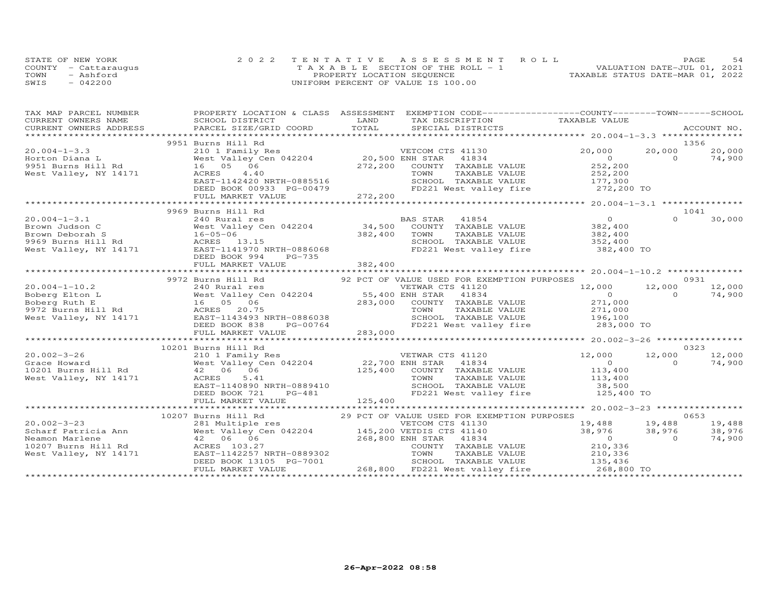|      | STATE OF NEW YORK    | 2022 TENTATIVE ASSESSMENT ROLL        | .54<br>PAGE                      |
|------|----------------------|---------------------------------------|----------------------------------|
|      | COUNTY - Cattaraugus | T A X A B L E SECTION OF THE ROLL - 1 | VALUATION DATE-JUL 01, 2021      |
| TOWN | - Ashford            | PROPERTY LOCATION SEQUENCE            | TAXABLE STATUS DATE-MAR 01, 2022 |
| SWIS | $-042200$            | UNIFORM PERCENT OF VALUE IS 100.00    |                                  |

| TAX MAP PARCEL NUMBER                                                                                                                                                                                                                                                                                                                                                                        | PROPERTY LOCATION & CLASS ASSESSMENT EXEMPTION CODE-----------------COUNTY-------TOWN------SCHOOL |                                                                                                                                                                        |                            |          |        |
|----------------------------------------------------------------------------------------------------------------------------------------------------------------------------------------------------------------------------------------------------------------------------------------------------------------------------------------------------------------------------------------------|---------------------------------------------------------------------------------------------------|------------------------------------------------------------------------------------------------------------------------------------------------------------------------|----------------------------|----------|--------|
|                                                                                                                                                                                                                                                                                                                                                                                              |                                                                                                   |                                                                                                                                                                        |                            |          |        |
|                                                                                                                                                                                                                                                                                                                                                                                              |                                                                                                   |                                                                                                                                                                        |                            |          |        |
|                                                                                                                                                                                                                                                                                                                                                                                              |                                                                                                   |                                                                                                                                                                        |                            |          |        |
|                                                                                                                                                                                                                                                                                                                                                                                              | 9951 Burns Hill Rd                                                                                |                                                                                                                                                                        |                            | 1356     |        |
|                                                                                                                                                                                                                                                                                                                                                                                              |                                                                                                   |                                                                                                                                                                        |                            |          |        |
|                                                                                                                                                                                                                                                                                                                                                                                              |                                                                                                   |                                                                                                                                                                        |                            |          |        |
|                                                                                                                                                                                                                                                                                                                                                                                              |                                                                                                   |                                                                                                                                                                        |                            |          |        |
|                                                                                                                                                                                                                                                                                                                                                                                              |                                                                                                   |                                                                                                                                                                        |                            |          |        |
|                                                                                                                                                                                                                                                                                                                                                                                              |                                                                                                   |                                                                                                                                                                        |                            |          |        |
|                                                                                                                                                                                                                                                                                                                                                                                              |                                                                                                   |                                                                                                                                                                        |                            |          |        |
| $\begin{array}{lcccc} 20.004-1-3.3 & 9951 & \text{Burns H11 Rd} & 20.500 & \text{Z0,000} & 20,000 \\ & & 20.000 & 20.000 & 20.000 & 20.000 \\ \text{Horton Diana L} & & 16 & 05 & 06 & 4.40 & 20.500 & \text{ENDH STAR} & 41834 & 20.222 \\ \text{West Valley, NY 14171} & & 16 & 16 & 05 & 06 & 20.000 \\ \text{West Valley, NY 14171} & & 1$                                               |                                                                                                   |                                                                                                                                                                        |                            |          |        |
|                                                                                                                                                                                                                                                                                                                                                                                              | 9969 Burns Hill Rd                                                                                |                                                                                                                                                                        |                            | 1041     |        |
| $20.004 - 1 - 3.1$                                                                                                                                                                                                                                                                                                                                                                           |                                                                                                   |                                                                                                                                                                        |                            |          | 30,000 |
|                                                                                                                                                                                                                                                                                                                                                                                              |                                                                                                   |                                                                                                                                                                        |                            |          |        |
|                                                                                                                                                                                                                                                                                                                                                                                              |                                                                                                   |                                                                                                                                                                        |                            |          |        |
|                                                                                                                                                                                                                                                                                                                                                                                              |                                                                                                   | 240 Rural res<br>West Valley Cen 042204 34,500 COUNTY TAXABLE VALUE 382,400<br>16-05-06 382,400 70WN TAXABLE VALUE 382,400<br>ACRES 13.15 SCHOOL TAXABLE VALUE 352,400 |                            |          |        |
|                                                                                                                                                                                                                                                                                                                                                                                              |                                                                                                   |                                                                                                                                                                        |                            |          |        |
|                                                                                                                                                                                                                                                                                                                                                                                              |                                                                                                   |                                                                                                                                                                        |                            |          |        |
|                                                                                                                                                                                                                                                                                                                                                                                              |                                                                                                   |                                                                                                                                                                        |                            |          |        |
| $\begin{tabular}{lllllllllllll} 20.004-1-3.1 & 240 \; \text{Rural res} & \text{BAS STAR} & 41854 & 0 & 0 & 30,000 \\ \text{Brown Judson C} & \text{West value} & 34,500 & \text{COUNTY} & \text{TAXABLE VALUE} & 382,400 & 0 & 30,000 \\ \text{Brown Deborah S} & 16-05-06 & 34,500 & \text{COUNTY} & \text{TAXABLE VALUE} & 382,400 \\ \text{Rosewn Deborah S} & 16-05-06 & 382,400 & 382,$ |                                                                                                   |                                                                                                                                                                        |                            |          |        |
|                                                                                                                                                                                                                                                                                                                                                                                              | 9972 Burns Hill Rd                                                                                | 92 PCT OF VALUE USED FOR EXEMPTION PURPOSES                                                                                                                            |                            |          | 0931   |
|                                                                                                                                                                                                                                                                                                                                                                                              |                                                                                                   |                                                                                                                                                                        |                            |          |        |
|                                                                                                                                                                                                                                                                                                                                                                                              |                                                                                                   |                                                                                                                                                                        |                            |          |        |
|                                                                                                                                                                                                                                                                                                                                                                                              |                                                                                                   |                                                                                                                                                                        |                            |          |        |
|                                                                                                                                                                                                                                                                                                                                                                                              |                                                                                                   |                                                                                                                                                                        |                            |          |        |
|                                                                                                                                                                                                                                                                                                                                                                                              |                                                                                                   |                                                                                                                                                                        |                            |          |        |
|                                                                                                                                                                                                                                                                                                                                                                                              |                                                                                                   |                                                                                                                                                                        |                            |          |        |
|                                                                                                                                                                                                                                                                                                                                                                                              |                                                                                                   |                                                                                                                                                                        |                            |          |        |
| $\begin{array}{cccccccc} 20.004-1-10.2 & 240 \; \text{Rural res} & 55,400 \; \text{EMAR CTS} & 41120 & 12,000 & 12,000 & 12,000 & 12,000 & 12,000 & 12,000 & 12,000 & 12,000 & 12,000 & 12,000 & 12,000 & 12,000 & 12,000 & 12,000 & 12,000 & 12,000 & 12,000 & 12,000 & 12,000 & 12,00$                                                                                                     |                                                                                                   |                                                                                                                                                                        |                            |          |        |
|                                                                                                                                                                                                                                                                                                                                                                                              | 10201 Burns Hill Rd                                                                               |                                                                                                                                                                        |                            |          | 0323   |
|                                                                                                                                                                                                                                                                                                                                                                                              |                                                                                                   |                                                                                                                                                                        | $12,000$ $12,000$ $12,000$ |          |        |
|                                                                                                                                                                                                                                                                                                                                                                                              |                                                                                                   |                                                                                                                                                                        |                            | $\sim$ 0 | 74,900 |
|                                                                                                                                                                                                                                                                                                                                                                                              |                                                                                                   |                                                                                                                                                                        |                            |          |        |
|                                                                                                                                                                                                                                                                                                                                                                                              |                                                                                                   |                                                                                                                                                                        |                            |          |        |
|                                                                                                                                                                                                                                                                                                                                                                                              |                                                                                                   | SCHOOL TAXABLE VALUE<br>FD221 West valley fire the 125,400 TO                                                                                                          |                            |          |        |
| 10201 Burns Hill Kq<br>210 1 Family Res<br>West Valley, NY 14171 (Research Material Control of Material Control of Material Control of Material Control of Material Control of Material Control of Material Control of Material Co                                                                                                                                                           |                                                                                                   |                                                                                                                                                                        |                            |          |        |
|                                                                                                                                                                                                                                                                                                                                                                                              |                                                                                                   |                                                                                                                                                                        |                            |          |        |
|                                                                                                                                                                                                                                                                                                                                                                                              |                                                                                                   |                                                                                                                                                                        |                            |          |        |
|                                                                                                                                                                                                                                                                                                                                                                                              |                                                                                                   |                                                                                                                                                                        |                            |          |        |
|                                                                                                                                                                                                                                                                                                                                                                                              |                                                                                                   |                                                                                                                                                                        |                            |          |        |
|                                                                                                                                                                                                                                                                                                                                                                                              |                                                                                                   |                                                                                                                                                                        |                            |          |        |
|                                                                                                                                                                                                                                                                                                                                                                                              |                                                                                                   |                                                                                                                                                                        |                            |          |        |
|                                                                                                                                                                                                                                                                                                                                                                                              |                                                                                                   |                                                                                                                                                                        |                            |          |        |
|                                                                                                                                                                                                                                                                                                                                                                                              |                                                                                                   |                                                                                                                                                                        |                            |          |        |
| 10207 Burns Hill Rd<br>20.002-3-23 10002-3-23 10002-3-23 10002-3-23 10002-3-23<br>20.002-3-23 10002-3-23 10002-3-23 10002-3-23 10002-3-23 10002-3-23 10002-3-23 10002-3-23 10002-3-23 281 Multiple res<br>Neamon Marlene (42 06 06 1                                                                                                                                                         |                                                                                                   |                                                                                                                                                                        |                            |          |        |
|                                                                                                                                                                                                                                                                                                                                                                                              |                                                                                                   |                                                                                                                                                                        |                            |          |        |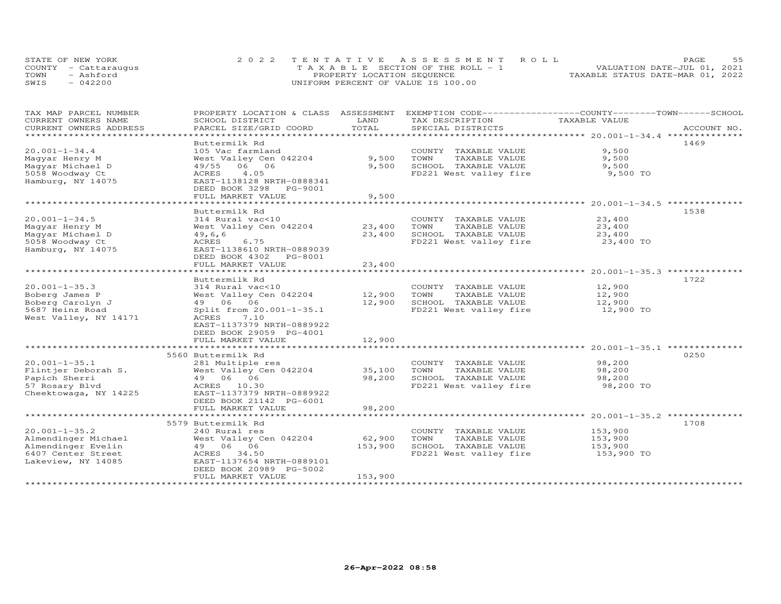| STATE OF NEW YORK    |           | 2022 TENTATIVE ASSESSMENT ROLL        |  |  |                                  | PAGE. | 55 |
|----------------------|-----------|---------------------------------------|--|--|----------------------------------|-------|----|
| COUNTY - Cattaraugus |           | T A X A B L E SECTION OF THE ROLL - 1 |  |  | VALUATION DATE-JUL 01, 2021      |       |    |
| TOWN                 | - Ashford | PROPERTY LOCATION SEQUENCE            |  |  | TAXABLE STATUS DATE-MAR 01, 2022 |       |    |
| SWIS                 | $-042200$ | UNIFORM PERCENT OF VALUE IS 100.00    |  |  |                                  |       |    |

| TAX MAP PARCEL NUMBER<br>CURRENT OWNERS NAME                                                                 | PROPERTY LOCATION & CLASS ASSESSMENT<br>SCHOOL DISTRICT                                                                                                                                                                  | LAND                                       | EXEMPTION CODE-----------------COUNTY-------TOWN------SCHOOL<br>TAX DESCRIPTION                 | TAXABLE VALUE                                |             |
|--------------------------------------------------------------------------------------------------------------|--------------------------------------------------------------------------------------------------------------------------------------------------------------------------------------------------------------------------|--------------------------------------------|-------------------------------------------------------------------------------------------------|----------------------------------------------|-------------|
| CURRENT OWNERS ADDRESS                                                                                       | PARCEL SIZE/GRID COORD                                                                                                                                                                                                   | TOTAL                                      | SPECIAL DISTRICTS                                                                               |                                              | ACCOUNT NO. |
| *******************                                                                                          |                                                                                                                                                                                                                          |                                            |                                                                                                 |                                              |             |
| $20.001 - 1 - 34.4$<br>Maqyar Henry M<br>Maqyar Michael D<br>5058 Woodway Ct<br>Hamburg, NY 14075            | Buttermilk Rd<br>105 Vac farmland<br>West Valley Cen 042204<br>06 06<br>49/55<br>4.05<br>ACRES<br>EAST-1138128 NRTH-0888341<br>DEED BOOK 3298<br>PG-9001                                                                 | 9,500<br>9,500                             | COUNTY TAXABLE VALUE<br>TOWN<br>TAXABLE VALUE<br>SCHOOL TAXABLE VALUE<br>FD221 West valley fire | 9,500<br>9,500<br>9,500<br>9,500 TO          | 1469        |
|                                                                                                              | FULL MARKET VALUE<br>* * * * * * * * * * * * * * * * * * * *                                                                                                                                                             | 9,500<br>***************                   | ******************************** 20.001-1-34.5 *********                                        |                                              |             |
| $20.001 - 1 - 34.5$<br>Maqyar Henry M<br>Maqyar Michael D<br>5058 Woodway Ct<br>Hamburg, NY 14075            | Buttermilk Rd<br>314 Rural vac<10<br>West Valley Cen 042204<br>49, 6, 6<br>ACRES<br>6.75<br>EAST-1138610 NRTH-0889039<br>DEED BOOK 4302<br>PG-8001                                                                       | 23,400<br>23,400                           | COUNTY TAXABLE VALUE<br>TOWN<br>TAXABLE VALUE<br>SCHOOL TAXABLE VALUE<br>FD221 West valley fire | 23,400<br>23,400<br>23,400<br>23,400 TO      | 1538        |
|                                                                                                              | FULL MARKET VALUE                                                                                                                                                                                                        | 23,400                                     |                                                                                                 |                                              |             |
| $20.001 - 1 - 35.3$<br>Boberg James P<br>Boberg Carolyn J<br>5687 Heinz Road<br>West Valley, NY 14171        | *******************<br>Buttermilk Rd<br>314 Rural vac<10<br>West Valley Cen 042204<br>49 06 06<br>Split from 20.001-1-35.1<br>7.10<br>ACRES<br>EAST-1137379 NRTH-0889922<br>DEED BOOK 29059 PG-4001<br>FULL MARKET VALUE | 12,900<br>12,900<br>12,900<br>------------ | COUNTY TAXABLE VALUE<br>TOWN<br>TAXABLE VALUE<br>SCHOOL TAXABLE VALUE<br>FD221 West valley fire | 12,900<br>12,900<br>12,900<br>12,900 TO      | 1722        |
|                                                                                                              | *********************                                                                                                                                                                                                    |                                            |                                                                                                 | ********************* 20.001-1-35.1 ******** | 0250        |
| $20.001 - 1 - 35.1$<br>Flintjer Deborah S.<br>Papich Sherri<br>57 Rosary Blvd<br>Cheektowaga, NY 14225       | 5560 Buttermilk Rd<br>281 Multiple res<br>West Valley Cen 042204<br>49 06 06<br>ACRES 10.30<br>EAST-1137379 NRTH-0889922<br>DEED BOOK 21142 PG-6001                                                                      | 35,100<br>98,200                           | COUNTY TAXABLE VALUE<br>TOWN<br>TAXABLE VALUE<br>SCHOOL TAXABLE VALUE<br>FD221 West valley fire | 98,200<br>98,200<br>98,200<br>98,200 TO      |             |
|                                                                                                              | FULL MARKET VALUE                                                                                                                                                                                                        | 98,200                                     |                                                                                                 |                                              |             |
| $20.001 - 1 - 35.2$<br>Almendinger Michael<br>Almendinger Evelin<br>6407 Center Street<br>Lakeview, NY 14085 | 5579 Buttermilk Rd<br>240 Rural res<br>West Valley Cen 042204<br>49 06 06<br>ACRES<br>34.50<br>EAST-1137654 NRTH-0889101<br>DEED BOOK 20989 PG-5002<br>FULL MARKET VALUE                                                 | 62,900<br>153,900<br>153,900               | COUNTY TAXABLE VALUE<br>TAXABLE VALUE<br>TOWN<br>SCHOOL TAXABLE VALUE<br>FD221 West valley fire | 153,900<br>153,900<br>153,900<br>153,900 TO  | 1708        |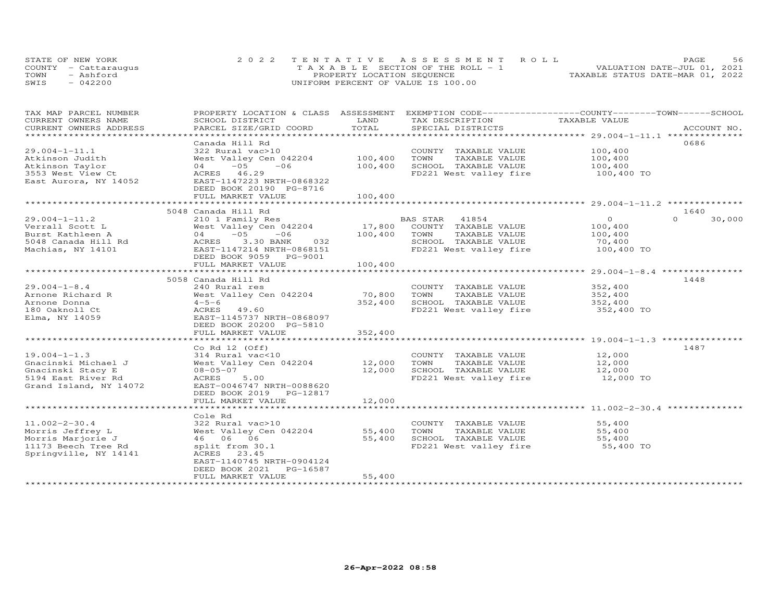| STATE OF NEW YORK    | 2022 TENTATIVE ASSESSMENT ROLL        | 56<br>PAGE.                      |
|----------------------|---------------------------------------|----------------------------------|
| COUNTY - Cattaraugus | T A X A B L E SECTION OF THE ROLL - 1 | VALUATION DATE-JUL 01, 2021      |
| TOWN<br>- Ashford    | PROPERTY LOCATION SEQUENCE            | TAXABLE STATUS DATE-MAR 01, 2022 |
| $-042200$<br>SWIS    | UNIFORM PERCENT OF VALUE IS 100.00    |                                  |

| TAX MAP PARCEL NUMBER                        | PROPERTY LOCATION & CLASS ASSESSMENT                  |         | EXEMPTION CODE------------------COUNTY-------TOWN------SCHOOL |               |                    |
|----------------------------------------------|-------------------------------------------------------|---------|---------------------------------------------------------------|---------------|--------------------|
| CURRENT OWNERS NAME                          | SCHOOL DISTRICT                                       | LAND    | TAX DESCRIPTION                                               | TAXABLE VALUE |                    |
| CURRENT OWNERS ADDRESS                       | PARCEL SIZE/GRID COORD<br>+++++++++++++++++++++++++++ | TOTAL   | SPECIAL DISTRICTS                                             |               | ACCOUNT NO.        |
| ********************                         |                                                       |         |                                                               |               |                    |
|                                              | Canada Hill Rd                                        |         |                                                               |               | 0686               |
| $29.004 - 1 - 11.1$                          | 322 Rural vac>10                                      |         | COUNTY TAXABLE VALUE                                          | 100,400       |                    |
| Atkinson Judith                              | West Valley Cen 042204                                | 100,400 | TOWN<br>TAXABLE VALUE                                         | 100,400       |                    |
| Atkinson Taylor                              | $-05$<br>$-06$<br>04                                  | 100,400 | SCHOOL TAXABLE VALUE                                          | 100,400       |                    |
| 3553 West View Ct                            | ACRES 46.29                                           |         | FD221 West valley fire                                        | 100,400 TO    |                    |
| East Aurora, NY 14052                        | EAST-1147223 NRTH-0868322                             |         |                                                               |               |                    |
|                                              | DEED BOOK 20190 PG-8716                               |         |                                                               |               |                    |
|                                              | FULL MARKET VALUE                                     | 100,400 |                                                               |               |                    |
|                                              |                                                       |         |                                                               |               |                    |
|                                              | 5048 Canada Hill Rd                                   |         |                                                               |               | 1640               |
| $29.004 - 1 - 11.2$                          | 210 1 Family Res                                      |         | BAS STAR 41854                                                | $\circ$       | $\Omega$<br>30,000 |
| Verrall Scott L                              | West Valley Cen 042204                                | 17,800  | COUNTY TAXABLE VALUE                                          | 100,400       |                    |
| Burst Kathleen A                             | $-05$<br>$-06$<br>04                                  | 100,400 | TOWN<br>TAXABLE VALUE                                         | 100,400       |                    |
| 5048 Canada Hill Rd                          | 3.30 BANK<br>032<br>ACRES                             |         | SCHOOL TAXABLE VALUE                                          | 70,400        |                    |
| Machias, NY 14101                            | EAST-1147214 NRTH-0868151                             |         | FD221 West valley fire                                        | 100,400 TO    |                    |
|                                              | DEED BOOK 9059 PG-9001                                |         |                                                               |               |                    |
|                                              | FULL MARKET VALUE                                     | 100,400 |                                                               |               |                    |
|                                              |                                                       |         |                                                               |               |                    |
|                                              | 5058 Canada Hill Rd                                   |         |                                                               |               | 1448               |
| $29.004 - 1 - 8.4$                           | 240 Rural res                                         |         | COUNTY TAXABLE VALUE                                          | 352,400       |                    |
| Arnone Richard R                             | West Valley Cen 042204                                | 70,800  | TOWN<br>TAXABLE VALUE                                         | 352,400       |                    |
| Arnone Donna                                 | $4 - 5 - 6$                                           | 352,400 | SCHOOL TAXABLE VALUE                                          | 352,400       |                    |
| 180 Oaknoll Ct                               | ACRES 49.60                                           |         | FD221 West valley fire                                        | 352,400 TO    |                    |
| Elma, NY 14059                               | EAST-1145737 NRTH-0868097                             |         |                                                               |               |                    |
|                                              | DEED BOOK 20200 PG-5810                               |         |                                                               |               |                    |
|                                              | FULL MARKET VALUE                                     | 352,400 |                                                               |               |                    |
|                                              |                                                       |         |                                                               |               |                    |
|                                              | Co Rd $12$ (Off)                                      |         |                                                               |               | 1487               |
| $19.004 - 1 - 1.3$                           | 314 Rural vac<10                                      |         | COUNTY TAXABLE VALUE                                          | 12,000        |                    |
| Gnacinski Michael J                          | West Valley Cen 042204                                | 12,000  | TOWN<br>TAXABLE VALUE                                         | 12,000        |                    |
| Gnacinski Stacy E                            | $08 - 05 - 07$                                        | 12,000  | SCHOOL TAXABLE VALUE                                          | 12,000        |                    |
| 5194 East River Rd                           | ACRES<br>5.00                                         |         | FD221 West valley fire                                        | 12,000 TO     |                    |
| Grand Island, NY 14072                       | EAST-0046747 NRTH-0088620                             |         |                                                               |               |                    |
|                                              | DEED BOOK 2019 PG-12817                               |         |                                                               |               |                    |
|                                              | FULL MARKET VALUE                                     | 12,000  |                                                               |               |                    |
|                                              | *************************                             |         |                                                               |               |                    |
|                                              | Cole Rd                                               |         |                                                               |               |                    |
| $11.002 - 2 - 30.4$                          | 322 Rural vac>10                                      |         | COUNTY TAXABLE VALUE                                          | 55,400        |                    |
| Morris Jeffrey L                             | West Valley Cen 042204                                | 55,400  | TOWN<br>TAXABLE VALUE                                         | 55,400        |                    |
| Morris Marjorie J                            | 46 06 06                                              | 55,400  | SCHOOL TAXABLE VALUE                                          | 55,400        |                    |
|                                              |                                                       |         | FD221 West valley fire                                        | 55,400 TO     |                    |
| 11173 Beech Tree Rd<br>Springville, NY 14141 | split from 30.1<br>ACRES 23.45                        |         |                                                               |               |                    |
|                                              |                                                       |         |                                                               |               |                    |
|                                              | EAST-1140745 NRTH-0904124<br>PG-16587                 |         |                                                               |               |                    |
|                                              | DEED BOOK 2021                                        |         |                                                               |               |                    |
|                                              | FULL MARKET VALUE                                     | 55,400  |                                                               |               |                    |
|                                              |                                                       |         |                                                               |               |                    |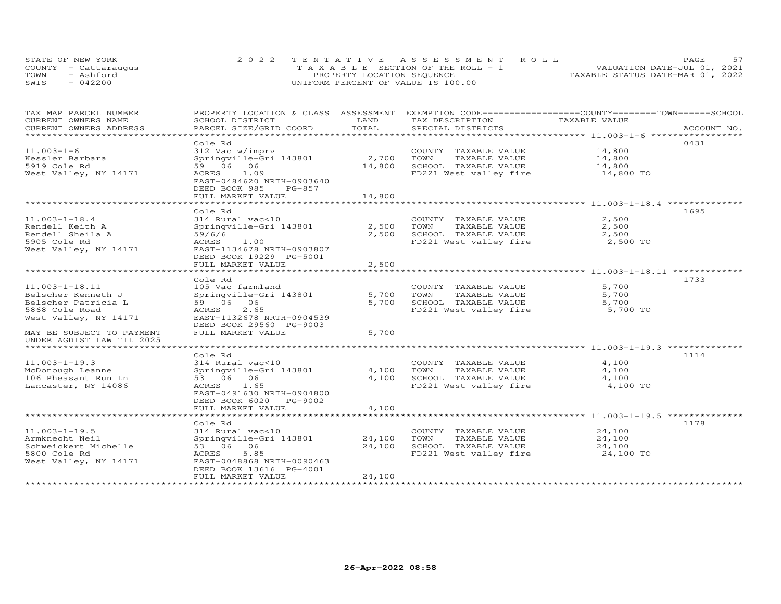|      | STATE OF NEW YORK    | 2022 TENTATIVE ASSESSMENT ROLL     | PAGE.                            |
|------|----------------------|------------------------------------|----------------------------------|
|      | COUNTY - Cattarauqus | TAXABLE SECTION OF THE ROLL - 1    | VALUATION DATE-JUL 01, 2021      |
| TOWN | - Ashford            | PROPERTY LOCATION SEQUENCE         | TAXABLE STATUS DATE-MAR 01, 2022 |
| SWIS | $-042200$            | UNIFORM PERCENT OF VALUE IS 100.00 |                                  |

| TAX MAP PARCEL NUMBER<br>CURRENT OWNERS NAME     | PROPERTY LOCATION & CLASS ASSESSMENT<br>SCHOOL DISTRICT | LAND   | EXEMPTION CODE-----------------COUNTY-------TOWN------SCHOOL<br>TAX DESCRIPTION  | TAXABLE VALUE |             |
|--------------------------------------------------|---------------------------------------------------------|--------|----------------------------------------------------------------------------------|---------------|-------------|
| CURRENT OWNERS ADDRESS<br>********************** | PARCEL SIZE/GRID COORD                                  | TOTAL  | SPECIAL DISTRICTS                                                                |               | ACCOUNT NO. |
|                                                  |                                                         |        |                                                                                  |               | 0431        |
| $11.003 - 1 - 6$                                 | Cole Rd<br>312 Vac w/imprv                              |        | COUNTY TAXABLE VALUE                                                             | 14,800        |             |
|                                                  | Springville-Gri 143801                                  | 2,700  |                                                                                  |               |             |
| Kessler Barbara                                  | 59 06 06                                                |        | TOWN<br>TAXABLE VALUE                                                            | 14,800        |             |
| 5919 Cole Rd                                     |                                                         | 14,800 | SCHOOL TAXABLE VALUE<br>FD221 West valley fire                                   | 14,800        |             |
| West Valley, NY 14171                            | ACRES 1.09<br>EAST-0484620 NRTH-0903640                 |        |                                                                                  | 14,800 TO     |             |
|                                                  |                                                         |        |                                                                                  |               |             |
|                                                  | DEED BOOK 985<br>PG-857                                 |        |                                                                                  |               |             |
|                                                  | FULL MARKET VALUE                                       | 14,800 |                                                                                  |               |             |
|                                                  | Cole Rd                                                 |        |                                                                                  |               | 1695        |
| $11.003 - 1 - 18.4$                              | 314 Rural vac<10                                        |        | COUNTY TAXABLE VALUE                                                             | 2,500         |             |
| Rendell Keith A                                  | Springville-Gri 143801                                  | 2,500  | TOWN<br>TAXABLE VALUE                                                            | 2,500         |             |
| Rendell Sheila A                                 | 59/6/6                                                  | 2,500  | SCHOOL TAXABLE VALUE                                                             | 2,500         |             |
| 5905 Cole Rd                                     | ACRES<br>1.00                                           |        | FD221 West valley fire                                                           | 2,500 TO      |             |
|                                                  |                                                         |        |                                                                                  |               |             |
| West Valley, NY 14171                            | EAST-1134678 NRTH-0903807                               |        |                                                                                  |               |             |
|                                                  | DEED BOOK 19229 PG-5001<br>FULL MARKET VALUE            | 2,500  |                                                                                  |               |             |
|                                                  | *************************                               |        | ************************************11.003-1-18.11 ***************************** |               |             |
|                                                  | Cole Rd                                                 |        |                                                                                  |               | 1733        |
| $11.003 - 1 - 18.11$                             | 105 Vac farmland                                        |        | COUNTY TAXABLE VALUE                                                             | 5,700         |             |
| Belscher Kenneth J                               | Springville-Gri 143801                                  | 5,700  | TOWN<br>TAXABLE VALUE                                                            | 5,700         |             |
| Belscher Patricia L                              | 59 06 06                                                | 5,700  | SCHOOL TAXABLE VALUE                                                             | 5,700         |             |
| 5868 Cole Road                                   | 2.65<br>ACRES                                           |        | FD221 West valley fire                                                           | 5,700 TO      |             |
| West Valley, NY 14171                            | EAST-1132678 NRTH-0904539                               |        |                                                                                  |               |             |
|                                                  | DEED BOOK 29560 PG-9003                                 |        |                                                                                  |               |             |
| MAY BE SUBJECT TO PAYMENT                        | FULL MARKET VALUE                                       | 5,700  |                                                                                  |               |             |
| UNDER AGDIST LAW TIL 2025                        |                                                         |        |                                                                                  |               |             |
|                                                  |                                                         |        |                                                                                  |               |             |
|                                                  | Cole Rd                                                 |        |                                                                                  |               | 1114        |
| $11.003 - 1 - 19.3$                              | 314 Rural vac<10                                        |        | COUNTY TAXABLE VALUE                                                             | 4,100         |             |
| McDonough Leanne                                 | Springville-Gri 143801                                  | 4,100  | TOWN<br>TAXABLE VALUE                                                            | 4,100         |             |
| 106 Pheasant Run Ln                              | 53 06 06                                                | 4,100  | SCHOOL TAXABLE VALUE                                                             | 4,100         |             |
| Lancaster, NY 14086                              | ACRES<br>1.65                                           |        | FD221 West valley fire                                                           | 4,100 TO      |             |
|                                                  | EAST-0491630 NRTH-0904800                               |        |                                                                                  |               |             |
|                                                  | DEED BOOK 6020 PG-9002                                  |        |                                                                                  |               |             |
|                                                  | FULL MARKET VALUE                                       | 4,100  |                                                                                  |               |             |
|                                                  |                                                         |        |                                                                                  |               |             |
|                                                  | Cole Rd                                                 |        |                                                                                  |               | 1178        |
| $11.003 - 1 - 19.5$                              | 314 Rural vac<10                                        |        | COUNTY TAXABLE VALUE                                                             | 24,100        |             |
| Armknecht Neil                                   | Springville-Gri 143801                                  | 24,100 | TOWN<br>TAXABLE VALUE                                                            | 24,100        |             |
| Schweickert Michelle                             | 53 06 06                                                | 24,100 | SCHOOL TAXABLE VALUE                                                             | 24,100        |             |
| 5800 Cole Rd                                     | 5.85<br>ACRES                                           |        | FD221 West valley fire                                                           | 24,100 TO     |             |
| West Valley, NY 14171                            | EAST-0048868 NRTH-0090463                               |        |                                                                                  |               |             |
|                                                  | DEED BOOK 13616 PG-4001                                 |        |                                                                                  |               |             |
|                                                  | FULL MARKET VALUE                                       | 24,100 |                                                                                  |               |             |
|                                                  |                                                         |        |                                                                                  |               |             |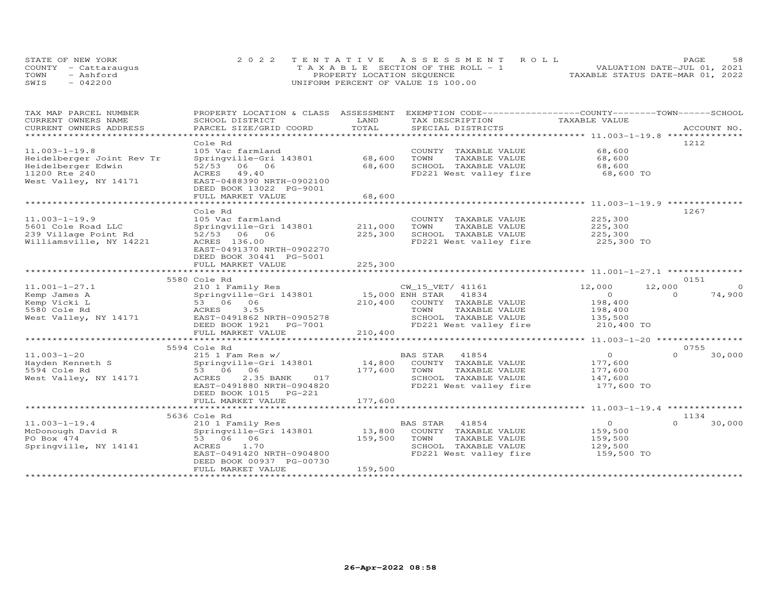|      | STATE OF NEW YORK    | 2022 TENTATIVE ASSESSMENT ROLL          | 58<br><b>PAGE</b>                |
|------|----------------------|-----------------------------------------|----------------------------------|
|      | COUNTY - Cattarauqus | $T A X A B L E$ SECTION OF THE ROLL - 1 | VALUATION DATE-JUL 01, 2021      |
| TOWN | - Ashford            | PROPERTY LOCATION SEQUENCE              | TAXABLE STATUS DATE-MAR 01, 2022 |
| SWIS | $-042200$            | UNIFORM PERCENT OF VALUE IS 100.00      |                                  |

| TAX MAP PARCEL NUMBER     | PROPERTY LOCATION & CLASS ASSESSMENT |           | EXEMPTION CODE-----------------COUNTY-------TOWN------SCHOOL |                                                |                    |
|---------------------------|--------------------------------------|-----------|--------------------------------------------------------------|------------------------------------------------|--------------------|
| CURRENT OWNERS NAME       | SCHOOL DISTRICT                      | LAND      | TAX DESCRIPTION                                              | TAXABLE VALUE                                  |                    |
| CURRENT OWNERS ADDRESS    | PARCEL SIZE/GRID COORD               | TOTAL     | SPECIAL DISTRICTS                                            |                                                | ACCOUNT NO.        |
| ************************* |                                      |           |                                                              |                                                |                    |
|                           | Cole Rd                              |           |                                                              |                                                | 1212               |
| $11.003 - 1 - 19.8$       | 105 Vac farmland                     |           | COUNTY TAXABLE VALUE                                         | 68,600                                         |                    |
| Heidelberger Joint Rev Tr | Springville-Gri 143801               | 68,600    | TOWN<br>TAXABLE VALUE                                        | 68,600                                         |                    |
| Heidelberger Edwin        | 52/53 06 06                          | 68,600    | SCHOOL TAXABLE VALUE                                         | 68,600                                         |                    |
| 11200 Rte 240             | ACRES<br>49.40                       |           | FD221 West valley fire                                       | 68,600 TO                                      |                    |
| West Valley, NY 14171     | EAST-0488390 NRTH-0902100            |           |                                                              |                                                |                    |
|                           | DEED BOOK 13022 PG-9001              |           |                                                              |                                                |                    |
|                           | FULL MARKET VALUE                    | 68,600    |                                                              |                                                |                    |
|                           |                                      | ********* |                                                              | ********************** 11.003-1-19.9 ********* |                    |
|                           | Cole Rd                              |           |                                                              |                                                | 1267               |
| $11.003 - 1 - 19.9$       | 105 Vac farmland                     |           | COUNTY TAXABLE VALUE                                         | 225,300                                        |                    |
| 5601 Cole Road LLC        | Springville-Gri 143801               | 211,000   | TOWN<br>TAXABLE VALUE                                        | 225,300                                        |                    |
| 239 Village Point Rd      | 52/53 06 06                          | 225,300   | SCHOOL TAXABLE VALUE                                         | 225,300                                        |                    |
| Williamsville, NY 14221   | ACRES 136.00                         |           | FD221 West valley fire                                       | 225,300 TO                                     |                    |
|                           | EAST-0491370 NRTH-0902270            |           |                                                              |                                                |                    |
|                           | DEED BOOK 30441 PG-5001              |           |                                                              |                                                |                    |
|                           | FULL MARKET VALUE                    | 225,300   |                                                              |                                                |                    |
|                           | ***************************          |           |                                                              |                                                |                    |
|                           | 5580 Cole Rd                         |           |                                                              |                                                | 0151               |
| $11.001 - 1 - 27.1$       | 210 1 Family Res                     |           | CW_15_VET/ 41161                                             | 12,000                                         | 12,000<br>$\circ$  |
| Kemp James A              | Springville-Gri 143801               |           | 15,000 ENH STAR 41834                                        | $\circ$                                        | 74,900<br>$\Omega$ |
| Kemp Vicki L              | 53 06 06                             | 210,400   | COUNTY TAXABLE VALUE                                         | 198,400                                        |                    |
| 5580 Cole Rd              | ACRES<br>3.55                        |           | TOWN<br>TAXABLE VALUE                                        | 198,400                                        |                    |
| West Valley, NY 14171     | EAST-0491862 NRTH-0905278            |           | SCHOOL TAXABLE VALUE                                         | 135,500                                        |                    |
|                           | DEED BOOK 1921    PG-7001            |           | FD221 West valley fire                                       | 210,400 TO                                     |                    |
|                           | FULL MARKET VALUE                    | 210,400   |                                                              |                                                |                    |
|                           | ****************************         |           | **********************************                           | *********** 11.003-1-20 ****************       |                    |
|                           | 5594 Cole Rd                         |           |                                                              |                                                | 0755               |
| $11.003 - 1 - 20$         |                                      |           | BAS STAR<br>41854                                            | $\Omega$                                       | 30,000<br>$\Omega$ |
|                           | $215$ 1 Fam Res w/                   | 14,800    |                                                              |                                                |                    |
| Hayden Kenneth S          | Springville-Gri 143801               |           | COUNTY TAXABLE VALUE                                         | 177,600                                        |                    |
| 5594 Cole Rd              | 53 06 06<br>017                      | 177,600   | TOWN<br>TAXABLE VALUE                                        | 177,600                                        |                    |
| West Valley, NY 14171     | 2.35 BANK<br>ACRES                   |           | SCHOOL TAXABLE VALUE                                         | 147,600                                        |                    |
|                           | EAST-0491880 NRTH-0904820            |           | FD221 West valley fire                                       | 177,600 TO                                     |                    |
|                           | DEED BOOK 1015<br>PG-221             |           |                                                              |                                                |                    |
|                           | FULL MARKET VALUE                    | 177,600   |                                                              |                                                |                    |
|                           |                                      |           |                                                              |                                                |                    |
|                           | 5636 Cole Rd                         |           |                                                              |                                                | 1134               |
| $11.003 - 1 - 19.4$       | 210 1 Family Res                     |           | 41854<br>BAS STAR                                            | $\overline{O}$                                 | $\Omega$<br>30,000 |
| McDonough David R         | Springville-Gri 143801               | 13,800    | COUNTY TAXABLE VALUE                                         | 159,500                                        |                    |
| PO Box 474                | 53 06 06                             | 159,500   | TAXABLE VALUE<br>TOWN                                        | 159,500                                        |                    |
| Springville, NY 14141     | 1.70<br>ACRES                        |           | SCHOOL TAXABLE VALUE                                         | 129,500                                        |                    |
|                           | EAST-0491420 NRTH-0904800            |           | FD221 West valley fire                                       | 159,500 TO                                     |                    |
|                           | DEED BOOK 00937 PG-00730             |           |                                                              |                                                |                    |
|                           | FULL MARKET VALUE                    | 159,500   |                                                              |                                                |                    |
|                           |                                      |           |                                                              |                                                |                    |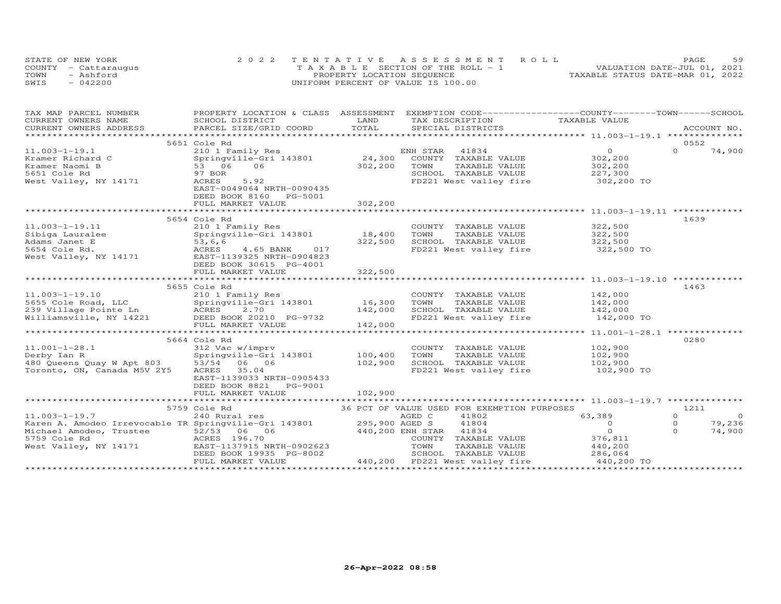| STATE OF NEW YORK |                      | 2022 TENTATIVE ASSESSMENT ROLL        | 59<br>PAGE                       |
|-------------------|----------------------|---------------------------------------|----------------------------------|
|                   | COUNTY - Cattaraugus | T A X A B L E SECTION OF THE ROLL - 1 | VALUATION DATE-JUL 01, 2021      |
| TOWN              | - Ashford            | PROPERTY LOCATION SEQUENCE            | TAXABLE STATUS DATE-MAR 01, 2022 |
| SWIS              | $-042200$            | UNIFORM PERCENT OF VALUE IS 100.00    |                                  |

| TAX MAP PARCEL NUMBER<br>CURRENT OWNERS NAME<br>CURRENT OWNERS ADDRESS                                                                                                                                                                                                                                                                                                                     | SCHOOL DISTRICT<br>PARCEL SIZE/GRID COORD                                                                                                                            | LAND<br>TOTAL                       | PROPERTY LOCATION & CLASS ASSESSMENT EXEMPTION CODE----------------COUNTY-------TOWN------SCHOOL<br>TAX DESCRIPTION                                                                                     | TAXABLE VALUE                                                    | ACCOUNT NO.                                                                   |
|--------------------------------------------------------------------------------------------------------------------------------------------------------------------------------------------------------------------------------------------------------------------------------------------------------------------------------------------------------------------------------------------|----------------------------------------------------------------------------------------------------------------------------------------------------------------------|-------------------------------------|---------------------------------------------------------------------------------------------------------------------------------------------------------------------------------------------------------|------------------------------------------------------------------|-------------------------------------------------------------------------------|
|                                                                                                                                                                                                                                                                                                                                                                                            |                                                                                                                                                                      |                                     | SPECIAL DISTRICTS                                                                                                                                                                                       |                                                                  |                                                                               |
|                                                                                                                                                                                                                                                                                                                                                                                            | 5651 Cole Rd                                                                                                                                                         |                                     |                                                                                                                                                                                                         |                                                                  | 0552                                                                          |
| $11.003 - 1 - 19.1$<br>Kramer Richard C<br>Kramer Naomi B<br>5651 Cole Rd<br>West Valley, NY 14171                                                                                                                                                                                                                                                                                         | 210 1 Family Res<br>Springville-Gri 143801 24,300<br>53 06 06<br>97 BOR<br>ACRES<br>5.92<br>EAST-0049064 NRTH-0090435<br>DEED BOOK 8160 PG-5001<br>FULL MARKET VALUE | 302,200<br>302,200<br>************* | ENH STAR 41834<br>COUNTY TAXABLE VALUE<br>TOWN<br>TAXABLE VALUE<br>SCHOOL TAXABLE VALUE 227,300<br>FD221 West valley fire 302,200 TO<br>***********************************11.003-1-19.11 ************* | $\overline{0}$<br>302,200<br>302,200                             | $\Omega$<br>74,900                                                            |
|                                                                                                                                                                                                                                                                                                                                                                                            | 5654 Cole Rd                                                                                                                                                         |                                     |                                                                                                                                                                                                         |                                                                  | 1639                                                                          |
| $11.003 - 1 - 19.11$<br>Sibiga Lauralee<br>Adams Janet E<br>53,6,6<br>5654 Cole Rd.<br>West Valley, NY 14171<br>EAST-1139325 NRTH-0904823<br>RES 4.65 BANK 017<br>EAST-1139325 NRTH-0904823                                                                                                                                                                                                | 210 1 Family Res<br>Springville-Gri 143801<br>DEED BOOK 30615 PG-4001<br>FULL MARKET VALUE                                                                           | 18,400<br>322,500<br>322,500        | COUNTY TAXABLE VALUE 322,500<br>TOWN<br>TAXABLE VALUE<br>SCHOOL TAXABLE VALUE<br>FD221 West valley fire 322,500 TO                                                                                      | 322,500<br>322,500                                               |                                                                               |
|                                                                                                                                                                                                                                                                                                                                                                                            |                                                                                                                                                                      | ***********                         |                                                                                                                                                                                                         |                                                                  |                                                                               |
| $11.003 - 1 - 19.10$                                                                                                                                                                                                                                                                                                                                                                       | 5655 Cole Rd<br>210 1 Family Res<br>Springville-Gri 143801<br>FULL MARKET VALUE                                                                                      | 16,300<br>142,000<br>142,000        | COUNTY TAXABLE VALUE 142,000<br>TOWN TAXABLE VALUE 142,000<br>SCHOOL TAXABLE VALUE 142,000<br>FD221 West valley fire 142,000 TO                                                                         |                                                                  | 1463                                                                          |
|                                                                                                                                                                                                                                                                                                                                                                                            | 5664 Cole Rd                                                                                                                                                         |                                     |                                                                                                                                                                                                         |                                                                  | 0280                                                                          |
| $11.001 - 1 - 28.1$<br>Derby Ian R<br>$2222$ $\frac{1}{2}$ $\frac{1}{2}$ $\frac{1}{2}$ $\frac{1}{2}$ $\frac{1}{2}$ $\frac{1}{2}$ $\frac{1}{2}$ $\frac{1}{2}$ $\frac{1}{2}$ $\frac{1}{2}$ $\frac{1}{2}$ $\frac{1}{2}$ $\frac{1}{2}$ $\frac{1}{2}$ $\frac{1}{2}$ $\frac{1}{2}$ $\frac{1}{2}$ $\frac{1}{2}$ $\frac{1}{2}$ $\frac{1}{2}$ $\frac{1}{2}$ $\frac{$<br>Toronto, ON, Canada M5V 2Y5 | 312 Vac w/imprv<br>Springville-Gri 143801<br>ACRES<br>35.04<br>EAST-1139033 NRTH-0905433<br>DEED BOOK 8821 PG-9001                                                   | 100,400<br>102,900                  | COUNTY TAXABLE VALUE 102,900<br>TOWN<br>TAXABLE VALUE<br>SCHOOL TAXABLE VALUE<br>FD221 West valley fire 102,900 TO                                                                                      | 102,900<br>102,900                                               |                                                                               |
|                                                                                                                                                                                                                                                                                                                                                                                            | FULL MARKET VALUE                                                                                                                                                    | 102,900                             |                                                                                                                                                                                                         |                                                                  |                                                                               |
| $11.003 - 1 - 19.7$<br>Karen A. Amodeo Irrevocable TR Springville-Gri 143801 295,900 AGED S                                                                                                                                                                                                                                                                                                | 5759 Cole Rd<br>240 Rural res                                                                                                                                        |                                     | 36 PCT OF VALUE USED FOR EXEMPTION PURPOSES<br>AGED C<br>41802<br>41804<br>440,200 ENH STAR 41834<br>COUNTY<br>TAXABLE VALUE<br>TOWN<br>TAXABLE VALUE                                                   | 63,389<br>$\overline{0}$<br>$\overline{0}$<br>376,811<br>440,200 | 1211<br>$\Omega$<br>$\overline{0}$<br>$\circ$<br>79,236<br>$\Omega$<br>74,900 |
|                                                                                                                                                                                                                                                                                                                                                                                            | DEED BOOK 19935 PG-8002<br>FULL MARKET VALUE                                                                                                                         |                                     | SCHOOL TAXABLE VALUE 286,064<br>440,200 FD221 West valley fire                                                                                                                                          | 440,200 TO                                                       |                                                                               |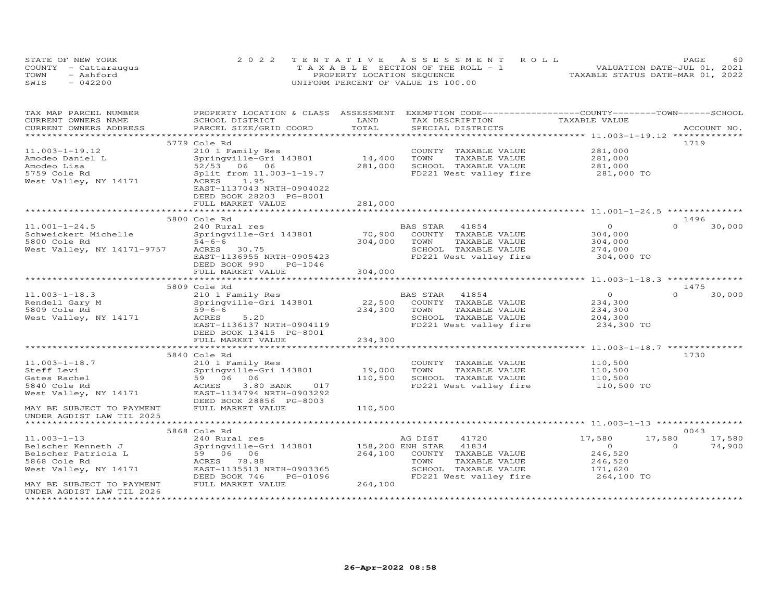|      | STATE OF NEW YORK    | 2022 TENTATIVE ASSESSMENT ROLL            |                                  | PAGE                        | 60 |
|------|----------------------|-------------------------------------------|----------------------------------|-----------------------------|----|
|      | COUNTY - Cattaraugus | $T A X A B I. E$ SECTION OF THE ROLL $-1$ |                                  | VALUATION DATE-JUL 01, 2021 |    |
| TOWN | - Ashford            | PROPERTY LOCATION SEQUENCE                | TAXABLE STATUS DATE-MAR 01, 2022 |                             |    |
| SWIS | $-042200$            | UNIFORM PERCENT OF VALUE IS 100.00        |                                  |                             |    |

| LAND                                                                                                                                                         |             |
|--------------------------------------------------------------------------------------------------------------------------------------------------------------|-------------|
| TAXABLE VALUE<br>CURRENT OWNERS NAME<br>SCHOOL DISTRICT<br>TAX DESCRIPTION<br>TOTAL<br>CURRENT OWNERS ADDRESS<br>PARCEL SIZE/GRID COORD<br>SPECIAL DISTRICTS | ACCOUNT NO. |
|                                                                                                                                                              |             |
| 5779 Cole Rd<br>1719                                                                                                                                         |             |
| 281,000<br>$11.003 - 1 - 19.12$<br>210 1 Family Res<br>COUNTY TAXABLE VALUE                                                                                  |             |
| 14,400<br>TAXABLE VALUE<br>281,000<br>Amodeo Daniel L<br>Springville-Gri 143801<br>TOWN                                                                      |             |
| 52/53 06 06<br>281,000<br>SCHOOL TAXABLE VALUE<br>281,000<br>Amodeo Lisa                                                                                     |             |
| 5759 Cole Rd<br>Split from 11.003-1-19.7<br>FD221 West valley fire<br>281,000 TO                                                                             |             |
| West Valley, NY 14171<br>ACRES<br>1.95                                                                                                                       |             |
| EAST-1137043 NRTH-0904022                                                                                                                                    |             |
| DEED BOOK 28203 PG-8001                                                                                                                                      |             |
| FULL MARKET VALUE<br>281,000                                                                                                                                 |             |
|                                                                                                                                                              |             |
| 5800 Cole Rd<br>1496                                                                                                                                         |             |
| $\Omega$<br>$11.001 - 1 - 24.5$<br>240 Rural res<br>BAS STAR<br>41854<br>$\circ$                                                                             | 30,000      |
| 70,900<br>COUNTY TAXABLE VALUE<br>304,000<br>Schweickert Michelle<br>Springville-Gri 143801                                                                  |             |
| TAXABLE VALUE<br>5800 Cole Rd<br>$54 - 6 - 6$<br>304,000<br>TOWN<br>304,000                                                                                  |             |
| West Valley, NY 14171-9757<br>SCHOOL TAXABLE VALUE<br>ACRES 30.75<br>274,000                                                                                 |             |
| EAST-1136955 NRTH-0905423<br>FD221 West valley fire<br>304,000 TO                                                                                            |             |
| DEED BOOK 990<br>PG-1046                                                                                                                                     |             |
| 304,000<br>FULL MARKET VALUE                                                                                                                                 |             |
|                                                                                                                                                              |             |
| 5809 Cole Rd<br>1475                                                                                                                                         |             |
| $\Omega$<br>$11.003 - 1 - 18.3$<br>210 1 Family Res<br>41854<br>$\overline{0}$<br>BAS STAR                                                                   | 30,000      |
| 22,500<br>Rendell Gary M<br>Springville-Gri 143801<br>COUNTY TAXABLE VALUE<br>234,300                                                                        |             |
| 234,300<br>5809 Cole Rd<br>$59 - 6 - 6$<br>TOWN<br>TAXABLE VALUE<br>234,300                                                                                  |             |
| West Valley, NY 14171<br>5.20<br>SCHOOL TAXABLE VALUE<br>204,300<br>ACRES                                                                                    |             |
| FD221 West valley fire<br>EAST-1136137 NRTH-0904119<br>234,300 TO                                                                                            |             |
| DEED BOOK 13415 PG-8001                                                                                                                                      |             |
| FULL MARKET VALUE<br>234,300                                                                                                                                 |             |
| ****************<br>************<br>**************** 11.003-1-18.7 ************                                                                              |             |
| 5840 Cole Rd<br>1730                                                                                                                                         |             |
| $11.003 - 1 - 18.7$<br>COUNTY TAXABLE VALUE<br>110,500<br>210 1 Family Res                                                                                   |             |
| Steff Levi<br>Springville-Gri 143801<br>19,000<br>TOWN<br>TAXABLE VALUE<br>110,500                                                                           |             |
| 110,500<br>SCHOOL TAXABLE VALUE<br>Gates Rachel<br>59 06<br>06<br>110,500                                                                                    |             |
| 5840 Cole Rd<br>FD221 West valley fire<br>110,500 TO<br>ACRES<br>3.80 BANK<br>017                                                                            |             |
| West Valley, NY 14171<br>EAST-1134794 NRTH-0903292                                                                                                           |             |
| DEED BOOK 28856 PG-8003                                                                                                                                      |             |
| MAY BE SUBJECT TO PAYMENT<br>FULL MARKET VALUE<br>110,500                                                                                                    |             |
| UNDER AGDIST LAW TIL 2025                                                                                                                                    |             |
|                                                                                                                                                              |             |
| 5868 Cole Rd<br>0043                                                                                                                                         |             |
| $11.003 - 1 - 13$<br>17,580<br>17,580<br>240 Rural res<br>AG DIST<br>41720                                                                                   | 17,580      |
| Belscher Kenneth J<br>Springville-Gri 143801<br>158,200 ENH STAR<br>41834<br>$\overline{O}$<br>$\Omega$                                                      | 74,900      |
| 246,520<br>Belscher Patricia L<br>59 06 06<br>264,100<br>COUNTY TAXABLE VALUE                                                                                |             |
| 5868 Cole Rd<br>ACRES 78.88<br>TOWN<br>TAXABLE VALUE<br>246,520                                                                                              |             |
| West Valley, NY 14171<br>EAST-1135513 NRTH-0903365<br>SCHOOL TAXABLE VALUE<br>171,620                                                                        |             |
| PG-01096<br>FD221 West valley fire<br>264,100 TO<br>DEED BOOK 746                                                                                            |             |
| 264,100<br>MAY BE SUBJECT TO PAYMENT<br>FULL MARKET VALUE                                                                                                    |             |
| UNDER AGDIST LAW TIL 2026                                                                                                                                    |             |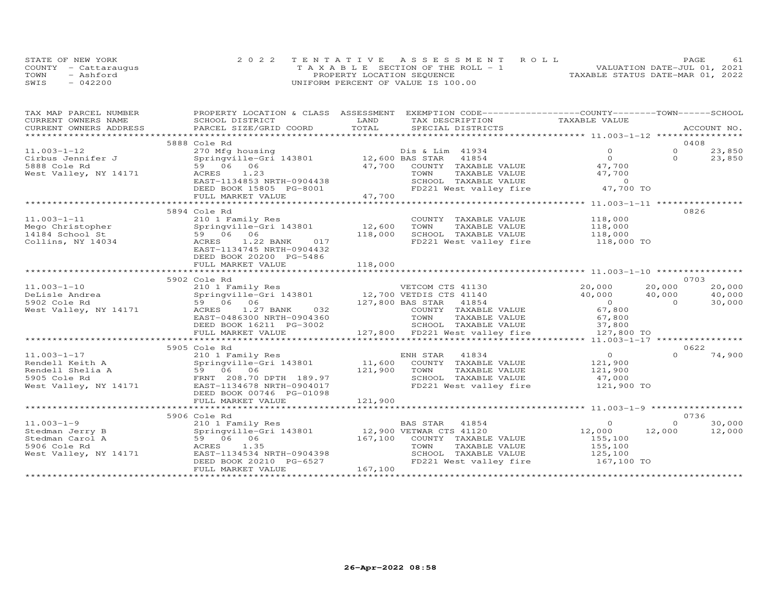|      | STATE OF NEW YORK    | 2022 TENTATIVE ASSESSMENT ROLL        | <b>PAGE</b>                      |
|------|----------------------|---------------------------------------|----------------------------------|
|      | COUNTY - Cattaraugus | T A X A B L E SECTION OF THE ROLL - 1 | VALUATION DATE-JUL 01, 2021      |
| TOWN | - Ashford            | PROPERTY LOCATION SEQUENCE            | TAXABLE STATUS DATE-MAR 01, 2022 |
| SWIS | 042200               | UNIFORM PERCENT OF VALUE IS 100.00    |                                  |

| TAX MAP PARCEL NUMBER  | PROPERTY LOCATION & CLASS ASSESSMENT   | EXEMPTION CODE-----------------COUNTY-------TOWN------SCHOOL       |                |                    |
|------------------------|----------------------------------------|--------------------------------------------------------------------|----------------|--------------------|
| CURRENT OWNERS NAME    | SCHOOL DISTRICT                        | LAND<br>TAX DESCRIPTION                                            | TAXABLE VALUE  |                    |
| CURRENT OWNERS ADDRESS | PARCEL SIZE/GRID COORD                 | TOTAL<br>SPECIAL DISTRICTS                                         |                | ACCOUNT NO.        |
|                        |                                        |                                                                    |                |                    |
|                        | 5888 Cole Rd                           |                                                                    |                | 0408               |
| $11.003 - 1 - 12$      | 270 Mfg housing                        | Dis & Lim 41934                                                    | $\Omega$       | $\Omega$<br>23,850 |
| Cirbus Jennifer J      | Springville-Gri 143801 12,600 BAS STAR | 41854                                                              | $\Omega$       | $\Omega$<br>23,850 |
| 5888 Cole Rd           | 59 06 06                               | 47,700<br>COUNTY TAXABLE VALUE                                     | 47,700         |                    |
| West Valley, NY 14171  | ACRES<br>1.23                          | TAXABLE VALUE<br>TOWN                                              | 47,700         |                    |
|                        | EAST-1134853 NRTH-0904438              | SCHOOL TAXABLE VALUE                                               | $\overline{0}$ |                    |
|                        | DEED BOOK 15805 PG-8001                | FD221 West valley fire                                             | 47,700 TO      |                    |
|                        | FULL MARKET VALUE                      | 47,700                                                             |                |                    |
|                        |                                        |                                                                    |                |                    |
|                        | 5894 Cole Rd                           |                                                                    |                | 0826               |
| $11.003 - 1 - 11$      | 210 1 Family Res                       | COUNTY TAXABLE VALUE                                               | 118,000        |                    |
| Mego Christopher       | Springville-Gri 143801                 | 12,600<br>TOWN<br>TAXABLE VALUE                                    | 118,000        |                    |
| 14184 School St        | 59 06 06                               | SCHOOL TAXABLE VALUE<br>118,000                                    | 118,000        |                    |
| Collins, NY 14034      | 1.22 BANK<br>017<br>ACRES              | FD221 West valley fire                                             | 118,000 TO     |                    |
|                        | EAST-1134745 NRTH-0904432              |                                                                    |                |                    |
|                        | DEED BOOK 20200 PG-5486                |                                                                    |                |                    |
|                        | FULL MARKET VALUE                      | 118,000                                                            |                |                    |
|                        |                                        |                                                                    |                |                    |
|                        | 5902 Cole Rd                           |                                                                    |                | 0703               |
| $11.003 - 1 - 10$      |                                        |                                                                    | 20,000         | 20,000<br>20,000   |
| DeLisle Andrea         |                                        | 210 1 Family Res<br>Springville-Gri 143801 12,700 VETDIS CTS 41140 | 40,000         | 40,000<br>40,000   |
| 5902 Cole Rd           | 59 06 06                               | 127,800 BAS STAR 41854                                             | $\overline{0}$ | 30,000<br>$\Omega$ |
| West Valley, NY 14171  | 1.27 BANK 032<br>ACRES                 | COUNTY TAXABLE VALUE                                               | 67,800         |                    |
|                        | EAST-0486300 NRTH-0904360              | TOWN<br>TAXABLE VALUE                                              | 67,800         |                    |
|                        | DEED BOOK 16211 PG-3002                | SCHOOL TAXABLE VALUE                                               | 37,800         |                    |
|                        | FULL MARKET VALUE                      | 127,800 FD221 West valley fire                                     | 127,800 TO     |                    |
|                        |                                        |                                                                    |                |                    |
|                        | 5905 Cole Rd                           |                                                                    |                | 0622               |
| $11.003 - 1 - 17$      | 210 1 Family Res                       | 41834<br>ENH STAR                                                  | $\overline{O}$ | 74,900             |
| Rendell Keith A        | Springville-Gri 143801                 | 11,600<br>COUNTY TAXABLE VALUE                                     | 121,900        |                    |
| Rendell Shelia A       | 59 06 06                               | 121,900<br>TOWN<br>TAXABLE VALUE                                   | 121,900        |                    |
| 5905 Cole Rd           | FRNT 208.70 DPTH 189.97                | SCHOOL TAXABLE VALUE                                               | 47,000         |                    |
| West Valley, NY 14171  | EAST-1134678 NRTH-0904017              | FD221 West valley fire                                             | 121,900 TO     |                    |
|                        | DEED BOOK 00746 PG-01098               |                                                                    |                |                    |
|                        | FULL MARKET VALUE                      | 121,900                                                            |                |                    |
|                        |                                        |                                                                    |                |                    |
|                        | 5906 Cole Rd                           |                                                                    |                | 0736               |
| $11.003 - 1 - 9$       | 210 1 Family Res                       | BAS STAR<br>41854                                                  | $\circ$        | $\Omega$<br>30,000 |
| Stedman Jerry B        | Springville-Gri 143801                 | 12,900 VETWAR CTS 41120                                            | 12,000         | 12,000<br>12,000   |
| Stedman Carol A        | 59 06 06                               | 167,100<br>COUNTY TAXABLE VALUE                                    | 155,100        |                    |
| 5906 Cole Rd           | ACRES<br>1.35                          | TOWN<br>TAXABLE VALUE                                              | 155,100        |                    |
| West Valley, NY 14171  | EAST-1134534 NRTH-0904398              | SCHOOL TAXABLE VALUE                                               | 125,100        |                    |
|                        | DEED BOOK 20210 PG-6527                | FD221 West valley fire                                             | 167,100 TO     |                    |
|                        | FULL MARKET VALUE                      | 167,100                                                            |                |                    |
|                        |                                        |                                                                    |                |                    |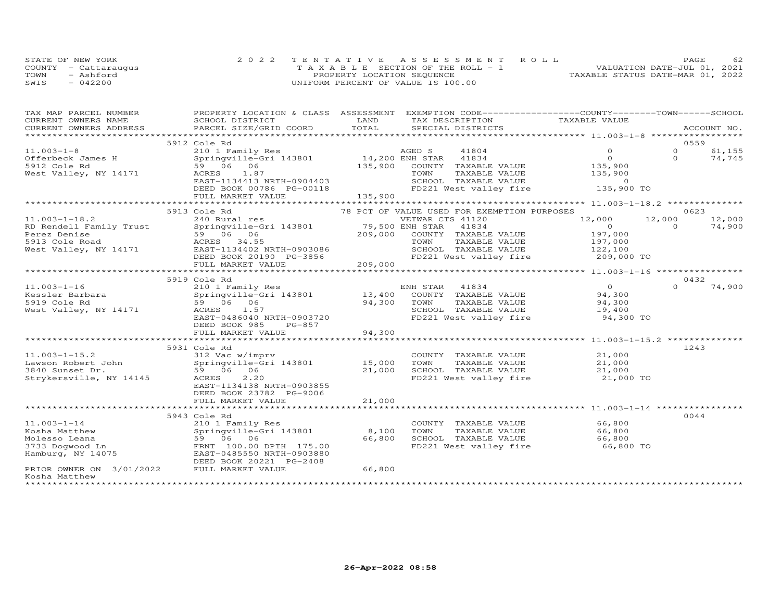| STATE OF NEW YORK    |           | 2022 TENTATIVE ASSESSMENT ROLL        |  |  |                                  | PAGE. | 62 |
|----------------------|-----------|---------------------------------------|--|--|----------------------------------|-------|----|
| COUNTY - Cattaraugus |           | T A X A B L E SECTION OF THE ROLL - 1 |  |  | VALUATION DATE-JUL 01, 2021      |       |    |
| TOWN                 | - Ashford | PROPERTY LOCATION SEQUENCE            |  |  | TAXABLE STATUS DATE-MAR 01, 2022 |       |    |
| SWIS                 | $-042200$ | UNIFORM PERCENT OF VALUE IS 100.00    |  |  |                                  |       |    |

| TAX MAP PARCEL NUMBER           | PROPERTY LOCATION & CLASS ASSESSMENT   |                         | EXEMPTION CODE-----------------COUNTY-------TOWN------SCHOOL |                                                       |          |             |
|---------------------------------|----------------------------------------|-------------------------|--------------------------------------------------------------|-------------------------------------------------------|----------|-------------|
| CURRENT OWNERS NAME             | SCHOOL DISTRICT                        | LAND                    | TAX DESCRIPTION                                              | TAXABLE VALUE                                         |          |             |
| CURRENT OWNERS ADDRESS          | PARCEL SIZE/GRID COORD                 | TOTAL                   | SPECIAL DISTRICTS                                            |                                                       |          | ACCOUNT NO. |
|                                 |                                        |                         |                                                              |                                                       |          |             |
|                                 | 5912 Cole Rd                           |                         |                                                              |                                                       | 0559     |             |
| $11.003 - 1 - 8$                | 210 1 Family Res                       |                         | AGED S<br>41804                                              | $\Omega$                                              | $\Omega$ | 61,155      |
| Offerbeck James H               | Springville-Gri 143801 14,200 ENH STAR |                         | 41834                                                        | $\Omega$                                              | $\Omega$ | 74,745      |
| 5912 Cole Rd                    | 59 06 06                               | 135,900                 | COUNTY<br>TAXABLE VALUE                                      | 135,900                                               |          |             |
| West Valley, NY 14171           | 1.87<br>ACRES                          |                         | TOWN<br>TAXABLE VALUE                                        | 135,900                                               |          |             |
|                                 | EAST-1134413 NRTH-0904403              |                         | SCHOOL TAXABLE VALUE                                         | $\Omega$                                              |          |             |
|                                 | DEED BOOK 00786 PG-00118               |                         | FD221 West valley fire                                       | 135,900 TO                                            |          |             |
|                                 | FULL MARKET VALUE                      | 135,900                 |                                                              |                                                       |          |             |
|                                 |                                        |                         |                                                              |                                                       |          |             |
|                                 | 5913 Cole Rd                           |                         | 78 PCT OF VALUE USED FOR EXEMPTION PURPOSES                  |                                                       | 0623     |             |
| $11.003 - 1 - 18.2$             | 240 Rural res                          |                         | VETWAR CTS 41120                                             | 12,000                                                | 12,000   | 12,000      |
| RD Rendell Family Trust         | Springville-Gri 143801                 | 79,500 ENH STAR         | 41834                                                        | $\overline{O}$                                        | $\Omega$ | 74,900      |
| Perez Denise                    | 59 06 06                               | 209,000                 | COUNTY TAXABLE VALUE                                         | 197,000                                               |          |             |
| 5913 Cole Road                  | ACRES<br>34.55                         |                         | TOWN<br>TAXABLE VALUE                                        | 197,000                                               |          |             |
| West Valley, NY 14171           | EAST-1134402 NRTH-0903086              |                         | SCHOOL TAXABLE VALUE                                         | 122,100                                               |          |             |
|                                 | DEED BOOK 20190 PG-3856                |                         | FD221 West valley fire                                       | 209,000 TO                                            |          |             |
|                                 | FULL MARKET VALUE                      | 209,000                 |                                                              |                                                       |          |             |
|                                 |                                        |                         |                                                              |                                                       |          |             |
|                                 | 5919 Cole Rd                           |                         |                                                              |                                                       | 0432     |             |
| $11.003 - 1 - 16$               | 210 1 Family Res                       |                         | ENH STAR<br>41834                                            | $\overline{O}$                                        | $\Omega$ | 74,900      |
| Kessler Barbara<br>5010 Cole Rd | Springville-Gri 143801 13,400          |                         | COUNTY TAXABLE VALUE                                         | 94,300                                                |          |             |
| 5919 Cole Rd                    | 59 06 06                               | 94,300                  | TOWN<br>TAXABLE VALUE                                        | 94,300                                                |          |             |
| West Valley, NY 14171           | ACRES<br>1.57                          |                         | SCHOOL TAXABLE VALUE                                         | 19,400                                                |          |             |
|                                 | EAST-0486040 NRTH-0903720              |                         | FD221 West valley fire                                       | 94,300 TO                                             |          |             |
|                                 | DEED BOOK 985<br>PG-857                |                         |                                                              |                                                       |          |             |
|                                 | FULL MARKET VALUE                      | 94,300                  |                                                              |                                                       |          |             |
|                                 |                                        |                         |                                                              |                                                       |          |             |
|                                 | 5931 Cole Rd                           |                         |                                                              |                                                       | 1243     |             |
| $11.003 - 1 - 15.2$             | 312 Vac w/imprv                        |                         | COUNTY TAXABLE VALUE                                         | 21,000                                                |          |             |
| Lawson Robert John              | Springville-Gri 143801                 | 15,000                  | TAXABLE VALUE<br>TOWN                                        | 21,000                                                |          |             |
| 3840 Sunset Dr.                 | 59 06 06                               | 21,000                  | SCHOOL TAXABLE VALUE                                         | 21,000                                                |          |             |
| Strykersville, NY 14145         | 2.20<br>ACRES                          |                         | FD221 West valley fire                                       | 21,000 TO                                             |          |             |
|                                 | EAST-1134138 NRTH-0903855              |                         |                                                              |                                                       |          |             |
|                                 | DEED BOOK 23782 PG-9006                |                         |                                                              |                                                       |          |             |
|                                 | FULL MARKET VALUE                      | 21,000<br>************* |                                                              |                                                       |          |             |
|                                 |                                        |                         |                                                              | *********************** 11.003-1-14 ***************** |          |             |
|                                 | 5943 Cole Rd                           |                         |                                                              |                                                       | 0044     |             |
| $11.003 - 1 - 14$               | 210 1 Family Res                       |                         | COUNTY TAXABLE VALUE                                         | 66,800                                                |          |             |
| Kosha Matthew                   | Springville-Gri 143801                 | 8,100                   | TAXABLE VALUE<br>TOWN                                        | 66,800                                                |          |             |
| Molesso Leana                   | 59 06 06                               | 66,800                  | SCHOOL TAXABLE VALUE                                         | 66,800                                                |          |             |
| 3733 Dogwood Ln                 | FRNT 100.00 DPTH 175.00                |                         | FD221 West valley fire                                       | 66,800 TO                                             |          |             |
| Hamburg, NY 14075               | EAST-0485550 NRTH-0903880              |                         |                                                              |                                                       |          |             |
|                                 | DEED BOOK 20221 PG-2408                |                         |                                                              |                                                       |          |             |
| PRIOR OWNER ON 3/01/2022        | FULL MARKET VALUE                      | 66,800                  |                                                              |                                                       |          |             |
| Kosha Matthew                   |                                        |                         |                                                              |                                                       |          |             |
|                                 |                                        |                         |                                                              |                                                       |          |             |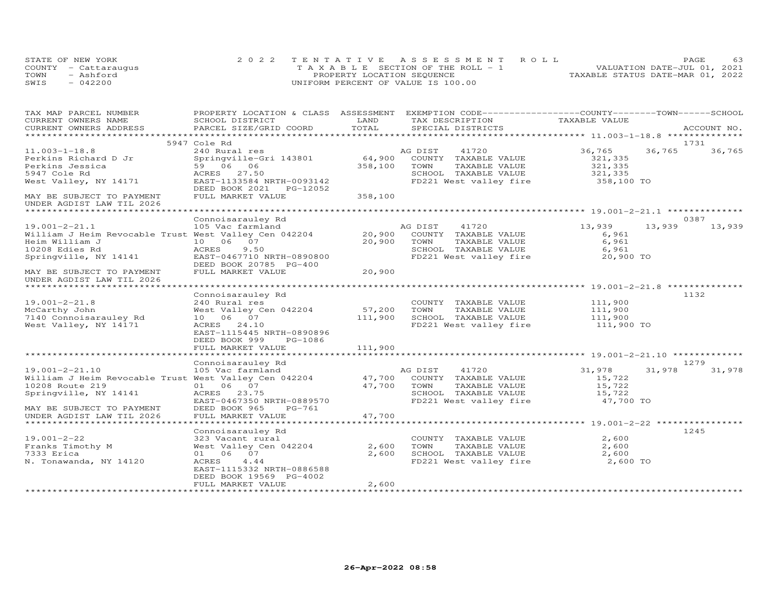|      | STATE OF NEW YORK    | 2022 TENTATIVE ASSESSMENT ROLL        | <b>PAGE</b>                      |
|------|----------------------|---------------------------------------|----------------------------------|
|      | COUNTY - Cattaraugus | T A X A B L E SECTION OF THE ROLL - 1 | VALUATION DATE-JUL 01, 2021      |
| TOWN | $-$ Ashford          | PROPERTY LOCATION SEQUENCE            | TAXABLE STATUS DATE-MAR 01, 2022 |
| SWIS | 042200               | UNIFORM PERCENT OF VALUE IS 100.00    |                                  |

| TAX MAP PARCEL NUMBER                                  | PROPERTY LOCATION & CLASS ASSESSMENT EXEMPTION CODE----------------COUNTY-------TOWN------SCHOOL |         |               |                        |               |        |             |
|--------------------------------------------------------|--------------------------------------------------------------------------------------------------|---------|---------------|------------------------|---------------|--------|-------------|
| CURRENT OWNERS NAME                                    | SCHOOL DISTRICT                                                                                  | LAND    |               | TAX DESCRIPTION        | TAXABLE VALUE |        |             |
| CURRENT OWNERS ADDRESS                                 | PARCEL SIZE/GRID COORD                                                                           | TOTAL   |               | SPECIAL DISTRICTS      |               |        | ACCOUNT NO. |
|                                                        |                                                                                                  |         |               |                        |               |        |             |
|                                                        | 5947 Cole Rd                                                                                     |         |               |                        |               |        | 1731        |
| $11.003 - 1 - 18.8$                                    | 240 Rural res                                                                                    |         | AG DIST       | 41720                  | 36,765        | 36,765 | 36,765      |
| Perkins Richard D Jr                                   | Springville-Gri 143801                                                                           | 64,900  |               | COUNTY TAXABLE VALUE   | 321,335       |        |             |
| Perkins Jessica                                        | 59 06 06                                                                                         | 358,100 | TOWN          | TAXABLE VALUE          | 321,335       |        |             |
| 5947 Cole Rd                                           | ACRES 27.50                                                                                      |         |               | SCHOOL TAXABLE VALUE   | 321,335       |        |             |
| West Valley, NY 14171                                  | EAST-1133584 NRTH-0093142                                                                        |         |               | FD221 West valley fire | 358,100 TO    |        |             |
|                                                        | DEED BOOK 2021 PG-12052                                                                          |         |               |                        |               |        |             |
| MAY BE SUBJECT TO PAYMENT<br>UNDER AGDIST LAW TIL 2026 | FULL MARKET VALUE                                                                                | 358,100 |               |                        |               |        |             |
|                                                        |                                                                                                  |         |               |                        |               |        |             |
|                                                        | Connoisarauley Rd                                                                                |         |               |                        |               |        | 0387        |
| $19.001 - 2 - 21.1$                                    | 105 Vac farmland                                                                                 |         | AG DIST 41720 |                        | 13,939        | 13,939 | 13,939      |
| William J Heim Revocable Trust West Valley Cen 042204  |                                                                                                  | 20,900  |               | COUNTY TAXABLE VALUE   | 6,961         |        |             |
| Heim William J                                         | 10 06 07                                                                                         | 20,900  | TOWN          | TAXABLE VALUE          | 6,961         |        |             |
| 10208 Edies Rd                                         | ACRES<br>9.50                                                                                    |         |               | SCHOOL TAXABLE VALUE   | 6,961         |        |             |
| Springville, NY 14141                                  | EAST-0467710 NRTH-0890800<br>DEED BOOK 20785 PG-400                                              |         |               | FD221 West valley fire | 20,900 TO     |        |             |
| MAY BE SUBJECT TO PAYMENT<br>UNDER AGDIST LAW TIL 2026 | FULL MARKET VALUE                                                                                | 20,900  |               |                        |               |        |             |
| ******************************                         |                                                                                                  |         |               |                        |               |        |             |
|                                                        | Connoisarauley Rd                                                                                |         |               |                        |               |        | 1132        |
| $19.001 - 2 - 21.8$                                    | 240 Rural res                                                                                    |         |               | COUNTY TAXABLE VALUE   | 111,900       |        |             |
| McCarthy John                                          | West Valley Cen 042204                                                                           | 57,200  | TOWN          | TAXABLE VALUE          | 111,900       |        |             |
| 7140 Connoisarauley Rd                                 | 10 06 07                                                                                         | 111,900 |               | SCHOOL TAXABLE VALUE   | 111,900       |        |             |
| West Valley, NY 14171                                  | ACRES 24.10                                                                                      |         |               | FD221 West valley fire | 111,900 TO    |        |             |
|                                                        | EAST-1115445 NRTH-0890896                                                                        |         |               |                        |               |        |             |
|                                                        | DEED BOOK 999<br>PG-1086                                                                         |         |               |                        |               |        |             |
|                                                        | FULL MARKET VALUE                                                                                | 111,900 |               |                        |               |        |             |
|                                                        |                                                                                                  |         |               |                        |               |        | 1279        |
| $19.001 - 2 - 21.10$                                   | Connoisarauley Rd<br>105 Vac farmland                                                            |         | AG DIST       | 41720                  | 31,978        | 31,978 | 31,978      |
| William J Heim Revocable Trust West Valley Cen 042204  |                                                                                                  | 47,700  |               | COUNTY TAXABLE VALUE   | 15,722        |        |             |
| 10208 Route 219                                        | 01 06 07                                                                                         | 47,700  | TOWN          | TAXABLE VALUE          | 15,722        |        |             |
| Springville, NY 14141                                  | ACRES 23.75                                                                                      |         |               | SCHOOL TAXABLE VALUE   | 15,722        |        |             |
|                                                        | EAST-0467350 NRTH-0889570                                                                        |         |               | FD221 West valley fire | 47,700 TO     |        |             |
| MAY BE SUBJECT TO PAYMENT                              | DEED BOOK 965<br>PG-761                                                                          |         |               |                        |               |        |             |
| UNDER AGDIST LAW TIL 2026                              | FULL MARKET VALUE                                                                                | 47,700  |               |                        |               |        |             |
|                                                        |                                                                                                  |         |               |                        |               |        |             |
|                                                        | Connoisarauley Rd                                                                                |         |               |                        |               |        | 1245        |
| $19.001 - 2 - 22$                                      | 323 Vacant rural                                                                                 |         |               | COUNTY TAXABLE VALUE   | 2,600         |        |             |
| Franks Timothy M                                       | West Valley Cen 042204                                                                           | 2,600   | TOWN          | TAXABLE VALUE          | 2,600         |        |             |
| 7333 Erica                                             | 01 06 07                                                                                         | 2,600   |               | SCHOOL TAXABLE VALUE   | 2,600         |        |             |
| N. Tonawanda, NY 14120                                 | ACRES<br>4.44                                                                                    |         |               | FD221 West valley fire | 2,600 TO      |        |             |
|                                                        | EAST-1115332 NRTH-0886588                                                                        |         |               |                        |               |        |             |
|                                                        | DEED BOOK 19569 PG-4002                                                                          |         |               |                        |               |        |             |
|                                                        | FULL MARKET VALUE                                                                                | 2,600   |               |                        |               |        |             |
|                                                        |                                                                                                  |         |               |                        |               |        |             |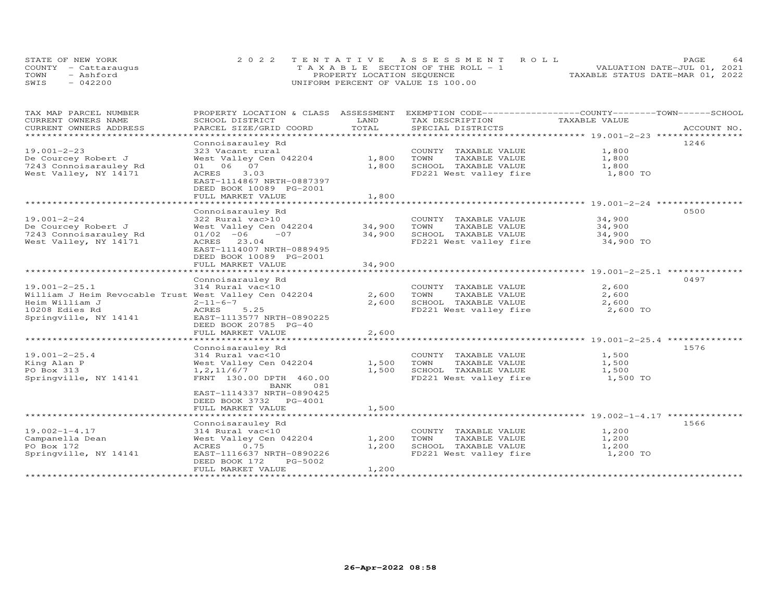| STATE OF NEW YORK    | 2022 TENTATIVE ASSESSMENT ROLL        | 64<br><b>PAGE</b>                |
|----------------------|---------------------------------------|----------------------------------|
| COUNTY - Cattaraugus | T A X A B L E SECTION OF THE ROLL - 1 | VALUATION DATE-JUL 01, 2021      |
| TOWN<br>- Ashford    | PROPERTY LOCATION SEQUENCE            | TAXABLE STATUS DATE-MAR 01, 2022 |
| SWIS<br>$-042200$    | UNIFORM PERCENT OF VALUE IS 100.00    |                                  |

| TAX MAP PARCEL NUMBER                                 | PROPERTY LOCATION & CLASS ASSESSMENT |               | EXEMPTION CODE-----------------COUNTY-------TOWN------SCHOOL |               |             |
|-------------------------------------------------------|--------------------------------------|---------------|--------------------------------------------------------------|---------------|-------------|
| CURRENT OWNERS NAME                                   | SCHOOL DISTRICT                      | LAND          | TAX DESCRIPTION                                              | TAXABLE VALUE |             |
| CURRENT OWNERS ADDRESS                                | PARCEL SIZE/GRID COORD               | TOTAL         | SPECIAL DISTRICTS                                            |               | ACCOUNT NO. |
| **********************                                |                                      |               |                                                              |               |             |
|                                                       | Connoisarauley Rd                    |               |                                                              |               | 1246        |
| $19.001 - 2 - 23$                                     | 323 Vacant rural                     |               | COUNTY TAXABLE VALUE                                         | 1,800         |             |
| De Courcey Robert J                                   | West Valley Cen 042204               | 1,800         | TOWN<br>TAXABLE VALUE                                        | 1,800         |             |
| 7243 Connoisarauley Rd                                | 01 06 07                             | 1,800         | SCHOOL TAXABLE VALUE                                         | 1,800         |             |
| West Valley, NY 14171                                 | 3.03<br>ACRES                        |               | FD221 West valley fire                                       | 1,800 TO      |             |
|                                                       | EAST-1114867 NRTH-0887397            |               |                                                              |               |             |
|                                                       | DEED BOOK 10089 PG-2001              |               |                                                              |               |             |
|                                                       | FULL MARKET VALUE                    | 1,800         |                                                              |               |             |
|                                                       | ********************                 | ***********   |                                                              |               |             |
|                                                       | Connoisarauley Rd                    |               |                                                              |               | 0500        |
| $19.001 - 2 - 24$                                     | 322 Rural vac>10                     |               | COUNTY TAXABLE VALUE                                         | 34,900        |             |
| De Courcey Robert J                                   | West Valley Cen 042204               | 34,900        | TAXABLE VALUE<br>TOWN                                        | 34,900        |             |
| 7243 Connoisarauley Rd                                | $01/02 -06$<br>$-07$                 | 34,900        | SCHOOL TAXABLE VALUE                                         | 34,900        |             |
| West Valley, NY 14171                                 | ACRES 23.04                          |               | FD221 West valley fire                                       | 34,900 TO     |             |
|                                                       | EAST-1114007 NRTH-0889495            |               |                                                              |               |             |
|                                                       | DEED BOOK 10089 PG-2001              |               |                                                              |               |             |
|                                                       | FULL MARKET VALUE                    | 34,900        |                                                              |               |             |
|                                                       |                                      |               |                                                              |               |             |
|                                                       | Connoisarauley Rd                    |               |                                                              |               | 0497        |
| $19.001 - 2 - 25.1$                                   | 314 Rural vac<10                     |               | COUNTY TAXABLE VALUE                                         | 2,600         |             |
| William J Heim Revocable Trust West Valley Cen 042204 |                                      | 2,600         | TOWN<br>TAXABLE VALUE                                        | 2,600         |             |
| Heim William J                                        | $2 - 11 - 6 - 7$                     | 2,600         | SCHOOL TAXABLE VALUE                                         | 2,600         |             |
| 10208 Edies Rd                                        | 5.25<br>ACRES                        |               | FD221 West valley fire                                       | 2,600 TO      |             |
| Springville, NY 14141                                 | EAST-1113577 NRTH-0890225            |               |                                                              |               |             |
|                                                       | DEED BOOK 20785 PG-40                |               |                                                              |               |             |
|                                                       | FULL MARKET VALUE                    | 2,600         |                                                              |               |             |
|                                                       | ********************************     | ************* |                                                              |               |             |
|                                                       | Connoisarauley Rd                    |               |                                                              |               | 1576        |
| $19.001 - 2 - 25.4$                                   | 314 Rural vac<10                     |               | COUNTY TAXABLE VALUE                                         | 1,500         |             |
| King Alan P                                           | West Valley Cen 042204               | 1,500         | TOWN<br>TAXABLE VALUE                                        | 1,500         |             |
| PO Box 313                                            | 1, 2, 11/6/7                         | 1,500         | SCHOOL TAXABLE VALUE                                         | 1,500         |             |
| Springville, NY 14141                                 | FRNT 130.00 DPTH 460.00              |               | FD221 West valley fire                                       | 1,500 TO      |             |
|                                                       | BANK<br>081                          |               |                                                              |               |             |
|                                                       | EAST-1114337 NRTH-0890425            |               |                                                              |               |             |
|                                                       | DEED BOOK 3732 PG-4001               |               |                                                              |               |             |
|                                                       | FULL MARKET VALUE                    | 1,500         |                                                              |               |             |
|                                                       |                                      |               |                                                              |               |             |
|                                                       | Connoisarauley Rd                    |               |                                                              |               | 1566        |
| $19.002 - 1 - 4.17$                                   | 314 Rural vac<10                     |               | COUNTY TAXABLE VALUE                                         | 1,200         |             |
| Campanella Dean                                       | West Valley Cen 042204               | 1,200         | TAXABLE VALUE<br>TOWN                                        | 1,200         |             |
| PO Box 172                                            | 0.75<br>ACRES                        | 1,200         | SCHOOL TAXABLE VALUE                                         | 1,200         |             |
| Springville, NY 14141                                 | EAST-1116637 NRTH-0890226            |               | FD221 West valley fire                                       | 1,200 TO      |             |
|                                                       | DEED BOOK 172<br>PG-5002             |               |                                                              |               |             |
|                                                       | FULL MARKET VALUE                    | 1,200         |                                                              |               |             |
|                                                       |                                      |               |                                                              |               |             |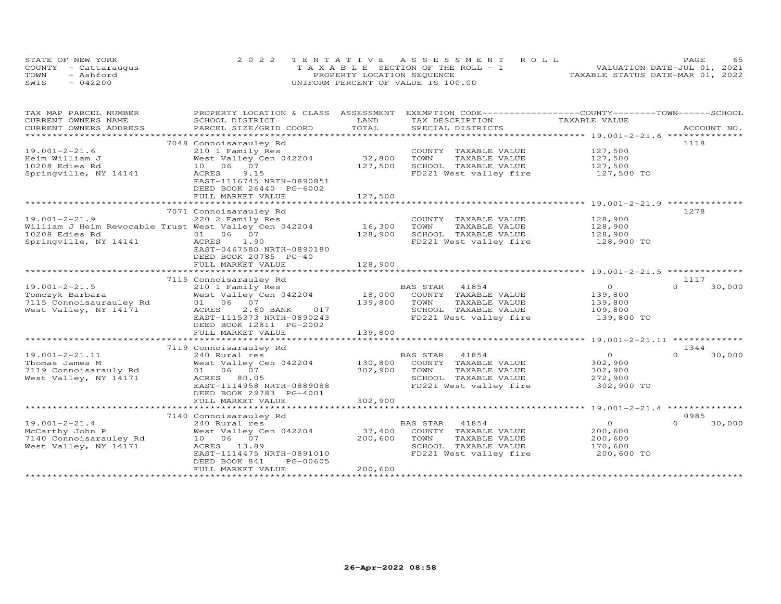|      | STATE OF NEW YORK    | 2022 TENTATIVE ASSESSMENT ROLL        | PAGE                             |
|------|----------------------|---------------------------------------|----------------------------------|
|      | COUNTY - Cattaraugus | T A X A B L E SECTION OF THE ROLL - 1 | VALUATION DATE-JUL 01, 2021      |
| TOWN | - Ashford            | PROPERTY LOCATION SEQUENCE            | TAXABLE STATUS DATE-MAR 01, 2022 |
| SWIS | $-042200$            | UNIFORM PERCENT OF VALUE IS 100.00    |                                  |

| TOTAL<br>CURRENT OWNERS ADDRESS<br>PARCEL SIZE/GRID COORD<br>SPECIAL DISTRICTS<br>ACCOUNT NO.<br>*********************<br>7048 Connoisarauley Rd<br>1118<br>$19.001 - 2 - 21.6$<br>127,500<br>210 1 Family Res<br>COUNTY TAXABLE VALUE<br>West Valley Cen 042204<br>32,800<br>TOWN<br>TAXABLE VALUE<br>127,500<br>127,500<br>10 06 07<br>127,500<br>SCHOOL TAXABLE VALUE<br>9.15<br>FD221 West valley fire<br>ACRES<br>127,500 TO<br>EAST-1116745 NRTH-0890851<br>DEED BOOK 26440 PG-6002<br>FULL MARKET VALUE<br>127,500<br>************************* 19.001-2-21.9 *********<br>***********************<br>***********<br>7071 Connoisarauley Rd<br>1278<br>220 2 Family Res<br>128,900<br>COUNTY TAXABLE VALUE<br>16,300<br>William J Heim Revocable Trust West Valley Cen 042204<br>TOWN<br>TAXABLE VALUE<br>128,900<br>01 06 07<br>128,900<br>SCHOOL TAXABLE VALUE<br>128,900<br>Springville, NY 14141<br>1.90<br>FD221 West valley fire<br>128,900 TO<br>ACRES<br>EAST-0467580 NRTH-0890180<br>DEED BOOK 20785 PG-40<br>128,900<br>FULL MARKET VALUE<br>7115 Connoisarauley Rd<br>1117<br>$19.001 - 2 - 21.5$<br>BAS STAR<br>$\overline{0}$<br>30,000<br>210 1 Family Res<br>41854<br>$\Omega$<br>18,000 COUNTY TAXABLE VALUE<br>Tomczyk Barbara<br>West Valley Cen 042204<br>139,800<br>139,800<br>TOWN<br>TAXABLE VALUE<br>139,800<br>West Valley, NY 14171<br>ACRES<br>2.60 BANK<br>017<br>SCHOOL TAXABLE VALUE<br>109,800<br>EAST-1115373 NRTH-0890243<br>FD221 West valley fire<br>139,800 TO<br>DEED BOOK 12811 PG-2002<br>FULL MARKET VALUE<br>139,800<br>7119 Connoisarauley Rd<br>1344<br>$\circ$<br>$19.001 - 2 - 21.11$<br>$\cap$<br>30,000<br>240 Rural res<br>BAS STAR<br>41854<br>West Valley Cen 042204<br>130,800<br>COUNTY TAXABLE VALUE<br>302,900<br>Thomas James M<br>01 06 07<br>302,900<br>TAXABLE VALUE<br>302,900<br>7119 Connoisarauly Rd<br>TOWN<br>West Valley, NY 14171<br>ACRES 80.05<br>SCHOOL TAXABLE VALUE<br>272,900<br>EAST-1114958 NRTH-0889088<br>FD221 West valley fire<br>302,900 TO<br>DEED BOOK 29783 PG-4001<br>FULL MARKET VALUE<br>302,900<br>7140 Connoisarauley Rd<br>0985<br>$19.001 - 2 - 21.4$<br>BAS STAR<br>41854<br>$\circ$<br>$\cap$<br>30,000<br>240 Rural res<br>McCarthy John P<br>West Valley Cen 042204<br>37,400<br>COUNTY TAXABLE VALUE<br>200,600<br>7140 Connoisarauley Rd<br>10  06  07<br>200,600<br>TOWN<br>TAXABLE VALUE<br>200,600<br>West Valley, NY 14171<br>ACRES 13.89<br>SCHOOL TAXABLE VALUE<br>170,600<br>FD221 West valley fire<br>200,600 TO<br>EAST-1114475 NRTH-0891010<br>DEED BOOK 841<br>PG-00605<br>200,600<br>FULL MARKET VALUE | TAX MAP PARCEL NUMBER | PROPERTY LOCATION & CLASS ASSESSMENT EXEMPTION CODE----------------COUNTY-------TOWN-----SCHOOL |      |                 |               |  |
|-------------------------------------------------------------------------------------------------------------------------------------------------------------------------------------------------------------------------------------------------------------------------------------------------------------------------------------------------------------------------------------------------------------------------------------------------------------------------------------------------------------------------------------------------------------------------------------------------------------------------------------------------------------------------------------------------------------------------------------------------------------------------------------------------------------------------------------------------------------------------------------------------------------------------------------------------------------------------------------------------------------------------------------------------------------------------------------------------------------------------------------------------------------------------------------------------------------------------------------------------------------------------------------------------------------------------------------------------------------------------------------------------------------------------------------------------------------------------------------------------------------------------------------------------------------------------------------------------------------------------------------------------------------------------------------------------------------------------------------------------------------------------------------------------------------------------------------------------------------------------------------------------------------------------------------------------------------------------------------------------------------------------------------------------------------------------------------------------------------------------------------------------------------------------------------------------------------------------------------------------------------------------------------------------------------------------------------------------------------------------------------------------------------------------------------------------------------------------------------------------------------------------------------------------------------------------------------------------------------------------|-----------------------|-------------------------------------------------------------------------------------------------|------|-----------------|---------------|--|
|                                                                                                                                                                                                                                                                                                                                                                                                                                                                                                                                                                                                                                                                                                                                                                                                                                                                                                                                                                                                                                                                                                                                                                                                                                                                                                                                                                                                                                                                                                                                                                                                                                                                                                                                                                                                                                                                                                                                                                                                                                                                                                                                                                                                                                                                                                                                                                                                                                                                                                                                                                                                                         | CURRENT OWNERS NAME   | SCHOOL DISTRICT                                                                                 | LAND | TAX DESCRIPTION | TAXABLE VALUE |  |
|                                                                                                                                                                                                                                                                                                                                                                                                                                                                                                                                                                                                                                                                                                                                                                                                                                                                                                                                                                                                                                                                                                                                                                                                                                                                                                                                                                                                                                                                                                                                                                                                                                                                                                                                                                                                                                                                                                                                                                                                                                                                                                                                                                                                                                                                                                                                                                                                                                                                                                                                                                                                                         |                       |                                                                                                 |      |                 |               |  |
|                                                                                                                                                                                                                                                                                                                                                                                                                                                                                                                                                                                                                                                                                                                                                                                                                                                                                                                                                                                                                                                                                                                                                                                                                                                                                                                                                                                                                                                                                                                                                                                                                                                                                                                                                                                                                                                                                                                                                                                                                                                                                                                                                                                                                                                                                                                                                                                                                                                                                                                                                                                                                         |                       |                                                                                                 |      |                 |               |  |
|                                                                                                                                                                                                                                                                                                                                                                                                                                                                                                                                                                                                                                                                                                                                                                                                                                                                                                                                                                                                                                                                                                                                                                                                                                                                                                                                                                                                                                                                                                                                                                                                                                                                                                                                                                                                                                                                                                                                                                                                                                                                                                                                                                                                                                                                                                                                                                                                                                                                                                                                                                                                                         |                       |                                                                                                 |      |                 |               |  |
|                                                                                                                                                                                                                                                                                                                                                                                                                                                                                                                                                                                                                                                                                                                                                                                                                                                                                                                                                                                                                                                                                                                                                                                                                                                                                                                                                                                                                                                                                                                                                                                                                                                                                                                                                                                                                                                                                                                                                                                                                                                                                                                                                                                                                                                                                                                                                                                                                                                                                                                                                                                                                         |                       |                                                                                                 |      |                 |               |  |
|                                                                                                                                                                                                                                                                                                                                                                                                                                                                                                                                                                                                                                                                                                                                                                                                                                                                                                                                                                                                                                                                                                                                                                                                                                                                                                                                                                                                                                                                                                                                                                                                                                                                                                                                                                                                                                                                                                                                                                                                                                                                                                                                                                                                                                                                                                                                                                                                                                                                                                                                                                                                                         | Heim William J        |                                                                                                 |      |                 |               |  |
|                                                                                                                                                                                                                                                                                                                                                                                                                                                                                                                                                                                                                                                                                                                                                                                                                                                                                                                                                                                                                                                                                                                                                                                                                                                                                                                                                                                                                                                                                                                                                                                                                                                                                                                                                                                                                                                                                                                                                                                                                                                                                                                                                                                                                                                                                                                                                                                                                                                                                                                                                                                                                         | 10208 Edies Rd        |                                                                                                 |      |                 |               |  |
|                                                                                                                                                                                                                                                                                                                                                                                                                                                                                                                                                                                                                                                                                                                                                                                                                                                                                                                                                                                                                                                                                                                                                                                                                                                                                                                                                                                                                                                                                                                                                                                                                                                                                                                                                                                                                                                                                                                                                                                                                                                                                                                                                                                                                                                                                                                                                                                                                                                                                                                                                                                                                         | Springville, NY 14141 |                                                                                                 |      |                 |               |  |
|                                                                                                                                                                                                                                                                                                                                                                                                                                                                                                                                                                                                                                                                                                                                                                                                                                                                                                                                                                                                                                                                                                                                                                                                                                                                                                                                                                                                                                                                                                                                                                                                                                                                                                                                                                                                                                                                                                                                                                                                                                                                                                                                                                                                                                                                                                                                                                                                                                                                                                                                                                                                                         |                       |                                                                                                 |      |                 |               |  |
|                                                                                                                                                                                                                                                                                                                                                                                                                                                                                                                                                                                                                                                                                                                                                                                                                                                                                                                                                                                                                                                                                                                                                                                                                                                                                                                                                                                                                                                                                                                                                                                                                                                                                                                                                                                                                                                                                                                                                                                                                                                                                                                                                                                                                                                                                                                                                                                                                                                                                                                                                                                                                         |                       |                                                                                                 |      |                 |               |  |
|                                                                                                                                                                                                                                                                                                                                                                                                                                                                                                                                                                                                                                                                                                                                                                                                                                                                                                                                                                                                                                                                                                                                                                                                                                                                                                                                                                                                                                                                                                                                                                                                                                                                                                                                                                                                                                                                                                                                                                                                                                                                                                                                                                                                                                                                                                                                                                                                                                                                                                                                                                                                                         |                       |                                                                                                 |      |                 |               |  |
|                                                                                                                                                                                                                                                                                                                                                                                                                                                                                                                                                                                                                                                                                                                                                                                                                                                                                                                                                                                                                                                                                                                                                                                                                                                                                                                                                                                                                                                                                                                                                                                                                                                                                                                                                                                                                                                                                                                                                                                                                                                                                                                                                                                                                                                                                                                                                                                                                                                                                                                                                                                                                         |                       |                                                                                                 |      |                 |               |  |
|                                                                                                                                                                                                                                                                                                                                                                                                                                                                                                                                                                                                                                                                                                                                                                                                                                                                                                                                                                                                                                                                                                                                                                                                                                                                                                                                                                                                                                                                                                                                                                                                                                                                                                                                                                                                                                                                                                                                                                                                                                                                                                                                                                                                                                                                                                                                                                                                                                                                                                                                                                                                                         |                       |                                                                                                 |      |                 |               |  |
|                                                                                                                                                                                                                                                                                                                                                                                                                                                                                                                                                                                                                                                                                                                                                                                                                                                                                                                                                                                                                                                                                                                                                                                                                                                                                                                                                                                                                                                                                                                                                                                                                                                                                                                                                                                                                                                                                                                                                                                                                                                                                                                                                                                                                                                                                                                                                                                                                                                                                                                                                                                                                         | $19.001 - 2 - 21.9$   |                                                                                                 |      |                 |               |  |
|                                                                                                                                                                                                                                                                                                                                                                                                                                                                                                                                                                                                                                                                                                                                                                                                                                                                                                                                                                                                                                                                                                                                                                                                                                                                                                                                                                                                                                                                                                                                                                                                                                                                                                                                                                                                                                                                                                                                                                                                                                                                                                                                                                                                                                                                                                                                                                                                                                                                                                                                                                                                                         |                       |                                                                                                 |      |                 |               |  |
|                                                                                                                                                                                                                                                                                                                                                                                                                                                                                                                                                                                                                                                                                                                                                                                                                                                                                                                                                                                                                                                                                                                                                                                                                                                                                                                                                                                                                                                                                                                                                                                                                                                                                                                                                                                                                                                                                                                                                                                                                                                                                                                                                                                                                                                                                                                                                                                                                                                                                                                                                                                                                         | 10208 Edies Rd        |                                                                                                 |      |                 |               |  |
|                                                                                                                                                                                                                                                                                                                                                                                                                                                                                                                                                                                                                                                                                                                                                                                                                                                                                                                                                                                                                                                                                                                                                                                                                                                                                                                                                                                                                                                                                                                                                                                                                                                                                                                                                                                                                                                                                                                                                                                                                                                                                                                                                                                                                                                                                                                                                                                                                                                                                                                                                                                                                         |                       |                                                                                                 |      |                 |               |  |
|                                                                                                                                                                                                                                                                                                                                                                                                                                                                                                                                                                                                                                                                                                                                                                                                                                                                                                                                                                                                                                                                                                                                                                                                                                                                                                                                                                                                                                                                                                                                                                                                                                                                                                                                                                                                                                                                                                                                                                                                                                                                                                                                                                                                                                                                                                                                                                                                                                                                                                                                                                                                                         |                       |                                                                                                 |      |                 |               |  |
|                                                                                                                                                                                                                                                                                                                                                                                                                                                                                                                                                                                                                                                                                                                                                                                                                                                                                                                                                                                                                                                                                                                                                                                                                                                                                                                                                                                                                                                                                                                                                                                                                                                                                                                                                                                                                                                                                                                                                                                                                                                                                                                                                                                                                                                                                                                                                                                                                                                                                                                                                                                                                         |                       |                                                                                                 |      |                 |               |  |
|                                                                                                                                                                                                                                                                                                                                                                                                                                                                                                                                                                                                                                                                                                                                                                                                                                                                                                                                                                                                                                                                                                                                                                                                                                                                                                                                                                                                                                                                                                                                                                                                                                                                                                                                                                                                                                                                                                                                                                                                                                                                                                                                                                                                                                                                                                                                                                                                                                                                                                                                                                                                                         |                       |                                                                                                 |      |                 |               |  |
|                                                                                                                                                                                                                                                                                                                                                                                                                                                                                                                                                                                                                                                                                                                                                                                                                                                                                                                                                                                                                                                                                                                                                                                                                                                                                                                                                                                                                                                                                                                                                                                                                                                                                                                                                                                                                                                                                                                                                                                                                                                                                                                                                                                                                                                                                                                                                                                                                                                                                                                                                                                                                         |                       |                                                                                                 |      |                 |               |  |
|                                                                                                                                                                                                                                                                                                                                                                                                                                                                                                                                                                                                                                                                                                                                                                                                                                                                                                                                                                                                                                                                                                                                                                                                                                                                                                                                                                                                                                                                                                                                                                                                                                                                                                                                                                                                                                                                                                                                                                                                                                                                                                                                                                                                                                                                                                                                                                                                                                                                                                                                                                                                                         |                       |                                                                                                 |      |                 |               |  |
|                                                                                                                                                                                                                                                                                                                                                                                                                                                                                                                                                                                                                                                                                                                                                                                                                                                                                                                                                                                                                                                                                                                                                                                                                                                                                                                                                                                                                                                                                                                                                                                                                                                                                                                                                                                                                                                                                                                                                                                                                                                                                                                                                                                                                                                                                                                                                                                                                                                                                                                                                                                                                         |                       |                                                                                                 |      |                 |               |  |
|                                                                                                                                                                                                                                                                                                                                                                                                                                                                                                                                                                                                                                                                                                                                                                                                                                                                                                                                                                                                                                                                                                                                                                                                                                                                                                                                                                                                                                                                                                                                                                                                                                                                                                                                                                                                                                                                                                                                                                                                                                                                                                                                                                                                                                                                                                                                                                                                                                                                                                                                                                                                                         |                       |                                                                                                 |      |                 |               |  |
|                                                                                                                                                                                                                                                                                                                                                                                                                                                                                                                                                                                                                                                                                                                                                                                                                                                                                                                                                                                                                                                                                                                                                                                                                                                                                                                                                                                                                                                                                                                                                                                                                                                                                                                                                                                                                                                                                                                                                                                                                                                                                                                                                                                                                                                                                                                                                                                                                                                                                                                                                                                                                         |                       |                                                                                                 |      |                 |               |  |
|                                                                                                                                                                                                                                                                                                                                                                                                                                                                                                                                                                                                                                                                                                                                                                                                                                                                                                                                                                                                                                                                                                                                                                                                                                                                                                                                                                                                                                                                                                                                                                                                                                                                                                                                                                                                                                                                                                                                                                                                                                                                                                                                                                                                                                                                                                                                                                                                                                                                                                                                                                                                                         |                       |                                                                                                 |      |                 |               |  |
|                                                                                                                                                                                                                                                                                                                                                                                                                                                                                                                                                                                                                                                                                                                                                                                                                                                                                                                                                                                                                                                                                                                                                                                                                                                                                                                                                                                                                                                                                                                                                                                                                                                                                                                                                                                                                                                                                                                                                                                                                                                                                                                                                                                                                                                                                                                                                                                                                                                                                                                                                                                                                         |                       |                                                                                                 |      |                 |               |  |
|                                                                                                                                                                                                                                                                                                                                                                                                                                                                                                                                                                                                                                                                                                                                                                                                                                                                                                                                                                                                                                                                                                                                                                                                                                                                                                                                                                                                                                                                                                                                                                                                                                                                                                                                                                                                                                                                                                                                                                                                                                                                                                                                                                                                                                                                                                                                                                                                                                                                                                                                                                                                                         |                       |                                                                                                 |      |                 |               |  |
|                                                                                                                                                                                                                                                                                                                                                                                                                                                                                                                                                                                                                                                                                                                                                                                                                                                                                                                                                                                                                                                                                                                                                                                                                                                                                                                                                                                                                                                                                                                                                                                                                                                                                                                                                                                                                                                                                                                                                                                                                                                                                                                                                                                                                                                                                                                                                                                                                                                                                                                                                                                                                         |                       |                                                                                                 |      |                 |               |  |
|                                                                                                                                                                                                                                                                                                                                                                                                                                                                                                                                                                                                                                                                                                                                                                                                                                                                                                                                                                                                                                                                                                                                                                                                                                                                                                                                                                                                                                                                                                                                                                                                                                                                                                                                                                                                                                                                                                                                                                                                                                                                                                                                                                                                                                                                                                                                                                                                                                                                                                                                                                                                                         |                       |                                                                                                 |      |                 |               |  |
|                                                                                                                                                                                                                                                                                                                                                                                                                                                                                                                                                                                                                                                                                                                                                                                                                                                                                                                                                                                                                                                                                                                                                                                                                                                                                                                                                                                                                                                                                                                                                                                                                                                                                                                                                                                                                                                                                                                                                                                                                                                                                                                                                                                                                                                                                                                                                                                                                                                                                                                                                                                                                         |                       |                                                                                                 |      |                 |               |  |
|                                                                                                                                                                                                                                                                                                                                                                                                                                                                                                                                                                                                                                                                                                                                                                                                                                                                                                                                                                                                                                                                                                                                                                                                                                                                                                                                                                                                                                                                                                                                                                                                                                                                                                                                                                                                                                                                                                                                                                                                                                                                                                                                                                                                                                                                                                                                                                                                                                                                                                                                                                                                                         |                       |                                                                                                 |      |                 |               |  |
|                                                                                                                                                                                                                                                                                                                                                                                                                                                                                                                                                                                                                                                                                                                                                                                                                                                                                                                                                                                                                                                                                                                                                                                                                                                                                                                                                                                                                                                                                                                                                                                                                                                                                                                                                                                                                                                                                                                                                                                                                                                                                                                                                                                                                                                                                                                                                                                                                                                                                                                                                                                                                         |                       |                                                                                                 |      |                 |               |  |
|                                                                                                                                                                                                                                                                                                                                                                                                                                                                                                                                                                                                                                                                                                                                                                                                                                                                                                                                                                                                                                                                                                                                                                                                                                                                                                                                                                                                                                                                                                                                                                                                                                                                                                                                                                                                                                                                                                                                                                                                                                                                                                                                                                                                                                                                                                                                                                                                                                                                                                                                                                                                                         |                       |                                                                                                 |      |                 |               |  |
|                                                                                                                                                                                                                                                                                                                                                                                                                                                                                                                                                                                                                                                                                                                                                                                                                                                                                                                                                                                                                                                                                                                                                                                                                                                                                                                                                                                                                                                                                                                                                                                                                                                                                                                                                                                                                                                                                                                                                                                                                                                                                                                                                                                                                                                                                                                                                                                                                                                                                                                                                                                                                         |                       |                                                                                                 |      |                 |               |  |
|                                                                                                                                                                                                                                                                                                                                                                                                                                                                                                                                                                                                                                                                                                                                                                                                                                                                                                                                                                                                                                                                                                                                                                                                                                                                                                                                                                                                                                                                                                                                                                                                                                                                                                                                                                                                                                                                                                                                                                                                                                                                                                                                                                                                                                                                                                                                                                                                                                                                                                                                                                                                                         |                       |                                                                                                 |      |                 |               |  |
|                                                                                                                                                                                                                                                                                                                                                                                                                                                                                                                                                                                                                                                                                                                                                                                                                                                                                                                                                                                                                                                                                                                                                                                                                                                                                                                                                                                                                                                                                                                                                                                                                                                                                                                                                                                                                                                                                                                                                                                                                                                                                                                                                                                                                                                                                                                                                                                                                                                                                                                                                                                                                         |                       |                                                                                                 |      |                 |               |  |
|                                                                                                                                                                                                                                                                                                                                                                                                                                                                                                                                                                                                                                                                                                                                                                                                                                                                                                                                                                                                                                                                                                                                                                                                                                                                                                                                                                                                                                                                                                                                                                                                                                                                                                                                                                                                                                                                                                                                                                                                                                                                                                                                                                                                                                                                                                                                                                                                                                                                                                                                                                                                                         |                       |                                                                                                 |      |                 |               |  |
|                                                                                                                                                                                                                                                                                                                                                                                                                                                                                                                                                                                                                                                                                                                                                                                                                                                                                                                                                                                                                                                                                                                                                                                                                                                                                                                                                                                                                                                                                                                                                                                                                                                                                                                                                                                                                                                                                                                                                                                                                                                                                                                                                                                                                                                                                                                                                                                                                                                                                                                                                                                                                         |                       |                                                                                                 |      |                 |               |  |
|                                                                                                                                                                                                                                                                                                                                                                                                                                                                                                                                                                                                                                                                                                                                                                                                                                                                                                                                                                                                                                                                                                                                                                                                                                                                                                                                                                                                                                                                                                                                                                                                                                                                                                                                                                                                                                                                                                                                                                                                                                                                                                                                                                                                                                                                                                                                                                                                                                                                                                                                                                                                                         |                       |                                                                                                 |      |                 |               |  |
|                                                                                                                                                                                                                                                                                                                                                                                                                                                                                                                                                                                                                                                                                                                                                                                                                                                                                                                                                                                                                                                                                                                                                                                                                                                                                                                                                                                                                                                                                                                                                                                                                                                                                                                                                                                                                                                                                                                                                                                                                                                                                                                                                                                                                                                                                                                                                                                                                                                                                                                                                                                                                         |                       |                                                                                                 |      |                 |               |  |
|                                                                                                                                                                                                                                                                                                                                                                                                                                                                                                                                                                                                                                                                                                                                                                                                                                                                                                                                                                                                                                                                                                                                                                                                                                                                                                                                                                                                                                                                                                                                                                                                                                                                                                                                                                                                                                                                                                                                                                                                                                                                                                                                                                                                                                                                                                                                                                                                                                                                                                                                                                                                                         |                       |                                                                                                 |      |                 |               |  |
|                                                                                                                                                                                                                                                                                                                                                                                                                                                                                                                                                                                                                                                                                                                                                                                                                                                                                                                                                                                                                                                                                                                                                                                                                                                                                                                                                                                                                                                                                                                                                                                                                                                                                                                                                                                                                                                                                                                                                                                                                                                                                                                                                                                                                                                                                                                                                                                                                                                                                                                                                                                                                         |                       |                                                                                                 |      |                 |               |  |
|                                                                                                                                                                                                                                                                                                                                                                                                                                                                                                                                                                                                                                                                                                                                                                                                                                                                                                                                                                                                                                                                                                                                                                                                                                                                                                                                                                                                                                                                                                                                                                                                                                                                                                                                                                                                                                                                                                                                                                                                                                                                                                                                                                                                                                                                                                                                                                                                                                                                                                                                                                                                                         |                       |                                                                                                 |      |                 |               |  |
|                                                                                                                                                                                                                                                                                                                                                                                                                                                                                                                                                                                                                                                                                                                                                                                                                                                                                                                                                                                                                                                                                                                                                                                                                                                                                                                                                                                                                                                                                                                                                                                                                                                                                                                                                                                                                                                                                                                                                                                                                                                                                                                                                                                                                                                                                                                                                                                                                                                                                                                                                                                                                         |                       |                                                                                                 |      |                 |               |  |
|                                                                                                                                                                                                                                                                                                                                                                                                                                                                                                                                                                                                                                                                                                                                                                                                                                                                                                                                                                                                                                                                                                                                                                                                                                                                                                                                                                                                                                                                                                                                                                                                                                                                                                                                                                                                                                                                                                                                                                                                                                                                                                                                                                                                                                                                                                                                                                                                                                                                                                                                                                                                                         |                       |                                                                                                 |      |                 |               |  |
|                                                                                                                                                                                                                                                                                                                                                                                                                                                                                                                                                                                                                                                                                                                                                                                                                                                                                                                                                                                                                                                                                                                                                                                                                                                                                                                                                                                                                                                                                                                                                                                                                                                                                                                                                                                                                                                                                                                                                                                                                                                                                                                                                                                                                                                                                                                                                                                                                                                                                                                                                                                                                         |                       |                                                                                                 |      |                 |               |  |
|                                                                                                                                                                                                                                                                                                                                                                                                                                                                                                                                                                                                                                                                                                                                                                                                                                                                                                                                                                                                                                                                                                                                                                                                                                                                                                                                                                                                                                                                                                                                                                                                                                                                                                                                                                                                                                                                                                                                                                                                                                                                                                                                                                                                                                                                                                                                                                                                                                                                                                                                                                                                                         |                       |                                                                                                 |      |                 |               |  |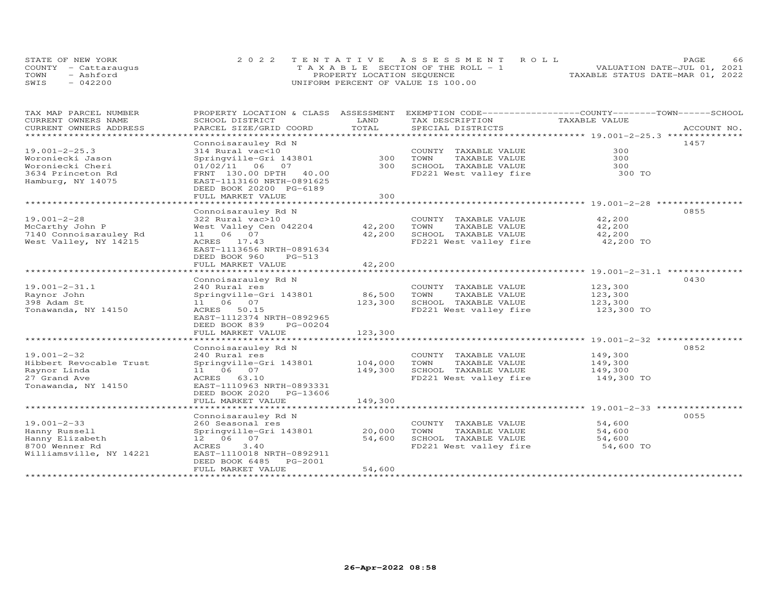| STATE OF NEW YORK    | 2022 TENTATIVE ASSESSMENT ROLL        | 66<br>PAGE.                      |
|----------------------|---------------------------------------|----------------------------------|
| COUNTY - Cattaraugus | T A X A B L E SECTION OF THE ROLL - 1 | VALUATION DATE-JUL 01, 2021      |
| TOWN<br>- Ashford    | PROPERTY LOCATION SEQUENCE            | TAXABLE STATUS DATE-MAR 01, 2022 |
| SWIS<br>$-042200$    | UNIFORM PERCENT OF VALUE IS 100.00    |                                  |

| TAX MAP PARCEL NUMBER                         |                                                |               | PROPERTY LOCATION & CLASS ASSESSMENT EXEMPTION CODE-----------------COUNTY-------TOWN------SCHOOL |                  |             |
|-----------------------------------------------|------------------------------------------------|---------------|---------------------------------------------------------------------------------------------------|------------------|-------------|
| CURRENT OWNERS NAME<br>CURRENT OWNERS ADDRESS | SCHOOL DISTRICT<br>PARCEL SIZE/GRID COORD      | LAND<br>TOTAL | TAX DESCRIPTION<br>SPECIAL DISTRICTS                                                              | TAXABLE VALUE    | ACCOUNT NO. |
| *******************                           |                                                |               |                                                                                                   |                  |             |
|                                               | Connoisarauley Rd N                            |               |                                                                                                   |                  | 1457        |
| $19.001 - 2 - 25.3$                           | 314 Rural vac<10                               |               | COUNTY TAXABLE VALUE                                                                              | 300              |             |
| Woroniecki Jason                              | Springville-Gri 143801                         | 300           | TOWN<br>TAXABLE VALUE                                                                             | 300              |             |
| Woroniecki Cheri                              | $01/02/11$ 06 07                               | 300           | SCHOOL TAXABLE VALUE                                                                              | 300              |             |
| 3634 Princeton Rd                             | FRNT 130.00 DPTH 40.00                         |               | FD221 West valley fire                                                                            | 300 TO           |             |
| Hamburg, NY 14075                             | EAST-1113160 NRTH-0891625                      |               |                                                                                                   |                  |             |
|                                               | DEED BOOK 20200 PG-6189                        |               |                                                                                                   |                  |             |
|                                               | FULL MARKET VALUE                              | 300           |                                                                                                   |                  |             |
|                                               |                                                |               |                                                                                                   |                  |             |
|                                               | Connoisarauley Rd N                            |               |                                                                                                   |                  | 0855        |
| $19.001 - 2 - 28$                             | 322 Rural vac>10                               |               | COUNTY TAXABLE VALUE                                                                              | 42,200           |             |
| McCarthy John P                               | West Valley Cen 042204                         | 42,200 TOWN   | TAXABLE VALUE                                                                                     | 42,200           |             |
| 7140 Connoisarauley Rd                        | 11 06 07                                       | 42,200        | SCHOOL TAXABLE VALUE                                                                              | 42,200           |             |
| West Valley, NY 14215                         | ACRES 17.43                                    |               | FD221 West valley fire                                                                            | 42,200 TO        |             |
|                                               | EAST-1113656 NRTH-0891634                      |               |                                                                                                   |                  |             |
|                                               | DEED BOOK 960<br>$PG-513$<br>FULL MARKET VALUE |               |                                                                                                   |                  |             |
|                                               |                                                | 42,200        |                                                                                                   |                  |             |
|                                               | Connoisarauley Rd N                            |               |                                                                                                   |                  | 0430        |
| $19.001 - 2 - 31.1$                           | 240 Rural res                                  |               | COUNTY TAXABLE VALUE                                                                              | 123,300          |             |
| Raynor John                                   | Springville-Gri 143801                         | 86,500 TOWN   | TAXABLE VALUE                                                                                     | 123,300          |             |
| 398 Adam St                                   | 11 06 07                                       | 123,300       | SCHOOL TAXABLE VALUE                                                                              | 123,300          |             |
| Tonawanda, NY 14150                           | ACRES 50.15                                    |               | FD221 West valley fire                                                                            | 123,300 TO       |             |
|                                               | EAST-1112374 NRTH-0892965                      |               |                                                                                                   |                  |             |
|                                               | DEED BOOK 839<br>PG-00204                      |               |                                                                                                   |                  |             |
|                                               | FULL MARKET VALUE                              | 123,300       |                                                                                                   |                  |             |
|                                               |                                                |               |                                                                                                   |                  |             |
|                                               | Connoisarauley Rd N                            |               |                                                                                                   |                  | 0852        |
| $19.001 - 2 - 32$                             | 240 Rural res                                  |               | COUNTY TAXABLE VALUE                                                                              | 149,300          |             |
| Hibbert Revocable Trust                       | Springville-Gri 143801                         | 104,000       | TOWN<br>TAXABLE VALUE                                                                             | 149,300          |             |
| Raynor Linda                                  | 11 06 07                                       | 149,300       | SCHOOL TAXABLE VALUE                                                                              | 149,300          |             |
| 27 Grand Ave                                  | ACRES 63.10                                    |               | FD221 West valley fire                                                                            | 149,300 TO       |             |
| Tonawanda, NY 14150                           | EAST-1110963 NRTH-0893331                      |               |                                                                                                   |                  |             |
|                                               | DEED BOOK 2020 PG-13606                        |               |                                                                                                   |                  |             |
|                                               | FULL MARKET VALUE                              | 149,300       |                                                                                                   |                  |             |
|                                               |                                                |               |                                                                                                   |                  |             |
|                                               | Connoisarauley Rd N                            |               |                                                                                                   |                  | 0055        |
| $19.001 - 2 - 33$<br>Hanny Russell            | 260 Seasonal res<br>Springville-Gri 143801     | 20,000        | COUNTY TAXABLE VALUE<br>TOWN<br>TAXABLE VALUE                                                     | 54,600<br>54,600 |             |
| Hanny Elizabeth                               | 12 06 07                                       | 54,600        | SCHOOL TAXABLE VALUE                                                                              | 54,600           |             |
| 8700 Wenner Rd                                | ACRES<br>3.40                                  |               | FD221 West valley fire                                                                            | 54,600 TO        |             |
| Williamsville, NY 14221                       | EAST-1110018 NRTH-0892911                      |               |                                                                                                   |                  |             |
|                                               | DEED BOOK 6485 PG-2001                         |               |                                                                                                   |                  |             |
|                                               | FULL MARKET VALUE                              | 54,600        |                                                                                                   |                  |             |
|                                               |                                                |               |                                                                                                   |                  |             |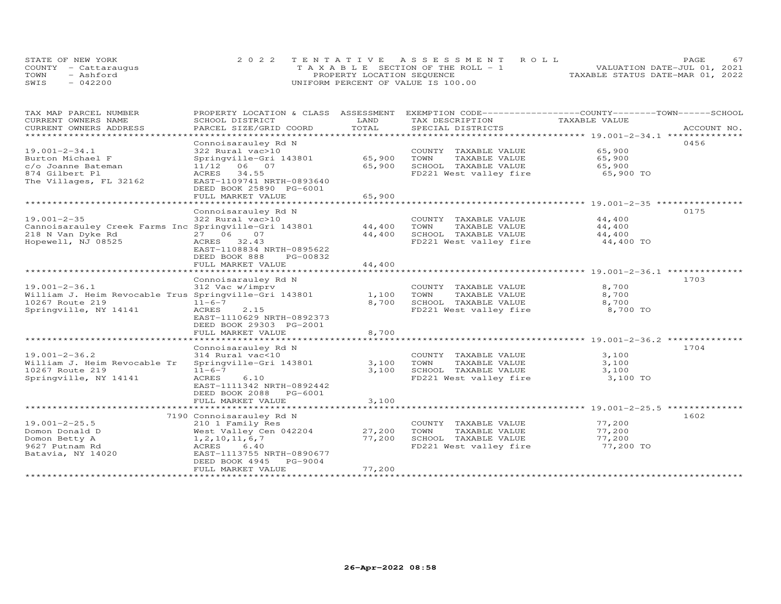| STATE OF NEW YORK    | 2022 TENTATIVE ASSESSMENT ROLL        |                                  | PAGE. |  |
|----------------------|---------------------------------------|----------------------------------|-------|--|
| COUNTY - Cattaraugus | T A X A B L E SECTION OF THE ROLL - 1 | VALUATION DATE-JUL 01, 2021      |       |  |
| TOWN<br>- Ashford    | PROPERTY LOCATION SEQUENCE            | TAXABLE STATUS DATE-MAR 01, 2022 |       |  |
| SWIS<br>$-042200$    | UNIFORM PERCENT OF VALUE IS 100.00    |                                  |       |  |

| TAX MAP PARCEL NUMBER<br>CURRENT OWNERS NAME          | PROPERTY LOCATION & CLASS ASSESSMENT EXEMPTION CODE-----------------COUNTY-------TOWN------SCHOOL<br>SCHOOL DISTRICT | LAND   | TAX DESCRIPTION        | TAXABLE VALUE |             |
|-------------------------------------------------------|----------------------------------------------------------------------------------------------------------------------|--------|------------------------|---------------|-------------|
| CURRENT OWNERS ADDRESS                                | PARCEL SIZE/GRID COORD                                                                                               | TOTAL  | SPECIAL DISTRICTS      |               | ACCOUNT NO. |
| *******************                                   | * * * * * * * * * * * * * * * * *                                                                                    |        |                        |               |             |
|                                                       | Connoisarauley Rd N                                                                                                  |        |                        |               | 0456        |
| $19.001 - 2 - 34.1$                                   | 322 Rural vac>10                                                                                                     |        | COUNTY TAXABLE VALUE   | 65,900        |             |
| Burton Michael F                                      | Springville-Gri 143801                                                                                               | 65,900 | TAXABLE VALUE<br>TOWN  | 65,900        |             |
| c/o Joanne Bateman                                    | 11/12 06 07                                                                                                          | 65,900 | SCHOOL TAXABLE VALUE   | 65,900        |             |
| 874 Gilbert Pl                                        | ACRES<br>34.55                                                                                                       |        | FD221 West valley fire | 65,900 TO     |             |
| The Villages, FL 32162                                | EAST-1109741 NRTH-0893640                                                                                            |        |                        |               |             |
|                                                       | DEED BOOK 25890 PG-6001                                                                                              |        |                        |               |             |
|                                                       | FULL MARKET VALUE                                                                                                    | 65,900 |                        |               |             |
|                                                       |                                                                                                                      |        |                        |               |             |
|                                                       | Connoisarauley Rd N                                                                                                  |        |                        |               | 0175        |
| $19.001 - 2 - 35$                                     | 322 Rural vac>10                                                                                                     |        | COUNTY TAXABLE VALUE   | 44,400        |             |
| Cannoisarauley Creek Farms Inc Springville-Gri 143801 |                                                                                                                      | 44,400 | TOWN<br>TAXABLE VALUE  | 44,400        |             |
| 218 N Van Dyke Rd                                     | 27 06<br>07                                                                                                          | 44,400 | SCHOOL TAXABLE VALUE   | 44,400        |             |
| Hopewell, NJ 08525                                    | ACRES 32.43                                                                                                          |        | FD221 West valley fire | 44,400 TO     |             |
|                                                       | EAST-1108834 NRTH-0895622                                                                                            |        |                        |               |             |
|                                                       |                                                                                                                      |        |                        |               |             |
|                                                       | DEED BOOK 888<br>PG-00832                                                                                            |        |                        |               |             |
|                                                       | FULL MARKET VALUE                                                                                                    | 44,400 |                        |               |             |
|                                                       |                                                                                                                      |        |                        |               | 1703        |
|                                                       | Connoisarauley Rd N                                                                                                  |        |                        | 8,700         |             |
| $19.001 - 2 - 36.1$                                   | 312 Vac w/imprv                                                                                                      |        | COUNTY TAXABLE VALUE   |               |             |
| William J. Heim Revocable Trus Springville-Gri 143801 |                                                                                                                      | 1,100  | TOWN<br>TAXABLE VALUE  | 8,700         |             |
| 10267 Route 219                                       | $11 - 6 - 7$                                                                                                         | 8,700  | SCHOOL TAXABLE VALUE   | 8,700         |             |
| Springville, NY 14141                                 | ACRES<br>2.15                                                                                                        |        | FD221 West valley fire | 8,700 TO      |             |
|                                                       | EAST-1110629 NRTH-0892373                                                                                            |        |                        |               |             |
|                                                       | DEED BOOK 29303 PG-2001                                                                                              |        |                        |               |             |
|                                                       | FULL MARKET VALUE                                                                                                    | 8,700  |                        |               |             |
|                                                       |                                                                                                                      |        |                        |               |             |
|                                                       | Connoisarauley Rd N                                                                                                  |        |                        |               | 1704        |
| $19.001 - 2 - 36.2$                                   | 314 Rural vac<10                                                                                                     |        | COUNTY TAXABLE VALUE   | 3,100         |             |
| William J. Heim Revocable Tr                          | Springville-Gri 143801                                                                                               | 3,100  | TOWN<br>TAXABLE VALUE  | 3,100         |             |
| 10267 Route 219                                       | $11 - 6 - 7$                                                                                                         | 3,100  | SCHOOL TAXABLE VALUE   | 3,100         |             |
| Springville, NY 14141                                 | ACRES<br>6.10                                                                                                        |        | FD221 West valley fire | 3,100 TO      |             |
|                                                       | EAST-1111342 NRTH-0892442                                                                                            |        |                        |               |             |
|                                                       | DEED BOOK 2088 PG-6001                                                                                               |        |                        |               |             |
|                                                       | FULL MARKET VALUE                                                                                                    | 3,100  |                        |               |             |
|                                                       |                                                                                                                      |        |                        |               |             |
|                                                       | 7190 Connoisarauley Rd N                                                                                             |        |                        |               | 1602        |
| $19.001 - 2 - 25.5$                                   | 210 1 Family Res                                                                                                     |        | COUNTY TAXABLE VALUE   | 77,200        |             |
| Domon Donald D                                        | West Valley Cen 042204                                                                                               | 27,200 | TOWN<br>TAXABLE VALUE  | 77,200        |             |
| Domon Betty A                                         | 1, 2, 10, 11, 6, 7                                                                                                   | 77,200 | SCHOOL TAXABLE VALUE   | 77,200        |             |
| 9627 Putnam Rd                                        | 6.40<br>ACRES                                                                                                        |        | FD221 West valley fire | 77,200 TO     |             |
| Batavia, NY 14020                                     | EAST-1113755 NRTH-0890677                                                                                            |        |                        |               |             |
|                                                       | DEED BOOK 4945<br>PG-9004                                                                                            |        |                        |               |             |
|                                                       | FULL MARKET VALUE                                                                                                    | 77,200 |                        |               |             |
|                                                       |                                                                                                                      |        |                        |               |             |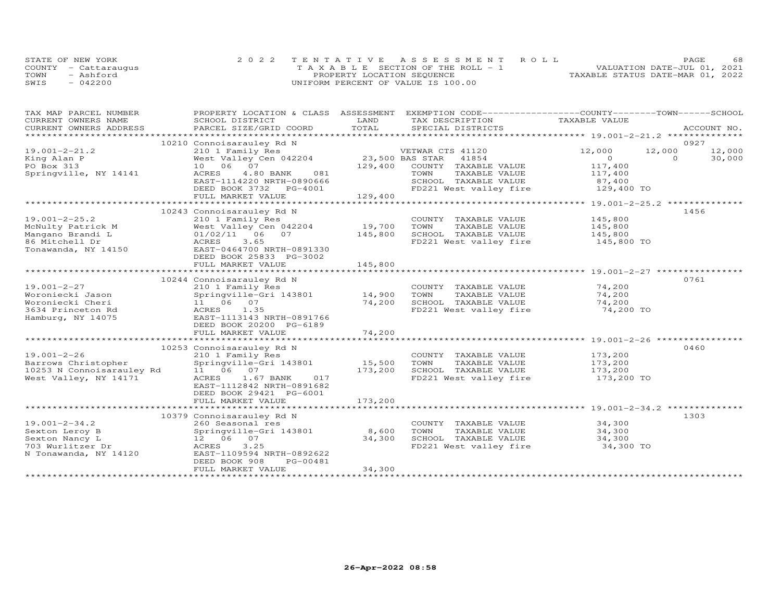|      | STATE OF NEW YORK    | 2022 TENTATIVE ASSESSMENT ROLL            |                                  | PAGE | 68 |
|------|----------------------|-------------------------------------------|----------------------------------|------|----|
|      | COUNTY - Cattaraugus | $T A X A B I. E$ SECTION OF THE ROLL $-1$ | VALUATION DATE-JUL 01, 2021      |      |    |
| TOWN | - Ashford            | PROPERTY LOCATION SEQUENCE                | TAXABLE STATUS DATE-MAR 01, 2022 |      |    |
| SWIS | $-042200$            | UNIFORM PERCENT OF VALUE IS 100.00        |                                  |      |    |

| TAX MAP PARCEL NUMBER                                                                                           | PROPERTY LOCATION & CLASS ASSESSMENT EXEMPTION CODE----------------COUNTY-------TOWN------SCHOOL |                     |                                                |                                           |          |             |
|-----------------------------------------------------------------------------------------------------------------|--------------------------------------------------------------------------------------------------|---------------------|------------------------------------------------|-------------------------------------------|----------|-------------|
| CURRENT OWNERS NAME                                                                                             | SCHOOL DISTRICT                                                                                  | LAND                | TAX DESCRIPTION                                | TAXABLE VALUE                             |          | ACCOUNT NO. |
| .CURRENT OWNERS ADDRESS PARCEL SIZE/GRID COORD TOTAL SPECIAL DISTRICTS ACCOUNT NO ACCOUNT NO ACCOUNT NO ACCOUNT |                                                                                                  |                     |                                                |                                           |          |             |
|                                                                                                                 | 10210 Connoisarauley Rd N                                                                        |                     |                                                |                                           |          | 0927        |
| $19.001 - 2 - 21.2$                                                                                             | 210 1 Family Res                                                                                 |                     | VETWAR CTS 41120                               | 12,000                                    | 12,000   | 12,000      |
| King Alan P                                                                                                     | West Valley Cen 042204                                                                           | 23,500 BAS STAR     | 41854                                          | $\overline{0}$                            | $\Omega$ | 30,000      |
| PO Box 313                                                                                                      | 10 06 07                                                                                         | 129,400             | COUNTY TAXABLE VALUE                           | 117,400                                   |          |             |
| Springville, NY 14141                                                                                           | 4.80 BANK<br>081<br>ACRES                                                                        |                     | TAXABLE VALUE<br>TOWN                          | 117,400<br>87,400                         |          |             |
|                                                                                                                 | EAST-1114220 NRTH-0890666                                                                        |                     | SCHOOL TAXABLE VALUE                           |                                           |          |             |
|                                                                                                                 | DEED BOOK 3732 PG-4001                                                                           | 129,400             | FD221 West valley fire 129,400 TO              |                                           |          |             |
|                                                                                                                 | FULL MARKET VALUE                                                                                | ******************* |                                                | *********** 19.001-2-25.2 *************** |          |             |
|                                                                                                                 | 10243 Connoisarauley Rd N                                                                        |                     |                                                |                                           |          | 1456        |
| $19.001 - 2 - 25.2$                                                                                             | 210 1 Family Res                                                                                 |                     | COUNTY TAXABLE VALUE                           | 145,800                                   |          |             |
|                                                                                                                 | West Valley Cen 042204                                                                           | 19,700              | TOWN<br>TAXABLE VALUE                          | 145,800                                   |          |             |
|                                                                                                                 |                                                                                                  | 145,800             | SCHOOL TAXABLE VALUE                           | 145,800                                   |          |             |
|                                                                                                                 | ACRES<br>3.65                                                                                    |                     | FD221 West valley fire 145,800 TO              |                                           |          |             |
| McNulty Patrick M<br>Mangano Brandi L<br>86 Mitchell Dr<br>Tonawanda, NY 14150                                  | EAST-0464700 NRTH-0891330                                                                        |                     |                                                |                                           |          |             |
|                                                                                                                 | DEED BOOK 25833 PG-3002                                                                          |                     |                                                |                                           |          |             |
|                                                                                                                 | FULL MARKET VALUE                                                                                | 145,800             |                                                |                                           |          |             |
|                                                                                                                 |                                                                                                  |                     |                                                |                                           |          |             |
|                                                                                                                 | 10244 Connoisarauley Rd N                                                                        |                     |                                                |                                           |          | 0761        |
| 19.001-2-27                                                                                                     | 210 1 Family Res<br>Springville-Gri 143801 14,900                                                |                     | COUNTY TAXABLE VALUE                           | 74,200                                    |          |             |
| Woroniecki Jason                                                                                                |                                                                                                  |                     | TOWN<br>TAXABLE VALUE                          | 74,200                                    |          |             |
| Woroniecki Cheri<br>3634 Princeton Rd                                                                           | 11 06 07<br>ACRES 1.35                                                                           | 74,200              | SCHOOL TAXABLE VALUE<br>FD221 West valley fire | 74,200<br>74,200 TO                       |          |             |
| Hamburg, NY 14075                                                                                               | EAST-1113143 NRTH-0891766                                                                        |                     |                                                |                                           |          |             |
|                                                                                                                 | DEED BOOK 20200 PG-6189                                                                          |                     |                                                |                                           |          |             |
|                                                                                                                 | FULL MARKET VALUE                                                                                | 74,200              |                                                |                                           |          |             |
|                                                                                                                 |                                                                                                  |                     |                                                |                                           |          |             |
|                                                                                                                 | 10253 Connoisarauley Rd N                                                                        |                     |                                                |                                           |          | 0460        |
| $19.001 - 2 - 26$                                                                                               | 210 1 Family Res<br>Springville-Gri 143801 15,500                                                |                     | COUNTY TAXABLE VALUE                           | 173,200<br>173,200                        |          |             |
| Barrows Christopher                                                                                             |                                                                                                  |                     | TOWN<br>TAXABLE VALUE                          |                                           |          |             |
| 10253 N Connoisarauley Rd                                                                                       | 11 06 07                                                                                         | 173,200             | SCHOOL TAXABLE VALUE                           | 173,200                                   |          |             |
| West Valley, NY 14171                                                                                           | ACRES 1.67 BANK 017                                                                              |                     | FD221 West valley fire                         | 173,200 TO                                |          |             |
|                                                                                                                 | EAST-1112842 NRTH-0891682                                                                        |                     |                                                |                                           |          |             |
|                                                                                                                 | DEED BOOK 29421 PG-6001                                                                          |                     |                                                |                                           |          |             |
|                                                                                                                 | FULL MARKET VALUE                                                                                | 173,200             |                                                |                                           |          |             |
|                                                                                                                 |                                                                                                  |                     |                                                |                                           |          | 1303        |
| 19.001-2-34.2                                                                                                   | 10379 Connoisarauley Rd N<br>260 Seasonal res                                                    |                     | COUNTY TAXABLE VALUE                           | 34,300                                    |          |             |
| Sexton Leroy B                                                                                                  | Springville-Gri 143801 8,600                                                                     |                     | TOWN<br>TAXABLE VALUE                          | 34,300                                    |          |             |
| Sexton Nancy L                                                                                                  | 12  06  07                                                                                       | 34,300              | SCHOOL TAXABLE VALUE                           | 34,300                                    |          |             |
| 703 Wurlitzer Dr                                                                                                | 3.25<br>ACRES                                                                                    |                     | FD221 West valley fire                         | 34,300 TO                                 |          |             |
| N Tonawanda, NY 14120                                                                                           | EAST-1109594 NRTH-0892622                                                                        |                     |                                                |                                           |          |             |
|                                                                                                                 | PG-00481<br>DEED BOOK 908                                                                        |                     |                                                |                                           |          |             |
|                                                                                                                 | FULL MARKET VALUE                                                                                | 34,300              |                                                |                                           |          |             |
|                                                                                                                 |                                                                                                  |                     |                                                |                                           |          |             |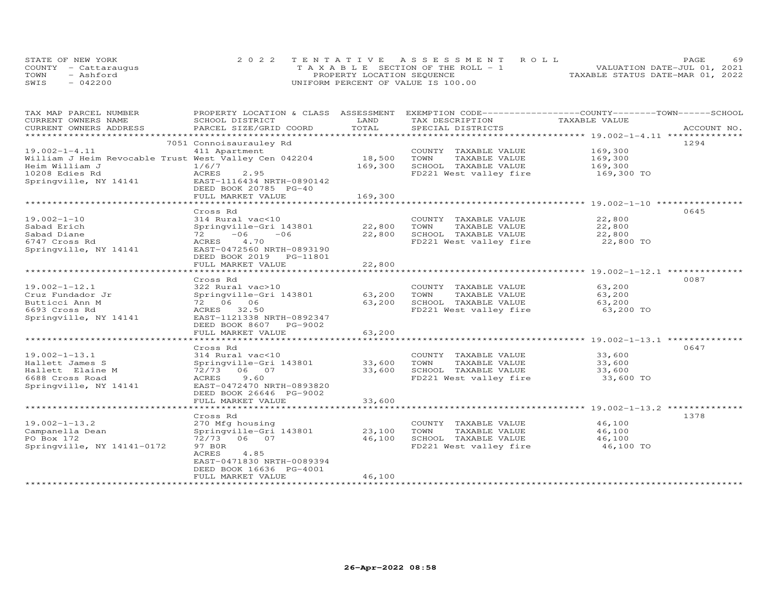|      | STATE OF NEW YORK    | 2022 TENTATIVE ASSESSMENT ROLL        | 69<br>PAGE                       |
|------|----------------------|---------------------------------------|----------------------------------|
|      | COUNTY - Cattarauqus | T A X A B L E SECTION OF THE ROLL - 1 | VALUATION DATE-JUL 01, 2021      |
| TOWN | - Ashford            | PROPERTY LOCATION SEQUENCE            | TAXABLE STATUS DATE-MAR 01, 2022 |
| SWIS | $-042200$            | UNIFORM PERCENT OF VALUE IS 100.00    |                                  |

| TAX MAP PARCEL NUMBER<br>CURRENT OWNERS NAME          | PROPERTY LOCATION & CLASS ASSESSMENT<br>SCHOOL DISTRICT | LAND                    | EXEMPTION CODE-----------------COUNTY-------TOWN------SCHOOL<br>TAX DESCRIPTION | TAXABLE VALUE                                         |             |
|-------------------------------------------------------|---------------------------------------------------------|-------------------------|---------------------------------------------------------------------------------|-------------------------------------------------------|-------------|
| CURRENT OWNERS ADDRESS                                | PARCEL SIZE/GRID COORD                                  | TOTAL                   | SPECIAL DISTRICTS                                                               |                                                       | ACCOUNT NO. |
| **********************                                |                                                         |                         |                                                                                 |                                                       |             |
|                                                       | 7051 Connoisaurauley Rd                                 |                         |                                                                                 |                                                       | 1294        |
| $19.002 - 1 - 4.11$                                   | 411 Apartment                                           |                         | COUNTY TAXABLE VALUE                                                            | 169,300                                               |             |
| William J Heim Revocable Trust West Valley Cen 042204 |                                                         | 18,500                  | TAXABLE VALUE<br>TOWN                                                           | 169,300                                               |             |
| Heim William J                                        | 1/6/7                                                   | 169,300                 | SCHOOL TAXABLE VALUE                                                            | 169,300                                               |             |
| 10208 Edies Rd                                        | 2.95<br>ACRES                                           |                         | FD221 West valley fire                                                          | 169,300 TO                                            |             |
| Springville, NY 14141                                 | EAST-1116434 NRTH-0890142                               |                         |                                                                                 |                                                       |             |
|                                                       | DEED BOOK 20785 PG-40                                   |                         |                                                                                 |                                                       |             |
|                                                       | FULL MARKET VALUE                                       | 169,300                 |                                                                                 |                                                       |             |
|                                                       |                                                         |                         |                                                                                 |                                                       |             |
|                                                       | Cross Rd                                                |                         |                                                                                 |                                                       | 0645        |
| $19.002 - 1 - 10$                                     | 314 Rural vac<10                                        |                         | COUNTY TAXABLE VALUE                                                            | 22,800                                                |             |
| Sabad Erich                                           | Springville-Gri 143801                                  | 22,800                  | TAXABLE VALUE<br>TOWN                                                           | 22,800                                                |             |
| Sabad Diane                                           | $-06$<br>$-06$<br>72 —                                  | 22,800                  | SCHOOL TAXABLE VALUE                                                            | 22,800                                                |             |
| 6747 Cross Rd                                         | 4.70<br>ACRES                                           |                         | FD221 West valley fire                                                          | 22,800 TO                                             |             |
| Springville, NY 14141                                 | EAST-0472560 NRTH-0893190                               |                         |                                                                                 |                                                       |             |
|                                                       | DEED BOOK 2019 PG-11801                                 |                         |                                                                                 |                                                       |             |
|                                                       | FULL MARKET VALUE                                       | 22,800                  |                                                                                 |                                                       |             |
|                                                       |                                                         |                         |                                                                                 |                                                       |             |
|                                                       | Cross Rd                                                |                         |                                                                                 |                                                       | 0087        |
| $19.002 - 1 - 12.1$                                   | 322 Rural vac>10                                        |                         | COUNTY TAXABLE VALUE                                                            | 63,200                                                |             |
| Cruz Fundador Jr                                      |                                                         | 63,200                  | TAXABLE VALUE<br>TOWN                                                           | 63,200                                                |             |
|                                                       | Springville-Gri 143801<br>72 06 06                      |                         | SCHOOL TAXABLE VALUE                                                            |                                                       |             |
| Butticci Ann M                                        |                                                         | 63,200                  |                                                                                 | 63,200                                                |             |
| 6693 Cross Rd                                         | ACRES 32.50                                             |                         | FD221 West valley fire                                                          | 63,200 TO                                             |             |
| Springville, NY 14141                                 | EAST-1121338 NRTH-0892347                               |                         |                                                                                 |                                                       |             |
|                                                       | DEED BOOK 8607<br>PG-9002                               |                         |                                                                                 |                                                       |             |
|                                                       | FULL MARKET VALUE                                       | 63,200                  |                                                                                 | ************************ 19.002-1-13.1 ************** |             |
|                                                       |                                                         |                         |                                                                                 |                                                       |             |
|                                                       | Cross Rd                                                |                         |                                                                                 |                                                       | 0647        |
| $19.002 - 1 - 13.1$                                   | 314 Rural vac<10                                        |                         | COUNTY TAXABLE VALUE                                                            | 33,600                                                |             |
| Hallett James S                                       | Springville-Gri 143801                                  | 33,600                  | TOWN<br>TAXABLE VALUE                                                           | 33,600                                                |             |
| Hallett Elaine M                                      | 72/73<br>06 07                                          | 33,600                  | SCHOOL TAXABLE VALUE                                                            | 33,600                                                |             |
| 6688 Cross Road                                       | ACRES<br>9.60                                           |                         | FD221 West valley fire                                                          | 33,600 TO                                             |             |
| Springville, NY 14141                                 | EAST-0472470 NRTH-0893820                               |                         |                                                                                 |                                                       |             |
|                                                       | DEED BOOK 26646 PG-9002                                 |                         |                                                                                 |                                                       |             |
|                                                       | FULL MARKET VALUE<br>*******************                | 33,600<br>************* |                                                                                 |                                                       |             |
|                                                       |                                                         |                         |                                                                                 |                                                       |             |
|                                                       | Cross Rd                                                |                         |                                                                                 |                                                       | 1378        |
| $19.002 - 1 - 13.2$                                   | 270 Mfg housing                                         |                         | COUNTY TAXABLE VALUE                                                            | 46,100                                                |             |
| Campanella Dean                                       | Springville-Gri 143801                                  | 23,100                  | TOWN<br>TAXABLE VALUE                                                           | 46,100                                                |             |
| PO Box 172                                            | 72/73 06 07                                             | 46,100                  | SCHOOL TAXABLE VALUE                                                            | 46,100                                                |             |
| Springville, NY 14141-0172                            | 97 BOR                                                  |                         | FD221 West valley fire                                                          | 46,100 TO                                             |             |
|                                                       | ACRES<br>4.85                                           |                         |                                                                                 |                                                       |             |
|                                                       | EAST-0471830 NRTH-0089394                               |                         |                                                                                 |                                                       |             |
|                                                       | DEED BOOK 16636 PG-4001                                 |                         |                                                                                 |                                                       |             |
|                                                       | FULL MARKET VALUE                                       | 46,100                  |                                                                                 |                                                       |             |
|                                                       |                                                         |                         |                                                                                 |                                                       |             |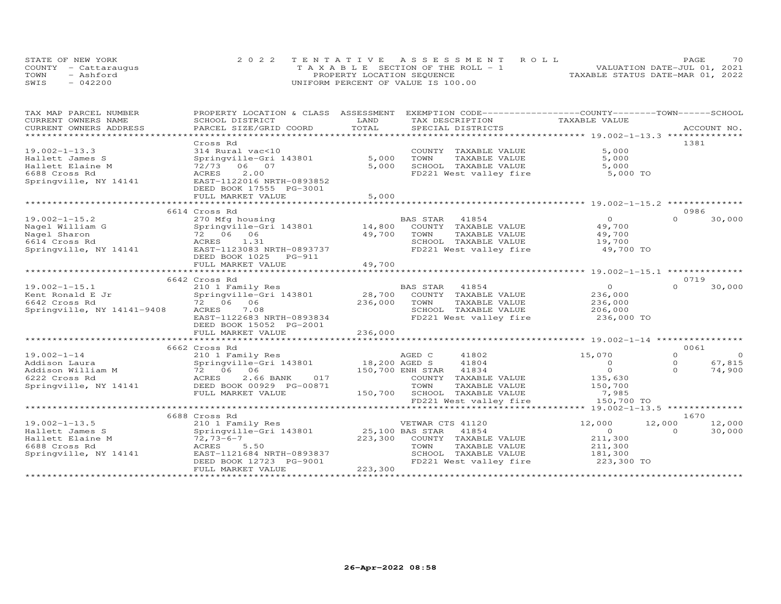| STATE OF NEW YORK    | 2022 TENTATIVE ASSESSMENT ROLL        | 70<br>PAGE.                      |
|----------------------|---------------------------------------|----------------------------------|
| COUNTY - Cattaraugus | T A X A B L E SECTION OF THE ROLL - 1 | VALUATION DATE-JUL 01, 2021      |
| TOWN<br>- Ashford    | PROPERTY LOCATION SEQUENCE            | TAXABLE STATUS DATE-MAR 01, 2022 |
| SWIS<br>$-042200$    | UNIFORM PERCENT OF VALUE IS 100.00    |                                  |

| TAX MAP PARCEL NUMBER      | PROPERTY LOCATION & CLASS ASSESSMENT |                 |                        |                             | EXEMPTION CODE-----------------COUNTY-------TOWN------SCHOOL |          |                |
|----------------------------|--------------------------------------|-----------------|------------------------|-----------------------------|--------------------------------------------------------------|----------|----------------|
| CURRENT OWNERS NAME        | SCHOOL DISTRICT                      | LAND            | TAX DESCRIPTION        |                             | TAXABLE VALUE                                                |          |                |
| CURRENT OWNERS ADDRESS     | PARCEL SIZE/GRID COORD               | TOTAL           |                        | SPECIAL DISTRICTS           |                                                              |          | ACCOUNT NO.    |
| ******************         |                                      |                 |                        |                             |                                                              |          |                |
|                            | Cross Rd                             |                 |                        |                             |                                                              | 1381     |                |
| $19.002 - 1 - 13.3$        | 314 Rural vac<10                     |                 |                        | COUNTY TAXABLE VALUE        | 5,000                                                        |          |                |
| Hallett James S            | Springville-Gri 143801               | 5,000           | TOWN                   | TAXABLE VALUE               | 5,000                                                        |          |                |
| Hallett Elaine M           | 06 07<br>72/73                       | 5,000           |                        | SCHOOL TAXABLE VALUE        | 5,000                                                        |          |                |
| 6688 Cross Rd              | ACRES<br>2.00                        |                 |                        | FD221 West valley fire      | 5,000 TO                                                     |          |                |
| Springville, NY 14141      | EAST-1122016 NRTH-0893852            |                 |                        |                             |                                                              |          |                |
|                            | DEED BOOK 17555 PG-3001              |                 |                        |                             |                                                              |          |                |
|                            | FULL MARKET VALUE                    | 5,000           |                        |                             |                                                              |          |                |
|                            |                                      |                 |                        |                             |                                                              |          |                |
|                            | 6614 Cross Rd                        |                 |                        |                             |                                                              | 0986     |                |
| $19.002 - 1 - 15.2$        | 270 Mfg housing                      |                 | BAS STAR               | 41854                       | $\overline{0}$                                               | $\cap$   | 30,000         |
| Nagel William G            | Springville-Gri 143801               | 14,800          |                        | COUNTY TAXABLE VALUE        | 49,700                                                       |          |                |
| Nagel Sharon               | 72 06 06                             | 49,700          | TOWN                   | TAXABLE VALUE               | 49,700                                                       |          |                |
| 6614 Cross Rd              | ACRES<br>1.31                        |                 |                        | SCHOOL TAXABLE VALUE        | 19,700                                                       |          |                |
| Springville, NY 14141      | EAST-1123083 NRTH-0893737            |                 |                        | FD221 West valley fire      | 49,700 TO                                                    |          |                |
|                            | DEED BOOK 1025 PG-911                |                 |                        |                             |                                                              |          |                |
|                            | FULL MARKET VALUE                    | 49,700          |                        |                             |                                                              |          |                |
|                            |                                      |                 |                        |                             |                                                              |          |                |
|                            | 6642 Cross Rd                        |                 |                        |                             |                                                              | 0719     |                |
| $19.002 - 1 - 15.1$        | 210 1 Family Res                     |                 | BAS STAR               | 41854                       | $\overline{0}$                                               | $\Omega$ | 30,000         |
| Kent Ronald E Jr           | Springville-Gri 143801               |                 |                        | 28,700 COUNTY TAXABLE VALUE | 236,000                                                      |          |                |
| 6642 Cross Rd              | 72 06 06                             | 236,000         | TOWN                   | TAXABLE VALUE               | 236,000                                                      |          |                |
| Springville, NY 14141-9408 | 7.08<br>ACRES                        |                 |                        | SCHOOL TAXABLE VALUE        | 206,000                                                      |          |                |
|                            | EAST-1122683 NRTH-0893834            |                 |                        | FD221 West valley fire      | 236,000 TO                                                   |          |                |
|                            | DEED BOOK 15052 PG-2001              |                 |                        |                             |                                                              |          |                |
|                            | FULL MARKET VALUE                    | 236,000         |                        |                             |                                                              |          |                |
|                            |                                      |                 |                        |                             |                                                              |          |                |
|                            | 6662 Cross Rd                        |                 |                        |                             |                                                              | 0061     |                |
| $19.002 - 1 - 14$          | 210 1 Family Res                     |                 | AGED C                 | 41802                       | 15,070                                                       | $\Omega$ | $\overline{0}$ |
| Addison Laura              | Springville-Gri 143801               | 18,200 AGED S   |                        | 41804                       | $\Omega$                                                     | $\Omega$ | 67,815         |
| Addison William M          | 72 06 06                             |                 | 150,700 ENH STAR 41834 |                             | $\Omega$                                                     | $\cap$   | 74,900         |
| 6222 Cross Rd              | 2.66 BANK<br>ACRES<br>017            |                 |                        | COUNTY TAXABLE VALUE        | 135,630                                                      |          |                |
| Springville, NY 14141      | DEED BOOK 00929 PG-00871             |                 | TOWN                   | TAXABLE VALUE               | 150,700                                                      |          |                |
|                            | FULL MARKET VALUE                    |                 | 150,700 SCHOOL         | TAXABLE VALUE               | 7,985                                                        |          |                |
|                            |                                      |                 |                        | FD221 West valley fire      | 150,700 TO                                                   |          |                |
|                            |                                      |                 |                        |                             |                                                              |          |                |
|                            | 6688 Cross Rd                        |                 |                        |                             |                                                              | 1670     |                |
| $19.002 - 1 - 13.5$        | 210 1 Family Res                     |                 | VETWAR CTS 41120       |                             | 12,000                                                       | 12,000   | 12,000         |
| Hallett James S            | Springville-Gri 143801               | 25,100 BAS STAR |                        | 41854                       | $\overline{O}$                                               | $\Omega$ | 30,000         |
| Hallett Elaine M           | $72,73-6-7$                          | 223,300         |                        | COUNTY TAXABLE VALUE        | 211,300                                                      |          |                |
| 6688 Cross Rd              | ACRES<br>5.50                        |                 | TOWN                   | TAXABLE VALUE               | 211,300                                                      |          |                |
| Springville, NY 14141      | EAST-1121684 NRTH-0893837            |                 |                        | SCHOOL TAXABLE VALUE        | 181,300                                                      |          |                |
|                            | DEED BOOK 12723 PG-9001              |                 |                        | FD221 West valley fire      | 223,300 TO                                                   |          |                |
|                            | FULL MARKET VALUE                    | 223,300         |                        |                             |                                                              |          |                |
|                            |                                      |                 |                        |                             |                                                              |          |                |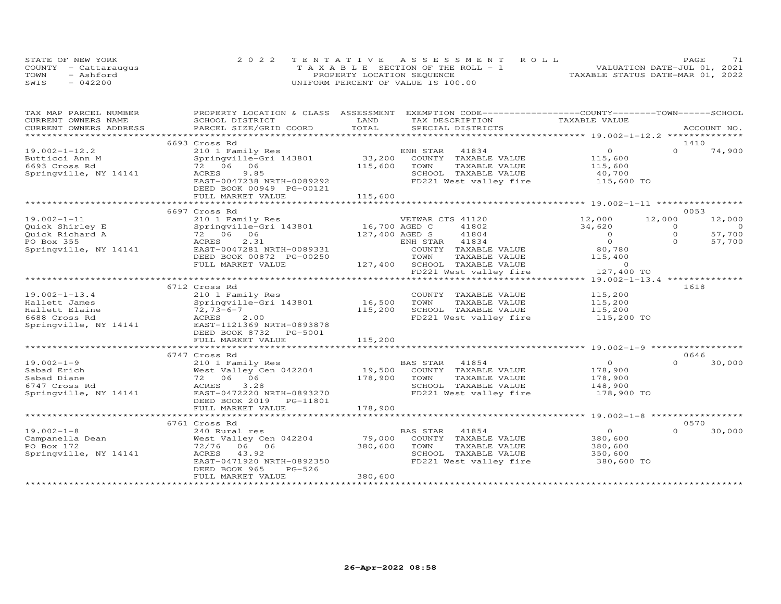| STATE OF NEW YORK    | 2022 TENTATIVE ASSESSMENT ROLL        | 71<br><b>PAGE</b>                |
|----------------------|---------------------------------------|----------------------------------|
| COUNTY - Cattaraugus | T A X A B L E SECTION OF THE ROLL - 1 | VALUATION DATE-JUL 01, 2021      |
| TOWN<br>- Ashford    | PROPERTY LOCATION SEQUENCE            | TAXABLE STATUS DATE-MAR 01, 2022 |
| $-042200$<br>SWIS    | UNIFORM PERCENT OF VALUE IS 100.00    |                                  |

| TAX MAP PARCEL NUMBER  | PROPERTY LOCATION & CLASS ASSESSMENT   |                                                                             | EXEMPTION CODE-----------------COUNTY-------TOWN------SCHOOL |
|------------------------|----------------------------------------|-----------------------------------------------------------------------------|--------------------------------------------------------------|
| CURRENT OWNERS NAME    | SCHOOL DISTRICT                        | LAND<br>TAX DESCRIPTION                                                     | TAXABLE VALUE                                                |
| CURRENT OWNERS ADDRESS | PARCEL SIZE/GRID COORD                 | TOTAL<br>SPECIAL DISTRICTS                                                  | ACCOUNT NO.                                                  |
|                        |                                        |                                                                             |                                                              |
|                        | 6693 Cross Rd                          |                                                                             | 1410                                                         |
| $19.002 - 1 - 12.2$    | 210 1 Family Res                       | ENH STAR<br>41834                                                           | $\overline{O}$<br>$\Omega$<br>74,900                         |
| Butticci Ann M         | Springville-Gri 143801                 | $33,200$ EN<br>COUNTY TAXABLE VALUE                                         | 115,600                                                      |
| 6693 Cross Rd          | 72 06 06                               | 115,600<br>TOWN<br>TAXABLE VALUE                                            | 115,600                                                      |
| Springville, NY 14141  | 9.85<br>ACRES                          | SCHOOL TAXABLE VALUE                                                        | 40,700                                                       |
|                        | EAST-0047238 NRTH-0089292              |                                                                             | FD221 West valley fire 115,600 TO                            |
|                        | DEED BOOK 00949 PG-00121               |                                                                             |                                                              |
|                        |                                        | 115,600                                                                     |                                                              |
|                        | FULL MARKET VALUE                      |                                                                             |                                                              |
|                        |                                        |                                                                             |                                                              |
|                        | 6697 Cross Rd                          |                                                                             | 0053                                                         |
| $19.002 - 1 - 11$      | 210 1 Family Res                       | VETWAR CTS 41120                                                            | 12,000<br>12,000<br>12,000                                   |
| Quick Shirley E        | Springville-Gri 143801                 | 16,700 AGED C<br>41802                                                      | 34,620<br>$\Omega$<br>$\overline{O}$                         |
| Quick Richard A        | 72 06 06                               | 127,400 AGED S<br>41804                                                     | $\circ$<br>$\overline{0}$<br>57,700                          |
| PO Box 355             | ACRES<br>2.31                          | ENH STAR 41834                                                              | $\overline{0}$<br>$\Omega$<br>57,700                         |
| Springville, NY 14141  | EAST-0047281 NRTH-0089331              | COUNTY TAXABLE VALUE                                                        | 80,780                                                       |
|                        | DEED BOOK 00872 PG-00250               | TOWN<br>TAXABLE VALUE                                                       | 115,400                                                      |
|                        | FULL MARKET VALUE                      | 127,400 SCHOOL TAXABLE VALUE                                                | $\overline{0}$                                               |
|                        |                                        | FD221 West valley fire                                                      | 127,400 TO                                                   |
|                        |                                        |                                                                             |                                                              |
|                        | 6712 Cross Rd                          |                                                                             | 1618                                                         |
| $19.002 - 1 - 13.4$    | 210 1 Family Res                       | COUNTY TAXABLE VALUE                                                        | 115,200                                                      |
| Hallett James          | Springville-Gri 143801 16,500          | TAXABLE VALUE<br>TOWN                                                       | 115,200                                                      |
| Hallett Elaine         | $72,73-6-7$                            | 115,200<br>SCHOOL TAXABLE VALUE                                             | 115,200                                                      |
| 6688 Cross Rd          | <b>ACRES</b><br>2.00                   |                                                                             | FD221 West valley fire 115,200 TO                            |
| Springville, NY 14141  | EAST-1121369 NRTH-0893878              |                                                                             |                                                              |
|                        | DEED BOOK 8732 PG-5001                 |                                                                             |                                                              |
|                        | FULL MARKET VALUE                      | 115,200                                                                     |                                                              |
|                        |                                        |                                                                             |                                                              |
|                        | 6747 Cross Rd                          |                                                                             | 0646                                                         |
| $19.002 - 1 - 9$       | 210 1 Family Res                       | BAS STAR 41854<br>19,500 COUNTY TAXABLE VALUE<br>178,900 TOWN TAXABLE VALUE | $\overline{0}$<br>$\Omega$<br>30,000                         |
| Sabad Erich            | West Valley Cen 042204                 |                                                                             | 178,900                                                      |
| Sabad Diane            | 72 06 06                               | TAXABLE VALUE                                                               | 178,900                                                      |
| 6747 Cross Rd          | 3.28<br>ACRES                          | SCHOOL TAXABLE VALUE                                                        | 148,900                                                      |
| Springville, NY 14141  | EAST-0472220 NRTH-0893270              |                                                                             | FD221 West valley fire 178,900 TO                            |
|                        |                                        |                                                                             |                                                              |
|                        | DEED BOOK 2019    PG-11801             |                                                                             |                                                              |
|                        | FULL MARKET VALUE                      | 178,900                                                                     |                                                              |
|                        |                                        |                                                                             |                                                              |
|                        | 6761 Cross Rd                          |                                                                             | 0570                                                         |
| $19.002 - 1 - 8$       | 240 Rural res                          | BAS STAR<br>41854                                                           | $\overline{0}$<br>$\Omega$<br>30,000                         |
| Campanella Dean        | West Valley Cen 042204                 | 79,000<br>COUNTY TAXABLE VALUE                                              | 380,600                                                      |
| PO Box 172             | 72/76 06 06                            | 380,600<br>TOWN<br>TAXABLE VALUE                                            | 380,600                                                      |
| Springville, NY 14141  | ACRES 43.92                            | SCHOOL TAXABLE VALUE                                                        | 350,600                                                      |
|                        | EAST-0471920 NRTH-0892350              | FD221 West valley fire                                                      | 380,600 TO                                                   |
|                        | DEED BOOK 965<br>PG-526                |                                                                             |                                                              |
|                        | FULL MARKET VALUE                      | 380,600                                                                     |                                                              |
|                        | ************************************** |                                                                             |                                                              |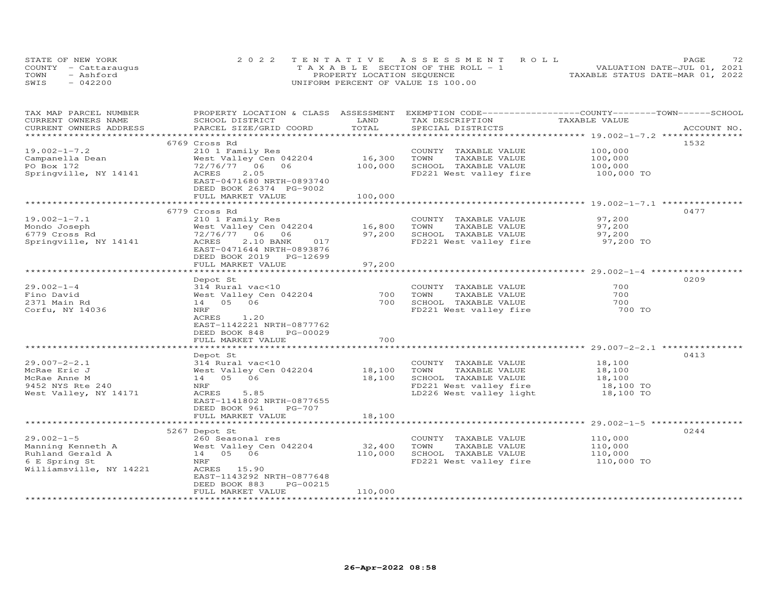| STATE OF NEW YORK    | 2022 TENTATIVE ASSESSMENT ROLL        | 72<br>PAGE.                      |
|----------------------|---------------------------------------|----------------------------------|
| COUNTY - Cattaraugus | T A X A B L E SECTION OF THE ROLL - 1 | VALUATION DATE-JUL 01, 2021      |
| TOWN<br>- Ashford    | PROPERTY LOCATION SEQUENCE            | TAXABLE STATUS DATE-MAR 01, 2022 |
| SWIS<br>$-042200$    | UNIFORM PERCENT OF VALUE IS 100.00    |                                  |

| TAX MAP PARCEL NUMBER<br>CURRENT OWNERS NAME | PROPERTY LOCATION & CLASS ASSESSMENT EXEMPTION CODE-----------------COUNTY-------TOWN------SCHOOL<br>SCHOOL DISTRICT | LAND    | TAX DESCRIPTION                | TAXABLE VALUE |             |
|----------------------------------------------|----------------------------------------------------------------------------------------------------------------------|---------|--------------------------------|---------------|-------------|
| CURRENT OWNERS ADDRESS                       | PARCEL SIZE/GRID COORD                                                                                               | TOTAL   | SPECIAL DISTRICTS              |               | ACCOUNT NO. |
|                                              |                                                                                                                      |         |                                |               |             |
|                                              | 6769 Cross Rd                                                                                                        |         |                                |               | 1532        |
| $19.002 - 1 - 7.2$                           | 210 1 Family Res                                                                                                     |         | COUNTY TAXABLE VALUE           | 100,000       |             |
| Campanella Dean                              | West Valley Cen 042204                                                                                               | 16,300  | TOWN<br>TAXABLE VALUE          | 100,000       |             |
| PO Box 172                                   | 72/76/77 06<br>06                                                                                                    | 100,000 | SCHOOL TAXABLE VALUE           | 100,000       |             |
| Springville, NY 14141                        | ACRES<br>2.05                                                                                                        |         | FD221 West valley fire         | 100,000 TO    |             |
|                                              | EAST-0471680 NRTH-0893740                                                                                            |         |                                |               |             |
|                                              | DEED BOOK 26374 PG-9002                                                                                              |         |                                |               |             |
|                                              | FULL MARKET VALUE                                                                                                    | 100,000 |                                |               |             |
|                                              |                                                                                                                      |         |                                |               |             |
|                                              | 6779 Cross Rd                                                                                                        |         |                                |               | 0477        |
| $19.002 - 1 - 7.1$                           | 210 1 Family Res                                                                                                     |         | COUNTY TAXABLE VALUE           | 97,200        |             |
| Mondo Joseph                                 | West Valley Cen 042204                                                                                               | 16,800  | TAXABLE VALUE<br>TOWN          | 97,200        |             |
| 6779 Cross Rd                                | 72/76/77 06 06                                                                                                       | 97,200  | SCHOOL TAXABLE VALUE           | 97,200        |             |
| Springville, NY 14141                        | ACRES<br>2.10 BANK<br>017                                                                                            |         | FD221 West valley fire         | 97,200 TO     |             |
|                                              | EAST-0471644 NRTH-0893876                                                                                            |         |                                |               |             |
|                                              | DEED BOOK 2019 PG-12699                                                                                              |         |                                |               |             |
|                                              | FULL MARKET VALUE                                                                                                    | 97,200  |                                |               |             |
|                                              |                                                                                                                      |         |                                |               |             |
|                                              | Depot St                                                                                                             |         |                                |               | 0209        |
| $29.002 - 1 - 4$                             | 314 Rural vac<10                                                                                                     |         | COUNTY TAXABLE VALUE           | 700           |             |
| Fino David                                   | West Valley Cen 042204                                                                                               | 700     | TOWN<br>TAXABLE VALUE          | 700           |             |
| 2371 Main Rd                                 | 14 05 06                                                                                                             | 700     | SCHOOL TAXABLE VALUE           | 700           |             |
| Corfu, NY 14036                              | NRF                                                                                                                  |         | FD221 West valley fire         | 700 TO        |             |
|                                              | ACRES<br>1,20                                                                                                        |         |                                |               |             |
|                                              | EAST-1142221 NRTH-0877762                                                                                            |         |                                |               |             |
|                                              | DEED BOOK 848<br>PG-00029                                                                                            |         |                                |               |             |
|                                              | FULL MARKET VALUE                                                                                                    | 700     |                                |               |             |
|                                              |                                                                                                                      |         |                                |               |             |
|                                              | Depot St                                                                                                             |         |                                |               | 0413        |
| $29.007 - 2 - 2.1$                           | 314 Rural vac<10                                                                                                     |         | COUNTY TAXABLE VALUE           | 18,100        |             |
| McRae Eric J                                 | West Valley Cen 042204                                                                                               | 18,100  | TAXABLE VALUE<br>TOWN          | 18,100        |             |
| McRae Anne M                                 | 14  05  06                                                                                                           | 18,100  | SCHOOL TAXABLE VALUE           | 18,100        |             |
| 9452 NYS Rte 240                             | NRF                                                                                                                  |         | FD221 West valley fire         | 18,100 TO     |             |
| West Valley, NY 14171                        | 5.85<br>ACRES                                                                                                        |         | LD226 West valley light        | 18,100 TO     |             |
|                                              | EAST-1141802 NRTH-0877655                                                                                            |         |                                |               |             |
|                                              | PG-707<br>DEED BOOK 961                                                                                              |         |                                |               |             |
|                                              | FULL MARKET VALUE                                                                                                    | 18,100  |                                |               |             |
|                                              |                                                                                                                      |         |                                |               |             |
|                                              | 5267 Depot St                                                                                                        |         |                                |               | 0244        |
| $29.002 - 1 - 5$                             | 260 Seasonal res                                                                                                     |         | COUNTY TAXABLE VALUE           | 110,000       |             |
| Manning Kenneth A                            | West Valley Cen 042204                                                                                               | 32,400  | TOWN<br>TAXABLE VALUE          | 110,000       |             |
| Ruhland Gerald A                             | 14 05 06                                                                                                             | 110,000 | SCHOOL TAXABLE VALUE           | 110,000       |             |
| 6 E Spring St                                | NRF                                                                                                                  |         | FD221 West valley fire         | 110,000 TO    |             |
| Williamsville, NY 14221                      | ACRES 15.90                                                                                                          |         |                                |               |             |
|                                              | EAST-1143292 NRTH-0877648                                                                                            |         |                                |               |             |
|                                              | PG-00215<br>DEED BOOK 883                                                                                            |         |                                |               |             |
|                                              | FULL MARKET VALUE                                                                                                    | 110,000 | ****************************** |               |             |
|                                              |                                                                                                                      |         |                                |               |             |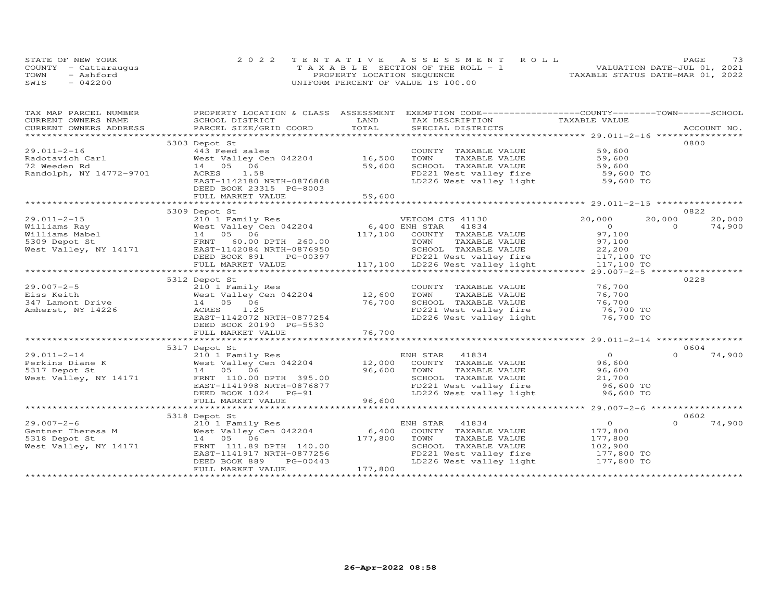|      | STATE OF NEW YORK    | 2022 TENTATIVE ASSESSMENT ROLL        | 73<br>PAGE.                      |
|------|----------------------|---------------------------------------|----------------------------------|
|      | COUNTY - Cattarauqus | T A X A B L E SECTION OF THE ROLL - 1 | VALUATION DATE-JUL 01, 2021      |
| TOWN | - Ashford            | PROPERTY LOCATION SEQUENCE            | TAXABLE STATUS DATE-MAR 01, 2022 |
| SWIS | $-042200$            | UNIFORM PERCENT OF VALUE IS 100.00    |                                  |

| TAX MAP PARCEL NUMBER   | PROPERTY LOCATION & CLASS ASSESSMENT                            |             | EXEMPTION CODE-----------------COUNTY-------TOWN------SCHOOL  |                              |                    |
|-------------------------|-----------------------------------------------------------------|-------------|---------------------------------------------------------------|------------------------------|--------------------|
| CURRENT OWNERS NAME     | SCHOOL DISTRICT                                                 | LAND        | TAX DESCRIPTION                                               | TAXABLE VALUE                |                    |
| CURRENT OWNERS ADDRESS  | PARCEL SIZE/GRID COORD                                          | TOTAL       | SPECIAL DISTRICTS                                             |                              | ACCOUNT NO.        |
|                         |                                                                 |             |                                                               |                              |                    |
|                         | 5303 Depot St                                                   |             |                                                               |                              | 0800               |
| $29.011 - 2 - 16$       | 443 Feed sales                                                  |             | COUNTY TAXABLE VALUE                                          | 59,600                       |                    |
| Radotavich Carl         | West Valley Cen 042204                                          | 16,500      | TOWN<br>TAXABLE VALUE                                         | 59,600                       |                    |
| 72 Weeden Rd            | 14 05 06                                                        | 59,600      | SCHOOL TAXABLE VALUE                                          | 59,600                       |                    |
| Randolph, NY 14772-9701 | ACRES<br>1.58                                                   |             | FD221 West valley fire<br>LD226 West valley light             | 59,600 TO                    |                    |
|                         | EAST-1142180 NRTH-0876868                                       |             |                                                               | 59,600 TO                    |                    |
|                         | DEED BOOK 23315 PG-8003                                         |             |                                                               |                              |                    |
|                         | FULL MARKET VALUE                                               | 59,600      |                                                               |                              |                    |
|                         |                                                                 |             |                                                               |                              |                    |
|                         | 5309 Depot St                                                   |             |                                                               |                              | 0822               |
| $29.011 - 2 - 15$       | 210 1 Family Res                                                |             | VETCOM CTS 41130                                              | 20,000                       | 20,000<br>20,000   |
| Williams Ray            | WEICOM CIS 41130<br>West Valley Cen 042204 6,400 ENH STAR 41834 |             |                                                               | $\overline{O}$               | 74,900<br>$\Omega$ |
| Williams Mabel          | 14 05 06                                                        |             | 117,100 COUNTY TAXABLE VALUE                                  | 97,100                       |                    |
| 5309 Depot St           | FRNT 60.00 DPTH 260.00                                          |             | TOWN<br>TAXABLE VALUE                                         | 97,100                       |                    |
| West Valley, NY 14171   | EAST-1142084 NRTH-0876950                                       |             | SCHOOL TAXABLE VALUE                                          | 22,200                       |                    |
|                         | DEED BOOK 891<br>PG-00397                                       |             | FD221 West valley fire                                        | 117,100 TO                   |                    |
|                         | FULL MARKET VALUE                                               |             | 117,100 LD226 West valley fire<br>the LD226 West valley light | 117,100 TO                   |                    |
|                         |                                                                 |             |                                                               |                              |                    |
|                         | 5312 Depot St                                                   |             |                                                               |                              | 0228               |
| $29.007 - 2 - 5$        | 210 1 Family Res                                                |             | COUNTY TAXABLE VALUE                                          | 76,700                       |                    |
| Eiss Keith              | West Valley Cen 042204                                          | 12,600      | TOWN<br>TAXABLE VALUE                                         | 76,700                       |                    |
| 347 Lamont Drive        | 14  05  06                                                      | 76,700      | SCHOOL TAXABLE VALUE                                          |                              |                    |
| Amherst, NY 14226       | ACRES<br>1.25                                                   |             | FD221 West valley fire                                        | $76, 700$ TO<br>$76, 700$ TO |                    |
|                         | EAST-1142072 NRTH-0877254                                       |             | LD226 West valley light                                       | 76,700 TO                    |                    |
|                         | DEED BOOK 20190 PG-5530                                         |             |                                                               |                              |                    |
|                         | FULL MARKET VALUE                                               | 76,700      |                                                               |                              |                    |
|                         |                                                                 |             |                                                               |                              |                    |
|                         | 5317 Depot St                                                   |             |                                                               |                              | 0604               |
| $29.011 - 2 - 14$       | 210 1 Family Res                                                |             | ENH STAR<br>41834                                             | $\Omega$                     | 74,900<br>$\Omega$ |
| Perkins Diane K         | West Valley Cen 042204                                          | $12,000$ EN | COUNTY TAXABLE VALUE                                          | 96,600                       |                    |
| 5317 Depot St           | 14 05 06                                                        | 96,600      | TOWN<br>TAXABLE VALUE                                         | 96,600                       |                    |
| West Valley, NY 14171   | FRNT 110.00 DPTH 395.00                                         |             | SCHOOL TAXABLE VALUE                                          | 21,700                       |                    |
|                         | EAST-1141998 NRTH-0876877                                       |             | FD221 West valley fire                                        | 96,600 TO                    |                    |
|                         | DEED BOOK 1024 PG-91                                            |             | LD226 West valley light                                       | 96,600 TO                    |                    |
|                         | FULL MARKET VALUE                                               | 96,600      |                                                               |                              |                    |
|                         |                                                                 |             |                                                               |                              |                    |
|                         | 5318 Depot St                                                   |             |                                                               |                              | 0602               |
| $29.007 - 2 - 6$        | 210 1 Family Res                                                |             | ENH STAR 41834                                                | $\overline{O}$               | 74,900<br>$\Omega$ |
| Gentner Theresa M       | West Valley Cen 042204                                          | 6,400       | COUNTY TAXABLE VALUE                                          | 177,800                      |                    |
| 5318 Depot St           | 14 05 06                                                        | 177,800     | TAXABLE VALUE<br>TOWN                                         | 177,800                      |                    |
| West Valley, NY 14171   | FRNT 111.89 DPTH 140.00                                         |             | SCHOOL TAXABLE VALUE                                          | 102,900                      |                    |
|                         | EAST-1141917 NRTH-0877256                                       |             | FD221 West valley fire                                        | 177,800 TO                   |                    |
|                         | PG-00443<br>DEED BOOK 889                                       |             | LD226 West valley light                                       | 177,800 TO                   |                    |
|                         | FULL MARKET VALUE                                               | 177,800     |                                                               |                              |                    |
|                         |                                                                 |             |                                                               |                              |                    |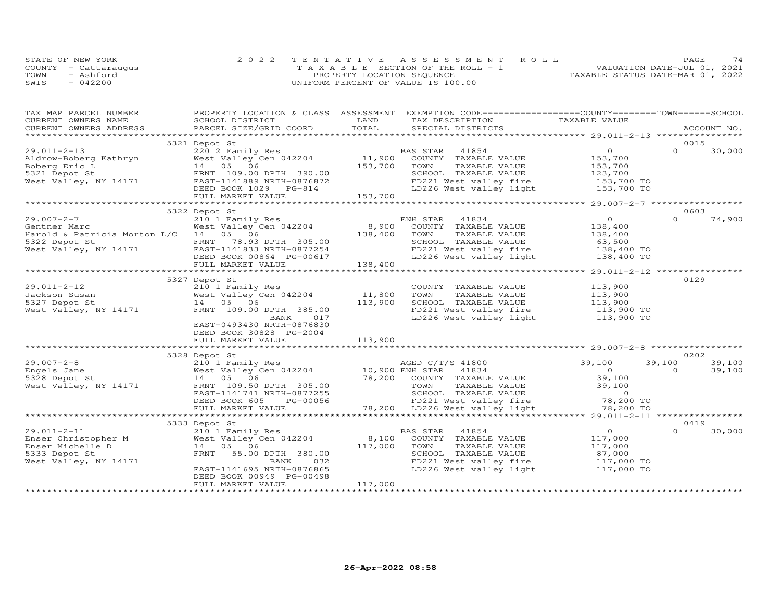|      | STATE OF NEW YORK    | 2022 TENTATIVE ASSESSMENT ROLL        | 74<br>PAGE.                      |
|------|----------------------|---------------------------------------|----------------------------------|
|      | COUNTY - Cattaraugus | T A X A B L E SECTION OF THE ROLL - 1 | VALUATION DATE-JUL 01, 2021      |
| TOWN | - Ashford            | PROPERTY LOCATION SEQUENCE            | TAXABLE STATUS DATE-MAR 01, 2022 |
| SWIS | $-042200$            | UNIFORM PERCENT OF VALUE IS 100.00    |                                  |

| TOTAL<br>CURRENT OWNERS ADDRESS<br>PARCEL SIZE/GRID COORD<br>SPECIAL DISTRICTS<br>ACCOUNT NO.<br>0015<br>5321 Depot St<br>$\overline{O}$<br>220 2 Family Res<br>$\Omega$<br>$29.011 - 2 - 13$<br>41854<br>30,000<br>BAS STAR<br>West Valley<br>14 05 06<br>FRNT 109.00 DPTH 390.00<br>EAST-1141889 NRTH-0876872<br>Aldrow-Boberg Kathryn<br>COUNTY TAXABLE VALUE<br>153,700<br>Boberg Eric L<br>153,700<br>TOWN<br>TAXABLE VALUE<br>153,700<br>123,700<br>5321 Depot St<br>SCHOOL TAXABLE VALUE<br>EAST-1141889 NRTH-0876872<br>DEED BOOK 1029 PG-814<br>FULL MARKET WALLER<br>West Valley, NY 14171<br>FD221 West valley fire 153,700 TO<br>LD226 West valley light 153,700 TO<br>153,700<br>FULL MARKET VALUE<br>5322 Depot St<br>0603<br>$\overline{0}$<br>$\Omega$<br>74,900<br>210 1 Family Res<br>ENH STAR<br>41834<br>West Valley Cen 042204<br>8,900<br>COUNTY TAXABLE VALUE<br>138,400<br>Gentner Marc<br>Harold & Patricia Morton L/C 14 05 06<br>138,400<br>TAXABLE VALUE<br>TOWN<br>138,400<br>SCHOOL TAXABLE VALUE<br>5322 Depot St<br>FRNT 78.93 DPTH 305.00<br>63,500<br>West Valley, NY 14171 EAST-1141833 NRTH-0877254<br>FD221 West valley fire<br>138,400 TO<br>LD226 West valley light<br>DEED BOOK 00864 PG-00617<br>138,400 TO<br>138,400<br>FULL MARKET VALUE<br>**********************<br>*********************************** 29.011-2-12 ***<br>***********************************<br>0129<br>5327 Depot St<br>210 1 Family Res<br>COUNTY TAXABLE VALUE<br>113,900<br>11,800<br>West Valley Cen 042204<br>TAXABLE VALUE<br>113,900<br>113,900<br>TOWN<br>14 05 06<br>113,900<br>SCHOOL TAXABLE VALUE<br>West Valley, NY 14171<br>FRNT 109.00 DPTH 385.00<br>FD221 West valley fire<br>LD226 West valley light<br>113,900 TO<br>113,900 TO<br>BANK<br>017<br>EAST-0493430 NRTH-0876830<br>DEED BOOK 30828 PG-2004<br>FULL MARKET VALUE<br>113,900<br>0202<br>5328 Depot St<br>39,100<br>AGED C/T/S 41800<br>39,100<br>39,100<br>210 1 Family Res<br>West Valley Cen 042204<br>/AGED C/T<br>10,900 ENH STAR<br>41834<br>$\overline{O}$<br>$\Omega$<br>39,100<br>78,200 COUNTY TAXABLE VALUE<br>39,100<br>5328 Depot St<br>14 05 06<br>TOWN<br>TAXABLE VALUE<br>39,100<br>West Valley, NY 14171<br>FRNT 109.50 DPTH 305.00<br>SCHOOL TAXABLE VALUE<br>$\sim$ 0<br>EAST-1141741 NRTH-0877255<br>78,200 TO<br>DEED BOOK 605<br>FD221 West valley fire<br>PG-00056<br>78,200 LD226 West valley light $78,200$ TO<br>FULL MARKET VALUE<br>0419<br>5333 Depot St<br>$29.011 - 2 - 11$<br>41854<br>$\overline{O}$<br>$\Omega$<br>30,000<br>210 1 Family Res<br>BAS STAR<br>29.011-2-11<br>Enser Christopher M<br>West Valley Cen 042204<br>8,100<br>COUNTY TAXABLE VALUE<br>117,000<br>117,000<br>Enser Michelle D<br>14 05 06<br>TOWN<br>TAXABLE VALUE<br>117,000<br>5333 Depot St<br>FRNT<br>55.00 DPTH 380.00<br>SCHOOL TAXABLE VALUE<br>87,000<br>$117,000$ TO<br>West Valley, NY 14171<br>FD221 West valley fire<br>BANK<br>032<br>LD226 West valley light 117,000 TO<br>EAST-1141695 NRTH-0876865<br>DEED BOOK 00949 PG-00498<br>117,000<br>FULL MARKET VALUE | TAX MAP PARCEL NUMBER |                 |      | PROPERTY LOCATION & CLASS ASSESSMENT EXEMPTION CODE----------------COUNTY-------TOWN------SCHOOL |               |  |
|--------------------------------------------------------------------------------------------------------------------------------------------------------------------------------------------------------------------------------------------------------------------------------------------------------------------------------------------------------------------------------------------------------------------------------------------------------------------------------------------------------------------------------------------------------------------------------------------------------------------------------------------------------------------------------------------------------------------------------------------------------------------------------------------------------------------------------------------------------------------------------------------------------------------------------------------------------------------------------------------------------------------------------------------------------------------------------------------------------------------------------------------------------------------------------------------------------------------------------------------------------------------------------------------------------------------------------------------------------------------------------------------------------------------------------------------------------------------------------------------------------------------------------------------------------------------------------------------------------------------------------------------------------------------------------------------------------------------------------------------------------------------------------------------------------------------------------------------------------------------------------------------------------------------------------------------------------------------------------------------------------------------------------------------------------------------------------------------------------------------------------------------------------------------------------------------------------------------------------------------------------------------------------------------------------------------------------------------------------------------------------------------------------------------------------------------------------------------------------------------------------------------------------------------------------------------------------------------------------------------------------------------------------------------------------------------------------------------------------------------------------------------------------------------------------------------------------------------------------------------------------------------------------------------------------------------------------------------------------------------------------------------------------------------------------------------------------------|-----------------------|-----------------|------|--------------------------------------------------------------------------------------------------|---------------|--|
|                                                                                                                                                                                                                                                                                                                                                                                                                                                                                                                                                                                                                                                                                                                                                                                                                                                                                                                                                                                                                                                                                                                                                                                                                                                                                                                                                                                                                                                                                                                                                                                                                                                                                                                                                                                                                                                                                                                                                                                                                                                                                                                                                                                                                                                                                                                                                                                                                                                                                                                                                                                                                                                                                                                                                                                                                                                                                                                                                                                                                                                                                      | CURRENT OWNERS NAME   | SCHOOL DISTRICT | LAND | TAX DESCRIPTION                                                                                  | TAXABLE VALUE |  |
|                                                                                                                                                                                                                                                                                                                                                                                                                                                                                                                                                                                                                                                                                                                                                                                                                                                                                                                                                                                                                                                                                                                                                                                                                                                                                                                                                                                                                                                                                                                                                                                                                                                                                                                                                                                                                                                                                                                                                                                                                                                                                                                                                                                                                                                                                                                                                                                                                                                                                                                                                                                                                                                                                                                                                                                                                                                                                                                                                                                                                                                                                      |                       |                 |      |                                                                                                  |               |  |
|                                                                                                                                                                                                                                                                                                                                                                                                                                                                                                                                                                                                                                                                                                                                                                                                                                                                                                                                                                                                                                                                                                                                                                                                                                                                                                                                                                                                                                                                                                                                                                                                                                                                                                                                                                                                                                                                                                                                                                                                                                                                                                                                                                                                                                                                                                                                                                                                                                                                                                                                                                                                                                                                                                                                                                                                                                                                                                                                                                                                                                                                                      |                       |                 |      |                                                                                                  |               |  |
|                                                                                                                                                                                                                                                                                                                                                                                                                                                                                                                                                                                                                                                                                                                                                                                                                                                                                                                                                                                                                                                                                                                                                                                                                                                                                                                                                                                                                                                                                                                                                                                                                                                                                                                                                                                                                                                                                                                                                                                                                                                                                                                                                                                                                                                                                                                                                                                                                                                                                                                                                                                                                                                                                                                                                                                                                                                                                                                                                                                                                                                                                      |                       |                 |      |                                                                                                  |               |  |
|                                                                                                                                                                                                                                                                                                                                                                                                                                                                                                                                                                                                                                                                                                                                                                                                                                                                                                                                                                                                                                                                                                                                                                                                                                                                                                                                                                                                                                                                                                                                                                                                                                                                                                                                                                                                                                                                                                                                                                                                                                                                                                                                                                                                                                                                                                                                                                                                                                                                                                                                                                                                                                                                                                                                                                                                                                                                                                                                                                                                                                                                                      |                       |                 |      |                                                                                                  |               |  |
|                                                                                                                                                                                                                                                                                                                                                                                                                                                                                                                                                                                                                                                                                                                                                                                                                                                                                                                                                                                                                                                                                                                                                                                                                                                                                                                                                                                                                                                                                                                                                                                                                                                                                                                                                                                                                                                                                                                                                                                                                                                                                                                                                                                                                                                                                                                                                                                                                                                                                                                                                                                                                                                                                                                                                                                                                                                                                                                                                                                                                                                                                      |                       |                 |      |                                                                                                  |               |  |
|                                                                                                                                                                                                                                                                                                                                                                                                                                                                                                                                                                                                                                                                                                                                                                                                                                                                                                                                                                                                                                                                                                                                                                                                                                                                                                                                                                                                                                                                                                                                                                                                                                                                                                                                                                                                                                                                                                                                                                                                                                                                                                                                                                                                                                                                                                                                                                                                                                                                                                                                                                                                                                                                                                                                                                                                                                                                                                                                                                                                                                                                                      |                       |                 |      |                                                                                                  |               |  |
|                                                                                                                                                                                                                                                                                                                                                                                                                                                                                                                                                                                                                                                                                                                                                                                                                                                                                                                                                                                                                                                                                                                                                                                                                                                                                                                                                                                                                                                                                                                                                                                                                                                                                                                                                                                                                                                                                                                                                                                                                                                                                                                                                                                                                                                                                                                                                                                                                                                                                                                                                                                                                                                                                                                                                                                                                                                                                                                                                                                                                                                                                      |                       |                 |      |                                                                                                  |               |  |
|                                                                                                                                                                                                                                                                                                                                                                                                                                                                                                                                                                                                                                                                                                                                                                                                                                                                                                                                                                                                                                                                                                                                                                                                                                                                                                                                                                                                                                                                                                                                                                                                                                                                                                                                                                                                                                                                                                                                                                                                                                                                                                                                                                                                                                                                                                                                                                                                                                                                                                                                                                                                                                                                                                                                                                                                                                                                                                                                                                                                                                                                                      |                       |                 |      |                                                                                                  |               |  |
|                                                                                                                                                                                                                                                                                                                                                                                                                                                                                                                                                                                                                                                                                                                                                                                                                                                                                                                                                                                                                                                                                                                                                                                                                                                                                                                                                                                                                                                                                                                                                                                                                                                                                                                                                                                                                                                                                                                                                                                                                                                                                                                                                                                                                                                                                                                                                                                                                                                                                                                                                                                                                                                                                                                                                                                                                                                                                                                                                                                                                                                                                      |                       |                 |      |                                                                                                  |               |  |
|                                                                                                                                                                                                                                                                                                                                                                                                                                                                                                                                                                                                                                                                                                                                                                                                                                                                                                                                                                                                                                                                                                                                                                                                                                                                                                                                                                                                                                                                                                                                                                                                                                                                                                                                                                                                                                                                                                                                                                                                                                                                                                                                                                                                                                                                                                                                                                                                                                                                                                                                                                                                                                                                                                                                                                                                                                                                                                                                                                                                                                                                                      |                       |                 |      |                                                                                                  |               |  |
|                                                                                                                                                                                                                                                                                                                                                                                                                                                                                                                                                                                                                                                                                                                                                                                                                                                                                                                                                                                                                                                                                                                                                                                                                                                                                                                                                                                                                                                                                                                                                                                                                                                                                                                                                                                                                                                                                                                                                                                                                                                                                                                                                                                                                                                                                                                                                                                                                                                                                                                                                                                                                                                                                                                                                                                                                                                                                                                                                                                                                                                                                      |                       |                 |      |                                                                                                  |               |  |
|                                                                                                                                                                                                                                                                                                                                                                                                                                                                                                                                                                                                                                                                                                                                                                                                                                                                                                                                                                                                                                                                                                                                                                                                                                                                                                                                                                                                                                                                                                                                                                                                                                                                                                                                                                                                                                                                                                                                                                                                                                                                                                                                                                                                                                                                                                                                                                                                                                                                                                                                                                                                                                                                                                                                                                                                                                                                                                                                                                                                                                                                                      | $29.007 - 2 - 7$      |                 |      |                                                                                                  |               |  |
|                                                                                                                                                                                                                                                                                                                                                                                                                                                                                                                                                                                                                                                                                                                                                                                                                                                                                                                                                                                                                                                                                                                                                                                                                                                                                                                                                                                                                                                                                                                                                                                                                                                                                                                                                                                                                                                                                                                                                                                                                                                                                                                                                                                                                                                                                                                                                                                                                                                                                                                                                                                                                                                                                                                                                                                                                                                                                                                                                                                                                                                                                      |                       |                 |      |                                                                                                  |               |  |
|                                                                                                                                                                                                                                                                                                                                                                                                                                                                                                                                                                                                                                                                                                                                                                                                                                                                                                                                                                                                                                                                                                                                                                                                                                                                                                                                                                                                                                                                                                                                                                                                                                                                                                                                                                                                                                                                                                                                                                                                                                                                                                                                                                                                                                                                                                                                                                                                                                                                                                                                                                                                                                                                                                                                                                                                                                                                                                                                                                                                                                                                                      |                       |                 |      |                                                                                                  |               |  |
|                                                                                                                                                                                                                                                                                                                                                                                                                                                                                                                                                                                                                                                                                                                                                                                                                                                                                                                                                                                                                                                                                                                                                                                                                                                                                                                                                                                                                                                                                                                                                                                                                                                                                                                                                                                                                                                                                                                                                                                                                                                                                                                                                                                                                                                                                                                                                                                                                                                                                                                                                                                                                                                                                                                                                                                                                                                                                                                                                                                                                                                                                      |                       |                 |      |                                                                                                  |               |  |
|                                                                                                                                                                                                                                                                                                                                                                                                                                                                                                                                                                                                                                                                                                                                                                                                                                                                                                                                                                                                                                                                                                                                                                                                                                                                                                                                                                                                                                                                                                                                                                                                                                                                                                                                                                                                                                                                                                                                                                                                                                                                                                                                                                                                                                                                                                                                                                                                                                                                                                                                                                                                                                                                                                                                                                                                                                                                                                                                                                                                                                                                                      |                       |                 |      |                                                                                                  |               |  |
|                                                                                                                                                                                                                                                                                                                                                                                                                                                                                                                                                                                                                                                                                                                                                                                                                                                                                                                                                                                                                                                                                                                                                                                                                                                                                                                                                                                                                                                                                                                                                                                                                                                                                                                                                                                                                                                                                                                                                                                                                                                                                                                                                                                                                                                                                                                                                                                                                                                                                                                                                                                                                                                                                                                                                                                                                                                                                                                                                                                                                                                                                      |                       |                 |      |                                                                                                  |               |  |
|                                                                                                                                                                                                                                                                                                                                                                                                                                                                                                                                                                                                                                                                                                                                                                                                                                                                                                                                                                                                                                                                                                                                                                                                                                                                                                                                                                                                                                                                                                                                                                                                                                                                                                                                                                                                                                                                                                                                                                                                                                                                                                                                                                                                                                                                                                                                                                                                                                                                                                                                                                                                                                                                                                                                                                                                                                                                                                                                                                                                                                                                                      |                       |                 |      |                                                                                                  |               |  |
|                                                                                                                                                                                                                                                                                                                                                                                                                                                                                                                                                                                                                                                                                                                                                                                                                                                                                                                                                                                                                                                                                                                                                                                                                                                                                                                                                                                                                                                                                                                                                                                                                                                                                                                                                                                                                                                                                                                                                                                                                                                                                                                                                                                                                                                                                                                                                                                                                                                                                                                                                                                                                                                                                                                                                                                                                                                                                                                                                                                                                                                                                      |                       |                 |      |                                                                                                  |               |  |
|                                                                                                                                                                                                                                                                                                                                                                                                                                                                                                                                                                                                                                                                                                                                                                                                                                                                                                                                                                                                                                                                                                                                                                                                                                                                                                                                                                                                                                                                                                                                                                                                                                                                                                                                                                                                                                                                                                                                                                                                                                                                                                                                                                                                                                                                                                                                                                                                                                                                                                                                                                                                                                                                                                                                                                                                                                                                                                                                                                                                                                                                                      |                       |                 |      |                                                                                                  |               |  |
|                                                                                                                                                                                                                                                                                                                                                                                                                                                                                                                                                                                                                                                                                                                                                                                                                                                                                                                                                                                                                                                                                                                                                                                                                                                                                                                                                                                                                                                                                                                                                                                                                                                                                                                                                                                                                                                                                                                                                                                                                                                                                                                                                                                                                                                                                                                                                                                                                                                                                                                                                                                                                                                                                                                                                                                                                                                                                                                                                                                                                                                                                      | $29.011 - 2 - 12$     |                 |      |                                                                                                  |               |  |
|                                                                                                                                                                                                                                                                                                                                                                                                                                                                                                                                                                                                                                                                                                                                                                                                                                                                                                                                                                                                                                                                                                                                                                                                                                                                                                                                                                                                                                                                                                                                                                                                                                                                                                                                                                                                                                                                                                                                                                                                                                                                                                                                                                                                                                                                                                                                                                                                                                                                                                                                                                                                                                                                                                                                                                                                                                                                                                                                                                                                                                                                                      | Jackson Susan         |                 |      |                                                                                                  |               |  |
|                                                                                                                                                                                                                                                                                                                                                                                                                                                                                                                                                                                                                                                                                                                                                                                                                                                                                                                                                                                                                                                                                                                                                                                                                                                                                                                                                                                                                                                                                                                                                                                                                                                                                                                                                                                                                                                                                                                                                                                                                                                                                                                                                                                                                                                                                                                                                                                                                                                                                                                                                                                                                                                                                                                                                                                                                                                                                                                                                                                                                                                                                      | 5327 Depot St         |                 |      |                                                                                                  |               |  |
|                                                                                                                                                                                                                                                                                                                                                                                                                                                                                                                                                                                                                                                                                                                                                                                                                                                                                                                                                                                                                                                                                                                                                                                                                                                                                                                                                                                                                                                                                                                                                                                                                                                                                                                                                                                                                                                                                                                                                                                                                                                                                                                                                                                                                                                                                                                                                                                                                                                                                                                                                                                                                                                                                                                                                                                                                                                                                                                                                                                                                                                                                      |                       |                 |      |                                                                                                  |               |  |
|                                                                                                                                                                                                                                                                                                                                                                                                                                                                                                                                                                                                                                                                                                                                                                                                                                                                                                                                                                                                                                                                                                                                                                                                                                                                                                                                                                                                                                                                                                                                                                                                                                                                                                                                                                                                                                                                                                                                                                                                                                                                                                                                                                                                                                                                                                                                                                                                                                                                                                                                                                                                                                                                                                                                                                                                                                                                                                                                                                                                                                                                                      |                       |                 |      |                                                                                                  |               |  |
|                                                                                                                                                                                                                                                                                                                                                                                                                                                                                                                                                                                                                                                                                                                                                                                                                                                                                                                                                                                                                                                                                                                                                                                                                                                                                                                                                                                                                                                                                                                                                                                                                                                                                                                                                                                                                                                                                                                                                                                                                                                                                                                                                                                                                                                                                                                                                                                                                                                                                                                                                                                                                                                                                                                                                                                                                                                                                                                                                                                                                                                                                      |                       |                 |      |                                                                                                  |               |  |
|                                                                                                                                                                                                                                                                                                                                                                                                                                                                                                                                                                                                                                                                                                                                                                                                                                                                                                                                                                                                                                                                                                                                                                                                                                                                                                                                                                                                                                                                                                                                                                                                                                                                                                                                                                                                                                                                                                                                                                                                                                                                                                                                                                                                                                                                                                                                                                                                                                                                                                                                                                                                                                                                                                                                                                                                                                                                                                                                                                                                                                                                                      |                       |                 |      |                                                                                                  |               |  |
|                                                                                                                                                                                                                                                                                                                                                                                                                                                                                                                                                                                                                                                                                                                                                                                                                                                                                                                                                                                                                                                                                                                                                                                                                                                                                                                                                                                                                                                                                                                                                                                                                                                                                                                                                                                                                                                                                                                                                                                                                                                                                                                                                                                                                                                                                                                                                                                                                                                                                                                                                                                                                                                                                                                                                                                                                                                                                                                                                                                                                                                                                      |                       |                 |      |                                                                                                  |               |  |
|                                                                                                                                                                                                                                                                                                                                                                                                                                                                                                                                                                                                                                                                                                                                                                                                                                                                                                                                                                                                                                                                                                                                                                                                                                                                                                                                                                                                                                                                                                                                                                                                                                                                                                                                                                                                                                                                                                                                                                                                                                                                                                                                                                                                                                                                                                                                                                                                                                                                                                                                                                                                                                                                                                                                                                                                                                                                                                                                                                                                                                                                                      |                       |                 |      |                                                                                                  |               |  |
|                                                                                                                                                                                                                                                                                                                                                                                                                                                                                                                                                                                                                                                                                                                                                                                                                                                                                                                                                                                                                                                                                                                                                                                                                                                                                                                                                                                                                                                                                                                                                                                                                                                                                                                                                                                                                                                                                                                                                                                                                                                                                                                                                                                                                                                                                                                                                                                                                                                                                                                                                                                                                                                                                                                                                                                                                                                                                                                                                                                                                                                                                      |                       |                 |      |                                                                                                  |               |  |
|                                                                                                                                                                                                                                                                                                                                                                                                                                                                                                                                                                                                                                                                                                                                                                                                                                                                                                                                                                                                                                                                                                                                                                                                                                                                                                                                                                                                                                                                                                                                                                                                                                                                                                                                                                                                                                                                                                                                                                                                                                                                                                                                                                                                                                                                                                                                                                                                                                                                                                                                                                                                                                                                                                                                                                                                                                                                                                                                                                                                                                                                                      | $29.007 - 2 - 8$      |                 |      |                                                                                                  |               |  |
|                                                                                                                                                                                                                                                                                                                                                                                                                                                                                                                                                                                                                                                                                                                                                                                                                                                                                                                                                                                                                                                                                                                                                                                                                                                                                                                                                                                                                                                                                                                                                                                                                                                                                                                                                                                                                                                                                                                                                                                                                                                                                                                                                                                                                                                                                                                                                                                                                                                                                                                                                                                                                                                                                                                                                                                                                                                                                                                                                                                                                                                                                      | Engels Jane           |                 |      |                                                                                                  |               |  |
|                                                                                                                                                                                                                                                                                                                                                                                                                                                                                                                                                                                                                                                                                                                                                                                                                                                                                                                                                                                                                                                                                                                                                                                                                                                                                                                                                                                                                                                                                                                                                                                                                                                                                                                                                                                                                                                                                                                                                                                                                                                                                                                                                                                                                                                                                                                                                                                                                                                                                                                                                                                                                                                                                                                                                                                                                                                                                                                                                                                                                                                                                      |                       |                 |      |                                                                                                  |               |  |
|                                                                                                                                                                                                                                                                                                                                                                                                                                                                                                                                                                                                                                                                                                                                                                                                                                                                                                                                                                                                                                                                                                                                                                                                                                                                                                                                                                                                                                                                                                                                                                                                                                                                                                                                                                                                                                                                                                                                                                                                                                                                                                                                                                                                                                                                                                                                                                                                                                                                                                                                                                                                                                                                                                                                                                                                                                                                                                                                                                                                                                                                                      |                       |                 |      |                                                                                                  |               |  |
|                                                                                                                                                                                                                                                                                                                                                                                                                                                                                                                                                                                                                                                                                                                                                                                                                                                                                                                                                                                                                                                                                                                                                                                                                                                                                                                                                                                                                                                                                                                                                                                                                                                                                                                                                                                                                                                                                                                                                                                                                                                                                                                                                                                                                                                                                                                                                                                                                                                                                                                                                                                                                                                                                                                                                                                                                                                                                                                                                                                                                                                                                      |                       |                 |      |                                                                                                  |               |  |
|                                                                                                                                                                                                                                                                                                                                                                                                                                                                                                                                                                                                                                                                                                                                                                                                                                                                                                                                                                                                                                                                                                                                                                                                                                                                                                                                                                                                                                                                                                                                                                                                                                                                                                                                                                                                                                                                                                                                                                                                                                                                                                                                                                                                                                                                                                                                                                                                                                                                                                                                                                                                                                                                                                                                                                                                                                                                                                                                                                                                                                                                                      |                       |                 |      |                                                                                                  |               |  |
|                                                                                                                                                                                                                                                                                                                                                                                                                                                                                                                                                                                                                                                                                                                                                                                                                                                                                                                                                                                                                                                                                                                                                                                                                                                                                                                                                                                                                                                                                                                                                                                                                                                                                                                                                                                                                                                                                                                                                                                                                                                                                                                                                                                                                                                                                                                                                                                                                                                                                                                                                                                                                                                                                                                                                                                                                                                                                                                                                                                                                                                                                      |                       |                 |      |                                                                                                  |               |  |
|                                                                                                                                                                                                                                                                                                                                                                                                                                                                                                                                                                                                                                                                                                                                                                                                                                                                                                                                                                                                                                                                                                                                                                                                                                                                                                                                                                                                                                                                                                                                                                                                                                                                                                                                                                                                                                                                                                                                                                                                                                                                                                                                                                                                                                                                                                                                                                                                                                                                                                                                                                                                                                                                                                                                                                                                                                                                                                                                                                                                                                                                                      |                       |                 |      |                                                                                                  |               |  |
|                                                                                                                                                                                                                                                                                                                                                                                                                                                                                                                                                                                                                                                                                                                                                                                                                                                                                                                                                                                                                                                                                                                                                                                                                                                                                                                                                                                                                                                                                                                                                                                                                                                                                                                                                                                                                                                                                                                                                                                                                                                                                                                                                                                                                                                                                                                                                                                                                                                                                                                                                                                                                                                                                                                                                                                                                                                                                                                                                                                                                                                                                      |                       |                 |      |                                                                                                  |               |  |
|                                                                                                                                                                                                                                                                                                                                                                                                                                                                                                                                                                                                                                                                                                                                                                                                                                                                                                                                                                                                                                                                                                                                                                                                                                                                                                                                                                                                                                                                                                                                                                                                                                                                                                                                                                                                                                                                                                                                                                                                                                                                                                                                                                                                                                                                                                                                                                                                                                                                                                                                                                                                                                                                                                                                                                                                                                                                                                                                                                                                                                                                                      |                       |                 |      |                                                                                                  |               |  |
|                                                                                                                                                                                                                                                                                                                                                                                                                                                                                                                                                                                                                                                                                                                                                                                                                                                                                                                                                                                                                                                                                                                                                                                                                                                                                                                                                                                                                                                                                                                                                                                                                                                                                                                                                                                                                                                                                                                                                                                                                                                                                                                                                                                                                                                                                                                                                                                                                                                                                                                                                                                                                                                                                                                                                                                                                                                                                                                                                                                                                                                                                      |                       |                 |      |                                                                                                  |               |  |
|                                                                                                                                                                                                                                                                                                                                                                                                                                                                                                                                                                                                                                                                                                                                                                                                                                                                                                                                                                                                                                                                                                                                                                                                                                                                                                                                                                                                                                                                                                                                                                                                                                                                                                                                                                                                                                                                                                                                                                                                                                                                                                                                                                                                                                                                                                                                                                                                                                                                                                                                                                                                                                                                                                                                                                                                                                                                                                                                                                                                                                                                                      |                       |                 |      |                                                                                                  |               |  |
|                                                                                                                                                                                                                                                                                                                                                                                                                                                                                                                                                                                                                                                                                                                                                                                                                                                                                                                                                                                                                                                                                                                                                                                                                                                                                                                                                                                                                                                                                                                                                                                                                                                                                                                                                                                                                                                                                                                                                                                                                                                                                                                                                                                                                                                                                                                                                                                                                                                                                                                                                                                                                                                                                                                                                                                                                                                                                                                                                                                                                                                                                      |                       |                 |      |                                                                                                  |               |  |
|                                                                                                                                                                                                                                                                                                                                                                                                                                                                                                                                                                                                                                                                                                                                                                                                                                                                                                                                                                                                                                                                                                                                                                                                                                                                                                                                                                                                                                                                                                                                                                                                                                                                                                                                                                                                                                                                                                                                                                                                                                                                                                                                                                                                                                                                                                                                                                                                                                                                                                                                                                                                                                                                                                                                                                                                                                                                                                                                                                                                                                                                                      |                       |                 |      |                                                                                                  |               |  |
|                                                                                                                                                                                                                                                                                                                                                                                                                                                                                                                                                                                                                                                                                                                                                                                                                                                                                                                                                                                                                                                                                                                                                                                                                                                                                                                                                                                                                                                                                                                                                                                                                                                                                                                                                                                                                                                                                                                                                                                                                                                                                                                                                                                                                                                                                                                                                                                                                                                                                                                                                                                                                                                                                                                                                                                                                                                                                                                                                                                                                                                                                      |                       |                 |      |                                                                                                  |               |  |
|                                                                                                                                                                                                                                                                                                                                                                                                                                                                                                                                                                                                                                                                                                                                                                                                                                                                                                                                                                                                                                                                                                                                                                                                                                                                                                                                                                                                                                                                                                                                                                                                                                                                                                                                                                                                                                                                                                                                                                                                                                                                                                                                                                                                                                                                                                                                                                                                                                                                                                                                                                                                                                                                                                                                                                                                                                                                                                                                                                                                                                                                                      |                       |                 |      |                                                                                                  |               |  |
|                                                                                                                                                                                                                                                                                                                                                                                                                                                                                                                                                                                                                                                                                                                                                                                                                                                                                                                                                                                                                                                                                                                                                                                                                                                                                                                                                                                                                                                                                                                                                                                                                                                                                                                                                                                                                                                                                                                                                                                                                                                                                                                                                                                                                                                                                                                                                                                                                                                                                                                                                                                                                                                                                                                                                                                                                                                                                                                                                                                                                                                                                      |                       |                 |      |                                                                                                  |               |  |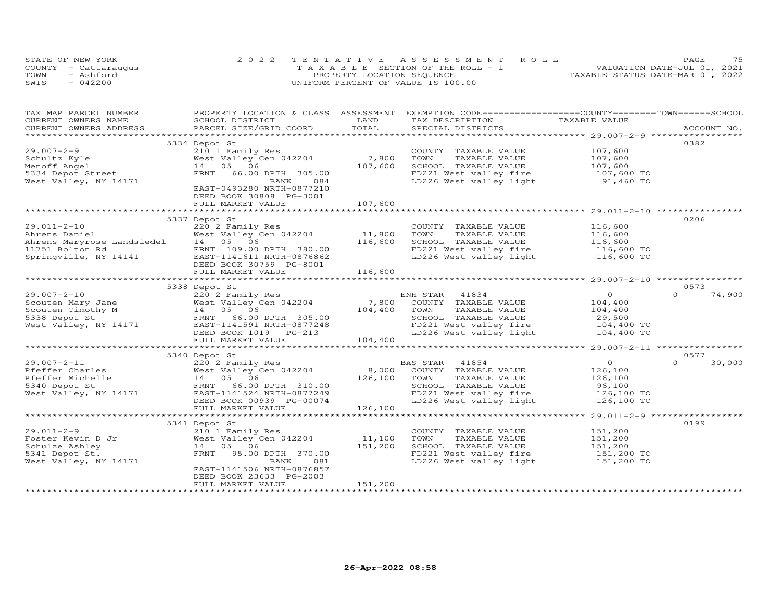|      | STATE OF NEW YORK    | 2022 TENTATIVE ASSESSMENT ROLL        | PAGE                             |
|------|----------------------|---------------------------------------|----------------------------------|
|      | COUNTY - Cattaraugus | T A X A B L E SECTION OF THE ROLL - 1 | VALUATION DATE-JUL 01, 2021      |
| TOWN | - Ashford            | PROPERTY LOCATION SEQUENCE            | TAXABLE STATUS DATE-MAR 01, 2022 |
| SWIS | 042200               | UNIFORM PERCENT OF VALUE IS 100.00    |                                  |

| TAX MAP PARCEL NUMBER                  |                                                                                                                                                                       |               | PROPERTY LOCATION & CLASS ASSESSMENT EXEMPTION CODE----------------COUNTY-------TOWN-----SCHOOL |                                                    |                    |
|----------------------------------------|-----------------------------------------------------------------------------------------------------------------------------------------------------------------------|---------------|-------------------------------------------------------------------------------------------------|----------------------------------------------------|--------------------|
| CURRENT OWNERS NAME                    | SCHOOL DISTRICT                                                                                                                                                       | LAND          | TAX DESCRIPTION                                                                                 | TAXABLE VALUE                                      |                    |
| CURRENT OWNERS ADDRESS                 | PARCEL SIZE/GRID COORD                                                                                                                                                | TOTAL         | SPECIAL DISTRICTS                                                                               |                                                    | ACCOUNT NO.        |
|                                        |                                                                                                                                                                       |               |                                                                                                 |                                                    |                    |
| $29.007 - 2 - 9$                       | 5334 Depot St                                                                                                                                                         |               |                                                                                                 | 107,600                                            | 0382               |
|                                        | 210 1 Family Res<br>West Valley Cen 042204 7,800                                                                                                                      |               | COUNTY TAXABLE VALUE                                                                            | 107,600                                            |                    |
| Schultz Kyle                           | 14  05  06                                                                                                                                                            |               | TOWN<br>TAXABLE VALUE                                                                           |                                                    |                    |
| Menoff Angel                           | FRNT                                                                                                                                                                  | 107,600       | SCHOOL TAXABLE VALUE<br>FD221 West valley fire                                                  | 107,600<br>$107,600$ TO                            |                    |
| 5334 Depot Street                      | 66.00 DPTH 305.00<br>084                                                                                                                                              |               |                                                                                                 | 91,460 TO                                          |                    |
| West Valley, NY 14171                  | BANK<br>EAST-0493280 NRTH-0877210                                                                                                                                     |               | LD226 West valley light                                                                         |                                                    |                    |
|                                        | DEED BOOK 30808 PG-3001                                                                                                                                               |               |                                                                                                 |                                                    |                    |
|                                        | FULL MARKET VALUE                                                                                                                                                     | 107,600       |                                                                                                 |                                                    |                    |
|                                        |                                                                                                                                                                       |               |                                                                                                 |                                                    |                    |
|                                        | 5337 Depot St                                                                                                                                                         |               |                                                                                                 |                                                    | 0206               |
| $29.011 - 2 - 10$                      | 220 2 Family Res                                                                                                                                                      |               | COUNTY TAXABLE VALUE                                                                            | 116,600                                            |                    |
|                                        | West Valley Cen 042204                                                                                                                                                | 11,800        | TOWN<br>TAXABLE VALUE                                                                           |                                                    |                    |
|                                        | Example 1 2202 and the Mest Valley Cen 042204<br>Ahrens Daniel 14 05 06<br>11751 Bolton Rd FRNT 109.00 DPTH 380.00<br>Springville, NY 14141 EAST-1141611_NRTH-0876862 | 116,600       | SCHOOL TAXABLE VALUE                                                                            | 116,600<br>116,600                                 |                    |
|                                        |                                                                                                                                                                       |               | FD221 West valley fire                                                                          | 116,600 TO                                         |                    |
|                                        |                                                                                                                                                                       |               | LD226 West valley light                                                                         | 116,600 TO                                         |                    |
|                                        | DEED BOOK 30759 PG-8001                                                                                                                                               |               |                                                                                                 |                                                    |                    |
|                                        | FULL MARKET VALUE                                                                                                                                                     | 116,600       |                                                                                                 |                                                    |                    |
|                                        | ****************************                                                                                                                                          | ************* |                                                                                                 | ******************** 29.007-2-10 ***************** |                    |
|                                        | 5338 Depot St                                                                                                                                                         |               |                                                                                                 |                                                    | 0573               |
| $29.007 - 2 - 10$                      | 220 2 Family Res                                                                                                                                                      |               | ENH STAR<br>41834                                                                               | $\overline{O}$                                     | $\Omega$<br>74,900 |
|                                        | ZZO Z Family Res<br>West Valley Cen 042204                                                                                                                            | 7,800         | COUNTY TAXABLE VALUE                                                                            | 104,400                                            |                    |
|                                        |                                                                                                                                                                       | 104,400       | TAXABLE VALUE<br>TOWN                                                                           | 104,400                                            |                    |
|                                        | Scouten Mary Jane<br>Scouten Timothy M 14 05 06<br>5338 Depot St FRNT 66.00 DPTH 305.00<br>West Valley, NY 14171 EAST-1141591 NRTH-0877248                            |               | SCHOOL TAXABLE VALUE                                                                            | 29,500                                             |                    |
|                                        | FRNT 66.00 DPTH 305.00<br>EAST-1141591 NRTH-0877248<br>DEED BOOK 1019 PG-213                                                                                          |               |                                                                                                 |                                                    |                    |
|                                        |                                                                                                                                                                       |               | FD221 West valley fire 104,400 TO<br>LD226 West valley light 104,400 TO                         |                                                    |                    |
|                                        | FULL MARKET VALUE                                                                                                                                                     | 104,400       |                                                                                                 |                                                    |                    |
|                                        |                                                                                                                                                                       |               |                                                                                                 |                                                    |                    |
|                                        | 5340 Depot St                                                                                                                                                         |               |                                                                                                 |                                                    | 0577               |
| $29.007 - 2 - 11$                      |                                                                                                                                                                       |               | 41854<br>BAS STAR                                                                               | $\overline{0}$                                     | $\Omega$<br>30,000 |
| Pfeffer Charles                        |                                                                                                                                                                       | 8,000         | COUNTY TAXABLE VALUE                                                                            | 126,100                                            |                    |
| Pfeffer Michelle                       |                                                                                                                                                                       | 126,100       | TOWN<br>TAXABLE VALUE                                                                           | 126,100                                            |                    |
| 5340 Depot St                          |                                                                                                                                                                       |               | SCHOOL TAXABLE VALUE                                                                            | 96,100                                             |                    |
| 5340 Depot St<br>West Valley, NY 14171 |                                                                                                                                                                       |               | FD221 West valley fire                                                                          | 126,100 TO                                         |                    |
|                                        | 220 2 1<br>West Valley Cen -<br>14 05 06<br>FRNT 66.00 DPTH 310.00<br>TAST-1141524 NRTH-0877249<br>TAST-1141524 NRTH-0877249                                          |               | LD226 West valley light                                                                         | 126,100 TO                                         |                    |
|                                        | FULL MARKET VALUE                                                                                                                                                     | 126,100       |                                                                                                 |                                                    |                    |
|                                        |                                                                                                                                                                       |               |                                                                                                 |                                                    |                    |
|                                        | 5341 Depot St                                                                                                                                                         |               |                                                                                                 |                                                    | 0199               |
| $29.011 - 2 - 9$                       | 210 1 Family Res                                                                                                                                                      |               | COUNTY TAXABLE VALUE                                                                            | 151,200                                            |                    |
| Foster Kevin D Jr<br>Schulze Ashley    | West Valley Cen 042204                                                                                                                                                | 11,100        | TOWN<br>TAXABLE VALUE                                                                           | 151,200                                            |                    |
| Schulze Ashley                         | 14 05 06                                                                                                                                                              | 151,200       | SCHOOL TAXABLE VALUE                                                                            | 151,200                                            |                    |
| 5341 Depot St.                         | FRNT<br>95.00 DPTH 370.00                                                                                                                                             |               | FD221 West valley fire 151,200 TO                                                               |                                                    |                    |
| West Valley, NY 14171                  | BANK<br>081                                                                                                                                                           |               | LD226 West valley light                                                                         | 151,200 TO                                         |                    |
|                                        | EAST-1141506 NRTH-0876857                                                                                                                                             |               |                                                                                                 |                                                    |                    |
|                                        | DEED BOOK 23633 PG-2003                                                                                                                                               |               |                                                                                                 |                                                    |                    |
|                                        | FULL MARKET VALUE                                                                                                                                                     | 151,200       |                                                                                                 |                                                    |                    |
|                                        |                                                                                                                                                                       |               |                                                                                                 |                                                    |                    |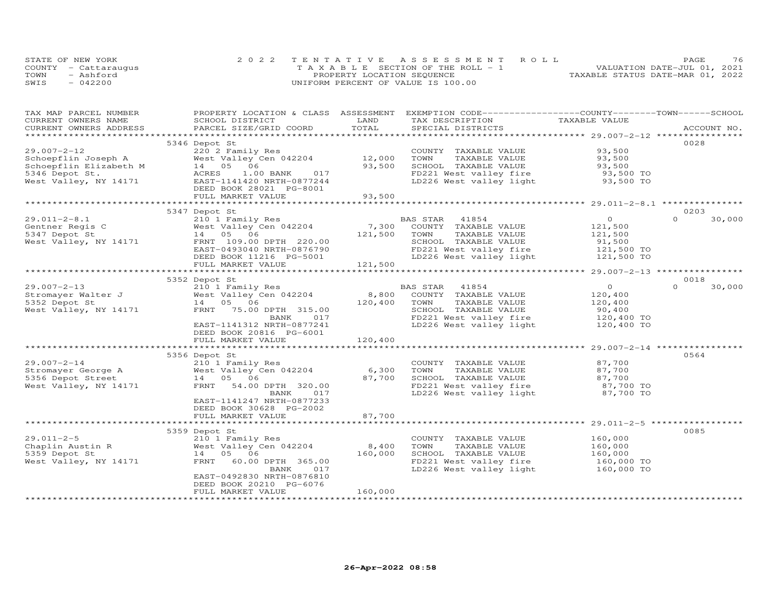|      | STATE OF NEW YORK    | 2022 TENTATIVE ASSESSMENT ROLL        | PAGE.                            | 76 |
|------|----------------------|---------------------------------------|----------------------------------|----|
|      | COUNTY - Cattaraugus | T A X A B L E SECTION OF THE ROLL - 1 | VALUATION DATE-JUL 01, 2021      |    |
| TOWN | - Ashford            | PROPERTY LOCATION SEQUENCE            | TAXABLE STATUS DATE-MAR 01, 2022 |    |
| SWIS | $-042200$            | UNIFORM PERCENT OF VALUE IS 100.00    |                                  |    |

| TAX MAP PARCEL NUMBER                   | PROPERTY LOCATION & CLASS ASSESSMENT |         | EXEMPTION CODE-----------------COUNTY-------TOWN------SCHOOL |                            |                    |
|-----------------------------------------|--------------------------------------|---------|--------------------------------------------------------------|----------------------------|--------------------|
| CURRENT OWNERS NAME                     | SCHOOL DISTRICT                      | LAND    | TAX DESCRIPTION                                              | TAXABLE VALUE              |                    |
| CURRENT OWNERS ADDRESS                  | PARCEL SIZE/GRID COORD               | TOTAL   | SPECIAL DISTRICTS                                            |                            | ACCOUNT NO.        |
|                                         |                                      |         |                                                              |                            |                    |
|                                         | 5346 Depot St                        |         |                                                              |                            | 0028               |
| $29.007 - 2 - 12$                       | 220 2 Family Res                     |         | COUNTY TAXABLE VALUE                                         | 93,500                     |                    |
| Schoepflin Joseph A                     | West Valley Cen 042204               | 12,000  | TOWN<br>TAXABLE VALUE                                        | 93,500                     |                    |
| Schoepflin Elizabeth M                  | 14 05<br>06                          | 93,500  | SCHOOL TAXABLE VALUE                                         | 93,500                     |                    |
| 5346 Depot St.                          | ACRES<br>1.00 BANK<br>017            |         | FD221 West valley fire                                       | 93,500 TO                  |                    |
| West Valley, NY 14171                   | EAST-1141420 NRTH-0877244            |         | LD226 West valley light                                      | 93,500 TO                  |                    |
|                                         | DEED BOOK 28021 PG-8001              |         |                                                              |                            |                    |
|                                         | FULL MARKET VALUE                    | 93,500  |                                                              |                            |                    |
|                                         |                                      |         |                                                              |                            |                    |
|                                         | 5347 Depot St                        |         |                                                              |                            | 0203               |
| $29.011 - 2 - 8.1$                      | 210 1 Family Res                     |         | 41854<br>BAS STAR                                            | $\circ$                    | $\Omega$<br>30,000 |
| Gentner Regis C                         | West Valley Cen 042204               | 7,300   | COUNTY TAXABLE VALUE                                         | 121,500                    |                    |
| 5347 Depot St                           | 14 05 06                             | 121,500 | TOWN<br>TAXABLE VALUE                                        | 121,500                    |                    |
| West Valley, NY 14171                   | FRNT 109.00 DPTH 220.00              |         | SCHOOL TAXABLE VALUE                                         | 91,500                     |                    |
|                                         | EAST-0493040 NRTH-0876790            |         | FD221 West valley fire                                       | 121,500 TO                 |                    |
|                                         | DEED BOOK 11216 PG-5001              |         | LD226 West valley light 121,500 TO                           |                            |                    |
|                                         | FULL MARKET VALUE                    | 121,500 |                                                              |                            |                    |
|                                         |                                      |         |                                                              |                            |                    |
|                                         | 5352 Depot St                        |         |                                                              |                            | 0018               |
| $29.007 - 2 - 13$                       | 210 1 Family Res                     |         | BAS STAR<br>41854                                            | $\circ$                    | $\Omega$<br>30,000 |
| Stromayer Walter J                      | West Valley Cen 042204               | 8,800   | COUNTY TAXABLE VALUE                                         | 120,400                    |                    |
| 5352 Depot St                           | 14  05  06                           | 120,400 | TOWN<br>TAXABLE VALUE                                        | 120,400                    |                    |
| West Valley, NY 14171                   | FRNT<br>75.00 DPTH 315.00            |         | SCHOOL TAXABLE VALUE                                         | 90,400                     |                    |
|                                         | 017<br>BANK                          |         | FD221 West valley fire                                       | 120,400 TO                 |                    |
|                                         | EAST-1141312 NRTH-0877241            |         | LD226 West valley light                                      | 120,400 TO                 |                    |
|                                         | DEED BOOK 20816 PG-6001              |         |                                                              |                            |                    |
|                                         | FULL MARKET VALUE                    | 120,400 |                                                              |                            |                    |
|                                         |                                      |         |                                                              |                            |                    |
|                                         | 5356 Depot St                        |         |                                                              |                            | 0564               |
| $29.007 - 2 - 14$                       | 210 1 Family Res                     |         | COUNTY TAXABLE VALUE                                         | 87,700                     |                    |
|                                         | West Valley Cen 042204               | 6,300   | TOWN<br>TAXABLE VALUE                                        | 87,700                     |                    |
| Stromayer George A<br>5356 Depot Street | 14 05 06                             | 87,700  | SCHOOL TAXABLE VALUE                                         |                            |                    |
| West Valley, NY 14171                   | FRNT<br>54.00 DPTH 320.00            |         | FD221 West valley fire                                       | $87,700$ TO<br>$87,700$ TO |                    |
|                                         | 017<br>BANK                          |         | LD226 West valley light 87,700 TO                            |                            |                    |
|                                         | EAST-1141247 NRTH-0877233            |         |                                                              |                            |                    |
|                                         | DEED BOOK 30628 PG-2002              |         |                                                              |                            |                    |
|                                         | FULL MARKET VALUE                    | 87,700  |                                                              |                            |                    |
|                                         | ****************************         |         |                                                              |                            |                    |
|                                         | 5359 Depot St                        |         |                                                              |                            | 0085               |
| $29.011 - 2 - 5$                        | 210 1 Family Res                     |         | COUNTY TAXABLE VALUE                                         | 160,000                    |                    |
| Chaplin Austin R                        | West Valley Cen 042204               | 8,400   | TOWN<br>TAXABLE VALUE                                        | 160,000                    |                    |
| 5359 Depot St                           | 14 05<br>06                          | 160,000 | SCHOOL TAXABLE VALUE                                         | 160,000                    |                    |
| West Valley, NY 14171                   | FRNT<br>60.00 DPTH 365.00            |         | FD221 West valley fire                                       | 160,000 TO                 |                    |
|                                         | BANK<br>017                          |         | LD226 West valley light                                      | 160,000 TO                 |                    |
|                                         | EAST-0492830 NRTH-0876810            |         |                                                              |                            |                    |
|                                         | DEED BOOK 20210 PG-6076              |         |                                                              |                            |                    |
|                                         | FULL MARKET VALUE                    | 160,000 |                                                              |                            |                    |
|                                         |                                      |         |                                                              |                            |                    |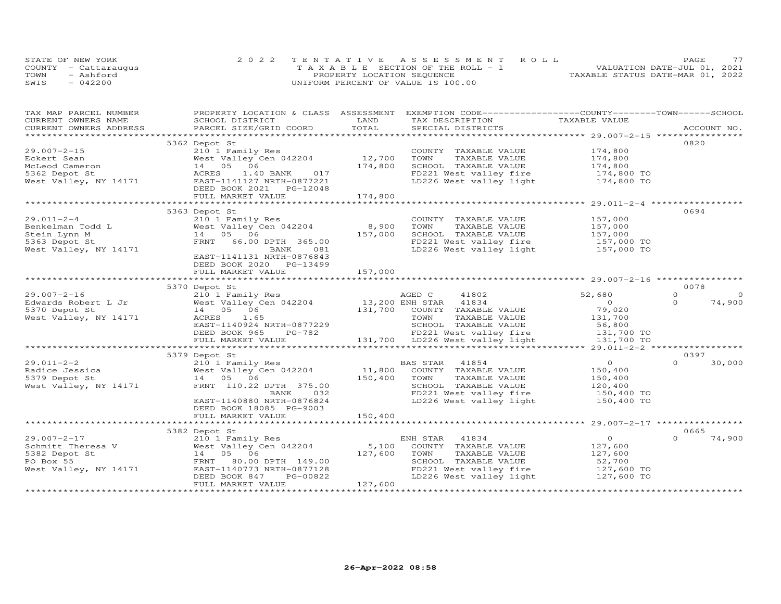| STATE OF NEW YORK    | 2022 TENTATIVE ASSESSMENT ROLL        | 77<br>PAGE.                      |
|----------------------|---------------------------------------|----------------------------------|
| COUNTY - Cattaraugus | T A X A B L E SECTION OF THE ROLL - 1 | VALUATION DATE-JUL 01, 2021      |
| TOWN<br>- Ashford    | PROPERTY LOCATION SEQUENCE            | TAXABLE STATUS DATE-MAR 01, 2022 |
| SWIS<br>$-042200$    | UNIFORM PERCENT OF VALUE IS 100.00    |                                  |

| TAXABLE VALUE<br>CURRENT OWNERS NAME<br>LAND<br>TAX DESCRIPTION<br>SCHOOL DISTRICT<br>TOTAL<br>CURRENT OWNERS ADDRESS<br>PARCEL SIZE/GRID COORD<br>SPECIAL DISTRICTS<br>ACCOUNT NO.<br>0820<br>5362 Depot St<br>$29.007 - 2 - 15$<br>210 1 Family Res<br>174,800<br>COUNTY TAXABLE VALUE<br>12,700<br>West Valley Cen 042204<br>TAXABLE VALUE<br>174,800<br>Eckert Sean<br>TOWN<br>14  05  06<br>174,800<br>SCHOOL TAXABLE VALUE<br>McLeod Cameron<br>174,800<br>$174,800$ TO<br>5362 Depot St<br>ACRES<br>1.40 BANK 017<br>FD221 West valley fire<br>LD226 West valley light<br>West Valley, NY 14171<br>174,800 TO<br>EAST-1141127 NRTH-0877221<br>DEED BOOK 2021 PG-12048<br>FULL MARKET VALUE<br>174,800<br>0694<br>5363 Depot St<br>$29.011 - 2 - 4$<br>157,000<br>210 1 Family Res<br>COUNTY TAXABLE VALUE<br>8,900<br>TAXABLE VALUE<br>157,000<br>Benkelman Todd L<br>West Valley Cen 042204<br>TOWN<br>157,000<br>14  05  06<br>SCHOOL TAXABLE VALUE<br>157,000<br>Stein Lynn M<br>5363 Depot St<br>FRNT 66.00 DPTH 365.00<br>FD221 West valley fire 157,000 TO<br>LD226 West valley light 157,000 TO<br>West Valley, NY 14171<br>081<br>BANK<br>EAST-1141131 NRTH-0876843<br>DEED BOOK 2020 PG-13499<br>157,000<br>FULL MARKET VALUE<br>**************************<br>***********<br>0078<br>5370 Depot St<br>$29.007 - 2 - 16$<br>210 1 Family Res<br>41802<br>52,680<br>$\Omega$<br>$\circ$<br>AGED C<br>13,200 ENH STAR<br>$\overline{O}$<br>Edwards Robert L Jr<br>West Valley Cen 042204<br>41834<br>$\Omega$<br>74,900<br>131,700 COUNTY TAXABLE VALUE<br>79,020<br>5370 Depot St<br>14  05  06<br>West Valley, NY 14171<br>ACRES<br>1.65<br>TOWN<br>TAXABLE VALUE<br>131,700<br>SCHOOL TAXABLE VALUE<br>56,800<br>131,700 TO<br>EAST-1140924 NRTH-0877229<br>DEED BOOK 965 PG-782<br>FD221 West valley fire |
|-----------------------------------------------------------------------------------------------------------------------------------------------------------------------------------------------------------------------------------------------------------------------------------------------------------------------------------------------------------------------------------------------------------------------------------------------------------------------------------------------------------------------------------------------------------------------------------------------------------------------------------------------------------------------------------------------------------------------------------------------------------------------------------------------------------------------------------------------------------------------------------------------------------------------------------------------------------------------------------------------------------------------------------------------------------------------------------------------------------------------------------------------------------------------------------------------------------------------------------------------------------------------------------------------------------------------------------------------------------------------------------------------------------------------------------------------------------------------------------------------------------------------------------------------------------------------------------------------------------------------------------------------------------------------------------------------------------------------------------------------------------------------------------------------------------------------------|
|                                                                                                                                                                                                                                                                                                                                                                                                                                                                                                                                                                                                                                                                                                                                                                                                                                                                                                                                                                                                                                                                                                                                                                                                                                                                                                                                                                                                                                                                                                                                                                                                                                                                                                                                                                                                                             |
|                                                                                                                                                                                                                                                                                                                                                                                                                                                                                                                                                                                                                                                                                                                                                                                                                                                                                                                                                                                                                                                                                                                                                                                                                                                                                                                                                                                                                                                                                                                                                                                                                                                                                                                                                                                                                             |
|                                                                                                                                                                                                                                                                                                                                                                                                                                                                                                                                                                                                                                                                                                                                                                                                                                                                                                                                                                                                                                                                                                                                                                                                                                                                                                                                                                                                                                                                                                                                                                                                                                                                                                                                                                                                                             |
|                                                                                                                                                                                                                                                                                                                                                                                                                                                                                                                                                                                                                                                                                                                                                                                                                                                                                                                                                                                                                                                                                                                                                                                                                                                                                                                                                                                                                                                                                                                                                                                                                                                                                                                                                                                                                             |
|                                                                                                                                                                                                                                                                                                                                                                                                                                                                                                                                                                                                                                                                                                                                                                                                                                                                                                                                                                                                                                                                                                                                                                                                                                                                                                                                                                                                                                                                                                                                                                                                                                                                                                                                                                                                                             |
|                                                                                                                                                                                                                                                                                                                                                                                                                                                                                                                                                                                                                                                                                                                                                                                                                                                                                                                                                                                                                                                                                                                                                                                                                                                                                                                                                                                                                                                                                                                                                                                                                                                                                                                                                                                                                             |
|                                                                                                                                                                                                                                                                                                                                                                                                                                                                                                                                                                                                                                                                                                                                                                                                                                                                                                                                                                                                                                                                                                                                                                                                                                                                                                                                                                                                                                                                                                                                                                                                                                                                                                                                                                                                                             |
|                                                                                                                                                                                                                                                                                                                                                                                                                                                                                                                                                                                                                                                                                                                                                                                                                                                                                                                                                                                                                                                                                                                                                                                                                                                                                                                                                                                                                                                                                                                                                                                                                                                                                                                                                                                                                             |
|                                                                                                                                                                                                                                                                                                                                                                                                                                                                                                                                                                                                                                                                                                                                                                                                                                                                                                                                                                                                                                                                                                                                                                                                                                                                                                                                                                                                                                                                                                                                                                                                                                                                                                                                                                                                                             |
|                                                                                                                                                                                                                                                                                                                                                                                                                                                                                                                                                                                                                                                                                                                                                                                                                                                                                                                                                                                                                                                                                                                                                                                                                                                                                                                                                                                                                                                                                                                                                                                                                                                                                                                                                                                                                             |
|                                                                                                                                                                                                                                                                                                                                                                                                                                                                                                                                                                                                                                                                                                                                                                                                                                                                                                                                                                                                                                                                                                                                                                                                                                                                                                                                                                                                                                                                                                                                                                                                                                                                                                                                                                                                                             |
|                                                                                                                                                                                                                                                                                                                                                                                                                                                                                                                                                                                                                                                                                                                                                                                                                                                                                                                                                                                                                                                                                                                                                                                                                                                                                                                                                                                                                                                                                                                                                                                                                                                                                                                                                                                                                             |
|                                                                                                                                                                                                                                                                                                                                                                                                                                                                                                                                                                                                                                                                                                                                                                                                                                                                                                                                                                                                                                                                                                                                                                                                                                                                                                                                                                                                                                                                                                                                                                                                                                                                                                                                                                                                                             |
|                                                                                                                                                                                                                                                                                                                                                                                                                                                                                                                                                                                                                                                                                                                                                                                                                                                                                                                                                                                                                                                                                                                                                                                                                                                                                                                                                                                                                                                                                                                                                                                                                                                                                                                                                                                                                             |
|                                                                                                                                                                                                                                                                                                                                                                                                                                                                                                                                                                                                                                                                                                                                                                                                                                                                                                                                                                                                                                                                                                                                                                                                                                                                                                                                                                                                                                                                                                                                                                                                                                                                                                                                                                                                                             |
|                                                                                                                                                                                                                                                                                                                                                                                                                                                                                                                                                                                                                                                                                                                                                                                                                                                                                                                                                                                                                                                                                                                                                                                                                                                                                                                                                                                                                                                                                                                                                                                                                                                                                                                                                                                                                             |
|                                                                                                                                                                                                                                                                                                                                                                                                                                                                                                                                                                                                                                                                                                                                                                                                                                                                                                                                                                                                                                                                                                                                                                                                                                                                                                                                                                                                                                                                                                                                                                                                                                                                                                                                                                                                                             |
|                                                                                                                                                                                                                                                                                                                                                                                                                                                                                                                                                                                                                                                                                                                                                                                                                                                                                                                                                                                                                                                                                                                                                                                                                                                                                                                                                                                                                                                                                                                                                                                                                                                                                                                                                                                                                             |
|                                                                                                                                                                                                                                                                                                                                                                                                                                                                                                                                                                                                                                                                                                                                                                                                                                                                                                                                                                                                                                                                                                                                                                                                                                                                                                                                                                                                                                                                                                                                                                                                                                                                                                                                                                                                                             |
|                                                                                                                                                                                                                                                                                                                                                                                                                                                                                                                                                                                                                                                                                                                                                                                                                                                                                                                                                                                                                                                                                                                                                                                                                                                                                                                                                                                                                                                                                                                                                                                                                                                                                                                                                                                                                             |
|                                                                                                                                                                                                                                                                                                                                                                                                                                                                                                                                                                                                                                                                                                                                                                                                                                                                                                                                                                                                                                                                                                                                                                                                                                                                                                                                                                                                                                                                                                                                                                                                                                                                                                                                                                                                                             |
|                                                                                                                                                                                                                                                                                                                                                                                                                                                                                                                                                                                                                                                                                                                                                                                                                                                                                                                                                                                                                                                                                                                                                                                                                                                                                                                                                                                                                                                                                                                                                                                                                                                                                                                                                                                                                             |
|                                                                                                                                                                                                                                                                                                                                                                                                                                                                                                                                                                                                                                                                                                                                                                                                                                                                                                                                                                                                                                                                                                                                                                                                                                                                                                                                                                                                                                                                                                                                                                                                                                                                                                                                                                                                                             |
|                                                                                                                                                                                                                                                                                                                                                                                                                                                                                                                                                                                                                                                                                                                                                                                                                                                                                                                                                                                                                                                                                                                                                                                                                                                                                                                                                                                                                                                                                                                                                                                                                                                                                                                                                                                                                             |
|                                                                                                                                                                                                                                                                                                                                                                                                                                                                                                                                                                                                                                                                                                                                                                                                                                                                                                                                                                                                                                                                                                                                                                                                                                                                                                                                                                                                                                                                                                                                                                                                                                                                                                                                                                                                                             |
|                                                                                                                                                                                                                                                                                                                                                                                                                                                                                                                                                                                                                                                                                                                                                                                                                                                                                                                                                                                                                                                                                                                                                                                                                                                                                                                                                                                                                                                                                                                                                                                                                                                                                                                                                                                                                             |
|                                                                                                                                                                                                                                                                                                                                                                                                                                                                                                                                                                                                                                                                                                                                                                                                                                                                                                                                                                                                                                                                                                                                                                                                                                                                                                                                                                                                                                                                                                                                                                                                                                                                                                                                                                                                                             |
|                                                                                                                                                                                                                                                                                                                                                                                                                                                                                                                                                                                                                                                                                                                                                                                                                                                                                                                                                                                                                                                                                                                                                                                                                                                                                                                                                                                                                                                                                                                                                                                                                                                                                                                                                                                                                             |
|                                                                                                                                                                                                                                                                                                                                                                                                                                                                                                                                                                                                                                                                                                                                                                                                                                                                                                                                                                                                                                                                                                                                                                                                                                                                                                                                                                                                                                                                                                                                                                                                                                                                                                                                                                                                                             |
| 131,700 LD226 West valley light 131,700 TO<br>FULL MARKET VALUE                                                                                                                                                                                                                                                                                                                                                                                                                                                                                                                                                                                                                                                                                                                                                                                                                                                                                                                                                                                                                                                                                                                                                                                                                                                                                                                                                                                                                                                                                                                                                                                                                                                                                                                                                             |
|                                                                                                                                                                                                                                                                                                                                                                                                                                                                                                                                                                                                                                                                                                                                                                                                                                                                                                                                                                                                                                                                                                                                                                                                                                                                                                                                                                                                                                                                                                                                                                                                                                                                                                                                                                                                                             |
| 0397<br>5379 Depot St                                                                                                                                                                                                                                                                                                                                                                                                                                                                                                                                                                                                                                                                                                                                                                                                                                                                                                                                                                                                                                                                                                                                                                                                                                                                                                                                                                                                                                                                                                                                                                                                                                                                                                                                                                                                       |
| $29.011 - 2 - 2$<br>$\circ$<br>$\Omega$<br>30,000<br>41854<br>210 1 Family Res<br>BAS STAR                                                                                                                                                                                                                                                                                                                                                                                                                                                                                                                                                                                                                                                                                                                                                                                                                                                                                                                                                                                                                                                                                                                                                                                                                                                                                                                                                                                                                                                                                                                                                                                                                                                                                                                                  |
| 11,800<br>Radice Jessica<br>West Valley Cen 042204<br>COUNTY TAXABLE VALUE<br>150,400                                                                                                                                                                                                                                                                                                                                                                                                                                                                                                                                                                                                                                                                                                                                                                                                                                                                                                                                                                                                                                                                                                                                                                                                                                                                                                                                                                                                                                                                                                                                                                                                                                                                                                                                       |
| 14 05 06<br>150,400<br>5379 Depot St<br>TOWN<br>TAXABLE VALUE<br>150,400                                                                                                                                                                                                                                                                                                                                                                                                                                                                                                                                                                                                                                                                                                                                                                                                                                                                                                                                                                                                                                                                                                                                                                                                                                                                                                                                                                                                                                                                                                                                                                                                                                                                                                                                                    |
| FRNT 110.22 DPTH 375.00<br>SCHOOL TAXABLE VALUE<br>120,400                                                                                                                                                                                                                                                                                                                                                                                                                                                                                                                                                                                                                                                                                                                                                                                                                                                                                                                                                                                                                                                                                                                                                                                                                                                                                                                                                                                                                                                                                                                                                                                                                                                                                                                                                                  |
| West Valley, NY 14171                                                                                                                                                                                                                                                                                                                                                                                                                                                                                                                                                                                                                                                                                                                                                                                                                                                                                                                                                                                                                                                                                                                                                                                                                                                                                                                                                                                                                                                                                                                                                                                                                                                                                                                                                                                                       |
| FD221 West valley fire<br>150,400 TO<br>BANK<br>032                                                                                                                                                                                                                                                                                                                                                                                                                                                                                                                                                                                                                                                                                                                                                                                                                                                                                                                                                                                                                                                                                                                                                                                                                                                                                                                                                                                                                                                                                                                                                                                                                                                                                                                                                                         |
| EAST-1140880 NRTH-0876824<br>LD226 West valley light<br>150,400 TO                                                                                                                                                                                                                                                                                                                                                                                                                                                                                                                                                                                                                                                                                                                                                                                                                                                                                                                                                                                                                                                                                                                                                                                                                                                                                                                                                                                                                                                                                                                                                                                                                                                                                                                                                          |
| DEED BOOK 18085 PG-9003                                                                                                                                                                                                                                                                                                                                                                                                                                                                                                                                                                                                                                                                                                                                                                                                                                                                                                                                                                                                                                                                                                                                                                                                                                                                                                                                                                                                                                                                                                                                                                                                                                                                                                                                                                                                     |
| 150,400<br>FULL MARKET VALUE                                                                                                                                                                                                                                                                                                                                                                                                                                                                                                                                                                                                                                                                                                                                                                                                                                                                                                                                                                                                                                                                                                                                                                                                                                                                                                                                                                                                                                                                                                                                                                                                                                                                                                                                                                                                |
|                                                                                                                                                                                                                                                                                                                                                                                                                                                                                                                                                                                                                                                                                                                                                                                                                                                                                                                                                                                                                                                                                                                                                                                                                                                                                                                                                                                                                                                                                                                                                                                                                                                                                                                                                                                                                             |
| 5382 Depot St<br>0665<br>$\Omega$                                                                                                                                                                                                                                                                                                                                                                                                                                                                                                                                                                                                                                                                                                                                                                                                                                                                                                                                                                                                                                                                                                                                                                                                                                                                                                                                                                                                                                                                                                                                                                                                                                                                                                                                                                                           |
| $\overline{O}$<br>$29.007 - 2 - 17$<br>41834<br>74,900<br>210 1 Family Res<br>ENH STAR                                                                                                                                                                                                                                                                                                                                                                                                                                                                                                                                                                                                                                                                                                                                                                                                                                                                                                                                                                                                                                                                                                                                                                                                                                                                                                                                                                                                                                                                                                                                                                                                                                                                                                                                      |
| West Valley Cen 042204<br>5,100<br>Schmitt Theresa V<br>COUNTY TAXABLE VALUE<br>127,600                                                                                                                                                                                                                                                                                                                                                                                                                                                                                                                                                                                                                                                                                                                                                                                                                                                                                                                                                                                                                                                                                                                                                                                                                                                                                                                                                                                                                                                                                                                                                                                                                                                                                                                                     |
| 14  05  06<br>127,600<br>5382 Depot St<br>TOWN<br>TAXABLE VALUE<br>127,600                                                                                                                                                                                                                                                                                                                                                                                                                                                                                                                                                                                                                                                                                                                                                                                                                                                                                                                                                                                                                                                                                                                                                                                                                                                                                                                                                                                                                                                                                                                                                                                                                                                                                                                                                  |
| PO Box 55<br>FRNT 80.00 DPTH 149.00<br>SCHOOL TAXABLE VALUE<br>52,700                                                                                                                                                                                                                                                                                                                                                                                                                                                                                                                                                                                                                                                                                                                                                                                                                                                                                                                                                                                                                                                                                                                                                                                                                                                                                                                                                                                                                                                                                                                                                                                                                                                                                                                                                       |
| FD221 West valley fire<br>West Valley, NY 14171<br>EAST-1140773 NRTH-0877128<br>127,600 TO                                                                                                                                                                                                                                                                                                                                                                                                                                                                                                                                                                                                                                                                                                                                                                                                                                                                                                                                                                                                                                                                                                                                                                                                                                                                                                                                                                                                                                                                                                                                                                                                                                                                                                                                  |
| DEED BOOK 847<br>PG-00822<br>LD226 West valley light<br>127,600 TO                                                                                                                                                                                                                                                                                                                                                                                                                                                                                                                                                                                                                                                                                                                                                                                                                                                                                                                                                                                                                                                                                                                                                                                                                                                                                                                                                                                                                                                                                                                                                                                                                                                                                                                                                          |
| FULL MARKET VALUE<br>127,600                                                                                                                                                                                                                                                                                                                                                                                                                                                                                                                                                                                                                                                                                                                                                                                                                                                                                                                                                                                                                                                                                                                                                                                                                                                                                                                                                                                                                                                                                                                                                                                                                                                                                                                                                                                                |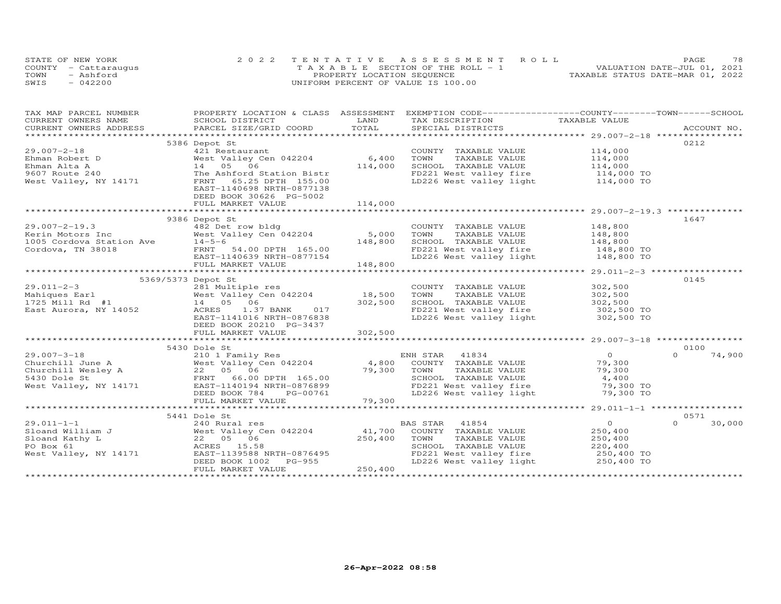|      | STATE OF NEW YORK    | 2022 TENTATIVE ASSESSMENT ROLL        | 78<br>PAGE                       |
|------|----------------------|---------------------------------------|----------------------------------|
|      | COUNTY - Cattaraugus | T A X A B L E SECTION OF THE ROLL - 1 | VALUATION DATE-JUL 01, 2021      |
| TOWN | - Ashford            | PROPERTY LOCATION SEQUENCE            | TAXABLE STATUS DATE-MAR 01, 2022 |
| SWIS | $-042200$            | UNIFORM PERCENT OF VALUE IS 100.00    |                                  |

| TAX MAP PARCEL NUMBER                                                     | PROPERTY LOCATION & CLASS ASSESSMENT EXEMPTION CODE----------------COUNTY-------TOWN------SCHOOL                                                                                                                                                       |         |                                                                                                          |                    |                    |
|---------------------------------------------------------------------------|--------------------------------------------------------------------------------------------------------------------------------------------------------------------------------------------------------------------------------------------------------|---------|----------------------------------------------------------------------------------------------------------|--------------------|--------------------|
|                                                                           |                                                                                                                                                                                                                                                        |         |                                                                                                          |                    |                    |
|                                                                           |                                                                                                                                                                                                                                                        |         |                                                                                                          |                    |                    |
|                                                                           |                                                                                                                                                                                                                                                        |         |                                                                                                          |                    |                    |
|                                                                           | 5386 Depot St                                                                                                                                                                                                                                          |         |                                                                                                          |                    | 0212               |
| $29.007 - 2 - 18$                                                         | 421 Restaurant<br>West Valley Cen 042204 6,400                                                                                                                                                                                                         |         | COUNTY TAXABLE VALUE 114,000                                                                             |                    |                    |
|                                                                           |                                                                                                                                                                                                                                                        |         | TOWN<br>TAXABLE VALUE                                                                                    | 114,000            |                    |
|                                                                           | 14 05 06                                                                                                                                                                                                                                               | 114,000 | SCHOOL TAXABLE VALUE 114,000                                                                             |                    |                    |
|                                                                           | The Ashford Station Bistr                                                                                                                                                                                                                              |         |                                                                                                          |                    |                    |
| Ehman Robert D<br>Ehman Alta A<br>9607 Route 240<br>West Valley, NY 14171 | FRNT 65.25 DPTH 155.00                                                                                                                                                                                                                                 |         | FD221 West valley fire 114,000 TO<br>LD226 West valley light 114,000 TO                                  |                    |                    |
|                                                                           | EAST-1140698 NRTH-0877138                                                                                                                                                                                                                              |         |                                                                                                          |                    |                    |
|                                                                           | DEED BOOK 30626 PG-5002                                                                                                                                                                                                                                |         |                                                                                                          |                    |                    |
|                                                                           |                                                                                                                                                                                                                                                        |         |                                                                                                          |                    |                    |
|                                                                           |                                                                                                                                                                                                                                                        |         |                                                                                                          |                    |                    |
|                                                                           | 9386 Depot St                                                                                                                                                                                                                                          |         |                                                                                                          |                    | 1647               |
|                                                                           |                                                                                                                                                                                                                                                        |         | COUNTY TAXABLE VALUE 148,800                                                                             |                    |                    |
|                                                                           |                                                                                                                                                                                                                                                        |         | TAXABLE VALUE 148,800<br>TOWN                                                                            |                    |                    |
|                                                                           | 29.007-2-19.3<br>Kerin Motors Inc and A82 Det row bldg<br>1005 Cordova Station Ave 14-5-6<br>Cordova, TN 38018<br>ERNT -1140639 NRTH-0877154<br>FULL MARKET VALUE 149.000                                                                              |         |                                                                                                          |                    |                    |
|                                                                           |                                                                                                                                                                                                                                                        |         | SCHOOL TAXABLE VALUE 148,800<br>FD221 West valley fire 148,800 TO                                        |                    |                    |
|                                                                           |                                                                                                                                                                                                                                                        |         | LD226 West valley light 148,800 TO                                                                       |                    |                    |
|                                                                           | FULL MARKET VALUE                                                                                                                                                                                                                                      | 148,800 |                                                                                                          |                    |                    |
|                                                                           |                                                                                                                                                                                                                                                        |         |                                                                                                          |                    |                    |
|                                                                           | 5369/5373 Depot St                                                                                                                                                                                                                                     |         |                                                                                                          |                    | 0145               |
|                                                                           |                                                                                                                                                                                                                                                        |         |                                                                                                          |                    |                    |
|                                                                           |                                                                                                                                                                                                                                                        |         | COUNTY TAXABLE VALUE<br>TOWN      TAXABLE VALUE                                                          | 302,500<br>302,500 |                    |
|                                                                           |                                                                                                                                                                                                                                                        |         |                                                                                                          |                    |                    |
|                                                                           |                                                                                                                                                                                                                                                        |         | SCHOOL TAXABLE VALUE 1992,500<br>FD221 West valley fire 302,500 TO<br>LD226 West valley light 302,500 TO |                    |                    |
|                                                                           |                                                                                                                                                                                                                                                        |         |                                                                                                          |                    |                    |
|                                                                           | EAST-1141016 NRTH-0876838                                                                                                                                                                                                                              |         |                                                                                                          |                    |                    |
|                                                                           | DEED BOOK 20210 PG-3437                                                                                                                                                                                                                                |         |                                                                                                          |                    |                    |
|                                                                           |                                                                                                                                                                                                                                                        |         |                                                                                                          |                    |                    |
|                                                                           |                                                                                                                                                                                                                                                        |         |                                                                                                          |                    |                    |
|                                                                           | 5430 Dole St                                                                                                                                                                                                                                           |         |                                                                                                          |                    | 0100               |
|                                                                           |                                                                                                                                                                                                                                                        |         |                                                                                                          | $\overline{0}$     | $\Omega$<br>74,900 |
|                                                                           |                                                                                                                                                                                                                                                        |         |                                                                                                          | 79,300             |                    |
|                                                                           |                                                                                                                                                                                                                                                        |         | TOWN TAXABLE VALUE 79,300<br>SCHOOL TAXABLE VALUE 4,400                                                  |                    |                    |
|                                                                           |                                                                                                                                                                                                                                                        |         |                                                                                                          |                    |                    |
|                                                                           | 29.007-3-18<br>Churchill June A<br>Churchill West Valley Cen 042204<br>SA30 Dole St<br>EXAMPLE VALUE<br>Churchill West Valley A<br>22 05 06 06 DPTH 165.00<br>FD221 West Valley, NY 14171<br>West Valley, NY 14171<br>EXAST-1140194 NRTH-087689        |         | FD221 West valley fire 500 79,300 TO<br>ID226 West valley fire 50,300 TO                                 |                    |                    |
|                                                                           |                                                                                                                                                                                                                                                        |         |                                                                                                          |                    |                    |
|                                                                           | $\frac{10000}{20000}$ + $\frac{10000}{29,300}$ + $\frac{10000}{29,300}$ + $\frac{10000}{29,300}$ + $\frac{1000}{29,300}$ + $\frac{1000}{29,300}$ + $\frac{1000}{29,300}$ + $\frac{1000}{29,300}$ + $\frac{1000}{29,300}$                               |         |                                                                                                          |                    |                    |
|                                                                           |                                                                                                                                                                                                                                                        |         |                                                                                                          |                    |                    |
|                                                                           | 5441 Dole St                                                                                                                                                                                                                                           |         |                                                                                                          |                    | 0571               |
|                                                                           |                                                                                                                                                                                                                                                        |         | BAS STAR 41854                                                                                           | $\overline{0}$     | $\Omega$<br>30,000 |
|                                                                           |                                                                                                                                                                                                                                                        |         | COUNTY TAXABLE VALUE 250,400                                                                             |                    |                    |
|                                                                           |                                                                                                                                                                                                                                                        |         | TOWN<br>TAXABLE VALUE                                                                                    | 250,400            |                    |
|                                                                           | 29.011-1-1<br>Sloand William J<br>Sloand Kathy L<br>PO Box 61<br>West Valley, NY 14171<br>West Valley, NY 14171<br>PO Box 61<br>West Valley, NY 14171<br>DEED BOOK 102 PG-955<br>DEED BOOK 102 PG-955<br>DEED BOOK 102<br>DEED BOOK 102<br>DEED BOOK 1 |         |                                                                                                          | 220, 400           |                    |
|                                                                           |                                                                                                                                                                                                                                                        |         |                                                                                                          |                    |                    |
|                                                                           |                                                                                                                                                                                                                                                        |         |                                                                                                          |                    |                    |
|                                                                           | FULL MARKET VALUE                                                                                                                                                                                                                                      | 250,400 |                                                                                                          |                    |                    |
|                                                                           |                                                                                                                                                                                                                                                        |         |                                                                                                          |                    |                    |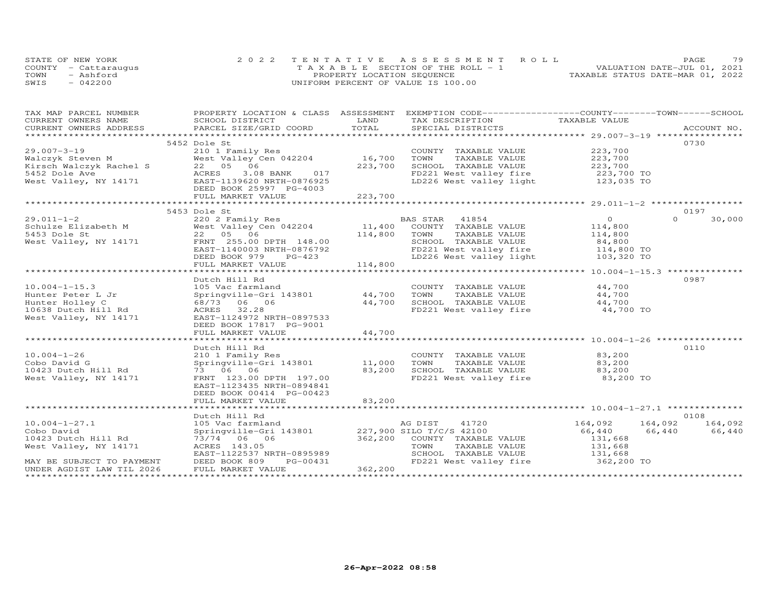| STATE OF NEW YORK    | 2022 TENTATIVE ASSESSMENT ROLL        | 79<br>PAGE.                      |
|----------------------|---------------------------------------|----------------------------------|
| COUNTY - Cattaraugus | T A X A B L E SECTION OF THE ROLL - 1 | VALUATION DATE-JUL 01, 2021      |
| TOWN<br>- Ashford    | PROPERTY LOCATION SEQUENCE            | TAXABLE STATUS DATE-MAR 01, 2022 |
| $-042200$<br>SWIS    | UNIFORM PERCENT OF VALUE IS 100.00    |                                  |

| TAX MAP PARCEL NUMBER                                               |                                                                                                                                                                                                                                   |                      | PROPERTY LOCATION & CLASS ASSESSMENT EXEMPTION CODE-----------------COUNTY-------TOWN------SCHOOL    |                                |                         |
|---------------------------------------------------------------------|-----------------------------------------------------------------------------------------------------------------------------------------------------------------------------------------------------------------------------------|----------------------|------------------------------------------------------------------------------------------------------|--------------------------------|-------------------------|
| CURRENT OWNERS NAME                                                 | SCHOOL DISTRICT                                                                                                                                                                                                                   | LAND                 | TAX DESCRIPTION TAXABLE VALUE                                                                        |                                |                         |
|                                                                     | CORRENT OWNERS NATES ACCOUNT NO BELIEVE THE TAX PECTENT TION THAT THE TRANSPORT ON THE MAN PROTECTS ACCOUNT NO<br>COUNT NO PARCE SIZE/GRID COORD TOTAL SPECIAL SPECIAL SERVIT NO ACCOUNT NO THE SERVER ACCOUNT NO THE SERVER OF T |                      |                                                                                                      |                                |                         |
|                                                                     |                                                                                                                                                                                                                                   |                      |                                                                                                      |                                |                         |
|                                                                     | 5452 Dole St                                                                                                                                                                                                                      |                      |                                                                                                      |                                | 0730                    |
|                                                                     |                                                                                                                                                                                                                                   | 16,700               | COUNTY TAXABLE VALUE                                                                                 | 223,700                        |                         |
|                                                                     | West Valley Cen 042204                                                                                                                                                                                                            |                      | TAXABLE VALUE<br>TOWN<br>SCHOOL TAXABLE VALUE 223,700                                                | 223,700                        |                         |
|                                                                     |                                                                                                                                                                                                                                   | 223,700              |                                                                                                      |                                |                         |
|                                                                     | 3.08 BANK 017                                                                                                                                                                                                                     |                      | FD221 West valley fire 223,700 TO<br>LD226 West valley light 123,035 TO                              |                                |                         |
|                                                                     | 29.007-3-19 210 1 Family Res<br>Walczyk Steven M West Valley Cen 042204<br>Kirsch Walczyk Rachel S 22 05 06<br>5452 Dole Ave ACRES 3.08 BANK 017<br>West Valley, NY 14171 EAST-1139620 NRTH-0876925                               |                      |                                                                                                      |                                |                         |
|                                                                     | DEED BOOK 25997 PG-4003                                                                                                                                                                                                           |                      |                                                                                                      |                                |                         |
|                                                                     | FULL MARKET VALUE                                                                                                                                                                                                                 | 223,700              |                                                                                                      |                                |                         |
|                                                                     |                                                                                                                                                                                                                                   |                      |                                                                                                      |                                |                         |
|                                                                     | 5453 Dole St                                                                                                                                                                                                                      |                      |                                                                                                      |                                | 0197<br>$\Omega$        |
|                                                                     |                                                                                                                                                                                                                                   |                      |                                                                                                      | $\overline{0}$                 | 30,000                  |
|                                                                     |                                                                                                                                                                                                                                   |                      |                                                                                                      | 114,800                        |                         |
|                                                                     |                                                                                                                                                                                                                                   |                      | TAXABLE VALUE 114,800                                                                                |                                |                         |
|                                                                     |                                                                                                                                                                                                                                   |                      |                                                                                                      |                                |                         |
|                                                                     | EAST-1140003 NRTH-0876792                                                                                                                                                                                                         |                      |                                                                                                      |                                |                         |
|                                                                     | DEED BOOK 979<br>PG-423                                                                                                                                                                                                           | $\frac{23}{114,800}$ | LD226 West valley light 103,320 TO                                                                   |                                |                         |
|                                                                     | FULL MARKET VALUE                                                                                                                                                                                                                 |                      |                                                                                                      |                                |                         |
|                                                                     |                                                                                                                                                                                                                                   |                      |                                                                                                      |                                |                         |
|                                                                     | Dutch Hill Rd                                                                                                                                                                                                                     |                      |                                                                                                      |                                | 0987                    |
| $10.004 - 1 - 15.3$                                                 | 105 Vac farmland COUNTY<br>Springville-Gri 143801 44,700 TOWN                                                                                                                                                                     |                      | COUNTY TAXABLE VALUE                                                                                 | $44,700$<br>44.700             |                         |
| Hunter Peter L Jr                                                   |                                                                                                                                                                                                                                   |                      | TAXABLE VALUE                                                                                        | 44,700                         |                         |
| Hunter Holley C                                                     | 68/73 06 06                                                                                                                                                                                                                       | 44,700               | SCHOOL TAXABLE VALUE                   44,700<br>FD221 West valley fire                    44,700 TO |                                |                         |
| 10638 Dutch Hill Rd                                                 | ACRES 32.28                                                                                                                                                                                                                       |                      |                                                                                                      |                                |                         |
| West Valley, NY 14171                                               | EAST-1124972 NRTH-0897533                                                                                                                                                                                                         |                      |                                                                                                      |                                |                         |
|                                                                     | DEED BOOK 17817 PG-9001                                                                                                                                                                                                           |                      |                                                                                                      |                                |                         |
|                                                                     | FULL MARKET VALUE                                                                                                                                                                                                                 | 44,700               |                                                                                                      |                                |                         |
|                                                                     |                                                                                                                                                                                                                                   |                      |                                                                                                      |                                |                         |
|                                                                     | Dutch Hill Rd                                                                                                                                                                                                                     |                      |                                                                                                      |                                | 0110                    |
| $10.004 - 1 - 26$                                                   |                                                                                                                                                                                                                                   |                      | COUNTY TAXABLE VALUE                                                                                 | $83,200$<br>$83.200$           |                         |
| Cobo David G                                                        |                                                                                                                                                                                                                                   |                      | TAXABLE VALUE                                                                                        | 83,200                         |                         |
| 10423 Dutch Hill Rd                                                 | 73 06 06                                                                                                                                                                                                                          | 83,200               | SCHOOL TAXABLE VALUE                                                                                 | 83,200<br>83,200 TO            |                         |
| West Valley, NY 14171                                               | FRNT 123.00 DPTH 197.00                                                                                                                                                                                                           |                      | FD221 West valley fire                                                                               |                                |                         |
|                                                                     | EAST-1123435 NRTH-0894841                                                                                                                                                                                                         |                      |                                                                                                      |                                |                         |
|                                                                     | DEED BOOK 00414 PG-00423                                                                                                                                                                                                          |                      |                                                                                                      |                                |                         |
|                                                                     | FULL MARKET VALUE                                                                                                                                                                                                                 | 83,200               |                                                                                                      |                                |                         |
|                                                                     |                                                                                                                                                                                                                                   |                      |                                                                                                      |                                |                         |
|                                                                     | Dutch Hill Rd                                                                                                                                                                                                                     |                      |                                                                                                      |                                | 0108                    |
| $10.004 - 1 - 27.1$                                                 |                                                                                                                                                                                                                                   |                      |                                                                                                      |                                | 164,092 164,092 164,092 |
| Cobo David                                                          |                                                                                                                                                                                                                                   |                      |                                                                                                      | 66,440                         | 66,440<br>66,440        |
| 10423 Dutch Hill Rd<br>10423 Dutch Hill Rd<br>West Valley, NY 14171 | 73/74 06 06                                                                                                                                                                                                                       |                      | 362,200 COUNTY TAXABLE VALUE                                                                         | 131,668                        |                         |
|                                                                     | ACRES 143.05                                                                                                                                                                                                                      |                      | TOWN<br>TAXABLE VALUE                                                                                | 131,668                        |                         |
|                                                                     | EAST-1122537 NRTH-0895989<br>DEED BOOK 809 PG-00431                                                                                                                                                                               |                      | SCHOOL TAXABLE VALUE 131,668                                                                         |                                |                         |
| MAY BE SUBJECT TO PAYMENT                                           |                                                                                                                                                                                                                                   |                      | FD221 West valley fire                                                                               | 362,200 TO                     |                         |
| UNDER AGDIST LAW TIL 2026                                           | FULL MARKET VALUE                                                                                                                                                                                                                 | 362,200              |                                                                                                      |                                |                         |
|                                                                     |                                                                                                                                                                                                                                   |                      |                                                                                                      | ****************************** |                         |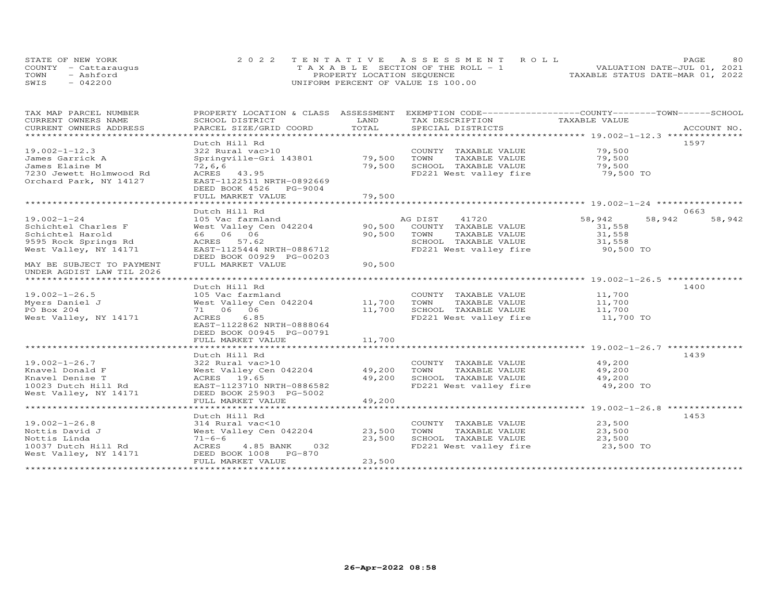| STATE OF NEW YORK    | 2022 TENTATIVE ASSESSMENT ROLL        |                                  | PAGE. | 80 |
|----------------------|---------------------------------------|----------------------------------|-------|----|
| COUNTY - Cattaraugus | T A X A B L E SECTION OF THE ROLL - 1 | VALUATION DATE-JUL 01, 2021      |       |    |
| TOWN<br>- Ashford    | PROPERTY LOCATION SEQUENCE            | TAXABLE STATUS DATE-MAR 01, 2022 |       |    |
| SWIS<br>$-042200$    | UNIFORM PERCENT OF VALUE IS 100.00    |                                  |       |    |

| TAX MAP PARCEL NUMBER<br>CURRENT OWNERS NAME                                                                  | PROPERTY LOCATION & CLASS ASSESSMENT<br>SCHOOL DISTRICT                                                                                                      | LAND<br>TOTAL              | EXEMPTION CODE-----------------COUNTY-------TOWN------SCHOOL<br>TAX DESCRIPTION                                               | TAXABLE VALUE                           | ACCOUNT NO.      |
|---------------------------------------------------------------------------------------------------------------|--------------------------------------------------------------------------------------------------------------------------------------------------------------|----------------------------|-------------------------------------------------------------------------------------------------------------------------------|-----------------------------------------|------------------|
| CURRENT OWNERS ADDRESS<br>****************************                                                        | PARCEL SIZE/GRID COORD                                                                                                                                       |                            | SPECIAL DISTRICTS                                                                                                             |                                         |                  |
| $19.002 - 1 - 12.3$                                                                                           | Dutch Hill Rd<br>322 Rural vac>10                                                                                                                            |                            |                                                                                                                               | 79,500                                  | 1597             |
| James Garrick A<br>James Elaine M<br>7230 Jewett Holmwood Rd<br>Orchard Park, NY 14127                        | Springville-Gri 143801<br>72, 6, 6<br>ACRES 43.95<br>EAST-1122511 NRTH-0892669<br>DEED BOOK 4526<br>PG-9004                                                  | 79,500<br>79,500           | COUNTY TAXABLE VALUE<br>TOWN<br>TAXABLE VALUE<br>SCHOOL TAXABLE VALUE<br>FD221 West valley fire                               | 79,500<br>79,500<br>79,500 TO           |                  |
|                                                                                                               | FULL MARKET VALUE                                                                                                                                            | 79,500                     |                                                                                                                               |                                         |                  |
|                                                                                                               | ******************************<br>Dutch Hill Rd                                                                                                              |                            |                                                                                                                               |                                         | 0663             |
| $19.002 - 1 - 24$<br>Schichtel Charles F<br>Schichtel Harold<br>9595 Rock Springs Rd<br>West Valley, NY 14171 | 105 Vac farmland<br>West Valley Cen 042204<br>66 06 06<br>ACRES<br>57.62<br>EAST-1125444 NRTH-0886712<br>DEED BOOK 00929 PG-00203                            | 90,500<br>90,500           | AG DIST<br>41720<br>COUNTY TAXABLE VALUE<br>TOWN<br>TAXABLE VALUE<br>SCHOOL TAXABLE VALUE<br>FD221 West valley fire 50,500 TO | 58,942<br>31,558<br>31,558<br>31,558    | 58,942<br>58,942 |
| MAY BE SUBJECT TO PAYMENT<br>UNDER AGDIST LAW TIL 2026                                                        | FULL MARKET VALUE                                                                                                                                            | 90,500                     |                                                                                                                               |                                         |                  |
|                                                                                                               | Dutch Hill Rd                                                                                                                                                |                            |                                                                                                                               |                                         | 1400             |
| $19.002 - 1 - 26.5$<br>Myers Daniel J<br>PO Box 204<br>West Valley, NY 14171                                  | 105 Vac farmland<br>West Valley Cen 042204 11,700<br>71 06 06<br>ACRES<br>6.85<br>EAST-1122862 NRTH-0888064<br>DEED BOOK 00945 PG-00791<br>FULL MARKET VALUE | 11,700<br>11,700           | COUNTY TAXABLE VALUE<br>TOWN<br>TAXABLE VALUE<br>SCHOOL TAXABLE VALUE<br>FD221 West valley fire                               | 11,700<br>11,700<br>11,700<br>11,700 TO |                  |
|                                                                                                               |                                                                                                                                                              |                            |                                                                                                                               |                                         |                  |
| $19.002 - 1 - 26.7$<br>Knavel Donald F<br>Knavel Denise T<br>10023 Dutch Hill Rd<br>West Valley, NY 14171     | Dutch Hill Rd<br>322 Rural vac>10<br>West Valley Cen 042204<br>ACRES 19.65<br>EAST-1123710 NRTH-0886582<br>DEED BOOK 25903 PG-5002<br>FULL MARKET VALUE      | 49,200<br>49,200<br>49,200 | COUNTY TAXABLE VALUE<br>TOWN<br>TAXABLE VALUE<br>SCHOOL TAXABLE VALUE<br>FD221 West valley fire                               | 49,200<br>49,200<br>49,200<br>49,200 TO | 1439             |
|                                                                                                               |                                                                                                                                                              |                            |                                                                                                                               |                                         |                  |
| $19.002 - 1 - 26.8$<br>Nottis David J<br>Nottis Linda<br>10037 Dutch Hill Rd<br>West Valley, NY 14171         | Dutch Hill Rd<br>314 Rural vac<10<br>West Valley Cen 042204<br>$71 - 6 - 6$<br>ACRES<br>4.85 BANK<br>032<br>DEED BOOK 1008 PG-870                            | 23,500<br>23,500           | COUNTY TAXABLE VALUE<br>TOWN<br>TAXABLE VALUE<br>SCHOOL TAXABLE VALUE<br>FD221 West valley fire                               | 23,500<br>23,500<br>23,500<br>23,500 TO | 1453             |
|                                                                                                               | FULL MARKET VALUE                                                                                                                                            | 23,500                     |                                                                                                                               |                                         |                  |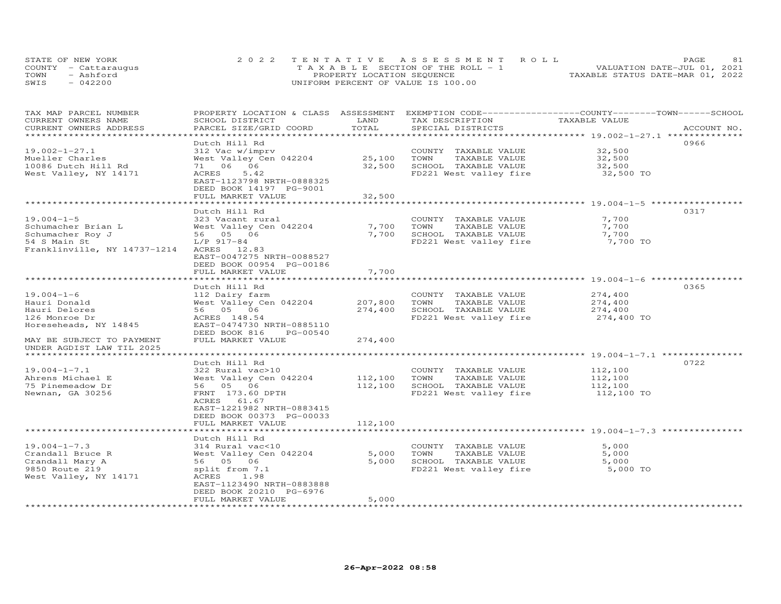| STATE OF NEW YORK    | 2022 TENTATIVE ASSESSMENT ROLL        | 81<br><b>PAGE</b>                |
|----------------------|---------------------------------------|----------------------------------|
| COUNTY - Cattaraugus | T A X A B L E SECTION OF THE ROLL - 1 | VALUATION DATE-JUL 01, 2021      |
| TOWN<br>- Ashford    | PROPERTY LOCATION SEQUENCE            | TAXABLE STATUS DATE-MAR 01, 2022 |
| $-042200$<br>SWIS    | UNIFORM PERCENT OF VALUE IS 100.00    |                                  |

| TAX MAP PARCEL NUMBER<br>CURRENT OWNERS NAME             | PROPERTY LOCATION & CLASS ASSESSMENT EXEMPTION CODE----------------COUNTY-------TOWN------SCHOOL<br>SCHOOL DISTRICT | LAND               | TAX DESCRIPTION                               | TAXABLE VALUE      |             |
|----------------------------------------------------------|---------------------------------------------------------------------------------------------------------------------|--------------------|-----------------------------------------------|--------------------|-------------|
| CURRENT OWNERS ADDRESS<br>****************************** | PARCEL SIZE/GRID COORD                                                                                              | TOTAL              | SPECIAL DISTRICTS                             |                    | ACCOUNT NO. |
|                                                          | Dutch Hill Rd                                                                                                       |                    |                                               |                    | 0966        |
| $19.002 - 1 - 27.1$                                      | 312 Vac w/imprv                                                                                                     |                    | COUNTY TAXABLE VALUE                          | 32,500             |             |
| Mueller Charles                                          | West Valley Cen 042204                                                                                              | 25,100             | TAXABLE VALUE<br>TOWN                         | 32,500             |             |
| 10086 Dutch Hill Rd                                      | 71 06 06                                                                                                            | 32,500             | SCHOOL TAXABLE VALUE                          | 32,500             |             |
| West Valley, NY 14171                                    | ACRES<br>5.42                                                                                                       |                    | FD221 West valley fire                        | 32,500 TO          |             |
|                                                          | EAST-1123798 NRTH-0888325<br>DEED BOOK 14197 PG-9001                                                                |                    |                                               |                    |             |
|                                                          | FULL MARKET VALUE                                                                                                   | 32,500             |                                               |                    |             |
|                                                          |                                                                                                                     |                    |                                               |                    |             |
| $19.004 - 1 - 5$                                         | Dutch Hill Rd<br>323 Vacant rural                                                                                   |                    | COUNTY TAXABLE VALUE                          | 7,700              | 0317        |
| Schumacher Brian L                                       | West Valley Cen 042204                                                                                              | 7,700              | TOWN<br>TAXABLE VALUE                         | 7,700              |             |
| Schumacher Roy J                                         | 56 05 06                                                                                                            | 7,700              | SCHOOL TAXABLE VALUE                          | 7,700              |             |
| 54 S Main St                                             | L/P 917-84                                                                                                          |                    | FD221 West valley fire                        | 7,700 TO           |             |
| Franklinville, NY 14737-1214                             | ACRES 12.83                                                                                                         |                    |                                               |                    |             |
|                                                          | EAST-0047275 NRTH-0088527                                                                                           |                    |                                               |                    |             |
|                                                          | DEED BOOK 00954 PG-00186                                                                                            |                    |                                               |                    |             |
|                                                          | FULL MARKET VALUE                                                                                                   | 7,700              |                                               |                    |             |
|                                                          |                                                                                                                     |                    |                                               |                    |             |
|                                                          | Dutch Hill Rd                                                                                                       |                    |                                               |                    | 0365        |
| $19.004 - 1 - 6$                                         | 112 Dairy farm                                                                                                      |                    | COUNTY TAXABLE VALUE                          | 274,400            |             |
| Hauri Donald                                             | West Valley Cen 042204                                                                                              | 207,800            | TAXABLE VALUE<br>TOWN                         | 274,400            |             |
| Hauri Delores                                            | 56 05 06                                                                                                            | 274,400            | SCHOOL TAXABLE VALUE                          | 274,400            |             |
| 126 Monroe Dr<br>Horeseheads, NY 14845                   | ACRES 148.54<br>EAST-0474730 NRTH-0885110                                                                           |                    | FD221 West valley fire                        | 274,400 TO         |             |
|                                                          | DEED BOOK 816<br>PG-00540                                                                                           |                    |                                               |                    |             |
| MAY BE SUBJECT TO PAYMENT                                | FULL MARKET VALUE                                                                                                   | 274,400            |                                               |                    |             |
| UNDER AGDIST LAW TIL 2025                                |                                                                                                                     |                    |                                               |                    |             |
|                                                          |                                                                                                                     |                    |                                               |                    |             |
|                                                          | Dutch Hill Rd                                                                                                       |                    |                                               |                    | 0722        |
| $19.004 - 1 - 7.1$                                       | 322 Rural vac>10                                                                                                    |                    | COUNTY TAXABLE VALUE                          | 112,100            |             |
| Ahrens Michael E<br>75 Pinemeadow Dr                     | West Valley Cen 042204<br>56 05 06                                                                                  | 112,100<br>112,100 | TAXABLE VALUE<br>TOWN<br>SCHOOL TAXABLE VALUE | 112,100<br>112,100 |             |
| Newnan, GA 30256                                         | FRNT 173.60 DPTH                                                                                                    |                    | FD221 West valley fire                        | 112,100 TO         |             |
|                                                          | ACRES 61.67                                                                                                         |                    |                                               |                    |             |
|                                                          | EAST-1221982 NRTH-0883415                                                                                           |                    |                                               |                    |             |
|                                                          | DEED BOOK 00373 PG-00033                                                                                            |                    |                                               |                    |             |
|                                                          | FULL MARKET VALUE                                                                                                   | 112,100            |                                               |                    |             |
|                                                          |                                                                                                                     |                    |                                               |                    |             |
|                                                          | Dutch Hill Rd                                                                                                       |                    |                                               |                    |             |
| $19.004 - 1 - 7.3$                                       | 314 Rural vac<10                                                                                                    |                    | COUNTY TAXABLE VALUE                          | 5,000              |             |
| Crandall Bruce R                                         | West Valley Cen 042204                                                                                              | 5,000              | TAXABLE VALUE<br>TOWN                         | 5,000              |             |
| Crandall Mary A                                          | 56 05 06                                                                                                            | 5,000              | SCHOOL TAXABLE VALUE                          | 5,000              |             |
| 9850 Route 219                                           | split from 7.1<br>1.98                                                                                              |                    | FD221 West valley fire                        | 5,000 TO           |             |
| West Valley, NY 14171                                    | ACRES<br>EAST-1123490 NRTH-0883888                                                                                  |                    |                                               |                    |             |
|                                                          | DEED BOOK 20210 PG-6976                                                                                             |                    |                                               |                    |             |
|                                                          | FULL MARKET VALUE                                                                                                   | 5,000              |                                               |                    |             |
|                                                          |                                                                                                                     |                    |                                               |                    |             |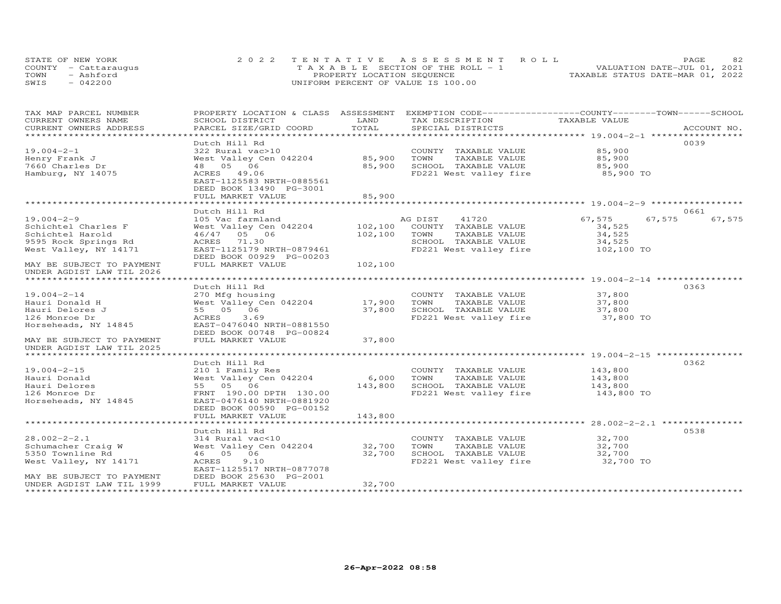| STATE OF NEW YORK    | 2022 TENTATIVE ASSESSMENT ROLL        | PAGE                             | 82 |
|----------------------|---------------------------------------|----------------------------------|----|
| COUNTY - Cattaraugus | T A X A B L E SECTION OF THE ROLL - 1 | VALUATION DATE-JUL 01, 2021      |    |
| TOWN<br>- Ashford    | PROPERTY LOCATION SEQUENCE            | TAXABLE STATUS DATE-MAR 01, 2022 |    |
| $-042200$<br>SWIS    | UNIFORM PERCENT OF VALUE IS 100.00    |                                  |    |

| TAX MAP PARCEL NUMBER                                   | PROPERTY LOCATION & CLASS ASSESSMENT EXEMPTION CODE----------------COUNTY-------TOWN-----SCHOOL |         |                        |                                                       |                  |
|---------------------------------------------------------|-------------------------------------------------------------------------------------------------|---------|------------------------|-------------------------------------------------------|------------------|
| CURRENT OWNERS NAME                                     | SCHOOL DISTRICT                                                                                 | LAND    | TAX DESCRIPTION        | TAXABLE VALUE                                         |                  |
| CURRENT OWNERS ADDRESS                                  | PARCEL SIZE/GRID COORD                                                                          | TOTAL   | SPECIAL DISTRICTS      |                                                       | ACCOUNT NO.      |
| *******************                                     |                                                                                                 |         |                        |                                                       |                  |
|                                                         | Dutch Hill Rd                                                                                   |         |                        |                                                       | 0039             |
| $19.004 - 2 - 1$                                        | 322 Rural vac>10                                                                                |         | COUNTY TAXABLE VALUE   | 85,900                                                |                  |
| Henry Frank J                                           | West Valley Cen 042204                                                                          | 85,900  | TOWN<br>TAXABLE VALUE  | 85,900                                                |                  |
| 7660 Charles Dr                                         | 48  05  06                                                                                      | 85,900  | SCHOOL TAXABLE VALUE   | 85,900                                                |                  |
| Hamburg, NY 14075                                       | ACRES 49.06                                                                                     |         | FD221 West valley fire | 85,900 TO                                             |                  |
|                                                         | EAST-1125583 NRTH-0885561                                                                       |         |                        |                                                       |                  |
|                                                         | DEED BOOK 13490 PG-3001                                                                         |         |                        |                                                       |                  |
|                                                         | FULL MARKET VALUE                                                                               | 85,900  |                        |                                                       |                  |
|                                                         |                                                                                                 |         |                        |                                                       |                  |
|                                                         | Dutch Hill Rd                                                                                   |         |                        |                                                       | 0661             |
| $19.004 - 2 - 9$                                        | 105 Vac farmland                                                                                |         | 41720<br>AG DIST       | 67,575                                                | 67,575<br>67,575 |
| Schichtel Charles F                                     | West Valley Cen 042204                                                                          | 102,100 | COUNTY TAXABLE VALUE   | 34,525                                                |                  |
| Schichtel Harold                                        | 46/47 05 06                                                                                     | 102,100 | TOWN<br>TAXABLE VALUE  | 34,525                                                |                  |
| 9595 Rock Springs Rd                                    | ACRES 71.30                                                                                     |         | SCHOOL TAXABLE VALUE   | 34,525                                                |                  |
| West Valley, NY 14171                                   | EAST-1125179 NRTH-0879461                                                                       |         | FD221 West valley fire | 102,100 TO                                            |                  |
|                                                         | DEED BOOK 00929 PG-00203                                                                        |         |                        |                                                       |                  |
| MAY BE SUBJECT TO PAYMENT                               | FULL MARKET VALUE                                                                               | 102,100 |                        |                                                       |                  |
| UNDER AGDIST LAW TIL 2026                               |                                                                                                 |         |                        |                                                       |                  |
| *************************                               |                                                                                                 |         |                        |                                                       |                  |
|                                                         | Dutch Hill Rd                                                                                   |         |                        |                                                       | 0363             |
| $19.004 - 2 - 14$                                       | 270 Mfg housing                                                                                 |         | COUNTY TAXABLE VALUE   | 37,800                                                |                  |
| Hauri Donald H                                          | West Valley Cen 042204                                                                          | 17,900  | TOWN<br>TAXABLE VALUE  | 37,800                                                |                  |
| Hauri Delores J                                         | 55 05 06                                                                                        | 37,800  | SCHOOL TAXABLE VALUE   | 37,800                                                |                  |
| 126 Monroe Dr                                           | ACRES<br>3.69                                                                                   |         | FD221 West valley fire | 37,800 TO                                             |                  |
| Horseheads, NY 14845                                    | EAST-0476040 NRTH-0881550                                                                       |         |                        |                                                       |                  |
|                                                         | DEED BOOK 00748 PG-00824                                                                        |         |                        |                                                       |                  |
| MAY BE SUBJECT TO PAYMENT                               | FULL MARKET VALUE                                                                               | 37,800  |                        |                                                       |                  |
| UNDER AGDIST LAW TIL 2025                               |                                                                                                 |         |                        |                                                       |                  |
|                                                         |                                                                                                 |         |                        |                                                       |                  |
|                                                         | Dutch Hill Rd                                                                                   |         |                        |                                                       | 0362             |
| $19.004 - 2 - 15$                                       | 210 1 Family Res                                                                                |         | COUNTY TAXABLE VALUE   | 143,800                                               |                  |
| Hauri Donald                                            | West Valley Cen 042204                                                                          | 6,000   | TOWN<br>TAXABLE VALUE  | 143,800                                               |                  |
| Hauri Delores                                           | 55 05 06                                                                                        | 143,800 | SCHOOL TAXABLE VALUE   | 143,800                                               |                  |
| 126 Monroe Dr                                           | FRNT 190.00 DPTH 130.00                                                                         |         | FD221 West valley fire | 143,800 TO                                            |                  |
| Horseheads, NY 14845                                    | EAST-0476140 NRTH-0881920                                                                       |         |                        |                                                       |                  |
|                                                         | DEED BOOK 00590 PG-00152                                                                        |         |                        |                                                       |                  |
|                                                         | FULL MARKET VALUE                                                                               | 143,800 |                        |                                                       |                  |
|                                                         |                                                                                                 |         |                        | *********************** 28.002-2-2.1 **************** |                  |
|                                                         |                                                                                                 |         |                        |                                                       | 0538             |
|                                                         | Dutch Hill Rd                                                                                   |         |                        |                                                       |                  |
| $28.002 - 2 - 2.1$                                      | 314 Rural vac<10                                                                                |         | COUNTY TAXABLE VALUE   | 32,700                                                |                  |
| Schumacher Craig W                                      | West Valley Cen 042204                                                                          | 32,700  | TOWN<br>TAXABLE VALUE  | 32,700                                                |                  |
| 5350 Townline Rd                                        | 46 05 06                                                                                        | 32,700  | SCHOOL TAXABLE VALUE   | 32,700                                                |                  |
| West Valley, NY 14171                                   | ACRES<br>9.10                                                                                   |         | FD221 West valley fire | 32,700 TO                                             |                  |
|                                                         | EAST-1125517 NRTH-0877078                                                                       |         |                        |                                                       |                  |
| MAY BE SUBJECT TO PAYMENT                               | DEED BOOK 25630 PG-2001                                                                         |         |                        |                                                       |                  |
| UNDER AGDIST LAW TIL 1999<br>************************** | FULL MARKET VALUE                                                                               | 32,700  |                        |                                                       |                  |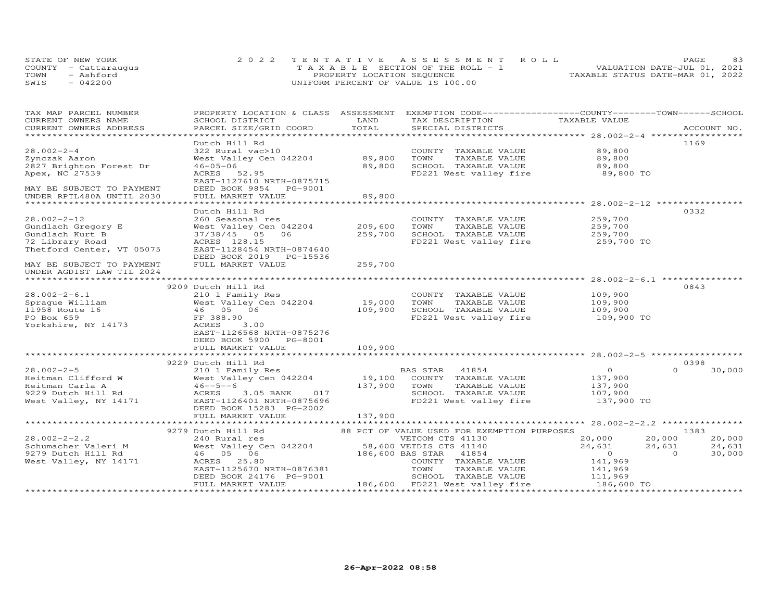| STATE OF NEW YORK    | 2022 TENTATIVE ASSESSMENT ROLL        |                            |  |                                  | PAGE. | 83 |
|----------------------|---------------------------------------|----------------------------|--|----------------------------------|-------|----|
| COUNTY - Cattaraugus | T A X A B L E SECTION OF THE ROLL - 1 |                            |  | VALUATION DATE-JUL 01, 2021      |       |    |
| TOWN<br>- Ashford    |                                       | PROPERTY LOCATION SEQUENCE |  | TAXABLE STATUS DATE-MAR 01, 2022 |       |    |
| SWIS<br>$-042200$    | UNIFORM PERCENT OF VALUE IS 100.00    |                            |  |                                  |       |    |

| TAX MAP PARCEL NUMBER<br>CURRENT OWNERS NAME                      | PROPERTY LOCATION & CLASS ASSESSMENT EXEMPTION CODE----------------COUNTY-------TOWN------SCHOOL<br>SCHOOL DISTRICT | LAND         | TAX DESCRIPTION                                | TAXABLE VALUE         |                    |
|-------------------------------------------------------------------|---------------------------------------------------------------------------------------------------------------------|--------------|------------------------------------------------|-----------------------|--------------------|
| CURRENT OWNERS ADDRESS                                            | PARCEL SIZE/GRID COORD                                                                                              | TOTAL        | SPECIAL DISTRICTS                              |                       | ACCOUNT NO.        |
|                                                                   |                                                                                                                     |              |                                                |                       |                    |
|                                                                   | Dutch Hill Rd                                                                                                       |              |                                                |                       | 1169               |
| $28.002 - 2 - 4$                                                  | 322 Rural vac>10                                                                                                    |              | COUNTY TAXABLE VALUE                           | 89,800                |                    |
| Zynczak Aaron                                                     | West Valley Cen 042204 89,800                                                                                       |              | TAXABLE VALUE<br>TOWN                          | 89,800                |                    |
|                                                                   | $46 - 05 - 06$                                                                                                      | 89,800       |                                                |                       |                    |
| 2827 Brighton Forest Dr                                           |                                                                                                                     |              | SCHOOL TAXABLE VALUE<br>FD221 West valley fire | 89,800                |                    |
| Apex, NC 27539                                                    | ACRES 52.95                                                                                                         |              |                                                | 89,800 TO             |                    |
|                                                                   | EAST-1127610 NRTH-0875715                                                                                           |              |                                                |                       |                    |
| MAY BE SUBJECT TO PAYMENT                                         | DEED BOOK 9854 PG-9001                                                                                              |              |                                                |                       |                    |
| UNDER RPTL480A UNTIL 2030                                         | FULL MARKET VALUE                                                                                                   | 89,800       |                                                |                       |                    |
|                                                                   |                                                                                                                     |              |                                                |                       |                    |
|                                                                   | Dutch Hill Rd                                                                                                       |              |                                                |                       | 0332               |
| $28.002 - 2 - 12$                                                 | 260 Seasonal res                                                                                                    |              | COUNTY TAXABLE VALUE                           | 259,700               |                    |
| Gundlach Gregory E                                                | West Valley Cen 042204                                                                                              | 209,600      | TOWN<br>TAXABLE VALUE                          | 259,700               |                    |
| Gundlach Kurt B                                                   | 37/38/45 05 06                                                                                                      | 259,700      | SCHOOL TAXABLE VALUE                           | 259,700               |                    |
| 72 Library Road                                                   | ACRES 128.15                                                                                                        |              | FD221 West valley fire                         | 259,700 TO            |                    |
| Thetford Center, VT 05075                                         | EAST-1128454 NRTH-0874640                                                                                           |              |                                                |                       |                    |
|                                                                   | DEED BOOK 2019 PG-15536                                                                                             |              |                                                |                       |                    |
| MAY BE SUBJECT TO PAYMENT                                         | FULL MARKET VALUE                                                                                                   | 259,700      |                                                |                       |                    |
| UNDER AGDIST LAW TIL 2024                                         |                                                                                                                     |              |                                                |                       |                    |
| ************************                                          |                                                                                                                     |              |                                                |                       |                    |
|                                                                   | 9209 Dutch Hill Rd                                                                                                  |              |                                                |                       | 0843               |
| $28.002 - 2 - 6.1$                                                | 210 1 Family Res                                                                                                    |              | COUNTY TAXABLE VALUE                           | 109,900               |                    |
| Spraque William                                                   | West Valley Cen 042204                                                                                              | 19,000       | TOWN<br>TAXABLE VALUE                          | 109,900               |                    |
| 11958 Route 16                                                    | 46 05 06                                                                                                            | 109,900      | SCHOOL TAXABLE VALUE                           |                       |                    |
| PO Box 659                                                        | FF 388.90                                                                                                           |              | FD221 West valley fire                         | 109,900<br>109,900 TO |                    |
| Yorkshire, NY 14173                                               | ACRES<br>3,00                                                                                                       |              |                                                |                       |                    |
|                                                                   | EAST-1126568 NRTH-0875276                                                                                           |              |                                                |                       |                    |
|                                                                   | DEED BOOK 5900 PG-8001                                                                                              |              |                                                |                       |                    |
|                                                                   | FULL MARKET VALUE                                                                                                   | 109,900      |                                                |                       |                    |
|                                                                   |                                                                                                                     |              |                                                |                       |                    |
|                                                                   | 9229 Dutch Hill Rd                                                                                                  |              |                                                |                       | 0398               |
| $28.002 - 2 - 5$                                                  | 210 1 Family Res                                                                                                    |              | BAS STAR 41854                                 | $\Omega$              | $\Omega$<br>30,000 |
| Heitman Clifford W                                                | West Valley Cen 042204                                                                                              |              | 19,100 COUNTY TAXABLE VALUE                    | 137,900               |                    |
| Heitman Carla A                                                   | $46 - -5 - -6$                                                                                                      | 137,900 TOWN | TAXABLE VALUE                                  | 137,900               |                    |
| 9229 Dutch Hill Rd                                                | 3.05 BANK<br>017<br>ACRES                                                                                           |              | SCHOOL TAXABLE VALUE                           | 107,900               |                    |
| West Valley, NY 14171                                             | EAST-1126401 NRTH-0875696                                                                                           |              | FD221 West valley fire                         | 137,900 TO            |                    |
|                                                                   | DEED BOOK 15283 PG-2002                                                                                             |              |                                                |                       |                    |
|                                                                   | FULL MARKET VALUE                                                                                                   | 137,900      |                                                |                       |                    |
|                                                                   |                                                                                                                     |              |                                                |                       |                    |
|                                                                   | 9279 Dutch Hill Rd                                                                                                  |              |                                                |                       | 1383               |
|                                                                   |                                                                                                                     |              | 88 PCT OF VALUE USED FOR EXEMPTION PURPOSES    |                       |                    |
| $28.002 - 2 - 2.2$                                                | 240 Rural res<br>West Valley Cen 042204 58,600 VETDIS CTS 41140                                                     |              |                                                | 20,000                | 20,000<br>20,000   |
|                                                                   |                                                                                                                     |              |                                                | 24,631                | 24,631<br>24,631   |
| Schumacher Valeri M<br>9279 Dutch Hill Rd<br>Mest Vallow NW 14171 | 46 05 06                                                                                                            |              | 186,600 BAS STAR 41854                         | $\overline{0}$        | $\Omega$<br>30,000 |
| West Valley, NY 14171                                             | ACRES 25.80                                                                                                         |              | COUNTY TAXABLE VALUE                           | 141,969               |                    |
|                                                                   | EAST-1125670 NRTH-0876381                                                                                           |              | TOWN<br>TAXABLE VALUE                          | 141,969               |                    |
|                                                                   | DEED BOOK 24176 PG-9001                                                                                             |              | SCHOOL TAXABLE VALUE                           | 111,969               |                    |
|                                                                   | FULL MARKET VALUE                                                                                                   |              | 186,600 FD221 West valley fire                 | 186,600 TO            |                    |
|                                                                   |                                                                                                                     |              |                                                |                       |                    |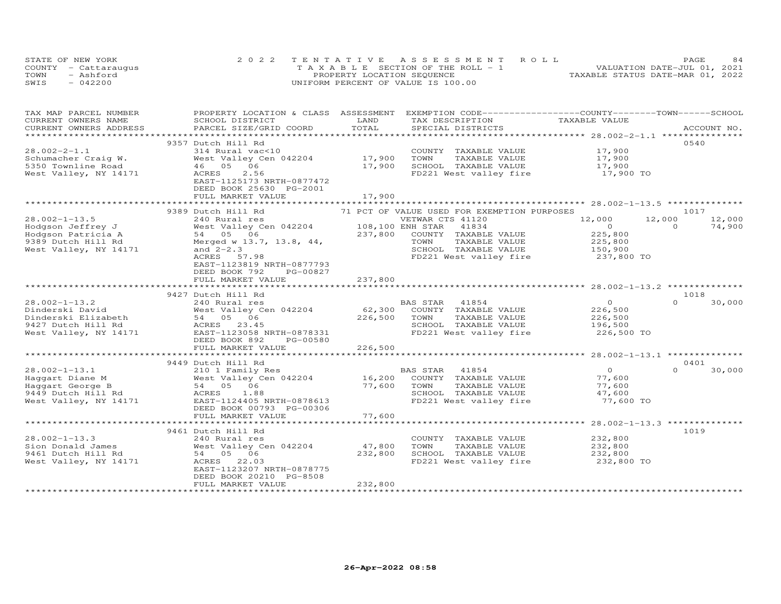| STATE OF NEW YORK    | 2022 TENTATIVE ASSESSMENT ROLL        | 84<br><b>PAGE</b>                |
|----------------------|---------------------------------------|----------------------------------|
| COUNTY - Cattaraugus | T A X A B L E SECTION OF THE ROLL - 1 | VALUATION DATE-JUL 01, 2021      |
| TOWN<br>- Ashford    | PROPERTY LOCATION SEQUENCE            | TAXABLE STATUS DATE-MAR 01, 2022 |
| $-042200$<br>SWIS    | UNIFORM PERCENT OF VALUE IS 100.00    |                                  |

| TAX MAP PARCEL NUMBER<br>CURRENT OWNERS NAME | PROPERTY LOCATION & CLASS ASSESSMENT EXEMPTION CODE----------------COUNTY-------TOWN------SCHOOL<br>SCHOOL DISTRICT                                                                                             | LAND    | TAX DESCRIPTION                                | TAXABLE VALUE      |                    |
|----------------------------------------------|-----------------------------------------------------------------------------------------------------------------------------------------------------------------------------------------------------------------|---------|------------------------------------------------|--------------------|--------------------|
| CURRENT OWNERS ADDRESS                       | PARCEL SIZE/GRID COORD                                                                                                                                                                                          | TOTAL   | SPECIAL DISTRICTS                              |                    | ACCOUNT NO.        |
|                                              |                                                                                                                                                                                                                 |         |                                                |                    |                    |
|                                              | 9357 Dutch Hill Rd                                                                                                                                                                                              |         |                                                |                    | 0540               |
| $28.002 - 2 - 1.1$                           | 314 Rural vac<10                                                                                                                                                                                                |         | COUNTY TAXABLE VALUE                           |                    |                    |
| Schumacher Craig W.                          | West Valley Cen 042204                                                                                                                                                                                          | 17,900  | TOWN<br>TAXABLE VALUE                          | 17,900<br>17,900   |                    |
| 5350 Townline Road                           | 46 05 06                                                                                                                                                                                                        | 17,900  | SCHOOL TAXABLE VALUE                           | 17,900             |                    |
| West Valley, NY 14171                        | 2.56<br>ACRES                                                                                                                                                                                                   |         | FD221 West valley fire                         | $17,900$ TO        |                    |
|                                              | EAST-1125173 NRTH-0877472                                                                                                                                                                                       |         |                                                |                    |                    |
|                                              | DEED BOOK 25630 PG-2001                                                                                                                                                                                         |         |                                                |                    |                    |
|                                              | FULL MARKET VALUE                                                                                                                                                                                               | 17,900  |                                                |                    |                    |
|                                              |                                                                                                                                                                                                                 |         |                                                |                    |                    |
|                                              | 9389 Dutch Hill Rd                                                                                                                                                                                              |         | 71 PCT OF VALUE USED FOR EXEMPTION PURPOSES    |                    | 1017               |
| $28.002 - 1 - 13.5$                          | 240 Rural res                                                                                                                                                                                                   |         | VETWAR CTS 41120                               | 12,000<br>12,000   | 12,000             |
| Hodgson Jeffrey J                            | 240 Kurai res<br>West Valley Cen 042204 108,100 ENH STAR<br>54 05 06 237,800 COUNTY                                                                                                                             |         | 41834                                          | $\overline{0}$     | $\Omega$<br>74,900 |
| Hodgson Patricia A                           |                                                                                                                                                                                                                 |         | COUNTY TAXABLE VALUE                           | 225,800            |                    |
| 9389 Dutch Hill Rd                           | Merged w 13.7, 13.8, 44,                                                                                                                                                                                        |         | TOWN<br>TAXABLE VALUE                          | 225,800            |                    |
| West Valley, NY 14171                        | and $2 - 2.3$                                                                                                                                                                                                   |         | SCHOOL TAXABLE VALUE 150,900                   |                    |                    |
|                                              | ACRES 57.98                                                                                                                                                                                                     |         | FD221 West valley fire                         | 237,800 TO         |                    |
|                                              | EAST-1123819 NRTH-0877793                                                                                                                                                                                       |         |                                                |                    |                    |
|                                              | DEED BOOK 792<br>PG-00827                                                                                                                                                                                       |         |                                                |                    |                    |
|                                              | FULL MARKET VALUE                                                                                                                                                                                               | 237,800 |                                                |                    |                    |
|                                              |                                                                                                                                                                                                                 |         |                                                |                    |                    |
|                                              | 9427 Dutch Hill Rd                                                                                                                                                                                              |         |                                                |                    | 1018               |
| $28.002 - 1 - 13.2$                          | 240 Rural res                                                                                                                                                                                                   |         | BAS STAR 41854                                 | $\overline{0}$     | $\Omega$<br>30,000 |
|                                              | 28.002-1-13.2<br>Dinderski David<br>Dinderski Elizabeth 54 05 06<br>9427 Dutch Hill Rd ACRES 23.45<br>947 Dutch Hill Rd ACRES 23.45<br>Most Valley, NY 14171 EAST-1123058 NRTH-0878331<br>Fire 202 202 PG-00580 | 62,300  | COUNTY TAXABLE VALUE                           | 226,500            |                    |
|                                              |                                                                                                                                                                                                                 | 226,500 | TOWN<br>TAXABLE VALUE                          | 226,500            |                    |
|                                              |                                                                                                                                                                                                                 |         | SCHOOL TAXABLE VALUE                           | 196,500            |                    |
|                                              |                                                                                                                                                                                                                 |         | FD221 West valley fire                         | 226,500 TO         |                    |
|                                              | DEED BOOK 892<br>PG-00580                                                                                                                                                                                       |         |                                                |                    |                    |
|                                              | FULL MARKET VALUE                                                                                                                                                                                               | 226,500 |                                                |                    |                    |
|                                              |                                                                                                                                                                                                                 |         |                                                |                    |                    |
|                                              | 9449 Dutch Hill Rd                                                                                                                                                                                              |         |                                                |                    | 0401               |
| $28.002 - 1 - 13.1$                          | 210 1 Family Res                                                                                                                                                                                                |         | BAS STAR<br>41854                              | $\overline{O}$     | $\Omega$<br>30,000 |
| Haggart Diane M                              | West Valley Cen 042204                                                                                                                                                                                          | 16,200  | COUNTY TAXABLE VALUE                           | 77,600             |                    |
| Haggart George B                             | 54 05 06                                                                                                                                                                                                        | 77,600  | TAXABLE VALUE<br>TOWN                          | 77,600             |                    |
| 9449 Dutch Hill Rd                           | 1.88<br>ACRES                                                                                                                                                                                                   |         | SCHOOL TAXABLE VALUE                           | 47,600             |                    |
| West Valley, NY 14171                        | EAST-1124405 NRTH-0878613                                                                                                                                                                                       |         | FD221 West valley fire                         | 77,600 TO          |                    |
|                                              | DEED BOOK 00793 PG-00306                                                                                                                                                                                        |         |                                                |                    |                    |
|                                              | FULL MARKET VALUE                                                                                                                                                                                               | 77,600  |                                                |                    |                    |
|                                              |                                                                                                                                                                                                                 |         |                                                |                    |                    |
| $28.002 - 1 - 13.3$                          | 9461 Dutch Hill Rd                                                                                                                                                                                              |         |                                                |                    | 1019               |
|                                              | 240 Rural res<br>zao Kurai res<br>West Valley Cen 042204<br>54   05   06                                                                                                                                        | 47,800  | COUNTY TAXABLE VALUE                           | 232,800            |                    |
| Sion Donald James                            |                                                                                                                                                                                                                 |         | TOWN<br>TAXABLE VALUE                          | 232,800<br>232,800 |                    |
| 9461 Dutch Hill Rd<br>West Valley, NY 14171  | ACRES 22.03                                                                                                                                                                                                     | 232,800 | SCHOOL TAXABLE VALUE<br>FD221 West valley fire | 232,800 TO         |                    |
|                                              | EAST-1123207 NRTH-0878775                                                                                                                                                                                       |         |                                                |                    |                    |
|                                              | DEED BOOK 20210 PG-8508                                                                                                                                                                                         |         |                                                |                    |                    |
|                                              | FULL MARKET VALUE                                                                                                                                                                                               | 232,800 |                                                |                    |                    |
|                                              |                                                                                                                                                                                                                 |         |                                                |                    |                    |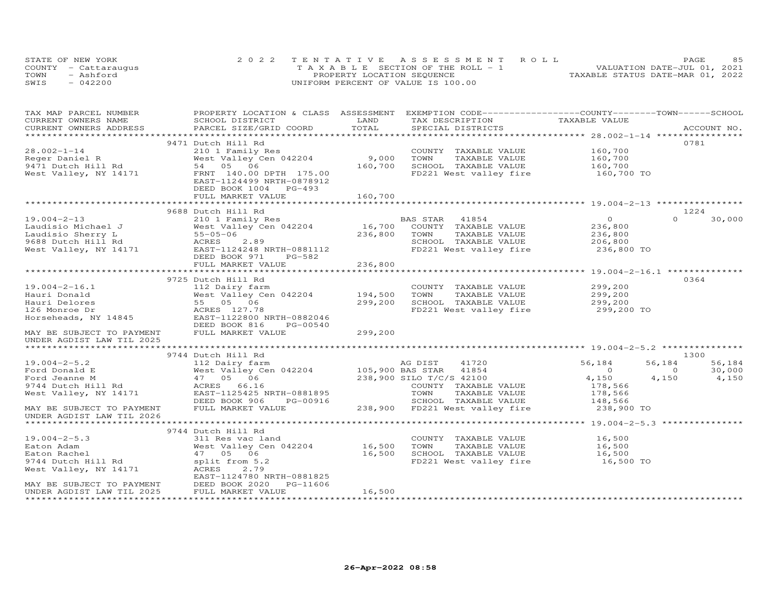|      | STATE OF NEW YORK    | 2022 TENTATIVE ASSESSMENT ROLL        | 8.5<br>PAGE                      |
|------|----------------------|---------------------------------------|----------------------------------|
|      | COUNTY - Cattaraugus | T A X A B L E SECTION OF THE ROLL - 1 | VALUATION DATE-JUL 01, 2021      |
| TOWN | - Ashford            | PROPERTY LOCATION SEQUENCE            | TAXABLE STATUS DATE-MAR 01, 2022 |
| SWIS | $-042200$            | UNIFORM PERCENT OF VALUE IS 100.00    |                                  |

| TAX MAP PARCEL NUMBER     |                                                                                 |         | PROPERTY LOCATION & CLASS ASSESSMENT EXEMPTION CODE-----------------COUNTY-------TOWN------SCHOOL |                    |                    |
|---------------------------|---------------------------------------------------------------------------------|---------|---------------------------------------------------------------------------------------------------|--------------------|--------------------|
| CURRENT OWNERS NAME       | SCHOOL DISTRICT                                                                 | LAND    | TAX DESCRIPTION                                                                                   | TAXABLE VALUE      |                    |
| CURRENT OWNERS ADDRESS    | PARCEL SIZE/GRID COORD                                                          | TOTAL   | SPECIAL DISTRICTS                                                                                 |                    | ACCOUNT NO.        |
|                           |                                                                                 |         |                                                                                                   |                    |                    |
|                           | 9471 Dutch Hill Rd                                                              |         |                                                                                                   |                    | 0781               |
| $28.002 - 1 - 14$         | 210 1 Family Res                                                                |         | COUNTY TAXABLE VALUE                                                                              | 160,700            |                    |
| Reger Daniel R            | West Valley Cen 042204                                                          | 9,000   | TOWN<br>TAXABLE VALUE                                                                             | 160,700<br>160,700 |                    |
| 9471 Dutch Hill Rd        | 54 05 06                                                                        | 160,700 | SCHOOL TAXABLE VALUE                                                                              |                    |                    |
| West Valley, NY 14171     | FRNT 140.00 DPTH 175.00                                                         |         | FD221 West valley fire                                                                            | 160,700 TO         |                    |
|                           | EAST-1124499 NRTH-0878912                                                       |         |                                                                                                   |                    |                    |
|                           | DEED BOOK 1004 PG-493                                                           |         |                                                                                                   |                    |                    |
|                           | FULL MARKET VALUE                                                               | 160,700 |                                                                                                   |                    |                    |
|                           |                                                                                 |         |                                                                                                   |                    |                    |
|                           | 9688 Dutch Hill Rd                                                              |         |                                                                                                   |                    | 1224               |
| $19.004 - 2 - 13$         | 210 1 Family Res                                                                |         | BAS STAR 41854                                                                                    | $\overline{0}$     | $\Omega$<br>30,000 |
| Laudisio Michael J        | West Valley Cen 042204<br>West<br>55-05-0<br>55-05-0<br>ACRES<br>EAST-7<br>DEED | 16,700  | COUNTY TAXABLE VALUE                                                                              | 236,800            |                    |
| Laudisio Sherry L         | 55-05-06                                                                        | 236,800 | TOWN<br>TAXABLE VALUE                                                                             | 236,800            |                    |
| 9688 Dutch Hill Rd        | 2.89                                                                            |         | SCHOOL TAXABLE VALUE                                                                              | 206,800            |                    |
| West Valley, NY 14171     | EAST-1124248 NRTH-0881112                                                       |         | FD221 West valley fire                                                                            | 236,800 TO         |                    |
|                           | DEED BOOK 971<br>PG-582                                                         |         |                                                                                                   |                    |                    |
|                           | FULL MARKET VALUE                                                               | 236,800 |                                                                                                   |                    |                    |
|                           |                                                                                 |         |                                                                                                   |                    | 0364               |
| $19.004 - 2 - 16.1$       | 9725 Dutch Hill Rd                                                              |         |                                                                                                   |                    |                    |
| Hauri Donald              | 112 Dairy farm<br>West Valley Cen 042204 194,500                                |         | COUNTY TAXABLE VALUE<br>TOWN<br>TAXABLE VALUE                                                     | 299,200<br>299,200 |                    |
| Hauri Delores             | West Valley O<br>55   05   06                                                   | 299,200 | SCHOOL TAXABLE VALUE                                                                              | 299,200            |                    |
| 126 Monroe Dr             |                                                                                 |         | FD221 West valley fire 299,200 TO                                                                 |                    |                    |
| Horseheads, NY 14845      | ACRES 127.78<br>EAST-1122800<br>EAST-1122800 NRTH-0882046                       |         |                                                                                                   |                    |                    |
|                           | DEED BOOK 816<br>PG-00540                                                       |         |                                                                                                   |                    |                    |
| MAY BE SUBJECT TO PAYMENT | FULL MARKET VALUE                                                               | 299,200 |                                                                                                   |                    |                    |
| UNDER AGDIST LAW TIL 2025 |                                                                                 |         |                                                                                                   |                    |                    |
|                           |                                                                                 |         |                                                                                                   |                    |                    |
|                           | 9744 Dutch Hill Rd                                                              |         |                                                                                                   |                    | 1300               |
| $19.004 - 2 - 5.2$        |                                                                                 |         | 41720                                                                                             | 56,184             | 56,184<br>56,184   |
| Ford Donald E             |                                                                                 |         | 41854                                                                                             | $\overline{0}$     | 30,000<br>$\Omega$ |
| Ford Jeanne M             | West Valley Ce<br>47   05   06<br>ACRES   66.16                                 |         | 238,900 SILO T/C/S 42100                                                                          | 4,150              | 4,150<br>4,150     |
| 9744 Dutch Hill Rd        |                                                                                 |         | COUNTY TAXABLE VALUE                                                                              | 178,566            |                    |
| West Valley, NY 14171     | EAST-1125425 NRTH-0881895                                                       |         | TOWN<br>TAXABLE VALUE                                                                             |                    |                    |
|                           | DEED BOOK 906<br>PG-00916                                                       |         | SCHOOL TAXABLE VALUE                                                                              | 178,566<br>148,566 |                    |
| MAY BE SUBJECT TO PAYMENT | FULL MARKET VALUE                                                               |         | 238,900 FD221 West valley fire                                                                    | 238,900 TO         |                    |
| UNDER AGDIST LAW TIL 2026 |                                                                                 |         |                                                                                                   |                    |                    |
|                           |                                                                                 |         |                                                                                                   |                    |                    |
|                           | 9744 Dutch Hill Rd                                                              |         |                                                                                                   |                    |                    |
| $19.004 - 2 - 5.3$        | 311 Res vac land                                                                |         | COUNTY TAXABLE VALUE                                                                              | 16,500             |                    |
| Eaton Adam                | West Valley Cen 042204 16,500                                                   |         | TOWN<br>TAXABLE VALUE                                                                             | 16,500             |                    |
| Eaton Rachel              | 47 05 06                                                                        | 16,500  | SCHOOL TAXABLE VALUE                                                                              | 16,500             |                    |
| 9744 Dutch Hill Rd        | split from 5.2                                                                  |         | FD221 West valley fire                                                                            | 16,500 TO          |                    |
| West Valley, NY 14171     | ACRES<br>2.79                                                                   |         |                                                                                                   |                    |                    |
|                           | EAST-1124780 NRTH-0881825                                                       |         |                                                                                                   |                    |                    |
| MAY BE SUBJECT TO PAYMENT | DEED BOOK 2020<br>FULL MARKET VAI<br>PG-11606                                   |         |                                                                                                   |                    |                    |
| UNDER AGDIST LAW TIL 2025 | FULL MARKET VALUE                                                               | 16,500  |                                                                                                   |                    |                    |
|                           | ****************************                                                    |         |                                                                                                   |                    |                    |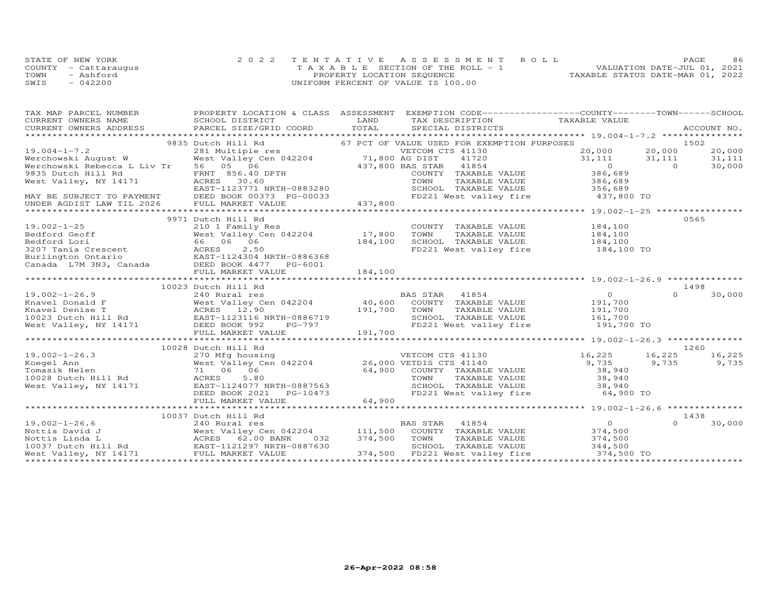|      | STATE OF NEW YORK    | 2022 TENTATIVE ASSESSMENT ROLL        | PAGE.                            | 86 |
|------|----------------------|---------------------------------------|----------------------------------|----|
|      | COUNTY - Cattaraugus | T A X A B L E SECTION OF THE ROLL - 1 | VALUATION DATE-JUL 01, 2021      |    |
| TOWN | - Ashford            | PROPERTY LOCATION SEQUENCE            | TAXABLE STATUS DATE-MAR 01, 2022 |    |
| SWIS | $-042200$            | UNIFORM PERCENT OF VALUE IS 100.00    |                                  |    |

| TAX MAP PARCEL NUMBER                                                                                                                                                                                                                                  | PROPERTY LOCATION & CLASS ASSESSMENT EXEMPTION CODE----------------COUNTY-------TOWN------SCHOOL                                       |         |                                                                                              |                    |          |         |
|--------------------------------------------------------------------------------------------------------------------------------------------------------------------------------------------------------------------------------------------------------|----------------------------------------------------------------------------------------------------------------------------------------|---------|----------------------------------------------------------------------------------------------|--------------------|----------|---------|
|                                                                                                                                                                                                                                                        |                                                                                                                                        |         |                                                                                              |                    |          |         |
|                                                                                                                                                                                                                                                        | 9835 Dutch Hill Rd                                                                                                                     |         | 67 PCT OF VALUE USED FOR EXEMPTION PURPOSES                                                  |                    |          | 1502    |
| $19.004 - 1 - 7.2$                                                                                                                                                                                                                                     |                                                                                                                                        |         | VETCOM CTS 41130                                                                             | 20,000             | 20,000   | 20,000  |
| Werchowski August W                                                                                                                                                                                                                                    | 281 Multiple res WETCOM C<br>West Valley Cen 042204 71,800 AG DIST                                                                     |         | 41720                                                                                        | 31,111             | 31,111   | 31, 111 |
| Werchowski Rebecca L Liv Tr                                                                                                                                                                                                                            | 56 05 06                                                                                                                               |         | 437,800 BAS STAR 41854                                                                       | $\overline{O}$     | $\Omega$ | 30,000  |
| 9835 Dutch Hill Rd                                                                                                                                                                                                                                     | FRNT 856.40 DPTH                                                                                                                       |         | COUNTY TAXABLE VALUE                                                                         | 386,689            |          |         |
| West Valley, NY 14171                                                                                                                                                                                                                                  | 30.60<br>ACRES                                                                                                                         |         | TAXABLE VALUE<br>TOWN                                                                        | 386,689            |          |         |
|                                                                                                                                                                                                                                                        |                                                                                                                                        |         |                                                                                              |                    |          |         |
| MAY BE SUBJECT TO PAYMENT                                                                                                                                                                                                                              | EAST-1123771 NRTH-0883280<br>DEED BOOK 00373 PG-00033                                                                                  |         | SCHOOL TAXABLE VALUE 356,689<br>FD221 West valley fire 437,800 TO                            |                    |          |         |
| UNDER AGDIST LAW TIL 2026                                                                                                                                                                                                                              | FULL MARKET VALUE                                                                                                                      | 437,800 |                                                                                              |                    |          |         |
|                                                                                                                                                                                                                                                        |                                                                                                                                        |         |                                                                                              |                    |          |         |
|                                                                                                                                                                                                                                                        | 9971 Dutch Hill Rd                                                                                                                     |         |                                                                                              |                    |          | 0565    |
|                                                                                                                                                                                                                                                        | 210 1 Family Res                                                                                                                       |         | COUNTY TAXABLE VALUE                                                                         |                    |          |         |
| 19.002-1-25<br>Bedford Geoff                                                                                                                                                                                                                           | West Valley Cen 042204                                                                                                                 | 17,800  | TOWN<br>TAXABLE VALUE                                                                        | 184,100<br>184,100 |          |         |
|                                                                                                                                                                                                                                                        |                                                                                                                                        | 184,100 | SCHOOL TAXABLE VALUE 184,100                                                                 |                    |          |         |
|                                                                                                                                                                                                                                                        |                                                                                                                                        |         | FD221 West valley fire                                                                       | 184,100 TO         |          |         |
| Example of the self-ord Lori<br>Bedford Lori<br>3207 Tania Crescent<br>Burlington Ontario<br>Canada L7M 3N3, Canada DEED BOOK 4477 PG-6001                                                                                                             |                                                                                                                                        |         |                                                                                              |                    |          |         |
|                                                                                                                                                                                                                                                        |                                                                                                                                        |         |                                                                                              |                    |          |         |
|                                                                                                                                                                                                                                                        |                                                                                                                                        |         |                                                                                              |                    |          |         |
|                                                                                                                                                                                                                                                        |                                                                                                                                        |         |                                                                                              |                    |          |         |
|                                                                                                                                                                                                                                                        | 10023 Dutch Hill Rd                                                                                                                    |         |                                                                                              |                    |          | 1498    |
| $19.002 - 1 - 26.9$                                                                                                                                                                                                                                    | 240 Rural res                                                                                                                          |         | BAS STAR 41854                                                                               | $\overline{O}$     | $\Omega$ | 30,000  |
|                                                                                                                                                                                                                                                        | West Valley Cen 042204 40,600                                                                                                          |         | COUNTY TAXABLE VALUE                                                                         |                    |          |         |
|                                                                                                                                                                                                                                                        |                                                                                                                                        | 191,700 | TOWN<br>TAXABLE VALUE                                                                        | 191,700<br>191,700 |          |         |
|                                                                                                                                                                                                                                                        |                                                                                                                                        |         | SCHOOL TAXABLE VALUE 161,700                                                                 |                    |          |         |
|                                                                                                                                                                                                                                                        |                                                                                                                                        |         | FD221 West valley fire 191,700 TO                                                            |                    |          |         |
| Example 1 2004<br>Example 1 2.90<br>Mest Valley Cen 042204<br>Mest Valley Cen 042204<br>Mest Valley, NY 14171<br>Mest Valley, NY 14171<br>DEED BOOK 992<br>FUIT MORE 972<br>FUIT MORE 972<br>FUIT MORE 972<br>FUIT POOK 972<br>FUIT POOK 972<br>FUIT P |                                                                                                                                        | 191,700 |                                                                                              |                    |          |         |
|                                                                                                                                                                                                                                                        | FULL MARKET VALUE                                                                                                                      |         |                                                                                              |                    |          |         |
|                                                                                                                                                                                                                                                        |                                                                                                                                        |         |                                                                                              |                    |          | 1260    |
|                                                                                                                                                                                                                                                        | 10028 Dutch Hill Rd                                                                                                                    |         |                                                                                              |                    |          |         |
| $19.002 - 1 - 26.3$                                                                                                                                                                                                                                    |                                                                                                                                        |         | VETCOM CTS 41130 16,225                                                                      |                    | 16,225   | 16,225  |
| Koegel Ann                                                                                                                                                                                                                                             | 270 Mfg housing<br>West Valley Cen 042204 26,000 VETDIS CTS 41140<br>71 06 06 64,900 COUNTY TAXABLE VALUE<br>2000 COUNTY TAXABLE VALUE |         |                                                                                              | 9,735              | 9,735    | 9,735   |
| Tomasik Helen                                                                                                                                                                                                                                          |                                                                                                                                        |         |                                                                                              | 38,940             |          |         |
| 10028 Dutch Hill Rd<br>10028 Dutch Hill Rd<br>Wort Valley, NY 14171                                                                                                                                                                                    | ACRES<br>5.80                                                                                                                          |         | TOWN TAXABLE VALUE 38,940<br>SCHOOL TAXABLE VALUE 38,940<br>FD221 West valley fire 64,900 TO |                    |          |         |
| West Valley, NY 14171                                                                                                                                                                                                                                  | EAST-1124077 NRTH-0887563                                                                                                              |         |                                                                                              |                    |          |         |
|                                                                                                                                                                                                                                                        | DEED BOOK 2021<br>PG-10473                                                                                                             |         |                                                                                              |                    |          |         |
|                                                                                                                                                                                                                                                        | FULL MARKET VALUE                                                                                                                      | 64,900  |                                                                                              |                    |          |         |
|                                                                                                                                                                                                                                                        |                                                                                                                                        |         |                                                                                              |                    |          |         |
|                                                                                                                                                                                                                                                        | 10037 Dutch Hill Rd                                                                                                                    |         |                                                                                              |                    |          | 1438    |
| $19.002 - 1 - 26.6$                                                                                                                                                                                                                                    | 240 Rural res                                                                                                                          |         | BAS STAR 41854                                                                               | $\overline{O}$     | $\Omega$ | 30,000  |
|                                                                                                                                                                                                                                                        | West Valley Cen 042204 111,500                                                                                                         |         | COUNTY TAXABLE VALUE 374,500                                                                 |                    |          |         |
|                                                                                                                                                                                                                                                        |                                                                                                                                        | 374,500 | TOWN<br>TAXABLE VALUE                                                                        | 374,500            |          |         |
| Nottis David J<br>Nottis Linda L<br>Nottis Linda L<br>10037 Dutch Hill Rd<br>10037 Dutch Hill Rd<br>EAST-1121297 NRTH-0887630                                                                                                                          |                                                                                                                                        |         | SCHOOL TAXABLE VALUE                                                                         | 344,500            |          |         |
| West Valley, NY 14171                                                                                                                                                                                                                                  | FULL MARKET VALUE                                                                                                                      | 374,500 | FD221 West valley fire                                                                       | 374,500 TO         |          |         |
|                                                                                                                                                                                                                                                        |                                                                                                                                        |         |                                                                                              |                    |          |         |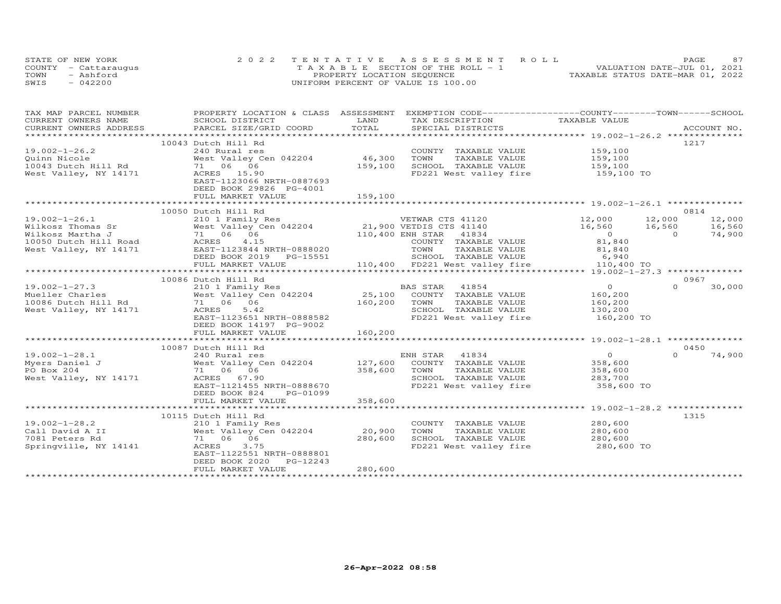|      | STATE OF NEW YORK    | 2022 TENTATIVE ASSESSMENT ROLL        | 87<br>PAGE                       |
|------|----------------------|---------------------------------------|----------------------------------|
|      | COUNTY - Cattaraugus | T A X A B L E SECTION OF THE ROLL - 1 | VALUATION DATE-JUL 01, 2021      |
| TOWN | - Ashford            | PROPERTY LOCATION SEQUENCE            | TAXABLE STATUS DATE-MAR 01, 2022 |
| SWIS | $-042200$            | UNIFORM PERCENT OF VALUE IS 100.00    |                                  |

| TAXABLE VALUE<br>TOTAL<br>CURRENT OWNERS ADDRESS<br>PARCEL SIZE/GRID COORD<br>SPECIAL DISTRICTS<br>ACCOUNT NO.<br>10043 Dutch Hill Rd<br>1217<br>$19.002 - 1 - 26.2$<br>240 Rural res<br>COUNTY TAXABLE VALUE 159,100<br>West Valley Cen 042204<br>46,300<br>TOWN<br>TAXABLE VALUE<br>159,100<br>159,100<br>159,100<br>SCHOOL TAXABLE VALUE<br>FD221 West valley fire 159,100 TO<br>West Valley, NY 14171<br>ACRES 15.90<br>EAST-1123066 NRTH-0887693<br>DEED BOOK 29826 PG-4001<br>159,100<br>FULL MARKET VALUE<br>0814<br>10050 Dutch Hill Rd<br>$19.002 - 1 - 26.1$<br>VETWAR CTS 41120 12,000 12,000<br>12,000<br>$16,560$ $16,560$ 0<br>16,560<br>74,900<br>COUNTY TAXABLE VALUE<br>81,840<br>81,840<br>TOWN<br>TAXABLE VALUE<br>551 SCHOOL TAXABLE VALUE 6,940<br>110,400 FD221 West valley fire 110,400 TO<br>DEED BOOK 2019    PG-15551<br>FULL MARKET VALUE<br>0967<br>10086 Dutch Hill Rd<br>$\overline{0}$<br>19.002-1-27.3<br>$\Omega$<br>210 1 Family Res<br>30,000<br>BAS STAR    41854<br>25,100    COUNTY   TAXABLE VALUE<br>19.002-1-27.3<br>Mueller Charles<br>10086 Dutch Hill Rd<br>10086 Dutch Hill Rd<br>10086 Dutch Hill Rd<br>11 06 06<br>160, 200<br>160,200<br>160,200<br>130,200<br>TAXABLE VALUE<br>TOWN<br>West Valley, NY 14171<br>ACRES<br>5.42<br>SCHOOL TAXABLE VALUE<br>FD221 West valley fire 160,200 TO<br>EAST-1123651 NRTH-0888582<br>DEED BOOK 14197 PG-9002<br>FULL MARKET VALUE<br>160,200<br>0450<br>10087 Dutch Hill Rd<br>$\overline{0}$<br>$19.002 - 1 - 28.1$<br>$\Omega$<br>74,900<br>240 Kural res<br>West Valley Cen 042204 127,600 COUNTY TAXABLE VALUE<br>71 06 200<br>358,600<br>Myers Daniel J<br>PO Box 204<br>71 06 06<br>358,600<br>TOWN<br>TAXABLE VALUE<br>358,600<br>283,700<br>West Valley, NY 14171<br>ACRES 67.90<br>SCHOOL TAXABLE VALUE<br>FD221 West valley fire 358,600 TO<br>EAST-1121455 NRTH-0888670<br>DEED BOOK 824<br>PG-01099<br>358,600<br>FULL MARKET VALUE<br>1315<br>10115 Dutch Hill Rd<br>$19.002 - 1 - 28.2$<br>280,600<br>210 1 Family Res<br>COUNTY TAXABLE VALUE<br>210 1 Family Res<br>West Valley Cen 042204<br>280,600<br>20,900<br>Call David A II<br>TOWN<br>TAXABLE VALUE<br>280,600<br>7081 Peters Rd<br>71 06 06<br>SCHOOL TAXABLE VALUE<br>280,600<br>$280, 600$ TO<br>Springville, NY 14141<br>ACRES<br>3.75<br>FD221 West valley fire<br>EAST-1122551 NRTH-0888801<br>DEED BOOK 2020 PG-12243<br>280,600<br>FULL MARKET VALUE | TAX MAP PARCEL NUMBER | PROPERTY LOCATION & CLASS ASSESSMENT EXEMPTION CODE----------------COUNTY-------TOWN------SCHOOL |      |                 |  |
|-----------------------------------------------------------------------------------------------------------------------------------------------------------------------------------------------------------------------------------------------------------------------------------------------------------------------------------------------------------------------------------------------------------------------------------------------------------------------------------------------------------------------------------------------------------------------------------------------------------------------------------------------------------------------------------------------------------------------------------------------------------------------------------------------------------------------------------------------------------------------------------------------------------------------------------------------------------------------------------------------------------------------------------------------------------------------------------------------------------------------------------------------------------------------------------------------------------------------------------------------------------------------------------------------------------------------------------------------------------------------------------------------------------------------------------------------------------------------------------------------------------------------------------------------------------------------------------------------------------------------------------------------------------------------------------------------------------------------------------------------------------------------------------------------------------------------------------------------------------------------------------------------------------------------------------------------------------------------------------------------------------------------------------------------------------------------------------------------------------------------------------------------------------------------------------------------------------------------------------------------------------------------------------------------------------------------------------------------------------------------------------------------------------------------------|-----------------------|--------------------------------------------------------------------------------------------------|------|-----------------|--|
|                                                                                                                                                                                                                                                                                                                                                                                                                                                                                                                                                                                                                                                                                                                                                                                                                                                                                                                                                                                                                                                                                                                                                                                                                                                                                                                                                                                                                                                                                                                                                                                                                                                                                                                                                                                                                                                                                                                                                                                                                                                                                                                                                                                                                                                                                                                                                                                                                             | CURRENT OWNERS NAME   | SCHOOL DISTRICT                                                                                  | LAND | TAX DESCRIPTION |  |
|                                                                                                                                                                                                                                                                                                                                                                                                                                                                                                                                                                                                                                                                                                                                                                                                                                                                                                                                                                                                                                                                                                                                                                                                                                                                                                                                                                                                                                                                                                                                                                                                                                                                                                                                                                                                                                                                                                                                                                                                                                                                                                                                                                                                                                                                                                                                                                                                                             |                       |                                                                                                  |      |                 |  |
|                                                                                                                                                                                                                                                                                                                                                                                                                                                                                                                                                                                                                                                                                                                                                                                                                                                                                                                                                                                                                                                                                                                                                                                                                                                                                                                                                                                                                                                                                                                                                                                                                                                                                                                                                                                                                                                                                                                                                                                                                                                                                                                                                                                                                                                                                                                                                                                                                             |                       |                                                                                                  |      |                 |  |
|                                                                                                                                                                                                                                                                                                                                                                                                                                                                                                                                                                                                                                                                                                                                                                                                                                                                                                                                                                                                                                                                                                                                                                                                                                                                                                                                                                                                                                                                                                                                                                                                                                                                                                                                                                                                                                                                                                                                                                                                                                                                                                                                                                                                                                                                                                                                                                                                                             |                       |                                                                                                  |      |                 |  |
|                                                                                                                                                                                                                                                                                                                                                                                                                                                                                                                                                                                                                                                                                                                                                                                                                                                                                                                                                                                                                                                                                                                                                                                                                                                                                                                                                                                                                                                                                                                                                                                                                                                                                                                                                                                                                                                                                                                                                                                                                                                                                                                                                                                                                                                                                                                                                                                                                             |                       |                                                                                                  |      |                 |  |
|                                                                                                                                                                                                                                                                                                                                                                                                                                                                                                                                                                                                                                                                                                                                                                                                                                                                                                                                                                                                                                                                                                                                                                                                                                                                                                                                                                                                                                                                                                                                                                                                                                                                                                                                                                                                                                                                                                                                                                                                                                                                                                                                                                                                                                                                                                                                                                                                                             |                       |                                                                                                  |      |                 |  |
|                                                                                                                                                                                                                                                                                                                                                                                                                                                                                                                                                                                                                                                                                                                                                                                                                                                                                                                                                                                                                                                                                                                                                                                                                                                                                                                                                                                                                                                                                                                                                                                                                                                                                                                                                                                                                                                                                                                                                                                                                                                                                                                                                                                                                                                                                                                                                                                                                             |                       |                                                                                                  |      |                 |  |
|                                                                                                                                                                                                                                                                                                                                                                                                                                                                                                                                                                                                                                                                                                                                                                                                                                                                                                                                                                                                                                                                                                                                                                                                                                                                                                                                                                                                                                                                                                                                                                                                                                                                                                                                                                                                                                                                                                                                                                                                                                                                                                                                                                                                                                                                                                                                                                                                                             |                       |                                                                                                  |      |                 |  |
|                                                                                                                                                                                                                                                                                                                                                                                                                                                                                                                                                                                                                                                                                                                                                                                                                                                                                                                                                                                                                                                                                                                                                                                                                                                                                                                                                                                                                                                                                                                                                                                                                                                                                                                                                                                                                                                                                                                                                                                                                                                                                                                                                                                                                                                                                                                                                                                                                             |                       |                                                                                                  |      |                 |  |
|                                                                                                                                                                                                                                                                                                                                                                                                                                                                                                                                                                                                                                                                                                                                                                                                                                                                                                                                                                                                                                                                                                                                                                                                                                                                                                                                                                                                                                                                                                                                                                                                                                                                                                                                                                                                                                                                                                                                                                                                                                                                                                                                                                                                                                                                                                                                                                                                                             |                       |                                                                                                  |      |                 |  |
|                                                                                                                                                                                                                                                                                                                                                                                                                                                                                                                                                                                                                                                                                                                                                                                                                                                                                                                                                                                                                                                                                                                                                                                                                                                                                                                                                                                                                                                                                                                                                                                                                                                                                                                                                                                                                                                                                                                                                                                                                                                                                                                                                                                                                                                                                                                                                                                                                             |                       |                                                                                                  |      |                 |  |
|                                                                                                                                                                                                                                                                                                                                                                                                                                                                                                                                                                                                                                                                                                                                                                                                                                                                                                                                                                                                                                                                                                                                                                                                                                                                                                                                                                                                                                                                                                                                                                                                                                                                                                                                                                                                                                                                                                                                                                                                                                                                                                                                                                                                                                                                                                                                                                                                                             |                       |                                                                                                  |      |                 |  |
|                                                                                                                                                                                                                                                                                                                                                                                                                                                                                                                                                                                                                                                                                                                                                                                                                                                                                                                                                                                                                                                                                                                                                                                                                                                                                                                                                                                                                                                                                                                                                                                                                                                                                                                                                                                                                                                                                                                                                                                                                                                                                                                                                                                                                                                                                                                                                                                                                             |                       |                                                                                                  |      |                 |  |
|                                                                                                                                                                                                                                                                                                                                                                                                                                                                                                                                                                                                                                                                                                                                                                                                                                                                                                                                                                                                                                                                                                                                                                                                                                                                                                                                                                                                                                                                                                                                                                                                                                                                                                                                                                                                                                                                                                                                                                                                                                                                                                                                                                                                                                                                                                                                                                                                                             |                       |                                                                                                  |      |                 |  |
|                                                                                                                                                                                                                                                                                                                                                                                                                                                                                                                                                                                                                                                                                                                                                                                                                                                                                                                                                                                                                                                                                                                                                                                                                                                                                                                                                                                                                                                                                                                                                                                                                                                                                                                                                                                                                                                                                                                                                                                                                                                                                                                                                                                                                                                                                                                                                                                                                             |                       |                                                                                                  |      |                 |  |
|                                                                                                                                                                                                                                                                                                                                                                                                                                                                                                                                                                                                                                                                                                                                                                                                                                                                                                                                                                                                                                                                                                                                                                                                                                                                                                                                                                                                                                                                                                                                                                                                                                                                                                                                                                                                                                                                                                                                                                                                                                                                                                                                                                                                                                                                                                                                                                                                                             |                       |                                                                                                  |      |                 |  |
|                                                                                                                                                                                                                                                                                                                                                                                                                                                                                                                                                                                                                                                                                                                                                                                                                                                                                                                                                                                                                                                                                                                                                                                                                                                                                                                                                                                                                                                                                                                                                                                                                                                                                                                                                                                                                                                                                                                                                                                                                                                                                                                                                                                                                                                                                                                                                                                                                             |                       |                                                                                                  |      |                 |  |
|                                                                                                                                                                                                                                                                                                                                                                                                                                                                                                                                                                                                                                                                                                                                                                                                                                                                                                                                                                                                                                                                                                                                                                                                                                                                                                                                                                                                                                                                                                                                                                                                                                                                                                                                                                                                                                                                                                                                                                                                                                                                                                                                                                                                                                                                                                                                                                                                                             |                       |                                                                                                  |      |                 |  |
|                                                                                                                                                                                                                                                                                                                                                                                                                                                                                                                                                                                                                                                                                                                                                                                                                                                                                                                                                                                                                                                                                                                                                                                                                                                                                                                                                                                                                                                                                                                                                                                                                                                                                                                                                                                                                                                                                                                                                                                                                                                                                                                                                                                                                                                                                                                                                                                                                             |                       |                                                                                                  |      |                 |  |
|                                                                                                                                                                                                                                                                                                                                                                                                                                                                                                                                                                                                                                                                                                                                                                                                                                                                                                                                                                                                                                                                                                                                                                                                                                                                                                                                                                                                                                                                                                                                                                                                                                                                                                                                                                                                                                                                                                                                                                                                                                                                                                                                                                                                                                                                                                                                                                                                                             |                       |                                                                                                  |      |                 |  |
|                                                                                                                                                                                                                                                                                                                                                                                                                                                                                                                                                                                                                                                                                                                                                                                                                                                                                                                                                                                                                                                                                                                                                                                                                                                                                                                                                                                                                                                                                                                                                                                                                                                                                                                                                                                                                                                                                                                                                                                                                                                                                                                                                                                                                                                                                                                                                                                                                             |                       |                                                                                                  |      |                 |  |
|                                                                                                                                                                                                                                                                                                                                                                                                                                                                                                                                                                                                                                                                                                                                                                                                                                                                                                                                                                                                                                                                                                                                                                                                                                                                                                                                                                                                                                                                                                                                                                                                                                                                                                                                                                                                                                                                                                                                                                                                                                                                                                                                                                                                                                                                                                                                                                                                                             |                       |                                                                                                  |      |                 |  |
|                                                                                                                                                                                                                                                                                                                                                                                                                                                                                                                                                                                                                                                                                                                                                                                                                                                                                                                                                                                                                                                                                                                                                                                                                                                                                                                                                                                                                                                                                                                                                                                                                                                                                                                                                                                                                                                                                                                                                                                                                                                                                                                                                                                                                                                                                                                                                                                                                             |                       |                                                                                                  |      |                 |  |
|                                                                                                                                                                                                                                                                                                                                                                                                                                                                                                                                                                                                                                                                                                                                                                                                                                                                                                                                                                                                                                                                                                                                                                                                                                                                                                                                                                                                                                                                                                                                                                                                                                                                                                                                                                                                                                                                                                                                                                                                                                                                                                                                                                                                                                                                                                                                                                                                                             |                       |                                                                                                  |      |                 |  |
|                                                                                                                                                                                                                                                                                                                                                                                                                                                                                                                                                                                                                                                                                                                                                                                                                                                                                                                                                                                                                                                                                                                                                                                                                                                                                                                                                                                                                                                                                                                                                                                                                                                                                                                                                                                                                                                                                                                                                                                                                                                                                                                                                                                                                                                                                                                                                                                                                             |                       |                                                                                                  |      |                 |  |
|                                                                                                                                                                                                                                                                                                                                                                                                                                                                                                                                                                                                                                                                                                                                                                                                                                                                                                                                                                                                                                                                                                                                                                                                                                                                                                                                                                                                                                                                                                                                                                                                                                                                                                                                                                                                                                                                                                                                                                                                                                                                                                                                                                                                                                                                                                                                                                                                                             |                       |                                                                                                  |      |                 |  |
|                                                                                                                                                                                                                                                                                                                                                                                                                                                                                                                                                                                                                                                                                                                                                                                                                                                                                                                                                                                                                                                                                                                                                                                                                                                                                                                                                                                                                                                                                                                                                                                                                                                                                                                                                                                                                                                                                                                                                                                                                                                                                                                                                                                                                                                                                                                                                                                                                             |                       |                                                                                                  |      |                 |  |
|                                                                                                                                                                                                                                                                                                                                                                                                                                                                                                                                                                                                                                                                                                                                                                                                                                                                                                                                                                                                                                                                                                                                                                                                                                                                                                                                                                                                                                                                                                                                                                                                                                                                                                                                                                                                                                                                                                                                                                                                                                                                                                                                                                                                                                                                                                                                                                                                                             |                       |                                                                                                  |      |                 |  |
|                                                                                                                                                                                                                                                                                                                                                                                                                                                                                                                                                                                                                                                                                                                                                                                                                                                                                                                                                                                                                                                                                                                                                                                                                                                                                                                                                                                                                                                                                                                                                                                                                                                                                                                                                                                                                                                                                                                                                                                                                                                                                                                                                                                                                                                                                                                                                                                                                             |                       |                                                                                                  |      |                 |  |
|                                                                                                                                                                                                                                                                                                                                                                                                                                                                                                                                                                                                                                                                                                                                                                                                                                                                                                                                                                                                                                                                                                                                                                                                                                                                                                                                                                                                                                                                                                                                                                                                                                                                                                                                                                                                                                                                                                                                                                                                                                                                                                                                                                                                                                                                                                                                                                                                                             |                       |                                                                                                  |      |                 |  |
|                                                                                                                                                                                                                                                                                                                                                                                                                                                                                                                                                                                                                                                                                                                                                                                                                                                                                                                                                                                                                                                                                                                                                                                                                                                                                                                                                                                                                                                                                                                                                                                                                                                                                                                                                                                                                                                                                                                                                                                                                                                                                                                                                                                                                                                                                                                                                                                                                             |                       |                                                                                                  |      |                 |  |
|                                                                                                                                                                                                                                                                                                                                                                                                                                                                                                                                                                                                                                                                                                                                                                                                                                                                                                                                                                                                                                                                                                                                                                                                                                                                                                                                                                                                                                                                                                                                                                                                                                                                                                                                                                                                                                                                                                                                                                                                                                                                                                                                                                                                                                                                                                                                                                                                                             |                       |                                                                                                  |      |                 |  |
|                                                                                                                                                                                                                                                                                                                                                                                                                                                                                                                                                                                                                                                                                                                                                                                                                                                                                                                                                                                                                                                                                                                                                                                                                                                                                                                                                                                                                                                                                                                                                                                                                                                                                                                                                                                                                                                                                                                                                                                                                                                                                                                                                                                                                                                                                                                                                                                                                             |                       |                                                                                                  |      |                 |  |
|                                                                                                                                                                                                                                                                                                                                                                                                                                                                                                                                                                                                                                                                                                                                                                                                                                                                                                                                                                                                                                                                                                                                                                                                                                                                                                                                                                                                                                                                                                                                                                                                                                                                                                                                                                                                                                                                                                                                                                                                                                                                                                                                                                                                                                                                                                                                                                                                                             |                       |                                                                                                  |      |                 |  |
|                                                                                                                                                                                                                                                                                                                                                                                                                                                                                                                                                                                                                                                                                                                                                                                                                                                                                                                                                                                                                                                                                                                                                                                                                                                                                                                                                                                                                                                                                                                                                                                                                                                                                                                                                                                                                                                                                                                                                                                                                                                                                                                                                                                                                                                                                                                                                                                                                             |                       |                                                                                                  |      |                 |  |
|                                                                                                                                                                                                                                                                                                                                                                                                                                                                                                                                                                                                                                                                                                                                                                                                                                                                                                                                                                                                                                                                                                                                                                                                                                                                                                                                                                                                                                                                                                                                                                                                                                                                                                                                                                                                                                                                                                                                                                                                                                                                                                                                                                                                                                                                                                                                                                                                                             |                       |                                                                                                  |      |                 |  |
|                                                                                                                                                                                                                                                                                                                                                                                                                                                                                                                                                                                                                                                                                                                                                                                                                                                                                                                                                                                                                                                                                                                                                                                                                                                                                                                                                                                                                                                                                                                                                                                                                                                                                                                                                                                                                                                                                                                                                                                                                                                                                                                                                                                                                                                                                                                                                                                                                             |                       |                                                                                                  |      |                 |  |
|                                                                                                                                                                                                                                                                                                                                                                                                                                                                                                                                                                                                                                                                                                                                                                                                                                                                                                                                                                                                                                                                                                                                                                                                                                                                                                                                                                                                                                                                                                                                                                                                                                                                                                                                                                                                                                                                                                                                                                                                                                                                                                                                                                                                                                                                                                                                                                                                                             |                       |                                                                                                  |      |                 |  |
|                                                                                                                                                                                                                                                                                                                                                                                                                                                                                                                                                                                                                                                                                                                                                                                                                                                                                                                                                                                                                                                                                                                                                                                                                                                                                                                                                                                                                                                                                                                                                                                                                                                                                                                                                                                                                                                                                                                                                                                                                                                                                                                                                                                                                                                                                                                                                                                                                             |                       |                                                                                                  |      |                 |  |
|                                                                                                                                                                                                                                                                                                                                                                                                                                                                                                                                                                                                                                                                                                                                                                                                                                                                                                                                                                                                                                                                                                                                                                                                                                                                                                                                                                                                                                                                                                                                                                                                                                                                                                                                                                                                                                                                                                                                                                                                                                                                                                                                                                                                                                                                                                                                                                                                                             |                       |                                                                                                  |      |                 |  |
|                                                                                                                                                                                                                                                                                                                                                                                                                                                                                                                                                                                                                                                                                                                                                                                                                                                                                                                                                                                                                                                                                                                                                                                                                                                                                                                                                                                                                                                                                                                                                                                                                                                                                                                                                                                                                                                                                                                                                                                                                                                                                                                                                                                                                                                                                                                                                                                                                             |                       |                                                                                                  |      |                 |  |
|                                                                                                                                                                                                                                                                                                                                                                                                                                                                                                                                                                                                                                                                                                                                                                                                                                                                                                                                                                                                                                                                                                                                                                                                                                                                                                                                                                                                                                                                                                                                                                                                                                                                                                                                                                                                                                                                                                                                                                                                                                                                                                                                                                                                                                                                                                                                                                                                                             |                       |                                                                                                  |      |                 |  |
|                                                                                                                                                                                                                                                                                                                                                                                                                                                                                                                                                                                                                                                                                                                                                                                                                                                                                                                                                                                                                                                                                                                                                                                                                                                                                                                                                                                                                                                                                                                                                                                                                                                                                                                                                                                                                                                                                                                                                                                                                                                                                                                                                                                                                                                                                                                                                                                                                             |                       |                                                                                                  |      |                 |  |
|                                                                                                                                                                                                                                                                                                                                                                                                                                                                                                                                                                                                                                                                                                                                                                                                                                                                                                                                                                                                                                                                                                                                                                                                                                                                                                                                                                                                                                                                                                                                                                                                                                                                                                                                                                                                                                                                                                                                                                                                                                                                                                                                                                                                                                                                                                                                                                                                                             |                       |                                                                                                  |      |                 |  |
|                                                                                                                                                                                                                                                                                                                                                                                                                                                                                                                                                                                                                                                                                                                                                                                                                                                                                                                                                                                                                                                                                                                                                                                                                                                                                                                                                                                                                                                                                                                                                                                                                                                                                                                                                                                                                                                                                                                                                                                                                                                                                                                                                                                                                                                                                                                                                                                                                             |                       |                                                                                                  |      |                 |  |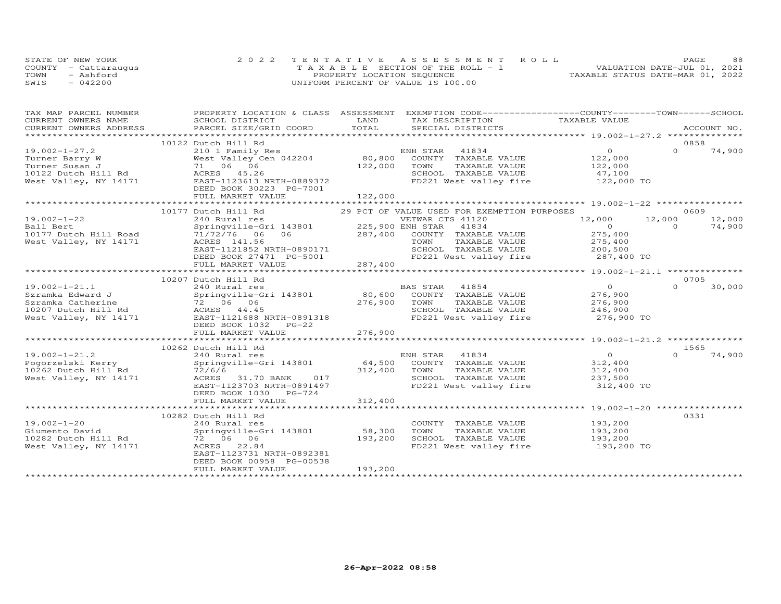| STATE OF NEW YORK    | 2022 TENTATIVE ASSESSMENT ROLL        |  |                                  | PAGE | 88 |
|----------------------|---------------------------------------|--|----------------------------------|------|----|
| COUNTY - Cattaraugus | T A X A B L E SECTION OF THE ROLL - 1 |  | VALUATION DATE-JUL 01, 2021      |      |    |
| TOWN<br>- Ashford    | PROPERTY LOCATION SEQUENCE            |  | TAXABLE STATUS DATE-MAR 01, 2022 |      |    |
| SWIS<br>$-042200$    | UNIFORM PERCENT OF VALUE IS 100.00    |  |                                  |      |    |

| TAX MAP PARCEL NUMBER | PROPERTY LOCATION & CLASS ASSESSMENT EXEMPTION CODE----------------COUNTY-------TOWN------SCHOOL                                                                                                                               |              |                                                                   |                           |          |        |
|-----------------------|--------------------------------------------------------------------------------------------------------------------------------------------------------------------------------------------------------------------------------|--------------|-------------------------------------------------------------------|---------------------------|----------|--------|
| CURRENT OWNERS NAME   | SCHOOL DISTRICT                                                                                                                                                                                                                | LAND         | TAX DESCRIPTION                                                   | TAXABLE VALUE             |          |        |
|                       | .CURRENT OWNERS ADDRESS PARCEL SIZE/GRID COORD TOTAL SPECIAL DISTRICTS ACCOUNT NO ACCOUNT NO ACCOUNT NO ARE THE SERVER AND THE SERVER ASSESS THE SERVER SERVER AND THE SERVER SERVER AND THE SERVER SERVER AND THE SERVER SERV |              |                                                                   |                           |          |        |
|                       |                                                                                                                                                                                                                                |              |                                                                   |                           |          |        |
|                       | 10122 Dutch Hill Rd                                                                                                                                                                                                            |              |                                                                   |                           | 0858     |        |
| $19.002 - 1 - 27.2$   |                                                                                                                                                                                                                                |              |                                                                   | $\overline{0}$            | $\Omega$ | 74,900 |
| Turner Barry W        | West Valley C<br>71 06 06                                                                                                                                                                                                      |              |                                                                   | 0<br>122,000<br>122,000   |          |        |
| Turner Susan J        |                                                                                                                                                                                                                                | 122,000      | TOWN<br>TAXABLE VALUE                                             |                           |          |        |
|                       |                                                                                                                                                                                                                                |              | SCHOOL TAXABLE VALUE 47,100<br>FD221 West valley fire 122,000 TO  |                           |          |        |
|                       | 10122 Dutch Hill Rd<br>West Valley, NY 14171<br>EAST-1123613 NRTH-0889372                                                                                                                                                      |              |                                                                   |                           |          |        |
|                       | DEED BOOK 30223 PG-7001                                                                                                                                                                                                        |              |                                                                   |                           |          |        |
|                       | FULL MARKET VALUE                                                                                                                                                                                                              | 122,000      |                                                                   |                           |          |        |
|                       |                                                                                                                                                                                                                                |              |                                                                   |                           |          |        |
|                       | 10177 Dutch Hill Rd                                                                                                                                                                                                            |              | 29 PCT OF VALUE USED FOR EXEMPTION PURPOSES                       |                           | 0609     |        |
| $19.002 - 1 - 22$     | 240 Rural res<br>Springville-Gri 143801 225,900 ENH STAR 41834                                                                                                                                                                 |              |                                                                   | 12,000 12,000             |          | 12,000 |
| Ball Bert             |                                                                                                                                                                                                                                |              |                                                                   | $\overline{0}$            | $\Omega$ | 74,900 |
| 10177 Dutch Hill Road |                                                                                                                                                                                                                                |              |                                                                   | 275,400                   |          |        |
| West Valley, NY 14171 |                                                                                                                                                                                                                                |              |                                                                   | 275,400                   |          |        |
|                       |                                                                                                                                                                                                                                |              | SCHOOL TAXABLE VALUE 200,500                                      |                           |          |        |
|                       |                                                                                                                                                                                                                                |              | FD221 West valley fire 287,400 TO                                 |                           |          |        |
|                       |                                                                                                                                                                                                                                |              |                                                                   |                           |          |        |
|                       |                                                                                                                                                                                                                                |              |                                                                   |                           |          |        |
|                       | 10207 Dutch Hill Rd                                                                                                                                                                                                            |              |                                                                   |                           | 0705     |        |
| $19.002 - 1 - 21.1$   |                                                                                                                                                                                                                                |              |                                                                   | $\overline{0}$            | $\Omega$ | 30,000 |
| Szramka Edward J      |                                                                                                                                                                                                                                |              |                                                                   | 276,900                   |          |        |
|                       |                                                                                                                                                                                                                                | 276,900 TOWN |                                                                   |                           |          |        |
|                       | Examble Catherine<br>10207 Dutch Hill Rd<br>West Valley, NY 14171 EAST-1121688 NRTH-0891318                                                                                                                                    |              | SCHOOL TAXABLE VALUE                                              |                           |          |        |
|                       |                                                                                                                                                                                                                                |              | FD221 West valley fire 276,900 TO                                 |                           |          |        |
|                       | DEED BOOK 1032    PG-22                                                                                                                                                                                                        |              |                                                                   |                           |          |        |
|                       | FULL MARKET VALUE                                                                                                                                                                                                              | 276,900      |                                                                   |                           |          |        |
|                       |                                                                                                                                                                                                                                |              |                                                                   |                           |          |        |
|                       | 10262 Dutch Hill Rd                                                                                                                                                                                                            |              |                                                                   |                           | 1565     |        |
| $19.002 - 1 - 21.2$   | 240 Rural res<br>Springville-Gri 143801 64,500 COUNTY TAXABLE VALUE                                                                                                                                                            |              |                                                                   | $\overline{O}$<br>312,400 | $\cap$   | 74,900 |
| Pogorzelski Kerry     |                                                                                                                                                                                                                                |              |                                                                   |                           |          |        |
| 10262 Dutch Hill Rd   | $72/6/6$ 31.70 BANK 017 312,400                                                                                                                                                                                                |              | TOWN<br>TAXABLE VALUE                                             | 312,400<br>237,500        |          |        |
| West Valley, NY 14171 |                                                                                                                                                                                                                                |              | SCHOOL TAXABLE VALUE                                              |                           |          |        |
|                       | EAST-1123703 NRTH-0891497                                                                                                                                                                                                      |              | FD221 West valley fire 312,400 TO                                 |                           |          |        |
|                       | DEED BOOK 1030 PG-724                                                                                                                                                                                                          |              |                                                                   |                           |          |        |
|                       |                                                                                                                                                                                                                                |              |                                                                   |                           |          |        |
|                       |                                                                                                                                                                                                                                |              |                                                                   |                           |          |        |
|                       | 10282 Dutch Hill Rd                                                                                                                                                                                                            |              |                                                                   |                           | 0331     |        |
| 19.002-1-20           | 240 Rural res<br>Springville-Gri 143801 58,300                                                                                                                                                                                 |              | COUNTY TAXABLE VALUE                                              | 193,200<br>193,200        |          |        |
| Giumento David        |                                                                                                                                                                                                                                |              | TOWN<br>TAXABLE VALUE                                             |                           |          |        |
|                       | 72 06 06                                                                                                                                                                                                                       | 193,200      | SCHOOL TAXABLE VALUE 193,200<br>FD221 West valley fire 193,200 TO |                           |          |        |
| West Valley, NY 14171 | ACRES 22.84                                                                                                                                                                                                                    |              |                                                                   |                           |          |        |
|                       | EAST-1123731 NRTH-0892381                                                                                                                                                                                                      |              |                                                                   |                           |          |        |
|                       | DEED BOOK 00958 PG-00538                                                                                                                                                                                                       |              |                                                                   |                           |          |        |
|                       | FULL MARKET VALUE                                                                                                                                                                                                              | 193,200      |                                                                   |                           |          |        |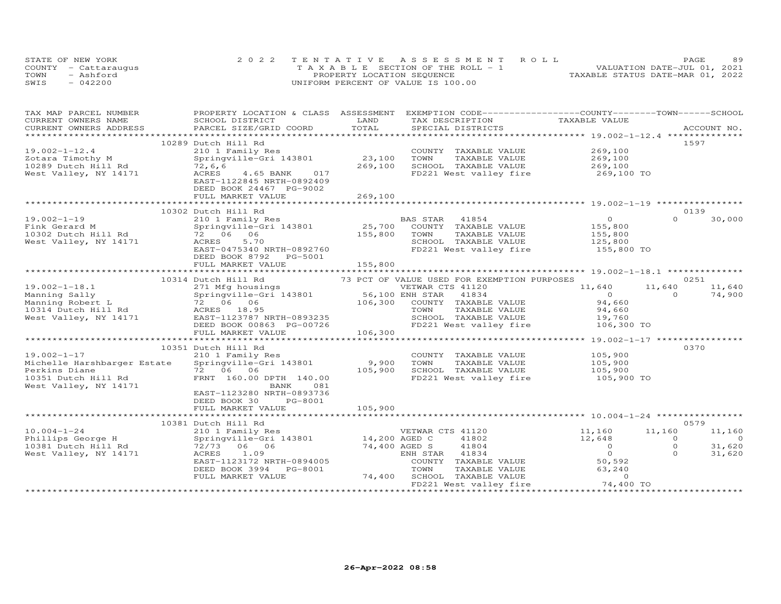|      | STATE OF NEW YORK    | 2022 TENTATIVE ASSESSMENT ROLL        |                                  | PAGE. | 89 |
|------|----------------------|---------------------------------------|----------------------------------|-------|----|
|      | COUNTY - Cattaraugus | T A X A B L E SECTION OF THE ROLL - 1 | VALUATION DATE-JUL 01, 2021      |       |    |
| TOWN | - Ashford            | PROPERTY LOCATION SEQUENCE            | TAXABLE STATUS DATE-MAR 01, 2022 |       |    |
| SWIS | $-042200$            | UNIFORM PERCENT OF VALUE IS 100.00    |                                  |       |    |

| TAX MAP PARCEL NUMBER<br>CURRENT OWNERS NAME           | PROPERTY LOCATION & CLASS ASSESSMENT EXEMPTION CODE----------------COUNTY-------TOWN------SCHOOL<br>SCHOOL DISTRICT | LAND          | TAX DESCRIPTION                                                   | TAXABLE VALUE         |                      |
|--------------------------------------------------------|---------------------------------------------------------------------------------------------------------------------|---------------|-------------------------------------------------------------------|-----------------------|----------------------|
| CURRENT OWNERS ADDRESS                                 | PARCEL SIZE/GRID COORD                                                                                              | TOTAL         | SPECIAL DISTRICTS                                                 |                       | ACCOUNT NO.          |
|                                                        |                                                                                                                     |               |                                                                   |                       |                      |
|                                                        | 10289 Dutch Hill Rd                                                                                                 |               |                                                                   |                       | 1597                 |
| $19.002 - 1 - 12.4$                                    | 210 1 Family Res                                                                                                    |               | COUNTY TAXABLE VALUE                                              | 269,100               |                      |
| Zotara Timothy M                                       | Springville-Gri 143801                                                                                              | 23,100        | TOWN<br>TAXABLE VALUE                                             | 269,100               |                      |
| 10289 Dutch Hill Rd                                    | 72,6,6                                                                                                              | 269,100       | SCHOOL TAXABLE VALUE                                              | 269,100               |                      |
| West Valley, NY 14171                                  | 4.65 BANK 017<br>ACRES                                                                                              |               | FD221 West valley fire                                            | 269,100 TO            |                      |
|                                                        | EAST-1122845 NRTH-0892409                                                                                           |               |                                                                   |                       |                      |
|                                                        | DEED BOOK 24467 PG-9002                                                                                             |               |                                                                   |                       |                      |
|                                                        | FULL MARKET VALUE                                                                                                   | 269,100       |                                                                   |                       |                      |
|                                                        |                                                                                                                     |               |                                                                   |                       |                      |
|                                                        | 10302 Dutch Hill Rd                                                                                                 |               |                                                                   |                       | 0139                 |
| $19.002 - 1 - 19$                                      | 210 1 Family Res                                                                                                    |               | BAS STAR 41854                                                    | $\overline{0}$        | $\Omega$<br>30,000   |
|                                                        | Springville-Gri 143801                                                                                              |               | 25,700 COUNTY TAXABLE VALUE<br>155,800 TOWN TAXABLE VALUE         | 155,800<br>155,800    |                      |
|                                                        |                                                                                                                     |               |                                                                   |                       |                      |
| West Valley, NY 14171                                  | ACRES<br>5.70                                                                                                       |               |                                                                   |                       |                      |
|                                                        | EAST-0475340 NRTH-0892760                                                                                           |               | SCHOOL TAXABLE VALUE 125,800<br>FD221 West valley fire 155,800 TO |                       |                      |
|                                                        | DEED BOOK 8792 PG-5001                                                                                              |               |                                                                   |                       |                      |
|                                                        | FULL MARKET VALUE                                                                                                   | 155,800       |                                                                   |                       |                      |
|                                                        |                                                                                                                     |               |                                                                   |                       |                      |
|                                                        | 10314 Dutch Hill Rd                                                                                                 |               | 73 PCT OF VALUE USED FOR EXEMPTION PURPOSES                       |                       | 0251                 |
| $19.002 - 1 - 18.1$                                    | 271 Mfg housings                                                                                                    |               | VETWAR CTS 41120                                                  | 11,640                | 11,640<br>11,640     |
| Manning Sally                                          | Springville-Gri 143801 56,100 ENH STAR                                                                              |               | 41834                                                             | $\overline{0}$        | $\Omega$<br>74,900   |
| Manning Robert L                                       | 72 06 06                                                                                                            |               | 106,300 COUNTY TAXABLE VALUE                                      | 94,660                |                      |
| 10314 Dutch Hill Rd ACRES 18.95                        |                                                                                                                     |               | TAXABLE VALUE<br>TOWN                                             | 94,660                |                      |
| West Valley, NY 14171                                  | EAST-1123787 NRTH-0893235                                                                                           |               | SCHOOL TAXABLE VALUE                                              | 19,760                |                      |
|                                                        | DEED BOOK 00863 PG-00726                                                                                            |               | FD221 West valley fire 106,300 TO                                 |                       |                      |
|                                                        | FULL MARKET VALUE                                                                                                   | 106,300       |                                                                   |                       |                      |
|                                                        |                                                                                                                     |               |                                                                   |                       |                      |
|                                                        | 10351 Dutch Hill Rd                                                                                                 |               |                                                                   |                       | 0370                 |
| $19.002 - 1 - 17$                                      | 210 1 Family Res                                                                                                    |               | COUNTY TAXABLE VALUE                                              |                       |                      |
| Michelle Harshbarger Estate                            | Springville-Gri 143801                                                                                              | 9,900         | TOWN<br>TAXABLE VALUE                                             | 105,900<br>105,900    |                      |
| Perkins Diane                                          | 72 06 06                                                                                                            | 105,900       | SCHOOL TAXABLE VALUE                                              |                       |                      |
| 10351 Dutch Hill Rd                                    | FRNT 160.00 DPTH 140.00                                                                                             |               | FD221 West valley fire                                            | 105,900<br>105,900 TO |                      |
| West Valley, NY 14171                                  | 081<br>BANK                                                                                                         |               |                                                                   |                       |                      |
|                                                        | EAST-1123280 NRTH-0893736                                                                                           |               |                                                                   |                       |                      |
|                                                        | DEED BOOK 30<br>PG-8001                                                                                             |               |                                                                   |                       |                      |
|                                                        | FULL MARKET VALUE                                                                                                   | 105,900       |                                                                   |                       |                      |
|                                                        |                                                                                                                     |               |                                                                   |                       |                      |
|                                                        | 10381 Dutch Hill Rd                                                                                                 |               |                                                                   |                       | 0579                 |
| $10.004 - 1 - 24$                                      | 210 1 Family Res                                                                                                    |               | VETWAR CTS 41120                                                  | 11,160                | 11,160<br>11,160     |
| Phillips George H Springville-Gri 143801 14,200 AGED C |                                                                                                                     |               | 41802                                                             | 12,648                | $\Omega$<br>$\Omega$ |
| 10381 Dutch Hill Rd                                    | 72/73 06 06                                                                                                         | 74,400 AGED S | 41804                                                             | $\overline{0}$        | $\circ$<br>31,620    |
| West Valley, $NY$ 14171                                | 1.09<br>ACRES                                                                                                       |               | ENH STAR 41834                                                    | $\overline{0}$        | $\Omega$<br>31,620   |
|                                                        | EAST-1123172 NRTH-0894005                                                                                           |               | COUNTY TAXABLE VALUE                                              | 50,592                |                      |
|                                                        | DEED BOOK 3994 PG-8001                                                                                              |               | TAXABLE VALUE<br>TOWN                                             | 63,240                |                      |
|                                                        | FULL MARKET VALUE                                                                                                   |               | 74,400 SCHOOL TAXABLE VALUE                                       | $\Omega$              |                      |
|                                                        |                                                                                                                     |               | FD221 West valley fire                                            | 74,400 TO             |                      |
|                                                        |                                                                                                                     |               |                                                                   |                       |                      |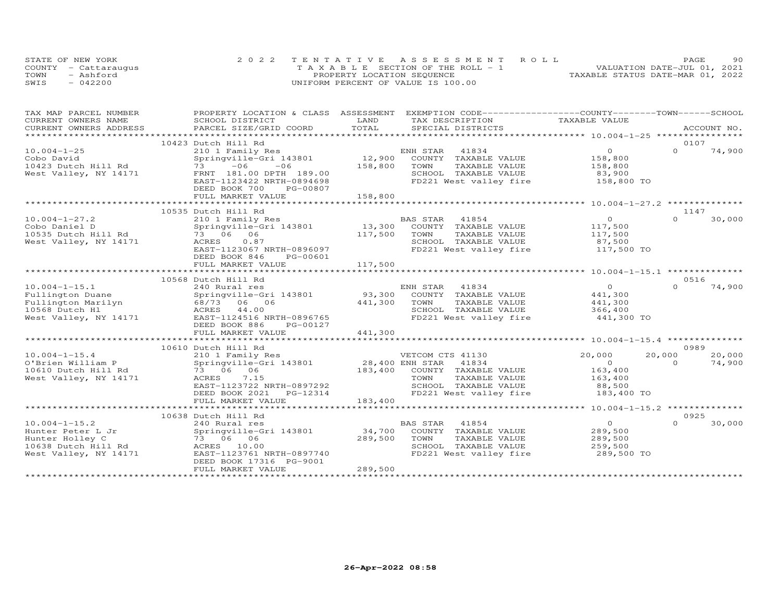| STATE OF NEW YORK    | 2022 TENTATIVE ASSESSMENT ROLL                                       | PAGE | 90 |
|----------------------|----------------------------------------------------------------------|------|----|
| COUNTY - Cattaraugus | VALUATION DATE-JUL 01, 2021<br>T A X A B L E SECTION OF THE ROLL - 1 |      |    |
| TOWN<br>- Ashford    | TAXABLE STATUS DATE-MAR 01, 2022<br>PROPERTY LOCATION SEQUENCE       |      |    |
| SWIS<br>$-042200$    | UNIFORM PERCENT OF VALUE IS 100.00                                   |      |    |

| TAX MAP PARCEL NUMBER     | PROPERTY LOCATION & CLASS ASSESSMENT EXEMPTION CODE----------------COUNTY-------TOWN------SCHOOL |         |                              |                |          |             |
|---------------------------|--------------------------------------------------------------------------------------------------|---------|------------------------------|----------------|----------|-------------|
| CURRENT OWNERS NAME       | SCHOOL DISTRICT                                                                                  | LAND    | TAX DESCRIPTION              | TAXABLE VALUE  |          |             |
| CURRENT OWNERS ADDRESS    | PARCEL SIZE/GRID COORD                                                                           | TOTAL   |                              |                |          | ACCOUNT NO. |
| ************************* |                                                                                                  |         |                              |                |          |             |
|                           | 10423 Dutch Hill Rd                                                                              |         |                              |                | 0107     |             |
| $10.004 - 1 - 25$         | 210 1 Family Res                                                                                 |         | ENH STAR<br>41834            | $\circ$        | $\Omega$ | 74,900      |
| Cobo David                | Springville-Gri 143801                                                                           |         | 12,900 COUNTY TAXABLE VALUE  | 158,800        |          |             |
| 10423 Dutch Hill Rd       | $73 - 06$<br>$-06$                                                                               | 158,800 | TOWN<br>TAXABLE VALUE        | 158,800        |          |             |
| West Valley, NY 14171     | FRNT 181.00 DPTH 189.00                                                                          |         | SCHOOL TAXABLE VALUE         | 83,900         |          |             |
|                           | EAST-1123422 NRTH-0894698                                                                        |         | FD221 West valley fire       | 158,800 TO     |          |             |
|                           | DEED BOOK 700<br>PG-00807                                                                        |         |                              |                |          |             |
|                           | FULL MARKET VALUE                                                                                | 158,800 |                              |                |          |             |
|                           | ***************************                                                                      |         |                              |                |          |             |
|                           | 10535 Dutch Hill Rd                                                                              |         |                              |                | 1147     |             |
| $10.004 - 1 - 27.2$       | 210 1 Family Res                                                                                 |         | BAS STAR<br>41854            | $\overline{O}$ | $\Omega$ | 30,000      |
| Cobo Daniel D             | Springville-Gri 143801                                                                           | 13,300  | COUNTY TAXABLE VALUE         | 117,500        |          |             |
| 10535 Dutch Hill Rd       | 73 06 06                                                                                         | 117,500 | TOWN<br>TAXABLE VALUE        | 117,500        |          |             |
| West Valley, NY 14171     | 0.87<br>ACRES                                                                                    |         | SCHOOL TAXABLE VALUE         | 87,500         |          |             |
|                           | EAST-1123067 NRTH-0896097                                                                        |         | FD221 West valley fire       | 117,500 TO     |          |             |
|                           | DEED BOOK 846<br>PG-00601                                                                        |         |                              |                |          |             |
|                           | FULL MARKET VALUE                                                                                | 117,500 |                              |                |          |             |
|                           |                                                                                                  |         |                              |                |          |             |
|                           | 10568 Dutch Hill Rd                                                                              |         |                              |                | 0516     |             |
| $10.004 - 1 - 15.1$       | 240 Rural res                                                                                    |         | ENH STAR<br>41834            | $\overline{O}$ | $\Omega$ | 74,900      |
| Fullington Duane          | Springville-Gri 143801                                                                           |         | 93,300 COUNTY TAXABLE VALUE  | 441,300        |          |             |
| Fullington Marilyn        | 68/73 06 06                                                                                      | 441,300 | TOWN<br>TAXABLE VALUE        | 441,300        |          |             |
| 10568 Dutch Hl            | ACRES 44.00                                                                                      |         | SCHOOL TAXABLE VALUE         | 366,400        |          |             |
| West Valley, NY 14171     | EAST-1124516 NRTH-0896765                                                                        |         | FD221 West valley fire       | 441,300 TO     |          |             |
|                           | DEED BOOK 886<br>PG-00127                                                                        |         |                              |                |          |             |
|                           | FULL MARKET VALUE                                                                                | 441,300 |                              |                |          |             |
|                           |                                                                                                  |         |                              |                |          |             |
|                           | 10610 Dutch Hill Rd                                                                              |         |                              |                | 0989     |             |
| $10.004 - 1 - 15.4$       | 210 1 Family Res                                                                                 |         | VETCOM CTS 41130             | 20,000         | 20,000   | 20,000      |
| O'Brien William P         | Springville-Gri 143801                                                                           |         | 28,400 ENH STAR 41834        | $\overline{0}$ | $\Omega$ | 74,900      |
| 10610 Dutch Hill Rd       | 73 06 06                                                                                         |         | 183,400 COUNTY TAXABLE VALUE | 163,400        |          |             |
| West Valley, NY 14171     | ACRES 7.15                                                                                       |         | TOWN<br>TAXABLE VALUE        | 163,400        |          |             |
|                           | EAST-1123722 NRTH-0897292                                                                        |         | SCHOOL TAXABLE VALUE         | 88,500         |          |             |
|                           | PG-12314<br>DEED BOOK 2021                                                                       |         | FD221 West valley fire       | 183,400 TO     |          |             |
|                           | FULL MARKET VALUE                                                                                | 183,400 |                              |                |          |             |
|                           |                                                                                                  |         |                              |                |          |             |
|                           | 10638 Dutch Hill Rd                                                                              |         |                              |                | 0925     |             |
| $10.004 - 1 - 15.2$       | 240 Rural res                                                                                    |         | 41854<br>BAS STAR            | $\overline{0}$ | $\Omega$ | 30,000      |
| Hunter Peter L Jr         | Springville-Gri 143801                                                                           | 34,700  | COUNTY TAXABLE VALUE         | 289,500        |          |             |
| Hunter Holley C           | 73 06 06                                                                                         | 289,500 | TOWN<br>TAXABLE VALUE        | 289,500        |          |             |
| 10638 Dutch Hill Rd       | ACRES 10.00                                                                                      |         | SCHOOL TAXABLE VALUE         | 259,500        |          |             |
| West Valley, NY 14171     | EAST-1123761 NRTH-0897740                                                                        |         | FD221 West valley fire       | 289,500 TO     |          |             |
|                           | DEED BOOK 17316 PG-9001                                                                          |         |                              |                |          |             |
|                           | FULL MARKET VALUE                                                                                | 289,500 |                              |                |          |             |
|                           |                                                                                                  |         |                              |                |          |             |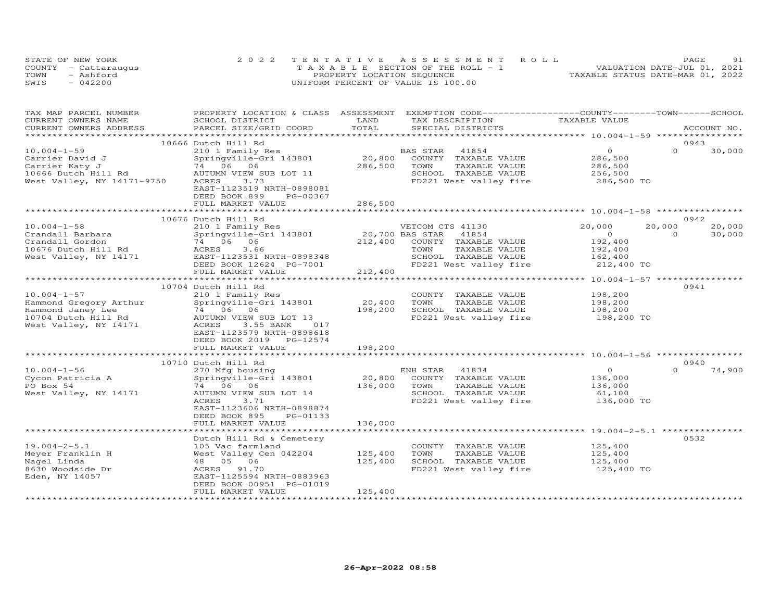|      | STATE OF NEW YORK    | 2022 TENTATIVE ASSESSMENT ROLL        | 91<br>PAGE                       |
|------|----------------------|---------------------------------------|----------------------------------|
|      | COUNTY - Cattaraugus | T A X A B L E SECTION OF THE ROLL - 1 | VALUATION DATE-JUL 01, 2021      |
| TOWN | - Ashford            | PROPERTY LOCATION SEQUENCE            | TAXABLE STATUS DATE-MAR 01, 2022 |
| SWIS | $-042200$            | UNIFORM PERCENT OF VALUE IS 100.00    |                                  |

| TAX MAP PARCEL NUMBER<br>CURRENT OWNERS NAME                                                                     | PROPERTY LOCATION & CLASS ASSESSMENT EXEMPTION CODE----------------COUNTY-------TOWN-----SCHOOL<br>SCHOOL DISTRICT                                                                                                | LAND                         | TAX DESCRIPTION                                                                                                              | TAXABLE VALUE                                                     |                                        |  |
|------------------------------------------------------------------------------------------------------------------|-------------------------------------------------------------------------------------------------------------------------------------------------------------------------------------------------------------------|------------------------------|------------------------------------------------------------------------------------------------------------------------------|-------------------------------------------------------------------|----------------------------------------|--|
| CURRENT OWNERS ADDRESS                                                                                           | PARCEL SIZE/GRID COORD                                                                                                                                                                                            | TOTAL                        | SPECIAL DISTRICTS                                                                                                            |                                                                   | ACCOUNT NO.                            |  |
|                                                                                                                  | 10666 Dutch Hill Rd                                                                                                                                                                                               |                              |                                                                                                                              |                                                                   | 0943                                   |  |
| $10.004 - 1 - 59$<br>Carrier David J<br>Carrier Katy J<br>10666 Dutch Hill Rd<br>West Valley, NY 14171-9750      | 210 1 Family Res<br>Springville-Gri 143801<br>74 06 06<br>AUTUMN VIEW SUB LOT 11<br>ACRES<br>3.73<br>EAST-1123519 NRTH-0898081<br>DEED BOOK 899<br>PG-00367                                                       | 20,800<br>286,500            | BAS STAR<br>41854<br>COUNTY TAXABLE VALUE<br>TOWN<br>TAXABLE VALUE<br>SCHOOL TAXABLE VALUE<br>FD221 West valley fire         | $\circ$<br>286,500<br>286,500<br>256,500<br>286,500 TO            | $\Omega$<br>30,000                     |  |
|                                                                                                                  | FULL MARKET VALUE                                                                                                                                                                                                 | 286,500                      |                                                                                                                              |                                                                   |                                        |  |
|                                                                                                                  |                                                                                                                                                                                                                   |                              |                                                                                                                              |                                                                   |                                        |  |
|                                                                                                                  | 10676 Dutch Hill Rd                                                                                                                                                                                               |                              |                                                                                                                              |                                                                   | 0942                                   |  |
| $10.004 - 1 - 58$<br>Crandall Barbara<br>Crandall Gordon<br>10676 Dutch Hill Rd<br>West Valley, NY 14171         | 210 1 Family Res<br>Springville-Gri 143801<br>74 06 06<br>3.66<br>ACRES<br>EAST-1123531 NRTH-0898348<br>DEED BOOK 12624 PG-7001                                                                                   | 20,700 BAS STAR<br>212,400   | VETCOM CTS 41130<br>41854<br>COUNTY TAXABLE VALUE<br>TAXABLE VALUE<br>TOWN<br>SCHOOL TAXABLE VALUE<br>FD221 West valley fire | 20,000<br>$\Omega$<br>192,400<br>192,400<br>162,400<br>212,400 TO | 20,000<br>20,000<br>30,000<br>$\Omega$ |  |
|                                                                                                                  | FULL MARKET VALUE                                                                                                                                                                                                 | 212,400                      |                                                                                                                              |                                                                   |                                        |  |
|                                                                                                                  |                                                                                                                                                                                                                   |                              |                                                                                                                              |                                                                   | 0941                                   |  |
| $10.004 - 1 - 57$<br>Hammond Gregory Arthur<br>Hammond Janey Lee<br>10704 Dutch Hill Rd<br>West Valley, NY 14171 | 10704 Dutch Hill Rd<br>210 1 Family Res<br>Springville-Gri 143801<br>74 06 06<br>AUTUMN VIEW SUB LOT 13<br>3.55 BANK<br>ACRES<br>017<br>EAST-1123579 NRTH-0898618<br>DEED BOOK 2019 PG-12574<br>FULL MARKET VALUE | 20,400<br>198,200<br>198,200 | COUNTY TAXABLE VALUE<br>TOWN<br>TAXABLE VALUE<br>SCHOOL TAXABLE VALUE<br>FD221 West valley fire                              | 198,200<br>198,200<br>198,200<br>198,200 TO                       |                                        |  |
|                                                                                                                  |                                                                                                                                                                                                                   |                              |                                                                                                                              |                                                                   |                                        |  |
|                                                                                                                  | 10710 Dutch Hill Rd                                                                                                                                                                                               |                              |                                                                                                                              |                                                                   | 0940                                   |  |
| $10.004 - 1 - 56$<br>Cycon Patricia A<br>PO Box 54<br>West Valley, NY 14171                                      | 270 Mfg housing<br>Springville-Gri 143801<br>74 06 06<br>AUTUMN VIEW SUB LOT 14<br>ACRES<br>3.71<br>EAST-1123606 NRTH-0898874<br>DEED BOOK 895<br>PG-01133<br>FULL MARKET VALUE                                   | 20,800<br>136,000<br>136,000 | ENH STAR<br>41834<br>COUNTY TAXABLE VALUE<br>TOWN<br>TAXABLE VALUE<br>SCHOOL TAXABLE VALUE<br>FD221 West valley fire         | $\circ$<br>136,000<br>136,000<br>61,100<br>136,000 TO             | $\cap$<br>74,900                       |  |
|                                                                                                                  |                                                                                                                                                                                                                   |                              |                                                                                                                              |                                                                   |                                        |  |
| $19.004 - 2 - 5.1$<br>Meyer Franklin H<br>Nagel Linda<br>8630 Woodside Dr<br>Eden, NY 14057                      | Dutch Hill Rd & Cemetery<br>105 Vac farmland<br>West Valley Cen 042204<br>48  05  06<br>ACRES<br>91.70<br>EAST-1125594 NRTH-0883963<br>DEED BOOK 00951 PG-01019                                                   | 125,400<br>125,400           | COUNTY TAXABLE VALUE<br>TOWN<br>TAXABLE VALUE<br>SCHOOL TAXABLE VALUE<br>FD221 West valley fire                              | 125,400<br>125,400<br>125,400<br>125,400 TO                       | 0532                                   |  |
|                                                                                                                  | FULL MARKET VALUE<br>*************************                                                                                                                                                                    | 125,400<br>**************    |                                                                                                                              |                                                                   |                                        |  |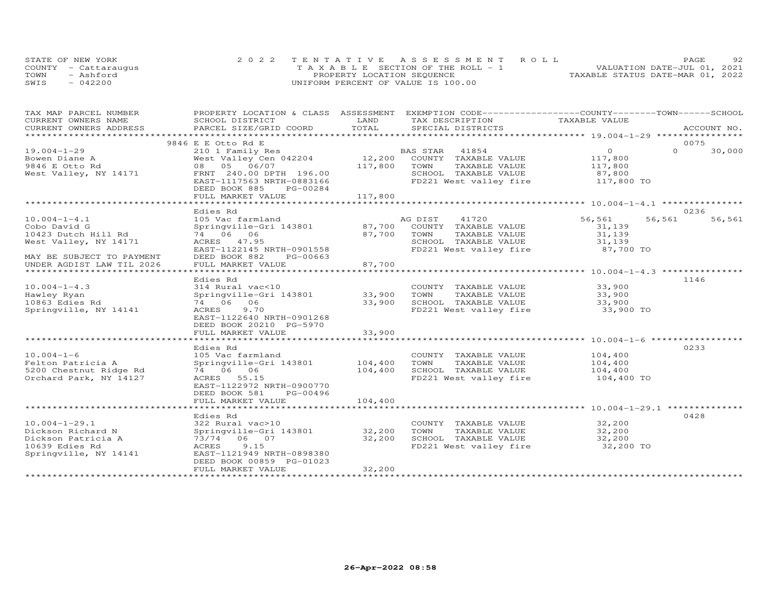| STATE OF NEW YORK    | 2022 TENTATIVE ASSESSMENT ROLL        | 92<br>PAGE.                      |
|----------------------|---------------------------------------|----------------------------------|
| COUNTY - Cattaraugus | T A X A B L E SECTION OF THE ROLL - 1 | VALUATION DATE-JUL 01, 2021      |
| TOWN<br>- Ashford    | PROPERTY LOCATION SEQUENCE            | TAXABLE STATUS DATE-MAR 01, 2022 |
| $-042200$<br>SWIS    | UNIFORM PERCENT OF VALUE IS 100.00    |                                  |

| TAX MAP PARCEL NUMBER     | PROPERTY LOCATION & CLASS ASSESSMENT                            |              |                |                             | EXEMPTION CODE-----------------COUNTY-------TOWN------SCHOOL |          |        |
|---------------------------|-----------------------------------------------------------------|--------------|----------------|-----------------------------|--------------------------------------------------------------|----------|--------|
| CURRENT OWNERS NAME       | SCHOOL DISTRICT                                                 | LAND         |                | TAX DESCRIPTION             | TAXABLE VALUE                                                |          |        |
| CURRENT OWNERS ADDRESS    | PARCEL SIZE/GRID COORD                                          | TOTAL        |                |                             |                                                              |          |        |
|                           |                                                                 |              |                |                             |                                                              |          |        |
|                           | 9846 E E Otto Rd E                                              |              |                |                             |                                                              |          | 0075   |
| 19.004-1-29               | 210 1 Family Res                                                |              | BAS STAR 41854 |                             | $\overline{O}$                                               | $\Omega$ | 30,000 |
| Bowen Diane A             | West Valley Cen 042204                                          |              |                | 12,200 COUNTY TAXABLE VALUE | 117,800                                                      |          |        |
| 9846 E Otto Rd            | 08  05  06/07                                                   | 117,800 TOWN |                | TAXABLE VALUE               | 117,800                                                      |          |        |
| West Valley, NY 14171     | FRNT 240.00 DPTH 196.00                                         |              |                | SCHOOL TAXABLE VALUE        | 87,800<br>117,800 TO                                         |          |        |
|                           | EAST-1117563 NRTH-0883166                                       |              |                | FD221 West valley fire      |                                                              |          |        |
|                           | DEED BOOK 885<br>PG-00284                                       |              |                |                             |                                                              |          |        |
|                           | FULL MARKET VALUE                                               | 117,800      |                |                             |                                                              |          |        |
|                           |                                                                 |              |                |                             |                                                              |          |        |
|                           | Edies Rd                                                        |              |                |                             |                                                              |          | 0236   |
| $10.004 - 1 - 4.1$        | 105 Vac farmland                                                |              | AG DIST        | 41720                       | 56,561 56,561                                                |          | 56,561 |
| Cobo David G              | Springville-Gri 143801 87,700 COUNTY TAXABLE VALUE              |              |                |                             | 31,139                                                       |          |        |
| 10423 Dutch Hill Rd       | 74 06 06                                                        | 87,700 TOWN  |                | TAXABLE VALUE               | 31,139                                                       |          |        |
| West Valley, NY 14171     | ACRES 47.95                                                     |              |                | SCHOOL TAXABLE VALUE        | 31,139                                                       |          |        |
|                           | EAST-1122145 NRTH-0901558                                       |              |                |                             | FD221 West valley fire 37,700 TO                             |          |        |
| MAY BE SUBJECT TO PAYMENT | DEED BOOK 882<br>PG-00663                                       |              |                |                             |                                                              |          |        |
| UNDER AGDIST LAW TIL 2026 | FULL MARKET VALUE                                               | 87,700       |                |                             |                                                              |          |        |
|                           |                                                                 |              |                |                             |                                                              |          |        |
|                           | Edies Rd                                                        |              |                |                             |                                                              |          | 1146   |
| $10.004 - 1 - 4.3$        | 314 Rural vac<10                                                |              |                | COUNTY TAXABLE VALUE        | 33,900                                                       |          |        |
| Hawley Ryan               | Springville-Gri 143801                                          |              | 33,900 TOWN    | TAXABLE VALUE               | 33,900                                                       |          |        |
| 10863 Edies Rd            | 74 06 06                                                        | 33,900       |                | SCHOOL TAXABLE VALUE        | 33,900                                                       |          |        |
| Springville, NY 14141     | 9.70<br>ACRES                                                   |              |                | FD221 West valley fire      | 33,900 TO                                                    |          |        |
|                           | EAST-1122640 NRTH-0901268                                       |              |                |                             |                                                              |          |        |
|                           | DEED BOOK 20210 PG-5970                                         |              |                |                             |                                                              |          |        |
|                           | FULL MARKET VALUE                                               | 33,900       |                |                             |                                                              |          |        |
|                           |                                                                 |              |                |                             |                                                              |          |        |
|                           | Edies Rd                                                        |              |                |                             |                                                              |          | 0233   |
| $10.004 - 1 - 6$          | 105 Vac farmland                                                |              |                | COUNTY TAXABLE VALUE        | 104, 400                                                     |          |        |
| Felton Patricia A         | 105 Vac farmland<br>Springville-Gri 143801              104,400 |              | TOWN           | TAXABLE VALUE               | 104,400                                                      |          |        |
| 5200 Chestnut Ridge Rd    | 74 06 06                                                        | 104,400      |                | SCHOOL TAXABLE VALUE        | 104,400                                                      |          |        |
| Orchard Park, NY 14127    | ACRES 55.15                                                     |              |                | FD221 West valley fire      | 104,400 TO                                                   |          |        |
|                           | EAST-1122972 NRTH-0900770                                       |              |                |                             |                                                              |          |        |
|                           | DEED BOOK 581<br>PG-00496                                       |              |                |                             |                                                              |          |        |
|                           | FULL MARKET VALUE                                               | 104,400      |                |                             |                                                              |          |        |
|                           |                                                                 |              |                |                             |                                                              |          |        |
|                           | Edies Rd                                                        |              |                |                             |                                                              |          | 0428   |
| $10.004 - 1 - 29.1$       | 322 Rural vac>10                                                |              |                | COUNTY TAXABLE VALUE        | 32,200                                                       |          |        |
| Dickson Richard N         | Springville-Gri 143801                                          | 32,200       | TOWN           | TAXABLE VALUE               | 32,200                                                       |          |        |
| Dickson Patricia A        | 73/74 06 07                                                     | 32,200       |                | SCHOOL TAXABLE VALUE        | 32,200                                                       |          |        |
| 10639 Edies Rd            | 9.15<br>ACRES                                                   |              |                | FD221 West valley fire      | 32,200 TO                                                    |          |        |
| Springville, NY 14141     | EAST-1121949 NRTH-0898380                                       |              |                |                             |                                                              |          |        |
|                           | DEED BOOK 00859 PG-01023                                        |              |                |                             |                                                              |          |        |
|                           | FULL MARKET VALUE                                               | 32,200       |                |                             |                                                              |          |        |
|                           |                                                                 |              |                |                             |                                                              |          |        |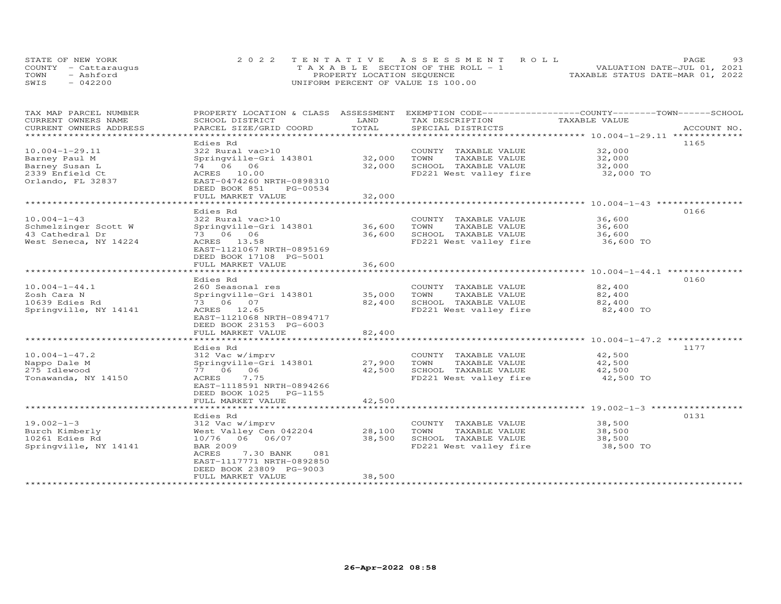| STATE OF NEW YORK    | 2022 TENTATIVE ASSESSMENT ROLL        | 93<br><b>PAGE</b>                |
|----------------------|---------------------------------------|----------------------------------|
| COUNTY - Cattaraugus | T A X A B L E SECTION OF THE ROLL - 1 | VALUATION DATE-JUL 01, 2021      |
| TOWN<br>- Ashford    | PROPERTY LOCATION SEQUENCE            | TAXABLE STATUS DATE-MAR 01, 2022 |
| SWIS<br>$-042200$    | UNIFORM PERCENT OF VALUE IS 100.00    |                                  |

| TAX MAP PARCEL NUMBER  | PROPERTY LOCATION & CLASS ASSESSMENT |              | EXEMPTION CODE-----------------COUNTY-------TOWN------SCHOOL |               |             |
|------------------------|--------------------------------------|--------------|--------------------------------------------------------------|---------------|-------------|
| CURRENT OWNERS NAME    | SCHOOL DISTRICT                      | LAND         | TAX DESCRIPTION                                              | TAXABLE VALUE |             |
| CURRENT OWNERS ADDRESS | PARCEL SIZE/GRID COORD               | TOTAL        | SPECIAL DISTRICTS                                            |               | ACCOUNT NO. |
| ********************   |                                      |              |                                                              |               |             |
|                        | Edies Rd                             |              |                                                              |               | 1165        |
| $10.004 - 1 - 29.11$   | 322 Rural vac>10                     |              | COUNTY TAXABLE VALUE                                         | 32,000        |             |
| Barney Paul M          | Springville-Gri 143801               | 32,000       | TOWN<br>TAXABLE VALUE                                        | 32,000        |             |
| Barney Susan L         | 74 06 06                             | 32,000       | SCHOOL TAXABLE VALUE                                         | 32,000        |             |
| 2339 Enfield Ct        | ACRES 10.00                          |              | FD221 West valley fire                                       | 32,000 TO     |             |
| Orlando, FL 32837      | EAST-0474260 NRTH-0898310            |              |                                                              |               |             |
|                        | DEED BOOK 851<br>PG-00534            |              |                                                              |               |             |
|                        | FULL MARKET VALUE                    | 32,000       |                                                              |               |             |
|                        |                                      |              |                                                              |               |             |
|                        | Edies Rd                             |              |                                                              |               | 0166        |
| $10.004 - 1 - 43$      | 322 Rural vac>10                     |              | COUNTY TAXABLE VALUE                                         | 36,600        |             |
| Schmelzinger Scott W   | Springville-Gri 143801               | 36,600       | TOWN<br>TAXABLE VALUE                                        | 36,600        |             |
| 43 Cathedral Dr        | 73 06 06                             | 36,600       | SCHOOL TAXABLE VALUE                                         | 36,600        |             |
| West Seneca, NY 14224  | ACRES 13.58                          |              | FD221 West valley fire                                       | 36,600 TO     |             |
|                        | EAST-1121067 NRTH-0895169            |              |                                                              |               |             |
|                        | DEED BOOK 17108 PG-5001              |              |                                                              |               |             |
|                        | FULL MARKET VALUE                    | 36,600       |                                                              |               |             |
|                        |                                      |              |                                                              |               |             |
|                        | Edies Rd                             |              |                                                              |               | 0160        |
| $10.004 - 1 - 44.1$    | 260 Seasonal res                     |              | COUNTY TAXABLE VALUE                                         | 82,400        |             |
| Zosh Cara N            | Springville-Gri 143801               | 35,000       | TOWN<br>TAXABLE VALUE                                        | 82,400        |             |
| 10639 Edies Rd         | 73 06 07                             | 82,400       | SCHOOL TAXABLE VALUE                                         | 82,400        |             |
| Springville, NY 14141  | ACRES 12.65                          |              | FD221 West valley fire                                       | 82,400 TO     |             |
|                        | EAST-1121068 NRTH-0894717            |              |                                                              |               |             |
|                        | DEED BOOK 23153 PG-6003              |              |                                                              |               |             |
|                        | FULL MARKET VALUE                    | 82,400       |                                                              |               |             |
|                        |                                      |              |                                                              |               |             |
|                        | Edies Rd                             |              |                                                              |               | 1177        |
| $10.004 - 1 - 47.2$    | 312 Vac w/imprv                      |              | COUNTY TAXABLE VALUE                                         | 42,500        |             |
| Nappo Dale M           | Springville-Gri 143801               | 27,900       | TOWN<br>TAXABLE VALUE                                        | 42,500        |             |
| 275 Idlewood           | 77 06<br>06                          | 42,500       | SCHOOL TAXABLE VALUE                                         | 42,500        |             |
| Tonawanda, NY 14150    | 7.75<br>ACRES                        |              | FD221 West valley fire                                       | 42,500 TO     |             |
|                        | EAST-1118591 NRTH-0894266            |              |                                                              |               |             |
|                        | DEED BOOK 1025 PG-1155               |              |                                                              |               |             |
|                        | FULL MARKET VALUE                    | 42,500       |                                                              |               |             |
|                        | *******************                  | ************ |                                                              |               |             |
|                        | Edies Rd                             |              |                                                              |               | 0131        |
| $19.002 - 1 - 3$       | 312 Vac w/imprv                      |              | COUNTY TAXABLE VALUE                                         | 38,500        |             |
| Burch Kimberly         | West Valley Cen 042204               | 28,100       | TOWN<br>TAXABLE VALUE                                        | 38,500        |             |
| 10261 Edies Rd         | 10/76 06 06/07                       | 38,500       | SCHOOL TAXABLE VALUE                                         | 38,500        |             |
| Springville, NY 14141  | <b>BAR 2009</b>                      |              | FD221 West valley fire                                       | 38,500 TO     |             |
|                        | ACRES<br>7.30 BANK<br>081            |              |                                                              |               |             |
|                        | EAST-1117771 NRTH-0892850            |              |                                                              |               |             |
|                        | DEED BOOK 23809 PG-9003              |              |                                                              |               |             |
|                        | FULL MARKET VALUE                    | 38,500       |                                                              |               |             |
|                        |                                      |              |                                                              |               |             |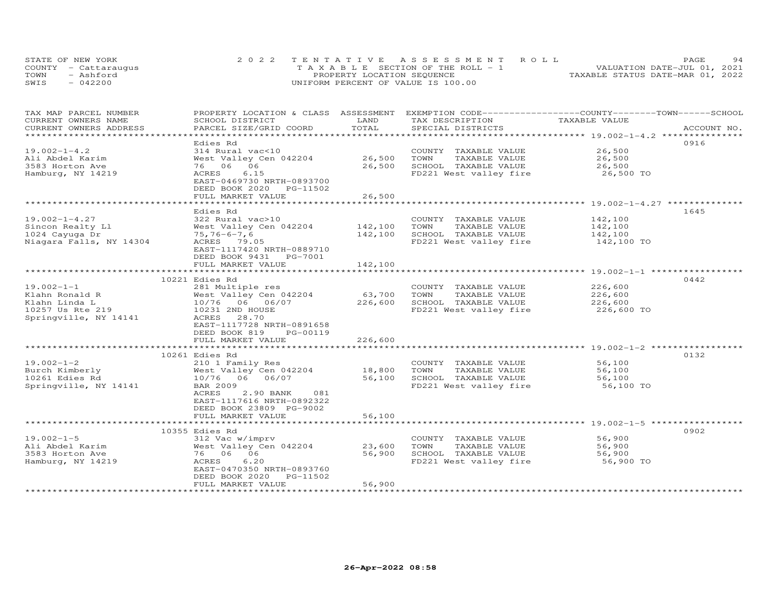| STATE OF NEW YORK    | 2022 TENTATIVE ASSESSMENT ROLL        | 94<br><b>PAGE</b>                |
|----------------------|---------------------------------------|----------------------------------|
| COUNTY - Cattaraugus | T A X A B L E SECTION OF THE ROLL - 1 | VALUATION DATE-JUL 01, 2021      |
| TOWN<br>- Ashford    | PROPERTY LOCATION SEQUENCE            | TAXABLE STATUS DATE-MAR 01, 2022 |
| $-042200$<br>SWIS    | UNIFORM PERCENT OF VALUE IS 100.00    |                                  |

| TAX MAP PARCEL NUMBER                        | PROPERTY LOCATION & CLASS ASSESSMENT |               | EXEMPTION CODE-----------------COUNTY-------TOWN-----SCHOOL |                                                                |             |
|----------------------------------------------|--------------------------------------|---------------|-------------------------------------------------------------|----------------------------------------------------------------|-------------|
| CURRENT OWNERS NAME                          | SCHOOL DISTRICT                      | LAND<br>TOTAL | TAX DESCRIPTION                                             | TAXABLE VALUE                                                  |             |
| CURRENT OWNERS ADDRESS<br>****************** | PARCEL SIZE/GRID COORD               |               | SPECIAL DISTRICTS                                           |                                                                | ACCOUNT NO. |
|                                              |                                      |               |                                                             |                                                                | 0916        |
| $19.002 - 1 - 4.2$                           | Edies Rd                             |               |                                                             | 26,500                                                         |             |
|                                              | 314 Rural vac<10                     | 26,500        | COUNTY TAXABLE VALUE                                        |                                                                |             |
| Ali Abdel Karim                              | West Valley Cen 042204               |               | TOWN<br>TAXABLE VALUE                                       | 26,500                                                         |             |
| 3583 Horton Ave                              | 76 06 06                             | 26,500        | SCHOOL TAXABLE VALUE                                        | 26,500                                                         |             |
| Hamburg, NY 14219                            | 6.15<br>ACRES                        |               | FD221 West valley fire                                      | 26,500 TO                                                      |             |
|                                              | EAST-0469730 NRTH-0893700            |               |                                                             |                                                                |             |
|                                              | DEED BOOK 2020 PG-11502              |               |                                                             |                                                                |             |
|                                              | FULL MARKET VALUE                    | 26,500        |                                                             |                                                                |             |
|                                              |                                      |               |                                                             |                                                                |             |
|                                              | Edies Rd                             |               |                                                             |                                                                | 1645        |
| $19.002 - 1 - 4.27$                          | 322 Rural vac>10                     |               | COUNTY TAXABLE VALUE                                        | 142,100                                                        |             |
| Sincon Realty Ll                             | West Valley Cen 042204               | 142,100       | TOWN<br>TAXABLE VALUE                                       | 142,100                                                        |             |
| 1024 Cayuga Dr                               | $75, 76 - 6 - 7, 6$                  | 142,100       | SCHOOL TAXABLE VALUE                                        | 142,100                                                        |             |
| Niagara Falls, NY 14304                      | ACRES 79.05                          |               | FD221 West valley fire                                      | 142,100 TO                                                     |             |
|                                              | EAST-1117420 NRTH-0889710            |               |                                                             |                                                                |             |
|                                              | DEED BOOK 9431 PG-7001               |               |                                                             |                                                                |             |
|                                              | FULL MARKET VALUE                    | 142,100       |                                                             |                                                                |             |
|                                              |                                      |               |                                                             |                                                                |             |
|                                              | 10221 Edies Rd                       |               |                                                             |                                                                | 0442        |
| $19.002 - 1 - 1$                             | 281 Multiple res                     |               | COUNTY TAXABLE VALUE                                        | 226,600                                                        |             |
| Klahn Ronald R                               | West Valley Cen 042204               | 63,700        | TOWN<br>TAXABLE VALUE                                       | 226,600<br>226,600                                             |             |
| Klahn Linda L                                | 10/76 06 06/07                       | 226,600       | SCHOOL TAXABLE VALUE                                        |                                                                |             |
| 10257 Us Rte 219                             | 10231 2ND HOUSE                      |               | FD221 West valley fire                                      | 226,600 TO                                                     |             |
| Springville, NY 14141                        | 28.70<br>ACRES                       |               |                                                             |                                                                |             |
|                                              | EAST-1117728 NRTH-0891658            |               |                                                             |                                                                |             |
|                                              | DEED BOOK 819<br>PG-00119            |               |                                                             |                                                                |             |
|                                              | FULL MARKET VALUE                    | 226,600       |                                                             |                                                                |             |
|                                              |                                      |               |                                                             |                                                                |             |
|                                              | 10261 Edies Rd                       |               |                                                             |                                                                | 0132        |
| $19.002 - 1 - 2$                             | 210 1 Family Res                     |               | COUNTY TAXABLE VALUE                                        | 56,100                                                         |             |
| Burch Kimberly                               | West Valley Cen 042204               | 18,800        | TOWN<br>TAXABLE VALUE                                       | 56,100                                                         |             |
| 10261 Edies Rd                               | 10/76 06 06/07                       | 56,100        | SCHOOL TAXABLE VALUE                                        | 56,100                                                         |             |
| Springville, NY 14141                        | <b>BAR 2009</b>                      |               | FD221 West valley fire                                      | 56,100 TO                                                      |             |
|                                              | ACRES<br>2.90 BANK<br>081            |               |                                                             |                                                                |             |
|                                              | EAST-1117616 NRTH-0892322            |               |                                                             |                                                                |             |
|                                              | DEED BOOK 23809 PG-9002              |               |                                                             |                                                                |             |
|                                              | FULL MARKET VALUE                    | 56,100        |                                                             |                                                                |             |
|                                              | ***********************              |               |                                                             | ***********************************59.002-1-5***************** |             |
|                                              | 10355 Edies Rd                       |               |                                                             |                                                                | 0902        |
| $19.002 - 1 - 5$                             | 312 Vac w/imprv                      |               | COUNTY TAXABLE VALUE                                        | 56,900                                                         |             |
| Ali Abdel Karim                              | West Valley Cen 042204               | 23,600        | TOWN<br>TAXABLE VALUE                                       | 56,900                                                         |             |
| 3583 Horton Ave                              | 76 06 06                             | 56,900        | SCHOOL TAXABLE VALUE                                        | 56,900                                                         |             |
| Hamburg, NY 14219                            | 6.20<br>ACRES                        |               | FD221 West valley fire                                      | 56,900 TO                                                      |             |
|                                              | EAST-0470350 NRTH-0893760            |               |                                                             |                                                                |             |
|                                              | DEED BOOK 2020<br>PG-11502           |               |                                                             |                                                                |             |
|                                              | FULL MARKET VALUE                    | 56,900        |                                                             |                                                                |             |
|                                              |                                      |               |                                                             |                                                                |             |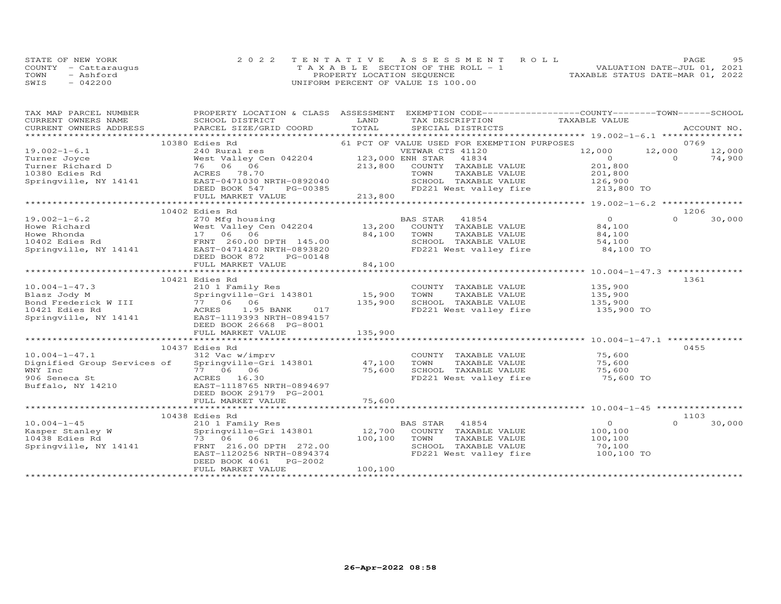|      | STATE OF NEW YORK    | 2022 TENTATIVE ASSESSMENT ROLL        | PAGE                             | 95 |
|------|----------------------|---------------------------------------|----------------------------------|----|
|      | COUNTY - Cattaraugus | T A X A B L E SECTION OF THE ROLL - 1 | VALUATION DATE-JUL 01, 2021      |    |
| TOWN | - Ashford            | PROPERTY LOCATION SEQUENCE            | TAXABLE STATUS DATE-MAR 01, 2022 |    |
| SWIS | $-042200$            | UNIFORM PERCENT OF VALUE IS 100.00    |                                  |    |

| TAX MAP PARCEL NUMBER<br>CURRENT OWNERS NAME | SCHOOL DISTRICT<br><b>EXAMPLE THE STATE OF STATE OF STATE</b>                                                                                                                                                                                                            |         | PROPERTY LOCATION & CLASS ASSESSMENT EXEMPTION CODE----------------COUNTY-------TOWN------SCHOOL<br>TAX DESCRIPTION TAXABLE VALUE |                                                               |          |             |
|----------------------------------------------|--------------------------------------------------------------------------------------------------------------------------------------------------------------------------------------------------------------------------------------------------------------------------|---------|-----------------------------------------------------------------------------------------------------------------------------------|---------------------------------------------------------------|----------|-------------|
| CURRENT OWNERS ADDRESS                       | PARCEL SIZE/GRID COORD TOTAL                                                                                                                                                                                                                                             |         | SPECIAL DISTRICTS                                                                                                                 |                                                               |          | ACCOUNT NO. |
|                                              | 10380 Edies Rd                                                                                                                                                                                                                                                           |         | 61 PCT OF VALUE USED FOR EXEMPTION PURPOSES                                                                                       |                                                               |          | 0769        |
| $19.002 - 1 - 6.1$                           | Edies Rd 240 Rural res 240 Rural res 240 Rural res 240 Rural res 240 Rural res 240 Rural res 240 Rural res 240 Rural res 240 Rural res 240 Rural res 240 Rural res 240 Rural res 240 Rural res 240 Rural res 240 Rural res 240                                           |         | VETWAR CTS 41120                                                                                                                  | 12,000 12,000 12,000                                          |          |             |
|                                              |                                                                                                                                                                                                                                                                          |         |                                                                                                                                   |                                                               |          |             |
|                                              |                                                                                                                                                                                                                                                                          |         |                                                                                                                                   |                                                               |          |             |
|                                              |                                                                                                                                                                                                                                                                          |         |                                                                                                                                   |                                                               |          |             |
|                                              |                                                                                                                                                                                                                                                                          |         |                                                                                                                                   |                                                               |          |             |
|                                              |                                                                                                                                                                                                                                                                          |         |                                                                                                                                   |                                                               |          |             |
|                                              |                                                                                                                                                                                                                                                                          |         |                                                                                                                                   |                                                               |          |             |
|                                              | 19.002-1-0.1<br>Turner Richard D (14,900<br>Turner Richard D (14,900<br>Turner Richard D (14,900<br>213,800 COUNTY TAXABLE VALUE 201,800<br>201,800<br>201,800<br>201,800<br>201,800<br>201,800<br>201,800<br>201,800<br>201,800<br>201,800<br>201,800<br>20             |         |                                                                                                                                   |                                                               |          |             |
|                                              | 10402 Edies Rd                                                                                                                                                                                                                                                           |         |                                                                                                                                   | $\begin{array}{c}\n0 \\ \mathsf{B}^{\mathsf{A}}\n\end{array}$ | 1206     |             |
| $19.002 - 1 - 6.2$                           | EXTREM 11854<br>270 Mfg housing<br>West Valley Cen 042204 13,200 COUNTY TAXABLE VALUE<br>17 06 06 84,100 TOWN TAXABLE VALUE                                                                                                                                              |         |                                                                                                                                   |                                                               | $\Omega$ | 30,000      |
|                                              |                                                                                                                                                                                                                                                                          |         |                                                                                                                                   |                                                               |          |             |
|                                              |                                                                                                                                                                                                                                                                          |         | TAXABLE VALUE                                                                                                                     | 84,100                                                        |          |             |
|                                              |                                                                                                                                                                                                                                                                          |         |                                                                                                                                   |                                                               |          |             |
|                                              | Howe Richard Mest Valley Cen 042204 13,200<br>Howe Rhonda 17 06 06 84,100<br>10402 Edies Rd FRNT 260.00 DPTH 145.00<br>Springville, NY 14141 EAST-0471420 NRTH-0893820<br>ERED POOK 872 PC-00148                                                                         |         | SCHOOL TAXABLE VALUE 54,100<br>FD221 West valley fire 84,100 TO                                                                   |                                                               |          |             |
|                                              |                                                                                                                                                                                                                                                                          |         |                                                                                                                                   |                                                               |          |             |
|                                              | DEED BOOK 872 PG-00148<br>FULL MARKET VALUE                                                                                                                                                                                                                              | 84,100  |                                                                                                                                   |                                                               |          |             |
|                                              |                                                                                                                                                                                                                                                                          |         |                                                                                                                                   |                                                               |          |             |
|                                              | 10.004-1-47.3<br>Blasz Jody M<br>Bond Frederick W III 77 06 06<br>135,900<br>135,900<br>135,900<br>135,900<br>135,900<br>135,900<br>135,900<br>135,900<br>135,900<br>135,900<br>135,900<br>135,900<br>135,900<br>135,900<br>135,900<br>135,900<br>135,900<br>135,900<br> |         |                                                                                                                                   |                                                               |          | 1361        |
|                                              |                                                                                                                                                                                                                                                                          |         |                                                                                                                                   |                                                               |          |             |
|                                              |                                                                                                                                                                                                                                                                          |         |                                                                                                                                   |                                                               |          |             |
|                                              |                                                                                                                                                                                                                                                                          |         |                                                                                                                                   |                                                               |          |             |
|                                              |                                                                                                                                                                                                                                                                          |         |                                                                                                                                   |                                                               |          |             |
|                                              |                                                                                                                                                                                                                                                                          |         |                                                                                                                                   |                                                               |          |             |
|                                              | DEED BOOK 26668 PG-8001                                                                                                                                                                                                                                                  |         |                                                                                                                                   |                                                               |          |             |
|                                              |                                                                                                                                                                                                                                                                          |         |                                                                                                                                   |                                                               |          |             |
|                                              |                                                                                                                                                                                                                                                                          |         |                                                                                                                                   |                                                               |          |             |
|                                              | 10437 Edies Rd                                                                                                                                                                                                                                                           |         |                                                                                                                                   |                                                               |          | 0455        |
|                                              | 10.004-1-47.1 312 Vac w/imprv coUNTY<br>Dignified Group Services of Springville-Gri 143801 47,100 TOWN                                                                                                                                                                   |         |                                                                                                                                   |                                                               |          |             |
|                                              |                                                                                                                                                                                                                                                                          |         |                                                                                                                                   |                                                               |          |             |
|                                              |                                                                                                                                                                                                                                                                          |         |                                                                                                                                   |                                                               |          |             |
|                                              |                                                                                                                                                                                                                                                                          |         |                                                                                                                                   |                                                               |          |             |
|                                              |                                                                                                                                                                                                                                                                          |         |                                                                                                                                   |                                                               |          |             |
|                                              | DEED BOOK 29179 PG-2001                                                                                                                                                                                                                                                  |         |                                                                                                                                   |                                                               |          |             |
|                                              |                                                                                                                                                                                                                                                                          |         |                                                                                                                                   |                                                               |          |             |
|                                              |                                                                                                                                                                                                                                                                          |         |                                                                                                                                   |                                                               |          | 1103        |
|                                              | 10438 Edies Rd                                                                                                                                                                                                                                                           |         | BAS STAR 41854                                                                                                                    | $\overline{0}$                                                | $\cap$   | 30,000      |
|                                              |                                                                                                                                                                                                                                                                          |         | COUNTY TAXABLE VALUE 100,100                                                                                                      |                                                               |          |             |
|                                              |                                                                                                                                                                                                                                                                          |         |                                                                                                                                   |                                                               |          |             |
|                                              |                                                                                                                                                                                                                                                                          |         |                                                                                                                                   |                                                               |          |             |
|                                              | 10.004-1-45<br>Rasper Stanley W 210 1 Family Res<br>Rasper Stanley W Springville-Gri 143801 12,700 COUNT<br>10438 Edies Rd 73 06 06 100,100 TOWN<br>Springville, NY 14141 FRNT 216.00 DPTH 272.00 SCHOO.<br>EAST-1120256 NRTH-0894374 FD                                 |         | FD221 West valley fire 100,100 TO                                                                                                 |                                                               |          |             |
|                                              | DEED BOOK 4061 PG-2002                                                                                                                                                                                                                                                   |         |                                                                                                                                   |                                                               |          |             |
|                                              | FULL MARKET VALUE                                                                                                                                                                                                                                                        | 100,100 |                                                                                                                                   |                                                               |          |             |
|                                              |                                                                                                                                                                                                                                                                          |         |                                                                                                                                   |                                                               |          |             |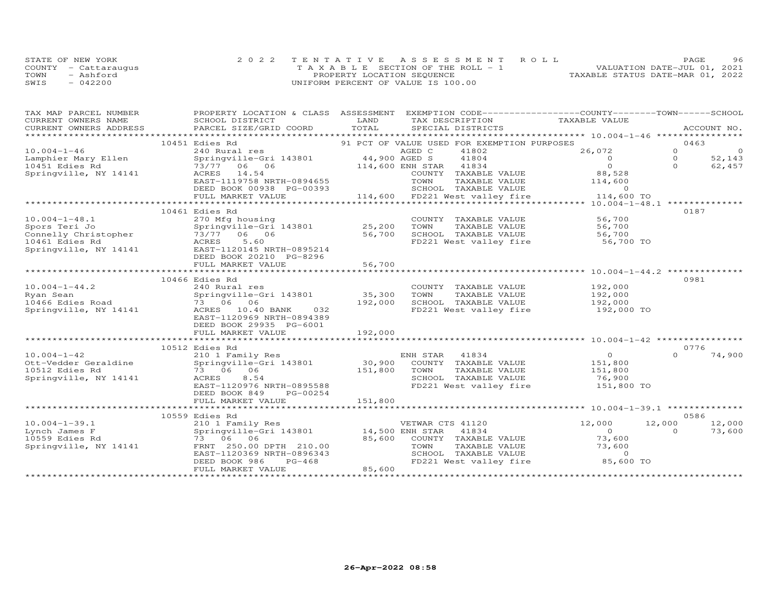| STATE OF NEW YORK    | 2022 TENTATIVE ASSESSMENT ROLL        | 96<br><b>PAGE</b>                |
|----------------------|---------------------------------------|----------------------------------|
| COUNTY - Cattaraugus | T A X A B L E SECTION OF THE ROLL - 1 | VALUATION DATE-JUL 01, 2021      |
| TOWN<br>- Ashford    | PROPERTY LOCATION SEQUENCE            | TAXABLE STATUS DATE-MAR 01, 2022 |
| $-042200$<br>SWIS    | UNIFORM PERCENT OF VALUE IS 100.00    |                                  |

| TAX MAP PARCEL NUMBER                                                           | PROPERTY LOCATION & CLASS ASSESSMENT         |                         | EXEMPTION CODE-----------------COUNTY-------TOWN------SCHOOL |                    |          |             |
|---------------------------------------------------------------------------------|----------------------------------------------|-------------------------|--------------------------------------------------------------|--------------------|----------|-------------|
| CURRENT OWNERS NAME                                                             | SCHOOL DISTRICT                              | LAND                    | TAX DESCRIPTION                                              | TAXABLE VALUE      |          |             |
| CURRENT OWNERS ADDRESS                                                          | PARCEL SIZE/GRID COORD TOTAL                 |                         | SPECIAL DISTRICTS                                            |                    |          | ACCOUNT NO. |
|                                                                                 |                                              |                         |                                                              |                    |          |             |
|                                                                                 | 10451 Edies Rd                               |                         | 91 PCT OF VALUE USED FOR EXEMPTION PURPOSES                  |                    |          | 0463        |
| $10.004 - 1 - 46$                                                               | 240 Rural res                                | AGED C<br>44,900 AGED S | 41802                                                        | 26,072             | $\Omega$ | $\circ$     |
| Lamphier Mary Ellen                                                             | Springville-Gri 143801                       |                         | 41804                                                        | $\overline{0}$     | $\circ$  | 52,143      |
| 10451 Edies Rd                                                                  | 73/77 06 06                                  | 114,600 ENH STAR        | 41834                                                        | $\Omega$           | $\Omega$ | 62,457      |
| Springville, NY 14141                                                           | ACRES 14.54                                  |                         | COUNTY TAXABLE VALUE                                         | 88,528             |          |             |
|                                                                                 | EAST-1119758 NRTH-0894655                    |                         | TOWN<br>TAXABLE VALUE                                        | 114,600            |          |             |
|                                                                                 | DEED BOOK 00938 PG-00393                     |                         | SCHOOL TAXABLE VALUE                                         | $\Omega$           |          |             |
|                                                                                 | FULL MARKET VALUE                            |                         | oso SCHOOL TAXABLE VALUE<br>114,600 FD221 West valley fire   | 114,600 TO         |          |             |
|                                                                                 |                                              |                         |                                                              |                    |          |             |
|                                                                                 | 10461 Edies Rd                               |                         |                                                              |                    |          | 0187        |
| $10.004 - 1 - 48.1$                                                             | 270 Mfg housing                              | 25,200                  | COUNTY TAXABLE VALUE                                         | 56,700             |          |             |
| Spors Teri Jo                                                                   | Springville-Gri 143801                       |                         | TOWN<br>TAXABLE VALUE                                        | 56,700             |          |             |
|                                                                                 |                                              | 56,700                  | SCHOOL TAXABLE VALUE                                         | 56,700             |          |             |
| Spors Teri Jo<br>Connelly Christopher 73/77 06 06<br>10461 Fdies Rd MacRES 5.60 |                                              |                         | FD221 West valley fire                                       | 56,700 TO          |          |             |
| Springville, NY 14141                                                           | EAST-1120145 NRTH-0895214                    |                         |                                                              |                    |          |             |
|                                                                                 | DEED BOOK 20210 PG-8296                      |                         |                                                              |                    |          |             |
|                                                                                 | FULL MARKET VALUE                            | 56,700                  |                                                              |                    |          |             |
|                                                                                 |                                              |                         |                                                              |                    |          |             |
|                                                                                 | 10466 Edies Rd                               |                         |                                                              |                    |          | 0981        |
| $10.004 - 1 - 44.2$                                                             | 240 Rural res                                |                         | COUNTY TAXABLE VALUE                                         | 192,000<br>192,000 |          |             |
| Ryan Sean                                                                       | Springville-Gri 143801                       | 35,300                  | TOWN<br>TAXABLE VALUE                                        |                    |          |             |
| 10466 Edies Road                                                                | 73 06 06                                     | 192,000                 | SCHOOL TAXABLE VALUE                                         | 192,000            |          |             |
| Springville, NY 14141                                                           | ACRES 10.40 BANK 032                         |                         | FD221 West valley fire                                       | 192,000 TO         |          |             |
|                                                                                 | EAST-1120969 NRTH-0894389                    |                         |                                                              |                    |          |             |
|                                                                                 | DEED BOOK 29935 PG-6001                      |                         |                                                              |                    |          |             |
|                                                                                 | FULL MARKET VALUE                            | 192,000                 |                                                              |                    |          |             |
|                                                                                 |                                              |                         |                                                              |                    |          |             |
|                                                                                 | 10512 Edies Rd                               |                         |                                                              |                    |          | 0776        |
| $10.004 - 1 - 42$                                                               | 210 1 Family Res                             |                         | ENH STAR 41834<br>30,900 COUNTY TAXABLE VALUE                | $\Omega$           | $\cap$   | 74,900      |
| Ott-Vedder Geraldine                                                            | Springville-Gri 143801                       |                         |                                                              | 151,800            |          |             |
| 10512 Edies Rd                                                                  | 73 06 06                                     | 151,800                 | TOWN<br>TAXABLE VALUE                                        | 151,800            |          |             |
| Springville, NY 14141                                                           | ACRES<br>8.54                                |                         | SCHOOL TAXABLE VALUE                                         | 76,900             |          |             |
|                                                                                 | EAST-1120976 NRTH-0895588                    |                         | FD221 West valley fire 151,800 TO                            |                    |          |             |
|                                                                                 | DEED BOOK 849<br>PG-00254                    |                         |                                                              |                    |          |             |
|                                                                                 | FULL MARKET VALUE                            | 151,800                 |                                                              |                    |          |             |
|                                                                                 |                                              |                         |                                                              |                    |          |             |
|                                                                                 | 10559 Edies Rd                               |                         |                                                              |                    |          | 0586        |
| $10.004 - 1 - 39.1$                                                             | 210 1 Family Res                             |                         | VETWAR CTS 41120                                             | 12,000             | 12,000   | 12,000      |
| Lynch James F                                                                   | Springville-Gri 143801 14,500 ENH STAR 41834 |                         |                                                              | $\overline{O}$     | $\Omega$ | 73,600      |
| 10559 Edies Rd                                                                  | 73 06 06                                     | 85,600                  | COUNTY TAXABLE VALUE                                         | 73,600             |          |             |
| Springville, NY 14141                                                           | FRNT 250.00 DPTH 210.00                      |                         | TOWN<br>TAXABLE VALUE                                        | 73,600             |          |             |
|                                                                                 | EAST-1120369 NRTH-0896343                    |                         | SCHOOL TAXABLE VALUE                                         | $\overline{0}$     |          |             |
|                                                                                 | DEED BOOK 986<br>PG-468                      |                         | FD221 West valley fire                                       | 85,600 TO          |          |             |
|                                                                                 | FULL MARKET VALUE                            | 85,600                  |                                                              |                    |          |             |
|                                                                                 |                                              |                         |                                                              |                    |          |             |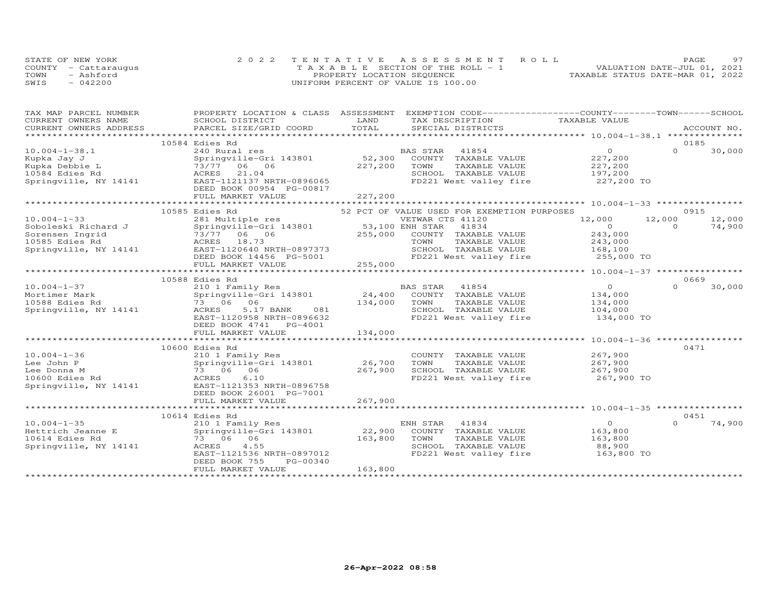| STATE OF NEW YORK    | 2022 TENTATIVE ASSESSMENT ROLL        | 97<br>PAGE.                      |
|----------------------|---------------------------------------|----------------------------------|
| COUNTY - Cattaraugus | T A X A B L E SECTION OF THE ROLL - 1 | VALUATION DATE-JUL 01, 2021      |
| TOWN<br>- Ashford    | PROPERTY LOCATION SEQUENCE            | TAXABLE STATUS DATE-MAR 01, 2022 |
| SWIS<br>$-042200$    | UNIFORM PERCENT OF VALUE IS 100.00    |                                  |

| TAX MAP PARCEL NUMBER               | PROPERTY LOCATION & CLASS ASSESSMENT                                                                                                                                                                                                                                                                                                                                                                            |              | EXEMPTION CODE-----------------COUNTY-------TOWN------SCHOOL |                       |          |             |
|-------------------------------------|-----------------------------------------------------------------------------------------------------------------------------------------------------------------------------------------------------------------------------------------------------------------------------------------------------------------------------------------------------------------------------------------------------------------|--------------|--------------------------------------------------------------|-----------------------|----------|-------------|
| CURRENT OWNERS NAME                 | SCHOOL DISTRICT                                                                                                                                                                                                                                                                                                                                                                                                 | LAND         | TAX DESCRIPTION                                              | TAXABLE VALUE         |          |             |
| CURRENT OWNERS ADDRESS              | PARCEL SIZE/GRID COORD                                                                                                                                                                                                                                                                                                                                                                                          | TOTAL        | SPECIAL DISTRICTS                                            |                       |          | ACCOUNT NO. |
|                                     |                                                                                                                                                                                                                                                                                                                                                                                                                 |              |                                                              |                       |          |             |
|                                     | 10584 Edies Rd                                                                                                                                                                                                                                                                                                                                                                                                  |              |                                                              |                       |          | 0185        |
| $10.004 - 1 - 38.1$                 | 240 Rural res<br>Springville-Gri 143801 52,300 COUNTY TAXABLE VALUE                                                                                                                                                                                                                                                                                                                                             |              |                                                              | $\overline{O}$        | $\Omega$ | 30,000      |
| Kupka Jay J                         |                                                                                                                                                                                                                                                                                                                                                                                                                 |              |                                                              | 227,200               |          |             |
| Kupka Debbie L                      | 73/77 06 06                                                                                                                                                                                                                                                                                                                                                                                                     | 227,200      | TOWN<br>TAXABLE VALUE                                        | 227,200               |          |             |
| 10584 Edies Rd                      | 21.04<br>ACRES<br>ACRES 21.04<br>EAST-1121137 NRTH-0896065                                                                                                                                                                                                                                                                                                                                                      |              | SCHOOL TAXABLE VALUE<br>FD221 West valley fire               | 197,200<br>227,200 TO |          |             |
| Springville, NY 14141               |                                                                                                                                                                                                                                                                                                                                                                                                                 |              |                                                              |                       |          |             |
|                                     | DEED BOOK 00954 PG-00817                                                                                                                                                                                                                                                                                                                                                                                        |              |                                                              |                       |          |             |
|                                     | FULL MARKET VALUE                                                                                                                                                                                                                                                                                                                                                                                               | 227,200      |                                                              |                       |          |             |
|                                     |                                                                                                                                                                                                                                                                                                                                                                                                                 |              |                                                              |                       |          |             |
|                                     | 10585 Edies Rd                                                                                                                                                                                                                                                                                                                                                                                                  |              | 52 PCT OF VALUE USED FOR EXEMPTION PURPOSES                  |                       |          | 0915        |
|                                     |                                                                                                                                                                                                                                                                                                                                                                                                                 |              |                                                              | 12,000 12,000         |          | 12,000      |
|                                     |                                                                                                                                                                                                                                                                                                                                                                                                                 |              |                                                              | $\overline{0}$        | $\Omega$ | 74,900      |
|                                     |                                                                                                                                                                                                                                                                                                                                                                                                                 |              |                                                              | 243,000               |          |             |
|                                     |                                                                                                                                                                                                                                                                                                                                                                                                                 |              |                                                              | 243,000               |          |             |
|                                     |                                                                                                                                                                                                                                                                                                                                                                                                                 |              | SCHOOL TAXABLE VALUE 168,100                                 |                       |          |             |
|                                     |                                                                                                                                                                                                                                                                                                                                                                                                                 |              | FD221 West valley fire 255,000 TO                            |                       |          |             |
|                                     |                                                                                                                                                                                                                                                                                                                                                                                                                 |              |                                                              |                       |          |             |
|                                     | $\begin{tabular}{lllllllllllllllllllll} \vspace{10.004-1-33 & 281 \mbox{ Multiple res} \\ \mbox{Soboleski Richard J & Springville-Gri 143801 & 53,100 \mbox{ ENH STAR} & 41834 \\ \mbox{Sorensen Ingrid} & 73/77 & 06 & 06 & 255,000 & \mbox{COUNTY TAXABLE VALUE \\ \mbox{10585 Edies Rd & ACRES & 18.73 & 70W N & TAXABLE VALUE \\ \mbox{DEED BONR14456 PG-5001} & 255,000 & TAXABLE VALUE \\ \mbox{DEED BON$ |              |                                                              |                       |          |             |
|                                     | 10588 Edies Rd                                                                                                                                                                                                                                                                                                                                                                                                  |              |                                                              |                       |          | 0669        |
| $10.004 - 1 - 37$                   |                                                                                                                                                                                                                                                                                                                                                                                                                 |              |                                                              | $\circ$               | $\Omega$ | 30,000      |
| Mortimer Mark                       |                                                                                                                                                                                                                                                                                                                                                                                                                 |              |                                                              | 134,000               |          |             |
| 10588 Edies Rd                      | 73 06 06                                                                                                                                                                                                                                                                                                                                                                                                        | 134,000 TOWN | TAXABLE VALUE                                                | 134,000<br>104,000    |          |             |
| Springville, NY 14141               | 5.17 BANK 081<br>ACRES                                                                                                                                                                                                                                                                                                                                                                                          |              | SCHOOL TAXABLE VALUE                                         |                       |          |             |
|                                     | EAST-1120958 NRTH-0896632                                                                                                                                                                                                                                                                                                                                                                                       |              | FD221 West valley fire 134,000 TO                            |                       |          |             |
|                                     | DEED BOOK 4741    PG-4001                                                                                                                                                                                                                                                                                                                                                                                       |              |                                                              |                       |          |             |
|                                     | FULL MARKET VALUE                                                                                                                                                                                                                                                                                                                                                                                               | 134,000      |                                                              |                       |          |             |
|                                     |                                                                                                                                                                                                                                                                                                                                                                                                                 |              |                                                              |                       |          |             |
|                                     | 10600 Edies Rd                                                                                                                                                                                                                                                                                                                                                                                                  |              |                                                              |                       |          | 0471        |
| $10.004 - 1 - 36$                   | 210 1 Family Res                                                                                                                                                                                                                                                                                                                                                                                                |              | COUNTY TAXABLE VALUE                                         |                       |          |             |
| Lee John P                          | Springville-Gri 143801 26,700                                                                                                                                                                                                                                                                                                                                                                                   |              | TOWN<br>TAXABLE VALUE                                        | 267,900<br>267,900    |          |             |
| Lee Donna M                         | 73 06 06                                                                                                                                                                                                                                                                                                                                                                                                        | 267,900      | SCHOOL TAXABLE VALUE                                         | 267,900<br>267,900 TO |          |             |
| 10600 Edies Rd                      | ACRES<br>6.10                                                                                                                                                                                                                                                                                                                                                                                                   |              | FD221 West valley fire                                       |                       |          |             |
| Springville, NY 14141               | EAST-1121353 NRTH-0896758                                                                                                                                                                                                                                                                                                                                                                                       |              |                                                              |                       |          |             |
|                                     | DEED BOOK 26001 PG-7001                                                                                                                                                                                                                                                                                                                                                                                         |              |                                                              |                       |          |             |
|                                     | FULL MARKET VALUE                                                                                                                                                                                                                                                                                                                                                                                               | 267,900      |                                                              |                       |          |             |
|                                     |                                                                                                                                                                                                                                                                                                                                                                                                                 |              |                                                              |                       |          |             |
|                                     | 10614 Edies Rd                                                                                                                                                                                                                                                                                                                                                                                                  |              |                                                              |                       |          | 0451        |
| $10.004 - 1 - 35$                   | 210 1 Family Res                                                                                                                                                                                                                                                                                                                                                                                                |              | ENH STAR<br>41834                                            | $\Omega$              | $\Omega$ | 74,900      |
|                                     | Springville-Gri 143801 22,900                                                                                                                                                                                                                                                                                                                                                                                   |              | COUNTY TAXABLE VALUE                                         | 163,800               |          |             |
| Hettrich Jeanne E<br>10614 Edies Rd | 73 06 06                                                                                                                                                                                                                                                                                                                                                                                                        | 163,800      | TAXABLE VALUE<br>TOWN                                        |                       |          |             |
| Springville, NY 14141               | 4.55<br>ACRES                                                                                                                                                                                                                                                                                                                                                                                                   |              | SCHOOL TAXABLE VALUE                                         | 163,800<br>88,900     |          |             |
|                                     | EAST-1121536 NRTH-0897012                                                                                                                                                                                                                                                                                                                                                                                       |              | FD221 West valley fire 163,800 TO                            |                       |          |             |
|                                     | PG-00340<br>DEED BOOK 755                                                                                                                                                                                                                                                                                                                                                                                       |              |                                                              |                       |          |             |
|                                     | FULL MARKET VALUE                                                                                                                                                                                                                                                                                                                                                                                               | 163,800      |                                                              |                       |          |             |
|                                     |                                                                                                                                                                                                                                                                                                                                                                                                                 |              |                                                              |                       |          |             |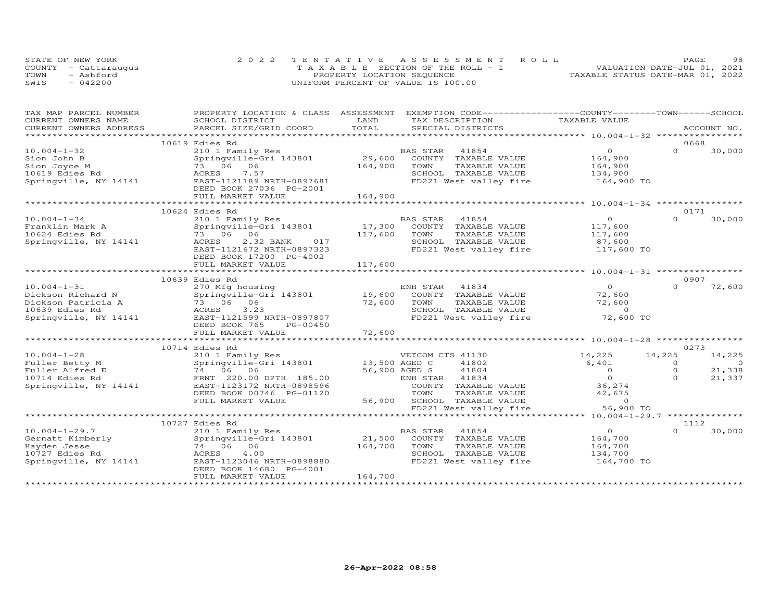|      | STATE OF NEW YORK    | 2022 TENTATIVE ASSESSMENT ROLL        | 98.<br>PAGE                      |
|------|----------------------|---------------------------------------|----------------------------------|
|      | COUNTY - Cattaraugus | T A X A B L E SECTION OF THE ROLL - 1 | VALUATION DATE-JUL 01, 2021      |
| TOWN | - Ashford            | PROPERTY LOCATION SEQUENCE            | TAXABLE STATUS DATE-MAR 01, 2022 |
| SWIS | 042200               | UNIFORM PERCENT OF VALUE IS 100.00    |                                  |

| CURRENT OWNERS NAME<br>SCHOOL DISTRICT<br>LAND<br>TAX DESCRIPTION<br>TOTAL<br>CURRENT OWNERS ADDRESS<br>PARCEL SIZE/GRID COORD<br>SPECIAL DISTRICTS<br>ACCOUNT NO.<br>*********************<br>10619 Edies Rd<br>0668<br>$10.004 - 1 - 32$<br>$\overline{0}$<br>210 1 Family Res<br>BAS STAR<br>41854<br>$\Omega$<br>30,000<br>29,600<br>Springville-Gri 143801<br>COUNTY TAXABLE VALUE<br>164,900<br>Sion John B<br>Sion Joyce M<br>73 06 06<br>164,900<br>TOWN<br>TAXABLE VALUE<br>164,900<br>10619 Edies Rd<br>ACRES<br>7.57<br>SCHOOL TAXABLE VALUE<br>134,900<br>Springville, NY 14141<br>EAST-1121189 NRTH-0897681<br>FD221 West valley fire<br>164,900 TO<br>DEED BOOK 27036 PG-2001<br>FULL MARKET VALUE<br>164,900<br>*********************<br>************************<br>10624 Edies Rd<br>0171<br>30,000<br>$10.004 - 1 - 34$<br>210 1 Family Res<br>BAS STAR<br>41854<br>$\circ$<br>$\Omega$<br>Franklin Mark A<br>Springville-Gri 143801<br>17,300<br>COUNTY<br>TAXABLE VALUE<br>117,600<br>10624 Edies Rd<br>73 06 06<br>117,600<br>TOWN<br>TAXABLE VALUE<br>117,600<br>Springville, NY 14141<br>2.32 BANK<br>SCHOOL TAXABLE VALUE<br>ACRES<br>017<br>87,600<br>EAST-1121672 NRTH-0897323<br>FD221 West valley fire<br>117,600 TO<br>DEED BOOK 17200 PG-4002<br>117,600<br>FULL MARKET VALUE<br>0907<br>10639 Edies Rd<br>$10.004 - 1 - 31$<br>ENH STAR<br>41834<br>$\Omega$<br>$\Omega$<br>72,600<br>270 Mfg housing<br>Dickson Richard N<br>Springville-Gri 143801<br>19,600<br>COUNTY TAXABLE VALUE<br>72,600<br>72,600<br>TOWN<br>TAXABLE VALUE<br>72,600<br>Dickson Patricia A<br>73 06 06<br>ACRES<br>3.23<br>SCHOOL TAXABLE VALUE<br>$\circ$<br>10639 Edies Rd<br>FD221 West valley fire<br>72,600 TO<br>Springville, NY 14141<br>EAST-1121599 NRTH-0897807<br>DEED BOOK 765<br>PG-00450<br>72,600<br>FULL MARKET VALUE<br>0273<br>10714 Edies Rd<br>$10.004 - 1 - 28$<br>14,225<br>14,225<br>210 1 Family Res<br>VETCOM CTS 41130<br>14,225<br>6,401<br>Springville-Gri 143801<br>13,500 AGED C<br>41802<br>Fuller Betty M<br>$\Omega$<br>$\Omega$<br>21,338<br>74 06 06<br>56,900 AGED S<br>41804<br>$\Omega$<br>$\mathbf 0$<br>Fuller Alfred E<br>$\Omega$<br>$\Omega$<br>21,337<br>10714 Edies Rd<br>FRNT 220.00 DPTH 185.00<br>ENH STAR<br>41834<br>EAST-1123172 NRTH-0898596<br>36,274<br>Springville, NY 14141<br>COUNTY TAXABLE VALUE<br>DEED BOOK 00746 PG-01120<br>TOWN<br>TAXABLE VALUE<br>42,675<br>FULL MARKET VALUE<br>56,900<br>SCHOOL TAXABLE VALUE<br>$\Omega$<br>FD221 West valley fire<br>56,900 TO<br>************************<br>10727 Edies Rd<br>1112<br>$10.004 - 1 - 29.7$<br>$\circ$<br>$\Omega$<br>30,000<br>210 1 Family Res<br>BAS STAR<br>41854<br>21,500<br>Gernatt Kimberly<br>Springville-Gri 143801<br>COUNTY TAXABLE VALUE<br>164,700<br>164,700<br>Hayden Jesse<br>74 06 06<br>TAXABLE VALUE<br>164,700<br>TOWN<br>10727 Edies Rd<br>4.00<br>SCHOOL TAXABLE VALUE<br>ACRES<br>134,700<br>FD221 West valley fire<br>164,700 TO<br>Springville, NY 14141<br>EAST-1123046 NRTH-0898880<br>DEED BOOK 14680 PG-4001<br>164,700<br>FULL MARKET VALUE | TAX MAP PARCEL NUMBER | PROPERTY LOCATION & CLASS ASSESSMENT | EXEMPTION CODE-----------------COUNTY-------TOWN------SCHOOL |               |  |
|----------------------------------------------------------------------------------------------------------------------------------------------------------------------------------------------------------------------------------------------------------------------------------------------------------------------------------------------------------------------------------------------------------------------------------------------------------------------------------------------------------------------------------------------------------------------------------------------------------------------------------------------------------------------------------------------------------------------------------------------------------------------------------------------------------------------------------------------------------------------------------------------------------------------------------------------------------------------------------------------------------------------------------------------------------------------------------------------------------------------------------------------------------------------------------------------------------------------------------------------------------------------------------------------------------------------------------------------------------------------------------------------------------------------------------------------------------------------------------------------------------------------------------------------------------------------------------------------------------------------------------------------------------------------------------------------------------------------------------------------------------------------------------------------------------------------------------------------------------------------------------------------------------------------------------------------------------------------------------------------------------------------------------------------------------------------------------------------------------------------------------------------------------------------------------------------------------------------------------------------------------------------------------------------------------------------------------------------------------------------------------------------------------------------------------------------------------------------------------------------------------------------------------------------------------------------------------------------------------------------------------------------------------------------------------------------------------------------------------------------------------------------------------------------------------------------------------------------------------------------------------------------------------------------------------------------------------------------------------------------------------------------------------------------------------------------------------------------------------|-----------------------|--------------------------------------|--------------------------------------------------------------|---------------|--|
|                                                                                                                                                                                                                                                                                                                                                                                                                                                                                                                                                                                                                                                                                                                                                                                                                                                                                                                                                                                                                                                                                                                                                                                                                                                                                                                                                                                                                                                                                                                                                                                                                                                                                                                                                                                                                                                                                                                                                                                                                                                                                                                                                                                                                                                                                                                                                                                                                                                                                                                                                                                                                                                                                                                                                                                                                                                                                                                                                                                                                                                                                                          |                       |                                      |                                                              | TAXABLE VALUE |  |
|                                                                                                                                                                                                                                                                                                                                                                                                                                                                                                                                                                                                                                                                                                                                                                                                                                                                                                                                                                                                                                                                                                                                                                                                                                                                                                                                                                                                                                                                                                                                                                                                                                                                                                                                                                                                                                                                                                                                                                                                                                                                                                                                                                                                                                                                                                                                                                                                                                                                                                                                                                                                                                                                                                                                                                                                                                                                                                                                                                                                                                                                                                          |                       |                                      |                                                              |               |  |
|                                                                                                                                                                                                                                                                                                                                                                                                                                                                                                                                                                                                                                                                                                                                                                                                                                                                                                                                                                                                                                                                                                                                                                                                                                                                                                                                                                                                                                                                                                                                                                                                                                                                                                                                                                                                                                                                                                                                                                                                                                                                                                                                                                                                                                                                                                                                                                                                                                                                                                                                                                                                                                                                                                                                                                                                                                                                                                                                                                                                                                                                                                          |                       |                                      |                                                              |               |  |
|                                                                                                                                                                                                                                                                                                                                                                                                                                                                                                                                                                                                                                                                                                                                                                                                                                                                                                                                                                                                                                                                                                                                                                                                                                                                                                                                                                                                                                                                                                                                                                                                                                                                                                                                                                                                                                                                                                                                                                                                                                                                                                                                                                                                                                                                                                                                                                                                                                                                                                                                                                                                                                                                                                                                                                                                                                                                                                                                                                                                                                                                                                          |                       |                                      |                                                              |               |  |
|                                                                                                                                                                                                                                                                                                                                                                                                                                                                                                                                                                                                                                                                                                                                                                                                                                                                                                                                                                                                                                                                                                                                                                                                                                                                                                                                                                                                                                                                                                                                                                                                                                                                                                                                                                                                                                                                                                                                                                                                                                                                                                                                                                                                                                                                                                                                                                                                                                                                                                                                                                                                                                                                                                                                                                                                                                                                                                                                                                                                                                                                                                          |                       |                                      |                                                              |               |  |
|                                                                                                                                                                                                                                                                                                                                                                                                                                                                                                                                                                                                                                                                                                                                                                                                                                                                                                                                                                                                                                                                                                                                                                                                                                                                                                                                                                                                                                                                                                                                                                                                                                                                                                                                                                                                                                                                                                                                                                                                                                                                                                                                                                                                                                                                                                                                                                                                                                                                                                                                                                                                                                                                                                                                                                                                                                                                                                                                                                                                                                                                                                          |                       |                                      |                                                              |               |  |
|                                                                                                                                                                                                                                                                                                                                                                                                                                                                                                                                                                                                                                                                                                                                                                                                                                                                                                                                                                                                                                                                                                                                                                                                                                                                                                                                                                                                                                                                                                                                                                                                                                                                                                                                                                                                                                                                                                                                                                                                                                                                                                                                                                                                                                                                                                                                                                                                                                                                                                                                                                                                                                                                                                                                                                                                                                                                                                                                                                                                                                                                                                          |                       |                                      |                                                              |               |  |
|                                                                                                                                                                                                                                                                                                                                                                                                                                                                                                                                                                                                                                                                                                                                                                                                                                                                                                                                                                                                                                                                                                                                                                                                                                                                                                                                                                                                                                                                                                                                                                                                                                                                                                                                                                                                                                                                                                                                                                                                                                                                                                                                                                                                                                                                                                                                                                                                                                                                                                                                                                                                                                                                                                                                                                                                                                                                                                                                                                                                                                                                                                          |                       |                                      |                                                              |               |  |
|                                                                                                                                                                                                                                                                                                                                                                                                                                                                                                                                                                                                                                                                                                                                                                                                                                                                                                                                                                                                                                                                                                                                                                                                                                                                                                                                                                                                                                                                                                                                                                                                                                                                                                                                                                                                                                                                                                                                                                                                                                                                                                                                                                                                                                                                                                                                                                                                                                                                                                                                                                                                                                                                                                                                                                                                                                                                                                                                                                                                                                                                                                          |                       |                                      |                                                              |               |  |
|                                                                                                                                                                                                                                                                                                                                                                                                                                                                                                                                                                                                                                                                                                                                                                                                                                                                                                                                                                                                                                                                                                                                                                                                                                                                                                                                                                                                                                                                                                                                                                                                                                                                                                                                                                                                                                                                                                                                                                                                                                                                                                                                                                                                                                                                                                                                                                                                                                                                                                                                                                                                                                                                                                                                                                                                                                                                                                                                                                                                                                                                                                          |                       |                                      |                                                              |               |  |
|                                                                                                                                                                                                                                                                                                                                                                                                                                                                                                                                                                                                                                                                                                                                                                                                                                                                                                                                                                                                                                                                                                                                                                                                                                                                                                                                                                                                                                                                                                                                                                                                                                                                                                                                                                                                                                                                                                                                                                                                                                                                                                                                                                                                                                                                                                                                                                                                                                                                                                                                                                                                                                                                                                                                                                                                                                                                                                                                                                                                                                                                                                          |                       |                                      |                                                              |               |  |
|                                                                                                                                                                                                                                                                                                                                                                                                                                                                                                                                                                                                                                                                                                                                                                                                                                                                                                                                                                                                                                                                                                                                                                                                                                                                                                                                                                                                                                                                                                                                                                                                                                                                                                                                                                                                                                                                                                                                                                                                                                                                                                                                                                                                                                                                                                                                                                                                                                                                                                                                                                                                                                                                                                                                                                                                                                                                                                                                                                                                                                                                                                          |                       |                                      |                                                              |               |  |
|                                                                                                                                                                                                                                                                                                                                                                                                                                                                                                                                                                                                                                                                                                                                                                                                                                                                                                                                                                                                                                                                                                                                                                                                                                                                                                                                                                                                                                                                                                                                                                                                                                                                                                                                                                                                                                                                                                                                                                                                                                                                                                                                                                                                                                                                                                                                                                                                                                                                                                                                                                                                                                                                                                                                                                                                                                                                                                                                                                                                                                                                                                          |                       |                                      |                                                              |               |  |
|                                                                                                                                                                                                                                                                                                                                                                                                                                                                                                                                                                                                                                                                                                                                                                                                                                                                                                                                                                                                                                                                                                                                                                                                                                                                                                                                                                                                                                                                                                                                                                                                                                                                                                                                                                                                                                                                                                                                                                                                                                                                                                                                                                                                                                                                                                                                                                                                                                                                                                                                                                                                                                                                                                                                                                                                                                                                                                                                                                                                                                                                                                          |                       |                                      |                                                              |               |  |
|                                                                                                                                                                                                                                                                                                                                                                                                                                                                                                                                                                                                                                                                                                                                                                                                                                                                                                                                                                                                                                                                                                                                                                                                                                                                                                                                                                                                                                                                                                                                                                                                                                                                                                                                                                                                                                                                                                                                                                                                                                                                                                                                                                                                                                                                                                                                                                                                                                                                                                                                                                                                                                                                                                                                                                                                                                                                                                                                                                                                                                                                                                          |                       |                                      |                                                              |               |  |
|                                                                                                                                                                                                                                                                                                                                                                                                                                                                                                                                                                                                                                                                                                                                                                                                                                                                                                                                                                                                                                                                                                                                                                                                                                                                                                                                                                                                                                                                                                                                                                                                                                                                                                                                                                                                                                                                                                                                                                                                                                                                                                                                                                                                                                                                                                                                                                                                                                                                                                                                                                                                                                                                                                                                                                                                                                                                                                                                                                                                                                                                                                          |                       |                                      |                                                              |               |  |
|                                                                                                                                                                                                                                                                                                                                                                                                                                                                                                                                                                                                                                                                                                                                                                                                                                                                                                                                                                                                                                                                                                                                                                                                                                                                                                                                                                                                                                                                                                                                                                                                                                                                                                                                                                                                                                                                                                                                                                                                                                                                                                                                                                                                                                                                                                                                                                                                                                                                                                                                                                                                                                                                                                                                                                                                                                                                                                                                                                                                                                                                                                          |                       |                                      |                                                              |               |  |
|                                                                                                                                                                                                                                                                                                                                                                                                                                                                                                                                                                                                                                                                                                                                                                                                                                                                                                                                                                                                                                                                                                                                                                                                                                                                                                                                                                                                                                                                                                                                                                                                                                                                                                                                                                                                                                                                                                                                                                                                                                                                                                                                                                                                                                                                                                                                                                                                                                                                                                                                                                                                                                                                                                                                                                                                                                                                                                                                                                                                                                                                                                          |                       |                                      |                                                              |               |  |
|                                                                                                                                                                                                                                                                                                                                                                                                                                                                                                                                                                                                                                                                                                                                                                                                                                                                                                                                                                                                                                                                                                                                                                                                                                                                                                                                                                                                                                                                                                                                                                                                                                                                                                                                                                                                                                                                                                                                                                                                                                                                                                                                                                                                                                                                                                                                                                                                                                                                                                                                                                                                                                                                                                                                                                                                                                                                                                                                                                                                                                                                                                          |                       |                                      |                                                              |               |  |
|                                                                                                                                                                                                                                                                                                                                                                                                                                                                                                                                                                                                                                                                                                                                                                                                                                                                                                                                                                                                                                                                                                                                                                                                                                                                                                                                                                                                                                                                                                                                                                                                                                                                                                                                                                                                                                                                                                                                                                                                                                                                                                                                                                                                                                                                                                                                                                                                                                                                                                                                                                                                                                                                                                                                                                                                                                                                                                                                                                                                                                                                                                          |                       |                                      |                                                              |               |  |
|                                                                                                                                                                                                                                                                                                                                                                                                                                                                                                                                                                                                                                                                                                                                                                                                                                                                                                                                                                                                                                                                                                                                                                                                                                                                                                                                                                                                                                                                                                                                                                                                                                                                                                                                                                                                                                                                                                                                                                                                                                                                                                                                                                                                                                                                                                                                                                                                                                                                                                                                                                                                                                                                                                                                                                                                                                                                                                                                                                                                                                                                                                          |                       |                                      |                                                              |               |  |
|                                                                                                                                                                                                                                                                                                                                                                                                                                                                                                                                                                                                                                                                                                                                                                                                                                                                                                                                                                                                                                                                                                                                                                                                                                                                                                                                                                                                                                                                                                                                                                                                                                                                                                                                                                                                                                                                                                                                                                                                                                                                                                                                                                                                                                                                                                                                                                                                                                                                                                                                                                                                                                                                                                                                                                                                                                                                                                                                                                                                                                                                                                          |                       |                                      |                                                              |               |  |
|                                                                                                                                                                                                                                                                                                                                                                                                                                                                                                                                                                                                                                                                                                                                                                                                                                                                                                                                                                                                                                                                                                                                                                                                                                                                                                                                                                                                                                                                                                                                                                                                                                                                                                                                                                                                                                                                                                                                                                                                                                                                                                                                                                                                                                                                                                                                                                                                                                                                                                                                                                                                                                                                                                                                                                                                                                                                                                                                                                                                                                                                                                          |                       |                                      |                                                              |               |  |
|                                                                                                                                                                                                                                                                                                                                                                                                                                                                                                                                                                                                                                                                                                                                                                                                                                                                                                                                                                                                                                                                                                                                                                                                                                                                                                                                                                                                                                                                                                                                                                                                                                                                                                                                                                                                                                                                                                                                                                                                                                                                                                                                                                                                                                                                                                                                                                                                                                                                                                                                                                                                                                                                                                                                                                                                                                                                                                                                                                                                                                                                                                          |                       |                                      |                                                              |               |  |
|                                                                                                                                                                                                                                                                                                                                                                                                                                                                                                                                                                                                                                                                                                                                                                                                                                                                                                                                                                                                                                                                                                                                                                                                                                                                                                                                                                                                                                                                                                                                                                                                                                                                                                                                                                                                                                                                                                                                                                                                                                                                                                                                                                                                                                                                                                                                                                                                                                                                                                                                                                                                                                                                                                                                                                                                                                                                                                                                                                                                                                                                                                          |                       |                                      |                                                              |               |  |
|                                                                                                                                                                                                                                                                                                                                                                                                                                                                                                                                                                                                                                                                                                                                                                                                                                                                                                                                                                                                                                                                                                                                                                                                                                                                                                                                                                                                                                                                                                                                                                                                                                                                                                                                                                                                                                                                                                                                                                                                                                                                                                                                                                                                                                                                                                                                                                                                                                                                                                                                                                                                                                                                                                                                                                                                                                                                                                                                                                                                                                                                                                          |                       |                                      |                                                              |               |  |
|                                                                                                                                                                                                                                                                                                                                                                                                                                                                                                                                                                                                                                                                                                                                                                                                                                                                                                                                                                                                                                                                                                                                                                                                                                                                                                                                                                                                                                                                                                                                                                                                                                                                                                                                                                                                                                                                                                                                                                                                                                                                                                                                                                                                                                                                                                                                                                                                                                                                                                                                                                                                                                                                                                                                                                                                                                                                                                                                                                                                                                                                                                          |                       |                                      |                                                              |               |  |
|                                                                                                                                                                                                                                                                                                                                                                                                                                                                                                                                                                                                                                                                                                                                                                                                                                                                                                                                                                                                                                                                                                                                                                                                                                                                                                                                                                                                                                                                                                                                                                                                                                                                                                                                                                                                                                                                                                                                                                                                                                                                                                                                                                                                                                                                                                                                                                                                                                                                                                                                                                                                                                                                                                                                                                                                                                                                                                                                                                                                                                                                                                          |                       |                                      |                                                              |               |  |
|                                                                                                                                                                                                                                                                                                                                                                                                                                                                                                                                                                                                                                                                                                                                                                                                                                                                                                                                                                                                                                                                                                                                                                                                                                                                                                                                                                                                                                                                                                                                                                                                                                                                                                                                                                                                                                                                                                                                                                                                                                                                                                                                                                                                                                                                                                                                                                                                                                                                                                                                                                                                                                                                                                                                                                                                                                                                                                                                                                                                                                                                                                          |                       |                                      |                                                              |               |  |
|                                                                                                                                                                                                                                                                                                                                                                                                                                                                                                                                                                                                                                                                                                                                                                                                                                                                                                                                                                                                                                                                                                                                                                                                                                                                                                                                                                                                                                                                                                                                                                                                                                                                                                                                                                                                                                                                                                                                                                                                                                                                                                                                                                                                                                                                                                                                                                                                                                                                                                                                                                                                                                                                                                                                                                                                                                                                                                                                                                                                                                                                                                          |                       |                                      |                                                              |               |  |
|                                                                                                                                                                                                                                                                                                                                                                                                                                                                                                                                                                                                                                                                                                                                                                                                                                                                                                                                                                                                                                                                                                                                                                                                                                                                                                                                                                                                                                                                                                                                                                                                                                                                                                                                                                                                                                                                                                                                                                                                                                                                                                                                                                                                                                                                                                                                                                                                                                                                                                                                                                                                                                                                                                                                                                                                                                                                                                                                                                                                                                                                                                          |                       |                                      |                                                              |               |  |
|                                                                                                                                                                                                                                                                                                                                                                                                                                                                                                                                                                                                                                                                                                                                                                                                                                                                                                                                                                                                                                                                                                                                                                                                                                                                                                                                                                                                                                                                                                                                                                                                                                                                                                                                                                                                                                                                                                                                                                                                                                                                                                                                                                                                                                                                                                                                                                                                                                                                                                                                                                                                                                                                                                                                                                                                                                                                                                                                                                                                                                                                                                          |                       |                                      |                                                              |               |  |
|                                                                                                                                                                                                                                                                                                                                                                                                                                                                                                                                                                                                                                                                                                                                                                                                                                                                                                                                                                                                                                                                                                                                                                                                                                                                                                                                                                                                                                                                                                                                                                                                                                                                                                                                                                                                                                                                                                                                                                                                                                                                                                                                                                                                                                                                                                                                                                                                                                                                                                                                                                                                                                                                                                                                                                                                                                                                                                                                                                                                                                                                                                          |                       |                                      |                                                              |               |  |
|                                                                                                                                                                                                                                                                                                                                                                                                                                                                                                                                                                                                                                                                                                                                                                                                                                                                                                                                                                                                                                                                                                                                                                                                                                                                                                                                                                                                                                                                                                                                                                                                                                                                                                                                                                                                                                                                                                                                                                                                                                                                                                                                                                                                                                                                                                                                                                                                                                                                                                                                                                                                                                                                                                                                                                                                                                                                                                                                                                                                                                                                                                          |                       |                                      |                                                              |               |  |
|                                                                                                                                                                                                                                                                                                                                                                                                                                                                                                                                                                                                                                                                                                                                                                                                                                                                                                                                                                                                                                                                                                                                                                                                                                                                                                                                                                                                                                                                                                                                                                                                                                                                                                                                                                                                                                                                                                                                                                                                                                                                                                                                                                                                                                                                                                                                                                                                                                                                                                                                                                                                                                                                                                                                                                                                                                                                                                                                                                                                                                                                                                          |                       |                                      |                                                              |               |  |
|                                                                                                                                                                                                                                                                                                                                                                                                                                                                                                                                                                                                                                                                                                                                                                                                                                                                                                                                                                                                                                                                                                                                                                                                                                                                                                                                                                                                                                                                                                                                                                                                                                                                                                                                                                                                                                                                                                                                                                                                                                                                                                                                                                                                                                                                                                                                                                                                                                                                                                                                                                                                                                                                                                                                                                                                                                                                                                                                                                                                                                                                                                          |                       |                                      |                                                              |               |  |
|                                                                                                                                                                                                                                                                                                                                                                                                                                                                                                                                                                                                                                                                                                                                                                                                                                                                                                                                                                                                                                                                                                                                                                                                                                                                                                                                                                                                                                                                                                                                                                                                                                                                                                                                                                                                                                                                                                                                                                                                                                                                                                                                                                                                                                                                                                                                                                                                                                                                                                                                                                                                                                                                                                                                                                                                                                                                                                                                                                                                                                                                                                          |                       |                                      |                                                              |               |  |
|                                                                                                                                                                                                                                                                                                                                                                                                                                                                                                                                                                                                                                                                                                                                                                                                                                                                                                                                                                                                                                                                                                                                                                                                                                                                                                                                                                                                                                                                                                                                                                                                                                                                                                                                                                                                                                                                                                                                                                                                                                                                                                                                                                                                                                                                                                                                                                                                                                                                                                                                                                                                                                                                                                                                                                                                                                                                                                                                                                                                                                                                                                          |                       |                                      |                                                              |               |  |
|                                                                                                                                                                                                                                                                                                                                                                                                                                                                                                                                                                                                                                                                                                                                                                                                                                                                                                                                                                                                                                                                                                                                                                                                                                                                                                                                                                                                                                                                                                                                                                                                                                                                                                                                                                                                                                                                                                                                                                                                                                                                                                                                                                                                                                                                                                                                                                                                                                                                                                                                                                                                                                                                                                                                                                                                                                                                                                                                                                                                                                                                                                          |                       |                                      |                                                              |               |  |
|                                                                                                                                                                                                                                                                                                                                                                                                                                                                                                                                                                                                                                                                                                                                                                                                                                                                                                                                                                                                                                                                                                                                                                                                                                                                                                                                                                                                                                                                                                                                                                                                                                                                                                                                                                                                                                                                                                                                                                                                                                                                                                                                                                                                                                                                                                                                                                                                                                                                                                                                                                                                                                                                                                                                                                                                                                                                                                                                                                                                                                                                                                          |                       |                                      |                                                              |               |  |
|                                                                                                                                                                                                                                                                                                                                                                                                                                                                                                                                                                                                                                                                                                                                                                                                                                                                                                                                                                                                                                                                                                                                                                                                                                                                                                                                                                                                                                                                                                                                                                                                                                                                                                                                                                                                                                                                                                                                                                                                                                                                                                                                                                                                                                                                                                                                                                                                                                                                                                                                                                                                                                                                                                                                                                                                                                                                                                                                                                                                                                                                                                          |                       |                                      |                                                              |               |  |
|                                                                                                                                                                                                                                                                                                                                                                                                                                                                                                                                                                                                                                                                                                                                                                                                                                                                                                                                                                                                                                                                                                                                                                                                                                                                                                                                                                                                                                                                                                                                                                                                                                                                                                                                                                                                                                                                                                                                                                                                                                                                                                                                                                                                                                                                                                                                                                                                                                                                                                                                                                                                                                                                                                                                                                                                                                                                                                                                                                                                                                                                                                          |                       |                                      |                                                              |               |  |
|                                                                                                                                                                                                                                                                                                                                                                                                                                                                                                                                                                                                                                                                                                                                                                                                                                                                                                                                                                                                                                                                                                                                                                                                                                                                                                                                                                                                                                                                                                                                                                                                                                                                                                                                                                                                                                                                                                                                                                                                                                                                                                                                                                                                                                                                                                                                                                                                                                                                                                                                                                                                                                                                                                                                                                                                                                                                                                                                                                                                                                                                                                          |                       |                                      |                                                              |               |  |
|                                                                                                                                                                                                                                                                                                                                                                                                                                                                                                                                                                                                                                                                                                                                                                                                                                                                                                                                                                                                                                                                                                                                                                                                                                                                                                                                                                                                                                                                                                                                                                                                                                                                                                                                                                                                                                                                                                                                                                                                                                                                                                                                                                                                                                                                                                                                                                                                                                                                                                                                                                                                                                                                                                                                                                                                                                                                                                                                                                                                                                                                                                          |                       |                                      |                                                              |               |  |
|                                                                                                                                                                                                                                                                                                                                                                                                                                                                                                                                                                                                                                                                                                                                                                                                                                                                                                                                                                                                                                                                                                                                                                                                                                                                                                                                                                                                                                                                                                                                                                                                                                                                                                                                                                                                                                                                                                                                                                                                                                                                                                                                                                                                                                                                                                                                                                                                                                                                                                                                                                                                                                                                                                                                                                                                                                                                                                                                                                                                                                                                                                          |                       |                                      |                                                              |               |  |
|                                                                                                                                                                                                                                                                                                                                                                                                                                                                                                                                                                                                                                                                                                                                                                                                                                                                                                                                                                                                                                                                                                                                                                                                                                                                                                                                                                                                                                                                                                                                                                                                                                                                                                                                                                                                                                                                                                                                                                                                                                                                                                                                                                                                                                                                                                                                                                                                                                                                                                                                                                                                                                                                                                                                                                                                                                                                                                                                                                                                                                                                                                          |                       |                                      |                                                              |               |  |
|                                                                                                                                                                                                                                                                                                                                                                                                                                                                                                                                                                                                                                                                                                                                                                                                                                                                                                                                                                                                                                                                                                                                                                                                                                                                                                                                                                                                                                                                                                                                                                                                                                                                                                                                                                                                                                                                                                                                                                                                                                                                                                                                                                                                                                                                                                                                                                                                                                                                                                                                                                                                                                                                                                                                                                                                                                                                                                                                                                                                                                                                                                          |                       |                                      |                                                              |               |  |
|                                                                                                                                                                                                                                                                                                                                                                                                                                                                                                                                                                                                                                                                                                                                                                                                                                                                                                                                                                                                                                                                                                                                                                                                                                                                                                                                                                                                                                                                                                                                                                                                                                                                                                                                                                                                                                                                                                                                                                                                                                                                                                                                                                                                                                                                                                                                                                                                                                                                                                                                                                                                                                                                                                                                                                                                                                                                                                                                                                                                                                                                                                          |                       |                                      |                                                              |               |  |
|                                                                                                                                                                                                                                                                                                                                                                                                                                                                                                                                                                                                                                                                                                                                                                                                                                                                                                                                                                                                                                                                                                                                                                                                                                                                                                                                                                                                                                                                                                                                                                                                                                                                                                                                                                                                                                                                                                                                                                                                                                                                                                                                                                                                                                                                                                                                                                                                                                                                                                                                                                                                                                                                                                                                                                                                                                                                                                                                                                                                                                                                                                          |                       |                                      |                                                              |               |  |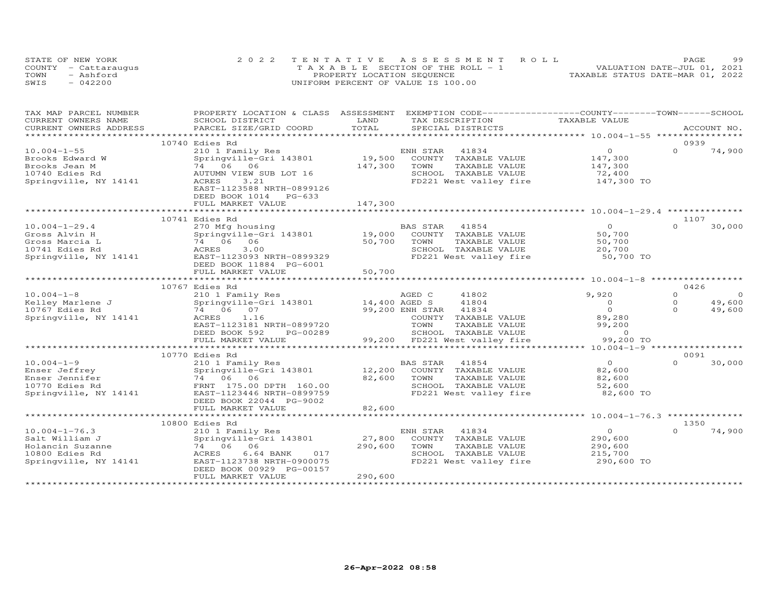|      | STATE OF NEW YORK    | 2022 TENTATIVE ASSESSMENT ROLL        | 99<br>PAGE                       |
|------|----------------------|---------------------------------------|----------------------------------|
|      | COUNTY - Cattaraugus | T A X A B L E SECTION OF THE ROLL - 1 | VALUATION DATE-JUL 01, 2021      |
| TOWN | - Ashford            | PROPERTY LOCATION SEQUENCE            | TAXABLE STATUS DATE-MAR 01, 2022 |
| SWIS | $-042200$            | UNIFORM PERCENT OF VALUE IS 100.00    |                                  |

| TAX MAP PARCEL NUMBER                         | PROPERTY LOCATION & CLASS ASSESSMENT |                                  | EXEMPTION CODE-----------------COUNTY-------TOWN------SCHOOL |          |                |
|-----------------------------------------------|--------------------------------------|----------------------------------|--------------------------------------------------------------|----------|----------------|
| CURRENT OWNERS NAME                           | SCHOOL DISTRICT                      | LAND<br>TAX DESCRIPTION          | TAXABLE VALUE                                                |          |                |
| CURRENT OWNERS ADDRESS<br>******************* | PARCEL SIZE/GRID COORD               | TOTAL<br>SPECIAL DISTRICTS       |                                                              |          | ACCOUNT NO.    |
|                                               | 10740 Edies Rd                       |                                  |                                                              | 0939     |                |
| $10.004 - 1 - 55$                             | 210 1 Family Res                     | ENH STAR<br>41834                | $\circ$                                                      | $\Omega$ |                |
|                                               |                                      | 19,500                           |                                                              |          | 74,900         |
| Brooks Edward W                               | Springville-Gri 143801               | COUNTY TAXABLE VALUE             | 147,300                                                      |          |                |
| Brooks Jean M                                 | 74 06<br>06                          | 147,300<br>TOWN<br>TAXABLE VALUE | 147,300                                                      |          |                |
| 10740 Edies Rd                                | AUTUMN VIEW SUB LOT 16               | SCHOOL TAXABLE VALUE             | 72,400                                                       |          |                |
| Springville, NY 14141                         | ACRES<br>3.21                        | FD221 West valley fire           | 147,300 TO                                                   |          |                |
|                                               | EAST-1123588 NRTH-0899126            |                                  |                                                              |          |                |
|                                               | DEED BOOK 1014 PG-633                |                                  |                                                              |          |                |
|                                               | FULL MARKET VALUE                    | 147,300                          |                                                              |          |                |
|                                               |                                      |                                  |                                                              |          |                |
|                                               | 10741 Edies Rd                       |                                  |                                                              | 1107     |                |
| $10.004 - 1 - 29.4$                           | 270 Mfg housing                      | <b>BAS STAR</b><br>41854         | $\overline{O}$                                               | $\Omega$ | 30,000         |
| Gross Alvin H                                 | Springville-Gri 143801               | 19,000<br>COUNTY TAXABLE VALUE   | 50,700                                                       |          |                |
| Gross Marcia L                                | 74 06 06                             | 50,700<br>TAXABLE VALUE<br>TOWN  | 50,700                                                       |          |                |
| 10741 Edies Rd                                | ACRES<br>3.00                        | SCHOOL TAXABLE VALUE             | 20,700                                                       |          |                |
| Springville, NY 14141                         | EAST-1123093 NRTH-0899329            | FD221 West valley fire           | 50,700 TO                                                    |          |                |
|                                               | DEED BOOK 11884 PG-6001              |                                  |                                                              |          |                |
|                                               | FULL MARKET VALUE                    | 50,700                           |                                                              |          |                |
|                                               |                                      |                                  | ************************* 10.004-1-8 ***************         |          |                |
|                                               | 10767 Edies Rd                       |                                  |                                                              | 0426     |                |
| $10.004 - 1 - 8$                              | 210 1 Family Res                     | AGED C<br>41802                  | 9,920                                                        | $\Omega$ | $\overline{0}$ |
| Kelley Marlene J                              | Springville-Gri 143801               | 14,400 AGED S<br>41804           | $\Omega$                                                     | $\Omega$ | 49,600         |
| 10767 Edies Rd                                | 74 06 07                             | 99,200 ENH STAR<br>41834         | $\Omega$                                                     | $\Omega$ | 49,600         |
| Springville, NY 14141                         | 1.16<br>ACRES                        | COUNTY<br>TAXABLE VALUE          | 89,280                                                       |          |                |
|                                               | EAST-1123181 NRTH-0899720            | TOWN<br>TAXABLE VALUE            | 99,200                                                       |          |                |
|                                               | DEED BOOK 592<br>PG-00289            | SCHOOL<br>TAXABLE VALUE          | $\circ$                                                      |          |                |
|                                               | FULL MARKET VALUE                    | 99,200 FD221 West valley fire    | 99,200 TO                                                    |          |                |
|                                               | ***************************          |                                  |                                                              |          |                |
|                                               | 10770 Edies Rd                       |                                  |                                                              | 0091     |                |
| $10.004 - 1 - 9$                              | 210 1 Family Res                     | BAS STAR<br>41854                | $\circ$                                                      | $\Omega$ | 30,000         |
| Enser Jeffrey                                 | Springville-Gri 143801               | 12,200<br>COUNTY TAXABLE VALUE   | 82,600                                                       |          |                |
| Enser Jennifer                                | 74 06 06                             | 82,600<br>TOWN<br>TAXABLE VALUE  | 82,600                                                       |          |                |
| 10770 Edies Rd                                | FRNT 175.00 DPTH 160.00              | SCHOOL TAXABLE VALUE             | 52,600                                                       |          |                |
| Springville, NY 14141                         | EAST-1123446 NRTH-0899759            | FD221 West valley fire           | 82,600 TO                                                    |          |                |
|                                               | DEED BOOK 22044 PG-9002              |                                  |                                                              |          |                |
|                                               | FULL MARKET VALUE                    | 82,600                           |                                                              |          |                |
|                                               | ***************************          |                                  |                                                              |          |                |
|                                               | 10800 Edies Rd                       |                                  |                                                              | 1350     |                |
| $10.004 - 1 - 76.3$                           | 210 1 Family Res                     | ENH STAR<br>41834                | $\circ$                                                      | $\Omega$ | 74,900         |
| Salt William J                                | Springville-Gri 143801               | 27,800<br>COUNTY TAXABLE VALUE   | 290,600                                                      |          |                |
| Holancin Suzanne                              | 74 06 06                             | 290,600<br>TAXABLE VALUE<br>TOWN | 290,600                                                      |          |                |
| 10800 Edies Rd                                | 6.64 BANK<br>017<br>ACRES            | SCHOOL TAXABLE VALUE             | 215,700                                                      |          |                |
| Springville, NY 14141                         | EAST-1123738 NRTH-0900075            | FD221 West valley fire           | 290,600 TO                                                   |          |                |
|                                               | DEED BOOK 00929 PG-00157             |                                  |                                                              |          |                |
|                                               | FULL MARKET VALUE                    | 290,600                          |                                                              |          |                |
|                                               | ***************************          | ************                     |                                                              |          |                |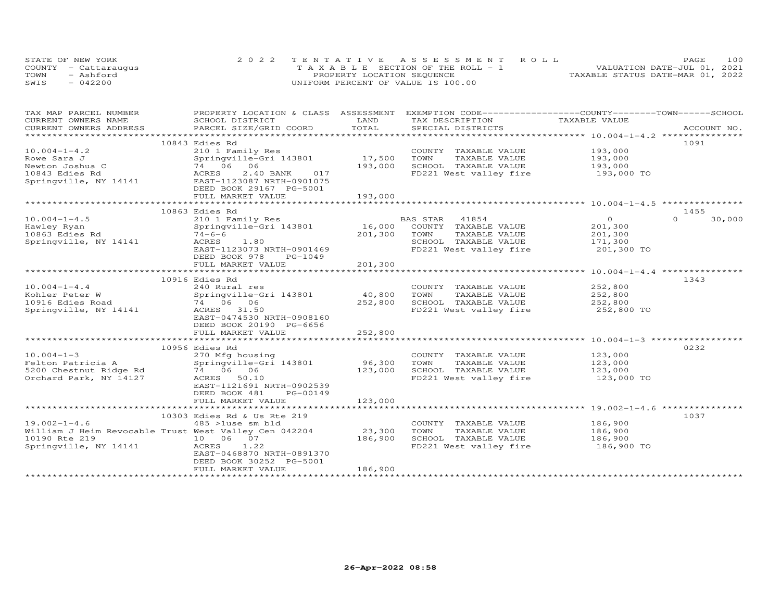| STATE OF NEW YORK    | 2022 TENTATIVE ASSESSMENT ROLL        | 100<br>PAGE.                     |
|----------------------|---------------------------------------|----------------------------------|
| COUNTY - Cattaraugus | T A X A B L E SECTION OF THE ROLL - 1 | VALUATION DATE-JUL 01, 2021      |
| TOWN<br>- Ashford    | PROPERTY LOCATION SEQUENCE            | TAXABLE STATUS DATE-MAR 01, 2022 |
| SWIS<br>$-042200$    | UNIFORM PERCENT OF VALUE IS 100.00    |                                  |

| TAX MAP PARCEL NUMBER                                 | PROPERTY LOCATION & CLASS ASSESSMENT |         | EXEMPTION CODE-----------------COUNTY-------TOWN-----SCHOOL |                    |                    |
|-------------------------------------------------------|--------------------------------------|---------|-------------------------------------------------------------|--------------------|--------------------|
| CURRENT OWNERS NAME                                   | SCHOOL DISTRICT                      | LAND    | TAX DESCRIPTION                                             | TAXABLE VALUE      |                    |
| CURRENT OWNERS ADDRESS                                | PARCEL SIZE/GRID COORD               | TOTAL   | SPECIAL DISTRICTS                                           |                    | ACCOUNT NO.        |
|                                                       |                                      |         |                                                             |                    |                    |
|                                                       | 10843 Edies Rd                       |         |                                                             |                    | 1091               |
| $10.004 - 1 - 4.2$                                    | 210 1 Family Res                     |         | COUNTY TAXABLE VALUE                                        | 193,000            |                    |
| Rowe Sara J                                           | Springville-Gri 143801               | 17,500  | TOWN<br>TAXABLE VALUE                                       | 193,000            |                    |
| Newton Joshua C                                       | 74 06 06                             | 193,000 | SCHOOL TAXABLE VALUE                                        | 193,000            |                    |
|                                                       |                                      |         | FD221 West valley fire 193,000 TO                           |                    |                    |
|                                                       |                                      |         |                                                             |                    |                    |
|                                                       | DEED BOOK 29167 PG-5001              |         |                                                             |                    |                    |
|                                                       | FULL MARKET VALUE                    | 193,000 |                                                             |                    |                    |
|                                                       |                                      |         |                                                             |                    |                    |
|                                                       | 10863 Edies Rd                       |         |                                                             |                    | 1455               |
| $10.004 - 1 - 4.5$                                    | 210 1 Family Res                     |         | BAS STAR<br>41854                                           | $\overline{O}$     | $\Omega$<br>30,000 |
| Hawley Ryan                                           | Springville-Gri 143801               |         | 16,000 COUNTY TAXABLE VALUE                                 | 201,300            |                    |
| 10863 Edies Rd                                        | $74 - 6 - 6$                         | 201,300 | TOWN<br>TAXABLE VALUE                                       | 201,300            |                    |
| Springville, NY 14141                                 | 1,80<br>ACRES                        |         | SCHOOL TAXABLE VALUE                                        | 171,300            |                    |
|                                                       | EAST-1123073 NRTH-0901469            |         | FD221 West valley fire                                      | 201,300 TO         |                    |
|                                                       | DEED BOOK 978<br>PG-1049             |         |                                                             |                    |                    |
|                                                       | FULL MARKET VALUE                    | 201,300 |                                                             |                    |                    |
|                                                       |                                      |         |                                                             |                    |                    |
|                                                       | 10916 Edies Rd                       |         |                                                             |                    | 1343               |
| $10.004 - 1 - 4.4$                                    | 240 Rural res                        |         | COUNTY TAXABLE VALUE                                        |                    |                    |
| Kohler Peter W                                        | Springville-Gri 143801               | 40,800  | TOWN<br>TAXABLE VALUE                                       | 252,800<br>252,800 |                    |
| 10916 Edies Road                                      | 74 06 06                             | 252,800 | SCHOOL TAXABLE VALUE                                        | 252,800            |                    |
| Springville, NY 14141                                 | ACRES 31.50                          |         | FD221 West valley fire                                      | 252,800 TO         |                    |
|                                                       | EAST-0474530 NRTH-0908160            |         |                                                             |                    |                    |
|                                                       | DEED BOOK 20190 PG-6656              |         |                                                             |                    |                    |
|                                                       | FULL MARKET VALUE                    | 252,800 |                                                             |                    |                    |
|                                                       |                                      |         |                                                             |                    |                    |
|                                                       | 10956 Edies Rd                       |         |                                                             |                    | 0232               |
| $10.004 - 1 - 3$                                      | 270 Mfg housing                      |         | COUNTY TAXABLE VALUE                                        | 123,000            |                    |
| Felton Patricia A                                     | Springville-Gri 143801               | 96,300  | TOWN<br>TAXABLE VALUE                                       | 123,000            |                    |
| 5200 Chestnut Ridge Rd                                | 74 06 06                             | 123,000 | SCHOOL TAXABLE VALUE                                        | 123,000            |                    |
| Orchard Park, NY 14127                                | ACRES 50.10                          |         | FD221 West valley fire                                      | $123,000$ TO       |                    |
|                                                       | EAST-1121691 NRTH-0902539            |         |                                                             |                    |                    |
|                                                       | DEED BOOK 481<br>PG-00149            |         |                                                             |                    |                    |
|                                                       | FULL MARKET VALUE                    | 123,000 |                                                             |                    |                    |
|                                                       |                                      |         |                                                             |                    |                    |
|                                                       | 10303 Edies Rd & Us Rte 219          |         |                                                             |                    | 1037               |
| $19.002 - 1 - 4.6$                                    | 485 >luse sm bld                     |         | COUNTY TAXABLE VALUE                                        | 186,900            |                    |
| William J Heim Revocable Trust West Valley Cen 042204 |                                      | 23,300  | TOWN<br>TAXABLE VALUE                                       | 186,900            |                    |
| 10190 Rte 219                                         | 10 06 07                             | 186,900 | SCHOOL TAXABLE VALUE                                        | 186,900            |                    |
| Springville, NY 14141                                 | ACRES<br>1.22                        |         | FD221 West valley fire                                      | 186,900 TO         |                    |
|                                                       | EAST-0468870 NRTH-0891370            |         |                                                             |                    |                    |
|                                                       | DEED BOOK 30252 PG-5001              |         |                                                             |                    |                    |
|                                                       | FULL MARKET VALUE                    | 186,900 |                                                             |                    |                    |
|                                                       |                                      |         |                                                             |                    |                    |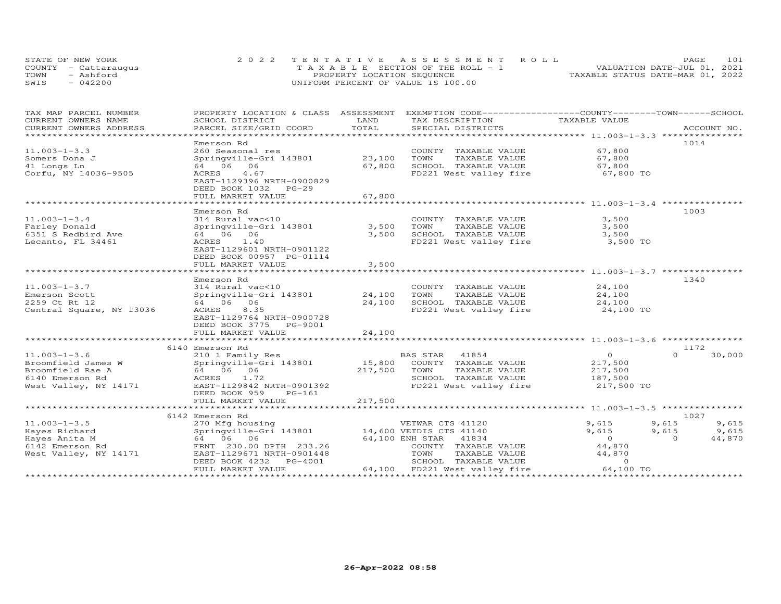| STATE OF NEW YORK    | 2022 TENTATIVE ASSESSMENT ROLL        | PAGE.                            | 101 |
|----------------------|---------------------------------------|----------------------------------|-----|
| COUNTY - Cattaraugus | T A X A B L E SECTION OF THE ROLL - 1 | VALUATION DATE-JUL 01, 2021      |     |
| TOWN<br>- Ashford    | PROPERTY LOCATION SEQUENCE            | TAXABLE STATUS DATE-MAR 01, 2022 |     |
| SWIS<br>$-042200$    | UNIFORM PERCENT OF VALUE IS 100.00    |                                  |     |

| TAX MAP PARCEL NUMBER          | PROPERTY LOCATION & CLASS ASSESSMENT |              | EXEMPTION CODE-----------------COUNTY-------TOWN------SCHOOL |                |                    |
|--------------------------------|--------------------------------------|--------------|--------------------------------------------------------------|----------------|--------------------|
| CURRENT OWNERS NAME            | SCHOOL DISTRICT                      | LAND         | TAX DESCRIPTION                                              | TAXABLE VALUE  |                    |
| CURRENT OWNERS ADDRESS         | PARCEL SIZE/GRID COORD               | TOTAL        | SPECIAL DISTRICTS                                            |                | ACCOUNT NO.        |
| ****************************** |                                      |              |                                                              |                |                    |
|                                | Emerson Rd                           |              |                                                              |                | 1014               |
| $11.003 - 1 - 3.3$             | 260 Seasonal res                     |              | COUNTY TAXABLE VALUE                                         | 67,800         |                    |
| Somers Dona J                  | Springville-Gri 143801               | 23,100       | TOWN<br>TAXABLE VALUE                                        | 67,800         |                    |
| 41 Longs Ln                    | 64 06 06                             | 67,800       | SCHOOL TAXABLE VALUE                                         | 67,800         |                    |
| Corfu, NY 14036-9505           | ACRES<br>4.67                        |              | FD221 West valley fire                                       | 67,800 TO      |                    |
|                                | EAST-1129396 NRTH-0900829            |              |                                                              |                |                    |
|                                | DEED BOOK 1032 PG-29                 |              |                                                              |                |                    |
|                                | FULL MARKET VALUE                    | 67,800       |                                                              |                |                    |
|                                | ************************             | ************ |                                                              |                |                    |
|                                | Emerson Rd                           |              |                                                              |                | 1003               |
| $11.003 - 1 - 3.4$             | 314 Rural vac<10                     |              | COUNTY TAXABLE VALUE                                         | 3,500          |                    |
| Farley Donald                  | Springville-Gri 143801               | 3,500        | TAXABLE VALUE<br>TOWN                                        | 3,500          |                    |
| 6351 S Redbird Ave             | 64 06 06                             | 3,500        | SCHOOL TAXABLE VALUE                                         | 3,500          |                    |
| Lecanto, FL 34461              | 1.40<br>ACRES                        |              | FD221 West valley fire                                       | 3,500 TO       |                    |
|                                | EAST-1129601 NRTH-0901122            |              |                                                              |                |                    |
|                                | DEED BOOK 00957 PG-01114             |              |                                                              |                |                    |
|                                | FULL MARKET VALUE                    | 3,500        |                                                              |                |                    |
|                                |                                      |              |                                                              |                |                    |
|                                | Emerson Rd                           |              |                                                              |                | 1340               |
| $11.003 - 1 - 3.7$             | 314 Rural vac<10                     |              | COUNTY TAXABLE VALUE                                         | 24,100         |                    |
| Emerson Scott                  | Springville-Gri 143801               | 24,100       | TOWN<br>TAXABLE VALUE                                        | 24,100         |                    |
| 2259 Ct Rt 12                  | 64 06 06                             | 24,100       | SCHOOL TAXABLE VALUE                                         | 24,100         |                    |
| Central Square, NY 13036       | ACRES<br>8.35                        |              | FD221 West valley fire                                       | 24,100 TO      |                    |
|                                | EAST-1129764 NRTH-0900728            |              |                                                              |                |                    |
|                                | DEED BOOK 3775 PG-9001               |              |                                                              |                |                    |
|                                | FULL MARKET VALUE                    | 24,100       |                                                              |                |                    |
|                                |                                      |              |                                                              |                |                    |
|                                | 6140 Emerson Rd                      |              |                                                              |                | 1172               |
| $11.003 - 1 - 3.6$             | 210 1 Family Res                     |              | BAS STAR<br>41854                                            | $\Omega$       | 30,000<br>$\cap$   |
| Broomfield James W             | Springville-Gri 143801               |              | 15,800 COUNTY TAXABLE VALUE                                  | 217,500        |                    |
| Broomfield Rae A               | 64 06 06                             | 217,500      | TOWN<br>TAXABLE VALUE                                        | 217,500        |                    |
| 6140 Emerson Rd                | ACRES 1.72                           |              | SCHOOL TAXABLE VALUE                                         | 187,500        |                    |
| West Valley, NY 14171          | EAST-1129842 NRTH-0901392            |              | FD221 West valley fire                                       | 217,500 TO     |                    |
|                                | DEED BOOK 959<br>PG-161              |              |                                                              |                |                    |
|                                | FULL MARKET VALUE                    | 217,500      |                                                              |                |                    |
|                                |                                      |              |                                                              |                |                    |
|                                | 6142 Emerson Rd                      |              |                                                              |                | 1027               |
| $11.003 - 1 - 3.5$             | 270 Mfg housing                      |              | VETWAR CTS 41120                                             | 9,615          | 9,615<br>9,615     |
| Hayes Richard                  | Springville-Gri 143801               |              | 14,600 VETDIS CTS 41140                                      | 9,615          | 9,615<br>9,615     |
| Hayes Anita M                  | 64 06 06                             |              | 64,100 ENH STAR 41834                                        | $\overline{O}$ | 44,870<br>$\Omega$ |
| 6142 Emerson Rd                | FRNT 230.00 DPTH 233.26              |              | COUNTY TAXABLE VALUE                                         | 44,870         |                    |
| West Valley, NY 14171          | EAST-1129671 NRTH-0901448            |              | TOWN<br>TAXABLE VALUE                                        | 44,870         |                    |
|                                | DEED BOOK 4232<br>PG-4001            |              | SCHOOL TAXABLE VALUE                                         | $\Omega$       |                    |
|                                | FULL MARKET VALUE                    |              | 64,100 FD221 West valley fire                                | 64,100 TO      |                    |
|                                |                                      |              |                                                              |                |                    |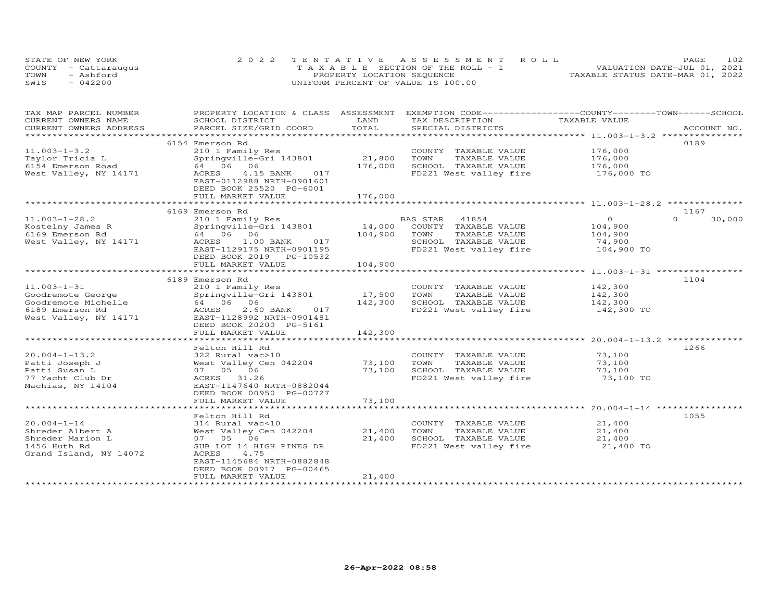| STATE OF NEW YORK    | 2022 TENTATIVE ASSESSMENT ROLL        | <b>PAGE</b>                      | 102 |
|----------------------|---------------------------------------|----------------------------------|-----|
| COUNTY - Cattaraugus | T A X A B L E SECTION OF THE ROLL - 1 | VALUATION DATE-JUL 01, 2021      |     |
| TOWN<br>- Ashford    | PROPERTY LOCATION SEQUENCE            | TAXABLE STATUS DATE-MAR 01, 2022 |     |
| $-042200$<br>SWIS    | UNIFORM PERCENT OF VALUE IS 100.00    |                                  |     |

| TAX MAP PARCEL NUMBER  | PROPERTY LOCATION & CLASS ASSESSMENT |             | EXEMPTION CODE-----------------COUNTY-------TOWN------SCHOOL |               |                    |
|------------------------|--------------------------------------|-------------|--------------------------------------------------------------|---------------|--------------------|
| CURRENT OWNERS NAME    | SCHOOL DISTRICT                      | LAND        | TAX DESCRIPTION                                              | TAXABLE VALUE |                    |
| CURRENT OWNERS ADDRESS | PARCEL SIZE/GRID COORD               | TOTAL       | SPECIAL DISTRICTS                                            |               | ACCOUNT NO.        |
| *********************  |                                      |             |                                                              |               |                    |
|                        | 6154 Emerson Rd                      |             |                                                              |               | 0189               |
| $11.003 - 1 - 3.2$     | 210 1 Family Res                     |             | COUNTY TAXABLE VALUE                                         | 176,000       |                    |
| Taylor Tricia L        | Springville-Gri 143801               | 21,800      | TOWN<br>TAXABLE VALUE                                        | 176,000       |                    |
| 6154 Emerson Road      | 64 06 06                             | 176,000     | SCHOOL TAXABLE VALUE                                         | 176,000       |                    |
| West Valley, NY 14171  | 4.15 BANK<br>ACRES<br>017            |             | FD221 West valley fire                                       | 176,000 TO    |                    |
|                        | EAST-0112988 NRTH-0901601            |             |                                                              |               |                    |
|                        | DEED BOOK 25520 PG-6001              |             |                                                              |               |                    |
|                        | FULL MARKET VALUE                    | 176,000     |                                                              |               |                    |
|                        |                                      |             |                                                              |               |                    |
|                        | 6169 Emerson Rd                      |             |                                                              |               | 1167               |
| $11.003 - 1 - 28.2$    | 210 1 Family Res                     |             | BAS STAR<br>41854                                            | $\circ$       | $\Omega$<br>30,000 |
| Kostelny James R       | Springville-Gri 143801               | 14,000      | COUNTY TAXABLE VALUE                                         | 104,900       |                    |
| 6169 Emerson Rd        | 64 06 06                             | 104,900     | TOWN<br>TAXABLE VALUE                                        | 104,900       |                    |
| West Valley, NY 14171  | ACRES<br>1.00 BANK<br>017            |             | SCHOOL TAXABLE VALUE                                         | 74,900        |                    |
|                        | EAST-1129175 NRTH-0901195            |             | FD221 West valley fire                                       | 104,900 TO    |                    |
|                        | DEED BOOK 2019 PG-10532              |             |                                                              |               |                    |
|                        | FULL MARKET VALUE                    | 104,900     |                                                              |               |                    |
|                        |                                      |             |                                                              |               |                    |
|                        | 6189 Emerson Rd                      |             |                                                              |               | 1104               |
| $11.003 - 1 - 31$      | 210 1 Family Res                     |             | COUNTY TAXABLE VALUE                                         | 142,300       |                    |
|                        |                                      | 17,500      | TOWN<br>TAXABLE VALUE                                        |               |                    |
| Goodremote George      | Springville-Gri 143801               |             |                                                              | 142,300       |                    |
| Goodremote Michelle    | 64 06 06                             | 142,300     | SCHOOL TAXABLE VALUE                                         | 142,300       |                    |
| 6189 Emerson Rd        | ACRES<br>2.60 BANK<br>017            |             | FD221 West valley fire                                       | 142,300 TO    |                    |
| West Valley, NY 14171  | EAST-1128992 NRTH-0901481            |             |                                                              |               |                    |
|                        | DEED BOOK 20200 PG-5161              |             |                                                              |               |                    |
|                        | FULL MARKET VALUE                    | 142,300     |                                                              |               |                    |
|                        |                                      |             |                                                              |               |                    |
|                        | Felton Hill Rd                       |             |                                                              |               | 1266               |
| $20.004 - 1 - 13.2$    | 322 Rural vac>10                     |             | COUNTY TAXABLE VALUE                                         | 73,100        |                    |
| Patti Joseph J         | West Valley Cen 042204               | 73,100      | TOWN<br>TAXABLE VALUE                                        | 73,100        |                    |
| Patti Susan L          | 07 05 06                             | 73,100      | SCHOOL TAXABLE VALUE                                         | 73,100        |                    |
| 77 Yacht Club Dr       | ACRES 31.26                          |             | FD221 West valley fire                                       | 73,100 TO     |                    |
| Machias, NY 14104      | EAST-1147640 NRTH-0882044            |             |                                                              |               |                    |
|                        | DEED BOOK 00950 PG-00727             |             |                                                              |               |                    |
|                        | FULL MARKET VALUE                    | 73,100      |                                                              |               |                    |
|                        | ***********************              | *********** |                                                              |               |                    |
|                        | Felton Hill Rd                       |             |                                                              |               | 1055               |
| $20.004 - 1 - 14$      | 314 Rural vac<10                     |             | COUNTY TAXABLE VALUE                                         | 21,400        |                    |
| Shreder Albert A       | West Valley Cen 042204               | 21,400      | TOWN<br>TAXABLE VALUE                                        | 21,400        |                    |
| Shreder Marion L       | 07 05 06                             | 21,400      | SCHOOL TAXABLE VALUE                                         | 21,400        |                    |
| 1456 Huth Rd           | SUB LOT 14 HIGH PINES DR             |             | FD221 West valley fire                                       | 21,400 TO     |                    |
| Grand Island, NY 14072 | ACRES<br>4.75                        |             |                                                              |               |                    |
|                        | EAST-1145684 NRTH-0882848            |             |                                                              |               |                    |
|                        | DEED BOOK 00917 PG-00465             |             |                                                              |               |                    |
|                        | FULL MARKET VALUE                    | 21,400      |                                                              |               |                    |
|                        |                                      |             |                                                              |               |                    |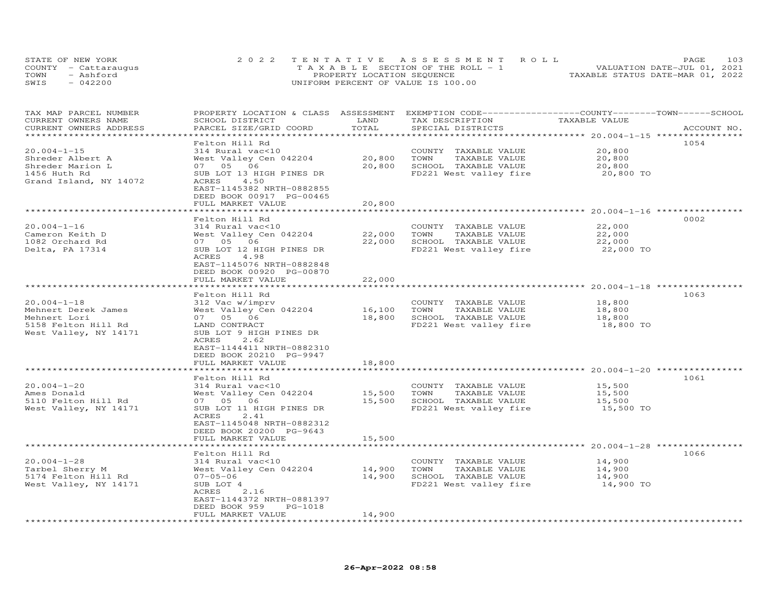|      | STATE OF NEW YORK    | 2022 TENTATIVE ASSESSMENT ROLL        | 103<br>PAGE                      |
|------|----------------------|---------------------------------------|----------------------------------|
|      | COUNTY - Cattaraugus | T A X A B L E SECTION OF THE ROLL - 1 | VALUATION DATE-JUL 01, 2021      |
| TOWN | - Ashford            | PROPERTY LOCATION SEQUENCE            | TAXABLE STATUS DATE-MAR 01, 2022 |
| SWIS | $-042200$            | UNIFORM PERCENT OF VALUE IS 100.00    |                                  |

| TAX MAP PARCEL NUMBER<br>CURRENT OWNERS NAME<br>CURRENT OWNERS ADDRESS                                   | PROPERTY LOCATION & CLASS ASSESSMENT<br>SCHOOL DISTRICT<br>PARCEL SIZE/GRID COORD                                                                                                            | LAND<br>TOTAL              | EXEMPTION CODE------------------COUNTY-------TOWN------SCHOOL<br>TAX DESCRIPTION<br>SPECIAL DISTRICTS | TAXABLE VALUE                           | ACCOUNT NO. |
|----------------------------------------------------------------------------------------------------------|----------------------------------------------------------------------------------------------------------------------------------------------------------------------------------------------|----------------------------|-------------------------------------------------------------------------------------------------------|-----------------------------------------|-------------|
|                                                                                                          |                                                                                                                                                                                              |                            |                                                                                                       |                                         |             |
| $20.004 - 1 - 15$<br>Shreder Albert A<br>Shreder Marion L<br>1456 Huth Rd<br>Grand Island, NY 14072      | Felton Hill Rd<br>314 Rural vac<10<br>West Valley Cen 042204<br>07 05 06<br>SUB LOT 13 HIGH PINES DR<br>ACRES<br>4.50<br>EAST-1145382 NRTH-0882855                                           | 20,800<br>20,800           | COUNTY TAXABLE VALUE<br>TOWN<br>TAXABLE VALUE<br>SCHOOL TAXABLE VALUE<br>FD221 West valley fire       | 20,800<br>20,800<br>20,800<br>20,800 TO | 1054        |
|                                                                                                          | DEED BOOK 00917 PG-00465<br>FULL MARKET VALUE                                                                                                                                                | 20,800                     |                                                                                                       |                                         |             |
|                                                                                                          |                                                                                                                                                                                              |                            |                                                                                                       |                                         |             |
| $20.004 - 1 - 16$<br>Cameron Keith D<br>1082 Orchard Rd<br>Delta, PA 17314                               | Felton Hill Rd<br>314 Rural vac<10<br>West Valley Cen 042204<br>07 05 06<br>SUB LOT 12 HIGH PINES DR                                                                                         | 22,000<br>22,000           | COUNTY TAXABLE VALUE<br>TOWN<br>TAXABLE VALUE<br>SCHOOL TAXABLE VALUE<br>FD221 West valley fire       | 22,000<br>22,000<br>22,000<br>22,000 TO | 0002        |
|                                                                                                          | 4.98<br>ACRES<br>EAST-1145076 NRTH-0882848<br>DEED BOOK 00920 PG-00870<br>FULL MARKET VALUE                                                                                                  | 22,000                     |                                                                                                       |                                         |             |
|                                                                                                          |                                                                                                                                                                                              |                            |                                                                                                       |                                         |             |
| $20.004 - 1 - 18$<br>Mehnert Derek James<br>Mehnert Lori<br>5158 Felton Hill Rd<br>West Valley, NY 14171 | Felton Hill Rd<br>312 Vac w/imprv<br>West Valley Cen 042204<br>07 05 06<br>LAND CONTRACT<br>SUB LOT 9 HIGH PINES DR<br>2.62<br>ACRES<br>EAST-1144411 NRTH-0882310                            | 16,100<br>18,800           | COUNTY TAXABLE VALUE<br>TOWN<br>TAXABLE VALUE<br>SCHOOL TAXABLE VALUE<br>FD221 West valley fire       | 18,800<br>18,800<br>18,800<br>18,800 TO | 1063        |
|                                                                                                          | DEED BOOK 20210 PG-9947                                                                                                                                                                      |                            |                                                                                                       |                                         |             |
|                                                                                                          | FULL MARKET VALUE                                                                                                                                                                            | 18,800                     |                                                                                                       |                                         |             |
| $20.004 - 1 - 20$<br>Ames Donald<br>5110 Felton Hill Rd<br>West Valley, NY 14171                         | Felton Hill Rd<br>314 Rural vac<10<br>West Valley Cen 042204<br>07 05 06<br>SUB LOT 11 HIGH PINES DR<br>ACRES<br>2.41<br>EAST-1145048 NRTH-0882312                                           | 15,500<br>15,500           | COUNTY TAXABLE VALUE<br>TOWN<br>TAXABLE VALUE<br>SCHOOL TAXABLE VALUE<br>FD221 West valley fire       | 15,500<br>15,500<br>15,500<br>15,500 TO | 1061        |
|                                                                                                          | DEED BOOK 20200 PG-9643<br>FULL MARKET VALUE                                                                                                                                                 | 15,500                     |                                                                                                       |                                         |             |
|                                                                                                          | *********************                                                                                                                                                                        | * * * * * * * * * * * * *  |                                                                                                       |                                         |             |
| $20.004 - 1 - 28$<br>Tarbel Sherry M<br>5174 Felton Hill Rd<br>West Valley, NY 14171                     | Felton Hill Rd<br>314 Rural vac<10<br>West Valley Cen 042204<br>$07 - 05 - 06$<br>SUB LOT 4<br>ACRES<br>2.16<br>EAST-1144372 NRTH-0881397<br>DEED BOOK 959<br>$PG-1018$<br>FULL MARKET VALUE | 14,900<br>14,900<br>14,900 | COUNTY TAXABLE VALUE<br>TOWN<br>TAXABLE VALUE<br>SCHOOL TAXABLE VALUE<br>FD221 West valley fire       | 14,900<br>14,900<br>14,900<br>14,900 TO | 1066        |
|                                                                                                          | **********************                                                                                                                                                                       |                            |                                                                                                       |                                         |             |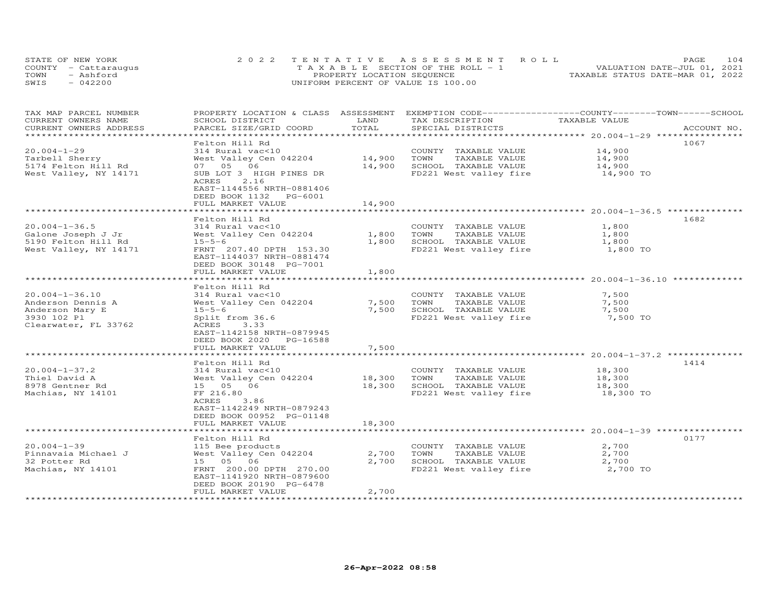| STATE OF NEW YORK    | 2022 TENTATIVE ASSESSMENT ROLL        | 104<br><b>PAGE</b>               |
|----------------------|---------------------------------------|----------------------------------|
| COUNTY - Cattaraugus | T A X A B L E SECTION OF THE ROLL - 1 | VALUATION DATE-JUL 01, 2021      |
| TOWN<br>- Ashford    | PROPERTY LOCATION SEQUENCE            | TAXABLE STATUS DATE-MAR 01, 2022 |
| SWIS<br>$-042200$    | UNIFORM PERCENT OF VALUE IS 100.00    |                                  |

| TAX MAP PARCEL NUMBER<br>CURRENT OWNERS NAME                                                        | PROPERTY LOCATION & CLASS ASSESSMENT EXEMPTION CODE-----------------COUNTY-------TOWN------SCHOOL<br>SCHOOL DISTRICT                                                                             | LAND<br>TOTAL              | TAX DESCRIPTION                                                                                 | TAXABLE VALUE                           |             |
|-----------------------------------------------------------------------------------------------------|--------------------------------------------------------------------------------------------------------------------------------------------------------------------------------------------------|----------------------------|-------------------------------------------------------------------------------------------------|-----------------------------------------|-------------|
| CURRENT OWNERS ADDRESS<br>***********************                                                   | PARCEL SIZE/GRID COORD                                                                                                                                                                           |                            | SPECIAL DISTRICTS                                                                               |                                         | ACCOUNT NO. |
| $20.004 - 1 - 29$<br>Tarbell Sherry<br>5174 Felton Hill Rd<br>West Valley, NY 14171                 | Felton Hill Rd<br>314 Rural vac<10<br>West Valley Cen 042204<br>07 05 06<br>SUB LOT 3 HIGH PINES DR<br>2.16<br>ACRES<br>EAST-1144556 NRTH-0881406<br>DEED BOOK 1132 PG-6001<br>FULL MARKET VALUE | 14,900<br>14,900<br>14,900 | COUNTY TAXABLE VALUE<br>TAXABLE VALUE<br>TOWN<br>SCHOOL TAXABLE VALUE<br>FD221 West valley fire | 14,900<br>14,900<br>14,900<br>14,900 TO | 1067        |
|                                                                                                     |                                                                                                                                                                                                  |                            |                                                                                                 |                                         |             |
| $20.004 - 1 - 36.5$<br>Galone Joseph J Jr<br>5190 Felton Hill Rd<br>West Valley, NY 14171           | Felton Hill Rd<br>314 Rural vac<10<br>West Valley Cen 042204<br>$15 - 5 - 6$<br>FRNT 207.40 DPTH 153.30<br>EAST-1144037 NRTH-0881474<br>DEED BOOK 30148 PG-7001<br>FULL MARKET VALUE             | 1,800<br>1,800<br>1,800    | COUNTY TAXABLE VALUE<br>TOWN<br>TAXABLE VALUE<br>SCHOOL TAXABLE VALUE<br>FD221 West valley fire | 1,800<br>1,800<br>1,800<br>1,800 TO     | 1682        |
|                                                                                                     |                                                                                                                                                                                                  |                            |                                                                                                 |                                         |             |
| $20.004 - 1 - 36.10$<br>Anderson Dennis A<br>Anderson Mary E<br>3930 102 Pl<br>Clearwater, FL 33762 | Felton Hill Rd<br>314 Rural vac<10<br>West Valley Cen 042204<br>$15 - 5 - 6$<br>Split from 36.6<br>ACRES<br>3.33<br>EAST-1142158 NRTH-0879945<br>DEED BOOK 2020 PG-16588                         | 7,500<br>7,500             | COUNTY TAXABLE VALUE<br>TOWN<br>TAXABLE VALUE<br>SCHOOL TAXABLE VALUE<br>FD221 West valley fire | 7,500<br>7,500<br>7,500<br>7,500 TO     |             |
|                                                                                                     | FULL MARKET VALUE                                                                                                                                                                                | 7,500                      |                                                                                                 |                                         |             |
|                                                                                                     | *******************                                                                                                                                                                              | *********                  |                                                                                                 |                                         |             |
| $20.004 - 1 - 37.2$<br>Thiel David A<br>8978 Gentner Rd<br>Machias, NY 14101                        | Felton Hill Rd<br>314 Rural vac<10<br>West Valley Cen 042204<br>15 05 06<br>FF 216.80<br>ACRES<br>3.86<br>EAST-1142249 NRTH-0879243<br>DEED BOOK 00952 PG-01148<br>FULL MARKET VALUE             | 18,300<br>18,300<br>18,300 | COUNTY TAXABLE VALUE<br>TOWN<br>TAXABLE VALUE<br>SCHOOL TAXABLE VALUE<br>FD221 West valley fire | 18,300<br>18,300<br>18,300<br>18,300 TO | 1414        |
|                                                                                                     |                                                                                                                                                                                                  |                            |                                                                                                 |                                         |             |
| $20.004 - 1 - 39$<br>Pinnavaia Michael J<br>32 Potter Rd<br>Machias, NY 14101                       | Felton Hill Rd<br>115 Bee products<br>West Valley Cen 042204<br>15 05 06<br>FRNT 200.00 DPTH 270.00<br>EAST-1141920 NRTH-0879600<br>DEED BOOK 20190 PG-6478<br>FULL MARKET VALUE                 | 2,700<br>2,700<br>2,700    | COUNTY TAXABLE VALUE<br>TOWN<br>TAXABLE VALUE<br>SCHOOL TAXABLE VALUE<br>FD221 West valley fire | 2,700<br>2,700<br>2,700<br>2,700 TO     | 0177        |
|                                                                                                     |                                                                                                                                                                                                  |                            |                                                                                                 |                                         |             |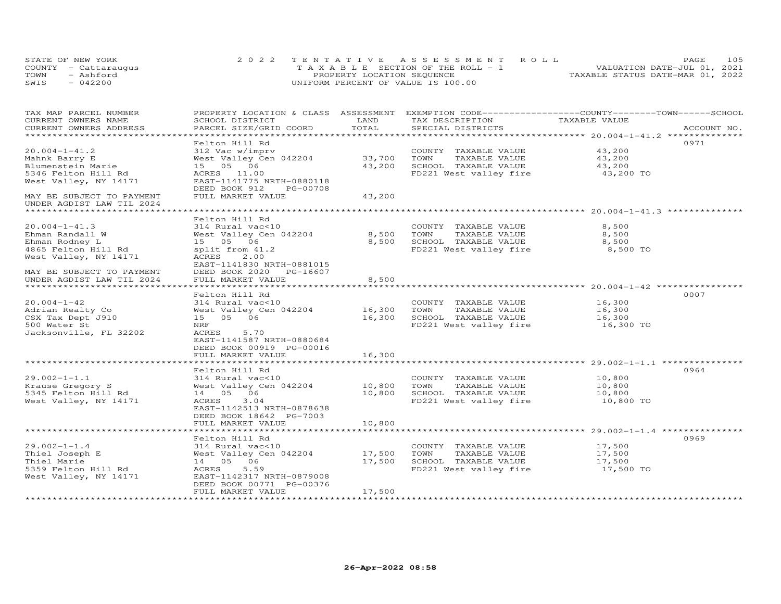| STATE OF NEW YORK    | 2022 TENTATIVE ASSESSMENT ROLL        |                                  | PAGE | 105 |
|----------------------|---------------------------------------|----------------------------------|------|-----|
| COUNTY - Cattaraugus | T A X A B L E SECTION OF THE ROLL - 1 | VALUATION DATE-JUL 01, 2021      |      |     |
| TOWN<br>- Ashford    | PROPERTY LOCATION SEQUENCE            | TAXABLE STATUS DATE-MAR 01, 2022 |      |     |
| SWIS<br>$-042200$    | UNIFORM PERCENT OF VALUE IS 100.00    |                                  |      |     |

| TAX MAP PARCEL NUMBER<br>CURRENT OWNERS NAME           | PROPERTY LOCATION & CLASS ASSESSMENT EXEMPTION CODE-----------------COUNTY-------TOWN------SCHOOL<br>SCHOOL DISTRICT | LAND   | TAX DESCRIPTION        | TAXABLE VALUE |             |
|--------------------------------------------------------|----------------------------------------------------------------------------------------------------------------------|--------|------------------------|---------------|-------------|
| CURRENT OWNERS ADDRESS                                 | PARCEL SIZE/GRID COORD                                                                                               | TOTAL  | SPECIAL DISTRICTS      |               | ACCOUNT NO. |
|                                                        | Felton Hill Rd                                                                                                       |        |                        |               | 0971        |
| $20.004 - 1 - 41.2$                                    | 312 Vac w/imprv                                                                                                      |        | COUNTY TAXABLE VALUE   | 43,200        |             |
| Mahnk Barry E                                          | West Valley Cen 042204                                                                                               | 33,700 | TAXABLE VALUE<br>TOWN  | 43,200        |             |
| Blumenstein Marie                                      | 15  05  06                                                                                                           | 43,200 | SCHOOL TAXABLE VALUE   | 43,200        |             |
| 5346 Felton Hill Rd                                    | ACRES 11.00                                                                                                          |        | FD221 West valley fire | 43,200 TO     |             |
| West Valley, NY 14171                                  | EAST-1141775 NRTH-0880118                                                                                            |        |                        |               |             |
|                                                        | DEED BOOK 912<br>PG-00708                                                                                            |        |                        |               |             |
| MAY BE SUBJECT TO PAYMENT<br>UNDER AGDIST LAW TIL 2024 | FULL MARKET VALUE                                                                                                    | 43,200 |                        |               |             |
|                                                        |                                                                                                                      |        |                        |               |             |
|                                                        | Felton Hill Rd                                                                                                       |        |                        |               |             |
| $20.004 - 1 - 41.3$                                    | 314 Rural vac<10                                                                                                     |        | COUNTY TAXABLE VALUE   | 8,500         |             |
| Ehman Randall W                                        | West Valley Cen 042204                                                                                               | 8,500  | TOWN<br>TAXABLE VALUE  | 8,500         |             |
| Ehman Rodney L                                         | 15 05 06                                                                                                             | 8,500  | SCHOOL TAXABLE VALUE   | 8,500         |             |
| 4865 Felton Hill Rd                                    | split from 41.2                                                                                                      |        | FD221 West valley fire | 8,500 TO      |             |
| West Valley, NY 14171                                  | ACRES<br>2.00<br>EAST-1141830 NRTH-0881015                                                                           |        |                        |               |             |
| MAY BE SUBJECT TO PAYMENT                              | DEED BOOK 2020<br>PG-16607                                                                                           |        |                        |               |             |
| UNDER AGDIST LAW TIL 2024                              | FULL MARKET VALUE                                                                                                    | 8,500  |                        |               |             |
|                                                        |                                                                                                                      |        |                        |               |             |
|                                                        | Felton Hill Rd                                                                                                       |        |                        |               | 0007        |
| $20.004 - 1 - 42$                                      | 314 Rural vac<10                                                                                                     |        | COUNTY TAXABLE VALUE   | 16,300        |             |
| Adrian Realty Co                                       | West Valley Cen 042204                                                                                               | 16,300 | TOWN<br>TAXABLE VALUE  | 16,300        |             |
| CSX Tax Dept J910                                      | 15 05 06                                                                                                             | 16,300 | SCHOOL TAXABLE VALUE   | 16,300        |             |
| 500 Water St                                           | NRF                                                                                                                  |        | FD221 West valley fire | 16,300 TO     |             |
| Jacksonville, FL 32202                                 | ACRES<br>5.70                                                                                                        |        |                        |               |             |
|                                                        | EAST-1141587 NRTH-0880684                                                                                            |        |                        |               |             |
|                                                        | DEED BOOK 00919 PG-00016                                                                                             |        |                        |               |             |
|                                                        | FULL MARKET VALUE                                                                                                    | 16,300 |                        |               |             |
|                                                        | Felton Hill Rd                                                                                                       |        |                        |               | 0964        |
| $29.002 - 1 - 1.1$                                     | 314 Rural vac<10                                                                                                     |        | COUNTY TAXABLE VALUE   | 10,800        |             |
| Krause Gregory S                                       | West Valley Cen 042204                                                                                               | 10,800 | TOWN<br>TAXABLE VALUE  | 10,800        |             |
| 5345 Felton Hill Rd                                    | 14  05  06                                                                                                           | 10,800 | SCHOOL TAXABLE VALUE   | 10,800        |             |
| West Valley, NY 14171                                  | ACRES<br>3.04                                                                                                        |        | FD221 West valley fire | 10,800 TO     |             |
|                                                        | EAST-1142513 NRTH-0878638                                                                                            |        |                        |               |             |
|                                                        | DEED BOOK 18642 PG-7003                                                                                              |        |                        |               |             |
|                                                        | FULL MARKET VALUE                                                                                                    | 10,800 |                        |               |             |
|                                                        |                                                                                                                      |        |                        |               |             |
|                                                        | Felton Hill Rd                                                                                                       |        |                        |               | 0969        |
| $29.002 - 1 - 1.4$                                     | 314 Rural vac<10                                                                                                     |        | COUNTY TAXABLE VALUE   | 17,500        |             |
| Thiel Joseph E                                         | West Valley Cen 042204                                                                                               | 17,500 | TOWN<br>TAXABLE VALUE  | 17,500        |             |
| Thiel Marie                                            | 14 05 06                                                                                                             | 17,500 | SCHOOL TAXABLE VALUE   | 17,500        |             |
| 5359 Felton Hill Rd                                    | ACRES<br>5.59                                                                                                        |        | FD221 West valley fire | 17,500 TO     |             |
| West Valley, NY 14171                                  | EAST-1142317 NRTH-0879008                                                                                            |        |                        |               |             |
|                                                        | DEED BOOK 00771 PG-00376                                                                                             |        |                        |               |             |
|                                                        | FULL MARKET VALUE                                                                                                    | 17,500 |                        |               |             |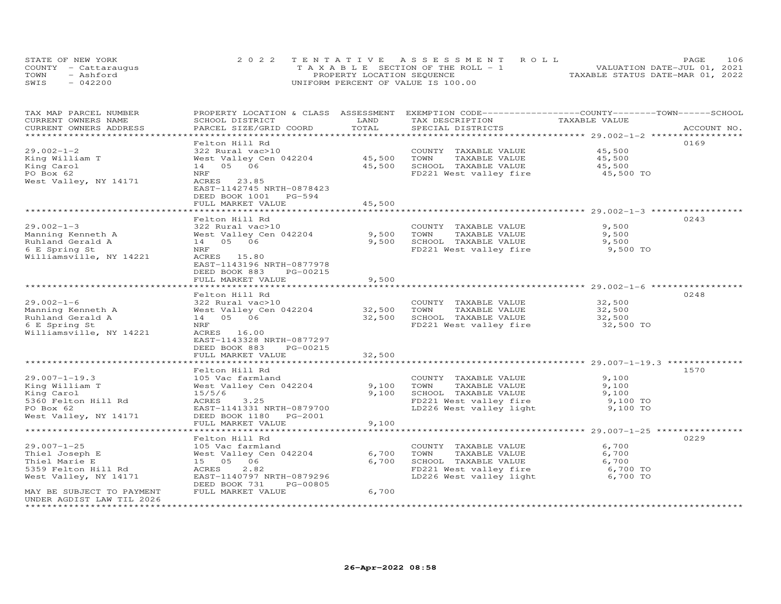| STATE OF NEW YORK |                      | 2022 TENTATIVE ASSESSMENT ROLL        |  |  |                                  | <b>PAGE</b> | 106 |
|-------------------|----------------------|---------------------------------------|--|--|----------------------------------|-------------|-----|
|                   | COUNTY - Cattaraugus | T A X A B L E SECTION OF THE ROLL - 1 |  |  | VALUATION DATE-JUL 01, 2021      |             |     |
| TOWN              | - Ashford            | PROPERTY LOCATION SEQUENCE            |  |  | TAXABLE STATUS DATE-MAR 01, 2022 |             |     |
| SWIS              | $-042200$            | UNIFORM PERCENT OF VALUE IS 100.00    |  |  |                                  |             |     |

| TAX MAP PARCEL NUMBER<br>CURRENT OWNERS NAME<br>CURRENT OWNERS ADDRESS                                                            | PROPERTY LOCATION & CLASS ASSESSMENT<br>SCHOOL DISTRICT<br>PARCEL SIZE/GRID COORD                                                                                                       | LAND<br>TOTAL              | EXEMPTION CODE------------------COUNTY-------TOWN------SCHOOL<br>TAX DESCRIPTION<br>SPECIAL DISTRICTS                                 | TAXABLE VALUE                                   | ACCOUNT NO. |
|-----------------------------------------------------------------------------------------------------------------------------------|-----------------------------------------------------------------------------------------------------------------------------------------------------------------------------------------|----------------------------|---------------------------------------------------------------------------------------------------------------------------------------|-------------------------------------------------|-------------|
| **********************                                                                                                            |                                                                                                                                                                                         |                            |                                                                                                                                       |                                                 |             |
| $29.002 - 1 - 2$<br>King William T<br>King Carol<br>PO Box 62<br>West Valley, NY 14171                                            | Felton Hill Rd<br>322 Rural vac>10<br>West Valley Cen 042204<br>14 05 06<br>NRF<br>ACRES<br>23.85<br>EAST-1142745 NRTH-0878423<br>DEED BOOK 1001<br>PG-594<br>FULL MARKET VALUE         | 45,500<br>45,500<br>45,500 | COUNTY TAXABLE VALUE<br>TOWN<br>TAXABLE VALUE<br>SCHOOL TAXABLE VALUE<br>FD221 West valley fire 45,500 TO                             | 45,500<br>45,500<br>45,500                      | 0169        |
|                                                                                                                                   | ******************                                                                                                                                                                      | *********                  |                                                                                                                                       | ************************ 29.002-1-3 ******      |             |
| $29.002 - 1 - 3$<br>Manning Kenneth A<br>Ruhland Gerald A<br>6 E Spring St<br>Williamsville, NY 14221                             | Felton Hill Rd<br>322 Rural vac>10<br>West Valley Cen 042204<br>14  05  06<br>${\tt NRF}$<br>ACRES 15.80<br>EAST-1143196 NRTH-0877978<br>DEED BOOK 883<br>PG-00215<br>FULL MARKET VALUE | 9,500<br>9,500<br>9,500    | COUNTY TAXABLE VALUE<br>TOWN<br>TAXABLE VALUE<br>SCHOOL TAXABLE VALUE<br>FD221 West valley fire                                       | 9,500<br>9,500<br>9,500<br>9,500 TO             | 0243        |
|                                                                                                                                   | *************************                                                                                                                                                               | * * * * * * * * * * * *    |                                                                                                                                       |                                                 |             |
| $29.002 - 1 - 6$<br>Manning Kenneth A<br>Ruhland Gerald A<br>6 E Spring St<br>Williamsville, NY 14221                             | Felton Hill Rd<br>322 Rural vac>10<br>West Valley Cen 042204<br>14 05 06<br>NRF<br>ACRES 16.00<br>EAST-1143328 NRTH-0877297<br>DEED BOOK 883<br>PG-00215<br>FULL MARKET VALUE           | 32,500<br>32,500<br>32,500 | COUNTY TAXABLE VALUE<br>TOWN<br>TAXABLE VALUE<br>SCHOOL TAXABLE VALUE<br>FD221 West valley fire                                       | 32,500<br>32,500<br>32,500<br>32,500 TO         | 0248        |
|                                                                                                                                   |                                                                                                                                                                                         |                            |                                                                                                                                       |                                                 |             |
| $29.007 - 1 - 19.3$<br>King William T<br>King Carol<br>5360 Felton Hill Rd<br>PO Box 62<br>West Valley, NY 14171                  | Felton Hill Rd<br>105 Vac farmland<br>West Valley Cen 042204<br>15/5/6<br>ACRES<br>3.25<br>EAST-1141331 NRTH-0879700<br>DEED BOOK 1180 PG-2001<br>FULL MARKET VALUE                     | 9,100<br>9,100<br>9,100    | COUNTY TAXABLE VALUE<br>TOWN<br>TAXABLE VALUE<br>SCHOOL TAXABLE VALUE<br>FD221 West valley fire<br>LD226 West valley light $9,100$ TO | 9,100<br>9,100<br>9,100<br>9,100 TO             | 1570        |
|                                                                                                                                   |                                                                                                                                                                                         |                            |                                                                                                                                       |                                                 |             |
| $29.007 - 1 - 25$<br>Thiel Joseph E<br>Thiel Marie E<br>5359 Felton Hill Rd<br>West Valley, NY 14171<br>MAY BE SUBJECT TO PAYMENT | Felton Hill Rd<br>105 Vac farmland<br>West Valley Cen 042204<br>15 05 06<br>2.82<br>ACRES<br>EAST-1140797 NRTH-0879296<br>DEED BOOK 731<br>PG-00805<br>FULL MARKET VALUE                | 6,700<br>6,700<br>6,700    | COUNTY TAXABLE VALUE<br>TAXABLE VALUE<br>TOWN<br>SCHOOL TAXABLE VALUE<br>FD221 West valley fire<br>LD226 West valley light            | 6,700<br>6,700<br>6,700<br>6,700 TO<br>6,700 TO | 0229        |
| UNDER AGDIST LAW TIL 2026                                                                                                         |                                                                                                                                                                                         |                            |                                                                                                                                       |                                                 |             |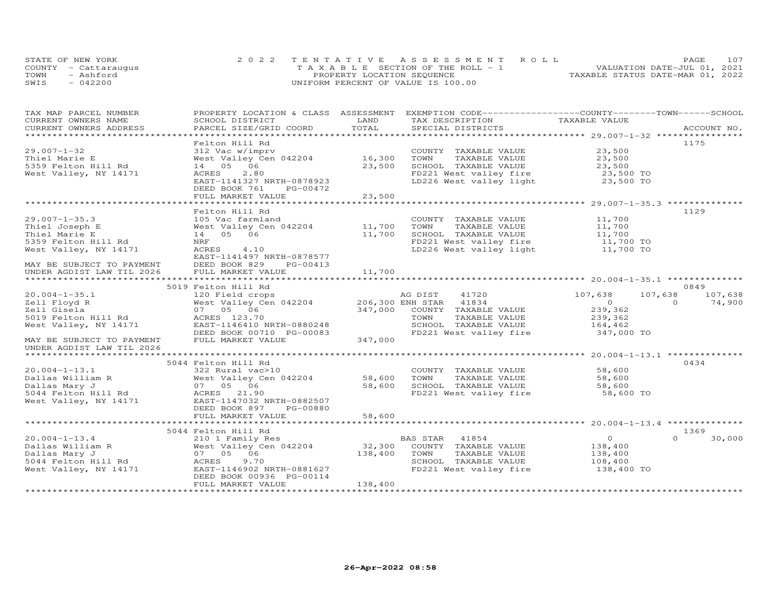|      | STATE OF NEW YORK    | 2022 TENTATIVE ASSESSMENT ROLL        | 107<br>PAGE.                     |
|------|----------------------|---------------------------------------|----------------------------------|
|      | COUNTY - Cattaraugus | T A X A B L E SECTION OF THE ROLL - 1 | VALUATION DATE-JUL 01, 2021      |
| TOWN | - Ashford            | PROPERTY LOCATION SEQUENCE            | TAXABLE STATUS DATE-MAR 01, 2022 |
| SWIS | $-042200$            | UNIFORM PERCENT OF VALUE IS 100.00    |                                  |

| TAX MAP PARCEL NUMBER<br>CURRENT OWNERS NAME       | PROPERTY LOCATION & CLASS ASSESSMENT<br>SCHOOL DISTRICT | LAND    | EXEMPTION CODE-----------------COUNTY-------TOWN------SCHOOL<br>TAX DESCRIPTION | TAXABLE VALUE              |                    |
|----------------------------------------------------|---------------------------------------------------------|---------|---------------------------------------------------------------------------------|----------------------------|--------------------|
| CURRENT OWNERS ADDRESS<br>************************ | PARCEL SIZE/GRID COORD                                  | TOTAL   | SPECIAL DISTRICTS                                                               |                            | ACCOUNT NO.        |
|                                                    | Felton Hill Rd                                          |         |                                                                                 |                            | 1175               |
| $29.007 - 1 - 32$<br>Thiel Marie E                 | 312 Vac w/imprv<br>West Valley Cen 042204               | 16,300  | COUNTY TAXABLE VALUE<br>TOWN<br>TAXABLE VALUE                                   | 23,500<br>23,500           |                    |
| 5359 Felton Hill Rd                                | 14  05  06                                              | 23,500  | SCHOOL TAXABLE VALUE                                                            | 23,500                     |                    |
| West Valley, NY 14171                              | 2.80<br>ACRES                                           |         | FD221 West valley fire 23,500 TO<br>LD226 West valley light 23,500 TO           | $23,500$ TO<br>$23,500$ TO |                    |
|                                                    | EAST-1141327 NRTH-0878923<br>DEED BOOK 761<br>PG-00472  | 23,500  |                                                                                 |                            |                    |
|                                                    | FULL MARKET VALUE                                       |         |                                                                                 |                            |                    |
|                                                    | Felton Hill Rd                                          |         |                                                                                 |                            | 1129               |
| $29.007 - 1 - 35.3$                                | 105 Vac farmland                                        |         | COUNTY TAXABLE VALUE                                                            | 11,700                     |                    |
| Thiel Joseph E                                     | West Valley Cen 042204                                  | 11,700  | TOWN<br>TAXABLE VALUE                                                           | 11,700                     |                    |
| Thiel Marie E                                      | 14  05  06                                              | 11,700  | SCHOOL TAXABLE VALUE                                                            | 11,700                     |                    |
| 5359 Felton Hill Rd                                | NRF                                                     |         | FD221 West valley fire<br>LD226 West valley light                               | 11,700 TO<br>11,700 TO     |                    |
| West Valley, NY 14171                              | ACRES<br>4.10                                           |         |                                                                                 |                            |                    |
|                                                    | EAST-1141497 NRTH-0878577                               |         |                                                                                 |                            |                    |
| MAY BE SUBJECT TO PAYMENT                          | DEED BOOK 829<br>PG-00413                               |         |                                                                                 |                            |                    |
| UNDER AGDIST LAW TIL 2026                          | FULL MARKET VALUE                                       | 11,700  |                                                                                 |                            |                    |
|                                                    | 5019 Felton Hill Rd                                     |         |                                                                                 |                            | 0849               |
| $20.004 - 1 - 35.1$                                | 120 Field crops                                         |         | 41720<br>AG DIST                                                                | 107,638                    | 107,638<br>107,638 |
| Zell Floyd R                                       | West Valley Cen 042204                                  |         | 206,300 ENH STAR 41834                                                          | $\overline{0}$             | $\Omega$<br>74,900 |
| Zell Gisela                                        | 07 05 06                                                | 347,000 | COUNTY TAXABLE VALUE                                                            | 239,362                    |                    |
| 5019 Felton Hill Rd                                | ACRES 123.70                                            |         | TOWN<br>TAXABLE VALUE                                                           | 239,362                    |                    |
| West Valley, NY 14171                              | EAST-1146410 NRTH-0880248                               |         | SCHOOL TAXABLE VALUE                                                            | 164,462                    |                    |
|                                                    | DEED BOOK 00710 PG-00083                                |         | FD221 West valley fire                                                          | 347,000 TO                 |                    |
| MAY BE SUBJECT TO PAYMENT                          | FULL MARKET VALUE                                       | 347,000 |                                                                                 |                            |                    |
| UNDER AGDIST LAW TIL 2026                          |                                                         |         |                                                                                 |                            |                    |
|                                                    |                                                         |         |                                                                                 |                            |                    |
| $20.004 - 1 - 13.1$                                | 5044 Felton Hill Rd<br>322 Rural vac>10                 |         | COUNTY TAXABLE VALUE                                                            | 58,600                     | 0434               |
| Dallas William R                                   | West Valley Cen 042204                                  | 58,600  | TOWN<br>TAXABLE VALUE                                                           | 58,600                     |                    |
| Dallas Mary J                                      | 07 05 06                                                | 58,600  |                                                                                 | 58,600                     |                    |
| 5044 Felton Hill Rd                                | ACRES 21.90                                             |         | SCHOOL TAXABLE VALUE<br>FD221 West valley fire                                  | 58,600 TO                  |                    |
| West Valley, NY 14171                              | EAST-1147032 NRTH-0882507                               |         |                                                                                 |                            |                    |
|                                                    | DEED BOOK 897<br>PG-00880                               |         |                                                                                 |                            |                    |
|                                                    | FULL MARKET VALUE                                       | 58,600  |                                                                                 |                            |                    |
|                                                    |                                                         |         |                                                                                 |                            |                    |
|                                                    | 5044 Felton Hill Rd                                     |         |                                                                                 |                            | 1369               |
| $20.004 - 1 - 13.4$                                | 210 1 Family Res                                        | 32,300  | BAS STAR<br>41854                                                               | $\overline{O}$             | $\Omega$<br>30,000 |
| Dallas William R<br>Dallas Mary J                  | West Valley Cen 042204<br>07 05 06                      | 138,400 | COUNTY TAXABLE VALUE<br>TAXABLE VALUE<br>TOWN                                   | 138,400<br>138,400         |                    |
| 5044 Felton Hill Rd                                | 9.70<br>ACRES                                           |         | SCHOOL TAXABLE VALUE                                                            | 108,400                    |                    |
| West Valley, NY 14171                              | EAST-1146902 NRTH-0881627                               |         | FD221 West valley fire                                                          | 138,400 TO                 |                    |
|                                                    | DEED BOOK 00936 PG-00114                                |         |                                                                                 |                            |                    |
|                                                    | FULL MARKET VALUE                                       | 138,400 |                                                                                 |                            |                    |
|                                                    |                                                         |         |                                                                                 |                            |                    |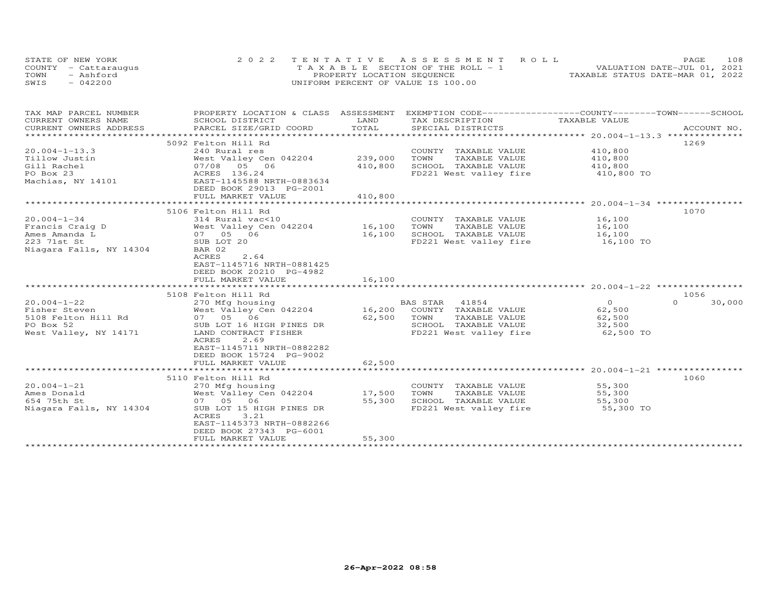| STATE OF NEW YORK    | 2022 TENTATIVE ASSESSMENT ROLL           |                                  | PAGE.                       | 108 |
|----------------------|------------------------------------------|----------------------------------|-----------------------------|-----|
| COUNTY - Cattaraugus | $T A X A B I E$ SECTION OF THE ROLL $-1$ |                                  | VALUATION DATE-JUL 01, 2021 |     |
| TOWN<br>- Ashford    | PROPERTY LOCATION SEQUENCE               | TAXABLE STATUS DATE-MAR 01, 2022 |                             |     |
| $-042200$<br>SWIS    | UNIFORM PERCENT OF VALUE IS 100.00       |                                  |                             |     |

| TAX MAP PARCEL NUMBER   | PROPERTY LOCATION & CLASS ASSESSMENT            |                        | EXEMPTION CODE------------------COUNTY-------TOWN------SCHOOL |                |                    |
|-------------------------|-------------------------------------------------|------------------------|---------------------------------------------------------------|----------------|--------------------|
| CURRENT OWNERS NAME     | SCHOOL DISTRICT                                 | LAND                   | TAX DESCRIPTION                                               | TAXABLE VALUE  |                    |
| CURRENT OWNERS ADDRESS  | PARCEL SIZE/GRID COORD                          | TOTAL                  | SPECIAL DISTRICTS                                             |                | ACCOUNT NO.        |
|                         |                                                 |                        |                                                               |                |                    |
|                         | 5092 Felton Hill Rd                             |                        |                                                               |                | 1269               |
| $20.004 - 1 - 13.3$     | 240 Rural res                                   |                        | COUNTY<br>TAXABLE VALUE                                       | 410,800        |                    |
| Tillow Justin           | West Valley Cen 042204                          | 239,000                | TOWN<br>TAXABLE VALUE                                         | 410,800        |                    |
| Gill Rachel             | 07/08 05 06                                     | 410,800                | SCHOOL TAXABLE VALUE                                          | 410,800        |                    |
| PO Box 23               | ACRES 136.24                                    |                        | FD221 West valley fire                                        | 410,800 TO     |                    |
| Machias, NY 14101       | EAST-1145588 NRTH-0883634                       |                        |                                                               |                |                    |
|                         | DEED BOOK 29013 PG-2001                         |                        |                                                               |                |                    |
|                         | FULL MARKET VALUE                               | 410,800                |                                                               |                |                    |
|                         |                                                 |                        |                                                               |                |                    |
|                         | 5106 Felton Hill Rd                             |                        |                                                               |                | 1070               |
| $20.004 - 1 - 34$       | 314 Rural vac<10                                |                        | COUNTY TAXABLE VALUE                                          | 16,100         |                    |
| Francis Craig D         | West Valley Cen 042204                          | 16,100                 | TOWN<br>TAXABLE VALUE                                         | 16,100         |                    |
| Ames Amanda L           | 07 05 06                                        | 16,100                 | SCHOOL TAXABLE VALUE                                          | 16,100         |                    |
| 223 71st St             | SUB LOT 20                                      |                        | FD221 West valley fire                                        | 16,100 TO      |                    |
| Niagara Falls, NY 14304 | BAR 02                                          |                        |                                                               |                |                    |
|                         | ACRES<br>2.64                                   |                        |                                                               |                |                    |
|                         | EAST-1145716 NRTH-0881425                       |                        |                                                               |                |                    |
|                         | DEED BOOK 20210 PG-4982                         |                        |                                                               |                |                    |
|                         | FULL MARKET VALUE<br>************************** | 16,100<br>************ |                                                               |                |                    |
|                         |                                                 |                        |                                                               |                |                    |
|                         | 5108 Felton Hill Rd                             |                        |                                                               |                | 1056               |
| $20.004 - 1 - 22$       | 270 Mfg housing                                 |                        | 41854<br>BAS STAR                                             | $\overline{O}$ | $\Omega$<br>30,000 |
| Fisher Steven           | West Valley Cen 042204                          | 16,200                 | COUNTY TAXABLE VALUE                                          | 62,500         |                    |
| 5108 Felton Hill Rd     | 07 05 06                                        | 62,500                 | TOWN<br>TAXABLE VALUE<br>SCHOOL TAXABLE VALUE                 | 62,500         |                    |
| PO Box 52               | SUB LOT 16 HIGH PINES DR                        |                        |                                                               | 32,500         |                    |
| West Valley, NY 14171   | LAND CONTRACT FISHER<br>2.69<br>ACRES           |                        | FD221 West valley fire                                        | 62,500 TO      |                    |
|                         | EAST-1145711 NRTH-0882282                       |                        |                                                               |                |                    |
|                         | DEED BOOK 15724 PG-9002                         |                        |                                                               |                |                    |
|                         | FULL MARKET VALUE                               | 62,500                 |                                                               |                |                    |
|                         |                                                 |                        |                                                               |                |                    |
|                         | 5110 Felton Hill Rd                             |                        |                                                               |                | 1060               |
| $20.004 - 1 - 21$       | 270 Mfg housing                                 |                        | COUNTY TAXABLE VALUE                                          | 55,300         |                    |
| Ames Donald             | West Valley Cen 042204                          | 17,500                 | TOWN<br>TAXABLE VALUE                                         | 55,300         |                    |
| 654 75th St             | 07 05 06                                        | 55,300                 | SCHOOL TAXABLE VALUE                                          | 55,300         |                    |
| Niagara Falls, NY 14304 | SUB LOT 15 HIGH PINES DR                        |                        | FD221 West valley fire                                        | 55,300 TO      |                    |
|                         | ACRES<br>3.21                                   |                        |                                                               |                |                    |
|                         | EAST-1145373 NRTH-0882266                       |                        |                                                               |                |                    |
|                         | DEED BOOK 27343 PG-6001                         |                        |                                                               |                |                    |
|                         | FULL MARKET VALUE                               | 55,300                 |                                                               |                |                    |
|                         |                                                 |                        |                                                               |                |                    |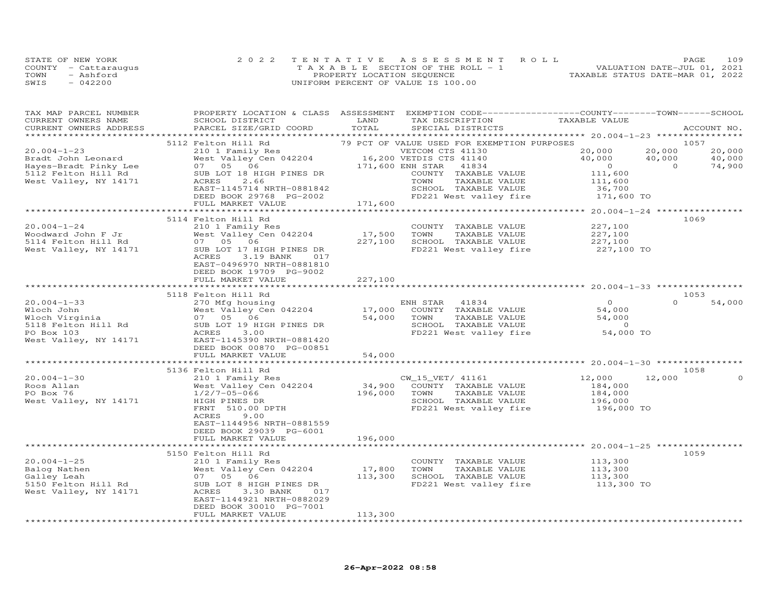|      | STATE OF NEW YORK    | 2022 TENTATIVE ASSESSMENT ROLL        |                                  | PAGE                        | 109 |
|------|----------------------|---------------------------------------|----------------------------------|-----------------------------|-----|
|      | COUNTY - Cattaraugus | T A X A B L E SECTION OF THE ROLL - 1 |                                  | VALUATION DATE-JUL 01, 2021 |     |
| TOWN | - Ashford            | PROPERTY LOCATION SEQUENCE            | TAXABLE STATUS DATE-MAR 01, 2022 |                             |     |
| SWIS | $-042200$            | UNIFORM PERCENT OF VALUE IS 100.00    |                                  |                             |     |

| TAX MAP PARCEL NUMBER<br>CURRENT OWNERS NAME<br>CURRENT OWNERS ADDRESS | PROPERTY LOCATION & CLASS ASSESSMENT<br>SCHOOL DISTRICT<br>PARCEL SIZE/GRID COORD | LAND<br>TOTAL | EXEMPTION CODE-----------------COUNTY-------TOWN------SCHOOL<br>TAX DESCRIPTION<br>SPECIAL DISTRICTS | TAXABLE VALUE                                  | ACCOUNT NO.        |  |
|------------------------------------------------------------------------|-----------------------------------------------------------------------------------|---------------|------------------------------------------------------------------------------------------------------|------------------------------------------------|--------------------|--|
|                                                                        |                                                                                   |               |                                                                                                      |                                                |                    |  |
|                                                                        | 5112 Felton Hill Rd                                                               |               | 79 PCT OF VALUE USED FOR EXEMPTION PURPOSES                                                          |                                                | 1057               |  |
| $20.004 - 1 - 23$                                                      | 210 1 Family Res                                                                  |               | VETCOM CTS 41130                                                                                     | 20,000                                         | 20,000<br>20,000   |  |
| Bradt John Leonard                                                     | West Valley Cen 042204                                                            |               | 16,200 VETDIS CTS 41140                                                                              | 40,000                                         | 40,000<br>40,000   |  |
| Hayes-Bradt Pinky Lee                                                  | 07 05 06                                                                          |               | 171,600 ENH STAR<br>41834                                                                            | $\overline{0}$                                 | $\Omega$<br>74,900 |  |
| 5112 Felton Hill Rd                                                    | SUB LOT 18 HIGH PINES DR                                                          |               | COUNTY TAXABLE VALUE                                                                                 | 111,600                                        |                    |  |
| West Valley, NY 14171                                                  | ACRES<br>2.66                                                                     |               | TOWN<br>TAXABLE VALUE                                                                                | 111,600                                        |                    |  |
|                                                                        | EAST-1145714 NRTH-0881842<br>DEED BOOK 29768 PG-2002                              |               | SCHOOL TAXABLE VALUE<br>FD221 West valley fire                                                       | 36,700<br>171,600 TO                           |                    |  |
|                                                                        | FULL MARKET VALUE                                                                 | 171,600       |                                                                                                      |                                                |                    |  |
|                                                                        |                                                                                   |               |                                                                                                      | **************** 20.004-1-24 ***************** |                    |  |
|                                                                        | 5114 Felton Hill Rd                                                               |               |                                                                                                      |                                                | 1069               |  |
| $20.004 - 1 - 24$                                                      | 210 1 Family Res                                                                  |               | COUNTY TAXABLE VALUE                                                                                 | 227,100                                        |                    |  |
| Woodward John F Jr                                                     | West Valley Cen 042204                                                            | 17,500        | TOWN<br>TAXABLE VALUE                                                                                | 227,100                                        |                    |  |
| 5114 Felton Hill Rd                                                    | 07 05 06                                                                          | 227,100       | SCHOOL TAXABLE VALUE                                                                                 | 227,100                                        |                    |  |
| West Valley, NY 14171                                                  | SUB LOT 17 HIGH PINES DR                                                          |               | FD221 West valley fire                                                                               | 227,100 TO                                     |                    |  |
|                                                                        | 3.19 BANK<br>ACRES<br>017                                                         |               |                                                                                                      |                                                |                    |  |
|                                                                        | EAST-0496970 NRTH-0881810                                                         |               |                                                                                                      |                                                |                    |  |
|                                                                        | DEED BOOK 19709 PG-9002<br>FULL MARKET VALUE                                      | 227,100       |                                                                                                      |                                                |                    |  |
|                                                                        |                                                                                   |               |                                                                                                      |                                                |                    |  |
|                                                                        | 5118 Felton Hill Rd                                                               |               |                                                                                                      |                                                | 1053               |  |
| $20.004 - 1 - 33$                                                      | 270 Mfg housing                                                                   |               | 41834<br>ENH STAR                                                                                    | $\overline{O}$                                 | $\Omega$<br>54,000 |  |
| Wloch John                                                             | West Valley Cen 042204                                                            | 17,000        | COUNTY TAXABLE VALUE                                                                                 | 54,000                                         |                    |  |
| Wloch Virginia                                                         | 07 05 06                                                                          | 54,000        | TOWN<br>TAXABLE VALUE                                                                                | 54,000                                         |                    |  |
| 5118 Felton Hill Rd                                                    | SUB LOT 19 HIGH PINES DR                                                          |               | SCHOOL TAXABLE VALUE                                                                                 | $\overline{0}$                                 |                    |  |
| PO Box 103                                                             | ACRES<br>3.00                                                                     |               | FD221 West valley fire                                                                               | 54,000 TO                                      |                    |  |
| West Valley, NY 14171                                                  | EAST-1145390 NRTH-0881420                                                         |               |                                                                                                      |                                                |                    |  |
|                                                                        | DEED BOOK 00870 PG-00851                                                          |               |                                                                                                      |                                                |                    |  |
|                                                                        | FULL MARKET VALUE                                                                 | 54,000        |                                                                                                      |                                                |                    |  |
|                                                                        | 5136 Felton Hill Rd                                                               |               |                                                                                                      |                                                | 1058               |  |
| $20.004 - 1 - 30$                                                      | 210 1 Family Res                                                                  |               | CW_15_VET/ 41161                                                                                     | 12,000                                         | 12,000             |  |
| Roos Allan                                                             | West Valley Cen 042204                                                            | 34,900        | COUNTY TAXABLE VALUE                                                                                 | 184,000                                        |                    |  |
| PO Box 76                                                              | 1/2/7-05-066                                                                      | 196,000       | TAXABLE VALUE<br>TOWN                                                                                | 184,000                                        |                    |  |
| West Valley, NY 14171                                                  | HIGH PINES DR                                                                     |               | SCHOOL TAXABLE VALUE                                                                                 | 196,000                                        |                    |  |
|                                                                        | FRNT 510.00 DPTH                                                                  |               | FD221 West valley fire                                                                               | 196,000 TO                                     |                    |  |
|                                                                        | <b>ACRES</b><br>9.00                                                              |               |                                                                                                      |                                                |                    |  |
|                                                                        | EAST-1144956 NRTH-0881559                                                         |               |                                                                                                      |                                                |                    |  |
|                                                                        | DEED BOOK 29039 PG-6001                                                           |               |                                                                                                      |                                                |                    |  |
|                                                                        | FULL MARKET VALUE                                                                 | 196,000       |                                                                                                      |                                                |                    |  |
|                                                                        | 5150 Felton Hill Rd                                                               |               |                                                                                                      |                                                | 1059               |  |
| $20.004 - 1 - 25$                                                      | 210 1 Family Res                                                                  |               | COUNTY TAXABLE VALUE                                                                                 | 113,300                                        |                    |  |
| Balog Nathen                                                           | West Valley Cen 042204                                                            | 17,800        | TOWN<br>TAXABLE VALUE                                                                                | 113,300                                        |                    |  |
| Galley Leah                                                            | 07 05 06                                                                          | 113,300       | SCHOOL TAXABLE VALUE                                                                                 | 113,300                                        |                    |  |
| 5150 Felton Hill Rd                                                    | SUB LOT 8 HIGH PINES DR                                                           |               | FD221 West valley fire                                                                               | 113,300 TO                                     |                    |  |
| West Valley, NY 14171                                                  | ACRES<br>3.30 BANK<br>017                                                         |               |                                                                                                      |                                                |                    |  |
|                                                                        | EAST-1144921 NRTH-0882029                                                         |               |                                                                                                      |                                                |                    |  |
|                                                                        | DEED BOOK 30010 PG-7001                                                           |               |                                                                                                      |                                                |                    |  |
|                                                                        | FULL MARKET VALUE                                                                 | 113,300       |                                                                                                      |                                                |                    |  |
|                                                                        |                                                                                   |               |                                                                                                      |                                                |                    |  |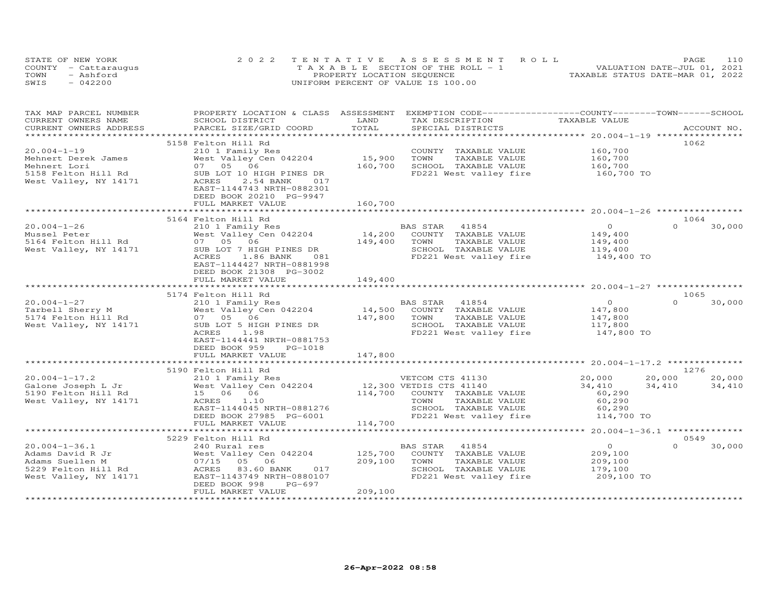| STATE OF NEW YORK |                      | 2022 TENTATIVE ASSESSMENT ROLL        | 110<br>PAGE                      |
|-------------------|----------------------|---------------------------------------|----------------------------------|
|                   | COUNTY - Cattaraugus | T A X A B L E SECTION OF THE ROLL - 1 | VALUATION DATE-JUL 01, 2021      |
| TOWN              | - Ashford            | PROPERTY LOCATION SEQUENCE            | TAXABLE STATUS DATE-MAR 01, 2022 |
| SWIS              | $-042200$            | UNIFORM PERCENT OF VALUE IS 100.00    |                                  |

| TAX MAP PARCEL NUMBER<br>CURRENT OWNERS NAME                                                               | SCHOOL DISTRICT                                                                                                                                      | LAND               | PROPERTY LOCATION & CLASS ASSESSMENT EXEMPTION CODE----------------COUNTY--------TOWN------SCHOOL<br>TAX DESCRIPTION                           | TAXABLE VALUE                                                 |                                      |
|------------------------------------------------------------------------------------------------------------|------------------------------------------------------------------------------------------------------------------------------------------------------|--------------------|------------------------------------------------------------------------------------------------------------------------------------------------|---------------------------------------------------------------|--------------------------------------|
| CURRENT OWNERS ADDRESS                                                                                     | PARCEL SIZE/GRID COORD                                                                                                                               | TOTAL              | SPECIAL DISTRICTS                                                                                                                              |                                                               | ACCOUNT NO.                          |
|                                                                                                            |                                                                                                                                                      |                    |                                                                                                                                                |                                                               |                                      |
| $20.004 - 1 - 19$<br>Mehnert Derek James                                                                   | 5158 Felton Hill Rd<br>210 1 Family Res<br>West Valley Cen 042204                                                                                    | 15,900             | COUNTY TAXABLE VALUE<br>TAXABLE VALUE<br>TOWN                                                                                                  | 160,700<br>160,700                                            | 1062                                 |
| Mehnert Lori<br>5158 Felton Hill Rd<br>West Valley, NY 14171                                               | 07 05 06<br>SUB LOT 10 HIGH PINES DR<br>ACRES<br>2.54 BANK<br>017<br>EAST-1144743 NRTH-0882301<br>DEED BOOK 20210 PG-9947                            | 160,700            | SCHOOL TAXABLE VALUE<br>FD221 West valley fire                                                                                                 | 160,700<br>160,700 TO                                         |                                      |
|                                                                                                            | FULL MARKET VALUE                                                                                                                                    | 160,700            |                                                                                                                                                |                                                               |                                      |
|                                                                                                            | 5164 Felton Hill Rd                                                                                                                                  |                    |                                                                                                                                                |                                                               | 1064                                 |
| $20.004 - 1 - 26$<br>Mussel Peter<br>5164 Felton Hill Rd<br>West Valley, NY 14171                          | 210 1 Family Res<br>West Valley Cen 042204<br>07 05<br>06<br>SUB LOT 7 HIGH PINES DR<br>ACRES<br>1.86 BANK<br>081<br>EAST-1144427 NRTH-0881998       | 149,400            | BAS STAR 41854<br>14,200 COUNTY TAXABLE VALUE<br>TAXABLE VALUE<br>TOWN<br>SCHOOL TAXABLE VALUE<br>FD221 West valley fire                       | $\overline{O}$<br>149,400<br>149,400<br>119,400<br>149,400 TO | $\Omega$<br>30,000                   |
|                                                                                                            | DEED BOOK 21308 PG-3002<br>FULL MARKET VALUE                                                                                                         | 149,400            |                                                                                                                                                |                                                               |                                      |
|                                                                                                            |                                                                                                                                                      |                    |                                                                                                                                                |                                                               |                                      |
|                                                                                                            | 5174 Felton Hill Rd                                                                                                                                  |                    |                                                                                                                                                |                                                               | 1065                                 |
| $20.004 - 1 - 27$<br>Tarbell Sherry M                                                                      | 210 1 Family Res<br>West Valley Cen 042204                                                                                                           | 14,500             | BAS STAR<br>41854<br>COUNTY TAXABLE VALUE                                                                                                      | $\overline{O}$<br>147,800                                     | $\Omega$<br>30,000                   |
| 5174 Felton Hill Rd<br>West Valley, NY 14171                                                               | 07 05 06<br>SUB LOT 5 HIGH PINES DR<br>ACRES<br>1.98<br>EAST-1144441 NRTH-0881753<br>DEED BOOK 959<br>PG-1018                                        | 147,800            | TOWN<br>TAXABLE VALUE<br>SCHOOL TAXABLE VALUE<br>FD221 West valley fire                                                                        | 147,800<br>117,800<br>147,800 TO                              |                                      |
|                                                                                                            | FULL MARKET VALUE                                                                                                                                    | 147,800            |                                                                                                                                                |                                                               |                                      |
|                                                                                                            |                                                                                                                                                      |                    |                                                                                                                                                |                                                               |                                      |
|                                                                                                            | 5190 Felton Hill Rd                                                                                                                                  |                    |                                                                                                                                                |                                                               | 1276                                 |
| $20.004 - 1 - 17.2$<br>Galone Joseph L Jr<br>5190 Felton Hill Rd<br>West Valley, NY 14171                  | 210 1 Family Res<br>West Valley Cen 042204<br>15 06 06<br>ACRES<br>1.10<br>EAST-1144045 NRTH-0881276<br>DEED BOOK 27985 PG-6001<br>FULL MARKET VALUE | 114,700<br>114,700 | VETCOM CTS 41130<br>12,300 VETDIS CTS 41140<br>COUNTY TAXABLE VALUE<br>TOWN<br>TAXABLE VALUE<br>SCHOOL TAXABLE VALUE<br>FD221 West valley fire | 20,000<br>34,410<br>60,290<br>60,290<br>60,290<br>114,700 TO  | 20,000<br>20,000<br>34,410<br>34,410 |
|                                                                                                            |                                                                                                                                                      |                    |                                                                                                                                                |                                                               |                                      |
|                                                                                                            | 5229 Felton Hill Rd                                                                                                                                  |                    |                                                                                                                                                |                                                               | 0549                                 |
| $20.004 - 1 - 36.1$<br>Adams David R Jr<br>Adams Suellen M<br>5229 Felton Hill Rd<br>West Valley, NY 14171 | 240 Rural res<br>West Valley Cen 042204<br>07/15 05 06<br>83.60 BANK<br>017<br>ACRES<br>EAST-1143749 NRTH-0880107<br>DEED BOOK 998<br>PG-697         | 209,100            | BAS STAR<br>41854<br>125,700 COUNTY TAXABLE VALUE<br>TOWN<br>TAXABLE VALUE<br>SCHOOL TAXABLE VALUE<br>FD221 West valley fire                   | $\overline{0}$<br>209,100<br>209,100<br>179,100<br>209,100 TO | $\Omega$<br>30,000                   |
|                                                                                                            | FULL MARKET VALUE                                                                                                                                    | 209,100            |                                                                                                                                                |                                                               |                                      |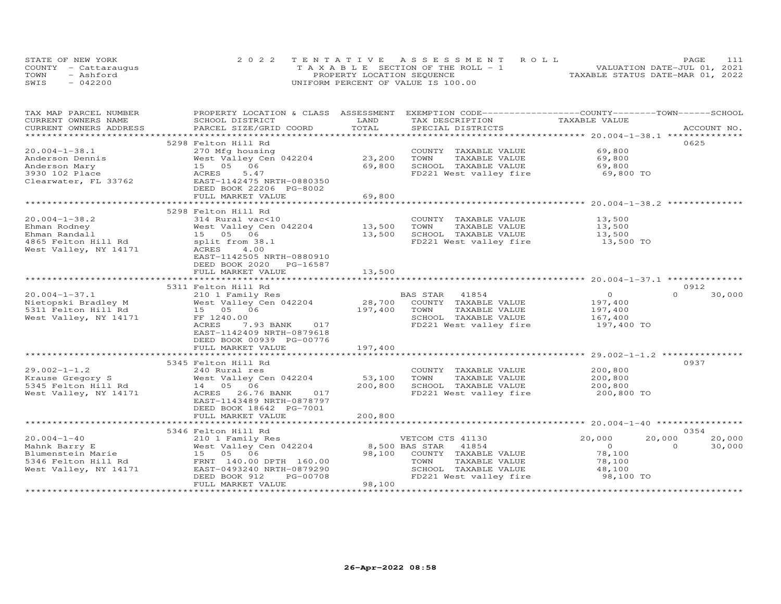| STATE OF NEW YORK    | 2022 TENTATIVE ASSESSMENT ROLL     |                                            |                                  | PAGE |  |
|----------------------|------------------------------------|--------------------------------------------|----------------------------------|------|--|
| COUNTY - Cattaraugus |                                    | $T A X A B I E E$ SECTION OF THE ROLL $-1$ | VALUATION DATE-JUL 01, 2021      |      |  |
| TOWN<br>- Ashford    |                                    | PROPERTY LOCATION SEQUENCE                 | TAXABLE STATUS DATE-MAR 01, 2022 |      |  |
| $-042200$<br>SWIS    | UNIFORM PERCENT OF VALUE IS 100.00 |                                            |                                  |      |  |

| TAX MAP PARCEL NUMBER                         | PROPERTY LOCATION & CLASS ASSESSMENT                 | LAND                          | EXEMPTION CODE-----------------COUNTY-------TOWN-----SCHOOL |                  |                    |
|-----------------------------------------------|------------------------------------------------------|-------------------------------|-------------------------------------------------------------|------------------|--------------------|
| CURRENT OWNERS NAME<br>CURRENT OWNERS ADDRESS | SCHOOL DISTRICT<br>PARCEL SIZE/GRID COORD            | TOTAL                         | TAX DESCRIPTION<br>SPECIAL DISTRICTS                        | TAXABLE VALUE    | ACCOUNT NO.        |
|                                               |                                                      |                               |                                                             |                  |                    |
|                                               | 5298 Felton Hill Rd                                  |                               |                                                             |                  | 0625               |
| $20.004 - 1 - 38.1$                           | 270 Mfg housing                                      |                               | COUNTY TAXABLE VALUE                                        | 69,800           |                    |
| Anderson Dennis                               | West Valley Cen 042204                               | 23,200                        | TOWN<br>TAXABLE VALUE                                       | 69,800           |                    |
| Anderson Mary                                 | 15 05 06                                             | 69,800                        | SCHOOL TAXABLE VALUE                                        | 69,800           |                    |
|                                               | 5.47<br>ACRES                                        |                               |                                                             |                  |                    |
| 3930 102 Place                                | EAST-1142475 NRTH-0880350                            |                               | FD221 West valley fire                                      | 69,800 TO        |                    |
| Clearwater, FL 33762                          |                                                      |                               |                                                             |                  |                    |
|                                               | DEED BOOK 22206 PG-8002                              |                               |                                                             |                  |                    |
|                                               | FULL MARKET VALUE                                    | 69,800                        |                                                             |                  |                    |
|                                               | 5298 Felton Hill Rd                                  |                               |                                                             |                  |                    |
| $20.004 - 1 - 38.2$                           | 314 Rural vac<10                                     |                               | COUNTY TAXABLE VALUE                                        | 13,500           |                    |
| Ehman Rodney                                  | West Valley Cen 042204                               | 13,500                        | TOWN<br>TAXABLE VALUE                                       | 13,500           |                    |
| Ehman Randall                                 | 15  05  06                                           | 13,500                        | SCHOOL TAXABLE VALUE                                        | 13,500           |                    |
|                                               |                                                      |                               |                                                             |                  |                    |
| 4865 Felton Hill Rd                           | split from 38.1<br>ACRES                             |                               | FD221 West valley fire                                      | 13,500 TO        |                    |
| West Valley, NY 14171                         | 4.00                                                 |                               |                                                             |                  |                    |
|                                               | EAST-1142505 NRTH-0880910                            |                               |                                                             |                  |                    |
|                                               | DEED BOOK 2020<br>PG-16587                           |                               |                                                             |                  |                    |
|                                               | FULL MARKET VALUE<br>***********************         | 13,500<br>* * * * * * * * * * |                                                             |                  |                    |
|                                               |                                                      |                               |                                                             |                  | 0912               |
|                                               | 5311 Felton Hill Rd                                  |                               |                                                             |                  | $\Omega$           |
| $20.004 - 1 - 37.1$                           | 210 1 Family Res                                     |                               | BAS STAR<br>41854                                           | $\overline{0}$   | 30,000             |
| Nietopski Bradley M                           | West Valley Cen 042204                               | 28,700                        | COUNTY TAXABLE VALUE                                        | 197,400          |                    |
| 5311 Felton Hill Rd                           | 15 05 06                                             | 197,400                       | TOWN<br>TAXABLE VALUE                                       | 197,400          |                    |
| West Valley, NY 14171                         | FF 1240.00                                           |                               | SCHOOL TAXABLE VALUE                                        | 167,400          |                    |
|                                               | ACRES<br>7.93 BANK 017                               |                               | FD221 West valley fire                                      | 197,400 TO       |                    |
|                                               | EAST-1142409 NRTH-0879618                            |                               |                                                             |                  |                    |
|                                               | DEED BOOK 00939 PG-00776                             |                               |                                                             |                  |                    |
|                                               | FULL MARKET VALUE                                    | 197,400                       |                                                             |                  |                    |
|                                               |                                                      |                               |                                                             |                  | 0937               |
| $29.002 - 1 - 1.2$                            | 5345 Felton Hill Rd                                  |                               | COUNTY TAXABLE VALUE                                        | 200,800          |                    |
| Krause Gregory S                              | 240 Rural res<br>West Valley Cen 042204              | 53,100                        | TOWN<br>TAXABLE VALUE                                       | 200,800          |                    |
|                                               |                                                      |                               |                                                             |                  |                    |
| 5345 Felton Hill Rd                           | 14  05  06<br>ACRES<br>017                           | 200,800                       | SCHOOL TAXABLE VALUE                                        | 200,800          |                    |
| West Valley, NY 14171                         | 26.76 BANK                                           |                               | FD221 West valley fire                                      | 200,800 TO       |                    |
|                                               | EAST-1143489 NRTH-0878797                            |                               |                                                             |                  |                    |
|                                               | DEED BOOK 18642 PG-7001                              |                               |                                                             |                  |                    |
|                                               | FULL MARKET VALUE                                    | 200,800                       |                                                             |                  |                    |
|                                               | 5346 Felton Hill Rd                                  |                               |                                                             |                  | 0354               |
| $20.004 - 1 - 40$                             |                                                      |                               |                                                             | 20,000<br>20,000 | 20,000             |
|                                               | 210 1 Family Res                                     |                               | VETCOM CTS 41130<br>8,500 BAS STAR                          | $\circ$          | 30,000<br>$\Omega$ |
| Mahnk Barry E                                 | West Valley Cen 042204                               |                               | 41854                                                       |                  |                    |
| Blumenstein Marie                             | 15 05 06                                             | 98,100                        | COUNTY TAXABLE VALUE                                        | 78,100           |                    |
| 5346 Felton Hill Rd                           | FRNT 140.00 DPTH 160.00<br>EAST-0493240 NRTH-0879290 |                               | TOWN<br>TAXABLE VALUE<br>SCHOOL TAXABLE VALUE               | 78,100<br>48,100 |                    |
| West Valley, NY 14171                         | PG-00708                                             |                               |                                                             |                  |                    |
|                                               | DEED BOOK 912                                        |                               | FD221 West valley fire                                      | 98,100 TO        |                    |
|                                               | FULL MARKET VALUE                                    | 98,100                        |                                                             |                  |                    |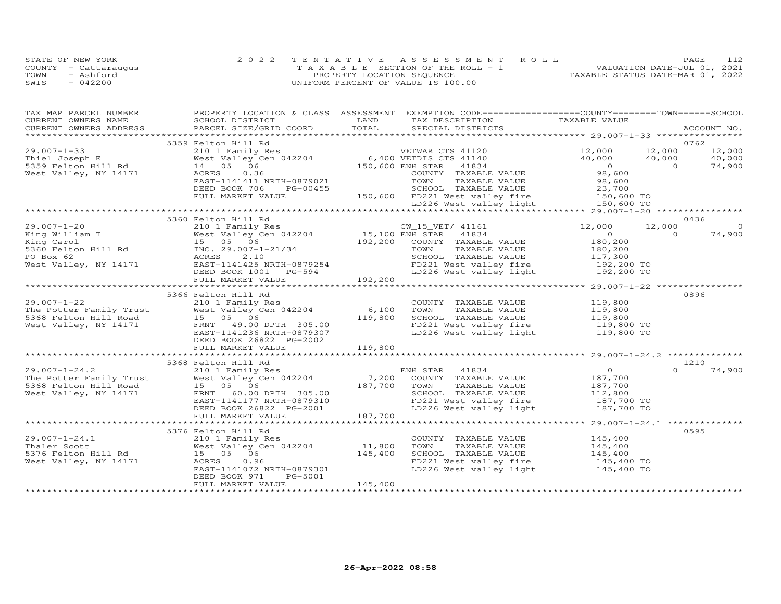|      | STATE OF NEW YORK    | 2022 TENTATIVE ASSESSMENT ROLL     | 112<br>PAGE.                     |
|------|----------------------|------------------------------------|----------------------------------|
|      | COUNTY - Cattaraugus | TAXABLE SECTION OF THE ROLL - 1    | VALUATION DATE-JUL 01, 2021      |
| TOWN | - Ashford            | PROPERTY LOCATION SEQUENCE         | TAXABLE STATUS DATE-MAR 01, 2022 |
| SWIS | $-042200$            | UNIFORM PERCENT OF VALUE IS 100.00 |                                  |

| TAX MAP PARCEL NUMBER<br>CURRENT OWNERS NAME                                                                                                                                                                                             | SCHOOL DISTRICT                                       | LAND    | PROPERTY LOCATION & CLASS ASSESSMENT EXEMPTION CODE----------------COUNTY-------TOWN------SCHOOL<br>TAX DESCRIPTION TAXABLE VALUE                                        |                                                                                          |          |             |
|------------------------------------------------------------------------------------------------------------------------------------------------------------------------------------------------------------------------------------------|-------------------------------------------------------|---------|--------------------------------------------------------------------------------------------------------------------------------------------------------------------------|------------------------------------------------------------------------------------------|----------|-------------|
| .CURRENT OWNERS ADDRESS PARCEL SIZE/GRID COORD TOTAL SPECIAL DISTRICTS ACCOUNT NO ACCOUNT NO ACCOUNT NO ARE A LATA A LATA A LATA A LATA A LATA A LATA A LATA A LATA A LATA A LATA A LATA A LATA A LATA A LATA A LATA A LATA A            |                                                       |         |                                                                                                                                                                          |                                                                                          |          | ACCOUNT NO. |
|                                                                                                                                                                                                                                          | 5359 Felton Hill Rd                                   |         |                                                                                                                                                                          |                                                                                          |          | 0762        |
| $29.007 - 1 - 33$                                                                                                                                                                                                                        |                                                       |         | 210 1 Family Res<br>West Valley Cen 042204 6,400 VETDIS CTS 41140<br>14 05 06 150,600 ENH STAR 41834<br>ACRES 0.36 COUNTY TAXARLE VALUE                                  |                                                                                          |          |             |
| Thiel Joseph E                                                                                                                                                                                                                           |                                                       |         |                                                                                                                                                                          |                                                                                          |          |             |
| 5359 Felton Hill Rd                                                                                                                                                                                                                      |                                                       |         |                                                                                                                                                                          |                                                                                          |          |             |
| West Valley, NY 14171                                                                                                                                                                                                                    |                                                       |         |                                                                                                                                                                          | $12,000$ $12,000$ $12,000$ $12,000$<br>$40,000$ $40,000$ $40,000$<br>$98,600$ 0 $74,900$ |          |             |
|                                                                                                                                                                                                                                          |                                                       |         |                                                                                                                                                                          |                                                                                          |          |             |
|                                                                                                                                                                                                                                          | EAST-1141411 NRTH-0879021<br>DEED BOOK 706 ---        |         |                                                                                                                                                                          |                                                                                          |          |             |
|                                                                                                                                                                                                                                          |                                                       |         |                                                                                                                                                                          |                                                                                          |          |             |
|                                                                                                                                                                                                                                          |                                                       |         |                                                                                                                                                                          |                                                                                          |          |             |
| EAST-1141411 NRTH-0879021<br>EAST-1141411 NRTH-0879021<br>DEED BOOK 706 PG-00455<br>FULL MARKET VALUE 150,600 FD221 West valley fire 150,600 TO<br>LD226 West valley light 150,600 TO<br>LD226 West valley light 150,600 TO              |                                                       |         |                                                                                                                                                                          |                                                                                          |          |             |
|                                                                                                                                                                                                                                          |                                                       |         |                                                                                                                                                                          |                                                                                          |          | 0436        |
|                                                                                                                                                                                                                                          |                                                       |         |                                                                                                                                                                          |                                                                                          | 12,000   | $\Omega$    |
|                                                                                                                                                                                                                                          |                                                       |         |                                                                                                                                                                          |                                                                                          | $\Omega$ | 74,900      |
|                                                                                                                                                                                                                                          |                                                       |         |                                                                                                                                                                          |                                                                                          |          |             |
|                                                                                                                                                                                                                                          |                                                       |         |                                                                                                                                                                          |                                                                                          |          |             |
|                                                                                                                                                                                                                                          |                                                       |         |                                                                                                                                                                          |                                                                                          |          |             |
|                                                                                                                                                                                                                                          |                                                       |         |                                                                                                                                                                          |                                                                                          |          |             |
|                                                                                                                                                                                                                                          |                                                       |         |                                                                                                                                                                          |                                                                                          |          |             |
|                                                                                                                                                                                                                                          |                                                       |         |                                                                                                                                                                          |                                                                                          |          |             |
|                                                                                                                                                                                                                                          |                                                       |         |                                                                                                                                                                          | **************** 29.007-1-22 *****************                                           |          |             |
|                                                                                                                                                                                                                                          | 5366 Felton Hill Rd                                   |         |                                                                                                                                                                          |                                                                                          |          | 0896        |
| $29.007 - 1 - 22$                                                                                                                                                                                                                        | 210 1 Family Res                                      |         |                                                                                                                                                                          |                                                                                          |          |             |
|                                                                                                                                                                                                                                          |                                                       |         |                                                                                                                                                                          |                                                                                          |          |             |
| 29.007-1-22<br>The Potter Family Trust and West Valley Cen 042204 6,100<br>5368 Felton Hill Road 15 05 06 119,800<br>West Valley, NY 14171 1 FRNT 49.00 DPTH 305.00                                                                      |                                                       |         | COUNTY TAXABLE VALUE 119,800<br>TOWN TAXABLE VALUE 119,800<br>SCHOOL TAXABLE VALUE 119,800                                                                               |                                                                                          |          |             |
|                                                                                                                                                                                                                                          |                                                       |         |                                                                                                                                                                          |                                                                                          |          |             |
|                                                                                                                                                                                                                                          | EAST-1141236 NRTH-0879307                             |         | SCHOOL TAXABLE VALUE                          119,800<br>FD221 West valley fire                   119,800 TO<br>LD226 West valley light                  119,800 TO      |                                                                                          |          |             |
|                                                                                                                                                                                                                                          | DEED BOOK 26822 PG-2002                               |         |                                                                                                                                                                          |                                                                                          |          |             |
|                                                                                                                                                                                                                                          | FULL MARKET VALUE                                     | 119,800 |                                                                                                                                                                          |                                                                                          |          |             |
|                                                                                                                                                                                                                                          |                                                       |         |                                                                                                                                                                          |                                                                                          |          |             |
|                                                                                                                                                                                                                                          |                                                       |         |                                                                                                                                                                          |                                                                                          |          | 1210        |
|                                                                                                                                                                                                                                          |                                                       |         |                                                                                                                                                                          |                                                                                          | $\Omega$ | 74,900      |
|                                                                                                                                                                                                                                          |                                                       |         |                                                                                                                                                                          |                                                                                          |          |             |
|                                                                                                                                                                                                                                          |                                                       |         |                                                                                                                                                                          |                                                                                          |          |             |
| 5368 Felton Hill Rd<br>5368 Felton Hill Rd<br>210 1 Family Res<br>The Potter Family Trust West Valley Cen 042204 7,200 COUNTY TAXABLE VALUE<br>5368 Felton Hill Road 15 05 06 187,700 TOWN TAXABLE VALUE 187,700<br>West Valley, NY 1417 |                                                       |         |                                                                                                                                                                          |                                                                                          |          |             |
|                                                                                                                                                                                                                                          | EAST-1141177 NRTH-0879310                             | 187,700 | TOWN TAXABLE VALUE<br>SCHOOL TAXABLE VALUE 112,800<br>The contract contract in the 187,700 TO<br>FD221 West valley fire 187,700 TO<br>LD226 West valley light 187,700 TO |                                                                                          |          |             |
|                                                                                                                                                                                                                                          | DEED BOOK 26822 PG-2001                               |         |                                                                                                                                                                          |                                                                                          |          |             |
|                                                                                                                                                                                                                                          | FULL MARKET VALUE                                     |         |                                                                                                                                                                          |                                                                                          |          |             |
|                                                                                                                                                                                                                                          |                                                       |         |                                                                                                                                                                          |                                                                                          |          |             |
|                                                                                                                                                                                                                                          | 5376 Felton Hill Rd                                   |         |                                                                                                                                                                          |                                                                                          |          | 0595        |
|                                                                                                                                                                                                                                          |                                                       |         | COUNTY TAXABLE VALUE                                                                                                                                                     | 145,400<br>145,400                                                                       |          |             |
|                                                                                                                                                                                                                                          |                                                       |         | TOWN<br>TAXABLE VALUE                                                                                                                                                    |                                                                                          |          |             |
|                                                                                                                                                                                                                                          |                                                       |         | CHOOL TAXABLE VALUE<br>FD221 West valley fire 145,400 TO<br>LD226 West valley light 145,400 TO                                                                           |                                                                                          |          |             |
|                                                                                                                                                                                                                                          |                                                       |         |                                                                                                                                                                          |                                                                                          |          |             |
|                                                                                                                                                                                                                                          | EAST-1141072 NRTH-0879301<br>PG-5001<br>DEED BOOK 971 |         |                                                                                                                                                                          |                                                                                          |          |             |
|                                                                                                                                                                                                                                          | FULL MARKET VALUE                                     | 145,400 |                                                                                                                                                                          |                                                                                          |          |             |
|                                                                                                                                                                                                                                          |                                                       |         |                                                                                                                                                                          |                                                                                          |          |             |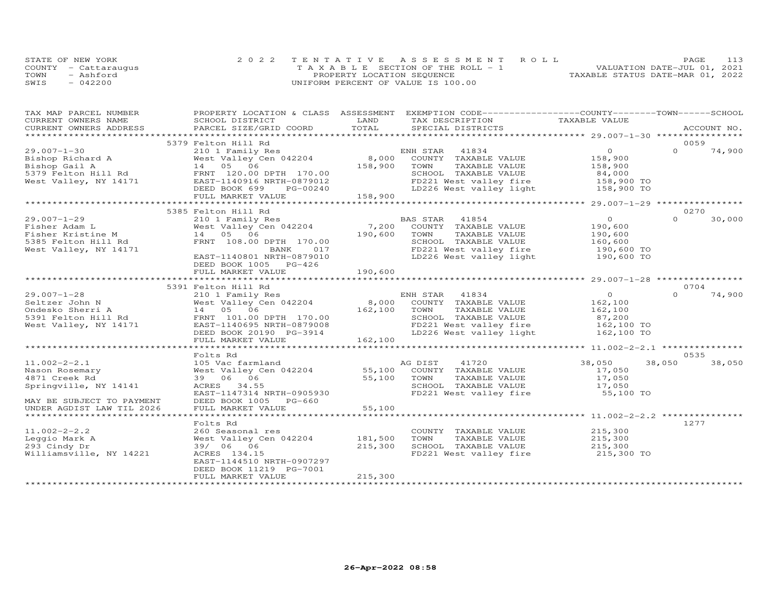|      | STATE OF NEW YORK    | 2022 TENTATIVE ASSESSMENT ROLL        | PAGE                             |
|------|----------------------|---------------------------------------|----------------------------------|
|      | COUNTY - Cattaraugus | T A X A B L E SECTION OF THE ROLL - 1 | VALUATION DATE-JUL 01, 2021      |
| TOWN | - Ashford            | PROPERTY LOCATION SEQUENCE            | TAXABLE STATUS DATE-MAR 01, 2022 |
| SWIS | $-042200$            | UNIFORM PERCENT OF VALUE IS 100.00    |                                  |

| TAX MAP PARCEL NUMBER                              |                                            |                  | PROPERTY LOCATION & CLASS ASSESSMENT EXEMPTION CODE----------------COUNTY-------TOWN------SCHOOL |                                            |          |             |
|----------------------------------------------------|--------------------------------------------|------------------|--------------------------------------------------------------------------------------------------|--------------------------------------------|----------|-------------|
| CURRENT OWNERS NAME                                | SCHOOL DISTRICT                            | LAND             | TAX DESCRIPTION                                                                                  | TAXABLE VALUE                              |          |             |
| CURRENT OWNERS ADDRESS                             | PARCEL SIZE/GRID COORD                     | TOTAL            | SPECIAL DISTRICTS                                                                                |                                            |          | ACCOUNT NO. |
| ************************                           |                                            |                  |                                                                                                  |                                            |          |             |
|                                                    | 5379 Felton Hill Rd                        |                  |                                                                                                  |                                            | 0059     |             |
| $29.007 - 1 - 30$                                  | 210 1 Family Res                           |                  | ENH STAR<br>41834                                                                                | $\overline{O}$                             | $\Omega$ | 74,900      |
|                                                    | Zio i ramily Res<br>West Valley Cen 042204 |                  | 8,000 COUNTY TAXABLE VALUE                                                                       | 158,900                                    |          |             |
| Bishop Richard A<br>Bishop Gail A<br>Bishop Gail A | 14 05 06                                   | 158,900          | TAXABLE VALUE<br>TOWN                                                                            | 158,900                                    |          |             |
| 5379 Felton Hill Rd                                | FRNT 120.00 DPTH 170.00                    |                  | SCHOOL TAXABLE VALUE                                                                             | 84,000                                     |          |             |
| West Valley, NY 14171                              | EAST-1140916 NRTH-0879012                  |                  | FD221 West valley fire 158,900 TO                                                                |                                            |          |             |
|                                                    | DEED BOOK 699<br>PG-00240                  |                  | LD226 West valley light                                                                          | 158,900 TO                                 |          |             |
|                                                    | FULL MARKET VALUE                          | 158,900          |                                                                                                  |                                            |          |             |
|                                                    |                                            |                  |                                                                                                  | ********** 29.007-1-29 *****************   |          |             |
|                                                    | 5385 Felton Hill Rd                        |                  |                                                                                                  |                                            | 0270     |             |
| $29.007 - 1 - 29$                                  | 210 1 Family Res                           |                  | BAS STAR 41854                                                                                   | $\overline{O}$                             | $\Omega$ | 30,000      |
| Fisher Adam L                                      | West Valley Cen 042204                     |                  | COUNTY TAXABLE VALUE                                                                             | 190,600                                    |          |             |
| Fisher Kristine M                                  | 14 05 06                                   | 7,200<br>190,600 | TOWN<br>TAXABLE VALUE                                                                            | 190,600                                    |          |             |
| 5385 Felton Hill Rd                                | FRNT 108.00 DPTH 170.00                    |                  | SCHOOL TAXABLE VALUE                                                                             |                                            |          |             |
|                                                    |                                            |                  |                                                                                                  | 160,600<br>190,600 TO                      |          |             |
| West Valley, NY 14171                              | BANK 017                                   |                  | FD221 West valley fire 190,600 TO<br>LD226 West valley light 190,600 TO                          |                                            |          |             |
|                                                    | EAST-1140801 NRTH-0879010                  |                  |                                                                                                  |                                            |          |             |
|                                                    | DEED BOOK 1005 PG-426                      |                  |                                                                                                  |                                            |          |             |
|                                                    | FULL MARKET VALUE                          | 190,600          |                                                                                                  |                                            |          |             |
|                                                    | ****************************               |                  |                                                                                                  |                                            |          |             |
|                                                    | 5391 Felton Hill Rd                        |                  |                                                                                                  |                                            | 0704     |             |
| $29.007 - 1 - 28$                                  | 210 1 Family Res                           |                  | ENH STAR 41834                                                                                   | $\overline{0}$                             | $\Omega$ | 74,900      |
| Seltzer John N                                     | West Valley Cen 042204                     |                  | 8,000 COUNTY TAXABLE VALUE                                                                       | 162,100                                    |          |             |
| Ondesko Sherri A                                   | 14 05 06                                   | 162,100          | TOWN<br>TAXABLE VALUE                                                                            | 162,100                                    |          |             |
| 5391 Felton Hill Rd                                | FRNT 101.00 DPTH 170.00                    |                  | SCHOOL TAXABLE VALUE 87,200<br>FD221 West valley fire 162,100 TO                                 |                                            |          |             |
| West Valley, NY 14171                              | EAST-1140695 NRTH-0879008                  |                  |                                                                                                  |                                            |          |             |
|                                                    | DEED BOOK 20190 PG-3914                    |                  | LD226 West valley light 162,100 TO                                                               |                                            |          |             |
|                                                    | FULL MARKET VALUE                          | 162,100          |                                                                                                  |                                            |          |             |
|                                                    | ***********************                    | *************    |                                                                                                  | ************ 11.002-2-2.1 **************** |          |             |
|                                                    | Folts Rd                                   |                  |                                                                                                  |                                            | 0535     |             |
| $11.002 - 2 - 2.1$                                 | 105 Vac farmland                           |                  |                                                                                                  | 38,050                                     | 38,050   | 38,050      |
| Nason Rosemary                                     | West Valley Cen 042204                     |                  |                                                                                                  | 17,050                                     |          |             |
| 4871 Creek Rd                                      | 39 06 06                                   | 55,100           | AG DIST TAXABLE VALUE<br>55,100 COUNTY TAXABLE VALUE<br>TOWN<br>TAXABLE VALUE                    | 17,050                                     |          |             |
| Springville, NY 14141                              | ACRES 34.55                                |                  | SCHOOL TAXABLE VALUE                                                                             | $\overline{17,050}$                        |          |             |
|                                                    | EAST-1147314 NRTH-0905930                  |                  | FD221 West valley fire 55,100 TO                                                                 |                                            |          |             |
| MAY BE SUBJECT TO PAYMENT                          | DEED BOOK 1005 PG-660                      |                  |                                                                                                  |                                            |          |             |
| UNDER AGDIST LAW TIL 2026                          | FULL MARKET VALUE                          | 55,100           |                                                                                                  |                                            |          |             |
|                                                    |                                            |                  |                                                                                                  |                                            |          |             |
|                                                    | Folts Rd                                   |                  |                                                                                                  |                                            | 1277     |             |
|                                                    |                                            |                  |                                                                                                  |                                            |          |             |
| $11.002 - 2 - 2.2$                                 | 260 Seasonal res                           |                  | COUNTY TAXABLE VALUE                                                                             | 215,300                                    |          |             |
| Leggio Mark A                                      | West Valley Cen 042204                     | 181,500          | TOWN<br>TAXABLE VALUE                                                                            | 215,300                                    |          |             |
| 293 Cindy Dr                                       | 39/ 06 06                                  | 215,300          | SCHOOL TAXABLE VALUE                                                                             | 215,300                                    |          |             |
| Williamsville, NY 14221                            | ACRES 134.15                               |                  | FD221 West valley fire 215,300 TO                                                                |                                            |          |             |
|                                                    | EAST-1144510 NRTH-0907297                  |                  |                                                                                                  |                                            |          |             |
|                                                    | DEED BOOK 11219 PG-7001                    |                  |                                                                                                  |                                            |          |             |
|                                                    | FULL MARKET VALUE                          | 215,300          |                                                                                                  |                                            |          |             |
|                                                    |                                            |                  |                                                                                                  |                                            |          |             |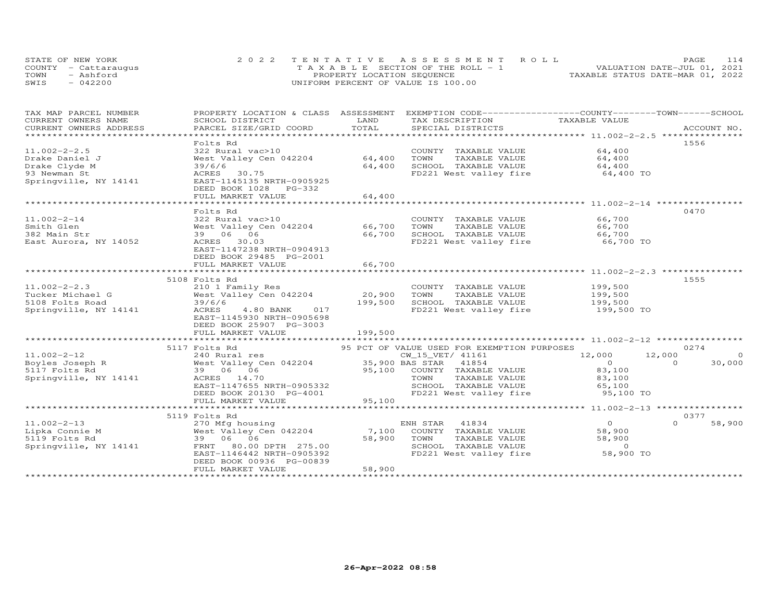| STATE OF NEW YORK    | 2022 TENTATIVE ASSESSMENT ROLL        | <b>PAGE</b>                      | 114 |
|----------------------|---------------------------------------|----------------------------------|-----|
| COUNTY - Cattaraugus | T A X A B L E SECTION OF THE ROLL - 1 | VALUATION DATE-JUL 01, 2021      |     |
| TOWN<br>- Ashford    | PROPERTY LOCATION SEQUENCE            | TAXABLE STATUS DATE-MAR 01, 2022 |     |
| SWIS<br>$-042200$    | UNIFORM PERCENT OF VALUE IS 100.00    |                                  |     |

| TAX MAP PARCEL NUMBER   | PROPERTY LOCATION & CLASS ASSESSMENT |                     | EXEMPTION CODE-----------------COUNTY-------TOWN------SCHOOL |                                               |                    |
|-------------------------|--------------------------------------|---------------------|--------------------------------------------------------------|-----------------------------------------------|--------------------|
| CURRENT OWNERS NAME     | SCHOOL DISTRICT                      | LAND                | TAX DESCRIPTION                                              | TAXABLE VALUE                                 |                    |
| CURRENT OWNERS ADDRESS  | PARCEL SIZE/GRID COORD               | TOTAL               | SPECIAL DISTRICTS                                            |                                               | ACCOUNT NO.        |
| *********************** |                                      |                     |                                                              |                                               |                    |
|                         | Folts Rd                             |                     |                                                              |                                               | 1556               |
| $11.002 - 2 - 2.5$      | 322 Rural vac>10                     |                     | COUNTY TAXABLE VALUE                                         | 64,400                                        |                    |
| Drake Daniel J          | West Valley Cen 042204               | 64,400              | TOWN<br>TAXABLE VALUE                                        | 64,400                                        |                    |
| Drake Clyde M           | 39/6/6                               | 64,400              | SCHOOL TAXABLE VALUE                                         | 64,400                                        |                    |
| 93 Newman St            | 30.75<br>ACRES                       |                     | FD221 West valley fire                                       | 64,400 TO                                     |                    |
| Springville, NY 14141   | EAST-1145135 NRTH-0905925            |                     |                                                              |                                               |                    |
|                         | DEED BOOK 1028 PG-332                |                     |                                                              |                                               |                    |
|                         | FULL MARKET VALUE                    | 64,400              |                                                              |                                               |                    |
|                         | **********************               | * * * * * * * * * * |                                                              | ********************* 11.002-2-14 *********** |                    |
|                         | Folts Rd                             |                     |                                                              |                                               | 0470               |
| $11.002 - 2 - 14$       | 322 Rural vac>10                     |                     | COUNTY TAXABLE VALUE                                         | 66,700                                        |                    |
| Smith Glen              | West Valley Cen 042204               | 66,700              | TOWN<br>TAXABLE VALUE                                        | 66,700                                        |                    |
| 382 Main Str            | 39 06 06                             | 66,700              | SCHOOL TAXABLE VALUE                                         | 66,700                                        |                    |
| East Aurora, NY 14052   | ACRES<br>30.03                       |                     | FD221 West valley fire                                       | 66,700 TO                                     |                    |
|                         | EAST-1147238 NRTH-0904913            |                     |                                                              |                                               |                    |
|                         | DEED BOOK 29485 PG-2001              |                     |                                                              |                                               |                    |
|                         | FULL MARKET VALUE                    | 66,700              |                                                              |                                               |                    |
|                         |                                      |                     |                                                              |                                               |                    |
|                         | 5108 Folts Rd                        |                     |                                                              |                                               | 1555               |
| $11.002 - 2 - 2.3$      | 210 1 Family Res                     |                     | COUNTY TAXABLE VALUE                                         | 199,500                                       |                    |
| Tucker Michael G        | West Valley Cen 042204               | 20,900              | TOWN<br>TAXABLE VALUE                                        | 199,500                                       |                    |
| 5108 Folts Road         | 39/6/6                               | 199,500             | SCHOOL TAXABLE VALUE                                         | 199,500                                       |                    |
| Springville, NY 14141   | ACRES<br>4.80 BANK<br>017            |                     | FD221 West valley fire                                       | 199,500 TO                                    |                    |
|                         | EAST-1145930 NRTH-0905698            |                     |                                                              |                                               |                    |
|                         | DEED BOOK 25907 PG-3003              |                     |                                                              |                                               |                    |
|                         | FULL MARKET VALUE                    | 199,500             |                                                              |                                               |                    |
|                         |                                      |                     |                                                              |                                               |                    |
|                         | 5117 Folts Rd                        |                     | 95 PCT OF VALUE USED FOR EXEMPTION PURPOSES                  |                                               | 0274               |
| $11.002 - 2 - 12$       |                                      |                     | CW_15_VET/ 41161                                             | 12,000                                        | 12,000<br>$\Omega$ |
| Boyles Joseph R         |                                      |                     |                                                              | $\overline{O}$                                | 30,000<br>$\Omega$ |
| 5117 Folts Rd           | 39 06 06                             |                     | 95,100 COUNTY TAXABLE VALUE                                  | 83,100                                        |                    |
| Springville, NY 14141   | ACRES 14.70                          |                     | TOWN<br>TAXABLE VALUE                                        | 83,100                                        |                    |
|                         | EAST-1147655 NRTH-0905332            |                     | SCHOOL TAXABLE VALUE                                         | 65,100                                        |                    |
|                         | DEED BOOK 20130 PG-4001              |                     | FD221 West valley fire                                       | 95,100 TO                                     |                    |
|                         | FULL MARKET VALUE                    | 95,100              |                                                              |                                               |                    |
|                         |                                      |                     |                                                              |                                               |                    |
|                         | 5119 Folts Rd                        |                     |                                                              |                                               | 0377               |
| $11.002 - 2 - 13$       | 270 Mfg housing                      |                     | ENH STAR<br>41834                                            | $\overline{O}$                                | $\Omega$<br>58,900 |
| Lipka Connie M          | West Valley Cen 042204               | 7,100               | COUNTY TAXABLE VALUE                                         | 58,900                                        |                    |
| 5119 Folts Rd           | 39 06 06                             | 58,900              | TOWN<br>TAXABLE VALUE                                        | 58,900                                        |                    |
| Springville, NY 14141   | 80.00 DPTH 275.00<br>FRNT            |                     | SCHOOL TAXABLE VALUE                                         | $\overline{0}$                                |                    |
|                         | EAST-1146442 NRTH-0905392            |                     | FD221 West valley fire                                       | 58,900 TO                                     |                    |
|                         | DEED BOOK 00936 PG-00839             |                     |                                                              |                                               |                    |
|                         | FULL MARKET VALUE                    | 58,900              |                                                              |                                               |                    |
|                         |                                      |                     |                                                              |                                               |                    |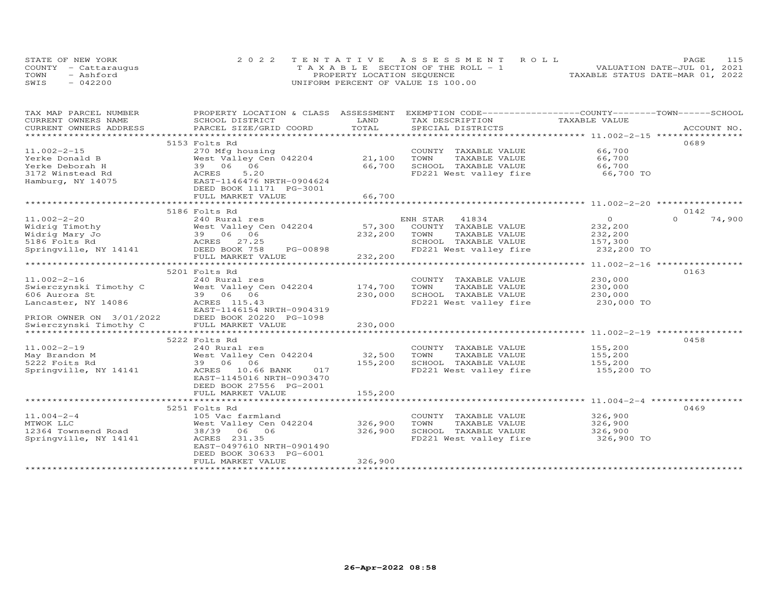| STATE OF NEW YORK    | 2022 TENTATIVE ASSESSMENT ROLL        | 115<br>PAGE.                     |
|----------------------|---------------------------------------|----------------------------------|
| COUNTY - Cattaraugus | T A X A B L E SECTION OF THE ROLL - 1 | VALUATION DATE-JUL 01, 2021      |
| TOWN<br>- Ashford    | PROPERTY LOCATION SEQUENCE            | TAXABLE STATUS DATE-MAR 01, 2022 |
| SWIS<br>$-042200$    | UNIFORM PERCENT OF VALUE IS 100.00    |                                  |

| TAX MAP PARCEL NUMBER<br>CURRENT OWNERS NAME                                           | PROPERTY LOCATION & CLASS ASSESSMENT EXEMPTION CODE----------------COUNTY-------TOWN------SCHOOL<br>SCHOOL DISTRICT                                                                                                           | LAND                         | TAX DESCRIPTION                                                                                                                         | TAXABLE VALUE                    |                    |
|----------------------------------------------------------------------------------------|-------------------------------------------------------------------------------------------------------------------------------------------------------------------------------------------------------------------------------|------------------------------|-----------------------------------------------------------------------------------------------------------------------------------------|----------------------------------|--------------------|
|                                                                                        |                                                                                                                                                                                                                               | TOTAL                        |                                                                                                                                         |                                  |                    |
| $11.002 - 2 - 15$                                                                      | 5153 Folts Rd<br>270 Mfg housing                                                                                                                                                                                              |                              | COUNTY TAXABLE VALUE 66,700                                                                                                             |                                  | 0689               |
| $Yerke Donald B$<br>$Yerke Donald B$<br>$Tchamh H$ 39 06 06                            | West Valley Cen 042204 21,100<br>5.20                                                                                                                                                                                         | 66,700                       | TOWN<br>TAXABLE VALUE 66,700<br>TAXABLE VALUE 66,700<br>SCHOOL TAXABLE VALUE<br>FD221 West valley fire 66,700 TO                        |                                  |                    |
| Hamburg, NY 14075                                                                      | EAST-1146476 NRTH-0904624<br>DEED BOOK 11171 PG-3001<br>FULL MARKET VALUE                                                                                                                                                     | 66,700                       |                                                                                                                                         |                                  |                    |
|                                                                                        | 5186 Folts Rd                                                                                                                                                                                                                 |                              |                                                                                                                                         |                                  | 0142               |
| 11.002-2-20                                                                            | 240 Rural res<br>Widrig Timothy<br>West Valley Cen 042204 57,300 COUNTY TAXABLE VALUE 232,200<br>Midrig Mary Jo 39 06 06 232,200 TOWN TAXABLE VALUE 232,200<br>5186 Folts Rd<br>Springville, NY 14141 MORED BOOK 758 PG-00898 |                              | ENH STAR 41834<br>SCHOOL TAXABLE VALUE 157,300<br>FD221 West valley fire 232,200 TO                                                     | $\sim$ 0                         | $\Omega$<br>74,900 |
|                                                                                        | FULL MARKET VALUE                                                                                                                                                                                                             | 232,200                      |                                                                                                                                         |                                  |                    |
|                                                                                        | 5201 Folts Rd                                                                                                                                                                                                                 |                              |                                                                                                                                         |                                  | 0163               |
| $11.002 - 2 - 16$<br>Swierczynski Timothy C<br>606 Aurora St<br>Lancaster, NY 14086    | 240 Rural res<br>West Valley Cen 042204 174,700<br>39 06 06 230,000<br>ACRES 115.43<br>EAST-1146154 NRTH-0904319                                                                                                              |                              | COUNTY TAXABLE VALUE<br>TAXABLE VALUE<br>TOWN<br>SCHOOL TAXABLE VALUE 230,000<br>FD221 West valley fire                                 | 230,000<br>230,000<br>230,000 TO |                    |
| PRIOR OWNER ON 3/01/2022 DEED BOOK 20220 I<br>Swierczynski Timothy C FULL MARKET VALUE | DEED BOOK 20220 PG-1098                                                                                                                                                                                                       | 230,000                      |                                                                                                                                         |                                  |                    |
|                                                                                        | 5222 Folts Rd                                                                                                                                                                                                                 |                              |                                                                                                                                         |                                  | 0458               |
| $11.002 - 2 - 19$<br>May Brandon M<br>5222 Foits Rd<br>Springville, NY 14141           | 240 Rural res<br>West Valley Cen 042204<br>39 06 066 PANTER 017<br>ACRES 10.66 BANK 017<br>EAST-1145016 NRTH-0903470<br>DEED BOOK 27556 PG-2001                                                                               | 32,500<br>155,200<br>155,200 | COUNTY TAXABLE VALUE 155,200<br>TOWN TAXABLE VALUE 155,200<br>SCHOOL TAXABLE VALUE 155,200<br>TOWN<br>FD221 West valley fire 155,200 TO |                                  |                    |
|                                                                                        | FULL MARKET VALUE                                                                                                                                                                                                             |                              |                                                                                                                                         |                                  |                    |
| $11.004 - 2 - 4$<br>MTWOK LLC<br>12364 Townsend Road<br>Springville, NY 14141          | 5251 Folts Rd<br>105 Vac farmland<br>West Valley Cen 042204<br>$38/39$ 06 06<br>ACRES 231.35<br>EAST-0497610 NRTH-0901490<br>DEED BOOK 30633 PG-6001                                                                          | 326,900<br>326,900           | COUNTY TAXABLE VALUE 326,900<br>TOWN       TAXABLE  VALUE<br>SCHOOL    TAXABLE  VALUE<br>FD221 West valley fire 326,900 TO              | 326,900<br>326,900               | 0469               |
|                                                                                        | FULL MARKET VALUE                                                                                                                                                                                                             | 326,900                      |                                                                                                                                         |                                  |                    |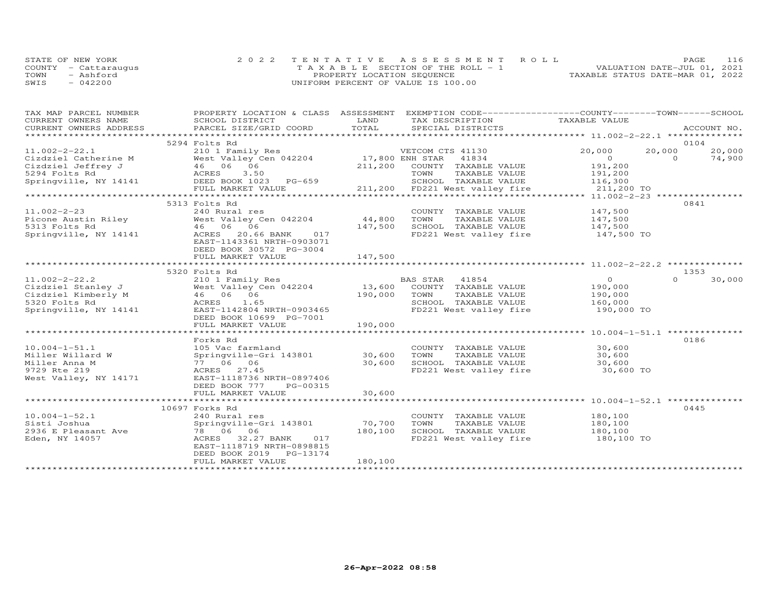| STATE OF NEW YORK    | 2022 TENTATIVE ASSESSMENT ROLL        |  |                                  | PAGE. | 116 |
|----------------------|---------------------------------------|--|----------------------------------|-------|-----|
| COUNTY - Cattarauqus | T A X A B L E SECTION OF THE ROLL - 1 |  | VALUATION DATE-JUL 01, 2021      |       |     |
| TOWN<br>- Ashford    | PROPERTY LOCATION SEQUENCE            |  | TAXABLE STATUS DATE-MAR 01, 2022 |       |     |
| SWIS<br>$-042200$    | UNIFORM PERCENT OF VALUE IS 100.00    |  |                                  |       |     |

| TAX MAP PARCEL NUMBER                                                                                                                                                | PROPERTY LOCATION & CLASS ASSESSMENT |         | EXEMPTION CODE-----------------COUNTY-------TOWN-----SCHOOL                 |                       |          |        |
|----------------------------------------------------------------------------------------------------------------------------------------------------------------------|--------------------------------------|---------|-----------------------------------------------------------------------------|-----------------------|----------|--------|
| CURRENT OWNERS NAME                                                                                                                                                  | SCHOOL DISTRICT                      | LAND    | TAX DESCRIPTION                                                             | TAXABLE VALUE         |          |        |
| CURRENT OWNERS ADDRESS                                                                                                                                               |                                      |         |                                                                             |                       |          |        |
| ***********************                                                                                                                                              |                                      |         |                                                                             |                       |          |        |
|                                                                                                                                                                      | 5294 Folts Rd                        |         |                                                                             |                       | 0104     |        |
| $11.002 - 2 - 22.1$                                                                                                                                                  |                                      |         |                                                                             | 20,000                | 20,000   | 20,000 |
|                                                                                                                                                                      |                                      |         |                                                                             | $\sim$ 0              | $\Omega$ | 74,900 |
|                                                                                                                                                                      |                                      |         |                                                                             | 191,200               |          |        |
| Cizdziel Catherine M West Valley Cen 042204 17,800<br>Cizdziel Jeffrey J 46 06 06 211,200<br>5294 Folts Rd ACRES 3.50<br>Springville, NY 14141 DEED BOOK 1023 PG-659 |                                      |         | TAXABLE VALUE<br>TOWN                                                       |                       |          |        |
|                                                                                                                                                                      |                                      |         | SCHOOL TAXABLE VALUE                                                        | 191,200<br>116,300    |          |        |
|                                                                                                                                                                      | FULL MARKET VALUE                    |         | 211,200 FD221 West valley fire 311,200 TO                                   |                       |          |        |
|                                                                                                                                                                      |                                      |         |                                                                             |                       |          |        |
|                                                                                                                                                                      | 5313 Folts Rd                        |         |                                                                             |                       | 0841     |        |
|                                                                                                                                                                      |                                      |         |                                                                             |                       |          |        |
| $11.002 - 2 - 23$                                                                                                                                                    | 240 Rural res                        |         | COUNTY TAXABLE VALUE                                                        | 147,500<br>147,500    |          |        |
| Picone Austin Riley Mest Valley Cen 042204                                                                                                                           |                                      | 44,800  | TOWN<br>TAXABLE VALUE                                                       |                       |          |        |
| 5313 Folts Rd                                                                                                                                                        | 46 06 06<br>ACRES 20.66              | 147,500 | SCHOOL TAXABLE VALUE 147,500                                                |                       |          |        |
| Springville, NY 14141                                                                                                                                                | ACRES 20.66 BANK 017                 |         | FD221 West valley fire                                                      | 147,500 TO            |          |        |
|                                                                                                                                                                      | EAST-1143361 NRTH-0903071            |         |                                                                             |                       |          |        |
|                                                                                                                                                                      | DEED BOOK 30572 PG-3004              |         |                                                                             |                       |          |        |
|                                                                                                                                                                      | FULL MARKET VALUE                    | 147,500 |                                                                             |                       |          |        |
|                                                                                                                                                                      |                                      |         |                                                                             |                       |          |        |
|                                                                                                                                                                      | 5320 Folts Rd                        |         |                                                                             |                       | 1353     |        |
| $11.002 - 2 - 22.2$                                                                                                                                                  | 210 1 Family Res                     |         | BAS STAR 41854<br>13,600 COUNTY TAXABLE VALUE<br>190,000 TOWN TAXABLE VALUE | $\overline{0}$        | $\Omega$ | 30,000 |
|                                                                                                                                                                      |                                      |         |                                                                             | 190,000               |          |        |
|                                                                                                                                                                      |                                      |         | TAXABLE VALUE 190,000                                                       |                       |          |        |
|                                                                                                                                                                      |                                      |         |                                                                             |                       |          |        |
| 11.002-2-22.2<br>Cizdziel Stanley J<br>Cizdziel Kimberly M (1686 06 06 5320 Folts Rd 1686 06 5320 Folts Rd 1686 06 5320 Folts Rd 169                                 | EAST-1142804 NRTH-0903465            |         | SCHOOL TAXABLE VALUE<br>FD221 West valley fire                              | 160,000<br>190,000 TO |          |        |
|                                                                                                                                                                      | DEED BOOK 10699 PG-7001              |         |                                                                             |                       |          |        |
|                                                                                                                                                                      | FULL MARKET VALUE                    | 190,000 |                                                                             |                       |          |        |
|                                                                                                                                                                      |                                      |         |                                                                             |                       |          |        |
|                                                                                                                                                                      | Forks Rd                             |         |                                                                             |                       | 0186     |        |
| $10.004 - 1 - 51.1$                                                                                                                                                  | 105 Vac farmland                     |         | COUNTY TAXABLE VALUE                                                        | 30,600                |          |        |
| Miller Willard W                                                                                                                                                     | Springville-Gri 143801 30,600        |         |                                                                             | 30,600                |          |        |
| Miller Anna M                                                                                                                                                        | 77 06 06                             | 30,600  | TOWN      TAXABLE VALUE<br>SCHOOL   TAXABLE VALUE                           | 30,600                |          |        |
|                                                                                                                                                                      |                                      |         |                                                                             |                       |          |        |
| 9729 Rte 219                                                                                                                                                         | ACRES 27.45                          |         | FD221 West valley fire 30,600 TO                                            |                       |          |        |
| West Valley, NY 14171                                                                                                                                                | EAST-1118736 NRTH-0897406            |         |                                                                             |                       |          |        |
|                                                                                                                                                                      | DEED BOOK 777<br>PG-00315            |         |                                                                             |                       |          |        |
|                                                                                                                                                                      | FULL MARKET VALUE                    | 30,600  |                                                                             |                       |          |        |
|                                                                                                                                                                      |                                      |         |                                                                             |                       |          |        |
|                                                                                                                                                                      | 10697 Forks Rd                       |         |                                                                             |                       | 0445     |        |
| $10.004 - 1 - 52.1$                                                                                                                                                  | 240 Rural res                        |         | COUNTY TAXABLE VALUE                                                        | 180,100               |          |        |
| Sisti Joshua                                                                                                                                                         | Springville-Gri 143801               | 70,700  | TOWN<br>TAXABLE VALUE                                                       | 180,100<br>180,100    |          |        |
| 2936 E Pleasant Ave                                                                                                                                                  | 78 06 06                             | 180,100 | SCHOOL TAXABLE VALUE                                                        |                       |          |        |
| Eden, NY 14057                                                                                                                                                       | ACRES 32.27 BANK<br>017              |         | FD221 West valley fire 180,100 TO                                           |                       |          |        |
|                                                                                                                                                                      | EAST-1118719 NRTH-0898815            |         |                                                                             |                       |          |        |
|                                                                                                                                                                      | DEED BOOK 2019 PG-13174              |         |                                                                             |                       |          |        |
|                                                                                                                                                                      | FULL MARKET VALUE                    | 180,100 |                                                                             |                       |          |        |
|                                                                                                                                                                      |                                      |         |                                                                             |                       |          |        |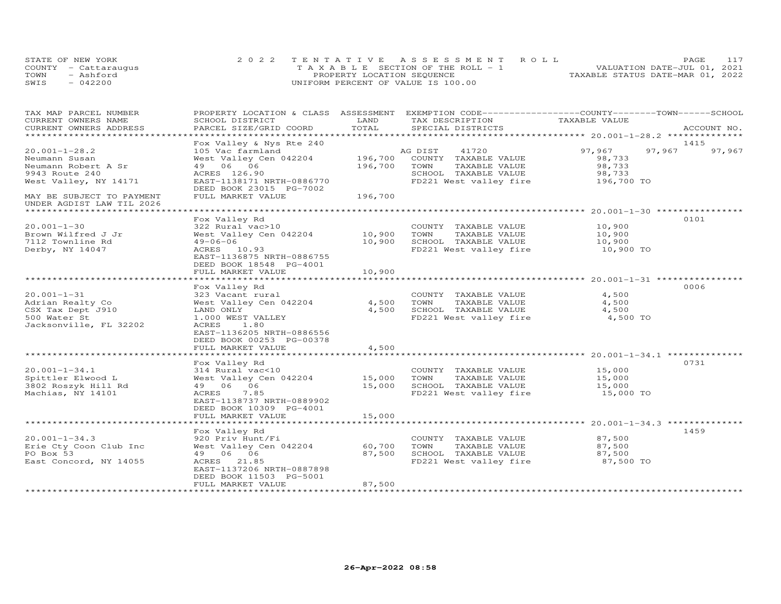| STATE OF NEW YORK    | 2022 TENTATIVE ASSESSMENT ROLL        | PAGE.                            |
|----------------------|---------------------------------------|----------------------------------|
| COUNTY - Cattaraugus | T A X A B L E SECTION OF THE ROLL - 1 | VALUATION DATE-JUL 01, 2021      |
| TOWN<br>- Ashford    | PROPERTY LOCATION SEQUENCE            | TAXABLE STATUS DATE-MAR 01, 2022 |
| SWIS<br>042200       | UNIFORM PERCENT OF VALUE IS 100.00    |                                  |

| TAX MAP PARCEL NUMBER                                  | PROPERTY LOCATION & CLASS ASSESSMENT                 |         | EXEMPTION CODE-----------------COUNTY-------TOWN------SCHOOL |                                                  |        |             |
|--------------------------------------------------------|------------------------------------------------------|---------|--------------------------------------------------------------|--------------------------------------------------|--------|-------------|
| CURRENT OWNERS NAME                                    | SCHOOL DISTRICT                                      | LAND    | TAX DESCRIPTION                                              | TAXABLE VALUE                                    |        |             |
| CURRENT OWNERS ADDRESS<br>******************           | PARCEL SIZE/GRID COORD                               | TOTAL   | SPECIAL DISTRICTS                                            |                                                  |        | ACCOUNT NO. |
|                                                        |                                                      |         |                                                              |                                                  |        |             |
|                                                        | Fox Valley & Nys Rte 240                             |         |                                                              |                                                  | 1415   |             |
| $20.001 - 1 - 28.2$                                    | 105 Vac farmland                                     |         | AG DIST<br>41720                                             | 97,967                                           | 97,967 | 97,967      |
| Neumann Susan                                          | West Valley Cen 042204                               | 196,700 | COUNTY TAXABLE VALUE                                         | 98,733                                           |        |             |
| Neumann Robert A Sr                                    | 49 06 06                                             | 196,700 | TAXABLE VALUE<br>TOWN                                        | 98,733                                           |        |             |
| 9943 Route 240                                         | ACRES 126.90                                         |         | SCHOOL TAXABLE VALUE                                         | 98,733                                           |        |             |
| West Valley, NY 14171                                  | EAST-1138171 NRTH-0886770<br>DEED BOOK 23015 PG-7002 |         | FD221 West valley fire                                       | 196,700 TO                                       |        |             |
| MAY BE SUBJECT TO PAYMENT<br>UNDER AGDIST LAW TIL 2026 | FULL MARKET VALUE                                    | 196,700 |                                                              |                                                  |        |             |
| ******************************                         |                                                      |         |                                                              |                                                  |        |             |
|                                                        | Fox Valley Rd                                        |         |                                                              |                                                  | 0101   |             |
| $20.001 - 1 - 30$                                      | 322 Rural vac>10                                     |         | COUNTY TAXABLE VALUE                                         | 10,900                                           |        |             |
| Brown Wilfred J Jr                                     | West Valley Cen 042204                               | 10,900  | TAXABLE VALUE<br>TOWN                                        | 10,900                                           |        |             |
| 7112 Townline Rd                                       | $49 - 06 - 06$                                       | 10,900  | SCHOOL TAXABLE VALUE                                         | 10,900                                           |        |             |
| Derby, NY 14047                                        | ACRES 10.93                                          |         | FD221 West valley fire                                       | 10,900 TO                                        |        |             |
|                                                        | EAST-1136875 NRTH-0886755<br>DEED BOOK 18548 PG-4001 |         |                                                              |                                                  |        |             |
|                                                        | FULL MARKET VALUE                                    | 10,900  |                                                              |                                                  |        |             |
|                                                        |                                                      |         |                                                              | ************************ 20.001-1-31 *********** |        |             |
|                                                        | Fox Valley Rd                                        |         |                                                              |                                                  | 0006   |             |
| $20.001 - 1 - 31$                                      | 323 Vacant rural                                     |         | COUNTY TAXABLE VALUE                                         | 4,500                                            |        |             |
| Adrian Realty Co                                       | West Valley Cen 042204                               | 4,500   | TAXABLE VALUE                                                | 4,500                                            |        |             |
|                                                        |                                                      | 4,500   | TOWN                                                         |                                                  |        |             |
| CSX Tax Dept J910                                      | LAND ONLY                                            |         | SCHOOL TAXABLE VALUE                                         | 4,500                                            |        |             |
| 500 Water St                                           | 1.000 WEST VALLEY                                    |         | FD221 West valley fire                                       | 4,500 TO                                         |        |             |
| Jacksonville, FL 32202                                 | ACRES<br>1.80                                        |         |                                                              |                                                  |        |             |
|                                                        | EAST-1136205 NRTH-0886556                            |         |                                                              |                                                  |        |             |
|                                                        | DEED BOOK 00253 PG-00378                             |         |                                                              |                                                  |        |             |
|                                                        | FULL MARKET VALUE                                    | 4,500   |                                                              |                                                  |        |             |
|                                                        |                                                      |         |                                                              |                                                  | 0731   |             |
|                                                        | Fox Valley Rd                                        |         |                                                              |                                                  |        |             |
| $20.001 - 1 - 34.1$                                    | 314 Rural vac<10                                     |         | COUNTY TAXABLE VALUE                                         | 15,000                                           |        |             |
| Spittler Elwood L                                      | West Valley Cen 042204                               | 15,000  | TAXABLE VALUE<br>TOWN                                        | 15,000                                           |        |             |
| 3802 Roszyk Hill Rd                                    | 49 06 06                                             | 15,000  | SCHOOL TAXABLE VALUE                                         | 15,000                                           |        |             |
| Machias, NY 14101                                      | 7.85<br>ACRES                                        |         | FD221 West valley fire                                       | 15,000 TO                                        |        |             |
|                                                        | EAST-1138737 NRTH-0889902                            |         |                                                              |                                                  |        |             |
|                                                        | DEED BOOK 10309 PG-4001                              |         |                                                              |                                                  |        |             |
|                                                        | FULL MARKET VALUE                                    | 15,000  |                                                              |                                                  |        |             |
|                                                        |                                                      |         |                                                              |                                                  |        |             |
|                                                        | Fox Valley Rd                                        |         |                                                              |                                                  | 1459   |             |
| $20.001 - 1 - 34.3$                                    | 920 Priv Hunt/Fi                                     |         | COUNTY TAXABLE VALUE                                         | 87,500                                           |        |             |
| Erie Cty Coon Club Inc                                 | West Valley Cen 042204                               | 60,700  | TOWN<br>TAXABLE VALUE                                        | 87,500                                           |        |             |
| PO Box 53                                              | 49 06 06                                             | 87,500  | SCHOOL TAXABLE VALUE                                         | 87,500                                           |        |             |
| East Concord, NY 14055                                 | 21.85<br>ACRES                                       |         | FD221 West valley fire                                       | 87,500 TO                                        |        |             |
|                                                        | EAST-1137206 NRTH-0887898                            |         |                                                              |                                                  |        |             |
|                                                        | DEED BOOK 11503 PG-5001                              |         |                                                              |                                                  |        |             |
|                                                        | FULL MARKET VALUE                                    | 87,500  |                                                              |                                                  |        |             |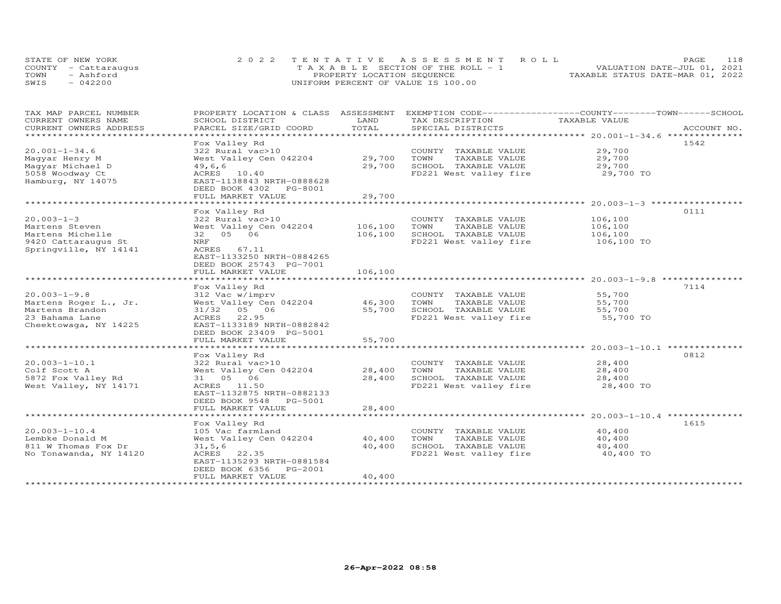| STATE OF NEW YORK    | 2022 TENTATIVE ASSESSMENT ROLL        |                            |  |                                  | <b>PAGE</b> | 118 |
|----------------------|---------------------------------------|----------------------------|--|----------------------------------|-------------|-----|
| COUNTY - Cattaraugus | T A X A B L E SECTION OF THE ROLL - 1 |                            |  | VALUATION DATE-JUL 01, 2021      |             |     |
| TOWN<br>- Ashford    |                                       | PROPERTY LOCATION SEQUENCE |  | TAXABLE STATUS DATE-MAR 01, 2022 |             |     |
| $-042200$<br>SWIS    | UNIFORM PERCENT OF VALUE IS 100.00    |                            |  |                                  |             |     |

| TAX MAP PARCEL NUMBER<br>CURRENT OWNERS NAME   | PROPERTY LOCATION & CLASS ASSESSMENT<br>SCHOOL DISTRICT | LAND             | EXEMPTION CODE------------------COUNTY-------TOWN------SCHOOL<br>TAX DESCRIPTION | TAXABLE VALUE                                     |             |
|------------------------------------------------|---------------------------------------------------------|------------------|----------------------------------------------------------------------------------|---------------------------------------------------|-------------|
| CURRENT OWNERS ADDRESS<br>******************** | PARCEL SIZE/GRID COORD                                  | TOTAL            | SPECIAL DISTRICTS                                                                |                                                   | ACCOUNT NO. |
|                                                | Fox Valley Rd                                           |                  |                                                                                  |                                                   | 1542        |
| $20.001 - 1 - 34.6$                            | 322 Rural vac>10                                        |                  | COUNTY TAXABLE VALUE                                                             | 29,700                                            |             |
| Magyar Henry M                                 | West Valley Cen 042204                                  | 29,700           | TOWN<br>TAXABLE VALUE                                                            | 29,700                                            |             |
| Maqyar Michael D                               | 49,6,6                                                  | 29,700           | SCHOOL TAXABLE VALUE                                                             | 29,700                                            |             |
| 5058 Woodway Ct                                | ACRES 10.40                                             |                  | FD221 West valley fire                                                           | 29,700 TO                                         |             |
| Hamburg, NY 14075                              | EAST-1138843 NRTH-0888628                               |                  |                                                                                  |                                                   |             |
|                                                | DEED BOOK 4302 PG-8001                                  |                  |                                                                                  |                                                   |             |
|                                                | FULL MARKET VALUE                                       | 29,700           |                                                                                  |                                                   |             |
|                                                | Fox Valley Rd                                           |                  |                                                                                  |                                                   | 0111        |
| $20.003 - 1 - 3$                               | 322 Rural vac>10                                        |                  | COUNTY TAXABLE VALUE                                                             | 106,100                                           |             |
| Martens Steven                                 | West Valley Cen 042204                                  | 106,100          | TOWN<br>TAXABLE VALUE                                                            | 106,100                                           |             |
| Martens Michelle                               | 32  05  06                                              | 106,100          | SCHOOL TAXABLE VALUE                                                             | 106,100                                           |             |
| 9420 Cattaraugus St                            | <b>NRF</b>                                              |                  | FD221 West valley fire                                                           | 106,100 TO                                        |             |
| Springville, NY 14141                          | ACRES 67.11                                             |                  |                                                                                  |                                                   |             |
|                                                | EAST-1133250 NRTH-0884265                               |                  |                                                                                  |                                                   |             |
|                                                | DEED BOOK 25743 PG-7001                                 |                  |                                                                                  |                                                   |             |
|                                                | FULL MARKET VALUE                                       | 106,100          |                                                                                  |                                                   |             |
|                                                |                                                         |                  |                                                                                  | ************************ 20.003-1-9.8 *********** |             |
| $20.003 - 1 - 9.8$                             | Fox Valley Rd<br>312 Vac w/imprv                        |                  | COUNTY TAXABLE VALUE                                                             | 55,700                                            | 7114        |
| Martens Roger L., Jr.                          | West Valley Cen 042204                                  | 46,300           | TOWN<br>TAXABLE VALUE                                                            | 55,700                                            |             |
| Martens Brandon                                | 31/32 05 06                                             | 55,700           | SCHOOL TAXABLE VALUE                                                             | 55,700                                            |             |
| 23 Bahama Lane                                 | ACRES<br>22.95                                          |                  | FD221 West valley fire                                                           | 55,700 TO                                         |             |
| Cheektowaga, NY 14225                          | EAST-1133189 NRTH-0882842                               |                  |                                                                                  |                                                   |             |
|                                                | DEED BOOK 23409 PG-5001                                 |                  |                                                                                  |                                                   |             |
|                                                | FULL MARKET VALUE                                       | 55,700           |                                                                                  |                                                   |             |
|                                                |                                                         |                  |                                                                                  | ******************** 20.003-1-10.1 *********      |             |
|                                                | Fox Valley Rd                                           |                  |                                                                                  |                                                   | 0812        |
| $20.003 - 1 - 10.1$                            | 322 Rural vac>10                                        |                  | COUNTY TAXABLE VALUE                                                             | 28,400                                            |             |
| Colf Scott A<br>5872 Fox Valley Rd             | West Valley Cen 042204<br>31 05 06                      | 28,400<br>28,400 | TOWN<br>TAXABLE VALUE<br>SCHOOL TAXABLE VALUE                                    | 28,400<br>28,400                                  |             |
| West Valley, NY 14171                          | ACRES 11.50                                             |                  | FD221 West valley fire                                                           | 28,400 TO                                         |             |
|                                                | EAST-1132875 NRTH-0882133                               |                  |                                                                                  |                                                   |             |
|                                                | DEED BOOK 9548<br>PG-5001                               |                  |                                                                                  |                                                   |             |
|                                                | FULL MARKET VALUE                                       | 28,400           |                                                                                  |                                                   |             |
|                                                |                                                         |                  |                                                                                  |                                                   |             |
|                                                | Fox Valley Rd                                           |                  |                                                                                  |                                                   | 1615        |
| $20.003 - 1 - 10.4$                            | 105 Vac farmland                                        |                  | COUNTY TAXABLE VALUE                                                             | 40,400                                            |             |
| Lembke Donald M<br>811 W Thomas Fox Dr         | West Valley Cen 042204                                  | 40,400<br>40,400 | TOWN<br>TAXABLE VALUE<br>SCHOOL TAXABLE VALUE                                    | 40,400                                            |             |
| No Tonawanda, NY 14120                         | 31, 5, 6<br>ACRES 22.35                                 |                  | FD221 West valley fire                                                           | 40,400<br>40,400 TO                               |             |
|                                                | EAST-1135293 NRTH-0881584                               |                  |                                                                                  |                                                   |             |
|                                                | DEED BOOK 6356<br>PG-2001                               |                  |                                                                                  |                                                   |             |
|                                                | FULL MARKET VALUE                                       | 40,400           |                                                                                  |                                                   |             |
|                                                | ************************                                |                  |                                                                                  |                                                   |             |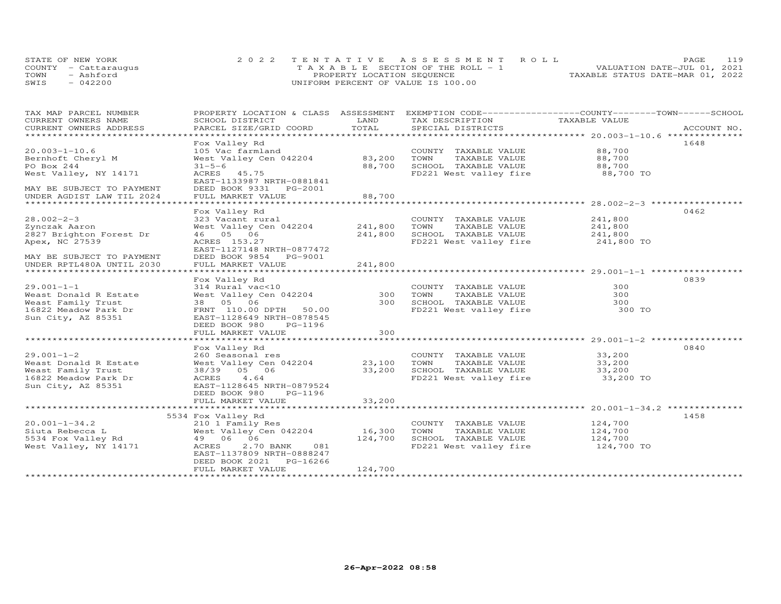|      | STATE OF NEW YORK    | 2022 TENTATIVE ASSESSMENT ROLL        |  |                                  | <b>PAGE</b> | 119 |
|------|----------------------|---------------------------------------|--|----------------------------------|-------------|-----|
|      | COUNTY - Cattaraugus | T A X A B L E SECTION OF THE ROLL - 1 |  | VALUATION DATE-JUL 01, 2021      |             |     |
| TOWN | - Ashford            | PROPERTY LOCATION SEQUENCE            |  | TAXABLE STATUS DATE-MAR 01, 2022 |             |     |
| SWIS | $-042200$            | UNIFORM PERCENT OF VALUE IS 100.00    |  |                                  |             |     |

| TAX MAP PARCEL NUMBER                                                                                           | PROPERTY LOCATION & CLASS ASSESSMENT EXEMPTION CODE-----------------COUNTY-------TOWN------SCHOOL |         |                                               |                       |      |
|-----------------------------------------------------------------------------------------------------------------|---------------------------------------------------------------------------------------------------|---------|-----------------------------------------------|-----------------------|------|
| CURRENT OWNERS NAME                                                                                             | SCHOOL DISTRICT                                                                                   | LAND    | TAX DESCRIPTION                               | TAXABLE VALUE         |      |
| .CURRENT OWNERS ADDRESS PARCEL SIZE/GRID COORD TOTAL SPECIAL DISTRICTS ACCOUNT NO ACCOUNT NO ACCOUNT NO ACCOUNT |                                                                                                   |         |                                               |                       |      |
|                                                                                                                 |                                                                                                   |         |                                               |                       | 1648 |
| $20.003 - 1 - 10.6$                                                                                             | Fox Valley Rd                                                                                     |         |                                               | 88,700                |      |
| Bernhoft Cheryl M                                                                                               | 105 Vac farmland<br>West Valley Cen 042204                                                        | 83,200  | COUNTY TAXABLE VALUE<br>TOWN<br>TAXABLE VALUE | 88,700                |      |
| PO Box 244                                                                                                      | $31 - 5 - 6$                                                                                      | 88,700  | SCHOOL TAXABLE VALUE                          | 88,700                |      |
| West Valley, NY 14171                                                                                           | ACRES 45.75                                                                                       |         | FD221 West valley fire 88,700 TO              |                       |      |
|                                                                                                                 | EAST-1133987 NRTH-0881841                                                                         |         |                                               |                       |      |
| MAY BE SUBJECT TO PAYMENT                                                                                       | DEED BOOK 9331 PG-2001                                                                            |         |                                               |                       |      |
| UNDER AGDIST LAW TIL 2024                                                                                       | FULL MARKET VALUE                                                                                 | 88,700  |                                               |                       |      |
|                                                                                                                 |                                                                                                   |         |                                               |                       |      |
|                                                                                                                 | Fox Valley Rd                                                                                     |         |                                               |                       | 0462 |
| $28.002 - 2 - 3$                                                                                                | 323 Vacant rural                                                                                  |         | COUNTY TAXABLE VALUE                          | 241,800               |      |
| Zynczak Aaron                                                                                                   | West Valley Cen 042204 241,800 TOWN                                                               |         | TAXABLE VALUE                                 | 241,800               |      |
| 2827 Brighton Forest Dr                                                                                         | 46 05 06                                                                                          | 241,800 | SCHOOL TAXABLE VALUE 241,800                  |                       |      |
| Apex, NC 27539                                                                                                  | ACRES 153.27                                                                                      |         | FD221 West valley fire                        | 241,800 TO            |      |
|                                                                                                                 | EAST-1127148 NRTH-0877472                                                                         |         |                                               |                       |      |
| MAY BE SUBJECT TO PAYMENT                                                                                       | DEED BOOK 9854 PG-9001                                                                            |         |                                               |                       |      |
| UNDER RPTL480A UNTIL 2030                                                                                       | FULL MARKET VALUE                                                                                 | 241,800 |                                               |                       |      |
|                                                                                                                 |                                                                                                   |         |                                               |                       |      |
|                                                                                                                 | Fox Valley Rd                                                                                     |         |                                               |                       | 0839 |
| $29.001 - 1 - 1$                                                                                                | 314 Rural vac<10                                                                                  |         | COUNTY TAXABLE VALUE                          | 300                   |      |
| Weast Donald R Estate                                                                                           | West Valley Cen 042204                                                                            |         | 300 TOWN<br>TAXABLE VALUE                     | 300                   |      |
| Weast Family Trust                                                                                              | 38  05  06                                                                                        |         | 300 SCHOOL TAXABLE VALUE                      | 300                   |      |
| 16822 Meadow Park Dr                                                                                            | FRNT 110.00 DPTH 50.00                                                                            |         | FD221 West valley fire                        | 300 TO                |      |
| Sun City, AZ 85351                                                                                              | EAST-1128649 NRTH-0878545                                                                         |         |                                               |                       |      |
|                                                                                                                 | DEED BOOK 980<br>PG-1196                                                                          |         |                                               |                       |      |
|                                                                                                                 | FULL MARKET VALUE                                                                                 | 300     |                                               |                       |      |
|                                                                                                                 |                                                                                                   |         |                                               |                       |      |
|                                                                                                                 | Fox Valley Rd                                                                                     |         |                                               |                       | 0840 |
| $29.001 - 1 - 2$                                                                                                | zou seasonal res<br>West Valley Cen 042204 23,100                                                 |         | COUNTY TAXABLE VALUE                          | 33,200                |      |
| Weast Donald R Estate                                                                                           |                                                                                                   |         | 23,100 TOWN<br>TAXABLE VALUE                  | 33,200                |      |
| Weast Family Trust                                                                                              | 38/39 05 06                                                                                       |         | 33,200 SCHOOL TAXABLE VALUE                   | 33,200                |      |
| 16822 Meadow Park Dr                                                                                            | ACRES 4.64                                                                                        |         | FD221 West valley fire                        | 33,200 TO             |      |
| Sun City, AZ 85351                                                                                              | EAST-1128645 NRTH-0879524                                                                         |         |                                               |                       |      |
|                                                                                                                 | DEED BOOK 980<br>PG-1196                                                                          |         |                                               |                       |      |
|                                                                                                                 | FULL MARKET VALUE                                                                                 | 33,200  |                                               |                       |      |
|                                                                                                                 |                                                                                                   |         |                                               |                       |      |
|                                                                                                                 | 5534 Fox Valley Rd                                                                                |         |                                               |                       | 1458 |
| $20.001 - 1 - 34.2$                                                                                             | 210 1 Family Res                                                                                  |         | COUNTY TAXABLE VALUE                          | 124,700               |      |
| Siuta Rebecca L                                                                                                 | West Valley Cen 042204                                                                            | 16,300  | TOWN<br>TAXABLE VALUE                         | 124,700               |      |
|                                                                                                                 | 49 06 06                                                                                          | 124,700 | SCHOOL TAXABLE VALUE                          |                       |      |
| 5534 Fox Valley Rd<br>West Valley, NY 14171                                                                     | 2.70 BANK<br>081<br>ACRES                                                                         |         | FD221 West valley fire                        | 124,700<br>124,700 TO |      |
|                                                                                                                 | EAST-1137809 NRTH-0888247                                                                         |         |                                               |                       |      |
|                                                                                                                 | DEED BOOK 2021 PG-16266                                                                           |         |                                               |                       |      |
|                                                                                                                 | FULL MARKET VALUE                                                                                 | 124,700 |                                               |                       |      |
|                                                                                                                 |                                                                                                   |         |                                               |                       |      |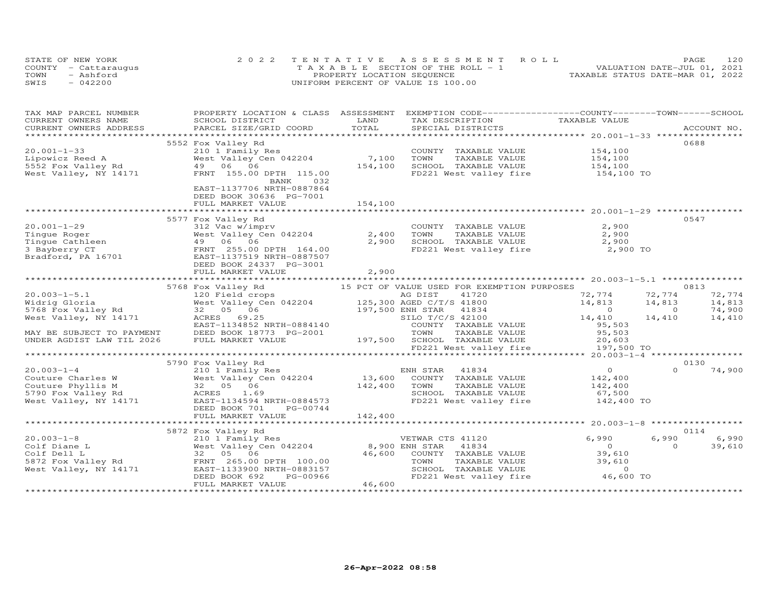| STATE OF NEW YORK    | 2022 TENTATIVE ASSESSMENT ROLL        | 120<br>PAGE.                     |
|----------------------|---------------------------------------|----------------------------------|
| COUNTY - Cattaraugus | T A X A B L E SECTION OF THE ROLL - 1 | VALUATION DATE-JUL 01, 2021      |
| TOWN<br>- Ashford    | PROPERTY LOCATION SEQUENCE            | TAXABLE STATUS DATE-MAR 01, 2022 |
| $-042200$<br>SWIS    | UNIFORM PERCENT OF VALUE IS 100.00    |                                  |

| TAX MAP PARCEL NUMBER                                     | PROPERTY LOCATION & CLASS ASSESSMENT EXEMPTION CODE----------------COUNTY-------TOWN------SCHOOL                                                                                                                                    |         |                                                               |                |                          |
|-----------------------------------------------------------|-------------------------------------------------------------------------------------------------------------------------------------------------------------------------------------------------------------------------------------|---------|---------------------------------------------------------------|----------------|--------------------------|
| CURRENT OWNERS NAME                                       | SCHOOL DISTRICT                                                                                                                                                                                                                     | LAND    | TAX DESCRIPTION                                               | TAXABLE VALUE  |                          |
|                                                           | .CURRENT OWNERS ADDRESS PARCEL SIZE/GRID COORD TOTAL SPECIAL DISTRICTS ACCOUNT NO ACCOUNT NO ACCOUNT NO ARE A LATA AND MALL THAT A LATA A LATA A LATA A LATA A LATA A LATA A LATA A LATA A LATA A LATA A LATA A LATA A LATA A       |         |                                                               |                | ACCOUNT NO.              |
|                                                           |                                                                                                                                                                                                                                     |         |                                                               |                | 0688                     |
|                                                           | 5552 Fox Valley Rd                                                                                                                                                                                                                  |         |                                                               |                |                          |
| $20.001 - 1 - 33$                                         | 210 1 Family Res<br>West Valley Cen 042204 7,100                                                                                                                                                                                    |         | COUNTY TAXABLE VALUE                                          | 154,100        |                          |
| Lipowicz Reed A<br>Lipowicz Reed A<br>5552 Fox Valley Rd  |                                                                                                                                                                                                                                     |         | TOWN<br>TAXABLE VALUE                                         | 154,100        |                          |
|                                                           | 49 06 06                                                                                                                                                                                                                            | 154,100 | SCHOOL TAXABLE VALUE                                          | 154,100        |                          |
| West Valley, NY 14171                                     | FRNT 155.00 DPTH 115.00                                                                                                                                                                                                             |         | FD221 West valley fire                                        | 154,100 TO     |                          |
|                                                           | 032<br>BANK                                                                                                                                                                                                                         |         |                                                               |                |                          |
|                                                           | EAST-1137706 NRTH-0887864                                                                                                                                                                                                           |         |                                                               |                |                          |
|                                                           | DEED BOOK 30636 PG-7001                                                                                                                                                                                                             |         |                                                               |                |                          |
|                                                           | FULL MARKET VALUE                                                                                                                                                                                                                   | 154,100 |                                                               |                |                          |
|                                                           |                                                                                                                                                                                                                                     |         |                                                               |                |                          |
|                                                           | 5577 Fox Valley Rd                                                                                                                                                                                                                  |         |                                                               |                | 0547                     |
|                                                           | IOA varier nu<br>312 Vac w/imprv<br>West Valley Cen 042204                                                                                                                                                                          |         | COUNTY TAXABLE VALUE                                          | 2,900          |                          |
|                                                           |                                                                                                                                                                                                                                     | 2,400   | TAXABLE VALUE<br>TOWN                                         | 2,900          |                          |
|                                                           |                                                                                                                                                                                                                                     | 2,900   | SCHOOL TAXABLE VALUE 2,900<br>FD221 West valley fire 2,900 TO |                |                          |
|                                                           |                                                                                                                                                                                                                                     |         |                                                               |                |                          |
|                                                           |                                                                                                                                                                                                                                     |         |                                                               |                |                          |
|                                                           |                                                                                                                                                                                                                                     |         |                                                               |                |                          |
|                                                           | FULL MARKET VALUE                                                                                                                                                                                                                   | 2,900   |                                                               |                |                          |
|                                                           |                                                                                                                                                                                                                                     |         |                                                               |                |                          |
|                                                           | 5768 Fox Valley Rd 15 PCT OF VALUE USED FOR EXEMPTION PURPOSES                                                                                                                                                                      |         |                                                               |                | 0813                     |
| $20.003 - 1 - 5.1$                                        | 120 Field crops<br>120 Field crops<br>West Valley Cen 042204<br>32 05 06<br>AG DIST 41720<br>32 05 06<br>197,500 ENH STAR 41834<br>ERST-1134852 NRTH-0884140<br>DEED BOOK 18773 PG-2001<br>TOWN TAXABLE                             |         |                                                               | 72,774         | 72,774<br>72,774         |
| Widrig Gloria                                             |                                                                                                                                                                                                                                     |         |                                                               | 14,813         | 14,813<br>14,813         |
| 5768 Fox Valley Rd                                        |                                                                                                                                                                                                                                     |         |                                                               | $\overline{O}$ | 74,900<br>$\overline{0}$ |
| West Valley, NY 14171                                     |                                                                                                                                                                                                                                     |         |                                                               | 14,410         | 14,410<br>14,410         |
|                                                           |                                                                                                                                                                                                                                     |         | COUNTY TAXABLE VALUE                                          | 95,503         |                          |
|                                                           |                                                                                                                                                                                                                                     |         |                                                               |                |                          |
|                                                           |                                                                                                                                                                                                                                     |         |                                                               |                |                          |
|                                                           | MAY BE SUBJECT TO PAYMENT be the last transfer and the control of the control of the control of the control of<br>UNDER AGDIST LAW TIL 2026 FULL MARKET VALUE 197,500 SCHOOL TAXABLE VALUE 20,603<br>FD221 West valley fire the the |         |                                                               |                |                          |
|                                                           |                                                                                                                                                                                                                                     |         |                                                               |                |                          |
|                                                           | 5790 Fox Valley Rd                                                                                                                                                                                                                  |         |                                                               |                | 0130                     |
| $20.003 - 1 - 4$                                          | 210 1 Family Res                                                                                                                                                                                                                    |         | ENH STAR<br>41834                                             | $\overline{O}$ | $\Omega$<br>74,900       |
| Couture Charles W                                         | West Valley Cen 042204 13,600                                                                                                                                                                                                       |         | COUNTY TAXABLE VALUE                                          | 142,400        |                          |
| Couture Phyllis M                                         |                                                                                                                                                                                                                                     | 142,400 | TAXABLE VALUE<br>TOWN                                         | 142,400        |                          |
| 5790 Fox Valley Rd                                        | 32 05 06<br>ACRES 1.69                                                                                                                                                                                                              |         | SCHOOL TAXABLE VALUE                                          | 67,500         |                          |
| West Valley, $NY$ 14171                                   | $\texttt{EAST-1134594}$ NRTH-0884573                                                                                                                                                                                                |         | FD221 West valley fire 142,400 TO                             |                |                          |
|                                                           | DEED BOOK 701<br>PG-00744                                                                                                                                                                                                           |         |                                                               |                |                          |
|                                                           | FULL MARKET VALUE                                                                                                                                                                                                                   | 142,400 |                                                               |                |                          |
|                                                           |                                                                                                                                                                                                                                     |         |                                                               |                |                          |
|                                                           | 5872 Fox Valley Rd                                                                                                                                                                                                                  |         |                                                               |                | 0114                     |
| $20.003 - 1 - 8$                                          |                                                                                                                                                                                                                                     |         | VETWAR CTS 41120                                              | 6,990          | 6,990<br>6,990           |
| Colf Diane L                                              | 210 1 Family Res<br>West Valley Cen 042204 200 BNH STAR<br>32 05 06 46,600 COUNTY                                                                                                                                                   |         | 41834                                                         | $\Omega$       | $\Omega$<br>39,610       |
|                                                           | 32 05 06                                                                                                                                                                                                                            | 46,600  | COUNTY TAXABLE VALUE                                          | 39,610         |                          |
| Colf Diane<br>5872 Fox Valley Rd<br>West Valley, NY 14171 |                                                                                                                                                                                                                                     |         |                                                               | 39,610         |                          |
|                                                           | 32 33<br>FRNT 265.00 DPTH 100.00<br>EAST-1133900 NRTH-0883157<br>DEED ROOK 692 PG-00966                                                                                                                                             |         | TOWN TAXABLE VALUE<br>SCHOOL TAXABLE VALUE                    | $\Omega$       |                          |
|                                                           | PG-00966                                                                                                                                                                                                                            |         | FD221 West valley fire                                        | 46,600 TO      |                          |
|                                                           | FULL MARKET VALUE                                                                                                                                                                                                                   | 46,600  |                                                               |                |                          |
|                                                           |                                                                                                                                                                                                                                     |         |                                                               |                |                          |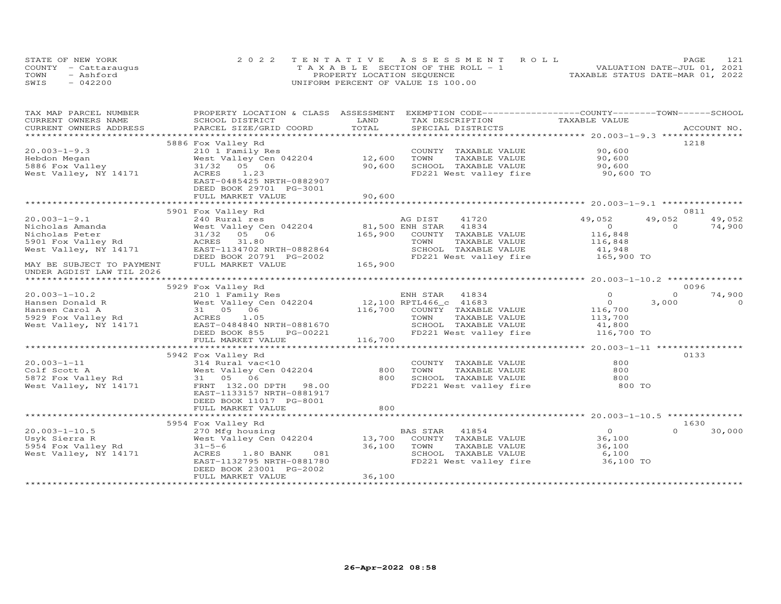|      | STATE OF NEW YORK    | 2022 TENTATIVE ASSESSMENT ROLL        | 121<br>PAGE                      |
|------|----------------------|---------------------------------------|----------------------------------|
|      | COUNTY - Cattaraugus | T A X A B L E SECTION OF THE ROLL - 1 | VALUATION DATE-JUL 01, 2021      |
| TOWN | - Ashford            | PROPERTY LOCATION SEQUENCE            | TAXABLE STATUS DATE-MAR 01, 2022 |
| SWIS | $-042200$            | UNIFORM PERCENT OF VALUE IS 100.00    |                                  |

| TOTAL<br>CURRENT OWNERS ADDRESS<br>PARCEL SIZE/GRID COORD<br>SPECIAL DISTRICTS<br>ACCOUNT NO.<br>1218<br>5886 Fox Valley Rd<br>90,600<br>$20.003 - 1 - 9.3$<br>210 1 Family Res<br>COUNTY TAXABLE VALUE<br>12,600<br>West Valley Cen 042204<br>TOWN<br>TAXABLE VALUE<br>90,600<br>Hebdon Megan<br>5886 Fox Valley<br>31/32 05 06<br>90,600<br>SCHOOL TAXABLE VALUE<br>90,600<br>West Valley, NY 14171<br>ACRES 1.23<br>FD221 West valley fire<br>90,600 TO<br>EAST-0485425 NRTH-0882907<br>DEED BOOK 29701 PG-3001<br>FULL MARKET VALUE<br>90,600<br>5901 Fox Valley Rd<br>0811<br>49,052<br>49,052<br>$20.003 - 1 - 9.1$<br>240 Rural res<br>AG DIST<br>41720<br>49,052<br>81,500 ENH STAR 41834<br>74,900<br>Nicholas Amanda<br>West Valley Cen 042204<br>$\Omega$<br>$\Omega$<br>Nicholas Peter<br>31/32 05 06<br>165,900<br>COUNTY TAXABLE VALUE<br>116,848<br>5901 Fox Valley Rd<br>ACRES 31.80<br>TOWN<br>TAXABLE VALUE<br>116,848<br>West Valley, NY 14171<br>EAST-1134702 NRTH-0882864<br>SCHOOL TAXABLE VALUE<br>41,948<br>FD221 West valley fire 165,900 TO<br>DEED BOOK 20791 PG-2002<br>165,900<br>MAY BE SUBJECT TO PAYMENT<br>FULL MARKET VALUE<br>UNDER AGDIST LAW TIL 2026<br>**********************<br>5929 Fox Valley Rd<br>0096<br>$\Omega$<br>$\Omega$<br>74,900<br>$20.003 - 1 - 10.2$<br>210 1 Family Res<br>ENH STAR 41834<br>West Valley Cen 042204 12,100 RPTL466_c 41683<br>31 05 06 116,700 COUNTY TAXABLE VALUE<br>$\begin{smallmatrix}&&0\116,700\end{smallmatrix}$<br>3,000<br>$\Omega$<br>TAXABLE VALUE<br>TOWN<br>113,700<br>EAST-0484840 NRTH-0881670<br>SCHOOL TAXABLE VALUE<br>41,800<br>FD221 West valley fire 116,700 TO<br>PG-00221<br>DEED BOOK 855<br>FULL MARKET VALUE<br>116,700<br>0133<br>5942 Fox Valley Rd<br>800<br>COUNTY TAXABLE VALUE<br>314 Rural vac<10<br>% 20.003-1-11 314 Rural vac<br>Colf Scott A Mest Valley C<br>5872 Fox Valley Rd 31 05 06<br>Most Valley Rd 31 05 06<br>West Valley Cen 042204<br>800<br>800<br>TOWN<br>TAXABLE VALUE<br>800<br>SCHOOL TAXABLE VALUE<br>800<br>West Valley, NY 14171<br>FRNT 132.00 DPTH 98.00<br>FD221 West valley fire<br>800 TO<br>EAST-1133157 NRTH-0881917<br>DEED BOOK 11017 PG-8001<br>FULL MARKET VALUE<br>800<br>1630<br>5954 Fox Valley Rd<br>$20.003 - 1 - 10.5$<br>$\overline{O}$<br>$\Omega$<br>270 Mfg housing<br>BAS STAR<br>41854<br>30,000<br>West Valley Cen 042204<br>13,700<br>COUNTY TAXABLE VALUE<br>Usyk Sierra R<br>36,100<br>36,100<br>5954 Fox Valley Rd<br>TOWN<br>TAXABLE VALUE<br>36,100<br>$31 - 5 - 6$<br>West Valley, NY 14171<br>081<br>ACRES<br>$1.80$ BANK<br>SCHOOL TAXABLE VALUE<br>6,100<br>EAST-1132795 NRTH-0881780<br>FD221 West valley fire<br>36,100 TO<br>DEED BOOK 23001 PG-2002<br>36,100<br>FULL MARKET VALUE | TAX MAP PARCEL NUMBER | PROPERTY LOCATION & CLASS ASSESSMENT |      | EXEMPTION CODE-----------------COUNTY-------TOWN------SCHOOL |               |  |
|------------------------------------------------------------------------------------------------------------------------------------------------------------------------------------------------------------------------------------------------------------------------------------------------------------------------------------------------------------------------------------------------------------------------------------------------------------------------------------------------------------------------------------------------------------------------------------------------------------------------------------------------------------------------------------------------------------------------------------------------------------------------------------------------------------------------------------------------------------------------------------------------------------------------------------------------------------------------------------------------------------------------------------------------------------------------------------------------------------------------------------------------------------------------------------------------------------------------------------------------------------------------------------------------------------------------------------------------------------------------------------------------------------------------------------------------------------------------------------------------------------------------------------------------------------------------------------------------------------------------------------------------------------------------------------------------------------------------------------------------------------------------------------------------------------------------------------------------------------------------------------------------------------------------------------------------------------------------------------------------------------------------------------------------------------------------------------------------------------------------------------------------------------------------------------------------------------------------------------------------------------------------------------------------------------------------------------------------------------------------------------------------------------------------------------------------------------------------------------------------------------------------------------------------------------------------------------------------------------------------------------------------------------------------------------------------------------------------------------------------------------|-----------------------|--------------------------------------|------|--------------------------------------------------------------|---------------|--|
|                                                                                                                                                                                                                                                                                                                                                                                                                                                                                                                                                                                                                                                                                                                                                                                                                                                                                                                                                                                                                                                                                                                                                                                                                                                                                                                                                                                                                                                                                                                                                                                                                                                                                                                                                                                                                                                                                                                                                                                                                                                                                                                                                                                                                                                                                                                                                                                                                                                                                                                                                                                                                                                                                                                                                            | CURRENT OWNERS NAME   | SCHOOL DISTRICT                      | LAND | TAX DESCRIPTION                                              | TAXABLE VALUE |  |
|                                                                                                                                                                                                                                                                                                                                                                                                                                                                                                                                                                                                                                                                                                                                                                                                                                                                                                                                                                                                                                                                                                                                                                                                                                                                                                                                                                                                                                                                                                                                                                                                                                                                                                                                                                                                                                                                                                                                                                                                                                                                                                                                                                                                                                                                                                                                                                                                                                                                                                                                                                                                                                                                                                                                                            |                       |                                      |      |                                                              |               |  |
|                                                                                                                                                                                                                                                                                                                                                                                                                                                                                                                                                                                                                                                                                                                                                                                                                                                                                                                                                                                                                                                                                                                                                                                                                                                                                                                                                                                                                                                                                                                                                                                                                                                                                                                                                                                                                                                                                                                                                                                                                                                                                                                                                                                                                                                                                                                                                                                                                                                                                                                                                                                                                                                                                                                                                            |                       |                                      |      |                                                              |               |  |
|                                                                                                                                                                                                                                                                                                                                                                                                                                                                                                                                                                                                                                                                                                                                                                                                                                                                                                                                                                                                                                                                                                                                                                                                                                                                                                                                                                                                                                                                                                                                                                                                                                                                                                                                                                                                                                                                                                                                                                                                                                                                                                                                                                                                                                                                                                                                                                                                                                                                                                                                                                                                                                                                                                                                                            |                       |                                      |      |                                                              |               |  |
|                                                                                                                                                                                                                                                                                                                                                                                                                                                                                                                                                                                                                                                                                                                                                                                                                                                                                                                                                                                                                                                                                                                                                                                                                                                                                                                                                                                                                                                                                                                                                                                                                                                                                                                                                                                                                                                                                                                                                                                                                                                                                                                                                                                                                                                                                                                                                                                                                                                                                                                                                                                                                                                                                                                                                            |                       |                                      |      |                                                              |               |  |
|                                                                                                                                                                                                                                                                                                                                                                                                                                                                                                                                                                                                                                                                                                                                                                                                                                                                                                                                                                                                                                                                                                                                                                                                                                                                                                                                                                                                                                                                                                                                                                                                                                                                                                                                                                                                                                                                                                                                                                                                                                                                                                                                                                                                                                                                                                                                                                                                                                                                                                                                                                                                                                                                                                                                                            |                       |                                      |      |                                                              |               |  |
|                                                                                                                                                                                                                                                                                                                                                                                                                                                                                                                                                                                                                                                                                                                                                                                                                                                                                                                                                                                                                                                                                                                                                                                                                                                                                                                                                                                                                                                                                                                                                                                                                                                                                                                                                                                                                                                                                                                                                                                                                                                                                                                                                                                                                                                                                                                                                                                                                                                                                                                                                                                                                                                                                                                                                            |                       |                                      |      |                                                              |               |  |
|                                                                                                                                                                                                                                                                                                                                                                                                                                                                                                                                                                                                                                                                                                                                                                                                                                                                                                                                                                                                                                                                                                                                                                                                                                                                                                                                                                                                                                                                                                                                                                                                                                                                                                                                                                                                                                                                                                                                                                                                                                                                                                                                                                                                                                                                                                                                                                                                                                                                                                                                                                                                                                                                                                                                                            |                       |                                      |      |                                                              |               |  |
|                                                                                                                                                                                                                                                                                                                                                                                                                                                                                                                                                                                                                                                                                                                                                                                                                                                                                                                                                                                                                                                                                                                                                                                                                                                                                                                                                                                                                                                                                                                                                                                                                                                                                                                                                                                                                                                                                                                                                                                                                                                                                                                                                                                                                                                                                                                                                                                                                                                                                                                                                                                                                                                                                                                                                            |                       |                                      |      |                                                              |               |  |
|                                                                                                                                                                                                                                                                                                                                                                                                                                                                                                                                                                                                                                                                                                                                                                                                                                                                                                                                                                                                                                                                                                                                                                                                                                                                                                                                                                                                                                                                                                                                                                                                                                                                                                                                                                                                                                                                                                                                                                                                                                                                                                                                                                                                                                                                                                                                                                                                                                                                                                                                                                                                                                                                                                                                                            |                       |                                      |      |                                                              |               |  |
|                                                                                                                                                                                                                                                                                                                                                                                                                                                                                                                                                                                                                                                                                                                                                                                                                                                                                                                                                                                                                                                                                                                                                                                                                                                                                                                                                                                                                                                                                                                                                                                                                                                                                                                                                                                                                                                                                                                                                                                                                                                                                                                                                                                                                                                                                                                                                                                                                                                                                                                                                                                                                                                                                                                                                            |                       |                                      |      |                                                              |               |  |
|                                                                                                                                                                                                                                                                                                                                                                                                                                                                                                                                                                                                                                                                                                                                                                                                                                                                                                                                                                                                                                                                                                                                                                                                                                                                                                                                                                                                                                                                                                                                                                                                                                                                                                                                                                                                                                                                                                                                                                                                                                                                                                                                                                                                                                                                                                                                                                                                                                                                                                                                                                                                                                                                                                                                                            |                       |                                      |      |                                                              |               |  |
|                                                                                                                                                                                                                                                                                                                                                                                                                                                                                                                                                                                                                                                                                                                                                                                                                                                                                                                                                                                                                                                                                                                                                                                                                                                                                                                                                                                                                                                                                                                                                                                                                                                                                                                                                                                                                                                                                                                                                                                                                                                                                                                                                                                                                                                                                                                                                                                                                                                                                                                                                                                                                                                                                                                                                            |                       |                                      |      |                                                              |               |  |
|                                                                                                                                                                                                                                                                                                                                                                                                                                                                                                                                                                                                                                                                                                                                                                                                                                                                                                                                                                                                                                                                                                                                                                                                                                                                                                                                                                                                                                                                                                                                                                                                                                                                                                                                                                                                                                                                                                                                                                                                                                                                                                                                                                                                                                                                                                                                                                                                                                                                                                                                                                                                                                                                                                                                                            |                       |                                      |      |                                                              |               |  |
|                                                                                                                                                                                                                                                                                                                                                                                                                                                                                                                                                                                                                                                                                                                                                                                                                                                                                                                                                                                                                                                                                                                                                                                                                                                                                                                                                                                                                                                                                                                                                                                                                                                                                                                                                                                                                                                                                                                                                                                                                                                                                                                                                                                                                                                                                                                                                                                                                                                                                                                                                                                                                                                                                                                                                            |                       |                                      |      |                                                              |               |  |
|                                                                                                                                                                                                                                                                                                                                                                                                                                                                                                                                                                                                                                                                                                                                                                                                                                                                                                                                                                                                                                                                                                                                                                                                                                                                                                                                                                                                                                                                                                                                                                                                                                                                                                                                                                                                                                                                                                                                                                                                                                                                                                                                                                                                                                                                                                                                                                                                                                                                                                                                                                                                                                                                                                                                                            |                       |                                      |      |                                                              |               |  |
|                                                                                                                                                                                                                                                                                                                                                                                                                                                                                                                                                                                                                                                                                                                                                                                                                                                                                                                                                                                                                                                                                                                                                                                                                                                                                                                                                                                                                                                                                                                                                                                                                                                                                                                                                                                                                                                                                                                                                                                                                                                                                                                                                                                                                                                                                                                                                                                                                                                                                                                                                                                                                                                                                                                                                            |                       |                                      |      |                                                              |               |  |
|                                                                                                                                                                                                                                                                                                                                                                                                                                                                                                                                                                                                                                                                                                                                                                                                                                                                                                                                                                                                                                                                                                                                                                                                                                                                                                                                                                                                                                                                                                                                                                                                                                                                                                                                                                                                                                                                                                                                                                                                                                                                                                                                                                                                                                                                                                                                                                                                                                                                                                                                                                                                                                                                                                                                                            |                       |                                      |      |                                                              |               |  |
|                                                                                                                                                                                                                                                                                                                                                                                                                                                                                                                                                                                                                                                                                                                                                                                                                                                                                                                                                                                                                                                                                                                                                                                                                                                                                                                                                                                                                                                                                                                                                                                                                                                                                                                                                                                                                                                                                                                                                                                                                                                                                                                                                                                                                                                                                                                                                                                                                                                                                                                                                                                                                                                                                                                                                            |                       |                                      |      |                                                              |               |  |
|                                                                                                                                                                                                                                                                                                                                                                                                                                                                                                                                                                                                                                                                                                                                                                                                                                                                                                                                                                                                                                                                                                                                                                                                                                                                                                                                                                                                                                                                                                                                                                                                                                                                                                                                                                                                                                                                                                                                                                                                                                                                                                                                                                                                                                                                                                                                                                                                                                                                                                                                                                                                                                                                                                                                                            |                       |                                      |      |                                                              |               |  |
|                                                                                                                                                                                                                                                                                                                                                                                                                                                                                                                                                                                                                                                                                                                                                                                                                                                                                                                                                                                                                                                                                                                                                                                                                                                                                                                                                                                                                                                                                                                                                                                                                                                                                                                                                                                                                                                                                                                                                                                                                                                                                                                                                                                                                                                                                                                                                                                                                                                                                                                                                                                                                                                                                                                                                            |                       |                                      |      |                                                              |               |  |
|                                                                                                                                                                                                                                                                                                                                                                                                                                                                                                                                                                                                                                                                                                                                                                                                                                                                                                                                                                                                                                                                                                                                                                                                                                                                                                                                                                                                                                                                                                                                                                                                                                                                                                                                                                                                                                                                                                                                                                                                                                                                                                                                                                                                                                                                                                                                                                                                                                                                                                                                                                                                                                                                                                                                                            |                       |                                      |      |                                                              |               |  |
|                                                                                                                                                                                                                                                                                                                                                                                                                                                                                                                                                                                                                                                                                                                                                                                                                                                                                                                                                                                                                                                                                                                                                                                                                                                                                                                                                                                                                                                                                                                                                                                                                                                                                                                                                                                                                                                                                                                                                                                                                                                                                                                                                                                                                                                                                                                                                                                                                                                                                                                                                                                                                                                                                                                                                            |                       |                                      |      |                                                              |               |  |
|                                                                                                                                                                                                                                                                                                                                                                                                                                                                                                                                                                                                                                                                                                                                                                                                                                                                                                                                                                                                                                                                                                                                                                                                                                                                                                                                                                                                                                                                                                                                                                                                                                                                                                                                                                                                                                                                                                                                                                                                                                                                                                                                                                                                                                                                                                                                                                                                                                                                                                                                                                                                                                                                                                                                                            |                       |                                      |      |                                                              |               |  |
|                                                                                                                                                                                                                                                                                                                                                                                                                                                                                                                                                                                                                                                                                                                                                                                                                                                                                                                                                                                                                                                                                                                                                                                                                                                                                                                                                                                                                                                                                                                                                                                                                                                                                                                                                                                                                                                                                                                                                                                                                                                                                                                                                                                                                                                                                                                                                                                                                                                                                                                                                                                                                                                                                                                                                            |                       |                                      |      |                                                              |               |  |
|                                                                                                                                                                                                                                                                                                                                                                                                                                                                                                                                                                                                                                                                                                                                                                                                                                                                                                                                                                                                                                                                                                                                                                                                                                                                                                                                                                                                                                                                                                                                                                                                                                                                                                                                                                                                                                                                                                                                                                                                                                                                                                                                                                                                                                                                                                                                                                                                                                                                                                                                                                                                                                                                                                                                                            |                       |                                      |      |                                                              |               |  |
|                                                                                                                                                                                                                                                                                                                                                                                                                                                                                                                                                                                                                                                                                                                                                                                                                                                                                                                                                                                                                                                                                                                                                                                                                                                                                                                                                                                                                                                                                                                                                                                                                                                                                                                                                                                                                                                                                                                                                                                                                                                                                                                                                                                                                                                                                                                                                                                                                                                                                                                                                                                                                                                                                                                                                            |                       |                                      |      |                                                              |               |  |
|                                                                                                                                                                                                                                                                                                                                                                                                                                                                                                                                                                                                                                                                                                                                                                                                                                                                                                                                                                                                                                                                                                                                                                                                                                                                                                                                                                                                                                                                                                                                                                                                                                                                                                                                                                                                                                                                                                                                                                                                                                                                                                                                                                                                                                                                                                                                                                                                                                                                                                                                                                                                                                                                                                                                                            |                       |                                      |      |                                                              |               |  |
|                                                                                                                                                                                                                                                                                                                                                                                                                                                                                                                                                                                                                                                                                                                                                                                                                                                                                                                                                                                                                                                                                                                                                                                                                                                                                                                                                                                                                                                                                                                                                                                                                                                                                                                                                                                                                                                                                                                                                                                                                                                                                                                                                                                                                                                                                                                                                                                                                                                                                                                                                                                                                                                                                                                                                            |                       |                                      |      |                                                              |               |  |
|                                                                                                                                                                                                                                                                                                                                                                                                                                                                                                                                                                                                                                                                                                                                                                                                                                                                                                                                                                                                                                                                                                                                                                                                                                                                                                                                                                                                                                                                                                                                                                                                                                                                                                                                                                                                                                                                                                                                                                                                                                                                                                                                                                                                                                                                                                                                                                                                                                                                                                                                                                                                                                                                                                                                                            |                       |                                      |      |                                                              |               |  |
|                                                                                                                                                                                                                                                                                                                                                                                                                                                                                                                                                                                                                                                                                                                                                                                                                                                                                                                                                                                                                                                                                                                                                                                                                                                                                                                                                                                                                                                                                                                                                                                                                                                                                                                                                                                                                                                                                                                                                                                                                                                                                                                                                                                                                                                                                                                                                                                                                                                                                                                                                                                                                                                                                                                                                            |                       |                                      |      |                                                              |               |  |
|                                                                                                                                                                                                                                                                                                                                                                                                                                                                                                                                                                                                                                                                                                                                                                                                                                                                                                                                                                                                                                                                                                                                                                                                                                                                                                                                                                                                                                                                                                                                                                                                                                                                                                                                                                                                                                                                                                                                                                                                                                                                                                                                                                                                                                                                                                                                                                                                                                                                                                                                                                                                                                                                                                                                                            |                       |                                      |      |                                                              |               |  |
|                                                                                                                                                                                                                                                                                                                                                                                                                                                                                                                                                                                                                                                                                                                                                                                                                                                                                                                                                                                                                                                                                                                                                                                                                                                                                                                                                                                                                                                                                                                                                                                                                                                                                                                                                                                                                                                                                                                                                                                                                                                                                                                                                                                                                                                                                                                                                                                                                                                                                                                                                                                                                                                                                                                                                            |                       |                                      |      |                                                              |               |  |
|                                                                                                                                                                                                                                                                                                                                                                                                                                                                                                                                                                                                                                                                                                                                                                                                                                                                                                                                                                                                                                                                                                                                                                                                                                                                                                                                                                                                                                                                                                                                                                                                                                                                                                                                                                                                                                                                                                                                                                                                                                                                                                                                                                                                                                                                                                                                                                                                                                                                                                                                                                                                                                                                                                                                                            |                       |                                      |      |                                                              |               |  |
|                                                                                                                                                                                                                                                                                                                                                                                                                                                                                                                                                                                                                                                                                                                                                                                                                                                                                                                                                                                                                                                                                                                                                                                                                                                                                                                                                                                                                                                                                                                                                                                                                                                                                                                                                                                                                                                                                                                                                                                                                                                                                                                                                                                                                                                                                                                                                                                                                                                                                                                                                                                                                                                                                                                                                            |                       |                                      |      |                                                              |               |  |
|                                                                                                                                                                                                                                                                                                                                                                                                                                                                                                                                                                                                                                                                                                                                                                                                                                                                                                                                                                                                                                                                                                                                                                                                                                                                                                                                                                                                                                                                                                                                                                                                                                                                                                                                                                                                                                                                                                                                                                                                                                                                                                                                                                                                                                                                                                                                                                                                                                                                                                                                                                                                                                                                                                                                                            |                       |                                      |      |                                                              |               |  |
|                                                                                                                                                                                                                                                                                                                                                                                                                                                                                                                                                                                                                                                                                                                                                                                                                                                                                                                                                                                                                                                                                                                                                                                                                                                                                                                                                                                                                                                                                                                                                                                                                                                                                                                                                                                                                                                                                                                                                                                                                                                                                                                                                                                                                                                                                                                                                                                                                                                                                                                                                                                                                                                                                                                                                            |                       |                                      |      |                                                              |               |  |
|                                                                                                                                                                                                                                                                                                                                                                                                                                                                                                                                                                                                                                                                                                                                                                                                                                                                                                                                                                                                                                                                                                                                                                                                                                                                                                                                                                                                                                                                                                                                                                                                                                                                                                                                                                                                                                                                                                                                                                                                                                                                                                                                                                                                                                                                                                                                                                                                                                                                                                                                                                                                                                                                                                                                                            |                       |                                      |      |                                                              |               |  |
|                                                                                                                                                                                                                                                                                                                                                                                                                                                                                                                                                                                                                                                                                                                                                                                                                                                                                                                                                                                                                                                                                                                                                                                                                                                                                                                                                                                                                                                                                                                                                                                                                                                                                                                                                                                                                                                                                                                                                                                                                                                                                                                                                                                                                                                                                                                                                                                                                                                                                                                                                                                                                                                                                                                                                            |                       |                                      |      |                                                              |               |  |
|                                                                                                                                                                                                                                                                                                                                                                                                                                                                                                                                                                                                                                                                                                                                                                                                                                                                                                                                                                                                                                                                                                                                                                                                                                                                                                                                                                                                                                                                                                                                                                                                                                                                                                                                                                                                                                                                                                                                                                                                                                                                                                                                                                                                                                                                                                                                                                                                                                                                                                                                                                                                                                                                                                                                                            |                       |                                      |      |                                                              |               |  |
|                                                                                                                                                                                                                                                                                                                                                                                                                                                                                                                                                                                                                                                                                                                                                                                                                                                                                                                                                                                                                                                                                                                                                                                                                                                                                                                                                                                                                                                                                                                                                                                                                                                                                                                                                                                                                                                                                                                                                                                                                                                                                                                                                                                                                                                                                                                                                                                                                                                                                                                                                                                                                                                                                                                                                            |                       |                                      |      |                                                              |               |  |
|                                                                                                                                                                                                                                                                                                                                                                                                                                                                                                                                                                                                                                                                                                                                                                                                                                                                                                                                                                                                                                                                                                                                                                                                                                                                                                                                                                                                                                                                                                                                                                                                                                                                                                                                                                                                                                                                                                                                                                                                                                                                                                                                                                                                                                                                                                                                                                                                                                                                                                                                                                                                                                                                                                                                                            |                       |                                      |      |                                                              |               |  |
|                                                                                                                                                                                                                                                                                                                                                                                                                                                                                                                                                                                                                                                                                                                                                                                                                                                                                                                                                                                                                                                                                                                                                                                                                                                                                                                                                                                                                                                                                                                                                                                                                                                                                                                                                                                                                                                                                                                                                                                                                                                                                                                                                                                                                                                                                                                                                                                                                                                                                                                                                                                                                                                                                                                                                            |                       |                                      |      |                                                              |               |  |
|                                                                                                                                                                                                                                                                                                                                                                                                                                                                                                                                                                                                                                                                                                                                                                                                                                                                                                                                                                                                                                                                                                                                                                                                                                                                                                                                                                                                                                                                                                                                                                                                                                                                                                                                                                                                                                                                                                                                                                                                                                                                                                                                                                                                                                                                                                                                                                                                                                                                                                                                                                                                                                                                                                                                                            |                       |                                      |      |                                                              |               |  |
|                                                                                                                                                                                                                                                                                                                                                                                                                                                                                                                                                                                                                                                                                                                                                                                                                                                                                                                                                                                                                                                                                                                                                                                                                                                                                                                                                                                                                                                                                                                                                                                                                                                                                                                                                                                                                                                                                                                                                                                                                                                                                                                                                                                                                                                                                                                                                                                                                                                                                                                                                                                                                                                                                                                                                            |                       |                                      |      |                                                              |               |  |
|                                                                                                                                                                                                                                                                                                                                                                                                                                                                                                                                                                                                                                                                                                                                                                                                                                                                                                                                                                                                                                                                                                                                                                                                                                                                                                                                                                                                                                                                                                                                                                                                                                                                                                                                                                                                                                                                                                                                                                                                                                                                                                                                                                                                                                                                                                                                                                                                                                                                                                                                                                                                                                                                                                                                                            |                       |                                      |      |                                                              |               |  |
|                                                                                                                                                                                                                                                                                                                                                                                                                                                                                                                                                                                                                                                                                                                                                                                                                                                                                                                                                                                                                                                                                                                                                                                                                                                                                                                                                                                                                                                                                                                                                                                                                                                                                                                                                                                                                                                                                                                                                                                                                                                                                                                                                                                                                                                                                                                                                                                                                                                                                                                                                                                                                                                                                                                                                            |                       |                                      |      |                                                              |               |  |
|                                                                                                                                                                                                                                                                                                                                                                                                                                                                                                                                                                                                                                                                                                                                                                                                                                                                                                                                                                                                                                                                                                                                                                                                                                                                                                                                                                                                                                                                                                                                                                                                                                                                                                                                                                                                                                                                                                                                                                                                                                                                                                                                                                                                                                                                                                                                                                                                                                                                                                                                                                                                                                                                                                                                                            |                       |                                      |      |                                                              |               |  |
|                                                                                                                                                                                                                                                                                                                                                                                                                                                                                                                                                                                                                                                                                                                                                                                                                                                                                                                                                                                                                                                                                                                                                                                                                                                                                                                                                                                                                                                                                                                                                                                                                                                                                                                                                                                                                                                                                                                                                                                                                                                                                                                                                                                                                                                                                                                                                                                                                                                                                                                                                                                                                                                                                                                                                            |                       |                                      |      |                                                              |               |  |
|                                                                                                                                                                                                                                                                                                                                                                                                                                                                                                                                                                                                                                                                                                                                                                                                                                                                                                                                                                                                                                                                                                                                                                                                                                                                                                                                                                                                                                                                                                                                                                                                                                                                                                                                                                                                                                                                                                                                                                                                                                                                                                                                                                                                                                                                                                                                                                                                                                                                                                                                                                                                                                                                                                                                                            |                       |                                      |      |                                                              |               |  |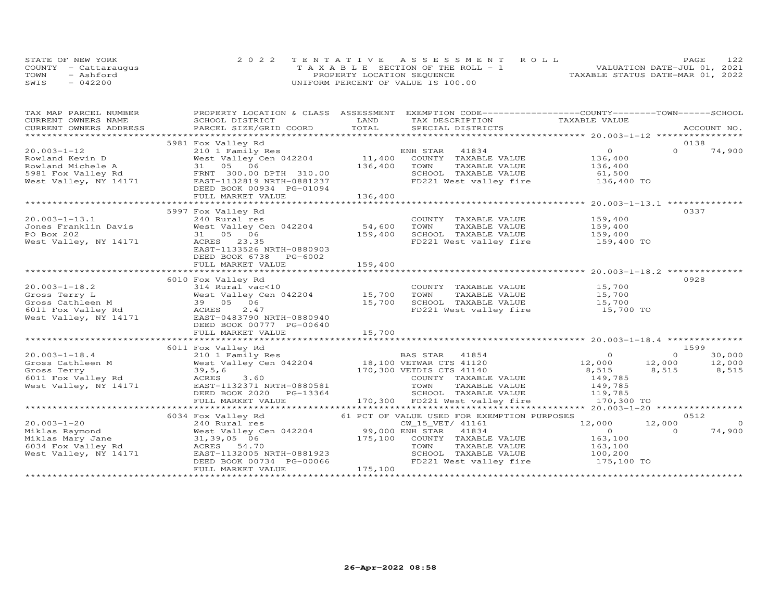|      | STATE OF NEW YORK    | 2022 TENTATIVE ASSESSMENT ROLL        | 122<br>PAGE                      |
|------|----------------------|---------------------------------------|----------------------------------|
|      | COUNTY - Cattaraugus | T A X A B L E SECTION OF THE ROLL - 1 | VALUATION DATE-JUL 01, 2021      |
| TOWN | - Ashford            | PROPERTY LOCATION SEQUENCE            | TAXABLE STATUS DATE-MAR 01, 2022 |
| SWIS | $-042200$            | UNIFORM PERCENT OF VALUE IS 100.00    |                                  |

| TAX MAP PARCEL NUMBER             | PROPERTY LOCATION & CLASS ASSESSMENT EXEMPTION CODE----------------COUNTY-------TOWN------SCHOOL                                                                                                                                                       |         |                                                            |                    |          |                |
|-----------------------------------|--------------------------------------------------------------------------------------------------------------------------------------------------------------------------------------------------------------------------------------------------------|---------|------------------------------------------------------------|--------------------|----------|----------------|
| CURRENT OWNERS NAME               | SCHOOL DISTRICT                                                                                                                                                                                                                                        | LAND    | TAX DESCRIPTION TAXABLE VALUE                              |                    |          |                |
|                                   | .CURRENT OWNERS ADDRESS PARCEL SIZE/GRID COORD TOTAL SPECIAL DISTRICTS ACCOUNT NO ACCOUNT NO ACCOUNT NO ARE THE SERVER AND THE SERVER ASSESS THE SERVER OF THE SERVER SERVER AND THE SERVER ASSESS THAT A THE SERVER SERVER AN                         |         |                                                            |                    |          |                |
|                                   | 5981 Fox Valley Rd                                                                                                                                                                                                                                     |         |                                                            |                    | 0138     |                |
| $20.003 - 1 - 12$                 |                                                                                                                                                                                                                                                        |         |                                                            | $\overline{O}$     | $\Omega$ | 74,900         |
|                                   |                                                                                                                                                                                                                                                        |         |                                                            |                    |          |                |
|                                   |                                                                                                                                                                                                                                                        |         |                                                            |                    |          |                |
|                                   |                                                                                                                                                                                                                                                        |         |                                                            |                    |          |                |
|                                   |                                                                                                                                                                                                                                                        |         |                                                            |                    |          |                |
|                                   |                                                                                                                                                                                                                                                        |         |                                                            |                    |          |                |
|                                   |                                                                                                                                                                                                                                                        |         |                                                            |                    |          |                |
|                                   | XOOD-1-12<br>XOOD-12<br>Rowland Kevin D<br>Rowland Michele A<br>SPALIE VALUE<br>TAXABLE VALUE<br>TAXABLE VALUE<br>TAXABLE VALUE<br>SCHOOL TAXABLE VALUE<br>SCHOOL TAXABLE VALUE<br>SCHOOL TAXABLE VALUE<br>SCHOOL TAXABLE VALUE<br>SCHOOL TAXABLE VALU |         |                                                            |                    |          |                |
|                                   | 5997 Fox Valley Rd                                                                                                                                                                                                                                     |         |                                                            |                    | 0337     |                |
|                                   |                                                                                                                                                                                                                                                        |         | COUNTY TAXABLE VALUE 159,400                               |                    |          |                |
|                                   |                                                                                                                                                                                                                                                        |         | TOWN TAXABLE VALUE 159,400<br>SCHOOL TAXABLE VALUE 159,400 |                    |          |                |
|                                   |                                                                                                                                                                                                                                                        |         |                                                            |                    |          |                |
| West Valley, NY 14171 ACRES 23.35 |                                                                                                                                                                                                                                                        |         | FD221 West valley fire 159,400 TO                          |                    |          |                |
|                                   | EAST-1133526 NRTH-0880903                                                                                                                                                                                                                              |         |                                                            |                    |          |                |
|                                   | DEED BOOK 6738 PG-6002                                                                                                                                                                                                                                 |         |                                                            |                    |          |                |
|                                   | FULL MARKET VALUE                                                                                                                                                                                                                                      | 159,400 |                                                            |                    |          |                |
|                                   |                                                                                                                                                                                                                                                        |         |                                                            |                    |          |                |
|                                   | 6010 Fox Valley Rd                                                                                                                                                                                                                                     |         |                                                            |                    | 0928     |                |
|                                   |                                                                                                                                                                                                                                                        |         | COUNTY TAXABLE VALUE 15,700<br>TOWN TAXABLE VALUE 15,700   |                    |          |                |
|                                   |                                                                                                                                                                                                                                                        |         |                                                            |                    |          |                |
|                                   |                                                                                                                                                                                                                                                        |         |                                                            |                    |          |                |
|                                   |                                                                                                                                                                                                                                                        |         |                                                            |                    |          |                |
|                                   |                                                                                                                                                                                                                                                        |         |                                                            |                    |          |                |
|                                   | DEED BOOK 00777 PG-00640                                                                                                                                                                                                                               |         |                                                            |                    |          |                |
|                                   | FULL MARKET VALUE                                                                                                                                                                                                                                      | 15,700  |                                                            |                    |          |                |
|                                   |                                                                                                                                                                                                                                                        |         |                                                            |                    |          |                |
|                                   | 6011 Fox Valley Rd                                                                                                                                                                                                                                     |         |                                                            |                    | 1599     |                |
|                                   |                                                                                                                                                                                                                                                        |         |                                                            |                    |          |                |
|                                   |                                                                                                                                                                                                                                                        |         |                                                            |                    |          |                |
|                                   |                                                                                                                                                                                                                                                        |         |                                                            |                    |          |                |
|                                   |                                                                                                                                                                                                                                                        |         |                                                            |                    |          |                |
|                                   |                                                                                                                                                                                                                                                        |         |                                                            |                    |          |                |
|                                   |                                                                                                                                                                                                                                                        |         |                                                            |                    |          |                |
|                                   |                                                                                                                                                                                                                                                        |         |                                                            |                    |          |                |
|                                   | 6034 Fox Valley Rd                                                                                                                                                                                                                                     |         | 61 PCT OF VALUE USED FOR EXEMPTION PURPOSES                |                    | 0512     |                |
|                                   |                                                                                                                                                                                                                                                        |         |                                                            | 12,000 12,000      |          | $\overline{0}$ |
|                                   |                                                                                                                                                                                                                                                        |         |                                                            | $\overline{0}$     | $\Omega$ | 74,900         |
|                                   |                                                                                                                                                                                                                                                        |         |                                                            |                    |          |                |
|                                   |                                                                                                                                                                                                                                                        |         |                                                            | 163,100<br>163,100 |          |                |
|                                   |                                                                                                                                                                                                                                                        |         | SCHOOL TAXABLE VALUE 100,200                               |                    |          |                |
|                                   |                                                                                                                                                                                                                                                        |         | FD221 West valley fire                                     | 175,100 TO         |          |                |
|                                   | FULL MARKET VALUE                                                                                                                                                                                                                                      | 175,100 |                                                            |                    |          |                |
|                                   |                                                                                                                                                                                                                                                        |         |                                                            |                    |          |                |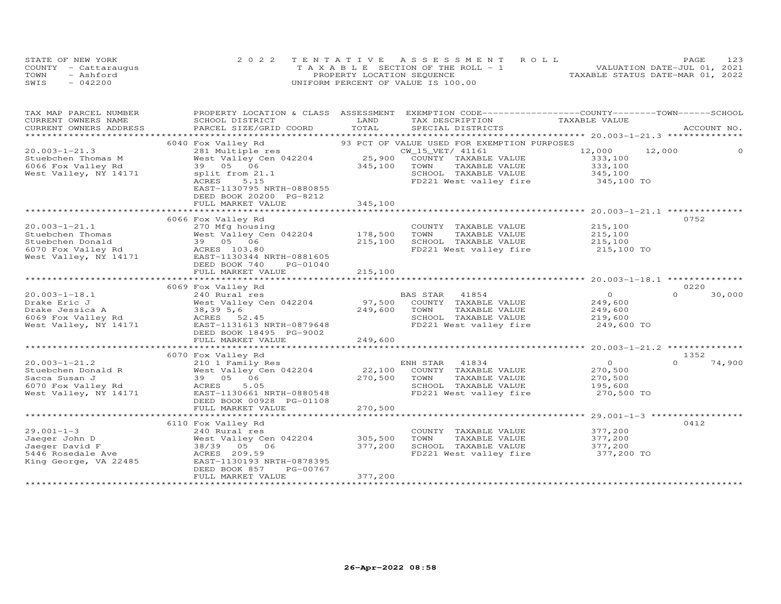|      | STATE OF NEW YORK    | 2022 TENTATIVE ASSESSMENT ROLL        | 123<br>PAGE.                     |
|------|----------------------|---------------------------------------|----------------------------------|
|      | COUNTY - Cattaraugus | T A X A B L E SECTION OF THE ROLL - 1 | VALUATION DATE-JUL 01, 2021      |
| TOWN | - Ashford            | PROPERTY LOCATION SEQUENCE            | TAXABLE STATUS DATE-MAR 01, 2022 |
| SWIS | $-042200$            | UNIFORM PERCENT OF VALUE IS 100.00    |                                  |

| TAX MAP PARCEL NUMBER<br>CURRENT OWNERS NAME | SCHOOL DISTRICT                                                             | LAND    | PROPERTY LOCATION & CLASS ASSESSMENT EXEMPTION CODE----------------COUNTY-------TOWN------SCHOOL<br>TAX DESCRIPTION | TAXABLE VALUE    |                    |
|----------------------------------------------|-----------------------------------------------------------------------------|---------|---------------------------------------------------------------------------------------------------------------------|------------------|--------------------|
| CURRENT OWNERS ADDRESS                       |                                                                             | TOTAL   | SPECIAL DISTRICTS                                                                                                   |                  | ACCOUNT NO.        |
| *************************                    | PARCEL SIZE/GRID COORD                                                      |         |                                                                                                                     |                  |                    |
|                                              |                                                                             |         |                                                                                                                     |                  |                    |
|                                              | 6040 Fox Valley Rd                                                          |         | 93 PCT OF VALUE USED FOR EXEMPTION PURPOSES                                                                         |                  |                    |
| $20.003 - 1 - 21.3$                          | 281 Multiple res<br>281 Multiple res CW CW<br>West Valley Cen 042204 25,900 |         | CW_15_VET/ 41161                                                                                                    | 12,000<br>12,000 |                    |
| Stuebchen Thomas M                           |                                                                             |         | COUNTY TAXABLE VALUE                                                                                                | 333,100          |                    |
| 6066 Fox Valley Rd                           | 39 05 06                                                                    | 345,100 | TOWN<br>TAXABLE VALUE                                                                                               | 333,100          |                    |
| West Valley, NY 14171                        | split from 21.1                                                             |         | SCHOOL TAXABLE VALUE                                                                                                | 345,100          |                    |
|                                              | ACRES<br>5.15                                                               |         | FD221 West valley fire 345,100 TO                                                                                   |                  |                    |
|                                              | EAST-1130795 NRTH-0880855                                                   |         |                                                                                                                     |                  |                    |
|                                              | DEED BOOK 20200 PG-8212                                                     |         |                                                                                                                     |                  |                    |
|                                              | FULL MARKET VALUE                                                           | 345,100 |                                                                                                                     |                  |                    |
|                                              |                                                                             |         |                                                                                                                     |                  |                    |
|                                              | 6066 Fox Valley Rd                                                          |         |                                                                                                                     |                  | 0752               |
| $20.003 - 1 - 21.1$                          | 270 Mfg housing                                                             |         | COUNTY TAXABLE VALUE                                                                                                | 215,100          |                    |
| Stuebchen Thomas                             | West Valley Cen 042204                                                      | 178,500 | TOWN<br>TAXABLE VALUE                                                                                               | 215,100          |                    |
| Stuebchen Donald                             |                                                                             | 215,100 | SCHOOL TAXABLE VALUE                                                                                                | 215,100          |                    |
| 6070 Fox Valley Rd<br>West Valley, NY 14171  |                                                                             |         | FD221 West valley fire                                                                                              | 215,100 TO       |                    |
|                                              | EAST-1130344 NRTH-0881605                                                   |         |                                                                                                                     |                  |                    |
|                                              | DEED BOOK 740<br>PG-01040                                                   |         |                                                                                                                     |                  |                    |
|                                              | FULL MARKET VALUE                                                           | 215,100 |                                                                                                                     |                  |                    |
|                                              |                                                                             |         |                                                                                                                     |                  |                    |
|                                              | 6069 Fox Valley Rd                                                          |         |                                                                                                                     |                  | 0220               |
| $20.003 - 1 - 18.1$                          | 240 Rural res                                                               |         | BAS STAR 41854                                                                                                      | $\overline{O}$   | $\Omega$<br>30,000 |
| Drake Eric J                                 | West Valley Cen 042204                                                      | 97,500  | COUNTY TAXABLE VALUE                                                                                                | 249,600          |                    |
|                                              |                                                                             | 249,600 | TOWN                                                                                                                |                  |                    |
| Drake Jessica A                              | 38,395,6                                                                    |         | TAXABLE VALUE                                                                                                       | 249,600          |                    |
| 6069 Fox Valley Rd<br>West Valley, NY 14171  | ACRES 52.45                                                                 |         | SCHOOL TAXABLE VALUE                                                                                                | 219,600          |                    |
|                                              | EAST-1131613 NRTH-0879648                                                   |         | FD221 West valley fire                                                                                              | 249,600 TO       |                    |
|                                              | DEED BOOK 18495 PG-9002                                                     |         |                                                                                                                     |                  |                    |
|                                              | FULL MARKET VALUE                                                           | 249,600 |                                                                                                                     |                  |                    |
|                                              |                                                                             |         |                                                                                                                     |                  |                    |
|                                              | 6070 Fox Valley Rd                                                          |         |                                                                                                                     |                  | 1352               |
| $20.003 - 1 - 21.2$                          | 210 1 Family Res                                                            |         |                                                                                                                     | $\overline{0}$   | $\Omega$<br>74,900 |
| Stuebchen Donald R                           | West Valley Cen 042204                                                      |         | ENH STAR 41834<br>22,100 COUNTY TAXABLE VALUE<br>- TAXABLE VALUE                                                    | 270,500          |                    |
| Sacca Susan J                                | 39 05 06                                                                    | 270,500 | TOWN<br>TAXABLE VALUE                                                                                               | 270,500          |                    |
| 6070 Fox Valley Rd                           | ACRES<br>5.05                                                               |         | SCHOOL TAXABLE VALUE                                                                                                | 195,600          |                    |
| West Valley, NY 14171                        | EAST-1130661 NRTH-0880548                                                   |         | FD221 West valley fire                                                                                              | 270,500 TO       |                    |
|                                              | DEED BOOK 00928 PG-01108                                                    |         |                                                                                                                     |                  |                    |
|                                              | FULL MARKET VALUE                                                           | 270,500 |                                                                                                                     |                  |                    |
|                                              |                                                                             |         |                                                                                                                     |                  |                    |
|                                              | 6110 Fox Valley Rd                                                          |         |                                                                                                                     |                  | 0412               |
| $29.001 - 1 - 3$                             | 240 Rural res                                                               |         | COUNTY TAXABLE VALUE                                                                                                | 377,200          |                    |
| Jaeger John D                                | West Valley Cen 042204                                                      | 305,500 | TOWN<br>TAXABLE VALUE                                                                                               | 377,200          |                    |
| Jaeger David F                               | 38/39 05 06                                                                 | 377,200 | SCHOOL TAXABLE VALUE                                                                                                | 377,200          |                    |
| 5446 Rosedale Ave                            | ACRES 209.59                                                                |         | FD221 West valley fire                                                                                              | 377,200 TO       |                    |
| King George, VA 22485                        | EAST-1130193 NRTH-0878395                                                   |         |                                                                                                                     |                  |                    |
|                                              | DEED BOOK 857<br>PG-00767                                                   |         |                                                                                                                     |                  |                    |
|                                              | FULL MARKET VALUE                                                           | 377,200 |                                                                                                                     |                  |                    |
|                                              |                                                                             |         |                                                                                                                     |                  |                    |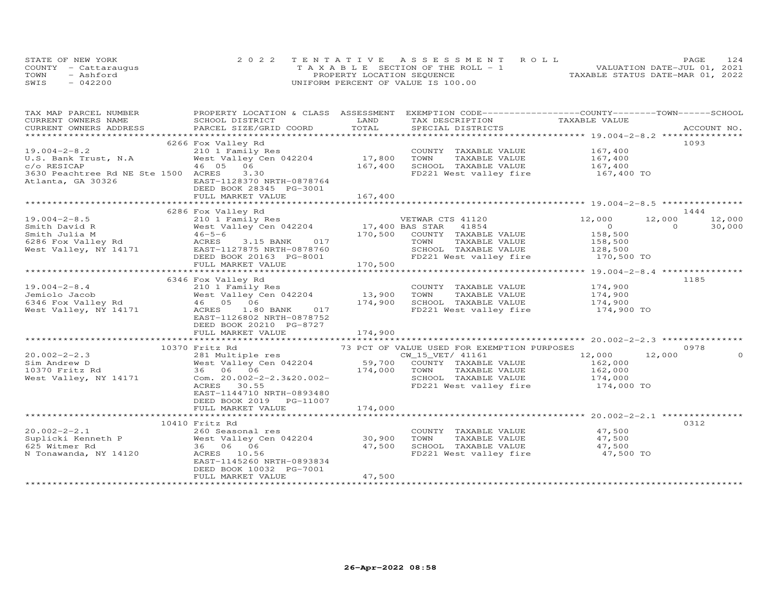|      | STATE OF NEW YORK    | 2022 TENTATIVE ASSESSMENT ROLL        | 124<br><b>PAGE</b>               |
|------|----------------------|---------------------------------------|----------------------------------|
|      | COUNTY - Cattaraugus | T A X A B L E SECTION OF THE ROLL - 1 | VALUATION DATE-JUL 01, 2021      |
| TOWN | - Ashford            | PROPERTY LOCATION SEQUENCE            | TAXABLE STATUS DATE-MAR 01, 2022 |
| SWIS | $-042200$            | UNIFORM PERCENT OF VALUE IS 100.00    |                                  |

| TAX MAP PARCEL NUMBER                       |                                                                                                                                                                                              |                  | PROPERTY LOCATION & CLASS ASSESSMENT EXEMPTION CODE----------------COUNTY-------TOWN------SCHOOL |                                                                                                                                                                                                                                                                                                                                    |                    |
|---------------------------------------------|----------------------------------------------------------------------------------------------------------------------------------------------------------------------------------------------|------------------|--------------------------------------------------------------------------------------------------|------------------------------------------------------------------------------------------------------------------------------------------------------------------------------------------------------------------------------------------------------------------------------------------------------------------------------------|--------------------|
| CURRENT OWNERS NAME                         | SCHOOL DISTRICT                                                                                                                                                                              | LAND             | TAX DESCRIPTION                                                                                  | TAXABLE VALUE                                                                                                                                                                                                                                                                                                                      |                    |
| CURRENT OWNERS ADDRESS                      | PARCEL SIZE/GRID COORD                                                                                                                                                                       | TOTAL            | SPECIAL DISTRICTS                                                                                |                                                                                                                                                                                                                                                                                                                                    | ACCOUNT NO.        |
|                                             |                                                                                                                                                                                              |                  |                                                                                                  |                                                                                                                                                                                                                                                                                                                                    |                    |
|                                             | 6266 Fox Valley Rd                                                                                                                                                                           |                  |                                                                                                  |                                                                                                                                                                                                                                                                                                                                    | 1093               |
| $19.004 - 2 - 8.2$                          | 210 1 Family Res                                                                                                                                                                             | 17,800           | COUNTY TAXABLE VALUE<br>TOWN                                                                     | 167,400<br>167,400                                                                                                                                                                                                                                                                                                                 |                    |
| U.S. Bank Trust, N.A                        | West Valley Cen 042204                                                                                                                                                                       |                  | TAXABLE VALUE                                                                                    |                                                                                                                                                                                                                                                                                                                                    |                    |
| c/o RESICAP                                 | 46 05 06<br>3.30                                                                                                                                                                             | 167,400          | SCHOOL TAXABLE VALUE                                                                             | 167,400                                                                                                                                                                                                                                                                                                                            |                    |
| 3630 Peachtree Rd NE Ste 1500 ACRES         | EAST-1128370 NRTH-0878764                                                                                                                                                                    |                  | FD221 West valley fire                                                                           | 167,400 TO                                                                                                                                                                                                                                                                                                                         |                    |
| Atlanta, GA 30326                           | DEED BOOK 28345 PG-3001                                                                                                                                                                      |                  |                                                                                                  |                                                                                                                                                                                                                                                                                                                                    |                    |
|                                             | FULL MARKET VALUE                                                                                                                                                                            | 167,400          |                                                                                                  |                                                                                                                                                                                                                                                                                                                                    |                    |
|                                             |                                                                                                                                                                                              |                  |                                                                                                  |                                                                                                                                                                                                                                                                                                                                    |                    |
|                                             | 6286 Fox Valley Rd                                                                                                                                                                           |                  |                                                                                                  |                                                                                                                                                                                                                                                                                                                                    | 1444               |
| $19.004 - 2 - 8.5$                          | 210 1 Family Res                                                                                                                                                                             |                  | VETWAR CTS 41120                                                                                 | 12,000                                                                                                                                                                                                                                                                                                                             | 12,000<br>12,000   |
| Smith David R                               | West Valley Cen 042204                                                                                                                                                                       |                  | 17,400 BAS STAR 41854                                                                            | $\overline{O}$ and $\overline{O}$ and $\overline{O}$ and $\overline{O}$ and $\overline{O}$ and $\overline{O}$ and $\overline{O}$ and $\overline{O}$ and $\overline{O}$ and $\overline{O}$ and $\overline{O}$ and $\overline{O}$ and $\overline{O}$ and $\overline{O}$ and $\overline{O}$ and $\overline{O}$ and $\overline{O}$ and | 30,000<br>$\Omega$ |
| Smith Julia M                               | West<br>46-5-6<br>ACRES                                                                                                                                                                      |                  | 170,500 COUNTY TAXABLE VALUE                                                                     | 158,500                                                                                                                                                                                                                                                                                                                            |                    |
|                                             | 3.15 BANK 017                                                                                                                                                                                |                  | TOWN<br>TAXABLE VALUE                                                                            |                                                                                                                                                                                                                                                                                                                                    |                    |
| 6286 Fox Valley Rd<br>West Valley, NY 14171 | EAST-1127875 NRTH-0878760                                                                                                                                                                    |                  | SCHOOL TAXABLE VALUE                                                                             | 158,500<br>128,500                                                                                                                                                                                                                                                                                                                 |                    |
|                                             | DEED BOOK 20163 PG-8001                                                                                                                                                                      |                  | FD221 West valley fire 170,500 TO                                                                |                                                                                                                                                                                                                                                                                                                                    |                    |
|                                             | FULL MARKET VALUE                                                                                                                                                                            | $3-8001$ 170,500 |                                                                                                  |                                                                                                                                                                                                                                                                                                                                    |                    |
|                                             |                                                                                                                                                                                              |                  |                                                                                                  |                                                                                                                                                                                                                                                                                                                                    |                    |
|                                             | 6346 Fox Valley Rd                                                                                                                                                                           |                  |                                                                                                  |                                                                                                                                                                                                                                                                                                                                    | 1185               |
| $19.004 - 2 - 8.4$                          | 210 1 Family Res                                                                                                                                                                             |                  | COUNTY TAXABLE VALUE                                                                             |                                                                                                                                                                                                                                                                                                                                    |                    |
|                                             |                                                                                                                                                                                              | 13,900           | TOWN<br>TAXABLE VALUE                                                                            | 174,900<br>174,900                                                                                                                                                                                                                                                                                                                 |                    |
|                                             |                                                                                                                                                                                              | 174,900          | SCHOOL TAXABLE VALUE 174,900                                                                     |                                                                                                                                                                                                                                                                                                                                    |                    |
|                                             | 19.004-2-8.4<br>Jeniolo Jacob West Valley Rd<br>6346 Fox Valley Rd<br>6346 Fox Valley Rd<br>6346 Fox Valley Rd<br>6346 Fox Valley Rd<br>6346 Fox Valley Rd<br>6210 ACRES<br>1.80 BANK<br>617 |                  | FD221 West valley fire                                                                           | 174,900 TO                                                                                                                                                                                                                                                                                                                         |                    |
|                                             | EAST-1126802 NRTH-0878752                                                                                                                                                                    |                  |                                                                                                  |                                                                                                                                                                                                                                                                                                                                    |                    |
|                                             | DEED BOOK 20210 PG-8727                                                                                                                                                                      |                  |                                                                                                  |                                                                                                                                                                                                                                                                                                                                    |                    |
|                                             | FULL MARKET VALUE                                                                                                                                                                            | 174,900          |                                                                                                  |                                                                                                                                                                                                                                                                                                                                    |                    |
|                                             |                                                                                                                                                                                              |                  |                                                                                                  |                                                                                                                                                                                                                                                                                                                                    |                    |
|                                             | 10370 Fritz Rd                                                                                                                                                                               |                  | 73 PCT OF VALUE USED FOR EXEMPTION PURPOSES                                                      |                                                                                                                                                                                                                                                                                                                                    | 0978               |
| $20.002 - 2 - 2.3$                          | 281 Multiple res                                                                                                                                                                             |                  | CW_15_VET/ 41161                                                                                 | 12,000                                                                                                                                                                                                                                                                                                                             | 12,000<br>$\Omega$ |
| Sim Andrew D                                | West Valley Cen 042204                                                                                                                                                                       | 59,700           | COUNTY TAXABLE VALUE                                                                             | 162,000<br>162,000                                                                                                                                                                                                                                                                                                                 |                    |
| 10370 Fritz Rd                              | West Valley C<br>1 36 06 06                                                                                                                                                                  | 174,000          | TOWN<br>TAXABLE VALUE                                                                            |                                                                                                                                                                                                                                                                                                                                    |                    |
| West Valley, NY 14171                       | Com. 20.002-2-2.3&20.002-                                                                                                                                                                    |                  |                                                                                                  |                                                                                                                                                                                                                                                                                                                                    |                    |
|                                             | ACRES 30.55                                                                                                                                                                                  |                  |                                                                                                  |                                                                                                                                                                                                                                                                                                                                    |                    |
|                                             | EAST-1144710 NRTH-0893480                                                                                                                                                                    |                  |                                                                                                  |                                                                                                                                                                                                                                                                                                                                    |                    |
|                                             | DEED BOOK 2019 PG-11007                                                                                                                                                                      |                  |                                                                                                  |                                                                                                                                                                                                                                                                                                                                    |                    |
|                                             | FULL MARKET VALUE                                                                                                                                                                            | 174,000          |                                                                                                  |                                                                                                                                                                                                                                                                                                                                    |                    |
|                                             |                                                                                                                                                                                              |                  |                                                                                                  |                                                                                                                                                                                                                                                                                                                                    |                    |
|                                             | 10410 Fritz Rd                                                                                                                                                                               |                  |                                                                                                  |                                                                                                                                                                                                                                                                                                                                    | 0312               |
| $20.002 - 2 - 2.1$                          | 260 Seasonal res                                                                                                                                                                             |                  | COUNTY TAXABLE VALUE 47,500                                                                      |                                                                                                                                                                                                                                                                                                                                    |                    |
| Suplicki Kenneth P<br>625 Witmer Rd         | West Valley Cen 042204                                                                                                                                                                       | 30,900           | TOWN       TAXABLE  VALUE<br>SCHOOL    TAXABLE  VALUE                                            | 47,500                                                                                                                                                                                                                                                                                                                             |                    |
| 625 Witmer Rd                               | 36 06 06                                                                                                                                                                                     | 47,500           |                                                                                                  | 47,500                                                                                                                                                                                                                                                                                                                             |                    |
| N Tonawanda, NY 14120                       | ACRES 10.56                                                                                                                                                                                  |                  | FD221 West valley fire 47,500 TO                                                                 |                                                                                                                                                                                                                                                                                                                                    |                    |
|                                             | EAST-1145260 NRTH-0893834                                                                                                                                                                    |                  |                                                                                                  |                                                                                                                                                                                                                                                                                                                                    |                    |
|                                             | DEED BOOK 10032 PG-7001                                                                                                                                                                      |                  |                                                                                                  |                                                                                                                                                                                                                                                                                                                                    |                    |
|                                             | FULL MARKET VALUE                                                                                                                                                                            | 47,500           |                                                                                                  |                                                                                                                                                                                                                                                                                                                                    |                    |
|                                             |                                                                                                                                                                                              |                  |                                                                                                  |                                                                                                                                                                                                                                                                                                                                    |                    |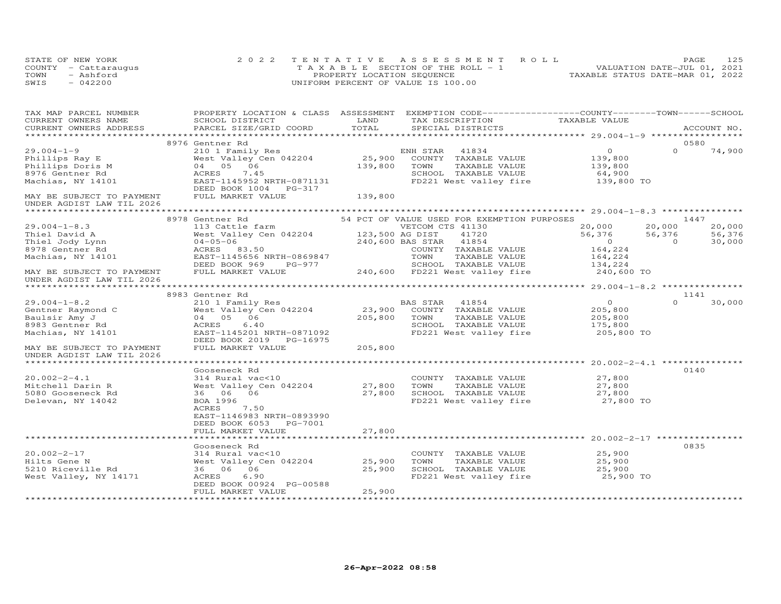|      | STATE OF NEW YORK    | 2022 TENTATIVE ASSESSMENT ROLL        | PAGE                             | 125 |
|------|----------------------|---------------------------------------|----------------------------------|-----|
|      | COUNTY - Cattaraugus | T A X A B L E SECTION OF THE ROLL - 1 | VALUATION DATE-JUL 01, 2021      |     |
| TOWN | - Ashford            | PROPERTY LOCATION SEQUENCE            | TAXABLE STATUS DATE-MAR 01, 2022 |     |
| SWIS | $-042200$            | UNIFORM PERCENT OF VALUE IS 100.00    |                                  |     |

| TAX MAP PARCEL NUMBER     |                                                                    |         | PROPERTY LOCATION & CLASS ASSESSMENT EXEMPTION CODE----------------COUNTY-------TOWN-----SCHOOL |                      |          |                  |
|---------------------------|--------------------------------------------------------------------|---------|-------------------------------------------------------------------------------------------------|----------------------|----------|------------------|
| CURRENT OWNERS NAME       | SCHOOL DISTRICT                                                    | LAND    | TAX DESCRIPTION                                                                                 | TAXABLE VALUE        |          |                  |
| CURRENT OWNERS ADDRESS    | PARCEL SIZE/GRID COORD TOTAL                                       |         | SPECIAL DISTRICTS                                                                               |                      |          | ACCOUNT NO.      |
|                           |                                                                    |         |                                                                                                 |                      |          |                  |
|                           | 8976 Gentner Rd                                                    |         |                                                                                                 |                      |          | 0580             |
| $29.004 - 1 - 9$          | 210 1 Family Res                                                   |         | ENH STAR 41834                                                                                  | $\circ$              | $\Omega$ | 74,900           |
| Phillips Ray E            | West Valley Cen $042204$ 25,900                                    |         | COUNTY TAXABLE VALUE                                                                            | 139,800<br>139,800   |          |                  |
| Phillips Doris M          | 04 05 06                                                           | 139,800 | TOWN<br>TAXABLE VALUE                                                                           |                      |          |                  |
| 8976 Gentner Rd           | ACRES<br>7.45                                                      |         | SCHOOL TAXABLE VALUE                                                                            | 64,900<br>139,800 TO |          |                  |
| Machias, NY 14101         | EAST-1145952 NRTH-0871131<br>DEED BOOK 1004 PG-317                 |         | FD221 West valley fire                                                                          |                      |          |                  |
| MAY BE SUBJECT TO PAYMENT | FULL MARKET VALUE                                                  | 139,800 |                                                                                                 |                      |          |                  |
| UNDER AGDIST LAW TIL 2026 |                                                                    |         |                                                                                                 |                      |          |                  |
|                           | 8978 Gentner Rd                                                    |         | 54 PCT OF VALUE USED FOR EXEMPTION PURPOSES                                                     |                      |          | 1447             |
| $29.004 - 1 - 8.3$        |                                                                    |         | VETCOM CTS 41130                                                                                |                      | 20,000   |                  |
| Thiel David A             | 113 Cattle farm WETCOM C<br>West Valley Cen 042204 123,500 AG DIST |         | 41720                                                                                           | 20,000<br>56,376     | 56,376   | 20,000<br>56,376 |
| Thiel Jody Lynn           | west valley Ce<br>04-05-06<br>ACRES 83.50                          |         | 240,600 BAS STAR 41854                                                                          | $\overline{0}$       | $\Omega$ | 30,000           |
| 8978 Gentner Rd           |                                                                    |         | COUNTY TAXABLE VALUE                                                                            | 164,224              |          |                  |
| Machias, NY 14101         | EAST-1145656 NRTH-0869847                                          |         | TOWN<br>TAXABLE VALUE                                                                           | 164,224              |          |                  |
|                           | DEED BOOK 969                                                      |         |                                                                                                 | 134,224              |          |                  |
| MAY BE SUBJECT TO PAYMENT | FULL MARKET VALUE                                                  |         |                                                                                                 |                      |          |                  |
| UNDER AGDIST LAW TIL 2026 |                                                                    |         |                                                                                                 |                      |          |                  |
|                           |                                                                    |         |                                                                                                 |                      |          |                  |
|                           | 8983 Gentner Rd                                                    |         |                                                                                                 |                      |          | 1141             |
| $29.004 - 1 - 8.2$        | 210 1 Family Res                                                   |         | BAS STAR 41854                                                                                  | $\Omega$             | $\Omega$ | 30,000           |
| Gentner Raymond C         | West $Valley$ <sup>-</sup> Cen 042204 23,900                       |         | COUNTY TAXABLE VALUE                                                                            | 205,800              |          |                  |
| Baulsir Amy J             | 04 05 06                                                           | 205,800 | TOWN<br>TAXABLE VALUE                                                                           | 205,800              |          |                  |
| 8983 Gentner Rd           | 6.40<br>ACRES                                                      |         | SCHOOL TAXABLE VALUE 175,800                                                                    |                      |          |                  |
| Machias, NY 14101         | EAST-1145201 NRTH-0871092                                          |         | FD221 West valley fire                                                                          | 205,800 TO           |          |                  |
|                           | DEED BOOK 2019 PG-16975                                            |         |                                                                                                 |                      |          |                  |
| MAY BE SUBJECT TO PAYMENT | FULL MARKET VALUE                                                  | 205,800 |                                                                                                 |                      |          |                  |
| UNDER AGDIST LAW TIL 2026 |                                                                    |         |                                                                                                 |                      |          |                  |
|                           |                                                                    |         |                                                                                                 |                      |          |                  |
|                           | Gooseneck Rd                                                       |         |                                                                                                 |                      |          | 0140             |
| $20.002 - 2 - 4.1$        | 314 Rural vac<10                                                   |         | COUNTY TAXABLE VALUE                                                                            | 27,800               |          |                  |
| Mitchell Darin R          | West Valley Cen 042204                                             | 27,800  | TOWN<br>TAXABLE VALUE                                                                           | 27,800               |          |                  |
| 5080 Gooseneck Rd         | 36 06 06                                                           | 27,800  | SCHOOL TAXABLE VALUE                                                                            | 27,800               |          |                  |
| Delevan, NY 14042         | BOA 1996                                                           |         | FD221 West valley fire                                                                          | 27,800 TO            |          |                  |
|                           | ACRES<br>7.50                                                      |         |                                                                                                 |                      |          |                  |
|                           | EAST-1146983 NRTH-0893990                                          |         |                                                                                                 |                      |          |                  |
|                           | DEED BOOK 6053 PG-7001                                             |         |                                                                                                 |                      |          |                  |
|                           | FULL MARKET VALUE                                                  | 27,800  |                                                                                                 |                      |          |                  |
|                           |                                                                    |         |                                                                                                 |                      |          |                  |
|                           | Gooseneck Rd                                                       |         |                                                                                                 |                      |          | 0835             |
| $20.002 - 2 - 17$         | 314 Rural vac<10                                                   |         | COUNTY TAXABLE VALUE                                                                            | 25,900               |          |                  |
| Hilts Gene N              | West Valley Cen 042204 25,900                                      |         | TAXABLE VALUE<br>TOWN                                                                           | 25,900               |          |                  |
| 5210 Riceville Rd         | 36 06 06                                                           | 25,900  | SCHOOL TAXABLE VALUE                                                                            | 25,900               |          |                  |
| West Valley, NY 14171     | ACRES<br>6.90                                                      |         | FD221 West valley fire 25,900 TO                                                                |                      |          |                  |
|                           | DEED BOOK 00924 PG-00588                                           |         |                                                                                                 |                      |          |                  |
|                           | FULL MARKET VALUE                                                  | 25,900  |                                                                                                 |                      |          |                  |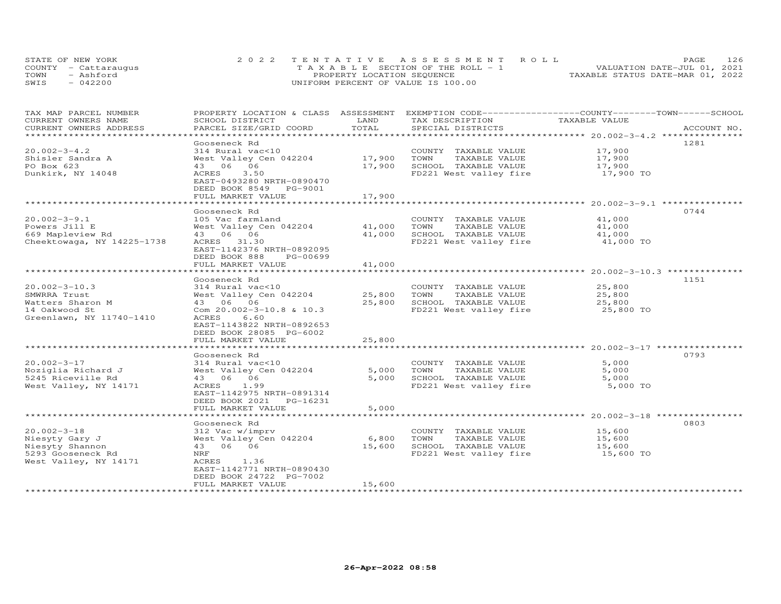|      | STATE OF NEW YORK    | 2022 TENTATIVE ASSESSMENT ROLL        | 126<br>PAGE.                     |
|------|----------------------|---------------------------------------|----------------------------------|
|      | COUNTY - Cattaraugus | T A X A B L E SECTION OF THE ROLL - 1 | VALUATION DATE-JUL 01, 2021      |
| TOWN | - Ashford            | PROPERTY LOCATION SEQUENCE            | TAXABLE STATUS DATE-MAR 01, 2022 |
| SWIS | $-042200$            | UNIFORM PERCENT OF VALUE IS 100.00    |                                  |

| TAX MAP PARCEL NUMBER      | PROPERTY LOCATION & CLASS ASSESSMENT |        | EXEMPTION CODE-----------------COUNTY-------TOWN------SCHOOL |                                                       |             |
|----------------------------|--------------------------------------|--------|--------------------------------------------------------------|-------------------------------------------------------|-------------|
| CURRENT OWNERS NAME        | SCHOOL DISTRICT                      | LAND   | TAX DESCRIPTION                                              | TAXABLE VALUE                                         |             |
| CURRENT OWNERS ADDRESS     | PARCEL SIZE/GRID COORD               | TOTAL  | SPECIAL DISTRICTS                                            |                                                       | ACCOUNT NO. |
|                            |                                      |        |                                                              |                                                       |             |
|                            | Gooseneck Rd                         |        |                                                              |                                                       | 1281        |
| $20.002 - 3 - 4.2$         | 314 Rural vac<10                     |        | COUNTY TAXABLE VALUE                                         | 17,900                                                |             |
| Shisler Sandra A           | West Valley Cen 042204               | 17,900 | TAXABLE VALUE<br>TOWN                                        | 17,900                                                |             |
| PO Box 623                 | 43 06 06                             | 17,900 | SCHOOL TAXABLE VALUE                                         | 17,900                                                |             |
| Dunkirk, NY 14048          | 3.50<br>ACRES                        |        | FD221 West valley fire                                       | 17,900 TO                                             |             |
|                            | EAST-0493280 NRTH-0890470            |        |                                                              |                                                       |             |
|                            | DEED BOOK 8549 PG-9001               |        |                                                              |                                                       |             |
|                            | FULL MARKET VALUE                    | 17,900 |                                                              |                                                       |             |
|                            |                                      |        |                                                              |                                                       |             |
|                            | Gooseneck Rd                         |        |                                                              |                                                       | 0744        |
| $20.002 - 3 - 9.1$         | 105 Vac farmland                     |        | COUNTY TAXABLE VALUE                                         | 41,000                                                |             |
| Powers Jill E              | West Valley Cen 042204               | 41,000 | TOWN<br>TAXABLE VALUE                                        | 41,000                                                |             |
| 669 Mapleview Rd           | 43 06 06                             | 41,000 | SCHOOL TAXABLE VALUE                                         | 41,000                                                |             |
| Cheektowaga, NY 14225-1738 | ACRES 31.30                          |        | FD221 West valley fire                                       | 41,000 TO                                             |             |
|                            | EAST-1142376 NRTH-0892095            |        |                                                              |                                                       |             |
|                            | DEED BOOK 888<br>PG-00699            |        |                                                              |                                                       |             |
|                            | FULL MARKET VALUE                    | 41,000 |                                                              |                                                       |             |
|                            |                                      |        |                                                              | ************************ 20.002-3-10.3 ************** |             |
|                            | Gooseneck Rd                         |        |                                                              |                                                       | 1151        |
| $20.002 - 3 - 10.3$        | 314 Rural vac<10                     |        | COUNTY TAXABLE VALUE                                         | 25,800                                                |             |
| SMWRRA Trust               | West Valley Cen 042204               | 25,800 | TOWN<br>TAXABLE VALUE                                        | 25,800                                                |             |
| Watters Sharon M           | 43 06 06                             | 25,800 | SCHOOL TAXABLE VALUE                                         | 25,800                                                |             |
| 14 Oakwood St              | Com $20.002 - 3 - 10.8$ & 10.3       |        | FD221 West valley fire                                       | 25,800 TO                                             |             |
| Greenlawn, NY 11740-1410   | ACRES<br>6.60                        |        |                                                              |                                                       |             |
|                            | EAST-1143822 NRTH-0892653            |        |                                                              |                                                       |             |
|                            | DEED BOOK 28085 PG-6002              |        |                                                              |                                                       |             |
|                            | FULL MARKET VALUE                    | 25,800 |                                                              |                                                       |             |
|                            |                                      |        |                                                              |                                                       |             |
|                            | Gooseneck Rd                         |        |                                                              |                                                       | 0793        |
| $20.002 - 3 - 17$          | 314 Rural vac<10                     |        | COUNTY TAXABLE VALUE                                         | 5,000                                                 |             |
| Noziglia Richard J         | West Valley Cen 042204               | 5,000  | TOWN<br>TAXABLE VALUE                                        | 5,000                                                 |             |
| 5245 Riceville Rd          | 43 06 06                             | 5,000  | SCHOOL TAXABLE VALUE                                         | 5,000                                                 |             |
| West Valley, NY 14171      | ACRES 1.99                           |        | FD221 West valley fire                                       | 5,000 TO                                              |             |
|                            | EAST-1142975 NRTH-0891314            |        |                                                              |                                                       |             |
|                            | DEED BOOK 2021 PG-16231              |        |                                                              |                                                       |             |
|                            | FULL MARKET VALUE                    | 5,000  |                                                              |                                                       |             |
|                            |                                      |        |                                                              |                                                       |             |
|                            | Gooseneck Rd                         |        |                                                              |                                                       | 0803        |
| $20.002 - 3 - 18$          | 312 Vac w/imprv                      |        | COUNTY TAXABLE VALUE                                         | 15,600                                                |             |
| Niesyty Gary J             | West Valley Cen 042204               | 6,800  | TOWN<br>TAXABLE VALUE                                        | 15,600                                                |             |
| Niesyty Shannon            | 43 06 06                             | 15,600 | SCHOOL TAXABLE VALUE                                         | 15,600                                                |             |
| 5293 Gooseneck Rd          | NRF                                  |        | FD221 West valley fire                                       | 15,600 TO                                             |             |
| West Valley, NY 14171      | ACRES<br>1.36                        |        |                                                              |                                                       |             |
|                            | EAST-1142771 NRTH-0890430            |        |                                                              |                                                       |             |
|                            | DEED BOOK 24722 PG-7002              |        |                                                              |                                                       |             |
|                            | FULL MARKET VALUE                    | 15,600 |                                                              |                                                       |             |
|                            |                                      |        |                                                              |                                                       |             |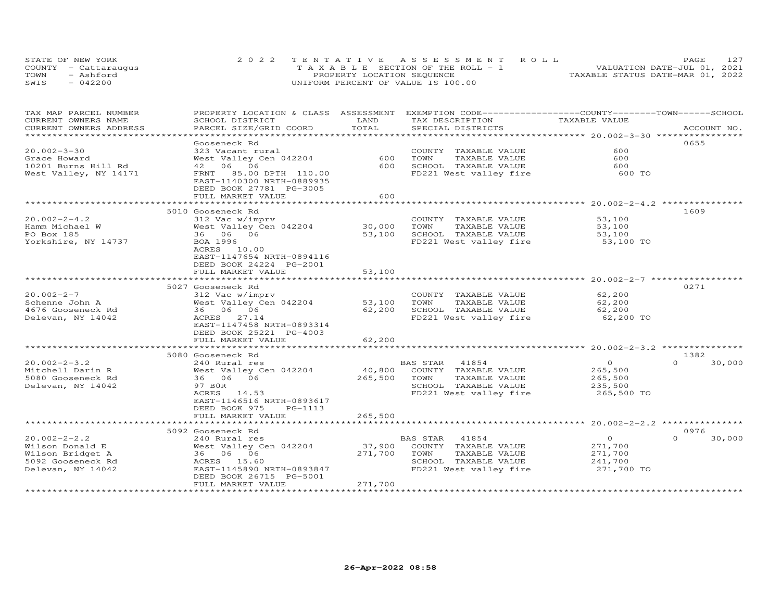|      | STATE OF NEW YORK    | 2022 TENTATIVE ASSESSMENT ROLL        | 127<br>PAGE                      |
|------|----------------------|---------------------------------------|----------------------------------|
|      | COUNTY - Cattaraugus | T A X A B L E SECTION OF THE ROLL - 1 | VALUATION DATE-JUL 01, 2021      |
| TOWN | - Ashford            | PROPERTY LOCATION SEQUENCE            | TAXABLE STATUS DATE-MAR 01, 2022 |
| SWIS | $-042200$            | UNIFORM PERCENT OF VALUE IS 100.00    |                                  |

| TAX MAP PARCEL NUMBER<br>CURRENT OWNERS NAME | PROPERTY LOCATION & CLASS ASSESSMENT<br>SCHOOL DISTRICT | LAND    | EXEMPTION CODE-----------------COUNTY-------TOWN-----SCHOOL<br>TAX DESCRIPTION | TAXABLE VALUE |                    |
|----------------------------------------------|---------------------------------------------------------|---------|--------------------------------------------------------------------------------|---------------|--------------------|
| CURRENT OWNERS ADDRESS                       | PARCEL SIZE/GRID COORD                                  | TOTAL   | SPECIAL DISTRICTS                                                              |               | ACCOUNT NO.        |
|                                              |                                                         |         |                                                                                |               |                    |
|                                              | Gooseneck Rd                                            |         |                                                                                |               | 0655               |
|                                              |                                                         |         |                                                                                | 600           |                    |
| $20.002 - 3 - 30$                            | 323 Vacant rural                                        |         | COUNTY TAXABLE VALUE                                                           |               |                    |
| Grace Howard                                 | West Valley Cen 042204                                  | 600     | TOWN<br>TAXABLE VALUE                                                          | 600           |                    |
| 10201 Burns Hill Rd                          | 42 06 06                                                | 600     | SCHOOL TAXABLE VALUE                                                           | 600           |                    |
| West Valley, NY 14171                        | FRNT 85.00 DPTH 110.00                                  |         | FD221 West valley fire                                                         | 600 TO        |                    |
|                                              | EAST-1140300 NRTH-0889935                               |         |                                                                                |               |                    |
|                                              | DEED BOOK 27781 PG-3005                                 |         |                                                                                |               |                    |
|                                              | FULL MARKET VALUE                                       | 600     |                                                                                |               |                    |
|                                              |                                                         |         |                                                                                |               |                    |
|                                              | 5010 Gooseneck Rd                                       |         |                                                                                |               | 1609               |
| $20.002 - 2 - 4.2$                           | 312 Vac w/imprv                                         |         | COUNTY TAXABLE VALUE                                                           | 53,100        |                    |
| Hamm Michael W                               | West Valley Cen 042204                                  | 30,000  | TAXABLE VALUE<br>TOWN                                                          | 53,100        |                    |
| PO Box 185                                   | 36 06 06                                                | 53,100  | SCHOOL TAXABLE VALUE                                                           | 53,100        |                    |
| Yorkshire, NY 14737                          | BOA 1996                                                |         | FD221 West valley fire                                                         | 53,100 TO     |                    |
|                                              | ACRES<br>10.00                                          |         |                                                                                |               |                    |
|                                              | EAST-1147654 NRTH-0894116                               |         |                                                                                |               |                    |
|                                              | DEED BOOK 24224 PG-2001                                 |         |                                                                                |               |                    |
|                                              | FULL MARKET VALUE                                       | 53,100  |                                                                                |               |                    |
|                                              |                                                         |         |                                                                                |               |                    |
|                                              | 5027 Gooseneck Rd                                       |         |                                                                                |               | 0271               |
| $20.002 - 2 - 7$                             | 312 Vac w/imprv                                         |         | COUNTY TAXABLE VALUE                                                           | 62,200        |                    |
| Schenne John A                               | West Valley Cen 042204                                  | 53,100  | TOWN<br>TAXABLE VALUE                                                          | 62,200        |                    |
| 4676 Gooseneck Rd                            | 36 06 06                                                | 62,200  | SCHOOL TAXABLE VALUE                                                           | 62,200        |                    |
| Delevan, NY 14042                            | ACRES 27.14                                             |         | FD221 West valley fire                                                         | 62,200 TO     |                    |
|                                              |                                                         |         |                                                                                |               |                    |
|                                              | EAST-1147458 NRTH-0893314                               |         |                                                                                |               |                    |
|                                              | DEED BOOK 25221 PG-4003                                 |         |                                                                                |               |                    |
|                                              | FULL MARKET VALUE                                       | 62,200  |                                                                                |               |                    |
|                                              |                                                         |         |                                                                                |               |                    |
|                                              | 5080 Gooseneck Rd                                       |         |                                                                                |               | 1382               |
| $20.002 - 2 - 3.2$                           | 240 Rural res                                           |         | BAS STAR 41854                                                                 | $\circ$       | $\Omega$<br>30,000 |
| Mitchell Darin R                             | West Valley Cen 042204                                  | 40,800  | COUNTY TAXABLE VALUE                                                           | 265,500       |                    |
| 5080 Gooseneck Rd                            | 36 06 06                                                | 265,500 | TOWN<br>TAXABLE VALUE                                                          | 265,500       |                    |
| Delevan, NY 14042                            | 97 BOR                                                  |         | SCHOOL TAXABLE VALUE                                                           | 235,500       |                    |
|                                              | ACRES<br>14.53                                          |         | FD221 West valley fire                                                         | 265,500 TO    |                    |
|                                              | EAST-1146516 NRTH-0893617                               |         |                                                                                |               |                    |
|                                              | DEED BOOK 975<br>PG-1113                                |         |                                                                                |               |                    |
|                                              | FULL MARKET VALUE                                       | 265,500 |                                                                                |               |                    |
|                                              |                                                         |         |                                                                                |               |                    |
|                                              | 5092 Gooseneck Rd                                       |         |                                                                                |               | 0976               |
| $20.002 - 2 - 2.2$                           | 240 Rural res                                           |         | BAS STAR<br>41854                                                              | $\circ$       | $\Omega$<br>30,000 |
| Wilson Donald E                              | West Valley Cen 042204                                  | 37,900  | COUNTY TAXABLE VALUE                                                           | 271,700       |                    |
| Wilson Bridget A                             | 36 06 06                                                | 271,700 | TOWN<br>TAXABLE VALUE                                                          | 271,700       |                    |
| 5092 Gooseneck Rd                            | ACRES 15.60                                             |         | SCHOOL TAXABLE VALUE                                                           | 241,700       |                    |
| Delevan, NY 14042                            | EAST-1145890 NRTH-0893847                               |         | FD221 West valley fire                                                         | 271,700 TO    |                    |
|                                              | DEED BOOK 26715 PG-5001                                 |         |                                                                                |               |                    |
|                                              | FULL MARKET VALUE                                       | 271,700 |                                                                                |               |                    |
|                                              |                                                         |         |                                                                                |               |                    |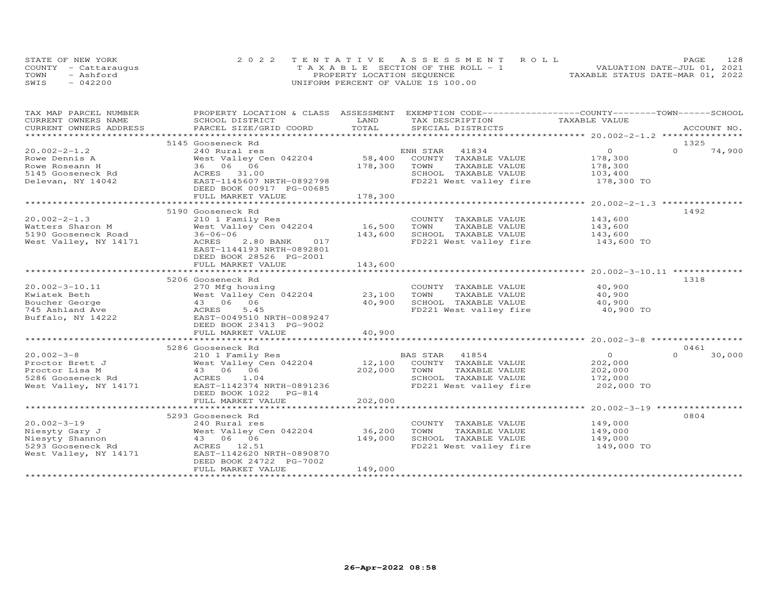| STATE OF NEW YORK |                      | 2022 TENTATIVE ASSESSMENT ROLL        |  |  |                                  | PAGE | 128 |
|-------------------|----------------------|---------------------------------------|--|--|----------------------------------|------|-----|
|                   | COUNTY - Cattaraugus | T A X A B L E SECTION OF THE ROLL - 1 |  |  | VALUATION DATE-JUL 01, 2021      |      |     |
| TOWN              | - Ashford            | PROPERTY LOCATION SEQUENCE            |  |  | TAXABLE STATUS DATE-MAR 01, 2022 |      |     |
| SWIS              | 042200               | UNIFORM PERCENT OF VALUE IS 100.00    |  |  |                                  |      |     |

| TOTAL<br>CURRENT OWNERS ADDRESS<br>PARCEL SIZE/GRID COORD<br>SPECIAL DISTRICTS<br>ACCOUNT NO.<br>5145 Gooseneck Rd<br>1325<br>$20.002 - 2 - 1.2$<br>$\overline{0}$<br>$\Omega$<br>74,900<br>240 Rural res<br>ENH STAR<br>41834<br>58,400<br>West Valley Cen 042204<br>COUNTY TAXABLE VALUE<br>178,300<br>178,300<br>Rowe Dennis A<br>36 06 06<br>178,300<br>TOWN<br>TAXABLE VALUE<br>Rowe Roseann H<br>5145 Gooseneck Rd<br>ACRES<br>SCHOOL TAXABLE VALUE<br>31.00<br>103,400<br>178,300 TO<br>EAST-1145607 NRTH-0892798<br>FD221 West valley fire<br>Delevan, NY 14042<br>DEED BOOK 00917 PG-00685<br>178,300<br>FULL MARKET VALUE<br>*****************************<br>******************** 20.002-2-1.3 ****************<br>***********<br>1492<br>5190 Gooseneck Rd<br>$20.002 - 2 - 1.3$<br>COUNTY TAXABLE VALUE<br>143,600<br>210 1 Family Res<br>West Valley Cen 042204<br>16,500<br>TOWN<br>TAXABLE VALUE<br>Watters Sharon M<br>143,600<br>5190 Gooseneck Road<br>143,600<br>$36 - 06 - 06$<br>143,600<br>SCHOOL TAXABLE VALUE<br>FD221 West valley fire 143,600 TO<br>West Valley, NY 14171<br>ACRES<br>2.80 BANK<br>017<br>EAST-1144193 NRTH-0892801<br>DEED BOOK 28526 PG-2001<br>FULL MARKET VALUE<br>143,600<br>1318<br>5206 Gooseneck Rd<br>40,900<br>$20.002 - 3 - 10.11$<br>270 Mfg housing<br>COUNTY TAXABLE VALUE<br>West Valley Cen 042204<br>23,100<br>TOWN<br>TAXABLE VALUE<br>40,900<br>Kwiatek Beth<br>Boucher George<br>43 06 06<br>40,900<br>SCHOOL TAXABLE VALUE<br>40,900<br>FD221 West valley fire<br>40,900 TO<br>745 Ashland Ave<br>ACRES<br>5.45<br>Buffalo, NY 14222<br>EAST-0049510 NRTH-0089247<br>DEED BOOK 23413 PG-9002<br>FULL MARKET VALUE<br>40,900<br>0461<br>5286 Gooseneck Rd<br>$20.002 - 3 - 8$<br>41854<br>$\overline{O}$<br>30,000<br>210 1 Family Res<br>BAS STAR<br>$\Omega$<br>BAS STAR     41854<br>12,100    COUNTY   TAXABLE  VALUE<br>202,000<br>West Valley Cen 042204<br>Proctor Brett J<br>202,000<br>Proctor Lisa M<br>43 06 06<br>202,000<br>TOWN<br>TAXABLE VALUE<br>5286 Gooseneck Rd<br>ACRES 1.04<br>SCHOOL TAXABLE VALUE<br>172,000<br>FD221 West valley fire<br>202,000 TO<br>West Valley, NY 14171<br>EAST-1142374 NRTH-0891236<br>DEED BOOK 1022 PG-814<br>FULL MARKET VALUE<br>202,000<br>0804<br>5293 Gooseneck Rd<br>$20.002 - 3 - 19$<br>240 Rural res<br>COUNTY TAXABLE VALUE<br>149,000<br>36,200<br>Niesyty Gary J<br>West Valley Cen 042204<br>TOWN<br>TAXABLE VALUE<br>149,000<br>43 06 06<br>149,000<br>Niesyty Shannon<br>SCHOOL TAXABLE VALUE<br>149,000<br>149,000 TO<br>5293 Gooseneck Rd<br>ACRES 12.51<br>FD221 West valley fire<br>West Valley, NY 14171<br>EAST-1142620 NRTH-0890870<br>DEED BOOK 24722 PG-7002<br>FULL MARKET VALUE<br>149,000 | TAX MAP PARCEL NUMBER | PROPERTY LOCATION & CLASS ASSESSMENT EXEMPTION CODE----------------COUNTY-------TOWN------SCHOOL |      |                 |               |  |
|--------------------------------------------------------------------------------------------------------------------------------------------------------------------------------------------------------------------------------------------------------------------------------------------------------------------------------------------------------------------------------------------------------------------------------------------------------------------------------------------------------------------------------------------------------------------------------------------------------------------------------------------------------------------------------------------------------------------------------------------------------------------------------------------------------------------------------------------------------------------------------------------------------------------------------------------------------------------------------------------------------------------------------------------------------------------------------------------------------------------------------------------------------------------------------------------------------------------------------------------------------------------------------------------------------------------------------------------------------------------------------------------------------------------------------------------------------------------------------------------------------------------------------------------------------------------------------------------------------------------------------------------------------------------------------------------------------------------------------------------------------------------------------------------------------------------------------------------------------------------------------------------------------------------------------------------------------------------------------------------------------------------------------------------------------------------------------------------------------------------------------------------------------------------------------------------------------------------------------------------------------------------------------------------------------------------------------------------------------------------------------------------------------------------------------------------------------------------------------------------------------------------------------------------------------------------------------------------------------------------------------------------------------------------------------------------------------------------------------------|-----------------------|--------------------------------------------------------------------------------------------------|------|-----------------|---------------|--|
|                                                                                                                                                                                                                                                                                                                                                                                                                                                                                                                                                                                                                                                                                                                                                                                                                                                                                                                                                                                                                                                                                                                                                                                                                                                                                                                                                                                                                                                                                                                                                                                                                                                                                                                                                                                                                                                                                                                                                                                                                                                                                                                                                                                                                                                                                                                                                                                                                                                                                                                                                                                                                                                                                                                                      | CURRENT OWNERS NAME   | SCHOOL DISTRICT                                                                                  | LAND | TAX DESCRIPTION | TAXABLE VALUE |  |
|                                                                                                                                                                                                                                                                                                                                                                                                                                                                                                                                                                                                                                                                                                                                                                                                                                                                                                                                                                                                                                                                                                                                                                                                                                                                                                                                                                                                                                                                                                                                                                                                                                                                                                                                                                                                                                                                                                                                                                                                                                                                                                                                                                                                                                                                                                                                                                                                                                                                                                                                                                                                                                                                                                                                      |                       |                                                                                                  |      |                 |               |  |
|                                                                                                                                                                                                                                                                                                                                                                                                                                                                                                                                                                                                                                                                                                                                                                                                                                                                                                                                                                                                                                                                                                                                                                                                                                                                                                                                                                                                                                                                                                                                                                                                                                                                                                                                                                                                                                                                                                                                                                                                                                                                                                                                                                                                                                                                                                                                                                                                                                                                                                                                                                                                                                                                                                                                      |                       |                                                                                                  |      |                 |               |  |
|                                                                                                                                                                                                                                                                                                                                                                                                                                                                                                                                                                                                                                                                                                                                                                                                                                                                                                                                                                                                                                                                                                                                                                                                                                                                                                                                                                                                                                                                                                                                                                                                                                                                                                                                                                                                                                                                                                                                                                                                                                                                                                                                                                                                                                                                                                                                                                                                                                                                                                                                                                                                                                                                                                                                      |                       |                                                                                                  |      |                 |               |  |
|                                                                                                                                                                                                                                                                                                                                                                                                                                                                                                                                                                                                                                                                                                                                                                                                                                                                                                                                                                                                                                                                                                                                                                                                                                                                                                                                                                                                                                                                                                                                                                                                                                                                                                                                                                                                                                                                                                                                                                                                                                                                                                                                                                                                                                                                                                                                                                                                                                                                                                                                                                                                                                                                                                                                      |                       |                                                                                                  |      |                 |               |  |
|                                                                                                                                                                                                                                                                                                                                                                                                                                                                                                                                                                                                                                                                                                                                                                                                                                                                                                                                                                                                                                                                                                                                                                                                                                                                                                                                                                                                                                                                                                                                                                                                                                                                                                                                                                                                                                                                                                                                                                                                                                                                                                                                                                                                                                                                                                                                                                                                                                                                                                                                                                                                                                                                                                                                      |                       |                                                                                                  |      |                 |               |  |
|                                                                                                                                                                                                                                                                                                                                                                                                                                                                                                                                                                                                                                                                                                                                                                                                                                                                                                                                                                                                                                                                                                                                                                                                                                                                                                                                                                                                                                                                                                                                                                                                                                                                                                                                                                                                                                                                                                                                                                                                                                                                                                                                                                                                                                                                                                                                                                                                                                                                                                                                                                                                                                                                                                                                      |                       |                                                                                                  |      |                 |               |  |
|                                                                                                                                                                                                                                                                                                                                                                                                                                                                                                                                                                                                                                                                                                                                                                                                                                                                                                                                                                                                                                                                                                                                                                                                                                                                                                                                                                                                                                                                                                                                                                                                                                                                                                                                                                                                                                                                                                                                                                                                                                                                                                                                                                                                                                                                                                                                                                                                                                                                                                                                                                                                                                                                                                                                      |                       |                                                                                                  |      |                 |               |  |
|                                                                                                                                                                                                                                                                                                                                                                                                                                                                                                                                                                                                                                                                                                                                                                                                                                                                                                                                                                                                                                                                                                                                                                                                                                                                                                                                                                                                                                                                                                                                                                                                                                                                                                                                                                                                                                                                                                                                                                                                                                                                                                                                                                                                                                                                                                                                                                                                                                                                                                                                                                                                                                                                                                                                      |                       |                                                                                                  |      |                 |               |  |
|                                                                                                                                                                                                                                                                                                                                                                                                                                                                                                                                                                                                                                                                                                                                                                                                                                                                                                                                                                                                                                                                                                                                                                                                                                                                                                                                                                                                                                                                                                                                                                                                                                                                                                                                                                                                                                                                                                                                                                                                                                                                                                                                                                                                                                                                                                                                                                                                                                                                                                                                                                                                                                                                                                                                      |                       |                                                                                                  |      |                 |               |  |
|                                                                                                                                                                                                                                                                                                                                                                                                                                                                                                                                                                                                                                                                                                                                                                                                                                                                                                                                                                                                                                                                                                                                                                                                                                                                                                                                                                                                                                                                                                                                                                                                                                                                                                                                                                                                                                                                                                                                                                                                                                                                                                                                                                                                                                                                                                                                                                                                                                                                                                                                                                                                                                                                                                                                      |                       |                                                                                                  |      |                 |               |  |
|                                                                                                                                                                                                                                                                                                                                                                                                                                                                                                                                                                                                                                                                                                                                                                                                                                                                                                                                                                                                                                                                                                                                                                                                                                                                                                                                                                                                                                                                                                                                                                                                                                                                                                                                                                                                                                                                                                                                                                                                                                                                                                                                                                                                                                                                                                                                                                                                                                                                                                                                                                                                                                                                                                                                      |                       |                                                                                                  |      |                 |               |  |
|                                                                                                                                                                                                                                                                                                                                                                                                                                                                                                                                                                                                                                                                                                                                                                                                                                                                                                                                                                                                                                                                                                                                                                                                                                                                                                                                                                                                                                                                                                                                                                                                                                                                                                                                                                                                                                                                                                                                                                                                                                                                                                                                                                                                                                                                                                                                                                                                                                                                                                                                                                                                                                                                                                                                      |                       |                                                                                                  |      |                 |               |  |
|                                                                                                                                                                                                                                                                                                                                                                                                                                                                                                                                                                                                                                                                                                                                                                                                                                                                                                                                                                                                                                                                                                                                                                                                                                                                                                                                                                                                                                                                                                                                                                                                                                                                                                                                                                                                                                                                                                                                                                                                                                                                                                                                                                                                                                                                                                                                                                                                                                                                                                                                                                                                                                                                                                                                      |                       |                                                                                                  |      |                 |               |  |
|                                                                                                                                                                                                                                                                                                                                                                                                                                                                                                                                                                                                                                                                                                                                                                                                                                                                                                                                                                                                                                                                                                                                                                                                                                                                                                                                                                                                                                                                                                                                                                                                                                                                                                                                                                                                                                                                                                                                                                                                                                                                                                                                                                                                                                                                                                                                                                                                                                                                                                                                                                                                                                                                                                                                      |                       |                                                                                                  |      |                 |               |  |
|                                                                                                                                                                                                                                                                                                                                                                                                                                                                                                                                                                                                                                                                                                                                                                                                                                                                                                                                                                                                                                                                                                                                                                                                                                                                                                                                                                                                                                                                                                                                                                                                                                                                                                                                                                                                                                                                                                                                                                                                                                                                                                                                                                                                                                                                                                                                                                                                                                                                                                                                                                                                                                                                                                                                      |                       |                                                                                                  |      |                 |               |  |
|                                                                                                                                                                                                                                                                                                                                                                                                                                                                                                                                                                                                                                                                                                                                                                                                                                                                                                                                                                                                                                                                                                                                                                                                                                                                                                                                                                                                                                                                                                                                                                                                                                                                                                                                                                                                                                                                                                                                                                                                                                                                                                                                                                                                                                                                                                                                                                                                                                                                                                                                                                                                                                                                                                                                      |                       |                                                                                                  |      |                 |               |  |
|                                                                                                                                                                                                                                                                                                                                                                                                                                                                                                                                                                                                                                                                                                                                                                                                                                                                                                                                                                                                                                                                                                                                                                                                                                                                                                                                                                                                                                                                                                                                                                                                                                                                                                                                                                                                                                                                                                                                                                                                                                                                                                                                                                                                                                                                                                                                                                                                                                                                                                                                                                                                                                                                                                                                      |                       |                                                                                                  |      |                 |               |  |
|                                                                                                                                                                                                                                                                                                                                                                                                                                                                                                                                                                                                                                                                                                                                                                                                                                                                                                                                                                                                                                                                                                                                                                                                                                                                                                                                                                                                                                                                                                                                                                                                                                                                                                                                                                                                                                                                                                                                                                                                                                                                                                                                                                                                                                                                                                                                                                                                                                                                                                                                                                                                                                                                                                                                      |                       |                                                                                                  |      |                 |               |  |
|                                                                                                                                                                                                                                                                                                                                                                                                                                                                                                                                                                                                                                                                                                                                                                                                                                                                                                                                                                                                                                                                                                                                                                                                                                                                                                                                                                                                                                                                                                                                                                                                                                                                                                                                                                                                                                                                                                                                                                                                                                                                                                                                                                                                                                                                                                                                                                                                                                                                                                                                                                                                                                                                                                                                      |                       |                                                                                                  |      |                 |               |  |
|                                                                                                                                                                                                                                                                                                                                                                                                                                                                                                                                                                                                                                                                                                                                                                                                                                                                                                                                                                                                                                                                                                                                                                                                                                                                                                                                                                                                                                                                                                                                                                                                                                                                                                                                                                                                                                                                                                                                                                                                                                                                                                                                                                                                                                                                                                                                                                                                                                                                                                                                                                                                                                                                                                                                      |                       |                                                                                                  |      |                 |               |  |
|                                                                                                                                                                                                                                                                                                                                                                                                                                                                                                                                                                                                                                                                                                                                                                                                                                                                                                                                                                                                                                                                                                                                                                                                                                                                                                                                                                                                                                                                                                                                                                                                                                                                                                                                                                                                                                                                                                                                                                                                                                                                                                                                                                                                                                                                                                                                                                                                                                                                                                                                                                                                                                                                                                                                      |                       |                                                                                                  |      |                 |               |  |
|                                                                                                                                                                                                                                                                                                                                                                                                                                                                                                                                                                                                                                                                                                                                                                                                                                                                                                                                                                                                                                                                                                                                                                                                                                                                                                                                                                                                                                                                                                                                                                                                                                                                                                                                                                                                                                                                                                                                                                                                                                                                                                                                                                                                                                                                                                                                                                                                                                                                                                                                                                                                                                                                                                                                      |                       |                                                                                                  |      |                 |               |  |
|                                                                                                                                                                                                                                                                                                                                                                                                                                                                                                                                                                                                                                                                                                                                                                                                                                                                                                                                                                                                                                                                                                                                                                                                                                                                                                                                                                                                                                                                                                                                                                                                                                                                                                                                                                                                                                                                                                                                                                                                                                                                                                                                                                                                                                                                                                                                                                                                                                                                                                                                                                                                                                                                                                                                      |                       |                                                                                                  |      |                 |               |  |
|                                                                                                                                                                                                                                                                                                                                                                                                                                                                                                                                                                                                                                                                                                                                                                                                                                                                                                                                                                                                                                                                                                                                                                                                                                                                                                                                                                                                                                                                                                                                                                                                                                                                                                                                                                                                                                                                                                                                                                                                                                                                                                                                                                                                                                                                                                                                                                                                                                                                                                                                                                                                                                                                                                                                      |                       |                                                                                                  |      |                 |               |  |
|                                                                                                                                                                                                                                                                                                                                                                                                                                                                                                                                                                                                                                                                                                                                                                                                                                                                                                                                                                                                                                                                                                                                                                                                                                                                                                                                                                                                                                                                                                                                                                                                                                                                                                                                                                                                                                                                                                                                                                                                                                                                                                                                                                                                                                                                                                                                                                                                                                                                                                                                                                                                                                                                                                                                      |                       |                                                                                                  |      |                 |               |  |
|                                                                                                                                                                                                                                                                                                                                                                                                                                                                                                                                                                                                                                                                                                                                                                                                                                                                                                                                                                                                                                                                                                                                                                                                                                                                                                                                                                                                                                                                                                                                                                                                                                                                                                                                                                                                                                                                                                                                                                                                                                                                                                                                                                                                                                                                                                                                                                                                                                                                                                                                                                                                                                                                                                                                      |                       |                                                                                                  |      |                 |               |  |
|                                                                                                                                                                                                                                                                                                                                                                                                                                                                                                                                                                                                                                                                                                                                                                                                                                                                                                                                                                                                                                                                                                                                                                                                                                                                                                                                                                                                                                                                                                                                                                                                                                                                                                                                                                                                                                                                                                                                                                                                                                                                                                                                                                                                                                                                                                                                                                                                                                                                                                                                                                                                                                                                                                                                      |                       |                                                                                                  |      |                 |               |  |
|                                                                                                                                                                                                                                                                                                                                                                                                                                                                                                                                                                                                                                                                                                                                                                                                                                                                                                                                                                                                                                                                                                                                                                                                                                                                                                                                                                                                                                                                                                                                                                                                                                                                                                                                                                                                                                                                                                                                                                                                                                                                                                                                                                                                                                                                                                                                                                                                                                                                                                                                                                                                                                                                                                                                      |                       |                                                                                                  |      |                 |               |  |
|                                                                                                                                                                                                                                                                                                                                                                                                                                                                                                                                                                                                                                                                                                                                                                                                                                                                                                                                                                                                                                                                                                                                                                                                                                                                                                                                                                                                                                                                                                                                                                                                                                                                                                                                                                                                                                                                                                                                                                                                                                                                                                                                                                                                                                                                                                                                                                                                                                                                                                                                                                                                                                                                                                                                      |                       |                                                                                                  |      |                 |               |  |
|                                                                                                                                                                                                                                                                                                                                                                                                                                                                                                                                                                                                                                                                                                                                                                                                                                                                                                                                                                                                                                                                                                                                                                                                                                                                                                                                                                                                                                                                                                                                                                                                                                                                                                                                                                                                                                                                                                                                                                                                                                                                                                                                                                                                                                                                                                                                                                                                                                                                                                                                                                                                                                                                                                                                      |                       |                                                                                                  |      |                 |               |  |
|                                                                                                                                                                                                                                                                                                                                                                                                                                                                                                                                                                                                                                                                                                                                                                                                                                                                                                                                                                                                                                                                                                                                                                                                                                                                                                                                                                                                                                                                                                                                                                                                                                                                                                                                                                                                                                                                                                                                                                                                                                                                                                                                                                                                                                                                                                                                                                                                                                                                                                                                                                                                                                                                                                                                      |                       |                                                                                                  |      |                 |               |  |
|                                                                                                                                                                                                                                                                                                                                                                                                                                                                                                                                                                                                                                                                                                                                                                                                                                                                                                                                                                                                                                                                                                                                                                                                                                                                                                                                                                                                                                                                                                                                                                                                                                                                                                                                                                                                                                                                                                                                                                                                                                                                                                                                                                                                                                                                                                                                                                                                                                                                                                                                                                                                                                                                                                                                      |                       |                                                                                                  |      |                 |               |  |
|                                                                                                                                                                                                                                                                                                                                                                                                                                                                                                                                                                                                                                                                                                                                                                                                                                                                                                                                                                                                                                                                                                                                                                                                                                                                                                                                                                                                                                                                                                                                                                                                                                                                                                                                                                                                                                                                                                                                                                                                                                                                                                                                                                                                                                                                                                                                                                                                                                                                                                                                                                                                                                                                                                                                      |                       |                                                                                                  |      |                 |               |  |
|                                                                                                                                                                                                                                                                                                                                                                                                                                                                                                                                                                                                                                                                                                                                                                                                                                                                                                                                                                                                                                                                                                                                                                                                                                                                                                                                                                                                                                                                                                                                                                                                                                                                                                                                                                                                                                                                                                                                                                                                                                                                                                                                                                                                                                                                                                                                                                                                                                                                                                                                                                                                                                                                                                                                      |                       |                                                                                                  |      |                 |               |  |
|                                                                                                                                                                                                                                                                                                                                                                                                                                                                                                                                                                                                                                                                                                                                                                                                                                                                                                                                                                                                                                                                                                                                                                                                                                                                                                                                                                                                                                                                                                                                                                                                                                                                                                                                                                                                                                                                                                                                                                                                                                                                                                                                                                                                                                                                                                                                                                                                                                                                                                                                                                                                                                                                                                                                      |                       |                                                                                                  |      |                 |               |  |
|                                                                                                                                                                                                                                                                                                                                                                                                                                                                                                                                                                                                                                                                                                                                                                                                                                                                                                                                                                                                                                                                                                                                                                                                                                                                                                                                                                                                                                                                                                                                                                                                                                                                                                                                                                                                                                                                                                                                                                                                                                                                                                                                                                                                                                                                                                                                                                                                                                                                                                                                                                                                                                                                                                                                      |                       |                                                                                                  |      |                 |               |  |
|                                                                                                                                                                                                                                                                                                                                                                                                                                                                                                                                                                                                                                                                                                                                                                                                                                                                                                                                                                                                                                                                                                                                                                                                                                                                                                                                                                                                                                                                                                                                                                                                                                                                                                                                                                                                                                                                                                                                                                                                                                                                                                                                                                                                                                                                                                                                                                                                                                                                                                                                                                                                                                                                                                                                      |                       |                                                                                                  |      |                 |               |  |
|                                                                                                                                                                                                                                                                                                                                                                                                                                                                                                                                                                                                                                                                                                                                                                                                                                                                                                                                                                                                                                                                                                                                                                                                                                                                                                                                                                                                                                                                                                                                                                                                                                                                                                                                                                                                                                                                                                                                                                                                                                                                                                                                                                                                                                                                                                                                                                                                                                                                                                                                                                                                                                                                                                                                      |                       |                                                                                                  |      |                 |               |  |
|                                                                                                                                                                                                                                                                                                                                                                                                                                                                                                                                                                                                                                                                                                                                                                                                                                                                                                                                                                                                                                                                                                                                                                                                                                                                                                                                                                                                                                                                                                                                                                                                                                                                                                                                                                                                                                                                                                                                                                                                                                                                                                                                                                                                                                                                                                                                                                                                                                                                                                                                                                                                                                                                                                                                      |                       |                                                                                                  |      |                 |               |  |
|                                                                                                                                                                                                                                                                                                                                                                                                                                                                                                                                                                                                                                                                                                                                                                                                                                                                                                                                                                                                                                                                                                                                                                                                                                                                                                                                                                                                                                                                                                                                                                                                                                                                                                                                                                                                                                                                                                                                                                                                                                                                                                                                                                                                                                                                                                                                                                                                                                                                                                                                                                                                                                                                                                                                      |                       |                                                                                                  |      |                 |               |  |
|                                                                                                                                                                                                                                                                                                                                                                                                                                                                                                                                                                                                                                                                                                                                                                                                                                                                                                                                                                                                                                                                                                                                                                                                                                                                                                                                                                                                                                                                                                                                                                                                                                                                                                                                                                                                                                                                                                                                                                                                                                                                                                                                                                                                                                                                                                                                                                                                                                                                                                                                                                                                                                                                                                                                      |                       |                                                                                                  |      |                 |               |  |
|                                                                                                                                                                                                                                                                                                                                                                                                                                                                                                                                                                                                                                                                                                                                                                                                                                                                                                                                                                                                                                                                                                                                                                                                                                                                                                                                                                                                                                                                                                                                                                                                                                                                                                                                                                                                                                                                                                                                                                                                                                                                                                                                                                                                                                                                                                                                                                                                                                                                                                                                                                                                                                                                                                                                      |                       |                                                                                                  |      |                 |               |  |
|                                                                                                                                                                                                                                                                                                                                                                                                                                                                                                                                                                                                                                                                                                                                                                                                                                                                                                                                                                                                                                                                                                                                                                                                                                                                                                                                                                                                                                                                                                                                                                                                                                                                                                                                                                                                                                                                                                                                                                                                                                                                                                                                                                                                                                                                                                                                                                                                                                                                                                                                                                                                                                                                                                                                      |                       |                                                                                                  |      |                 |               |  |
|                                                                                                                                                                                                                                                                                                                                                                                                                                                                                                                                                                                                                                                                                                                                                                                                                                                                                                                                                                                                                                                                                                                                                                                                                                                                                                                                                                                                                                                                                                                                                                                                                                                                                                                                                                                                                                                                                                                                                                                                                                                                                                                                                                                                                                                                                                                                                                                                                                                                                                                                                                                                                                                                                                                                      |                       |                                                                                                  |      |                 |               |  |
|                                                                                                                                                                                                                                                                                                                                                                                                                                                                                                                                                                                                                                                                                                                                                                                                                                                                                                                                                                                                                                                                                                                                                                                                                                                                                                                                                                                                                                                                                                                                                                                                                                                                                                                                                                                                                                                                                                                                                                                                                                                                                                                                                                                                                                                                                                                                                                                                                                                                                                                                                                                                                                                                                                                                      |                       |                                                                                                  |      |                 |               |  |
|                                                                                                                                                                                                                                                                                                                                                                                                                                                                                                                                                                                                                                                                                                                                                                                                                                                                                                                                                                                                                                                                                                                                                                                                                                                                                                                                                                                                                                                                                                                                                                                                                                                                                                                                                                                                                                                                                                                                                                                                                                                                                                                                                                                                                                                                                                                                                                                                                                                                                                                                                                                                                                                                                                                                      |                       |                                                                                                  |      |                 |               |  |
|                                                                                                                                                                                                                                                                                                                                                                                                                                                                                                                                                                                                                                                                                                                                                                                                                                                                                                                                                                                                                                                                                                                                                                                                                                                                                                                                                                                                                                                                                                                                                                                                                                                                                                                                                                                                                                                                                                                                                                                                                                                                                                                                                                                                                                                                                                                                                                                                                                                                                                                                                                                                                                                                                                                                      |                       |                                                                                                  |      |                 |               |  |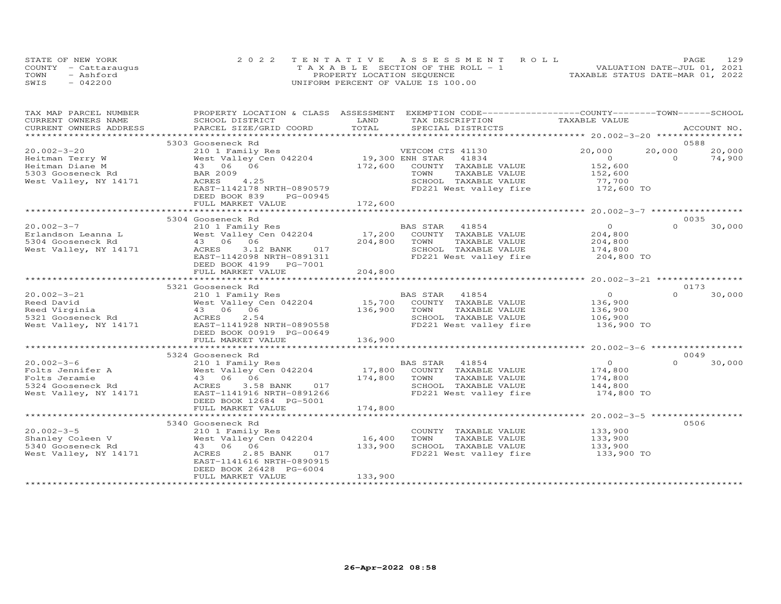| STATE OF NEW YORK    | 2022 TENTATIVE ASSESSMENT ROLL        | PAGE.                            | 129 |
|----------------------|---------------------------------------|----------------------------------|-----|
| COUNTY - Cattaraugus | T A X A B L E SECTION OF THE ROLL - 1 | VALUATION DATE-JUL 01, 2021      |     |
| TOWN<br>- Ashford    | PROPERTY LOCATION SEQUENCE            | TAXABLE STATUS DATE-MAR 01, 2022 |     |
| $-042200$<br>SWIS    | UNIFORM PERCENT OF VALUE IS 100.00    |                                  |     |

| TAX MAP PARCEL NUMBER                                            | PROPERTY LOCATION & CLASS ASSESSMENT                       |                                          | EXEMPTION CODE-----------------COUNTY-------TOWN------SCHOOL |                                                   |          |             |
|------------------------------------------------------------------|------------------------------------------------------------|------------------------------------------|--------------------------------------------------------------|---------------------------------------------------|----------|-------------|
| CURRENT OWNERS NAME                                              | SCHOOL DISTRICT                                            | LAND                                     | TAX DESCRIPTION                                              | TAXABLE VALUE                                     |          |             |
| CURRENT OWNERS ADDRESS                                           | PARCEL SIZE/GRID COORD                                     | TOTAL<br>******************************* | SPECIAL DISTRICTS                                            |                                                   |          | ACCOUNT NO. |
|                                                                  |                                                            |                                          |                                                              |                                                   |          | 0588        |
|                                                                  | 5303 Gooseneck Rd                                          |                                          |                                                              |                                                   |          |             |
| $20.002 - 3 - 20$                                                | 210 1 Family Res<br>West Valley Cen 042204 19,300 ENH STAR |                                          | VETCOM CTS 41130                                             | 20,000                                            | 20,000   | 20,000      |
| Heitman Terry W                                                  |                                                            |                                          | 41834                                                        | $\overline{O}$                                    | $\Omega$ | 74,900      |
| Heitman Diane M                                                  | 43 06 06                                                   | 172,600                                  | COUNTY TAXABLE VALUE                                         | 152,600                                           |          |             |
| 5303 Gooseneck Rd                                                | <b>BAR 2009</b>                                            |                                          | TOWN<br>TAXABLE VALUE                                        | 152,600                                           |          |             |
| West Valley, NY 14171                                            | 4.25<br>ACRES                                              |                                          | SCHOOL TAXABLE VALUE                                         | 77,700<br>172,600 TO                              |          |             |
|                                                                  | EAST-1142178 NRTH-0890579                                  |                                          | FD221 West valley fire                                       |                                                   |          |             |
|                                                                  | DEED BOOK 839<br>PG-00945                                  |                                          |                                                              |                                                   |          |             |
|                                                                  |                                                            |                                          |                                                              |                                                   |          |             |
|                                                                  |                                                            |                                          |                                                              |                                                   |          |             |
|                                                                  | 5304 Gooseneck Rd                                          |                                          |                                                              |                                                   |          | 0035        |
| $20.002 - 3 - 7$                                                 | 210 1 Family Res                                           |                                          | BAS STAR 41854<br>17,200 COUNTY TAXABLE VALUE                | $\overline{O}$                                    | $\Omega$ | 30,000      |
| Erlandson Leanna L                                               | 210 1 Family Res<br>West Valley Cen 042204                 |                                          |                                                              | 204,800                                           |          |             |
|                                                                  |                                                            | 204,800                                  | TOWN<br>TAXABLE VALUE                                        |                                                   |          |             |
| 5304 Gooseneck Rd<br>West Valley, NY 14171 Merck Band ACRES 3.12 | 3.12 BANK<br>017                                           |                                          | SCHOOL TAXABLE VALUE                                         | 204,800<br>174,800                                |          |             |
|                                                                  | EAST-1142098 NRTH-0891311                                  |                                          | FD221 West valley fire 204,800 TO                            |                                                   |          |             |
|                                                                  | DEED BOOK 4199    PG-7001                                  |                                          |                                                              |                                                   |          |             |
|                                                                  | FULL MARKET VALUE                                          | 204,800                                  |                                                              |                                                   |          |             |
|                                                                  |                                                            |                                          |                                                              |                                                   |          |             |
|                                                                  | 5321 Gooseneck Rd                                          |                                          |                                                              |                                                   |          | 0173        |
| $20.002 - 3 - 21$                                                | 210 1 Family Res                                           |                                          | BAS STAR 41854                                               | $\overline{0}$                                    | $\Omega$ | 30,000      |
| Reed David                                                       | West Valley Cen 042204 15,700<br>43 06 06 136,900          |                                          | COUNTY TAXABLE VALUE                                         | 136,900                                           |          |             |
| Reed Virginia                                                    |                                                            |                                          | TOWN<br>TAXABLE VALUE                                        | 136,900                                           |          |             |
| 5321 Gooseneck Rd                                                | ACRES<br>2.54                                              |                                          | SCHOOL TAXABLE VALUE 106,900                                 |                                                   |          |             |
| West Valley, NY 14171                                            | RCRES 2.54<br>EAST-1141928 NRTH-0890558                    |                                          | FD221 West valley fire                                       | 136,900 TO                                        |          |             |
|                                                                  | DEED BOOK 00919 PG-00649                                   |                                          |                                                              |                                                   |          |             |
|                                                                  | FULL MARKET VALUE                                          | 136,900                                  |                                                              |                                                   |          |             |
|                                                                  |                                                            |                                          |                                                              |                                                   |          |             |
|                                                                  | 5324 Gooseneck Rd                                          |                                          |                                                              |                                                   |          | 0049        |
| $20.002 - 3 - 6$                                                 |                                                            |                                          |                                                              |                                                   | $\Omega$ | 30,000      |
|                                                                  |                                                            |                                          |                                                              | $\begin{smallmatrix}&&0\174,800\end{smallmatrix}$ |          |             |
| Folts Jennifer A<br>Tith Jennifer A                              | 43 06 06                                                   |                                          | TAXABLE VALUE 174,800                                        |                                                   |          |             |
| 5324 Gooseneck Rd                                                | 3.58 BANK 017<br>ACRES                                     |                                          | SCHOOL TAXABLE VALUE                                         | 144,800                                           |          |             |
| West Valley, NY 14171                                            | EAST-1141916 NRTH-0891266                                  |                                          | FD221 West valley fire 174,800 TO                            |                                                   |          |             |
|                                                                  | DEED BOOK 12684 PG-5001                                    |                                          |                                                              |                                                   |          |             |
|                                                                  | FULL MARKET VALUE                                          | 174,800                                  |                                                              |                                                   |          |             |
|                                                                  |                                                            |                                          |                                                              |                                                   |          |             |
|                                                                  | 5340 Gooseneck Rd                                          |                                          |                                                              |                                                   |          | 0506        |
| $20.002 - 3 - 5$                                                 |                                                            |                                          |                                                              |                                                   |          |             |
|                                                                  | 210 1 Family Res<br>West Valley Cen $042204$ 16,400        |                                          | COUNTY TAXABLE VALUE                                         | 133,900                                           |          |             |
| Shanley Coleen V                                                 |                                                            |                                          | TAXABLE VALUE<br>TOWN                                        | 133,900                                           |          |             |
| 5340 Gooseneck Rd                                                | 43 06 06                                                   | 133,900                                  | SCHOOL TAXABLE VALUE                                         | 133,900                                           |          |             |
| West Valley, NY 14171                                            | 017<br>ACRES<br>2.85 BANK                                  |                                          | FD221 West valley fire 133,900 TO                            |                                                   |          |             |
|                                                                  | EAST-1141616 NRTH-0890915                                  |                                          |                                                              |                                                   |          |             |
|                                                                  | DEED BOOK 26428 PG-6004                                    |                                          |                                                              |                                                   |          |             |
|                                                                  | FULL MARKET VALUE                                          | 133,900                                  |                                                              |                                                   |          |             |
|                                                                  |                                                            |                                          |                                                              |                                                   |          |             |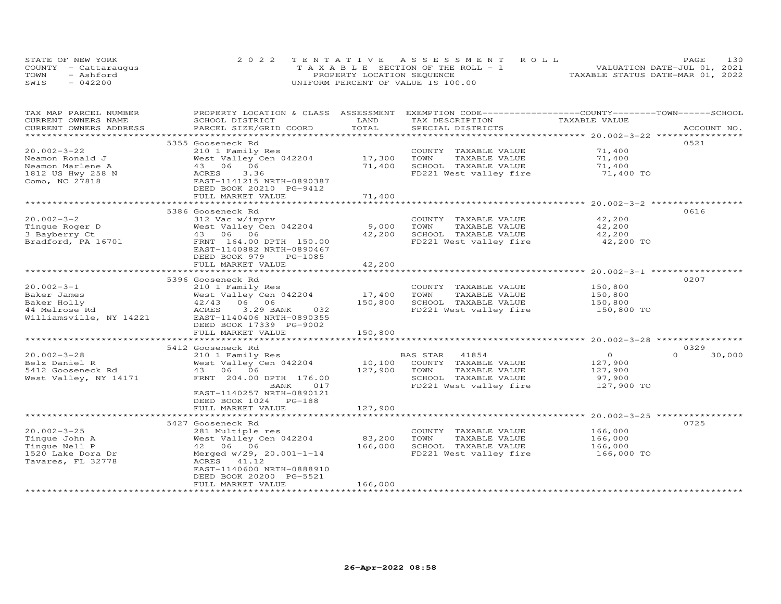|      | STATE OF NEW YORK    | 2022 TENTATIVE ASSESSMENT ROLL        | 130<br>PAGE.                     |
|------|----------------------|---------------------------------------|----------------------------------|
|      | COUNTY - Cattaraugus | T A X A B L E SECTION OF THE ROLL - 1 | VALUATION DATE-JUL 01, 2021      |
| TOWN | - Ashford            | PROPERTY LOCATION SEQUENCE            | TAXABLE STATUS DATE-MAR 01, 2022 |
| SWIS | $-042200$            | UNIFORM PERCENT OF VALUE IS 100.00    |                                  |

| TAX MAP PARCEL NUMBER<br>CURRENT OWNERS NAME | PROPERTY LOCATION & CLASS ASSESSMENT<br>SCHOOL DISTRICT | LAND          | EXEMPTION CODE-----------------COUNTY-------TOWN------SCHOOL<br>TAX DESCRIPTION | TAXABLE VALUE                                         |                    |
|----------------------------------------------|---------------------------------------------------------|---------------|---------------------------------------------------------------------------------|-------------------------------------------------------|--------------------|
| CURRENT OWNERS ADDRESS                       | PARCEL SIZE/GRID COORD                                  | TOTAL         | SPECIAL DISTRICTS                                                               |                                                       | ACCOUNT NO.        |
|                                              |                                                         | ************  |                                                                                 | ******************** 20.002-3-22 *****************    |                    |
|                                              | 5355 Gooseneck Rd                                       |               |                                                                                 |                                                       | 0521               |
| $20.002 - 3 - 22$                            | 210 1 Family Res                                        |               | COUNTY TAXABLE VALUE                                                            | 71,400                                                |                    |
| Neamon Ronald J                              | West Valley Cen 042204                                  | 17,300        | TOWN<br>TAXABLE VALUE                                                           | 71,400                                                |                    |
| Neamon Marlene A                             | 43 06 06                                                | 71,400        | SCHOOL TAXABLE VALUE                                                            | 71,400                                                |                    |
| 1812 US Hwy 258 N                            | 3.36<br>ACRES                                           |               | FD221 West valley fire                                                          | 71,400 TO                                             |                    |
| Como, NC 27818                               | EAST-1141215 NRTH-0890387                               |               |                                                                                 |                                                       |                    |
|                                              | DEED BOOK 20210 PG-9412                                 |               |                                                                                 |                                                       |                    |
|                                              | FULL MARKET VALUE                                       | 71,400        |                                                                                 |                                                       |                    |
|                                              |                                                         |               |                                                                                 |                                                       | 0616               |
| $20.002 - 3 - 2$                             | 5386 Gooseneck Rd                                       |               |                                                                                 |                                                       |                    |
|                                              | 312 Vac w/imprv                                         | 9,000         | COUNTY TAXABLE VALUE<br>TAXABLE VALUE                                           | 42,200                                                |                    |
| Tingue Roger D                               | West Valley Cen 042204                                  | 42,200        | TOWN<br>SCHOOL TAXABLE VALUE                                                    | 42,200                                                |                    |
| 3 Bayberry Ct                                | 43 06 06                                                |               |                                                                                 | 42,200                                                |                    |
| Bradford, PA 16701                           | FRNT 164.00 DPTH 150.00                                 |               | FD221 West valley fire                                                          | 42,200 TO                                             |                    |
|                                              | EAST-1140882 NRTH-0890467<br>DEED BOOK 979              |               |                                                                                 |                                                       |                    |
|                                              | PG-1085<br>FULL MARKET VALUE                            | 42,200        |                                                                                 |                                                       |                    |
|                                              |                                                         | ************* |                                                                                 | ************************ 20.002-3-1 ***************** |                    |
|                                              | 5396 Gooseneck Rd                                       |               |                                                                                 |                                                       | 0207               |
| $20.002 - 3 - 1$                             | 210 1 Family Res                                        |               | COUNTY TAXABLE VALUE                                                            | 150,800                                               |                    |
| Baker James                                  | West Valley Cen 042204                                  | 17,400        | TOWN<br>TAXABLE VALUE                                                           | 150,800                                               |                    |
| Baker Holly                                  | 42/43<br>06 06                                          | 150,800       | SCHOOL TAXABLE VALUE                                                            | 150,800                                               |                    |
| 44 Melrose Rd                                | ACRES<br>3.29 BANK<br>032                               |               | FD221 West valley fire                                                          | 150,800 TO                                            |                    |
| Williamsville, NY 14221                      | EAST-1140406 NRTH-0890355                               |               |                                                                                 |                                                       |                    |
|                                              | DEED BOOK 17339 PG-9002                                 |               |                                                                                 |                                                       |                    |
|                                              | FULL MARKET VALUE                                       | 150,800       |                                                                                 |                                                       |                    |
|                                              | ************************                                |               |                                                                                 |                                                       |                    |
|                                              | 5412 Gooseneck Rd                                       |               |                                                                                 |                                                       | 0329               |
| $20.002 - 3 - 28$                            | 210 1 Family Res                                        |               | BAS STAR<br>41854                                                               | $\Omega$                                              | $\Omega$<br>30,000 |
| Belz Daniel R                                | West Valley Cen 042204                                  | 10,100        | COUNTY TAXABLE VALUE                                                            | 127,900                                               |                    |
| 5412 Gooseneck Rd                            | 43 06 06                                                | 127,900       | TOWN<br>TAXABLE VALUE                                                           | 127,900                                               |                    |
| West Valley, NY 14171                        | FRNT 204.00 DPTH 176.00                                 |               | SCHOOL TAXABLE VALUE                                                            | 97,900                                                |                    |
|                                              | BANK<br>017                                             |               | FD221 West valley fire                                                          | 127,900 TO                                            |                    |
|                                              | EAST-1140257 NRTH-0890121                               |               |                                                                                 |                                                       |                    |
|                                              | DEED BOOK 1024 PG-188                                   |               |                                                                                 |                                                       |                    |
|                                              | FULL MARKET VALUE                                       | 127,900       |                                                                                 |                                                       |                    |
|                                              |                                                         |               |                                                                                 | ********* 20.002-3-25 *****                           |                    |
|                                              | 5427 Gooseneck Rd                                       |               |                                                                                 |                                                       | 0725               |
| $20.002 - 3 - 25$                            | 281 Multiple res                                        |               | COUNTY TAXABLE VALUE                                                            | 166,000                                               |                    |
| Tingue John A                                | West Valley Cen 042204                                  | 83,200        | TOWN<br>TAXABLE VALUE                                                           | 166,000                                               |                    |
| Tingue Nell P                                | 42 06 06                                                | 166,000       | SCHOOL TAXABLE VALUE                                                            | 166,000                                               |                    |
| 1520 Lake Dora Dr                            | Merged w/29, 20.001-1-14                                |               | FD221 West valley fire                                                          | 166,000 TO                                            |                    |
| Tavares, FL 32778                            | ACRES 41.12                                             |               |                                                                                 |                                                       |                    |
|                                              | EAST-1140600 NRTH-0888910                               |               |                                                                                 |                                                       |                    |
|                                              | DEED BOOK 20200 PG-5521                                 |               |                                                                                 |                                                       |                    |
|                                              | FULL MARKET VALUE                                       | 166,000       |                                                                                 |                                                       |                    |
|                                              |                                                         |               |                                                                                 |                                                       |                    |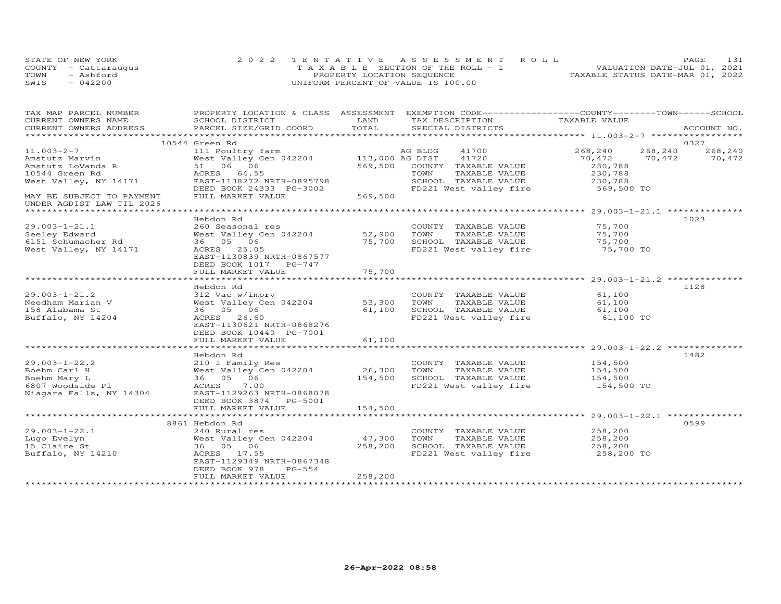| STATE OF NEW YORK    | 2022 TENTATIVE ASSESSMENT ROLL        |                                  | PAGE. | 131 |
|----------------------|---------------------------------------|----------------------------------|-------|-----|
| COUNTY - Cattaraugus | T A X A B L E SECTION OF THE ROLL - 1 | VALUATION DATE-JUL 01, 2021      |       |     |
| TOWN<br>- Ashford    | PROPERTY LOCATION SEQUENCE            | TAXABLE STATUS DATE-MAR 01, 2022 |       |     |
| SWIS<br>$-042200$    | UNIFORM PERCENT OF VALUE IS 100.00    |                                  |       |     |

| TAX MAP PARCEL NUMBER     | PROPERTY LOCATION & CLASS ASSESSMENT EXEMPTION CODE----------------COUNTY-------TOWN------SCHOOL |         |                 |                              |                                                                        |         |             |
|---------------------------|--------------------------------------------------------------------------------------------------|---------|-----------------|------------------------------|------------------------------------------------------------------------|---------|-------------|
| CURRENT OWNERS NAME       | SCHOOL DISTRICT                                                                                  | LAND    | TAX DESCRIPTION |                              | TAXABLE VALUE                                                          |         |             |
| CURRENT OWNERS ADDRESS    | PARCEL SIZE/GRID COORD                                                                           | TOTAL   |                 | SPECIAL DISTRICTS            |                                                                        |         | ACCOUNT NO. |
|                           |                                                                                                  |         |                 |                              |                                                                        |         |             |
|                           | 10544 Green Rd                                                                                   |         |                 |                              | 268,240                                                                | 268,240 | 0327        |
| 11.003-2-7                | 111 Poultry farm MG BLDG 41700<br>West Valley Cen 042204 113,000 AG DIST 41720                   |         |                 |                              |                                                                        |         | 268,240     |
| Amstutz Marvin            | West Valley C<br>51 06 06<br>33PPS 6455                                                          |         |                 |                              | 70,472                                                                 | 70,472  | 70,472      |
| Amstutz LoVanda R         |                                                                                                  |         |                 | 569,500 COUNTY TAXABLE VALUE | 230,788                                                                |         |             |
| 10544 Green Rd            | ACRES 64.55                                                                                      |         | TOWN            | TAXABLE VALUE                | 230,788                                                                |         |             |
| West Valley, NY 14171     | EAST-1138272 NRTH-0895798                                                                        |         |                 | SCHOOL TAXABLE VALUE         | 230,788                                                                |         |             |
|                           | DEED BOOK 24333 PG-3002                                                                          | 569,500 |                 |                              | FD221 West valley fire 569,500 TO                                      |         |             |
| MAY BE SUBJECT TO PAYMENT | FULL MARKET VALUE                                                                                |         |                 |                              |                                                                        |         |             |
| UNDER AGDIST LAW TIL 2026 |                                                                                                  |         |                 |                              |                                                                        |         |             |
|                           | Hebdon Rd                                                                                        |         |                 |                              |                                                                        |         | 1023        |
| $29.003 - 1 - 21.1$       | 260 Seasonal res                                                                                 |         |                 | COUNTY TAXABLE VALUE         | 75,700                                                                 |         |             |
| Seeley Edward             | West Valley Cen 042204 52,900 TOWN                                                               |         |                 | TAXABLE VALUE                | 75,700                                                                 |         |             |
| 6151 Schumacher Rd        |                                                                                                  |         |                 | 75,700 SCHOOL TAXABLE VALUE  | 75,700                                                                 |         |             |
|                           | 36 05 06                                                                                         |         |                 | FD221 West valley fire       |                                                                        |         |             |
| West Valley, NY 14171     | ACRES 25.05                                                                                      |         |                 |                              | 75,700 TO                                                              |         |             |
|                           | EAST-1130839 NRTH-0867577                                                                        |         |                 |                              |                                                                        |         |             |
|                           | DEED BOOK 1017 PG-747                                                                            |         |                 |                              |                                                                        |         |             |
|                           |                                                                                                  |         |                 |                              |                                                                        |         |             |
|                           |                                                                                                  |         |                 |                              |                                                                        |         |             |
|                           | Hebdon Rd                                                                                        |         |                 |                              |                                                                        |         | 1128        |
| $29.003 - 1 - 21.2$       | 312 Vac w/imprv                                                                                  |         |                 | COUNTY TAXABLE VALUE         | 61,100                                                                 |         |             |
| Needham Marian V          | West Valley Cen 042204 53,300                                                                    |         | TOWN            | TAXABLE VALUE                | 61,100                                                                 |         |             |
| 158 Alabama St            | 36 05 06                                                                                         |         |                 |                              | 61,100 SCHOOL TAXABLE VALUE 61,100<br>FD221 West valley fire 61,100 TO |         |             |
| Buffalo, NY 14204         | ACRES 26.60                                                                                      |         |                 |                              |                                                                        |         |             |
|                           | EAST-1130621 NRTH-0868276                                                                        |         |                 |                              |                                                                        |         |             |
|                           | DEED BOOK 10440 PG-7001                                                                          |         |                 |                              |                                                                        |         |             |
|                           | FULL MARKET VALUE                                                                                | 61,100  |                 |                              |                                                                        |         |             |
|                           |                                                                                                  |         |                 |                              |                                                                        |         |             |
|                           | Hebdon Rd                                                                                        |         |                 |                              |                                                                        |         | 1482        |
| $29.003 - 1 - 22.2$       | 210 1 Family Res                                                                                 |         |                 | COUNTY TAXABLE VALUE 154,500 |                                                                        |         |             |
| Boehm Carl H              |                                                                                                  |         |                 | TAXABLE VALUE                | 154,500                                                                |         |             |
| Boehm Mary L              | COUNT:<br>West Valley Cen 042204 26,300 TOWN<br>36 05 06 154,500 SCHOOI<br>ACRES 7 00            |         |                 | SCHOOL TAXABLE VALUE 154,500 |                                                                        |         |             |
| 6807 Woodside Pl          | ACRES 7.00                                                                                       |         |                 | FD221 West valley fire       | 154,500 TO                                                             |         |             |
| Niagara Falls, NY 14304   | EAST-1129263 NRTH-0868078                                                                        |         |                 |                              |                                                                        |         |             |
|                           | DEED BOOK 3874 PG-5001                                                                           |         |                 |                              |                                                                        |         |             |
|                           | FULL MARKET VALUE                                                                                | 154,500 |                 |                              |                                                                        |         |             |
|                           |                                                                                                  |         |                 |                              |                                                                        |         |             |
|                           | 8861 Hebdon Rd                                                                                   |         |                 |                              |                                                                        |         | 0599        |
| $29.003 - 1 - 22.1$       | 240 Rural res                                                                                    |         |                 | COUNTY TAXABLE VALUE         | 258,200                                                                |         |             |
| Lugo Evelyn               | West Valley Cen 042204                                                                           | 47,300  | TOWN            | TAXABLE VALUE                | 258,200                                                                |         |             |
| 15 Claire St              | 36 05 06                                                                                         | 258,200 |                 |                              | SCHOOL TAXABLE VALUE 258,200<br>FD221 West valley fire 258,200 TO      |         |             |
| Buffalo, NY 14210         | ACRES 17.55                                                                                      |         |                 |                              |                                                                        |         |             |
|                           | EAST-1129349 NRTH-0867348                                                                        |         |                 |                              |                                                                        |         |             |
|                           | DEED BOOK 978<br>PG-554                                                                          |         |                 |                              |                                                                        |         |             |
|                           | FULL MARKET VALUE                                                                                | 258,200 |                 |                              |                                                                        |         |             |
|                           |                                                                                                  |         |                 |                              |                                                                        |         |             |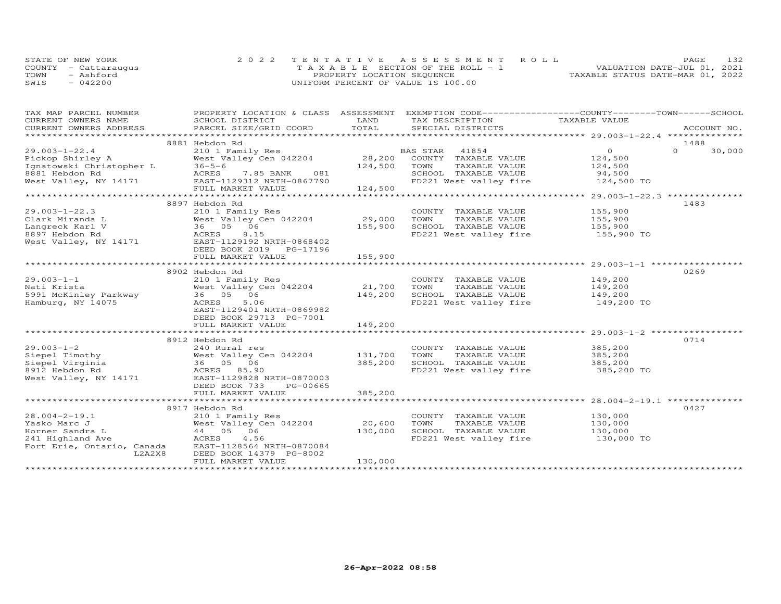| STATE OF NEW YORK    | 2022 TENTATIVE ASSESSMENT ROLL        |  |                                  | <b>PAGE</b> | 132 |
|----------------------|---------------------------------------|--|----------------------------------|-------------|-----|
| COUNTY - Cattarauqus | T A X A B L E SECTION OF THE ROLL - 1 |  | VALUATION DATE-JUL 01, 2021      |             |     |
| TOWN<br>- Ashford    | PROPERTY LOCATION SEQUENCE            |  | TAXABLE STATUS DATE-MAR 01, 2022 |             |     |
| SWIS<br>$-042200$    | UNIFORM PERCENT OF VALUE IS 100.00    |  |                                  |             |     |

| TAX MAP PARCEL NUMBER                                                                   |                                                     | LAND    | PROPERTY LOCATION & CLASS ASSESSMENT EXEMPTION CODE----------------COUNTY-------TOWN-----SCHOOL |                    |             |        |
|-----------------------------------------------------------------------------------------|-----------------------------------------------------|---------|-------------------------------------------------------------------------------------------------|--------------------|-------------|--------|
| CURRENT OWNERS NAME<br>CURRENT OWNERS ADDRESS                                           | SCHOOL DISTRICT<br>PARCEL SIZE/GRID COORD           | TOTAL   | TAX DESCRIPTION TAXABLE VALUE<br>SPECIAL DISTRICTS                                              |                    | ACCOUNT NO. |        |
|                                                                                         |                                                     |         |                                                                                                 |                    |             |        |
|                                                                                         | 8881 Hebdon Rd                                      |         |                                                                                                 |                    | 1488        |        |
| $29.003 - 1 - 22.4$                                                                     | 210 1 Family Res                                    |         | BAS STAR<br>41854                                                                               | $\overline{O}$     | $\Omega$    | 30,000 |
| Pickop Shirley A                                                                        | West Valley Cen 042204 28,200 COUNTY TAXABLE VALUE  |         |                                                                                                 | 124,500<br>124,500 |             |        |
|                                                                                         | $36 - 5 - 6$                                        | 124,500 | TOWN<br>TAXABLE VALUE                                                                           |                    |             |        |
|                                                                                         | 081<br>ACRES<br>7.85 BANK                           |         |                                                                                                 |                    |             |        |
| Pickop Shirley A<br>Ignatowski Christopher L<br>8881 Hebdon Rd<br>West Valley, NY 14171 | EAST-1129312 NRTH-0867790                           |         |                                                                                                 |                    |             |        |
|                                                                                         | FULL MARKET VALUE                                   | 124,500 |                                                                                                 |                    |             |        |
|                                                                                         |                                                     |         |                                                                                                 |                    |             |        |
|                                                                                         | 8897 Hebdon Rd                                      |         |                                                                                                 |                    | 1483        |        |
| $29.003 - 1 - 22.3$<br>Clark Miranda L                                                  | 210 1 Family Res<br>West Valley Cen $042204$ 29,000 |         | COUNTY TAXABLE VALUE<br>TOWN<br>TAXABLE VALUE                                                   | 155,900<br>155,900 |             |        |
| Langreck Karl V                                                                         | 36 05 06                                            | 155,900 |                                                                                                 |                    |             |        |
| 8897 Hebdon Rd                                                                          | 8.15<br>ACRES                                       |         | SCHOOL TAXABLE VALUE 155,900<br>FD221 West valley fire                                          | 155,900 TO         |             |        |
| West Valley, NY 14171                                                                   | EAST-1129192 NRTH-0868402                           |         |                                                                                                 |                    |             |        |
|                                                                                         | DEED BOOK 2019 PG-17196                             |         |                                                                                                 |                    |             |        |
|                                                                                         | FULL MARKET VALUE                                   | 155,900 |                                                                                                 |                    |             |        |
|                                                                                         |                                                     |         |                                                                                                 |                    |             |        |
|                                                                                         | 8902 Hebdon Rd                                      |         |                                                                                                 |                    | 0269        |        |
| $29.003 - 1 - 1$                                                                        | 210 1 Family Res                                    |         | COUNTY TAXABLE VALUE                                                                            |                    |             |        |
| Nati Krista                                                                             | West Valley Cen 042204                              | 21,700  | TOWN<br>TAXABLE VALUE                                                                           | 149,200<br>149,200 |             |        |
| 5991 McKinley Parkway                                                                   | 36 05 06                                            | 149,200 | SCHOOL TAXABLE VALUE 149,200                                                                    |                    |             |        |
| Hamburg, NY 14075                                                                       | 5.06<br>ACRES                                       |         | FD221 West valley fire                                                                          | 149,200 TO         |             |        |
|                                                                                         | EAST-1129401 NRTH-0869982                           |         |                                                                                                 |                    |             |        |
|                                                                                         | DEED BOOK 29713 PG-7001                             |         |                                                                                                 |                    |             |        |
|                                                                                         | FULL MARKET VALUE                                   | 149,200 |                                                                                                 |                    |             |        |
|                                                                                         |                                                     |         |                                                                                                 |                    | 0714        |        |
| $29.003 - 1 - 2$                                                                        | 8912 Hebdon Rd<br>240 Rural res                     |         | COUNTY TAXABLE VALUE                                                                            | 385,200            |             |        |
|                                                                                         | West Valley Cen 042204 131,700                      |         | TOWN<br>TAXABLE VALUE                                                                           | 385,200            |             |        |
|                                                                                         | 36 05 06                                            | 385,200 | SCHOOL TAXABLE VALUE                                                                            | 385,200            |             |        |
|                                                                                         | ACRES 85.90                                         |         | FD221 West valley fire 385,200 TO                                                               |                    |             |        |
|                                                                                         | EAST-1129828 NRTH-0870003                           |         |                                                                                                 |                    |             |        |
|                                                                                         | DEED BOOK 733<br>PG-00665                           |         |                                                                                                 |                    |             |        |
|                                                                                         | FULL MARKET VALUE                                   | 385,200 |                                                                                                 |                    |             |        |
|                                                                                         |                                                     |         |                                                                                                 |                    |             |        |
|                                                                                         | 8917 Hebdon Rd                                      |         |                                                                                                 |                    | 0427        |        |
| $28.004 - 2 - 19.1$                                                                     | 210 1 Family Res                                    |         | COUNTY TAXABLE VALUE                                                                            | 130,000            |             |        |
| Yasko Marc J                                                                            | West Valley Cen 042204                              | 20,600  | TOWN<br>TAXABLE VALUE                                                                           | 130,000            |             |        |
| Horner Sandra L                                                                         | 44 05 06                                            | 130,000 | SCHOOL TAXABLE VALUE                                                                            | 130,000            |             |        |
| 241 Highland Ave                                                                        | ACRES<br>4.56                                       |         | FD221 West valley fire 130,000 TO                                                               |                    |             |        |
| Fort Erie, Ontario, Canada                                                              | EAST-1128564 NRTH-0870084                           |         |                                                                                                 |                    |             |        |
| L2A2X8                                                                                  | DEED BOOK 14379 PG-8002                             |         |                                                                                                 |                    |             |        |
|                                                                                         | FULL MARKET VALUE                                   | 130,000 |                                                                                                 |                    |             |        |
|                                                                                         |                                                     |         |                                                                                                 |                    |             |        |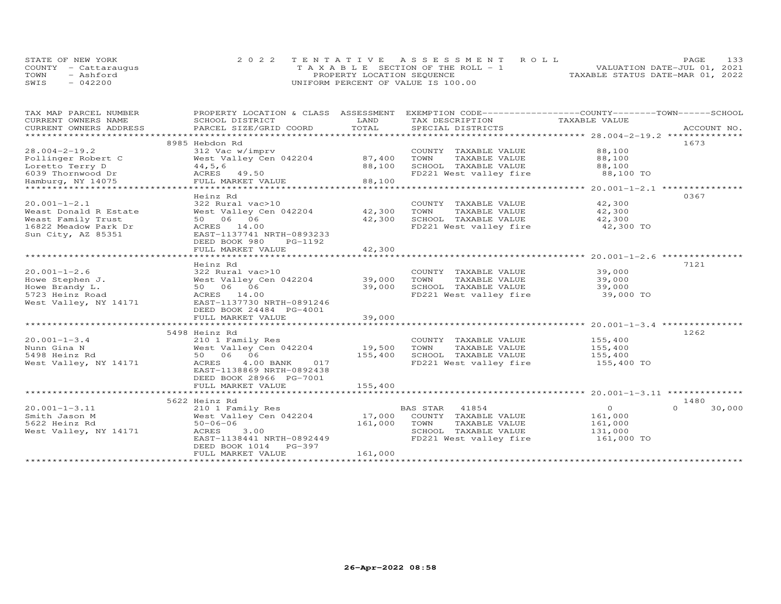|      | STATE OF NEW YORK    | 2022 TENTATIVE ASSESSMENT ROLL        | 133<br>PAGE                      |
|------|----------------------|---------------------------------------|----------------------------------|
|      | COUNTY - Cattarauqus | T A X A B L E SECTION OF THE ROLL - 1 | VALUATION DATE-JUL 01, 2021      |
| TOWN | - Ashford            | PROPERTY LOCATION SEQUENCE            | TAXABLE STATUS DATE-MAR 01, 2022 |
| SWIS | $-042200$            | UNIFORM PERCENT OF VALUE IS 100.00    |                                  |

| EXEMPTION CODE-----------------COUNTY-------TOWN-----SCHOOL<br>TAX MAP PARCEL NUMBER<br>PROPERTY LOCATION & CLASS<br>ASSESSMENT |                    |
|---------------------------------------------------------------------------------------------------------------------------------|--------------------|
| TAXABLE VALUE<br>CURRENT OWNERS NAME<br>SCHOOL DISTRICT<br>LAND<br>TAX DESCRIPTION                                              |                    |
| TOTAL<br>CURRENT OWNERS ADDRESS<br>PARCEL SIZE/GRID COORD<br>SPECIAL DISTRICTS                                                  | ACCOUNT NO.        |
| *************************                                                                                                       |                    |
| 8985 Hebdon Rd                                                                                                                  | 1673               |
| $28.004 - 2 - 19.2$<br>312 Vac w/imprv<br>COUNTY TAXABLE VALUE<br>88,100                                                        |                    |
| West Valley Cen 042204<br>87,400<br>TAXABLE VALUE<br>88,100<br>Pollinger Robert C<br>TOWN                                       |                    |
| Loretto Terry D<br>88,100<br>SCHOOL TAXABLE VALUE<br>88,100<br>44,5,6                                                           |                    |
| ACRES 49.50<br>FD221 West valley fire<br>6039 Thornwood Dr                                                                      | 88,100 TO          |
| 88,100<br>FULL MARKET VALUE<br>Hamburg, NY 14075                                                                                |                    |
| ***************                                                                                                                 |                    |
| Heinz Rd                                                                                                                        | 0367               |
| $20.001 - 1 - 2.1$<br>322 Rural vac>10<br>42,300<br>COUNTY TAXABLE VALUE                                                        |                    |
| 42,300<br>Weast Donald R Estate<br>West Valley Cen 042204<br>TAXABLE VALUE<br>42,300<br>TOWN                                    |                    |
| Weast Family Trust<br>50 06 06<br>42,300<br>SCHOOL TAXABLE VALUE<br>42,300                                                      |                    |
| FD221 West valley fire<br>16822 Meadow Park Dr<br>ACRES 14.00                                                                   | 42,300 TO          |
| Sun City, AZ 85351<br>EAST-1137741 NRTH-0893233                                                                                 |                    |
| DEED BOOK 980<br>PG-1192                                                                                                        |                    |
| FULL MARKET VALUE<br>42,300                                                                                                     |                    |
| ********************* 20.001-1-2.6 ***********<br>* * * * * * * * * *<br>*****************************                          |                    |
| Heinz Rd                                                                                                                        | 7121               |
| $20.001 - 1 - 2.6$<br>322 Rural vac>10<br>COUNTY TAXABLE VALUE<br>39,000                                                        |                    |
| Howe Stephen J.<br>West Valley Cen 042204<br>39,000<br>TOWN<br>TAXABLE VALUE<br>39,000                                          |                    |
|                                                                                                                                 |                    |
| Howe Brandy L.<br>39,000<br>SCHOOL TAXABLE VALUE<br>50 06 06<br>39,000                                                          |                    |
| FD221 West valley fire<br>5723 Heinz Road<br>ACRES 14.00                                                                        | 39,000 TO          |
| EAST-1137730 NRTH-0891246<br>West Valley, NY 14171                                                                              |                    |
| DEED BOOK 24484 PG-4001                                                                                                         |                    |
| 39,000<br>FULL MARKET VALUE                                                                                                     |                    |
|                                                                                                                                 |                    |
| 5498 Heinz Rd                                                                                                                   | 1262               |
| $20.001 - 1 - 3.4$<br>155,400<br>210 1 Family Res<br>COUNTY TAXABLE VALUE                                                       |                    |
| Nunn Gina N<br>West Valley Cen 042204<br>19,500<br>TOWN<br>TAXABLE VALUE<br>155,400                                             |                    |
| 50 06 06<br>155,400<br>5498 Heinz Rd<br>SCHOOL TAXABLE VALUE<br>155,400                                                         |                    |
| FD221 West valley fire<br>West Valley, NY 14171<br>ACRES<br>4.00 BANK<br>017                                                    | 155,400 TO         |
| EAST-1138869 NRTH-0892438                                                                                                       |                    |
| DEED BOOK 28966 PG-7001                                                                                                         |                    |
| 155,400<br>FULL MARKET VALUE                                                                                                    |                    |
|                                                                                                                                 |                    |
| 5622 Heinz Rd                                                                                                                   | 1480               |
| $\circ$<br>$20.001 - 1 - 3.11$<br>BAS STAR<br>41854<br>210 1 Family Res                                                         | $\Omega$<br>30,000 |
| Smith Jason M<br>West Valley Cen 042204<br>17,000<br>COUNTY TAXABLE VALUE<br>161,000                                            |                    |
| 5622 Heinz Rd<br>$50 - 06 - 06$<br>161,000<br>TOWN<br>TAXABLE VALUE<br>161,000                                                  |                    |
| 3.00<br>SCHOOL TAXABLE VALUE<br>131,000<br>West Valley, NY 14171<br>ACRES                                                       |                    |
| FD221 West valley fire<br>EAST-1138441 NRTH-0892449                                                                             | 161,000 TO         |
| DEED BOOK 1014 PG-397                                                                                                           |                    |
| 161,000<br>FULL MARKET VALUE                                                                                                    |                    |
|                                                                                                                                 |                    |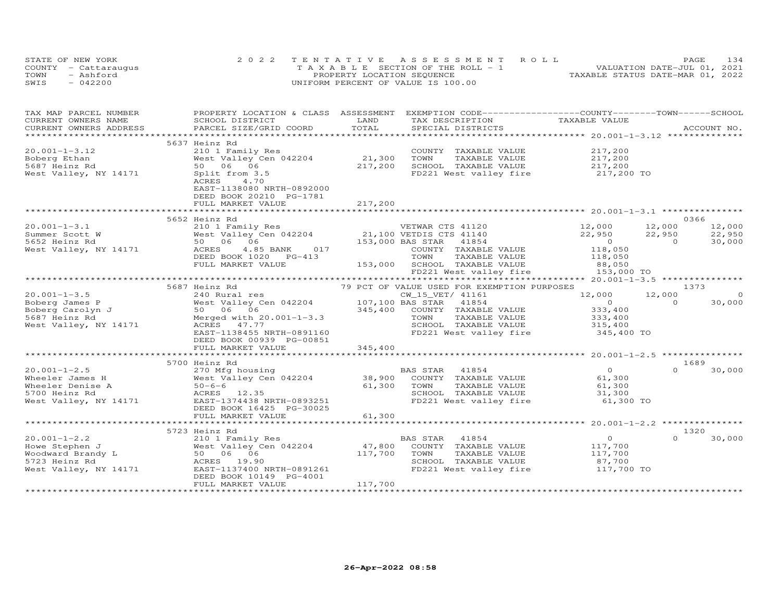| STATE OF NEW YORK    | 2022 TENTATIVE ASSESSMENT ROLL        | 134<br><b>PAGE</b>               |
|----------------------|---------------------------------------|----------------------------------|
| COUNTY - Cattaraugus | T A X A B L E SECTION OF THE ROLL - 1 | VALUATION DATE-JUL 01, 2021      |
| TOWN<br>- Ashford    | PROPERTY LOCATION SEQUENCE            | TAXABLE STATUS DATE-MAR 01, 2022 |
| SWIS<br>$-042200$    | UNIFORM PERCENT OF VALUE IS 100.00    |                                  |

| TAX MAP PARCEL NUMBER<br>CURRENT OWNERS NAME                                                                                                                                                                                                                                                                                                                                                                                        | SCHOOL DISTRICT                                                                      | LAND    | PROPERTY LOCATION & CLASS ASSESSMENT EXEMPTION CODE----------------COUNTY-------TOWN------SCHOOL |                                                                                                                                                                                                                                                                                                                                    |                    |
|-------------------------------------------------------------------------------------------------------------------------------------------------------------------------------------------------------------------------------------------------------------------------------------------------------------------------------------------------------------------------------------------------------------------------------------|--------------------------------------------------------------------------------------|---------|--------------------------------------------------------------------------------------------------|------------------------------------------------------------------------------------------------------------------------------------------------------------------------------------------------------------------------------------------------------------------------------------------------------------------------------------|--------------------|
|                                                                                                                                                                                                                                                                                                                                                                                                                                     |                                                                                      |         | TAX DESCRIPTION TAXABLE VALUE                                                                    |                                                                                                                                                                                                                                                                                                                                    |                    |
|                                                                                                                                                                                                                                                                                                                                                                                                                                     |                                                                                      |         |                                                                                                  |                                                                                                                                                                                                                                                                                                                                    |                    |
|                                                                                                                                                                                                                                                                                                                                                                                                                                     | 5637 Heinz Rd                                                                        |         |                                                                                                  |                                                                                                                                                                                                                                                                                                                                    |                    |
| $20.001 - 1 - 3.12$                                                                                                                                                                                                                                                                                                                                                                                                                 | 210 1 Family Res                                                                     |         |                                                                                                  | 217,200                                                                                                                                                                                                                                                                                                                            |                    |
|                                                                                                                                                                                                                                                                                                                                                                                                                                     | West Valley Cen 042204 21,300                                                        |         | COUNTY TAXABLE VALUE                                                                             | 217,200<br>217,200                                                                                                                                                                                                                                                                                                                 |                    |
| Boberg Ethan                                                                                                                                                                                                                                                                                                                                                                                                                        |                                                                                      |         | TOWN<br>TAXABLE VALUE                                                                            |                                                                                                                                                                                                                                                                                                                                    |                    |
| 5687 Heinz Rd                                                                                                                                                                                                                                                                                                                                                                                                                       | 50 06 06                                                                             | 217,200 | SCHOOL TAXABLE VALUE 217,200<br>FD221 West valley fire 217,200 TO                                |                                                                                                                                                                                                                                                                                                                                    |                    |
| West Valley, NY 14171                                                                                                                                                                                                                                                                                                                                                                                                               | Split from 3.5                                                                       |         |                                                                                                  |                                                                                                                                                                                                                                                                                                                                    |                    |
|                                                                                                                                                                                                                                                                                                                                                                                                                                     | ACRES<br>4.70                                                                        |         |                                                                                                  |                                                                                                                                                                                                                                                                                                                                    |                    |
|                                                                                                                                                                                                                                                                                                                                                                                                                                     | EAST-1138080 NRTH-0892000                                                            |         |                                                                                                  |                                                                                                                                                                                                                                                                                                                                    |                    |
|                                                                                                                                                                                                                                                                                                                                                                                                                                     | DEED BOOK 20210 PG-1781                                                              |         |                                                                                                  |                                                                                                                                                                                                                                                                                                                                    |                    |
|                                                                                                                                                                                                                                                                                                                                                                                                                                     | FULL MARKET VALUE                                                                    | 217,200 |                                                                                                  |                                                                                                                                                                                                                                                                                                                                    |                    |
|                                                                                                                                                                                                                                                                                                                                                                                                                                     |                                                                                      |         |                                                                                                  |                                                                                                                                                                                                                                                                                                                                    |                    |
|                                                                                                                                                                                                                                                                                                                                                                                                                                     |                                                                                      |         |                                                                                                  |                                                                                                                                                                                                                                                                                                                                    | 0366               |
|                                                                                                                                                                                                                                                                                                                                                                                                                                     |                                                                                      |         |                                                                                                  | 12,000 12,000                                                                                                                                                                                                                                                                                                                      | 12,000             |
|                                                                                                                                                                                                                                                                                                                                                                                                                                     |                                                                                      |         |                                                                                                  | 22,950 22,950                                                                                                                                                                                                                                                                                                                      | 22,950             |
|                                                                                                                                                                                                                                                                                                                                                                                                                                     |                                                                                      |         |                                                                                                  | $\overline{O}$ and $\overline{O}$ and $\overline{O}$ and $\overline{O}$ and $\overline{O}$ and $\overline{O}$ and $\overline{O}$ and $\overline{O}$ and $\overline{O}$ and $\overline{O}$ and $\overline{O}$ and $\overline{O}$ and $\overline{O}$ and $\overline{O}$ and $\overline{O}$ and $\overline{O}$ and $\overline{O}$ and | $\Omega$<br>30,000 |
|                                                                                                                                                                                                                                                                                                                                                                                                                                     |                                                                                      |         |                                                                                                  | 118,050                                                                                                                                                                                                                                                                                                                            |                    |
|                                                                                                                                                                                                                                                                                                                                                                                                                                     |                                                                                      |         |                                                                                                  | 118,050                                                                                                                                                                                                                                                                                                                            |                    |
|                                                                                                                                                                                                                                                                                                                                                                                                                                     | FULL MARKET VALUE                                                                    |         | 153,000 SCHOOL TAXABLE VALUE                                                                     | 88,050                                                                                                                                                                                                                                                                                                                             |                    |
|                                                                                                                                                                                                                                                                                                                                                                                                                                     |                                                                                      |         | FD221 West valley fire                                                                           | 153,000 TO                                                                                                                                                                                                                                                                                                                         |                    |
|                                                                                                                                                                                                                                                                                                                                                                                                                                     |                                                                                      |         |                                                                                                  |                                                                                                                                                                                                                                                                                                                                    |                    |
|                                                                                                                                                                                                                                                                                                                                                                                                                                     | 5687 Heinz Rd                                                                        |         | 79 PCT OF VALUE USED FOR EXEMPTION PURPOSES                                                      |                                                                                                                                                                                                                                                                                                                                    | 1373               |
|                                                                                                                                                                                                                                                                                                                                                                                                                                     |                                                                                      |         | CW_15_VET/ 41161                                                                                 | 12,000                                                                                                                                                                                                                                                                                                                             | 12,000<br>$\sim$ 0 |
| $\begin{tabular}{lllllllllllllllllllllll} \hline 20.001-1-3.5 & 240\; \text{Rural res} \\ \hline \text{Boberg James P} & \text{West Valley Cen 042204} & 107,100\; \text{BAS STAR} & 41854 \\ \text{Boberg Carolyn J} & 50 & 06 & 06 & 345,400 & \text{COUNTY TAXABLE VALUE} \\ \hline \text{5687 Heinz Rd} & \text{Meryed with 20.001--1-3.3} & \text{TOWN & TAXABLE VALUE} \\ \hline \text{West Valley, NY 14171} & \text{ACRES}$ |                                                                                      |         |                                                                                                  | $\overline{0}$                                                                                                                                                                                                                                                                                                                     | $\Omega$<br>30,000 |
|                                                                                                                                                                                                                                                                                                                                                                                                                                     |                                                                                      |         |                                                                                                  | 333,400                                                                                                                                                                                                                                                                                                                            |                    |
|                                                                                                                                                                                                                                                                                                                                                                                                                                     |                                                                                      |         |                                                                                                  | 333,400                                                                                                                                                                                                                                                                                                                            |                    |
|                                                                                                                                                                                                                                                                                                                                                                                                                                     |                                                                                      |         | SCHOOL TAXABLE VALUE 315,400                                                                     |                                                                                                                                                                                                                                                                                                                                    |                    |
|                                                                                                                                                                                                                                                                                                                                                                                                                                     |                                                                                      |         | FD221 West valley fire                                                                           | 345,400 TO                                                                                                                                                                                                                                                                                                                         |                    |
|                                                                                                                                                                                                                                                                                                                                                                                                                                     |                                                                                      |         |                                                                                                  |                                                                                                                                                                                                                                                                                                                                    |                    |
|                                                                                                                                                                                                                                                                                                                                                                                                                                     |                                                                                      |         |                                                                                                  |                                                                                                                                                                                                                                                                                                                                    |                    |
|                                                                                                                                                                                                                                                                                                                                                                                                                                     |                                                                                      |         |                                                                                                  |                                                                                                                                                                                                                                                                                                                                    |                    |
|                                                                                                                                                                                                                                                                                                                                                                                                                                     | 5700 Heinz Rd                                                                        |         |                                                                                                  |                                                                                                                                                                                                                                                                                                                                    | 1689               |
| $20.001 - 1 - 2.5$                                                                                                                                                                                                                                                                                                                                                                                                                  | 270 Mfg housing                                                                      |         | BAS STAR 41854                                                                                   | $\overline{0}$                                                                                                                                                                                                                                                                                                                     | $0 \t 30,000$      |
| Wheeler James H                                                                                                                                                                                                                                                                                                                                                                                                                     | West Valley Cen 042204 38,900                                                        |         | COUNTY TAXABLE VALUE                                                                             | 61,300                                                                                                                                                                                                                                                                                                                             |                    |
|                                                                                                                                                                                                                                                                                                                                                                                                                                     | $50 - 6 - 6$                                                                         |         | 61,300 TOWN<br>TAXABLE VALUE                                                                     | 61,300                                                                                                                                                                                                                                                                                                                             |                    |
| Wheeler Denise A<br>5700 Heinz Rd                                                                                                                                                                                                                                                                                                                                                                                                   | ACRES 12.35                                                                          |         | SCHOOL TAXABLE VALUE                                                                             | 31,300                                                                                                                                                                                                                                                                                                                             |                    |
| West Valley, NY 14171                                                                                                                                                                                                                                                                                                                                                                                                               | EAST-1374438 NRTH-0893251                                                            |         | FD221 West valley fire                                                                           | 61,300 TO                                                                                                                                                                                                                                                                                                                          |                    |
|                                                                                                                                                                                                                                                                                                                                                                                                                                     | DEED BOOK 16425 PG-30025                                                             |         |                                                                                                  |                                                                                                                                                                                                                                                                                                                                    |                    |
|                                                                                                                                                                                                                                                                                                                                                                                                                                     | FULL MARKET VALUE                                                                    | 61,300  |                                                                                                  |                                                                                                                                                                                                                                                                                                                                    |                    |
|                                                                                                                                                                                                                                                                                                                                                                                                                                     |                                                                                      |         |                                                                                                  |                                                                                                                                                                                                                                                                                                                                    |                    |
|                                                                                                                                                                                                                                                                                                                                                                                                                                     | 5723 Heinz Rd                                                                        |         |                                                                                                  |                                                                                                                                                                                                                                                                                                                                    | 1320               |
| $20.001 - 1 - 2.2$                                                                                                                                                                                                                                                                                                                                                                                                                  |                                                                                      |         | <b>BAS STAR</b><br>41854                                                                         |                                                                                                                                                                                                                                                                                                                                    | 30,000<br>$\Omega$ |
|                                                                                                                                                                                                                                                                                                                                                                                                                                     | 210 1 Family Res<br>West Valley Cen 042204 47,800<br>50 06 06<br>ACRES 19.90 117,700 |         |                                                                                                  | $\begin{array}{c} 0 \\ 117,700 \end{array}$                                                                                                                                                                                                                                                                                        |                    |
|                                                                                                                                                                                                                                                                                                                                                                                                                                     |                                                                                      |         | COUNTY TAXABLE VALUE<br>TOWN                                                                     |                                                                                                                                                                                                                                                                                                                                    |                    |
|                                                                                                                                                                                                                                                                                                                                                                                                                                     |                                                                                      |         | TAXABLE VALUE 117, 700                                                                           |                                                                                                                                                                                                                                                                                                                                    |                    |
|                                                                                                                                                                                                                                                                                                                                                                                                                                     |                                                                                      |         | SCHOOL TAXABLE VALUE<br>FD221 West valley fire 117,700 TO                                        | 87,700                                                                                                                                                                                                                                                                                                                             |                    |
|                                                                                                                                                                                                                                                                                                                                                                                                                                     | EAST-1137400 NRTH-0891261                                                            |         |                                                                                                  |                                                                                                                                                                                                                                                                                                                                    |                    |
|                                                                                                                                                                                                                                                                                                                                                                                                                                     | DEED BOOK 10149 PG-4001                                                              | 117,700 |                                                                                                  |                                                                                                                                                                                                                                                                                                                                    |                    |
|                                                                                                                                                                                                                                                                                                                                                                                                                                     | FULL MARKET VALUE                                                                    |         |                                                                                                  |                                                                                                                                                                                                                                                                                                                                    |                    |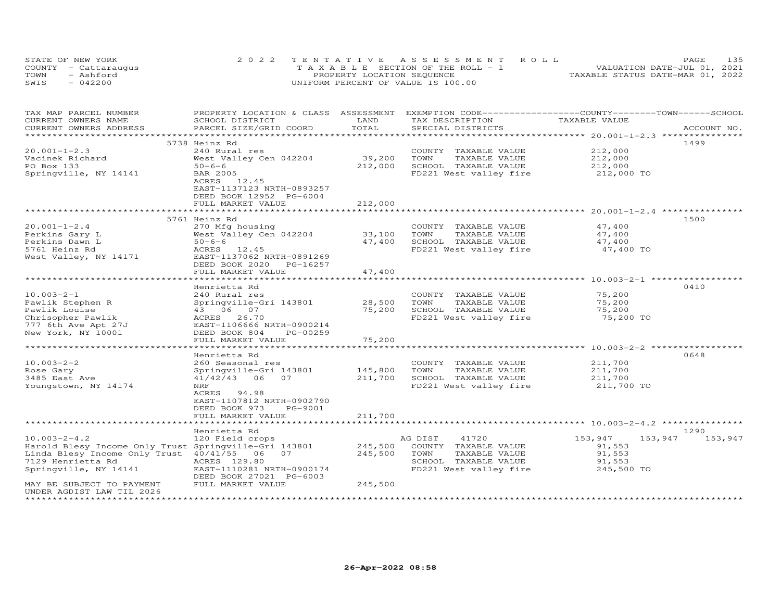| STATE OF NEW YORK    | 2022 TENTATIVE ASSESSMENT ROLL        | 135<br><b>PAGE</b>               |
|----------------------|---------------------------------------|----------------------------------|
| COUNTY - Cattaraugus | T A X A B L E SECTION OF THE ROLL - 1 | VALUATION DATE-JUL 01, 2021      |
| TOWN<br>- Ashford    | PROPERTY LOCATION SEQUENCE            | TAXABLE STATUS DATE-MAR 01, 2022 |
| $-042200$<br>SWIS    | UNIFORM PERCENT OF VALUE IS 100.00    |                                  |

| TAX MAP PARCEL NUMBER<br>CURRENT OWNERS NAME          | PROPERTY LOCATION & CLASS ASSESSMENT EXEMPTION CODE-----------------COUNTY-------TOWN------SCHOOL<br>SCHOOL DISTRICT | LAND        | TAX DESCRIPTION                               | TAXABLE VALUE      |             |
|-------------------------------------------------------|----------------------------------------------------------------------------------------------------------------------|-------------|-----------------------------------------------|--------------------|-------------|
| CURRENT OWNERS ADDRESS                                | PARCEL SIZE/GRID COORD                                                                                               | TOTAL       | SPECIAL DISTRICTS                             |                    | ACCOUNT NO. |
|                                                       | 5738 Heinz Rd                                                                                                        |             |                                               |                    | 1499        |
| $20.001 - 1 - 2.3$                                    | 240 Rural res                                                                                                        |             | COUNTY TAXABLE VALUE                          | 212,000            |             |
| Vacinek Richard                                       | West Valley Cen 042204                                                                                               | 39,200      | TOWN<br>TAXABLE VALUE                         | 212,000            |             |
| PO Box 133                                            | $50 - 6 - 6$                                                                                                         | 212,000     | SCHOOL TAXABLE VALUE                          | 212,000            |             |
| Springville, NY 14141                                 | <b>BAR 2005</b>                                                                                                      |             | FD221 West valley fire                        | 212,000 TO         |             |
|                                                       | ACRES 12.45                                                                                                          |             |                                               |                    |             |
|                                                       | EAST-1137123 NRTH-0893257                                                                                            |             |                                               |                    |             |
|                                                       | DEED BOOK 12952 PG-6004                                                                                              |             |                                               |                    |             |
|                                                       | FULL MARKET VALUE                                                                                                    | 212,000     |                                               |                    |             |
|                                                       |                                                                                                                      |             |                                               |                    |             |
|                                                       | 5761 Heinz Rd                                                                                                        |             |                                               |                    | 1500        |
| $20.001 - 1 - 2.4$                                    | 270 Mfg housing                                                                                                      |             | COUNTY TAXABLE VALUE                          | 47,400             |             |
| Perkins Gary L                                        | West Valley Cen 042204                                                                                               | 33,100      | TOWN<br>TAXABLE VALUE                         | 47,400             |             |
| Perkins Dawn L                                        | $50 - 6 - 6$                                                                                                         | 47,400      | SCHOOL TAXABLE VALUE                          | 47,400             |             |
| 5761 Heinz Rd                                         | ACRES 12.45<br>EAST-1137062 NRTH-0891269                                                                             |             | FD221 West valley fire                        | 47,400 TO          |             |
| West Valley, NY 14171                                 | DEED BOOK 2020 PG-16257                                                                                              |             |                                               |                    |             |
|                                                       | FULL MARKET VALUE                                                                                                    | 47,400      |                                               |                    |             |
|                                                       |                                                                                                                      |             |                                               |                    |             |
|                                                       | Henrietta Rd                                                                                                         |             |                                               |                    | 0410        |
| $10.003 - 2 - 1$                                      | 240 Rural res                                                                                                        |             | COUNTY TAXABLE VALUE                          | 75,200             |             |
| Pawlik Stephen R                                      | Springville-Gri 143801                                                                                               | 28,500      | TOWN<br>TAXABLE VALUE                         | 75,200             |             |
| Pawlik Louise                                         | 43 06 07                                                                                                             | 75,200      | SCHOOL TAXABLE VALUE                          | 75,200             |             |
| Chrisopher Pawlik                                     | ACRES 26.70                                                                                                          |             | FD221 West valley fire                        | 75,200 TO          |             |
| 777 6th Ave Apt 27J                                   | EAST-1106666 NRTH-0900214                                                                                            |             |                                               |                    |             |
| New York, NY 10001                                    | DEED BOOK 804<br>PG-00259                                                                                            |             |                                               |                    |             |
|                                                       | FULL MARKET VALUE                                                                                                    | 75,200      |                                               |                    |             |
|                                                       |                                                                                                                      | *********** |                                               |                    |             |
|                                                       | Henrietta Rd                                                                                                         |             |                                               |                    | 0648        |
| $10.003 - 2 - 2$<br>Rose Gary                         | 260 Seasonal res                                                                                                     | 145,800     | COUNTY TAXABLE VALUE<br>TOWN<br>TAXABLE VALUE | 211,700<br>211,700 |             |
| 3485 East Ave                                         | Springville-Gri 143801<br>$41/42/43$ 06<br>07                                                                        | 211,700     | SCHOOL TAXABLE VALUE                          | 211,700            |             |
| Youngstown, NY 14174                                  | NRF                                                                                                                  |             | FD221 West valley fire                        | 211,700 TO         |             |
|                                                       | ACRES<br>94.98                                                                                                       |             |                                               |                    |             |
|                                                       | EAST-1107812 NRTH-0902790                                                                                            |             |                                               |                    |             |
|                                                       | DEED BOOK 973<br>PG-9001                                                                                             |             |                                               |                    |             |
|                                                       | FULL MARKET VALUE                                                                                                    | 211,700     |                                               |                    |             |
|                                                       | *******************                                                                                                  |             |                                               |                    |             |
|                                                       | Henrietta Rd                                                                                                         |             |                                               |                    | 1290        |
| $10.003 - 2 - 4.2$                                    | 120 Field crops                                                                                                      |             | AG DIST<br>41720                              | 153,947<br>153,947 | 153,947     |
| Harold Blesy Income Only Trust Springville-Gri 143801 |                                                                                                                      | 245,500     | COUNTY TAXABLE VALUE                          | 91,553             |             |
| Linda Blesy Income Only Trust 40/41/55 06 07          |                                                                                                                      | 245,500     | TOWN<br>TAXABLE VALUE                         | 91,553             |             |
| 7129 Henrietta Rd                                     | ACRES 129.80                                                                                                         |             | SCHOOL TAXABLE VALUE                          | 91,553             |             |
| Springville, NY 14141                                 | EAST-1110281 NRTH-0900174                                                                                            |             | FD221 West valley fire                        | 245,500 TO         |             |
|                                                       | DEED BOOK 27021 PG-6003                                                                                              |             |                                               |                    |             |
| MAY BE SUBJECT TO PAYMENT                             | FULL MARKET VALUE                                                                                                    | 245,500     |                                               |                    |             |
| UNDER AGDIST LAW TIL 2026                             |                                                                                                                      |             |                                               |                    |             |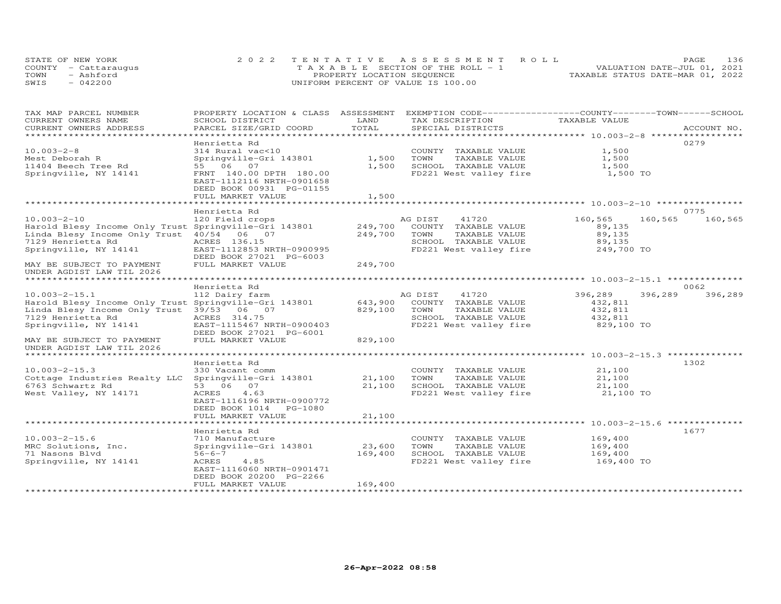| STATE OF NEW YORK |                      | 2022 TENTATIVE ASSESSMENT ROLL        | 136<br>PAGE.                     |
|-------------------|----------------------|---------------------------------------|----------------------------------|
|                   | COUNTY - Cattaraugus | T A X A B L E SECTION OF THE ROLL - 1 | VALUATION DATE-JUL 01, 2021      |
| TOWN              | - Ashford            | PROPERTY LOCATION SEQUENCE            | TAXABLE STATUS DATE-MAR 01, 2022 |
| SWIS              | $-042200$            | UNIFORM PERCENT OF VALUE IS 100.00    |                                  |

| TAX MAP PARCEL NUMBER                                 | PROPERTY LOCATION & CLASS ASSESSMENT EXEMPTION CODE----------------COUNTY-------TOWN-----SCHOOL |                |         |                        |                                                              |         |             |
|-------------------------------------------------------|-------------------------------------------------------------------------------------------------|----------------|---------|------------------------|--------------------------------------------------------------|---------|-------------|
| CURRENT OWNERS NAME                                   | SCHOOL DISTRICT                                                                                 | LAND           |         | TAX DESCRIPTION        | TAXABLE VALUE                                                |         |             |
| CURRENT OWNERS ADDRESS                                | PARCEL SIZE/GRID COORD                                                                          | TOTAL          |         | SPECIAL DISTRICTS      |                                                              |         | ACCOUNT NO. |
| ******************************                        |                                                                                                 |                |         |                        |                                                              |         |             |
|                                                       | Henrietta Rd                                                                                    |                |         |                        |                                                              |         | 0279        |
| $10.003 - 2 - 8$                                      | 314 Rural vac<10                                                                                |                |         | COUNTY TAXABLE VALUE   | 1,500                                                        |         |             |
| Mest Deborah R                                        | Springville-Gri 143801                                                                          | 1,500          | TOWN    | TAXABLE VALUE          | 1,500                                                        |         |             |
| 11404 Beech Tree Rd                                   | 55 06 07                                                                                        | 1,500          |         | SCHOOL TAXABLE VALUE   | 1,500                                                        |         |             |
| Springville, NY 14141                                 | FRNT 140.00 DPTH 180.00<br>EAST-1112116 NRTH-0901658<br>DEED BOOK 00931 PG-01155                |                |         | FD221 West valley fire | 1,500 TO                                                     |         |             |
|                                                       | FULL MARKET VALUE                                                                               | 1,500          |         |                        |                                                              |         |             |
|                                                       |                                                                                                 |                |         |                        |                                                              |         |             |
|                                                       | Henrietta Rd                                                                                    |                |         |                        |                                                              |         | 0775        |
| $10.003 - 2 - 10$                                     | 120 Field crops                                                                                 |                | AG DIST | 41720                  | 160,565                                                      | 160,565 | 160,565     |
| Harold Blesy Income Only Trust Springville-Gri 143801 |                                                                                                 | 249,700        |         | COUNTY TAXABLE VALUE   | 89,135                                                       |         |             |
| Linda Blesy Income Only Trust                         | 40/54 06 07                                                                                     | 249,700        | TOWN    | TAXABLE VALUE          | 89,135                                                       |         |             |
| 7129 Henrietta Rd                                     | ACRES 136.15                                                                                    |                |         | SCHOOL TAXABLE VALUE   | 89,135                                                       |         |             |
| Springville, NY 14141                                 | EAST-1112853 NRTH-0900995                                                                       |                |         | FD221 West valley fire | 249,700 TO                                                   |         |             |
|                                                       | DEED BOOK 27021 PG-6003                                                                         |                |         |                        |                                                              |         |             |
| MAY BE SUBJECT TO PAYMENT                             | FULL MARKET VALUE                                                                               | 249,700        |         |                        |                                                              |         |             |
| UNDER AGDIST LAW TIL 2026                             |                                                                                                 |                |         |                        |                                                              |         |             |
|                                                       |                                                                                                 |                |         |                        |                                                              |         |             |
|                                                       | Henrietta Rd                                                                                    |                |         |                        |                                                              |         | 0062        |
| $10.003 - 2 - 15.1$                                   | 112 Dairy farm                                                                                  |                | AG DIST | 41720                  | 396,289                                                      | 396,289 | 396,289     |
| Harold Blesy Income Only Trust Springville-Gri 143801 |                                                                                                 | 643,900        |         | COUNTY TAXABLE VALUE   | 432,811                                                      |         |             |
| Linda Blesy Income Only Trust                         | 39/53 06 07                                                                                     | 829,100        | TOWN    | TAXABLE VALUE          | 432,811                                                      |         |             |
| 7129 Henrietta Rd                                     | ACRES 314.75                                                                                    |                |         | SCHOOL TAXABLE VALUE   | 432,811                                                      |         |             |
| Springville, NY 14141                                 | EAST-1115467 NRTH-0900403                                                                       |                |         | FD221 West valley fire | 829,100 TO                                                   |         |             |
|                                                       | DEED BOOK 27021 PG-6001                                                                         |                |         |                        |                                                              |         |             |
| MAY BE SUBJECT TO PAYMENT                             | FULL MARKET VALUE                                                                               | 829,100        |         |                        |                                                              |         |             |
| UNDER AGDIST LAW TIL 2026                             |                                                                                                 |                |         |                        |                                                              |         |             |
|                                                       | Henrietta Rd                                                                                    |                |         |                        |                                                              |         | 1302        |
| $10.003 - 2 - 15.3$                                   | 330 Vacant comm                                                                                 |                |         | COUNTY TAXABLE VALUE   | 21,100                                                       |         |             |
| Cottage Industries Realty LLC                         | Springville-Gri 143801                                                                          | 21,100         | TOWN    | TAXABLE VALUE          | 21,100                                                       |         |             |
| 6763 Schwartz Rd                                      | 53 06 07                                                                                        | 21,100         |         | SCHOOL TAXABLE VALUE   | 21,100                                                       |         |             |
| West Valley, NY 14171                                 | ACRES<br>4.63                                                                                   |                |         | FD221 West valley fire | 21,100 TO                                                    |         |             |
|                                                       | EAST-1116196 NRTH-0900772                                                                       |                |         |                        |                                                              |         |             |
|                                                       | DEED BOOK 1014<br>PG-1080                                                                       |                |         |                        |                                                              |         |             |
|                                                       | FULL MARKET VALUE                                                                               | 21,100         |         |                        |                                                              |         |             |
|                                                       |                                                                                                 | ************** |         |                        | ******************************* 10.003-2-15.6 ************** |         |             |
|                                                       | Henrietta Rd                                                                                    |                |         |                        |                                                              |         | 1677        |
| $10.003 - 2 - 15.6$                                   | 710 Manufacture                                                                                 |                |         | COUNTY TAXABLE VALUE   | 169,400                                                      |         |             |
| MRC Solutions, Inc.                                   | Springville-Gri 143801                                                                          | 23,600         | TOWN    | TAXABLE VALUE          | 169,400                                                      |         |             |
| 71 Nasons Blvd                                        | $56 - 6 - 7$                                                                                    | 169,400        |         | SCHOOL TAXABLE VALUE   | 169,400                                                      |         |             |
| Springville, NY 14141                                 | ACRES<br>4.85                                                                                   |                |         | FD221 West valley fire | 169,400 TO                                                   |         |             |
|                                                       | EAST-1116060 NRTH-0901471                                                                       |                |         |                        |                                                              |         |             |
|                                                       | DEED BOOK 20200 PG-2266                                                                         |                |         |                        |                                                              |         |             |
|                                                       | FULL MARKET VALUE                                                                               | 169,400        |         |                        |                                                              |         |             |
|                                                       |                                                                                                 |                |         |                        |                                                              |         |             |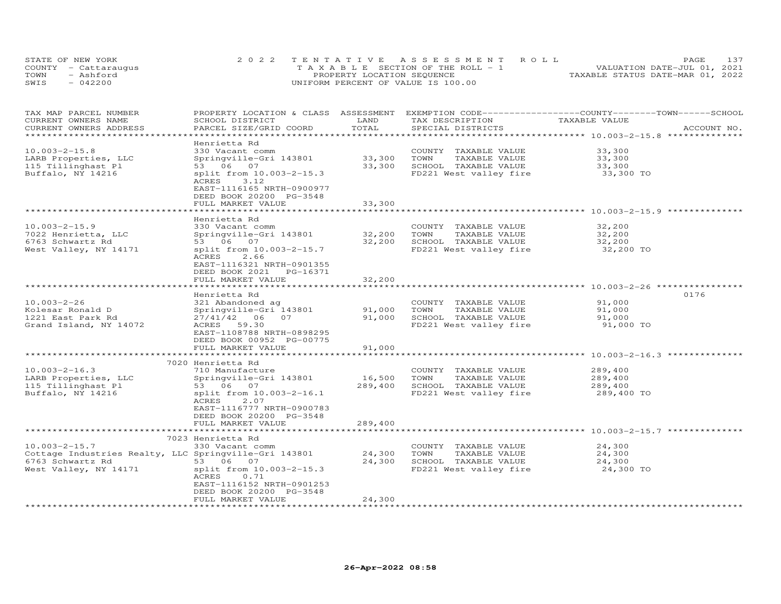| STATE OF NEW YORK    | 2022 TENTATIVE ASSESSMENT ROLL        | <b>PAGE</b>                      | 137 |
|----------------------|---------------------------------------|----------------------------------|-----|
| COUNTY - Cattaraugus | T A X A B L E SECTION OF THE ROLL - 1 | VALUATION DATE-JUL 01, 2021      |     |
| TOWN<br>- Ashford    | PROPERTY LOCATION SEQUENCE            | TAXABLE STATUS DATE-MAR 01, 2022 |     |
| $-042200$<br>SWIS    | UNIFORM PERCENT OF VALUE IS 100.00    |                                  |     |

| TAX MAP PARCEL NUMBER                                 | PROPERTY LOCATION & CLASS ASSESSMENT EXEMPTION CODE----------------COUNTY-------TOWN-----SCHOOL |                               |                                                                 |                                                   |             |
|-------------------------------------------------------|-------------------------------------------------------------------------------------------------|-------------------------------|-----------------------------------------------------------------|---------------------------------------------------|-------------|
| CURRENT OWNERS NAME                                   | SCHOOL DISTRICT                                                                                 | LAND                          | TAX DESCRIPTION                                                 | TAXABLE VALUE                                     |             |
| CURRENT OWNERS ADDRESS                                | PARCEL SIZE/GRID COORD                                                                          | TOTAL                         | SPECIAL DISTRICTS                                               |                                                   | ACCOUNT NO. |
| *****************                                     |                                                                                                 |                               |                                                                 |                                                   |             |
|                                                       | Henrietta Rd                                                                                    |                               |                                                                 |                                                   |             |
| $10.003 - 2 - 15.8$                                   | 330 Vacant comm                                                                                 |                               | COUNTY TAXABLE VALUE                                            | 33,300                                            |             |
| LARB Properties, LLC                                  | Springville-Gri 143801                                                                          | 33,300                        | TOWN<br>TAXABLE VALUE                                           | 33,300                                            |             |
| 115 Tillinghast Pl                                    | 53 06 07                                                                                        | 33,300                        | SCHOOL TAXABLE VALUE                                            | 33,300                                            |             |
| Buffalo, NY 14216                                     | split from 10.003-2-15.3<br>3.12<br>ACRES                                                       |                               | FD221 West valley fire                                          | 33,300 TO                                         |             |
|                                                       | EAST-1116165 NRTH-0900977                                                                       |                               |                                                                 |                                                   |             |
|                                                       | DEED BOOK 20200 PG-3548                                                                         |                               |                                                                 |                                                   |             |
|                                                       | FULL MARKET VALUE                                                                               | 33,300                        |                                                                 |                                                   |             |
|                                                       |                                                                                                 | ********************          | ********************************* 10.003-2-15.9 *************** |                                                   |             |
|                                                       | Henrietta Rd                                                                                    |                               |                                                                 |                                                   |             |
| $10.003 - 2 - 15.9$                                   | 330 Vacant comm                                                                                 |                               | COUNTY TAXABLE VALUE                                            | 32,200                                            |             |
| 7022 Henrietta, LLC                                   | Springville-Gri 143801                                                                          | 32,200                        | TOWN<br>TAXABLE VALUE                                           | 32,200                                            |             |
| 6763 Schwartz Rd                                      | 53 06 07                                                                                        | 32,200                        | SCHOOL TAXABLE VALUE                                            | 32,200                                            |             |
| West Valley, NY 14171                                 | split from 10.003-2-15.7                                                                        |                               | FD221 West valley fire                                          | 32,200 TO                                         |             |
|                                                       | ACRES<br>2.66                                                                                   |                               |                                                                 |                                                   |             |
|                                                       | EAST-1116321 NRTH-0901355                                                                       |                               |                                                                 |                                                   |             |
|                                                       | DEED BOOK 2021<br>PG-16371                                                                      |                               |                                                                 |                                                   |             |
|                                                       | FULL MARKET VALUE                                                                               | 32,200                        |                                                                 |                                                   |             |
|                                                       |                                                                                                 | *********                     |                                                                 | ******************** 10.003-2-26 **************** |             |
|                                                       | Henrietta Rd                                                                                    |                               |                                                                 |                                                   | 0176        |
| $10.003 - 2 - 26$                                     | 321 Abandoned ag                                                                                |                               | COUNTY TAXABLE VALUE                                            | 91,000                                            |             |
| Kolesar Ronald D                                      | Springville-Gri 143801                                                                          | 91,000                        | TOWN<br>TAXABLE VALUE                                           | 91,000                                            |             |
| 1221 East Park Rd                                     | 27/41/42<br>06 07                                                                               | 91,000                        | SCHOOL TAXABLE VALUE                                            | 91,000                                            |             |
| Grand Island, NY 14072                                | 59.30<br>ACRES                                                                                  |                               | FD221 West valley fire                                          | 91,000 TO                                         |             |
|                                                       | EAST-1108788 NRTH-0898295                                                                       |                               |                                                                 |                                                   |             |
|                                                       | DEED BOOK 00952 PG-00775                                                                        |                               |                                                                 |                                                   |             |
|                                                       | FULL MARKET VALUE                                                                               | 91,000                        |                                                                 |                                                   |             |
|                                                       |                                                                                                 |                               |                                                                 | ******************* 10.003-2-16.3 **              |             |
|                                                       | 7020 Henrietta Rd                                                                               |                               |                                                                 |                                                   |             |
| $10.003 - 2 - 16.3$                                   | 710 Manufacture                                                                                 |                               | COUNTY TAXABLE VALUE                                            | 289,400                                           |             |
| LARB Properties, LLC                                  | Springville-Gri 143801                                                                          | 16,500                        | TAXABLE VALUE<br>TOWN                                           | 289,400                                           |             |
| 115 Tillinghast Pl                                    | 53 06 07                                                                                        | 289,400                       | SCHOOL TAXABLE VALUE                                            | 289,400                                           |             |
| Buffalo, NY 14216                                     | split from 10.003-2-16.1                                                                        |                               | FD221 West valley fire                                          | 289,400 TO                                        |             |
|                                                       | ACRES<br>2.07                                                                                   |                               |                                                                 |                                                   |             |
|                                                       | EAST-1116777 NRTH-0900783                                                                       |                               |                                                                 |                                                   |             |
|                                                       | DEED BOOK 20200 PG-3548                                                                         |                               |                                                                 |                                                   |             |
|                                                       | FULL MARKET VALUE                                                                               | 289,400                       |                                                                 |                                                   |             |
|                                                       |                                                                                                 |                               |                                                                 |                                                   |             |
|                                                       | 7023 Henrietta Rd                                                                               |                               |                                                                 |                                                   |             |
| $10.003 - 2 - 15.7$                                   | 330 Vacant comm                                                                                 |                               | COUNTY TAXABLE VALUE                                            | 24,300                                            |             |
| Cottage Industries Realty, LLC Springville-Gri 143801 |                                                                                                 | 24,300                        | TOWN<br>TAXABLE VALUE                                           | 24,300                                            |             |
| 6763 Schwartz Rd                                      | 53 06 07                                                                                        | 24,300                        | SCHOOL TAXABLE VALUE                                            | 24,300                                            |             |
| West Valley, NY 14171                                 | split from 10.003-2-15.3                                                                        |                               | FD221 West valley fire                                          | 24,300 TO                                         |             |
|                                                       | ACRES<br>0.71                                                                                   |                               |                                                                 |                                                   |             |
|                                                       | EAST-1116152 NRTH-0901253                                                                       |                               |                                                                 |                                                   |             |
|                                                       | DEED BOOK 20200 PG-3548                                                                         |                               |                                                                 |                                                   |             |
|                                                       | FULL MARKET VALUE                                                                               | 24,300<br>******************* |                                                                 |                                                   |             |
|                                                       |                                                                                                 |                               |                                                                 |                                                   |             |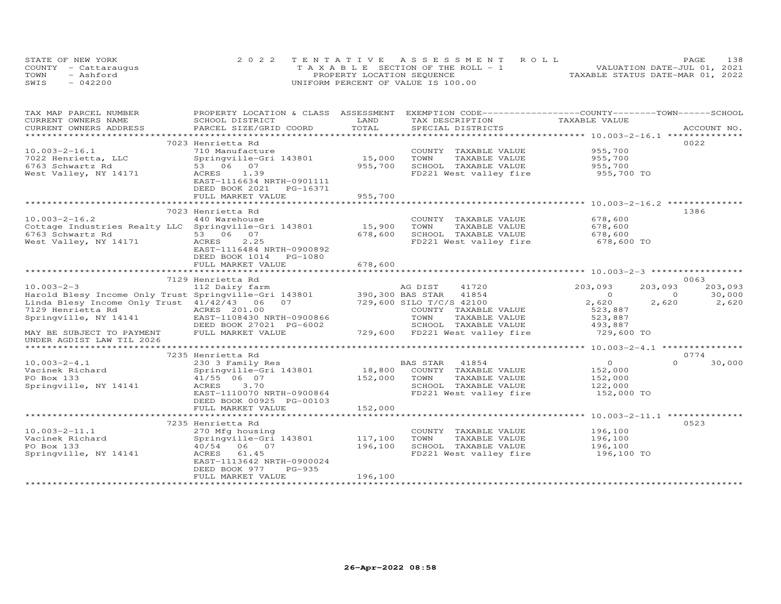|      | STATE OF NEW YORK    | 2022 TENTATIVE ASSESSMENT ROLL        | 138<br>PAGE                      |
|------|----------------------|---------------------------------------|----------------------------------|
|      | COUNTY - Cattarauqus | T A X A B L E SECTION OF THE ROLL - 1 | VALUATION DATE-JUL 01, 2021      |
| TOWN | - Ashford            | PROPERTY LOCATION SEQUENCE            | TAXABLE STATUS DATE-MAR 01, 2022 |
| SWIS | $-042200$            | UNIFORM PERCENT OF VALUE IS 100.00    |                                  |

| TAX MAP PARCEL NUMBER                                 | PROPERTY LOCATION & CLASS ASSESSMENT      |               | EXEMPTION CODE-----------------COUNTY-------TOWN------SCHOOL |                                           |                    |  |
|-------------------------------------------------------|-------------------------------------------|---------------|--------------------------------------------------------------|-------------------------------------------|--------------------|--|
| CURRENT OWNERS NAME<br>CURRENT OWNERS ADDRESS         | SCHOOL DISTRICT<br>PARCEL SIZE/GRID COORD | LAND<br>TOTAL | TAX DESCRIPTION<br>SPECIAL DISTRICTS                         | TAXABLE VALUE                             | ACCOUNT NO.        |  |
|                                                       |                                           | ************* |                                                              |                                           |                    |  |
|                                                       | 7023 Henrietta Rd                         |               |                                                              |                                           | 0022               |  |
| $10.003 - 2 - 16.1$                                   | 710 Manufacture                           |               | COUNTY TAXABLE VALUE                                         | 955,700                                   |                    |  |
| 7022 Henrietta, LLC                                   | Springville-Gri 143801                    | 15,000        | TOWN<br>TAXABLE VALUE                                        | 955,700                                   |                    |  |
| 6763 Schwartz Rd                                      | 53 06 07                                  | 955,700       | SCHOOL TAXABLE VALUE                                         | 955,700                                   |                    |  |
| West Valley, NY 14171                                 | 1.39<br>ACRES                             |               | FD221 West valley fire                                       | 955,700 TO                                |                    |  |
|                                                       | EAST-1116634 NRTH-0901111                 |               |                                                              |                                           |                    |  |
|                                                       | DEED BOOK 2021<br>PG-16371                |               |                                                              |                                           |                    |  |
|                                                       | FULL MARKET VALUE                         | 955,700       |                                                              |                                           |                    |  |
|                                                       |                                           |               |                                                              |                                           |                    |  |
|                                                       | 7023 Henrietta Rd                         |               |                                                              |                                           | 1386               |  |
| $10.003 - 2 - 16.2$                                   | 440 Warehouse                             |               | COUNTY TAXABLE VALUE                                         | 678,600                                   |                    |  |
| Cottage Industries Realty LLC Springville-Gri 143801  |                                           | 15,900        | TOWN<br>TAXABLE VALUE                                        | 678,600                                   |                    |  |
| 6763 Schwartz Rd                                      | 53 06 07                                  | 678,600       | SCHOOL TAXABLE VALUE                                         | 678,600                                   |                    |  |
| West Valley, NY 14171                                 | ACRES<br>2.25                             |               | FD221 West valley fire                                       | 678,600 TO                                |                    |  |
|                                                       | EAST-1116484 NRTH-0900892                 |               |                                                              |                                           |                    |  |
|                                                       | DEED BOOK 1014<br>PG-1080                 |               |                                                              |                                           |                    |  |
|                                                       | FULL MARKET VALUE                         | 678,600       |                                                              |                                           |                    |  |
|                                                       |                                           |               |                                                              |                                           |                    |  |
|                                                       | 7129 Henrietta Rd                         |               |                                                              |                                           | 0063               |  |
| $10.003 - 2 - 3$                                      | 112 Dairy farm                            |               | 41720<br>AG DIST                                             | 203,093                                   | 203,093<br>203,093 |  |
| Harold Blesy Income Only Trust Springville-Gri 143801 |                                           |               | 390,300 BAS STAR<br>41854                                    | $\overline{0}$                            | 30,000<br>$\Omega$ |  |
| Linda Blesy Income Only Trust 41/42/43 06             | 07                                        |               | 729,600 SILO T/C/S 42100                                     | 2,620                                     | 2,620<br>2,620     |  |
| 7129 Henrietta Rd                                     | ACRES 201.00                              |               | COUNTY TAXABLE VALUE                                         | 523,887                                   |                    |  |
| Springville, NY 14141                                 | EAST-1108430 NRTH-0900866                 |               | TOWN<br>TAXABLE VALUE                                        | 523,887                                   |                    |  |
|                                                       | DEED BOOK 27021 PG-6002                   |               | SCHOOL TAXABLE VALUE                                         | 493,887                                   |                    |  |
| MAY BE SUBJECT TO PAYMENT                             | FULL MARKET VALUE                         |               | 729,600 FD221 West valley fire                               | 729,600 TO                                |                    |  |
| UNDER AGDIST LAW TIL 2026                             |                                           |               |                                                              |                                           |                    |  |
|                                                       |                                           |               |                                                              | *********** 10.003-2-4.1 **************** |                    |  |
|                                                       | 7235 Henrietta Rd                         |               |                                                              |                                           | 0774               |  |
| $10.003 - 2 - 4.1$                                    | 230 3 Family Res                          |               | BAS STAR<br>41854                                            | $\overline{O}$                            | 30,000<br>$\Omega$ |  |
| Vacinek Richard                                       | Springville-Gri 143801                    | 18,800        | COUNTY TAXABLE VALUE                                         | 152,000                                   |                    |  |
| PO Box 133                                            | 41/55 06 07                               | 152,000       | TOWN<br>TAXABLE VALUE                                        | 152,000                                   |                    |  |
| Springville, NY 14141                                 | 3.70<br>ACRES                             |               | SCHOOL TAXABLE VALUE                                         | 122,000                                   |                    |  |
|                                                       | EAST-1110070 NRTH-0900864                 |               | FD221 West valley fire                                       | 152,000 TO                                |                    |  |
|                                                       | DEED BOOK 00925 PG-00103                  |               |                                                              |                                           |                    |  |
|                                                       | FULL MARKET VALUE                         | 152,000       |                                                              |                                           |                    |  |
|                                                       |                                           |               |                                                              |                                           |                    |  |
|                                                       | 7235 Henrietta Rd                         |               |                                                              |                                           | 0523               |  |
| $10.003 - 2 - 11.1$                                   | 270 Mfg housing                           |               | COUNTY TAXABLE VALUE                                         | 196,100                                   |                    |  |
| Vacinek Richard                                       | Springville-Gri 143801                    | 117,100       | TOWN<br>TAXABLE VALUE                                        | 196,100                                   |                    |  |
| PO Box 133                                            | 40/54 06 07                               | 196,100       | SCHOOL TAXABLE VALUE                                         | 196,100                                   |                    |  |
| Springville, NY 14141                                 | ACRES 61.45                               |               | FD221 West valley fire                                       | 196,100 TO                                |                    |  |
|                                                       | EAST-1113642 NRTH-0900024                 |               |                                                              |                                           |                    |  |
|                                                       | DEED BOOK 977<br>$PG-935$                 |               |                                                              |                                           |                    |  |
|                                                       | FULL MARKET VALUE                         | 196,100       |                                                              |                                           |                    |  |
|                                                       |                                           |               |                                                              |                                           |                    |  |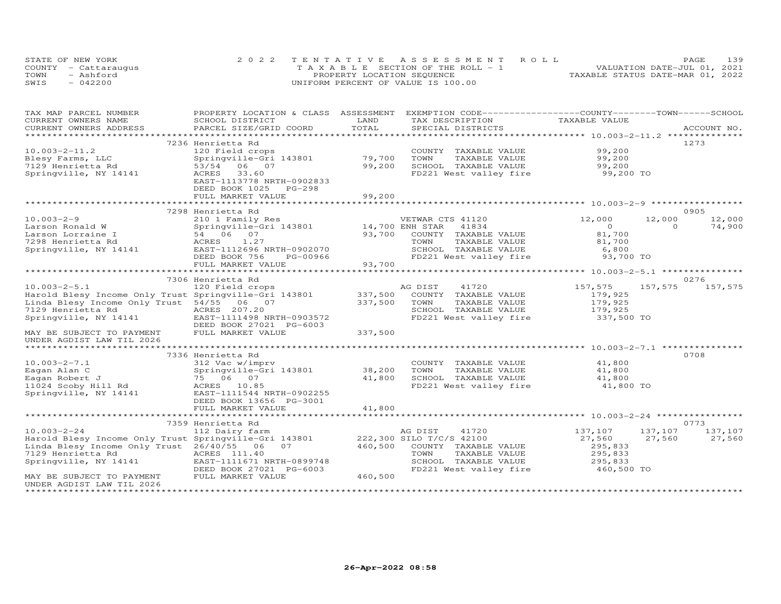|      | STATE OF NEW YORK    | 2022 TENTATIVE ASSESSMENT ROLL        | PAGE                             | 139 |
|------|----------------------|---------------------------------------|----------------------------------|-----|
|      | COUNTY - Cattaraugus | T A X A B L E SECTION OF THE ROLL - 1 | VALUATION DATE-JUL 01, 2021      |     |
| TOWN | - Ashford            | PROPERTY LOCATION SEQUENCE            | TAXABLE STATUS DATE-MAR 01, 2022 |     |
| SWIS | $-042200$            | UNIFORM PERCENT OF VALUE IS 100.00    |                                  |     |

| TAX MAP PARCEL NUMBER                                 | PROPERTY LOCATION & CLASS ASSESSMENT |                 | EXEMPTION CODE-----------------COUNTY-------TOWN-----SCHOOL |               |                    |
|-------------------------------------------------------|--------------------------------------|-----------------|-------------------------------------------------------------|---------------|--------------------|
| CURRENT OWNERS NAME                                   | SCHOOL DISTRICT                      | LAND            | TAX DESCRIPTION                                             | TAXABLE VALUE |                    |
| CURRENT OWNERS ADDRESS                                | PARCEL SIZE/GRID COORD               | TOTAL           | SPECIAL DISTRICTS                                           |               | ACCOUNT NO.        |
| ***********************                               |                                      |                 |                                                             |               |                    |
|                                                       | 7236 Henrietta Rd                    |                 |                                                             |               | 1273               |
| $10.003 - 2 - 11.2$                                   | 120 Field crops                      |                 | COUNTY TAXABLE VALUE                                        | 99,200        |                    |
| Blesy Farms, LLC                                      | Springville-Gri 143801               | 79,700          | TAXABLE VALUE<br>TOWN                                       | 99,200        |                    |
| 7129 Henrietta Rd                                     | 53/54<br>06 07                       | 99,200          | SCHOOL TAXABLE VALUE                                        | 99,200        |                    |
| Springville, NY 14141                                 | 33.60<br>ACRES                       |                 | FD221 West valley fire                                      | 99,200 TO     |                    |
|                                                       | EAST-1113778 NRTH-0902833            |                 |                                                             |               |                    |
|                                                       | DEED BOOK 1025<br>PG-298             |                 |                                                             |               |                    |
|                                                       | FULL MARKET VALUE                    | 99,200          |                                                             |               |                    |
|                                                       |                                      |                 |                                                             |               |                    |
|                                                       | 7298 Henrietta Rd                    |                 |                                                             |               | 0905               |
| $10.003 - 2 - 9$                                      | 210 1 Family Res                     |                 | VETWAR CTS 41120                                            | 12,000        | 12,000<br>12,000   |
| Larson Ronald W                                       | Springville-Gri 143801               | 14,700 ENH STAR | 41834                                                       | $\circ$       | 74,900<br>$\Omega$ |
| Larson Lorraine I                                     | 54 06 07                             | 93,700          | COUNTY TAXABLE VALUE                                        | 81,700        |                    |
| 7298 Henrietta Rd                                     | 1.27<br>ACRES                        |                 | TOWN<br>TAXABLE VALUE                                       | 81,700        |                    |
| Springville, NY 14141                                 | EAST-1112696 NRTH-0902070            |                 | SCHOOL TAXABLE VALUE                                        | 6,800         |                    |
|                                                       | DEED BOOK 756<br>PG-00966            |                 | FD221 West valley fire                                      | 93,700 TO     |                    |
|                                                       | FULL MARKET VALUE                    | 93,700          |                                                             |               |                    |
|                                                       |                                      |                 |                                                             |               |                    |
|                                                       | 7306 Henrietta Rd                    |                 |                                                             |               | 0276               |
| $10.003 - 2 - 5.1$                                    | 120 Field crops                      |                 | AG DIST<br>41720                                            | 157,575       | 157,575<br>157,575 |
| Harold Blesy Income Only Trust Springville-Gri 143801 |                                      | 337,500         | COUNTY TAXABLE VALUE                                        | 179,925       |                    |
| Linda Blesy Income Only Trust 54/55 06 07             |                                      | 337,500         | TOWN<br>TAXABLE VALUE                                       | 179,925       |                    |
| 7129 Henrietta Rd                                     | ACRES 207.20                         |                 | SCHOOL TAXABLE VALUE                                        | 179,925       |                    |
| Springville, NY 14141                                 | EAST-1111498 NRTH-0903572            |                 | FD221 West valley fire                                      | 337,500 TO    |                    |
|                                                       | DEED BOOK 27021 PG-6003              |                 |                                                             |               |                    |
| MAY BE SUBJECT TO PAYMENT                             | FULL MARKET VALUE                    | 337,500         |                                                             |               |                    |
| UNDER AGDIST LAW TIL 2026                             |                                      |                 |                                                             |               |                    |
| ********************                                  |                                      |                 |                                                             |               |                    |
|                                                       | 7336 Henrietta Rd                    |                 |                                                             |               | 0708               |
| $10.003 - 2 - 7.1$                                    | 312 Vac w/imprv                      |                 | COUNTY TAXABLE VALUE                                        | 41,800        |                    |
| Eagan Alan C                                          | Springville-Gri 143801               | 38,200          | TOWN<br>TAXABLE VALUE                                       | 41,800        |                    |
| Eagan Robert J                                        | 75 06 07                             | 41,800          | SCHOOL TAXABLE VALUE                                        | 41,800        |                    |
| 11024 Scoby Hill Rd                                   | ACRES 10.85                          |                 | FD221 West valley fire                                      | 41,800 TO     |                    |
| Springville, NY 14141                                 | EAST-1111544 NRTH-0902255            |                 |                                                             |               |                    |
|                                                       | DEED BOOK 13656 PG-3001              |                 |                                                             |               |                    |
|                                                       | FULL MARKET VALUE                    | 41,800          |                                                             |               |                    |
|                                                       |                                      |                 |                                                             |               |                    |
|                                                       | 7359 Henrietta Rd                    |                 |                                                             |               | 0773               |
| $10.003 - 2 - 24$                                     | 112 Dairy farm                       |                 | AG DIST<br>41720                                            | 137,107       | 137,107<br>137,107 |
| Harold Blesy Income Only Trust Springville-Gri 143801 |                                      |                 | 222,300 SILO T/C/S 42100                                    | 27,560        | 27,560<br>27,560   |
| Linda Blesy Income Only Trust 26/40/55                | 07<br>06                             | 460,500         | COUNTY TAXABLE VALUE                                        | 295,833       |                    |
| 7129 Henrietta Rd                                     | ACRES 111.40                         |                 | TOWN<br>TAXABLE VALUE                                       | 295,833       |                    |
| Springville, NY 14141                                 | EAST-1111671 NRTH-0899748            |                 | SCHOOL TAXABLE VALUE                                        | 295,833       |                    |
|                                                       | DEED BOOK 27021 PG-6003              |                 | FD221 West valley fire                                      | 460,500 TO    |                    |
| MAY BE SUBJECT TO PAYMENT                             | FULL MARKET VALUE                    | 460,500         |                                                             |               |                    |
| UNDER AGDIST LAW TIL 2026                             |                                      |                 |                                                             |               |                    |
|                                                       |                                      |                 |                                                             |               |                    |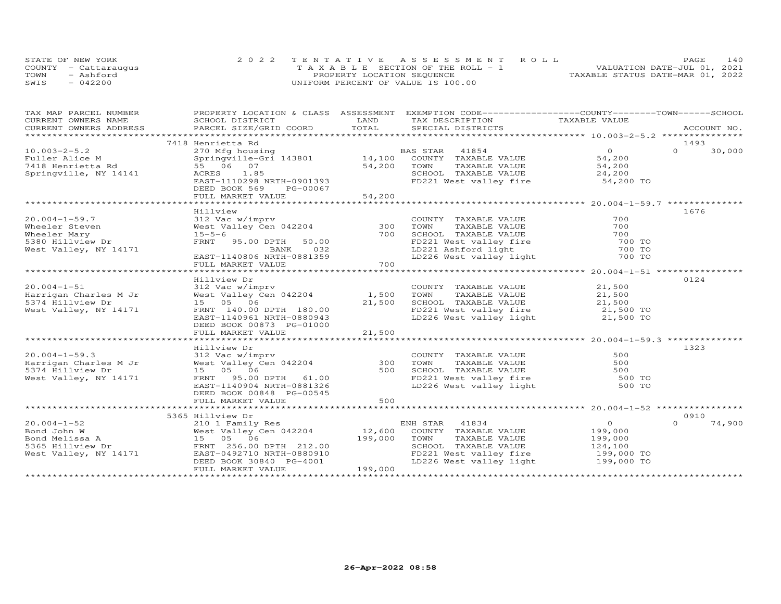| STATE OF NEW YORK    | 2022 TENTATIVE ASSESSMENT ROLL        |                                  | PAGE                        | 140 |
|----------------------|---------------------------------------|----------------------------------|-----------------------------|-----|
| COUNTY - Cattaraugus | T A X A B L E SECTION OF THE ROLL - 1 |                                  | VALUATION DATE-JUL 01, 2021 |     |
| TOWN<br>- Ashford    | PROPERTY LOCATION SEQUENCE            | TAXABLE STATUS DATE-MAR 01, 2022 |                             |     |
| $-042200$<br>SWIS    | UNIFORM PERCENT OF VALUE IS 100.00    |                                  |                             |     |

| TAX MAP PARCEL NUMBER                                                                                                     |                                           |                           | PROPERTY LOCATION & CLASS ASSESSMENT EXEMPTION CODE----------------COUNTY-------TOWN------SCHOOL |                                                    |          |             |
|---------------------------------------------------------------------------------------------------------------------------|-------------------------------------------|---------------------------|--------------------------------------------------------------------------------------------------|----------------------------------------------------|----------|-------------|
| CURRENT OWNERS NAME                                                                                                       | SCHOOL DISTRICT                           | LAND                      | TAX DESCRIPTION TAXABLE VALUE                                                                    |                                                    |          |             |
| CURRENT OWNERS ADDRESS                                                                                                    |                                           |                           |                                                                                                  |                                                    |          | ACCOUNT NO. |
|                                                                                                                           |                                           |                           |                                                                                                  |                                                    |          |             |
|                                                                                                                           | 7418 Henrietta Rd                         |                           |                                                                                                  |                                                    | 1493     |             |
| $10.003 - 2 - 5.2$                                                                                                        | 270 Mfg housing                           |                           | BAS STAR 41854                                                                                   | $\overline{O}$                                     | $\Omega$ | 30,000      |
| Fuller Alice M                                                                                                            |                                           |                           | Springville-Gri 143801 14,100 COUNTY TAXABLE VALUE                                               | 54,200                                             |          |             |
| 7418 Henrietta Rd                                                                                                         | 55 06 07                                  | 54,200                    | TOWN<br>TAXABLE VALUE                                                                            | 54,200                                             |          |             |
| Springville, NY 14141                                                                                                     | 1.85<br>ACRES                             |                           | SCHOOL TAXABLE VALUE                                                                             |                                                    |          |             |
|                                                                                                                           | EAST-1110298 NRTH-0901393                 |                           | FD221 West valley fire                                                                           | $24,200$ TO $54,200$ TO                            |          |             |
|                                                                                                                           | DEED BOOK 569<br>PG-00067                 |                           |                                                                                                  |                                                    |          |             |
|                                                                                                                           | FULL MARKET VALUE                         | 54,200                    |                                                                                                  |                                                    |          |             |
|                                                                                                                           |                                           | * * * * * * * * * * * * * |                                                                                                  |                                                    |          |             |
|                                                                                                                           | Hillview                                  |                           |                                                                                                  |                                                    | 1676     |             |
| $20.004 - 1 - 59.7$                                                                                                       | 312 Vac w/imprv                           |                           | COUNTY TAXABLE VALUE                                                                             | 700                                                |          |             |
| Wheeler Steven                                                                                                            | West Valley Cen 042204                    | 300                       | TOWN<br>TAXABLE VALUE                                                                            | 700                                                |          |             |
| Wheeler Mary                                                                                                              | $15 - 5 - 6$                              | 700                       | SCHOOL TAXABLE VALUE                                                                             | 700                                                |          |             |
| 5380 Hillview Dr                                                                                                          | FRNT<br>95.00 DPTH<br>50.00               |                           |                                                                                                  | 700 TO                                             |          |             |
| West Valley, NY 14171                                                                                                     | BANK<br>032                               |                           |                                                                                                  | 700 TO                                             |          |             |
|                                                                                                                           | EAST-1140806 NRTH-0881359                 |                           | FD221 West valley fire<br>LD221 Ashford light<br>LD226 West valley light                         | 700 TO                                             |          |             |
|                                                                                                                           | FULL MARKET VALUE                         | 700                       |                                                                                                  |                                                    |          |             |
|                                                                                                                           |                                           |                           | ************************                                                                         | ********************* 20.004-1-51 **************** |          |             |
|                                                                                                                           | Hillview Dr                               |                           |                                                                                                  |                                                    | 0124     |             |
| $20.004 - 1 - 51$                                                                                                         |                                           |                           | COUNTY TAXABLE VALUE                                                                             | 21,500                                             |          |             |
| Harrigan Charles M Jr                                                                                                     |                                           |                           | TAXABLE VALUE                                                                                    | 21,500                                             |          |             |
| 5374 Hillview Dr                                                                                                          | 15 05 06                                  | 21,500                    |                                                                                                  |                                                    |          |             |
| West Valley, NY 14171                                                                                                     | FRNT 140.00 DPTH 180.00                   |                           |                                                                                                  |                                                    |          |             |
|                                                                                                                           | EAST-1140961 NRTH-0880943                 |                           | FD221 West valley fire 21,500 TO<br>LD226 West valley light 21,500 TO                            |                                                    |          |             |
|                                                                                                                           | DEED BOOK 00873 PG-01000                  |                           |                                                                                                  |                                                    |          |             |
|                                                                                                                           | FULL MARKET VALUE                         | 21,500                    |                                                                                                  |                                                    |          |             |
|                                                                                                                           |                                           |                           |                                                                                                  |                                                    |          |             |
|                                                                                                                           | Hillview Dr                               |                           |                                                                                                  |                                                    | 1323     |             |
| $20.004 - 1 - 59.3$                                                                                                       | 312 Vac w/imprv                           |                           |                                                                                                  | 500                                                |          |             |
| Harrigan Charles M Jr                                                                                                     | 312 Vac w/imprv<br>West Valley Cen 042204 | 300                       | COUNTY TAXABLE VALUE<br>TOWN      TAXABLE VALUE                                                  | 500                                                |          |             |
| 5374 Hillview Dr                                                                                                          | 15 05 06                                  |                           | 500 SCHOOL TAXABLE VALUE                                                                         |                                                    |          |             |
| West Valley, NY 14171                                                                                                     | FRNT 95.00 DPTH 61.00                     |                           | SCHOOL TAXABLE VALUE 500<br>FD221 West valley fire 500 TO                                        |                                                    |          |             |
|                                                                                                                           | EAST-1140904 NRTH-0881326                 |                           | LD226 West valley light 500 TO                                                                   |                                                    |          |             |
|                                                                                                                           | DEED BOOK 00848 PG-00545                  |                           |                                                                                                  |                                                    |          |             |
|                                                                                                                           | FULL MARKET VALUE                         | 500                       |                                                                                                  |                                                    |          |             |
|                                                                                                                           |                                           |                           |                                                                                                  |                                                    |          |             |
|                                                                                                                           | 5365 Hillview Dr                          |                           |                                                                                                  |                                                    | 0910     |             |
| $20.004 - 1 - 52$                                                                                                         | 210 1 Family Res                          |                           |                                                                                                  | $\overline{O}$                                     | $\cap$   | 74,900      |
|                                                                                                                           |                                           |                           | ENH STAR 41834<br>12,600 COUNTY TAXABLE VALUE                                                    | 199,000                                            |          |             |
| Bond John W<br>Bond Melissa A<br>Bond Melissa A<br>5365 Hillview Dr<br>West Valley, NY 14171<br>EAST-0492710 NRTH-0880910 |                                           | 199,000                   | TAXABLE VALUE<br>TOWN                                                                            | 199,000                                            |          |             |
|                                                                                                                           |                                           |                           | SCHOOL TAXABLE VALUE                                                                             | 124,100                                            |          |             |
|                                                                                                                           |                                           |                           | FD221 West valley fire                                                                           | 199,000 TO                                         |          |             |
|                                                                                                                           | DEED BOOK 30840 PG-4001                   |                           | LD226 West valley light                                                                          | 199,000 TO                                         |          |             |
|                                                                                                                           | FULL MARKET VALUE                         | 199,000                   |                                                                                                  |                                                    |          |             |
|                                                                                                                           |                                           |                           |                                                                                                  |                                                    |          |             |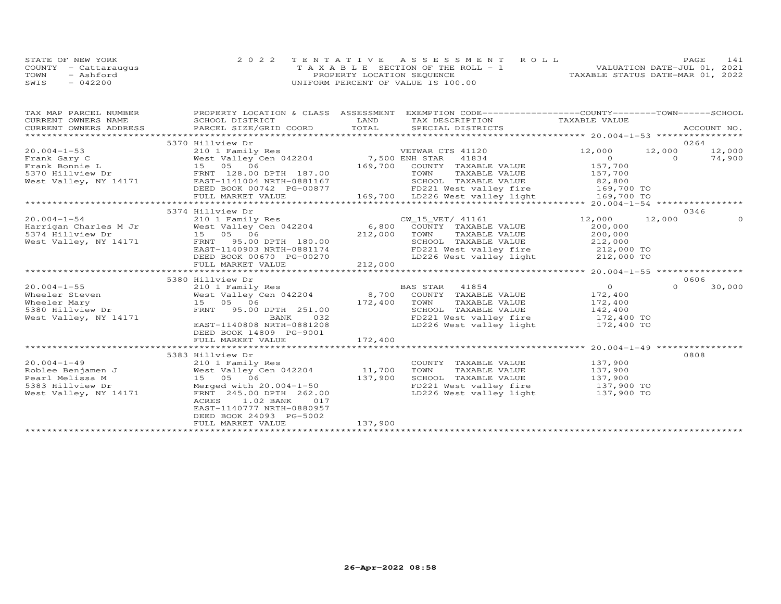| STATE OF NEW YORK    | 2022 TENTATIVE ASSESSMENT ROLL        | PAGE.                            | 141 |
|----------------------|---------------------------------------|----------------------------------|-----|
| COUNTY - Cattaraugus | T A X A B L E SECTION OF THE ROLL - 1 | VALUATION DATE-JUL 01, 2021      |     |
| TOWN<br>- Ashford    | PROPERTY LOCATION SEQUENCE            | TAXABLE STATUS DATE-MAR 01, 2022 |     |
| $-042200$<br>SWIS    | UNIFORM PERCENT OF VALUE IS 100.00    |                                  |     |

| TAX MAP PARCEL NUMBER  | PROPERTY LOCATION & CLASS ASSESSMENT EXEMPTION CODE----------------COUNTY-------TOWN------SCHOOL      |                     |                                   |                                                       |          |             |
|------------------------|-------------------------------------------------------------------------------------------------------|---------------------|-----------------------------------|-------------------------------------------------------|----------|-------------|
| CURRENT OWNERS NAME    | SCHOOL DISTRICT                                                                                       | LAND                | TAX DESCRIPTION                   | TAXABLE VALUE                                         |          |             |
| CURRENT OWNERS ADDRESS | PARCEL SIZE/GRID COORD                                                                                | TOTAL               | SPECIAL DISTRICTS                 |                                                       |          | ACCOUNT NO. |
|                        |                                                                                                       |                     |                                   |                                                       |          |             |
|                        | 5370 Hillview Dr                                                                                      |                     |                                   |                                                       | 0264     |             |
| $20.004 - 1 - 53$      | 210 1 Family Res                                                                                      |                     | VETWAR CTS 41120                  | 12,000                                                | 12,000   | 12,000      |
| Frank Gary C           | West Valley Cen 042204 7,500 ENH STAR                                                                 |                     | 41834                             | $\overline{O}$                                        | $\Omega$ | 74,900      |
|                        | Frank Gary $\cup$<br>Frank Bonnie L<br>Allen Bonnie L (198.00 DPTH 187.00)<br>FRNT 128.00 DPTH 187.00 | 169,700             | COUNTY TAXABLE VALUE              | 157,700                                               |          |             |
|                        |                                                                                                       |                     | TOWN<br>TAXABLE VALUE             | 157,700                                               |          |             |
| West Valley, NY 14171  | EAST-1141004 NRTH-0881167                                                                             |                     | SCHOOL TAXABLE VALUE              | 82,800                                                |          |             |
|                        | DEED BOOK 00742 PG-00877                                                                              |                     | FD221 West valley fire 169,700 TO |                                                       |          |             |
|                        | FULL MARKET VALUE                                                                                     |                     | 169,700 LD226 West valley light   | 169,700 TO                                            |          |             |
|                        |                                                                                                       |                     |                                   |                                                       |          |             |
|                        | 5374 Hillview Dr                                                                                      |                     |                                   |                                                       | 0346     |             |
| $20.004 - 1 - 54$      | 210 1 Family Res                                                                                      |                     | CW_15_VET/ 41161                  | 12,000                                                | 12,000   | $\Omega$    |
| Harrigan Charles M Jr  | West Valley Cen 042204                                                                                | 6,800               | COUNTY TAXABLE VALUE              | 200,000                                               |          |             |
| 5374 Hillview Dr       | 15 05 06                                                                                              | 212,000             | TOWN<br>TAXABLE VALUE             | 200,000                                               |          |             |
| West Valley, NY 14171  | FRNT 95.00 DPTH 180.00                                                                                |                     | SCHOOL TAXABLE VALUE              | 212,000                                               |          |             |
|                        | EAST-1140903 NRTH-0881174                                                                             |                     | FD221 West valley fire 212,000 TO |                                                       |          |             |
|                        | DEED BOOK 00670 PG-00270                                                                              |                     | LD226 West valley light           | 212,000 TO                                            |          |             |
|                        | FULL MARKET VALUE                                                                                     | 212,000             |                                   |                                                       |          |             |
|                        |                                                                                                       | ******************* |                                   | *********************** 20.004-1-55 ***************** |          |             |
|                        | 5380 Hillview Dr                                                                                      |                     |                                   |                                                       | 0606     |             |
| $20.004 - 1 - 55$      | 210 1 Family Res                                                                                      |                     | BAS STAR 41854                    | $\Omega$                                              | $\Omega$ | 30,000      |
| Wheeler Steven         | West Valley Cen 042204                                                                                |                     | 8,700 COUNTY TAXABLE VALUE        | 172,400                                               |          |             |
| Wheeler Mary           | 15 05 06                                                                                              | 172,400             | TOWN<br>TAXABLE VALUE             | 172,400                                               |          |             |
| 5380 Hillview Dr       | FRNT 95.00 DPTH 251.00                                                                                |                     | SCHOOL TAXABLE VALUE              | 142,400                                               |          |             |
| West Valley, NY 14171  | 032<br>BANK                                                                                           |                     | FD221 West valley fire            | 172,400 TO                                            |          |             |
|                        | EAST-1140808 NRTH-0881208                                                                             |                     | LD226 West valley light           | 172,400 TO                                            |          |             |
|                        | DEED BOOK 14809 PG-9001                                                                               |                     |                                   |                                                       |          |             |
|                        | FULL MARKET VALUE                                                                                     | 172,400             |                                   |                                                       |          |             |
|                        |                                                                                                       |                     |                                   |                                                       |          |             |
|                        | 5383 Hillview Dr                                                                                      |                     |                                   |                                                       | 0808     |             |
| $20.004 - 1 - 49$      | 210 1 Family Res                                                                                      |                     | COUNTY TAXABLE VALUE 137,900      |                                                       |          |             |
| Roblee Benjamen J      | West Valley Cen 042204                                                                                | 11,700              | TOWN<br>TAXABLE VALUE             | 137,900                                               |          |             |
| Pearl Melissa M        | 15 05 06                                                                                              | 137,900             | SCHOOL TAXABLE VALUE              | 137,900<br>137,900 TO                                 |          |             |
| 5383 Hillview Dr       | Merged with 20.004-1-50                                                                               |                     | FD221 West valley fire            |                                                       |          |             |
| West Valley, NY 14171  | FRNT 245.00 DPTH 262.00                                                                               |                     | LD226 West valley light           | 137,900 TO                                            |          |             |
|                        | ACRES<br>1.02 BANK<br>017                                                                             |                     |                                   |                                                       |          |             |
|                        | EAST-1140777 NRTH-0880957                                                                             |                     |                                   |                                                       |          |             |
|                        | DEED BOOK 24093 PG-5002                                                                               |                     |                                   |                                                       |          |             |
|                        | FULL MARKET VALUE                                                                                     | 137,900             |                                   |                                                       |          |             |
|                        |                                                                                                       |                     |                                   |                                                       |          |             |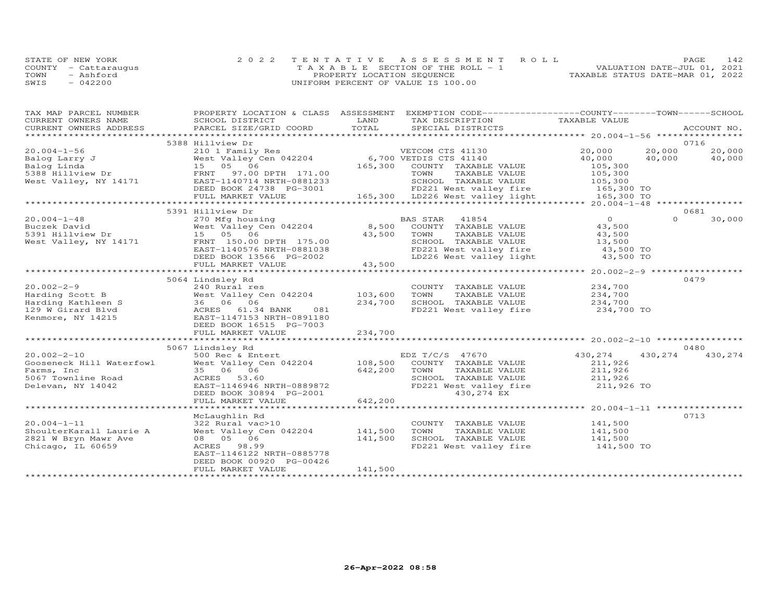| STATE OF NEW YORK    | 2022 TENTATIVE ASSESSMENT ROLL     | PAGE.                            | 142 |
|----------------------|------------------------------------|----------------------------------|-----|
| COUNTY - Cattaraugus | TAXABLE SECTION OF THE ROLL - 1    | VALUATION DATE-JUL 01, 2021      |     |
| TOWN<br>- Ashford    | PROPERTY LOCATION SEQUENCE         | TAXABLE STATUS DATE-MAR 01, 2022 |     |
| $-042200$<br>SWIS    | UNIFORM PERCENT OF VALUE IS 100.00 |                                  |     |

| PROPERTY LOCATION & CLASS ASSESSMENT EXEMPTION CODE----------------COUNTY-------TOWN------SCHOOL |
|--------------------------------------------------------------------------------------------------|
|                                                                                                  |
| ACCOUNT NO.                                                                                      |
| 0716                                                                                             |
| 20,000                                                                                           |
| 40,000                                                                                           |
|                                                                                                  |
|                                                                                                  |
|                                                                                                  |
|                                                                                                  |
|                                                                                                  |
|                                                                                                  |
| 0681                                                                                             |
| 30,000                                                                                           |
|                                                                                                  |
|                                                                                                  |
|                                                                                                  |
|                                                                                                  |
|                                                                                                  |
|                                                                                                  |
| *********** 20.002-2-9 *****************                                                         |
| 0479                                                                                             |
|                                                                                                  |
|                                                                                                  |
|                                                                                                  |
|                                                                                                  |
|                                                                                                  |
|                                                                                                  |
|                                                                                                  |
|                                                                                                  |
| 0480                                                                                             |
| 430,274                                                                                          |
|                                                                                                  |
|                                                                                                  |
|                                                                                                  |
|                                                                                                  |
|                                                                                                  |
|                                                                                                  |
|                                                                                                  |
| 0713                                                                                             |
|                                                                                                  |
|                                                                                                  |
|                                                                                                  |
|                                                                                                  |
|                                                                                                  |
|                                                                                                  |
|                                                                                                  |
| 20,000<br>40,000<br>$\Omega$<br>430,274                                                          |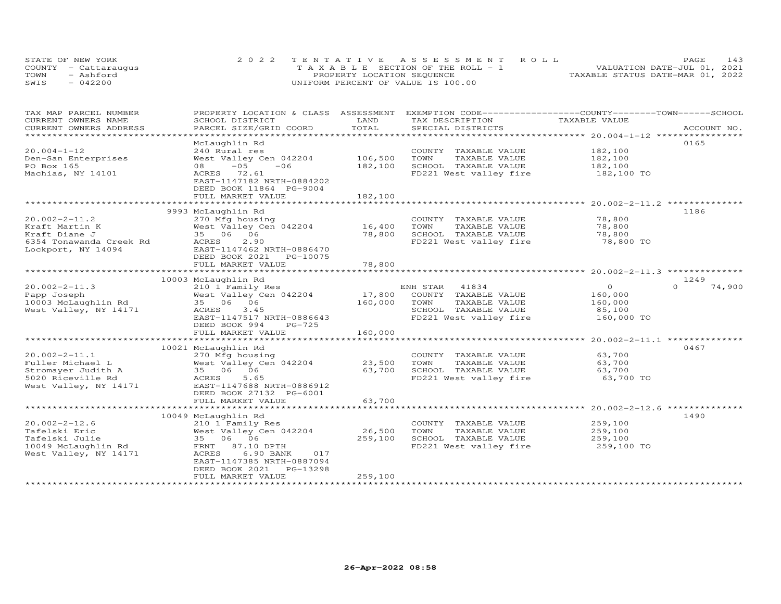|      | STATE OF NEW YORK    | 2022 TENTATIVE ASSESSMENT ROLL        | 143<br>PAGE.                     |
|------|----------------------|---------------------------------------|----------------------------------|
|      | COUNTY - Cattaraugus | T A X A B L E SECTION OF THE ROLL - 1 | VALUATION DATE-JUL 01, 2021      |
| TOWN | - Ashford            | PROPERTY LOCATION SEQUENCE            | TAXABLE STATUS DATE-MAR 01, 2022 |
| SWIS | $-042200$            | UNIFORM PERCENT OF VALUE IS 100.00    |                                  |

| TAX MAP PARCEL NUMBER                         | PROPERTY LOCATION & CLASS ASSESSMENT |               | EXEMPTION CODE-----------------COUNTY-------TOWN------SCHOOL |                |                    |
|-----------------------------------------------|--------------------------------------|---------------|--------------------------------------------------------------|----------------|--------------------|
| CURRENT OWNERS NAME<br>CURRENT OWNERS ADDRESS | SCHOOL DISTRICT                      | LAND<br>TOTAL | TAX DESCRIPTION                                              | TAXABLE VALUE  |                    |
|                                               | PARCEL SIZE/GRID COORD               | ************  | SPECIAL DISTRICTS                                            |                | ACCOUNT NO.        |
|                                               | McLaughlin Rd                        |               |                                                              |                | 0165               |
| $20.004 - 1 - 12$                             | 240 Rural res                        |               |                                                              | 182,100        |                    |
|                                               |                                      |               | COUNTY TAXABLE VALUE                                         |                |                    |
| Den-San Enterprises                           | West Valley Cen 042204               | 106,500       | TOWN<br>TAXABLE VALUE                                        | 182,100        |                    |
| PO Box 165                                    | $-05$<br>$-06$<br>08                 | 182,100       | SCHOOL TAXABLE VALUE                                         | 182,100        |                    |
| Machias, NY 14101                             | ACRES 72.61                          |               | FD221 West valley fire                                       | 182,100 TO     |                    |
|                                               | EAST-1147182 NRTH-0884202            |               |                                                              |                |                    |
|                                               | DEED BOOK 11864 PG-9004              |               |                                                              |                |                    |
|                                               | FULL MARKET VALUE                    | 182,100       |                                                              |                |                    |
|                                               |                                      |               |                                                              |                |                    |
|                                               | 9993 McLaughlin Rd                   |               |                                                              |                | 1186               |
| $20.002 - 2 - 11.2$                           | 270 Mfg housing                      |               | COUNTY TAXABLE VALUE                                         | 78,800         |                    |
| Kraft Martin K                                | West Valley Cen 042204               | 16,400        | TOWN<br>TAXABLE VALUE                                        | 78,800         |                    |
| Kraft Diane J                                 | 35 06 06                             | 78,800        | SCHOOL TAXABLE VALUE                                         | 78,800         |                    |
| 6354 Tonawanda Creek Rd                       | 2.90<br>ACRES                        |               | FD221 West valley fire                                       | 78,800 TO      |                    |
| Lockport, NY 14094                            | EAST-1147462 NRTH-0886470            |               |                                                              |                |                    |
|                                               | DEED BOOK 2021<br>PG-10075           |               |                                                              |                |                    |
|                                               | FULL MARKET VALUE                    | 78,800        |                                                              |                |                    |
|                                               |                                      |               |                                                              |                |                    |
|                                               | 10003 McLaughlin Rd                  |               |                                                              |                | 1249               |
| $20.002 - 2 - 11.3$                           | 210 1 Family Res                     |               | ENH STAR<br>41834                                            | $\overline{0}$ | $\Omega$<br>74,900 |
| Papp Joseph                                   | West Valley Cen 042204               | 17,800        | COUNTY TAXABLE VALUE                                         | 160,000        |                    |
| 10003 McLaughlin Rd                           | 35 06 06                             | 160,000       | TOWN<br>TAXABLE VALUE                                        | 160,000        |                    |
| West Valley, NY 14171                         | 3.45<br>ACRES                        |               | SCHOOL TAXABLE VALUE                                         | 85,100         |                    |
|                                               | EAST-1147517 NRTH-0886643            |               | FD221 West valley fire                                       | 160,000 TO     |                    |
|                                               | DEED BOOK 994<br>$PG-725$            |               |                                                              |                |                    |
|                                               | FULL MARKET VALUE                    | 160,000       |                                                              |                |                    |
|                                               |                                      |               |                                                              |                |                    |
|                                               | 10021 McLaughlin Rd                  |               |                                                              |                | 0467               |
| $20.002 - 2 - 11.1$                           | 270 Mfg housing                      |               | COUNTY TAXABLE VALUE                                         | 63,700         |                    |
| Fuller Michael L                              | West Valley Cen 042204               | 23,500        | TOWN<br>TAXABLE VALUE                                        | 63,700         |                    |
| Stromayer Judith A                            | 35 06 06                             | 63,700        | SCHOOL TAXABLE VALUE                                         | 63,700         |                    |
| 5020 Riceville Rd                             | ACRES<br>5.65                        |               | FD221 West valley fire                                       | 63,700 TO      |                    |
| West Valley, NY 14171                         | EAST-1147688 NRTH-0886912            |               |                                                              |                |                    |
|                                               | DEED BOOK 27132 PG-6001              |               |                                                              |                |                    |
|                                               | FULL MARKET VALUE                    | 63,700        |                                                              |                |                    |
|                                               |                                      |               |                                                              |                |                    |
|                                               | 10049 McLaughlin Rd                  |               |                                                              |                | 1490               |
| $20.002 - 2 - 12.6$                           | 210 1 Family Res                     |               | COUNTY TAXABLE VALUE                                         | 259,100        |                    |
| Tafelski Eric                                 | West Valley Cen 042204               | 26,500        | TOWN<br>TAXABLE VALUE                                        | 259,100        |                    |
| Tafelski Julie                                | 35 06 06                             | 259,100       | SCHOOL TAXABLE VALUE                                         | 259,100        |                    |
| 10049 McLaughlin Rd                           | FRNT 87.10 DPTH                      |               | FD221 West valley fire                                       | 259,100 TO     |                    |
| West Valley, NY 14171                         | ACRES<br>6.90 BANK<br>017            |               |                                                              |                |                    |
|                                               | EAST-1147385 NRTH-0887094            |               |                                                              |                |                    |
|                                               | DEED BOOK 2021<br>PG-13298           |               |                                                              |                |                    |
|                                               | FULL MARKET VALUE                    | 259,100       |                                                              |                |                    |
|                                               |                                      |               |                                                              |                |                    |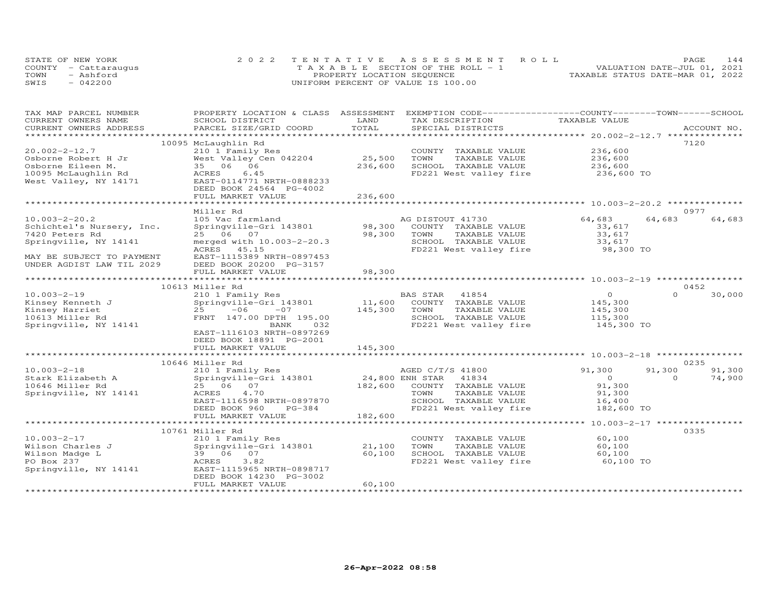| STATE OF NEW YORK    | 2022 TENTATIVE ASSESSMENT ROLL        |                            |  |                                  | PAGE. | 144 |
|----------------------|---------------------------------------|----------------------------|--|----------------------------------|-------|-----|
| COUNTY - Cattaraugus | T A X A B L E SECTION OF THE ROLL - 1 |                            |  | VALUATION DATE-JUL 01, 2021      |       |     |
| TOWN<br>- Ashford    |                                       | PROPERTY LOCATION SEQUENCE |  | TAXABLE STATUS DATE-MAR 01, 2022 |       |     |
| $-042200$<br>SWIS    | UNIFORM PERCENT OF VALUE IS 100.00    |                            |  |                                  |       |     |

| TAX MAP PARCEL NUMBER     | PROPERTY LOCATION & CLASS ASSESSMENT |                  | EXEMPTION CODE------------------COUNTY-------TOWN------SCHOOL |                                                       |                    |
|---------------------------|--------------------------------------|------------------|---------------------------------------------------------------|-------------------------------------------------------|--------------------|
| CURRENT OWNERS NAME       | SCHOOL DISTRICT                      | LAND             | TAX DESCRIPTION                                               | TAXABLE VALUE                                         |                    |
| CURRENT OWNERS ADDRESS    | PARCEL SIZE/GRID COORD               | TOTAL            | SPECIAL DISTRICTS                                             |                                                       | ACCOUNT NO.        |
| *********************     |                                      |                  |                                                               |                                                       |                    |
|                           | 10095 McLaughlin Rd                  |                  |                                                               |                                                       | 7120               |
| $20.002 - 2 - 12.7$       | 210 1 Family Res                     |                  | COUNTY TAXABLE VALUE                                          | 236,600                                               |                    |
| Osborne Robert H Jr       | West Valley Cen 042204               | 25,500           | TOWN<br>TAXABLE VALUE                                         | 236,600                                               |                    |
| Osborne Eileen M.         | 35 06 06                             | 236,600          | SCHOOL TAXABLE VALUE                                          | 236,600                                               |                    |
| 10095 McLaughlin Rd       | ACRES<br>6.45                        |                  | FD221 West valley fire                                        | 236,600 TO                                            |                    |
| West Valley, NY 14171     | EAST-0114771 NRTH-0888233            |                  |                                                               |                                                       |                    |
|                           | DEED BOOK 24564 PG-4002              |                  |                                                               |                                                       |                    |
|                           | FULL MARKET VALUE                    | 236,600          |                                                               |                                                       |                    |
|                           |                                      |                  |                                                               |                                                       |                    |
|                           | Miller Rd                            |                  |                                                               |                                                       | 0977               |
| $10.003 - 2 - 20.2$       | 105 Vac farmland                     |                  | AG DISTOUT 41730                                              | 64,683                                                | 64,683<br>64,683   |
| Schichtel's Nursery, Inc. | Springville-Gri 143801               | 98,300           | COUNTY TAXABLE VALUE                                          | 33,617                                                |                    |
| 7420 Peters Rd            | 25 06 07                             | 98,300           | TOWN<br>TAXABLE VALUE                                         | 33,617                                                |                    |
| Springville, NY 14141     | merged with 10.003-2-20.3            |                  | SCHOOL TAXABLE VALUE                                          | 33,617                                                |                    |
|                           | ACRES 45.15                          |                  | FD221 West valley fire                                        | 98,300 TO                                             |                    |
| MAY BE SUBJECT TO PAYMENT | EAST-1115389 NRTH-0897453            |                  |                                                               |                                                       |                    |
| UNDER AGDIST LAW TIL 2029 | DEED BOOK 20200 PG-3157              |                  |                                                               |                                                       |                    |
|                           | FULL MARKET VALUE                    | 98,300           |                                                               |                                                       |                    |
|                           |                                      | **********       |                                                               | *********************** 10.003-2-19 ***************** |                    |
|                           | 10613 Miller Rd                      |                  |                                                               |                                                       | 0452               |
| $10.003 - 2 - 19$         | 210 1 Family Res                     |                  | BAS STAR<br>41854                                             | $\Omega$                                              | $\Omega$<br>30,000 |
| Kinsey Kenneth J          | Springville-Gri 143801               | 11,600           | COUNTY TAXABLE VALUE                                          | 145,300                                               |                    |
| Kinsey Harriet            | 25<br>$-06$<br>$-07$                 | 145,300          | TAXABLE VALUE<br>TOWN                                         | 145,300                                               |                    |
| 10613 Miller Rd           | FRNT 147.00 DPTH 195.00              |                  | SCHOOL TAXABLE VALUE                                          | 115,300                                               |                    |
| Springville, NY 14141     | BANK<br>032                          |                  | FD221 West valley fire                                        | 145,300 TO                                            |                    |
|                           | EAST-1116103 NRTH-0897269            |                  |                                                               |                                                       |                    |
|                           | DEED BOOK 18891 PG-2001              |                  |                                                               |                                                       |                    |
|                           | FULL MARKET VALUE                    | 145,300          |                                                               |                                                       |                    |
|                           |                                      |                  |                                                               |                                                       |                    |
|                           | 10646 Miller Rd                      |                  |                                                               |                                                       | 0235               |
| $10.003 - 2 - 18$         | 210 1 Family Res                     |                  | AGED C/T/S 41800                                              | 91,300                                                | 91,300<br>91,300   |
| Stark Elizabeth A         | Springville-Gri 143801               |                  | 24,800 ENH STAR<br>41834                                      | $\Omega$                                              | 74,900<br>$\Omega$ |
| 10646 Miller Rd           | 25 06 07                             | 182,600          | COUNTY TAXABLE VALUE                                          | 91,300                                                |                    |
| Springville, NY 14141     | ACRES<br>4.70                        |                  | TOWN<br>TAXABLE VALUE                                         | 91,300                                                |                    |
|                           | EAST-1116598 NRTH-0897870            |                  | SCHOOL TAXABLE VALUE                                          | 16,400                                                |                    |
|                           | DEED BOOK 960<br>$PG-384$            |                  | FD221 West valley fire                                        | 182,600 TO                                            |                    |
|                           | FULL MARKET VALUE                    | 182,600          |                                                               |                                                       |                    |
|                           |                                      |                  |                                                               | ******* 10.003-2-17 *****************                 |                    |
|                           | 10761 Miller Rd                      |                  |                                                               |                                                       | 0335               |
| $10.003 - 2 - 17$         | 210 1 Family Res                     |                  | COUNTY TAXABLE VALUE                                          | 60,100                                                |                    |
|                           |                                      |                  | TOWN                                                          |                                                       |                    |
| Wilson Charles J          | Springville-Gri 143801               | 21,100<br>60,100 | TAXABLE VALUE                                                 | 60,100                                                |                    |
| Wilson Madge L            | 39 06 07                             |                  | SCHOOL TAXABLE VALUE                                          | 60,100                                                |                    |
| PO Box 237                | 3.82<br>ACRES                        |                  | FD221 West valley fire                                        | 60,100 TO                                             |                    |
| Springville, NY 14141     | EAST-1115965 NRTH-0898717            |                  |                                                               |                                                       |                    |
|                           | DEED BOOK 14230 PG-3002              |                  |                                                               |                                                       |                    |
|                           | FULL MARKET VALUE                    | 60,100           |                                                               |                                                       |                    |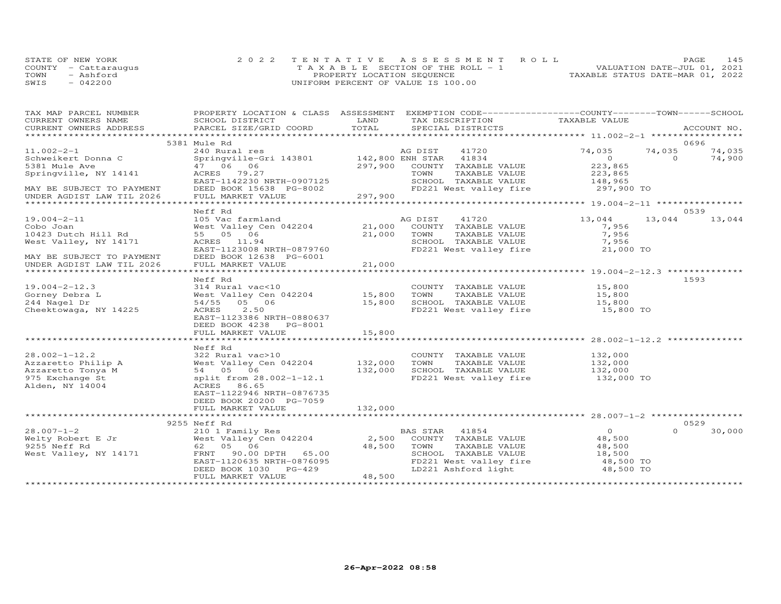| STATE OF NEW YORK    | 2022 TENTATIVE ASSESSMENT ROLL        | PAGE.                            | 145 |
|----------------------|---------------------------------------|----------------------------------|-----|
| COUNTY - Cattaraugus | T A X A B L E SECTION OF THE ROLL - 1 | VALUATION DATE-JUL 01, 2021      |     |
| - Ashford<br>TOWN    | PROPERTY LOCATION SEQUENCE            | TAXABLE STATUS DATE-MAR 01, 2022 |     |
| SWIS<br>$-042200$    | UNIFORM PERCENT OF VALUE IS 100.00    |                                  |     |

| TAX MAP PARCEL NUMBER                 |                                               |         | PROPERTY LOCATION & CLASS ASSESSMENT EXEMPTION CODE----------------COUNTY-------TOWN------SCHOOL |                       |          |             |
|---------------------------------------|-----------------------------------------------|---------|--------------------------------------------------------------------------------------------------|-----------------------|----------|-------------|
| CURRENT OWNERS NAME                   | SCHOOL DISTRICT                               | LAND    | TAX DESCRIPTION                                                                                  | TAXABLE VALUE         |          |             |
| CURRENT OWNERS ADDRESS                | PARCEL SIZE/GRID COORD                        | TOTAL   | SPECIAL DISTRICTS                                                                                |                       |          | ACCOUNT NO. |
|                                       |                                               |         |                                                                                                  |                       |          |             |
|                                       | 5381 Mule Rd                                  |         |                                                                                                  |                       |          | 0696        |
| $11.002 - 2 - 1$                      | 240 Rural res                                 |         | AG DIST<br>41720                                                                                 | 74,035                | 74,035   | 74,035      |
| Schweikert Donna C                    | Springville-Gri 143801 142,800 ENH STAR 41834 |         |                                                                                                  | $\overline{O}$        | $\Omega$ | 74,900      |
| 5381 Mule Ave                         | 47 06 06                                      | 297,900 | COUNTY TAXABLE VALUE                                                                             | 223,865               |          |             |
| Springville, NY 14141                 | ACRES 79.27                                   |         | TAXABLE VALUE<br>TOWN                                                                            | 223,865               |          |             |
|                                       | EAST-1142230 NRTH-0907125                     |         | SCHOOL TAXABLE VALUE                                                                             |                       |          |             |
| MAY BE SUBJECT TO PAYMENT             | DEED BOOK 15638 PG-8002                       |         | FD221 West valley fire                                                                           | 148,965<br>297,900 TO |          |             |
| UNDER AGDIST LAW TIL 2026             | FULL MARKET VALUE                             | 297,900 |                                                                                                  |                       |          |             |
|                                       |                                               |         |                                                                                                  |                       |          |             |
|                                       | Neff Rd                                       |         |                                                                                                  |                       |          | 0539        |
| $19.004 - 2 - 11$                     | 105 Vac farmland                              |         | AG DIST<br>41720                                                                                 | 13,044                | 13,044   | 13,044      |
| Cobo Joan                             | West Valley Cen 042204                        | 21,000  | COUNTY TAXABLE VALUE                                                                             | 7,956                 |          |             |
| 10423 Dutch Hill Rd                   | 55 05 06                                      | 21,000  | TOWN<br>TAXABLE VALUE                                                                            | 7,956                 |          |             |
| West Valley, NY 14171                 | ACRES 11.94                                   |         | SCHOOL TAXABLE VALUE                                                                             | 7,956                 |          |             |
|                                       | EAST-1123008 NRTH-0879760                     |         | FD221 West valley fire                                                                           | 21,000 TO             |          |             |
| MAY BE SUBJECT TO PAYMENT             | DEED BOOK 12638 PG-6001                       |         |                                                                                                  |                       |          |             |
|                                       |                                               | 21,000  |                                                                                                  |                       |          |             |
| UNDER AGDIST LAW TIL 2026             | FULL MARKET VALUE                             |         |                                                                                                  |                       |          |             |
|                                       |                                               |         |                                                                                                  |                       |          |             |
|                                       | Neff Rd                                       |         |                                                                                                  |                       |          | 1593        |
| $19.004 - 2 - 12.3$                   | 314 Rural vac<10                              |         | COUNTY TAXABLE VALUE                                                                             | 15,800                |          |             |
| Gorney Debra L                        | West Valley Cen 042204                        | 15,800  | TOWN<br>TAXABLE VALUE                                                                            | 15,800                |          |             |
| 244 Nagel Dr                          | 54/55 05 06                                   | 15,800  | SCHOOL TAXABLE VALUE                                                                             | 15,800                |          |             |
| Cheektowaga, NY 14225                 | ACRES 2.50                                    |         | FD221 West valley fire                                                                           | 15,800 TO             |          |             |
|                                       | EAST-1123386 NRTH-0880637                     |         |                                                                                                  |                       |          |             |
|                                       | DEED BOOK 4238 PG-8001                        |         |                                                                                                  |                       |          |             |
|                                       | FULL MARKET VALUE                             | 15,800  |                                                                                                  |                       |          |             |
|                                       |                                               |         |                                                                                                  |                       |          |             |
|                                       | Neff Rd                                       |         |                                                                                                  |                       |          |             |
| $28.002 - 1 - 12.2$                   | 322 Rural vac>10                              |         | COUNTY TAXABLE VALUE                                                                             | 132,000               |          |             |
| Azzaretto Philip A                    | West Valley Cen 042204 132,000                |         | TAXABLE VALUE<br>TOWN                                                                            | 132,000<br>132,000    |          |             |
| Azzaretto Tonya M                     | 54 05 06                                      | 132,000 | SCHOOL TAXABLE VALUE                                                                             |                       |          |             |
| 975 Exchange St                       | split from 28.002-1-12.1                      |         | FD221 West valley fire 132,000 TO                                                                |                       |          |             |
| Alden, NY 14004                       | ACRES 86.65                                   |         |                                                                                                  |                       |          |             |
|                                       | EAST-1122946 NRTH-0876735                     |         |                                                                                                  |                       |          |             |
|                                       | DEED BOOK 20200 PG-7059                       |         |                                                                                                  |                       |          |             |
|                                       | FULL MARKET VALUE                             | 132,000 |                                                                                                  |                       |          |             |
|                                       |                                               |         |                                                                                                  |                       |          |             |
|                                       | 9255 Neff Rd                                  |         |                                                                                                  |                       |          | 0529        |
| $28.007 - 1 - 2$                      | 210 1 Family Res                              |         | BAS STAR 41854                                                                                   | $\overline{O}$        | $\Omega$ | 30,000      |
| Welty Robert E Jr                     | West Valley Cen 042204                        | 2,500   | COUNTY TAXABLE VALUE                                                                             | 48,500                |          |             |
|                                       | 62 05 06                                      |         | TOWN                                                                                             |                       |          |             |
| 9255 Neff Rd<br>West Valley, NY 14171 |                                               | 48,500  | TAXABLE VALUE                                                                                    | 48,500                |          |             |
|                                       | FRNT 90.00 DPTH 65.00                         |         | SCHOOL TAXABLE VALUE                                                                             | 18,500                |          |             |
|                                       | EAST-1120635 NRTH-0876095                     |         | FD221 West valley fire<br>LD221 Ashford light                                                    | 48,500 TO             |          |             |
|                                       | DEED BOOK 1030 PG-429                         |         |                                                                                                  | 48,500 TO             |          |             |
|                                       | FULL MARKET VALUE                             | 48,500  |                                                                                                  |                       |          |             |
|                                       |                                               |         |                                                                                                  |                       |          |             |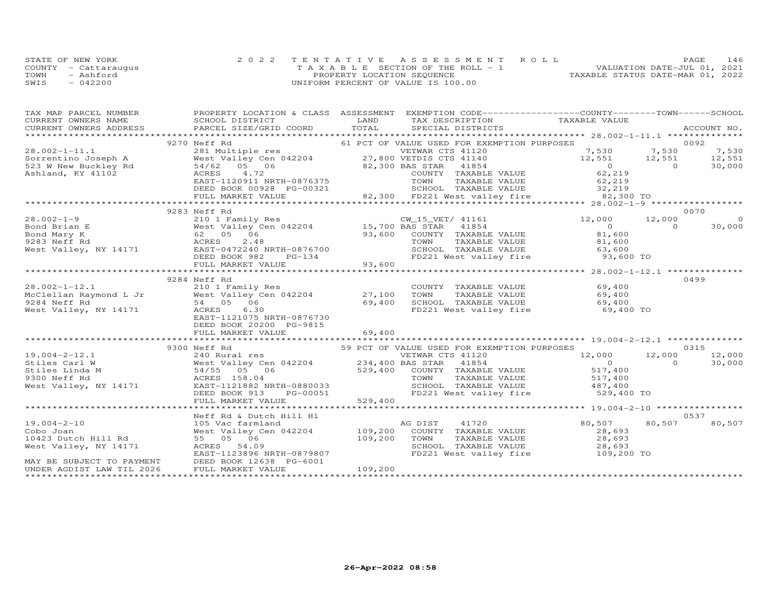|      | STATE OF NEW YORK    | 2022 TENTATIVE ASSESSMENT ROLL             | 146<br>PAGE                      |
|------|----------------------|--------------------------------------------|----------------------------------|
|      | COUNTY - Cattaraugus | $T A X A B I E E$ SECTION OF THE ROLL $-1$ | VALUATION DATE-JUL 01, 2021      |
| TOWN | - Ashford            | PROPERTY LOCATION SEQUENCE                 | TAXABLE STATUS DATE-MAR 01, 2022 |
| SWIS | $-042200$            | UNIFORM PERCENT OF VALUE IS 100.00         |                                  |

| TAX MAP PARCEL NUMBER     | PROPERTY LOCATION & CLASS ASSESSMENT EXEMPTION CODE----------------COUNTY-------TOWN------SCHOOL                                                                                                                                                       |         |                                                                                                                                                                                                                 |               |      |        |
|---------------------------|--------------------------------------------------------------------------------------------------------------------------------------------------------------------------------------------------------------------------------------------------------|---------|-----------------------------------------------------------------------------------------------------------------------------------------------------------------------------------------------------------------|---------------|------|--------|
|                           |                                                                                                                                                                                                                                                        |         |                                                                                                                                                                                                                 |               |      |        |
|                           | 3270 Nef Rd<br>3270 Nef Rd<br>3270 Nef Rd<br>3270 Nef Rd<br>3270 Nef Rd<br>3270 Nef Rd<br>3270 Net Value Cen<br>327,800 VETNIS CTS 41120<br>32,800 NET CF VALUE USED FOR EXEMPTION PURPOSES<br>32,300 NET CTS 41120<br>32,300 BAS STAR<br>32,300 BAS   |         |                                                                                                                                                                                                                 |               |      |        |
|                           |                                                                                                                                                                                                                                                        |         |                                                                                                                                                                                                                 |               |      |        |
|                           |                                                                                                                                                                                                                                                        |         |                                                                                                                                                                                                                 |               |      |        |
|                           |                                                                                                                                                                                                                                                        |         |                                                                                                                                                                                                                 |               |      |        |
|                           |                                                                                                                                                                                                                                                        |         |                                                                                                                                                                                                                 |               |      |        |
|                           |                                                                                                                                                                                                                                                        |         |                                                                                                                                                                                                                 |               |      |        |
|                           |                                                                                                                                                                                                                                                        |         |                                                                                                                                                                                                                 |               |      |        |
|                           |                                                                                                                                                                                                                                                        |         |                                                                                                                                                                                                                 |               |      |        |
|                           |                                                                                                                                                                                                                                                        |         |                                                                                                                                                                                                                 |               |      |        |
|                           | 9283 Neff Rd                                                                                                                                                                                                                                           |         |                                                                                                                                                                                                                 |               | 0070 |        |
|                           |                                                                                                                                                                                                                                                        |         |                                                                                                                                                                                                                 |               |      |        |
|                           |                                                                                                                                                                                                                                                        |         |                                                                                                                                                                                                                 |               |      |        |
|                           |                                                                                                                                                                                                                                                        |         |                                                                                                                                                                                                                 |               |      |        |
|                           |                                                                                                                                                                                                                                                        |         |                                                                                                                                                                                                                 |               |      |        |
|                           |                                                                                                                                                                                                                                                        |         |                                                                                                                                                                                                                 |               |      |        |
|                           |                                                                                                                                                                                                                                                        |         |                                                                                                                                                                                                                 |               |      |        |
|                           |                                                                                                                                                                                                                                                        |         |                                                                                                                                                                                                                 |               |      |        |
|                           |                                                                                                                                                                                                                                                        |         |                                                                                                                                                                                                                 |               |      |        |
|                           | 9284 Neff Rd                                                                                                                                                                                                                                           |         |                                                                                                                                                                                                                 |               |      | 0499   |
|                           |                                                                                                                                                                                                                                                        |         |                                                                                                                                                                                                                 |               |      |        |
|                           |                                                                                                                                                                                                                                                        |         |                                                                                                                                                                                                                 |               |      |        |
|                           | 28.002-1-12.1 210 1 Family Res<br>McClellan Raymond L Jr West Valley Cen 042204 27,100 TOWN<br>9284 Neff Rd 54 05 06<br>West Valley, NY 14171 ACRES 6.30 69,400 SCHOOL<br>Mest Valley, NY 14171 ACRES 6.30 EAST-1121075 NRTH-0876730                   |         | Res<br>COUNTY TAXABLE VALUE 69,400<br>COUNTY TAXABLE VALUE 69,400<br>69,400<br>69,400<br>FD221 West valley fire 69,400<br>FD221 West valley fire 69,400<br>69,400<br>69,400<br>69,400<br>FD221 West valley fire |               |      |        |
|                           |                                                                                                                                                                                                                                                        |         |                                                                                                                                                                                                                 |               |      |        |
|                           | DEED BOOK 20200 PG-9815                                                                                                                                                                                                                                |         |                                                                                                                                                                                                                 |               |      |        |
|                           |                                                                                                                                                                                                                                                        |         |                                                                                                                                                                                                                 |               |      |        |
|                           |                                                                                                                                                                                                                                                        |         |                                                                                                                                                                                                                 |               |      |        |
|                           | 3300 Neff Rd<br>3300 Neff Rd<br>240 Rural res<br>240 Rural res<br>240 Rural res<br>240 Rural res<br>240 Rural res<br>234,400 BAS STAR 41854<br>234,400 BAS STAR 41854<br>234,400 BAS STAR 41854<br>234,400 BAS STAR 41854<br>234,400 RURE VALUE<br>234 |         |                                                                                                                                                                                                                 |               |      |        |
|                           |                                                                                                                                                                                                                                                        |         |                                                                                                                                                                                                                 |               |      |        |
|                           |                                                                                                                                                                                                                                                        |         |                                                                                                                                                                                                                 |               |      |        |
|                           |                                                                                                                                                                                                                                                        |         |                                                                                                                                                                                                                 |               |      |        |
|                           |                                                                                                                                                                                                                                                        |         |                                                                                                                                                                                                                 |               |      |        |
|                           |                                                                                                                                                                                                                                                        |         |                                                                                                                                                                                                                 |               |      |        |
|                           |                                                                                                                                                                                                                                                        |         |                                                                                                                                                                                                                 |               |      |        |
|                           |                                                                                                                                                                                                                                                        |         |                                                                                                                                                                                                                 |               |      |        |
|                           |                                                                                                                                                                                                                                                        |         |                                                                                                                                                                                                                 |               |      |        |
|                           | Neff Rd & Dutch Hill Hl                                                                                                                                                                                                                                |         |                                                                                                                                                                                                                 |               |      | 0537   |
|                           |                                                                                                                                                                                                                                                        |         |                                                                                                                                                                                                                 | 80,507 80,507 |      | 80,507 |
|                           |                                                                                                                                                                                                                                                        |         |                                                                                                                                                                                                                 |               |      |        |
|                           |                                                                                                                                                                                                                                                        |         |                                                                                                                                                                                                                 |               |      |        |
|                           |                                                                                                                                                                                                                                                        |         | FD221 West valley fire 109,200 TO                                                                                                                                                                               |               |      |        |
|                           |                                                                                                                                                                                                                                                        |         |                                                                                                                                                                                                                 |               |      |        |
| UNDER AGDIST LAW TIL 2026 | FULL MARKET VALUE                                                                                                                                                                                                                                      | 109,200 |                                                                                                                                                                                                                 |               |      |        |
|                           |                                                                                                                                                                                                                                                        |         |                                                                                                                                                                                                                 |               |      |        |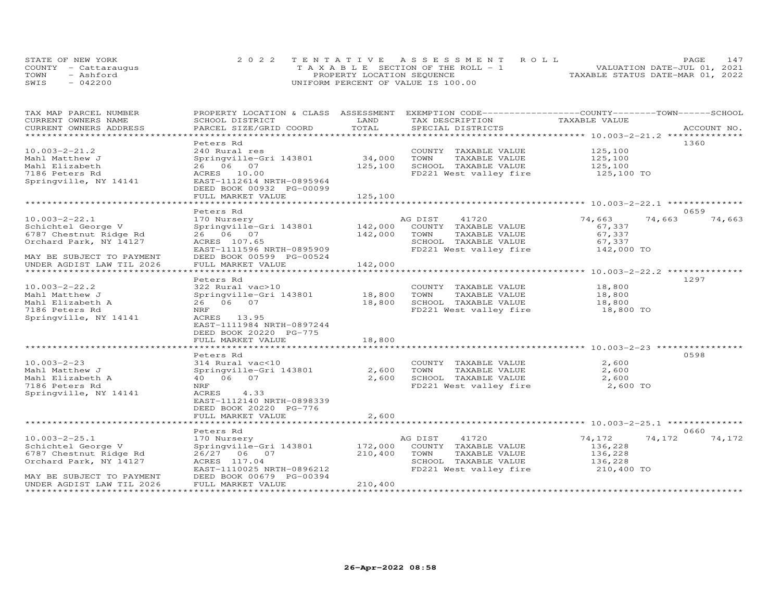| STATE OF NEW YORK    | 2022 TENTATIVE ASSESSMENT ROLL        | 147<br><b>PAGE</b>               |
|----------------------|---------------------------------------|----------------------------------|
| COUNTY - Cattaraugus | T A X A B L E SECTION OF THE ROLL - 1 | VALUATION DATE-JUL 01, 2021      |
| TOWN<br>- Ashford    | PROPERTY LOCATION SEQUENCE            | TAXABLE STATUS DATE-MAR 01, 2022 |
| SWIS<br>$-042200$    | UNIFORM PERCENT OF VALUE IS 100.00    |                                  |

| TAX MAP PARCEL NUMBER     | PROPERTY LOCATION & CLASS ASSESSMENT |         | EXEMPTION CODE-----------------COUNTY-------TOWN-----SCHOOL |                                                        |             |
|---------------------------|--------------------------------------|---------|-------------------------------------------------------------|--------------------------------------------------------|-------------|
| CURRENT OWNERS NAME       | SCHOOL DISTRICT                      | LAND    | TAX DESCRIPTION                                             | TAXABLE VALUE                                          |             |
| CURRENT OWNERS ADDRESS    | PARCEL SIZE/GRID COORD               | TOTAL   | SPECIAL DISTRICTS                                           |                                                        | ACCOUNT NO. |
| ***********************   |                                      |         |                                                             |                                                        |             |
|                           | Peters Rd                            |         |                                                             |                                                        | 1360        |
| $10.003 - 2 - 21.2$       | 240 Rural res                        |         | COUNTY TAXABLE VALUE                                        | 125,100                                                |             |
| Mahl Matthew J            | Springville-Gri 143801               | 34,000  | TOWN<br>TAXABLE VALUE                                       | 125,100                                                |             |
| Mahl Elizabeth            | 26 06 07                             | 125,100 | SCHOOL TAXABLE VALUE                                        | 125,100                                                |             |
| 7186 Peters Rd            | ACRES 10.00                          |         | FD221 West valley fire                                      | 125,100 TO                                             |             |
| Springville, NY 14141     | EAST-1112614 NRTH-0895964            |         |                                                             |                                                        |             |
|                           | DEED BOOK 00932 PG-00099             |         |                                                             |                                                        |             |
|                           |                                      | 125,100 |                                                             |                                                        |             |
|                           | FULL MARKET VALUE                    |         |                                                             |                                                        |             |
|                           |                                      |         |                                                             |                                                        |             |
|                           | Peters Rd                            |         |                                                             |                                                        | 0659        |
| $10.003 - 2 - 22.1$       | 170 Nursery                          |         | AG DIST<br>41720                                            | 74,663<br>74,663                                       | 74,663      |
| Schichtel George V        | Springville-Gri 143801               | 142,000 | COUNTY TAXABLE VALUE                                        | 67,337                                                 |             |
| 6787 Chestnut Ridge Rd    | 26 06 07                             | 142,000 | TOWN<br>TAXABLE VALUE                                       | 67,337                                                 |             |
| Orchard Park, NY 14127    | ACRES 107.65                         |         | SCHOOL TAXABLE VALUE                                        | 67,337                                                 |             |
|                           | EAST-1111596 NRTH-0895909            |         | FD221 West valley fire                                      | 142,000 TO                                             |             |
| MAY BE SUBJECT TO PAYMENT | DEED BOOK 00599 PG-00524             |         |                                                             |                                                        |             |
| UNDER AGDIST LAW TIL 2026 | FULL MARKET VALUE                    | 142,000 |                                                             |                                                        |             |
|                           |                                      |         |                                                             |                                                        |             |
|                           | Peters Rd                            |         |                                                             |                                                        | 1297        |
| $10.003 - 2 - 22.2$       | 322 Rural vac>10                     |         | COUNTY TAXABLE VALUE                                        | 18,800                                                 |             |
| Mahl Matthew J            | Springville-Gri 143801               | 18,800  | TOWN<br>TAXABLE VALUE                                       | 18,800                                                 |             |
| Mahl Elizabeth A          | 26 06 07                             | 18,800  | SCHOOL TAXABLE VALUE                                        | 18,800                                                 |             |
| 7186 Peters Rd            | NRF                                  |         | FD221 West valley fire                                      | 18,800 TO                                              |             |
| Springville, NY 14141     | ACRES 13.95                          |         |                                                             |                                                        |             |
|                           | EAST-1111984 NRTH-0897244            |         |                                                             |                                                        |             |
|                           |                                      |         |                                                             |                                                        |             |
|                           | DEED BOOK 20220 PG-775               |         |                                                             |                                                        |             |
|                           | FULL MARKET VALUE                    | 18,800  |                                                             |                                                        |             |
|                           |                                      |         |                                                             |                                                        |             |
|                           | Peters Rd                            |         |                                                             |                                                        | 0598        |
| $10.003 - 2 - 23$         | 314 Rural vac<10                     |         | COUNTY TAXABLE VALUE                                        | 2,600                                                  |             |
| Mahl Matthew J            | Springville-Gri 143801               | 2,600   | TOWN<br>TAXABLE VALUE                                       | 2,600                                                  |             |
| Mahl Elizabeth A          | 40  06  07                           | 2,600   | SCHOOL TAXABLE VALUE                                        | 2,600                                                  |             |
| 7186 Peters Rd            | NRF                                  |         | FD221 West valley fire                                      | 2,600 TO                                               |             |
| Springville, NY 14141     | ACRES<br>4.33                        |         |                                                             |                                                        |             |
|                           | EAST-1112140 NRTH-0898339            |         |                                                             |                                                        |             |
|                           | DEED BOOK 20220 PG-776               |         |                                                             |                                                        |             |
|                           | FULL MARKET VALUE                    | 2,600   |                                                             |                                                        |             |
|                           |                                      |         |                                                             | ************************ 10.003-2-25.1 *************** |             |
|                           | Peters Rd                            |         |                                                             |                                                        | 0660        |
| $10.003 - 2 - 25.1$       | 170 Nursery                          |         | 41720<br>AG DIST                                            | 74,172<br>74,172                                       | 74,172      |
| Schichtel George V        | Springville-Gri 143801               | 172,000 | COUNTY TAXABLE VALUE                                        | 136,228                                                |             |
| 6787 Chestnut Ridge Rd    | 26/27 06 07                          | 210,400 | TOWN<br>TAXABLE VALUE                                       | 136,228                                                |             |
|                           |                                      |         |                                                             |                                                        |             |
| Orchard Park, NY 14127    | ACRES 117.04                         |         | SCHOOL TAXABLE VALUE                                        | 136,228                                                |             |
|                           | EAST-1110025 NRTH-0896212            |         | FD221 West valley fire                                      | 210,400 TO                                             |             |
| MAY BE SUBJECT TO PAYMENT | DEED BOOK 00679 PG-00394             |         |                                                             |                                                        |             |
| UNDER AGDIST LAW TIL 2026 | FULL MARKET VALUE                    | 210,400 |                                                             |                                                        |             |
|                           |                                      |         |                                                             |                                                        |             |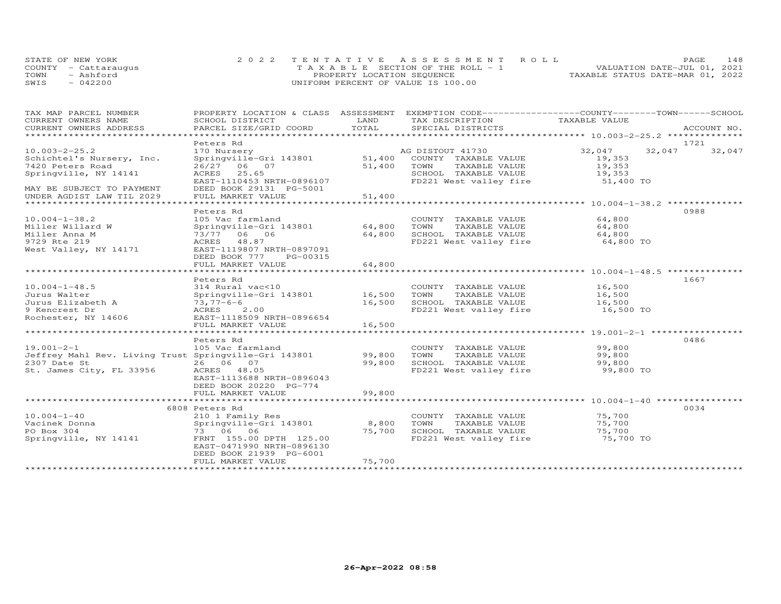|      | STATE OF NEW YORK    | 2022 TENTATIVE ASSESSMENT ROLL        | 148<br>PAGE.                     |
|------|----------------------|---------------------------------------|----------------------------------|
|      | COUNTY - Cattaraugus | T A X A B L E SECTION OF THE ROLL - 1 | VALUATION DATE-JUL 01, 2021      |
| TOWN | - Ashford            | PROPERTY LOCATION SEQUENCE            | TAXABLE STATUS DATE-MAR 01, 2022 |
| SWIS | $-042200$            | UNIFORM PERCENT OF VALUE IS 100.00    |                                  |

| TAX MAP PARCEL NUMBER<br>CURRENT OWNERS NAME          | SCHOOL DISTRICT                                                                                                                                                                                                                | LAND   | PROPERTY LOCATION & CLASS ASSESSMENT EXEMPTION CODE----------------COUNTY-------TOWN------SCHOOL<br>TAX DESCRIPTION | TAXABLE VALUE       |        |        |
|-------------------------------------------------------|--------------------------------------------------------------------------------------------------------------------------------------------------------------------------------------------------------------------------------|--------|---------------------------------------------------------------------------------------------------------------------|---------------------|--------|--------|
| CURRENT OWNERS ADDRESS                                |                                                                                                                                                                                                                                |        |                                                                                                                     |                     |        |        |
| ******************************                        | . PARCEL SIZE/GRID COORD TOTAL SPECIAL DISTRICTS 4CCOUNT NO ACCOUNT NO ARE ARRY ASSESSED TO A LOCOUNT NO A THE REAL ASSESSED TO A LOCOUNT AS A LOCOUNT AS A LOCOUNT AS A LOCOUNT AND A LOCOUNT AS A LOCOUNT AND A LOCOUNT A LO |        |                                                                                                                     |                     |        |        |
|                                                       | Peters Rd                                                                                                                                                                                                                      |        |                                                                                                                     |                     | 1721   |        |
| $10.003 - 2 - 25.2$                                   | 170 Nursery                                                                                                                                                                                                                    |        | AG DISTOUT 41730                                                                                                    | 32,047              | 32,047 | 32,047 |
| Schichtel's Nursery, Inc.                             |                                                                                                                                                                                                                                |        |                                                                                                                     | 19,353<br>19,353    |        |        |
| 7420 Peters Road                                      | 26/27 06 07                                                                                                                                                                                                                    |        | 51,400 TOWN<br>TAXABLE VALUE                                                                                        |                     |        |        |
| Springville, NY 14141                                 | ACRES 25.65                                                                                                                                                                                                                    |        | SCHOOL TAXABLE VALUE 19,353<br>FD221 West valley fire 51,400 TO                                                     |                     |        |        |
| MAY BE SUBJECT TO PAYMENT                             | EAST-1110453 NRTH-0896107<br>DEED BOOK 29131 PG-5001                                                                                                                                                                           |        |                                                                                                                     |                     |        |        |
| UNDER AGDIST LAW TIL 2029                             | FULL MARKET VALUE                                                                                                                                                                                                              | 51,400 |                                                                                                                     |                     |        |        |
|                                                       |                                                                                                                                                                                                                                |        |                                                                                                                     |                     |        |        |
|                                                       | Peters Rd                                                                                                                                                                                                                      |        |                                                                                                                     |                     | 0988   |        |
| $10.004 - 1 - 38.2$                                   | 105 Vac farmland                                                                                                                                                                                                               |        | COUNTY TAXABLE VALUE                                                                                                | 64,800              |        |        |
| Miller Willard W                                      | Springville-Gri 143801 64,800                                                                                                                                                                                                  |        | TOWN                                                                                                                | 64,800              |        |        |
| Miller Anna M                                         | 73/77 06 06                                                                                                                                                                                                                    | 64,800 | TAXABLE VALUE<br>TAXABLE VALUE<br>SCHOOL TAXABLE VALUE                                                              | 64,800              |        |        |
| 9729 Rte 219                                          | ACRES 48.87                                                                                                                                                                                                                    |        | FD221 West valley fire 64,800 TO                                                                                    |                     |        |        |
| West Valley, NY 14171                                 | EAST-1119807 NRTH-0897091                                                                                                                                                                                                      |        |                                                                                                                     |                     |        |        |
|                                                       | DEED BOOK 777<br>PG-00315                                                                                                                                                                                                      |        |                                                                                                                     |                     |        |        |
|                                                       | FULL MARKET VALUE                                                                                                                                                                                                              | 64,800 |                                                                                                                     |                     |        |        |
|                                                       |                                                                                                                                                                                                                                |        |                                                                                                                     |                     |        |        |
|                                                       | Peters Rd                                                                                                                                                                                                                      |        |                                                                                                                     |                     | 1667   |        |
| $10.004 - 1 - 48.5$                                   | 314 Rural vac<10                                                                                                                                                                                                               |        | COUNTY TAXABLE VALUE 16,500                                                                                         |                     |        |        |
| Jurus Walter                                          | Springville-Gri 143801 16,500                                                                                                                                                                                                  |        | TAXABLE VALUE 16,500<br>TOWN                                                                                        |                     |        |        |
| Jurus Elizabeth A<br>9 Kencrest Dr                    | 73,77-6-6<br>ACRES 2.00                                                                                                                                                                                                        | 16,500 | SCHOOL TAXABLE VALUE<br>FD221 West valley fire                                                                      | 16,500<br>16,500 TO |        |        |
| Rochester, NY 14606                                   | EAST-1118509 NRTH-0896654                                                                                                                                                                                                      |        |                                                                                                                     |                     |        |        |
|                                                       | FULL MARKET VALUE                                                                                                                                                                                                              | 16,500 |                                                                                                                     |                     |        |        |
|                                                       |                                                                                                                                                                                                                                |        |                                                                                                                     |                     |        |        |
|                                                       | Peters Rd                                                                                                                                                                                                                      |        |                                                                                                                     |                     | 0486   |        |
| $19.001 - 2 - 1$                                      | 105 Vac farmland                                                                                                                                                                                                               |        | COUNTY TAXABLE VALUE                                                                                                | 99,800              |        |        |
| Jeffrey Mahl Rev. Living Trust Springville-Gri 143801 |                                                                                                                                                                                                                                | 99,800 |                                                                                                                     | 99,800              |        |        |
| 2307 Date St                                          | 26 06 07                                                                                                                                                                                                                       | 99,800 | TOWN       TAXABLE  VALUE<br>SCHOOL    TAXABLE  VALUE                                                               | 99,800              |        |        |
| St. James City, FL 33956                              | ACRES 48.05                                                                                                                                                                                                                    |        | FD221 West valley fire 99,800 TO                                                                                    |                     |        |        |
|                                                       | EAST-1113688 NRTH-0896043                                                                                                                                                                                                      |        |                                                                                                                     |                     |        |        |
|                                                       | DEED BOOK 20220 PG-774                                                                                                                                                                                                         |        |                                                                                                                     |                     |        |        |
|                                                       | FULL MARKET VALUE                                                                                                                                                                                                              | 99,800 |                                                                                                                     |                     |        |        |
|                                                       |                                                                                                                                                                                                                                |        |                                                                                                                     |                     |        |        |
|                                                       | 6808 Peters Rd                                                                                                                                                                                                                 |        |                                                                                                                     |                     | 0034   |        |
| $10.004 - 1 - 40$<br>Vacinek Donna                    | 210 1 Family Res<br>Springville-Gri 143801                                                                                                                                                                                     | 8,800  | COUNTY TAXABLE VALUE<br>TOWN<br>TAXABLE VALUE                                                                       | 75,700<br>75,700    |        |        |
| PO Box 304                                            | 73 06 06                                                                                                                                                                                                                       | 75,700 | SCHOOL TAXABLE VALUE                                                                                                | 75,700              |        |        |
| Springville, NY 14141                                 | FRNT 155.00 DPTH 125.00                                                                                                                                                                                                        |        | FD221 West valley fire 75,700 TO                                                                                    |                     |        |        |
|                                                       | EAST-0471990 NRTH-0896130                                                                                                                                                                                                      |        |                                                                                                                     |                     |        |        |
|                                                       | DEED BOOK 21939 PG-6001                                                                                                                                                                                                        |        |                                                                                                                     |                     |        |        |
|                                                       | FULL MARKET VALUE                                                                                                                                                                                                              | 75,700 |                                                                                                                     |                     |        |        |
|                                                       |                                                                                                                                                                                                                                |        |                                                                                                                     |                     |        |        |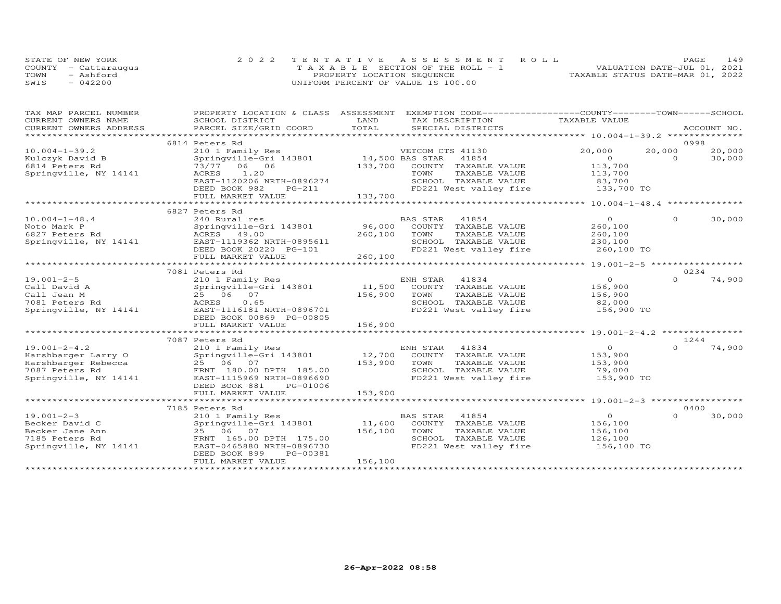|      | STATE OF NEW YORK    | 2022 TENTATIVE ASSESSMENT ROLL        | 149<br>PAGE                      |
|------|----------------------|---------------------------------------|----------------------------------|
|      | COUNTY - Cattarauqus | T A X A B L E SECTION OF THE ROLL - 1 | VALUATION DATE-JUL 01, 2021      |
| TOWN | - Ashford            | PROPERTY LOCATION SEQUENCE            | TAXABLE STATUS DATE-MAR 01, 2022 |
| SWIS | $-042200$            | UNIFORM PERCENT OF VALUE IS 100.00    |                                  |

| TAX MAP PARCEL NUMBER<br>CURRENT OWNERS NAME | PROPERTY LOCATION & CLASS ASSESSMENT<br>SCHOOL DISTRICT | LAND    | EXEMPTION CODE------------------COUNTY-------TOWN------SCHOOL<br>TAX DESCRIPTION | TAXABLE VALUE        |          |             |
|----------------------------------------------|---------------------------------------------------------|---------|----------------------------------------------------------------------------------|----------------------|----------|-------------|
| CURRENT OWNERS ADDRESS                       | PARCEL SIZE/GRID COORD                                  | TOTAL   | SPECIAL DISTRICTS                                                                |                      |          | ACCOUNT NO. |
|                                              |                                                         |         |                                                                                  |                      |          |             |
|                                              | 6814 Peters Rd                                          |         |                                                                                  |                      | 0998     |             |
| $10.004 - 1 - 39.2$                          | 210 1 Family Res                                        |         | VETCOM CTS 41130                                                                 | 20,000               | 20,000   | 20,000      |
| Kulczyk David B                              | Springville-Gri 143801 14,500 BAS STAR                  |         | 41854                                                                            | $\overline{O}$       | $\Omega$ | 30,000      |
| 6814 Peters Rd                               | 73/77 06 06                                             |         | 133,700 COUNTY TAXABLE VALUE                                                     | 113,700              |          |             |
| Springville, NY 14141                        | 1.20<br>ACRES                                           |         | TAXABLE VALUE<br>TOWN                                                            | 113,700              |          |             |
|                                              | EAST-1120206 NRTH-0896274<br>DEED BOOK 982<br>PG-211    |         | SCHOOL TAXABLE VALUE<br>FD221 West valley fire 133,700 TO                        | 83,700               |          |             |
|                                              | FULL MARKET VALUE                                       | 133,700 |                                                                                  |                      |          |             |
|                                              |                                                         |         |                                                                                  |                      |          |             |
|                                              | 6827 Peters Rd                                          |         |                                                                                  |                      |          |             |
| $10.004 - 1 - 48.4$                          | 240 Rural res                                           |         | BAS STAR<br>41854                                                                | $\overline{O}$       | $\circ$  | 30,000      |
| Noto Mark P                                  | Springville-Gri 143801 96,000                           |         | COUNTY TAXABLE VALUE                                                             | 260,100              |          |             |
| 6827 Peters Rd                               | ACRES 49.00                                             | 260,100 | TOWN<br>TAXABLE VALUE                                                            | 260,100              |          |             |
| Springville, NY 14141                        | EAST-1119362 NRTH-0895611                               |         | SCHOOL TAXABLE VALUE                                                             | 230,100              |          |             |
|                                              | DEED BOOK 20220 PG-101                                  |         | FD221 West valley fire                                                           | 260,100 TO           |          |             |
|                                              | FULL MARKET VALUE                                       | 260,100 |                                                                                  |                      |          |             |
|                                              |                                                         |         |                                                                                  |                      | 0234     |             |
| $19.001 - 2 - 5$                             | 7081 Peters Rd<br>210 1 Family Res                      |         | ENH STAR<br>41834                                                                | $\Omega$             | $\Omega$ | 74,900      |
| Call David A                                 | Springville-Gri 143801                                  | 11,500  | COUNTY TAXABLE VALUE                                                             | 156,900              |          |             |
| Call Jean M                                  | 25 06 07                                                | 156,900 | TOWN<br>TAXABLE VALUE                                                            | 156,900              |          |             |
| 7081 Peters Rd                               | 0.65<br>ACRES                                           |         | SCHOOL TAXABLE VALUE                                                             | 82,000               |          |             |
| Springville, NY 14141                        | EAST-1116181 NRTH-0896701                               |         | FD221 West valley fire                                                           | 156,900 TO           |          |             |
|                                              | DEED BOOK 00869 PG-00805                                |         |                                                                                  |                      |          |             |
|                                              | FULL MARKET VALUE                                       | 156,900 |                                                                                  |                      |          |             |
|                                              |                                                         |         |                                                                                  |                      |          |             |
|                                              | 7087 Peters Rd                                          |         |                                                                                  |                      | 1244     |             |
| $19.001 - 2 - 4.2$                           | 210 1 Family Res                                        |         | 41834<br>ENH STAR                                                                | $\overline{O}$       | $\Omega$ | 74,900      |
| Harshbarger Larry O                          | Springville-Gri 143801                                  |         | 12,700 COUNTY TAXABLE VALUE                                                      | 153,900              |          |             |
| Harshbarger Rebecca                          | 25 06 07                                                | 153,900 | TAXABLE VALUE<br>TOWN                                                            | 153,900              |          |             |
| 7087 Peters Rd<br>Springville, NY 14141      | FRNT 180.00 DPTH 185.00<br>EAST-1115969 NRTH-0896690    |         | SCHOOL TAXABLE VALUE<br>FD221 West valley fire                                   | 79,000<br>153,900 TO |          |             |
|                                              | DEED BOOK 881<br>PG-01006                               |         |                                                                                  |                      |          |             |
|                                              | FULL MARKET VALUE                                       | 153,900 |                                                                                  |                      |          |             |
|                                              |                                                         |         |                                                                                  |                      |          |             |
|                                              | 7185 Peters Rd                                          |         |                                                                                  |                      | 0400     |             |
| $19.001 - 2 - 3$                             | 210 1 Family Res                                        |         | BAS STAR<br>41854                                                                | $\circ$              | $\Omega$ | 30,000      |
| Becker David C                               | Springville-Gri 143801                                  | 11,600  | COUNTY TAXABLE VALUE                                                             | 156,100              |          |             |
| Becker Jane Ann                              | 25 06 07                                                | 156,100 | TOWN<br>TAXABLE VALUE                                                            | 156,100              |          |             |
| 7185 Peters Rd                               | FRNT 165.00 DPTH 175.00                                 |         | SCHOOL TAXABLE VALUE                                                             | 126,100              |          |             |
| Springville, NY 14141                        | EAST-0465880 NRTH-0896730                               |         | FD221 West valley fire                                                           | 156,100 TO           |          |             |
|                                              | DEED BOOK 899<br>PG-00381                               |         |                                                                                  |                      |          |             |
|                                              | FULL MARKET VALUE                                       | 156,100 |                                                                                  |                      |          |             |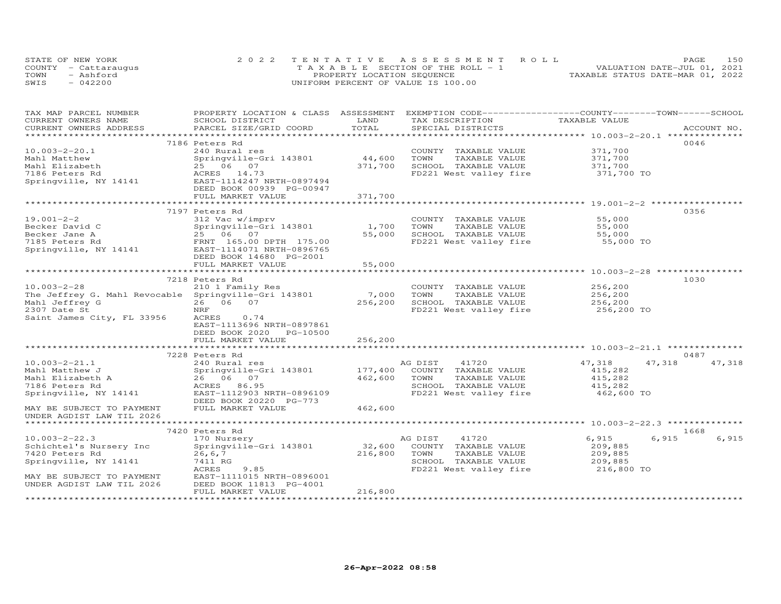| STATE OF NEW YORK    | 2022 TENTATIVE ASSESSMENT ROLL        | PAGE                             | 150 |
|----------------------|---------------------------------------|----------------------------------|-----|
| COUNTY - Cattaraugus | T A X A B L E SECTION OF THE ROLL - 1 | VALUATION DATE-JUL 01, 2021      |     |
| TOWN<br>- Ashford    | PROPERTY LOCATION SEQUENCE            | TAXABLE STATUS DATE-MAR 01, 2022 |     |
| $-042200$<br>SWIS    | UNIFORM PERCENT OF VALUE IS 100.00    |                                  |     |

| TAX MAP PARCEL NUMBER<br>CURRENT OWNERS NAME<br>CURRENT OWNERS ADDRESS | PROPERTY LOCATION & CLASS ASSESSMENT<br>SCHOOL DISTRICT<br>PARCEL SIZE/GRID COORD | LAND<br>TOTAL      | EXEMPTION CODE-----------------COUNTY-------TOWN------SCHOOL<br>TAX DESCRIPTION<br>SPECIAL DISTRICTS | TAXABLE VALUE | ACCOUNT NO.      |
|------------------------------------------------------------------------|-----------------------------------------------------------------------------------|--------------------|------------------------------------------------------------------------------------------------------|---------------|------------------|
|                                                                        |                                                                                   |                    |                                                                                                      |               |                  |
|                                                                        | 7186 Peters Rd                                                                    |                    |                                                                                                      |               | 0046             |
| $10.003 - 2 - 20.1$                                                    | 240 Rural res                                                                     |                    | COUNTY TAXABLE VALUE                                                                                 | 371,700       |                  |
| Mahl Matthew                                                           | Springville-Gri 143801                                                            | 44,600             | TOWN<br>TAXABLE VALUE                                                                                | 371,700       |                  |
| Mahl Elizabeth                                                         | 25 06 07                                                                          | 371,700            | SCHOOL TAXABLE VALUE                                                                                 | 371,700       |                  |
| 7186 Peters Rd                                                         | ACRES 14.73                                                                       |                    | FD221 West valley fire                                                                               | 371,700 TO    |                  |
| Springville, NY 14141                                                  | EAST-1114247 NRTH-0897494                                                         |                    |                                                                                                      |               |                  |
|                                                                        | DEED BOOK 00939 PG-00947                                                          |                    |                                                                                                      |               |                  |
|                                                                        | FULL MARKET VALUE                                                                 | 371,700            |                                                                                                      |               |                  |
|                                                                        |                                                                                   |                    |                                                                                                      |               |                  |
|                                                                        | 7197 Peters Rd                                                                    |                    |                                                                                                      |               | 0356             |
| $19.001 - 2 - 2$                                                       | 312 Vac w/imprv                                                                   |                    | COUNTY TAXABLE VALUE                                                                                 | 55,000        |                  |
| Becker David C                                                         | Springville-Gri 143801                                                            | 1,700              | TOWN<br>TAXABLE VALUE                                                                                | 55,000        |                  |
| Becker Jane A                                                          | 25 06 07                                                                          | 55,000             | SCHOOL TAXABLE VALUE                                                                                 | 55,000        |                  |
| 7185 Peters Rd                                                         | FRNT 165.00 DPTH 175.00                                                           |                    | FD221 West valley fire                                                                               | 55,000 TO     |                  |
| Springville, NY 14141                                                  | EAST-1114071 NRTH-0896765                                                         |                    |                                                                                                      |               |                  |
|                                                                        | DEED BOOK 14680 PG-2001                                                           |                    |                                                                                                      |               |                  |
|                                                                        | FULL MARKET VALUE                                                                 | 55,000             |                                                                                                      |               |                  |
|                                                                        |                                                                                   | ****************** |                                                                                                      |               |                  |
|                                                                        | 7218 Peters Rd                                                                    |                    |                                                                                                      |               | 1030             |
| $10.003 - 2 - 28$                                                      | 210 1 Family Res                                                                  |                    | COUNTY TAXABLE VALUE                                                                                 | 256,200       |                  |
| The Jeffrey G. Mahl Revocable Springville-Gri 143801                   |                                                                                   | 7,000              | TOWN<br>TAXABLE VALUE                                                                                | 256,200       |                  |
| Mahl Jeffrey G                                                         | 26 06 07                                                                          | 256,200            | SCHOOL TAXABLE VALUE                                                                                 | 256,200       |                  |
| 2307 Date St                                                           | <b>NRF</b>                                                                        |                    | FD221 West valley fire                                                                               | 256,200 TO    |                  |
| Saint James City, FL 33956                                             | ACRES<br>0.74                                                                     |                    |                                                                                                      |               |                  |
|                                                                        | EAST-1113696 NRTH-0897861                                                         |                    |                                                                                                      |               |                  |
|                                                                        | DEED BOOK 2020 PG-10500                                                           |                    |                                                                                                      |               |                  |
|                                                                        | FULL MARKET VALUE                                                                 | 256,200            |                                                                                                      |               |                  |
|                                                                        |                                                                                   |                    |                                                                                                      |               |                  |
|                                                                        | 7228 Peters Rd                                                                    |                    |                                                                                                      |               | 0487             |
| $10.003 - 2 - 21.1$                                                    | 240 Rural res                                                                     |                    | 41720<br>AG DIST                                                                                     | 47,318        | 47,318<br>47,318 |
| Mahl Matthew J                                                         | Springville-Gri 143801                                                            | 177,400            | COUNTY TAXABLE VALUE                                                                                 | 415,282       |                  |
| Mahl Elizabeth A                                                       | 26 06 07                                                                          | 462,600            | TAXABLE VALUE<br>TOWN                                                                                | 415,282       |                  |
| 7186 Peters Rd                                                         | ACRES 86.95                                                                       |                    | SCHOOL TAXABLE VALUE                                                                                 | 415,282       |                  |
| Springville, NY 14141                                                  | EAST-1112903 NRTH-0896109                                                         |                    | FD221 West valley fire                                                                               | 462,600 TO    |                  |
|                                                                        | DEED BOOK 20220 PG-773                                                            |                    |                                                                                                      |               |                  |
| MAY BE SUBJECT TO PAYMENT                                              | FULL MARKET VALUE                                                                 | 462,600            |                                                                                                      |               |                  |
| UNDER AGDIST LAW TIL 2026                                              |                                                                                   |                    |                                                                                                      |               |                  |
|                                                                        |                                                                                   |                    |                                                                                                      |               |                  |
|                                                                        | 7420 Peters Rd                                                                    |                    |                                                                                                      |               | 1668             |
| $10.003 - 2 - 22.3$                                                    | 170 Nursery                                                                       |                    | AG DIST<br>41720                                                                                     | 6,915         | 6,915<br>6,915   |
| Schichtel's Nursery Inc                                                | Springville-Gri 143801                                                            | 32,600             | COUNTY TAXABLE VALUE                                                                                 | 209,885       |                  |
| 7420 Peters Rd                                                         | 26, 6, 7                                                                          | 216,800            | TOWN<br>TAXABLE VALUE                                                                                | 209,885       |                  |
| Springville, NY 14141                                                  | 7411 RG                                                                           |                    | SCHOOL TAXABLE VALUE                                                                                 | 209,885       |                  |
|                                                                        | 9.85<br>ACRES                                                                     |                    | FD221 West valley fire                                                                               | 216,800 TO    |                  |
| MAY BE SUBJECT TO PAYMENT                                              | EAST-1111015 NRTH-0896001                                                         |                    |                                                                                                      |               |                  |
| UNDER AGDIST LAW TIL 2026                                              | DEED BOOK 11813 PG-4001                                                           |                    |                                                                                                      |               |                  |
|                                                                        | FULL MARKET VALUE                                                                 | 216,800            |                                                                                                      |               |                  |
|                                                                        |                                                                                   |                    |                                                                                                      |               |                  |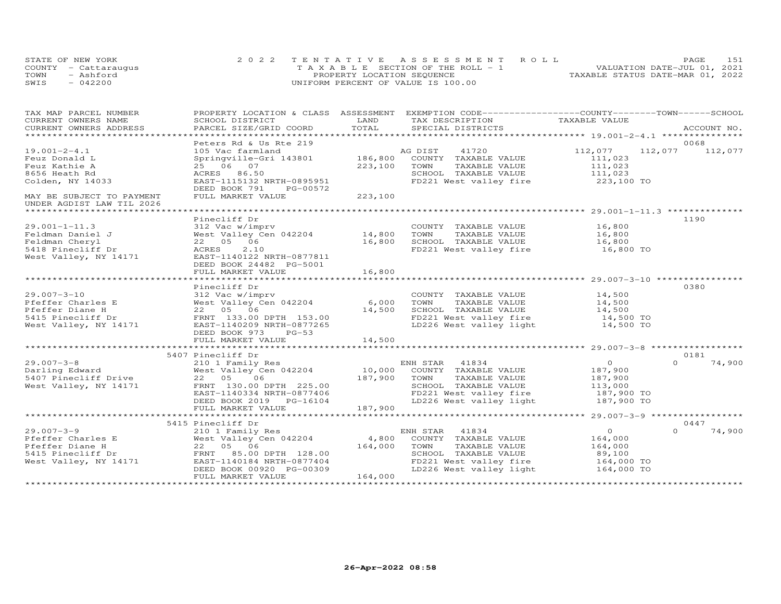| STATE OF NEW YORK |                      | 2022 TENTATIVE ASSESSMENT ROLL        | PAGE.                            | 151 |
|-------------------|----------------------|---------------------------------------|----------------------------------|-----|
|                   | COUNTY - Cattarauqus | T A X A B L E SECTION OF THE ROLL - 1 | VALUATION DATE-JUL 01, 2021      |     |
| TOWN              | - Ashford            | PROPERTY LOCATION SEQUENCE            | TAXABLE STATUS DATE-MAR 01, 2022 |     |
| SWIS              | $-042200$            | UNIFORM PERCENT OF VALUE IS 100.00    |                                  |     |

| TAX MAP PARCEL NUMBER                                    | PROPERTY LOCATION & CLASS ASSESSMENT |         | EXEMPTION CODE-----------------COUNTY-------TOWN------SCHOOL |               |          |             |
|----------------------------------------------------------|--------------------------------------|---------|--------------------------------------------------------------|---------------|----------|-------------|
| CURRENT OWNERS NAME                                      | SCHOOL DISTRICT                      | LAND    | TAX DESCRIPTION                                              | TAXABLE VALUE |          |             |
| CURRENT OWNERS ADDRESS<br>****************************** | PARCEL SIZE/GRID COORD               | TOTAL   | SPECIAL DISTRICTS                                            |               |          | ACCOUNT NO. |
|                                                          | Peters Rd & Us Rte 219               |         |                                                              |               |          | 0068        |
| $19.001 - 2 - 4.1$                                       | 105 Vac farmland                     |         | AG DIST<br>41720                                             | 112,077       | 112,077  | 112,077     |
| Feuz Donald L                                            | Springville-Gri 143801               | 186,800 | COUNTY TAXABLE VALUE                                         | 111,023       |          |             |
| Feuz Kathie A                                            | 25 06 07                             | 223,100 | TOWN<br>TAXABLE VALUE                                        | 111,023       |          |             |
| 8656 Heath Rd                                            | ACRES 86.50                          |         | SCHOOL TAXABLE VALUE                                         | 111,023       |          |             |
| Colden, NY 14033                                         | EAST-1115132 NRTH-0895951            |         | FD221 West valley fire                                       | 223,100 TO    |          |             |
|                                                          | DEED BOOK 791<br>PG-00572            |         |                                                              |               |          |             |
| MAY BE SUBJECT TO PAYMENT                                | FULL MARKET VALUE                    | 223,100 |                                                              |               |          |             |
| UNDER AGDIST LAW TIL 2026                                |                                      |         |                                                              |               |          |             |
|                                                          |                                      |         |                                                              |               |          |             |
|                                                          | Pinecliff Dr                         |         |                                                              |               |          | 1190        |
| $29.001 - 1 - 11.3$                                      | 312 Vac w/imprv                      |         | COUNTY TAXABLE VALUE                                         | 16,800        |          |             |
| Feldman Daniel J                                         | West Valley Cen 042204               | 14,800  | TOWN<br>TAXABLE VALUE                                        | 16,800        |          |             |
| Feldman Cheryl                                           | 22 05 06                             | 16,800  | SCHOOL TAXABLE VALUE                                         | 16,800        |          |             |
| 5418 Pinecliff Dr                                        | 2.10<br>ACRES                        |         | FD221 West valley fire                                       | 16,800 TO     |          |             |
| West Valley, NY 14171                                    | EAST-1140122 NRTH-0877811            |         |                                                              |               |          |             |
|                                                          | DEED BOOK 24482 PG-5001              |         |                                                              |               |          |             |
|                                                          | FULL MARKET VALUE                    | 16,800  |                                                              |               |          |             |
|                                                          |                                      |         |                                                              |               |          |             |
|                                                          | Pinecliff Dr                         |         |                                                              |               |          | 0380        |
| $29.007 - 3 - 10$                                        | 312 Vac w/imprv                      |         | COUNTY TAXABLE VALUE                                         | 14,500        |          |             |
| Pfeffer Charles E                                        | West Valley Cen 042204               | 6,000   | TAXABLE VALUE<br>TOWN                                        | 14,500        |          |             |
| Pfeffer Diane H                                          | 22 05 06                             | 14,500  | SCHOOL TAXABLE VALUE                                         | 14,500        |          |             |
| 5415 Pinecliff Dr                                        | FRNT 133.00 DPTH 153.00              |         | FD221 West valley fire                                       | 14,500 TO     |          |             |
| West Valley, NY 14171                                    | EAST-1140209 NRTH-0877265            |         | LD226 West valley light                                      | 14,500 TO     |          |             |
|                                                          | DEED BOOK 973<br>$PG-53$             |         |                                                              |               |          |             |
|                                                          | FULL MARKET VALUE                    | 14,500  |                                                              |               |          |             |
|                                                          |                                      |         |                                                              |               |          |             |
|                                                          | 5407 Pinecliff Dr                    |         |                                                              |               |          | 0181        |
| $29.007 - 3 - 8$                                         | 210 1 Family Res                     |         | ENH STAR 41834                                               | $\circ$       | $\Omega$ | 74,900      |
| Darling Edward                                           | West Valley Cen 042204               |         | 10,000 COUNTY TAXABLE VALUE                                  | 187,900       |          |             |
| 5407 Pinecliff Drive                                     | 22 05<br>06                          | 187,900 | TOWN<br>TAXABLE VALUE                                        | 187,900       |          |             |
| West Valley, NY 14171                                    | FRNT 130.00 DPTH 225.00              |         | SCHOOL TAXABLE VALUE                                         | 113,000       |          |             |
|                                                          | EAST-1140334 NRTH-0877406            |         | FD221 West valley fire                                       | 187,900 TO    |          |             |
|                                                          | DEED BOOK 2019 PG-16104              |         | LD226 West valley light                                      | 187,900 TO    |          |             |
|                                                          | FULL MARKET VALUE                    | 187,900 |                                                              |               |          |             |
|                                                          |                                      |         |                                                              |               |          |             |
|                                                          | 5415 Pinecliff Dr                    |         |                                                              |               |          | 0447        |
| $29.007 - 3 - 9$                                         | 210 1 Family Res                     |         | ENH STAR<br>41834                                            | $\Omega$      | $\Omega$ | 74,900      |
| Pfeffer Charles E                                        | West Valley Cen 042204               | 4,800   | COUNTY TAXABLE VALUE                                         | 164,000       |          |             |
| Pfeffer Diane H                                          | 22 05 06                             | 164,000 | TOWN<br>TAXABLE VALUE                                        | 164,000       |          |             |
| 5415 Pinecliff Dr                                        | FRNT 85.00 DPTH 128.00               |         | SCHOOL TAXABLE VALUE                                         | 89,100        |          |             |
| West Valley, NY 14171                                    | EAST-1140184 NRTH-0877404            |         | FD221 West valley fire                                       | 164,000 TO    |          |             |
|                                                          | DEED BOOK 00920 PG-00309             |         | LD226 West valley light                                      | 164,000 TO    |          |             |
|                                                          | FULL MARKET VALUE                    | 164,000 |                                                              |               |          |             |
|                                                          |                                      |         |                                                              |               |          |             |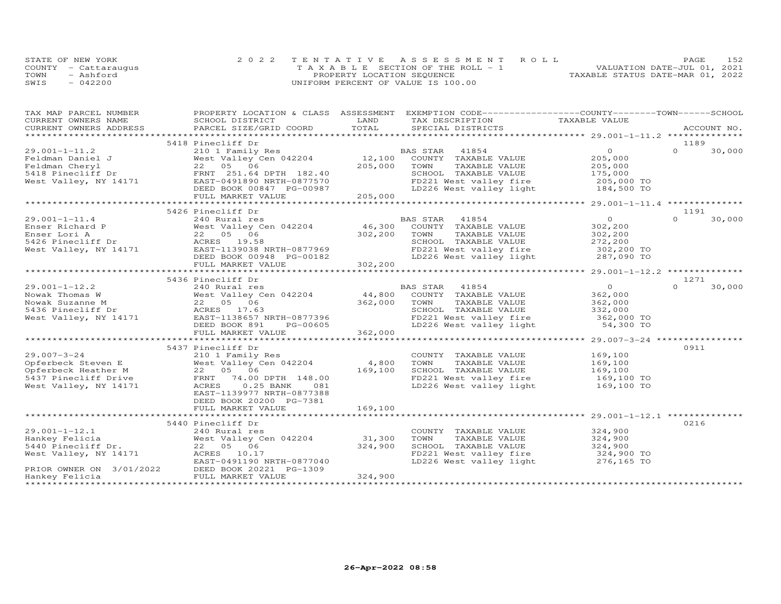| STATE OF NEW YORK    | 2022 TENTATIVE ASSESSMENT ROLL        |                                  | PAGE | 152 |
|----------------------|---------------------------------------|----------------------------------|------|-----|
| COUNTY - Cattaraugus | T A X A B L E SECTION OF THE ROLL - 1 | VALUATION DATE-JUL 01, 2021      |      |     |
| TOWN<br>- Ashford    | PROPERTY LOCATION SEQUENCE            | TAXABLE STATUS DATE-MAR 01, 2022 |      |     |
| SWIS<br>$-042200$    | UNIFORM PERCENT OF VALUE IS 100.00    |                                  |      |     |

| TAX DESCRIPTION TAXABLE VALUE<br>.CURRENT OWNERS ADDRESS PARCEL SIZE/GRID COORD TOTAL SPECIAL DISTRICTS ACCOUNT NO ACCOUNT NO ACCOUNT NO ARE THE SERVER AND THE SERVER ASSESS THE SERVER OF THE SERVER SERVER AND THE SERVER ASSESSED AND A SERVER AND A SERVER<br>5418 Pinecliff Dr<br>1189<br>$\overline{O}$<br>$\Omega$<br>30,000<br>205,000<br>205,000<br>175,000<br>TOWN<br>TAXABLE VALUE<br>SCHOOL TAXABLE VALUE<br>FD221 West valley fire<br>LD226 West valley light 184,500 TO<br>5426 Pinecliff Dr<br>1191<br>$\overline{O}$<br>$\Omega$<br>$29.001 - 1 - 11.4$<br>BAS STAR 41854<br>30,000<br>240 Rural res<br>Enser Richard P<br>Enser Richard P<br>Enser Lori A<br>Enser Lori A<br>22 05 06 302,200<br>5426 Pinecliff Dr<br>West Valley, NY 14171 EAST-1139038 NRTH-0877969<br>Nest Valley, NY 14171 EAST-1139038 NRTH-0877969<br>COUNTY TAXABLE VALUE<br>302,200<br>302,200<br>TOWN<br>TAXABLE VALUE<br>DEED BOOK 00948 PG-00182<br>FULL MARKET VALUE 302,200<br>5436 Pinecliff Dr<br>1271<br>$\overline{O}$<br>BAS STAR 41854<br>$\Omega$<br>30,000<br>29.001-1-12.2<br>Nowak Thomas W<br>Nowak Suzanne M<br>5436 Pinecliff Dr<br>Fasser-1138637 Mest Valley, NY 14171<br>FASS 17.63<br>Nest Valley, NY 14171<br>FAST-1138657 NRTH-0877396<br>PG-00605<br>362,000<br>44,800 COUNTY TAXABLE VALUE<br>362,000 TOWN<br>TAXABLE VALUE<br>362,000<br>SCHOOL TAXABLE VALUE<br>332,000<br>FD221 West valley fire 362,000 TO<br>DEED BOOK 891<br>PG-00605<br>LD226 West valley light<br>54,300 TO<br>FULL MARKET VALUE<br>362,000<br>0911<br>5437 Pinecliff Dr<br>$29.007 - 3 - 24$<br>169,100<br>210 1 Family Res<br>COUNTY TAXABLE VALUE<br>29.007-3-24<br>210 1 raminy Res<br>210 1 raminy Res<br>22 05 06<br>5437 Pinecliff Drive<br>22 05 06<br>5437 Pinecliff Drive<br>22 05 06<br>FRNT 74.00 DPTH 148.00<br>5437 Pinecliff Drive<br>20 169,100<br>169,100<br>169,100<br>TAXABLE VALUE<br>TOWN<br>SCHOOL TAXABLE VALUE<br>FD221 West valley fire 169,100 TO<br>$0.25$ BANK<br>LD226 West valley light<br>West Valley, NY 14171<br>ACRES<br>081<br>169,100 TO<br>EAST-1139977 NRTH-0877388<br>DEED BOOK 20200 PG-7381<br>FULL MARKET VALUE<br>169,100<br>5440 Pinecliff Dr<br>0216<br>324,900<br>$29.001 - 1 - 12.1$<br>240 Rural res<br>COUNTY TAXABLE VALUE<br>31,300<br>324,900<br>West Valley Cen 042204<br>TOWN<br>TAXABLE VALUE<br>Hankey Felicia<br>324,900<br>5440 Pinecliff Dr.<br>22 05 06<br>SCHOOL TAXABLE VALUE 324,900<br>FD221 West valley fire 324,900 TO<br>West Valley, NY 14171<br>ACRES 10.17<br>EAST-0491190 NRTH-0877040<br>LD226 West valley light<br>276,165 TO<br>PRIOR OWNER ON 3/01/2022<br>DEED BOOK 20221 PG-1309<br>324,900<br>FULL MARKET VALUE<br>Hankey Felicia | TAX MAP PARCEL NUMBER |                 |      | PROPERTY LOCATION & CLASS ASSESSMENT EXEMPTION CODE----------------COUNTY-------TOWN------SCHOOL |  |  |
|-------------------------------------------------------------------------------------------------------------------------------------------------------------------------------------------------------------------------------------------------------------------------------------------------------------------------------------------------------------------------------------------------------------------------------------------------------------------------------------------------------------------------------------------------------------------------------------------------------------------------------------------------------------------------------------------------------------------------------------------------------------------------------------------------------------------------------------------------------------------------------------------------------------------------------------------------------------------------------------------------------------------------------------------------------------------------------------------------------------------------------------------------------------------------------------------------------------------------------------------------------------------------------------------------------------------------------------------------------------------------------------------------------------------------------------------------------------------------------------------------------------------------------------------------------------------------------------------------------------------------------------------------------------------------------------------------------------------------------------------------------------------------------------------------------------------------------------------------------------------------------------------------------------------------------------------------------------------------------------------------------------------------------------------------------------------------------------------------------------------------------------------------------------------------------------------------------------------------------------------------------------------------------------------------------------------------------------------------------------------------------------------------------------------------------------------------------------------------------------------------------------------------------------------------------------------------------------------------------------------------------------------------------------------------------------------------------------|-----------------------|-----------------|------|--------------------------------------------------------------------------------------------------|--|--|
|                                                                                                                                                                                                                                                                                                                                                                                                                                                                                                                                                                                                                                                                                                                                                                                                                                                                                                                                                                                                                                                                                                                                                                                                                                                                                                                                                                                                                                                                                                                                                                                                                                                                                                                                                                                                                                                                                                                                                                                                                                                                                                                                                                                                                                                                                                                                                                                                                                                                                                                                                                                                                                                                                                             | CURRENT OWNERS NAME   | SCHOOL DISTRICT | LAND |                                                                                                  |  |  |
|                                                                                                                                                                                                                                                                                                                                                                                                                                                                                                                                                                                                                                                                                                                                                                                                                                                                                                                                                                                                                                                                                                                                                                                                                                                                                                                                                                                                                                                                                                                                                                                                                                                                                                                                                                                                                                                                                                                                                                                                                                                                                                                                                                                                                                                                                                                                                                                                                                                                                                                                                                                                                                                                                                             |                       |                 |      |                                                                                                  |  |  |
|                                                                                                                                                                                                                                                                                                                                                                                                                                                                                                                                                                                                                                                                                                                                                                                                                                                                                                                                                                                                                                                                                                                                                                                                                                                                                                                                                                                                                                                                                                                                                                                                                                                                                                                                                                                                                                                                                                                                                                                                                                                                                                                                                                                                                                                                                                                                                                                                                                                                                                                                                                                                                                                                                                             |                       |                 |      |                                                                                                  |  |  |
|                                                                                                                                                                                                                                                                                                                                                                                                                                                                                                                                                                                                                                                                                                                                                                                                                                                                                                                                                                                                                                                                                                                                                                                                                                                                                                                                                                                                                                                                                                                                                                                                                                                                                                                                                                                                                                                                                                                                                                                                                                                                                                                                                                                                                                                                                                                                                                                                                                                                                                                                                                                                                                                                                                             |                       |                 |      |                                                                                                  |  |  |
|                                                                                                                                                                                                                                                                                                                                                                                                                                                                                                                                                                                                                                                                                                                                                                                                                                                                                                                                                                                                                                                                                                                                                                                                                                                                                                                                                                                                                                                                                                                                                                                                                                                                                                                                                                                                                                                                                                                                                                                                                                                                                                                                                                                                                                                                                                                                                                                                                                                                                                                                                                                                                                                                                                             |                       |                 |      |                                                                                                  |  |  |
|                                                                                                                                                                                                                                                                                                                                                                                                                                                                                                                                                                                                                                                                                                                                                                                                                                                                                                                                                                                                                                                                                                                                                                                                                                                                                                                                                                                                                                                                                                                                                                                                                                                                                                                                                                                                                                                                                                                                                                                                                                                                                                                                                                                                                                                                                                                                                                                                                                                                                                                                                                                                                                                                                                             |                       |                 |      |                                                                                                  |  |  |
|                                                                                                                                                                                                                                                                                                                                                                                                                                                                                                                                                                                                                                                                                                                                                                                                                                                                                                                                                                                                                                                                                                                                                                                                                                                                                                                                                                                                                                                                                                                                                                                                                                                                                                                                                                                                                                                                                                                                                                                                                                                                                                                                                                                                                                                                                                                                                                                                                                                                                                                                                                                                                                                                                                             |                       |                 |      |                                                                                                  |  |  |
|                                                                                                                                                                                                                                                                                                                                                                                                                                                                                                                                                                                                                                                                                                                                                                                                                                                                                                                                                                                                                                                                                                                                                                                                                                                                                                                                                                                                                                                                                                                                                                                                                                                                                                                                                                                                                                                                                                                                                                                                                                                                                                                                                                                                                                                                                                                                                                                                                                                                                                                                                                                                                                                                                                             |                       |                 |      |                                                                                                  |  |  |
|                                                                                                                                                                                                                                                                                                                                                                                                                                                                                                                                                                                                                                                                                                                                                                                                                                                                                                                                                                                                                                                                                                                                                                                                                                                                                                                                                                                                                                                                                                                                                                                                                                                                                                                                                                                                                                                                                                                                                                                                                                                                                                                                                                                                                                                                                                                                                                                                                                                                                                                                                                                                                                                                                                             |                       |                 |      |                                                                                                  |  |  |
|                                                                                                                                                                                                                                                                                                                                                                                                                                                                                                                                                                                                                                                                                                                                                                                                                                                                                                                                                                                                                                                                                                                                                                                                                                                                                                                                                                                                                                                                                                                                                                                                                                                                                                                                                                                                                                                                                                                                                                                                                                                                                                                                                                                                                                                                                                                                                                                                                                                                                                                                                                                                                                                                                                             |                       |                 |      |                                                                                                  |  |  |
|                                                                                                                                                                                                                                                                                                                                                                                                                                                                                                                                                                                                                                                                                                                                                                                                                                                                                                                                                                                                                                                                                                                                                                                                                                                                                                                                                                                                                                                                                                                                                                                                                                                                                                                                                                                                                                                                                                                                                                                                                                                                                                                                                                                                                                                                                                                                                                                                                                                                                                                                                                                                                                                                                                             |                       |                 |      |                                                                                                  |  |  |
|                                                                                                                                                                                                                                                                                                                                                                                                                                                                                                                                                                                                                                                                                                                                                                                                                                                                                                                                                                                                                                                                                                                                                                                                                                                                                                                                                                                                                                                                                                                                                                                                                                                                                                                                                                                                                                                                                                                                                                                                                                                                                                                                                                                                                                                                                                                                                                                                                                                                                                                                                                                                                                                                                                             |                       |                 |      |                                                                                                  |  |  |
|                                                                                                                                                                                                                                                                                                                                                                                                                                                                                                                                                                                                                                                                                                                                                                                                                                                                                                                                                                                                                                                                                                                                                                                                                                                                                                                                                                                                                                                                                                                                                                                                                                                                                                                                                                                                                                                                                                                                                                                                                                                                                                                                                                                                                                                                                                                                                                                                                                                                                                                                                                                                                                                                                                             |                       |                 |      |                                                                                                  |  |  |
|                                                                                                                                                                                                                                                                                                                                                                                                                                                                                                                                                                                                                                                                                                                                                                                                                                                                                                                                                                                                                                                                                                                                                                                                                                                                                                                                                                                                                                                                                                                                                                                                                                                                                                                                                                                                                                                                                                                                                                                                                                                                                                                                                                                                                                                                                                                                                                                                                                                                                                                                                                                                                                                                                                             |                       |                 |      |                                                                                                  |  |  |
|                                                                                                                                                                                                                                                                                                                                                                                                                                                                                                                                                                                                                                                                                                                                                                                                                                                                                                                                                                                                                                                                                                                                                                                                                                                                                                                                                                                                                                                                                                                                                                                                                                                                                                                                                                                                                                                                                                                                                                                                                                                                                                                                                                                                                                                                                                                                                                                                                                                                                                                                                                                                                                                                                                             |                       |                 |      |                                                                                                  |  |  |
|                                                                                                                                                                                                                                                                                                                                                                                                                                                                                                                                                                                                                                                                                                                                                                                                                                                                                                                                                                                                                                                                                                                                                                                                                                                                                                                                                                                                                                                                                                                                                                                                                                                                                                                                                                                                                                                                                                                                                                                                                                                                                                                                                                                                                                                                                                                                                                                                                                                                                                                                                                                                                                                                                                             |                       |                 |      |                                                                                                  |  |  |
|                                                                                                                                                                                                                                                                                                                                                                                                                                                                                                                                                                                                                                                                                                                                                                                                                                                                                                                                                                                                                                                                                                                                                                                                                                                                                                                                                                                                                                                                                                                                                                                                                                                                                                                                                                                                                                                                                                                                                                                                                                                                                                                                                                                                                                                                                                                                                                                                                                                                                                                                                                                                                                                                                                             |                       |                 |      |                                                                                                  |  |  |
|                                                                                                                                                                                                                                                                                                                                                                                                                                                                                                                                                                                                                                                                                                                                                                                                                                                                                                                                                                                                                                                                                                                                                                                                                                                                                                                                                                                                                                                                                                                                                                                                                                                                                                                                                                                                                                                                                                                                                                                                                                                                                                                                                                                                                                                                                                                                                                                                                                                                                                                                                                                                                                                                                                             |                       |                 |      |                                                                                                  |  |  |
|                                                                                                                                                                                                                                                                                                                                                                                                                                                                                                                                                                                                                                                                                                                                                                                                                                                                                                                                                                                                                                                                                                                                                                                                                                                                                                                                                                                                                                                                                                                                                                                                                                                                                                                                                                                                                                                                                                                                                                                                                                                                                                                                                                                                                                                                                                                                                                                                                                                                                                                                                                                                                                                                                                             |                       |                 |      |                                                                                                  |  |  |
|                                                                                                                                                                                                                                                                                                                                                                                                                                                                                                                                                                                                                                                                                                                                                                                                                                                                                                                                                                                                                                                                                                                                                                                                                                                                                                                                                                                                                                                                                                                                                                                                                                                                                                                                                                                                                                                                                                                                                                                                                                                                                                                                                                                                                                                                                                                                                                                                                                                                                                                                                                                                                                                                                                             |                       |                 |      |                                                                                                  |  |  |
|                                                                                                                                                                                                                                                                                                                                                                                                                                                                                                                                                                                                                                                                                                                                                                                                                                                                                                                                                                                                                                                                                                                                                                                                                                                                                                                                                                                                                                                                                                                                                                                                                                                                                                                                                                                                                                                                                                                                                                                                                                                                                                                                                                                                                                                                                                                                                                                                                                                                                                                                                                                                                                                                                                             |                       |                 |      |                                                                                                  |  |  |
|                                                                                                                                                                                                                                                                                                                                                                                                                                                                                                                                                                                                                                                                                                                                                                                                                                                                                                                                                                                                                                                                                                                                                                                                                                                                                                                                                                                                                                                                                                                                                                                                                                                                                                                                                                                                                                                                                                                                                                                                                                                                                                                                                                                                                                                                                                                                                                                                                                                                                                                                                                                                                                                                                                             |                       |                 |      |                                                                                                  |  |  |
|                                                                                                                                                                                                                                                                                                                                                                                                                                                                                                                                                                                                                                                                                                                                                                                                                                                                                                                                                                                                                                                                                                                                                                                                                                                                                                                                                                                                                                                                                                                                                                                                                                                                                                                                                                                                                                                                                                                                                                                                                                                                                                                                                                                                                                                                                                                                                                                                                                                                                                                                                                                                                                                                                                             |                       |                 |      |                                                                                                  |  |  |
|                                                                                                                                                                                                                                                                                                                                                                                                                                                                                                                                                                                                                                                                                                                                                                                                                                                                                                                                                                                                                                                                                                                                                                                                                                                                                                                                                                                                                                                                                                                                                                                                                                                                                                                                                                                                                                                                                                                                                                                                                                                                                                                                                                                                                                                                                                                                                                                                                                                                                                                                                                                                                                                                                                             |                       |                 |      |                                                                                                  |  |  |
|                                                                                                                                                                                                                                                                                                                                                                                                                                                                                                                                                                                                                                                                                                                                                                                                                                                                                                                                                                                                                                                                                                                                                                                                                                                                                                                                                                                                                                                                                                                                                                                                                                                                                                                                                                                                                                                                                                                                                                                                                                                                                                                                                                                                                                                                                                                                                                                                                                                                                                                                                                                                                                                                                                             |                       |                 |      |                                                                                                  |  |  |
|                                                                                                                                                                                                                                                                                                                                                                                                                                                                                                                                                                                                                                                                                                                                                                                                                                                                                                                                                                                                                                                                                                                                                                                                                                                                                                                                                                                                                                                                                                                                                                                                                                                                                                                                                                                                                                                                                                                                                                                                                                                                                                                                                                                                                                                                                                                                                                                                                                                                                                                                                                                                                                                                                                             |                       |                 |      |                                                                                                  |  |  |
|                                                                                                                                                                                                                                                                                                                                                                                                                                                                                                                                                                                                                                                                                                                                                                                                                                                                                                                                                                                                                                                                                                                                                                                                                                                                                                                                                                                                                                                                                                                                                                                                                                                                                                                                                                                                                                                                                                                                                                                                                                                                                                                                                                                                                                                                                                                                                                                                                                                                                                                                                                                                                                                                                                             |                       |                 |      |                                                                                                  |  |  |
|                                                                                                                                                                                                                                                                                                                                                                                                                                                                                                                                                                                                                                                                                                                                                                                                                                                                                                                                                                                                                                                                                                                                                                                                                                                                                                                                                                                                                                                                                                                                                                                                                                                                                                                                                                                                                                                                                                                                                                                                                                                                                                                                                                                                                                                                                                                                                                                                                                                                                                                                                                                                                                                                                                             |                       |                 |      |                                                                                                  |  |  |
|                                                                                                                                                                                                                                                                                                                                                                                                                                                                                                                                                                                                                                                                                                                                                                                                                                                                                                                                                                                                                                                                                                                                                                                                                                                                                                                                                                                                                                                                                                                                                                                                                                                                                                                                                                                                                                                                                                                                                                                                                                                                                                                                                                                                                                                                                                                                                                                                                                                                                                                                                                                                                                                                                                             |                       |                 |      |                                                                                                  |  |  |
|                                                                                                                                                                                                                                                                                                                                                                                                                                                                                                                                                                                                                                                                                                                                                                                                                                                                                                                                                                                                                                                                                                                                                                                                                                                                                                                                                                                                                                                                                                                                                                                                                                                                                                                                                                                                                                                                                                                                                                                                                                                                                                                                                                                                                                                                                                                                                                                                                                                                                                                                                                                                                                                                                                             |                       |                 |      |                                                                                                  |  |  |
|                                                                                                                                                                                                                                                                                                                                                                                                                                                                                                                                                                                                                                                                                                                                                                                                                                                                                                                                                                                                                                                                                                                                                                                                                                                                                                                                                                                                                                                                                                                                                                                                                                                                                                                                                                                                                                                                                                                                                                                                                                                                                                                                                                                                                                                                                                                                                                                                                                                                                                                                                                                                                                                                                                             |                       |                 |      |                                                                                                  |  |  |
|                                                                                                                                                                                                                                                                                                                                                                                                                                                                                                                                                                                                                                                                                                                                                                                                                                                                                                                                                                                                                                                                                                                                                                                                                                                                                                                                                                                                                                                                                                                                                                                                                                                                                                                                                                                                                                                                                                                                                                                                                                                                                                                                                                                                                                                                                                                                                                                                                                                                                                                                                                                                                                                                                                             |                       |                 |      |                                                                                                  |  |  |
|                                                                                                                                                                                                                                                                                                                                                                                                                                                                                                                                                                                                                                                                                                                                                                                                                                                                                                                                                                                                                                                                                                                                                                                                                                                                                                                                                                                                                                                                                                                                                                                                                                                                                                                                                                                                                                                                                                                                                                                                                                                                                                                                                                                                                                                                                                                                                                                                                                                                                                                                                                                                                                                                                                             |                       |                 |      |                                                                                                  |  |  |
|                                                                                                                                                                                                                                                                                                                                                                                                                                                                                                                                                                                                                                                                                                                                                                                                                                                                                                                                                                                                                                                                                                                                                                                                                                                                                                                                                                                                                                                                                                                                                                                                                                                                                                                                                                                                                                                                                                                                                                                                                                                                                                                                                                                                                                                                                                                                                                                                                                                                                                                                                                                                                                                                                                             |                       |                 |      |                                                                                                  |  |  |
|                                                                                                                                                                                                                                                                                                                                                                                                                                                                                                                                                                                                                                                                                                                                                                                                                                                                                                                                                                                                                                                                                                                                                                                                                                                                                                                                                                                                                                                                                                                                                                                                                                                                                                                                                                                                                                                                                                                                                                                                                                                                                                                                                                                                                                                                                                                                                                                                                                                                                                                                                                                                                                                                                                             |                       |                 |      |                                                                                                  |  |  |
|                                                                                                                                                                                                                                                                                                                                                                                                                                                                                                                                                                                                                                                                                                                                                                                                                                                                                                                                                                                                                                                                                                                                                                                                                                                                                                                                                                                                                                                                                                                                                                                                                                                                                                                                                                                                                                                                                                                                                                                                                                                                                                                                                                                                                                                                                                                                                                                                                                                                                                                                                                                                                                                                                                             |                       |                 |      |                                                                                                  |  |  |
|                                                                                                                                                                                                                                                                                                                                                                                                                                                                                                                                                                                                                                                                                                                                                                                                                                                                                                                                                                                                                                                                                                                                                                                                                                                                                                                                                                                                                                                                                                                                                                                                                                                                                                                                                                                                                                                                                                                                                                                                                                                                                                                                                                                                                                                                                                                                                                                                                                                                                                                                                                                                                                                                                                             |                       |                 |      |                                                                                                  |  |  |
|                                                                                                                                                                                                                                                                                                                                                                                                                                                                                                                                                                                                                                                                                                                                                                                                                                                                                                                                                                                                                                                                                                                                                                                                                                                                                                                                                                                                                                                                                                                                                                                                                                                                                                                                                                                                                                                                                                                                                                                                                                                                                                                                                                                                                                                                                                                                                                                                                                                                                                                                                                                                                                                                                                             |                       |                 |      |                                                                                                  |  |  |
|                                                                                                                                                                                                                                                                                                                                                                                                                                                                                                                                                                                                                                                                                                                                                                                                                                                                                                                                                                                                                                                                                                                                                                                                                                                                                                                                                                                                                                                                                                                                                                                                                                                                                                                                                                                                                                                                                                                                                                                                                                                                                                                                                                                                                                                                                                                                                                                                                                                                                                                                                                                                                                                                                                             |                       |                 |      |                                                                                                  |  |  |
|                                                                                                                                                                                                                                                                                                                                                                                                                                                                                                                                                                                                                                                                                                                                                                                                                                                                                                                                                                                                                                                                                                                                                                                                                                                                                                                                                                                                                                                                                                                                                                                                                                                                                                                                                                                                                                                                                                                                                                                                                                                                                                                                                                                                                                                                                                                                                                                                                                                                                                                                                                                                                                                                                                             |                       |                 |      |                                                                                                  |  |  |
|                                                                                                                                                                                                                                                                                                                                                                                                                                                                                                                                                                                                                                                                                                                                                                                                                                                                                                                                                                                                                                                                                                                                                                                                                                                                                                                                                                                                                                                                                                                                                                                                                                                                                                                                                                                                                                                                                                                                                                                                                                                                                                                                                                                                                                                                                                                                                                                                                                                                                                                                                                                                                                                                                                             |                       |                 |      |                                                                                                  |  |  |
|                                                                                                                                                                                                                                                                                                                                                                                                                                                                                                                                                                                                                                                                                                                                                                                                                                                                                                                                                                                                                                                                                                                                                                                                                                                                                                                                                                                                                                                                                                                                                                                                                                                                                                                                                                                                                                                                                                                                                                                                                                                                                                                                                                                                                                                                                                                                                                                                                                                                                                                                                                                                                                                                                                             |                       |                 |      |                                                                                                  |  |  |
|                                                                                                                                                                                                                                                                                                                                                                                                                                                                                                                                                                                                                                                                                                                                                                                                                                                                                                                                                                                                                                                                                                                                                                                                                                                                                                                                                                                                                                                                                                                                                                                                                                                                                                                                                                                                                                                                                                                                                                                                                                                                                                                                                                                                                                                                                                                                                                                                                                                                                                                                                                                                                                                                                                             |                       |                 |      |                                                                                                  |  |  |
|                                                                                                                                                                                                                                                                                                                                                                                                                                                                                                                                                                                                                                                                                                                                                                                                                                                                                                                                                                                                                                                                                                                                                                                                                                                                                                                                                                                                                                                                                                                                                                                                                                                                                                                                                                                                                                                                                                                                                                                                                                                                                                                                                                                                                                                                                                                                                                                                                                                                                                                                                                                                                                                                                                             |                       |                 |      |                                                                                                  |  |  |
|                                                                                                                                                                                                                                                                                                                                                                                                                                                                                                                                                                                                                                                                                                                                                                                                                                                                                                                                                                                                                                                                                                                                                                                                                                                                                                                                                                                                                                                                                                                                                                                                                                                                                                                                                                                                                                                                                                                                                                                                                                                                                                                                                                                                                                                                                                                                                                                                                                                                                                                                                                                                                                                                                                             |                       |                 |      |                                                                                                  |  |  |
|                                                                                                                                                                                                                                                                                                                                                                                                                                                                                                                                                                                                                                                                                                                                                                                                                                                                                                                                                                                                                                                                                                                                                                                                                                                                                                                                                                                                                                                                                                                                                                                                                                                                                                                                                                                                                                                                                                                                                                                                                                                                                                                                                                                                                                                                                                                                                                                                                                                                                                                                                                                                                                                                                                             |                       |                 |      |                                                                                                  |  |  |
|                                                                                                                                                                                                                                                                                                                                                                                                                                                                                                                                                                                                                                                                                                                                                                                                                                                                                                                                                                                                                                                                                                                                                                                                                                                                                                                                                                                                                                                                                                                                                                                                                                                                                                                                                                                                                                                                                                                                                                                                                                                                                                                                                                                                                                                                                                                                                                                                                                                                                                                                                                                                                                                                                                             |                       |                 |      |                                                                                                  |  |  |
|                                                                                                                                                                                                                                                                                                                                                                                                                                                                                                                                                                                                                                                                                                                                                                                                                                                                                                                                                                                                                                                                                                                                                                                                                                                                                                                                                                                                                                                                                                                                                                                                                                                                                                                                                                                                                                                                                                                                                                                                                                                                                                                                                                                                                                                                                                                                                                                                                                                                                                                                                                                                                                                                                                             |                       |                 |      |                                                                                                  |  |  |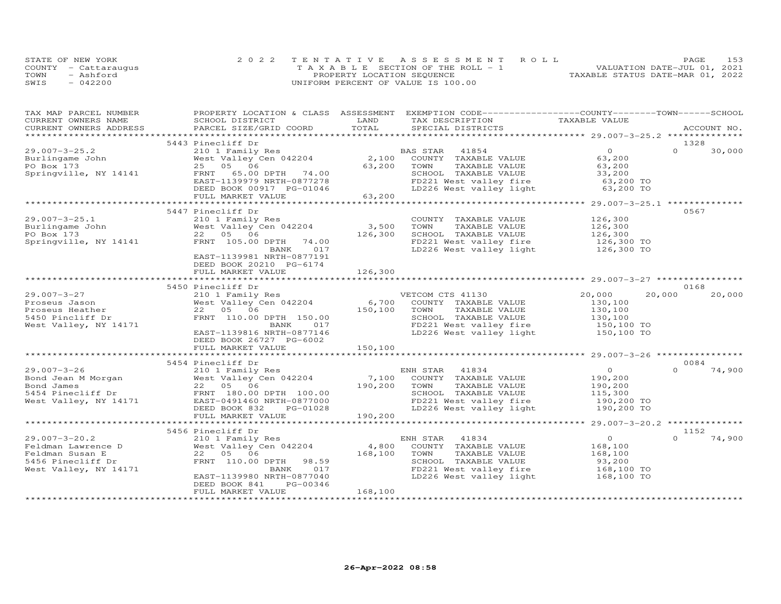|      | STATE OF NEW YORK    | 2022 TENTATIVE ASSESSMENT ROLL        | 153<br>PAGE                      |
|------|----------------------|---------------------------------------|----------------------------------|
|      | COUNTY - Cattaraugus | T A X A B L E SECTION OF THE ROLL - 1 | VALUATION DATE-JUL 01, 2021      |
| TOWN | - Ashford            | PROPERTY LOCATION SEQUENCE            | TAXABLE STATUS DATE-MAR 01, 2022 |
| SWIS | $-042200$            | UNIFORM PERCENT OF VALUE IS 100.00    |                                  |

| TAX MAP PARCEL NUMBER                         | CORRENT OWNERS NAME SCHOOL DISTRICT SCHOOL DISTRICT SCHOOL DISTRICT  TAX DESCRIPTION  TAX DESCRIPTION  TAX DESCRIPTION  TAX DESCRIPTION  TAX DESCRIPTION  TAX DESCRIPTION  TAX DESCRIPTION   TAX DESCRIPTION   TAX DESCRIPTION                                                                                                                                                                      |         | PROPERTY LOCATION & CLASS ASSESSMENT EXEMPTION CODE----------------COUNTY-------TOWN------SCHOOL                                                                             |                |          |        |
|-----------------------------------------------|-----------------------------------------------------------------------------------------------------------------------------------------------------------------------------------------------------------------------------------------------------------------------------------------------------------------------------------------------------------------------------------------------------|---------|------------------------------------------------------------------------------------------------------------------------------------------------------------------------------|----------------|----------|--------|
| CURRENT OWNERS ADDRESS PARCEL SIZE/GRID COORD |                                                                                                                                                                                                                                                                                                                                                                                                     |         |                                                                                                                                                                              |                |          |        |
|                                               |                                                                                                                                                                                                                                                                                                                                                                                                     |         |                                                                                                                                                                              |                |          |        |
|                                               | 5443 Pinecliff Dr                                                                                                                                                                                                                                                                                                                                                                                   |         |                                                                                                                                                                              |                | 1328     |        |
|                                               | PINCILLI DI<br>210 1 Family Res<br>West Valley Cen 042204 2,100 COUNTY TAXABLE VALUE<br>25 05 06 63,200 TOWN TAXABLE VALUE<br>FRNT 65.00 DPTH 74.00 8CHOOL TAXABLE VALUE<br>EAST-1139979 NRTH-0877278 FD221 West valley fire<br>DEED BOOK                                                                                                                                                           |         |                                                                                                                                                                              | $\overline{0}$ | $\Omega$ | 30,000 |
|                                               |                                                                                                                                                                                                                                                                                                                                                                                                     |         |                                                                                                                                                                              | 63,200         |          |        |
|                                               |                                                                                                                                                                                                                                                                                                                                                                                                     |         |                                                                                                                                                                              |                |          |        |
|                                               |                                                                                                                                                                                                                                                                                                                                                                                                     |         |                                                                                                                                                                              |                |          |        |
|                                               |                                                                                                                                                                                                                                                                                                                                                                                                     |         |                                                                                                                                                                              |                |          |        |
|                                               |                                                                                                                                                                                                                                                                                                                                                                                                     |         | TOWN TAXABLE VALUE<br>SCHOOL TAXABLE VALUE 33,200<br>FD221 West valley fire 63,200 TO<br>LD226 West valley light 63,200 TO                                                   |                |          |        |
|                                               |                                                                                                                                                                                                                                                                                                                                                                                                     |         |                                                                                                                                                                              |                |          |        |
|                                               |                                                                                                                                                                                                                                                                                                                                                                                                     |         |                                                                                                                                                                              |                |          |        |
|                                               | 5447 Pinecliff Dr                                                                                                                                                                                                                                                                                                                                                                                   |         |                                                                                                                                                                              |                | 0567     |        |
| $29.007 - 3 - 25.1$                           | 29.007-3-25.1 210 1 Family Res COUNT<br>Burlingame John West Valley Cen 042204 3,500 TOWN<br>PO Box 173 22 05 06 126,300 SCHOO<br>Springville, NY 14141 FRNT 105.00 DPTH 74.00 FD221                                                                                                                                                                                                                |         | COUNTY TAXABLE VALUE 126,300<br>TOWN TAXABLE VALUE 126,300<br>SCHOOL TAXABLE VALUE 126,300<br>FD221 West valley fire 126,300 TO<br>LD226 West valley light 126,300 TO        |                |          |        |
|                                               |                                                                                                                                                                                                                                                                                                                                                                                                     |         |                                                                                                                                                                              |                |          |        |
|                                               |                                                                                                                                                                                                                                                                                                                                                                                                     |         |                                                                                                                                                                              |                |          |        |
|                                               |                                                                                                                                                                                                                                                                                                                                                                                                     |         |                                                                                                                                                                              |                |          |        |
|                                               | BANK 017                                                                                                                                                                                                                                                                                                                                                                                            |         |                                                                                                                                                                              |                |          |        |
|                                               | EAST-1139981 NRTH-0877191                                                                                                                                                                                                                                                                                                                                                                           |         |                                                                                                                                                                              |                |          |        |
|                                               | DEED BOOK 20210 PG-6174                                                                                                                                                                                                                                                                                                                                                                             |         |                                                                                                                                                                              |                |          |        |
|                                               | FULL MARKET VALUE                                                                                                                                                                                                                                                                                                                                                                                   | 126,300 |                                                                                                                                                                              |                |          |        |
|                                               |                                                                                                                                                                                                                                                                                                                                                                                                     |         |                                                                                                                                                                              |                |          |        |
|                                               | 5450 Pinecliff Dr<br>Pinecliff Dr<br>210 1 Family Res<br>West Valley Cen 042204 6,700 COUNTY TAXABLE VALUE<br>22 05 06 150,100 TOWN TAXABLE VALUE<br>FRNT 110.00 DPTH 150.00 5CHOOL TAXABLE VALUE<br>BANK 017 FD221 West valley fire<br>T.D.226 West valley lig                                                                                                                                     |         |                                                                                                                                                                              |                | 0168     |        |
| $29.007 - 3 - 27$                             |                                                                                                                                                                                                                                                                                                                                                                                                     |         |                                                                                                                                                                              | 20,000         | 20,000   | 20,000 |
|                                               |                                                                                                                                                                                                                                                                                                                                                                                                     |         |                                                                                                                                                                              |                |          |        |
|                                               |                                                                                                                                                                                                                                                                                                                                                                                                     |         |                                                                                                                                                                              |                |          |        |
| 5450 Pincliff Dr<br>West Valley, NY 14171     |                                                                                                                                                                                                                                                                                                                                                                                                     |         |                                                                                                                                                                              |                |          |        |
|                                               |                                                                                                                                                                                                                                                                                                                                                                                                     |         |                                                                                                                                                                              |                |          |        |
|                                               | EAST-1139816 NRTH-0877146                                                                                                                                                                                                                                                                                                                                                                           |         | COUNTY TAXABLE VALUE<br>TOWN TAXABLE VALUE<br>SCHOOL TAXABLE VALUE<br>SCHOOL TAXABLE VALUE<br>TOP 130,100<br>FD221 West valley fire<br>LD226 West valley light<br>150,100 TO |                |          |        |
|                                               | DEED BOOK 26727 PG-6002                                                                                                                                                                                                                                                                                                                                                                             |         |                                                                                                                                                                              |                |          |        |
|                                               | FULL MARKET VALUE                                                                                                                                                                                                                                                                                                                                                                                   | 150,100 |                                                                                                                                                                              |                |          |        |
|                                               |                                                                                                                                                                                                                                                                                                                                                                                                     |         |                                                                                                                                                                              |                |          |        |
|                                               | 5454 Pinecliff Dr                                                                                                                                                                                                                                                                                                                                                                                   |         |                                                                                                                                                                              |                | 0084     |        |
|                                               |                                                                                                                                                                                                                                                                                                                                                                                                     |         |                                                                                                                                                                              |                |          |        |
|                                               |                                                                                                                                                                                                                                                                                                                                                                                                     |         |                                                                                                                                                                              |                |          |        |
|                                               |                                                                                                                                                                                                                                                                                                                                                                                                     |         |                                                                                                                                                                              |                |          |        |
|                                               |                                                                                                                                                                                                                                                                                                                                                                                                     |         |                                                                                                                                                                              |                |          |        |
|                                               |                                                                                                                                                                                                                                                                                                                                                                                                     |         |                                                                                                                                                                              |                |          |        |
|                                               |                                                                                                                                                                                                                                                                                                                                                                                                     |         |                                                                                                                                                                              |                |          |        |
|                                               | $\begin{array}{lcccc} 29.007-3-26 & 5454\,\, \mathrm{Pincliff}\,\, \mathrm{D} & 210\,\, \mathrm{I}\,\, \mathrm{Emeldiff}\,\, \mathrm{D} & 210\,\, \mathrm{I}\,\, \mathrm{Emily}\,\, \mathrm{Res} & \mathrm{ENH}\,\, \mathrm{STAR} & 41834 & 0 & 0 & 74, 900\,\, \mathrm{ENI}\,\, \mathrm{STAR} & 41834 & 0 & 74, 900\,\, \mathrm{D} & 22\,\, \mathrm{D} & 22\,\, \mathrm{D} & 22\,\, \mathrm{D} & $ |         |                                                                                                                                                                              |                |          |        |
|                                               | 5456 Pinecliff Dr                                                                                                                                                                                                                                                                                                                                                                                   |         |                                                                                                                                                                              |                | 1152     |        |
|                                               |                                                                                                                                                                                                                                                                                                                                                                                                     |         |                                                                                                                                                                              | $\overline{O}$ | $\Omega$ | 74,900 |
|                                               |                                                                                                                                                                                                                                                                                                                                                                                                     |         |                                                                                                                                                                              | 168,100        |          |        |
|                                               |                                                                                                                                                                                                                                                                                                                                                                                                     |         |                                                                                                                                                                              |                |          |        |
|                                               | 29.007-3-20.2<br>Feldman Lawrence D<br>Feldman Susan E<br>Feldman Susan E<br>Example 168,100 COUNTY TAXABLE VALUE<br>Feldman Susan E<br>22 05 06<br>5456 Pinecliff Dr<br>FRNT 110.00 DPTH 98.59<br>BANK 017<br>EAST-1139980 NRTH-0877040<br>EAST-113                                                                                                                                                |         | TOWN TAXABLE VALUE 168,100<br>SCHOOL TAXABLE VALUE 93,200<br>FD221 West valley fire 168,100 TO<br>LD226 West valley light 168,100 TO                                         |                |          |        |
|                                               |                                                                                                                                                                                                                                                                                                                                                                                                     |         |                                                                                                                                                                              |                |          |        |
|                                               |                                                                                                                                                                                                                                                                                                                                                                                                     |         |                                                                                                                                                                              |                |          |        |
|                                               | DEED BOOK 841 PG-00346                                                                                                                                                                                                                                                                                                                                                                              |         |                                                                                                                                                                              |                |          |        |
|                                               | FULL MARKET VALUE                                                                                                                                                                                                                                                                                                                                                                                   | 168,100 |                                                                                                                                                                              |                |          |        |
|                                               |                                                                                                                                                                                                                                                                                                                                                                                                     |         |                                                                                                                                                                              |                |          |        |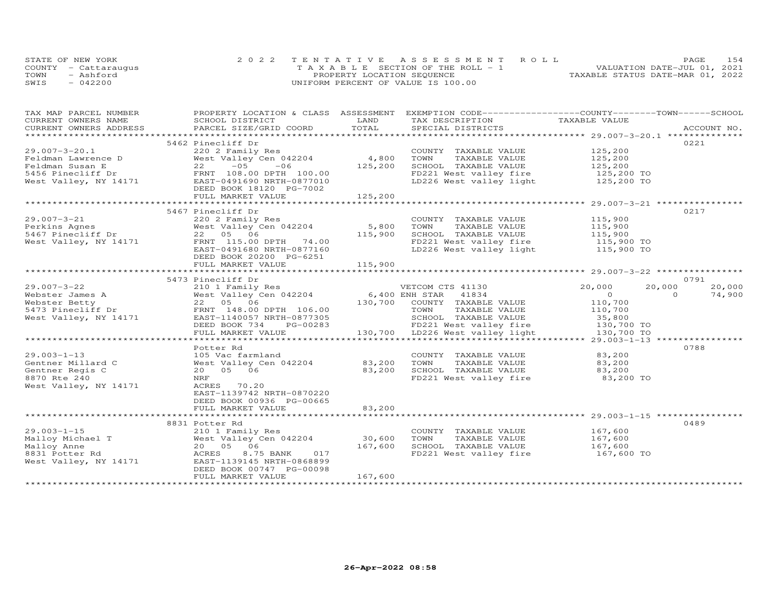|      | STATE OF NEW YORK    | 2022 TENTATIVE ASSESSMENT ROLL        | PAGE                             | 154 |
|------|----------------------|---------------------------------------|----------------------------------|-----|
|      | COUNTY - Cattarauqus | T A X A B L E SECTION OF THE ROLL - 1 | VALUATION DATE-JUL 01, 2021      |     |
| TOWN | - Ashford            | PROPERTY LOCATION SEQUENCE            | TAXABLE STATUS DATE-MAR 01, 2022 |     |
| SWIS | $-042200$            | UNIFORM PERCENT OF VALUE IS 100.00    |                                  |     |

| TAX MAP PARCEL NUMBER<br>CURRENT OWNERS NAME                                                                                                                           | PROPERTY LOCATION & CLASS ASSESSMENT<br>SCHOOL DISTRICT        | LAND    | EXEMPTION CODE-----------------COUNTY-------TOWN------SCHOOL<br>TAX DESCRIPTION                               |                      |          |             |
|------------------------------------------------------------------------------------------------------------------------------------------------------------------------|----------------------------------------------------------------|---------|---------------------------------------------------------------------------------------------------------------|----------------------|----------|-------------|
| CURRENT OWNERS ADDRESS                                                                                                                                                 | PARCEL SIZE/GRID COORD                                         | TOTAL   | SPECIAL DISTRICTS                                                                                             | TAXABLE VALUE        |          | ACCOUNT NO. |
|                                                                                                                                                                        |                                                                |         |                                                                                                               |                      |          |             |
|                                                                                                                                                                        | 5462 Pinecliff Dr                                              |         |                                                                                                               |                      |          | 0221        |
| $29.007 - 3 - 20.1$                                                                                                                                                    | 220 2 Family Res                                               |         | COUNTY TAXABLE VALUE                                                                                          | 125,200              |          |             |
| Feldman Lawrence D                                                                                                                                                     | West Valley Cen 042204                                         | 4,800   | TOWN<br>TAXABLE VALUE                                                                                         | 125,200              |          |             |
| Feldman Susan E                                                                                                                                                        | 22<br>$-05$<br>$-06$                                           | 125,200 |                                                                                                               |                      |          |             |
| 5456 Pinecliff Dr                                                                                                                                                      | FRNT 108.00 DPTH 100.00                                        |         | SCHOOL TAXABLE VALUE $125,200$<br>FD221 West valley fire $125,200$ TO<br>LD226 West valley light $125,200$ TO |                      |          |             |
| West Valley, NY 14171                                                                                                                                                  |                                                                |         |                                                                                                               |                      |          |             |
|                                                                                                                                                                        | EAST-0491690 NRTH-0877010                                      |         |                                                                                                               |                      |          |             |
|                                                                                                                                                                        | DEED BOOK 18120 PG-7002                                        |         |                                                                                                               |                      |          |             |
|                                                                                                                                                                        | FULL MARKET VALUE                                              | 125,200 |                                                                                                               |                      |          |             |
|                                                                                                                                                                        |                                                                |         |                                                                                                               |                      |          |             |
| $29.007 - 3 - 21$                                                                                                                                                      | 5467 Pinecliff Dr                                              |         |                                                                                                               |                      |          | 0217        |
|                                                                                                                                                                        | 220 2 Family Res                                               |         | COUNTY TAXABLE VALUE                                                                                          | 115,900              |          |             |
| Perkins Agnes<br>5467 Pinecliff Dr                                                                                                                                     | West Valley Cen 042204                                         | 5,800   | TOWN<br>TAXABLE VALUE                                                                                         | 115,900<br>115,900   |          |             |
|                                                                                                                                                                        | 22 05 06                                                       | 115,900 | SCHOOL TAXABLE VALUE                                                                                          |                      |          |             |
| West Valley, NY 14171                                                                                                                                                  | FRNT 115.00 DPTH 74.00                                         |         | FD221 West valley fire 115,900 TO<br>LD226 West valley light 115,900 TO                                       |                      |          |             |
|                                                                                                                                                                        | EAST-0491680 NRTH-0877160                                      |         |                                                                                                               |                      |          |             |
|                                                                                                                                                                        | DEED BOOK 20200 PG-6251                                        |         |                                                                                                               |                      |          |             |
|                                                                                                                                                                        | FULL MARKET VALUE                                              | 115,900 |                                                                                                               |                      |          |             |
|                                                                                                                                                                        |                                                                |         |                                                                                                               |                      |          |             |
|                                                                                                                                                                        | 5473 Pinecliff Dr                                              |         |                                                                                                               |                      |          | 0791        |
| $29.007 - 3 - 22$                                                                                                                                                      | 210 1 Family Res<br>210 1 Family Res<br>West Valley Cen 042204 |         | VETCOM CLS 31100                                                                                              | 20,000               | 20,000   | 20,000      |
|                                                                                                                                                                        |                                                                |         |                                                                                                               | $\overline{0}$       | $\Omega$ | 74,900      |
|                                                                                                                                                                        |                                                                |         | 130,700 COUNTY TAXABLE VALUE                                                                                  | 110,700              |          |             |
|                                                                                                                                                                        |                                                                |         | TOWN<br>TAXABLE VALUE                                                                                         | 110,700              |          |             |
| Expositer James A and Mest Valley Cen 042204<br>Webster Betty 22 05 06<br>5473 Pinecliff Dr FRNT 148.00 DPTH 106.00<br>West Valley, NY 14171 EAST-1140057 NRTH-0877305 |                                                                |         | SCHOOL TAXABLE VALUE                                                                                          | 35,800<br>130,700 TO |          |             |
|                                                                                                                                                                        | DEED BOOK 734 PG-00283                                         |         | FD221 West valley fire                                                                                        |                      |          |             |
|                                                                                                                                                                        | FULL MARKET VALUE                                              |         | 130,700 LD226 West valley light                                                                               | 130,700 TO           |          |             |
|                                                                                                                                                                        |                                                                |         |                                                                                                               |                      |          |             |
|                                                                                                                                                                        | Potter Rd                                                      |         |                                                                                                               |                      |          | 0788        |
| $29.003 - 1 - 13$                                                                                                                                                      | 105 Vac farmland                                               |         | COUNTY TAXABLE VALUE                                                                                          | 83,200               |          |             |
| Gentner Millard C                                                                                                                                                      | West Valley Cen 042204                                         | 83,200  | TOWN<br>TAXABLE VALUE                                                                                         | 83,200               |          |             |
| Gentner Regis C                                                                                                                                                        | 20  05  06                                                     | 83,200  | SCHOOL TAXABLE VALUE                                                                                          | 83,200               |          |             |
| 8870 Rte 240                                                                                                                                                           | NRF                                                            |         | FD221 West valley fire 83,200 TO                                                                              |                      |          |             |
| West Valley, NY 14171                                                                                                                                                  | ACRES 70.20                                                    |         |                                                                                                               |                      |          |             |
|                                                                                                                                                                        | EAST-1139742 NRTH-0870220                                      |         |                                                                                                               |                      |          |             |
|                                                                                                                                                                        | DEED BOOK 00936 PG-00665                                       |         |                                                                                                               |                      |          |             |
|                                                                                                                                                                        | FULL MARKET VALUE                                              | 83,200  |                                                                                                               |                      |          |             |
|                                                                                                                                                                        |                                                                |         |                                                                                                               |                      |          |             |
|                                                                                                                                                                        | 8831 Potter Rd                                                 |         |                                                                                                               |                      |          | 0489        |
| $29.003 - 1 - 15$                                                                                                                                                      | 210 1 Family Res                                               |         | COUNTY TAXABLE VALUE 167,600                                                                                  |                      |          |             |
| Malloy Michael T                                                                                                                                                       | West Valley Cen 042204                                         | 30,600  | TOWN<br>TAXABLE VALUE                                                                                         | 167,600              |          |             |
| Malloy Anne                                                                                                                                                            | 20  05  06                                                     | 167,600 | SCHOOL TAXABLE VALUE                                                                                          | 167,600              |          |             |
| 8831 Potter Rd                                                                                                                                                         | 8.75 BANK 017<br>ACRES                                         |         | FD221 West valley fire 167,600 TO                                                                             |                      |          |             |
| West Valley, NY 14171                                                                                                                                                  | EAST-1139145 NRTH-0868899                                      |         |                                                                                                               |                      |          |             |
|                                                                                                                                                                        | DEED BOOK 00747 PG-00098                                       |         |                                                                                                               |                      |          |             |
|                                                                                                                                                                        | FULL MARKET VALUE                                              | 167,600 |                                                                                                               |                      |          |             |
|                                                                                                                                                                        |                                                                |         |                                                                                                               |                      |          |             |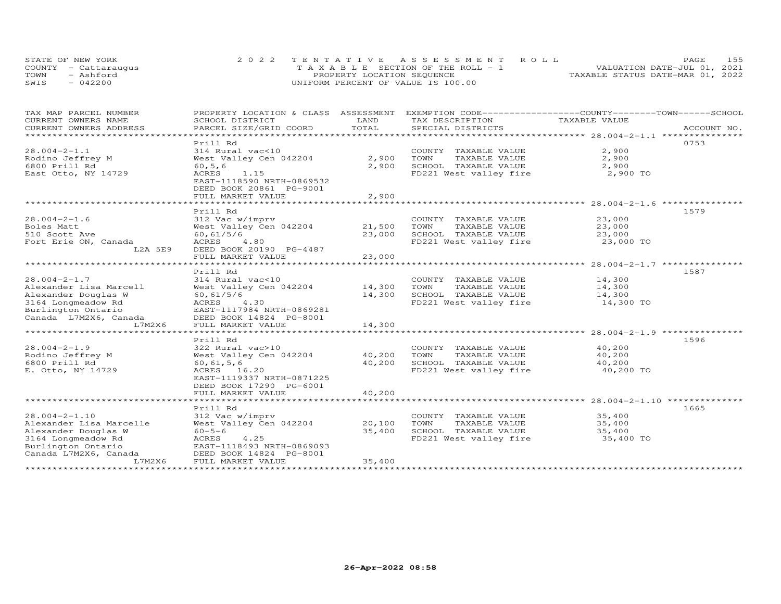|      | STATE OF NEW YORK    | 2022 TENTATIVE ASSESSMENT ROLL     | 155<br><b>PAGE</b>               |
|------|----------------------|------------------------------------|----------------------------------|
|      | COUNTY - Cattarauqus | TAXABLE SECTION OF THE ROLL - 1    | VALUATION DATE-JUL 01, 2021      |
| TOWN | - Ashford            | PROPERTY LOCATION SEQUENCE         | TAXABLE STATUS DATE-MAR 01, 2022 |
| SWIS | $-042200$            | UNIFORM PERCENT OF VALUE IS 100.00 |                                  |

| TAX MAP PARCEL NUMBER<br>CURRENT OWNERS NAME<br>CURRENT OWNERS ADDRESS<br>*************************                                                  | PROPERTY LOCATION & CLASS<br>SCHOOL DISTRICT<br>PARCEL SIZE/GRID COORD                                                                                                                             | ASSESSMENT<br>LAND<br>TOTAL                 | EXEMPTION CODE-----------------COUNTY-------TOWN------SCHOOL<br>TAX DESCRIPTION<br>SPECIAL DISTRICTS | TAXABLE VALUE                           | ACCOUNT NO. |
|------------------------------------------------------------------------------------------------------------------------------------------------------|----------------------------------------------------------------------------------------------------------------------------------------------------------------------------------------------------|---------------------------------------------|------------------------------------------------------------------------------------------------------|-----------------------------------------|-------------|
| $28.004 - 2 - 1.1$<br>Rodino Jeffrey M<br>6800 Prill Rd<br>East Otto, NY 14729                                                                       | Prill Rd<br>314 Rural vac<10<br>West Valley Cen 042204<br>60, 5, 6<br>ACRES<br>1.15<br>EAST-1118590 NRTH-0869532<br>DEED BOOK 20861 PG-9001<br>FULL MARKET VALUE                                   | 2,900<br>2,900<br>2,900                     | COUNTY TAXABLE VALUE<br>TOWN<br>TAXABLE VALUE<br>SCHOOL TAXABLE VALUE<br>FD221 West valley fire      | 2,900<br>2,900<br>2,900<br>2,900 TO     | 0753        |
| $28.004 - 2 - 1.6$<br>Boles Matt<br>510 Scott Ave<br>Fort Erie ON, Canada<br>L2A 5E9                                                                 | Prill Rd<br>312 Vac w/imprv<br>West Valley Cen 042204<br>60, 61/5/6<br>ACRES<br>4.80<br>DEED BOOK 20190 PG-4487<br>FULL MARKET VALUE<br>*********************                                      | 21,500<br>23,000<br>23,000<br>************* | COUNTY TAXABLE VALUE<br>TAXABLE VALUE<br>TOWN<br>SCHOOL TAXABLE VALUE<br>FD221 West valley fire      | 23,000<br>23,000<br>23,000<br>23,000 TO | 1579        |
| $28.004 - 2 - 1.7$<br>Alexander Lisa Marcell<br>Alexander Douglas W<br>3164 Longmeadow Rd<br>Burlington Ontario<br>Canada L7M2X6, Canada<br>L7M2X6   | Prill Rd<br>314 Rural vac<10<br>West Valley Cen 042204<br>60, 61/5/6<br>ACRES<br>4.30<br>EAST-1117984 NRTH-0869281<br>DEED BOOK 14824 PG-8001<br>FULL MARKET VALUE                                 | 14,300<br>14,300<br>14,300                  | COUNTY TAXABLE VALUE<br>TOWN<br>TAXABLE VALUE<br>SCHOOL TAXABLE VALUE<br>FD221 West valley fire      | 14,300<br>14,300<br>14,300<br>14,300 TO | 1587        |
| $28.004 - 2 - 1.9$<br>Rodino Jeffrey M<br>6800 Prill Rd<br>E. Otto, NY 14729                                                                         | Prill Rd<br>322 Rural vac>10<br>West Valley Cen 042204<br>60, 61, 5, 6<br>ACRES 16.20<br>EAST-1119337 NRTH-0871225<br>DEED BOOK 17290 PG-6001<br>FULL MARKET VALUE                                 | 40,200<br>40,200<br>40,200                  | COUNTY TAXABLE VALUE<br>TOWN<br>TAXABLE VALUE<br>SCHOOL TAXABLE VALUE<br>FD221 West valley fire      | 40,200<br>40,200<br>40,200<br>40,200 TO | 1596        |
| $28.004 - 2 - 1.10$<br>Alexander Lisa Marcelle<br>Alexander Douglas W<br>3164 Longmeadow Rd<br>Burlington Ontario<br>Canada L7M2X6, Canada<br>L7M2X6 | Prill Rd<br>312 Vac w/imprv<br>West Valley Cen 042204<br>$60 - 5 - 6$<br>4.25<br>ACRES<br>EAST-1118493 NRTH-0869093<br>DEED BOOK 14824 PG-8001<br>FULL MARKET VALUE<br>*************************** | 20,100<br>35,400<br>35,400                  | COUNTY TAXABLE VALUE<br>TOWN<br>TAXABLE VALUE<br>SCHOOL TAXABLE VALUE<br>FD221 West valley fire      | 35,400<br>35,400<br>35,400<br>35,400 TO | 1665        |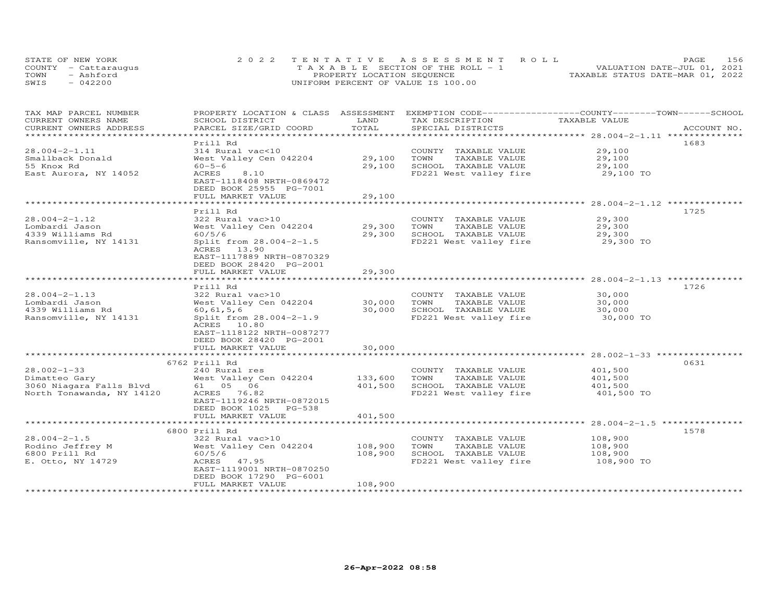| STATE OF NEW YORK    | 2022 TENTATIVE ASSESSMENT ROLL        | 156<br><b>PAGE</b>               |
|----------------------|---------------------------------------|----------------------------------|
| COUNTY - Cattaraugus | T A X A B L E SECTION OF THE ROLL - 1 | VALUATION DATE-JUL 01, 2021      |
| TOWN<br>- Ashford    | PROPERTY LOCATION SEQUENCE            | TAXABLE STATUS DATE-MAR 01, 2022 |
| SWIS<br>$-042200$    | UNIFORM PERCENT OF VALUE IS 100.00    |                                  |

| TAX MAP PARCEL NUMBER<br>CURRENT OWNERS NAME | PROPERTY LOCATION & CLASS ASSESSMENT<br>SCHOOL DISTRICT | LAND         | EXEMPTION CODE------------------COUNTY-------TOWN------SCHOOL<br>TAX DESCRIPTION | TAXABLE VALUE         |             |
|----------------------------------------------|---------------------------------------------------------|--------------|----------------------------------------------------------------------------------|-----------------------|-------------|
| CURRENT OWNERS ADDRESS                       | PARCEL SIZE/GRID COORD                                  | TOTAL        | SPECIAL DISTRICTS                                                                |                       | ACCOUNT NO. |
|                                              |                                                         | ************ |                                                                                  |                       |             |
|                                              | Prill Rd                                                |              |                                                                                  |                       | 1683        |
| $28.004 - 2 - 1.11$                          | 314 Rural vac<10                                        |              | COUNTY TAXABLE VALUE                                                             | 29,100                |             |
| Smallback Donald                             | West Valley Cen 042204                                  | 29,100       | TOWN<br>TAXABLE VALUE                                                            | 29,100                |             |
| 55 Knox Rd                                   | $60 - 5 - 6$                                            | 29,100       | SCHOOL TAXABLE VALUE                                                             | 29,100                |             |
| East Aurora, NY 14052                        | ACRES<br>8.10                                           |              | FD221 West valley fire                                                           | 29,100 TO             |             |
|                                              | EAST-1118408 NRTH-0869472                               |              |                                                                                  |                       |             |
|                                              | DEED BOOK 25955 PG-7001                                 |              |                                                                                  |                       |             |
|                                              | FULL MARKET VALUE                                       | 29,100       |                                                                                  |                       |             |
|                                              |                                                         |              |                                                                                  |                       |             |
| $28.004 - 2 - 1.12$                          | Prill Rd<br>322 Rural vac>10                            |              | COUNTY TAXABLE VALUE                                                             | 29,300                | 1725        |
| Lombardi Jason                               | West Valley Cen 042204                                  | 29,300       | TAXABLE VALUE<br>TOWN                                                            | 29,300                |             |
| 4339 Williams Rd                             | 60/5/6                                                  | 29,300       | SCHOOL TAXABLE VALUE                                                             | 29,300                |             |
| Ransomville, NY 14131                        | Split from 28.004-2-1.5                                 |              | FD221 West valley fire                                                           | 29,300 TO             |             |
|                                              | ACRES 13.90                                             |              |                                                                                  |                       |             |
|                                              | EAST-1117889 NRTH-0870329                               |              |                                                                                  |                       |             |
|                                              | DEED BOOK 28420 PG-2001                                 |              |                                                                                  |                       |             |
|                                              | FULL MARKET VALUE                                       | 29,300       |                                                                                  |                       |             |
|                                              | *******************                                     | ********     |                                                                                  |                       |             |
|                                              | Prill Rd                                                |              |                                                                                  |                       | 1726        |
| $28.004 - 2 - 1.13$                          | 322 Rural vac>10                                        |              | COUNTY TAXABLE VALUE                                                             | 30,000                |             |
| Lombardi Jason                               | West Valley Cen 042204                                  | 30,000       | TOWN<br>TAXABLE VALUE                                                            | 30,000                |             |
| 4339 Williams Rd                             | 60, 61, 5, 6                                            | 30,000       | SCHOOL TAXABLE VALUE                                                             | 30,000                |             |
| Ransomville, NY 14131                        | Split from 28.004-2-1.9                                 |              | FD221 West valley fire                                                           | 30,000 TO             |             |
|                                              | ACRES 10.80                                             |              |                                                                                  |                       |             |
|                                              | EAST-1118122 NRTH-0087277                               |              |                                                                                  |                       |             |
|                                              | DEED BOOK 28420 PG-2001<br>FULL MARKET VALUE            | 30,000       |                                                                                  |                       |             |
|                                              |                                                         |              |                                                                                  |                       |             |
|                                              | 6762 Prill Rd                                           |              |                                                                                  |                       | 0631        |
| $28.002 - 1 - 33$                            | 240 Rural res                                           |              | COUNTY TAXABLE VALUE                                                             | 401,500               |             |
| Dimatteo Gary                                | West Valley Cen 042204                                  | 133,600      | TOWN<br>TAXABLE VALUE                                                            | 401,500               |             |
| 3060 Niagara Falls Blvd                      | 61  05  06                                              | 401,500      | SCHOOL TAXABLE VALUE                                                             | 401,500               |             |
| North Tonawanda, NY 14120                    | ACRES 76.82                                             |              | FD221 West valley fire                                                           | 401,500 TO            |             |
|                                              | EAST-1119246 NRTH-0872015                               |              |                                                                                  |                       |             |
|                                              | DEED BOOK 1025<br>PG-538                                |              |                                                                                  |                       |             |
|                                              | FULL MARKET VALUE                                       | 401,500      |                                                                                  |                       |             |
|                                              |                                                         |              |                                                                                  |                       |             |
|                                              | 6800 Prill Rd                                           |              |                                                                                  |                       | 1578        |
| $28.004 - 2 - 1.5$                           | 322 Rural vac>10                                        |              | COUNTY TAXABLE VALUE                                                             | 108,900               |             |
| Rodino Jeffrey M                             | West Valley Cen 042204                                  | 108,900      | TOWN<br>TAXABLE VALUE                                                            | 108,900               |             |
| 6800 Prill Rd<br>E. Otto, NY 14729           | 60/5/6<br>ACRES 47.95                                   | 108,900      | SCHOOL TAXABLE VALUE<br>FD221 West valley fire                                   | 108,900<br>108,900 TO |             |
|                                              | EAST-1119001 NRTH-0870250                               |              |                                                                                  |                       |             |
|                                              | DEED BOOK 17290 PG-6001                                 |              |                                                                                  |                       |             |
|                                              | FULL MARKET VALUE                                       | 108,900      |                                                                                  |                       |             |
|                                              |                                                         |              |                                                                                  |                       |             |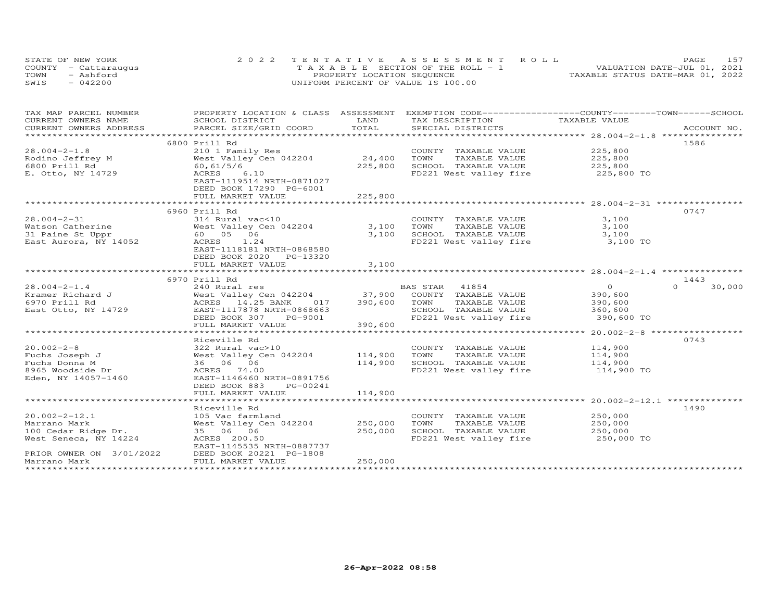| STATE OF NEW YORK    | 2022 TENTATIVE ASSESSMENT ROLL        | 157<br>PAGE.                     |
|----------------------|---------------------------------------|----------------------------------|
| COUNTY - Cattaraugus | T A X A B L E SECTION OF THE ROLL - 1 | VALUATION DATE-JUL 01, 2021      |
| TOWN<br>- Ashford    | PROPERTY LOCATION SEQUENCE            | TAXABLE STATUS DATE-MAR 01, 2022 |
| $-042200$<br>SWIS    | UNIFORM PERCENT OF VALUE IS 100.00    |                                  |

| TAX MAP PARCEL NUMBER    | PROPERTY LOCATION & CLASS ASSESSMENT |         | EXEMPTION CODE------------------COUNTY-------TOWN------SCHOOL |                    |                    |
|--------------------------|--------------------------------------|---------|---------------------------------------------------------------|--------------------|--------------------|
| CURRENT OWNERS NAME      | SCHOOL DISTRICT                      | LAND    | TAX DESCRIPTION                                               | TAXABLE VALUE      |                    |
| CURRENT OWNERS ADDRESS   | PARCEL SIZE/GRID COORD               | TOTAL   | SPECIAL DISTRICTS                                             |                    | ACCOUNT NO.        |
| **********************   |                                      |         |                                                               |                    |                    |
|                          | 6800 Prill Rd                        |         |                                                               |                    | 1586               |
| $28.004 - 2 - 1.8$       | 210 1 Family Res                     |         | COUNTY TAXABLE VALUE                                          | 225,800            |                    |
| Rodino Jeffrey M         | West Valley Cen 042204               | 24,400  | TOWN<br>TAXABLE VALUE                                         |                    |                    |
| 6800 Prill Rd            | 60, 61/5/6                           | 225,800 | SCHOOL TAXABLE VALUE                                          | 225,800<br>225,800 |                    |
| E. Otto, NY 14729        | ACRES<br>6.10                        |         | FD221 West valley fire 225,800 TO                             |                    |                    |
|                          | EAST-1119514 NRTH-0871027            |         |                                                               |                    |                    |
|                          | DEED BOOK 17290 PG-6001              |         |                                                               |                    |                    |
|                          | FULL MARKET VALUE                    | 225,800 |                                                               |                    |                    |
|                          |                                      |         |                                                               |                    |                    |
|                          |                                      |         |                                                               |                    |                    |
|                          | 6960 Prill Rd                        |         |                                                               |                    | 0747               |
| $28.004 - 2 - 31$        | 314 Rural vac<10                     |         | COUNTY TAXABLE VALUE                                          | 3,100              |                    |
| Watson Catherine         | West Valley Cen 042204               | 3,100   | TOWN<br>TAXABLE VALUE                                         | 3,100              |                    |
| 31 Paine St Uppr         | 60  05  06                           | 3,100   | SCHOOL TAXABLE VALUE                                          | 3,100              |                    |
| East Aurora, NY 14052    | ACRES<br>1.24                        |         | FD221 West valley fire 3,100 TO                               |                    |                    |
|                          | EAST-1118181 NRTH-0868580            |         |                                                               |                    |                    |
|                          | DEED BOOK 2020 PG-13320              |         |                                                               |                    |                    |
|                          | FULL MARKET VALUE                    | 3,100   |                                                               |                    |                    |
|                          |                                      |         |                                                               |                    |                    |
|                          | 6970 Prill Rd                        |         |                                                               |                    | 1443               |
| $28.004 - 2 - 1.4$       | 240 Rural res                        |         | BAS STAR 41854                                                | $\overline{0}$     | $\Omega$<br>30,000 |
| Kramer Richard J         | West Valley Cen 042204 37,900        |         | COUNTY TAXABLE VALUE                                          | 390,600            |                    |
| 6970 Prill Rd            | ACRES 14.25 BANK<br>017              | 390,600 | TOWN<br>TAXABLE VALUE                                         | 390,600            |                    |
| East Otto, NY 14729      | EAST-1117878 NRTH-0868663            |         | SCHOOL TAXABLE VALUE                                          | 360,600            |                    |
|                          | DEED BOOK 307<br>PG-9001             |         | FD221 West valley fire                                        | 390,600 TO         |                    |
|                          | FULL MARKET VALUE                    | 390,600 |                                                               |                    |                    |
|                          |                                      |         |                                                               |                    |                    |
|                          | Riceville Rd                         |         |                                                               |                    | 0743               |
| $20.002 - 2 - 8$         | 322 Rural vac>10                     |         | COUNTY TAXABLE VALUE                                          | 114,900            |                    |
| Fuchs Joseph J           | West Valley Cen 042204               | 114,900 | TOWN<br>TAXABLE VALUE                                         | 114,900            |                    |
| Fuchs Donna M            | 36 06 06                             | 114,900 | SCHOOL TAXABLE VALUE                                          | 114,900            |                    |
|                          | ACRES 74.00                          |         | FD221 West valley fire                                        | 114,900 TO         |                    |
| 8965 Woodside Dr         | EAST-1146460 NRTH-0891756            |         |                                                               |                    |                    |
| Eden, NY 14057-1460      |                                      |         |                                                               |                    |                    |
|                          | DEED BOOK 883<br>PG-00241            |         |                                                               |                    |                    |
|                          | FULL MARKET VALUE                    | 114,900 |                                                               |                    |                    |
|                          |                                      |         |                                                               |                    |                    |
|                          | Riceville Rd                         |         |                                                               |                    | 1490               |
| $20.002 - 2 - 12.1$      | 105 Vac farmland                     |         | COUNTY TAXABLE VALUE                                          | 250,000            |                    |
| Marrano Mark             | West Valley Cen 042204               | 250,000 | TOWN<br>TAXABLE VALUE                                         | 250,000            |                    |
| 100 Cedar Ridge Dr.      | 35 06 06                             | 250,000 | SCHOOL TAXABLE VALUE                                          | 250,000            |                    |
| West Seneca, NY 14224    | ACRES 200.50                         |         | FD221 West valley fire 250,000 TO                             |                    |                    |
|                          | EAST-1145535 NRTH-0887737            |         |                                                               |                    |                    |
| PRIOR OWNER ON 3/01/2022 | DEED BOOK 20221 PG-1808              |         |                                                               |                    |                    |
| Marrano Mark             | FULL MARKET VALUE                    | 250,000 |                                                               |                    |                    |
|                          |                                      |         |                                                               |                    |                    |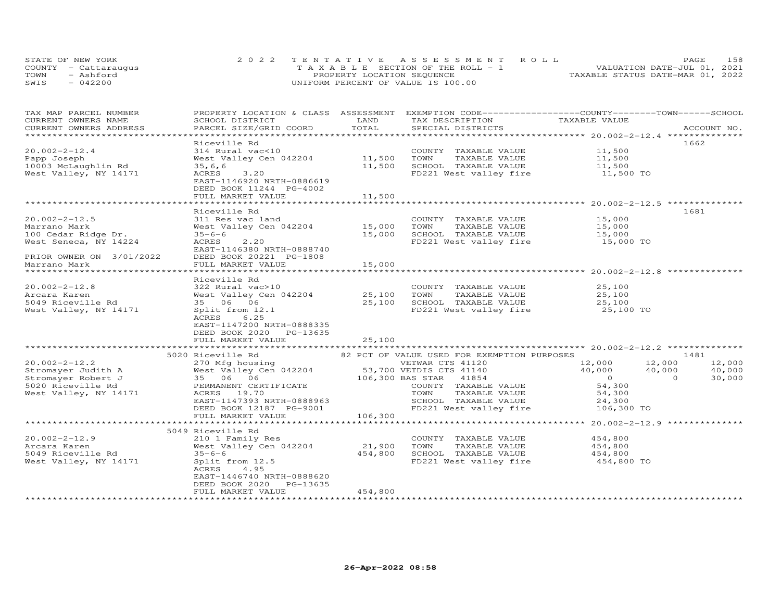|      | STATE OF NEW YORK    | 2022 TENTATIVE ASSESSMENT ROLL        | PAGE.                            | 158 |
|------|----------------------|---------------------------------------|----------------------------------|-----|
|      | COUNTY - Cattaraugus | T A X A B L E SECTION OF THE ROLL - 1 | VALUATION DATE-JUL 01, 2021      |     |
| TOWN | - Ashford            | PROPERTY LOCATION SEQUENCE            | TAXABLE STATUS DATE-MAR 01, 2022 |     |
| SWIS | $-042200$            | UNIFORM PERCENT OF VALUE IS 100.00    |                                  |     |

| TAX MAP PARCEL NUMBER<br>CURRENT OWNERS NAME | PROPERTY LOCATION & CLASS ASSESSMENT EXEMPTION CODE-----------------COUNTY-------TOWN------SCHOOL<br>SCHOOL DISTRICT | LAND        | TAX DESCRIPTION TAXABLE VALUE                     |                                                                                  |                    |
|----------------------------------------------|----------------------------------------------------------------------------------------------------------------------|-------------|---------------------------------------------------|----------------------------------------------------------------------------------|--------------------|
|                                              |                                                                                                                      |             |                                                   |                                                                                  |                    |
|                                              | Riceville Rd                                                                                                         |             |                                                   |                                                                                  | 1662               |
| $20.002 - 2 - 12.4$                          | 314 Rural vac<10                                                                                                     |             | COUNTY TAXABLE VALUE                              | 11,500                                                                           |                    |
| Papp Joseph                                  | West Valley Cen 042204 11,500 TOWN                                                                                   |             | TAXABLE VALUE                                     | 11,500                                                                           |                    |
| 10003 McLaughlin Rd                          | 35, 6, 6                                                                                                             | 11,500      | SCHOOL TAXABLE VALUE                              | 11,500                                                                           |                    |
| West Valley, NY 14171                        | 3,20<br>ACRES                                                                                                        |             | FD221 West valley fire 11,500 TO                  |                                                                                  |                    |
|                                              | EAST-1146920 NRTH-0886619                                                                                            |             |                                                   |                                                                                  |                    |
|                                              | DEED BOOK 11244 PG-4002                                                                                              |             |                                                   |                                                                                  |                    |
|                                              | FULL MARKET VALUE                                                                                                    | 11,500      |                                                   |                                                                                  |                    |
|                                              |                                                                                                                      |             |                                                   |                                                                                  |                    |
|                                              | Riceville Rd                                                                                                         |             |                                                   |                                                                                  | 1681               |
| $20.002 - 2 - 12.5$                          | 311 Res vac land                                                                                                     |             | COUNTY TAXABLE VALUE                              | 15,000                                                                           |                    |
| Marrano Mark                                 | West Valley Cen 042204                                                                                               | 15,000      | TAXABLE VALUE<br>TOWN                             | 15,000                                                                           |                    |
| 100 Cedar Ridge Dr.                          | $35 - 6 - 6$                                                                                                         | 15,000      | SCHOOL TAXABLE VALUE<br>FD221 West valley fire    | 15,000                                                                           |                    |
| West Seneca, NY 14224                        | ACRES<br>2,20                                                                                                        |             |                                                   | 15,000 TO                                                                        |                    |
| PRIOR OWNER ON 3/01/2022                     | EAST-1146380 NRTH-0888740                                                                                            |             |                                                   |                                                                                  |                    |
| Marrano Mark                                 | DEED BOOK 20221 PG-1808<br>FULL MARKET VALUE                                                                         | 15,000      |                                                   |                                                                                  |                    |
| ****************                             |                                                                                                                      | *********** |                                                   | *******************************20.002-2-12.8 *********************************** |                    |
|                                              | Riceville Rd                                                                                                         |             |                                                   |                                                                                  |                    |
| $20.002 - 2 - 12.8$                          | 322 Rural vac>10                                                                                                     |             | COUNTY TAXABLE VALUE                              |                                                                                  |                    |
| Arcara Karen                                 | West Valley Cen 042204 25,100                                                                                        |             | TOWN<br>TAXABLE VALUE                             | 25,100<br>25,100                                                                 |                    |
| 5049 Riceville Rd                            | 35 06 06                                                                                                             | 25,100      |                                                   | 25,100                                                                           |                    |
| West Valley, NY 14171                        | Split from 12.1                                                                                                      |             | SCHOOL TAXABLE VALUE<br>FD221 West valley fire    | $25,100$ TO                                                                      |                    |
|                                              | 6.25<br>ACRES                                                                                                        |             |                                                   |                                                                                  |                    |
|                                              | EAST-1147200 NRTH-0888335                                                                                            |             |                                                   |                                                                                  |                    |
|                                              | DEED BOOK 2020 PG-13635                                                                                              |             |                                                   |                                                                                  |                    |
|                                              | FULL MARKET VALUE                                                                                                    | 25,100      |                                                   |                                                                                  |                    |
|                                              |                                                                                                                      |             |                                                   |                                                                                  |                    |
|                                              | 5020 Riceville Rd                                                                                                    |             | 82 PCT OF VALUE USED FOR EXEMPTION PURPOSES       |                                                                                  | 1481               |
| $20.002 - 2 - 12.2$                          | 270 Mfg housing                                                                                                      |             | VETWAR CTS 41120                                  | 12,000<br>12,000                                                                 | 12,000             |
| Stromayer Judith A                           | West Valley Cen 042204                                                                                               |             | 53,700 VETDIS CTS 41140<br>106,300 BAS STAR 41854 | 40,000 40,000                                                                    | 40,000             |
| Stromayer Robert J                           | 35 06 06                                                                                                             |             | 106,300 BAS STAR 41854                            | $\overline{0}$                                                                   | 30,000<br>$\Omega$ |
| 5020 Riceville Rd                            | PERMANENT CERTIFICATE                                                                                                |             | COUNTY TAXABLE VALUE                              | 54,300<br>54,300                                                                 |                    |
| West Valley, NY 14171                        | ACRES 19.70                                                                                                          |             | TOWN<br>TAXABLE VALUE                             |                                                                                  |                    |
|                                              | EAST-1147393 NRTH-0888963                                                                                            |             |                                                   |                                                                                  |                    |
|                                              | DEED BOOK 12187 PG-9001                                                                                              | 106,300     |                                                   |                                                                                  |                    |
|                                              | FULL MARKET VALUE                                                                                                    |             |                                                   |                                                                                  |                    |
|                                              |                                                                                                                      |             |                                                   |                                                                                  |                    |
|                                              | 5049 Riceville Rd                                                                                                    |             |                                                   |                                                                                  |                    |
| $20.002 - 2 - 12.9$                          | 210 1 Family Res                                                                                                     |             | COUNTY TAXABLE VALUE                              | 454,800                                                                          |                    |
| Arcara Karen                                 | West Valley Cen 042204                                                                                               | 21,900      | TOWN<br>TAXABLE VALUE                             | 454,800                                                                          |                    |
| 5049 Riceville Rd                            | $35 - 6 - 6$                                                                                                         | 454,800     | SCHOOL TAXABLE VALUE                              | 454,800                                                                          |                    |
| West Valley, NY 14171                        | Split from 12.5<br>ACRES<br>4.95                                                                                     |             | FD221 West valley fire                            | 454,800 TO                                                                       |                    |
|                                              | EAST-1446740 NRTH-0888620                                                                                            |             |                                                   |                                                                                  |                    |
|                                              | DEED BOOK 2020 PG-13635                                                                                              |             |                                                   |                                                                                  |                    |
|                                              | FULL MARKET VALUE                                                                                                    | 454,800     |                                                   |                                                                                  |                    |
|                                              |                                                                                                                      |             |                                                   |                                                                                  |                    |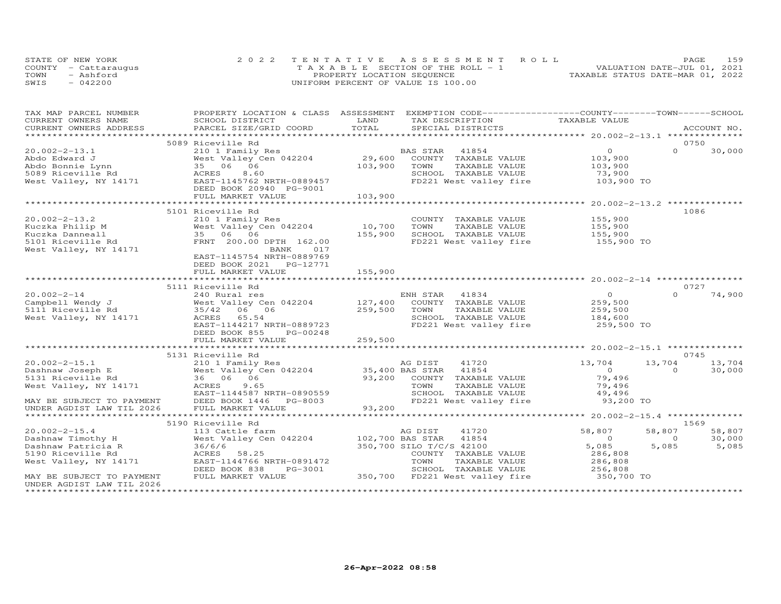|      | STATE OF NEW YORK    | 2022 TENTATIVE ASSESSMENT ROLL        | PAGE                             | 159 |
|------|----------------------|---------------------------------------|----------------------------------|-----|
|      | COUNTY - Cattarauqus | T A X A B L E SECTION OF THE ROLL - 1 | VALUATION DATE-JUL 01, 2021      |     |
| TOWN | - Ashford            | PROPERTY LOCATION SEQUENCE            | TAXABLE STATUS DATE-MAR 01, 2022 |     |
| SWIS | $-042200$            | UNIFORM PERCENT OF VALUE IS 100.00    |                                  |     |

| TAX MAP PARCEL NUMBER                                  | PROPERTY LOCATION & CLASS ASSESSMENT EXEMPTION CODE----------------COUNTY-------TOWN------SCHOOL |                       |                                                       |                    |                          |
|--------------------------------------------------------|--------------------------------------------------------------------------------------------------|-----------------------|-------------------------------------------------------|--------------------|--------------------------|
| CURRENT OWNERS NAME                                    | SCHOOL DISTRICT                                                                                  | LAND                  | TAX DESCRIPTION TAXABLE VALUE                         |                    |                          |
| CURRENT OWNERS ADDRESS                                 | PARCEL SIZE/GRID COORD                                                                           | TOTAL                 | SPECIAL DISTRICTS                                     |                    | ACCOUNT NO.              |
|                                                        |                                                                                                  |                       |                                                       |                    |                          |
|                                                        | 5089 Riceville Rd                                                                                |                       |                                                       |                    | 0750                     |
| $20.002 - 2 - 13.1$                                    | 210 1 Family Res                                                                                 | $29,600$ <sup>B</sup> | BAS STAR<br>41854                                     | $\overline{O}$     | $\Omega$<br>30,000       |
| Abdo Edward J                                          | West Valley Cen 042204                                                                           |                       | COUNTY TAXABLE VALUE                                  | 103,900            |                          |
| Abdo Bonnie Lynn                                       | 35 06 06                                                                                         | 103,900               | TOWN<br>TAXABLE VALUE                                 | 103,900            |                          |
| 5089 Riceville Rd                                      | 8.60<br>ACRES                                                                                    |                       | SCHOOL TAXABLE VALUE                                  | 73,900             |                          |
| West Valley, NY 14171                                  | EAST-1145762 NRTH-0889457                                                                        |                       | FD221 West valley fire 103,900 TO                     |                    |                          |
|                                                        | DEED BOOK 20940 PG-9001                                                                          |                       |                                                       |                    |                          |
|                                                        | FULL MARKET VALUE                                                                                | 103,900               |                                                       |                    |                          |
|                                                        |                                                                                                  |                       |                                                       |                    |                          |
|                                                        | 5101 Riceville Rd                                                                                |                       |                                                       |                    | 1086                     |
| $20.002 - 2 - 13.2$                                    | 210 1 Family Res                                                                                 |                       | COUNTY TAXABLE VALUE                                  | 155,900            |                          |
| Kuczka Philip M                                        | West Valley Cen 042204                                                                           | 10,700                | TOWN<br>TAXABLE VALUE                                 | 155,900<br>155,900 |                          |
| Kuczka Danneall                                        | 35 06 06                                                                                         | 155,900               | SCHOOL TAXABLE VALUE                                  |                    |                          |
| 5101 Riceville Rd                                      | FRNT 200.00 DPTH 162.00                                                                          |                       | FD221 West valley fire                                | 155,900 TO         |                          |
| West Valley, NY 14171                                  | BANK<br>017                                                                                      |                       |                                                       |                    |                          |
|                                                        | EAST-1145754 NRTH-0889769                                                                        |                       |                                                       |                    |                          |
|                                                        | DEED BOOK 2021    PG-12771                                                                       |                       |                                                       |                    |                          |
|                                                        | FULL MARKET VALUE                                                                                | 155,900               |                                                       |                    |                          |
|                                                        |                                                                                                  |                       |                                                       |                    |                          |
|                                                        | 5111 Riceville Rd                                                                                |                       |                                                       |                    | 0727                     |
|                                                        |                                                                                                  |                       |                                                       | $\sim$ 0           | $\Omega$<br>74,900       |
|                                                        |                                                                                                  |                       |                                                       | 259,500            |                          |
|                                                        |                                                                                                  | 259,500               | TOWN<br>TAXABLE VALUE                                 | 259,500<br>184,600 |                          |
| West Valley, NY 14171                                  |                                                                                                  |                       | SCHOOL TAXABLE VALUE                                  |                    |                          |
|                                                        | EAST-1144217 NRTH-0889723                                                                        |                       | FD221 West valley fire 259,500 TO                     |                    |                          |
|                                                        | DEED BOOK 855<br>PG-00248                                                                        |                       |                                                       |                    |                          |
|                                                        | FULL MARKET VALUE                                                                                | 259,500               |                                                       |                    |                          |
|                                                        |                                                                                                  |                       |                                                       |                    |                          |
|                                                        | 5131 Riceville Rd                                                                                |                       |                                                       |                    | 0745                     |
| $20.002 - 2 - 15.1$                                    | 210 1 Family Res                                                                                 |                       | 41720<br>AG DIST                                      | 13,704             | 13,704 13,704            |
| Dashnaw Joseph E                                       | West Valley Cen 042204                                                                           |                       |                                                       | $\overline{0}$     | $\overline{0}$<br>30,000 |
| 5131 Riceville Rd                                      | 36 06 06                                                                                         |                       | 35,400 BAS STAR 41854<br>93,200 COUNTY TAXABLE VALUE  | 79,496             |                          |
| West Valley, NY 14171                                  | ACRES<br>9.65                                                                                    |                       |                                                       | 79,496             |                          |
|                                                        | EAST-1144587 NRTH-0890559                                                                        |                       | TOWN       TAXABLE  VALUE<br>SCHOOL    TAXABLE  VALUE | 49,496             |                          |
| MAY BE SUBJECT TO PAYMENT<br>----- <i>INM</i> TIL 2026 | DEED BOOK 1446 PG-8003                                                                           |                       | FD221 West valley fire                                | 93,200 TO          |                          |
|                                                        | FULL MARKET VALUE                                                                                | 93,200                |                                                       |                    |                          |
|                                                        |                                                                                                  |                       |                                                       |                    |                          |
|                                                        | 5190 Riceville Rd                                                                                |                       |                                                       |                    | 1569                     |
| $20.002 - 2 - 15.4$                                    | 113 Cattle farm                                                                                  |                       | 41720<br>AG DIST                                      | 58,807             | 58,807<br>58,807         |
| Dashnaw Timothy H                                      | West Valley Cen 042204 102,700 BAS STAR                                                          |                       | 41854                                                 | $\overline{0}$     | 30,000<br>$\Omega$       |
| Dashnaw Patricia R                                     | 36/6/6                                                                                           |                       | 350,700 SILO T/C/S 42100                              | 5,085              | 5,085<br>5,085           |
| 5190 Riceville Rd                                      | ACRES 58.25                                                                                      |                       | COUNTY TAXABLE VALUE                                  | 286,808            |                          |
| West Valley, NY 14171                                  | EAST-1144766 NRTH-0891472                                                                        |                       | TOWN<br>TAXABLE VALUE                                 | 286,808            |                          |
|                                                        | DEED BOOK 838<br>PG-3001                                                                         |                       | SCHOOL TAXABLE VALUE                                  | 256,808            |                          |
| MAY BE SUBJECT TO PAYMENT                              | FULL MARKET VALUE                                                                                |                       | 350,700 FD221 West valley fire                        | 350,700 TO         |                          |
| UNDER AGDIST LAW TIL 2026                              |                                                                                                  |                       |                                                       |                    |                          |
|                                                        |                                                                                                  |                       |                                                       |                    |                          |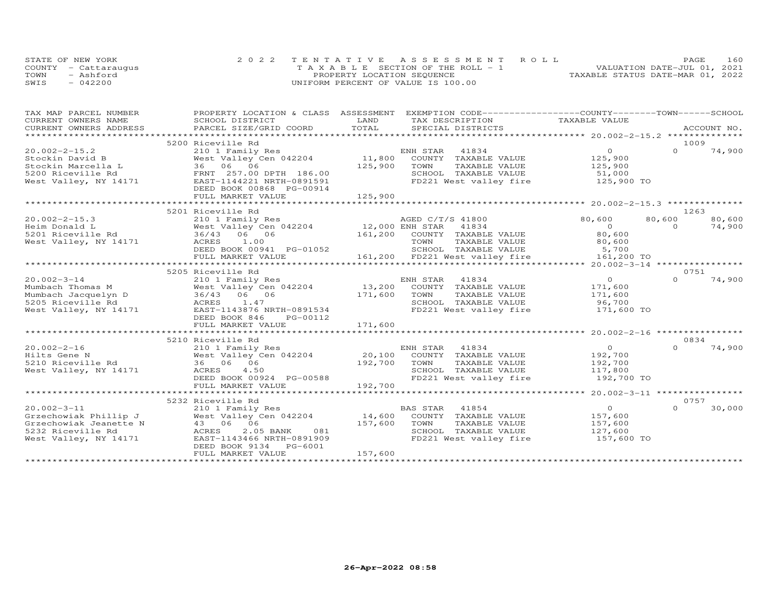|      | STATE OF NEW YORK    | 2022 TENTATIVE ASSESSMENT ROLL        |                                  | PAGE | 160 |
|------|----------------------|---------------------------------------|----------------------------------|------|-----|
|      | COUNTY - Cattaraugus | T A X A B L E SECTION OF THE ROLL - 1 | VALUATION DATE-JUL 01, 2021      |      |     |
| TOWN | - Ashford            | PROPERTY LOCATION SEQUENCE            | TAXABLE STATUS DATE-MAR 01, 2022 |      |     |
| SWIS | $-042200$            | UNIFORM PERCENT OF VALUE IS 100.00    |                                  |      |     |

| TAX MAP PARCEL NUMBER                                                                                                                     |                                                                                                              |              | PROPERTY LOCATION & CLASS ASSESSMENT EXEMPTION CODE----------------COUNTY-------TOWN-----SCHOOL |                         |          |             |
|-------------------------------------------------------------------------------------------------------------------------------------------|--------------------------------------------------------------------------------------------------------------|--------------|-------------------------------------------------------------------------------------------------|-------------------------|----------|-------------|
| CURRENT OWNERS NAME                                                                                                                       | SCHOOL DISTRICT                                                                                              | LAND         | TAX DESCRIPTION                                                                                 | TAXABLE VALUE           |          |             |
| CURRENT OWNERS ADDRESS<br>.CURRENT OWNERS ADDRESS PARCEL SIZE/GRID COORD TOTAL SPECIAL DISTRICTS ACCOUNT NO ACCOUNT NO ACCOUNT NO ACCOUNT |                                                                                                              |              |                                                                                                 |                         |          | ACCOUNT NO. |
|                                                                                                                                           |                                                                                                              |              |                                                                                                 |                         |          |             |
|                                                                                                                                           | 5200 Riceville Rd                                                                                            |              |                                                                                                 |                         | 1009     |             |
| $20.002 - 2 - 15.2$                                                                                                                       |                                                                                                              |              |                                                                                                 |                         | $\Omega$ | 74,900      |
| Stockin David B                                                                                                                           |                                                                                                              |              |                                                                                                 |                         |          |             |
|                                                                                                                                           |                                                                                                              | 125,900 TOWN | TAXABLE VALUE                                                                                   |                         |          |             |
|                                                                                                                                           |                                                                                                              |              | SCHOOL TAXABLE VALUE                                                                            | 125,900<br>51,000       |          |             |
| West Valley, NY 14171                                                                                                                     | EAST-1144221 NRTH-0891591                                                                                    |              | FD221 West valley fire 125,900 TO                                                               |                         |          |             |
|                                                                                                                                           | DEED BOOK 00868 PG-00914                                                                                     |              |                                                                                                 |                         |          |             |
|                                                                                                                                           | FULL MARKET VALUE                                                                                            | 125,900      |                                                                                                 |                         |          |             |
|                                                                                                                                           |                                                                                                              |              |                                                                                                 |                         |          |             |
|                                                                                                                                           | 5201 Riceville Rd                                                                                            |              |                                                                                                 |                         | 1263     |             |
| $20.002 - 2 - 15.3$                                                                                                                       | 210 1 Family Res<br>West Valley Cen 042204 12,000 ENH STAR 41834<br>36/43 06 06 161,200 COUNTY TAXABLE VALUE |              |                                                                                                 | 80,600                  | 80,600   | 80,600      |
| Heim Donald L                                                                                                                             |                                                                                                              |              |                                                                                                 | $\Omega$                | $\Omega$ | 74,900      |
| 5201 Riceville Rd                                                                                                                         |                                                                                                              |              |                                                                                                 | 80,600                  |          |             |
| West Valley, NY 14171                                                                                                                     | ACRES 1.00                                                                                                   |              |                                                                                                 |                         |          |             |
|                                                                                                                                           | AURED BOOK 00941 PG-01052                                                                                    |              |                                                                                                 |                         |          |             |
|                                                                                                                                           | FULL MARKET VALUE                                                                                            |              | 161,200 FD221 West valley fire 161,200 TO                                                       |                         |          |             |
|                                                                                                                                           |                                                                                                              |              |                                                                                                 |                         |          |             |
|                                                                                                                                           | 5205 Riceville Rd                                                                                            |              |                                                                                                 |                         | 0751     |             |
|                                                                                                                                           |                                                                                                              |              |                                                                                                 | $\overline{O}$          | $\Omega$ | 74,900      |
|                                                                                                                                           |                                                                                                              |              |                                                                                                 |                         |          |             |
|                                                                                                                                           |                                                                                                              |              |                                                                                                 | 171,600                 |          |             |
|                                                                                                                                           |                                                                                                              |              |                                                                                                 | 171,600<br>96,700       |          |             |
|                                                                                                                                           |                                                                                                              |              |                                                                                                 |                         |          |             |
| West Valley, NY 14171 EAST-1143876 NRTH-0891534                                                                                           |                                                                                                              |              | FD221 West valley fire 171,600 TO                                                               |                         |          |             |
|                                                                                                                                           | DEED BOOK 846<br>PG-00112                                                                                    |              |                                                                                                 |                         |          |             |
|                                                                                                                                           | FULL MARKET VALUE                                                                                            | 171,600      |                                                                                                 |                         |          |             |
|                                                                                                                                           |                                                                                                              |              |                                                                                                 |                         |          |             |
|                                                                                                                                           | 5210 Riceville Rd                                                                                            |              |                                                                                                 |                         | 0834     |             |
| $20.002 - 2 - 16$                                                                                                                         |                                                                                                              |              |                                                                                                 |                         | $\Omega$ | 74,900      |
| Hilts Gene N                                                                                                                              |                                                                                                              |              |                                                                                                 |                         |          |             |
| 5210 Riceville Rd                                                                                                                         | 210 1 Family Res<br>West Valley Cen 042204<br>36 06 06                                                       |              | ENH STAR 41834<br>20,100 COUNTY TAXABLE VALUE<br>192,700 TOWN TAXABLE VALUE<br>TAXABLE VALUE    | 0<br>192,700<br>192,700 |          |             |
| West Valley, NY 14171                                                                                                                     | ACRES<br>4.50                                                                                                |              | SCHOOL TAXABLE VALUE                                                                            | 117,800                 |          |             |
|                                                                                                                                           | DEED BOOK 00924 PG-00588                                                                                     |              | FD221 West valley fire                                                                          | 192,700 TO              |          |             |
|                                                                                                                                           | FULL MARKET VALUE                                                                                            | 192,700      |                                                                                                 |                         |          |             |
|                                                                                                                                           |                                                                                                              |              |                                                                                                 |                         |          |             |
|                                                                                                                                           | 5232 Riceville Rd                                                                                            |              |                                                                                                 |                         | 0757     |             |
| $20.002 - 3 - 11$                                                                                                                         | 210 1 Family Res                                                                                             |              | BAS STAR 41854                                                                                  | $\overline{O}$          | $\Omega$ | 30,000      |
| Grzechowiak Phillip J                                                                                                                     |                                                                                                              |              | 14,600 COUNTY TAXABLE VALUE                                                                     | 157,600                 |          |             |
| Grzechowiak Jeanette N                                                                                                                    | 210 1 Family Res<br>West Valley Cen 042204<br>43 06<br>ACRES 2.05 BANK 081<br>EAST-1143466 NRTH-0891909      | 157,600      | TOWN<br>TAXABLE VALUE                                                                           | 157,600                 |          |             |
| 5232 Riceville Rd                                                                                                                         | 081                                                                                                          |              | SCHOOL TAXABLE VALUE                                                                            |                         |          |             |
| West Valley, NY 14171                                                                                                                     |                                                                                                              |              | FD221 West valley fire                                                                          | 127,600<br>157,600 TO   |          |             |
|                                                                                                                                           | DEED BOOK 9134 PG-6001                                                                                       |              |                                                                                                 |                         |          |             |
|                                                                                                                                           | FULL MARKET VALUE                                                                                            | 157,600      |                                                                                                 |                         |          |             |
|                                                                                                                                           |                                                                                                              |              |                                                                                                 |                         |          |             |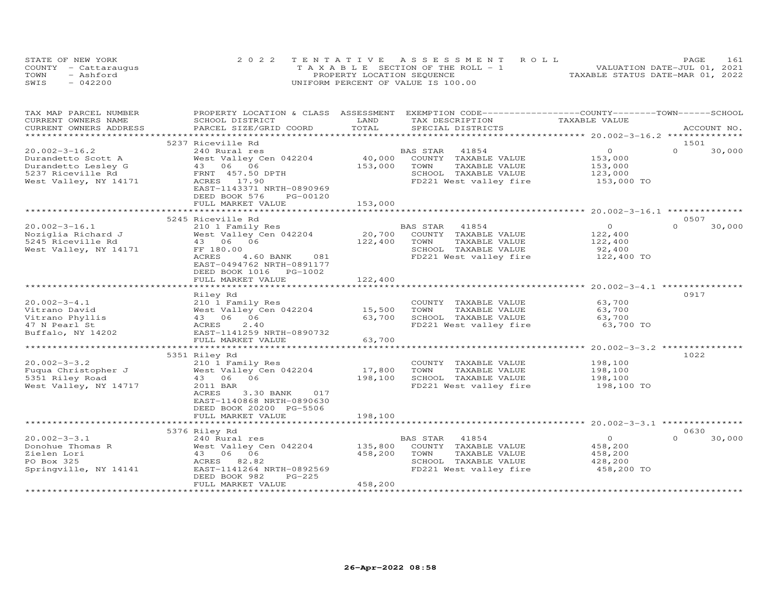| STATE OF NEW YORK    | 2022 TENTATIVE ASSESSMENT ROLL        | PAGE.                            | 161 |
|----------------------|---------------------------------------|----------------------------------|-----|
| COUNTY - Cattaraugus | T A X A B L E SECTION OF THE ROLL - 1 | VALUATION DATE-JUL 01, 2021      |     |
| TOWN<br>- Ashford    | PROPERTY LOCATION SEQUENCE            | TAXABLE STATUS DATE-MAR 01, 2022 |     |
| SWIS<br>$-042200$    | UNIFORM PERCENT OF VALUE IS 100.00    |                                  |     |

| TAX MAP PARCEL NUMBER                          | PROPERTY LOCATION & CLASS ASSESSMENT EXEMPTION CODE----------------COUNTY-------TOWN------SCHOOL |         |                                               |               |                       |                  |             |
|------------------------------------------------|--------------------------------------------------------------------------------------------------|---------|-----------------------------------------------|---------------|-----------------------|------------------|-------------|
| CURRENT OWNERS NAME                            | SCHOOL DISTRICT                                                                                  | LAND    | TAX DESCRIPTION                               | TAXABLE VALUE |                       |                  |             |
| CURRENT OWNERS ADDRESS<br>******************** | PARCEL SIZE/GRID COORD                                                                           | TOTAL   | SPECIAL DISTRICTS                             |               |                       |                  | ACCOUNT NO. |
|                                                |                                                                                                  |         |                                               |               |                       | 1501             |             |
| $20.002 - 3 - 16.2$                            | 5237 Riceville Rd                                                                                |         | 41854                                         |               | $\overline{0}$        | $\Omega$         | 30,000      |
|                                                | 240 Rural res                                                                                    | 40,000  | BAS STAR                                      |               |                       |                  |             |
| Durandetto Scott A<br>Durandetto Lesley G      | West Valley Cen 042204<br>43 06 06                                                               | 153,000 | COUNTY TAXABLE VALUE<br>TAXABLE VALUE<br>TOWN |               | 153,000               |                  |             |
| 5237 Riceville Rd                              | FRNT 457.50 DPTH                                                                                 |         | SCHOOL TAXABLE VALUE                          |               | 153,000<br>123,000    |                  |             |
| West Valley, NY 14171                          | ACRES 17.90                                                                                      |         | FD221 West valley fire                        |               | 153,000 TO            |                  |             |
|                                                | EAST-1143371 NRTH-0890969                                                                        |         |                                               |               |                       |                  |             |
|                                                | DEED BOOK 576<br>PG-00120                                                                        |         |                                               |               |                       |                  |             |
|                                                | FULL MARKET VALUE                                                                                | 153,000 |                                               |               |                       |                  |             |
|                                                |                                                                                                  |         |                                               |               |                       |                  |             |
|                                                | 5245 Riceville Rd                                                                                |         |                                               |               |                       | 0507             |             |
| $20.002 - 3 - 16.1$                            | 210 1 Family Res                                                                                 |         | BAS STAR<br>41854                             |               | $\overline{O}$        | $\Omega$         | 30,000      |
| Noziglia Richard J                             | West Valley Cen 042204                                                                           | 20,700  | COUNTY TAXABLE VALUE                          |               | 122,400               |                  |             |
| 5245 Riceville Rd                              | 43 06 06                                                                                         | 122,400 | TOWN                                          | TAXABLE VALUE | 122,400               |                  |             |
| West Valley, NY 14171                          | FF 180.00                                                                                        |         | SCHOOL TAXABLE VALUE                          |               | 92,400                |                  |             |
|                                                | ACRES<br>4.60 BANK 081                                                                           |         | FD221 West valley fire                        |               | 122,400 TO            |                  |             |
|                                                | EAST-0494762 NRTH-0891177                                                                        |         |                                               |               |                       |                  |             |
|                                                | DEED BOOK 1016 PG-1002                                                                           |         |                                               |               |                       |                  |             |
|                                                | FULL MARKET VALUE                                                                                | 122,400 |                                               |               |                       |                  |             |
|                                                |                                                                                                  |         |                                               |               |                       |                  |             |
|                                                | Riley Rd                                                                                         |         |                                               |               |                       | 0917             |             |
| $20.002 - 3 - 4.1$                             | 210 1 Family Res                                                                                 |         | COUNTY TAXABLE VALUE                          |               | 63,700                |                  |             |
| Vitrano David                                  | West Valley Cen 042204                                                                           | 15,500  | TOWN                                          | TAXABLE VALUE | 63,700                |                  |             |
| Vitrano Phyllis                                | 43 06 06                                                                                         | 63,700  | SCHOOL TAXABLE VALUE                          |               | 63,700                |                  |             |
| 47 N Pearl St                                  | 2.40<br>ACRES                                                                                    |         | FD221 West valley fire                        |               | 63,700 TO             |                  |             |
| Buffalo, NY 14202                              | EAST-1141259 NRTH-0890732                                                                        |         |                                               |               |                       |                  |             |
|                                                | FULL MARKET VALUE                                                                                | 63,700  |                                               |               |                       |                  |             |
|                                                |                                                                                                  |         |                                               |               |                       |                  |             |
|                                                | 5351 Riley Rd                                                                                    |         |                                               |               |                       | 1022             |             |
| $20.002 - 3 - 3.2$                             | 210 1 Family Res                                                                                 |         | COUNTY TAXABLE VALUE                          |               | 198,100               |                  |             |
| Fuqua Christopher J                            | West Valley Cen 042204                                                                           | 17,800  | TOWN                                          | TAXABLE VALUE | 198,100               |                  |             |
| 5351 Riley Road                                | 06<br>43 06                                                                                      | 198,100 | SCHOOL TAXABLE VALUE                          |               | 198,100               |                  |             |
| West Valley, NY 14717                          | 2011 BAR                                                                                         |         | FD221 West valley fire                        |               | 198,100 TO            |                  |             |
|                                                | ACRES<br>3.30 BANK<br>017                                                                        |         |                                               |               |                       |                  |             |
|                                                | EAST-1140868 NRTH-0890630                                                                        |         |                                               |               |                       |                  |             |
|                                                | DEED BOOK 20200 PG-5506                                                                          |         |                                               |               |                       |                  |             |
|                                                | FULL MARKET VALUE                                                                                | 198,100 |                                               |               |                       |                  |             |
|                                                |                                                                                                  |         |                                               |               |                       |                  |             |
|                                                | 5376 Riley Rd                                                                                    |         |                                               |               | $\overline{0}$        | 0630<br>$\Omega$ |             |
| $20.002 - 3 - 3.1$                             | 240 Rural res                                                                                    |         | BAS STAR<br>41854                             |               |                       |                  | 30,000      |
| Donohue Thomas R                               | West Valley Cen 042204                                                                           | 135,800 | COUNTY TAXABLE VALUE                          |               | 458,200               |                  |             |
| Zielen Lori                                    | 43 06 06                                                                                         | 458,200 | TOWN                                          | TAXABLE VALUE | 458,200               |                  |             |
| PO Box 325<br>Springville, NY 14141            | ACRES 82.82<br>EAST-1141264 NRTH-0892569                                                         |         | SCHOOL TAXABLE VALUE                          |               | 428,200<br>458,200 TO |                  |             |
|                                                | DEED BOOK 982<br>$PG-225$                                                                        |         | FD221 West valley fire                        |               |                       |                  |             |
|                                                | FULL MARKET VALUE                                                                                | 458,200 |                                               |               |                       |                  |             |
|                                                |                                                                                                  |         |                                               |               |                       |                  |             |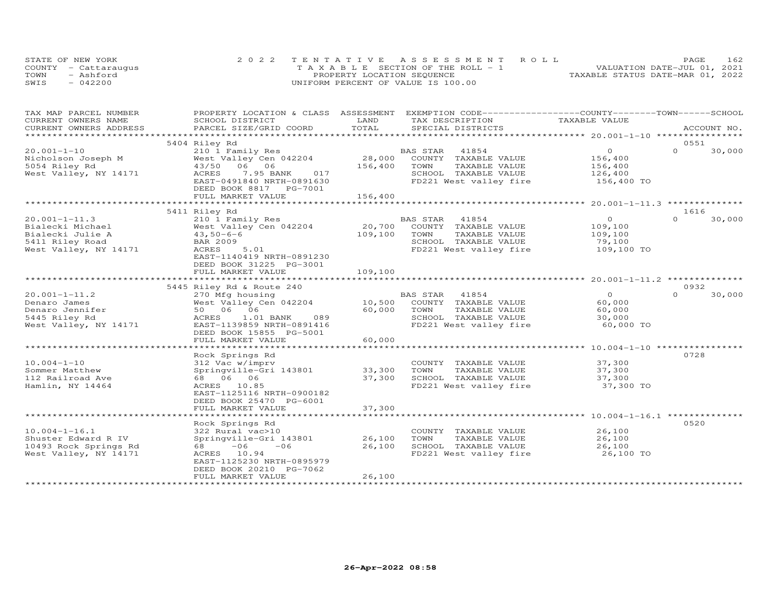|      | STATE OF NEW YORK    | 2022 TENTATIVE ASSESSMENT ROLL        | 1 62.<br>PAGE.                   |
|------|----------------------|---------------------------------------|----------------------------------|
|      | COUNTY - Cattaraugus | T A X A B L E SECTION OF THE ROLL - 1 | VALUATION DATE-JUL 01, 2021      |
| TOWN | $-$ Ashford          | PROPERTY LOCATION SEQUENCE            | TAXABLE STATUS DATE-MAR 01, 2022 |
| SWIS | 042200               | UNIFORM PERCENT OF VALUE IS 100.00    |                                  |

| TAX MAP PARCEL NUMBER   | PROPERTY LOCATION & CLASS ASSESSMENT |                        | EXEMPTION CODE-----------------COUNTY-------TOWN------SCHOOL    |                |          |             |
|-------------------------|--------------------------------------|------------------------|-----------------------------------------------------------------|----------------|----------|-------------|
| CURRENT OWNERS NAME     | SCHOOL DISTRICT                      | LAND                   | TAX DESCRIPTION                                                 | TAXABLE VALUE  |          |             |
| CURRENT OWNERS ADDRESS  | PARCEL SIZE/GRID COORD               | TOTAL                  | SPECIAL DISTRICTS                                               |                |          | ACCOUNT NO. |
| *********************** |                                      |                        |                                                                 |                |          |             |
|                         | 5404 Riley Rd                        |                        |                                                                 |                | 0551     |             |
| $20.001 - 1 - 10$       | 210 1 Family Res                     | $28,000$ <sup>BZ</sup> | BAS STAR<br>41854                                               | $\overline{O}$ | $\Omega$ | 30,000      |
| Nicholson Joseph M      | West Valley Cen 042204               |                        | COUNTY TAXABLE VALUE                                            | 156,400        |          |             |
| 5054 Riley Rd           | 43/50 06 06                          | 156,400                | TAXABLE VALUE<br>TOWN                                           | 156,400        |          |             |
| West Valley, NY 14171   | ACRES<br>7.95 BANK<br>017            |                        | SCHOOL TAXABLE VALUE                                            | 126,400        |          |             |
|                         | EAST-0491840 NRTH-0891630            |                        | FD221 West valley fire 156,400 TO                               |                |          |             |
|                         | DEED BOOK 8817 PG-7001               |                        |                                                                 |                |          |             |
|                         | FULL MARKET VALUE                    | 156,400                |                                                                 |                |          |             |
|                         |                                      |                        |                                                                 |                |          |             |
|                         | 5411 Riley Rd                        |                        |                                                                 |                | 1616     |             |
| $20.001 - 1 - 11.3$     | 210 1 Family Res                     |                        | BAS STAR 41854                                                  | $\overline{O}$ | $\Omega$ | 30,000      |
| Bialecki Michael        | West Valley Cen 042204               | 20,700                 | COUNTY TAXABLE VALUE                                            | 109,100        |          |             |
| Bialecki Julie A        | $43,50-6-6$                          | 109,100                | TOWN<br>TAXABLE VALUE                                           | 109,100        |          |             |
| 5411 Riley Road         | <b>BAR 2009</b>                      |                        | SCHOOL TAXABLE VALUE                                            | 79,100         |          |             |
| West Valley, NY 14171   | ACRES<br>5.01                        |                        | FD221 West valley fire                                          | 109,100 TO     |          |             |
|                         | EAST-1140419 NRTH-0891230            |                        |                                                                 |                |          |             |
|                         | DEED BOOK 31225 PG-3001              |                        |                                                                 |                |          |             |
|                         | FULL MARKET VALUE                    | 109,100                |                                                                 |                |          |             |
|                         |                                      |                        |                                                                 |                |          |             |
|                         | 5445 Riley Rd & Route 240            |                        |                                                                 |                | 0932     |             |
| $20.001 - 1 - 11.2$     | 270 Mfg housing                      |                        | BAS STAR 41854                                                  | $\overline{0}$ | $\Omega$ | 30,000      |
| Denaro James            | West Valley Cen 042204 10,500        |                        | COUNTY TAXABLE VALUE                                            | 60,000         |          |             |
| Denaro Jennifer         | 50 06 06                             | 60,000                 | TOWN<br>TAXABLE VALUE                                           | 60,000         |          |             |
| 5445 Riley Rd           | 089<br>ACRES<br>1.01 BANK            |                        | SCHOOL TAXABLE VALUE                                            | 30,000         |          |             |
| West Valley, NY 14171   | EAST-1139859 NRTH-0891416            |                        | FD221 West valley fire                                          | 60,000 TO      |          |             |
|                         | DEED BOOK 15855 PG-5001              |                        |                                                                 |                |          |             |
|                         | FULL MARKET VALUE                    | 60,000                 |                                                                 |                |          |             |
|                         |                                      |                        |                                                                 |                |          |             |
|                         | Rock Springs Rd                      |                        |                                                                 |                | 0728     |             |
| $10.004 - 1 - 10$       | 312 Vac w/imprv                      |                        | COUNTY TAXABLE VALUE                                            | 37,300         |          |             |
| Sommer Matthew          | Springville-Gri 143801 33,300        |                        | TOWN<br>TAXABLE VALUE                                           | 37,300         |          |             |
| 112 Railroad Ave        | 68 06 06                             | 37,300                 | SCHOOL TAXABLE VALUE                                            | 37,300         |          |             |
| Hamlin, NY 14464        | ACRES 10.85                          |                        | FD221 West valley fire                                          | 37,300 TO      |          |             |
|                         | EAST-1125116 NRTH-0900182            |                        |                                                                 |                |          |             |
|                         | DEED BOOK 25470 PG-6001              |                        |                                                                 |                |          |             |
|                         | FULL MARKET VALUE                    | 37,300                 |                                                                 |                |          |             |
|                         |                                      |                        |                                                                 |                |          |             |
|                         | Rock Springs Rd                      |                        |                                                                 |                | 0.520    |             |
| $10.004 - 1 - 16.1$     | 322 Rural vac>10                     |                        | COUNTY TAXABLE VALUE                                            | 26,100         |          |             |
| Shuster Edward R IV     | Springville-Gri 143801               | 26,100                 | TOWN<br>TAXABLE VALUE                                           | 26,100         |          |             |
| 10493 Rock Springs Rd   | 68 - 06<br>$-06$                     | 26,100                 |                                                                 |                |          |             |
| West Valley, NY 14171   | ACRES 10.94                          |                        | SCHOOL TAXABLE VALUE 26,100<br>FD221 West valley fire 26,100 TO |                |          |             |
|                         | EAST-1125230 NRTH-0895979            |                        |                                                                 |                |          |             |
|                         | DEED BOOK 20210 PG-7062              |                        |                                                                 |                |          |             |
|                         | FULL MARKET VALUE                    | 26,100                 |                                                                 |                |          |             |
|                         |                                      |                        |                                                                 |                |          |             |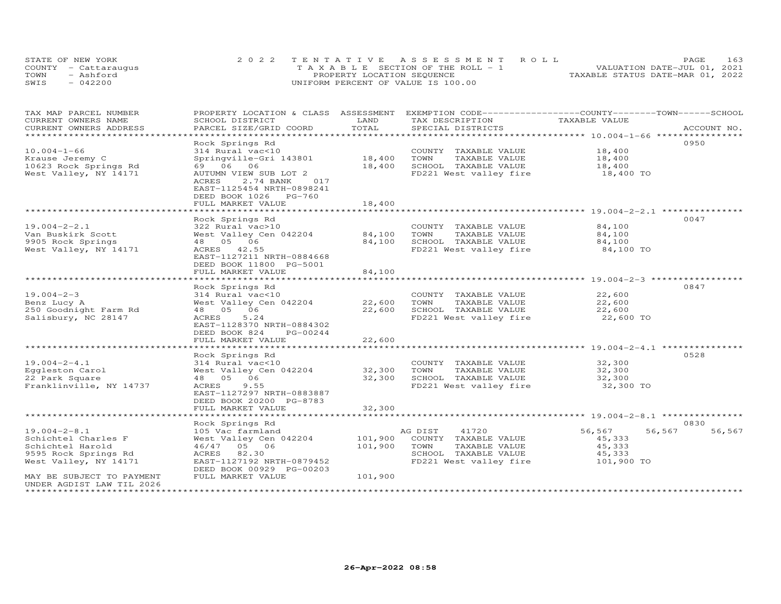| STATE OF NEW YORK    | 2022 TENTATIVE ASSESSMENT ROLL        | 163<br><b>PAGE</b>               |
|----------------------|---------------------------------------|----------------------------------|
| COUNTY - Cattaraugus | T A X A B L E SECTION OF THE ROLL - 1 | VALUATION DATE-JUL 01, 2021      |
| TOWN<br>- Ashford    | PROPERTY LOCATION SEQUENCE            | TAXABLE STATUS DATE-MAR 01, 2022 |
| SWIS<br>$-042200$    | UNIFORM PERCENT OF VALUE IS 100.00    |                                  |

| TAX MAP PARCEL NUMBER<br>CURRENT OWNERS NAME           | PROPERTY LOCATION & CLASS ASSESSMENT<br>SCHOOL DISTRICT                                                                       | LAND                  | EXEMPTION CODE-----------------COUNTY-------TOWN------SCHOOL<br>TAX DESCRIPTION | TAXABLE VALUE                                          |                  |
|--------------------------------------------------------|-------------------------------------------------------------------------------------------------------------------------------|-----------------------|---------------------------------------------------------------------------------|--------------------------------------------------------|------------------|
| CURRENT OWNERS ADDRESS                                 | PARCEL SIZE/GRID COORD                                                                                                        | TOTAL                 | SPECIAL DISTRICTS                                                               |                                                        | ACCOUNT NO.      |
|                                                        |                                                                                                                               |                       |                                                                                 |                                                        | 0950             |
| $10.004 - 1 - 66$                                      | Rock Springs Rd<br>314 Rural vac<10                                                                                           |                       | COUNTY TAXABLE VALUE                                                            | 18,400                                                 |                  |
|                                                        |                                                                                                                               | 18,400                | TOWN                                                                            |                                                        |                  |
| Krause Jeremy C<br>10623 Rock Springs Rd               | Springville-Gri 143801<br>69 06 06                                                                                            | 18,400                | TAXABLE VALUE<br>SCHOOL TAXABLE VALUE                                           | 18,400                                                 |                  |
| West Valley, NY 14171                                  |                                                                                                                               |                       | FD221 West valley fire                                                          | 18,400<br>18,400 TO                                    |                  |
|                                                        | AUTUMN VIEW SUB LOT 2<br>ACRES<br>017<br>2.74 BANK<br>EAST-1125454 NRTH-0898241<br>DEED BOOK 1026 PG-760<br>FULL MARKET VALUE | 18,400                |                                                                                 |                                                        |                  |
|                                                        |                                                                                                                               |                       |                                                                                 |                                                        |                  |
|                                                        | Rock Springs Rd                                                                                                               |                       |                                                                                 |                                                        | 0047             |
| $19.004 - 2 - 2.1$                                     | 322 Rural vac>10                                                                                                              |                       | COUNTY TAXABLE VALUE                                                            | 84,100                                                 |                  |
| Van Buskirk Scott                                      | West Valley Cen 042204                                                                                                        | 84,100                | TOWN<br>TAXABLE VALUE                                                           | 84,100                                                 |                  |
| 9905 Rock Springs                                      | 48  05  06                                                                                                                    | 84,100                | SCHOOL TAXABLE VALUE                                                            | 84,100                                                 |                  |
| West Valley, NY 14171                                  | ACRES 42.55                                                                                                                   |                       | FD221 West valley fire                                                          | 84,100 TO                                              |                  |
|                                                        | EAST-1127211 NRTH-0884668<br>DEED BOOK 11800 PG-5001                                                                          |                       |                                                                                 |                                                        |                  |
|                                                        | FULL MARKET VALUE<br>***************************                                                                              | 84,100<br>*********** |                                                                                 | ************************* 19.004-2-3 ***************** |                  |
|                                                        |                                                                                                                               |                       |                                                                                 |                                                        | 0847             |
| $19.004 - 2 - 3$                                       | Rock Springs Rd                                                                                                               |                       |                                                                                 |                                                        |                  |
|                                                        | 314 Rural vac<10<br>West Valley Cen 042204                                                                                    | 22,600                | COUNTY TAXABLE VALUE<br>TOWN<br>TAXABLE VALUE                                   | 22,600<br>22,600                                       |                  |
| Benz Lucy A<br>250 Goodnight Farm Rd                   | 48  05  06                                                                                                                    | 22,600                | SCHOOL TAXABLE VALUE                                                            | 22,600                                                 |                  |
| Salisbury, NC 28147                                    | ACRES<br>5.24                                                                                                                 |                       | FD221 West valley fire                                                          | 22,600 TO                                              |                  |
|                                                        | EAST-1128370 NRTH-0884302<br>DEED BOOK 824<br>PG-00244                                                                        |                       |                                                                                 |                                                        |                  |
|                                                        | FULL MARKET VALUE                                                                                                             | 22,600                |                                                                                 |                                                        |                  |
|                                                        |                                                                                                                               |                       |                                                                                 |                                                        |                  |
|                                                        | Rock Springs Rd                                                                                                               |                       |                                                                                 |                                                        | 0528             |
| $19.004 - 2 - 4.1$                                     | 314 Rural vac<10                                                                                                              |                       | COUNTY TAXABLE VALUE                                                            | 32,300                                                 |                  |
| Eggleston Carol                                        | West Valley Cen 042204                                                                                                        | 32,300                | TAXABLE VALUE<br>TOWN                                                           | 32,300                                                 |                  |
| 22 Park Square                                         | 48  05  06                                                                                                                    | 32,300                | SCHOOL TAXABLE VALUE                                                            | 32,300                                                 |                  |
| Franklinville, NY 14737                                | ACRES<br>9.55<br>EAST-1127297 NRTH-0883887                                                                                    |                       | FD221 West valley fire                                                          | 32,300 TO                                              |                  |
|                                                        | DEED BOOK 20200 PG-8783<br>FULL MARKET VALUE                                                                                  | 32,300                |                                                                                 |                                                        |                  |
|                                                        |                                                                                                                               |                       |                                                                                 |                                                        |                  |
|                                                        | Rock Springs Rd                                                                                                               |                       |                                                                                 |                                                        | 0830             |
| $19.004 - 2 - 8.1$                                     | 105 Vac farmland                                                                                                              |                       | AG DIST<br>41720                                                                | 56,567                                                 | 56,567<br>56,567 |
| Schichtel Charles F                                    | West Valley Cen 042204                                                                                                        | 101,900               | COUNTY TAXABLE VALUE                                                            | 45,333                                                 |                  |
| Schichtel Harold                                       | 46/47 05 06                                                                                                                   | 101,900               | TOWN<br>TAXABLE VALUE                                                           | 45,333                                                 |                  |
| 9595 Rock Springs Rd                                   | 82.30<br>ACRES                                                                                                                |                       | SCHOOL TAXABLE VALUE                                                            | 45,333                                                 |                  |
| West Valley, NY 14171                                  | EAST-1127192 NRTH-0879452                                                                                                     |                       | FD221 West valley fire                                                          | 101,900 TO                                             |                  |
| MAY BE SUBJECT TO PAYMENT<br>UNDER AGDIST LAW TIL 2026 | DEED BOOK 00929 PG-00203<br>FULL MARKET VALUE                                                                                 | 101,900               |                                                                                 |                                                        |                  |
|                                                        |                                                                                                                               |                       |                                                                                 |                                                        |                  |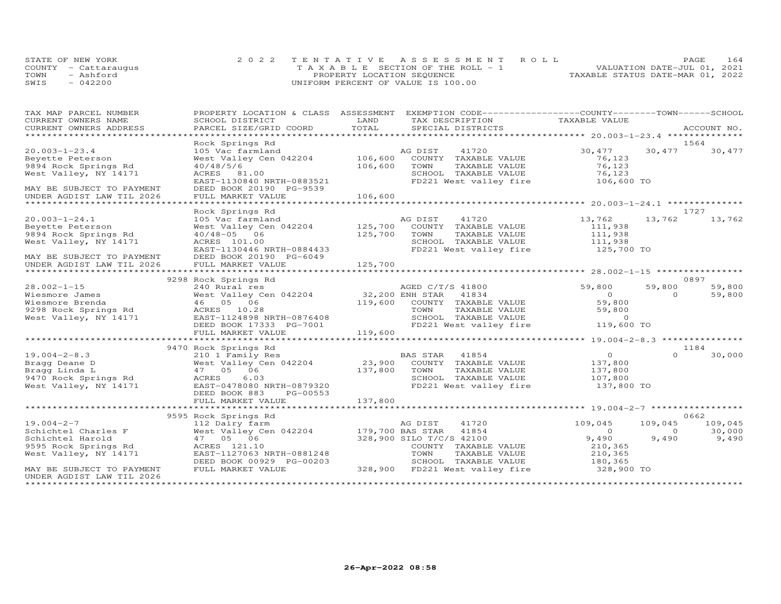|      | STATE OF NEW YORK    | 2022 TENTATIVE ASSESSMENT ROLL        | PAGE.                            | 164 |
|------|----------------------|---------------------------------------|----------------------------------|-----|
|      | COUNTY - Cattaraugus | T A X A B L E SECTION OF THE ROLL - 1 | VALUATION DATE-JUL 01, 2021      |     |
| TOWN | - Ashford            | PROPERTY LOCATION SEQUENCE            | TAXABLE STATUS DATE-MAR 01, 2022 |     |
| SWIS | $-042200$            | UNIFORM PERCENT OF VALUE IS 100.00    |                                  |     |

| TAX MAP PARCEL NUMBER                                                                             | PROPERTY LOCATION & CLASS ASSESSMENT                                                                   |         | EXEMPTION CODE-----------------COUNTY-------TOWN------SCHOOL                              |                     |                           |                 |
|---------------------------------------------------------------------------------------------------|--------------------------------------------------------------------------------------------------------|---------|-------------------------------------------------------------------------------------------|---------------------|---------------------------|-----------------|
| CURRENT OWNERS NAME                                                                               | SCHOOL DISTRICT                                                                                        | LAND    | TAX DESCRIPTION                                                                           | TAXABLE VALUE       |                           |                 |
| CURRENT OWNERS ADDRESS                                                                            | PARCEL SIZE/GRID COORD                                                                                 | TOTAL   | SPECIAL DISTRICTS                                                                         |                     |                           | ACCOUNT NO.     |
|                                                                                                   |                                                                                                        |         |                                                                                           |                     |                           |                 |
|                                                                                                   | Rock Springs Rd                                                                                        |         |                                                                                           |                     |                           | 1564            |
| $20.003 - 1 - 23.4$                                                                               | 105 Vac farmland<br>West Valley Cen 042204 106,600                                                     |         | 41720<br>AG DIST                                                                          | 30,477              | 30,477                    | 30,477          |
| Beyette Peterson                                                                                  |                                                                                                        | 106,600 | COUNTY TAXABLE VALUE                                                                      | 76,123<br>76,123    |                           |                 |
| 9894 Rock Springs Rd<br>West Valley, NY 14171                                                     | 40/48/5/6                                                                                              |         | TOWN<br>TAXABLE VALUE                                                                     | 76,123              |                           |                 |
|                                                                                                   | ACRES 81.00<br>EAST-1130840 NRTH-0883521                                                               |         | SCHOOL TAXABLE VALUE<br>FD221 West valley fire 106,600 TO                                 |                     |                           |                 |
| MAY BE SUBJECT TO PAYMENT                                                                         | DEED BOOK 20190 PG-9539                                                                                |         |                                                                                           |                     |                           |                 |
| UNDER AGDIST LAW TIL 2026                                                                         | FULL MARKET VALUE                                                                                      | 106,600 |                                                                                           |                     |                           |                 |
|                                                                                                   |                                                                                                        |         |                                                                                           |                     |                           |                 |
|                                                                                                   | Rock Springs Rd                                                                                        |         |                                                                                           |                     |                           | 1727            |
| $20.003 - 1 - 24.1$                                                                               | 105 Vac farmland                                                                                       |         | AG DIST<br>41720                                                                          | 13,762              | 13,762                    | 13,762          |
| Beyette Peterson                                                                                  | West Valley Cen 042204 125,700                                                                         |         | COUNTY TAXABLE VALUE                                                                      | 111,938             |                           |                 |
| 9894 Rock Springs Rd                                                                              | $40/48 - 05$ 06                                                                                        | 125,700 | TOWN<br>TAXABLE VALUE                                                                     | 111,938             |                           |                 |
| West Valley, NY 14171                                                                             | ACRES 101.00                                                                                           |         | SCHOOL TAXABLE VALUE                                                                      | 111,938             |                           |                 |
|                                                                                                   | ACRES 101.00<br>EAST-1130446 NRTH-0884433                                                              |         | FD221 West valley fire                                                                    | 125,700 TO          |                           |                 |
| MAY BE SUBJECT TO PAYMENT<br>UNDER AGDIST LAW TIL 2026                                            | DEED BOOK 20190 PG-6049                                                                                |         |                                                                                           |                     |                           |                 |
|                                                                                                   |                                                                                                        |         |                                                                                           |                     |                           |                 |
|                                                                                                   |                                                                                                        |         |                                                                                           |                     |                           |                 |
|                                                                                                   | 9298 Rock Springs Rd                                                                                   |         |                                                                                           |                     |                           | 0897            |
| $28.002 - 1 - 15$                                                                                 | 240 Rural res<br>West Valley Cen 042204 32,200 ENH STAR 41834<br>46 05 06 119,600 COUNTY TAXABLE VALUE |         |                                                                                           | 59,800<br>$\Omega$  | 59,800<br>$\Omega$        | 59,800          |
| 28.002-1-15<br>Wiesmore James<br>Wiesmore Brenda<br>9298 Rock Springs Rd<br>West Valley, NY 14171 |                                                                                                        |         |                                                                                           | 59,800              |                           | 59,800          |
|                                                                                                   | ACRES 10.28                                                                                            |         |                                                                                           |                     |                           |                 |
|                                                                                                   | ACRES 10.28<br>EAST-1124898 NRTH-0876408<br>DEED BOOK 17333 PG-7001                                    |         |                                                                                           |                     |                           |                 |
|                                                                                                   | DEED BOOK 17333 PG-7001                                                                                |         |                                                                                           |                     |                           |                 |
|                                                                                                   | FULL MARKET VALUE                                                                                      | 119,600 |                                                                                           |                     |                           |                 |
|                                                                                                   |                                                                                                        |         |                                                                                           |                     |                           |                 |
|                                                                                                   | 9470 Rock Springs Rd                                                                                   |         |                                                                                           |                     |                           | 1184            |
| $19.004 - 2 - 8.3$                                                                                | 210 1 Family Res                                                                                       |         | BAS STAR 41854                                                                            | $\Omega$            | $\Omega$                  | 30,000          |
| Bragg Deane D                                                                                     |                                                                                                        |         | West Valley Cen 042204 23,900 COUNTY TAXABLE VALUE<br>47 05 06 137,800 TOWN TAXABLE VALUE | 137,800             |                           |                 |
| Bragg Dinda D<br>9470 Rock Springs Rd<br>West Valley, NY 14171                                    |                                                                                                        |         |                                                                                           | 137,800             |                           |                 |
|                                                                                                   | 6.03<br>ACRES                                                                                          |         | SCHOOL TAXABLE VALUE 107,800                                                              |                     |                           |                 |
|                                                                                                   | EAST-0478080 NRTH-0879320                                                                              |         | FD221 West valley fire 137,800 TO                                                         |                     |                           |                 |
|                                                                                                   | DEED BOOK 883<br>PG-00553                                                                              |         |                                                                                           |                     |                           |                 |
|                                                                                                   | FULL MARKET VALUE                                                                                      | 137,800 |                                                                                           |                     |                           |                 |
|                                                                                                   |                                                                                                        |         |                                                                                           |                     |                           |                 |
|                                                                                                   | 9595 Rock Springs Rd                                                                                   |         |                                                                                           |                     |                           | 0662<br>109,045 |
| $19.004 - 2 - 7$                                                                                  | 112 Dairy farm                                                                                         |         | 41720<br>AG DIST                                                                          | 109,045<br>$\Omega$ | 109,045<br>$\overline{0}$ |                 |
| Schichtel Charles F<br>Schichtel Harold                                                           | West Valley Cen 042204 179,700 BAS STAR<br>47 05 06                                                    |         | 41854<br>328,900 SILO T/C/S 42100                                                         | 9,490               | 9,490                     | 30,000<br>9,490 |
| 9595 Rock Springs Rd                                                                              | ACRES 121.10                                                                                           |         | COUNTY TAXABLE VALUE                                                                      | 210,365             |                           |                 |
| West Valley, NY 14171                                                                             | EAST-1127063 NRTH-0881248                                                                              |         | TOWN<br>TAXABLE VALUE                                                                     | 210,365             |                           |                 |
|                                                                                                   | DEED BOOK 00929 PG-00203                                                                               |         | SCHOOL TAXABLE VALUE                                                                      | 180,365             |                           |                 |
| MAY BE SUBJECT TO PAYMENT                                                                         | FULL MARKET VALUE                                                                                      |         | 328,900 FD221 West valley fire                                                            | 328,900 TO          |                           |                 |
| UNDER AGDIST LAW TIL 2026                                                                         |                                                                                                        |         |                                                                                           |                     |                           |                 |
|                                                                                                   |                                                                                                        |         |                                                                                           |                     |                           |                 |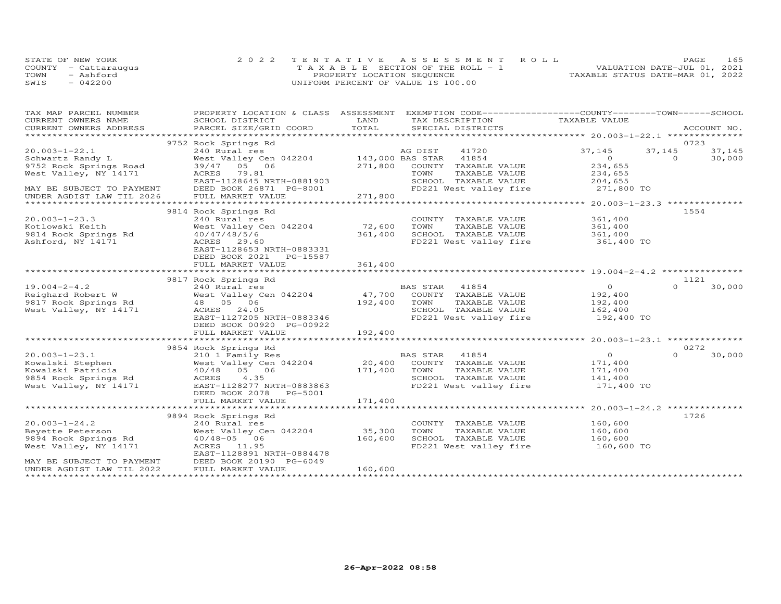|      | STATE OF NEW YORK    | 2022 TENTATIVE ASSESSMENT ROLL     |  |                                  | PAGE | 165 |
|------|----------------------|------------------------------------|--|----------------------------------|------|-----|
|      | COUNTY - Cattaraugus | TAXABLE SECTION OF THE ROLL - 1    |  | VALUATION DATE-JUL 01, 2021      |      |     |
| TOWN | - Ashford            | PROPERTY LOCATION SEQUENCE         |  | TAXABLE STATUS DATE-MAR 01, 2022 |      |     |
| SWIS | $-042200$            | UNIFORM PERCENT OF VALUE IS 100.00 |  |                                  |      |     |

| TAX MAP PARCEL NUMBER                                                                                                      |                                                                                                                                                              |                                              | PROPERTY LOCATION & CLASS ASSESSMENT EXEMPTION CODE----------------COUNTY-------TOWN-----SCHOOL |                       |                              |
|----------------------------------------------------------------------------------------------------------------------------|--------------------------------------------------------------------------------------------------------------------------------------------------------------|----------------------------------------------|-------------------------------------------------------------------------------------------------|-----------------------|------------------------------|
| CURRENT OWNERS NAME                                                                                                        | SCHOOL DISTRICT                                                                                                                                              | LAND                                         | TAX DESCRIPTION TAXABLE VALUE                                                                   |                       |                              |
|                                                                                                                            |                                                                                                                                                              |                                              |                                                                                                 |                       |                              |
|                                                                                                                            |                                                                                                                                                              |                                              |                                                                                                 |                       | 0723                         |
| $20.003 - 1 - 22.1$                                                                                                        | 9752 Rock Springs Rd<br>Exercise of DIST 19720<br>240 Rural res<br>West Valley Cen 042204 143,000 BAS STAR 41854<br>39/47 05 06 271,800 COUNTY TAXABLE VALUE |                                              |                                                                                                 | 37,145                | 37,145                       |
|                                                                                                                            |                                                                                                                                                              |                                              |                                                                                                 | $\overline{0}$        | 37,145<br>$\Omega$<br>30,000 |
| How wandy L<br>19752 Rock Springs Road<br>West Valley, NY 14171                                                            |                                                                                                                                                              |                                              |                                                                                                 | 234,655               |                              |
|                                                                                                                            | ACRES 79.81                                                                                                                                                  |                                              | TOWN<br>TAXABLE VALUE                                                                           | 234,655               |                              |
|                                                                                                                            | EAST-1128645 NRTH-0881903                                                                                                                                    |                                              | SCHOOL TAXABLE VALUE                                                                            | 204,655               |                              |
|                                                                                                                            | DEED BOOK 26871 PG-8001                                                                                                                                      |                                              | FD221 West valley fire 271,800 TO                                                               |                       |                              |
| MAY BE SUBJECT TO PAYMENT<br>UNDER AGDIST LAW TIL 2026                                                                     | FULL MARKET VALUE                                                                                                                                            | $\begin{array}{c} 01 \\ 271,800 \end{array}$ |                                                                                                 |                       |                              |
|                                                                                                                            |                                                                                                                                                              |                                              |                                                                                                 |                       |                              |
|                                                                                                                            | 9814 Rock Springs Rd                                                                                                                                         |                                              |                                                                                                 |                       | 1554                         |
| $20.003 - 1 - 23.3$                                                                                                        | 240 Rural res                                                                                                                                                |                                              | COUNTY TAXABLE VALUE                                                                            | 361,400               |                              |
| Kotlowski Keith                                                                                                            | West Valley Cen 042204 72,600                                                                                                                                |                                              | TAXABLE VALUE<br>TOWN                                                                           | 361,400               |                              |
| 9814 Rock Springs Rd                                                                                                       | 40/47/48/5/6                                                                                                                                                 | 361,400                                      | SCHOOL TAXABLE VALUE 361,400                                                                    |                       |                              |
| Ashford, NY 14171                                                                                                          | ACRES 29.60                                                                                                                                                  |                                              | FD221 West valley fire 361,400 TO                                                               |                       |                              |
|                                                                                                                            | EAST-1128653 NRTH-0883331                                                                                                                                    |                                              |                                                                                                 |                       |                              |
|                                                                                                                            | DEED BOOK 2021 PG-15587                                                                                                                                      |                                              |                                                                                                 |                       |                              |
|                                                                                                                            | FULL MARKET VALUE                                                                                                                                            | 361,400                                      |                                                                                                 |                       |                              |
|                                                                                                                            |                                                                                                                                                              |                                              |                                                                                                 |                       |                              |
|                                                                                                                            | 9817 Rock Springs Rd                                                                                                                                         |                                              |                                                                                                 | $\overline{0}$        | 1121<br>$\Omega$<br>30,000   |
|                                                                                                                            |                                                                                                                                                              |                                              |                                                                                                 | 192,400               |                              |
|                                                                                                                            |                                                                                                                                                              |                                              | TAXABLE VALUE                                                                                   |                       |                              |
|                                                                                                                            |                                                                                                                                                              |                                              |                                                                                                 | 192,400<br>162,400    |                              |
|                                                                                                                            | EAST-1127205 NRTH-0883346                                                                                                                                    |                                              | FD221 West valley fire 192,400 TO                                                               |                       |                              |
|                                                                                                                            | DEED BOOK 00920 PG-00922                                                                                                                                     |                                              |                                                                                                 |                       |                              |
|                                                                                                                            | FULL MARKET VALUE                                                                                                                                            | 192,400                                      |                                                                                                 |                       |                              |
|                                                                                                                            |                                                                                                                                                              |                                              |                                                                                                 |                       |                              |
|                                                                                                                            | 9854 Rock Springs Rd                                                                                                                                         |                                              |                                                                                                 |                       | 0272                         |
| $20.003 - 1 - 23.1$                                                                                                        |                                                                                                                                                              |                                              |                                                                                                 | $\overline{O}$        | 30,000<br>$\Omega$           |
|                                                                                                                            |                                                                                                                                                              |                                              |                                                                                                 | 171,400               |                              |
|                                                                                                                            | 40/48 05 06                                                                                                                                                  | $171,400$ TOWN                               | TAXABLE VALUE                                                                                   | 171,400<br>141,400    |                              |
|                                                                                                                            | ACRES 4.35                                                                                                                                                   |                                              | SCHOOL TAXABLE VALUE                                                                            |                       |                              |
| 20.003-1-23.1<br>Kowalski Stephen<br>Kowalski Patricia<br>9854 Rock Springs Rd<br>West Valley, NY 14171                    | EAST-1128277 NRTH-0883863                                                                                                                                    |                                              | FD221 West valley fire 171,400 TO                                                               |                       |                              |
|                                                                                                                            | DEED BOOK 2078    PG-5001                                                                                                                                    |                                              |                                                                                                 |                       |                              |
|                                                                                                                            | FULL MARKET VALUE                                                                                                                                            | 171,400                                      |                                                                                                 |                       |                              |
|                                                                                                                            |                                                                                                                                                              |                                              |                                                                                                 |                       | 1726                         |
| $20.003 - 1 - 24.2$                                                                                                        | 9894 Rock Springs Rd<br>240 Rural res                                                                                                                        |                                              | COUNTY TAXABLE VALUE                                                                            | 160,600               |                              |
|                                                                                                                            | West Valley Cen 042204 35,300                                                                                                                                |                                              | TOWN<br>TAXABLE VALUE                                                                           | 160,600               |                              |
|                                                                                                                            | $40/48 - 05$ 06                                                                                                                                              | 160,600                                      | SCHOOL TAXABLE VALUE                                                                            |                       |                              |
|                                                                                                                            | ACRES 11.95                                                                                                                                                  |                                              | FD221 West valley fire                                                                          | 160,600<br>160,600 TO |                              |
|                                                                                                                            | EAST-1128891 NRTH-0884478                                                                                                                                    |                                              |                                                                                                 |                       |                              |
| 9894 Rock Springs Rd<br>9894 Rock Springs Rd<br>West Valley, NY 14171<br>MAY BE SUBJECT TO PAYMENT DEED BOOK 20190 PG-6049 |                                                                                                                                                              |                                              |                                                                                                 |                       |                              |
| UNDER AGDIST LAW TIL 2022                                                                                                  | FULL MARKET VALUE                                                                                                                                            | 160,600                                      |                                                                                                 |                       |                              |
|                                                                                                                            |                                                                                                                                                              |                                              |                                                                                                 |                       |                              |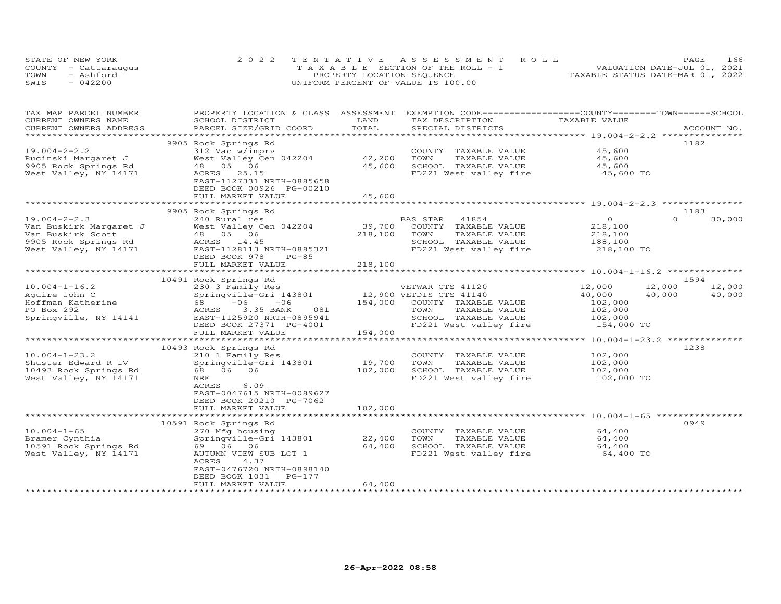|      | STATE OF NEW YORK    | 2022 TENTATIVE ASSESSMENT ROLL        | 166<br>PAGE                      |
|------|----------------------|---------------------------------------|----------------------------------|
|      | COUNTY - Cattaraugus | T A X A B L E SECTION OF THE ROLL - 1 | VALUATION DATE-JUL 01, 2021      |
| TOWN | - Ashford            | PROPERTY LOCATION SEQUENCE            | TAXABLE STATUS DATE-MAR 01, 2022 |
| SWIS | $-042200$            | UNIFORM PERCENT OF VALUE IS 100.00    |                                  |

| TAX MAP PARCEL NUMBER<br>CURRENT OWNERS NAME | PROPERTY LOCATION & CLASS ASSESSMENT<br>SCHOOL DISTRICT                    | LAND    | EXEMPTION CODE-----------------COUNTY-------TOWN------SCHOOL<br>TAX DESCRIPTION | TAXABLE VALUE                             |                    |
|----------------------------------------------|----------------------------------------------------------------------------|---------|---------------------------------------------------------------------------------|-------------------------------------------|--------------------|
| CURRENT OWNERS ADDRESS                       | PARCEL SIZE/GRID COORD                                                     | TOTAL   | SPECIAL DISTRICTS                                                               |                                           | ACCOUNT NO.        |
|                                              |                                                                            |         |                                                                                 |                                           | 1182               |
| $19.004 - 2 - 2.2$                           | 9905 Rock Springs Rd<br>312 Vac w/imprv                                    |         | COUNTY TAXABLE VALUE                                                            | 45,600                                    |                    |
| Rucinski Margaret J                          | West Valley Cen 042204                                                     | 42,200  | TOWN<br>TAXABLE VALUE                                                           | 45,600                                    |                    |
| 9905 Rock Springs Rd                         | 48 05 06                                                                   | 45,600  | SCHOOL TAXABLE VALUE                                                            | 45,600                                    |                    |
| West Valley, NY 14171                        | ACRES 25.15                                                                |         | FD221 West valley fire                                                          | 45,600 TO                                 |                    |
|                                              | EAST-1127331 NRTH-0885658<br>DEED BOOK 00926 PG-00210<br>FULL MARKET VALUE | 45,600  |                                                                                 |                                           |                    |
|                                              |                                                                            |         |                                                                                 |                                           |                    |
|                                              | 9905 Rock Springs Rd                                                       |         |                                                                                 |                                           | 1183               |
| $19.004 - 2 - 2.3$                           | 240 Rural res                                                              |         | BAS STAR<br>41854                                                               | $\overline{O}$                            | $\Omega$<br>30,000 |
| Van Buskirk Margaret J                       | West Valley Cen 042204                                                     | 39,700  | COUNTY TAXABLE VALUE                                                            | 218,100                                   |                    |
| Van Buskirk Scott                            | 48  05  06                                                                 | 218,100 | TOWN<br>TAXABLE VALUE                                                           | 218,100                                   |                    |
| 9905 Rock Springs Rd                         | ACRES 14.45                                                                |         | SCHOOL TAXABLE VALUE                                                            | 188,100                                   |                    |
| West Valley, NY 14171                        | EAST-1128113 NRTH-0885321                                                  |         | FD221 West valley fire 218,100 TO                                               |                                           |                    |
|                                              | DEED BOOK 978<br>$PG-85$                                                   |         |                                                                                 |                                           |                    |
|                                              | FULL MARKET VALUE                                                          | 218,100 |                                                                                 |                                           |                    |
|                                              |                                                                            |         |                                                                                 |                                           |                    |
|                                              | 10491 Rock Springs Rd                                                      |         |                                                                                 |                                           | 1594               |
| $10.004 - 1 - 16.2$                          | 230 3 Family Res                                                           |         | VETWAR CTS 41120                                                                | 12,000                                    | 12,000<br>12,000   |
| Aquire John C                                | Springville-Gri 143801                                                     |         | 12,900 VETDIS CTS 41140<br>154,000 COUNTY TAXABLE                               | 40,000                                    | 40,000<br>40,000   |
| Hoffman Katherine<br>PO Box 292              | 68<br>$-06$<br>$-06$<br>3.35 BANK<br>ACRES<br>081                          | 154,000 | COUNTY TAXABLE VALUE<br>TAXABLE VALUE<br>TOWN                                   | 102,000<br>102,000                        |                    |
| Springville, NY 14141                        | EAST-1125920 NRTH-0895941                                                  |         | SCHOOL TAXABLE VALUE                                                            | 102,000                                   |                    |
|                                              | DEED BOOK 27371 PG-4001                                                    |         | FD221 West valley fire                                                          | 154,000 TO                                |                    |
|                                              | FULL MARKET VALUE                                                          | 154,000 |                                                                                 |                                           |                    |
|                                              |                                                                            |         |                                                                                 | *********** 10.004-1-23.2 *************** |                    |
|                                              | 10493 Rock Springs Rd                                                      |         |                                                                                 |                                           | 1238               |
| $10.004 - 1 - 23.2$                          | 210 1 Family Res                                                           |         | COUNTY TAXABLE VALUE                                                            | 102,000                                   |                    |
| Shuster Edward R IV                          | Springville-Gri 143801                                                     | 19,700  | TOWN<br>TAXABLE VALUE                                                           | 102,000                                   |                    |
| 10493 Rock Springs Rd                        | 68 06 06                                                                   | 102,000 | SCHOOL TAXABLE VALUE                                                            | 102,000                                   |                    |
| West Valley, NY 14171                        | NRF                                                                        |         | FD221 West valley fire                                                          | 102,000 TO                                |                    |
|                                              | ACRES<br>6.09                                                              |         |                                                                                 |                                           |                    |
|                                              | EAST-0047615 NRTH-0089627                                                  |         |                                                                                 |                                           |                    |
|                                              | DEED BOOK 20210 PG-7062                                                    |         |                                                                                 |                                           |                    |
|                                              | FULL MARKET VALUE                                                          | 102,000 |                                                                                 |                                           |                    |
|                                              | 10591 Rock Springs Rd                                                      |         |                                                                                 |                                           | 0949               |
| $10.004 - 1 - 65$                            | 270 Mfg housing                                                            |         | COUNTY TAXABLE VALUE                                                            | 64,400                                    |                    |
| Bramer Cynthia                               | Springville-Gri 143801                                                     | 22,400  | TOWN<br>TAXABLE VALUE                                                           | 64,400                                    |                    |
| 10591 Rock Springs Rd                        | 69 06 06                                                                   | 64,400  | SCHOOL TAXABLE VALUE                                                            | 64,400                                    |                    |
| West Valley, NY 14171                        | AUTUMN VIEW SUB LOT 1                                                      |         | FD221 West valley fire 64,400 TO                                                |                                           |                    |
|                                              | ACRES<br>4.37                                                              |         |                                                                                 |                                           |                    |
|                                              | EAST-0476720 NRTH-0898140                                                  |         |                                                                                 |                                           |                    |
|                                              | DEED BOOK 1031<br>$PG-177$                                                 |         |                                                                                 |                                           |                    |
|                                              | FULL MARKET VALUE                                                          | 64,400  |                                                                                 |                                           |                    |
|                                              |                                                                            |         |                                                                                 |                                           |                    |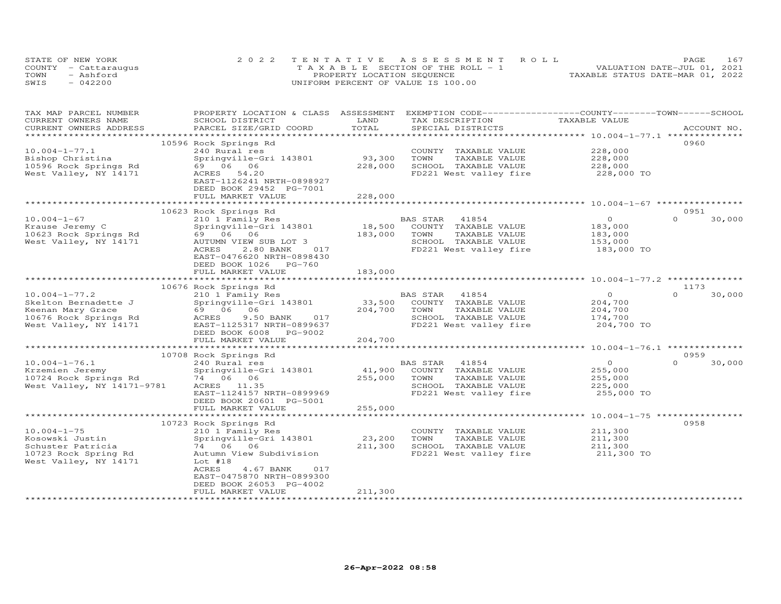|      | STATE OF NEW YORK    | 2022 TENTATIVE ASSESSMENT ROLL        | PAGE                             | 167 |
|------|----------------------|---------------------------------------|----------------------------------|-----|
|      | COUNTY - Cattarauqus | T A X A B L E SECTION OF THE ROLL - 1 | VALUATION DATE-JUL 01, 2021      |     |
| TOWN | - Ashford            | PROPERTY LOCATION SEQUENCE            | TAXABLE STATUS DATE-MAR 01, 2022 |     |
| SWIS | $-042200$            | UNIFORM PERCENT OF VALUE IS 100.00    |                                  |     |

| TAX MAP PARCEL NUMBER<br>CURRENT OWNERS NAME                                              | PROPERTY LOCATION & CLASS ASSESSMENT EXEMPTION CODE----------------COUNTY-------TOWN------SCHOOL<br>SCHOOL DISTRICT | LAND              | TAX DESCRIPTION                                                                                 | TAXABLE VALUE                               |                            |
|-------------------------------------------------------------------------------------------|---------------------------------------------------------------------------------------------------------------------|-------------------|-------------------------------------------------------------------------------------------------|---------------------------------------------|----------------------------|
| CURRENT OWNERS ADDRESS<br>**********************                                          | PARCEL SIZE/GRID COORD                                                                                              | TOTAL             | SPECIAL DISTRICTS                                                                               |                                             | ACCOUNT NO.                |
|                                                                                           |                                                                                                                     |                   |                                                                                                 |                                             | 0960                       |
| $10.004 - 1 - 77.1$<br>Bishop Christina<br>10596 Rock Springs Rd<br>West Valley, NY 14171 | 10596 Rock Springs Rd<br>240 Rural res<br>Springville-Gri 143801<br>69 06 06<br>ACRES<br>54.20                      | 93,300<br>228,000 | COUNTY TAXABLE VALUE<br>TOWN<br>TAXABLE VALUE<br>SCHOOL TAXABLE VALUE<br>FD221 West valley fire | 228,000<br>228,000<br>228,000<br>228,000 TO |                            |
|                                                                                           | EAST-1126241 NRTH-0898927<br>DEED BOOK 29452 PG-7001<br>FULL MARKET VALUE                                           | 228,000           |                                                                                                 |                                             |                            |
|                                                                                           |                                                                                                                     |                   |                                                                                                 |                                             |                            |
|                                                                                           | 10623 Rock Springs Rd                                                                                               |                   |                                                                                                 |                                             | 0951                       |
| $10.004 - 1 - 67$                                                                         | 210 1 Family Res                                                                                                    |                   | BAS STAR<br>41854                                                                               | $\circ$                                     | $\Omega$<br>30,000         |
| Krause Jeremy C                                                                           | Springville-Gri 143801                                                                                              | 18,500            | COUNTY TAXABLE VALUE                                                                            | 183,000                                     |                            |
| 10623 Rock Springs Rd                                                                     | 69 06 06                                                                                                            | 183,000           | TOWN<br>TAXABLE VALUE                                                                           | 183,000                                     |                            |
| West Valley, NY 14171                                                                     | AUTUMN VIEW SUB LOT 3                                                                                               |                   | SCHOOL TAXABLE VALUE                                                                            | 153,000                                     |                            |
|                                                                                           | ACRES<br>2.80 BANK<br>017<br>EAST-0476620 NRTH-0898430<br>DEED BOOK 1026 PG-760                                     |                   | FD221 West valley fire                                                                          | 183,000 TO                                  |                            |
|                                                                                           | FULL MARKET VALUE                                                                                                   | 183,000           |                                                                                                 |                                             |                            |
|                                                                                           |                                                                                                                     |                   |                                                                                                 |                                             |                            |
| $10.004 - 1 - 77.2$                                                                       | 10676 Rock Springs Rd<br>210 1 Family Res                                                                           |                   | BAS STAR<br>41854                                                                               | $\Omega$                                    | 1173<br>$\Omega$<br>30,000 |
| Skelton Bernadette J                                                                      | Springville-Gri 143801                                                                                              | 33,500            | COUNTY TAXABLE VALUE                                                                            | 204,700                                     |                            |
| Keenan Mary Grace                                                                         | 69 06 06                                                                                                            | 204,700           | TOWN<br>TAXABLE VALUE                                                                           | 204,700                                     |                            |
| 10676 Rock Springs Rd                                                                     | ACRES<br>9.50 BANK<br>017                                                                                           |                   | SCHOOL TAXABLE VALUE                                                                            | 174,700                                     |                            |
| West Valley, NY 14171                                                                     | EAST-1125317 NRTH-0899637<br>DEED BOOK 6008 PG-9002<br>FULL MARKET VALUE                                            | 204,700           | FD221 West valley fire                                                                          | 204,700 TO                                  |                            |
|                                                                                           |                                                                                                                     |                   |                                                                                                 |                                             |                            |
|                                                                                           | 10708 Rock Springs Rd                                                                                               |                   |                                                                                                 |                                             | 0959                       |
| $10.004 - 1 - 76.1$                                                                       | 240 Rural res                                                                                                       |                   | BAS STAR<br>41854                                                                               | $\circ$                                     | $\Omega$<br>30,000         |
| Krzemien Jeremy                                                                           | Springville-Gri 143801                                                                                              | 41,900            | COUNTY TAXABLE VALUE                                                                            | 255,000                                     |                            |
| 10724 Rock Springs Rd                                                                     | 74 06 06                                                                                                            | 255,000           | TOWN<br>TAXABLE VALUE                                                                           | 255,000                                     |                            |
| West Valley, NY 14171-9781                                                                | ACRES 11.35                                                                                                         |                   | SCHOOL TAXABLE VALUE                                                                            | 225,000                                     |                            |
|                                                                                           | EAST-1124157 NRTH-0899969<br>DEED BOOK 20601 PG-5001                                                                |                   | FD221 West valley fire                                                                          | 255,000 TO                                  |                            |
|                                                                                           | FULL MARKET VALUE                                                                                                   | 255,000           |                                                                                                 |                                             |                            |
|                                                                                           | 10723 Rock Springs Rd                                                                                               |                   |                                                                                                 |                                             | 0958                       |
| $10.004 - 1 - 75$                                                                         | 210 1 Family Res                                                                                                    |                   | COUNTY TAXABLE VALUE                                                                            | 211,300                                     |                            |
| Kosowski Justin                                                                           | Springville-Gri 143801                                                                                              | 23,200            | TOWN<br>TAXABLE VALUE                                                                           | 211,300                                     |                            |
| Schuster Patricia                                                                         | 74 06 06                                                                                                            | 211,300           | SCHOOL TAXABLE VALUE                                                                            | 211,300                                     |                            |
| 10723 Rock Spring Rd                                                                      | Autumn View Subdivision                                                                                             |                   | FD221 West valley fire                                                                          | 211,300 TO                                  |                            |
| West Valley, NY 14171                                                                     | Lot $#18$<br>ACRES<br>4.67 BANK<br>017<br>EAST-0475870 NRTH-0899300                                                 |                   |                                                                                                 |                                             |                            |
|                                                                                           | DEED BOOK 26053 PG-4002                                                                                             |                   |                                                                                                 |                                             |                            |
|                                                                                           | FULL MARKET VALUE                                                                                                   | 211,300           | *************************                                                                       |                                             |                            |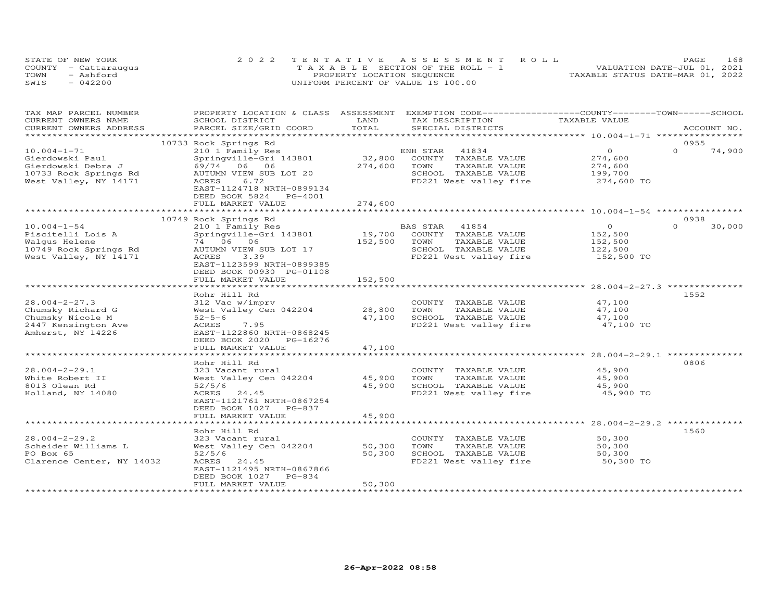|      | STATE OF NEW YORK    | 2022 TENTATIVE ASSESSMENT ROLL     | 168<br><b>PAGE</b>               |  |
|------|----------------------|------------------------------------|----------------------------------|--|
|      | COUNTY - Cattarauqus | TAXABLE SECTION OF THE ROLL - 1    | VALUATION DATE-JUL 01, 2021      |  |
| TOWN | - Ashford            | PROPERTY LOCATION SEQUENCE         | TAXABLE STATUS DATE-MAR 01, 2022 |  |
| SWIS | $-042200$            | UNIFORM PERCENT OF VALUE IS 100.00 |                                  |  |

| TAX MAP PARCEL NUMBER     |                           |         | PROPERTY LOCATION & CLASS ASSESSMENT EXEMPTION CODE----------------COUNTY-------TOWN-----SCHOOL |                                                    |                    |
|---------------------------|---------------------------|---------|-------------------------------------------------------------------------------------------------|----------------------------------------------------|--------------------|
| CURRENT OWNERS NAME       | SCHOOL DISTRICT           | LAND    | TAX DESCRIPTION                                                                                 | TAXABLE VALUE                                      |                    |
| CURRENT OWNERS ADDRESS    | PARCEL SIZE/GRID COORD    | TOTAL   | SPECIAL DISTRICTS                                                                               |                                                    | ACCOUNT NO.        |
| ***********************   |                           |         |                                                                                                 |                                                    |                    |
|                           | 10733 Rock Springs Rd     |         |                                                                                                 |                                                    | 0955               |
| $10.004 - 1 - 71$         | 210 1 Family Res          |         | ENH STAR<br>41834                                                                               | $\circ$                                            | $\Omega$<br>74,900 |
| Gierdowski Paul           | Springville-Gri 143801    | 32,800  | COUNTY TAXABLE VALUE                                                                            | 274,600                                            |                    |
| Gierdowski Debra J        | 69/74 06 06               | 274,600 | TOWN<br>TAXABLE VALUE                                                                           | 274,600                                            |                    |
| 10733 Rock Springs Rd     | AUTUMN VIEW SUB LOT 20    |         | SCHOOL TAXABLE VALUE                                                                            | 199,700                                            |                    |
| West Valley, NY 14171     | 6.72<br>ACRES             |         | FD221 West valley fire                                                                          | 274,600 TO                                         |                    |
|                           | EAST-1124718 NRTH-0899134 |         |                                                                                                 |                                                    |                    |
|                           | DEED BOOK 5824 PG-4001    |         |                                                                                                 |                                                    |                    |
|                           | FULL MARKET VALUE         | 274,600 |                                                                                                 |                                                    |                    |
|                           |                           |         |                                                                                                 |                                                    |                    |
|                           | 10749 Rock Springs Rd     |         |                                                                                                 |                                                    | 0938               |
| $10.004 - 1 - 54$         | 210 1 Family Res          |         | BAS STAR 41854                                                                                  | $\Omega$                                           | $\Omega$<br>30,000 |
| Piscitelli Lois A         | Springville-Gri 143801    | 19,700  | COUNTY TAXABLE VALUE                                                                            | 152,500                                            |                    |
| Walqus Helene             | 74 06 06                  | 152,500 | TOWN<br>TAXABLE VALUE                                                                           | 152,500                                            |                    |
| 10749 Rock Springs Rd     | AUTUMN VIEW SUB LOT 17    |         | SCHOOL TAXABLE VALUE                                                                            | 122,500                                            |                    |
| West Valley, NY 14171     | 3.39<br>ACRES             |         | FD221 West valley fire                                                                          | 152,500 TO                                         |                    |
|                           | EAST-1123599 NRTH-0899385 |         |                                                                                                 |                                                    |                    |
|                           | DEED BOOK 00930 PG-01108  |         |                                                                                                 |                                                    |                    |
|                           | FULL MARKET VALUE         | 152,500 |                                                                                                 |                                                    |                    |
|                           |                           |         |                                                                                                 |                                                    |                    |
|                           | Rohr Hill Rd              |         |                                                                                                 |                                                    | 1552               |
| $28.004 - 2 - 27.3$       | 312 Vac w/imprv           |         | COUNTY TAXABLE VALUE                                                                            | 47,100                                             |                    |
| Chumsky Richard G         | West Valley Cen 042204    | 28,800  | TOWN<br>TAXABLE VALUE                                                                           | 47,100                                             |                    |
| Chumsky Nicole M          | $52 - 5 - 6$              | 47,100  | SCHOOL TAXABLE VALUE                                                                            | 47,100                                             |                    |
| 2447 Kensington Ave       | ACRES<br>7.95             |         | FD221 West valley fire                                                                          | 47,100 TO                                          |                    |
| Amherst, NY 14226         | EAST-1122860 NRTH-0868245 |         |                                                                                                 |                                                    |                    |
|                           | DEED BOOK 2020 PG-16276   |         |                                                                                                 |                                                    |                    |
|                           | FULL MARKET VALUE         | 47,100  |                                                                                                 |                                                    |                    |
|                           |                           |         |                                                                                                 |                                                    |                    |
|                           | Rohr Hill Rd              |         |                                                                                                 |                                                    | 0806               |
| $28.004 - 2 - 29.1$       | 323 Vacant rural          |         | COUNTY TAXABLE VALUE                                                                            | 45,900                                             |                    |
| White Robert II           | West Valley Cen 042204    | 45,900  | TAXABLE VALUE<br>TOWN                                                                           | 45,900                                             |                    |
| 8013 Olean Rd             | 52/5/6                    | 45,900  | SCHOOL TAXABLE VALUE                                                                            | 45,900                                             |                    |
| Holland, NY 14080         | ACRES<br>24.45            |         | FD221 West valley fire                                                                          | 45,900 TO                                          |                    |
|                           | EAST-1121761 NRTH-0867254 |         |                                                                                                 |                                                    |                    |
|                           | DEED BOOK 1027 PG-837     |         |                                                                                                 |                                                    |                    |
|                           | FULL MARKET VALUE         | 45,900  |                                                                                                 |                                                    |                    |
|                           | *********************     |         |                                                                                                 | ******************** 28.004-2-29.2 *************** |                    |
|                           | Rohr Hill Rd              |         |                                                                                                 |                                                    | 1560               |
| $28.004 - 2 - 29.2$       | 323 Vacant rural          |         | COUNTY TAXABLE VALUE                                                                            | 50,300                                             |                    |
| Scheider Williams L       | West Valley Cen 042204    | 50,300  | TOWN<br>TAXABLE VALUE                                                                           | 50,300                                             |                    |
| PO Box 65                 | 52/5/6                    | 50,300  | SCHOOL TAXABLE VALUE                                                                            | 50,300                                             |                    |
| Clarence Center, NY 14032 | ACRES<br>24.45            |         | FD221 West valley fire                                                                          | 50,300 TO                                          |                    |
|                           | EAST-1121495 NRTH-0867866 |         |                                                                                                 |                                                    |                    |
|                           | DEED BOOK 1027<br>PG-834  |         |                                                                                                 |                                                    |                    |
|                           | FULL MARKET VALUE         | 50,300  |                                                                                                 |                                                    |                    |
|                           |                           |         |                                                                                                 |                                                    |                    |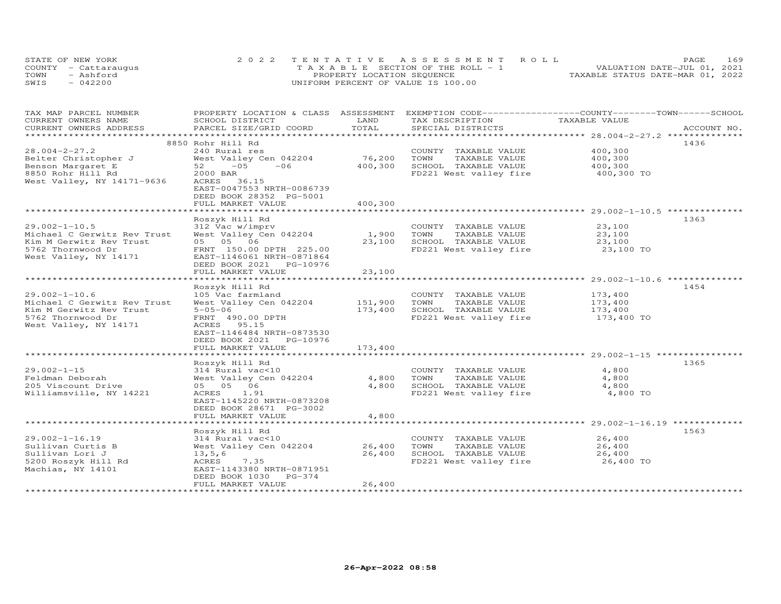| STATE OF NEW YORK    | 2022 TENTATIVE ASSESSMENT ROLL        |                                  | PAGE.                       | 169 |
|----------------------|---------------------------------------|----------------------------------|-----------------------------|-----|
| COUNTY - Cattaraugus | T A X A B L E SECTION OF THE ROLL - 1 |                                  | VALUATION DATE-JUL 01, 2021 |     |
| TOWN<br>- Ashford    | PROPERTY LOCATION SEQUENCE            | TAXABLE STATUS DATE-MAR 01, 2022 |                             |     |
| $-042200$<br>SWIS    | UNIFORM PERCENT OF VALUE IS 100.00    |                                  |                             |     |

| TAX MAP PARCEL NUMBER<br>CURRENT OWNERS NAME           | PROPERTY LOCATION & CLASS ASSESSMENT<br>SCHOOL DISTRICT | LAND               | EXEMPTION CODE-----------------COUNTY-------TOWN------SCHOOL<br>TAX DESCRIPTION | TAXABLE VALUE      |             |
|--------------------------------------------------------|---------------------------------------------------------|--------------------|---------------------------------------------------------------------------------|--------------------|-------------|
| CURRENT OWNERS ADDRESS                                 | PARCEL SIZE/GRID COORD                                  | TOTAL              | SPECIAL DISTRICTS                                                               |                    | ACCOUNT NO. |
| ***********************                                |                                                         |                    |                                                                                 |                    |             |
| $28.004 - 2 - 27.2$                                    | 8850 Rohr Hill Rd<br>240 Rural res                      |                    |                                                                                 | 400,300            | 1436        |
|                                                        |                                                         | 76,200             | COUNTY TAXABLE VALUE<br>TOWN                                                    | 400,300            |             |
| Belter Christopher J                                   | West Valley Cen 042204<br>$52 - 05$<br>$-06$            |                    | TAXABLE VALUE                                                                   |                    |             |
| Benson Margaret E                                      |                                                         | 400,300            | SCHOOL TAXABLE VALUE                                                            | 400,300            |             |
| 8850 Rohr Hill Rd<br>West Valley, NY 14171-9636        | 2000 BAR<br>ACRES 36.15                                 |                    | FD221 West valley fire                                                          | 400,300 TO         |             |
|                                                        | EAST-0047553 NRTH-0086739                               |                    |                                                                                 |                    |             |
|                                                        | DEED BOOK 28352 PG-5001                                 |                    |                                                                                 |                    |             |
|                                                        | FULL MARKET VALUE                                       | 400,300            |                                                                                 |                    |             |
|                                                        |                                                         |                    |                                                                                 |                    |             |
|                                                        | Roszyk Hill Rd                                          |                    |                                                                                 |                    | 1363        |
| $29.002 - 1 - 10.5$                                    | 312 Vac w/imprv                                         |                    | COUNTY TAXABLE VALUE                                                            | 23,100             |             |
| Michael C Gerwitz Rev Trust                            | West Valley Cen 042204                                  | 1,900              | TOWN<br>TAXABLE VALUE                                                           | 23,100             |             |
| Kim M Gerwitz Rev Trust                                | 05 05 06                                                | 23,100             | SCHOOL TAXABLE VALUE                                                            | 23,100             |             |
| 5762 Thornwood Dr                                      | FRNT 150.00 DPTH 225.00                                 |                    | FD221 West valley fire                                                          | 23,100 TO          |             |
| West Valley, NY 14171                                  | EAST-1146061 NRTH-0871864                               |                    |                                                                                 |                    |             |
|                                                        | DEED BOOK 2021 PG-10976                                 |                    |                                                                                 |                    |             |
|                                                        | FULL MARKET VALUE                                       | 23,100             |                                                                                 |                    |             |
|                                                        |                                                         | ***********        |                                                                                 |                    |             |
|                                                        | Roszyk Hill Rd                                          |                    |                                                                                 |                    | 1454        |
| $29.002 - 1 - 10.6$                                    | 105 Vac farmland                                        |                    | COUNTY TAXABLE VALUE<br>TOWN                                                    | 173,400            |             |
| Michael C Gerwitz Rev Trust<br>Kim M Gerwitz Rev Trust | West Valley Cen 042204<br>$5 - 05 - 06$                 | 151,900<br>173,400 | TAXABLE VALUE<br>SCHOOL TAXABLE VALUE                                           | 173,400<br>173,400 |             |
| 5762 Thornwood Dr                                      | FRNT 490.00 DPTH                                        |                    | FD221 West valley fire                                                          | 173,400 TO         |             |
| West Valley, NY 14171                                  | ACRES 95.15                                             |                    |                                                                                 |                    |             |
|                                                        | EAST-1146484 NRTH-0873530                               |                    |                                                                                 |                    |             |
|                                                        | DEED BOOK 2021 PG-10976                                 |                    |                                                                                 |                    |             |
|                                                        | FULL MARKET VALUE                                       | 173,400            |                                                                                 |                    |             |
|                                                        |                                                         |                    |                                                                                 |                    |             |
|                                                        | Roszyk Hill Rd                                          |                    |                                                                                 |                    | 1365        |
| $29.002 - 1 - 15$                                      | 314 Rural vac<10                                        |                    | COUNTY TAXABLE VALUE                                                            | 4,800              |             |
| Feldman Deborah                                        | West Valley Cen 042204                                  | 4,800              | TOWN<br>TAXABLE VALUE                                                           | 4,800              |             |
| 205 Viscount Drive                                     | 05 05 06                                                | 4,800              | SCHOOL TAXABLE VALUE                                                            | 4,800              |             |
| Williamsville, NY 14221                                | ACRES 1.91                                              |                    | FD221 West valley fire                                                          | 4,800 TO           |             |
|                                                        | EAST-1145220 NRTH-0873208                               |                    |                                                                                 |                    |             |
|                                                        | DEED BOOK 28671 PG-3002                                 |                    |                                                                                 |                    |             |
| *************************                              | FULL MARKET VALUE                                       | 4,800              |                                                                                 |                    |             |
|                                                        |                                                         |                    |                                                                                 |                    | 1563        |
| $29.002 - 1 - 16.19$                                   | Roszyk Hill Rd<br>314 Rural vac<10                      |                    | COUNTY TAXABLE VALUE                                                            | 26,400             |             |
| Sullivan Curtis B                                      | West Valley Cen 042204                                  | 26,400             | TOWN<br>TAXABLE VALUE                                                           | 26,400             |             |
| Sullivan Lori J                                        | 13, 5, 6                                                | 26,400             | SCHOOL TAXABLE VALUE                                                            | 26,400             |             |
| 5200 Roszyk Hill Rd                                    | 7.35<br>ACRES                                           |                    | FD221 West valley fire                                                          | 26,400 TO          |             |
| Machias, NY 14101                                      | EAST-1143380 NRTH-0871951                               |                    |                                                                                 |                    |             |
|                                                        | DEED BOOK 1030 PG-374                                   |                    |                                                                                 |                    |             |
|                                                        | FULL MARKET VALUE                                       | 26,400             |                                                                                 |                    |             |
|                                                        |                                                         |                    |                                                                                 |                    |             |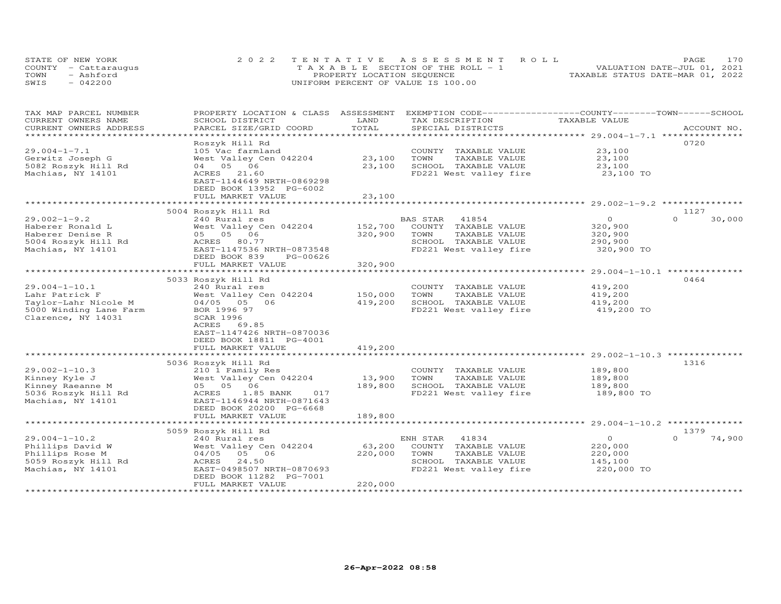| STATE OF NEW YORK    | 2022 TENTATIVE ASSESSMENT ROLL        | 170<br><b>PAGE</b>               |
|----------------------|---------------------------------------|----------------------------------|
| COUNTY - Cattaraugus | T A X A B L E SECTION OF THE ROLL - 1 | VALUATION DATE-JUL 01, 2021      |
| TOWN<br>- Ashford    | PROPERTY LOCATION SEQUENCE            | TAXABLE STATUS DATE-MAR 01, 2022 |
| $-042200$<br>SWIS    | UNIFORM PERCENT OF VALUE IS 100.00    |                                  |

| TAX MAP PARCEL NUMBER  | PROPERTY LOCATION & CLASS ASSESSMENT |                           |                        | EXEMPTION CODE-----------------COUNTY-------TOWN------SCHOOL |                    |
|------------------------|--------------------------------------|---------------------------|------------------------|--------------------------------------------------------------|--------------------|
| CURRENT OWNERS NAME    | SCHOOL DISTRICT                      | LAND                      | TAX DESCRIPTION        | TAXABLE VALUE                                                |                    |
| CURRENT OWNERS ADDRESS | PARCEL SIZE/GRID COORD               | TOTAL                     | SPECIAL DISTRICTS      |                                                              | ACCOUNT NO.        |
|                        |                                      | * * * * * * * * * * * * * |                        |                                                              |                    |
|                        | Roszyk Hill Rd                       |                           |                        |                                                              | 0720               |
| $29.004 - 1 - 7.1$     | 105 Vac farmland                     |                           | COUNTY TAXABLE VALUE   | 23,100                                                       |                    |
| Gerwitz Joseph G       | West Valley Cen 042204               | 23,100                    | TOWN<br>TAXABLE VALUE  | 23,100                                                       |                    |
| 5082 Roszyk Hill Rd    | 04 05 06                             | 23,100                    | SCHOOL TAXABLE VALUE   | 23,100                                                       |                    |
| Machias, NY 14101      | 21.60<br>ACRES                       |                           | FD221 West valley fire | 23,100 TO                                                    |                    |
|                        | EAST-1144649 NRTH-0869298            |                           |                        |                                                              |                    |
|                        | DEED BOOK 13952 PG-6002              |                           |                        |                                                              |                    |
|                        | FULL MARKET VALUE                    | 23,100                    |                        |                                                              |                    |
|                        |                                      |                           |                        |                                                              |                    |
|                        | 5004 Roszyk Hill Rd                  |                           |                        |                                                              | 1127               |
| $29.002 - 1 - 9.2$     | 240 Rural res                        |                           | BAS STAR<br>41854      | $\circ$                                                      | $\Omega$<br>30,000 |
| Haberer Ronald L       | West Valley Cen 042204               | 152,700                   | COUNTY TAXABLE VALUE   | 320,900                                                      |                    |
| Haberer Denise R       | 05 05 06                             | 320,900                   | TOWN<br>TAXABLE VALUE  | 320,900                                                      |                    |
| 5004 Roszyk Hill Rd    | ACRES 80.77                          |                           | SCHOOL TAXABLE VALUE   | 290,900                                                      |                    |
| Machias, NY 14101      | EAST-1147536 NRTH-0873548            |                           | FD221 West valley fire | 320,900 TO                                                   |                    |
|                        | DEED BOOK 839<br>PG-00626            |                           |                        |                                                              |                    |
|                        | FULL MARKET VALUE                    | 320,900                   |                        |                                                              |                    |
|                        |                                      |                           |                        |                                                              |                    |
|                        | 5033 Roszyk Hill Rd                  |                           |                        |                                                              | 0464               |
| $29.004 - 1 - 10.1$    | 240 Rural res                        |                           | COUNTY TAXABLE VALUE   | 419,200                                                      |                    |
| Lahr Patrick F         | West Valley Cen 042204               | 150,000                   | TAXABLE VALUE<br>TOWN  | 419,200                                                      |                    |
|                        | 04/05 05<br>06                       | 419,200                   | SCHOOL TAXABLE VALUE   | 419,200                                                      |                    |
| Taylor-Lahr Nicole M   | BOR 1996 97                          |                           |                        | 419,200 TO                                                   |                    |
| 5000 Winding Lane Farm | SCAR 1996                            |                           | FD221 West valley fire |                                                              |                    |
| Clarence, NY 14031     |                                      |                           |                        |                                                              |                    |
|                        | ACRES<br>69.85                       |                           |                        |                                                              |                    |
|                        | EAST-1147426 NRTH-0870036            |                           |                        |                                                              |                    |
|                        | DEED BOOK 18811 PG-4001              |                           |                        |                                                              |                    |
|                        | FULL MARKET VALUE                    | 419,200                   |                        |                                                              |                    |
|                        |                                      |                           |                        |                                                              |                    |
|                        | 5036 Roszyk Hill Rd                  |                           |                        |                                                              | 1316               |
| $29.002 - 1 - 10.3$    | 210 1 Family Res                     |                           | COUNTY TAXABLE VALUE   | 189,800                                                      |                    |
| Kinney Kyle J          | West Valley Cen 042204               | 13,900                    | TAXABLE VALUE<br>TOWN  | 189,800                                                      |                    |
| Kinney Raeanne M       | 05 05 06                             | 189,800                   | SCHOOL TAXABLE VALUE   | 189,800                                                      |                    |
| 5036 Roszyk Hill Rd    | 1.85 BANK<br>017<br>ACRES            |                           | FD221 West valley fire | 189,800 TO                                                   |                    |
| Machias, NY 14101      | EAST-1146944 NRTH-0871643            |                           |                        |                                                              |                    |
|                        | DEED BOOK 20200 PG-6668              |                           |                        |                                                              |                    |
|                        | FULL MARKET VALUE                    | 189,800                   |                        |                                                              |                    |
|                        | ****************************         | *******************       |                        |                                                              |                    |
|                        | 5059 Roszyk Hill Rd                  |                           |                        |                                                              | 1379               |
| $29.004 - 1 - 10.2$    | 240 Rural res                        |                           | ENH STAR<br>41834      | $\circ$                                                      | 74,900<br>$\Omega$ |
| Phillips David W       | West Valley Cen 042204               | 63,200                    | COUNTY TAXABLE VALUE   | 220,000                                                      |                    |
| Phillips Rose M        | 04/05 05 06                          | 220,000                   | TOWN<br>TAXABLE VALUE  | 220,000                                                      |                    |
| 5059 Roszyk Hill Rd    | 24.50<br>ACRES                       |                           | SCHOOL TAXABLE VALUE   | 145,100                                                      |                    |
| Machias, NY 14101      | EAST-0498507 NRTH-0870693            |                           | FD221 West valley fire | 220,000 TO                                                   |                    |
|                        | DEED BOOK 11282 PG-7001              |                           |                        |                                                              |                    |
|                        | FULL MARKET VALUE                    | 220,000                   |                        |                                                              |                    |
|                        |                                      |                           |                        |                                                              |                    |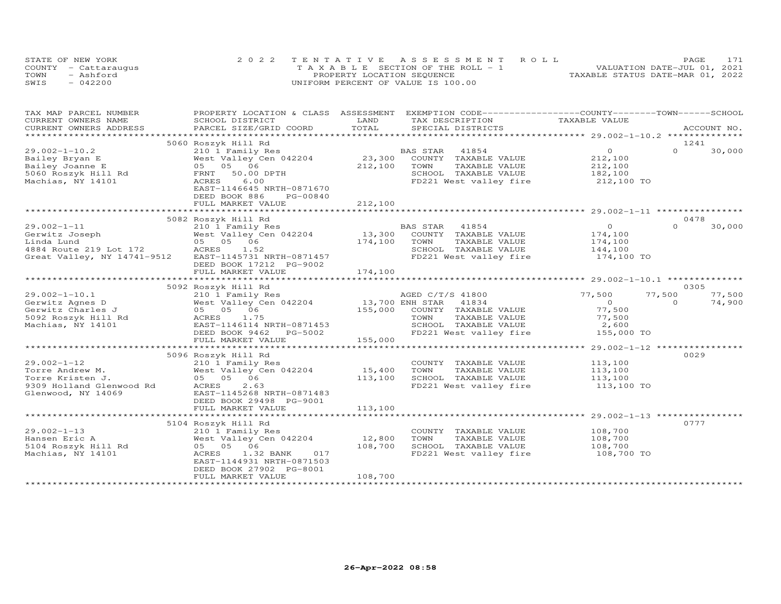|      | STATE OF NEW YORK    | 2022 TENTATIVE ASSESSMENT ROLL        | PAGE                             |
|------|----------------------|---------------------------------------|----------------------------------|
|      | COUNTY - Cattarauqus | T A X A B L E SECTION OF THE ROLL - 1 | VALUATION DATE-JUL 01, 2021      |
| TOWN | - Ashford            | PROPERTY LOCATION SEQUENCE            | TAXABLE STATUS DATE-MAR 01, 2022 |
| SWIS | $-042200$            | UNIFORM PERCENT OF VALUE IS 100.00    |                                  |

| TAX MAP PARCEL NUMBER                         | PROPERTY LOCATION & CLASS ASSESSMENT                         |                 | EXEMPTION CODE-----------------COUNTY-------TOWN------SCHOOL |                                    |          |             |
|-----------------------------------------------|--------------------------------------------------------------|-----------------|--------------------------------------------------------------|------------------------------------|----------|-------------|
| CURRENT OWNERS NAME                           | SCHOOL DISTRICT                                              | LAND            | TAX DESCRIPTION                                              | TAXABLE VALUE                      |          |             |
| CURRENT OWNERS ADDRESS<br>******************* | PARCEL SIZE/GRID COORD                                       | TOTAL           | SPECIAL DISTRICTS                                            |                                    |          | ACCOUNT NO. |
|                                               |                                                              |                 |                                                              |                                    |          |             |
|                                               | 5060 Roszyk Hill Rd                                          |                 |                                                              |                                    |          | 1241        |
| $29.002 - 1 - 10.2$                           | 210 1 Family Res                                             |                 | BAS STAR<br>41854                                            | $\overline{O}$                     | $\Omega$ | 30,000      |
| Bailey Bryan E                                | West Valley Cen 042204                                       | 23,300          | COUNTY TAXABLE VALUE                                         | 212,100                            |          |             |
| Bailey Joanne E                               | 05 05 06                                                     | 212,100         | TOWN<br>TAXABLE VALUE                                        | 212,100                            |          |             |
| 5060 Roszyk Hill Rd                           | FRNT<br>50.00 DPTH                                           |                 | SCHOOL TAXABLE VALUE                                         | 182,100                            |          |             |
| Machias, NY 14101                             | ACRES<br>6.00                                                |                 | FD221 West valley fire                                       | 212,100 TO                         |          |             |
|                                               | EAST-1146645 NRTH-0871670                                    |                 |                                                              |                                    |          |             |
|                                               | DEED BOOK 886<br>PG-00840                                    |                 |                                                              |                                    |          |             |
|                                               | FULL MARKET VALUE                                            | 212,100         |                                                              |                                    |          |             |
|                                               |                                                              |                 |                                                              |                                    |          |             |
|                                               | 5082 Roszyk Hill Rd                                          |                 |                                                              |                                    |          | 0478        |
| $29.002 - 1 - 11$                             | 210 1 Family Res                                             |                 | BAS STAR<br>41854                                            | $\Omega$                           | $\Omega$ | 30,000      |
| Gerwitz Joseph                                | West Valley Cen 042204                                       | 13,300          | COUNTY TAXABLE VALUE                                         | 174,100                            |          |             |
| Linda Lund                                    | 05 05 06                                                     | 174,100         | TOWN<br>TAXABLE VALUE                                        | 174,100                            |          |             |
| 4884 Route 219 Lot 172                        | ACRES 1.52                                                   |                 | SCHOOL TAXABLE VALUE                                         | 144,100                            |          |             |
| Great Valley, NY 14741-9512                   | EAST-1145731 NRTH-0871457                                    |                 | FD221 West valley fire                                       | 174,100 TO                         |          |             |
|                                               | DEED BOOK 17212 PG-9002                                      |                 |                                                              |                                    |          |             |
|                                               | FULL MARKET VALUE                                            | 174,100         |                                                              |                                    |          |             |
|                                               |                                                              |                 |                                                              |                                    |          |             |
|                                               | 5092 Roszyk Hill Rd                                          |                 |                                                              |                                    |          | 0305        |
| $29.002 - 1 - 10.1$                           | 210 1 Family Res                                             |                 | AGED C/T/S 41800                                             | 77,500                             | 77,500   | 77,500      |
| Gerwitz Agnes D                               | West Valley Cen 042204                                       | 13,700 ENH STAR | 41834                                                        | $\overline{0}$                     | $\Omega$ | 74,900      |
| Gerwitz Charles J                             | 05 05 06                                                     | 155,000         | COUNTY TAXABLE VALUE                                         | 77,500                             |          |             |
| 5092 Roszyk Hill Rd                           | 1.75<br>ACRES                                                |                 | TOWN<br>TAXABLE VALUE                                        | 77,500                             |          |             |
| Machias, NY 14101                             | EAST-1146114 NRTH-0871453                                    |                 | SCHOOL TAXABLE VALUE                                         | 2,600                              |          |             |
|                                               | DEED BOOK 9462<br>PG-5002                                    |                 | FD221 West valley fire                                       | 155,000 TO                         |          |             |
|                                               | FULL MARKET VALUE                                            | 155,000<br>.    |                                                              |                                    |          |             |
|                                               |                                                              |                 |                                                              | ******** 29.002-1-12 ************* |          |             |
|                                               | 5096 Roszyk Hill Rd                                          |                 |                                                              |                                    |          | 0029        |
| $29.002 - 1 - 12$                             | 210 1 Family Res                                             |                 | COUNTY TAXABLE VALUE                                         | 113,100                            |          |             |
| Torre Andrew M.                               | West Valley Cen 042204                                       | 15,400          | TOWN<br>TAXABLE VALUE                                        | 113,100                            |          |             |
| Torre Kristen J.                              | 05 05 06                                                     | 113,100         | SCHOOL TAXABLE VALUE                                         | 113,100                            |          |             |
| 9309 Holland Glenwood Rd                      | ACRES<br>2.63                                                |                 | FD221 West valley fire                                       | 113,100 TO                         |          |             |
| Glenwood, NY 14069                            | EAST-1145268 NRTH-0871483                                    |                 |                                                              |                                    |          |             |
|                                               | DEED BOOK 29498 PG-9001                                      |                 |                                                              |                                    |          |             |
|                                               | FULL MARKET VALUE                                            | 113,100         |                                                              |                                    |          |             |
|                                               |                                                              |                 |                                                              |                                    |          |             |
|                                               | 5104 Roszyk Hill Rd                                          |                 |                                                              |                                    |          | 0777        |
| $29.002 - 1 - 13$                             | 210 1 Family Res                                             |                 | COUNTY TAXABLE VALUE                                         | 108,700                            |          |             |
| Hansen Eric A                                 | West Valley Cen 042204                                       | 12,800          | TOWN<br>TAXABLE VALUE                                        | 108,700                            |          |             |
| 5104 Roszyk Hill Rd                           | 05 05 06                                                     | 108,700         | SCHOOL TAXABLE VALUE                                         | 108,700                            |          |             |
| Machias, NY 14101                             | ACRES<br>1.32 BANK<br>017                                    |                 | FD221 West valley fire                                       | 108,700 TO                         |          |             |
|                                               | EAST-1144931 NRTH-0871503                                    |                 |                                                              |                                    |          |             |
|                                               | DEED BOOK 27902 PG-8001                                      |                 |                                                              |                                    |          |             |
|                                               | FULL MARKET VALUE<br>* * * * * * * * * * * * * * * * * * * * | 108,700         |                                                              |                                    |          |             |
|                                               |                                                              |                 |                                                              |                                    |          |             |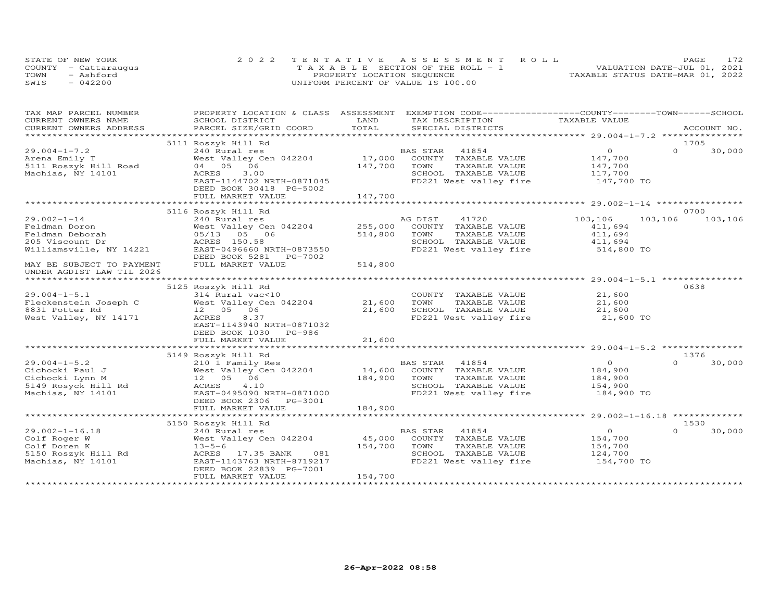| STATE OF NEW YORK    | 2022 TENTATIVE ASSESSMENT ROLL        | 172<br><b>PAGE</b>               |
|----------------------|---------------------------------------|----------------------------------|
| COUNTY - Cattaraugus | T A X A B L E SECTION OF THE ROLL - 1 | VALUATION DATE-JUL 01, 2021      |
| TOWN<br>- Ashford    | PROPERTY LOCATION SEQUENCE            | TAXABLE STATUS DATE-MAR 01, 2022 |
| SWIS<br>$-042200$    | UNIFORM PERCENT OF VALUE IS 100.00    |                                  |

| TAX MAP PARCEL NUMBER<br>CURRENT OWNERS NAME                   | PROPERTY LOCATION & CLASS ASSESSMENT<br>SCHOOL DISTRICT                                                                                                     | LAND         | TAX DESCRIPTION TAXABLE VALUE                                          | EXEMPTION CODE-----------------COUNTY-------TOWN------SCHOOL |                    |
|----------------------------------------------------------------|-------------------------------------------------------------------------------------------------------------------------------------------------------------|--------------|------------------------------------------------------------------------|--------------------------------------------------------------|--------------------|
| CURRENT OWNERS ADDRESS                                         | PARCEL SIZE/GRID COORD                                                                                                                                      | TOTAL        | SPECIAL DISTRICTS                                                      |                                                              | ACCOUNT NO.        |
|                                                                |                                                                                                                                                             |              |                                                                        |                                                              |                    |
|                                                                | 5111 Roszyk Hill Rd                                                                                                                                         |              |                                                                        |                                                              | 1705               |
| $29.004 - 1 - 7.2$                                             | 240 Rural res                                                                                                                                               |              |                                                                        | $\overline{0}$                                               | $\Omega$<br>30,000 |
| Arena Emily T                                                  | West Valley Cen 042204                                                                                                                                      |              | BAS STAR 41854<br>17,000 COUNTY TAXABLE VALUE                          | 147,700                                                      |                    |
| Arena Emily T<br>5111 Roszyk Hill Road (1940)<br>16 04 - 05 06 |                                                                                                                                                             | 147,700 TOWN | TAXABLE VALUE                                                          |                                                              |                    |
| Machias, NY 14101                                              | ACRES<br>3.00                                                                                                                                               |              | SCHOOL TAXABLE VALUE                                                   | 147,700<br>117,700                                           |                    |
|                                                                | EAST-1144702 NRTH-0871045                                                                                                                                   |              |                                                                        | FD221 West valley fire 147,700 TO                            |                    |
|                                                                | DEED BOOK 30418 PG-5002                                                                                                                                     |              |                                                                        |                                                              |                    |
|                                                                | FULL MARKET VALUE                                                                                                                                           | 147,700      |                                                                        |                                                              |                    |
|                                                                |                                                                                                                                                             |              |                                                                        |                                                              |                    |
|                                                                | 5116 Roszyk Hill Rd                                                                                                                                         |              |                                                                        |                                                              | 0700               |
| $29.002 - 1 - 14$                                              | 240 Rural res                                                                                                                                               |              | AG DIST 41720                                                          | 103,106                                                      | 103,106 103,106    |
|                                                                | West Valley Cen 042204                                                                                                                                      | 255,000      | COUNTY TAXABLE VALUE                                                   | 411,694                                                      |                    |
|                                                                |                                                                                                                                                             | 514,800      | TOWN<br>TAXABLE VALUE                                                  | 411,694                                                      |                    |
|                                                                |                                                                                                                                                             |              | SCHOOL TAXABLE VALUE 411,694                                           |                                                              |                    |
|                                                                | EAST-0496660 NRTH-0873550                                                                                                                                   |              | FD221 West valley fire                                                 | 514,800 TO                                                   |                    |
|                                                                |                                                                                                                                                             |              |                                                                        |                                                              |                    |
| MAY BE SUBJECT TO PAYMENT                                      | FULL MARKET VALUE                                                                                                                                           | 514,800      |                                                                        |                                                              |                    |
| UNDER AGDIST LAW TIL 2026                                      |                                                                                                                                                             |              |                                                                        |                                                              |                    |
|                                                                |                                                                                                                                                             |              |                                                                        |                                                              |                    |
|                                                                | 5125 Roszyk Hill Rd                                                                                                                                         |              |                                                                        |                                                              | 0638               |
| $29.004 - 1 - 5.1$                                             | 314 Rural vac<10                                                                                                                                            |              | COUNTY TAXABLE VALUE                                                   | 21,600                                                       |                    |
| Fleckenstein Joseph C                                          | West Valley Cen 042204 21,600 TOWN                                                                                                                          |              | TAXABLE VALUE                                                          | 21,600                                                       |                    |
| 8831 Potter Rd                                                 | 12  05  06                                                                                                                                                  |              |                                                                        |                                                              |                    |
| West Valley, NY 14171                                          | 8.37<br>ACRES                                                                                                                                               |              | 21,600 SCHOOL TAXABLE VALUE 21,600<br>FD221 West valley fire 21,600 TO |                                                              |                    |
|                                                                | EAST-1143940 NRTH-0871032                                                                                                                                   |              |                                                                        |                                                              |                    |
|                                                                | DEED BOOK 1030 PG-986                                                                                                                                       |              |                                                                        |                                                              |                    |
|                                                                | FULL MARKET VALUE                                                                                                                                           | 21,600       |                                                                        |                                                              |                    |
|                                                                |                                                                                                                                                             |              |                                                                        |                                                              |                    |
|                                                                |                                                                                                                                                             |              |                                                                        |                                                              | 1376               |
|                                                                | 5149 Roszyk Hill Rd                                                                                                                                         |              |                                                                        |                                                              | $\Omega$<br>30,000 |
| $29.004 - 1 - 5.2$                                             |                                                                                                                                                             |              |                                                                        |                                                              |                    |
| Cichocki Paul J<br>Cichocki Lynn M                             |                                                                                                                                                             |              | TAXABLE VALUE                                                          | $\begin{array}{c} 0 \\ 184,900 \\ 184,900 \end{array}$       |                    |
|                                                                | 210 1 Family Res<br>West Valley Cen 042204 14,600 COUNTY TAXABLE VALUE<br>184,900 TOWN TAXABLE VALUE<br>Rd 100 1000 1000 184,900 TOWN TAXABLE VALUE<br>4.10 |              | SCHOOL TAXABLE VALUE                                                   | 154,900                                                      |                    |
| 5149 Rosyck Hill Rd<br>Machias, NY 14101                       | ACRES                                                                                                                                                       |              |                                                                        | FD221 West valley fire 184,900 TO                            |                    |
| Machias, NY 14101                                              | EAST-0495090 NRTH-0871000                                                                                                                                   |              |                                                                        |                                                              |                    |
|                                                                | DEED BOOK 2306 PG-3001                                                                                                                                      |              |                                                                        |                                                              |                    |
|                                                                | FULL MARKET VALUE                                                                                                                                           | 184,900      |                                                                        |                                                              |                    |
|                                                                |                                                                                                                                                             |              |                                                                        |                                                              |                    |
|                                                                | 5150 Roszyk Hill Rd                                                                                                                                         |              |                                                                        |                                                              | 1530               |
| 29.002-1-16.18                                                 | 240 Rural res<br>Figure 1.1 The U.S. of the Magnetic County TAXABLE VALUE                                                                                   |              | BAS STAR 41854                                                         | $\overline{O}$                                               | 30,000             |
| Colf Roger W                                                   |                                                                                                                                                             |              |                                                                        | 154,700                                                      |                    |
| Colf Doren K                                                   | $13 - 5 - 6$                                                                                                                                                | 154,700 TOWN | TAXABLE VALUE                                                          | 154,700                                                      |                    |
| 5150 Roszyk Hill Rd                                            | 081<br>ACRES 17.35 BANK                                                                                                                                     |              | SCHOOL TAXABLE VALUE                                                   | 124,700                                                      |                    |
| Machias, NY 14101                                              | EAST-1143763 NRTH-8719217                                                                                                                                   |              | FD221 West valley fire 154,700 TO                                      |                                                              |                    |
|                                                                | DEED BOOK 22839 PG-7001                                                                                                                                     |              |                                                                        |                                                              |                    |
|                                                                | FULL MARKET VALUE                                                                                                                                           | 154,700      |                                                                        |                                                              |                    |
|                                                                |                                                                                                                                                             |              |                                                                        |                                                              |                    |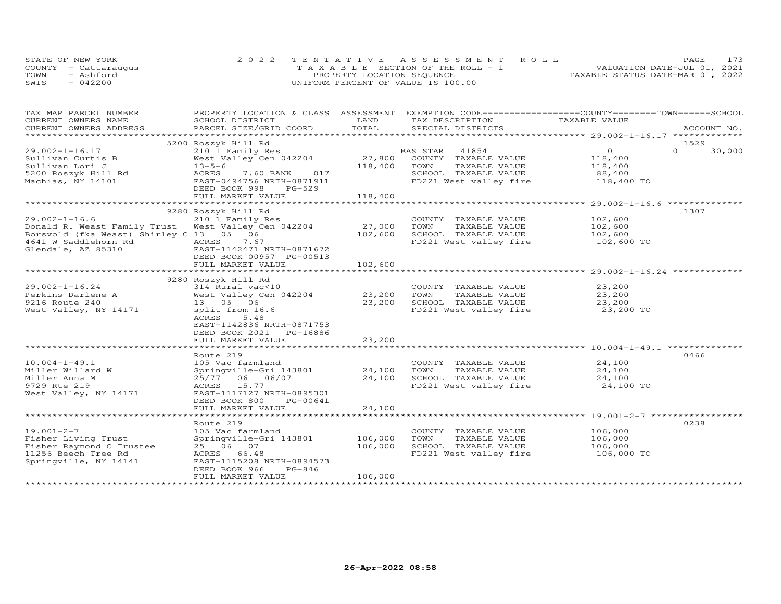|      | STATE OF NEW YORK    | 2022 TENTATIVE ASSESSMENT ROLL        | 173<br>PAGE                      |
|------|----------------------|---------------------------------------|----------------------------------|
|      | COUNTY - Cattaraugus | T A X A B L E SECTION OF THE ROLL - 1 | VALUATION DATE-JUL 01, 2021      |
| TOWN | - Ashford            | PROPERTY LOCATION SEQUENCE            | TAXABLE STATUS DATE-MAR 01, 2022 |
| SWIS | $-042200$            | UNIFORM PERCENT OF VALUE IS 100.00    |                                  |

| TAX MAP PARCEL NUMBER                             | PROPERTY LOCATION & CLASS ASSESSMENT EXEMPTION CODE----------------COUNTY-------TOWN------SCHOOL |                       |                                               |                |                    |
|---------------------------------------------------|--------------------------------------------------------------------------------------------------|-----------------------|-----------------------------------------------|----------------|--------------------|
| CURRENT OWNERS NAME                               | SCHOOL DISTRICT                                                                                  | LAND                  | TAX DESCRIPTION                               | TAXABLE VALUE  |                    |
| CURRENT OWNERS ADDRESS<br>*********************** | PARCEL SIZE/GRID COORD                                                                           | TOTAL                 | SPECIAL DISTRICTS                             |                | ACCOUNT NO.        |
|                                                   |                                                                                                  |                       |                                               |                |                    |
|                                                   | 5200 Roszyk Hill Rd                                                                              |                       |                                               |                | 1529               |
| $29.002 - 1 - 16.17$                              | 210 1 Family Res                                                                                 |                       | BAS STAR 41854<br>27,800 COUNTY TAXABLE VALUE | $\overline{O}$ | $\Omega$<br>30,000 |
| Sullivan Curtis B                                 | West Valley Cen 042204                                                                           |                       |                                               | 118,400        |                    |
| Sullivan Lori J                                   | $13 - 5 - 6$                                                                                     | 118,400               | TOWN<br>TAXABLE VALUE                         | 118,400        |                    |
| 5200 Roszyk Hill Rd                               | 7.60 BANK 017<br>ACRES                                                                           |                       | SCHOOL TAXABLE VALUE                          | 88,400         |                    |
| Machias, NY 14101                                 | EAST-0494756 NRTH-0871911                                                                        |                       | FD221 West valley fire 118,400 TO             |                |                    |
|                                                   | PG-529<br>DEED BOOK 998                                                                          |                       |                                               |                |                    |
|                                                   | FULL MARKET VALUE                                                                                | 118,400               |                                               |                |                    |
|                                                   |                                                                                                  |                       |                                               |                |                    |
| $29.002 - 1 - 16.6$                               | 9280 Roszyk Hill Rd                                                                              |                       |                                               |                | 1307               |
|                                                   | 210 1 Family Res                                                                                 |                       | COUNTY TAXABLE VALUE                          | 102,600        |                    |
| Donald R. Weast Family Trust                      | West Valley Cen 042204                                                                           | 27,000                | TOWN<br>TAXABLE VALUE                         | 102,600        |                    |
| Borsvold (fka Weast) Shirley C 13 05 06           |                                                                                                  | 102,600               | SCHOOL TAXABLE VALUE                          | 102,600        |                    |
|                                                   | 7.67                                                                                             |                       | FD221 West valley fire 102,600 TO             |                |                    |
| Glendale, AZ 85310                                | EAST-1142471 NRTH-0871672                                                                        |                       |                                               |                |                    |
|                                                   | DEED BOOK 00957 PG-00513                                                                         |                       |                                               |                |                    |
|                                                   | FULL MARKET VALUE                                                                                | 102,600               |                                               |                |                    |
|                                                   |                                                                                                  |                       |                                               |                |                    |
|                                                   | 9280 Roszyk Hill Rd                                                                              |                       |                                               |                |                    |
| $29.002 - 1 - 16.24$                              | 314 Rural vac<10                                                                                 |                       | COUNTY TAXABLE VALUE                          | 23,200         |                    |
| Perkins Darlene A                                 | West Valley Cen 042204                                                                           | 23,200                | TOWN<br>TAXABLE VALUE                         | 23,200         |                    |
| 9216 Route 240                                    | 13  05  06                                                                                       | 23,200                | SCHOOL TAXABLE VALUE                          | 23,200         |                    |
| West Valley, NY 14171                             | split from 16.6                                                                                  |                       | FD221 West valley fire                        | 23,200 TO      |                    |
|                                                   | ACRES<br>5.48                                                                                    |                       |                                               |                |                    |
|                                                   | EAST-1142836 NRTH-0871753                                                                        |                       |                                               |                |                    |
|                                                   | DEED BOOK 2021 PG-16886                                                                          |                       |                                               |                |                    |
|                                                   | FULL MARKET VALUE<br>**********************                                                      | 23,200<br>*********** |                                               |                |                    |
|                                                   |                                                                                                  |                       |                                               |                |                    |
|                                                   | Route 219                                                                                        |                       |                                               |                | 0466               |
| $10.004 - 1 - 49.1$                               | 105 Vac farmland                                                                                 |                       | COUNTY TAXABLE VALUE                          | 24,100         |                    |
| Miller Willard W                                  | Springville-Gri 143801                                                                           | 24,100                | TOWN<br>TAXABLE VALUE                         | 24,100         |                    |
| Miller Anna M                                     | 25/77 06 06/07                                                                                   | 24,100                | SCHOOL TAXABLE VALUE                          | 24,100         |                    |
| 9729 Rte 219                                      | ACRES 15.77                                                                                      |                       | FD221 West valley fire                        | 24,100 TO      |                    |
| West Valley, NY 14171                             | EAST-1117127 NRTH-0895301                                                                        |                       |                                               |                |                    |
|                                                   | DEED BOOK 800<br>PG-00641                                                                        |                       |                                               |                |                    |
|                                                   | FULL MARKET VALUE                                                                                | 24,100                |                                               |                |                    |
|                                                   |                                                                                                  |                       |                                               |                |                    |
|                                                   | Route 219                                                                                        |                       |                                               |                | 0238               |
| $19.001 - 2 - 7$                                  | 105 Vac farmland                                                                                 |                       | COUNTY TAXABLE VALUE                          | 106,000        |                    |
| Fisher Living Trust                               | Springville-Gri 143801                                                                           | 106,000               | TOWN<br>TAXABLE VALUE                         | 106,000        |                    |
| Fisher Raymond C Trustee                          | 25 06 07                                                                                         | 106,000               | SCHOOL TAXABLE VALUE                          | 106,000        |                    |
| 11256 Beech Tree Rd                               | ACRES 66.48                                                                                      |                       | FD221 West valley fire 106,000 TO             |                |                    |
| Springville, NY 14141                             | EAST-1115208 NRTH-0894573                                                                        |                       |                                               |                |                    |
|                                                   | DEED BOOK 966<br>$PG-846$                                                                        |                       |                                               |                |                    |
|                                                   | FULL MARKET VALUE                                                                                | 106,000               |                                               |                |                    |
|                                                   |                                                                                                  |                       |                                               |                |                    |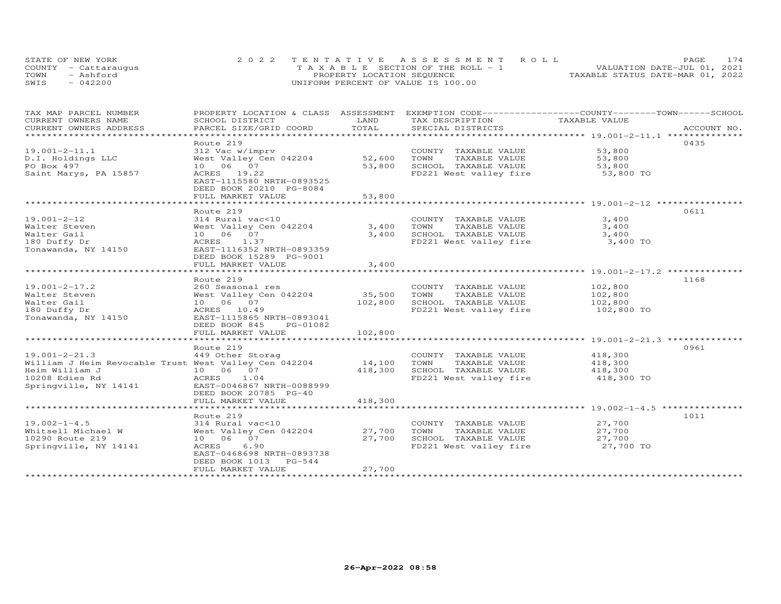| STATE OF NEW YORK    | 2022 TENTATIVE ASSESSMENT ROLL        | 174<br><b>PAGE</b>               |
|----------------------|---------------------------------------|----------------------------------|
| COUNTY - Cattaraugus | T A X A B L E SECTION OF THE ROLL - 1 | VALUATION DATE-JUL 01, 2021      |
| TOWN<br>- Ashford    | PROPERTY LOCATION SEQUENCE            | TAXABLE STATUS DATE-MAR 01, 2022 |
| SWIS<br>$-042200$    | UNIFORM PERCENT OF VALUE IS 100.00    |                                  |

| TAX MAP PARCEL NUMBER                                 | PROPERTY LOCATION & CLASS ASSESSMENT      | LAND        | EXEMPTION CODE-----------------COUNTY-------TOWN------SCHOOL | TAXABLE VALUE         |             |
|-------------------------------------------------------|-------------------------------------------|-------------|--------------------------------------------------------------|-----------------------|-------------|
| CURRENT OWNERS NAME<br>CURRENT OWNERS ADDRESS         | SCHOOL DISTRICT<br>PARCEL SIZE/GRID COORD | TOTAL       | TAX DESCRIPTION<br>SPECIAL DISTRICTS                         |                       | ACCOUNT NO. |
| ***********************                               |                                           |             |                                                              |                       |             |
|                                                       | Route 219                                 |             |                                                              |                       | 0435        |
| $19.001 - 2 - 11.1$                                   | 312 Vac w/imprv                           |             | COUNTY TAXABLE VALUE                                         | 53,800                |             |
| D.I. Holdings LLC                                     | West Valley Cen 042204                    | 52,600      | TOWN<br>TAXABLE VALUE                                        | 53,800                |             |
| PO Box 497                                            | 10 06 07                                  | 53,800      | SCHOOL TAXABLE VALUE                                         | 53,800                |             |
| Saint Marys, PA 15857                                 | ACRES 19.22                               |             | FD221 West valley fire 53,800 TO                             |                       |             |
|                                                       | EAST-1115580 NRTH-0893525                 |             |                                                              |                       |             |
|                                                       | DEED BOOK 20210 PG-8084                   |             |                                                              |                       |             |
|                                                       | FULL MARKET VALUE                         | 53,800      |                                                              |                       |             |
|                                                       |                                           |             |                                                              |                       |             |
|                                                       | Route 219                                 |             |                                                              |                       | 0611        |
| 19.001-2-12                                           | 314 Rural vac<10                          |             | COUNTY TAXABLE VALUE                                         | 3,400                 |             |
| Walter Steven                                         | West Valley Cen 042204                    |             | 3,400 TOWN<br>TAXABLE VALUE                                  | 3,400                 |             |
| Walter Gail                                           | 10 06 07                                  | 3,400       | SCHOOL TAXABLE VALUE                                         | 3,400                 |             |
| 180 Duffy Dr                                          | ACRES 1.37                                |             | FD221 West valley fire                                       | 3,400 TO              |             |
| Tonawanda, NY 14150                                   | EAST-1116352 NRTH-0893359                 |             |                                                              |                       |             |
|                                                       | DEED BOOK 15289 PG-9001                   |             |                                                              |                       |             |
|                                                       | FULL MARKET VALUE                         | 3,400       |                                                              |                       |             |
|                                                       |                                           |             |                                                              |                       |             |
|                                                       | Route 219                                 |             |                                                              |                       | 1168        |
| $19.001 - 2 - 17.2$                                   | 260 Seasonal res                          |             | COUNTY TAXABLE VALUE                                         | 102,800               |             |
| Walter Steven                                         | West Valley Cen 042204                    | 35,500 TOWN | TAXABLE VALUE                                                | 102,800               |             |
| Walter Gail                                           | 10 06 07                                  | 102,800     | SCHOOL TAXABLE VALUE                                         | 102,800               |             |
| 180 Duffy Dr                                          | ACRES 10.49                               |             | FD221 West valley fire                                       | 102,800 TO            |             |
| Tonawanda, NY 14150                                   | EAST-1115865 NRTH-0893041                 |             |                                                              |                       |             |
|                                                       | DEED BOOK 845 PG-01082                    |             |                                                              |                       |             |
|                                                       | FULL MARKET VALUE                         | 102,800     |                                                              |                       |             |
|                                                       |                                           |             |                                                              |                       |             |
|                                                       | Route 219                                 |             |                                                              | 418,300               | 0961        |
| $19.001 - 2 - 21.3$                                   | 449 Other Storag                          | 14,100 TOWN | COUNTY TAXABLE VALUE                                         |                       |             |
| William J Heim Revocable Trust West Valley Cen 042204 | 10  06  07                                | 418,300     | TAXABLE VALUE<br>SCHOOL TAXABLE VALUE                        | 418,300               |             |
| Heim William J<br>10208 Edies Rd                      | ACRES 1.04                                |             | FD221 West valley fire                                       | 418,300<br>418,300 TO |             |
| Springville, NY 14141                                 | EAST-0046867 NRTH-0088999                 |             |                                                              |                       |             |
|                                                       | DEED BOOK 20785 PG-40                     |             |                                                              |                       |             |
|                                                       | FULL MARKET VALUE                         | 418,300     |                                                              |                       |             |
|                                                       |                                           |             |                                                              |                       |             |
|                                                       | Route 219                                 |             |                                                              |                       | 1011        |
| $19.002 - 1 - 4.5$                                    | 314 Rural vac<10                          |             | COUNTY TAXABLE VALUE                                         | 27,700                |             |
| Whitsell Michael W                                    | West Valley Cen 042204 27,700             |             | TOWN<br>TAXABLE VALUE                                        | 27,700                |             |
| 10290 Route 219                                       | 10 06 07                                  | 27,700      | SCHOOL TAXABLE VALUE                                         |                       |             |
| Springville, NY 14141                                 | 6.90<br><b>ACRES</b>                      |             | FD221 West valley fire                                       |                       |             |
|                                                       | EAST-0468698 NRTH-0893738                 |             |                                                              | $27,100$ TO           |             |
|                                                       | DEED BOOK 1013 PG-544                     |             |                                                              |                       |             |
|                                                       | FULL MARKET VALUE                         | 27,700      |                                                              |                       |             |
|                                                       |                                           |             |                                                              |                       |             |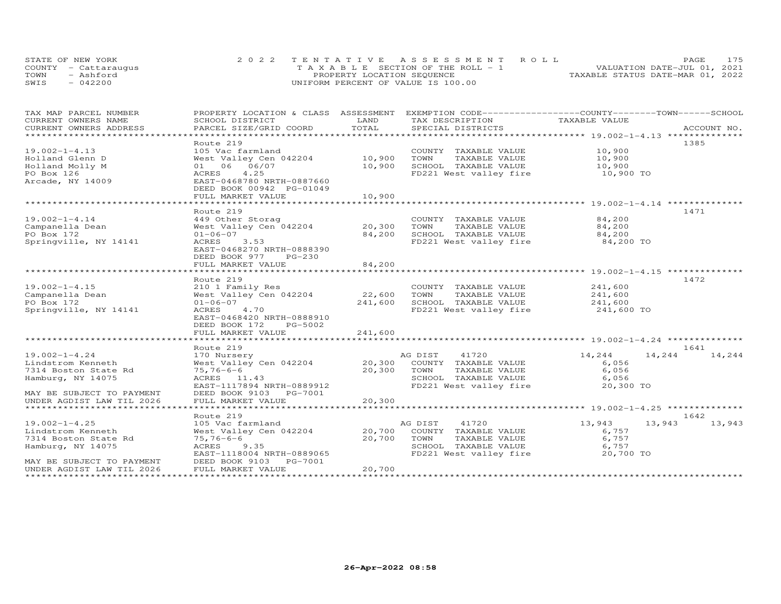| STATE OF NEW YORK    | 2022 TENTATIVE ASSESSMENT ROLL        | 175<br><b>PAGE</b>               |
|----------------------|---------------------------------------|----------------------------------|
| COUNTY - Cattaraugus | T A X A B L E SECTION OF THE ROLL - 1 | VALUATION DATE-JUL 01, 2021      |
| TOWN<br>- Ashford    | PROPERTY LOCATION SEQUENCE            | TAXABLE STATUS DATE-MAR 01, 2022 |
| SWIS<br>$-042200$    | UNIFORM PERCENT OF VALUE IS 100.00    |                                  |

| TAX MAP PARCEL NUMBER     | PROPERTY LOCATION & CLASS ASSESSMENT |         | EXEMPTION CODE-----------------COUNTY-------TOWN-----SCHOOL |                  |             |
|---------------------------|--------------------------------------|---------|-------------------------------------------------------------|------------------|-------------|
| CURRENT OWNERS NAME       | SCHOOL DISTRICT                      | LAND    | TAX DESCRIPTION                                             | TAXABLE VALUE    |             |
| CURRENT OWNERS ADDRESS    | PARCEL SIZE/GRID COORD               | TOTAL   | SPECIAL DISTRICTS                                           |                  | ACCOUNT NO. |
| **********************    |                                      |         |                                                             |                  |             |
|                           | Route 219                            |         |                                                             |                  | 1385        |
| $19.002 - 1 - 4.13$       | 105 Vac farmland                     |         | COUNTY TAXABLE VALUE                                        | 10,900           |             |
| Holland Glenn D           | West Valley Cen 042204               | 10,900  | TAXABLE VALUE<br>TOWN                                       | 10,900           |             |
| Holland Molly M           | 01 06 06/07                          | 10,900  | SCHOOL TAXABLE VALUE                                        | 10,900           |             |
| PO Box 126                | ACRES<br>4.25                        |         | FD221 West valley fire                                      | 10,900 TO        |             |
| Arcade, NY 14009          | EAST-0468780 NRTH-0887660            |         |                                                             |                  |             |
|                           | DEED BOOK 00942 PG-01049             |         |                                                             |                  |             |
|                           | FULL MARKET VALUE                    | 10,900  |                                                             |                  |             |
|                           |                                      |         |                                                             |                  |             |
|                           | Route 219                            |         |                                                             |                  | 1471        |
| $19.002 - 1 - 4.14$       | 449 Other Storag                     |         | COUNTY TAXABLE VALUE                                        | 84,200           |             |
| Campanella Dean           | West Valley Cen 042204               | 20,300  | TOWN<br>TAXABLE VALUE                                       | 84,200           |             |
| PO Box 172                | $01 - 06 - 07$                       | 84,200  | SCHOOL TAXABLE VALUE                                        | 84,200           |             |
| Springville, NY 14141     | 3.53<br>ACRES                        |         | FD221 West valley fire                                      | 84,200 TO        |             |
|                           | EAST-0468270 NRTH-0888390            |         |                                                             |                  |             |
|                           | DEED BOOK 977<br>PG-230              |         |                                                             |                  |             |
|                           | FULL MARKET VALUE                    | 84,200  |                                                             |                  |             |
|                           |                                      |         |                                                             |                  |             |
|                           | Route 219                            |         |                                                             |                  | 1472        |
| $19.002 - 1 - 4.15$       | 210 1 Family Res                     |         | COUNTY TAXABLE VALUE                                        | 241,600          |             |
| Campanella Dean           | West Valley Cen 042204               | 22,600  | TOWN<br>TAXABLE VALUE                                       | 241,600          |             |
| PO Box 172                | $01 - 06 - 07$                       | 241,600 | SCHOOL TAXABLE VALUE                                        | 241,600          |             |
| Springville, NY 14141     | 4.70<br>ACRES                        |         | FD221 West valley fire                                      | 241,600 TO       |             |
|                           | EAST-0468420 NRTH-0888910            |         |                                                             |                  |             |
|                           | DEED BOOK 172<br>PG-5002             |         |                                                             |                  |             |
|                           | FULL MARKET VALUE                    | 241,600 |                                                             |                  |             |
|                           |                                      |         |                                                             |                  |             |
|                           | Route 219                            |         |                                                             |                  | 1641        |
| $19.002 - 1 - 4.24$       | 170 Nursery                          |         | AG DIST<br>41720                                            | 14,244<br>14,244 | 14,244      |
| Lindstrom Kenneth         | West Valley Cen 042204               | 20,300  | COUNTY TAXABLE VALUE                                        | 6,056            |             |
| 7314 Boston State Rd      | $75,76 - 6 - 6$                      | 20,300  | TOWN<br>TAXABLE VALUE                                       | 6,056            |             |
| Hamburg, NY 14075         | ACRES 11.43                          |         | SCHOOL TAXABLE VALUE                                        | 6,056            |             |
|                           | EAST-1117894 NRTH-0889912            |         | FD221 West valley fire                                      | 20,300 TO        |             |
| MAY BE SUBJECT TO PAYMENT | DEED BOOK 9103 PG-7001               |         |                                                             |                  |             |
| UNDER AGDIST LAW TIL 2026 | FULL MARKET VALUE                    | 20,300  |                                                             |                  |             |
|                           |                                      |         |                                                             |                  |             |
|                           | Route 219                            |         |                                                             |                  | 1642        |
| $19.002 - 1 - 4.25$       | 105 Vac farmland                     |         | 41720<br>AG DIST                                            | 13,943<br>13,943 | 13,943      |
| Lindstrom Kenneth         | West Valley Cen 042204               | 20,700  | COUNTY TAXABLE VALUE                                        | 6,757            |             |
| 7314 Boston State Rd      | $75,76 - 6 - 6$                      | 20,700  | TAXABLE VALUE<br>TOWN                                       | 6,757            |             |
| Hamburg, NY 14075         | ACRES<br>9.35                        |         | SCHOOL TAXABLE VALUE                                        | 6,757            |             |
|                           | EAST-1118004 NRTH-0889065            |         | FD221 West valley fire                                      | 20,700 TO        |             |
| MAY BE SUBJECT TO PAYMENT | DEED BOOK 9103 PG-7001               |         |                                                             |                  |             |
| UNDER AGDIST LAW TIL 2026 | FULL MARKET VALUE                    | 20,700  |                                                             |                  |             |
|                           |                                      |         |                                                             |                  |             |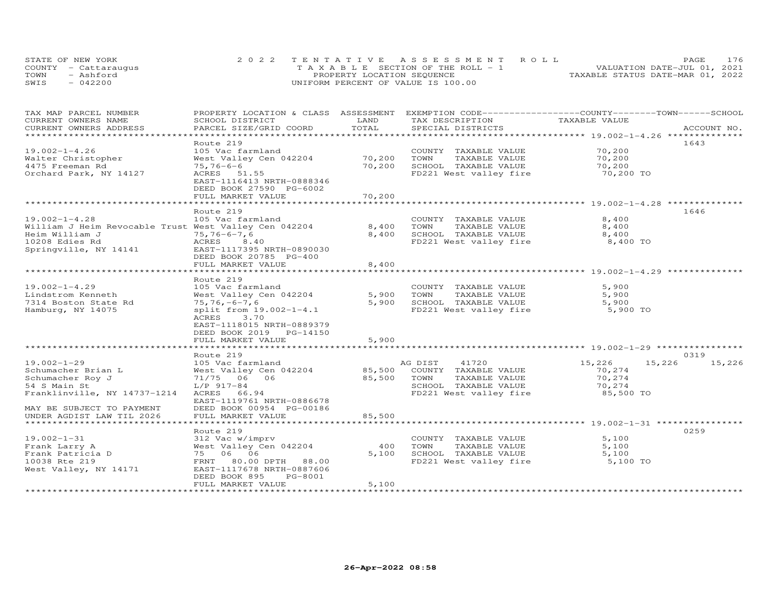|      | STATE OF NEW YORK    | 2022 TENTATIVE ASSESSMENT ROLL     | PAGE.                            | 176 |
|------|----------------------|------------------------------------|----------------------------------|-----|
|      | COUNTY - Cattarauqus | TAXABLE SECTION OF THE ROLL - 1    | VALUATION DATE-JUL 01, 2021      |     |
| TOWN | - Ashford            | PROPERTY LOCATION SEQUENCE         | TAXABLE STATUS DATE-MAR 01, 2022 |     |
| SWIS | $-042200$            | UNIFORM PERCENT OF VALUE IS 100.00 |                                  |     |

| TAX MAP PARCEL NUMBER                                 | PROPERTY LOCATION & CLASS ASSESSMENT      |               | EXEMPTION CODE-----------------COUNTY-------TOWN------SCHOOL |                                                 |                  |
|-------------------------------------------------------|-------------------------------------------|---------------|--------------------------------------------------------------|-------------------------------------------------|------------------|
| CURRENT OWNERS NAME<br>CURRENT OWNERS ADDRESS         | SCHOOL DISTRICT<br>PARCEL SIZE/GRID COORD | LAND<br>TOTAL | TAX DESCRIPTION<br>SPECIAL DISTRICTS                         | TAXABLE VALUE                                   | ACCOUNT NO.      |
| ******************                                    |                                           |               |                                                              |                                                 |                  |
|                                                       | Route 219                                 |               |                                                              |                                                 | 1643             |
| $19.002 - 1 - 4.26$                                   | 105 Vac farmland                          |               | COUNTY TAXABLE VALUE                                         | 70,200                                          |                  |
| Walter Christopher                                    | West Valley Cen 042204                    | 70,200        | TOWN<br>TAXABLE VALUE                                        | 70,200                                          |                  |
| 4475 Freeman Rd                                       | $75,76-6-6$                               | 70,200        | SCHOOL TAXABLE VALUE                                         | 70,200                                          |                  |
| Orchard Park, NY 14127                                | ACRES 51.55                               |               | FD221 West valley fire                                       | 70,200 TO                                       |                  |
|                                                       | EAST-1116413 NRTH-0888346                 |               |                                                              |                                                 |                  |
|                                                       | DEED BOOK 27590 PG-6002                   |               |                                                              |                                                 |                  |
|                                                       | FULL MARKET VALUE                         | 70,200        |                                                              |                                                 |                  |
|                                                       |                                           |               |                                                              |                                                 |                  |
|                                                       | Route 219                                 |               |                                                              |                                                 | 1646             |
| $19.002 - 1 - 4.28$                                   | 105 Vac farmland                          |               | COUNTY TAXABLE VALUE                                         | 8,400                                           |                  |
| William J Heim Revocable Trust West Valley Cen 042204 |                                           | 8,400         | TOWN<br>TAXABLE VALUE                                        | 8,400                                           |                  |
| Heim William J                                        | $75, 76 - 6 - 7, 6$                       | 8,400         | SCHOOL TAXABLE VALUE                                         | 8,400                                           |                  |
| 10208 Edies Rd                                        | ACRES 8.40                                |               | FD221 West valley fire                                       | 8,400 TO                                        |                  |
| Springville, NY 14141                                 | EAST-1117395 NRTH-0890030                 |               |                                                              |                                                 |                  |
|                                                       | DEED BOOK 20785 PG-400                    |               |                                                              |                                                 |                  |
|                                                       | FULL MARKET VALUE                         | 8,400         |                                                              |                                                 |                  |
|                                                       | ***************************               |               |                                                              | ************************ 19.002-1-4.29 **       |                  |
|                                                       | Route 219                                 |               |                                                              |                                                 |                  |
| $19.002 - 1 - 4.29$                                   | 105 Vac farmland                          |               | COUNTY TAXABLE VALUE                                         | 5,900                                           |                  |
| Lindstrom Kenneth                                     | West Valley Cen 042204                    | 5,900         | TOWN<br>TAXABLE VALUE                                        | 5,900                                           |                  |
| 7314 Boston State Rd                                  | $75, 76, -6 - 7, 6$                       | 5,900         | SCHOOL TAXABLE VALUE                                         | 5,900                                           |                  |
| Hamburg, NY 14075                                     | split from 19.002-1-4.1                   |               | FD221 West valley fire                                       | 5,900 TO                                        |                  |
|                                                       | 3.70<br>ACRES                             |               |                                                              |                                                 |                  |
|                                                       | EAST-1118015 NRTH-0889379                 |               |                                                              |                                                 |                  |
|                                                       | DEED BOOK 2019 PG-14150                   |               |                                                              |                                                 |                  |
|                                                       | FULL MARKET VALUE                         | 5,900         |                                                              |                                                 |                  |
|                                                       |                                           |               |                                                              |                                                 |                  |
|                                                       | Route 219                                 |               |                                                              |                                                 | 0319             |
| $19.002 - 1 - 29$                                     | 105 Vac farmland                          |               | 41720<br>AG DIST                                             | 15,226                                          | 15,226<br>15,226 |
| Schumacher Brian L                                    | West Valley Cen 042204                    | 85,500        | COUNTY TAXABLE VALUE                                         | 70,274                                          |                  |
| Schumacher Roy J                                      | 71/75 06 06                               | 85,500        | TOWN<br>TAXABLE VALUE                                        | 70,274                                          |                  |
| 54 S Main St                                          | $L/P$ 917-84                              |               | SCHOOL TAXABLE VALUE                                         | 70,274                                          |                  |
| Franklinville, NY 14737-1214                          | 66.94<br>ACRES                            |               | FD221 West valley fire                                       | 85,500 TO                                       |                  |
|                                                       | EAST-1119761 NRTH-0886678                 |               |                                                              |                                                 |                  |
| MAY BE SUBJECT TO PAYMENT                             | DEED BOOK 00954 PG-00186                  |               |                                                              |                                                 |                  |
| UNDER AGDIST LAW TIL 2026                             | FULL MARKET VALUE                         | 85,500        |                                                              |                                                 |                  |
| *******************                                   |                                           |               |                                                              | *********************** 19.002-1-31 *********** |                  |
|                                                       | Route 219                                 |               |                                                              |                                                 | 0259             |
| $19.002 - 1 - 31$                                     | 312 Vac w/imprv                           |               | COUNTY TAXABLE VALUE                                         | 5,100                                           |                  |
| Frank Larry A                                         | West Valley Cen 042204                    | 400           | TOWN<br>TAXABLE VALUE                                        | 5,100                                           |                  |
| Frank Patricia D                                      | 75 06 06                                  | 5,100         | SCHOOL TAXABLE VALUE                                         | 5,100                                           |                  |
| 10038 Rte 219                                         | 80.00 DPTH 88.00<br>FRNT                  |               | FD221 West valley fire                                       | 5,100 TO                                        |                  |
| West Valley, NY 14171                                 | EAST-1117678 NRTH-0887606                 |               |                                                              |                                                 |                  |
|                                                       | PG-8001<br>DEED BOOK 895                  |               |                                                              |                                                 |                  |
| **********************                                | FULL MARKET VALUE                         | 5,100         |                                                              |                                                 |                  |
|                                                       |                                           |               |                                                              |                                                 |                  |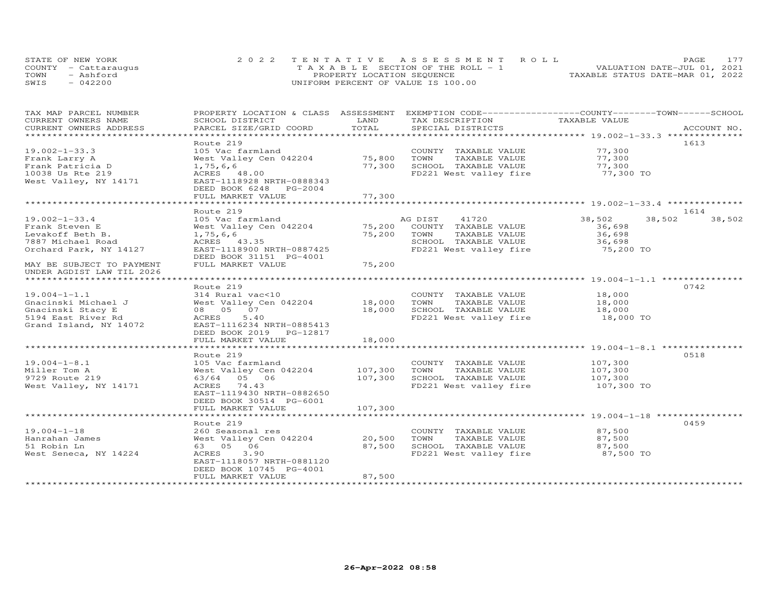|      | STATE OF NEW YORK    | 2022 TENTATIVE ASSESSMENT ROLL     | PAGE.                            | 177 |
|------|----------------------|------------------------------------|----------------------------------|-----|
|      | COUNTY - Cattarauqus | TAXABLE SECTION OF THE ROLL - 1    | VALUATION DATE-JUL 01, 2021      |     |
| TOWN | - Ashford            | PROPERTY LOCATION SEQUENCE         | TAXABLE STATUS DATE-MAR 01, 2022 |     |
| SWIS | $-042200$            | UNIFORM PERCENT OF VALUE IS 100.00 |                                  |     |

| TAX MAP PARCEL NUMBER                           |                                          |         | PROPERTY LOCATION & CLASS ASSESSMENT EXEMPTION CODE----------------COUNTY-------TOWN------SCHOOL |               |                  |
|-------------------------------------------------|------------------------------------------|---------|--------------------------------------------------------------------------------------------------|---------------|------------------|
| CURRENT OWNERS NAME                             | SCHOOL DISTRICT                          | LAND    | TAX DESCRIPTION                                                                                  | TAXABLE VALUE |                  |
| CURRENT OWNERS ADDRESS<br>********************* | PARCEL SIZE/GRID COORD                   | TOTAL   | SPECIAL DISTRICTS                                                                                |               | ACCOUNT NO.      |
|                                                 |                                          |         |                                                                                                  |               |                  |
| $19.002 - 1 - 33.3$                             | Route 219<br>105 Vac farmland            |         |                                                                                                  | 77,300        | 1613             |
|                                                 |                                          | 75,800  | COUNTY TAXABLE VALUE<br>TOWN<br>TAXABLE VALUE                                                    | 77,300        |                  |
| Frank Larry A<br>Frank Patricia D               | West Valley Cen 042204                   | 77,300  | SCHOOL TAXABLE VALUE                                                                             | 77,300        |                  |
|                                                 | 1,75,6,6                                 |         |                                                                                                  | 77,300 TO     |                  |
| 10038 Us Rte 219<br>West Valley, NY 14171       | ACRES 48.00<br>EAST-1118928 NRTH-0888343 |         | FD221 West valley fire                                                                           |               |                  |
|                                                 | DEED BOOK 6248 PG-2004                   |         |                                                                                                  |               |                  |
|                                                 | FULL MARKET VALUE                        | 77,300  |                                                                                                  |               |                  |
|                                                 |                                          |         |                                                                                                  |               |                  |
|                                                 | Route 219                                |         |                                                                                                  |               | 1614             |
| $19.002 - 1 - 33.4$                             | 105 Vac farmland                         |         | AG DIST 41720                                                                                    | 38,502        | 38,502<br>38,502 |
| Frank Steven E                                  | West Valley Cen 042204                   | 75,200  | COUNTY TAXABLE VALUE                                                                             | 36,698        |                  |
| Levakoff Beth B.                                | 1,75,6,6                                 | 75,200  | TOWN<br>TAXABLE VALUE                                                                            | 36,698        |                  |
| 7887 Michael Road                               | ACRES 43.35                              |         | SCHOOL TAXABLE VALUE                                                                             | 36,698        |                  |
| Orchard Park, NY 14127                          | EAST-1118900 NRTH-0887425                |         | FD221 West valley fire                                                                           | 75,200 TO     |                  |
|                                                 | DEED BOOK 31151 PG-4001                  |         |                                                                                                  |               |                  |
| MAY BE SUBJECT TO PAYMENT                       | FULL MARKET VALUE                        | 75,200  |                                                                                                  |               |                  |
| UNDER AGDIST LAW TIL 2026                       |                                          |         |                                                                                                  |               |                  |
|                                                 |                                          |         |                                                                                                  |               |                  |
|                                                 | Route 219                                |         |                                                                                                  |               | 0742             |
| $19.004 - 1 - 1.1$                              | 314 Rural vac<10                         |         | COUNTY TAXABLE VALUE                                                                             | 18,000        |                  |
| Gnacinski Michael J                             | West Valley Cen 042204 18,000            |         | TAXABLE VALUE<br>TOWN                                                                            | 18,000        |                  |
| Gnacinski Stacy E                               | 08  05  07                               | 18,000  | SCHOOL TAXABLE VALUE                                                                             | 18,000        |                  |
| 5194 East River Rd                              | ACRES<br>5.40                            |         | FD221 West valley fire 18,000 TO                                                                 |               |                  |
| Grand Island, NY 14072                          | EAST-1116234 NRTH-0885413                |         |                                                                                                  |               |                  |
|                                                 | DEED BOOK 2019 PG-12817                  |         |                                                                                                  |               |                  |
|                                                 | FULL MARKET VALUE                        | 18,000  |                                                                                                  |               |                  |
|                                                 |                                          |         |                                                                                                  |               |                  |
|                                                 | Route 219                                |         |                                                                                                  |               | 0518             |
| $19.004 - 1 - 8.1$                              | 105 Vac farmland                         |         | COUNTY TAXABLE VALUE                                                                             | 107,300       |                  |
| Miller Tom A                                    | West Valley Cen 042204                   | 107,300 | TOWN<br>TAXABLE VALUE                                                                            | 107,300       |                  |
| 9729 Route 219                                  | 63/64 05 06                              | 107,300 | SCHOOL TAXABLE VALUE                                                                             | 107,300       |                  |
| West Valley, NY 14171                           | ACRES 74.43                              |         | FD221 West valley fire                                                                           | 107,300 TO    |                  |
|                                                 | EAST-1119430 NRTH-0882650                |         |                                                                                                  |               |                  |
|                                                 | DEED BOOK 30514 PG-6001                  |         |                                                                                                  |               |                  |
|                                                 | FULL MARKET VALUE                        | 107,300 |                                                                                                  |               |                  |
|                                                 |                                          |         |                                                                                                  |               |                  |
|                                                 | Route 219                                |         |                                                                                                  |               | 0459             |
| $19.004 - 1 - 18$                               | 260 Seasonal res                         |         | COUNTY TAXABLE VALUE                                                                             | 87,500        |                  |
| Hanrahan James                                  | West Valley Cen 042204                   | 20,500  | TOWN<br>TAXABLE VALUE                                                                            | 87,500        |                  |
| 51 Robin Ln                                     | 63 05 06                                 | 87,500  | SCHOOL TAXABLE VALUE<br>FD221 West valley fire 37,500 TO                                         | 87,500        |                  |
| West Seneca, NY 14224                           | ACRES<br>3.90                            |         |                                                                                                  |               |                  |
|                                                 | EAST-1118057 NRTH-0881120                |         |                                                                                                  |               |                  |
|                                                 | DEED BOOK 10745 PG-4001                  |         |                                                                                                  |               |                  |
| *********************                           | FULL MARKET VALUE                        | 87,500  |                                                                                                  |               |                  |
|                                                 |                                          |         |                                                                                                  |               |                  |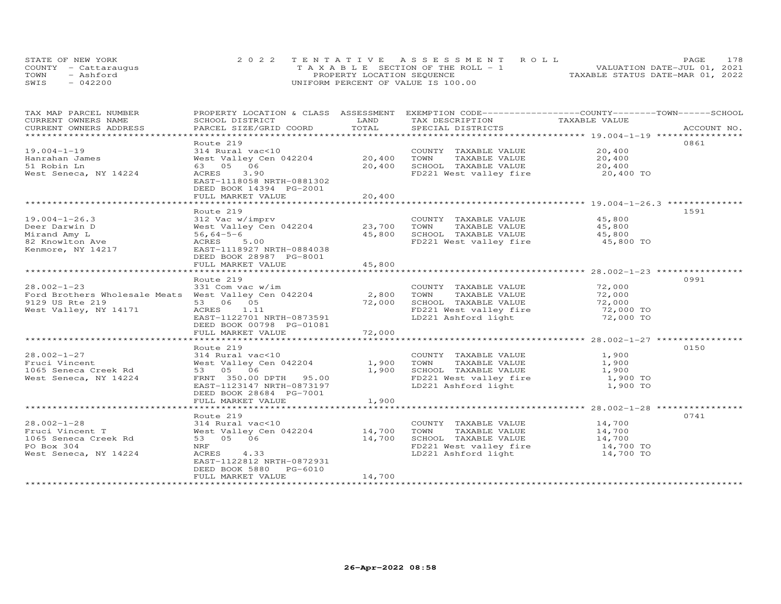|      | STATE OF NEW YORK    | 2022 TENTATIVE ASSESSMENT ROLL          | 178<br><b>PAGE</b>               |
|------|----------------------|-----------------------------------------|----------------------------------|
|      | COUNTY - Cattarauqus | $T A X A B L E$ SECTION OF THE ROLL - 1 | VALUATION DATE-JUL 01, 2021      |
| TOWN | - Ashford            | PROPERTY LOCATION SEQUENCE              | TAXABLE STATUS DATE-MAR 01, 2022 |
| SWIS | $-042200$            | UNIFORM PERCENT OF VALUE IS 100.00      |                                  |

| TAX MAP PARCEL NUMBER<br>CURRENT OWNERS NAME         | PROPERTY LOCATION & CLASS ASSESSMENT<br>SCHOOL DISTRICT | LAND   | EXEMPTION CODE------------------COUNTY-------TOWN------SCHOOL<br>TAX DESCRIPTION | TAXABLE VALUE       |             |
|------------------------------------------------------|---------------------------------------------------------|--------|----------------------------------------------------------------------------------|---------------------|-------------|
| CURRENT OWNERS ADDRESS                               | PARCEL SIZE/GRID COORD                                  | TOTAL  | SPECIAL DISTRICTS                                                                |                     | ACCOUNT NO. |
| ********************                                 |                                                         |        |                                                                                  |                     |             |
|                                                      | Route 219                                               |        |                                                                                  |                     | 0861        |
| $19.004 - 1 - 19$                                    | 314 Rural vac<10                                        |        | COUNTY TAXABLE VALUE                                                             | 20,400              |             |
| Hanrahan James                                       | West Valley Cen 042204                                  | 20,400 | TOWN<br>TAXABLE VALUE                                                            | 20,400              |             |
| 51 Robin Ln                                          | 63 05 06                                                | 20,400 | SCHOOL TAXABLE VALUE                                                             | 20,400              |             |
| West Seneca, NY 14224                                | ACRES<br>3.90                                           |        | FD221 West valley fire                                                           | 20,400 TO           |             |
|                                                      | EAST-1118058 NRTH-0881302<br>DEED BOOK 14394 PG-2001    |        |                                                                                  |                     |             |
|                                                      | FULL MARKET VALUE                                       |        |                                                                                  |                     |             |
|                                                      |                                                         | 20,400 |                                                                                  |                     |             |
|                                                      | Route 219                                               |        |                                                                                  |                     | 1591        |
| $19.004 - 1 - 26.3$                                  | 312 Vac w/imprv                                         |        | COUNTY TAXABLE VALUE                                                             | 45,800              |             |
| Deer Darwin D                                        | West Valley Cen 042204                                  | 23,700 | TOWN<br>TAXABLE VALUE                                                            | 45,800              |             |
| Mirand Amy L                                         | $56,64-5-6$                                             | 45,800 | SCHOOL TAXABLE VALUE                                                             | 45,800              |             |
| 82 Knowlton Ave                                      | ACRES 5.00                                              |        | FD221 West valley fire 45,800 TO                                                 |                     |             |
| Kenmore, NY 14217                                    | EAST-1118927 NRTH-0884038                               |        |                                                                                  |                     |             |
|                                                      | DEED BOOK 28987 PG-8001                                 |        |                                                                                  |                     |             |
|                                                      | FULL MARKET VALUE                                       | 45,800 |                                                                                  |                     |             |
|                                                      |                                                         |        |                                                                                  |                     |             |
|                                                      | Route 219                                               |        |                                                                                  |                     | 0991        |
| $28.002 - 1 - 23$                                    | 331 Com vac w/im                                        |        | COUNTY TAXABLE VALUE                                                             | 72,000              |             |
| Ford Brothers Wholesale Meats West Valley Cen 042204 |                                                         | 2,800  | TOWN<br>TAXABLE VALUE                                                            | 72,000              |             |
| 9129 US Rte 219                                      | 53 06 05                                                | 72,000 | SCHOOL TAXABLE VALUE                                                             | 72,000              |             |
| West Valley, NY 14171                                | ACRES 1.11                                              |        |                                                                                  | 72,000 TO           |             |
|                                                      | EAST-1122701 NRTH-0873591                               |        | FD221 West valley fire<br>LD221 Ashford light                                    | 72,000 TO           |             |
|                                                      | DEED BOOK 00798 PG-01081                                |        |                                                                                  |                     |             |
|                                                      | FULL MARKET VALUE                                       | 72,000 |                                                                                  |                     |             |
|                                                      |                                                         |        |                                                                                  |                     |             |
|                                                      | Route 219                                               |        |                                                                                  |                     | 0150        |
| $28.002 - 1 - 27$                                    | 314 Rural vac<10                                        |        | COUNTY TAXABLE VALUE                                                             | 1,900               |             |
| Fruci Vincent                                        | West Valley Cen 042204                                  | 1,900  | TOWN<br>TAXABLE VALUE                                                            | 1,900               |             |
| 1065 Seneca Creek Rd                                 | 53 05 06                                                | 1,900  | SCHOOL TAXABLE VALUE                                                             | 1,900               |             |
| West Seneca, NY 14224                                | FRNT 350.00 DPTH 95.00                                  |        | FD221 West valley fire<br>ID221 Ashford light                                    | 1,900 TO            |             |
|                                                      | EAST-1123147 NRTH-0873197                               |        | LD221 Ashford light                                                              | 1,900 TO            |             |
|                                                      | DEED BOOK 28684 PG-7001                                 |        |                                                                                  |                     |             |
|                                                      | FULL MARKET VALUE                                       | 1,900  |                                                                                  |                     |             |
|                                                      |                                                         |        |                                                                                  |                     |             |
|                                                      | Route 219                                               |        |                                                                                  |                     | 0741        |
| $28.002 - 1 - 28$                                    | 314 Rural vac<10                                        |        | COUNTY TAXABLE VALUE                                                             | 14,700              |             |
| Fruci Vincent T                                      | West Valley Cen 042204                                  | 14,700 | TOWN<br>TAXABLE VALUE                                                            | 14,700              |             |
| 1065 Seneca Creek Rd                                 | 53 05 06                                                | 14,700 | SCHOOL TAXABLE VALUE                                                             | 14,700<br>14,700 TO |             |
| PO Box 304                                           | NRF                                                     |        | FD221 West valley fire<br>LD221 Ashford light                                    |                     |             |
| West Seneca, NY 14224                                | ACRES 4.33                                              |        |                                                                                  | 14,700 TO           |             |
|                                                      | EAST-1122812 NRTH-0872931                               |        |                                                                                  |                     |             |
|                                                      | DEED BOOK 5880 PG-6010                                  | 14,700 |                                                                                  |                     |             |
|                                                      | FULL MARKET VALUE                                       |        |                                                                                  |                     |             |
|                                                      |                                                         |        |                                                                                  |                     |             |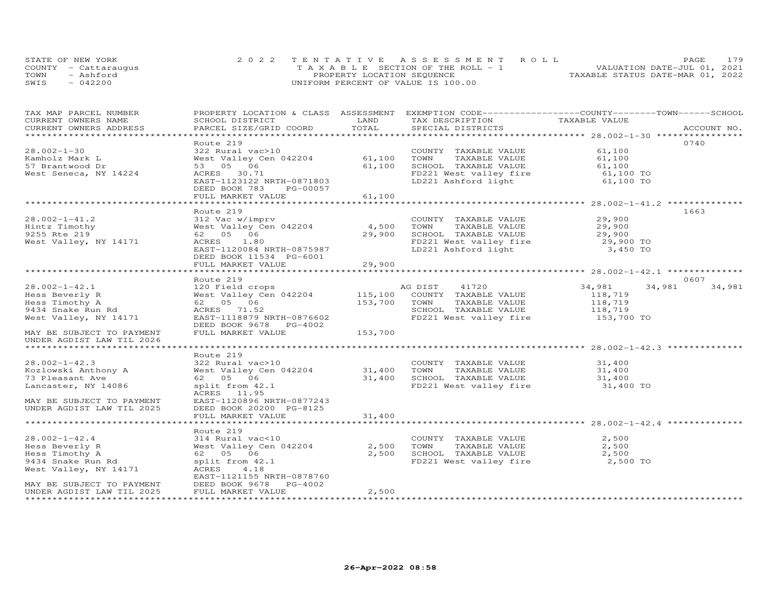|      | STATE OF NEW YORK    | 2022 TENTATIVE ASSESSMENT ROLL        |                                  | <b>PAGE</b>                 | 179 |
|------|----------------------|---------------------------------------|----------------------------------|-----------------------------|-----|
|      | COUNTY - Cattarauqus | T A X A B L E SECTION OF THE ROLL - 1 |                                  | VALUATION DATE-JUL 01, 2021 |     |
| TOWN | - Ashford            | PROPERTY LOCATION SEQUENCE            | TAXABLE STATUS DATE-MAR 01, 2022 |                             |     |
| SWIS | $-042200$            | UNIFORM PERCENT OF VALUE IS 100.00    |                                  |                             |     |

| TAX MAP PARCEL NUMBER     | PROPERTY LOCATION & CLASS ASSESSMENT EXEMPTION CODE-----------------COUNTY-------TOWN------SCHOOL |         |                                                                                                     |               |                  |
|---------------------------|---------------------------------------------------------------------------------------------------|---------|-----------------------------------------------------------------------------------------------------|---------------|------------------|
| CURRENT OWNERS NAME       | SCHOOL DISTRICT                                                                                   | LAND    | TAX DESCRIPTION                                                                                     | TAXABLE VALUE |                  |
| CURRENT OWNERS ADDRESS    | PARCEL SIZE/GRID COORD                                                                            | TOTAL   | SPECIAL DISTRICTS                                                                                   |               | ACCOUNT NO.      |
|                           |                                                                                                   |         |                                                                                                     |               |                  |
|                           | Route 219                                                                                         |         |                                                                                                     |               | 0740             |
| $28.002 - 1 - 30$         | 322 Rural vac>10                                                                                  |         | COUNTY TAXABLE VALUE                                                                                | 61,100        |                  |
| Kamholz Mark L            | West Valley Cen 042204 61,100                                                                     |         | TAXABLE VALUE<br>TOWN                                                                               | 61,100        |                  |
| 57 Brantwood Dr           | 53 05 06                                                                                          | 61,100  | SCHOOL TAXABLE VALUE                                                                                | 61,100        |                  |
| West Seneca, NY 14224     | ACRES 30.71                                                                                       |         | FD221 West valley fire 61,100 TO                                                                    |               |                  |
|                           | EAST-1123122 NRTH-0871803                                                                         |         | LD221 Ashford light                                                                                 | 61,100 TO     |                  |
|                           | DEED BOOK 783<br>PG-00057                                                                         |         |                                                                                                     |               |                  |
|                           | FULL MARKET VALUE                                                                                 | 61,100  |                                                                                                     |               |                  |
|                           |                                                                                                   |         |                                                                                                     |               |                  |
|                           | Route 219                                                                                         |         |                                                                                                     |               | 1663             |
| $28.002 - 1 - 41.2$       | 312 Vac w/imprv                                                                                   |         | COUNTY TAXABLE VALUE                                                                                | 29,900        |                  |
| Hintz Timothy             | West Valley Cen 042204 4,500<br>62 05 06 29,900                                                   |         | TAXABLE VALUE<br>TAXABLE VALUE 29,900<br>TAXABLE VALUE 29,900<br>TOWN                               |               |                  |
| 9255 Rte 219              |                                                                                                   | 29,900  |                                                                                                     |               |                  |
| West Valley, NY 14171     | ACRES 1.80                                                                                        |         |                                                                                                     |               |                  |
|                           | EAST-1120084 NRTH-0875987                                                                         |         |                                                                                                     |               |                  |
|                           | DEED BOOK 11534 PG-6001                                                                           |         |                                                                                                     |               |                  |
|                           | FULL MARKET VALUE                                                                                 | 29,900  |                                                                                                     |               |                  |
|                           |                                                                                                   |         |                                                                                                     |               |                  |
|                           | Route 219                                                                                         |         |                                                                                                     |               | 0607             |
| $28.002 - 1 - 42.1$       | 120 Field crops<br>West Valley Cen 042204 115,100                                                 |         | AG DIST<br>41720                                                                                    | 34,981        | 34,981<br>34,981 |
| Hess Beverly R            |                                                                                                   |         | COUNTY TAXABLE VALUE                                                                                | 118,719       |                  |
| Hess Timothy A            | 62 05 06                                                                                          | 153,700 | TOWN<br>TAXABLE VALUE<br>SCHOOL TAXABLE VALUE 118,719                                               | 118,719       |                  |
| 9434 Snake Run Rd         | ACRES 71.52                                                                                       |         |                                                                                                     |               |                  |
| West Valley, NY 14171     | EAST-1118879 NRTH-0876602<br>DEED BOOK 9678 PG-4002                                               |         | FD221 West valley fire                                                                              | 153,700 TO    |                  |
| MAY BE SUBJECT TO PAYMENT | FULL MARKET VALUE                                                                                 | 153,700 |                                                                                                     |               |                  |
| UNDER AGDIST LAW TIL 2026 |                                                                                                   |         |                                                                                                     |               |                  |
|                           |                                                                                                   |         |                                                                                                     |               |                  |
|                           | Route 219                                                                                         |         |                                                                                                     |               |                  |
| $28.002 - 1 - 42.3$       | 322 Rural vac>10                                                                                  |         | COUNTY TAXABLE VALUE 31,400                                                                         |               |                  |
| Kozlowski Anthony A       | West Valley Cen 042204 31,400 TOWN                                                                |         |                                                                                                     |               |                  |
| 73 Pleasant Ave           | 62  05  06                                                                                        |         |                                                                                                     |               |                  |
| Lancaster, NY 14086       | split from 42.1<br>ACRES 11.95                                                                    |         | 31,400 TOWN TAXABLE VALUE<br>31,400 SCHOOL TAXABLE VALUE 31,400<br>TRACL Woot valley fire 31,400 TO |               |                  |
| MAY BE SUBJECT TO PAYMENT | EAST-1120896 NRTH-0877243                                                                         |         |                                                                                                     |               |                  |
| UNDER AGDIST LAW TIL 2025 | DEED BOOK 20200 PG-8125                                                                           |         |                                                                                                     |               |                  |
|                           | FULL MARKET VALUE                                                                                 | 31,400  |                                                                                                     |               |                  |
|                           |                                                                                                   |         |                                                                                                     |               |                  |
|                           | Route 219                                                                                         |         |                                                                                                     |               |                  |
| $28.002 - 1 - 42.4$       | 314 Rural vac<10                                                                                  |         | COUNTY TAXABLE VALUE                                                                                | 2,500         |                  |
| Hess Beverly R            | West Valley Cen 042204                                                                            | 2,500   | TAXABLE VALUE<br>TOWN                                                                               | 2,500         |                  |
| Hess Timothy A            | 62   05   06                                                                                      | 2,500   | SCHOOL TAXABLE VALUE                                                                                | 2,500         |                  |
| 9434 Snake Run Rd         | split from 42.1                                                                                   |         | FD221 West valley fire 2,500 TO                                                                     |               |                  |
| West Valley, NY 14171     | ACRES<br>4.18                                                                                     |         |                                                                                                     |               |                  |
|                           | EAST-1121155 NRTH-0878760                                                                         |         |                                                                                                     |               |                  |
| MAY BE SUBJECT TO PAYMENT | DEED BOOK 9678 PG-4002                                                                            |         |                                                                                                     |               |                  |
| UNDER AGDIST LAW TIL 2025 | FULL MARKET VALUE                                                                                 | 2,500   |                                                                                                     |               |                  |
|                           |                                                                                                   |         |                                                                                                     |               |                  |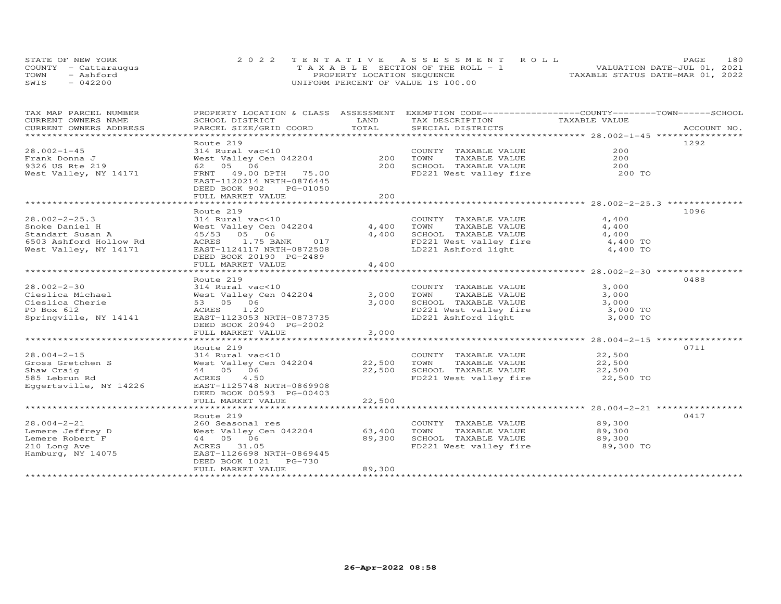|      | STATE OF NEW YORK    | 2022 TENTATIVE ASSESSMENT ROLL        | 180<br>PAGE.                     |
|------|----------------------|---------------------------------------|----------------------------------|
|      | COUNTY - Cattarauqus | T A X A B L E SECTION OF THE ROLL - 1 | VALUATION DATE-JUL 01, 2021      |
| TOWN | - Ashford            | PROPERTY LOCATION SEQUENCE            | TAXABLE STATUS DATE-MAR 01, 2022 |
| SWIS | $-042200$            | UNIFORM PERCENT OF VALUE IS 100.00    |                                  |

| TAX MAP PARCEL NUMBER<br>CURRENT OWNERS NAME<br>CURRENT OWNERS ADDRESS | PROPERTY LOCATION & CLASS ASSESSMENT EXEMPTION CODE----------------COUNTY-------TOWN------SCHOOL<br>SCHOOL DISTRICT<br>PARCEL SIZE/GRID COORD | LAND<br>TOTAL        | TAX DESCRIPTION<br>SPECIAL DISTRICTS          | TAXABLE VALUE                             | ACCOUNT NO. |
|------------------------------------------------------------------------|-----------------------------------------------------------------------------------------------------------------------------------------------|----------------------|-----------------------------------------------|-------------------------------------------|-------------|
| ******************************                                         |                                                                                                                                               |                      |                                               |                                           |             |
| $28.002 - 1 - 45$                                                      | Route 219<br>314 Rural vac<10                                                                                                                 |                      | COUNTY TAXABLE VALUE                          | 200                                       | 1292        |
| Frank Donna J<br>9326 US Rte 219                                       | West Valley Cen 042204<br>62 05 06                                                                                                            | 200<br>200           | TOWN<br>TAXABLE VALUE<br>SCHOOL TAXABLE VALUE | 200<br>200                                |             |
| West Valley, NY 14171                                                  | FRNT 49.00 DPTH 75.00<br>EAST-1120214 NRTH-0876445<br>DEED BOOK 902<br>PG-01050<br>FULL MARKET VALUE                                          | 200                  | FD221 West valley fire 200 TO                 |                                           |             |
|                                                                        |                                                                                                                                               |                      |                                               |                                           |             |
|                                                                        | Route 219                                                                                                                                     |                      |                                               |                                           | 1096        |
| $28.002 - 2 - 25.3$<br>Snoke Daniel H                                  | 314 Rural vac<10<br>West Valley Cen 042204                                                                                                    | 4,400                | COUNTY TAXABLE VALUE<br>TOWN<br>TAXABLE VALUE | 4,400<br>4,400                            |             |
| Standart Susan A                                                       | 45/53 05 06                                                                                                                                   | 4,400                | SCHOOL TAXABLE VALUE                          | 4,400                                     |             |
| 6503 Ashford Hollow Rd                                                 | ACRES 1.75 BANK 017                                                                                                                           |                      |                                               | 4,400 TO                                  |             |
| West Valley, NY 14171                                                  | EAST-1124117 NRTH-0872508<br>DEED BOOK 20190 PG-2489                                                                                          |                      | FD221 West valley fire<br>LD221 Ashford light | 4,400 TO                                  |             |
|                                                                        | FULL MARKET VALUE<br>***************************                                                                                              | 4,400<br>*********** |                                               | ****************** 28.002-2-30 ********** |             |
|                                                                        | Route 219                                                                                                                                     |                      |                                               |                                           | 0488        |
| $28.002 - 2 - 30$                                                      | 314 Rural vac<10                                                                                                                              |                      | COUNTY TAXABLE VALUE                          | 3,000                                     |             |
| Cieslica Michael                                                       | West Valley Cen 042204                                                                                                                        | 3,000                | TAXABLE VALUE<br>TOWN                         | 3,000                                     |             |
| Cieslica Cherie                                                        | 53 05 06                                                                                                                                      | 3,000                | SCHOOL TAXABLE VALUE                          | 3,000                                     |             |
| PO Box 612                                                             | ACRES 1.20                                                                                                                                    |                      | FD221 West valley fire<br>LD221 Ashford light | 3,000 TO                                  |             |
| Springville, NY 14141                                                  | EAST-1123053 NRTH-0873735<br>DEED BOOK 20940 PG-2002                                                                                          | 3,000                |                                               | 3,000 TO                                  |             |
|                                                                        | FULL MARKET VALUE                                                                                                                             |                      |                                               |                                           |             |
|                                                                        | Route 219                                                                                                                                     |                      |                                               |                                           | 0711        |
| $28.004 - 2 - 15$                                                      | 314 Rural vac<10                                                                                                                              |                      | COUNTY TAXABLE VALUE                          | 22,500                                    |             |
| Gross Gretchen S                                                       | West Valley Cen 042204                                                                                                                        |                      | 22,500 TOWN<br>TAXABLE VALUE                  | 22,500                                    |             |
| Shaw Craig                                                             | 44 05 06                                                                                                                                      | 22,500               | SCHOOL TAXABLE VALUE                          | 22,500                                    |             |
| 585 Lebrun Rd                                                          | ACRES<br>4.50                                                                                                                                 |                      | FD221 West valley fire                        | 22,500 TO                                 |             |
| Eggertsville, NY 14226                                                 | EAST-1125748 NRTH-0869908<br>DEED BOOK 00593 PG-00403                                                                                         |                      |                                               |                                           |             |
|                                                                        | FULL MARKET VALUE                                                                                                                             | 22,500               |                                               |                                           |             |
|                                                                        | Route 219                                                                                                                                     |                      |                                               |                                           | 0417        |
| $28.004 - 2 - 21$                                                      | 260 Seasonal res                                                                                                                              |                      | COUNTY TAXABLE VALUE                          | 89,300                                    |             |
| Lemere Jeffrey D                                                       | West Valley Cen 042204 63,400                                                                                                                 |                      | TOWN<br>TAXABLE VALUE                         | 89,300                                    |             |
| Lemere Robert F                                                        | 44 05 06                                                                                                                                      | 89,300               | SCHOOL TAXABLE VALUE                          | 89,300                                    |             |
| 210 Long Ave                                                           | ACRES 31.05                                                                                                                                   |                      | FD221 West valley fire                        | 89,300 TO                                 |             |
| Hamburg, NY 14075                                                      | EAST-1126698 NRTH-0869445<br>DEED BOOK 1021<br>PG-730                                                                                         |                      |                                               |                                           |             |
|                                                                        | FULL MARKET VALUE                                                                                                                             | 89,300               |                                               |                                           |             |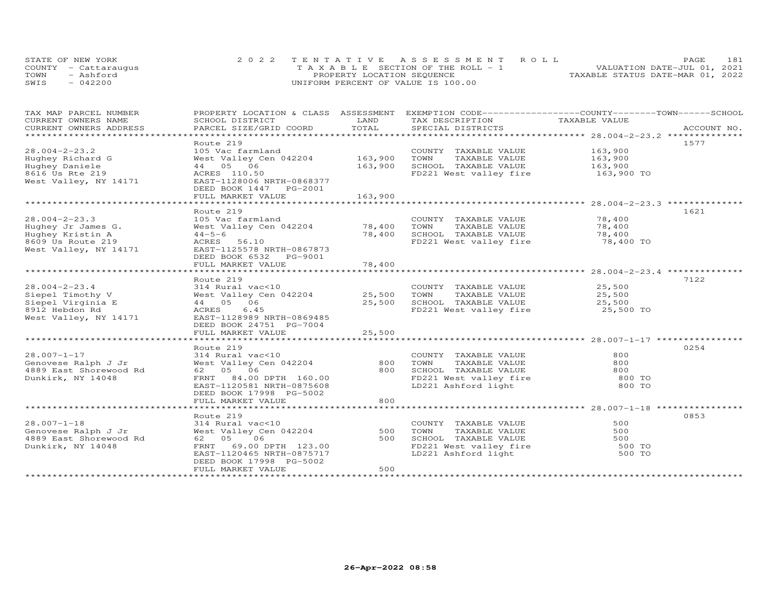| STATE OF NEW YORK    | 2022 TENTATIVE ASSESSMENT ROLL        | <b>PAGE</b>                      | 181 |
|----------------------|---------------------------------------|----------------------------------|-----|
| COUNTY - Cattaraugus | T A X A B L E SECTION OF THE ROLL - 1 | VALUATION DATE-JUL 01, 2021      |     |
| TOWN<br>- Ashford    | PROPERTY LOCATION SEQUENCE            | TAXABLE STATUS DATE-MAR 01, 2022 |     |
| $-042200$<br>SWIS    | UNIFORM PERCENT OF VALUE IS 100.00    |                                  |     |

| TAX MAP PARCEL NUMBER<br>CURRENT OWNERS NAME<br>CURRENT OWNERS ADDRESS | PROPERTY LOCATION & CLASS ASSESSMENT EXEMPTION CODE-----------------COUNTY-------TOWN------SCHOOL<br>SCHOOL DISTRICT<br>PARCEL SIZE/GRID COORD | LAND<br>TOTAL           | TAX DESCRIPTION<br>SPECIAL DISTRICTS          | TAXABLE VALUE                                    | ACCOUNT NO. |
|------------------------------------------------------------------------|------------------------------------------------------------------------------------------------------------------------------------------------|-------------------------|-----------------------------------------------|--------------------------------------------------|-------------|
|                                                                        |                                                                                                                                                |                         |                                               |                                                  |             |
|                                                                        | Route 219                                                                                                                                      |                         |                                               |                                                  | 1577        |
| $28.004 - 2 - 23.2$                                                    | 105 Vac farmland                                                                                                                               |                         | COUNTY TAXABLE VALUE                          | 163,900                                          |             |
| Hughey Richard G<br>Hughey Daniele                                     | West Valley Cen 042204<br>44 05 06                                                                                                             | 163,900<br>163,900      | TOWN<br>TAXABLE VALUE<br>SCHOOL TAXABLE VALUE | 163,900<br>163,900                               |             |
| 8616 Us Rte 219                                                        | ACRES 110.50                                                                                                                                   |                         | FD221 West valley fire                        | 163,900 TO                                       |             |
| West Valley, NY 14171                                                  | EAST-1128006 NRTH-0868377                                                                                                                      |                         |                                               |                                                  |             |
|                                                                        | DEED BOOK 1447 PG-2001                                                                                                                         |                         |                                               |                                                  |             |
|                                                                        | FULL MARKET VALUE                                                                                                                              | 163,900                 |                                               |                                                  |             |
|                                                                        |                                                                                                                                                |                         |                                               |                                                  |             |
|                                                                        | Route 219                                                                                                                                      |                         |                                               |                                                  | 1621        |
| $28.004 - 2 - 23.3$                                                    | 105 Vac farmland                                                                                                                               |                         | COUNTY TAXABLE VALUE                          | 78,400                                           |             |
| Hughey Jr James G.                                                     | West Valley Cen 042204                                                                                                                         | 78,400                  | TOWN<br>TAXABLE VALUE                         | 78,400                                           |             |
| Hughey Kristin A                                                       | $44 - 5 - 6$                                                                                                                                   | 78,400                  | SCHOOL TAXABLE VALUE                          | 78,400                                           |             |
| 8609 Us Route 219<br>West Valley, NY 14171                             | ACRES<br>56.10<br>EAST-1125578 NRTH-0867873                                                                                                    |                         | FD221 West valley fire                        | 78,400 TO                                        |             |
|                                                                        | DEED BOOK 6532 PG-9001                                                                                                                         |                         |                                               |                                                  |             |
|                                                                        | FULL MARKET VALUE                                                                                                                              | 78,400                  |                                               |                                                  |             |
|                                                                        | *******************                                                                                                                            | ***********             |                                               | ************************ 28.004-2-23.4 ********* |             |
|                                                                        | Route 219                                                                                                                                      |                         |                                               |                                                  | 7122        |
| $28.004 - 2 - 23.4$                                                    | 314 Rural vac<10                                                                                                                               |                         | COUNTY TAXABLE VALUE                          | 25,500                                           |             |
| Siepel Timothy V                                                       | West Valley Cen 042204                                                                                                                         | 25,500                  | TOWN<br>TAXABLE VALUE                         | 25,500                                           |             |
| Siepel Virginia E                                                      | 06<br>44 05                                                                                                                                    | 25,500                  | SCHOOL TAXABLE VALUE                          | 25,500                                           |             |
| 8912 Hebdon Rd                                                         | ACRES<br>6.45                                                                                                                                  |                         | FD221 West valley fire                        | 25,500 TO                                        |             |
| West Valley, NY 14171                                                  | EAST-1128989 NRTH-0869485                                                                                                                      |                         |                                               |                                                  |             |
|                                                                        | DEED BOOK 24751 PG-7004<br>FULL MARKET VALUE                                                                                                   | 25,500                  |                                               |                                                  |             |
|                                                                        | *******************                                                                                                                            | * * * * * * * * * * * * |                                               |                                                  |             |
|                                                                        | Route 219                                                                                                                                      |                         |                                               |                                                  | 0254        |
| $28.007 - 1 - 17$                                                      | 314 Rural vac<10                                                                                                                               |                         | COUNTY TAXABLE VALUE                          | 800                                              |             |
| Genovese Ralph J Jr                                                    | West Valley Cen 042204                                                                                                                         | 800                     | TOWN<br>TAXABLE VALUE                         | 800                                              |             |
| 4889 East Shorewood Rd                                                 | 62 05 06                                                                                                                                       | 800                     | SCHOOL TAXABLE VALUE                          | 800                                              |             |
| Dunkirk, NY 14048                                                      | FRNT<br>84.00 DPTH 160.00                                                                                                                      |                         | FD221 West valley fire                        | 800 TO                                           |             |
|                                                                        | EAST-1120581 NRTH-0875608                                                                                                                      |                         | LD221 Ashford light                           | 800 TO                                           |             |
|                                                                        | DEED BOOK 17998 PG-5002                                                                                                                        |                         |                                               |                                                  |             |
|                                                                        | FULL MARKET VALUE                                                                                                                              | 800                     |                                               |                                                  |             |
|                                                                        |                                                                                                                                                |                         |                                               |                                                  | 0853        |
| $28.007 - 1 - 18$                                                      | Route 219<br>314 Rural vac<10                                                                                                                  |                         | COUNTY TAXABLE VALUE                          | 500                                              |             |
| Genovese Ralph J Jr                                                    | West Valley Cen 042204                                                                                                                         | 500                     | TOWN<br>TAXABLE VALUE                         | 500                                              |             |
| 4889 East Shorewood Rd                                                 | 62 05<br>06                                                                                                                                    | 500                     | SCHOOL TAXABLE VALUE                          | 500                                              |             |
| Dunkirk, NY 14048                                                      | FRNT<br>69.00 DPTH 123.00                                                                                                                      |                         | FD221 West valley fire                        | 500 TO                                           |             |
|                                                                        | EAST-1120465 NRTH-0875717                                                                                                                      |                         | LD221 Ashford light                           | 500 TO                                           |             |
|                                                                        | DEED BOOK 17998 PG-5002                                                                                                                        |                         |                                               |                                                  |             |
|                                                                        | FULL MARKET VALUE                                                                                                                              | 500                     |                                               |                                                  |             |
|                                                                        |                                                                                                                                                |                         |                                               |                                                  |             |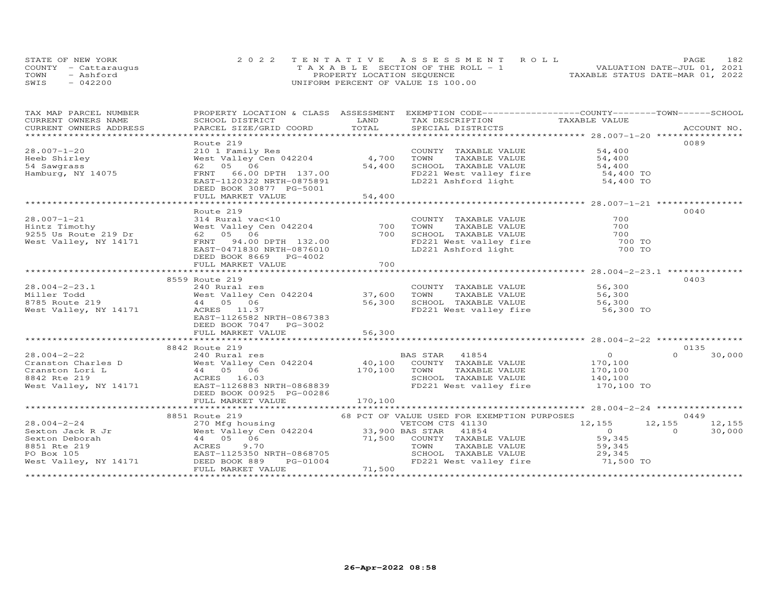| STATE OF NEW YORK    | 2022 TENTATIVE ASSESSMENT ROLL        | 182<br><b>PAGE</b>               |
|----------------------|---------------------------------------|----------------------------------|
| COUNTY - Cattaraugus | T A X A B L E SECTION OF THE ROLL - 1 | VALUATION DATE-JUL 01, 2021      |
| TOWN<br>- Ashford    | PROPERTY LOCATION SEQUENCE            | TAXABLE STATUS DATE-MAR 01, 2022 |
| SWIS<br>$-042200$    | UNIFORM PERCENT OF VALUE IS 100.00    |                                  |

| TAX MAP PARCEL NUMBER                                                                     | PROPERTY LOCATION & CLASS ASSESSMENT EXEMPTION CODE----------------COUNTY-------TOWN------SCHOOL                                                                                                                                                                                                                                                                                                                                |                         |                                                                                                            |                                                |                    |
|-------------------------------------------------------------------------------------------|---------------------------------------------------------------------------------------------------------------------------------------------------------------------------------------------------------------------------------------------------------------------------------------------------------------------------------------------------------------------------------------------------------------------------------|-------------------------|------------------------------------------------------------------------------------------------------------|------------------------------------------------|--------------------|
| CURRENT OWNERS NAME                                                                       | SCHOOL DISTRICT                                                                                                                                                                                                                                                                                                                                                                                                                 | LAND                    | TAX DESCRIPTION TAXABLE VALUE                                                                              |                                                |                    |
| CURRENT OWNERS ADDRESS                                                                    | .CURRENT OWNERS ADDRESS PARCEL SIZE/GRID COORD TOTAL SPECIAL DISTRICTS ACCOUNT NO ACCOUNT NO ACCOUNT NO ARE THE SERVER AND HER ASSESS THAT A LOCOUNT NO A SERVER AND HER ASSESS THAT A LOCOUNT NO A SERVER AND HER ASSESSED AN                                                                                                                                                                                                  |                         |                                                                                                            |                                                |                    |
|                                                                                           |                                                                                                                                                                                                                                                                                                                                                                                                                                 |                         |                                                                                                            |                                                |                    |
|                                                                                           | Route 219                                                                                                                                                                                                                                                                                                                                                                                                                       |                         |                                                                                                            |                                                | 0089               |
| $28.007 - 1 - 20$                                                                         | 210 1 Family Res                                                                                                                                                                                                                                                                                                                                                                                                                |                         | COUNTY TAXABLE VALUE                                                                                       | 54,400                                         |                    |
| Heeb Shirley                                                                              | West Valley Cen 042204                                                                                                                                                                                                                                                                                                                                                                                                          | 4,700                   | TOWN       TAXABLE  VALUE<br>SCHOOL    TAXABLE  VALUE                                                      | 54,400                                         |                    |
| 54 Sawgrass                                                                               | 62 05 06                                                                                                                                                                                                                                                                                                                                                                                                                        | 54,400                  |                                                                                                            | 54,400                                         |                    |
| Hamburg, NY 14075                                                                         | FRNT<br>66.00 DPTH 137.00                                                                                                                                                                                                                                                                                                                                                                                                       |                         | FD221 West valley fire 54,400 TO<br>LD221 Ashford light 54,400 TO                                          |                                                |                    |
|                                                                                           | EAST-1120322 NRTH-0875891                                                                                                                                                                                                                                                                                                                                                                                                       |                         |                                                                                                            |                                                |                    |
|                                                                                           | DEED BOOK 30877 PG-5001                                                                                                                                                                                                                                                                                                                                                                                                         |                         |                                                                                                            |                                                |                    |
|                                                                                           | FULL MARKET VALUE<br>*************************                                                                                                                                                                                                                                                                                                                                                                                  | 54,400<br>************* |                                                                                                            |                                                |                    |
|                                                                                           |                                                                                                                                                                                                                                                                                                                                                                                                                                 |                         |                                                                                                            |                                                | 0040               |
| $28.007 - 1 - 21$                                                                         | Route 219                                                                                                                                                                                                                                                                                                                                                                                                                       |                         |                                                                                                            |                                                |                    |
| 28.007-1-21 314 Rural vac<br>Hintz Timothy West Valley C<br>9255 Us Route 219 Dr 62 05 06 | Noute 11<br>314 Rural vac<10<br>West Valley Cen 042204                                                                                                                                                                                                                                                                                                                                                                          |                         | COUNTY TAXABLE VALUE                                                                                       | 700                                            |                    |
|                                                                                           |                                                                                                                                                                                                                                                                                                                                                                                                                                 | 700                     | TOWN<br>TAXABLE VALUE<br>SCHOOL TAXABLE VALUE 700                                                          | 700                                            |                    |
|                                                                                           |                                                                                                                                                                                                                                                                                                                                                                                                                                 | 700                     |                                                                                                            |                                                |                    |
| West Valley, NY 14171                                                                     | FRNT 94.00 DPTH 132.00                                                                                                                                                                                                                                                                                                                                                                                                          |                         | FD221 West valley fire<br>LD221 Ashford light                                                              | 700 TO<br>700 TO                               |                    |
|                                                                                           | EAST-0471830 NRTH-0876010                                                                                                                                                                                                                                                                                                                                                                                                       |                         |                                                                                                            |                                                |                    |
|                                                                                           | DEED BOOK 8669 PG-4002                                                                                                                                                                                                                                                                                                                                                                                                          |                         |                                                                                                            |                                                |                    |
|                                                                                           | FULL MARKET VALUE                                                                                                                                                                                                                                                                                                                                                                                                               | 700                     |                                                                                                            |                                                |                    |
|                                                                                           |                                                                                                                                                                                                                                                                                                                                                                                                                                 |                         |                                                                                                            |                                                |                    |
|                                                                                           | 8559 Route 219                                                                                                                                                                                                                                                                                                                                                                                                                  |                         |                                                                                                            |                                                | 0403               |
| $28.004 - 2 - 23.1$                                                                       | 240 Rural res<br>West Valley Cen 042204 37,600 TOWN<br>44 05 06 56,300 SCHOOL                                                                                                                                                                                                                                                                                                                                                   |                         | COUNTY TAXABLE VALUE 56,300<br>TOWN TAXABLE VALUE 56,300                                                   |                                                |                    |
| Miller Todd                                                                               |                                                                                                                                                                                                                                                                                                                                                                                                                                 |                         | TAXABLE VALUE                                                                                              | 56,300                                         |                    |
| 8785 Route 219                                                                            |                                                                                                                                                                                                                                                                                                                                                                                                                                 |                         | 37, 000 IONN TANAPUR VALUE<br>56, 300 SCHOOL TAXABLE VALUE 56, 300 TO<br>FD221 West valley fire 56, 300 TO |                                                |                    |
| West Valley, NY 14171                                                                     | ACRES 11.37                                                                                                                                                                                                                                                                                                                                                                                                                     |                         |                                                                                                            |                                                |                    |
|                                                                                           | EAST-1126582 NRTH-0867383                                                                                                                                                                                                                                                                                                                                                                                                       |                         |                                                                                                            |                                                |                    |
|                                                                                           | DEED BOOK 7047 PG-3002                                                                                                                                                                                                                                                                                                                                                                                                          |                         |                                                                                                            |                                                |                    |
|                                                                                           | FULL MARKET VALUE                                                                                                                                                                                                                                                                                                                                                                                                               | 56,300                  |                                                                                                            |                                                |                    |
|                                                                                           |                                                                                                                                                                                                                                                                                                                                                                                                                                 |                         |                                                                                                            |                                                |                    |
|                                                                                           | 8842 Route 219                                                                                                                                                                                                                                                                                                                                                                                                                  |                         |                                                                                                            | $\overline{0}$                                 | 0135<br>$\Omega$   |
|                                                                                           | 28.004-2-22 240 Rural res<br>Cranston Charles D West Valley Cen 042204 40,100 COUNTY TAXABLE VALUE<br>Cranston Lori L 44 05 06 170,100 TOWN TAXABLE VALUE<br>8842 Rte 219 100,100 RCRES 16.03 5CHOOL TAXABLE VALUE                                                                                                                                                                                                              |                         |                                                                                                            | 170,100                                        | 30,000             |
|                                                                                           |                                                                                                                                                                                                                                                                                                                                                                                                                                 |                         |                                                                                                            |                                                |                    |
|                                                                                           |                                                                                                                                                                                                                                                                                                                                                                                                                                 |                         |                                                                                                            | TAXABLE VALUE 170,100<br>TAXABLE VALUE 140,100 |                    |
|                                                                                           | West Valley, NY 14171 EAST-1126883 NRTH-0868839                                                                                                                                                                                                                                                                                                                                                                                 |                         | FD221 West valley fire 170,100 TO                                                                          |                                                |                    |
|                                                                                           |                                                                                                                                                                                                                                                                                                                                                                                                                                 |                         |                                                                                                            |                                                |                    |
|                                                                                           | DEED BOOK 00925 PG-00286                                                                                                                                                                                                                                                                                                                                                                                                        |                         |                                                                                                            |                                                |                    |
|                                                                                           |                                                                                                                                                                                                                                                                                                                                                                                                                                 |                         |                                                                                                            |                                                |                    |
|                                                                                           |                                                                                                                                                                                                                                                                                                                                                                                                                                 |                         |                                                                                                            |                                                | 0449               |
|                                                                                           |                                                                                                                                                                                                                                                                                                                                                                                                                                 |                         |                                                                                                            | 12, 155 12, 155                                |                    |
|                                                                                           |                                                                                                                                                                                                                                                                                                                                                                                                                                 |                         |                                                                                                            |                                                | 12,155<br>$\Omega$ |
|                                                                                           |                                                                                                                                                                                                                                                                                                                                                                                                                                 |                         |                                                                                                            | $\overline{O}$                                 | 30,000             |
|                                                                                           |                                                                                                                                                                                                                                                                                                                                                                                                                                 |                         |                                                                                                            | 59,345                                         |                    |
|                                                                                           |                                                                                                                                                                                                                                                                                                                                                                                                                                 |                         |                                                                                                            | 59,345                                         |                    |
|                                                                                           | $\begin{array}{cccccccc} & & & & & & & 8851 & \text{Route 219} & & & & & & 68 & \text{PCT OF VALUE USED FOR EXEMPITION PURPOSES} & & & & & & & & & 28.004 \\ & & & & & & & & & & & & & & & 28.004 \\ \text{Sexton Jack R Jr} & & & & & & & & & & & & & 12,155 \\ \text{Sexton Deborah} & & & & & & & & & & 12,155 & & & & 12,155 \\ \text{Sexton Deborah} & & & & & & & & & & 12,155 & & & 12,155 \\ \text{Sexton Deborah} & &$ |                         |                                                                                                            | 29,345<br>71,500 TO                            |                    |
|                                                                                           |                                                                                                                                                                                                                                                                                                                                                                                                                                 |                         |                                                                                                            |                                                |                    |
|                                                                                           |                                                                                                                                                                                                                                                                                                                                                                                                                                 |                         |                                                                                                            |                                                |                    |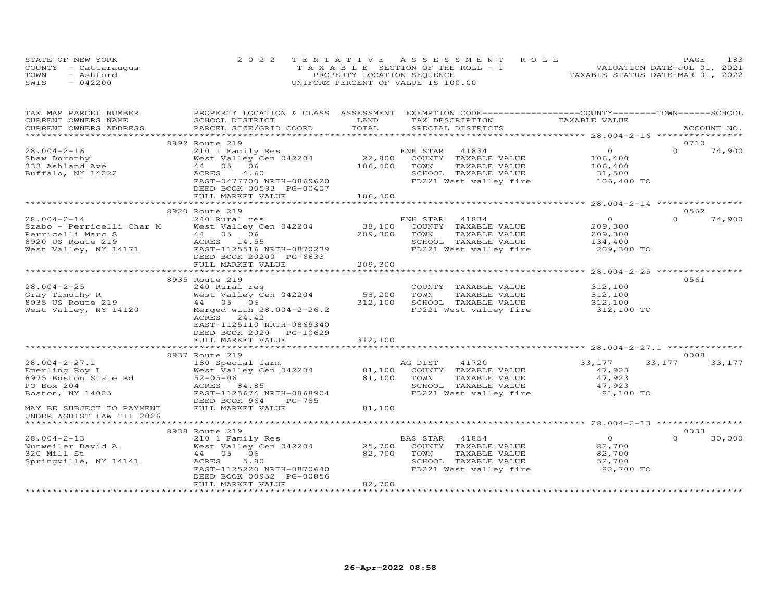| STATE OF NEW YORK    | 2022 TENTATIVE ASSESSMENT ROLL        | 183<br><b>PAGE</b>               |
|----------------------|---------------------------------------|----------------------------------|
| COUNTY - Cattaraugus | T A X A B L E SECTION OF THE ROLL - 1 | VALUATION DATE-JUL 01, 2021      |
| TOWN<br>- Ashford    | PROPERTY LOCATION SEQUENCE            | TAXABLE STATUS DATE-MAR 01, 2022 |
| $-042200$<br>SWIS    | UNIFORM PERCENT OF VALUE IS 100.00    |                                  |

| TAX MAP PARCEL NUMBER     | PROPERTY LOCATION & CLASS ASSESSMENT                                                                                                                               |                 | EXEMPTION CODE------------------COUNTY-------TOWN------SCHOOL   |                    |                    |  |
|---------------------------|--------------------------------------------------------------------------------------------------------------------------------------------------------------------|-----------------|-----------------------------------------------------------------|--------------------|--------------------|--|
| CURRENT OWNERS NAME       | SCHOOL DISTRICT                                                                                                                                                    | LAND            | TAX DESCRIPTION                                                 | TAXABLE VALUE      |                    |  |
| CURRENT OWNERS ADDRESS    | PARCEL SIZE/GRID COORD                                                                                                                                             | TOTAL           | SPECIAL DISTRICTS                                               |                    | ACCOUNT NO.        |  |
|                           |                                                                                                                                                                    |                 |                                                                 |                    |                    |  |
|                           | 8892 Route 219                                                                                                                                                     |                 |                                                                 |                    | 0710               |  |
| $28.004 - 2 - 16$         | 210 1 Family Res                                                                                                                                                   |                 | 41834<br>ENH STAR                                               | $\Omega$           | $\Omega$<br>74,900 |  |
| Shaw Dorothy              | West Valley Cen 042204                                                                                                                                             | 22,800          | COUNTY TAXABLE VALUE                                            | 106,400            |                    |  |
| 333 Ashland Ave           | 44 05 06                                                                                                                                                           | 106,400         | TOWN<br>TAXABLE VALUE                                           | 106,400            |                    |  |
| Buffalo, NY 14222         | 4.60<br>ACRES                                                                                                                                                      |                 | SCHOOL TAXABLE VALUE                                            | 31,500             |                    |  |
|                           | EAST-0477700 NRTH-0869620                                                                                                                                          |                 | FD221 West valley fire                                          | 106,400 TO         |                    |  |
|                           | DEED BOOK 00593 PG-00407                                                                                                                                           |                 |                                                                 |                    |                    |  |
|                           | FULL MARKET VALUE                                                                                                                                                  | 106,400         |                                                                 |                    |                    |  |
|                           |                                                                                                                                                                    |                 |                                                                 |                    |                    |  |
|                           | 8920 Route 219                                                                                                                                                     |                 |                                                                 |                    | 0562               |  |
| $28.004 - 2 - 14$         | 240 Rural res                                                                                                                                                      |                 | ENH STAR<br>41834                                               | $\circ$            | 74,900<br>$\Omega$ |  |
|                           | Szabo – Perricelli Char M West Valley Cen 042204<br>Perricelli Marc S 44 05 06<br>8920 US Route 219 ACRES 14.55<br>West Valley, NY 14171 EAST-1125516 NRTH-0870239 | 38,100          | COUNTY TAXABLE VALUE                                            | 209,300            |                    |  |
|                           |                                                                                                                                                                    | 209,300         | TOWN<br>TAXABLE VALUE                                           |                    |                    |  |
|                           |                                                                                                                                                                    |                 | SCHOOL TAXABLE VALUE                                            | 209,300<br>134,400 |                    |  |
|                           |                                                                                                                                                                    |                 | FD221 West valley fire 209,300 TO                               |                    |                    |  |
|                           | DEED BOOK 20200 PG-6633                                                                                                                                            |                 |                                                                 |                    |                    |  |
|                           | FULL MARKET VALUE                                                                                                                                                  | 209,300         |                                                                 |                    |                    |  |
|                           |                                                                                                                                                                    | *************** |                                                                 |                    |                    |  |
|                           | 8935 Route 219                                                                                                                                                     |                 |                                                                 |                    | 0561               |  |
| $28.004 - 2 - 25$         | 240 Rural res                                                                                                                                                      |                 | COUNTY TAXABLE VALUE 312,100                                    |                    |                    |  |
|                           | West Valley Cen 042204                                                                                                                                             | 58,200          | TOWN<br>TAXABLE VALUE                                           |                    |                    |  |
|                           |                                                                                                                                                                    | 312,100         | SCHOOL TAXABLE VALUE                                            | 312,100<br>312,100 |                    |  |
| West Valley, NY 14120     | Merged with 28.004-2-26.2                                                                                                                                          |                 | FD221 West valley fire 312,100 TO                               |                    |                    |  |
|                           | ACRES 24.42                                                                                                                                                        |                 |                                                                 |                    |                    |  |
|                           | EAST-1125110 NRTH-0869340                                                                                                                                          |                 |                                                                 |                    |                    |  |
|                           | DEED BOOK 2020 PG-10629                                                                                                                                            |                 |                                                                 |                    |                    |  |
|                           | FULL MARKET VALUE                                                                                                                                                  | 312,100         |                                                                 |                    |                    |  |
|                           |                                                                                                                                                                    |                 |                                                                 |                    |                    |  |
|                           | 8937 Route 219                                                                                                                                                     |                 |                                                                 |                    | 0008               |  |
| $28.004 - 2 - 27.1$       | 180 Special farm                                                                                                                                                   |                 | AG DIST<br>41720                                                | 33,177             | 33,177<br>33,177   |  |
| Emerling Roy L            | West Valley Cen 042204                                                                                                                                             |                 | 81,100 COUNTY TAXABLE VALUE                                     | 47,923             |                    |  |
| 8975 Boston State Rd      | $52 - 05 - 06$                                                                                                                                                     | 81,100          | TOWN<br>TAXABLE VALUE                                           | 47,923             |                    |  |
| PO Box 204                | ACRES 84.85                                                                                                                                                        |                 |                                                                 |                    |                    |  |
| Boston, NY 14025          | EAST-1123674 NRTH-0868904                                                                                                                                          |                 | SCHOOL TAXABLE VALUE 47,923<br>FD221 West valley fire 81,100 TO |                    |                    |  |
|                           | DEED BOOK 964<br>PG-785                                                                                                                                            |                 |                                                                 |                    |                    |  |
| MAY BE SUBJECT TO PAYMENT | FULL MARKET VALUE                                                                                                                                                  | 81,100          |                                                                 |                    |                    |  |
| UNDER AGDIST LAW TIL 2026 |                                                                                                                                                                    |                 |                                                                 |                    |                    |  |
|                           |                                                                                                                                                                    |                 |                                                                 |                    |                    |  |
|                           | 8938 Route 219                                                                                                                                                     |                 |                                                                 |                    | 0033               |  |
| $28.004 - 2 - 13$         | 210 1 Family Res                                                                                                                                                   |                 | BAS STAR<br>41854                                               | $\overline{O}$     | 30,000<br>$\Omega$ |  |
| Nunweiler David A         | West Valley Cen 042204                                                                                                                                             | 25,700          | COUNTY TAXABLE VALUE                                            | 82,700             |                    |  |
| 320 Mill St               | 44 05 06                                                                                                                                                           | 82,700          | TOWN<br>TAXABLE VALUE                                           | 82,700             |                    |  |
| Springville, NY 14141     | ACRES<br>5.80                                                                                                                                                      |                 | SCHOOL TAXABLE VALUE                                            | 52,700             |                    |  |
|                           | EAST-1125220 NRTH-0870640                                                                                                                                          |                 | FD221 West valley fire 82,700 TO                                |                    |                    |  |
|                           | DEED BOOK 00952 PG-00856                                                                                                                                           |                 |                                                                 |                    |                    |  |
|                           | FULL MARKET VALUE                                                                                                                                                  | 82,700          |                                                                 |                    |                    |  |
|                           |                                                                                                                                                                    |                 |                                                                 |                    |                    |  |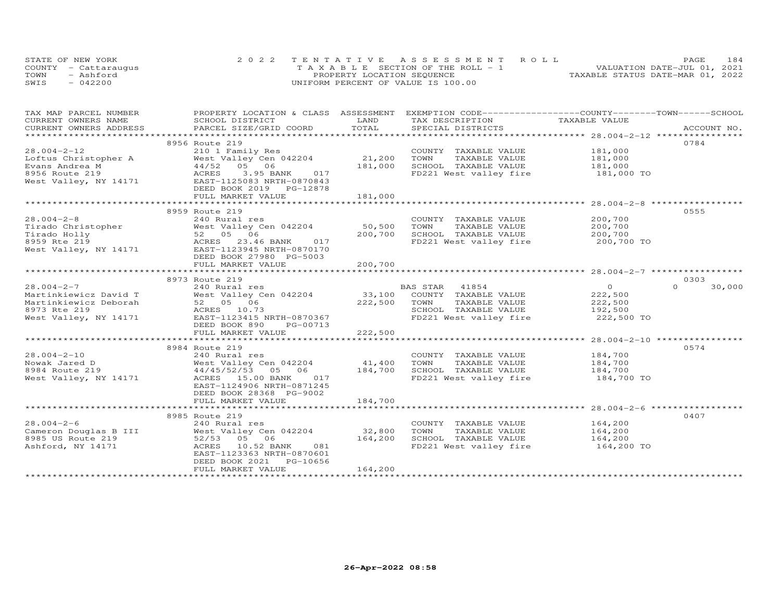| STATE OF NEW YORK    | 2022 TENTATIVE ASSESSMENT ROLL |                                       |  |                                  | <b>PAGE</b> | 184 |
|----------------------|--------------------------------|---------------------------------------|--|----------------------------------|-------------|-----|
| COUNTY - Cattarauqus |                                | T A X A B L E SECTION OF THE ROLL - 1 |  | VALUATION DATE-JUL 01, 2021      |             |     |
| TOWN<br>- Ashford    |                                | PROPERTY LOCATION SEQUENCE            |  | TAXABLE STATUS DATE-MAR 01, 2022 |             |     |
| SWIS<br>$-042200$    |                                | UNIFORM PERCENT OF VALUE IS 100.00    |  |                                  |             |     |

| TAX MAP PARCEL NUMBER | PROPERTY LOCATION & CLASS ASSESSMENT EXEMPTION CODE----------------COUNTY-------TOWN------SCHOOL                                                                                                                                 |         |                                                                   |                |                    |
|-----------------------|----------------------------------------------------------------------------------------------------------------------------------------------------------------------------------------------------------------------------------|---------|-------------------------------------------------------------------|----------------|--------------------|
| CURRENT OWNERS NAME   | SCHOOL DISTRICT                                                                                                                                                                                                                  | LAND    | TAX DESCRIPTION                                                   | TAXABLE VALUE  |                    |
|                       | .CURRENT OWNERS ADDRESS PARCEL SIZE/GRID COORD TOTAL SPECIAL DISTRICTS ACCOUNT NO ACCOUNT NO ARCOUNT NO ARE THE SERVER AND THE SERVER ASSESS THE SERVER SERVER AND HER SERVER AND THE SERVER SERVER AND HER SERVER AND THE SER   |         |                                                                   |                |                    |
|                       |                                                                                                                                                                                                                                  |         |                                                                   |                |                    |
|                       | 8956 Route 219                                                                                                                                                                                                                   |         |                                                                   |                | 0784               |
|                       | Route 219<br>210 1 Family Res<br>West Valley Cen 042204<br>181,000 SCHOOJ<br>181,000 SCHOOJ<br>FR221                                                                                                                             |         | COUNTY TAXABLE VALUE 181,000                                      |                |                    |
|                       |                                                                                                                                                                                                                                  |         |                                                                   |                |                    |
|                       |                                                                                                                                                                                                                                  |         |                                                                   |                |                    |
|                       | 28.004-2-12<br>Loftus Christopher A 210 1 Family Res<br>Evans Andrea M 44/52 05 06<br>8956 Route 219<br>West Valley, NY 14171 EAST-1125083 NRTH-0870843<br>Nest Valley, NY 14171 EAST-1125083 NRTH-0870843<br>$3.95$ BANK 017    |         | FD221 West valley fire 181,000 TO                                 |                |                    |
|                       |                                                                                                                                                                                                                                  |         |                                                                   |                |                    |
|                       | DEED BOOK 2019 PG-12878<br>FULL MARKET VALUE                                                                                                                                                                                     |         |                                                                   |                |                    |
|                       |                                                                                                                                                                                                                                  | 181,000 |                                                                   |                |                    |
|                       |                                                                                                                                                                                                                                  |         |                                                                   |                |                    |
|                       | 8959 Route 219                                                                                                                                                                                                                   |         |                                                                   |                | 0555               |
|                       | 28.004-2-8 240 Rural res COUNTY<br>Tirado Christopher West Valley Cen 042204 50,500 TOWN<br>Tirado Holly 52 05 06 200,700 SCHOOL<br>8959 Rte 219 ACRES 23.46 BANK 017 FD221 W<br>West Valley, NY 14171 EAST-1123945 NRTH-0870170 |         | COUNTY TAXABLE VALUE                                              | 200,700        |                    |
|                       |                                                                                                                                                                                                                                  |         | TAXABLE VALUE                                                     | 200,700        |                    |
|                       |                                                                                                                                                                                                                                  |         | SCHOOL TAXABLE VALUE 200,700                                      |                |                    |
|                       |                                                                                                                                                                                                                                  |         | FD221 West valley fire 200,700 TO                                 |                |                    |
|                       |                                                                                                                                                                                                                                  |         |                                                                   |                |                    |
|                       | DEED BOOK 27980 PG-5003                                                                                                                                                                                                          |         |                                                                   |                |                    |
|                       | FULL MARKET VALUE                                                                                                                                                                                                                | 200,700 |                                                                   |                |                    |
|                       |                                                                                                                                                                                                                                  |         |                                                                   |                |                    |
|                       | 8973 Route 219                                                                                                                                                                                                                   |         |                                                                   |                | 0303               |
|                       |                                                                                                                                                                                                                                  |         |                                                                   | $\overline{0}$ | $\Omega$<br>30,000 |
|                       |                                                                                                                                                                                                                                  |         |                                                                   | 222,500        |                    |
|                       |                                                                                                                                                                                                                                  |         |                                                                   |                |                    |
|                       |                                                                                                                                                                                                                                  |         |                                                                   |                |                    |
|                       | West Valley, NY 14171 EAST-1123415 NRTH-0870367                                                                                                                                                                                  |         | FD221 West valley fire 222,500 TO                                 |                |                    |
|                       | DEED BOOK 890<br>PG-00713                                                                                                                                                                                                        |         |                                                                   |                |                    |
|                       | FULL MARKET VALUE                                                                                                                                                                                                                | 222,500 |                                                                   |                |                    |
|                       |                                                                                                                                                                                                                                  |         |                                                                   |                |                    |
|                       | 8984 Route 219                                                                                                                                                                                                                   |         |                                                                   |                | 0574               |
| $28.004 - 2 - 10$     | 240 Rural res                                                                                                                                                                                                                    |         |                                                                   |                |                    |
|                       |                                                                                                                                                                                                                                  |         | COUNTY TAXABLE VALUE 184,700<br>TOWN TAXABLE VALUE 184,700        |                |                    |
|                       |                                                                                                                                                                                                                                  |         |                                                                   |                |                    |
|                       | 28.004-2-10 240 Rural res COUNT<br>Nowak Jared D West Valley Cen 042204 41,400 TOWN<br>8984 Route 219 44/45/52/53 05 06 184,700 SCHOC<br>West Valley, NY 14171 ACRES 15.00 BANK 017 FD221                                        |         |                                                                   |                |                    |
|                       | EAST-1124906 NRTH-0871245                                                                                                                                                                                                        |         |                                                                   |                |                    |
|                       | DEED BOOK 28368 PG-9002                                                                                                                                                                                                          |         |                                                                   |                |                    |
|                       | FULL MARKET VALUE                                                                                                                                                                                                                | 184,700 |                                                                   |                |                    |
|                       |                                                                                                                                                                                                                                  |         |                                                                   |                |                    |
|                       | 8985 Route 219                                                                                                                                                                                                                   |         |                                                                   |                | 0407               |
| $28.004 - 2 - 6$      | 240 Rural res                                                                                                                                                                                                                    |         | COUNTY TAXABLE VALUE                                              | 164,200        |                    |
|                       |                                                                                                                                                                                                                                  |         | TAXABLE VALUE 164,200<br>TOWN                                     |                |                    |
|                       |                                                                                                                                                                                                                                  |         |                                                                   |                |                    |
|                       | Cameron Douglas B III and The Mest Valley Cen 042204 32,800<br>8985 US Route 219 52/53 05 06 164,200<br>Ashford, NY 14171 ACRES 10.52 BANK 081                                                                                   |         | SCHOOL TAXABLE VALUE 164,200<br>FD221 West valley fire 164,200 TO |                |                    |
|                       | EAST-1123363 NRTH-0870601                                                                                                                                                                                                        |         |                                                                   |                |                    |
|                       | DEED BOOK 2021 PG-10656                                                                                                                                                                                                          |         |                                                                   |                |                    |
|                       | FULL MARKET VALUE                                                                                                                                                                                                                | 164,200 |                                                                   |                |                    |
|                       |                                                                                                                                                                                                                                  |         |                                                                   |                |                    |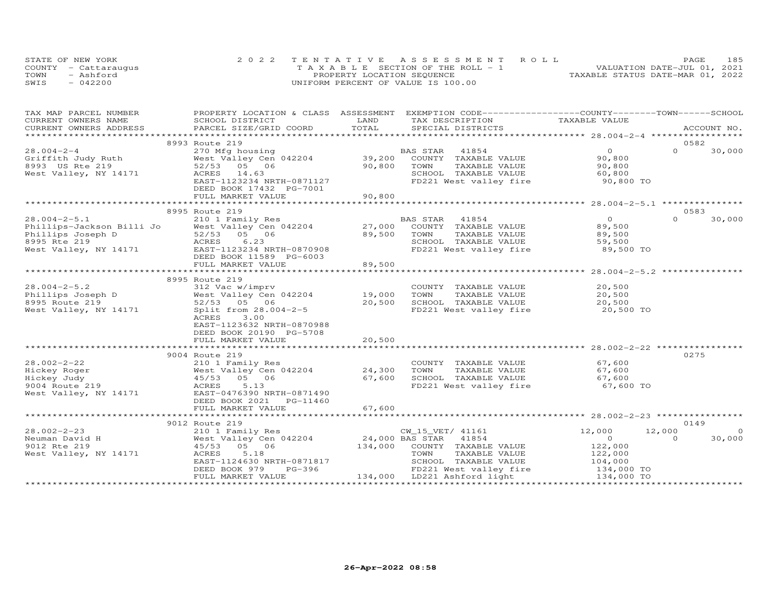|      | STATE OF NEW YORK    | 2022 TENTATIVE ASSESSMENT ROLL        | 185<br>PAGE                      |  |
|------|----------------------|---------------------------------------|----------------------------------|--|
|      | COUNTY - Cattaraugus | T A X A B L E SECTION OF THE ROLL - 1 | VALUATION DATE-JUL 01, 2021      |  |
| TOWN | - Ashford            | PROPERTY LOCATION SEQUENCE            | TAXABLE STATUS DATE-MAR 01, 2022 |  |
| SWIS | $-042200$            | UNIFORM PERCENT OF VALUE IS 100.00    |                                  |  |

| TAX MAP PARCEL NUMBER                                                                                                                                          | PROPERTY LOCATION & CLASS ASSESSMENT EXEMPTION CODE----------------COUNTY-------TOWN-----SCHOOL |        |                                                                   |                |                          |
|----------------------------------------------------------------------------------------------------------------------------------------------------------------|-------------------------------------------------------------------------------------------------|--------|-------------------------------------------------------------------|----------------|--------------------------|
| CURRENT OWNERS NAME                                                                                                                                            | SCHOOL DISTRICT                                                                                 | LAND   | TAX DESCRIPTION                                                   | TAXABLE VALUE  |                          |
| CURRENT OWNERS ADDRESS                                                                                                                                         | PARCEL SIZE/GRID COORD                                                                          | TOTAL  | SPECIAL DISTRICTS                                                 |                | ACCOUNT NO.              |
|                                                                                                                                                                |                                                                                                 |        |                                                                   |                |                          |
|                                                                                                                                                                | 8993 Route 219                                                                                  |        |                                                                   |                | 0582                     |
| $28.004 - 2 - 4$                                                                                                                                               | 270 Mfg housing                                                                                 |        | BAS STAR<br>41854                                                 | $\overline{O}$ | $\Omega$<br>30,000       |
| Griffith Judy Ruth                                                                                                                                             |                                                                                                 |        |                                                                   | 90,800         |                          |
| 8993 US Rte 219                                                                                                                                                | 52/53 05 06                                                                                     | 90,800 | TOWN<br>TAXABLE VALUE                                             | 90,800         |                          |
| West Valley, NY 14171                                                                                                                                          | ACRES 14.63                                                                                     |        | SCHOOL TAXABLE VALUE                                              | 60,800         |                          |
|                                                                                                                                                                | EAST-1123234 NRTH-0871127                                                                       |        | FD221 West valley fire 90,800 TO                                  |                |                          |
|                                                                                                                                                                | DEED BOOK 17432 PG-7001                                                                         |        |                                                                   |                |                          |
|                                                                                                                                                                | FULL MARKET VALUE                                                                               | 90,800 |                                                                   |                |                          |
|                                                                                                                                                                |                                                                                                 |        |                                                                   |                |                          |
|                                                                                                                                                                | 8995 Route 219                                                                                  |        |                                                                   |                | 0583                     |
| $28.004 - 2 - 5.1$                                                                                                                                             | 210 1 Family Res                                                                                |        | BAS STAR 41854                                                    | $\overline{O}$ | $\Omega$<br>30,000       |
| Phillips-Jackson Billi Jo<br>Phillips Joseph D<br>8995 Rte 219<br>West Valley Cen 042204<br>8995 Rte 219<br>West Valley, NY 14171<br>EAST-1123234 NRTH-0870908 |                                                                                                 |        | 27,000 COUNTY TAXABLE VALUE                                       | 89,500         |                          |
|                                                                                                                                                                |                                                                                                 | 89,500 | TOWN<br>TAXABLE VALUE                                             | 89,500         |                          |
|                                                                                                                                                                |                                                                                                 |        | SCHOOL TAXABLE VALUE                                              | 59,500         |                          |
|                                                                                                                                                                |                                                                                                 |        | FD221 West valley fire                                            | 89,500 TO      |                          |
|                                                                                                                                                                | DEED BOOK 11589 PG-6003                                                                         |        |                                                                   |                |                          |
|                                                                                                                                                                | FULL MARKET VALUE                                                                               | 89,500 |                                                                   |                |                          |
|                                                                                                                                                                |                                                                                                 |        |                                                                   |                |                          |
|                                                                                                                                                                | 8995 Route 219                                                                                  |        |                                                                   |                |                          |
| $28.004 - 2 - 5.2$                                                                                                                                             |                                                                                                 |        |                                                                   | 20,500         |                          |
|                                                                                                                                                                | 312 Vac w/imprv                                                                                 |        | COUNTY TAXABLE VALUE                                              |                |                          |
|                                                                                                                                                                |                                                                                                 | 19,000 | TOWN<br>TAXABLE VALUE                                             | 20,500         |                          |
|                                                                                                                                                                |                                                                                                 | 20,500 | SCHOOL TAXABLE VALUE                                              | 20,500         |                          |
| West Valley, NY 14171                                                                                                                                          | Split from 28.004-2-5                                                                           |        | FD221 West valley fire                                            | 20,500 TO      |                          |
|                                                                                                                                                                | ACRES<br>3.00                                                                                   |        |                                                                   |                |                          |
|                                                                                                                                                                | EAST-1123632 NRTH-0870988                                                                       |        |                                                                   |                |                          |
|                                                                                                                                                                | DEED BOOK 20190 PG-5708                                                                         |        |                                                                   |                |                          |
|                                                                                                                                                                | FULL MARKET VALUE                                                                               | 20,500 |                                                                   |                |                          |
|                                                                                                                                                                |                                                                                                 |        | ******************************** 28.002—2—22 ****************     |                |                          |
|                                                                                                                                                                | 9004 Route 219                                                                                  |        |                                                                   |                | 0275                     |
|                                                                                                                                                                | 210 1 Family Res<br>West Valley Cen 042204 24,300                                               |        | COUNTY TAXABLE VALUE 67,600                                       |                |                          |
|                                                                                                                                                                |                                                                                                 |        | TOWN<br>TAXABLE VALUE                                             | 67,600         |                          |
|                                                                                                                                                                |                                                                                                 | 67,600 | SCHOOL TAXABLE VALUE                                              | 67,600         |                          |
| 28.002-2-22<br>Hickey Roger<br>Hickey Judy<br>9004 Route 219<br>9004 Route 219<br>210 1 Family Res<br>45/53<br>05<br>06<br>ACRES<br>5.13                       |                                                                                                 |        | FD221 West valley fire                                            | 67,600 TO      |                          |
| West Valley, NY 14171 EAST-0476390 NRTH-0871490                                                                                                                |                                                                                                 |        |                                                                   |                |                          |
|                                                                                                                                                                | DEED BOOK 2021    PG-11460                                                                      |        |                                                                   |                |                          |
|                                                                                                                                                                | FULL MARKET VALUE                                                                               | 67,600 |                                                                   |                |                          |
|                                                                                                                                                                |                                                                                                 |        |                                                                   |                |                          |
|                                                                                                                                                                | 9012 Route 219                                                                                  |        |                                                                   |                | 0149                     |
| $28.002 - 2 - 23$                                                                                                                                              | 210 1 Family Res                                                                                |        | CW_15_VET/ 41161                                                  | 12,000         | $\overline{0}$<br>12,000 |
| Neuman David H                                                                                                                                                 |                                                                                                 |        |                                                                   | $\overline{0}$ | 30,000<br>$\Omega$       |
| 9012 Rte 219                                                                                                                                                   | 45/53 05 06                                                                                     |        | 134,000 COUNTY TAXABLE VALUE                                      | 122,000        |                          |
| West Valley, NY 14171                                                                                                                                          | ACRES<br>5.18                                                                                   |        | TAXABLE VALUE<br>TOWN                                             | 122,000        |                          |
|                                                                                                                                                                | EAST-1124630 NRTH-0871817                                                                       |        |                                                                   |                |                          |
|                                                                                                                                                                | $PG-396$<br>DEED BOOK 979                                                                       |        | SCHOOL TAXABLE VALUE 104,000<br>FD221 West valley fire 134,000 TO |                |                          |
|                                                                                                                                                                | FULL MARKET VALUE                                                                               |        | 134,000 LD221 Ashford light 134,000 TO                            |                |                          |
|                                                                                                                                                                |                                                                                                 |        |                                                                   |                |                          |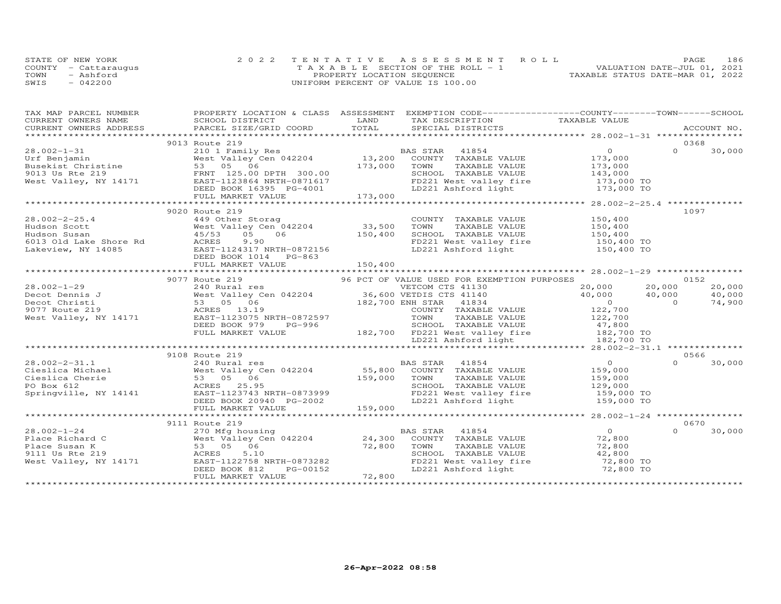|      | STATE OF NEW YORK    | 2022 TENTATIVE ASSESSMENT ROLL        | <b>PAGE</b>                      | 186 |
|------|----------------------|---------------------------------------|----------------------------------|-----|
|      | COUNTY - Cattarauqus | T A X A B L E SECTION OF THE ROLL - 1 | VALUATION DATE-JUL 01, 2021      |     |
| TOWN | - Ashford            | PROPERTY LOCATION SEQUENCE            | TAXABLE STATUS DATE-MAR 01, 2022 |     |
| SWIS | $-042200$            | UNIFORM PERCENT OF VALUE IS 100.00    |                                  |     |

| TAX MAP PARCEL NUMBER | PROPERTY LOCATION & CLASS ASSESSMENT EXEMPTION CODE-----------------COUNTY-------TOWN------SCHOOL                                                                                                                                                                                                                                                                                  |        |                                                                                                                                                               |                                                                 |          |        |
|-----------------------|------------------------------------------------------------------------------------------------------------------------------------------------------------------------------------------------------------------------------------------------------------------------------------------------------------------------------------------------------------------------------------|--------|---------------------------------------------------------------------------------------------------------------------------------------------------------------|-----------------------------------------------------------------|----------|--------|
|                       |                                                                                                                                                                                                                                                                                                                                                                                    |        |                                                                                                                                                               |                                                                 |          |        |
|                       |                                                                                                                                                                                                                                                                                                                                                                                    |        |                                                                                                                                                               |                                                                 |          |        |
|                       |                                                                                                                                                                                                                                                                                                                                                                                    |        |                                                                                                                                                               |                                                                 |          |        |
|                       | 9013 Route 219                                                                                                                                                                                                                                                                                                                                                                     |        |                                                                                                                                                               |                                                                 |          | 0368   |
|                       |                                                                                                                                                                                                                                                                                                                                                                                    |        |                                                                                                                                                               | $\overline{0}$                                                  | $\Omega$ | 30,000 |
|                       |                                                                                                                                                                                                                                                                                                                                                                                    |        |                                                                                                                                                               | 173,000                                                         |          |        |
|                       |                                                                                                                                                                                                                                                                                                                                                                                    |        | TOWN TAXABLE VALUE<br>TOWN TAXABLE VALUE<br>SCHOOL TAXABLE VALUE<br>TOWN TAXABLE VALUE<br>143,000<br>FD221 Ashford light<br>LD221 Ashford light<br>173,000 TO |                                                                 |          |        |
|                       |                                                                                                                                                                                                                                                                                                                                                                                    |        |                                                                                                                                                               |                                                                 |          |        |
|                       |                                                                                                                                                                                                                                                                                                                                                                                    |        |                                                                                                                                                               |                                                                 |          |        |
|                       |                                                                                                                                                                                                                                                                                                                                                                                    |        |                                                                                                                                                               |                                                                 |          |        |
|                       |                                                                                                                                                                                                                                                                                                                                                                                    |        |                                                                                                                                                               |                                                                 |          |        |
|                       | $\begin{tabular}{lllllllllllll} 28.002-1-31 & 9013 Koute 219 & 2101 F Benjamin & 2101 F Benjamin & 2101 F Benjamin & 2101 F Benjamin & 2101 Family Res \\ \hline & 21013 West Valley Cen 042204 & 13,200 COUNTY TAXABLE VALUE \\ \hline & 53 & 05 & 06 & 173,000 TOWN TAXABLE VALUE \\ \hline & 53 & 05 & 06 & 173,000 TOWN TAXABLE VALUE \\ \hline & 53 & 05 & 06 & 173,000 TOWN$ |        |                                                                                                                                                               | **************** 28.002-2-25.4 **************                   |          |        |
|                       | 9020 Route 219                                                                                                                                                                                                                                                                                                                                                                     |        |                                                                                                                                                               |                                                                 |          | 1097   |
|                       | 449 Other Storag                                                                                                                                                                                                                                                                                                                                                                   |        | COUNTY TAXABLE VALUE 150,400                                                                                                                                  |                                                                 |          |        |
|                       |                                                                                                                                                                                                                                                                                                                                                                                    |        | TOWN                                                                                                                                                          |                                                                 |          |        |
|                       |                                                                                                                                                                                                                                                                                                                                                                                    |        | SCHOOL TAXABLE VALUE 150,400<br>FD221 West valley fire 150,400 TO<br>LD221 Ashford light 150,400 TO                                                           | TAXABLE VALUE<br>TAXABLE VALUE 150,400<br>TAXABLE VALUE 150,400 |          |        |
|                       |                                                                                                                                                                                                                                                                                                                                                                                    |        |                                                                                                                                                               |                                                                 |          |        |
|                       |                                                                                                                                                                                                                                                                                                                                                                                    |        |                                                                                                                                                               |                                                                 |          |        |
|                       |                                                                                                                                                                                                                                                                                                                                                                                    |        |                                                                                                                                                               |                                                                 |          |        |
|                       |                                                                                                                                                                                                                                                                                                                                                                                    |        |                                                                                                                                                               |                                                                 |          |        |
|                       |                                                                                                                                                                                                                                                                                                                                                                                    |        |                                                                                                                                                               |                                                                 |          |        |
|                       | 9077 Route 219                                                                                                                                                                                                                                                                                                                                                                     |        | 96 PCT OF VALUE USED FOR EXEMPTION PURPOSES                                                                                                                   |                                                                 |          | 0152   |
|                       |                                                                                                                                                                                                                                                                                                                                                                                    |        |                                                                                                                                                               | 20,000 20,000                                                   |          | 20,000 |
|                       |                                                                                                                                                                                                                                                                                                                                                                                    |        |                                                                                                                                                               |                                                                 |          | 40,000 |
|                       |                                                                                                                                                                                                                                                                                                                                                                                    |        |                                                                                                                                                               |                                                                 |          | 74,900 |
|                       |                                                                                                                                                                                                                                                                                                                                                                                    |        |                                                                                                                                                               |                                                                 |          |        |
|                       |                                                                                                                                                                                                                                                                                                                                                                                    |        |                                                                                                                                                               |                                                                 |          |        |
|                       |                                                                                                                                                                                                                                                                                                                                                                                    |        |                                                                                                                                                               |                                                                 |          |        |
|                       |                                                                                                                                                                                                                                                                                                                                                                                    |        |                                                                                                                                                               |                                                                 |          |        |
|                       |                                                                                                                                                                                                                                                                                                                                                                                    |        |                                                                                                                                                               |                                                                 |          |        |
|                       |                                                                                                                                                                                                                                                                                                                                                                                    |        |                                                                                                                                                               |                                                                 |          |        |
|                       | 9108 Route 219                                                                                                                                                                                                                                                                                                                                                                     |        |                                                                                                                                                               |                                                                 |          | 0566   |
|                       |                                                                                                                                                                                                                                                                                                                                                                                    |        |                                                                                                                                                               |                                                                 | $\Omega$ | 30,000 |
|                       |                                                                                                                                                                                                                                                                                                                                                                                    |        |                                                                                                                                                               |                                                                 |          |        |
|                       |                                                                                                                                                                                                                                                                                                                                                                                    |        |                                                                                                                                                               |                                                                 |          |        |
|                       |                                                                                                                                                                                                                                                                                                                                                                                    |        |                                                                                                                                                               |                                                                 |          |        |
|                       |                                                                                                                                                                                                                                                                                                                                                                                    |        |                                                                                                                                                               |                                                                 |          |        |
|                       |                                                                                                                                                                                                                                                                                                                                                                                    |        |                                                                                                                                                               |                                                                 |          |        |
|                       |                                                                                                                                                                                                                                                                                                                                                                                    |        |                                                                                                                                                               |                                                                 |          |        |
|                       |                                                                                                                                                                                                                                                                                                                                                                                    |        |                                                                                                                                                               |                                                                 |          |        |
|                       | 9111 Route 219                                                                                                                                                                                                                                                                                                                                                                     |        |                                                                                                                                                               |                                                                 |          | 0670   |
| $28.002 - 1 - 24$     |                                                                                                                                                                                                                                                                                                                                                                                    |        | BAS STAR 41854                                                                                                                                                | $\overline{O}$                                                  | $\Omega$ | 30,000 |
| Place Richard C       |                                                                                                                                                                                                                                                                                                                                                                                    |        | AS STAR 41854 0<br>COUNTY TAXABLE VALUE 72,800                                                                                                                |                                                                 |          |        |
|                       |                                                                                                                                                                                                                                                                                                                                                                                    |        |                                                                                                                                                               |                                                                 |          |        |
|                       | 270 Mfg housing<br>West Valley Cen 042204 24,300<br>53 05 06 72,800<br>ACRES 5.10                                                                                                                                                                                                                                                                                                  |        |                                                                                                                                                               |                                                                 |          |        |
|                       |                                                                                                                                                                                                                                                                                                                                                                                    |        |                                                                                                                                                               |                                                                 |          |        |
|                       | Place Susan K<br>Place Susan K<br>9111 Us Rte 219<br>West Valley, NY 14171<br>West Valley, NY 14171<br>EAST-1122758 NRTH-0873282<br>DEED BOOK 812 PG-00152                                                                                                                                                                                                                         |        | TOWN TAXABLE VALUE 72,800<br>SCHOOL TAXABLE VALUE 42,800<br>FD221 West valley fire 72,800 TO<br>LD221 Ashford light 72,800 TO                                 |                                                                 |          |        |
|                       |                                                                                                                                                                                                                                                                                                                                                                                    |        |                                                                                                                                                               |                                                                 |          |        |
|                       | FULL MARKET VALUE                                                                                                                                                                                                                                                                                                                                                                  | 72,800 |                                                                                                                                                               |                                                                 |          |        |
|                       |                                                                                                                                                                                                                                                                                                                                                                                    |        |                                                                                                                                                               |                                                                 |          |        |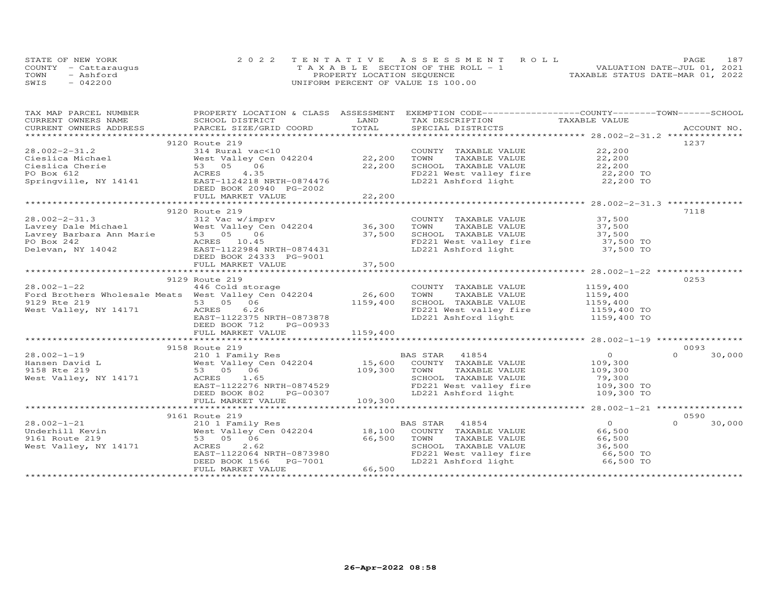| STATE OF NEW YORK    | 2022 TENTATIVE ASSESSMENT ROLL |                                       |                                  | PAGE. | 187 |
|----------------------|--------------------------------|---------------------------------------|----------------------------------|-------|-----|
| COUNTY - Cattarauqus |                                | T A X A B L E SECTION OF THE ROLL - 1 | VALUATION DATE-JUL 01, 2021      |       |     |
| TOWN<br>- Ashford    |                                | PROPERTY LOCATION SEQUENCE            | TAXABLE STATUS DATE-MAR 01, 2022 |       |     |
| SWIS<br>$-042200$    |                                | UNIFORM PERCENT OF VALUE IS 100.00    |                                  |       |     |

| TAX MAP PARCEL NUMBER                                                                                                                                                                                                                         | PROPERTY LOCATION & CLASS ASSESSMENT EXEMPTION CODE----------------COUNTY-------TOWN------SCHOOL |              |                                                                                                                               |                                             |                    |
|-----------------------------------------------------------------------------------------------------------------------------------------------------------------------------------------------------------------------------------------------|--------------------------------------------------------------------------------------------------|--------------|-------------------------------------------------------------------------------------------------------------------------------|---------------------------------------------|--------------------|
| CURRENT OWNERS NAME                                                                                                                                                                                                                           | SCHOOL DISTRICT                                                                                  | LAND         | TAX DESCRIPTION TAXABLE VALUE                                                                                                 |                                             |                    |
| .CURRENT OWNERS ADDRESS PARCEL SIZE/GRID COORD TOTAL SPECIAL DISTRICTS ACCOUNT NO ACCOUNT NO ACCOUNT NO ARE A LOST AND A LOST A LOST A LOST AND A LOST A LOST A LOST AND A LOST A LOST AND A LOST A LOST AND A LOST A LOST AND                |                                                                                                  |              |                                                                                                                               |                                             |                    |
|                                                                                                                                                                                                                                               |                                                                                                  |              |                                                                                                                               |                                             |                    |
|                                                                                                                                                                                                                                               |                                                                                                  |              |                                                                                                                               |                                             | 1237               |
|                                                                                                                                                                                                                                               |                                                                                                  |              | COUNTY TAXABLE VALUE 22,200                                                                                                   |                                             |                    |
|                                                                                                                                                                                                                                               |                                                                                                  | 22,200       |                                                                                                                               | 22,200                                      |                    |
|                                                                                                                                                                                                                                               |                                                                                                  | 22,200       | TOWN       TAXABLE  VALUE<br>SCHOOL    TAXABLE  VALUE                                                                         | 22,200<br>22,200                            |                    |
|                                                                                                                                                                                                                                               |                                                                                                  |              |                                                                                                                               |                                             |                    |
|                                                                                                                                                                                                                                               |                                                                                                  |              | FD221 West valley fire 22,200 TO<br>LD221 Ashford light 22,200 TO                                                             |                                             |                    |
|                                                                                                                                                                                                                                               |                                                                                                  |              |                                                                                                                               |                                             |                    |
|                                                                                                                                                                                                                                               |                                                                                                  | 22,200       |                                                                                                                               |                                             |                    |
|                                                                                                                                                                                                                                               |                                                                                                  | ************ |                                                                                                                               | ******************* 28.002-2-31.3 ********* |                    |
| 28.002-2-31.2<br>Cieslica Michael (in the Cieslica Cherie 53 05 06<br>PO Box 612<br>Springville, NY 14141 (EAST-1124218 NRTH-0874476<br>DEED BOOK 20940 PG-2002<br>FULL MARKET VALUE<br>FULL MARKET VALUE                                     | 9120 Route 219                                                                                   |              |                                                                                                                               |                                             | 7118               |
| 28.002-2-31.3<br>Lavrey Dale Michael West Valley Cen 042204<br>Lavrey Barbara Ann Marie 53 05 06<br>PO Box 2422<br>Delevan, NY 14042<br>MERES 10.45<br>DEED BOOK 24333 PG-9001<br>FULL MARKET VALUE<br>FULL MARKET VALUE<br>TULL MARKET VALUE |                                                                                                  |              | COUNTY TAXABLE VALUE 37,500                                                                                                   |                                             |                    |
|                                                                                                                                                                                                                                               | West Valley Cen 042204 36,300                                                                    |              |                                                                                                                               |                                             |                    |
|                                                                                                                                                                                                                                               |                                                                                                  | 37,500       | TOWN TAXABLE VALUE 37,500<br>SCHOOL TAXABLE VALUE 37,500<br>FD221 West valley fire 37,500 TO<br>LD221 Ashford light 37,500 TO |                                             |                    |
|                                                                                                                                                                                                                                               |                                                                                                  |              |                                                                                                                               |                                             |                    |
|                                                                                                                                                                                                                                               |                                                                                                  |              |                                                                                                                               |                                             |                    |
|                                                                                                                                                                                                                                               |                                                                                                  |              |                                                                                                                               |                                             |                    |
|                                                                                                                                                                                                                                               |                                                                                                  | 37,500       |                                                                                                                               |                                             |                    |
|                                                                                                                                                                                                                                               |                                                                                                  |              |                                                                                                                               |                                             |                    |
|                                                                                                                                                                                                                                               | 9129 Route 219                                                                                   |              |                                                                                                                               |                                             | 0253               |
|                                                                                                                                                                                                                                               |                                                                                                  |              | COUNTY TAXABLE VALUE                                                                                                          | 1159,400                                    |                    |
| 28.002-1-22 446 Cold storage<br>Ford Brothers Wholesale Meats West Valley Cen 042204 26,600                                                                                                                                                   |                                                                                                  |              |                                                                                                                               |                                             |                    |
|                                                                                                                                                                                                                                               |                                                                                                  | 1159,400     | TOWN TAXABLE VALUE<br>SCHOOL TAXABLE VALUE 1159,400 TO<br>CHOOL TAXABLE VALUE 1159,400 TO                                     |                                             |                    |
| 9129 Rte 219 53 05 06<br>West Valley, NY 14171 ACRES 6.26                                                                                                                                                                                     | 6.26                                                                                             |              |                                                                                                                               |                                             |                    |
|                                                                                                                                                                                                                                               | EAST-1122375 NRTH-0873878                                                                        |              | FD221 West valley fire 1159,400 TO<br>LD221 Ashford light 1159,400 TO                                                         |                                             |                    |
|                                                                                                                                                                                                                                               | DEED BOOK 712<br>PG-00933                                                                        |              |                                                                                                                               |                                             |                    |
|                                                                                                                                                                                                                                               | FULL MARKET VALUE                                                                                | 1159,400     |                                                                                                                               |                                             |                    |
|                                                                                                                                                                                                                                               |                                                                                                  |              |                                                                                                                               |                                             |                    |
|                                                                                                                                                                                                                                               | 9158 Route 219                                                                                   |              |                                                                                                                               |                                             | 0093               |
| $28.002 - 1 - 19$                                                                                                                                                                                                                             |                                                                                                  |              |                                                                                                                               | $\overline{O}$                              | 30,000<br>$\Omega$ |
| 28.002 - -<br>Hansen David L                                                                                                                                                                                                                  |                                                                                                  |              |                                                                                                                               | 109,300                                     |                    |
|                                                                                                                                                                                                                                               |                                                                                                  | 109,300 TOWN | TAXABLE VALUE                                                                                                                 |                                             |                    |
| West Valley, NY 14171                                                                                                                                                                                                                         | ACRES 1.65                                                                                       |              | SCHOOL TAXABLE VALUE                                                                                                          | 109,300<br>79,300                           |                    |
|                                                                                                                                                                                                                                               | EAST-1122276 NRTH-0874529                                                                        |              | FD221 West valley fire 109,300 TO                                                                                             |                                             |                    |
|                                                                                                                                                                                                                                               | PG-00307<br>DEED BOOK 802                                                                        |              | LD221 Ashford light                                                                                                           | 109,300 TO                                  |                    |
|                                                                                                                                                                                                                                               |                                                                                                  |              |                                                                                                                               |                                             |                    |
|                                                                                                                                                                                                                                               |                                                                                                  |              |                                                                                                                               |                                             |                    |
|                                                                                                                                                                                                                                               | 9161 Route 219                                                                                   |              |                                                                                                                               |                                             | 0590               |
| 28.002-1-21                                                                                                                                                                                                                                   | 210 1 Family Res                                                                                 |              | BAS STAR 41854                                                                                                                | $\overline{O}$                              | $\Omega$<br>30,000 |
|                                                                                                                                                                                                                                               | 210 1 Family Res<br>West Valley Cen 042204 18,100<br>Coloration 16,100                           |              | COUNTY TAXABLE VALUE                                                                                                          | 66,500                                      |                    |
| Underhill Kevin<br>9161 Route 219<br>9161 Route 219                                                                                                                                                                                           | 53 05 06                                                                                         | 66,500       | TOWN<br>TAXABLE VALUE                                                                                                         | 66,500                                      |                    |
| West Valley, NY 14171                                                                                                                                                                                                                         | 2.62<br>ACRES                                                                                    |              | SCHOOL TAXABLE VALUE                                                                                                          | 36,500                                      |                    |
|                                                                                                                                                                                                                                               | EAST-1122064 NRTH-0873980                                                                        |              | FD221 West valley fire                                                                                                        | 66,500 TO                                   |                    |
|                                                                                                                                                                                                                                               | DEED BOOK 1566<br>PG-7001                                                                        |              | LD221 Ashford light                                                                                                           | 66,500 TO                                   |                    |
|                                                                                                                                                                                                                                               | FULL MARKET VALUE                                                                                | 66,500       |                                                                                                                               |                                             |                    |
|                                                                                                                                                                                                                                               |                                                                                                  |              |                                                                                                                               |                                             |                    |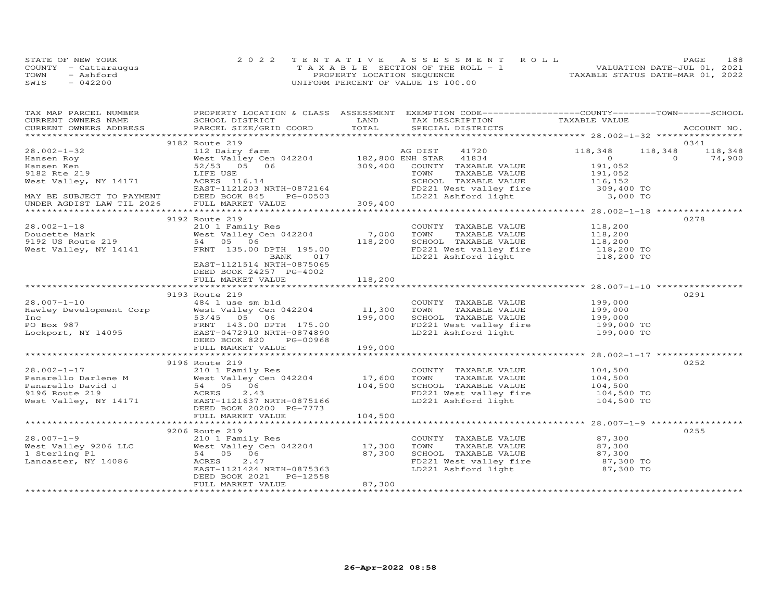| STATE OF NEW YORK    | 2022 TENTATIVE ASSESSMENT ROLL        |                            |  |                                  | PAGE | 188 |
|----------------------|---------------------------------------|----------------------------|--|----------------------------------|------|-----|
| COUNTY - Cattaraugus | T A X A B L E SECTION OF THE ROLL - 1 |                            |  | VALUATION DATE-JUL 01, 2021      |      |     |
| TOWN<br>- Ashford    |                                       | PROPERTY LOCATION SEQUENCE |  | TAXABLE STATUS DATE-MAR 01, 2022 |      |     |
| SWIS<br>$-042200$    | UNIFORM PERCENT OF VALUE IS 100.00    |                            |  |                                  |      |     |

| TAX MAP PARCEL NUMBER FROPERTY LOCATION & CLASS ASSESSMENT EXEMPTION CODE----------------COUNTY-------TOWN-----SCHOOL                                                                                                                                                                                                              |                           |        |                                                                                                                                                                        |  |      |
|------------------------------------------------------------------------------------------------------------------------------------------------------------------------------------------------------------------------------------------------------------------------------------------------------------------------------------|---------------------------|--------|------------------------------------------------------------------------------------------------------------------------------------------------------------------------|--|------|
|                                                                                                                                                                                                                                                                                                                                    |                           |        |                                                                                                                                                                        |  |      |
|                                                                                                                                                                                                                                                                                                                                    |                           |        |                                                                                                                                                                        |  |      |
|                                                                                                                                                                                                                                                                                                                                    | 9182 Route 219            |        |                                                                                                                                                                        |  | 0341 |
| $\begin{array}{cccccccccccc} 28.002-1-32 & 9182 & 800 & 2182 & 800 & 118 & 348 & 118 & 348 & 118 & 348 & 118 & 348 & 118 & 348 & 118 & 348 & 118 & 348 & 118 & 348 & 118 & 348 & 118 & 348 & 118 & 348 & 118 & 348 & 118 & 348 & 118 & 348 & 118 & 348 & 118 & 348 & 118 & 348 & 118 & $                                           |                           |        |                                                                                                                                                                        |  |      |
|                                                                                                                                                                                                                                                                                                                                    |                           |        |                                                                                                                                                                        |  |      |
|                                                                                                                                                                                                                                                                                                                                    |                           |        |                                                                                                                                                                        |  |      |
|                                                                                                                                                                                                                                                                                                                                    |                           |        |                                                                                                                                                                        |  |      |
|                                                                                                                                                                                                                                                                                                                                    |                           |        |                                                                                                                                                                        |  |      |
|                                                                                                                                                                                                                                                                                                                                    |                           |        |                                                                                                                                                                        |  |      |
|                                                                                                                                                                                                                                                                                                                                    |                           |        |                                                                                                                                                                        |  |      |
|                                                                                                                                                                                                                                                                                                                                    |                           |        |                                                                                                                                                                        |  |      |
|                                                                                                                                                                                                                                                                                                                                    | 9192 Route 219            |        |                                                                                                                                                                        |  | 0278 |
| 3192 Koute 219<br>210 118,200<br>210 118,200<br>210 118,200<br>210 118,200<br>2118,200<br>2192 US Route 219<br>2192 West Valley, NY 14141<br>200 TOWN TAXABLE VALUE<br>2192 US Route 219<br>218,200 TOWN TAXABLE VALUE<br>218,200<br>221 West valley f                                                                             |                           |        |                                                                                                                                                                        |  |      |
|                                                                                                                                                                                                                                                                                                                                    |                           |        |                                                                                                                                                                        |  |      |
|                                                                                                                                                                                                                                                                                                                                    |                           |        |                                                                                                                                                                        |  |      |
|                                                                                                                                                                                                                                                                                                                                    |                           |        |                                                                                                                                                                        |  |      |
|                                                                                                                                                                                                                                                                                                                                    |                           |        |                                                                                                                                                                        |  |      |
|                                                                                                                                                                                                                                                                                                                                    | EAST-1121514 NRTH-0875065 |        |                                                                                                                                                                        |  |      |
|                                                                                                                                                                                                                                                                                                                                    | DEED BOOK 24257 PG-4002   |        |                                                                                                                                                                        |  |      |
|                                                                                                                                                                                                                                                                                                                                    |                           |        |                                                                                                                                                                        |  |      |
|                                                                                                                                                                                                                                                                                                                                    |                           |        |                                                                                                                                                                        |  |      |
|                                                                                                                                                                                                                                                                                                                                    | 9193 Route 219            |        |                                                                                                                                                                        |  | 0291 |
|                                                                                                                                                                                                                                                                                                                                    |                           |        |                                                                                                                                                                        |  |      |
|                                                                                                                                                                                                                                                                                                                                    |                           |        |                                                                                                                                                                        |  |      |
|                                                                                                                                                                                                                                                                                                                                    |                           |        |                                                                                                                                                                        |  |      |
|                                                                                                                                                                                                                                                                                                                                    |                           |        | COUNTY TAXABLE VALUE 199,000<br>TOWN TAXABLE VALUE 199,000<br>SCHOOL TAXABLE VALUE 199,000<br>FD221 West valley fire 199,000 TO<br>LD221 Ashford light 199,000 TO      |  |      |
|                                                                                                                                                                                                                                                                                                                                    |                           |        |                                                                                                                                                                        |  |      |
| $[3.28.007-1-10$ $[484.1 \text{ use } \text{sm} \text{ bld}]{28.007-1-10}$ $[484.1 \text{ use } \text{sm} \text{ bld}]{28.007-1-10}$ $[484.1 \text{ use } \text{sm} \text{ bld}]{2204}$ $[11,300 \text{ TOWN}]{200 \text{ TOWN}}$<br>Inc<br>Inc<br>PO Box 987<br>Lockport, NY 14095<br>$[3.21 \text{ to } 199,000 \text{ } \text{$ |                           |        |                                                                                                                                                                        |  |      |
|                                                                                                                                                                                                                                                                                                                                    |                           |        |                                                                                                                                                                        |  |      |
|                                                                                                                                                                                                                                                                                                                                    | 9196 Route 219            |        |                                                                                                                                                                        |  | 0252 |
|                                                                                                                                                                                                                                                                                                                                    |                           |        |                                                                                                                                                                        |  |      |
|                                                                                                                                                                                                                                                                                                                                    |                           |        |                                                                                                                                                                        |  |      |
|                                                                                                                                                                                                                                                                                                                                    |                           |        |                                                                                                                                                                        |  |      |
|                                                                                                                                                                                                                                                                                                                                    |                           |        |                                                                                                                                                                        |  |      |
|                                                                                                                                                                                                                                                                                                                                    |                           |        |                                                                                                                                                                        |  |      |
|                                                                                                                                                                                                                                                                                                                                    |                           |        |                                                                                                                                                                        |  |      |
|                                                                                                                                                                                                                                                                                                                                    |                           |        |                                                                                                                                                                        |  |      |
|                                                                                                                                                                                                                                                                                                                                    |                           |        |                                                                                                                                                                        |  |      |
|                                                                                                                                                                                                                                                                                                                                    | 9206 Route 219            |        |                                                                                                                                                                        |  | 0255 |
|                                                                                                                                                                                                                                                                                                                                    |                           |        |                                                                                                                                                                        |  |      |
|                                                                                                                                                                                                                                                                                                                                    |                           |        | COUNTY TAXABLE VALUE $87,300$<br>TOWN TAXABLE VALUE $87,300$<br>SCHOOL TAXABLE VALUE $87,300$<br>FD221 West valley fire $87,300$ TO<br>LD221 Ashford light $87,300$ TO |  |      |
|                                                                                                                                                                                                                                                                                                                                    |                           |        |                                                                                                                                                                        |  |      |
|                                                                                                                                                                                                                                                                                                                                    |                           |        |                                                                                                                                                                        |  |      |
| 28.007-1-9<br>West Valley 9206 LLC<br>1 Sterling Pl<br>1 Sterling Pl<br>210 Bot Valley Cen 042204<br>17,300 TOWN<br>1 Sterling Pl<br>54 05 06<br>2.47<br>EAST-1121424 NRTH-0875363<br>EAST-121424 NRTH-0875363<br>EAST-121424 NRTH-0875363<br>EAST-12                                                                              |                           |        |                                                                                                                                                                        |  |      |
|                                                                                                                                                                                                                                                                                                                                    | FULL MARKET VALUE         | 87,300 |                                                                                                                                                                        |  |      |
|                                                                                                                                                                                                                                                                                                                                    |                           |        |                                                                                                                                                                        |  |      |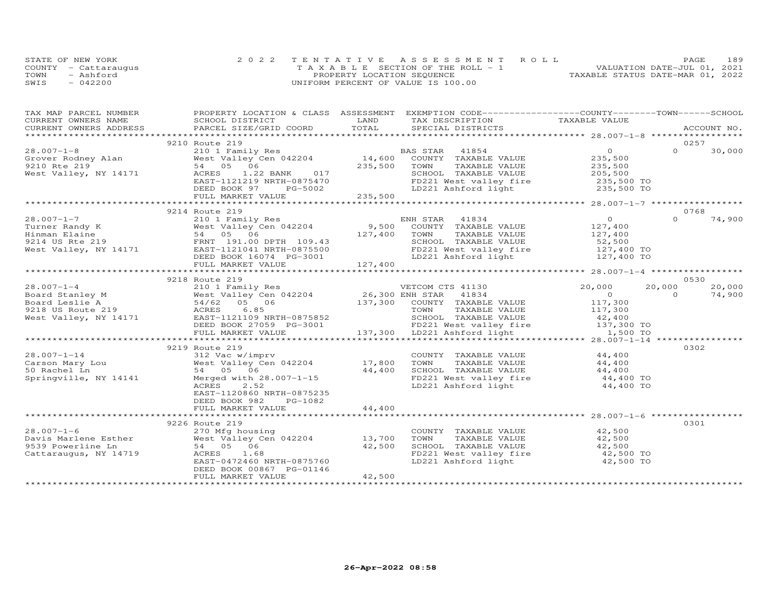| STATE OF NEW YORK    | 2022 TENTATIVE ASSESSMENT ROLL        | 189<br><b>PAGE</b>               |
|----------------------|---------------------------------------|----------------------------------|
| COUNTY - Cattaraugus | T A X A B L E SECTION OF THE ROLL - 1 | VALUATION DATE-JUL 01, 2021      |
| TOWN<br>- Ashford    | PROPERTY LOCATION SEQUENCE            | TAXABLE STATUS DATE-MAR 01, 2022 |
| $-042200$<br>SWIS    | UNIFORM PERCENT OF VALUE IS 100.00    |                                  |

| TAX MAP PARCEL NUMBER | PROPERTY LOCATION & CLASS ASSESSMENT EXEMPTION CODE------------------COUNTY--------TOWN------SCHOOL                                                         |        |                                                                                                                        |                |        |
|-----------------------|-------------------------------------------------------------------------------------------------------------------------------------------------------------|--------|------------------------------------------------------------------------------------------------------------------------|----------------|--------|
|                       |                                                                                                                                                             |        |                                                                                                                        |                |        |
|                       |                                                                                                                                                             |        |                                                                                                                        |                |        |
|                       |                                                                                                                                                             |        |                                                                                                                        |                |        |
|                       | 9210 Route 219                                                                                                                                              |        |                                                                                                                        | 0257           |        |
|                       |                                                                                                                                                             |        |                                                                                                                        |                |        |
|                       |                                                                                                                                                             |        |                                                                                                                        |                |        |
|                       |                                                                                                                                                             |        |                                                                                                                        |                |        |
|                       |                                                                                                                                                             |        |                                                                                                                        |                |        |
|                       |                                                                                                                                                             |        |                                                                                                                        |                |        |
|                       |                                                                                                                                                             |        |                                                                                                                        |                |        |
|                       |                                                                                                                                                             |        |                                                                                                                        |                |        |
|                       |                                                                                                                                                             |        |                                                                                                                        |                |        |
|                       | 9214 Route 219                                                                                                                                              |        |                                                                                                                        | 0768           |        |
|                       |                                                                                                                                                             |        |                                                                                                                        |                |        |
|                       |                                                                                                                                                             |        |                                                                                                                        |                |        |
|                       |                                                                                                                                                             |        |                                                                                                                        |                |        |
|                       |                                                                                                                                                             |        |                                                                                                                        |                |        |
|                       |                                                                                                                                                             |        |                                                                                                                        |                |        |
|                       |                                                                                                                                                             |        |                                                                                                                        |                |        |
|                       |                                                                                                                                                             |        |                                                                                                                        |                |        |
|                       |                                                                                                                                                             |        |                                                                                                                        |                |        |
|                       | 9218 Route 219                                                                                                                                              |        |                                                                                                                        |                | 0530   |
|                       |                                                                                                                                                             |        |                                                                                                                        | 20,000         | 20,000 |
|                       |                                                                                                                                                             |        |                                                                                                                        | $\overline{0}$ | 74,900 |
|                       |                                                                                                                                                             |        |                                                                                                                        |                |        |
|                       |                                                                                                                                                             |        |                                                                                                                        |                |        |
|                       |                                                                                                                                                             |        |                                                                                                                        |                |        |
|                       |                                                                                                                                                             |        |                                                                                                                        |                |        |
|                       |                                                                                                                                                             |        |                                                                                                                        |                |        |
|                       |                                                                                                                                                             |        |                                                                                                                        |                |        |
|                       | 9219 Route 219                                                                                                                                              |        |                                                                                                                        | 0302           |        |
|                       | 312 Vac w/imprv                                                                                                                                             |        | COUNTY TAXABLE VALUE 44,400                                                                                            |                |        |
|                       |                                                                                                                                                             |        |                                                                                                                        |                |        |
|                       |                                                                                                                                                             |        |                                                                                                                        |                |        |
|                       |                                                                                                                                                             |        |                                                                                                                        |                |        |
|                       | 28.007-1-14 312 Vac w/imprv<br>Carson Mary Lou West Valley Cen 042204 17,800<br>50 Rachel Ln 54,400<br>Springville, NY 14141 Merged with 28.007-1-15 44,400 |        | TOWN TAXABLE VALUE<br>SCHOOL TAXABLE VALUE 44,400<br>FD221 West valley fire 44,400 TO<br>LD221 Ashford light 44,400 TO |                |        |
|                       | EAST-1120860 NRTH-0875235                                                                                                                                   |        |                                                                                                                        |                |        |
|                       | DEED BOOK 982<br>PG-1082                                                                                                                                    |        |                                                                                                                        |                |        |
|                       | FULL MARKET VALUE                                                                                                                                           | 44,400 |                                                                                                                        |                |        |
|                       |                                                                                                                                                             |        |                                                                                                                        |                |        |
|                       | 9226 Route 219                                                                                                                                              |        |                                                                                                                        | 0301           |        |
|                       |                                                                                                                                                             |        |                                                                                                                        |                |        |
|                       |                                                                                                                                                             |        | COUNTY TAXABLE VALUE 42,500<br>TOWN TAXABLE VALUE 42,500                                                               |                |        |
|                       |                                                                                                                                                             |        |                                                                                                                        |                |        |
|                       | ACRES 1.68<br>EAST-0472460 NRTH-0875760                                                                                                                     |        | SCHOOL TAXABLE VALUE $42,500$<br>FD221 West valley fire $42,500$ TO<br>LD221 Ashford light $42,500$ TO                 |                |        |
|                       |                                                                                                                                                             |        |                                                                                                                        |                |        |
|                       | DEED BOOK 00867 PG-01146                                                                                                                                    |        |                                                                                                                        |                |        |
|                       | FULL MARKET VALUE                                                                                                                                           | 42,500 |                                                                                                                        |                |        |
|                       |                                                                                                                                                             |        |                                                                                                                        |                |        |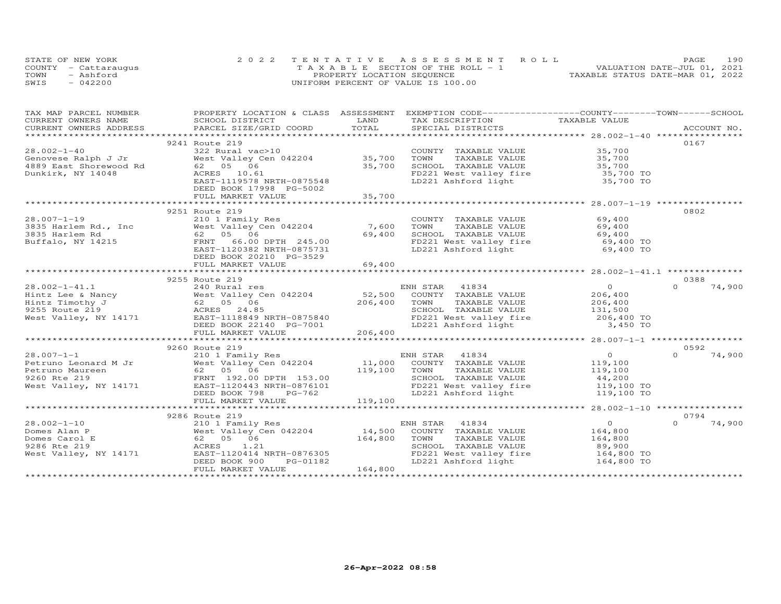| STATE OF NEW YORK    | 2022 TENTATIVE ASSESSMENT ROLL        | 190<br><b>PAGE</b>               |
|----------------------|---------------------------------------|----------------------------------|
| COUNTY - Cattaraugus | T A X A B L E SECTION OF THE ROLL - 1 | VALUATION DATE-JUL 01, 2021      |
| TOWN<br>- Ashford    | PROPERTY LOCATION SEQUENCE            | TAXABLE STATUS DATE-MAR 01, 2022 |
| SWIS<br>$-042200$    | UNIFORM PERCENT OF VALUE IS 100.00    |                                  |

| TAX MAP PARCEL NUMBER                                 | PROPERTY LOCATION & CLASS ASSESSMENT EXEMPTION CODE----------------COUNTY-------TOWN-----SCHOOL                                                                                                     |         |                                                                                                |                        |                    |
|-------------------------------------------------------|-----------------------------------------------------------------------------------------------------------------------------------------------------------------------------------------------------|---------|------------------------------------------------------------------------------------------------|------------------------|--------------------|
| CURRENT OWNERS NAME                                   | SCHOOL DISTRICT                                                                                                                                                                                     | LAND    | TAX DESCRIPTION                                                                                | TAXABLE VALUE          |                    |
|                                                       |                                                                                                                                                                                                     |         |                                                                                                |                        |                    |
|                                                       |                                                                                                                                                                                                     |         |                                                                                                |                        |                    |
|                                                       | 9241 Route 219                                                                                                                                                                                      |         |                                                                                                |                        | 0167               |
| $28.002 - 1 - 40$                                     | 322 Rural vac>10                                                                                                                                                                                    |         | COUNTY TAXABLE VALUE                                                                           | 35,700                 |                    |
|                                                       | West Valley Cen 042204 35,700                                                                                                                                                                       |         |                                                                                                | 35,700                 |                    |
|                                                       |                                                                                                                                                                                                     | 35,700  | TOWN      TAXABLE VALUE<br>SCHOOL   TAXABLE VALUE                                              | 35,700                 |                    |
| Dunkirk, NY 14048                                     | ACRES 10.61                                                                                                                                                                                         |         |                                                                                                |                        |                    |
|                                                       | EAST-1119578 NRTH-0875548                                                                                                                                                                           |         | FD221 West valley fire<br>LD221 Ashford light                                                  | 35,700 TO<br>35,700 TO |                    |
|                                                       | DEED BOOK 17998 PG-5002                                                                                                                                                                             |         |                                                                                                |                        |                    |
|                                                       | FULL MARKET VALUE                                                                                                                                                                                   | 35,700  |                                                                                                |                        |                    |
|                                                       |                                                                                                                                                                                                     |         |                                                                                                |                        |                    |
|                                                       | 9251 Route 219                                                                                                                                                                                      |         |                                                                                                |                        | 0802               |
| $28.007 - 1 - 19$                                     | 210 1 Family Res                                                                                                                                                                                    |         | COUNTY TAXABLE VALUE                                                                           | 69,400                 |                    |
| 28.007-1-19<br>3835 Harlem Rd., Inc<br>3835 Harlem Rd | zio i Family Res<br>West Valley Cen 042204      7,600                                                                                                                                               |         |                                                                                                |                        |                    |
|                                                       | 62 05 06                                                                                                                                                                                            | 69,400  |                                                                                                |                        |                    |
| Buffalo, NY 14215                                     | FRNT 66.00 DPTH 245.00                                                                                                                                                                              |         | TOWN TAXABLE VALUE<br>SCHOOL TAXABLE VALUE 69,400<br>COL TAXABLE VALUE 69,400 TO               |                        |                    |
|                                                       | EAST-1120382 NRTH-0875731                                                                                                                                                                           |         | FD221 West valley fire<br>LD221 Ashford light                                                  | 69,400 TO              |                    |
|                                                       | DEED BOOK 20210 PG-3529                                                                                                                                                                             |         |                                                                                                |                        |                    |
|                                                       | FULL MARKET VALUE                                                                                                                                                                                   | 69,400  |                                                                                                |                        |                    |
|                                                       |                                                                                                                                                                                                     |         |                                                                                                |                        |                    |
|                                                       | 9255 Route 219                                                                                                                                                                                      |         |                                                                                                |                        | 0388               |
|                                                       |                                                                                                                                                                                                     |         |                                                                                                | $\overline{O}$         | $\Omega$<br>74,900 |
|                                                       |                                                                                                                                                                                                     |         |                                                                                                | 206,400                |                    |
|                                                       |                                                                                                                                                                                                     |         |                                                                                                |                        |                    |
|                                                       | 28.002-1-41.1<br>Hintz Lee & Nancy West Valley Cen 042204 52,500 COUNTY TAXABLE VALUE<br>Hintz Timothy J 62 05 06 206,400 TOWN TAXABLE VALUE<br>9255 Route 219 205 24.85 24.85 SCHOOL TAXABLE VALUE |         | SCHOOL TAXABLE VALUE                                                                           | 206,400<br>131,500     |                    |
|                                                       | West Valley, NY 14171 EAST-1118849 NRTH-0875840                                                                                                                                                     |         | FD221 West valley fire 206,400 TO                                                              |                        |                    |
|                                                       |                                                                                                                                                                                                     |         |                                                                                                | 3,450 TO               |                    |
|                                                       | DEED BOOK 22140 PG-7001                                                                                                                                                                             | 206,400 | LD221 Ashford light                                                                            |                        |                    |
|                                                       | FULL MARKET VALUE                                                                                                                                                                                   |         |                                                                                                |                        |                    |
|                                                       |                                                                                                                                                                                                     |         |                                                                                                |                        |                    |
|                                                       | 9260 Route 219                                                                                                                                                                                      |         |                                                                                                |                        | 0592               |
| $28.007 - 1 - 1$                                      |                                                                                                                                                                                                     |         |                                                                                                | $\Omega$               | 74,900<br>$\Omega$ |
| Petruno Leonard M Jr                                  |                                                                                                                                                                                                     |         |                                                                                                | 119,100                |                    |
| Petruno Maureen                                       |                                                                                                                                                                                                     | 119,100 | TOWN<br>TAXABLE VALUE                                                                          | 119,100<br>44,200      |                    |
| 9260 Rte 219                                          | 210 1 Family Res<br>M Jr West Valley Cen 042204 11,000<br>62 05 06 119,100<br>FRNT 192.00 DPTH 153.00 119,100                                                                                       |         | SCHOOL TAXABLE VALUE                                                                           |                        |                    |
| West Valley, NY 14171                                 | EAST-1120443 NRTH-0876101                                                                                                                                                                           |         | School Induction (1992)<br>ED221 West valley fire 19,100 TO<br>T.D221 Ashford light 119,100 TO |                        |                    |
|                                                       | DEED BOOK 798<br>PG-762                                                                                                                                                                             |         |                                                                                                |                        |                    |
|                                                       | FULL MARKET VALUE                                                                                                                                                                                   | 119,100 |                                                                                                |                        |                    |
|                                                       |                                                                                                                                                                                                     |         |                                                                                                |                        |                    |
|                                                       | 9286 Route 219                                                                                                                                                                                      |         |                                                                                                |                        | 0794               |
| $28.002 - 1 - 10$                                     | 210 1 Family Res                                                                                                                                                                                    |         | ENH STAR 41834                                                                                 | $\Omega$               | 74,900<br>$\Omega$ |
| Domes Alan P                                          | West Valley Cen 042204 14,500                                                                                                                                                                       |         | COUNTY TAXABLE VALUE                                                                           | 164,800                |                    |
| Domes Carol E                                         | 62 05 06                                                                                                                                                                                            | 164,800 | TOWN<br>TAXABLE VALUE                                                                          | 164,800                |                    |
| 9286 Rte 219                                          | ACRES<br>1.21                                                                                                                                                                                       |         | SCHOOL TAXABLE VALUE                                                                           | 89,900                 |                    |
| West Valley, NY 14171                                 | EAST-1120414 NRTH-0876305                                                                                                                                                                           |         | FD221 West valley fire 164,800 TO                                                              |                        |                    |
|                                                       | PG-01182<br>DEED BOOK 900                                                                                                                                                                           |         | LD221 Ashford light                                                                            | 164,800 TO             |                    |
|                                                       | FULL MARKET VALUE                                                                                                                                                                                   | 164,800 |                                                                                                |                        |                    |
|                                                       |                                                                                                                                                                                                     |         |                                                                                                |                        |                    |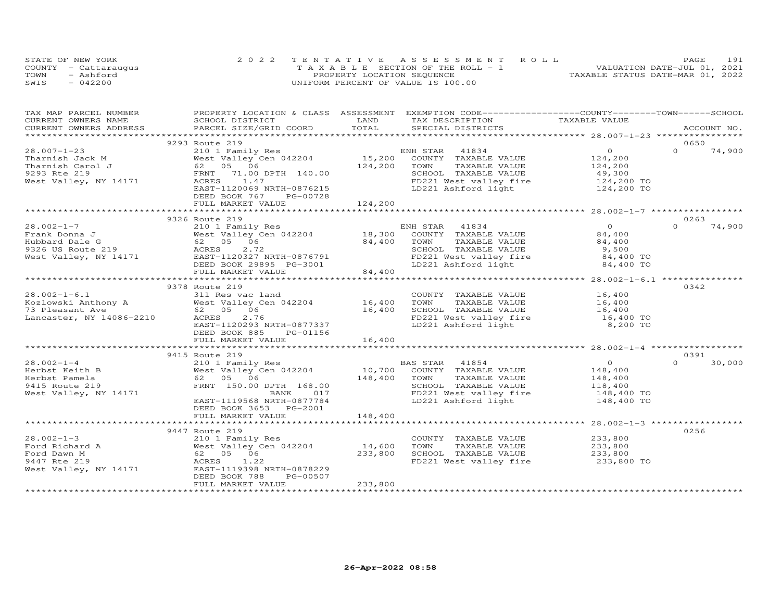|      | STATE OF NEW YORK    | 2022 TENTATIVE ASSESSMENT ROLL        | 191<br>PAGE.                     |
|------|----------------------|---------------------------------------|----------------------------------|
|      | COUNTY - Cattaraugus | T A X A B L E SECTION OF THE ROLL - 1 | VALUATION DATE-JUL 01, 2021      |
| TOWN | - Ashford            | PROPERTY LOCATION SEQUENCE            | TAXABLE STATUS DATE-MAR 01, 2022 |
| SWIS | $-042200$            | UNIFORM PERCENT OF VALUE IS 100.00    |                                  |

| TAX MAP PARCEL NUMBER                       | PROPERTY LOCATION & CLASS ASSESSMENT EXEMPTION CODE----------------COUNTY-------TOWN------SCHOOL                                                                                                                                                       |              |                                                                       |                     |          |             |
|---------------------------------------------|--------------------------------------------------------------------------------------------------------------------------------------------------------------------------------------------------------------------------------------------------------|--------------|-----------------------------------------------------------------------|---------------------|----------|-------------|
| CURRENT OWNERS NAME                         | SCHOOL DISTRICT                                                                                                                                                                                                                                        | LAND         | TAX DESCRIPTION TAXABLE VALUE                                         |                     |          |             |
| CURRENT OWNERS ADDRESS                      | PARCEL SIZE/GRID COORD                                                                                                                                                                                                                                 | TOTAL        | SPECIAL DISTRICTS                                                     |                     |          | ACCOUNT NO. |
|                                             |                                                                                                                                                                                                                                                        |              |                                                                       |                     |          |             |
|                                             | 9293 Route 219                                                                                                                                                                                                                                         |              |                                                                       |                     | 0650     |             |
| $28.007 - 1 - 23$                           | 210 1 Family Res<br>West Valley Cen 042204 15,200                                                                                                                                                                                                      |              | ENH STAR 41834                                                        | $\Omega$            | $\Omega$ | 74,900      |
| Tharnish Jack M                             |                                                                                                                                                                                                                                                        |              | COUNTY TAXABLE VALUE                                                  | 124,200             |          |             |
| Tharnish Carol J                            | 62 05 06                                                                                                                                                                                                                                               | 124,200      | TAXABLE VALUE<br>TOWN                                                 | 124,200<br>49,300   |          |             |
| 9293 Rte 219                                | 71.00 DPTH 140.00<br>FRNT                                                                                                                                                                                                                              |              | SCHOOL TAXABLE VALUE                                                  |                     |          |             |
| West Valley, NY 14171                       | ACRES 1.47                                                                                                                                                                                                                                             |              | FD221 West valley fire 124,200 TO<br>LD221 Ashford light 124,200 TO   |                     |          |             |
|                                             | EAST-1120069 NRTH-0876215                                                                                                                                                                                                                              |              |                                                                       |                     |          |             |
|                                             | DEED BOOK 767<br>PG-00728                                                                                                                                                                                                                              |              |                                                                       |                     |          |             |
|                                             | FULL MARKET VALUE                                                                                                                                                                                                                                      | 124,200      |                                                                       |                     |          |             |
|                                             |                                                                                                                                                                                                                                                        |              |                                                                       |                     |          |             |
|                                             | 9326 Route 219                                                                                                                                                                                                                                         |              |                                                                       |                     | 0263     |             |
| $28.002 - 1 - 7$                            | 210 1 Family Res                                                                                                                                                                                                                                       |              | ENH STAR 41834                                                        | $\bigcirc$          | $\Omega$ | 74,900      |
|                                             | West Valley Cen $042204$ 18,300 COUNTY TAXABLE VALUE                                                                                                                                                                                                   |              |                                                                       | 84,400              |          |             |
|                                             |                                                                                                                                                                                                                                                        | 84,400 TOWN  | TAXABLE VALUE                                                         | 84,400              |          |             |
|                                             |                                                                                                                                                                                                                                                        |              | SCHOOL TAXABLE VALUE                                                  | 9,500               |          |             |
|                                             | Frank Donna J<br>Hubbard Dale G<br>9326 US Route 219<br>9326 US Route 219<br>9326 US Route 219<br>9326 US Route 219<br>9326 US Route 219<br>9326 US Route 219<br>9226 US Route 219<br>9226 US Route 219<br>9226 US Route 219<br>9236 US Route 219<br>9 |              | FD221 West valley fire 84,400 TO<br>LD221 Ashford light 84,400 TO     |                     |          |             |
|                                             |                                                                                                                                                                                                                                                        |              |                                                                       |                     |          |             |
|                                             |                                                                                                                                                                                                                                                        | 84,400       |                                                                       |                     |          |             |
|                                             |                                                                                                                                                                                                                                                        |              |                                                                       |                     |          |             |
|                                             | 9378 Route 219                                                                                                                                                                                                                                         |              |                                                                       |                     | 0342     |             |
|                                             |                                                                                                                                                                                                                                                        |              | COUNTY TAXABLE VALUE                                                  | 16,400<br>16,400    |          |             |
|                                             |                                                                                                                                                                                                                                                        |              | TOWN<br>TAXABLE VALUE                                                 |                     |          |             |
|                                             |                                                                                                                                                                                                                                                        |              |                                                                       | 16,400<br>16,400 TO |          |             |
|                                             | 28.002-1-6.1 311 Res vac land<br>Kozlowski Anthony A West Valley Cen 042204 16,400<br>73 Pleasant Ave 62 05 06 16,400<br>Lancaster, NY 14086-2210 ACRES 2.76                                                                                           |              | SCHOOL TAXABLE VALUE<br>FD221 West valley fire<br>LD221 Ashford light |                     |          |             |
|                                             | EAST-1120293 NRTH-0877337                                                                                                                                                                                                                              |              |                                                                       | 8,200 TO            |          |             |
|                                             | DEED BOOK 885<br>PG-01156                                                                                                                                                                                                                              |              |                                                                       |                     |          |             |
|                                             | FULL MARKET VALUE                                                                                                                                                                                                                                      | 16,400       |                                                                       |                     |          |             |
|                                             |                                                                                                                                                                                                                                                        |              |                                                                       |                     |          |             |
|                                             | 9415 Route 219                                                                                                                                                                                                                                         |              |                                                                       |                     | 0391     |             |
| $28.002 - 1 - 4$                            | 210 1 Family Res                                                                                                                                                                                                                                       |              | BAS STAR 41854                                                        | $\overline{0}$      | $\Omega$ | 30,000      |
| Herbst Keith B                              | West Valley Cen 042204                                                                                                                                                                                                                                 |              | 10,700 COUNTY TAXABLE VALUE<br>148,400 TOWN TAXABLE VALUE             | 148,400             |          |             |
| Herbst Pamela                               | 62 05 06                                                                                                                                                                                                                                               | 148,400 TOWN | TAXABLE VALUE                                                         | 148,400<br>118,400  |          |             |
| 9415 Route 219                              | FRNT 150.00 DPTH 168.00                                                                                                                                                                                                                                |              |                                                                       |                     |          |             |
| West Valley, NY 14171                       | BANK<br>017                                                                                                                                                                                                                                            |              | SCHOOL TAXABLE VALUE 118,400<br>FD221 West valley fire 148,400 TO     |                     |          |             |
|                                             | EAST-1119568 NRTH-0877784                                                                                                                                                                                                                              |              | LD221 Ashford light                                                   | 148,400 TO          |          |             |
|                                             | DEED BOOK 3653 PG-2001                                                                                                                                                                                                                                 |              |                                                                       |                     |          |             |
|                                             | FULL MARKET VALUE<br>**************************                                                                                                                                                                                                        | 148,400      |                                                                       |                     |          |             |
|                                             |                                                                                                                                                                                                                                                        |              |                                                                       |                     |          |             |
|                                             | 9447 Route 219                                                                                                                                                                                                                                         |              |                                                                       |                     | 0256     |             |
| $28.002 - 1 - 3$                            | 210 1 Family Res                                                                                                                                                                                                                                       |              | COUNTY TAXABLE VALUE                                                  | 233,800             |          |             |
| 28.002 - 1<br>Ford Richard A<br>Ford Dawn M | West Valley Cen 042204                                                                                                                                                                                                                                 | 14,600       | TOWN<br>TAXABLE VALUE                                                 | 233,800             |          |             |
|                                             | 62 05 06                                                                                                                                                                                                                                               | 233,800      | SCHOOL TAXABLE VALUE 233,800                                          |                     |          |             |
| 9447 Rte 219                                | ACRES 1.22                                                                                                                                                                                                                                             |              | FD221 West valley fire                                                | 233,800 TO          |          |             |
| West Valley, NY 14171                       | EAST-1119398 NRTH-0878229                                                                                                                                                                                                                              |              |                                                                       |                     |          |             |
|                                             | PG-00507<br>DEED BOOK 788                                                                                                                                                                                                                              |              |                                                                       |                     |          |             |
|                                             | FULL MARKET VALUE                                                                                                                                                                                                                                      | 233,800      |                                                                       |                     |          |             |
|                                             |                                                                                                                                                                                                                                                        |              |                                                                       |                     |          |             |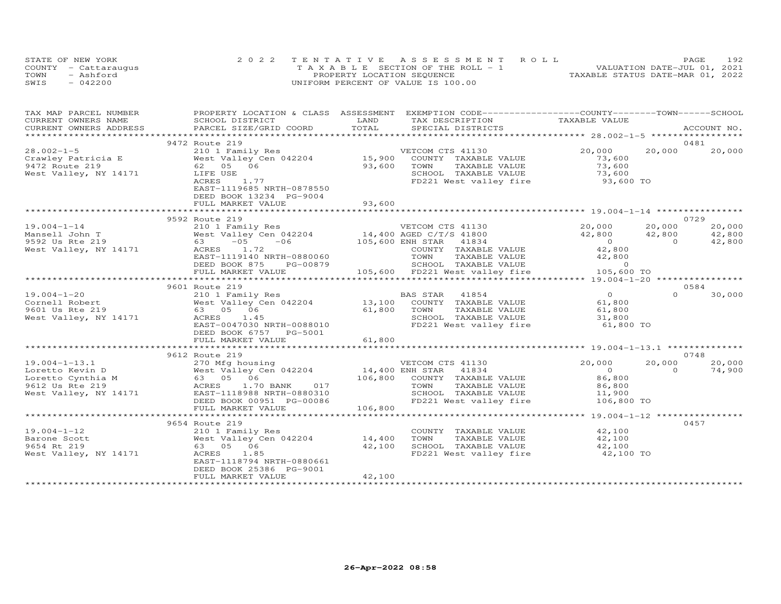|      | STATE OF NEW YORK    | 2022 TENTATIVE ASSESSMENT ROLL        | PAGE                             | 192 |
|------|----------------------|---------------------------------------|----------------------------------|-----|
|      | COUNTY - Cattarauqus | T A X A B L E SECTION OF THE ROLL - 1 | VALUATION DATE-JUL 01, 2021      |     |
| TOWN | - Ashford            | PROPERTY LOCATION SEQUENCE            | TAXABLE STATUS DATE-MAR 01, 2022 |     |
| SWIS | $-042200$            | UNIFORM PERCENT OF VALUE IS 100.00    |                                  |     |

| TAX MAP PARCEL NUMBER                                                                                                                                 | PROPERTY LOCATION & CLASS ASSESSMENT EXEMPTION CODE----------------COUNTY-------TOWN------SCHOOL |         |                                                                                                    |                                        |                |                  |
|-------------------------------------------------------------------------------------------------------------------------------------------------------|--------------------------------------------------------------------------------------------------|---------|----------------------------------------------------------------------------------------------------|----------------------------------------|----------------|------------------|
| CURRENT OWNERS NAME                                                                                                                                   | SCHOOL DISTRICT                                                                                  | LAND    | TAX DESCRIPTION                                                                                    | TAXABLE VALUE                          |                |                  |
|                                                                                                                                                       |                                                                                                  |         |                                                                                                    |                                        |                | ACCOUNT NO.      |
|                                                                                                                                                       |                                                                                                  |         |                                                                                                    |                                        |                |                  |
|                                                                                                                                                       | 9472 Route 219                                                                                   |         |                                                                                                    |                                        |                | 0481             |
| $28.002 - 1 - 5$                                                                                                                                      | 210 1 Family Res                                                                                 | 15,900  | VETCOM CTS 41130                                                                                   | 20,000                                 | 20,000         | 20,000           |
| Crawley Patricia E                                                                                                                                    | West Valley Cen 042204                                                                           |         | COUNTY TAXABLE VALUE                                                                               | 73,600                                 |                |                  |
| 9472 Route 219                                                                                                                                        | 62  05  06                                                                                       | 93,600  | TOWN<br>TAXABLE VALUE                                                                              | 73,600<br>73,600                       |                |                  |
| West Valley, NY 14171                                                                                                                                 | LIFE USE                                                                                         |         | SCHOOL TAXABLE VALUE                                                                               |                                        |                |                  |
|                                                                                                                                                       | ACRES<br>1.77                                                                                    |         | FD221 West valley fire 93,600 TO                                                                   |                                        |                |                  |
|                                                                                                                                                       | EAST-1119685 NRTH-0878550                                                                        |         |                                                                                                    |                                        |                |                  |
|                                                                                                                                                       | DEED BOOK 13234 PG-9004                                                                          |         |                                                                                                    |                                        |                |                  |
|                                                                                                                                                       | FULL MARKET VALUE                                                                                | 93,600  |                                                                                                    |                                        |                |                  |
|                                                                                                                                                       | 9592 Route 219                                                                                   |         |                                                                                                    |                                        |                | 0729             |
|                                                                                                                                                       |                                                                                                  |         |                                                                                                    |                                        | 20,000         |                  |
| $19.004 - 1 - 14$<br>19.004-1-14<br>Mansell John T<br>9592 Us Rte 219                                                                                 | 210 1 Family Res<br>210 1 Family Res<br>West Valley Cen 042204      14,400 AGED C/T/S 41800      |         | VETCOM CTS 41130                                                                                   | 20,000<br>42,800                       | 42,800         | 20,000<br>42,800 |
|                                                                                                                                                       | $-06$ 105,600 ENH STAR                                                                           |         |                                                                                                    |                                        |                |                  |
|                                                                                                                                                       | 63 – 05                                                                                          |         | 41834                                                                                              | $\begin{array}{c}0\\42,800\end{array}$ | $\overline{0}$ | 42,800           |
| West Valley, NY 14171                                                                                                                                 | ACRES 1.72                                                                                       |         | COUNTY TAXABLE VALUE                                                                               |                                        |                |                  |
|                                                                                                                                                       | EAST-1119140 NRTH-0880060                                                                        |         | TOWN TAXABLE VALUE $42,800$<br>SCHOOL TAXABLE VALUE 0<br>105,600 FD221 West valley fire 105,600 TO |                                        |                |                  |
|                                                                                                                                                       | DEED BOOK 875 PG-00879                                                                           |         |                                                                                                    |                                        |                |                  |
|                                                                                                                                                       | FULL MARKET VALUE                                                                                |         |                                                                                                    |                                        |                |                  |
|                                                                                                                                                       |                                                                                                  |         |                                                                                                    |                                        |                | 0584             |
| $19.004 - 1 - 20$                                                                                                                                     | 9601 Route 219<br>210 1 Family Res                                                               |         | BAS STAR 41854                                                                                     | $\overline{0}$                         | $\Omega$       | 30,000           |
|                                                                                                                                                       | West Valley Cen 042204 13,100                                                                    |         |                                                                                                    | 61,800                                 |                |                  |
| Cornell Robert                                                                                                                                        | 63 05 06                                                                                         |         | COUNTY TAXABLE VALUE<br>TOWN                                                                       |                                        |                |                  |
| 9601 Us Rte 219                                                                                                                                       |                                                                                                  | 61,800  | TAXABLE VALUE<br>SCHOOL TAXABLE VALUE                                                              | 61,800                                 |                |                  |
| West Valley, NY 14171                                                                                                                                 | ACRES 1.45<br>EAST-0047030 NRTH-0088010                                                          |         | FD221 West valley fire                                                                             | 31,800<br>61,800 TO                    |                |                  |
|                                                                                                                                                       | DEED BOOK 6757 PG-5001                                                                           |         |                                                                                                    |                                        |                |                  |
|                                                                                                                                                       | FULL MARKET VALUE                                                                                | 61,800  |                                                                                                    |                                        |                |                  |
|                                                                                                                                                       | **********************************                                                               |         |                                                                                                    |                                        |                |                  |
|                                                                                                                                                       | 9612 Route 219                                                                                   |         |                                                                                                    |                                        |                | 0748             |
| $19.004 - 1 - 13.1$                                                                                                                                   |                                                                                                  |         | VETCOM CTS 41130                                                                                   | 20,000                                 | 20,000         | 20,000           |
|                                                                                                                                                       | 270 Mfg housing 370 WETCOM CTS 41130<br>West Valley Cen 042204 14,400 ENH STAR 41834             |         |                                                                                                    | $\overline{0}$                         | $\Omega$       | 74,900           |
|                                                                                                                                                       |                                                                                                  |         | 106,800 COUNTY TAXABLE VALUE                                                                       | 86,800                                 |                |                  |
| 19.004-1-13.1 270 Mfg housi<br>Loretto Ceynthia M 63 05 06<br>10621 User Control Cynthia M 63 05 06<br>9612 User Calley ACRES 1.70<br>9612 Us Rte 219 | ACRES 1.70 BANK 017                                                                              |         | TAXABLE VALUE<br>TOWN                                                                              | 86,800                                 |                |                  |
| West Valley, NY 14171                                                                                                                                 | EAST-1118988 NRTH-0880310                                                                        |         | SCHOOL TAXABLE VALUE 11,900                                                                        |                                        |                |                  |
|                                                                                                                                                       | DEED BOOK 00951 PG-00086                                                                         |         | FD221 West valley fire                                                                             | 106,800 TO                             |                |                  |
|                                                                                                                                                       | FULL MARKET VALUE                                                                                | 106,800 |                                                                                                    |                                        |                |                  |
|                                                                                                                                                       |                                                                                                  |         |                                                                                                    |                                        |                |                  |
|                                                                                                                                                       | 9654 Route 219                                                                                   |         |                                                                                                    |                                        |                | 0457             |
| $19.004 - 1 - 12$                                                                                                                                     | 210 1 Family Res                                                                                 |         | COUNTY TAXABLE VALUE                                                                               | 42,100                                 |                |                  |
| Barone Scott                                                                                                                                          | West Valley Cen 042204 14,400                                                                    |         | TOWN<br>TAXABLE VALUE                                                                              | 42,100                                 |                |                  |
| 9654 Rt 219                                                                                                                                           | 63 05 06                                                                                         | 42,100  |                                                                                                    |                                        |                |                  |
| West Valley, NY 14171                                                                                                                                 | ACRES<br>1.85                                                                                    |         | SCHOOL TAXABLE VALUE 42,100<br>FD221 West valley fire 42,100 TO                                    |                                        |                |                  |
|                                                                                                                                                       | EAST-1118794 NRTH-0880661                                                                        |         |                                                                                                    |                                        |                |                  |
|                                                                                                                                                       | DEED BOOK 25386 PG-9001                                                                          |         |                                                                                                    |                                        |                |                  |
|                                                                                                                                                       | FULL MARKET VALUE                                                                                | 42,100  |                                                                                                    |                                        |                |                  |
|                                                                                                                                                       |                                                                                                  |         |                                                                                                    |                                        |                |                  |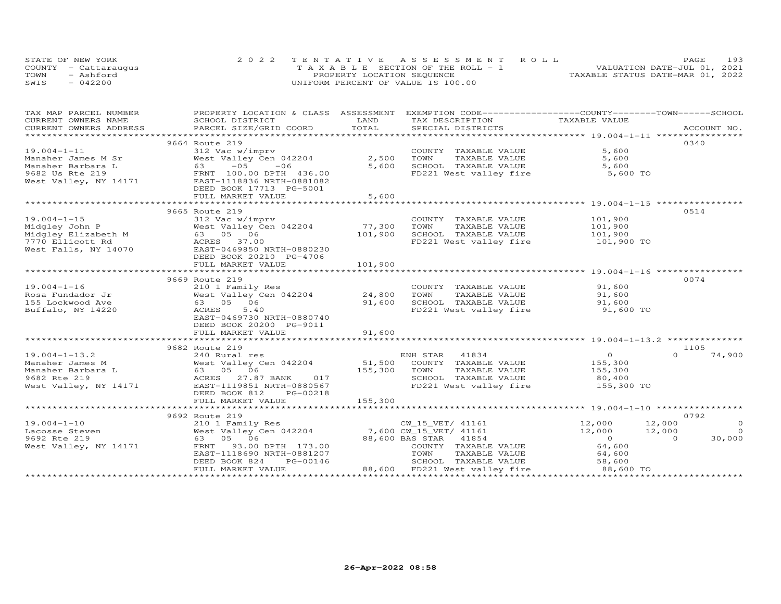| STATE OF NEW YORK    | 2022 TENTATIVE ASSESSMENT ROLL        |  |                                  | <b>PAGE</b> | 193 |
|----------------------|---------------------------------------|--|----------------------------------|-------------|-----|
| COUNTY - Cattarauqus | T A X A B L E SECTION OF THE ROLL - 1 |  | VALUATION DATE-JUL 01, 2021      |             |     |
| TOWN<br>- Ashford    | PROPERTY LOCATION SEQUENCE            |  | TAXABLE STATUS DATE-MAR 01, 2022 |             |     |
| SWIS<br>$-042200$    | UNIFORM PERCENT OF VALUE IS 100.00    |  |                                  |             |     |

| TAX MAP PARCEL NUMBER | PROPERTY LOCATION & CLASS ASSESSMENT                                                                                                                                                                                           |              | EXEMPTION CODE-----------------COUNTY-------TOWN------SCHOOL |                     |                          |
|-----------------------|--------------------------------------------------------------------------------------------------------------------------------------------------------------------------------------------------------------------------------|--------------|--------------------------------------------------------------|---------------------|--------------------------|
| CURRENT OWNERS NAME   | SCHOOL DISTRICT                                                                                                                                                                                                                | LAND         | TAX DESCRIPTION                                              | TAXABLE VALUE       |                          |
|                       | .CURRENT OWNERS ADDRESS PARCEL SIZE/GRID COORD TOTAL SPECIAL DISTRICTS ACCOUNT NO ACCOUNT NO ACCOUNT NO ARE THE SERVER AND THE SERVER ASSESS THE SERVER OF THE SERVER SERVER AND THE SERVER ASSESSED THAT A SERVER AND THE SER |              |                                                              |                     |                          |
|                       |                                                                                                                                                                                                                                |              |                                                              |                     |                          |
|                       | 9664 Route 219                                                                                                                                                                                                                 |              |                                                              |                     | 0340                     |
| $19.004 - 1 - 11$     | 312 Vac w/imprv                                                                                                                                                                                                                |              | COUNTY TAXABLE VALUE                                         | 5,600               |                          |
|                       |                                                                                                                                                                                                                                | 2,500        | TOWN<br>TAXABLE VALUE                                        | 5,600               |                          |
|                       |                                                                                                                                                                                                                                | 5,600        | SCHOOL TAXABLE VALUE                                         | 5,600               |                          |
|                       |                                                                                                                                                                                                                                |              | FD221 West valley fire 5,600 TO                              |                     |                          |
|                       |                                                                                                                                                                                                                                |              |                                                              |                     |                          |
|                       | DEED BOOK 17713 PG-5001                                                                                                                                                                                                        |              |                                                              |                     |                          |
|                       | FULL MARKET VALUE                                                                                                                                                                                                              | 5,600        |                                                              |                     |                          |
|                       | *******************************                                                                                                                                                                                                | ************ |                                                              |                     |                          |
|                       | 9665 Route 219                                                                                                                                                                                                                 |              |                                                              |                     | 0514                     |
| $19.004 - 1 - 15$     | 312 Vac w/imprv                                                                                                                                                                                                                |              | COUNTY TAXABLE VALUE                                         | 101,900             |                          |
|                       |                                                                                                                                                                                                                                | 77,300       | TOWN<br>TAXABLE VALUE                                        | 101,900             |                          |
|                       |                                                                                                                                                                                                                                | 101,900      | SCHOOL TAXABLE VALUE 101,900                                 |                     |                          |
|                       |                                                                                                                                                                                                                                |              |                                                              |                     |                          |
|                       |                                                                                                                                                                                                                                |              | FD221 West valley fire 101,900 TO                            |                     |                          |
|                       |                                                                                                                                                                                                                                |              |                                                              |                     |                          |
|                       | DEED BOOK 20210 PG-4706                                                                                                                                                                                                        |              |                                                              |                     |                          |
|                       | FULL MARKET VALUE                                                                                                                                                                                                              | 101,900      |                                                              |                     |                          |
|                       |                                                                                                                                                                                                                                |              |                                                              |                     |                          |
|                       | 9669 Route 219                                                                                                                                                                                                                 |              |                                                              |                     | 0074                     |
| $19.004 - 1 - 16$     | 210 1 Family Res<br>West Valley Cen 042204 24,800                                                                                                                                                                              |              | COUNTY TAXABLE VALUE                                         | 91,600              |                          |
| Rosa Fundador Jr      |                                                                                                                                                                                                                                |              | TOWN<br>TAXABLE VALUE                                        | 91,600              |                          |
| 155 Lockwood Ave      | 63 05 06                                                                                                                                                                                                                       | 91,600       | SCHOOL TAXABLE VALUE                                         | 91,600<br>91,600 TO |                          |
| Buffalo, NY 14220     | ACRES<br>5.40                                                                                                                                                                                                                  |              | FD221 West valley fire                                       |                     |                          |
|                       | EAST-0469730 NRTH-0880740                                                                                                                                                                                                      |              |                                                              |                     |                          |
|                       | DEED BOOK 20200 PG-9011                                                                                                                                                                                                        |              |                                                              |                     |                          |
|                       | FULL MARKET VALUE                                                                                                                                                                                                              | 91,600       |                                                              |                     |                          |
|                       |                                                                                                                                                                                                                                |              |                                                              |                     |                          |
|                       | 9682 Route 219                                                                                                                                                                                                                 |              |                                                              |                     | 1105                     |
| $19.004 - 1 - 13.2$   |                                                                                                                                                                                                                                |              |                                                              | $\overline{O}$      | 74,900<br>$\cap$         |
| Manaher James M       |                                                                                                                                                                                                                                |              |                                                              | 155,300             |                          |
| Manaher Barbara L     |                                                                                                                                                                                                                                |              | TAXABLE VALUE                                                |                     |                          |
| 9682 Rte 219          | 240 Rural res<br>West Valley Cen 042204 51,500 COUNTY TAXABLE VALUE<br>63 05 06 155,300 TOWN TAXABLE VALUE<br>ACRES 27.87 BANK 017 5CHOOL TAXABLE VALUE                                                                        |              |                                                              | 155,300<br>80,400   |                          |
| West Valley, NY 14171 | EAST-1119851 NRTH-0880567                                                                                                                                                                                                      |              | FD221 West valley fire 155,300 TO                            |                     |                          |
|                       | DEED BOOK 812<br>PG-00218                                                                                                                                                                                                      |              |                                                              |                     |                          |
|                       | FULL MARKET VALUE                                                                                                                                                                                                              | 155,300      |                                                              |                     |                          |
|                       |                                                                                                                                                                                                                                |              |                                                              |                     |                          |
|                       | 9692 Route 219                                                                                                                                                                                                                 |              |                                                              |                     | 0792                     |
|                       |                                                                                                                                                                                                                                |              |                                                              | 12,000              | $\circ$<br>12,000        |
|                       |                                                                                                                                                                                                                                |              |                                                              | 12,000              | 12,000<br>$\overline{0}$ |
|                       | 63 05 06                                                                                                                                                                                                                       |              |                                                              | $\overline{0}$      | 30,000<br>$\Omega$       |
| West Valley, NY 14171 | 93.00 DPTH 173.00<br>FRNT                                                                                                                                                                                                      |              | COUNTY TAXABLE VALUE                                         | 64,600              |                          |
|                       | EAST-1118690 NRTH-0881207                                                                                                                                                                                                      |              | TOWN<br>TAXABLE VALUE                                        | 64,600              |                          |
|                       | PG-00146<br>DEED BOOK 824                                                                                                                                                                                                      |              | SCHOOL TAXABLE VALUE                                         | 58,600              |                          |
|                       | FULL MARKET VALUE                                                                                                                                                                                                              |              | 88,600 FD221 West valley fire                                | 88,600 TO           |                          |
|                       |                                                                                                                                                                                                                                |              |                                                              |                     |                          |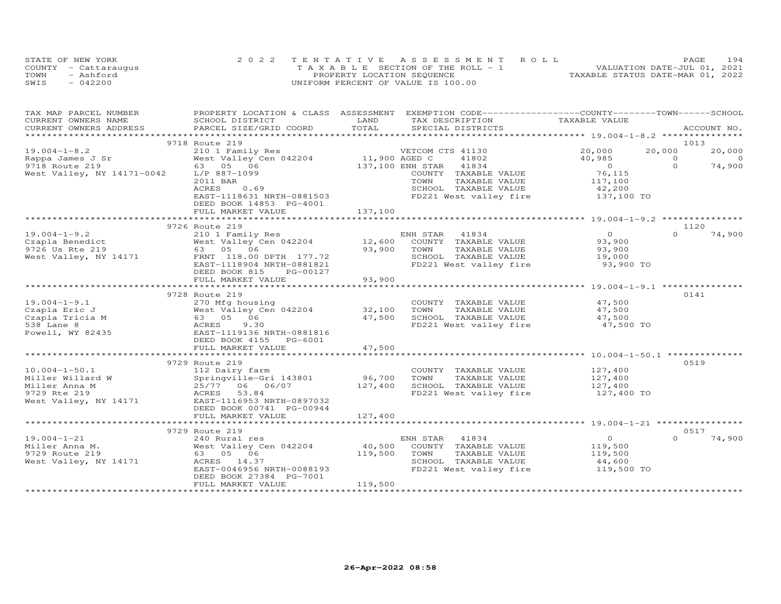| STATE OF NEW YORK |                      | 2022 TENTATIVE ASSESSMENT ROLL     |  |                                  | PAGE. | 194 |  |
|-------------------|----------------------|------------------------------------|--|----------------------------------|-------|-----|--|
|                   | COUNTY - Cattaraugus | TAXABLE SECTION OF THE ROLL - 1    |  | VALUATION DATE-JUL 01, 2021      |       |     |  |
| TOWN              | - Ashford            | PROPERTY LOCATION SEQUENCE         |  | TAXABLE STATUS DATE-MAR 01, 2022 |       |     |  |
| SWIS              | $-042200$            | UNIFORM PERCENT OF VALUE IS 100.00 |  |                                  |       |     |  |

| TAX MAP PARCEL NUMBER      |                                    |               | PROPERTY LOCATION & CLASS ASSESSMENT EXEMPTION CODE----------------COUNTY-------TOWN------SCHOOL |                      |                |                          |
|----------------------------|------------------------------------|---------------|--------------------------------------------------------------------------------------------------|----------------------|----------------|--------------------------|
| CURRENT OWNERS NAME        | SCHOOL DISTRICT                    | LAND          | TAX DESCRIPTION                                                                                  | TAXABLE VALUE        |                |                          |
| CURRENT OWNERS ADDRESS     | PARCEL SIZE/GRID COORD             | TOTAL         | SPECIAL DISTRICTS                                                                                |                      |                | ACCOUNT NO.              |
|                            |                                    |               |                                                                                                  |                      |                |                          |
|                            | 9718 Route 219                     |               |                                                                                                  | 20,000               | 1013<br>20,000 |                          |
| $19.004 - 1 - 8.2$         | 210 1 Family Res                   | 11,900 AGED C | VETCOM CTS 41130                                                                                 |                      | $\Omega$       | 20,000<br>$\overline{0}$ |
| Rappa James J Sr           | West Valley Cen 042204<br>63 05 06 |               | 41802<br>41834                                                                                   | 40,985<br>$\bigcirc$ | $\Omega$       | 74,900                   |
| 9718 Route 219             |                                    |               | 137,100 ENH STAR                                                                                 | 76,115               |                |                          |
| West Valley, NY 14171-0042 | L/P 887-1099<br>2011 BAR           |               | COUNTY TAXABLE VALUE<br>TOWN<br>TAXABLE VALUE                                                    |                      |                |                          |
|                            | ACRES<br>0.69                      |               | SCHOOL TAXABLE VALUE                                                                             | 117,100<br>42,200    |                |                          |
|                            | EAST-1118631 NRTH-0881503          |               | FD221 West valley fire 137,100 TO                                                                |                      |                |                          |
|                            | DEED BOOK 14853 PG-4001            |               |                                                                                                  |                      |                |                          |
|                            | FULL MARKET VALUE                  | 137,100       |                                                                                                  |                      |                |                          |
|                            |                                    |               |                                                                                                  |                      |                |                          |
|                            | 9726 Route 219                     |               |                                                                                                  |                      | 1120           |                          |
| $19.004 - 1 - 9.2$         | 210 1 Family Res                   |               | ENH STAR<br>41834                                                                                | $\overline{O}$       | $\Omega$       | 74,900                   |
| Czapla Benedict            | West Valley Cen 042204             | 12,600        | COUNTY TAXABLE VALUE                                                                             | 93,900               |                |                          |
| 9726 Us Rte 219            | 63 05 06                           | 93,900        | TAXABLE VALUE<br>TOWN                                                                            | 93,900               |                |                          |
| West Valley, NY 14171      | FRNT 118.00 DPTH 177.72            |               | SCHOOL TAXABLE VALUE                                                                             | 19,000               |                |                          |
|                            | EAST-1118904 NRTH-0881821          |               | FD221 West valley fire                                                                           | 93,900 TO            |                |                          |
|                            | DEED BOOK 815<br>PG-00127          |               |                                                                                                  |                      |                |                          |
|                            | FULL MARKET VALUE                  | 93,900        |                                                                                                  |                      |                |                          |
|                            |                                    |               |                                                                                                  |                      |                |                          |
|                            | 9728 Route 219                     |               |                                                                                                  |                      | 0141           |                          |
| $19.004 - 1 - 9.1$         | 270 Mfg housing                    |               | COUNTY TAXABLE VALUE                                                                             | 47,500               |                |                          |
| Czapla Eric J              | West Valley Cen 042204             | 32,100        | TAXABLE VALUE<br>TOWN                                                                            | 47,500               |                |                          |
| Czapla Tricia M            | 63 05 06                           | 47,500        | SCHOOL TAXABLE VALUE                                                                             | 47,500               |                |                          |
| 538 Lane 8                 | ACRES<br>9.30                      |               | FD221 West valley fire                                                                           | 47,500 TO            |                |                          |
| Powell, WY 82435           | EAST-1119136 NRTH-0881816          |               |                                                                                                  |                      |                |                          |
|                            | DEED BOOK 4155 PG-6001             |               |                                                                                                  |                      |                |                          |
|                            | FULL MARKET VALUE                  | 47,500        |                                                                                                  |                      |                |                          |
|                            |                                    |               |                                                                                                  |                      |                |                          |
|                            | 9729 Route 219                     |               |                                                                                                  |                      | 0519           |                          |
| $10.004 - 1 - 50.1$        | 112 Dairy farm                     |               | COUNTY TAXABLE VALUE                                                                             | 127,400<br>127,400   |                |                          |
| Miller Willard W           | Springville-Gri 143801             | 96,700        | TOWN<br>TAXABLE VALUE                                                                            |                      |                |                          |
| Miller Anna M              | 25/77 06 06/07                     | 127,400       | SCHOOL TAXABLE VALUE                                                                             | 127,400              |                |                          |
| 9729 Rte 219               | ACRES<br>53.84                     |               | FD221 West valley fire                                                                           | 127,400 TO           |                |                          |
| West Valley, NY 14171      | EAST-1116953 NRTH-0897032          |               |                                                                                                  |                      |                |                          |
|                            | DEED BOOK 00741 PG-00944           |               |                                                                                                  |                      |                |                          |
|                            | FULL MARKET VALUE                  | 127,400       |                                                                                                  |                      |                |                          |
|                            |                                    |               |                                                                                                  |                      |                |                          |
|                            | 9729 Route 219                     |               |                                                                                                  |                      | 0.517          |                          |
| $19.004 - 1 - 21$          | 240 Rural res                      |               | ENH STAR<br>41834                                                                                | $\overline{O}$       | $\Omega$       | 74,900                   |
| Miller Anna M.             | West Valley Cen 042204             | 40,500        | COUNTY TAXABLE VALUE                                                                             | 119,500              |                |                          |
| 9729 Route 219             | 63 05 06                           | 119,500       | TOWN<br>TAXABLE VALUE                                                                            | 119,500              |                |                          |
| West Valley, NY 14171      | ACRES 14.37                        |               | SCHOOL TAXABLE VALUE                                                                             | 44,600               |                |                          |
|                            | EAST-0046956 NRTH-0088193          |               | FD221 West valley fire                                                                           | 119,500 TO           |                |                          |
|                            | DEED BOOK 27384 PG-7001            |               |                                                                                                  |                      |                |                          |
|                            | FULL MARKET VALUE                  | 119,500       |                                                                                                  |                      |                |                          |
|                            |                                    |               |                                                                                                  |                      |                |                          |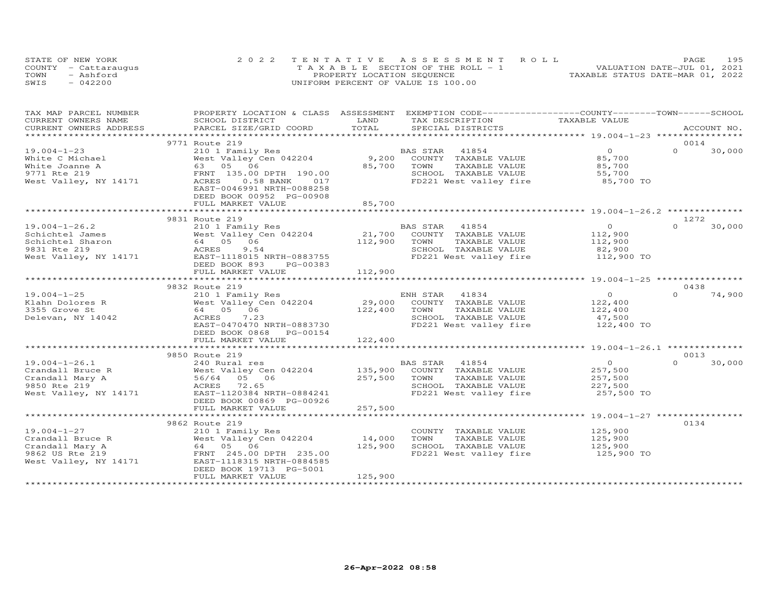| STATE OF NEW YORK    | 2022 TENTATIVE ASSESSMENT ROLL        | PAGE                             | 195 |
|----------------------|---------------------------------------|----------------------------------|-----|
| COUNTY - Cattaraugus | T A X A B L E SECTION OF THE ROLL - 1 | VALUATION DATE-JUL 01, 2021      |     |
| TOWN<br>- Ashford    | PROPERTY LOCATION SEQUENCE            | TAXABLE STATUS DATE-MAR 01, 2022 |     |
| SWIS<br>$-042200$    | UNIFORM PERCENT OF VALUE IS 100.00    |                                  |     |

| TAX MAP PARCEL NUMBER  | PROPERTY LOCATION & CLASS ASSESSMENT |                | EXEMPTION CODE-----------------COUNTY-------TOWN------SCHOOL |                |          |             |
|------------------------|--------------------------------------|----------------|--------------------------------------------------------------|----------------|----------|-------------|
| CURRENT OWNERS NAME    | SCHOOL DISTRICT                      | LAND           | TAX DESCRIPTION                                              | TAXABLE VALUE  |          |             |
| CURRENT OWNERS ADDRESS | PARCEL SIZE/GRID COORD               | TOTAL          | SPECIAL DISTRICTS                                            |                |          | ACCOUNT NO. |
|                        |                                      |                |                                                              |                |          |             |
|                        | 9771 Route 219                       |                |                                                              |                | 0014     |             |
| $19.004 - 1 - 23$      | 210 1 Family Res                     |                | 41854<br>BAS STAR                                            | $\overline{O}$ | $\Omega$ | 30,000      |
| White C Michael        | West Valley Cen 042204               | 9,200          | COUNTY TAXABLE VALUE                                         | 85,700         |          |             |
| White Joanne A         | 63 05 06                             | 85,700         | TOWN<br>TAXABLE VALUE                                        | 85,700         |          |             |
| 9771 Rte 219           | FRNT 135.00 DPTH 190.00              |                | SCHOOL TAXABLE VALUE                                         | 55,700         |          |             |
| West Valley, NY 14171  | ACRES<br>$0.58$ BANK<br>017          |                | FD221 West valley fire 85,700 TO                             |                |          |             |
|                        | EAST-0046991 NRTH-0088258            |                |                                                              |                |          |             |
|                        | DEED BOOK 00952 PG-00908             |                |                                                              |                |          |             |
|                        | FULL MARKET VALUE                    | 85,700         |                                                              |                |          |             |
|                        |                                      |                |                                                              |                |          |             |
|                        | 9831 Route 219                       |                |                                                              |                | 1272     |             |
| $19.004 - 1 - 26.2$    | 210 1 Family Res                     |                | BAS STAR 41854                                               | $\Omega$       | $\Omega$ | 30,000      |
| Schichtel James        | West Valley Cen 042204               | 21,700         | COUNTY TAXABLE VALUE                                         | 112,900        |          |             |
| Schichtel Sharon       | 64  05  06<br>ACRES  9.54            | 112,900        | TOWN<br>TAXABLE VALUE                                        | 112,900        |          |             |
| 9831 Rte 219           | 9.54                                 |                | SCHOOL TAXABLE VALUE                                         | 82,900         |          |             |
| West Valley, NY 14171  | EAST-1118015 NRTH-0883755            |                | FD221 West valley fire 112,900 TO                            |                |          |             |
|                        | DEED BOOK 893<br>PG-00383            |                |                                                              |                |          |             |
|                        | FULL MARKET VALUE                    | 112,900        |                                                              |                |          |             |
|                        |                                      |                |                                                              |                |          |             |
|                        | 9832 Route 219                       |                |                                                              |                | 0438     |             |
| $19.004 - 1 - 25$      | 210 1 Family Res                     |                | ENH STAR 41834                                               | $\overline{0}$ | $\Omega$ | 74,900      |
| Klahn Dolores R        | West Valley Cen 042204               | 29,000         | COUNTY TAXABLE VALUE                                         | 122,400        |          |             |
| 3355 Grove St          | 64 05 06                             | 122,400        | TOWN<br>TAXABLE VALUE                                        | 122,400        |          |             |
| Delevan, NY 14042      | ACRES<br>7.23                        |                | SCHOOL TAXABLE VALUE                                         | 47,500         |          |             |
|                        | EAST-0470470 NRTH-0883730            |                | FD221 West valley fire                                       | 122,400 TO     |          |             |
|                        | DEED BOOK 0868 PG-00154              |                |                                                              |                |          |             |
|                        | FULL MARKET VALUE                    | 122,400        |                                                              |                |          |             |
|                        | *****************************        | ************** |                                                              |                |          |             |
|                        | 9850 Route 219                       |                |                                                              |                | 0013     |             |
| $19.004 - 1 - 26.1$    | 240 Rural res                        |                | BAS STAR<br>41854                                            | $\overline{0}$ | $\Omega$ | 30,000      |
| Crandall Bruce R       | West Valley Cen 042204 135,900       |                | COUNTY TAXABLE VALUE                                         | 257,500        |          |             |
| Crandall Mary A        | 56/64 05 06                          | 257,500        | TOWN<br>TAXABLE VALUE                                        | 257,500        |          |             |
| 9850 Rte 219           | ACRES 72.65                          |                | SCHOOL TAXABLE VALUE                                         | 227,500        |          |             |
| West Valley, NY 14171  | EAST-1120384 NRTH-0884241            |                | FD221 West valley fire                                       | 257,500 TO     |          |             |
|                        | DEED BOOK 00869 PG-00926             |                |                                                              |                |          |             |
|                        | FULL MARKET VALUE                    | 257,500        |                                                              |                |          |             |
|                        |                                      |                |                                                              |                |          |             |
|                        | 9862 Route 219                       |                |                                                              |                | 0134     |             |
| $19.004 - 1 - 27$      | 210 1 Family Res                     |                | COUNTY TAXABLE VALUE                                         | 125,900        |          |             |
| Crandall Bruce R       |                                      | 14,000         | TOWN<br>TAXABLE VALUE                                        | 125,900        |          |             |
| Crandall Mary A        |                                      | 125,900        | SCHOOL TAXABLE VALUE                                         | 125,900        |          |             |
| 9862 US Rte 219        |                                      |                | FD221 West valley fire 125,900 TO                            |                |          |             |
| West Valley, NY 14171  | EAST-1118315 NRTH-0884585            |                |                                                              |                |          |             |
|                        | DEED BOOK 19713 PG-5001              |                |                                                              |                |          |             |
|                        | FULL MARKET VALUE                    | 125,900        |                                                              |                |          |             |
|                        |                                      |                |                                                              |                |          |             |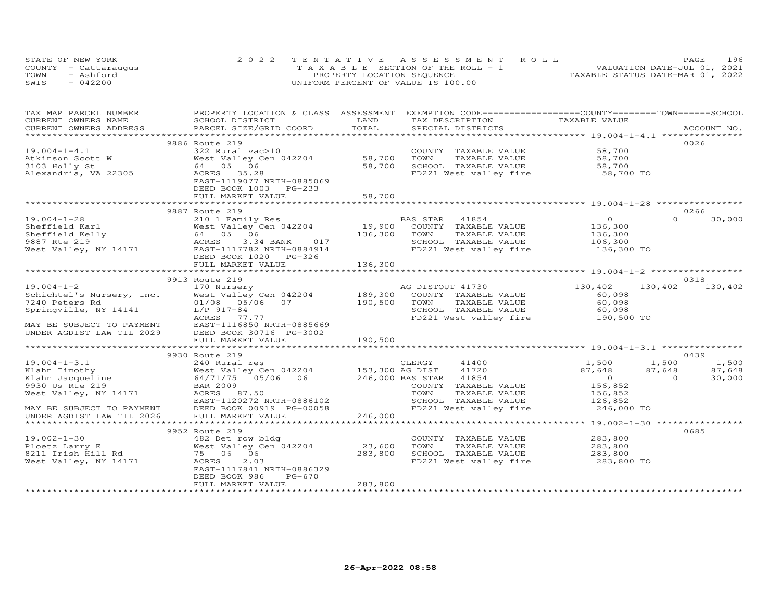|      | STATE OF NEW YORK    | 2022 TENTATIVE ASSESSMENT ROLL     | 196<br><b>PAGE</b>               |
|------|----------------------|------------------------------------|----------------------------------|
|      | COUNTY - Cattarauqus | TAXABLE SECTION OF THE ROLL - 1    | VALUATION DATE-JUL 01, 2021      |
| TOWN | - Ashford            | PROPERTY LOCATION SEQUENCE         | TAXABLE STATUS DATE-MAR 01, 2022 |
| SWIS | $-042200$            | UNIFORM PERCENT OF VALUE IS 100.00 |                                  |

| TAX MAP PARCEL NUMBER                           | PROPERTY LOCATION & CLASS ASSESSMENT                                                                                |         | EXEMPTION CODE------------------COUNTY-------TOWN-----SCHOOL |                                           |                          |
|-------------------------------------------------|---------------------------------------------------------------------------------------------------------------------|---------|--------------------------------------------------------------|-------------------------------------------|--------------------------|
| CURRENT OWNERS NAME                             | SCHOOL DISTRICT                                                                                                     | LAND    | TAX DESCRIPTION                                              | TAXABLE VALUE                             |                          |
| CURRENT OWNERS ADDRESS                          | PARCEL SIZE/GRID COORD                                                                                              | TOTAL   | SPECIAL DISTRICTS                                            |                                           | ACCOUNT NO.              |
|                                                 |                                                                                                                     |         |                                                              |                                           |                          |
|                                                 | 9886 Route 219                                                                                                      |         |                                                              |                                           | 0026                     |
| $19.004 - 1 - 4.1$                              | 322 Rural vac>10                                                                                                    |         | COUNTY TAXABLE VALUE                                         | 58,700                                    |                          |
| Atkinson Scott W                                | West Valley Cen 042204                                                                                              | 58,700  | TAXABLE VALUE<br>TOWN                                        | 58,700                                    |                          |
| 3103 Holly St                                   | 64 05 06                                                                                                            | 58,700  | SCHOOL TAXABLE VALUE                                         | 58,700                                    |                          |
| Alexandria, VA 22305                            | ACRES 35.28                                                                                                         |         | FD221 West valley fire 58,700 TO                             |                                           |                          |
|                                                 | EAST-1119077 NRTH-0885069                                                                                           |         |                                                              |                                           |                          |
|                                                 | DEED BOOK 1003 PG-233                                                                                               |         |                                                              |                                           |                          |
|                                                 | FULL MARKET VALUE                                                                                                   | 58,700  |                                                              |                                           |                          |
|                                                 |                                                                                                                     |         |                                                              |                                           |                          |
|                                                 | 9887 Route 219                                                                                                      |         |                                                              |                                           | 0266                     |
| $19.004 - 1 - 28$                               | 210 1 Family Res                                                                                                    |         | BAS STAR<br>41854                                            | $\overline{0}$                            | $\Omega$<br>30,000       |
| Sheffield Karl<br>Sheffield Kelly               | West Valley Cen 042204                                                                                              |         | 19,900 COUNTY TAXABLE VALUE                                  | 136,300                                   |                          |
|                                                 | 64 05 06                                                                                                            | 136,300 | TOWN<br>TAXABLE VALUE                                        | 136,300<br>106,300                        |                          |
| 9887 Rte 219                                    | ACRES<br>3.34 BANK<br>017                                                                                           |         | SCHOOL TAXABLE VALUE                                         |                                           |                          |
| West Valley, NY 14171                           | EAST-1117782 NRTH-0884914                                                                                           |         | FD221 West valley fire 136,300 TO                            |                                           |                          |
|                                                 | DEED BOOK 1020 PG-326                                                                                               |         |                                                              |                                           |                          |
|                                                 | FULL MARKET VALUE                                                                                                   | 136,300 |                                                              |                                           |                          |
|                                                 |                                                                                                                     |         |                                                              |                                           |                          |
|                                                 | 9913 Route 219                                                                                                      |         |                                                              |                                           | 0318                     |
| $19.004 - 1 - 2$                                | Route 219<br>170 Nursery<br>West Valley Cen 042204 189,300 COUNTY TAXABLE VALUE<br>21/20 190,500 TOWN TAXABLE VALUE |         |                                                              | 130,402                                   | 130,402<br>130,402       |
| Schichtel's Nursery, Inc.                       |                                                                                                                     |         |                                                              | 60,098                                    |                          |
| 7240 Peters Rd                                  |                                                                                                                     |         |                                                              | 60,098                                    |                          |
| Springville, NY 14141                           | L/P 917-84                                                                                                          |         | SCHOOL TAXABLE VALUE                                         | 60,098                                    |                          |
|                                                 | ACRES<br>77.77                                                                                                      |         | FD221 West valley fire 190,500 TO                            |                                           |                          |
| MAY BE SUBJECT TO PAYMENT                       | EAST-1116850 NRTH-0885669                                                                                           |         |                                                              |                                           |                          |
| UNDER AGDIST LAW TIL 2029                       | DEED BOOK 30716 PG-3002                                                                                             |         |                                                              |                                           |                          |
|                                                 | FULL MARKET VALUE                                                                                                   | 190,500 |                                                              |                                           |                          |
|                                                 |                                                                                                                     |         |                                                              |                                           |                          |
|                                                 | 9930 Route 219                                                                                                      |         |                                                              |                                           | 0439                     |
| $19.004 - 1 - 3.1$                              |                                                                                                                     |         | 41400                                                        | 1,500                                     | 1,500<br>1,500           |
| Klahn Timothy                                   |                                                                                                                     |         | 41720                                                        | 87,648                                    | 87,648<br>87,648         |
| Klahn Jacqueline                                |                                                                                                                     |         | 41854                                                        | $\overline{0}$                            | $\overline{0}$<br>30,000 |
| 9930 Us Rte 219                                 | <b>BAR 2009</b>                                                                                                     |         | COUNTY TAXABLE VALUE                                         | 156,852                                   |                          |
| West Valley, NY 14171                           | ACRES 87.50                                                                                                         |         | TOWN<br>TAXABLE VALUE                                        | 156,852<br>126,852                        |                          |
|                                                 | EAST-1120272 NRTH-0886102                                                                                           |         | SCHOOL TAXABLE VALUE                                         |                                           |                          |
| MAY BE SUBJECT TO PAYMENT<br>----- IAM TIL 2026 | DEED BOOK 00919 PG-00058                                                                                            |         | FD221 West valley fire 246,000 TO                            |                                           |                          |
|                                                 | FULL MARKET VALUE                                                                                                   | 246,000 |                                                              |                                           |                          |
|                                                 |                                                                                                                     |         | ************************                                     | *********** 19.002-1-30 ***************** |                          |
|                                                 | 9952 Route 219                                                                                                      |         |                                                              |                                           | 0685                     |
| $19.002 - 1 - 30$                               | 482 Det row bldg                                                                                                    |         | COUNTY TAXABLE VALUE                                         | 283,800                                   |                          |
| Ploetz Larry E                                  | West Valley Cen 042204                                                                                              | 23,600  | TOWN<br>TAXABLE VALUE                                        | 283,800                                   |                          |
| 8211 Irish Hill Rd                              | 75 06 06                                                                                                            | 283,800 | SCHOOL TAXABLE VALUE<br>FD221 West valley fire               | 283,800                                   |                          |
| West Valley, NY 14171                           | ACRES<br>2.03                                                                                                       |         |                                                              | $283,800$ TO                              |                          |
|                                                 | EAST-1117841 NRTH-0886329                                                                                           |         |                                                              |                                           |                          |
|                                                 | DEED BOOK 986<br>PG-670                                                                                             |         |                                                              |                                           |                          |
|                                                 | FULL MARKET VALUE                                                                                                   | 283,800 |                                                              |                                           |                          |
|                                                 |                                                                                                                     |         |                                                              |                                           |                          |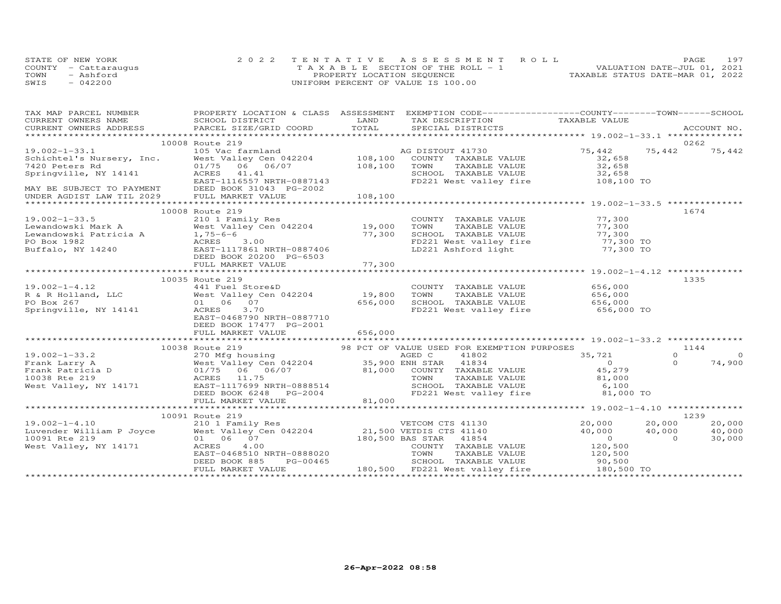|      | STATE OF NEW YORK    | 2022 TENTATIVE ASSESSMENT ROLL        | 197<br><b>PAGE</b>               |
|------|----------------------|---------------------------------------|----------------------------------|
|      | COUNTY - Cattaraugus | T A X A B L E SECTION OF THE ROLL - 1 | VALUATION DATE-JUL 01, 2021      |
| TOWN | $-$ Ashford          | PROPERTY LOCATION SEQUENCE            | TAXABLE STATUS DATE-MAR 01, 2022 |
| SWIS | $-042200$            | UNIFORM PERCENT OF VALUE IS 100.00    |                                  |

| TAX MAP PARCEL NUMBER THE PROPERTY LOCATION & CLASS ASSESSMENT EXEMPTION CODE----------------COUNTY-------TOWN------SCHOOL                                                                                                                                                                                                                                                                             |                                                                                                 |         |                                                                                                              |                |          |                                 |
|--------------------------------------------------------------------------------------------------------------------------------------------------------------------------------------------------------------------------------------------------------------------------------------------------------------------------------------------------------------------------------------------------------|-------------------------------------------------------------------------------------------------|---------|--------------------------------------------------------------------------------------------------------------|----------------|----------|---------------------------------|
|                                                                                                                                                                                                                                                                                                                                                                                                        |                                                                                                 |         |                                                                                                              |                |          |                                 |
|                                                                                                                                                                                                                                                                                                                                                                                                        |                                                                                                 |         |                                                                                                              |                |          | ACCOUNT NO.                     |
|                                                                                                                                                                                                                                                                                                                                                                                                        |                                                                                                 |         |                                                                                                              |                |          |                                 |
| $\begin{tabular}{lllllllllllllllllll} \textbf{19.002--1-33.1} & \textbf{10008 Koute219 & 105 Vac farmland & \textbf{AG DISTOUT} & 41730 & \textbf{75,442} & \textbf{75,442} & \textbf{75,442} & \textbf{75,442} & \textbf{75,442} & \textbf{75,442} & \textbf{75,442} & \textbf{75,442} & \textbf{75,442} & \textbf{75,442} & \textbf{75,442} & \textbf{75,442$                                        | 10008 Route 219                                                                                 |         |                                                                                                              |                |          | 0262                            |
|                                                                                                                                                                                                                                                                                                                                                                                                        |                                                                                                 |         |                                                                                                              |                |          |                                 |
|                                                                                                                                                                                                                                                                                                                                                                                                        |                                                                                                 |         |                                                                                                              |                |          |                                 |
|                                                                                                                                                                                                                                                                                                                                                                                                        |                                                                                                 |         |                                                                                                              |                |          |                                 |
|                                                                                                                                                                                                                                                                                                                                                                                                        |                                                                                                 |         |                                                                                                              |                |          |                                 |
|                                                                                                                                                                                                                                                                                                                                                                                                        |                                                                                                 |         |                                                                                                              |                |          |                                 |
|                                                                                                                                                                                                                                                                                                                                                                                                        |                                                                                                 |         |                                                                                                              |                |          |                                 |
|                                                                                                                                                                                                                                                                                                                                                                                                        |                                                                                                 |         |                                                                                                              |                |          |                                 |
|                                                                                                                                                                                                                                                                                                                                                                                                        |                                                                                                 |         |                                                                                                              |                |          |                                 |
|                                                                                                                                                                                                                                                                                                                                                                                                        | 10008 Route 219                                                                                 |         |                                                                                                              |                |          | 1674                            |
| 19.002-1-33.5 $\begin{array}{r} \text{10008 Noule } 210 \text{ 1 Family Res} \\ \text{Lewandowski Mark A} \\ \text{Lewandowski Particia A} \\ \text{Dewandowski Patricia A} \\ \text{P0 17, 300} \\ \text{P0 21, 175-6-6} \\ \text{P0 18, 1962} \\ \text{Diffalo, NY 14240} \\ \text{LSP1410}, \text{NY 14240} \\ \text{LSP1420} \\ \text{LSP21} \\ \text{LSP1420} \\ \text{LSP1410} \\ \text{LSP1410$ |                                                                                                 |         | COUNTY TAXABLE VALUE 77,300<br>TOWN TAXABLE VALUE 77,300                                                     |                |          |                                 |
|                                                                                                                                                                                                                                                                                                                                                                                                        |                                                                                                 |         |                                                                                                              |                |          |                                 |
|                                                                                                                                                                                                                                                                                                                                                                                                        |                                                                                                 |         |                                                                                                              |                |          |                                 |
|                                                                                                                                                                                                                                                                                                                                                                                                        |                                                                                                 |         |                                                                                                              |                |          |                                 |
|                                                                                                                                                                                                                                                                                                                                                                                                        |                                                                                                 |         | FD221 West valley fire 77,300 TO<br>LD221 Ashford light 77,300 TO                                            |                |          |                                 |
|                                                                                                                                                                                                                                                                                                                                                                                                        |                                                                                                 |         |                                                                                                              |                |          |                                 |
|                                                                                                                                                                                                                                                                                                                                                                                                        |                                                                                                 |         |                                                                                                              |                |          |                                 |
|                                                                                                                                                                                                                                                                                                                                                                                                        |                                                                                                 |         |                                                                                                              |                |          |                                 |
|                                                                                                                                                                                                                                                                                                                                                                                                        |                                                                                                 |         |                                                                                                              |                |          |                                 |
|                                                                                                                                                                                                                                                                                                                                                                                                        | 10035 Route 219                                                                                 |         |                                                                                                              |                |          | 1335                            |
|                                                                                                                                                                                                                                                                                                                                                                                                        |                                                                                                 |         | COUNTY TAXABLE VALUE 656,000<br>TOWN TAXABLE VALUE 656,000                                                   |                |          |                                 |
|                                                                                                                                                                                                                                                                                                                                                                                                        |                                                                                                 |         |                                                                                                              |                |          |                                 |
|                                                                                                                                                                                                                                                                                                                                                                                                        |                                                                                                 |         | -COMM - INNESSIGN - INDUSTRIES - 1.<br>SCHOOL TAXABLE VALUE - 656,000<br>FD221 West valley fire - 656,000 TO |                |          |                                 |
|                                                                                                                                                                                                                                                                                                                                                                                                        |                                                                                                 |         |                                                                                                              |                |          |                                 |
|                                                                                                                                                                                                                                                                                                                                                                                                        | EAST-0468790 NRTH-0887710                                                                       |         |                                                                                                              |                |          |                                 |
|                                                                                                                                                                                                                                                                                                                                                                                                        | DEED BOOK 17477 PG-2001                                                                         |         |                                                                                                              |                |          |                                 |
|                                                                                                                                                                                                                                                                                                                                                                                                        | FULL MARKET VALUE                                                                               | 656,000 |                                                                                                              |                |          |                                 |
|                                                                                                                                                                                                                                                                                                                                                                                                        |                                                                                                 |         |                                                                                                              |                |          |                                 |
|                                                                                                                                                                                                                                                                                                                                                                                                        |                                                                                                 |         |                                                                                                              |                |          | 1144                            |
|                                                                                                                                                                                                                                                                                                                                                                                                        |                                                                                                 |         |                                                                                                              |                | $\Omega$ | $\overline{O}$                  |
|                                                                                                                                                                                                                                                                                                                                                                                                        |                                                                                                 |         |                                                                                                              |                | $\Omega$ | 74,900                          |
|                                                                                                                                                                                                                                                                                                                                                                                                        |                                                                                                 |         |                                                                                                              |                |          |                                 |
|                                                                                                                                                                                                                                                                                                                                                                                                        |                                                                                                 |         |                                                                                                              |                |          |                                 |
|                                                                                                                                                                                                                                                                                                                                                                                                        |                                                                                                 |         |                                                                                                              |                |          |                                 |
|                                                                                                                                                                                                                                                                                                                                                                                                        |                                                                                                 |         |                                                                                                              | 81,000 TO      |          |                                 |
|                                                                                                                                                                                                                                                                                                                                                                                                        | FULL MARKET VALUE                                                                               | 81,000  |                                                                                                              |                |          |                                 |
|                                                                                                                                                                                                                                                                                                                                                                                                        |                                                                                                 |         |                                                                                                              |                |          |                                 |
|                                                                                                                                                                                                                                                                                                                                                                                                        | 10091 Route 219                                                                                 |         |                                                                                                              |                |          | 1239                            |
|                                                                                                                                                                                                                                                                                                                                                                                                        |                                                                                                 |         |                                                                                                              | 20,000         | 20,000   | 20,000                          |
|                                                                                                                                                                                                                                                                                                                                                                                                        |                                                                                                 |         |                                                                                                              | 40,000         |          |                                 |
|                                                                                                                                                                                                                                                                                                                                                                                                        |                                                                                                 |         |                                                                                                              |                |          | $40,000$ $40,000$<br>0 $30,000$ |
|                                                                                                                                                                                                                                                                                                                                                                                                        |                                                                                                 |         |                                                                                                              | $\overline{0}$ |          |                                 |
| 19.002-1-4.10<br>Luvender William P Joyce Mest Valley Cen 042204 21,500 VETDIS CTS 41130<br>10091 Rte 219 01 06 07 180,500 BAS STAR 41854<br>West Valley, NY 14171 ACRES 4.00 2003333 CONTY TAXABLE VALUE                                                                                                                                                                                              | EAST-0468510 NRTH-0888020<br>DEED BOOK 885<br>FIILL MARKET VALUE PG-00465<br>FIILL MARKET VALUE |         |                                                                                                              | 120,500        |          |                                 |
|                                                                                                                                                                                                                                                                                                                                                                                                        |                                                                                                 |         | TOWN TAXABLE VALUE 120,500<br>SCHOOL TAXABLE VALUE 90,500                                                    |                |          |                                 |
|                                                                                                                                                                                                                                                                                                                                                                                                        |                                                                                                 |         |                                                                                                              |                |          |                                 |
|                                                                                                                                                                                                                                                                                                                                                                                                        | FULL MARKET VALUE                                                                               |         | 180,500 FD221 West valley fire 180,500 TO                                                                    |                |          |                                 |
|                                                                                                                                                                                                                                                                                                                                                                                                        |                                                                                                 |         |                                                                                                              |                |          |                                 |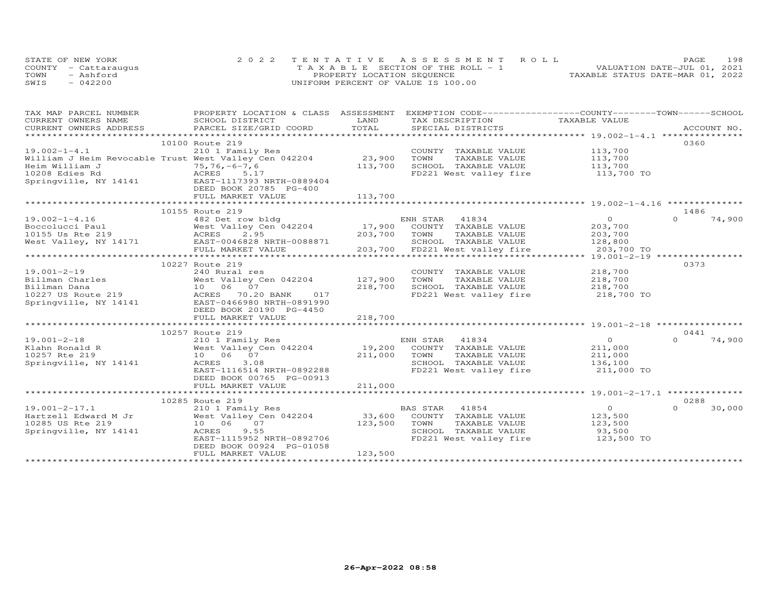| STATE OF NEW YORK    | 2022 TENTATIVE ASSESSMENT ROLL        | PAGE.                            | 198 |
|----------------------|---------------------------------------|----------------------------------|-----|
| COUNTY - Cattaraugus | T A X A B L E SECTION OF THE ROLL - 1 | VALUATION DATE-JUL 01, 2021      |     |
| TOWN<br>- Ashford    | PROPERTY LOCATION SEQUENCE            | TAXABLE STATUS DATE-MAR 01, 2022 |     |
| SWIS<br>$-042200$    | UNIFORM PERCENT OF VALUE IS 100.00    |                                  |     |

| TAX MAP PARCEL NUMBER                 | PROPERTY LOCATION & CLASS ASSESSMENT EXEMPTION CODE----------------COUNTY-------TOWN------SCHOOL  |              |                                   |                    |                    |
|---------------------------------------|---------------------------------------------------------------------------------------------------|--------------|-----------------------------------|--------------------|--------------------|
| CURRENT OWNERS NAME                   | SCHOOL DISTRICT                                                                                   | LAND         | TAX DESCRIPTION                   | TAXABLE VALUE      |                    |
| CURRENT OWNERS ADDRESS                | PARCEL SIZE/GRID COORD                                                                            | TOTAL        | SPECIAL DISTRICTS                 |                    | ACCOUNT NO.        |
| ************************************* |                                                                                                   |              |                                   |                    |                    |
|                                       | 10100 Route 219                                                                                   |              |                                   |                    | 0360               |
| $19.002 - 1 - 4.1$                    | 210 1 Family Res                                                                                  |              | COUNTY TAXABLE VALUE              | 113,700            |                    |
|                                       | William J Heim Revocable Trust West Valley Cen 042204                                             | 23,900       | TAXABLE VALUE<br>TOWN             | 113,700            |                    |
| Heim William J                        | $75, 76, -6 - 7, 6$                                                                               | 113,700      | SCHOOL TAXABLE VALUE              | 113,700            |                    |
| 10208 Edies Rd                        | ACRES<br>5.17                                                                                     |              | FD221 West valley fire            | 113,700 TO         |                    |
| Springville, NY 14141                 | EAST-1117393 NRTH-0889404                                                                         |              |                                   |                    |                    |
|                                       | DEED BOOK 20785 PG-400                                                                            |              |                                   |                    |                    |
|                                       | FULL MARKET VALUE                                                                                 | 113,700      |                                   |                    |                    |
|                                       |                                                                                                   |              |                                   |                    |                    |
|                                       | 10155 Route 219                                                                                   |              |                                   |                    | 1486               |
| $19.002 - 1 - 4.16$                   | 482 Det row bldg                                                                                  |              | ENH STAR 41834                    | $\overline{0}$     | $\Omega$<br>74,900 |
|                                       |                                                                                                   |              | 17,900 COUNTY TAXABLE VALUE       | 203,700            |                    |
|                                       |                                                                                                   | 203,700 TOWN | TAXABLE VALUE                     | 203,700            |                    |
|                                       | West Valley, NY 14171 EAST-0046828 NRTH-0088871                                                   |              | SCHOOL TAXABLE VALUE              | 128,800            |                    |
|                                       | FULL MARKET VALUE                                                                                 | 203,700      | FD221 West valley fire            | 203,700 TO         |                    |
|                                       | *****************************                                                                     |              |                                   |                    |                    |
|                                       | 10227 Route 219                                                                                   |              |                                   |                    | 0373               |
| $19.001 - 2 - 19$                     | 240 Rural res                                                                                     |              | COUNTY TAXABLE VALUE              | 218,700            |                    |
| Billman Charles                       | West Valley Cen 042204                                                                            | 127,900      | TOWN<br>TAXABLE VALUE             | 218,700            |                    |
| Billman Dana                          | West vall.<br>10 06 07<br>30.2                                                                    | 218,700      | SCHOOL TAXABLE VALUE              | 218,700            |                    |
|                                       |                                                                                                   |              | FD221 West valley fire 218,700 TO |                    |                    |
|                                       | 10227 US Route 219<br>10227 US Route 219<br>10227 US Route 219<br>14141 EAST-0466980 NRTH-0891990 |              |                                   |                    |                    |
|                                       | DEED BOOK 20190 PG-4450                                                                           |              |                                   |                    |                    |
|                                       | FULL MARKET VALUE                                                                                 | 218,700      |                                   |                    |                    |
|                                       |                                                                                                   |              |                                   |                    |                    |
|                                       | 10257 Route 219                                                                                   |              |                                   |                    | 0441               |
| $19.001 - 2 - 18$                     | 210 1 Family Res                                                                                  |              | ENH STAR 41834                    | $\overline{O}$     | $\Omega$<br>74,900 |
| Klahn Ronald R                        | West Valley Cen 042204                                                                            | 19,200       | COUNTY TAXABLE VALUE              | 211,000            |                    |
| 10257 Rte 219                         | 10 06 07                                                                                          | 211,000      | TOWN<br>TAXABLE VALUE             |                    |                    |
| Springville, NY 14141                 | ACRES<br>3.08                                                                                     |              | SCHOOL TAXABLE VALUE              | 211,000<br>136,100 |                    |
|                                       | EAST-1116514 NRTH-0892288                                                                         |              | FD221 West valley fire            | 211,000 TO         |                    |
|                                       | DEED BOOK 00765 PG-00913                                                                          |              |                                   |                    |                    |
|                                       | FULL MARKET VALUE                                                                                 | 211,000      |                                   |                    |                    |
|                                       |                                                                                                   |              |                                   |                    |                    |
|                                       | 10285 Route 219                                                                                   |              |                                   |                    | 0288               |
| $19.001 - 2 - 17.1$                   | 210 1 Family Res                                                                                  |              | <b>BAS STAR</b><br>41854          | $\overline{O}$     | $\Omega$<br>30,000 |
| Hartzell Edward M Jr                  | West Valley Cen 042204                                                                            | 33,600       | COUNTY TAXABLE VALUE              | 123,500            |                    |
| 10285 US Rte 219                      | 10 06 07                                                                                          | 123,500      | TOWN<br>TAXABLE VALUE             | 123,500            |                    |
| Springville, NY 14141                 | ACRES<br>9.55                                                                                     |              | SCHOOL TAXABLE VALUE              | 93,500             |                    |
|                                       | EAST-1115952 NRTH-0892706                                                                         |              | FD221 West valley fire            | 123,500 TO         |                    |
|                                       | DEED BOOK 00924 PG-01058                                                                          |              |                                   |                    |                    |
|                                       | FULL MARKET VALUE                                                                                 | 123,500      |                                   |                    |                    |
|                                       |                                                                                                   |              |                                   |                    |                    |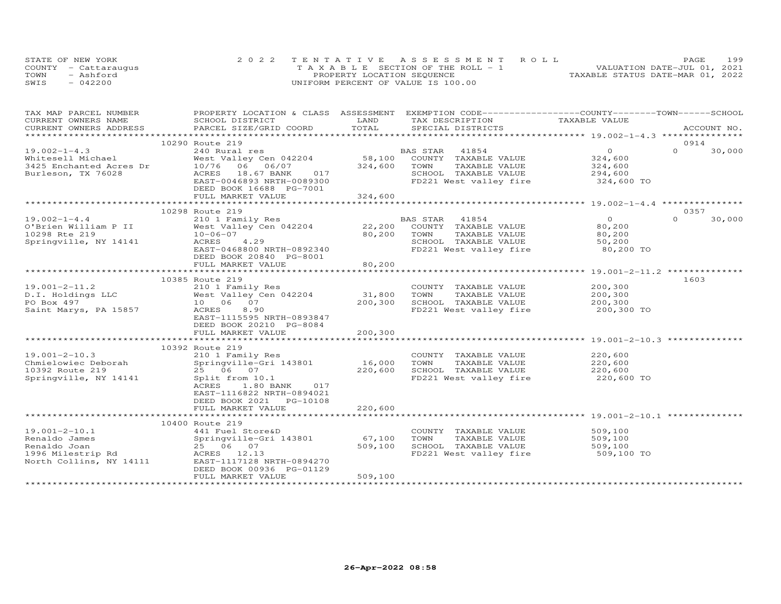|      | STATE OF NEW YORK    | 2022 TENTATIVE ASSESSMENT ROLL        | PAGE                             | 199 |
|------|----------------------|---------------------------------------|----------------------------------|-----|
|      | COUNTY - Cattaraugus | T A X A B L E SECTION OF THE ROLL - 1 | VALUATION DATE-JUL 01, 2021      |     |
| TOWN | $-$ Ashford          | PROPERTY LOCATION SEQUENCE            | TAXABLE STATUS DATE-MAR 01, 2022 |     |
| SWIS | $-042200$            | UNIFORM PERCENT OF VALUE IS 100.00    |                                  |     |

| TAX MAP PARCEL NUMBER                                       | PROPERTY LOCATION & CLASS ASSESSMENT EXEMPTION CODE-----------------COUNTY-------TOWN------SCHOOL |         |                                   |                       |                    |
|-------------------------------------------------------------|---------------------------------------------------------------------------------------------------|---------|-----------------------------------|-----------------------|--------------------|
| CURRENT OWNERS NAME                                         | SCHOOL DISTRICT                                                                                   | LAND    | TAX DESCRIPTION                   | TAXABLE VALUE         |                    |
| CURRENT OWNERS ADDRESS                                      | PARCEL SIZE/GRID COORD                                                                            | TOTAL   | SPECIAL DISTRICTS                 |                       | ACCOUNT NO.        |
|                                                             |                                                                                                   |         |                                   |                       |                    |
|                                                             | 10290 Route 219                                                                                   |         |                                   |                       | 0914               |
| $19.002 - 1 - 4.3$                                          | 240 Rural res                                                                                     |         | BAS STAR 41854                    | $\overline{O}$        | $\Omega$<br>30,000 |
| Whitesell Michael                                           | West Valley Cen 042204                                                                            | 58,100  | COUNTY TAXABLE VALUE              | 324,600               |                    |
| 3425 Enchanted Acres Dr                                     | 10/76 06 06/07                                                                                    | 324,600 | TOWN<br>TAXABLE VALUE             |                       |                    |
| Burleson, TX 76028                                          | ACRES 18.67 BANK 017                                                                              |         | SCHOOL TAXABLE VALUE              | 324,600<br>294,600    |                    |
|                                                             | EAST-0046893 NRTH-0089300                                                                         |         | FD221 West valley fire 324,600 TO |                       |                    |
|                                                             | DEED BOOK 16688 PG-7001                                                                           |         |                                   |                       |                    |
|                                                             | FULL MARKET VALUE                                                                                 | 324,600 |                                   |                       |                    |
|                                                             |                                                                                                   |         |                                   |                       |                    |
|                                                             | 10298 Route 219                                                                                   |         |                                   |                       | 0357               |
| $19.002 - 1 - 4.4$                                          | 210 1 Family Res                                                                                  |         | BAS STAR 41854                    | $\Omega$              | $\Omega$<br>30,000 |
| O'Brien William P II                                        | West Valley Cen 042204                                                                            | 22,200  | COUNTY TAXABLE VALUE              | 80,200                |                    |
| 10298 Rte 219                                               | $10 - 06 - 07$                                                                                    | 80,200  | TOWN<br>TAXABLE VALUE             | 80,200                |                    |
|                                                             | ACRES 4.29                                                                                        |         |                                   |                       |                    |
| Springville, NY 14141                                       |                                                                                                   |         | SCHOOL TAXABLE VALUE              | 50,200                |                    |
|                                                             | EAST-0468800 NRTH-0892340                                                                         |         | FD221 West valley fire            | 80,200 TO             |                    |
|                                                             | DEED BOOK 20840 PG-8001                                                                           |         |                                   |                       |                    |
|                                                             | FULL MARKET VALUE                                                                                 | 80,200  |                                   |                       |                    |
|                                                             |                                                                                                   |         |                                   |                       |                    |
|                                                             | 10385 Route 219                                                                                   |         |                                   |                       | 1603               |
| $19.001 - 2 - 11.2$                                         | 210 1 Family Res                                                                                  |         | COUNTY TAXABLE VALUE              | $200, 300$<br>200.300 |                    |
| D.I. Holdings LLC                                           | West Valley Cen 042204                                                                            | 31,800  | TOWN<br>TAXABLE VALUE             | 200,300               |                    |
| PO Box 497                                                  | 10 06 07<br>ACRES 8.90                                                                            | 200,300 | SCHOOL TAXABLE VALUE              | 200,300               |                    |
| Saint Marys, PA 15857                                       | ACRES<br>8.90                                                                                     |         | FD221 West valley fire            | 200,300 TO            |                    |
|                                                             | EAST-1115595 NRTH-0893847                                                                         |         |                                   |                       |                    |
|                                                             | DEED BOOK 20210 PG-8084                                                                           |         |                                   |                       |                    |
|                                                             | FULL MARKET VALUE                                                                                 | 200,300 |                                   |                       |                    |
|                                                             |                                                                                                   |         |                                   |                       |                    |
|                                                             | 10392 Route 219                                                                                   |         |                                   |                       |                    |
| $19.001 - 2 - 10.3$                                         | 210 1 Family Res                                                                                  |         | COUNTY TAXABLE VALUE              | 220,600               |                    |
| Chmielowiec Deborah                                         | Springville-Gri 143801                                                                            | 16,000  | TOWN<br>TAXABLE VALUE             |                       |                    |
| 10392 Route 219                                             | 25 06 07                                                                                          | 220,600 | SCHOOL TAXABLE VALUE              | 220,600<br>220,600    |                    |
| Springville, NY 14141                                       | Split from 10.1                                                                                   |         | FD221 West valley fire 220,600 TO |                       |                    |
|                                                             | ACRES 1.80 BANK 017                                                                               |         |                                   |                       |                    |
|                                                             | EAST-1116822 NRTH-0894021                                                                         |         |                                   |                       |                    |
|                                                             | DEED BOOK 2021 PG-10108                                                                           |         |                                   |                       |                    |
|                                                             | FULL MARKET VALUE                                                                                 | 220,600 |                                   |                       |                    |
|                                                             |                                                                                                   |         |                                   |                       |                    |
|                                                             | 10400 Route 219                                                                                   |         |                                   |                       |                    |
| $19.001 - 2 - 10.1$                                         | 441 Fuel Store&D                                                                                  |         | COUNTY TAXABLE VALUE              | 509,100               |                    |
| Renaldo James                                               | Springville-Gri 143801                                                                            | 67,100  | TOWN<br>TAXABLE VALUE             | 509,100               |                    |
| Renaldo Joan                                                | 25 06 07                                                                                          | 509,100 | SCHOOL TAXABLE VALUE              | 509,100               |                    |
|                                                             |                                                                                                   |         | FD221 West valley fire 509,100 TO |                       |                    |
| 1996 Milestrip Rd<br>North Collins, NY 14111 EAST-1117128 N | EAST-1117128 NRTH-0894270                                                                         |         |                                   |                       |                    |
|                                                             | DEED BOOK 00936 PG-01129                                                                          |         |                                   |                       |                    |
|                                                             | FULL MARKET VALUE                                                                                 | 509,100 |                                   |                       |                    |
|                                                             |                                                                                                   |         |                                   |                       |                    |
|                                                             |                                                                                                   |         |                                   |                       |                    |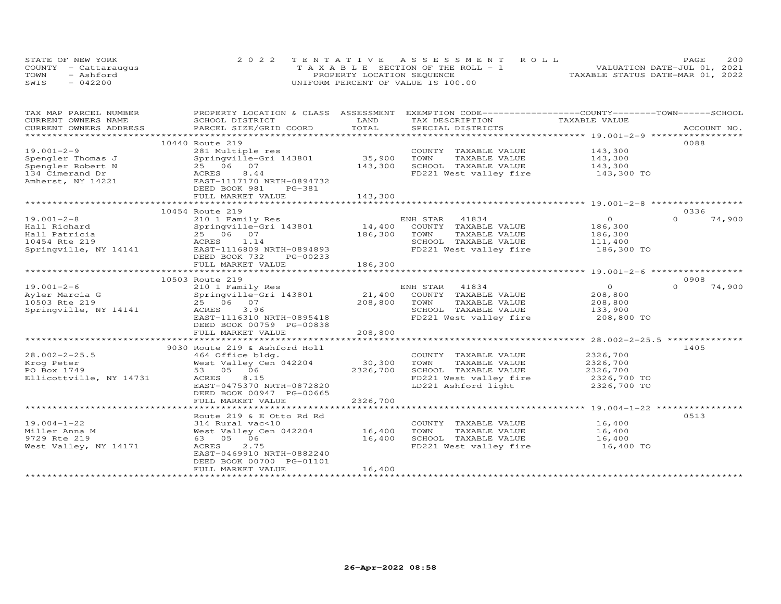| STATE OF NEW YORK    | 2022 TENTATIVE ASSESSMENT ROLL        | 200<br>PAGE.                     |
|----------------------|---------------------------------------|----------------------------------|
| COUNTY - Cattaraugus | T A X A B L E SECTION OF THE ROLL - 1 | VALUATION DATE-JUL 01, 2021      |
| TOWN<br>- Ashford    | PROPERTY LOCATION SEQUENCE            | TAXABLE STATUS DATE-MAR 01, 2022 |
| SWIS<br>$-042200$    | UNIFORM PERCENT OF VALUE IS 100.00    |                                  |

| TAX MAP PARCEL NUMBER                | PROPERTY LOCATION & CLASS ASSESSMENT            |          | EXEMPTION CODE-----------------COUNTY-------TOWN------SCHOOL |                    |                    |
|--------------------------------------|-------------------------------------------------|----------|--------------------------------------------------------------|--------------------|--------------------|
| CURRENT OWNERS NAME                  | SCHOOL DISTRICT                                 | LAND     | TAX DESCRIPTION                                              | TAXABLE VALUE      |                    |
|                                      |                                                 |          |                                                              |                    |                    |
|                                      | 10440 Route 219                                 |          |                                                              |                    | 0088               |
| $19.001 - 2 - 9$                     | 281 Multiple res                                |          |                                                              | 143,300            |                    |
|                                      |                                                 | 35,900   | COUNTY TAXABLE VALUE<br>TAXABLE VALUE                        | 143,300            |                    |
| Spengler Thomas J                    | Springville-Gri 143801<br>25 06 07              | 143,300  | TOWN<br>SCHOOL TAXABLE VALUE                                 | 143,300            |                    |
| Spengler Robert N                    | 8.44                                            |          |                                                              |                    |                    |
| 134 Cimerand Dr<br>Amherst, NY 14221 | <b>ACRES</b><br>EAST-1117170 NRTH-0894732       |          | FD221 West valley fire 143,300 TO                            |                    |                    |
|                                      | DEED BOOK 981<br>PG-381                         |          |                                                              |                    |                    |
|                                      | FULL MARKET VALUE                               | 143,300  |                                                              |                    |                    |
|                                      |                                                 |          |                                                              |                    |                    |
|                                      | 10454 Route 219                                 |          |                                                              |                    | 0336               |
| $19.001 - 2 - 8$                     | 210 1 Family Res                                |          |                                                              | $\overline{O}$     | 74,900<br>$\Omega$ |
| Hall Richard                         | Springville-Gri 143801                          |          | ENH STAR 41834<br>14,400 COUNTY TAXABLE VALUE                | 186,300            |                    |
| Hall Patricia                        | 25 06 07                                        | 186,300  | TOWN<br>TAXABLE VALUE                                        |                    |                    |
| 10454 Rte 219                        | ACRES 1.14                                      |          | SCHOOL TAXABLE VALUE                                         | 186,300<br>111,400 |                    |
|                                      | Springville, NY 14141 EAST-1116809 NRTH-0894893 |          | FD221 West valley fire 186,300 TO                            |                    |                    |
|                                      | DEED BOOK 732<br>PG-00233                       |          |                                                              |                    |                    |
|                                      | FULL MARKET VALUE                               | 186,300  |                                                              |                    |                    |
|                                      |                                                 |          |                                                              |                    |                    |
|                                      | 10503 Route 219                                 |          |                                                              |                    | 0908               |
| $19.001 - 2 - 6$                     | 210 1 Family Res                                |          |                                                              | $\circ$            | 74,900<br>$\Omega$ |
| Ayler Marcia G                       | Springville-Gri 143801                          |          | ENH STAR 41834<br>21,400 COUNTY TAXABLE VALUE                | 208,800            |                    |
| 10503 Rte 219                        | 25 06 07                                        | 208,800  | TAXABLE VALUE<br>TOWN                                        |                    |                    |
| Springville, NY 14141                | ACRES<br>3.96                                   |          | SCHOOL TAXABLE VALUE                                         | 208,800<br>133,900 |                    |
|                                      | EAST-1116310 NRTH-0895418                       |          | FD221 West valley fire                                       | 208,800 TO         |                    |
|                                      | DEED BOOK 00759 PG-00838                        |          |                                                              |                    |                    |
|                                      | FULL MARKET VALUE                               | 208,800  |                                                              |                    |                    |
|                                      |                                                 |          |                                                              |                    |                    |
|                                      | 9030 Route 219 & Ashford Holl                   |          |                                                              |                    | 1405               |
| $28.002 - 2 - 25.5$                  | 464 Office bldg.                                |          | COUNTY TAXABLE VALUE                                         | 2326,700           |                    |
| Krog Peter                           | West Valley Cen 042204                          | 30,300   | TOWN<br>TAXABLE VALUE                                        | 2326,700           |                    |
| PO Box 1749                          | 53 05 06                                        | 2326,700 | SCHOOL TAXABLE VALUE                                         | 2326,700           |                    |
| Ellicottville, NY 14731              | ACRES<br>8.15                                   |          | FD221 West valley fire                                       | $2326,700$ TO      |                    |
|                                      | EAST-0475370 NRTH-0872820                       |          | LD221 Ashford light                                          | 2326,700 TO        |                    |
|                                      | DEED BOOK 00947 PG-00665                        |          |                                                              |                    |                    |
|                                      | FULL MARKET VALUE                               | 2326,700 |                                                              |                    |                    |
|                                      |                                                 |          |                                                              |                    |                    |
|                                      | Route 219 & E Otto Rd Rd                        |          |                                                              |                    | 0513               |
| $19.004 - 1 - 22$                    | 314 Rural vac<10                                |          | COUNTY TAXABLE VALUE                                         | 16,400             |                    |
| Miller Anna M                        | West Valley Cen 042204                          | 16,400   | TAXABLE VALUE<br>TOWN                                        | 16,400             |                    |
| 9729 Rte 219                         | 63 05 06                                        | 16,400   |                                                              | 16,400             |                    |
| West Valley, NY 14171                | ACRES<br>2.75                                   |          | SCHOOL TAXABLE VALUE<br>FD221 West valley fire               | 16,400 TO          |                    |
|                                      | EAST-0469910 NRTH-0882240                       |          |                                                              |                    |                    |
|                                      | DEED BOOK 00700 PG-01101                        |          |                                                              |                    |                    |
|                                      | FULL MARKET VALUE                               | 16,400   |                                                              |                    |                    |
|                                      |                                                 |          |                                                              |                    |                    |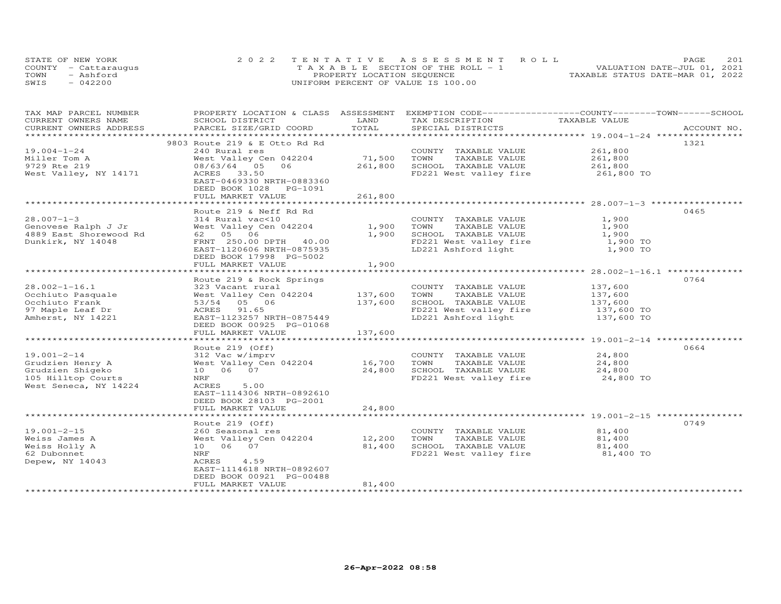| STATE OF NEW YORK    | 2022 TENTATIVE ASSESSMENT ROLL        | <b>PAGE</b>                      | 2.01 |
|----------------------|---------------------------------------|----------------------------------|------|
| COUNTY - Cattaraugus | T A X A B L E SECTION OF THE ROLL - 1 | VALUATION DATE-JUL 01, 2021      |      |
| TOWN<br>- Ashford    | PROPERTY LOCATION SEQUENCE            | TAXABLE STATUS DATE-MAR 01, 2022 |      |
| SWIS<br>042200       | UNIFORM PERCENT OF VALUE IS 100.00    |                                  |      |

| TAX MAP PARCEL NUMBER  | PROPERTY LOCATION & CLASS ASSESSMENT                            |                | EXEMPTION CODE------------------COUNTY-------TOWN-----SCHOOL        |                    |             |
|------------------------|-----------------------------------------------------------------|----------------|---------------------------------------------------------------------|--------------------|-------------|
| CURRENT OWNERS NAME    | SCHOOL DISTRICT                                                 | LAND           | TAX DESCRIPTION                                                     | TAXABLE VALUE      |             |
| CURRENT OWNERS ADDRESS | PARCEL SIZE/GRID COORD                                          | TOTAL          | SPECIAL DISTRICTS                                                   |                    | ACCOUNT NO. |
|                        |                                                                 |                |                                                                     |                    |             |
|                        | 9803 Route 219 & E Otto Rd Rd                                   |                |                                                                     |                    | 1321        |
| $19.004 - 1 - 24$      | 240 Rural res                                                   |                | COUNTY TAXABLE VALUE                                                | 261,800            |             |
| Miller Tom A           | West Valley Cen 042204                                          | 71,500         | TOWN<br>TAXABLE VALUE                                               | 261,800            |             |
| 9729 Rte 219           | 08/63/64 05 06                                                  | 261,800        | SCHOOL TAXABLE VALUE                                                | 261,800            |             |
| West Valley, NY 14171  | ACRES 33.50                                                     |                | FD221 West valley fire 261,800 TO                                   |                    |             |
|                        | EAST-0469330 NRTH-0883360                                       |                |                                                                     |                    |             |
|                        | DEED BOOK 1028 PG-1091                                          |                |                                                                     |                    |             |
|                        | FULL MARKET VALUE                                               | 261,800        |                                                                     |                    |             |
|                        |                                                                 |                |                                                                     |                    |             |
|                        | Route 219 & Neff Rd Rd                                          |                |                                                                     |                    | 0465        |
| $28.007 - 1 - 3$       | 314 Rural vac<10                                                |                | COUNTY TAXABLE VALUE                                                | 1,900              |             |
| Genovese Ralph J Jr    | West Valley Cen 042204                                          | 1,900          | TOWN<br>TAXABLE VALUE                                               | 1,900              |             |
| 4889 East Shorewood Rd |                                                                 | 1,900          | SCHOOL TAXABLE VALUE                                                | 1,900              |             |
| Dunkirk, NY 14048      | FRNT 250.00 DPTH 40.00                                          |                |                                                                     | 1,900 TO           |             |
|                        | EAST-1120606 NRTH-0875935                                       |                | FD221 West valley fire<br>LD221 Ashford light                       | 1,900 TO           |             |
|                        | DEED BOOK 17998 PG-5002                                         |                |                                                                     |                    |             |
|                        | FULL MARKET VALUE                                               | 1,900          |                                                                     |                    |             |
|                        |                                                                 |                |                                                                     |                    |             |
|                        | Route 219 & Rock Springs                                        |                |                                                                     |                    | 0764        |
| $28.002 - 1 - 16.1$    | 323 Vacant rural                                                |                | COUNTY TAXABLE VALUE 137,600                                        |                    |             |
| Occhiuto Pasquale      | West Valley Cen 042204                                          | 137,600        | TAXABLE VALUE<br>TOWN                                               | 137,600            |             |
| Occhiuto Frank         | 53/54 05 06                                                     | 137,600        | SCHOOL TAXABLE VALUE                                                | 137,600<br>137,600 |             |
| 97 Maple Leaf Dr       | ACRES 91.65                                                     |                |                                                                     |                    |             |
| Amherst, NY 14221      | EAST-1123257 NRTH-0875449                                       |                | FD221 West valley fire 137,600 TO<br>LD221 Ashford light 137,600 TO |                    |             |
|                        | DEED BOOK 00925 PG-01068                                        |                |                                                                     |                    |             |
|                        | FULL MARKET VALUE                                               | 137,600        |                                                                     |                    |             |
|                        |                                                                 |                |                                                                     |                    |             |
|                        | Route 219 (Off)                                                 |                |                                                                     |                    | 0664        |
| $19.001 - 2 - 14$      | 312 Vac w/imprv                                                 |                | COUNTY TAXABLE VALUE                                                | 24,800             |             |
| Grudzien Henry A       | 312 Vac w/imprv<br>West Valley Cen 042204 16,700<br>10 10 10 27 |                | TOWN<br>TAXABLE VALUE 24,800                                        |                    |             |
| Grudzien Shigeko       | 10 06 07                                                        | 24,800         | SCHOOL TAXABLE VALUE                                                | 24,800             |             |
| 105 Hilltop Courts     | NRF                                                             |                | FD221 West valley fire 24,800 TO                                    |                    |             |
| West Seneca, NY 14224  | ACRES<br>5.00                                                   |                |                                                                     |                    |             |
|                        | EAST-1114306 NRTH-0892610                                       |                |                                                                     |                    |             |
|                        | DEED BOOK 28103 PG-2001                                         |                |                                                                     |                    |             |
|                        | FULL MARKET VALUE                                               | 24,800         |                                                                     |                    |             |
|                        |                                                                 |                |                                                                     |                    |             |
|                        | Route 219 (Off)                                                 |                |                                                                     |                    | 0749        |
| $19.001 - 2 - 15$      | 260 Seasonal res                                                |                | COUNTY TAXABLE VALUE                                                | 81,400             |             |
| Weiss James A          | West Valley Cen 042204                                          | 12,200         | TOWN<br>TAXABLE VALUE                                               | 81,400             |             |
| Weiss Holly A          | 10 06 07                                                        | 81,400         | SCHOOL TAXABLE VALUE                                                | 81,400<br>81,400   |             |
| 62 Dubonnet            | NRF                                                             |                | FD221 West valley fire 81,400 TO                                    |                    |             |
| Depew, NY 14043        | ACRES<br>4.59                                                   |                |                                                                     |                    |             |
|                        | EAST-1114618 NRTH-0892607                                       |                |                                                                     |                    |             |
|                        | DEED BOOK 00921 PG-00488                                        |                |                                                                     |                    |             |
|                        | FULL MARKET VALUE                                               | 81,400         |                                                                     |                    |             |
|                        |                                                                 | ************** |                                                                     |                    |             |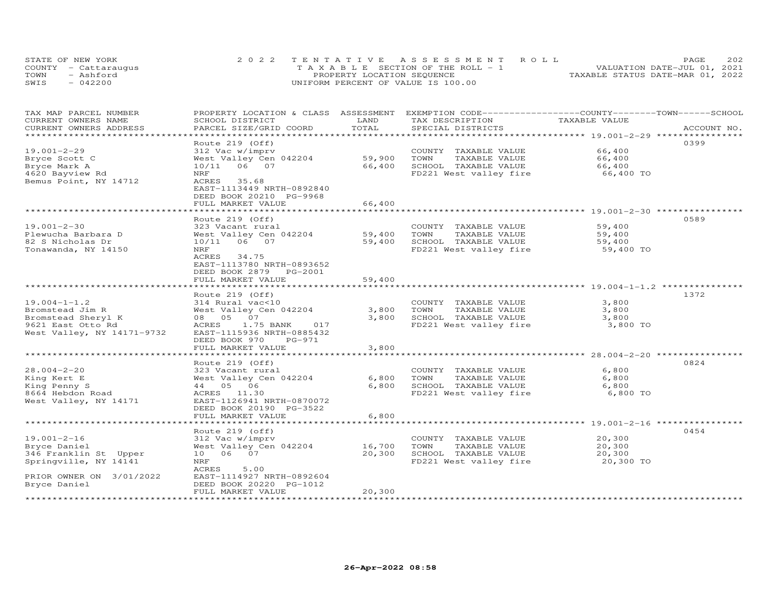|      | STATE OF NEW YORK    | 2022 TENTATIVE ASSESSMENT ROLL        | 202<br>PAGE                      |
|------|----------------------|---------------------------------------|----------------------------------|
|      | COUNTY - Cattaraugus | T A X A B L E SECTION OF THE ROLL - 1 | VALUATION DATE-JUL 01, 2021      |
| TOWN | - Ashford            | PROPERTY LOCATION SEQUENCE            | TAXABLE STATUS DATE-MAR 01, 2022 |
| SWIS | $-042200$            | UNIFORM PERCENT OF VALUE IS 100.00    |                                  |

| TAX MAP PARCEL NUMBER<br>CURRENT OWNERS NAME                                                                    | PROPERTY LOCATION & CLASS ASSESSMENT<br>SCHOOL DISTRICT                                                                                                                               | LAND                          | EXEMPTION CODE-----------------COUNTY-------TOWN------SCHOOL<br>TAX DESCRIPTION                    | TAXABLE VALUE                                                                 |             |
|-----------------------------------------------------------------------------------------------------------------|---------------------------------------------------------------------------------------------------------------------------------------------------------------------------------------|-------------------------------|----------------------------------------------------------------------------------------------------|-------------------------------------------------------------------------------|-------------|
| CURRENT OWNERS ADDRESS<br>***********************                                                               | PARCEL SIZE/GRID COORD                                                                                                                                                                | TOTAL                         | SPECIAL DISTRICTS                                                                                  |                                                                               | ACCOUNT NO. |
| $19.001 - 2 - 29$<br>Bryce Scott C<br>Bryce Mark A<br>4620 Bayview Rd<br>Bemus Point, NY 14712                  | Route 219 (Off)<br>312 Vac w/imprv<br>West Valley Cen 042204<br>10/11 06 07<br>NRF<br>ACRES<br>35.68<br>EAST-1113449 NRTH-0892840<br>DEED BOOK 20210 PG-9968                          | 59,900<br>66,400              | COUNTY TAXABLE VALUE<br>TOWN<br>TAXABLE VALUE<br>SCHOOL TAXABLE VALUE<br>FD221 West valley fire    | 66,400<br>66,400<br>66,400<br>66,400 TO                                       | 0399        |
|                                                                                                                 | FULL MARKET VALUE                                                                                                                                                                     | 66,400<br>*************       |                                                                                                    | ************************ 19.001-2-30 **********                               |             |
| $19.001 - 2 - 30$<br>Plewucha Barbara D<br>82 S Nicholas Dr<br>Tonawanda, NY 14150                              | Route 219 (Off)<br>323 Vacant rural<br>West Valley Cen 042204<br>10/11 06 07<br>NRF<br>ACRES<br>34.75<br>EAST-1113780 NRTH-0893652<br>DEED BOOK 2879 PG-2001<br>FULL MARKET VALUE     | 59,400<br>59,400<br>59,400    | COUNTY TAXABLE VALUE<br>TOWN<br>TAXABLE VALUE<br>SCHOOL TAXABLE VALUE<br>FD221 West valley fire    | 59,400<br>59,400<br>59,400<br>59,400 TO                                       | 0589        |
|                                                                                                                 |                                                                                                                                                                                       |                               |                                                                                                    |                                                                               |             |
| $19.004 - 1 - 1.2$<br>Bromstead Jim R<br>Bromstead Sheryl K<br>9621 East Otto Rd<br>West Valley, NY 14171-9732  | Route 219 (Off)<br>314 Rural vac<10<br>West Valley Cen 042204<br>08  05  07<br>1.75 BANK<br>ACRES<br>017<br>EAST-1115936 NRTH-0885432<br>DEED BOOK 970<br>PG-971<br>FULL MARKET VALUE | 3,800<br>3,800<br>3,800       | COUNTY TAXABLE VALUE<br>TAXABLE VALUE<br>TOWN<br>SCHOOL TAXABLE VALUE<br>FD221 West valley fire    | 3,800<br>3,800<br>3,800<br>3,800 TO                                           | 1372        |
|                                                                                                                 |                                                                                                                                                                                       |                               |                                                                                                    | ************** 28.004-2-20 **********                                         |             |
| $28.004 - 2 - 20$<br>King Kert E<br>King Penny S<br>8664 Hebdon Road<br>West Valley, NY 14171                   | Route 219 (Off)<br>323 Vacant rural<br>West Valley Cen 042204<br>44 05 06<br>ACRES 11.30<br>EAST-1126941 NRTH-0870072<br>DEED BOOK 20190 PG-3522                                      | 6,800<br>6,800                | COUNTY TAXABLE VALUE<br>TAXABLE VALUE<br>TOWN<br>SCHOOL TAXABLE VALUE<br>FD221 West valley fire    | 6,800<br>6,800<br>6,800<br>6,800 TO                                           | 0824        |
|                                                                                                                 | FULL MARKET VALUE                                                                                                                                                                     | 6,800                         |                                                                                                    |                                                                               |             |
| $19.001 - 2 - 16$<br>Bryce Daniel<br>346 Franklin St Upper<br>Springville, NY 14141<br>PRIOR OWNER ON 3/01/2022 | Route 219 (off)<br>312 Vac w/imprv<br>West Valley Cen 042204<br>10 06 07<br>NRF<br>ACRES<br>5.00<br>EAST-1114927 NRTH-0892604                                                         | 16,700<br>20,300              | COUNTY<br>TAXABLE VALUE<br>TOWN<br>TAXABLE VALUE<br>SCHOOL TAXABLE VALUE<br>FD221 West valley fire | **************** 19.001-2-16 *****<br>20,300<br>20,300<br>20,300<br>20,300 TO | 0454        |
| Bryce Daniel                                                                                                    | DEED BOOK 20220 PG-1012<br>FULL MARKET VALUE<br>************************                                                                                                              | 20,300<br>******************* |                                                                                                    |                                                                               |             |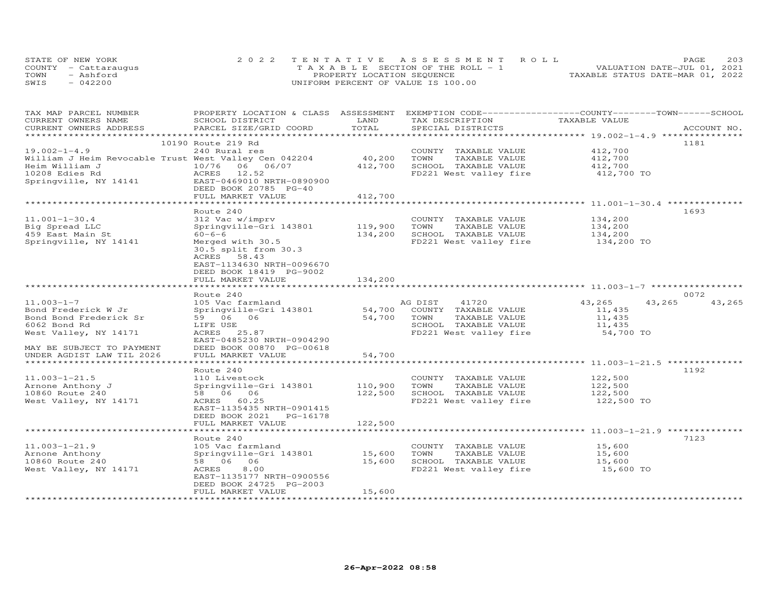| STATE OF NEW YORK    | 2022 TENTATIVE ASSESSMENT ROLL        |                                  | PAGE                        | 203 |
|----------------------|---------------------------------------|----------------------------------|-----------------------------|-----|
| COUNTY - Cattaraugus | T A X A B L E SECTION OF THE ROLL - 1 |                                  | VALUATION DATE-JUL 01, 2021 |     |
| TOWN<br>- Ashford    | PROPERTY LOCATION SEQUENCE            | TAXABLE STATUS DATE-MAR 01, 2022 |                             |     |
| SWIS<br>$-042200$    | UNIFORM PERCENT OF VALUE IS 100.00    |                                  |                             |     |

| TAX MAP PARCEL NUMBER                                 | PROPERTY LOCATION & CLASS ASSESSMENT EXEMPTION CODE-----------------COUNTY-------TOWN------SCHOOL |         |                        |                                                  |                  |
|-------------------------------------------------------|---------------------------------------------------------------------------------------------------|---------|------------------------|--------------------------------------------------|------------------|
| CURRENT OWNERS NAME                                   | SCHOOL DISTRICT                                                                                   | LAND    | TAX DESCRIPTION        | TAXABLE VALUE                                    |                  |
| CURRENT OWNERS ADDRESS                                | PARCEL SIZE/GRID COORD                                                                            | TOTAL   | SPECIAL DISTRICTS      |                                                  | ACCOUNT NO.      |
|                                                       |                                                                                                   |         |                        |                                                  |                  |
|                                                       | 10190 Route 219 Rd                                                                                |         |                        |                                                  | 1181             |
| $19.002 - 1 - 4.9$                                    | 240 Rural res                                                                                     |         | COUNTY TAXABLE VALUE   | 412,700                                          |                  |
| William J Heim Revocable Trust West Valley Cen 042204 |                                                                                                   | 40,200  | TAXABLE VALUE<br>TOWN  | 412,700                                          |                  |
| Heim William J                                        | 10/76 06 06/07                                                                                    | 412,700 | SCHOOL TAXABLE VALUE   | 412,700                                          |                  |
| 10208 Edies Rd                                        | ACRES 12.52                                                                                       |         | FD221 West valley fire | 412,700 TO                                       |                  |
| Springville, NY 14141                                 | EAST-0469010 NRTH-0890900                                                                         |         |                        |                                                  |                  |
|                                                       | DEED BOOK 20785 PG-40                                                                             |         |                        |                                                  |                  |
|                                                       | FULL MARKET VALUE                                                                                 | 412,700 |                        |                                                  |                  |
|                                                       |                                                                                                   |         |                        |                                                  |                  |
|                                                       | Route 240                                                                                         |         |                        |                                                  | 1693             |
| $11.001 - 1 - 30.4$                                   | 312 Vac w/imprv                                                                                   |         | COUNTY TAXABLE VALUE   | 134,200                                          |                  |
| Big Spread LLC                                        | Springville-Gri 143801                                                                            | 119,900 | TOWN<br>TAXABLE VALUE  | 134,200                                          |                  |
| 459 East Main St                                      | $60 - 6 - 6$                                                                                      | 134,200 | SCHOOL TAXABLE VALUE   | 134,200                                          |                  |
| Springville, NY 14141                                 | Merged with 30.5                                                                                  |         | FD221 West valley fire | 134,200 TO                                       |                  |
|                                                       | 30.5 split from 30.3                                                                              |         |                        |                                                  |                  |
|                                                       | ACRES 58.43<br>EAST-1134630 NRTH-0096670                                                          |         |                        |                                                  |                  |
|                                                       |                                                                                                   |         |                        |                                                  |                  |
|                                                       | DEED BOOK 18419 PG-9002<br>FULL MARKET VALUE                                                      | 134,200 |                        |                                                  |                  |
|                                                       |                                                                                                   |         |                        |                                                  |                  |
|                                                       | Route 240                                                                                         |         |                        |                                                  | 0072             |
| $11.003 - 1 - 7$                                      | 105 Vac farmland                                                                                  |         | AG DIST<br>41720       | 43,265                                           | 43,265<br>43,265 |
| Bond Frederick W Jr                                   | Springville-Gri 143801                                                                            | 54,700  | COUNTY TAXABLE VALUE   | 11,435                                           |                  |
| Bond Bond Frederick Sr                                | 59 06<br>06                                                                                       | 54,700  | TOWN<br>TAXABLE VALUE  | 11,435                                           |                  |
| 6062 Bond Rd                                          | LIFE USE                                                                                          |         | SCHOOL TAXABLE VALUE   | 11,435                                           |                  |
| West Valley, NY 14171                                 | ACRES 25.87                                                                                       |         | FD221 West valley fire | 54,700 TO                                        |                  |
|                                                       | EAST-0485230 NRTH-0904290                                                                         |         |                        |                                                  |                  |
| MAY BE SUBJECT TO PAYMENT                             | DEED BOOK 00870 PG-00618                                                                          |         |                        |                                                  |                  |
| UNDER AGDIST LAW TIL 2026                             | FULL MARKET VALUE                                                                                 | 54,700  |                        |                                                  |                  |
|                                                       |                                                                                                   |         |                        |                                                  |                  |
|                                                       | Route 240                                                                                         |         |                        |                                                  | 1192             |
| $11.003 - 1 - 21.5$                                   | 110 Livestock                                                                                     |         | COUNTY TAXABLE VALUE   | 122,500                                          |                  |
| Arnone Anthony J                                      | Springville-Gri 143801                                                                            | 110,900 | TOWN<br>TAXABLE VALUE  | 122,500                                          |                  |
| 10860 Route 240                                       | 58 06 06                                                                                          | 122,500 | SCHOOL TAXABLE VALUE   | 122,500                                          |                  |
| West Valley, NY 14171                                 | ACRES 60.25                                                                                       |         | FD221 West valley fire | 122,500 TO                                       |                  |
|                                                       | EAST-1135435 NRTH-0901415                                                                         |         |                        |                                                  |                  |
|                                                       | DEED BOOK 2021<br>PG-16178                                                                        |         |                        |                                                  |                  |
|                                                       | FULL MARKET VALUE                                                                                 | 122,500 |                        |                                                  |                  |
|                                                       |                                                                                                   |         |                        | ****************** 11.003-1-21.9 *************** |                  |
|                                                       | Route 240                                                                                         |         |                        |                                                  | 7123             |
| $11.003 - 1 - 21.9$                                   | 105 Vac farmland                                                                                  |         | COUNTY TAXABLE VALUE   | 15,600                                           |                  |
| Arnone Anthony                                        | Springville-Gri 143801                                                                            | 15,600  | TOWN<br>TAXABLE VALUE  | 15,600                                           |                  |
| 10860 Route 240                                       | 58 06<br>06                                                                                       | 15,600  | SCHOOL TAXABLE VALUE   | 15,600                                           |                  |
| West Valley, NY 14171                                 | ACRES<br>8,00                                                                                     |         | FD221 West valley fire | 15,600 TO                                        |                  |
|                                                       | EAST-1135177 NRTH-0900556                                                                         |         |                        |                                                  |                  |
|                                                       | DEED BOOK 24725 PG-2003                                                                           |         |                        |                                                  |                  |
|                                                       | FULL MARKET VALUE                                                                                 | 15,600  |                        |                                                  |                  |
|                                                       |                                                                                                   |         |                        |                                                  |                  |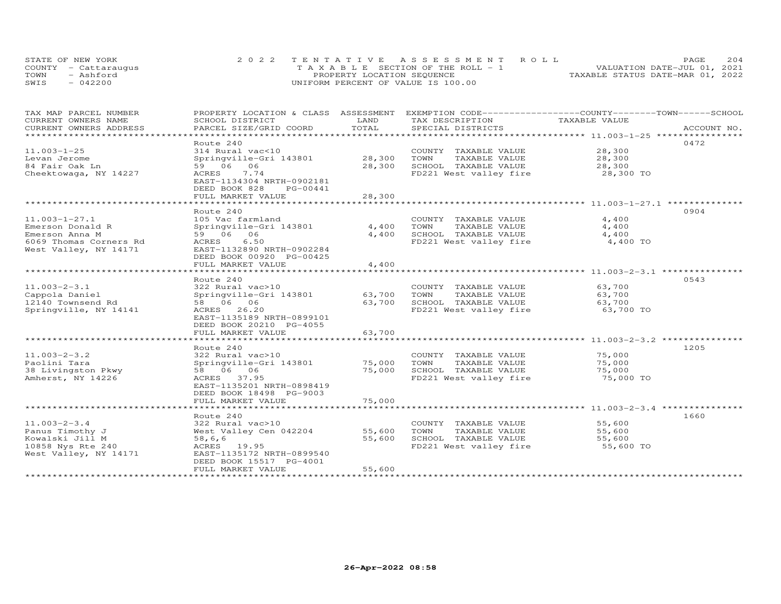| STATE OF NEW YORK    |  | 2022 TENTATIVE ASSESSMENT ROLL        |  |  |                                  | <b>PAGE</b> | 204 |
|----------------------|--|---------------------------------------|--|--|----------------------------------|-------------|-----|
| COUNTY - Cattaraugus |  | T A X A B L E SECTION OF THE ROLL - 1 |  |  | VALUATION DATE-JUL 01, 2021      |             |     |
| TOWN<br>- Ashford    |  | PROPERTY LOCATION SEQUENCE            |  |  | TAXABLE STATUS DATE-MAR 01, 2022 |             |     |
| $-042200$<br>SWIS    |  | UNIFORM PERCENT OF VALUE IS 100.00    |  |  |                                  |             |     |

| TAX MAP PARCEL NUMBER<br>CURRENT OWNERS NAME | PROPERTY LOCATION & CLASS ASSESSMENT<br>SCHOOL DISTRICT                                      | LAND       | EXEMPTION CODE-----------------COUNTY-------TOWN------SCHOOL<br>TAX DESCRIPTION | TAXABLE VALUE |             |
|----------------------------------------------|----------------------------------------------------------------------------------------------|------------|---------------------------------------------------------------------------------|---------------|-------------|
| CURRENT OWNERS ADDRESS                       | PARCEL SIZE/GRID COORD                                                                       | TOTAL      | SPECIAL DISTRICTS                                                               |               | ACCOUNT NO. |
| *************************                    |                                                                                              |            |                                                                                 |               |             |
|                                              | Route 240                                                                                    |            |                                                                                 |               | 0472        |
| $11.003 - 1 - 25$                            | 314 Rural vac<10                                                                             |            | COUNTY TAXABLE VALUE                                                            | 28,300        |             |
| Levan Jerome                                 | Springville-Gri 143801                                                                       | 28,300     | TOWN<br>TAXABLE VALUE                                                           | 28,300        |             |
| 84 Fair Oak Ln                               | 59 06 06                                                                                     | 28,300     | SCHOOL TAXABLE VALUE                                                            | 28,300        |             |
| Cheektowaga, NY 14227                        | ACRES<br>7.74<br>EAST-1134304 NRTH-0902181<br>DEED BOOK 828<br>PG-00441<br>FULL MARKET VALUE | 28,300     | FD221 West valley fire                                                          | 28,300 TO     |             |
|                                              | ***********************                                                                      | ********** |                                                                                 |               |             |
|                                              | Route 240                                                                                    |            |                                                                                 |               | 0904        |
| $11.003 - 1 - 27.1$                          | 105 Vac farmland                                                                             |            | COUNTY TAXABLE VALUE                                                            | 4,400         |             |
| Emerson Donald R                             | Springville-Gri 143801                                                                       | 4,400      | TOWN<br>TAXABLE VALUE                                                           | 4,400         |             |
| Emerson Anna M                               | 59 06 06                                                                                     | 4,400      | SCHOOL TAXABLE VALUE                                                            | 4,400         |             |
| 6069 Thomas Corners Rd                       | ACRES<br>6.50                                                                                |            | FD221 West valley fire                                                          | 4,400 TO      |             |
| West Valley, NY 14171                        | EAST-1132890 NRTH-0902284<br>DEED BOOK 00920 PG-00425<br>FULL MARKET VALUE                   | 4,400      |                                                                                 |               |             |
|                                              |                                                                                              | ********** |                                                                                 |               |             |
|                                              | Route 240                                                                                    |            |                                                                                 |               | 0543        |
| $11.003 - 2 - 3.1$                           | 322 Rural vac>10                                                                             |            | COUNTY TAXABLE VALUE                                                            | 63,700        |             |
| Cappola Daniel                               | Springville-Gri 143801                                                                       | 63,700     | TOWN<br>TAXABLE VALUE                                                           | 63,700        |             |
| 12140 Townsend Rd                            | 58 06 06                                                                                     | 63,700     | SCHOOL TAXABLE VALUE                                                            | 63,700        |             |
| Springville, NY 14141                        | ACRES 26.20<br>EAST-1135189 NRTH-0899101<br>DEED BOOK 20210 PG-4055                          |            | FD221 West valley fire                                                          | 63,700 TO     |             |
|                                              | FULL MARKET VALUE                                                                            | 63,700     |                                                                                 |               |             |
|                                              |                                                                                              |            |                                                                                 |               |             |
|                                              | Route 240                                                                                    |            |                                                                                 |               | 1205        |
| $11.003 - 2 - 3.2$                           | 322 Rural vac>10                                                                             |            | COUNTY TAXABLE VALUE                                                            | 75,000        |             |
| Paolini Tara                                 | Springville-Gri 143801                                                                       | 75,000     | TOWN<br>TAXABLE VALUE                                                           | 75,000        |             |
| 38 Livingston Pkwy                           | 58 06 06                                                                                     | 75,000     | SCHOOL TAXABLE VALUE                                                            | 75,000        |             |
| Amherst, NY 14226                            | ACRES 37.95<br>EAST-1135201 NRTH-0898419<br>DEED BOOK 18498 PG-9003<br>FULL MARKET VALUE     | 75,000     | FD221 West valley fire                                                          | 75,000 TO     |             |
|                                              |                                                                                              |            |                                                                                 |               |             |
|                                              | Route 240                                                                                    |            |                                                                                 |               | 1660        |
| $11.003 - 2 - 3.4$                           | 322 Rural vac>10                                                                             |            | COUNTY TAXABLE VALUE                                                            | 55,600        |             |
| Panus Timothy J                              | West Valley Cen 042204                                                                       | 55,600     | TOWN<br>TAXABLE VALUE                                                           | 55,600        |             |
| Kowalski Jill M                              | 58,6,6                                                                                       | 55,600     | SCHOOL TAXABLE VALUE                                                            | 55,600        |             |
| 10858 Nys Rte 240                            | ACRES 19.95                                                                                  |            | FD221 West valley fire                                                          | 55,600 TO     |             |
| West Valley, NY 14171                        | EAST-1135172 NRTH-0899540<br>DEED BOOK 15517 PG-4001                                         |            |                                                                                 |               |             |
| *******************                          | FULL MARKET VALUE                                                                            | 55,600     |                                                                                 |               |             |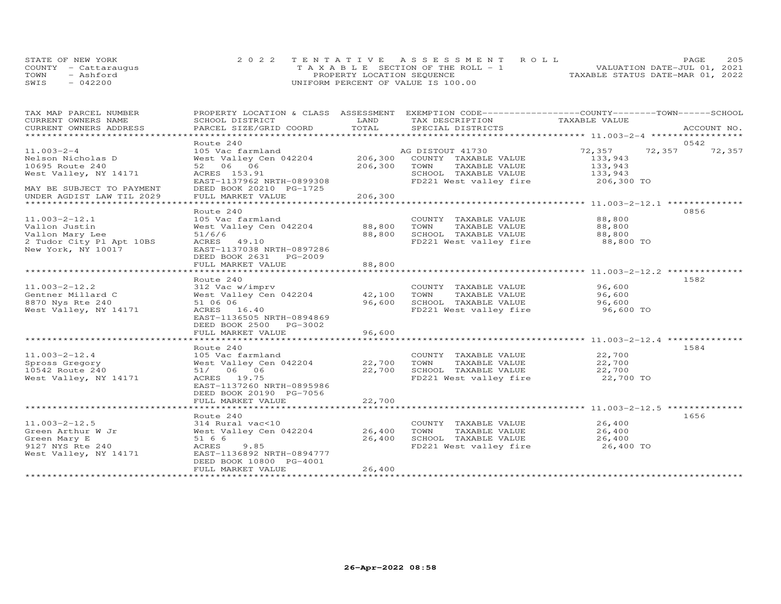|      | STATE OF NEW YORK    | 2022 TENTATIVE ASSESSMENT ROLL     | <b>PAGE</b>                      | 205 |
|------|----------------------|------------------------------------|----------------------------------|-----|
|      | COUNTY - Cattaraugus | TAXABLE SECTION OF THE ROLL - 1    | VALUATION DATE-JUL 01, 2021      |     |
| TOWN | - Ashford            | PROPERTY LOCATION SEQUENCE         | TAXABLE STATUS DATE-MAR 01, 2022 |     |
| SWIS | $-042200$            | UNIFORM PERCENT OF VALUE IS 100.00 |                                  |     |

| TAX MAP PARCEL NUMBER                                |                                    |                     | PROPERTY LOCATION & CLASS ASSESSMENT EXEMPTION CODE----------------COUNTY-------TOWN------SCHOOL |                                                              |                |             |
|------------------------------------------------------|------------------------------------|---------------------|--------------------------------------------------------------------------------------------------|--------------------------------------------------------------|----------------|-------------|
| CURRENT OWNERS NAME                                  | SCHOOL DISTRICT                    | LAND                | TAX DESCRIPTION                                                                                  | TAXABLE VALUE                                                |                |             |
| CURRENT OWNERS ADDRESS<br>************************** | PARCEL SIZE/GRID COORD             | TOTAL               | SPECIAL DISTRICTS                                                                                |                                                              |                | ACCOUNT NO. |
|                                                      |                                    |                     |                                                                                                  |                                                              |                |             |
| $11.003 - 2 - 4$                                     | Route 240<br>105 Vac farmland      |                     |                                                                                                  | 72,357                                                       | 0542<br>72,357 |             |
|                                                      |                                    |                     | AG DISTOUT 41730<br>206,300 COUNTY TAXABLE VALUE                                                 |                                                              |                | 72,357      |
| Nelson Nicholas D<br>10695 Route 240                 | West Valley Cen 042204<br>52 06 06 | 206,300             | TOWN<br>TAXABLE VALUE                                                                            | 133,943<br>133,943                                           |                |             |
| West Valley, NY 14171                                | ACRES 153.91                       |                     | SCHOOL TAXABLE VALUE                                                                             | 133,943                                                      |                |             |
|                                                      | EAST-1137962 NRTH-0899308          |                     | FD221 West valley fire                                                                           | 206,300 TO                                                   |                |             |
| MAY BE SUBJECT TO PAYMENT                            | DEED BOOK 20210 PG-1725            |                     |                                                                                                  |                                                              |                |             |
| UNDER AGDIST LAW TIL 2029                            | FULL MARKET VALUE                  | 206,300             |                                                                                                  |                                                              |                |             |
| ******************************                       | *******************                | <b>+++++++++++</b>  |                                                                                                  | .***************************** 11.003-2-12.1 *************** |                |             |
|                                                      | Route 240                          |                     |                                                                                                  |                                                              | 0856           |             |
| $11.003 - 2 - 12.1$                                  | 105 Vac farmland                   |                     | COUNTY TAXABLE VALUE                                                                             | 88,800                                                       |                |             |
| Vallon Justin                                        | West Valley Cen 042204             | 88,800              | TOWN<br>TAXABLE VALUE                                                                            | 88,800                                                       |                |             |
| Vallon Mary Lee                                      | 51/6/6                             | 88,800              | SCHOOL TAXABLE VALUE                                                                             | 88,800                                                       |                |             |
| 2 Tudor City Pl Apt 10BS                             | ACRES 49.10                        |                     | FD221 West valley fire                                                                           | 88,800 TO                                                    |                |             |
| New York, NY 10017                                   | EAST-1137038 NRTH-0897286          |                     |                                                                                                  |                                                              |                |             |
|                                                      | DEED BOOK 2631 PG-2009             |                     |                                                                                                  |                                                              |                |             |
|                                                      | FULL MARKET VALUE                  | 88,800              |                                                                                                  |                                                              |                |             |
|                                                      |                                    | ******************* |                                                                                                  |                                                              |                |             |
|                                                      | Route 240                          |                     |                                                                                                  |                                                              | 1582           |             |
| $11.003 - 2 - 12.2$                                  | 312 Vac w/imprv                    |                     | COUNTY TAXABLE VALUE                                                                             | 96,600                                                       |                |             |
| Gentner Millard C                                    | West Valley Cen 042204             | 42,100              | TOWN<br>TAXABLE VALUE                                                                            | 96,600                                                       |                |             |
| 8870 Nys Rte 240                                     | 51 06 06                           | 96,600              | SCHOOL TAXABLE VALUE                                                                             | 96,600                                                       |                |             |
| West Valley, NY 14171                                | ACRES 16.40                        |                     | FD221 West valley fire                                                                           | 96,600 TO                                                    |                |             |
|                                                      | EAST-1136505 NRTH-0894869          |                     |                                                                                                  |                                                              |                |             |
|                                                      | DEED BOOK 2500 PG-3002             |                     |                                                                                                  |                                                              |                |             |
|                                                      | FULL MARKET VALUE                  | 96,600              |                                                                                                  |                                                              |                |             |
|                                                      |                                    |                     |                                                                                                  |                                                              |                |             |
|                                                      | Route 240                          |                     |                                                                                                  |                                                              | 1584           |             |
| $11.003 - 2 - 12.4$                                  | 105 Vac farmland                   |                     | COUNTY TAXABLE VALUE                                                                             | 22,700                                                       |                |             |
| Spross Gregory                                       | West Valley Cen 042204             |                     | 22,700 TOWN<br>TAXABLE VALUE                                                                     | 22,700                                                       |                |             |
| 10542 Route 240                                      | 51/ 06 06                          | 22,700              | SCHOOL TAXABLE VALUE                                                                             | 22,700                                                       |                |             |
| West Valley, NY 14171                                | ACRES 19.75                        |                     | FD221 West valley fire                                                                           | 22,700 TO                                                    |                |             |
|                                                      | EAST-1137260 NRTH-0895986          |                     |                                                                                                  |                                                              |                |             |
|                                                      | DEED BOOK 20190 PG-7056            |                     |                                                                                                  |                                                              |                |             |
|                                                      | FULL MARKET VALUE                  | 22,700              |                                                                                                  |                                                              |                |             |
|                                                      |                                    |                     |                                                                                                  |                                                              | 1656           |             |
| $11.003 - 2 - 12.5$                                  | Route 240<br>314 Rural vac<10      |                     | COUNTY TAXABLE VALUE                                                                             | 26,400                                                       |                |             |
| Green Arthur W Jr                                    | West Valley Cen 042204             | 26,400              | TAXABLE VALUE<br>TOWN                                                                            | 26,400                                                       |                |             |
| Green Mary E                                         | 51 6 6                             | 26,400              | SCHOOL TAXABLE VALUE                                                                             | 26,400                                                       |                |             |
| 9127 NYS Rte 240                                     | ACRES<br>9.85                      |                     | FD221 West valley fire                                                                           | 26,400 TO                                                    |                |             |
| West Valley, NY 14171                                | EAST-1136892 NRTH-0894777          |                     |                                                                                                  |                                                              |                |             |
|                                                      | DEED BOOK 10800 PG-4001            |                     |                                                                                                  |                                                              |                |             |
|                                                      | FULL MARKET VALUE                  | 26,400              |                                                                                                  |                                                              |                |             |
|                                                      |                                    |                     |                                                                                                  |                                                              |                |             |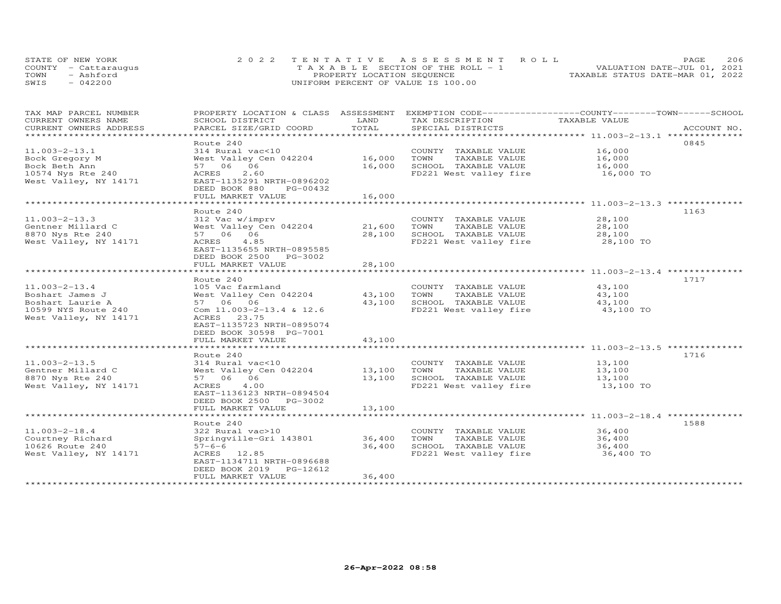| STATE OF NEW YORK    | 2022 TENTATIVE ASSESSMENT ROLL     | <b>PAGE</b>                      | 206 |
|----------------------|------------------------------------|----------------------------------|-----|
| COUNTY - Cattarauqus | TAXABLE SECTION OF THE ROLL - 1    | VALUATION DATE-JUL 01, 2021      |     |
| TOWN<br>- Ashford    | PROPERTY LOCATION SEQUENCE         | TAXABLE STATUS DATE-MAR 01, 2022 |     |
| $-042200$<br>SWIS    | UNIFORM PERCENT OF VALUE IS 100.00 |                                  |     |

| TAX MAP PARCEL NUMBER<br>CURRENT OWNERS NAME | PROPERTY LOCATION & CLASS ASSESSMENT<br>SCHOOL DISTRICT                                            | LAND                     | EXEMPTION CODE-----------------COUNTY-------TOWN-----SCHOOL<br>TAX DESCRIPTION | TAXABLE VALUE    |             |
|----------------------------------------------|----------------------------------------------------------------------------------------------------|--------------------------|--------------------------------------------------------------------------------|------------------|-------------|
| CURRENT OWNERS ADDRESS                       | PARCEL SIZE/GRID COORD                                                                             | TOTAL                    | SPECIAL DISTRICTS                                                              |                  | ACCOUNT NO. |
| *********************                        |                                                                                                    |                          |                                                                                |                  |             |
| $11.003 - 2 - 13.1$                          | Route 240<br>314 Rural vac<10                                                                      |                          | COUNTY TAXABLE VALUE                                                           | 16,000           | 0845        |
| Bock Gregory M                               | West Valley Cen 042204                                                                             | 16,000                   | TOWN<br>TAXABLE VALUE                                                          | 16,000           |             |
| Bock Beth Ann                                | 57 06 06                                                                                           | 16,000                   | SCHOOL TAXABLE VALUE                                                           | 16,000           |             |
| 10574 Nys Rte 240<br>West Valley, NY 14171   | 2.60<br>ACRES<br>EAST-1135291 NRTH-0896202<br>DEED BOOK 880<br>PG-00432                            |                          | FD221 West valley fire                                                         | 16,000 TO        |             |
|                                              | FULL MARKET VALUE<br>**********************                                                        | 16,000<br>************** |                                                                                |                  |             |
|                                              | Route 240                                                                                          |                          |                                                                                |                  | 1163        |
| $11.003 - 2 - 13.3$                          | 312 Vac w/imprv                                                                                    |                          | COUNTY TAXABLE VALUE                                                           | 28,100           |             |
| Gentner Millard C                            | West Valley Cen 042204                                                                             | 21,600                   | TOWN<br>TAXABLE VALUE                                                          | 28,100           |             |
| 8870 Nys Rte 240                             | 57 06 06                                                                                           | 28,100                   | SCHOOL TAXABLE VALUE                                                           | 28,100           |             |
| West Valley, NY 14171                        | ACRES<br>4.85                                                                                      |                          | FD221 West valley fire                                                         | 28,100 TO        |             |
|                                              | EAST-1135655 NRTH-0895585<br>DEED BOOK 2500 PG-3002                                                |                          |                                                                                |                  |             |
|                                              | FULL MARKET VALUE                                                                                  | 28,100                   |                                                                                |                  |             |
|                                              | Route 240                                                                                          |                          |                                                                                |                  | 1717        |
| $11.003 - 2 - 13.4$                          | 105 Vac farmland                                                                                   |                          | COUNTY TAXABLE VALUE                                                           | 43,100           |             |
| Boshart James J                              | West Valley Cen 042204                                                                             | 43,100                   | TAXABLE VALUE<br>TOWN                                                          | 43,100           |             |
| Boshart Laurie A                             | 57 06 06                                                                                           | 43,100                   | SCHOOL TAXABLE VALUE                                                           | 43,100           |             |
| 10599 NYS Route 240<br>West Valley, NY 14171 | Com 11.003-2-13.4 & 12.6<br>ACRES<br>23.75<br>EAST-1135723 NRTH-0895074<br>DEED BOOK 30598 PG-7001 |                          | FD221 West valley fire                                                         | 43,100 TO        |             |
|                                              | FULL MARKET VALUE                                                                                  | 43,100                   |                                                                                |                  |             |
|                                              | **************************<br>Route 240                                                            | ***********              |                                                                                |                  | 1716        |
| $11.003 - 2 - 13.5$                          | 314 Rural vac<10                                                                                   |                          | COUNTY TAXABLE VALUE                                                           | 13,100           |             |
| Gentner Millard C                            | West Valley Cen 042204                                                                             | 13,100                   | TOWN<br>TAXABLE VALUE                                                          | 13,100           |             |
| 8870 Nys Rte 240                             | 57 06 06                                                                                           | 13,100                   | SCHOOL TAXABLE VALUE                                                           | 13,100           |             |
| West Valley, NY 14171                        | ACRES<br>4.00<br>EAST-1136123 NRTH-0894504<br>DEED BOOK 2500 PG-3002                               |                          | FD221 West valley fire                                                         | 13,100 TO        |             |
|                                              | FULL MARKET VALUE                                                                                  | 13,100                   |                                                                                |                  |             |
|                                              |                                                                                                    |                          |                                                                                |                  |             |
|                                              | Route 240                                                                                          |                          |                                                                                |                  | 1588        |
| $11.003 - 2 - 18.4$<br>Courtney Richard      | 322 Rural vac>10<br>Springville-Gri 143801                                                         | 36,400                   | COUNTY TAXABLE VALUE<br>TOWN<br>TAXABLE VALUE                                  | 36,400<br>36,400 |             |
| 10626 Route 240                              | $57 - 6 - 6$                                                                                       | 36,400                   | SCHOOL TAXABLE VALUE                                                           | 36,400           |             |
| West Valley, NY 14171                        | ACRES 12.85<br>EAST-1134711 NRTH-0896688                                                           |                          | FD221 West valley fire                                                         | 36,400 TO        |             |
|                                              | DEED BOOK 2019<br>PG-12612<br>FULL MARKET VALUE                                                    | 36,400                   |                                                                                |                  |             |
|                                              | *******************                                                                                |                          |                                                                                |                  |             |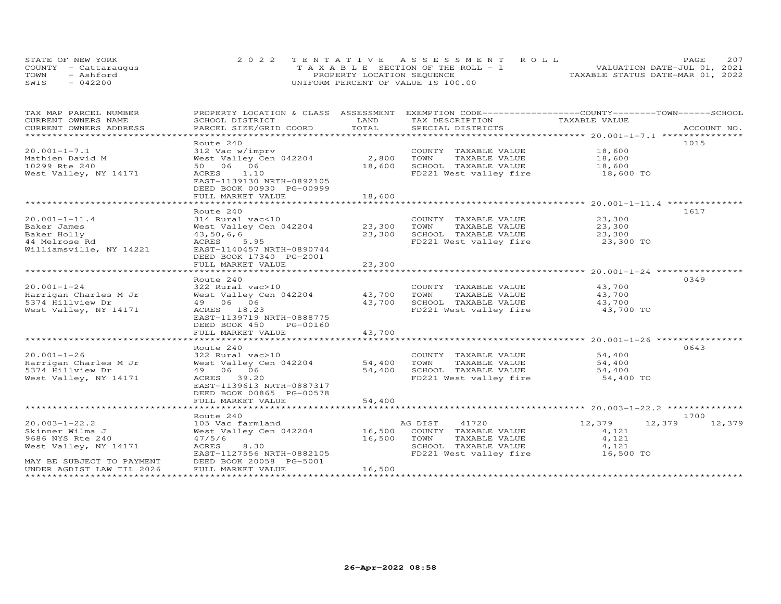| STATE OF NEW YORK    | 2022 TENTATIVE ASSESSMENT ROLL        | 207<br>PAGE.                     |
|----------------------|---------------------------------------|----------------------------------|
| COUNTY - Cattaraugus | T A X A B L E SECTION OF THE ROLL - 1 | VALUATION DATE-JUL 01, 2021      |
| TOWN<br>- Ashford    | PROPERTY LOCATION SEQUENCE            | TAXABLE STATUS DATE-MAR 01, 2022 |
| $-042200$<br>SWIS    | UNIFORM PERCENT OF VALUE IS 100.00    |                                  |

| TAX MAP PARCEL NUMBER<br>CURRENT OWNERS NAME            | PROPERTY LOCATION & CLASS ASSESSMENT<br>SCHOOL DISTRICT                   | LAND       | EXEMPTION CODE------------------COUNTY-------TOWN------SCHOOL<br>TAX DESCRIPTION | TAXABLE VALUE                                 |                  |
|---------------------------------------------------------|---------------------------------------------------------------------------|------------|----------------------------------------------------------------------------------|-----------------------------------------------|------------------|
| CURRENT OWNERS ADDRESS<br>***************************** | PARCEL SIZE/GRID COORD                                                    | TOTAL      | SPECIAL DISTRICTS                                                                |                                               | ACCOUNT NO.      |
|                                                         | Route 240                                                                 |            |                                                                                  |                                               | 1015             |
| $20.001 - 1 - 7.1$                                      | 312 Vac w/imprv                                                           |            | COUNTY TAXABLE VALUE                                                             | 18,600                                        |                  |
| Mathien David M                                         | West Valley Cen 042204                                                    | 2,800      | TOWN<br>TAXABLE VALUE                                                            | 18,600                                        |                  |
| 10299 Rte 240                                           | 50 06 06                                                                  | 18,600     | SCHOOL TAXABLE VALUE                                                             | 18,600                                        |                  |
| West Valley, NY 14171                                   | ACRES<br>1.10<br>EAST-1139130 NRTH-0892105<br>DEED BOOK 00930 PG-00999    |            | FD221 West valley fire                                                           | 18,600 TO                                     |                  |
|                                                         | FULL MARKET VALUE<br>****************************                         | 18,600     |                                                                                  |                                               |                  |
|                                                         | Route 240                                                                 |            |                                                                                  |                                               | 1617             |
| $20.001 - 1 - 11.4$                                     | 314 Rural vac<10                                                          |            | COUNTY TAXABLE VALUE                                                             | 23,300                                        |                  |
| Baker James                                             | West Valley Cen 042204                                                    | 23,300     | TOWN<br>TAXABLE VALUE                                                            | 23,300                                        |                  |
| Baker Holly                                             | 43,50,6,6                                                                 | 23,300     | SCHOOL TAXABLE VALUE                                                             | 23,300                                        |                  |
| 44 Melrose Rd                                           | ACRES<br>5.95                                                             |            | FD221 West valley fire                                                           | 23,300 TO                                     |                  |
| Williamsville, NY 14221                                 | EAST-1140457 NRTH-0890744<br>DEED BOOK 17340 PG-2001<br>FULL MARKET VALUE | 23,300     |                                                                                  |                                               |                  |
|                                                         | **********************                                                    | ********** |                                                                                  | ********************* 20.001-1-24 *********** |                  |
|                                                         | Route 240                                                                 |            |                                                                                  |                                               | 0349             |
| $20.001 - 1 - 24$                                       | 322 Rural vac>10                                                          |            | COUNTY TAXABLE VALUE                                                             | 43,700                                        |                  |
| Harrigan Charles M Jr                                   | West Valley Cen 042204                                                    | 43,700     | TOWN<br>TAXABLE VALUE                                                            | 43,700                                        |                  |
| 5374 Hillview Dr                                        | 49 06 06                                                                  | 43,700     | SCHOOL TAXABLE VALUE                                                             | 43,700                                        |                  |
| West Valley, NY 14171                                   | ACRES 18.23<br>EAST-1139719 NRTH-0888775<br>DEED BOOK 450<br>PG-00160     |            | FD221 West valley fire                                                           | 43,700 TO                                     |                  |
|                                                         | FULL MARKET VALUE                                                         | 43,700     |                                                                                  |                                               |                  |
|                                                         |                                                                           |            |                                                                                  |                                               |                  |
|                                                         | Route 240                                                                 |            |                                                                                  |                                               | 0643             |
| $20.001 - 1 - 26$                                       | 322 Rural vac>10                                                          |            | COUNTY TAXABLE VALUE                                                             | 54,400                                        |                  |
| Harrigan Charles M Jr                                   | West Valley Cen 042204                                                    | 54,400     | TOWN<br>TAXABLE VALUE                                                            | 54,400                                        |                  |
| 5374 Hillview Dr                                        | 49 06 06                                                                  | 54,400     | SCHOOL TAXABLE VALUE                                                             | 54,400                                        |                  |
| West Valley, NY 14171                                   | ACRES 39.20<br>EAST-1139613 NRTH-0887317<br>DEED BOOK 00865 PG-00578      |            | FD221 West valley fire                                                           | 54,400 TO                                     |                  |
|                                                         | FULL MARKET VALUE                                                         | 54,400     |                                                                                  |                                               |                  |
|                                                         | Route 240                                                                 |            |                                                                                  |                                               | 1700             |
| $20.003 - 1 - 22.2$                                     | 105 Vac farmland                                                          |            | AG DIST<br>41720                                                                 | 12,379                                        | 12,379<br>12,379 |
| Skinner Wilma J                                         | West Valley Cen 042204                                                    | 16,500     | COUNTY TAXABLE VALUE                                                             | 4,121                                         |                  |
| 9686 NYS Rte 240                                        | 47/5/6                                                                    | 16,500     | TOWN<br>TAXABLE VALUE                                                            | 4,121                                         |                  |
| West Valley, NY 14171                                   | 8.30<br>ACRES                                                             |            | SCHOOL TAXABLE VALUE                                                             | 4,121                                         |                  |
|                                                         | EAST-1127556 NRTH-0882105                                                 |            | FD221 West valley fire                                                           | 16,500 TO                                     |                  |
| MAY BE SUBJECT TO PAYMENT<br>UNDER AGDIST LAW TIL 2026  | DEED BOOK 20058 PG-5001<br>FULL MARKET VALUE                              | 16,500     |                                                                                  |                                               |                  |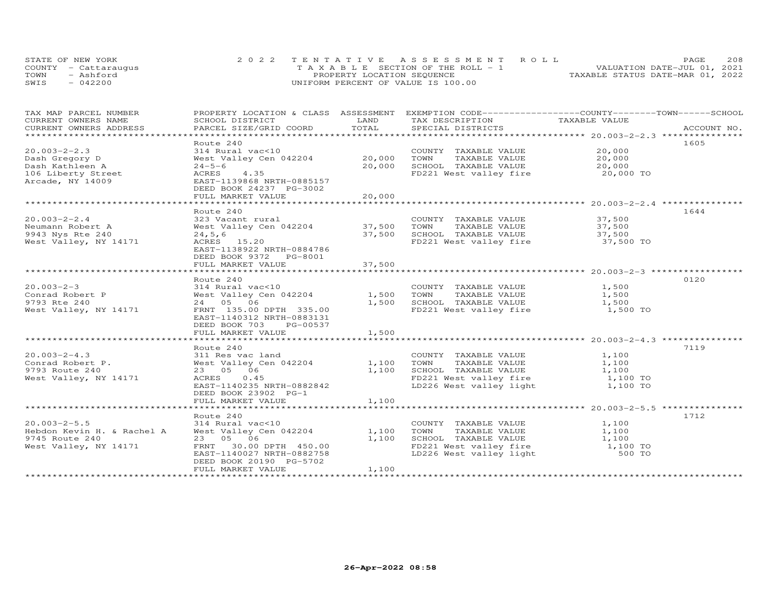|      | STATE OF NEW YORK    | 2022 TENTATIVE ASSESSMENT ROLL     | 208<br>PAGE.                     |
|------|----------------------|------------------------------------|----------------------------------|
|      | COUNTY - Cattaraugus | TAXABLE SECTION OF THE ROLL - 1    | VALUATION DATE-JUL 01, 2021      |
| TOWN | - Ashford            | PROPERTY LOCATION SEQUENCE         | TAXABLE STATUS DATE-MAR 01, 2022 |
| SWIS | $-042200$            | UNIFORM PERCENT OF VALUE IS 100.00 |                                  |

| TAX MAP PARCEL NUMBER<br>CURRENT OWNERS NAME | PROPERTY LOCATION & CLASS ASSESSMENT<br>SCHOOL DISTRICT | LAND                    | EXEMPTION CODE-----------------COUNTY-------TOWN------SCHOOL<br>TAX DESCRIPTION | TAXABLE VALUE                                          |             |
|----------------------------------------------|---------------------------------------------------------|-------------------------|---------------------------------------------------------------------------------|--------------------------------------------------------|-------------|
| CURRENT OWNERS ADDRESS                       | PARCEL SIZE/GRID COORD                                  | TOTAL                   | SPECIAL DISTRICTS                                                               |                                                        | ACCOUNT NO. |
| *****************************                |                                                         |                         |                                                                                 |                                                        |             |
| $20.003 - 2 - 2.3$                           | Route 240<br>314 Rural vac<10                           |                         | COUNTY TAXABLE VALUE                                                            | 20,000                                                 | 1605        |
| Dash Gregory D                               | West Valley Cen 042204                                  | 20,000                  | TOWN<br>TAXABLE VALUE                                                           | 20,000                                                 |             |
| Dash Kathleen A                              | $24 - 5 - 6$                                            | 20,000                  | SCHOOL TAXABLE VALUE                                                            | 20,000                                                 |             |
| 106 Liberty Street                           | ACRES<br>4.35                                           |                         | FD221 West valley fire 20,000 TO                                                |                                                        |             |
| Arcade, NY 14009                             | EAST-1139868 NRTH-0885157                               |                         |                                                                                 |                                                        |             |
|                                              | DEED BOOK 24237 PG-3002                                 |                         |                                                                                 |                                                        |             |
|                                              | FULL MARKET VALUE                                       | 20,000                  |                                                                                 |                                                        |             |
|                                              |                                                         | * * * * * * * * * * * * |                                                                                 | ************************ 20.003-2-2.4 **************** |             |
|                                              | Route 240                                               |                         |                                                                                 |                                                        | 1644        |
| $20.003 - 2 - 2.4$                           | 323 Vacant rural                                        |                         | COUNTY TAXABLE VALUE                                                            | 37,500                                                 |             |
| Neumann Robert A                             | West Valley Cen 042204                                  | 37,500                  | TOWN<br>TAXABLE VALUE                                                           | 37,500                                                 |             |
| 9943 Nys Rte 240                             | 24, 5, 6                                                | 37,500                  | SCHOOL TAXABLE VALUE                                                            | 37,500                                                 |             |
| West Valley, NY 14171                        | ACRES 15.20                                             |                         | FD221 West valley fire 37,500 TO                                                |                                                        |             |
|                                              | EAST-1138922 NRTH-0884786                               |                         |                                                                                 |                                                        |             |
|                                              | DEED BOOK 9372 PG-8001                                  |                         |                                                                                 |                                                        |             |
|                                              | FULL MARKET VALUE                                       | 37,500<br>***********   |                                                                                 |                                                        |             |
|                                              | Route 240                                               |                         |                                                                                 |                                                        | 0120        |
| $20.003 - 2 - 3$                             | 314 Rural vac<10                                        |                         | COUNTY TAXABLE VALUE                                                            | 1,500                                                  |             |
| Conrad Robert P                              | West Valley Cen 042204                                  | 1,500                   | TOWN<br>TAXABLE VALUE                                                           | 1,500                                                  |             |
| 9793 Rte 240                                 | 24 05 06                                                | 1,500                   | SCHOOL TAXABLE VALUE                                                            | 1,500                                                  |             |
| West Valley, NY 14171                        | FRNT 135.00 DPTH 335.00                                 |                         | FD221 West valley fire                                                          | 1,500 TO                                               |             |
|                                              | EAST-1140312 NRTH-0883131                               |                         |                                                                                 |                                                        |             |
|                                              | DEED BOOK 703<br>PG-00537                               |                         |                                                                                 |                                                        |             |
|                                              | FULL MARKET VALUE                                       | 1,500                   |                                                                                 |                                                        |             |
|                                              |                                                         |                         |                                                                                 |                                                        |             |
|                                              | Route 240                                               |                         |                                                                                 |                                                        | 7119        |
| $20.003 - 2 - 4.3$                           | 311 Res vac land                                        |                         | COUNTY TAXABLE VALUE                                                            | 1,100                                                  |             |
| Conrad Robert P.                             | West Valley Cen 042204                                  | 1,100                   | TOWN<br>TAXABLE VALUE                                                           | 1,100                                                  |             |
| 9793 Route 240                               | 23 05 06<br>ACRES 0.45                                  | 1,100                   | SCHOOL TAXABLE VALUE<br>FD221 West valley fire                                  | 1,100<br>1,100 TO                                      |             |
| West Valley, NY 14171                        | EAST-1140235 NRTH-0882842                               |                         | LD226 West valley light                                                         | 1,100 TO                                               |             |
|                                              | DEED BOOK 23902 PG-1                                    |                         |                                                                                 |                                                        |             |
|                                              | FULL MARKET VALUE                                       | 1,100                   |                                                                                 |                                                        |             |
|                                              |                                                         |                         |                                                                                 |                                                        |             |
|                                              | Route 240                                               |                         |                                                                                 |                                                        | 1712        |
| $20.003 - 2 - 5.5$                           | 314 Rural vac<10                                        |                         | COUNTY TAXABLE VALUE                                                            | 1,100                                                  |             |
| Hebdon Kevin H. & Rachel A                   | West Valley Cen 042204                                  | 1,100                   | TOWN<br>TAXABLE VALUE                                                           | 1,100                                                  |             |
| 9745 Route 240                               | 23 05 06                                                | 1,100                   | SCHOOL TAXABLE VALUE                                                            | 1,100                                                  |             |
| West Valley, NY 14171                        | 30.00 DPTH 450.00<br>FRNT                               |                         | FD221 West valley fire<br>LD226 West valley light                               | 1,100 TO                                               |             |
|                                              | EAST-1140027 NRTH-0882758                               |                         |                                                                                 | 500 TO                                                 |             |
|                                              | DEED BOOK 20190 PG-5702                                 |                         |                                                                                 |                                                        |             |
|                                              | FULL MARKET VALUE                                       | 1,100                   |                                                                                 |                                                        |             |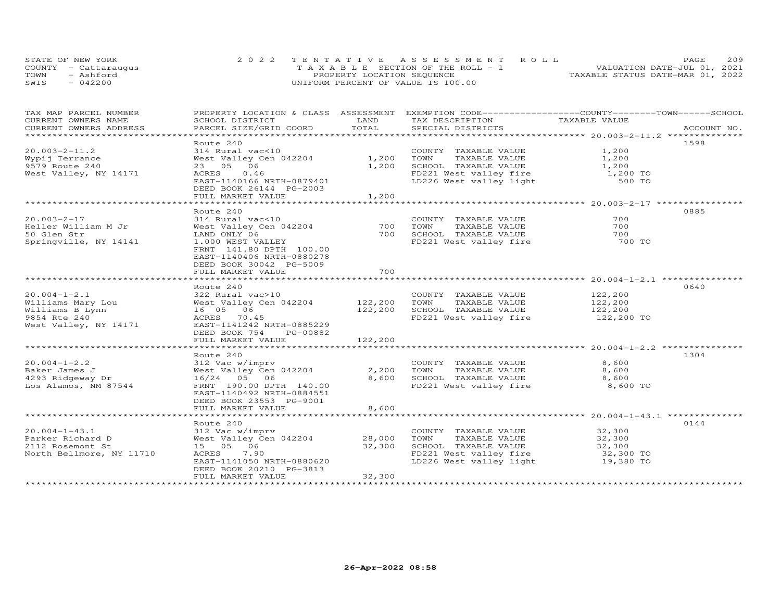| STATE OF NEW YORK    | 2022 TENTATIVE ASSESSMENT ROLL        | <b>PAGE</b>                      | 209 |
|----------------------|---------------------------------------|----------------------------------|-----|
| COUNTY - Cattaraugus | T A X A B L E SECTION OF THE ROLL - 1 | VALUATION DATE-JUL 01, 2021      |     |
| TOWN<br>- Ashford    | PROPERTY LOCATION SEQUENCE            | TAXABLE STATUS DATE-MAR 01, 2022 |     |
| $-042200$<br>SWIS    | UNIFORM PERCENT OF VALUE IS 100.00    |                                  |     |

| TAX MAP PARCEL NUMBER<br>CURRENT OWNERS NAME             | PROPERTY LOCATION & CLASS ASSESSMENT<br>SCHOOL DISTRICT | LAND           | EXEMPTION CODE-----------------COUNTY-------TOWN------SCHOOL<br>TAX DESCRIPTION | TAXABLE VALUE  |             |
|----------------------------------------------------------|---------------------------------------------------------|----------------|---------------------------------------------------------------------------------|----------------|-------------|
| CURRENT OWNERS ADDRESS<br>****************************** | PARCEL SIZE/GRID COORD                                  | TOTAL          | SPECIAL DISTRICTS                                                               |                | ACCOUNT NO. |
|                                                          |                                                         |                |                                                                                 |                |             |
| $20.003 - 2 - 11.2$                                      | Route 240<br>314 Rural vac<10                           |                | COUNTY TAXABLE VALUE                                                            | 1,200          | 1598        |
| Wypij Terrance                                           | West Valley Cen 042204                                  | 1,200          | TOWN<br>TAXABLE VALUE                                                           | 1,200          |             |
| 9579 Route 240                                           | 23 05 06                                                | 1,200          | SCHOOL TAXABLE VALUE                                                            | 1,200          |             |
| West Valley, NY 14171                                    | 0.46<br>ACRES                                           |                |                                                                                 | 1,200 TO       |             |
|                                                          | EAST-1140166 NRTH-0879401                               |                | FD221 West valley fire<br>LD226 West valley light                               | 500 TO         |             |
|                                                          | DEED BOOK 26144 PG-2003                                 |                |                                                                                 |                |             |
|                                                          | FULL MARKET VALUE                                       | 1,200          |                                                                                 |                |             |
|                                                          |                                                         |                |                                                                                 |                |             |
|                                                          | Route 240                                               |                |                                                                                 |                | 0885        |
| $20.003 - 2 - 17$                                        | 314 Rural vac<10                                        |                | COUNTY TAXABLE VALUE                                                            | 700            |             |
| Heller William M Jr                                      | West Valley Cen 042204                                  | 700            | TOWN<br>TAXABLE VALUE                                                           | 700            |             |
| 50 Glen Str                                              | LAND ONLY 06                                            | 700            | SCHOOL TAXABLE VALUE                                                            | 700            |             |
| Springville, NY 14141                                    | 1.000 WEST VALLEY                                       |                | FD221 West valley fire                                                          | 700 TO         |             |
|                                                          | FRNT 141.80 DPTH 100.00                                 |                |                                                                                 |                |             |
|                                                          | EAST-1140406 NRTH-0880278                               |                |                                                                                 |                |             |
|                                                          | DEED BOOK 30042 PG-5009                                 |                |                                                                                 |                |             |
|                                                          | FULL MARKET VALUE                                       | 700            |                                                                                 |                |             |
|                                                          |                                                         |                |                                                                                 |                |             |
|                                                          | Route 240                                               |                |                                                                                 |                | 0640        |
| $20.004 - 1 - 2.1$                                       | 322 Rural vac>10                                        |                | COUNTY TAXABLE VALUE                                                            | 122,200        |             |
| Williams Mary Lou                                        | West Valley Cen 042204 122,200                          |                | TOWN<br>TAXABLE VALUE                                                           | 122,200        |             |
| Williams B Lynn                                          | 16 05 06                                                | 122,200        | SCHOOL TAXABLE VALUE                                                            | 122,200        |             |
| 9854 Rte 240                                             | ACRES 70.45                                             |                | FD221 West valley fire                                                          | 122,200 TO     |             |
| West Valley, NY 14171                                    | EAST-1141242 NRTH-0885229                               |                |                                                                                 |                |             |
|                                                          | DEED BOOK 754<br>PG-00882                               |                |                                                                                 |                |             |
|                                                          | FULL MARKET VALUE                                       | 122,200        |                                                                                 |                |             |
|                                                          |                                                         |                |                                                                                 |                |             |
|                                                          | Route 240                                               |                |                                                                                 |                | 1304        |
| $20.004 - 1 - 2.2$                                       | 312 Vac w/imprv                                         |                | COUNTY TAXABLE VALUE                                                            | 8,600          |             |
| Baker James J<br>4293 Ridgeway Dr                        | West Valley Cen 042204<br>16/24 05 06                   | 2,200<br>8,600 | TOWN<br>TAXABLE VALUE<br>SCHOOL TAXABLE VALUE                                   | 8,600<br>8,600 |             |
| Los Alamos, NM 87544                                     | FRNT 190.00 DPTH 140.00                                 |                | FD221 West valley fire                                                          | 8,600 TO       |             |
|                                                          | EAST-1140492 NRTH-0884551                               |                |                                                                                 |                |             |
|                                                          | DEED BOOK 23553 PG-9001                                 |                |                                                                                 |                |             |
|                                                          | FULL MARKET VALUE                                       | 8,600          |                                                                                 |                |             |
|                                                          |                                                         |                |                                                                                 |                |             |
|                                                          | Route 240                                               |                |                                                                                 |                | 0144        |
| $20.004 - 1 - 43.1$                                      | 312 Vac w/imprv                                         |                | COUNTY TAXABLE VALUE                                                            | 32,300         |             |
| Parker Richard D                                         | West Valley Cen 042204                                  | 28,000         | TOWN<br>TAXABLE VALUE                                                           | 32,300         |             |
| 2112 Rosemont St                                         | 15 05 06                                                | 32,300         | SCHOOL TAXABLE VALUE                                                            | 32,300         |             |
| North Bellmore, NY 11710                                 | ACRES<br>7.90                                           |                | FD221 West valley fire                                                          | 32,300 TO      |             |
|                                                          | EAST-1141050 NRTH-0880620                               |                | LD226 West valley light                                                         | 19,380 TO      |             |
|                                                          | DEED BOOK 20210 PG-3813                                 |                |                                                                                 |                |             |
|                                                          | FULL MARKET VALUE                                       | 32,300         |                                                                                 |                |             |
|                                                          |                                                         |                |                                                                                 |                |             |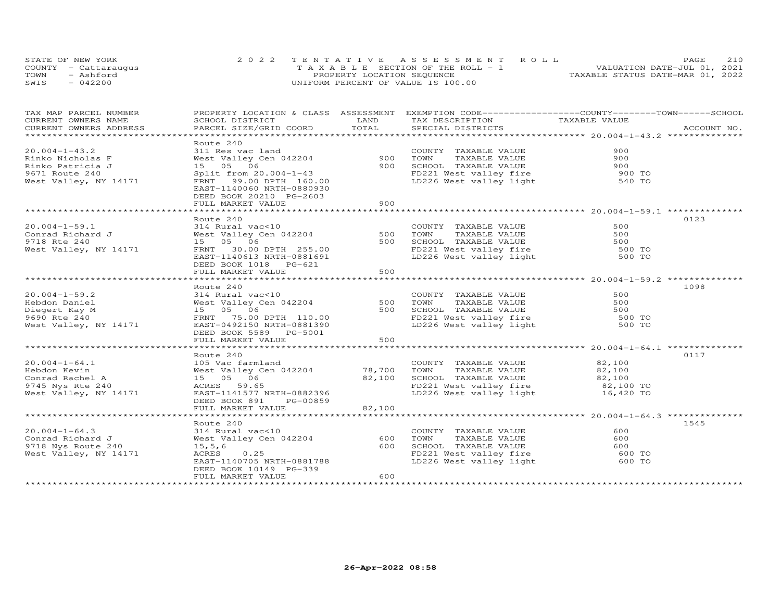| STATE OF NEW YORK    | 2022 TENTATIVE ASSESSMENT ROLL        |  |                                  | PAGE. | 210 |
|----------------------|---------------------------------------|--|----------------------------------|-------|-----|
| COUNTY - Cattarauqus | T A X A B L E SECTION OF THE ROLL - 1 |  | VALUATION DATE-JUL 01, 2021      |       |     |
| TOWN<br>- Ashford    | PROPERTY LOCATION SEQUENCE            |  | TAXABLE STATUS DATE-MAR 01, 2022 |       |     |
| SWIS<br>$-042200$    | UNIFORM PERCENT OF VALUE IS 100.00    |  |                                  |       |     |

| TAX MAP PARCEL NUMBER<br>CURRENT OWNERS NAME                                                                                                                                                                                         | SCHOOL DISTRICT                                     | LAND     | PROPERTY LOCATION & CLASS ASSESSMENT EXEMPTION CODE----------------COUNTY-------TOWN------SCHOOL                                                  |     |      |
|--------------------------------------------------------------------------------------------------------------------------------------------------------------------------------------------------------------------------------------|-----------------------------------------------------|----------|---------------------------------------------------------------------------------------------------------------------------------------------------|-----|------|
| CURRENT OWNERS ADDRESS                                                                                                                                                                                                               | PARCEL SIZE/GRID COORD TOTAL                        |          | TAX DESCRIPTION TAXABLE VALUE                                                                                                                     |     |      |
|                                                                                                                                                                                                                                      |                                                     |          |                                                                                                                                                   |     |      |
|                                                                                                                                                                                                                                      |                                                     |          |                                                                                                                                                   |     |      |
| $20.004 - 1 - 43.2$                                                                                                                                                                                                                  |                                                     |          |                                                                                                                                                   |     |      |
| Rinko Nicholas F                                                                                                                                                                                                                     |                                                     |          |                                                                                                                                                   |     |      |
| Rinko Patricia J                                                                                                                                                                                                                     |                                                     |          |                                                                                                                                                   |     |      |
| 9671 Route 240                                                                                                                                                                                                                       |                                                     |          |                                                                                                                                                   |     |      |
| West Valley, NY 14171                                                                                                                                                                                                                |                                                     |          |                                                                                                                                                   |     |      |
|                                                                                                                                                                                                                                      |                                                     |          |                                                                                                                                                   |     |      |
|                                                                                                                                                                                                                                      | DEED BOOK 20210 PG-2603                             |          |                                                                                                                                                   |     |      |
|                                                                                                                                                                                                                                      | FULL MARKET VALUE                                   | 900      |                                                                                                                                                   |     |      |
|                                                                                                                                                                                                                                      |                                                     |          |                                                                                                                                                   |     |      |
|                                                                                                                                                                                                                                      | Route 240                                           |          |                                                                                                                                                   |     | 0123 |
| $20.004 - 1 - 59.1$                                                                                                                                                                                                                  | 314 Rural vac<10                                    |          |                                                                                                                                                   | 500 |      |
|                                                                                                                                                                                                                                      |                                                     | SOO TOWN | COUNTY TAXABLE VALUE                                                                                                                              |     |      |
|                                                                                                                                                                                                                                      |                                                     |          |                                                                                                                                                   |     |      |
|                                                                                                                                                                                                                                      |                                                     |          | 500 TOWN TAXABLE VALUE<br>500 SCHOOL TAXABLE VALUE<br>500 SCHOOL TAXABLE VALUE<br>FD221 West valley fire 500 TO<br>LD226 West valley light 500 TO |     |      |
|                                                                                                                                                                                                                                      | FRNT 30.00 DPTH 255.00                              |          |                                                                                                                                                   |     |      |
|                                                                                                                                                                                                                                      | EAST-1140613 NRTH-0881691                           |          |                                                                                                                                                   |     |      |
|                                                                                                                                                                                                                                      | DEED BOOK 1018 PG-621                               |          |                                                                                                                                                   |     |      |
|                                                                                                                                                                                                                                      | FULL MARKET VALUE                                   | 500      |                                                                                                                                                   |     |      |
|                                                                                                                                                                                                                                      |                                                     |          |                                                                                                                                                   |     |      |
|                                                                                                                                                                                                                                      | Route 240                                           |          |                                                                                                                                                   |     | 1098 |
| $20.004 - 1 - 59.2$                                                                                                                                                                                                                  | 314 Rural vac<10                                    |          | COUNTY TAXABLE VALUE                                                                                                                              | 500 |      |
| 20.004-1-59.2<br>Hebdon Daniel West Valley Consumer Superbond Marie 10 Mars 200 Mars 200 Mars 200 Mars 200 Mars 200 Mars 200 Ma<br>Hebdon Diegert Kay M<br>2690 Rte 240 Mest Valley, NY 14171 EAST-0492150 NRTH-0881390 Mars 200 Mar |                                                     |          | 500 TOWN TAXABLE VALUE<br>500 SCHOOL TAXABLE VALUE<br>500 SCHOOL TAXABLE VALUE<br>FD221 West valley fire 500 TO<br>LD226 West valley light 500 TO |     |      |
|                                                                                                                                                                                                                                      |                                                     |          |                                                                                                                                                   |     |      |
|                                                                                                                                                                                                                                      |                                                     |          |                                                                                                                                                   |     |      |
|                                                                                                                                                                                                                                      |                                                     |          |                                                                                                                                                   |     |      |
|                                                                                                                                                                                                                                      | DEED BOOK 5589 PG-5001                              |          |                                                                                                                                                   |     |      |
|                                                                                                                                                                                                                                      | FULL MARKET VALUE                                   | 500      |                                                                                                                                                   |     |      |
|                                                                                                                                                                                                                                      |                                                     |          |                                                                                                                                                   |     |      |
|                                                                                                                                                                                                                                      | Route 240                                           |          |                                                                                                                                                   |     | 0117 |
|                                                                                                                                                                                                                                      |                                                     |          |                                                                                                                                                   |     |      |
|                                                                                                                                                                                                                                      |                                                     |          |                                                                                                                                                   |     |      |
|                                                                                                                                                                                                                                      |                                                     |          |                                                                                                                                                   |     |      |
|                                                                                                                                                                                                                                      |                                                     |          |                                                                                                                                                   |     |      |
|                                                                                                                                                                                                                                      |                                                     |          |                                                                                                                                                   |     |      |
|                                                                                                                                                                                                                                      | DEED BOOK 891 PG-00859                              |          |                                                                                                                                                   |     |      |
|                                                                                                                                                                                                                                      | FULL MARKET VALUE                                   | 82,100   |                                                                                                                                                   |     |      |
|                                                                                                                                                                                                                                      |                                                     |          |                                                                                                                                                   |     |      |
|                                                                                                                                                                                                                                      | Route 240                                           |          |                                                                                                                                                   |     | 1545 |
|                                                                                                                                                                                                                                      |                                                     |          | COUNTY TAXABLE VALUE<br>TOWN TAXABLE VALUE                                                                                                        | 600 |      |
|                                                                                                                                                                                                                                      |                                                     |          |                                                                                                                                                   | 600 |      |
|                                                                                                                                                                                                                                      |                                                     |          |                                                                                                                                                   |     |      |
| 20.004-1-64.3<br>Conrad Richard J<br>Si4 Rural vac<10<br>9718 Nys Route 240<br>9718 Nys Route 240<br>West Valley, NY 14171<br>ACRES 0.25<br>ACRES 0.25                                                                               |                                                     |          |                                                                                                                                                   |     |      |
|                                                                                                                                                                                                                                      |                                                     |          |                                                                                                                                                   |     |      |
|                                                                                                                                                                                                                                      | EAST-1140705 NRTH-0881788<br>DEED BOOK 10149 PC-330 |          |                                                                                                                                                   |     |      |
|                                                                                                                                                                                                                                      | FULL MARKET VALUE                                   | 600      |                                                                                                                                                   |     |      |
|                                                                                                                                                                                                                                      |                                                     |          |                                                                                                                                                   |     |      |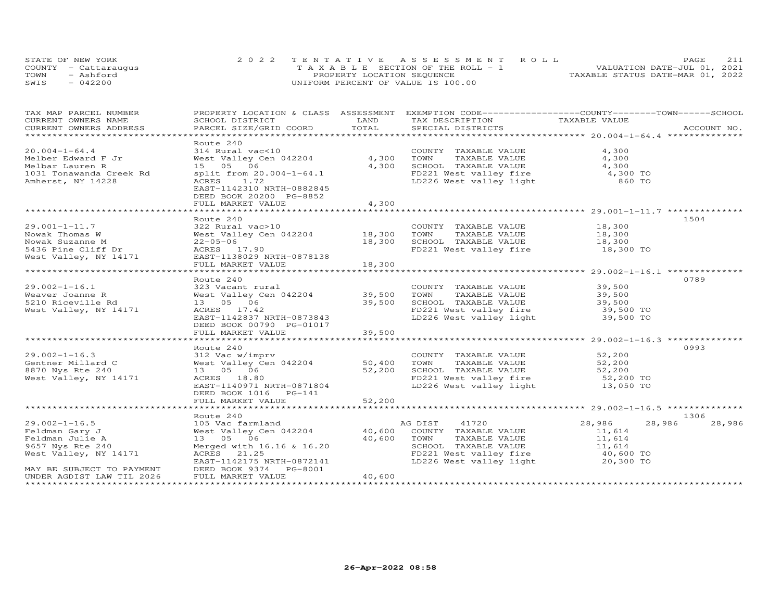| STATE OF NEW YORK    | 2022 TENTATIVE ASSESSMENT ROLL        | 2.11<br>PAGE.                    |
|----------------------|---------------------------------------|----------------------------------|
| COUNTY - Cattaraugus | T A X A B L E SECTION OF THE ROLL - 1 | VALUATION DATE-JUL 01, 2021      |
| TOWN<br>- Ashford    | PROPERTY LOCATION SEQUENCE            | TAXABLE STATUS DATE-MAR 01, 2022 |
| $-042200$<br>SWIS    | UNIFORM PERCENT OF VALUE IS 100.00    |                                  |

| TAX MAP PARCEL NUMBER<br>CURRENT OWNERS NAME | SCHOOL DISTRICT                                                                                                                        | LAND   | PROPERTY LOCATION & CLASS ASSESSMENT EXEMPTION CODE----------------COUNTY-------TOWN------SCHOOL<br>TAX DESCRIPTION | TAXABLE VALUE |                  |
|----------------------------------------------|----------------------------------------------------------------------------------------------------------------------------------------|--------|---------------------------------------------------------------------------------------------------------------------|---------------|------------------|
| CURRENT OWNERS ADDRESS                       | PARCEL SIZE/GRID COORD                                                                                                                 | TOTAL  | SPECIAL DISTRICTS                                                                                                   |               | ACCOUNT NO.      |
|                                              |                                                                                                                                        |        |                                                                                                                     |               |                  |
|                                              | Route 240                                                                                                                              |        |                                                                                                                     |               |                  |
| $20.004 - 1 - 64.4$                          | 314 Rural vac<10                                                                                                                       |        | COUNTY TAXABLE VALUE                                                                                                | 4,300         |                  |
| Melber Edward F Jr                           | West Valley Cen 042204                                                                                                                 | 4,300  | TOWN<br>TAXABLE VALUE                                                                                               | 4,300         |                  |
| Melbar Lauren R                              | 15 05 06                                                                                                                               | 4,300  | SCHOOL TAXABLE VALUE                                                                                                | 4,300         |                  |
| 1031 Tonawanda Creek Rd                      | split from 20.004-1-64.1                                                                                                               |        |                                                                                                                     | 4,300 TO      |                  |
| Amherst, NY 14228                            | 1.72<br>ACRES                                                                                                                          |        | FD221 West valley fire<br>LD226 West valley light                                                                   | 860 TO        |                  |
|                                              | EAST-1142310 NRTH-0882845                                                                                                              |        |                                                                                                                     |               |                  |
|                                              | DEED BOOK 20200 PG-8852                                                                                                                |        |                                                                                                                     |               |                  |
|                                              | FULL MARKET VALUE                                                                                                                      | 4,300  |                                                                                                                     |               |                  |
|                                              |                                                                                                                                        |        |                                                                                                                     |               |                  |
|                                              | Route 240                                                                                                                              |        |                                                                                                                     |               | 1504             |
| $29.001 - 1 - 11.7$                          | 322 Rural vac>10                                                                                                                       |        | COUNTY TAXABLE VALUE                                                                                                | 18,300        |                  |
| Nowak Thomas W                               | West Valley Cen 042204 18,300                                                                                                          |        | TOWN<br>TAXABLE VALUE                                                                                               | 18,300        |                  |
| Nowak Suzanne M                              | $22 - 05 - 06$                                                                                                                         | 18,300 | SCHOOL TAXABLE VALUE                                                                                                | 18,300        |                  |
| 5436 Pine Cliff Dr                           | ACRES 17.90                                                                                                                            |        | FD221 West valley fire                                                                                              | 18,300 TO     |                  |
| West Valley, NY 14171                        | EAST-1138029 NRTH-0878138                                                                                                              |        |                                                                                                                     |               |                  |
|                                              | FULL MARKET VALUE                                                                                                                      | 18,300 |                                                                                                                     |               |                  |
|                                              | Route 240                                                                                                                              |        |                                                                                                                     |               | 0789             |
| $29.002 - 1 - 16.1$                          | 323 Vacant rural                                                                                                                       |        | COUNTY TAXABLE VALUE                                                                                                | 39,500        |                  |
| Weaver Joanne R                              | West Valley Cen 042204                                                                                                                 | 39,500 | TAXABLE VALUE<br>TOWN                                                                                               | 39,500        |                  |
| 5210 Riceville Rd                            | 13 05 06                                                                                                                               | 39,500 | SCHOOL TAXABLE VALUE                                                                                                | 39,500        |                  |
| West Valley, NY 14171                        | ACRES 17.42                                                                                                                            |        |                                                                                                                     |               |                  |
|                                              | EAST-1142837 NRTH-0873843                                                                                                              |        | FD221 West valley fire 39,500 TO<br>LD226 West valley light 39,500 TO                                               |               |                  |
|                                              | DEED BOOK 00790 PG-01017                                                                                                               |        |                                                                                                                     |               |                  |
|                                              | FULL MARKET VALUE                                                                                                                      | 39,500 |                                                                                                                     |               |                  |
|                                              |                                                                                                                                        |        |                                                                                                                     |               |                  |
|                                              | Route 240                                                                                                                              |        |                                                                                                                     |               | 0993             |
| $29.002 - 1 - 16.3$                          | 312 Vac w/imprv                                                                                                                        |        | COUNTY TAXABLE VALUE                                                                                                | 52,200        |                  |
| Gentner Millard C                            | West Valley Cen 042204                                                                                                                 | 50,400 | TOWN<br>TAXABLE VALUE                                                                                               | 52,200        |                  |
| 8870 Nys Rte 240                             | 13 05 06                                                                                                                               | 52,200 | SCHOOL TAXABLE VALUE                                                                                                | 52,200        |                  |
| West Valley, NY 14171                        | ACRES 18.80                                                                                                                            |        | FD221 West valley fire 52,200 TO                                                                                    |               |                  |
|                                              | EAST-1140971 NRTH-0871804                                                                                                              |        | LD226 West valley light                                                                                             | 13,050 TO     |                  |
|                                              | DEED BOOK 1016 PG-141                                                                                                                  |        |                                                                                                                     |               |                  |
|                                              | FULL MARKET VALUE                                                                                                                      | 52,200 |                                                                                                                     |               |                  |
|                                              |                                                                                                                                        |        |                                                                                                                     |               | 1306             |
| $29.002 - 1 - 16.5$                          | Route 240                                                                                                                              |        |                                                                                                                     | 28,986        | 28,986<br>28,986 |
| Feldman Gary J                               | 105 Vac farmland                                 AG DIST     41720<br>West Valley Cen 042204             40,600   COUNTY TAXABLE VALUE |        |                                                                                                                     | 11,614        |                  |
| Feldman Julie A                              | 13 05 06                                                                                                                               | 40,600 | TOWN<br>TAXABLE VALUE                                                                                               | 11,614        |                  |
| 9657 Nys Rte 240                             | Merged with 16.16 & 16.20                                                                                                              |        |                                                                                                                     |               |                  |
| West Valley, NY 14171                        | ACRES 21.25                                                                                                                            |        | SCHOOL TAXABLE VALUE 11,614<br>FD221 West valley fire 40,600 TO                                                     |               |                  |
|                                              | EAST-1142175 NRTH-0872141                                                                                                              |        | LD226 West valley light                                                                                             | 20,300 TO     |                  |
| MAY BE SUBJECT TO PAYMENT                    | DEED BOOK 9374 PG-8001                                                                                                                 |        |                                                                                                                     |               |                  |
| UNDER AGDIST LAW TIL 2026                    | FULL MARKET VALUE                                                                                                                      | 40,600 |                                                                                                                     |               |                  |
| ********************                         |                                                                                                                                        |        |                                                                                                                     |               |                  |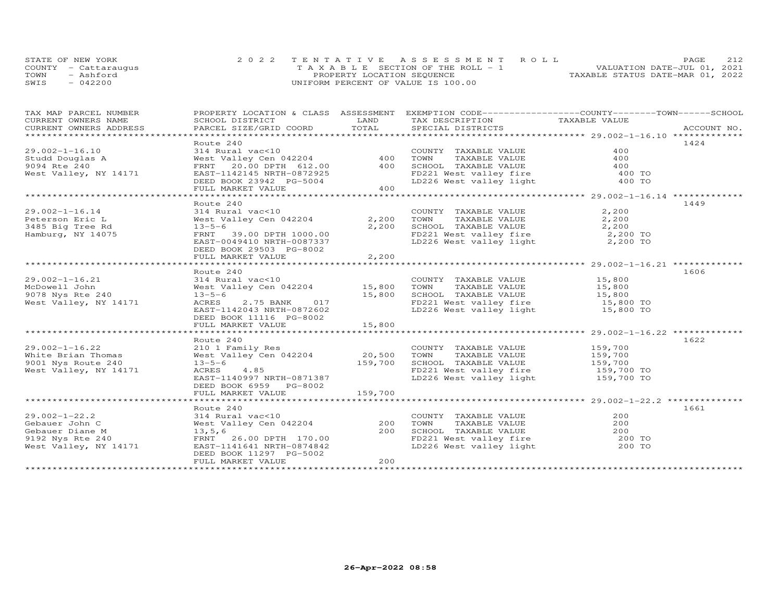|      | STATE OF NEW YORK    | 2022 TENTATIVE ASSESSMENT ROLL          | 2.12<br>PAGE.                    |
|------|----------------------|-----------------------------------------|----------------------------------|
|      | COUNTY - Cattaraugus | $T A X A B L E$ SECTION OF THE ROLL - 1 | VALUATION DATE-JUL 01, 2021      |
| TOWN | - Ashford            | PROPERTY LOCATION SEQUENCE              | TAXABLE STATUS DATE-MAR 01, 2022 |
| SWIS | $-042200$            | UNIFORM PERCENT OF VALUE IS 100.00      |                                  |

| TAX MAP PARCEL NUMBER<br>CURRENT OWNERS NAME<br>CURRENT OWNERS ADDRESS<br>****************************** | SCHOOL DISTRICT<br>PARCEL SIZE/GRID COORD                                                                                                                                       | LAND<br>TOTAL                | PROPERTY LOCATION & CLASS ASSESSMENT EXEMPTION CODE----------------COUNTY-------TOWN------SCHOOL<br>TAX DESCRIPTION<br>SPECIAL DISTRICTS                                                                                        | TAXABLE VALUE                                             | ACCOUNT NO. |
|----------------------------------------------------------------------------------------------------------|---------------------------------------------------------------------------------------------------------------------------------------------------------------------------------|------------------------------|---------------------------------------------------------------------------------------------------------------------------------------------------------------------------------------------------------------------------------|-----------------------------------------------------------|-------------|
| $29.002 - 1 - 16.10$<br>Studd Douglas A<br>9094 Rte 240<br>West Valley, NY 14171                         | Route 240<br>314 Rural vac<10<br>EAST-1142145 NRTH-0872925<br>DEED BOOK 23942 PG-5004<br>FULL MARKET VALUE 400                                                                  |                              | COUNTY TAXABLE VALUE<br>314 Rural vackiu<br>West Valley Cen 042204 (400 TOWN TAXABLE VALUE)<br>This 20 00 DPTH 612.00 (400 SCHOOL TAXABLE VALUE)<br>FD221 West valley fire<br>LD221 West valley fire<br>LD226 West valley light | 400<br>400<br>400<br>400 TO<br>400 TO                     | 1424        |
| $29.002 - 1 - 16.14$<br>Peterson Eric L<br>3485 Big Tree Rd<br>Hamburg, NY 14075                         | Route 240<br>314 Rural vac<10<br>West Valley Cen 042204<br>$13 - 5 - 6$<br>FRNT 39.00 DPTH 1000.00<br>EAST-0049410 NRTH-0087337<br>DEED BOOK 29503 PG-8002<br>FULL MARKET VALUE | 2,200<br>2,200<br>2,200      | COUNTY TAXABLE VALUE<br>TOWN<br>TAXABLE VALUE<br>SCHOOL TAXABLE VALUE<br>FD221 West valley fire 2,200 TO<br>LD226 West valley light 2,200 TO                                                                                    | 2,200<br>2,200<br>2,200                                   | 1449        |
| $29.002 - 1 - 16.21$<br>McDowell John<br>9078 Nys Rte 240<br>West Valley, NY 14171                       | Route 240<br>314 Rural vac<10<br>West Valley Cen 042204<br>$13 - 5 - 6$<br>ACRES<br>2.75 BANK 017<br>EAST-1142043 NRTH-0872602<br>DEED BOOK 11116 PG-8002                       | 15,800<br>15,800             | COUNTY TAXABLE VALUE<br>TAXABLE VALUE<br>TOWN<br>SCHOOL TAXABLE VALUE<br>FD221 West valley fire 15,800 TO<br>LD226 West valley light 15,800 TO                                                                                  | 15,800<br>15,800<br>15,800                                | 1606        |
| $29.002 - 1 - 16.22$<br>White Brian Thomas<br>9001 Nys Route 240<br>West Valley, NY 14171                | Route 240<br>210 1 Family Res<br>West Valley Cen 042204<br>$13 - 5 - 6$<br>4.85<br>ACRES<br>EAST-1140997 NRTH-0871387<br>DEED BOOK 6959 PG-8002<br>FULL MARKET VALUE            | 20,500<br>159,700<br>159,700 | COUNTY TAXABLE VALUE<br>TOWN<br>TAXABLE VALUE<br>SCHOOL TAXABLE VALUE<br>FD221 West valley fire<br>LD226 West valley light                                                                                                      | 159,700<br>159,700<br>159,700<br>159,700 TO<br>159,700 TO | 1622        |
| $29.002 - 1 - 22.2$<br>Gebauer John C<br>Gebauer Diane M<br>9192 Nys Rte 240<br>West Valley, NY 14171    | Route 240<br>314 Rural vac<10<br>West Valley Cen 042204<br>13, 5, 6<br>FRNT<br>26.00 DPTH 170.00<br>EAST-1141641 NRTH-0874842<br>DEED BOOK 11297 PG-5002<br>FULL MARKET VALUE   | 200<br>200<br>200            | COUNTY TAXABLE VALUE<br>TOWN<br>TAXABLE VALUE<br>SCHOOL TAXABLE VALUE<br>FD221 West valley fire 200 TO<br>LD226 West valley light                                                                                               | 200<br>200<br>200<br>200 TO                               | 1661        |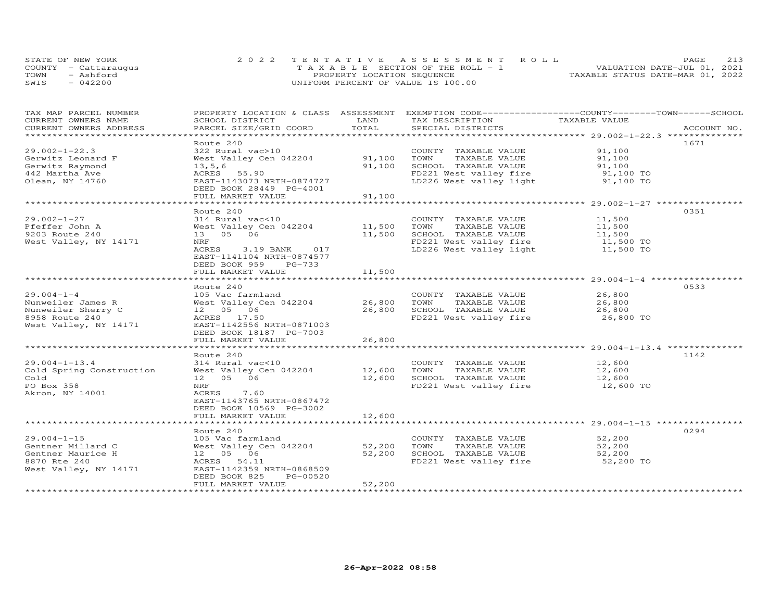| STATE OF NEW YORK    | 2022 TENTATIVE ASSESSMENT ROLL        | PAGE.                            | 213 |
|----------------------|---------------------------------------|----------------------------------|-----|
| COUNTY - Cattaraugus | T A X A B L E SECTION OF THE ROLL - 1 | VALUATION DATE-JUL 01, 2021      |     |
| TOWN<br>- Ashford    | PROPERTY LOCATION SEQUENCE            | TAXABLE STATUS DATE-MAR 01, 2022 |     |
| SWIS<br>$-042200$    | UNIFORM PERCENT OF VALUE IS 100.00    |                                  |     |

| TAX MAP PARCEL NUMBER                          |                           |           | PROPERTY LOCATION & CLASS ASSESSMENT EXEMPTION CODE----------------COUNTY-------TOWN------SCHOOL |               |             |
|------------------------------------------------|---------------------------|-----------|--------------------------------------------------------------------------------------------------|---------------|-------------|
| CURRENT OWNERS NAME                            | SCHOOL DISTRICT           | LAND      | TAX DESCRIPTION                                                                                  | TAXABLE VALUE |             |
| CURRENT OWNERS ADDRESS<br>******************** | PARCEL SIZE/GRID COORD    | TOTAL     | SPECIAL DISTRICTS                                                                                |               | ACCOUNT NO. |
|                                                |                           |           |                                                                                                  |               |             |
|                                                | Route 240                 |           |                                                                                                  |               | 1671        |
| $29.002 - 1 - 22.3$                            | 322 Rural vac>10          |           | COUNTY TAXABLE VALUE                                                                             | 91,100        |             |
| Gerwitz Leonard F                              | West Valley Cen 042204    | 91,100    | TOWN<br>TAXABLE VALUE                                                                            | 91,100        |             |
| Gerwitz Raymond                                | 13, 5, 6                  | 91,100    | SCHOOL TAXABLE VALUE                                                                             | 91,100        |             |
| 442 Martha Ave                                 | ACRES<br>55.90            |           | FD221 West valley fire                                                                           | 91,100 TO     |             |
| Olean, NY 14760                                | EAST-1143073 NRTH-0874727 |           | LD226 West valley light                                                                          | 91,100 TO     |             |
|                                                | DEED BOOK 28449 PG-4001   |           |                                                                                                  |               |             |
|                                                | FULL MARKET VALUE         | 91,100    |                                                                                                  |               |             |
|                                                |                           |           |                                                                                                  |               |             |
|                                                | Route 240                 |           |                                                                                                  |               | 0351        |
| $29.002 - 1 - 27$                              | 314 Rural vac<10          |           | COUNTY TAXABLE VALUE                                                                             | 11,500        |             |
| Pfeffer John A                                 | West Valley Cen 042204    | 11,500    | TOWN<br>TAXABLE VALUE                                                                            | 11,500        |             |
| 9203 Route 240                                 | 13  05  06                | 11,500    | SCHOOL TAXABLE VALUE                                                                             | 11,500        |             |
| West Valley, NY 14171                          | NRF                       |           | FD221 West valley fire 11,500 TO<br>LD226 West valley light 11,500 TO                            |               |             |
|                                                | ACRES<br>3.19 BANK<br>017 |           |                                                                                                  |               |             |
|                                                | EAST-1141104 NRTH-0874577 |           |                                                                                                  |               |             |
|                                                | DEED BOOK 959<br>PG-733   |           |                                                                                                  |               |             |
|                                                | FULL MARKET VALUE         | 11,500    |                                                                                                  |               |             |
|                                                |                           | ********* |                                                                                                  |               |             |
|                                                | Route 240                 |           |                                                                                                  |               | 0533        |
| $29.004 - 1 - 4$                               | 105 Vac farmland          |           | COUNTY TAXABLE VALUE                                                                             | 26,800        |             |
| Nunweiler James R                              | West Valley Cen 042204    | 26,800    | TOWN<br>TAXABLE VALUE                                                                            | 26,800        |             |
| Nunweiler Sherry C                             | 12  05  06                | 26,800    | SCHOOL TAXABLE VALUE                                                                             | 26,800        |             |
| 8958 Route 240                                 | ACRES 17.50               |           | FD221 West valley fire                                                                           | 26,800 TO     |             |
| West Valley, NY 14171                          | EAST-1142556 NRTH-0871003 |           |                                                                                                  |               |             |
|                                                | DEED BOOK 18187 PG-7003   |           |                                                                                                  |               |             |
|                                                | FULL MARKET VALUE         | 26,800    |                                                                                                  |               |             |
|                                                |                           |           |                                                                                                  |               |             |
|                                                | Route 240                 |           |                                                                                                  |               | 1142        |
| $29.004 - 1 - 13.4$                            | 314 Rural vac<10          |           | COUNTY TAXABLE VALUE                                                                             | 12,600        |             |
| Cold Spring Construction                       | West Valley Cen 042204    | 12,600    | TOWN<br>TAXABLE VALUE                                                                            | 12,600        |             |
| Cold                                           | 12  05  06                | 12,600    | SCHOOL TAXABLE VALUE                                                                             | 12,600        |             |
| PO Box 358                                     | NRF                       |           | FD221 West valley fire                                                                           | 12,600 TO     |             |
| Akron, NY 14001                                | 7.60<br>ACRES             |           |                                                                                                  |               |             |
|                                                | EAST-1143765 NRTH-0867472 |           |                                                                                                  |               |             |
|                                                | DEED BOOK 10569 PG-3002   |           |                                                                                                  |               |             |
|                                                | FULL MARKET VALUE         | 12,600    |                                                                                                  |               |             |
|                                                |                           |           | ********************************* 29.004-1-15 ************                                       |               |             |
|                                                | Route 240                 |           |                                                                                                  |               | 0294        |
| $29.004 - 1 - 15$                              | 105 Vac farmland          |           | COUNTY TAXABLE VALUE                                                                             | 52,200        |             |
| Gentner Millard C                              | West Valley Cen 042204    | 52,200    | TOWN<br>TAXABLE VALUE                                                                            | 52,200        |             |
| Gentner Maurice H                              | 12  05  06                | 52,200    | SCHOOL TAXABLE VALUE                                                                             | 52,200        |             |
| 8870 Rte 240                                   | ACRES 54.11               |           | FD221 West valley fire                                                                           | 52,200 TO     |             |
| West Valley, NY 14171                          | EAST-1142359 NRTH-0868509 |           |                                                                                                  |               |             |
|                                                | PG-00520<br>DEED BOOK 825 |           |                                                                                                  |               |             |
|                                                | FULL MARKET VALUE         | 52,200    |                                                                                                  |               |             |
|                                                |                           |           |                                                                                                  |               |             |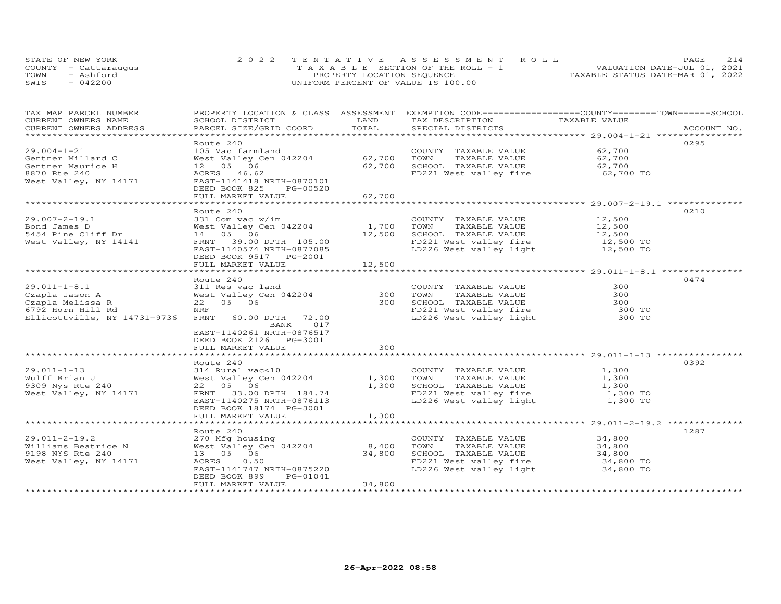| STATE OF NEW YORK |                      | 2022 TENTATIVE ASSESSMENT ROLL        | 2.14<br><b>PAGE</b>              |
|-------------------|----------------------|---------------------------------------|----------------------------------|
|                   | COUNTY - Cattaraugus | T A X A B L E SECTION OF THE ROLL - 1 | VALUATION DATE-JUL 01, 2021      |
| TOWN              | - Ashford            | PROPERTY LOCATION SEQUENCE            | TAXABLE STATUS DATE-MAR 01, 2022 |
| SWIS              | $-042200$            | UNIFORM PERCENT OF VALUE IS 100.00    |                                  |

| CURRENT OWNERS NAME<br>SCHOOL DISTRICT<br>LAND<br>TAX DESCRIPTION<br>TAXABLE VALUE<br>TOTAL<br>CURRENT OWNERS ADDRESS<br>PARCEL SIZE/GRID COORD<br>SPECIAL DISTRICTS<br>ACCOUNT NO.<br>********************<br>0295<br>Route 240<br>62,700<br>$29.004 - 1 - 21$<br>105 Vac farmland<br>COUNTY TAXABLE VALUE<br>62,700<br>West Valley Cen 042204<br>TOWN<br>TAXABLE VALUE<br>62,700<br>Gentner Millard C<br>12  05  06<br>62,700<br>SCHOOL TAXABLE VALUE<br>62,700<br>Gentner Maurice H<br>62,700<br>62,700 TO<br>8870 Rte 240<br>ACRES 46.62<br>FD221 West valley fire<br>West Valley, NY 14171<br>EAST-1141418 NRTH-0870101<br>DEED BOOK 825<br>PG-00520 |
|-----------------------------------------------------------------------------------------------------------------------------------------------------------------------------------------------------------------------------------------------------------------------------------------------------------------------------------------------------------------------------------------------------------------------------------------------------------------------------------------------------------------------------------------------------------------------------------------------------------------------------------------------------------|
|                                                                                                                                                                                                                                                                                                                                                                                                                                                                                                                                                                                                                                                           |
|                                                                                                                                                                                                                                                                                                                                                                                                                                                                                                                                                                                                                                                           |
|                                                                                                                                                                                                                                                                                                                                                                                                                                                                                                                                                                                                                                                           |
|                                                                                                                                                                                                                                                                                                                                                                                                                                                                                                                                                                                                                                                           |
|                                                                                                                                                                                                                                                                                                                                                                                                                                                                                                                                                                                                                                                           |
|                                                                                                                                                                                                                                                                                                                                                                                                                                                                                                                                                                                                                                                           |
|                                                                                                                                                                                                                                                                                                                                                                                                                                                                                                                                                                                                                                                           |
|                                                                                                                                                                                                                                                                                                                                                                                                                                                                                                                                                                                                                                                           |
|                                                                                                                                                                                                                                                                                                                                                                                                                                                                                                                                                                                                                                                           |
|                                                                                                                                                                                                                                                                                                                                                                                                                                                                                                                                                                                                                                                           |
| 62,700<br>FULL MARKET VALUE                                                                                                                                                                                                                                                                                                                                                                                                                                                                                                                                                                                                                               |
|                                                                                                                                                                                                                                                                                                                                                                                                                                                                                                                                                                                                                                                           |
| Route 240<br>0210                                                                                                                                                                                                                                                                                                                                                                                                                                                                                                                                                                                                                                         |
| $29.007 - 2 - 19.1$<br>$331$ Com vac w/im<br>COUNTY TAXABLE VALUE<br>12,500                                                                                                                                                                                                                                                                                                                                                                                                                                                                                                                                                                               |
| West Valley Cen 042204<br>1,700<br>TOWN<br>TAXABLE VALUE<br>12,500<br>Bond James D                                                                                                                                                                                                                                                                                                                                                                                                                                                                                                                                                                        |
| 14  05  06<br>12,500<br>SCHOOL TAXABLE VALUE<br>5454 Pine Cliff Dr<br>12,500                                                                                                                                                                                                                                                                                                                                                                                                                                                                                                                                                                              |
| FD221 West valley fire 12,500 TO<br>LD226 West valley light 12,500 TO<br>West Valley, NY 14141<br>FRNT 39.00 DPTH 105.00                                                                                                                                                                                                                                                                                                                                                                                                                                                                                                                                  |
| EAST-1140574 NRTH-0877085                                                                                                                                                                                                                                                                                                                                                                                                                                                                                                                                                                                                                                 |
| DEED BOOK 9517 PG-2001                                                                                                                                                                                                                                                                                                                                                                                                                                                                                                                                                                                                                                    |
| FULL MARKET VALUE<br>12,500                                                                                                                                                                                                                                                                                                                                                                                                                                                                                                                                                                                                                               |
|                                                                                                                                                                                                                                                                                                                                                                                                                                                                                                                                                                                                                                                           |
| 0474<br>Route 240                                                                                                                                                                                                                                                                                                                                                                                                                                                                                                                                                                                                                                         |
| $29.011 - 1 - 8.1$<br>311 Res vac land<br>COUNTY TAXABLE VALUE<br>300                                                                                                                                                                                                                                                                                                                                                                                                                                                                                                                                                                                     |
| West Valley Cen 042204<br>300<br>Czapla Jason A<br>300<br>TOWN<br>TAXABLE VALUE                                                                                                                                                                                                                                                                                                                                                                                                                                                                                                                                                                           |
| 22 05 06<br>300<br>300<br>Czapla Melissa R<br>SCHOOL TAXABLE VALUE                                                                                                                                                                                                                                                                                                                                                                                                                                                                                                                                                                                        |
| NRF<br>6792 Horn Hill Rd                                                                                                                                                                                                                                                                                                                                                                                                                                                                                                                                                                                                                                  |
| FD221 West valley fire<br>LD226 West valley light<br>300 TO<br>300 TO<br>Ellicottville, NY 14731-9736<br>FRNT<br>60.00 DPTH 72.00                                                                                                                                                                                                                                                                                                                                                                                                                                                                                                                         |
| BANK<br>017                                                                                                                                                                                                                                                                                                                                                                                                                                                                                                                                                                                                                                               |
| EAST-1140261 NRTH-0876517                                                                                                                                                                                                                                                                                                                                                                                                                                                                                                                                                                                                                                 |
| DEED BOOK 2126    PG-3001                                                                                                                                                                                                                                                                                                                                                                                                                                                                                                                                                                                                                                 |
| 300<br>FULL MARKET VALUE                                                                                                                                                                                                                                                                                                                                                                                                                                                                                                                                                                                                                                  |
|                                                                                                                                                                                                                                                                                                                                                                                                                                                                                                                                                                                                                                                           |
| 0392<br>Route 240                                                                                                                                                                                                                                                                                                                                                                                                                                                                                                                                                                                                                                         |
| $29.011 - 1 - 13$<br>314 Rural vac<10<br>COUNTY TAXABLE VALUE<br>1,300                                                                                                                                                                                                                                                                                                                                                                                                                                                                                                                                                                                    |
| West Valley Cen 042204<br>1,300<br>1,300<br>Wulff Brian J<br>TOWN<br>TAXABLE VALUE                                                                                                                                                                                                                                                                                                                                                                                                                                                                                                                                                                        |
| 22 05 06<br>1,300<br>SCHOOL TAXABLE VALUE<br>9309 Nys Rte 240<br>1,300                                                                                                                                                                                                                                                                                                                                                                                                                                                                                                                                                                                    |
| FD221 West valley fire<br>West Valley, NY 14171<br>FRNT 33.00 DPTH 184.74<br>1,300 TO                                                                                                                                                                                                                                                                                                                                                                                                                                                                                                                                                                     |
| LD226 West valley light<br>1,300 TO<br>EAST-1140275 NRTH-0876113                                                                                                                                                                                                                                                                                                                                                                                                                                                                                                                                                                                          |
| DEED BOOK 18174 PG-3001                                                                                                                                                                                                                                                                                                                                                                                                                                                                                                                                                                                                                                   |
| FULL MARKET VALUE<br>1,300                                                                                                                                                                                                                                                                                                                                                                                                                                                                                                                                                                                                                                |
| ****************** 29.011-2-19.2 ************                                                                                                                                                                                                                                                                                                                                                                                                                                                                                                                                                                                                             |
| Route 240<br>1287                                                                                                                                                                                                                                                                                                                                                                                                                                                                                                                                                                                                                                         |
| $29.011 - 2 - 19.2$<br>270 Mfg housing<br>COUNTY TAXABLE VALUE<br>34,800                                                                                                                                                                                                                                                                                                                                                                                                                                                                                                                                                                                  |
| West Valley Cen 042204<br>8,400<br>Williams Beatrice N<br>TOWN<br>TAXABLE VALUE<br>34,800                                                                                                                                                                                                                                                                                                                                                                                                                                                                                                                                                                 |
|                                                                                                                                                                                                                                                                                                                                                                                                                                                                                                                                                                                                                                                           |
| 13  05  06<br>34,800<br>SCHOOL TAXABLE VALUE<br>34,800<br>34,800 TO<br>9198 NYS Rte 240                                                                                                                                                                                                                                                                                                                                                                                                                                                                                                                                                                   |
| West Valley, NY 14171<br>FD221 West valley fire 34,800 TO<br>LD226 West valley light 34,800 TO<br>ACRES<br>0.50                                                                                                                                                                                                                                                                                                                                                                                                                                                                                                                                           |
| EAST-1141747 NRTH-0875220                                                                                                                                                                                                                                                                                                                                                                                                                                                                                                                                                                                                                                 |
| DEED BOOK 899<br>PG-01041                                                                                                                                                                                                                                                                                                                                                                                                                                                                                                                                                                                                                                 |
| 34,800<br>FULL MARKET VALUE                                                                                                                                                                                                                                                                                                                                                                                                                                                                                                                                                                                                                               |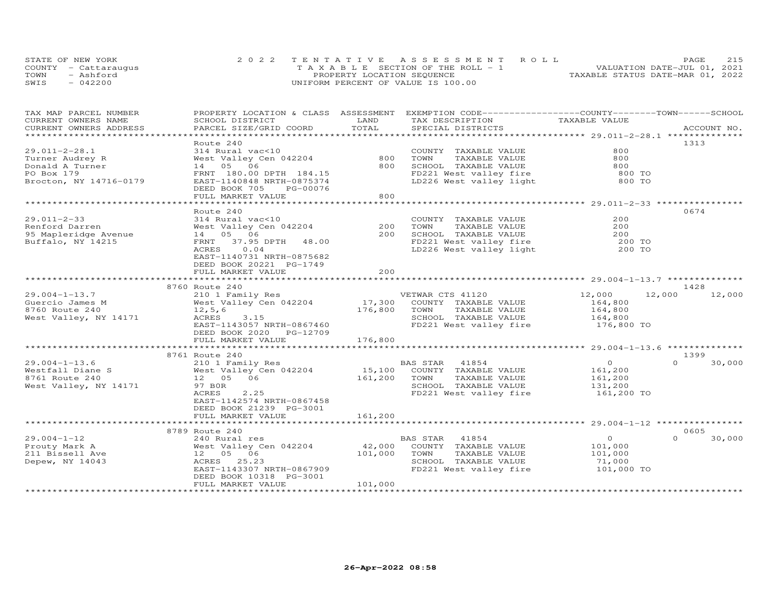|      | STATE OF NEW YORK    | 2022 TENTATIVE ASSESSMENT ROLL        | PAGE                             | 215 |
|------|----------------------|---------------------------------------|----------------------------------|-----|
|      | COUNTY - Cattaraugus | T A X A B L E SECTION OF THE ROLL - 1 | VALUATION DATE-JUL 01, 2021      |     |
| TOWN | - Ashford            | PROPERTY LOCATION SEQUENCE            | TAXABLE STATUS DATE-MAR 01, 2022 |     |
| SWIS | $-042200$            | UNIFORM PERCENT OF VALUE IS 100.00    |                                  |     |

| TAX MAP PARCEL NUMBER<br>CURRENT OWNERS NAME | PROPERTY LOCATION & CLASS ASSESSMENT<br>SCHOOL DISTRICT | LAND                | EXEMPTION CODE-----------------COUNTY-------TOWN------SCHOOL<br>TAX DESCRIPTION | TAXABLE VALUE             |                    |
|----------------------------------------------|---------------------------------------------------------|---------------------|---------------------------------------------------------------------------------|---------------------------|--------------------|
| CURRENT OWNERS ADDRESS                       | PARCEL SIZE/GRID COORD                                  | TOTAL               | SPECIAL DISTRICTS                                                               |                           | ACCOUNT NO.        |
| ******************************               |                                                         |                     |                                                                                 |                           |                    |
|                                              | Route 240                                               |                     |                                                                                 |                           | 1313               |
| $29.011 - 2 - 28.1$                          | 314 Rural vac<10                                        |                     | COUNTY TAXABLE VALUE                                                            | 800                       |                    |
| Turner Audrey R                              | West Valley Cen 042204                                  | 800                 | TAXABLE VALUE<br>TOWN                                                           | 800                       |                    |
| Donald A Turner                              | 14  05  06                                              | 800                 | SCHOOL TAXABLE VALUE                                                            | 800                       |                    |
| PO Box 179                                   | FRNT 180.00 DPTH 184.15                                 |                     | FD221 West valley fire                                                          | 800 TO                    |                    |
| Brocton, NY 14716-0179                       | EAST-1140848 NRTH-0875374                               |                     | LD226 West valley light                                                         | 800 TO                    |                    |
|                                              | DEED BOOK 705<br>PG-00076                               |                     |                                                                                 |                           |                    |
|                                              | FULL MARKET VALUE                                       | 800                 |                                                                                 |                           |                    |
|                                              |                                                         |                     |                                                                                 |                           |                    |
|                                              | Route 240                                               |                     |                                                                                 |                           | 0674               |
| $29.011 - 2 - 33$                            | 314 Rural vac<10                                        |                     | COUNTY TAXABLE VALUE                                                            | 200                       |                    |
| Renford Darren                               | West Valley Cen 042204                                  | 200                 | TAXABLE VALUE<br>TOWN                                                           | 200                       |                    |
| 95 Mapleridge Avenue                         | 14 05 06                                                | 200                 | SCHOOL TAXABLE VALUE                                                            | 200                       |                    |
| Buffalo, NY 14215                            | FRNT<br>37.95 DPTH 48.00                                |                     | FD221 West valley fire 300 TO<br>LD226 West valley light 300 TO                 |                           |                    |
|                                              | ACRES<br>0.04                                           |                     |                                                                                 |                           |                    |
|                                              | EAST-1140731 NRTH-0875682                               |                     |                                                                                 |                           |                    |
|                                              | DEED BOOK 20221 PG-1749                                 |                     |                                                                                 |                           |                    |
|                                              | FULL MARKET VALUE<br>*****************************      | 2.00<br>*********** |                                                                                 |                           |                    |
|                                              |                                                         |                     |                                                                                 |                           |                    |
|                                              | 8760 Route 240                                          |                     |                                                                                 |                           | 1428               |
| $29.004 - 1 - 13.7$                          | 210 1 Family Res                                        | $\frac{VE}{17,300}$ | VETWAR CTS 41120                                                                | 12,000                    | 12,000<br>12,000   |
| Guercio James M                              | West Valley Cen 042204                                  |                     | COUNTY TAXABLE VALUE                                                            | 164,800                   |                    |
| 8760 Route 240                               | 12, 5, 6                                                | 176,800             | TOWN<br>TAXABLE VALUE                                                           | 164,800                   |                    |
| West Valley, NY 14171                        | ACRES<br>3.15                                           |                     | SCHOOL TAXABLE VALUE                                                            | 164,800                   |                    |
|                                              | EAST-1143057 NRTH-0867460                               |                     | FD221 West valley fire 176,800 TO                                               |                           |                    |
|                                              | DEED BOOK 2020 PG-12709                                 |                     |                                                                                 |                           |                    |
|                                              | FULL MARKET VALUE                                       | 176,800             |                                                                                 |                           |                    |
|                                              | 8761 Route 240                                          |                     |                                                                                 |                           | 1399               |
| $29.004 - 1 - 13.6$                          |                                                         |                     | BAS STAR 41854                                                                  |                           | $\Omega$           |
| Westfall Diane S                             | 210 1 Family Res<br>West Valley Cen 042204              |                     |                                                                                 | $\overline{O}$<br>161,200 | 30,000             |
| 8761 Route 240                               | 12  05  06                                              | 161,200             | 15,100 COUNTY TAXABLE VALUE<br>TOWN<br>TAXABLE VALUE                            | 161,200                   |                    |
| West Valley, NY 14171                        | 97 BOR                                                  |                     | SCHOOL TAXABLE VALUE                                                            | 131,200                   |                    |
|                                              | ACRES<br>2.25                                           |                     | FD221 West valley fire                                                          | 161,200 TO                |                    |
|                                              | EAST-1142574 NRTH-0867458                               |                     |                                                                                 |                           |                    |
|                                              | DEED BOOK 21239 PG-3001                                 |                     |                                                                                 |                           |                    |
|                                              | FULL MARKET VALUE                                       | 161,200             |                                                                                 |                           |                    |
|                                              |                                                         |                     |                                                                                 |                           |                    |
|                                              | 8789 Route 240                                          |                     |                                                                                 |                           | 0605               |
| $29.004 - 1 - 12$                            | 240 Rural res                                           |                     | BAS STAR<br>41854                                                               | $\overline{O}$            | 30,000<br>$\Omega$ |
| Prouty Mark A                                | West Valley Cen 042204                                  | 42,000              | COUNTY TAXABLE VALUE                                                            | 101,000                   |                    |
| 211 Bissell Ave                              | 12  05  06                                              | 101,000             | TOWN<br>TAXABLE VALUE                                                           | 101,000                   |                    |
| Depew, NY 14043                              | ACRES 25.23                                             |                     | SCHOOL TAXABLE VALUE                                                            | 71,000                    |                    |
|                                              | EAST-1143307 NRTH-0867909                               |                     | FD221 West valley fire                                                          | 101,000 TO                |                    |
|                                              | DEED BOOK 10318 PG-3001                                 |                     |                                                                                 |                           |                    |
|                                              | FULL MARKET VALUE                                       | 101,000             |                                                                                 |                           |                    |
|                                              |                                                         |                     |                                                                                 |                           |                    |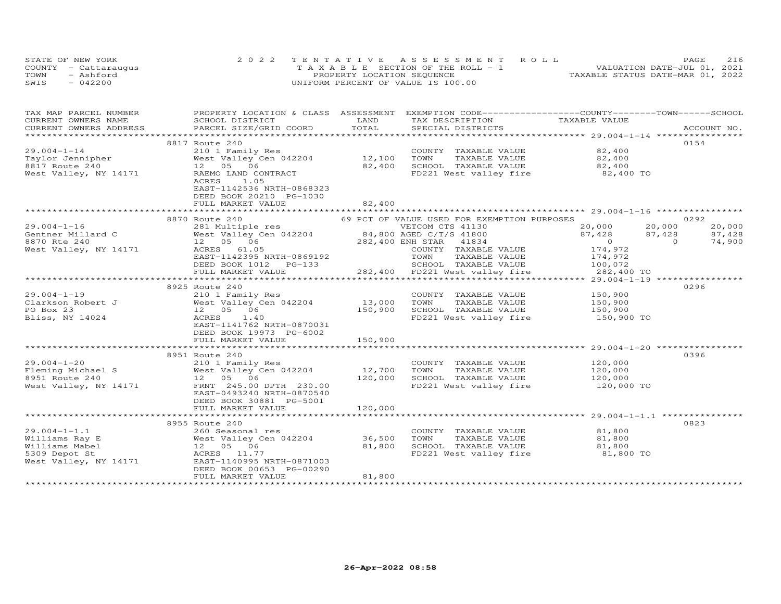| STATE OF NEW YORK    | 2022 TENTATIVE ASSESSMENT ROLL        | 216<br>PAGE.                     |
|----------------------|---------------------------------------|----------------------------------|
| COUNTY - Cattaraugus | T A X A B L E SECTION OF THE ROLL - 1 | VALUATION DATE-JUL 01, 2021      |
| TOWN<br>- Ashford    | PROPERTY LOCATION SEQUENCE            | TAXABLE STATUS DATE-MAR 01, 2022 |
| SWIS<br>$-042200$    | UNIFORM PERCENT OF VALUE IS 100.00    |                                  |

| TAX MAP PARCEL NUMBER  | PROPERTY LOCATION & CLASS ASSESSMENT                                                                                                                      |         | EXEMPTION CODE-----------------COUNTY-------TOWN------SCHOOL                                          |                                                                                            |             |
|------------------------|-----------------------------------------------------------------------------------------------------------------------------------------------------------|---------|-------------------------------------------------------------------------------------------------------|--------------------------------------------------------------------------------------------|-------------|
| CURRENT OWNERS NAME    | SCHOOL DISTRICT                                                                                                                                           | LAND    | TAX DESCRIPTION                                                                                       | TAXABLE VALUE                                                                              |             |
| CURRENT OWNERS ADDRESS | PARCEL SIZE/GRID COORD                                                                                                                                    | TOTAL   | SPECIAL DISTRICTS                                                                                     |                                                                                            | ACCOUNT NO. |
|                        |                                                                                                                                                           |         |                                                                                                       |                                                                                            |             |
|                        | 8817 Route 240                                                                                                                                            |         |                                                                                                       |                                                                                            | 0154        |
| $29.004 - 1 - 14$      | 210 1 Family Res<br>West Valley Cen 042204 12,100                                                                                                         |         | COUNTY TAXABLE VALUE 82,400                                                                           |                                                                                            |             |
| Taylor Jennipher       |                                                                                                                                                           |         | TOWN<br>TAXABLE VALUE                                                                                 | 82,400                                                                                     |             |
| 8817 Route 240         | 12 05 06                                                                                                                                                  | 82,400  |                                                                                                       |                                                                                            |             |
| West Valley, NY 14171  | RAEMO LAND CONTRACT                                                                                                                                       |         | SCHOOL TAXABLE VALUE 62,400<br>FD221 West valley fire 62,400 TO                                       |                                                                                            |             |
|                        | ACRES<br>1.05                                                                                                                                             |         |                                                                                                       |                                                                                            |             |
|                        | EAST-1142536 NRTH-0868323                                                                                                                                 |         |                                                                                                       |                                                                                            |             |
|                        | DEED BOOK 20210 PG-1030                                                                                                                                   |         |                                                                                                       |                                                                                            |             |
|                        | FULL MARKET VALUE                                                                                                                                         | 82,400  |                                                                                                       |                                                                                            |             |
|                        |                                                                                                                                                           |         |                                                                                                       |                                                                                            |             |
|                        | 8870 Route 240                                                                                                                                            |         | 69 PCT OF VALUE USED FOR EXEMPTION PURPOSES                                                           |                                                                                            | 0292        |
| $29.004 - 1 - 16$      |                                                                                                                                                           |         |                                                                                                       |                                                                                            | 20,000      |
| Gentner Millard C      |                                                                                                                                                           |         |                                                                                                       |                                                                                            | 87,428      |
| 8870 Rte 240           |                                                                                                                                                           |         |                                                                                                       |                                                                                            | 74,900      |
| West Valley, NY 14171  | 281 Multiple res<br>d C West Valley Cen 042204<br>282,400 ENE STAR 41834<br>282,400 ENH STAR 41834<br>282,400 ENH STAR 41834<br>COUNTY TAXABLE VALUE      |         |                                                                                                       | $\begin{array}{ccc} 20,000 && 20,000 \\ 87,428 && 87,428 \\ 0 && 0 \\ 174,972 \end{array}$ |             |
|                        |                                                                                                                                                           |         |                                                                                                       |                                                                                            |             |
|                        |                                                                                                                                                           |         |                                                                                                       |                                                                                            |             |
|                        | FULL MARKET VALUE                                                                                                                                         |         | 282,400 FD221 West valley fire 282,400 TO                                                             |                                                                                            |             |
|                        |                                                                                                                                                           |         |                                                                                                       |                                                                                            |             |
|                        | 8925 Route 240                                                                                                                                            |         |                                                                                                       |                                                                                            | 0296        |
| $29.004 - 1 - 19$      | 210 1 Family Res                                                                                                                                          |         | COUNTY TAXABLE VALUE                                                                                  | 150,900                                                                                    |             |
|                        |                                                                                                                                                           |         |                                                                                                       |                                                                                            |             |
|                        | Clarkson Robert J $\begin{array}{ccc} \text{West Valley}^{\bullet} \text{Cen} & 042204 & 13,000 \\ \text{PO Box 23} & 12 & 05 & 06 & 150,900 \end{array}$ |         |                                                                                                       |                                                                                            |             |
| Bliss, NY 14024        | 1.40<br>ACRES                                                                                                                                             |         | FD221 West valley fire 150,900 TO                                                                     |                                                                                            |             |
|                        | EAST-1141762 NRTH-0870031                                                                                                                                 |         |                                                                                                       |                                                                                            |             |
|                        | DEED BOOK 19973 PG-6002                                                                                                                                   |         |                                                                                                       |                                                                                            |             |
|                        | FULL MARKET VALUE                                                                                                                                         | 150,900 |                                                                                                       |                                                                                            |             |
|                        |                                                                                                                                                           |         |                                                                                                       |                                                                                            |             |
|                        | 8951 Route 240                                                                                                                                            |         |                                                                                                       |                                                                                            | 0396        |
|                        |                                                                                                                                                           |         | COUNTY TAXABLE VALUE 120,000<br>TOWN TAXABLE VALUE 120,000<br>SCHOOL TAXABLE VALUE 120,000<br>120,000 |                                                                                            |             |
|                        |                                                                                                                                                           |         |                                                                                                       |                                                                                            |             |
|                        |                                                                                                                                                           |         |                                                                                                       |                                                                                            |             |
|                        | West Valley, NY 14171 FRNT 245.00 DPTH 230.00                                                                                                             |         | FD221 West valley fire                                                                                | 120,000 TO                                                                                 |             |
|                        | EAST-0493240 NRTH-0870540                                                                                                                                 |         |                                                                                                       |                                                                                            |             |
|                        | DEED BOOK 30881 PG-5001                                                                                                                                   |         |                                                                                                       |                                                                                            |             |
|                        | FULL MARKET VALUE                                                                                                                                         | 120,000 |                                                                                                       |                                                                                            |             |
|                        |                                                                                                                                                           |         |                                                                                                       |                                                                                            |             |
|                        | 8955 Route 240                                                                                                                                            |         |                                                                                                       |                                                                                            | 0823        |
| $29.004 - 1 - 1.1$     | 260 Seasonal res                                                                                                                                          |         | COUNTY TAXABLE VALUE                                                                                  | 81,800                                                                                     |             |
| Williams Ray E         |                                                                                                                                                           |         | TOWN                                                                                                  | TAXABLE VALUE 81,800                                                                       |             |
| Williams Mabel         |                                                                                                                                                           |         |                                                                                                       |                                                                                            |             |
| 5309 Depot St          | 260 Seasonal res<br>West Valley Cen 042204 36,500<br>12 05 06 81,800<br>ACRES 11.77                                                                       |         | SCHOOL TAXABLE VALUE 81,800<br>FD221 West valley fire 81,800 TO                                       |                                                                                            |             |
| West Valley, NY 14171  | EAST-1140995 NRTH-0871003                                                                                                                                 |         |                                                                                                       |                                                                                            |             |
|                        | DEED BOOK 00653 PG-00290                                                                                                                                  |         |                                                                                                       |                                                                                            |             |
|                        | FULL MARKET VALUE                                                                                                                                         | 81,800  |                                                                                                       |                                                                                            |             |
|                        |                                                                                                                                                           |         |                                                                                                       |                                                                                            |             |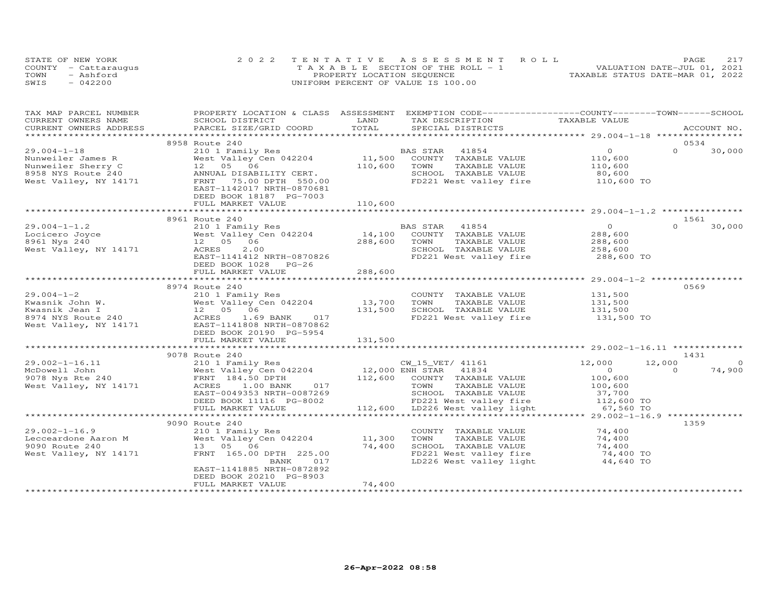| STATE OF NEW YORK    | 2022 TENTATIVE ASSESSMENT ROLL        |                                  | PAGE. |  |
|----------------------|---------------------------------------|----------------------------------|-------|--|
| COUNTY - Cattaraugus | T A X A B L E SECTION OF THE ROLL - 1 | VALUATION DATE-JUL 01, 2021      |       |  |
| TOWN<br>- Ashford    | PROPERTY LOCATION SEQUENCE            | TAXABLE STATUS DATE-MAR 01, 2022 |       |  |
| SWIS<br>$-042200$    | UNIFORM PERCENT OF VALUE IS 100.00    |                                  |       |  |

| TAX MAP PARCEL NUMBER<br>CURRENT OWNERS NAME                                                                                                                                                                                                   | PROPERTY LOCATION & CLASS ASSESSMENT EXEMPTION CODE----------------COUNTY-------TOWN------SCHOOL<br>SCHOOL DISTRICT | LAND    |                                                                                                                                 |          |             |
|------------------------------------------------------------------------------------------------------------------------------------------------------------------------------------------------------------------------------------------------|---------------------------------------------------------------------------------------------------------------------|---------|---------------------------------------------------------------------------------------------------------------------------------|----------|-------------|
| CURRENT OWNERS ADDRESS                                                                                                                                                                                                                         | PARCEL SIZE/GRID COORD                                                                                              | TOTAL   | TAX DESCRIPTION TAXABLE VALUE SPECIAL DISTRICTS                                                                                 |          | ACCOUNT NO. |
|                                                                                                                                                                                                                                                |                                                                                                                     |         |                                                                                                                                 |          |             |
|                                                                                                                                                                                                                                                | 8958 Route 240                                                                                                      |         |                                                                                                                                 | 0534     |             |
|                                                                                                                                                                                                                                                |                                                                                                                     |         |                                                                                                                                 | $\Omega$ | 30,000      |
|                                                                                                                                                                                                                                                |                                                                                                                     |         |                                                                                                                                 |          |             |
|                                                                                                                                                                                                                                                |                                                                                                                     |         |                                                                                                                                 |          |             |
|                                                                                                                                                                                                                                                |                                                                                                                     |         |                                                                                                                                 |          |             |
|                                                                                                                                                                                                                                                |                                                                                                                     |         | FD221 West valley fire 110,600 TO                                                                                               |          |             |
|                                                                                                                                                                                                                                                | EAST-1142017 NRTH-0870681                                                                                           |         |                                                                                                                                 |          |             |
|                                                                                                                                                                                                                                                | DEED BOOK 18187 PG-7003                                                                                             |         |                                                                                                                                 |          |             |
|                                                                                                                                                                                                                                                | FULL MARKET VALUE                                                                                                   | 110,600 |                                                                                                                                 |          |             |
|                                                                                                                                                                                                                                                |                                                                                                                     |         |                                                                                                                                 |          |             |
|                                                                                                                                                                                                                                                |                                                                                                                     |         |                                                                                                                                 | 1561     |             |
|                                                                                                                                                                                                                                                |                                                                                                                     |         |                                                                                                                                 | $\Omega$ | 30,000      |
| 29.004-1-1.2<br>29.004-1-1.2<br>200 1 Family Res<br>200 12 05 06<br>288,600 TOWN TAXABLE VALUE<br>288,600 TOWN TAXABLE VALUE<br>288,600 TOWN TAXABLE VALUE<br>288,600 TOWN TAXABLE VALUE<br>288,600 TOWN TAXABLE VALUE<br>288,600 TOWN TAXABLE |                                                                                                                     |         |                                                                                                                                 |          |             |
|                                                                                                                                                                                                                                                |                                                                                                                     |         |                                                                                                                                 |          |             |
|                                                                                                                                                                                                                                                |                                                                                                                     |         | SCHOOL TAXABLE VALUE 258,600<br>FD221 West valley fire 288,600 TO                                                               |          |             |
|                                                                                                                                                                                                                                                | EAST-1141412 NRTH-0870826                                                                                           |         |                                                                                                                                 |          |             |
|                                                                                                                                                                                                                                                | DEED BOOK 1028 PG-26                                                                                                |         |                                                                                                                                 |          |             |
|                                                                                                                                                                                                                                                | FULL MARKET VALUE                                                                                                   | 288,600 |                                                                                                                                 |          |             |
|                                                                                                                                                                                                                                                |                                                                                                                     |         |                                                                                                                                 |          |             |
|                                                                                                                                                                                                                                                |                                                                                                                     |         |                                                                                                                                 | 0569     |             |
|                                                                                                                                                                                                                                                |                                                                                                                     |         |                                                                                                                                 |          |             |
|                                                                                                                                                                                                                                                |                                                                                                                     |         | COUNTY TAXABLE VALUE 131,500<br>TOWN TAXABLE VALUE 131,500<br>SCHOOL TAXABLE VALUE 131,500<br>FD221 West valley fire 131,500 TO |          |             |
|                                                                                                                                                                                                                                                |                                                                                                                     |         | SCHOOL TAXABLE VALUE                                                                                                            |          |             |
|                                                                                                                                                                                                                                                |                                                                                                                     |         |                                                                                                                                 |          |             |
|                                                                                                                                                                                                                                                |                                                                                                                     |         |                                                                                                                                 |          |             |
|                                                                                                                                                                                                                                                |                                                                                                                     |         |                                                                                                                                 |          |             |
|                                                                                                                                                                                                                                                |                                                                                                                     |         |                                                                                                                                 |          |             |
|                                                                                                                                                                                                                                                | 9078 Route 240                                                                                                      |         |                                                                                                                                 | 1431     |             |
|                                                                                                                                                                                                                                                |                                                                                                                     |         |                                                                                                                                 | 12,000   | $\circ$     |
|                                                                                                                                                                                                                                                |                                                                                                                     |         |                                                                                                                                 | $\Omega$ | 74,900      |
|                                                                                                                                                                                                                                                |                                                                                                                     |         |                                                                                                                                 |          |             |
|                                                                                                                                                                                                                                                |                                                                                                                     |         |                                                                                                                                 |          |             |
|                                                                                                                                                                                                                                                |                                                                                                                     |         |                                                                                                                                 |          |             |
|                                                                                                                                                                                                                                                |                                                                                                                     |         |                                                                                                                                 |          |             |
|                                                                                                                                                                                                                                                |                                                                                                                     |         |                                                                                                                                 |          |             |
|                                                                                                                                                                                                                                                |                                                                                                                     |         |                                                                                                                                 |          |             |
|                                                                                                                                                                                                                                                | 9090 Route 240                                                                                                      |         |                                                                                                                                 | 1359     |             |
|                                                                                                                                                                                                                                                |                                                                                                                     |         | COUNTY TAXABLE VALUE 74,400                                                                                                     |          |             |
|                                                                                                                                                                                                                                                |                                                                                                                     |         | TOWN<br>TOWN TAXABLE VALUE<br>SCHOOL TAXABLE VALUE 74,400<br>TOWN TAXABLE VALUE 74,400 TO                                       |          |             |
|                                                                                                                                                                                                                                                |                                                                                                                     |         |                                                                                                                                 |          |             |
| West Valley, NY 14171 FRNT 165.00 DPTH 225.00                                                                                                                                                                                                  |                                                                                                                     |         |                                                                                                                                 |          |             |
|                                                                                                                                                                                                                                                | 017<br>BANK                                                                                                         |         | FD221 West valley fire 74,400 TO<br>LD226 West valley light 44,640 TO                                                           |          |             |
|                                                                                                                                                                                                                                                | EAST-1141885 NRTH-0872892                                                                                           |         |                                                                                                                                 |          |             |
|                                                                                                                                                                                                                                                | DEED BOOK 20210 PG-8903                                                                                             |         |                                                                                                                                 |          |             |
|                                                                                                                                                                                                                                                | FULL MARKET VALUE                                                                                                   | 74,400  |                                                                                                                                 |          |             |
|                                                                                                                                                                                                                                                |                                                                                                                     |         |                                                                                                                                 |          |             |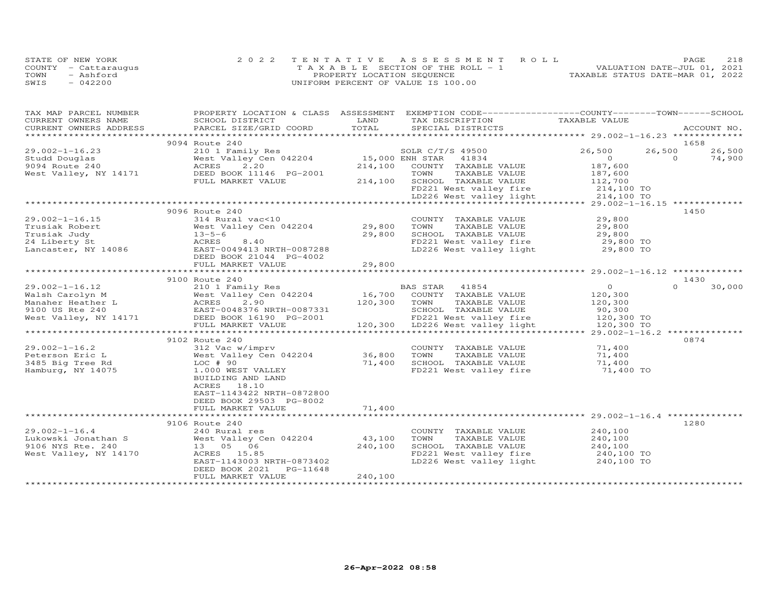|      | STATE OF NEW YORK    | 2022 TENTATIVE ASSESSMENT ROLL        | 2.18<br>PAGE                     |
|------|----------------------|---------------------------------------|----------------------------------|
|      | COUNTY - Cattaraugus | T A X A B L E SECTION OF THE ROLL - 1 | VALUATION DATE-JUL 01, 2021      |
| TOWN | - Ashford            | PROPERTY LOCATION SEQUENCE            | TAXABLE STATUS DATE-MAR 01, 2022 |
| SWIS | $-042200$            | UNIFORM PERCENT OF VALUE IS 100.00    |                                  |

| TAX MAP PARCEL NUMBER<br>CURRENT OWNERS NAME                                                                                                                                                                                                                                         | PROPERTY LOCATION & CLASS ASSESSMENT<br>SCHOOL DISTRICT                                                     | LAND                                 | EXEMPTION CODE-----------------COUNTY-------TOWN------SCHOOL<br>TAX DESCRIPTION                                                               | TAXABLE VALUE  |                |             |
|--------------------------------------------------------------------------------------------------------------------------------------------------------------------------------------------------------------------------------------------------------------------------------------|-------------------------------------------------------------------------------------------------------------|--------------------------------------|-----------------------------------------------------------------------------------------------------------------------------------------------|----------------|----------------|-------------|
| .CURRENT OWNERS ADDRESS PARCEL SIZE/GRID COORD TOTAL SPECIAL DISTRICTS ACCOUNT NO ACCOUNT NO ARCOUNT NO ARE THE SERVER AND RESOLUT AS THE SERVER AND MALL SERVER ASSESS THAT A THE SERVER AND RESOLUT THAT A SERVER AND RESOLU                                                       |                                                                                                             |                                      |                                                                                                                                               |                |                | ACCOUNT NO. |
|                                                                                                                                                                                                                                                                                      |                                                                                                             |                                      |                                                                                                                                               |                |                |             |
| $29.002 - 1 - 16.23$                                                                                                                                                                                                                                                                 | 9094 Route 240                                                                                              |                                      | SOLR C/T/S 49500 26,500                                                                                                                       |                | 1658<br>26,500 | 26,500      |
| Studd Douglas                                                                                                                                                                                                                                                                        | 210 1 Family Res<br>West Valley Cen 042204 15,000 ENH STAR 41834<br>ACRES 2.20 214,100 COUNTY TAXABLE VALUE |                                      |                                                                                                                                               | $\overline{0}$ | $\Omega$       | 74,900      |
| 9094 Route 240                                                                                                                                                                                                                                                                       |                                                                                                             |                                      | 214,100 COUNTY TAXABLE VALUE                                                                                                                  | 187,600        |                |             |
| West Valley, NY 14171                                                                                                                                                                                                                                                                | DEED BOOK 11146 PG-2001                                                                                     |                                      |                                                                                                                                               |                |                |             |
|                                                                                                                                                                                                                                                                                      | FULL MARKET VALUE                                                                                           |                                      |                                                                                                                                               |                |                |             |
|                                                                                                                                                                                                                                                                                      |                                                                                                             |                                      |                                                                                                                                               |                |                |             |
|                                                                                                                                                                                                                                                                                      |                                                                                                             |                                      | TOWN TAXABLE VALUE 187,600<br>214,100 SCHOOL TAXABLE VALUE 112,700<br>FD221 West valley fire 214,100 TO<br>LD226 West valley light 214,100 TO |                |                |             |
|                                                                                                                                                                                                                                                                                      |                                                                                                             |                                      |                                                                                                                                               |                |                |             |
|                                                                                                                                                                                                                                                                                      | 9096 Route 240                                                                                              |                                      |                                                                                                                                               |                | 1450           |             |
| $\begin{tabular}{llllll} 29.002-1-16.15 & 314 {\rm \; Rur} \\ \hline \text{Trusiak \; Robert} & \text{West \; Va} \\ \text{Trusiak \; Judy} & 13-5-6 \\ 24 {\rm \; Liberty \; St} & \text{ACRES} \\ \text{Lancaster, \; NY \; 14086} & \text{EAST-0} \\ \text{DEED B} \end{tabular}$ | 314 Rural vac<10                                                                                            |                                      | COUNTY TAXABLE VALUE                                                                                                                          | 29,800         |                |             |
|                                                                                                                                                                                                                                                                                      | COUN: 314 Rural vac<10 (29,800 COUN)<br>West Valley Cen 042204 29,800 TOWN                                  |                                      | TAXABLE VALUE<br>TAXABLE VALUE 29,800<br>TAXABLE VALUE 29,800                                                                                 |                |                |             |
|                                                                                                                                                                                                                                                                                      |                                                                                                             | 29,800                               |                                                                                                                                               |                |                |             |
|                                                                                                                                                                                                                                                                                      | ACRES      8.40<br>EAST-0049413 NRTH-0087288                                                                |                                      |                                                                                                                                               |                |                |             |
|                                                                                                                                                                                                                                                                                      |                                                                                                             |                                      | LD226 West valley light 29,800 TO                                                                                                             |                |                |             |
|                                                                                                                                                                                                                                                                                      | DEED BOOK 21044 PG-4002                                                                                     |                                      |                                                                                                                                               |                |                |             |
|                                                                                                                                                                                                                                                                                      |                                                                                                             |                                      |                                                                                                                                               |                |                |             |
|                                                                                                                                                                                                                                                                                      |                                                                                                             |                                      |                                                                                                                                               |                |                |             |
|                                                                                                                                                                                                                                                                                      | 9100 Route 240                                                                                              |                                      |                                                                                                                                               |                | 1430           |             |
|                                                                                                                                                                                                                                                                                      |                                                                                                             |                                      |                                                                                                                                               |                |                | 30,000      |
|                                                                                                                                                                                                                                                                                      |                                                                                                             |                                      |                                                                                                                                               |                |                |             |
|                                                                                                                                                                                                                                                                                      |                                                                                                             |                                      |                                                                                                                                               |                |                |             |
|                                                                                                                                                                                                                                                                                      |                                                                                                             |                                      |                                                                                                                                               |                |                |             |
|                                                                                                                                                                                                                                                                                      |                                                                                                             |                                      |                                                                                                                                               |                |                |             |
| 30,000 1-16.12 20 210 1 Family Res BAS STAR 41854 20 0 0 0 0 0 30,000 2-1-16.12 210 1 Family Res BAS STAR 41854 20 0 0 0 0 0 30,000 200 0 0 0 0 30,000 2 30,000 2 30,000 2 30,000 2 30 0 0 0 30,000 2 30 0 0 0 0 0 0 0 0 0 0 0                                                       |                                                                                                             |                                      |                                                                                                                                               |                |                |             |
|                                                                                                                                                                                                                                                                                      | 9102 Route 240                                                                                              |                                      |                                                                                                                                               |                | 0874           |             |
| $29.002 - 1 - 16.2$                                                                                                                                                                                                                                                                  | 312 Vac w/imprv                                                                                             |                                      | COUNTY TAXABLE VALUE                                                                                                                          | 71,400         |                |             |
| Peterson Eric L                                                                                                                                                                                                                                                                      | West Valley Cen 042204                                                                                      |                                      | TAXABLE VALUE                                                                                                                                 | 71,400         |                |             |
| 3485 Big Tree Rd                                                                                                                                                                                                                                                                     | $LOC$ $#$ 90                                                                                                | 36,800 TOWN<br>71,400 SCHOC<br>FD221 | SCHOOL TAXABLE VALUE                                                                                                                          | 71,400         |                |             |
| Hamburg, NY 14075                                                                                                                                                                                                                                                                    | 1.000 WEST VALLEY                                                                                           |                                      | FD221 West valley fire                                                                                                                        | 71,400 TO      |                |             |
|                                                                                                                                                                                                                                                                                      | BUILDING AND LAND                                                                                           |                                      |                                                                                                                                               |                |                |             |
|                                                                                                                                                                                                                                                                                      | ACRES 18.10                                                                                                 |                                      |                                                                                                                                               |                |                |             |
|                                                                                                                                                                                                                                                                                      | EAST-1143422 NRTH-0872800                                                                                   |                                      |                                                                                                                                               |                |                |             |
|                                                                                                                                                                                                                                                                                      | DEED BOOK 29503 PG-8002                                                                                     |                                      |                                                                                                                                               |                |                |             |
|                                                                                                                                                                                                                                                                                      | FULL MARKET VALUE                                                                                           | 71,400                               |                                                                                                                                               |                |                |             |
|                                                                                                                                                                                                                                                                                      |                                                                                                             |                                      |                                                                                                                                               |                |                |             |
|                                                                                                                                                                                                                                                                                      | 9106 Route 240                                                                                              |                                      |                                                                                                                                               |                | 1280           |             |
| $29.002 - 1 - 16.4$                                                                                                                                                                                                                                                                  | 240 Rural res                                                                                               |                                      | COUNTY TAXABLE VALUE 240,100                                                                                                                  |                |                |             |
| Lukowski Jonathan S                                                                                                                                                                                                                                                                  | West Valley Cen 042204                                                                                      | 43,100                               | TAXABLE VALUE<br>TOWN                                                                                                                         | 240,100        |                |             |
| 9106 NYS Rte. 240<br>West Valley, NY 14170                                                                                                                                                                                                                                           | 13 05 06                                                                                                    | 240,100                              | SCHOOL TAXABLE VALUE 240,100<br>FD221 West valley fire 240,100 TO                                                                             |                |                |             |
|                                                                                                                                                                                                                                                                                      | ACRES 15.85<br>EAST-1143003 NRTH-0873402                                                                    |                                      | LD226 West valley light                                                                                                                       | 240,100 TO     |                |             |
|                                                                                                                                                                                                                                                                                      | DEED BOOK 2021<br>PG-11648                                                                                  |                                      |                                                                                                                                               |                |                |             |
|                                                                                                                                                                                                                                                                                      | FULL MARKET VALUE                                                                                           | 240,100                              |                                                                                                                                               |                |                |             |
|                                                                                                                                                                                                                                                                                      |                                                                                                             |                                      |                                                                                                                                               |                |                |             |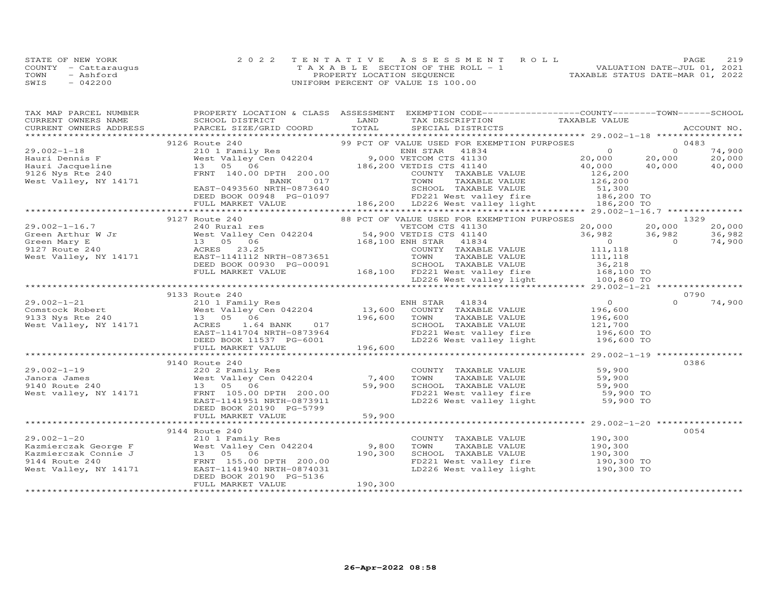|      | STATE OF NEW YORK    | 2022 TENTATIVE ASSESSMENT ROLL        | 219<br>PAGE                      |
|------|----------------------|---------------------------------------|----------------------------------|
|      | COUNTY - Cattaraugus | T A X A B L E SECTION OF THE ROLL - 1 | VALUATION DATE-JUL 01, 2021      |
| TOWN | - Ashford            | PROPERTY LOCATION SEQUENCE            | TAXABLE STATUS DATE-MAR 01, 2022 |
| SWIS | $-042200$            | UNIFORM PERCENT OF VALUE IS 100.00    |                                  |

| TAX MAP PARCEL NUMBER                                                                                                                                                                                                                                                                                                 |                                              |         | PROPERTY LOCATION & CLASS ASSESSMENT EXEMPTION CODE----------------COUNTY-------TOWN------SCHOOL                                                                      |          |        |
|-----------------------------------------------------------------------------------------------------------------------------------------------------------------------------------------------------------------------------------------------------------------------------------------------------------------------|----------------------------------------------|---------|-----------------------------------------------------------------------------------------------------------------------------------------------------------------------|----------|--------|
|                                                                                                                                                                                                                                                                                                                       |                                              |         |                                                                                                                                                                       |          |        |
|                                                                                                                                                                                                                                                                                                                       |                                              |         |                                                                                                                                                                       |          |        |
|                                                                                                                                                                                                                                                                                                                       |                                              |         |                                                                                                                                                                       |          |        |
|                                                                                                                                                                                                                                                                                                                       |                                              |         |                                                                                                                                                                       |          |        |
|                                                                                                                                                                                                                                                                                                                       |                                              |         |                                                                                                                                                                       |          |        |
|                                                                                                                                                                                                                                                                                                                       |                                              |         |                                                                                                                                                                       |          |        |
|                                                                                                                                                                                                                                                                                                                       |                                              |         |                                                                                                                                                                       |          |        |
|                                                                                                                                                                                                                                                                                                                       |                                              |         |                                                                                                                                                                       |          |        |
|                                                                                                                                                                                                                                                                                                                       |                                              |         |                                                                                                                                                                       |          |        |
|                                                                                                                                                                                                                                                                                                                       |                                              |         |                                                                                                                                                                       |          |        |
|                                                                                                                                                                                                                                                                                                                       |                                              |         |                                                                                                                                                                       |          |        |
|                                                                                                                                                                                                                                                                                                                       |                                              |         |                                                                                                                                                                       |          |        |
|                                                                                                                                                                                                                                                                                                                       |                                              |         |                                                                                                                                                                       |          |        |
|                                                                                                                                                                                                                                                                                                                       |                                              |         |                                                                                                                                                                       |          | 1329   |
|                                                                                                                                                                                                                                                                                                                       |                                              |         |                                                                                                                                                                       |          | 20,000 |
|                                                                                                                                                                                                                                                                                                                       |                                              |         |                                                                                                                                                                       |          | 36,982 |
|                                                                                                                                                                                                                                                                                                                       |                                              |         |                                                                                                                                                                       |          | 74,900 |
|                                                                                                                                                                                                                                                                                                                       |                                              |         |                                                                                                                                                                       |          |        |
|                                                                                                                                                                                                                                                                                                                       |                                              |         |                                                                                                                                                                       |          |        |
|                                                                                                                                                                                                                                                                                                                       |                                              |         |                                                                                                                                                                       |          |        |
|                                                                                                                                                                                                                                                                                                                       |                                              |         |                                                                                                                                                                       |          |        |
|                                                                                                                                                                                                                                                                                                                       |                                              |         |                                                                                                                                                                       |          |        |
|                                                                                                                                                                                                                                                                                                                       |                                              |         |                                                                                                                                                                       |          |        |
|                                                                                                                                                                                                                                                                                                                       | 9133 Route 240                               |         |                                                                                                                                                                       |          | 0790   |
|                                                                                                                                                                                                                                                                                                                       |                                              |         |                                                                                                                                                                       | $\Omega$ | 74,900 |
|                                                                                                                                                                                                                                                                                                                       |                                              |         |                                                                                                                                                                       |          |        |
|                                                                                                                                                                                                                                                                                                                       |                                              |         |                                                                                                                                                                       |          |        |
|                                                                                                                                                                                                                                                                                                                       |                                              |         |                                                                                                                                                                       |          |        |
|                                                                                                                                                                                                                                                                                                                       |                                              |         |                                                                                                                                                                       |          |        |
|                                                                                                                                                                                                                                                                                                                       |                                              |         |                                                                                                                                                                       |          |        |
| $\begin{array}{cccccccc} 29.002-1-21 & 210 & \text{NUC} & 210 & \text{ENI} & 57 \text{R} & 41834 & 0 \\ 200 & 210 & 1 & 210 & 1 & 210 & 1 \\ 201 & 1 & 210 & 1 & 0 & 0 \\ 913 & Nys Rte & 240 & 13 & 05 & 06 & 196,600 & 1960 & 100 \\ 913 & Nys Rte & 240 & 13 & 05 & 06 & 196,600 & 100 \\ 913 & Nys Rte & 240 & 1$ |                                              |         |                                                                                                                                                                       |          |        |
|                                                                                                                                                                                                                                                                                                                       |                                              |         |                                                                                                                                                                       |          |        |
|                                                                                                                                                                                                                                                                                                                       |                                              |         |                                                                                                                                                                       |          | 0386   |
|                                                                                                                                                                                                                                                                                                                       |                                              |         |                                                                                                                                                                       |          |        |
|                                                                                                                                                                                                                                                                                                                       |                                              |         |                                                                                                                                                                       |          |        |
|                                                                                                                                                                                                                                                                                                                       |                                              |         |                                                                                                                                                                       |          |        |
|                                                                                                                                                                                                                                                                                                                       |                                              |         |                                                                                                                                                                       |          |        |
|                                                                                                                                                                                                                                                                                                                       |                                              |         | COUNTY TAXABLE VALUE<br>TOWN TAXABLE VALUE 59,900<br>SCHOOL TAXABLE VALUE 59,900<br>FD221 West valley fire 59,900 TO<br>LD226 West valley light 59,900 TO             |          |        |
|                                                                                                                                                                                                                                                                                                                       | DEED BOOK 20190 PG-5799                      |         |                                                                                                                                                                       |          |        |
|                                                                                                                                                                                                                                                                                                                       |                                              |         |                                                                                                                                                                       |          |        |
|                                                                                                                                                                                                                                                                                                                       |                                              |         |                                                                                                                                                                       |          |        |
|                                                                                                                                                                                                                                                                                                                       | 9144 Route 240                               |         |                                                                                                                                                                       |          | 0054   |
|                                                                                                                                                                                                                                                                                                                       |                                              |         |                                                                                                                                                                       |          |        |
|                                                                                                                                                                                                                                                                                                                       |                                              |         |                                                                                                                                                                       |          |        |
|                                                                                                                                                                                                                                                                                                                       |                                              |         |                                                                                                                                                                       |          |        |
| 29.002-1-20<br>Kazmierczak George F 210 1 Family Res<br>Kazmierczak Connie J 13 05 06 190,300<br>9144 Route 240 FRNT 155.00 DPTH 200.00<br>West Valley, NY 14171 EAST-1141940 NRTH-0874031<br>RES POCK 20190 NRTH-0874031                                                                                             |                                              |         | COUNTY TAXABLE VALUE 190,300<br>TOWN TAXABLE VALUE 190,300<br>SCHOOL TAXABLE VALUE 190,300<br>FD221 West valley fire 190,300 TO<br>LD226 West valley light 190,300 TO |          |        |
|                                                                                                                                                                                                                                                                                                                       |                                              |         |                                                                                                                                                                       |          |        |
|                                                                                                                                                                                                                                                                                                                       | DEED BOOK 20190 PG-5136<br>FULL MARKET VALUE | 190,300 |                                                                                                                                                                       |          |        |
|                                                                                                                                                                                                                                                                                                                       |                                              |         |                                                                                                                                                                       |          |        |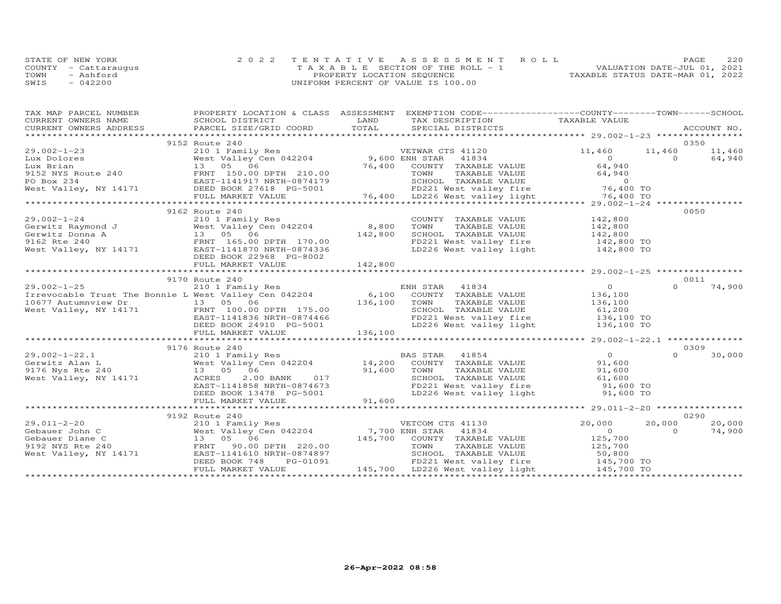| STATE OF NEW YORK    | 2022 TENTATIVE ASSESSMENT ROLL        | 2.2.0<br>PAGE.                   |
|----------------------|---------------------------------------|----------------------------------|
| COUNTY - Cattaraugus | T A X A B L E SECTION OF THE ROLL - 1 | VALUATION DATE-JUL 01, 2021      |
| TOWN<br>- Ashford    | PROPERTY LOCATION SEQUENCE            | TAXABLE STATUS DATE-MAR 01, 2022 |
| $-042200$<br>SWIS    | UNIFORM PERCENT OF VALUE IS 100.00    |                                  |

| TAX MAP PARCEL NUMBER                                                                                                    | PROPERTY LOCATION & CLASS ASSESSMENT                                                                                                                                                                                                     |         | EXEMPTION CODE-----------------COUNTY-------TOWN------SCHOOL                                                             |                |          |        |
|--------------------------------------------------------------------------------------------------------------------------|------------------------------------------------------------------------------------------------------------------------------------------------------------------------------------------------------------------------------------------|---------|--------------------------------------------------------------------------------------------------------------------------|----------------|----------|--------|
|                                                                                                                          |                                                                                                                                                                                                                                          |         | TAX DESCRIPTION TAXABLE VALUE                                                                                            |                |          |        |
|                                                                                                                          |                                                                                                                                                                                                                                          |         |                                                                                                                          |                |          |        |
|                                                                                                                          |                                                                                                                                                                                                                                          |         |                                                                                                                          |                |          |        |
|                                                                                                                          | 9152 Route 240                                                                                                                                                                                                                           |         |                                                                                                                          |                |          | 0350   |
| $29.002 - 1 - 23$                                                                                                        | 210 1 Family Res<br>West Valley Cen 042204 9,600 ENH STAR<br>13 05 06 76,400 COUNTY                                                                                                                                                      |         | VETWAR CTS 41120                                                                                                         | 11,460         | 11,460   | 11,460 |
|                                                                                                                          |                                                                                                                                                                                                                                          |         |                                                                                                                          |                |          |        |
|                                                                                                                          |                                                                                                                                                                                                                                          |         |                                                                                                                          |                |          |        |
|                                                                                                                          |                                                                                                                                                                                                                                          |         |                                                                                                                          |                |          |        |
|                                                                                                                          |                                                                                                                                                                                                                                          |         |                                                                                                                          |                |          |        |
|                                                                                                                          |                                                                                                                                                                                                                                          |         |                                                                                                                          |                |          |        |
|                                                                                                                          |                                                                                                                                                                                                                                          |         |                                                                                                                          |                |          |        |
|                                                                                                                          | 2.0.02 and 2.04 and 2.04 and 2.04 and 2.04 and 2.04 and 2.04 and 2.04 and 2.04 and 2.04 and 2.04 and 2.04 and 2.04 and 2.04 and 2.04 and 2.04 and 2.04 and 2.04 and 2.04 and 2.04 and 2.04 and 2.04 and 2.04 and 2.04 and 2.04           |         |                                                                                                                          |                |          |        |
|                                                                                                                          | 9162 Route 240                                                                                                                                                                                                                           |         |                                                                                                                          |                |          | 0050   |
|                                                                                                                          |                                                                                                                                                                                                                                          |         | COUNTY TAXABLE VALUE                                                                                                     | 142,800        |          |        |
|                                                                                                                          |                                                                                                                                                                                                                                          |         | TOWN<br>TAXABLE VALUE                                                                                                    | 142,800        |          |        |
|                                                                                                                          |                                                                                                                                                                                                                                          |         |                                                                                                                          |                |          |        |
|                                                                                                                          | 29.002-1-24 210 1 Family Res<br>Gerwitz Raymond J West Valley Cen 042204 8,800<br>Gerwitz Donna A 13 05 06 142,800<br>9162 Rte 240 FRNT 165.00 DPTH 170.00<br>West Valley, NY 14171 EAST-1141870 NRTH-0874336<br>FRNT 165.00 DPTH 170.00 |         | SCHOOL TAXABLE VALUE 142,800<br>FD221 West valley fire 142,800 TO<br>LD226 West valley light 142,800 TO                  |                |          |        |
|                                                                                                                          |                                                                                                                                                                                                                                          |         |                                                                                                                          |                |          |        |
|                                                                                                                          | DEED BOOK 22968 PG-8002                                                                                                                                                                                                                  |         |                                                                                                                          |                |          |        |
|                                                                                                                          | FULL MARKET VALUE                                                                                                                                                                                                                        | 142,800 |                                                                                                                          |                |          |        |
|                                                                                                                          |                                                                                                                                                                                                                                          |         |                                                                                                                          |                |          |        |
|                                                                                                                          | 9170 Route 240                                                                                                                                                                                                                           |         |                                                                                                                          |                |          | 0011   |
|                                                                                                                          |                                                                                                                                                                                                                                          |         |                                                                                                                          | $\overline{0}$ | $\Omega$ | 74,900 |
|                                                                                                                          | 29.002-1-25 210 1 Family Res ENH STAR 41834<br>Irrevocable Trust The Bonnie L West Valley Cen 042204 6,100 COUNTY TAXABLE VALUE                                                                                                          |         |                                                                                                                          | 136,100        |          |        |
|                                                                                                                          | $29.002 - 125$<br>Irevocable Trust The Bonnie L West value, 13<br>10677 Autumnview Dr 13 05 06<br>West Valley, NY 14171 FRNT 100.00 DPTH 175.00<br>EAST-1141836 NRTH-0874466<br>EAST-1141836 NRTH-0874466                                |         | TAXABLE VALUE 136,100<br>TOWN                                                                                            |                |          |        |
|                                                                                                                          |                                                                                                                                                                                                                                          |         | SCHOOL TAXABLE VALUE                                                                                                     | 61,200         |          |        |
|                                                                                                                          |                                                                                                                                                                                                                                          |         | FD221 West valley fire 136,100 TO                                                                                        |                |          |        |
|                                                                                                                          |                                                                                                                                                                                                                                          |         | LD226 West valley light                                                                                                  | 136,100 TO     |          |        |
|                                                                                                                          |                                                                                                                                                                                                                                          |         |                                                                                                                          |                |          |        |
|                                                                                                                          |                                                                                                                                                                                                                                          |         |                                                                                                                          |                |          |        |
|                                                                                                                          | 9176 Route 240                                                                                                                                                                                                                           |         |                                                                                                                          |                |          | 0309   |
|                                                                                                                          |                                                                                                                                                                                                                                          |         | 41854<br>BAS STAR                                                                                                        | $\overline{O}$ | $\cap$   | 30,000 |
|                                                                                                                          |                                                                                                                                                                                                                                          |         | COUNTY TAXABLE VALUE                                                                                                     | 91,600         |          |        |
|                                                                                                                          |                                                                                                                                                                                                                                          |         |                                                                                                                          | 91,600         |          |        |
|                                                                                                                          |                                                                                                                                                                                                                                          |         | TOWN       TAXABLE  VALUE<br>SCHOOL    TAXABLE  VALUE                                                                    | 61,600         |          |        |
|                                                                                                                          | 13 05 06 91,600<br>ACRES 2.00 BANK 017<br>EAST-1141858 NRTH-0874673<br>DEED BOOK 13478 PG-5001                                                                                                                                           |         | FD221 West valley fire<br>LD226 West valley fire<br>LD226 West valley light<br>91,600 TO                                 |                |          |        |
|                                                                                                                          |                                                                                                                                                                                                                                          |         |                                                                                                                          |                |          |        |
|                                                                                                                          | FULL MARKET VALUE                                                                                                                                                                                                                        | 91,600  |                                                                                                                          |                |          |        |
|                                                                                                                          |                                                                                                                                                                                                                                          |         |                                                                                                                          |                |          |        |
|                                                                                                                          | 9192 Route 240                                                                                                                                                                                                                           |         |                                                                                                                          |                |          | 0290   |
| $29.011 - 2 - 20$                                                                                                        |                                                                                                                                                                                                                                          |         | VETCOM CTS 41130                                                                                                         | 20,000         | 20,000   | 20,000 |
|                                                                                                                          | 210 1 Family Res<br>West Valley Cen 042204 7,700 ENH STAR 41834                                                                                                                                                                          |         |                                                                                                                          | $\sim$ 0       | $\Omega$ | 74,900 |
|                                                                                                                          | 13  05  06                                                                                                                                                                                                                               |         | 145,700 COUNTY TAXABLE VALUE                                                                                             | 125,700        |          |        |
| z <sub>3</sub> .011-z <sub>2</sub> -z0<br>Gebauer John C<br>Gebauer Diane C<br>9192 NYS Rte 240<br>West Valley, NY 14171 | 90.00 DPTH 220.00<br>FRNT                                                                                                                                                                                                                |         |                                                                                                                          |                |          |        |
|                                                                                                                          | EAST-1141610 NRTH-0874897                                                                                                                                                                                                                |         |                                                                                                                          |                |          |        |
|                                                                                                                          | DEED BOOK 748<br>PG-01091                                                                                                                                                                                                                |         |                                                                                                                          |                |          |        |
|                                                                                                                          | FULL MARKET VALUE                                                                                                                                                                                                                        |         | %1.00 TOWN TAXABLE VALUE 125,700<br>14897 SCHOOL TAXABLE VALUE 50,800<br>1091 145,700 LD226 West valley light 145,700 TO |                |          |        |
|                                                                                                                          |                                                                                                                                                                                                                                          |         |                                                                                                                          |                |          |        |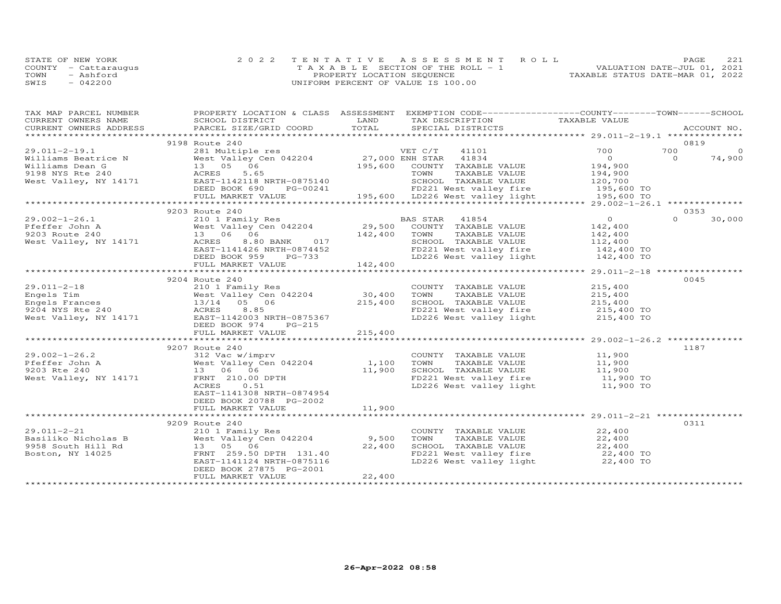|      | STATE OF NEW YORK    | 2022 TENTATIVE ASSESSMENT ROLL        | PAGE                             | 221 |
|------|----------------------|---------------------------------------|----------------------------------|-----|
|      | COUNTY - Cattaraugus | T A X A B L E SECTION OF THE ROLL - 1 | VALUATION DATE-JUL 01, 2021      |     |
| TOWN | - Ashford            | PROPERTY LOCATION SEQUENCE            | TAXABLE STATUS DATE-MAR 01, 2022 |     |
| SWIS | $-042200$            | UNIFORM PERCENT OF VALUE IS 100.00    |                                  |     |

| TAX MAP PARCEL NUMBER | PROPERTY LOCATION & CLASS ASSESSMENT EXEMPTION CODE-----------------COUNTY-------TOWN------SCHOOL                                                                                                                                                                                                                                                |         |                                                                                                                                                            |                    |      |        |
|-----------------------|--------------------------------------------------------------------------------------------------------------------------------------------------------------------------------------------------------------------------------------------------------------------------------------------------------------------------------------------------|---------|------------------------------------------------------------------------------------------------------------------------------------------------------------|--------------------|------|--------|
|                       |                                                                                                                                                                                                                                                                                                                                                  |         |                                                                                                                                                            |                    |      |        |
|                       |                                                                                                                                                                                                                                                                                                                                                  |         |                                                                                                                                                            |                    |      |        |
|                       |                                                                                                                                                                                                                                                                                                                                                  |         |                                                                                                                                                            |                    |      |        |
|                       | 9198 Route 240                                                                                                                                                                                                                                                                                                                                   |         |                                                                                                                                                            |                    | 0819 |        |
|                       |                                                                                                                                                                                                                                                                                                                                                  |         |                                                                                                                                                            |                    |      |        |
|                       |                                                                                                                                                                                                                                                                                                                                                  |         |                                                                                                                                                            |                    |      |        |
|                       |                                                                                                                                                                                                                                                                                                                                                  |         |                                                                                                                                                            |                    |      |        |
|                       |                                                                                                                                                                                                                                                                                                                                                  |         |                                                                                                                                                            |                    |      |        |
|                       |                                                                                                                                                                                                                                                                                                                                                  |         |                                                                                                                                                            |                    |      |        |
|                       |                                                                                                                                                                                                                                                                                                                                                  |         |                                                                                                                                                            |                    |      |        |
|                       |                                                                                                                                                                                                                                                                                                                                                  |         |                                                                                                                                                            |                    |      |        |
|                       |                                                                                                                                                                                                                                                                                                                                                  |         |                                                                                                                                                            |                    |      |        |
|                       | 9203 Route 240                                                                                                                                                                                                                                                                                                                                   |         |                                                                                                                                                            |                    |      | 0353   |
|                       |                                                                                                                                                                                                                                                                                                                                                  |         |                                                                                                                                                            |                    |      | 30,000 |
|                       |                                                                                                                                                                                                                                                                                                                                                  |         |                                                                                                                                                            |                    |      |        |
|                       |                                                                                                                                                                                                                                                                                                                                                  |         |                                                                                                                                                            |                    |      |        |
|                       |                                                                                                                                                                                                                                                                                                                                                  |         |                                                                                                                                                            |                    |      |        |
|                       |                                                                                                                                                                                                                                                                                                                                                  |         |                                                                                                                                                            |                    |      |        |
|                       |                                                                                                                                                                                                                                                                                                                                                  |         |                                                                                                                                                            |                    |      |        |
|                       |                                                                                                                                                                                                                                                                                                                                                  |         |                                                                                                                                                            |                    |      |        |
|                       |                                                                                                                                                                                                                                                                                                                                                  |         |                                                                                                                                                            |                    |      |        |
|                       | 9204 Route 240                                                                                                                                                                                                                                                                                                                                   |         |                                                                                                                                                            |                    | 0045 |        |
|                       |                                                                                                                                                                                                                                                                                                                                                  |         | COUNTY TAXABLE VALUE                                                                                                                                       |                    |      |        |
|                       |                                                                                                                                                                                                                                                                                                                                                  |         | TOWN<br>TAXABLE VALUE                                                                                                                                      | 215,400<br>215,400 |      |        |
|                       |                                                                                                                                                                                                                                                                                                                                                  |         |                                                                                                                                                            |                    |      |        |
|                       |                                                                                                                                                                                                                                                                                                                                                  |         |                                                                                                                                                            |                    |      |        |
|                       |                                                                                                                                                                                                                                                                                                                                                  |         | SCHOOL TAXABLE VALUE<br>FD221 West valley fire $215,400$ TO<br>LD226 West valley light $215,400$ TO                                                        |                    |      |        |
|                       | 29.011-2-18 210 1 Family Res<br>Engels Tim West Valley Cen 042204 30,400<br>Engels Frances 13/14 05 06 215,400<br>9204 NYS Rte 240 ACRES 8.85<br>West Valley, NY 14171 EAST-1142003 NRTH-0875367<br>RES 8.85<br>Nest Valley, NY 14171 EAST<br>DEED BOOK 974 PG-215                                                                               |         |                                                                                                                                                            |                    |      |        |
|                       | FULL MARKET VALUE                                                                                                                                                                                                                                                                                                                                | 215,400 |                                                                                                                                                            |                    |      |        |
|                       |                                                                                                                                                                                                                                                                                                                                                  |         |                                                                                                                                                            |                    |      |        |
|                       | 9207 Route 240                                                                                                                                                                                                                                                                                                                                   |         |                                                                                                                                                            |                    | 1187 |        |
|                       |                                                                                                                                                                                                                                                                                                                                                  |         | COUNTY TAXABLE VALUE 11,900                                                                                                                                |                    |      |        |
|                       |                                                                                                                                                                                                                                                                                                                                                  |         |                                                                                                                                                            |                    |      |        |
|                       |                                                                                                                                                                                                                                                                                                                                                  |         |                                                                                                                                                            |                    |      |        |
|                       |                                                                                                                                                                                                                                                                                                                                                  |         |                                                                                                                                                            |                    |      |        |
|                       | $\begin{array}{lllllllllllll} 29.002\text{--}1\text{--}26.2 & 9207 \text{ Route } 240 & 002\text{--}1\text{--}26.2 & 002\text{--}1\text{--}26.2 & 003\text{ Rte 240} & 000\text{NT} & 000\text{NT} & 000\text{NT} & 000\text{NT} & 000\text{NT} & 000\text{NT} & 000\text{NT} & 000\text{NT} & 000\text{NT} & 000\text{NT} & 000\text{NT} & 000$ |         | COUNTY TAXABLE VALUE<br>TOWN TAXABLE VALUE 11,900<br>SCHOOL TAXABLE VALUE 11,900<br>FD221 West valley fire 11,900 TO<br>T.D226 West valley light 11,900 TO |                    |      |        |
|                       |                                                                                                                                                                                                                                                                                                                                                  |         |                                                                                                                                                            |                    |      |        |
|                       | EAST-1141308 NRTH-0874954                                                                                                                                                                                                                                                                                                                        |         |                                                                                                                                                            |                    |      |        |
|                       | DEED BOOK 20788 PG-2002                                                                                                                                                                                                                                                                                                                          |         |                                                                                                                                                            |                    |      |        |
|                       | FULL MARKET VALUE                                                                                                                                                                                                                                                                                                                                | 11,900  |                                                                                                                                                            |                    |      |        |
|                       |                                                                                                                                                                                                                                                                                                                                                  |         |                                                                                                                                                            |                    |      |        |
|                       | 9209 Route 240                                                                                                                                                                                                                                                                                                                                   |         |                                                                                                                                                            |                    | 0311 |        |
| 29.011-2-21           |                                                                                                                                                                                                                                                                                                                                                  |         | COUNTY TAXABLE VALUE 22,400                                                                                                                                |                    |      |        |
|                       |                                                                                                                                                                                                                                                                                                                                                  |         |                                                                                                                                                            |                    |      |        |
|                       |                                                                                                                                                                                                                                                                                                                                                  |         | FOWN TAXABLE VALUE<br>SCHOOL TAXABLE VALUE<br>FD221 West valley fire<br>22,400 TO<br>22,400 TO<br>22,400 TO                                                |                    |      |        |
|                       |                                                                                                                                                                                                                                                                                                                                                  |         |                                                                                                                                                            |                    |      |        |
|                       | EAST-1141124 NRTH-0875116                                                                                                                                                                                                                                                                                                                        |         | LD226 West valley light                                                                                                                                    | 22,400 TO          |      |        |
|                       | DEED BOOK 27875 PG-2001                                                                                                                                                                                                                                                                                                                          |         |                                                                                                                                                            |                    |      |        |
|                       | FULL MARKET VALUE                                                                                                                                                                                                                                                                                                                                | 22,400  |                                                                                                                                                            |                    |      |        |
|                       |                                                                                                                                                                                                                                                                                                                                                  |         |                                                                                                                                                            |                    |      |        |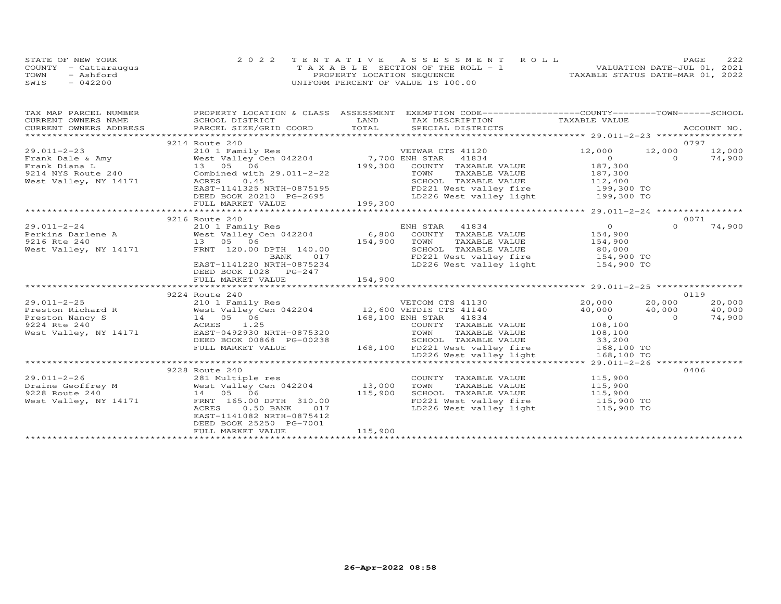|      | STATE OF NEW YORK    | 2022 TENTATIVE ASSESSMENT ROLL        |                                  | <b>PAGE</b>                 | 222 |
|------|----------------------|---------------------------------------|----------------------------------|-----------------------------|-----|
|      | COUNTY - Cattaraugus | T A X A B L E SECTION OF THE ROLL - 1 |                                  | VALUATION DATE-JUL 01, 2021 |     |
| TOWN | - Ashford            | PROPERTY LOCATION SEQUENCE            | TAXABLE STATUS DATE-MAR 01, 2022 |                             |     |
| SWIS | $-042200$            | UNIFORM PERCENT OF VALUE IS 100.00    |                                  |                             |     |

| TAX MAP PARCEL NUMBER |                                                                                                                      | PROPERTY LOCATION & CLASS ASSESSMENT EXEMPTION CODE----------------COUNTY-------TOWN------SCHOOL                                                                                                                                                                                                             |          |        |
|-----------------------|----------------------------------------------------------------------------------------------------------------------|--------------------------------------------------------------------------------------------------------------------------------------------------------------------------------------------------------------------------------------------------------------------------------------------------------------|----------|--------|
|                       | ENGLENII EUGHIN                                                                                                      |                                                                                                                                                                                                                                                                                                              |          |        |
|                       |                                                                                                                      |                                                                                                                                                                                                                                                                                                              |          |        |
|                       |                                                                                                                      |                                                                                                                                                                                                                                                                                                              |          |        |
|                       | 9214 Route 240                                                                                                       |                                                                                                                                                                                                                                                                                                              | 0797     |        |
|                       |                                                                                                                      |                                                                                                                                                                                                                                                                                                              |          | 12,000 |
|                       |                                                                                                                      |                                                                                                                                                                                                                                                                                                              |          | 74,900 |
|                       |                                                                                                                      |                                                                                                                                                                                                                                                                                                              |          |        |
|                       |                                                                                                                      |                                                                                                                                                                                                                                                                                                              |          |        |
|                       |                                                                                                                      |                                                                                                                                                                                                                                                                                                              |          |        |
|                       |                                                                                                                      |                                                                                                                                                                                                                                                                                                              |          |        |
|                       |                                                                                                                      |                                                                                                                                                                                                                                                                                                              |          |        |
|                       |                                                                                                                      | $\begin{array}{ccccccccc} 29.011–2-23 & 9214 & \text{Kout } 240 & \text{Frank} & 210 & 1 & \text{Family Res} & \text{VETWAR} & \text{CTS 41120} & 12,000 & 12,000 & 12,000 & 12,000 & 12,000 & 12,000 & 12,000 & 12,000 & 12,000 & 12,000 & 12,000 & 12,000 & 12,000 & 12,000 & 12,000 & 12,000 & 12,000 & $ |          |        |
|                       |                                                                                                                      |                                                                                                                                                                                                                                                                                                              |          |        |
|                       | 9216 Route 240                                                                                                       |                                                                                                                                                                                                                                                                                                              | 0071     |        |
|                       |                                                                                                                      | 29.011-2-24<br>Perkins Darlene A<br>210 1 Family Res<br>West Valley Cen 042204<br>216 Rte 240<br>216 Rte 240<br>216 Rte 240<br>216 Rte 240<br>216 Rte 240<br>216 Rte 240<br>216 Rte 240<br>216 Rte 240<br>216 Rte 240<br>216 Rte 240<br>216 Rte 240<br>216 R                                                 | $\Omega$ | 74,900 |
|                       |                                                                                                                      |                                                                                                                                                                                                                                                                                                              |          |        |
|                       |                                                                                                                      |                                                                                                                                                                                                                                                                                                              |          |        |
|                       |                                                                                                                      | TOWN TAXABLE VALUE $154,900$<br>SCHOOL TAXABLE VALUE $80,000$<br>FD221 West valley fire $154,900$ TO                                                                                                                                                                                                         |          |        |
|                       |                                                                                                                      |                                                                                                                                                                                                                                                                                                              |          |        |
|                       | EAST-1141220 NRTH-0875234                                                                                            | LD226 West valley light 154,900 TO                                                                                                                                                                                                                                                                           |          |        |
|                       | DEED BOOK 1028 PG-247                                                                                                |                                                                                                                                                                                                                                                                                                              |          |        |
|                       |                                                                                                                      | سات ساخات بہ میں میں ہے کہ اس کے اس کے اس کے اس کے اس کے میں ہے کہ اس کے اس کا کہ اس کے اس کے میں ہے کہ میں ہے<br>۲۳۵۲ - 154,900 ۲۲۲ - 154,900 - 1947 - 154 - 154 - 154 - 154 - 154 - 154 - 154 - 154 - 154 - 154 - 154 - 154 -                                                                              |          |        |
|                       |                                                                                                                      |                                                                                                                                                                                                                                                                                                              |          |        |
|                       | 9224 Route 240                                                                                                       |                                                                                                                                                                                                                                                                                                              | 0119     |        |
|                       |                                                                                                                      |                                                                                                                                                                                                                                                                                                              |          | 20,000 |
|                       |                                                                                                                      | 29.011-2-25<br>Preston Richard R West Valley Cen 042204 12,600 VETDIS CTS 41130 20,000 20,000<br>Preston Nancy S 14 05 06 168,100 ENH STAR 41834 0<br>9224 Rte 240 ACRES 1.25 COUNTY TAXABLE VALUE 108,100<br>West Valley, NY 14171 E                                                                        |          | 40,000 |
|                       |                                                                                                                      |                                                                                                                                                                                                                                                                                                              |          | 74,900 |
|                       |                                                                                                                      |                                                                                                                                                                                                                                                                                                              |          |        |
|                       |                                                                                                                      |                                                                                                                                                                                                                                                                                                              |          |        |
|                       |                                                                                                                      |                                                                                                                                                                                                                                                                                                              |          |        |
|                       |                                                                                                                      |                                                                                                                                                                                                                                                                                                              |          |        |
|                       |                                                                                                                      | WESC VALLEY, NI 171/1<br>DEED BOOK 00868 PG-00238<br>FULL MARKET VALUE 168,100 FD221 West valley fire 168,100 TO<br>EULL MARKET VALUE 168,100 FD221 West valley fire 168,100 TO<br>the proper school school is the set of the set of the s                                                                   |          |        |
|                       | 9228 Route 240                                                                                                       |                                                                                                                                                                                                                                                                                                              |          | 0406   |
|                       |                                                                                                                      | COUNTY TAXABLE VALUE 115,900                                                                                                                                                                                                                                                                                 |          |        |
|                       |                                                                                                                      | TAXABLE VALUE 115,900                                                                                                                                                                                                                                                                                        |          |        |
|                       |                                                                                                                      | TOWN                                                                                                                                                                                                                                                                                                         |          |        |
|                       | 29.011-2-26 281 Multiple res<br>Draine Geoffrey M West Valley Cen 042204 13,000<br>9228 Route 240 115,900<br>115,900 | SCHOOL TAXABLE VALUE 115,900                                                                                                                                                                                                                                                                                 |          |        |
|                       | 9228 Route 240<br>West Valley, NY 14171 FRNT 165.00 DPTH 310.00<br>ACRES                                             | FD221 West valley fire 115,900 TO<br>LD226 West valley light 115,900 TO                                                                                                                                                                                                                                      |          |        |
|                       | 0.50 BANK 017                                                                                                        |                                                                                                                                                                                                                                                                                                              |          |        |
|                       | EAST-1141082 NRTH-0875412<br>DEED BOOK 25250 PG-7001                                                                 |                                                                                                                                                                                                                                                                                                              |          |        |
|                       | FULL MARKET VALUE                                                                                                    | 115,900                                                                                                                                                                                                                                                                                                      |          |        |
|                       |                                                                                                                      |                                                                                                                                                                                                                                                                                                              |          |        |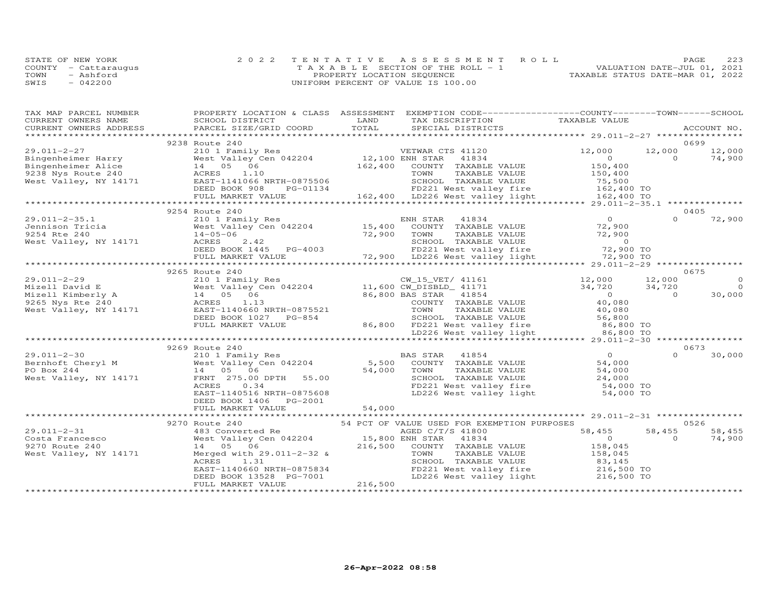|      | STATE OF NEW YORK    | 2022 TENTATIVE ASSESSMENT ROLL        | 223<br>PAGE                      |
|------|----------------------|---------------------------------------|----------------------------------|
|      | COUNTY - Cattaraugus | T A X A B L E SECTION OF THE ROLL - 1 | VALUATION DATE-JUL 01, 2021      |
| TOWN | - Ashford            | PROPERTY LOCATION SEQUENCE            | TAXABLE STATUS DATE-MAR 01, 2022 |
| SWIS | $-042200$            | UNIFORM PERCENT OF VALUE IS 100.00    |                                  |

| TAX MAP PARCEL NUMBER<br>CURRENT OWNERS NAME                      | PROPERTY LOCATION & CLASS ASSESSMENT<br>SCHOOL DISTRICT           | EXEMPTION CODE-----------------COUNTY-------TOWN------SCHOOL<br>LAND<br>TAX DESCRIPTION                           | TAXABLE VALUE          |                    |
|-------------------------------------------------------------------|-------------------------------------------------------------------|-------------------------------------------------------------------------------------------------------------------|------------------------|--------------------|
| CURRENT OWNERS ADDRESS                                            | PARCEL SIZE/GRID COORD                                            | TOTAL<br>SPECIAL DISTRICTS                                                                                        |                        | ACCOUNT NO.        |
|                                                                   |                                                                   |                                                                                                                   |                        |                    |
|                                                                   | 9238 Route 240                                                    |                                                                                                                   |                        | 0699               |
| $29.011 - 2 - 27$                                                 | 210 1 Family Res<br>West Valley Cen 042204 12,100 ENH STAR        | VETWAR CTS 41120                                                                                                  | 12,000<br>12,000       | 12,000             |
| Bingenheimer Harry<br>Bingenheimer Alice                          | 14 05 06                                                          | 41834<br>162,400 COUNTY TAXABLE VALUE                                                                             | $\circ$                | $\Omega$<br>74,900 |
|                                                                   |                                                                   | TOWN<br>TAXABLE VALUE                                                                                             | 150,400<br>150,400     |                    |
| 9238 Nys Route 240<br>9238 Nys Route 240<br>West Valley, NY 14171 | ACRES 1.10<br>EAST-1141066 NRTH-0875506<br>DEED BOOK 908 PG-01134 |                                                                                                                   |                        |                    |
|                                                                   |                                                                   |                                                                                                                   |                        |                    |
|                                                                   | FULL MARKET VALUE                                                 | 162,400 LD226 West valley light 162,400 TO                                                                        |                        |                    |
|                                                                   |                                                                   |                                                                                                                   |                        |                    |
|                                                                   | 9254 Route 240                                                    |                                                                                                                   |                        | 0405               |
| $29.011 - 2 - 35.1$                                               | 210 1 Family Res                                                  | ENH STAR<br>41834                                                                                                 | $\Omega$               | 72,900<br>$\Omega$ |
| Jennison Tricia                                                   | West Valley Cen 042204<br>$W$ est.<br>14-05-06                    | 15,400<br>COUNTY TAXABLE VALUE                                                                                    | 72,900                 |                    |
| 9254 Rte 240                                                      |                                                                   | 72,900<br>TAXABLE VALUE<br>TOWN                                                                                   | 72,900                 |                    |
| West Valley, NY 14171                                             | ACRES<br>2.42                                                     |                                                                                                                   |                        |                    |
|                                                                   |                                                                   | SCHOOL TAXABLE VALUE 0<br>FD221 West valley fire 50 72,900 TO                                                     |                        |                    |
|                                                                   |                                                                   | ACRES 2.42<br>DEED BOOK 1445 PG-4003 FD221 West valley fire<br>FULL MARKET VALUE 72,900 LD226 West valley light   | 72,900 TO              |                    |
|                                                                   |                                                                   |                                                                                                                   |                        |                    |
|                                                                   | 9265 Route 240                                                    |                                                                                                                   |                        | 0675               |
| $29.011 - 2 - 29$                                                 |                                                                   | Route 240<br>210 1 Family Res<br>West Valley Cen 042204 11,600 CW_DISBLD_ 41171<br>14 05 06 16,800 BAS STAR 41854 | 12,000<br>12,000       | $\Omega$           |
|                                                                   |                                                                   |                                                                                                                   | 34,720<br>34,720       | $\Omega$           |
|                                                                   |                                                                   |                                                                                                                   | $0$<br>40.000          | 30,000<br>$\Omega$ |
|                                                                   |                                                                   | COUNTY TAXABLE VALUE                                                                                              |                        |                    |
|                                                                   |                                                                   | TOWN<br>TAXABLE VALUE                                                                                             | 40,080<br>56,800       |                    |
|                                                                   | DEED BOOK 1027 PG-854                                             | SCHOOL TAXABLE VALUE                                                                                              |                        |                    |
|                                                                   | FULL MARKET VALUE                                                 | 86,800 FD221 West valley fire 36,800 TO                                                                           |                        |                    |
|                                                                   |                                                                   | LD226 West valley light                                                                                           | 86,800 TO              |                    |
|                                                                   | *******************                                               |                                                                                                                   |                        |                    |
|                                                                   | 9269 Route 240                                                    |                                                                                                                   |                        | 0673               |
| $29.011 - 2 - 30$                                                 | 210 1 Family Res                                                  | BAS STAR<br>41854<br>$5,500$ <sup>BZ</sup>                                                                        | $\circ$                | 30,000<br>$\Omega$ |
| Bernhoft Cheryl M                                                 | West Valley Cen 042204                                            | COUNTY TAXABLE VALUE                                                                                              | 54,000                 |                    |
| PO Box 244                                                        | 14 05 06                                                          | TAXABLE VALUE<br>TOWN                                                                                             | 54,000                 |                    |
| West Valley, NY 14171                                             | FRNT 275.00 DPTH 55.00                                            | 54,000<br>SCHOOL TAXABLE VALUE                                                                                    | 24,000                 |                    |
|                                                                   | ACRES<br>0.34                                                     | FD221 West valley fire<br>LD226 West valley light                                                                 | 54,000 TO<br>54,000 TO |                    |
|                                                                   | EAST-1140516 NRTH-0875608                                         |                                                                                                                   |                        |                    |
|                                                                   | DEED BOOK 1406 PG-2001<br>FULL MARKET VALUE                       | 54,000                                                                                                            |                        |                    |
|                                                                   |                                                                   |                                                                                                                   |                        |                    |
|                                                                   | 9270 Route 240                                                    | 54 PCT OF VALUE USED FOR EXEMPTION PURPOSES                                                                       |                        | 0526               |
| 29.011-2-31                                                       | 483 Converted Re                                                  | AGED C/T/S 41800                                                                                                  | 58,455<br>58,455       | 58,455             |
| Costa Francesco                                                   | West Valley Cen 042204 15,800 ENH STAR                            | 41834                                                                                                             | $\Omega$               | 74,900<br>$\Omega$ |
| 9270 Route 240                                                    | 14  05  06                                                        | 216,500 COUNTY TAXABLE VALUE                                                                                      | 158,045                |                    |
| West Valley, NY 14171                                             | Merged with 29.011-2-32 &                                         | TOWN<br>TAXABLE VALUE                                                                                             | 158,045                |                    |
|                                                                   | ACRES<br>1.31                                                     |                                                                                                                   |                        |                    |
|                                                                   | EAST-1140660 NRTH-0875834                                         | SCHOOL TAXABLE VALUE 83,145<br>FD221 West valley fire 216,500 TO                                                  |                        |                    |
|                                                                   | DEED BOOK 13528 PG-7001                                           | LD226 West valley light                                                                                           | 216,500 TO             |                    |
|                                                                   | FULL MARKET VALUE                                                 | 216,500                                                                                                           |                        |                    |
|                                                                   |                                                                   |                                                                                                                   |                        |                    |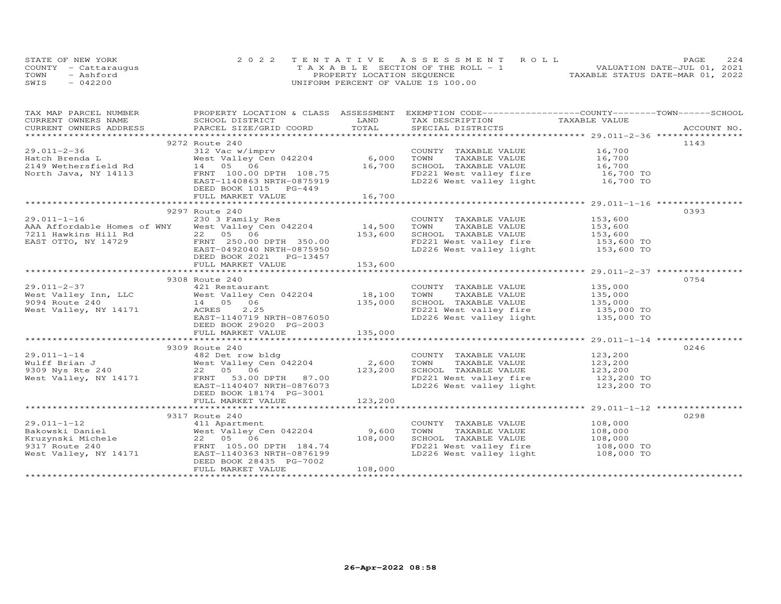| STATE OF NEW YORK    | 2022 TENTATIVE ASSESSMENT ROLL        | 2.2.4<br>PAGE.                   |
|----------------------|---------------------------------------|----------------------------------|
| COUNTY - Cattaraugus | T A X A B L E SECTION OF THE ROLL - 1 | VALUATION DATE-JUL 01, 2021      |
| TOWN<br>- Ashford    | PROPERTY LOCATION SEQUENCE            | TAXABLE STATUS DATE-MAR 01, 2022 |
| SWIS<br>$-042200$    | UNIFORM PERCENT OF VALUE IS 100.00    |                                  |

| TAX MAP PARCEL NUMBER FROPERTY LOCATION & CLASS ASSESSMENT EXEMPTION CODE----------------COUNTY-------TOWN------SCHOOL                                                                                                                             |                                                 |         |                                                                                                                                                                                                                |      |
|----------------------------------------------------------------------------------------------------------------------------------------------------------------------------------------------------------------------------------------------------|-------------------------------------------------|---------|----------------------------------------------------------------------------------------------------------------------------------------------------------------------------------------------------------------|------|
|                                                                                                                                                                                                                                                    |                                                 |         |                                                                                                                                                                                                                |      |
|                                                                                                                                                                                                                                                    |                                                 |         |                                                                                                                                                                                                                |      |
|                                                                                                                                                                                                                                                    |                                                 |         |                                                                                                                                                                                                                |      |
|                                                                                                                                                                                                                                                    | 9272 Route 240                                  |         |                                                                                                                                                                                                                | 1143 |
|                                                                                                                                                                                                                                                    | 312 Vac w/imprv<br>West Valley Cen 042204 6,000 |         | COUNTY TAXABLE VALUE 16,700                                                                                                                                                                                    |      |
|                                                                                                                                                                                                                                                    |                                                 |         |                                                                                                                                                                                                                |      |
|                                                                                                                                                                                                                                                    |                                                 |         |                                                                                                                                                                                                                |      |
|                                                                                                                                                                                                                                                    |                                                 |         |                                                                                                                                                                                                                |      |
| 29.011-2-36<br>Hatch Brenda L<br>2149 Wethersfield Rd<br>North Java, NY 14113<br>North Java, NY 14113<br>FRAST-1140863 NRTH-0875919<br>FRAST-1140863 NRTH-0875919<br>FRAST-1140863 NRTH-0875919<br>FRAST-1140863 NRTH-0875919<br>FRAST-1140863 N   |                                                 |         | TOWN TAXABLE VALUE<br>TOWN TAXABLE VALUE<br>SCHOOL TAXABLE VALUE<br>TOWN TAXABLE VALUE<br>I6,700<br>I6,700<br>I0,700<br>I0,700<br>I0,700<br>I0,700<br>I0,700<br>I0,700<br>I0,700<br>I0,700<br>I0,700<br>I0,700 |      |
|                                                                                                                                                                                                                                                    |                                                 |         |                                                                                                                                                                                                                |      |
|                                                                                                                                                                                                                                                    | FULL MARKET VALUE                               | 16,700  |                                                                                                                                                                                                                |      |
|                                                                                                                                                                                                                                                    |                                                 |         |                                                                                                                                                                                                                |      |
|                                                                                                                                                                                                                                                    | 9297 Route 240                                  |         |                                                                                                                                                                                                                | 0393 |
|                                                                                                                                                                                                                                                    |                                                 |         | COUNTY TAXABLE VALUE 153,600<br>TOWN TAXABLE VALUE 153,600<br>SCHOOL TAXABLE VALUE 153,600                                                                                                                     |      |
|                                                                                                                                                                                                                                                    |                                                 |         |                                                                                                                                                                                                                |      |
|                                                                                                                                                                                                                                                    |                                                 |         |                                                                                                                                                                                                                |      |
| 29.011-1-16<br>AAA Affordable Homes of WNY West Valley Cen 042204 14,500<br>7211 Hawkins Hill Rd 22 05 06 153,600<br>EAST OTTO, NY 14729 FRNT 250.00 DPTH 350.00<br>EAST OTTO, NY 14729 EAST-0492040 NRTH-0875950                                  |                                                 |         | FD221 West valley fire 153,600 TO<br>LD226 West valley light 153,600 TO                                                                                                                                        |      |
|                                                                                                                                                                                                                                                    |                                                 |         |                                                                                                                                                                                                                |      |
|                                                                                                                                                                                                                                                    | DEED BOOK 2021    PG-13457                      |         |                                                                                                                                                                                                                |      |
|                                                                                                                                                                                                                                                    | FULL MARKET VALUE                               | 153,600 |                                                                                                                                                                                                                |      |
|                                                                                                                                                                                                                                                    |                                                 |         |                                                                                                                                                                                                                |      |
|                                                                                                                                                                                                                                                    | 9308 Route 240                                  |         |                                                                                                                                                                                                                | 0754 |
|                                                                                                                                                                                                                                                    |                                                 |         |                                                                                                                                                                                                                |      |
|                                                                                                                                                                                                                                                    |                                                 |         |                                                                                                                                                                                                                |      |
| 29.011-2-37 COUNTY TAXABLE VALUE<br>West Valley Inn, LLC West Valley Cen 042204 18,100 TOWN TAXABLE VALUE<br>9094 Route 240 14 05 06 135,000 SCHOOL TAXABLE VALUE<br>West Valley, NY 14171 ACRES 2.25 FD221 West valley fire<br>EAST-1             |                                                 |         | COUNTY TAXABLE VALUE 135,000<br>TOWN TAXABLE VALUE 135,000<br>SCHOOL TAXABLE VALUE 135,000<br>FD221 West valley fire 135,000 TO<br>LD226 West valley light 135,000 TO                                          |      |
|                                                                                                                                                                                                                                                    |                                                 |         |                                                                                                                                                                                                                |      |
|                                                                                                                                                                                                                                                    |                                                 |         |                                                                                                                                                                                                                |      |
|                                                                                                                                                                                                                                                    | DEED BOOK 29020 PG-2003                         |         |                                                                                                                                                                                                                |      |
|                                                                                                                                                                                                                                                    |                                                 |         |                                                                                                                                                                                                                |      |
|                                                                                                                                                                                                                                                    |                                                 |         |                                                                                                                                                                                                                |      |
|                                                                                                                                                                                                                                                    | 9309 Route 240                                  |         |                                                                                                                                                                                                                | 0246 |
|                                                                                                                                                                                                                                                    |                                                 |         |                                                                                                                                                                                                                |      |
|                                                                                                                                                                                                                                                    |                                                 |         |                                                                                                                                                                                                                |      |
|                                                                                                                                                                                                                                                    |                                                 |         |                                                                                                                                                                                                                |      |
|                                                                                                                                                                                                                                                    |                                                 |         |                                                                                                                                                                                                                |      |
| 3303 NORTH-04<br>Walff Brian J<br>West Valley Cen 042204<br>West Valley Cen 042204<br>22 05 06<br>West Valley, NY 14171<br>EAST-1140407_NRTH-0876073<br>EAST-1140407_NRTH-0876073<br>EAST-1140407_NRTH-0876073<br>EAST-1140407_NRTH-0876073<br>EAS |                                                 |         |                                                                                                                                                                                                                |      |
|                                                                                                                                                                                                                                                    | DEED BOOK 18174 PG-3001                         |         |                                                                                                                                                                                                                |      |
|                                                                                                                                                                                                                                                    |                                                 |         |                                                                                                                                                                                                                |      |
|                                                                                                                                                                                                                                                    |                                                 |         |                                                                                                                                                                                                                |      |
|                                                                                                                                                                                                                                                    | 9317 Route 240                                  |         |                                                                                                                                                                                                                | 0298 |
|                                                                                                                                                                                                                                                    |                                                 |         | COUNTY TAXABLE VALUE 108,000<br>TOWN TAXABLE VALUE 108,000                                                                                                                                                     |      |
|                                                                                                                                                                                                                                                    |                                                 |         |                                                                                                                                                                                                                |      |
|                                                                                                                                                                                                                                                    |                                                 |         |                                                                                                                                                                                                                |      |
|                                                                                                                                                                                                                                                    |                                                 |         |                                                                                                                                                                                                                |      |
|                                                                                                                                                                                                                                                    |                                                 |         | SCHOOL TAXABLE VALUE 108,000<br>FD221 West valley fire 108,000 TO<br>LD226 West valley light 108,000 TO                                                                                                        |      |
|                                                                                                                                                                                                                                                    | DEED BOOK 28435 PG-7002                         |         |                                                                                                                                                                                                                |      |
|                                                                                                                                                                                                                                                    | FULL MARKET VALUE                               | 108,000 |                                                                                                                                                                                                                |      |
|                                                                                                                                                                                                                                                    |                                                 |         |                                                                                                                                                                                                                |      |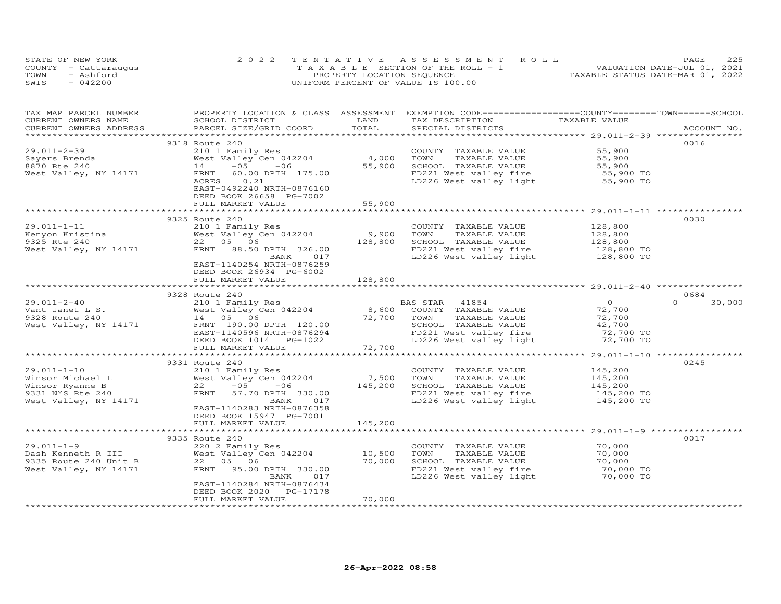| STATE OF NEW YORK    | 2022 TENTATIVE ASSESSMENT ROLL        | 225<br>PAGE.                     |
|----------------------|---------------------------------------|----------------------------------|
| COUNTY - Cattaraugus | T A X A B L E SECTION OF THE ROLL - 1 | VALUATION DATE-JUL 01, 2021      |
| TOWN<br>- Ashford    | PROPERTY LOCATION SEQUENCE            | TAXABLE STATUS DATE-MAR 01, 2022 |
| SWIS<br>$-042200$    | UNIFORM PERCENT OF VALUE IS 100.00    |                                  |

| TAX MAP PARCEL NUMBER  | PROPERTY LOCATION & CLASS ASSESSMENT EXEMPTION CODE----------------COUNTY-------TOWN-----SCHOOL |         |                                                                       |                        |                    |
|------------------------|-------------------------------------------------------------------------------------------------|---------|-----------------------------------------------------------------------|------------------------|--------------------|
| CURRENT OWNERS NAME    | SCHOOL DISTRICT                                                                                 | LAND    | TAX DESCRIPTION                                                       | TAXABLE VALUE          |                    |
| CURRENT OWNERS ADDRESS | PARCEL SIZE/GRID COORD                                                                          | TOTAL   | SPECIAL DISTRICTS                                                     |                        | ACCOUNT NO.        |
|                        |                                                                                                 |         |                                                                       |                        |                    |
|                        | 9318 Route 240                                                                                  |         |                                                                       |                        | 0016               |
| $29.011 - 2 - 39$      | 210 1 Family Res                                                                                |         | COUNTY TAXABLE VALUE                                                  | 55,900                 |                    |
| Sayers Brenda          | West Valley Cen 042204                                                                          | 4,000   | TOWN<br>TAXABLE VALUE                                                 | 55,900                 |                    |
| 8870 Rte 240           | $-05$<br>$-06$<br>14                                                                            | 55,900  | SCHOOL TAXABLE VALUE                                                  | 55,900                 |                    |
| West Valley, NY 14171  | FRNT<br>60.00 DPTH 175.00                                                                       |         | FD221 West valley fire<br>LD226 West valley light                     | 55,900 TO<br>55,900 TO |                    |
|                        | ACRES<br>0.21                                                                                   |         |                                                                       |                        |                    |
|                        | EAST-0492240 NRTH-0876160                                                                       |         |                                                                       |                        |                    |
|                        | DEED BOOK 26658 PG-7002                                                                         |         |                                                                       |                        |                    |
|                        | FULL MARKET VALUE                                                                               | 55,900  |                                                                       |                        |                    |
|                        |                                                                                                 |         |                                                                       |                        |                    |
|                        | 9325 Route 240                                                                                  |         |                                                                       |                        | 0030               |
| 29.011-1-11            | 210 1 Family Res                                                                                |         | COUNTY TAXABLE VALUE                                                  | 128,800                |                    |
| Kenyon Kristina        | West Valley Cen 042204                                                                          | 9,900   | TAXABLE VALUE<br>TOWN                                                 | 128,800                |                    |
| 9325 Rte 240           | 22 05 06                                                                                        | 128,800 | SCHOOL TAXABLE VALUE                                                  | 128,800                |                    |
| West Valley, NY 14171  | FRNT<br>88.50 DPTH 326.00                                                                       |         | FD221 West valley fire                                                | 128,800 TO             |                    |
|                        | BANK<br>017                                                                                     |         | LD226 West valley light                                               | 128,800 TO             |                    |
|                        | EAST-1140254 NRTH-0876259                                                                       |         |                                                                       |                        |                    |
|                        | DEED BOOK 26934 PG-6002                                                                         |         |                                                                       |                        |                    |
|                        | FULL MARKET VALUE                                                                               | 128,800 |                                                                       |                        |                    |
|                        |                                                                                                 |         | ************************************** 29.011-2-40 *****************  |                        |                    |
|                        | 9328 Route 240                                                                                  |         |                                                                       |                        | 0684               |
| $29.011 - 2 - 40$      | 210 1 Family Res<br>West Valley Cen 042204                                                      |         | BAS STAR<br>41854                                                     | $\overline{O}$         | $\Omega$<br>30,000 |
| Vant Janet L S.        |                                                                                                 | 8,600   | COUNTY TAXABLE VALUE                                                  | 72,700                 |                    |
| 9328 Route 240         | 14  05  06                                                                                      | 72,700  | TAXABLE VALUE<br>TOWN                                                 | 72,700                 |                    |
| West Valley, NY 14171  | FRNT 190.00 DPTH 120.00                                                                         |         | SCHOOL TAXABLE VALUE                                                  | 42,700                 |                    |
|                        | EAST-1140596 NRTH-0876294                                                                       |         | FD221 West valley fire 32,700 TO<br>LD226 West valley light 32,700 TO |                        |                    |
|                        |                                                                                                 | 72,700  |                                                                       |                        |                    |
|                        | FULL MARKET VALUE                                                                               |         |                                                                       |                        |                    |
|                        |                                                                                                 |         |                                                                       |                        | 0245               |
| $29.011 - 1 - 10$      | 9331 Route 240                                                                                  |         |                                                                       | 145,200                |                    |
| Winsor Michael L       | 210 1 Family Res<br>West Valley Cen 042204                                                      | 7,500   | COUNTY TAXABLE VALUE<br>TOWN<br>TAXABLE VALUE                         | 145,200                |                    |
| Winsor Ryanne B        | 22<br>$-05$<br>$-06$                                                                            | 145,200 | SCHOOL TAXABLE VALUE                                                  | 145,200                |                    |
| 9331 NYS Rte 240       | FRNT<br>57.70 DPTH 330.00                                                                       |         | FD221 West valley fire                                                | 145,200 TO             |                    |
| West Valley, NY 14171  | BANK<br>017                                                                                     |         | LD226 West valley light                                               | 145,200 TO             |                    |
|                        | EAST-1140283 NRTH-0876358                                                                       |         |                                                                       |                        |                    |
|                        | DEED BOOK 15947 PG-7001                                                                         |         |                                                                       |                        |                    |
|                        | FULL MARKET VALUE                                                                               | 145,200 |                                                                       |                        |                    |
|                        |                                                                                                 |         |                                                                       |                        |                    |
|                        | 9335 Route 240                                                                                  |         |                                                                       |                        | 0017               |
| $29.011 - 1 - 9$       | 220 2 Family Res                                                                                |         | COUNTY TAXABLE VALUE                                                  | 70,000                 |                    |
| Dash Kenneth R III     | West Valley Cen 042204                                                                          | 10,500  | TOWN<br>TAXABLE VALUE                                                 | 70,000                 |                    |
| 9335 Route 240 Unit B  | 22 05 06                                                                                        | 70,000  | SCHOOL TAXABLE VALUE                                                  | 70,000                 |                    |
| West Valley, NY 14171  | FRNT<br>95.00 DPTH 330.00                                                                       |         | FD221 West valley fire                                                | 70,000 TO              |                    |
|                        | BANK<br>017                                                                                     |         | LD226 West valley light                                               | 70,000 TO              |                    |
|                        | EAST-1140284 NRTH-0876434                                                                       |         |                                                                       |                        |                    |
|                        | DEED BOOK 2020 PG-17178                                                                         |         |                                                                       |                        |                    |
|                        | FULL MARKET VALUE                                                                               | 70,000  |                                                                       |                        |                    |
|                        |                                                                                                 |         |                                                                       |                        |                    |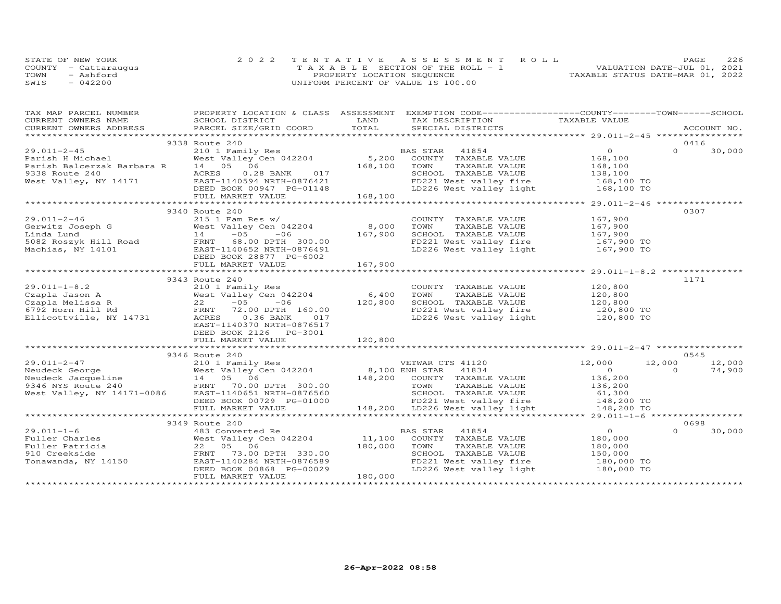| STATE OF NEW YORK    | 2022 TENTATIVE ASSESSMENT ROLL        | 226<br>PAGE.                     |
|----------------------|---------------------------------------|----------------------------------|
| COUNTY - Cattaraugus | T A X A B L E SECTION OF THE ROLL - 1 | VALUATION DATE-JUL 01, 2021      |
| TOWN<br>- Ashford    | PROPERTY LOCATION SEQUENCE            | TAXABLE STATUS DATE-MAR 01, 2022 |
| $-042200$<br>SWIS    | UNIFORM PERCENT OF VALUE IS 100.00    |                                  |

| TAX MAP PARCEL NUMBER                                                                                                                                                                                                                                                                 |                                                                                                                                    |         | PROPERTY LOCATION & CLASS ASSESSMENT EXEMPTION CODE----------------COUNTY-------TOWN------SCHOOL                                                                      |                                         |          |        |
|---------------------------------------------------------------------------------------------------------------------------------------------------------------------------------------------------------------------------------------------------------------------------------------|------------------------------------------------------------------------------------------------------------------------------------|---------|-----------------------------------------------------------------------------------------------------------------------------------------------------------------------|-----------------------------------------|----------|--------|
|                                                                                                                                                                                                                                                                                       |                                                                                                                                    |         |                                                                                                                                                                       |                                         |          |        |
|                                                                                                                                                                                                                                                                                       |                                                                                                                                    |         |                                                                                                                                                                       |                                         |          |        |
|                                                                                                                                                                                                                                                                                       |                                                                                                                                    |         |                                                                                                                                                                       |                                         |          |        |
|                                                                                                                                                                                                                                                                                       | 9338 Route 240                                                                                                                     |         |                                                                                                                                                                       |                                         | 0416     |        |
|                                                                                                                                                                                                                                                                                       |                                                                                                                                    |         |                                                                                                                                                                       |                                         | $\Omega$ | 30,000 |
|                                                                                                                                                                                                                                                                                       |                                                                                                                                    |         |                                                                                                                                                                       |                                         |          |        |
|                                                                                                                                                                                                                                                                                       |                                                                                                                                    |         |                                                                                                                                                                       |                                         |          |        |
|                                                                                                                                                                                                                                                                                       |                                                                                                                                    |         |                                                                                                                                                                       |                                         |          |        |
|                                                                                                                                                                                                                                                                                       |                                                                                                                                    |         |                                                                                                                                                                       |                                         |          |        |
|                                                                                                                                                                                                                                                                                       |                                                                                                                                    |         |                                                                                                                                                                       |                                         |          |        |
|                                                                                                                                                                                                                                                                                       |                                                                                                                                    |         |                                                                                                                                                                       |                                         |          |        |
|                                                                                                                                                                                                                                                                                       |                                                                                                                                    |         |                                                                                                                                                                       | *********** 29.011-2-46 *************** |          |        |
|                                                                                                                                                                                                                                                                                       | 9340 Route 240                                                                                                                     |         |                                                                                                                                                                       |                                         | 0307     |        |
|                                                                                                                                                                                                                                                                                       |                                                                                                                                    |         |                                                                                                                                                                       |                                         |          |        |
|                                                                                                                                                                                                                                                                                       |                                                                                                                                    |         |                                                                                                                                                                       |                                         |          |        |
|                                                                                                                                                                                                                                                                                       |                                                                                                                                    |         |                                                                                                                                                                       |                                         |          |        |
|                                                                                                                                                                                                                                                                                       |                                                                                                                                    |         |                                                                                                                                                                       |                                         |          |        |
|                                                                                                                                                                                                                                                                                       |                                                                                                                                    |         |                                                                                                                                                                       |                                         |          |        |
|                                                                                                                                                                                                                                                                                       |                                                                                                                                    |         |                                                                                                                                                                       |                                         |          |        |
|                                                                                                                                                                                                                                                                                       |                                                                                                                                    |         |                                                                                                                                                                       |                                         |          |        |
|                                                                                                                                                                                                                                                                                       |                                                                                                                                    |         |                                                                                                                                                                       |                                         |          |        |
|                                                                                                                                                                                                                                                                                       | 9343 Route 240                                                                                                                     |         |                                                                                                                                                                       |                                         | 1171     |        |
|                                                                                                                                                                                                                                                                                       |                                                                                                                                    |         |                                                                                                                                                                       |                                         |          |        |
|                                                                                                                                                                                                                                                                                       |                                                                                                                                    |         |                                                                                                                                                                       |                                         |          |        |
|                                                                                                                                                                                                                                                                                       |                                                                                                                                    |         |                                                                                                                                                                       |                                         |          |        |
|                                                                                                                                                                                                                                                                                       |                                                                                                                                    |         |                                                                                                                                                                       |                                         |          |        |
| 29.011-1-8.2<br>Czapla Jason A<br>Czapla Melissa R<br>6,400 TOWN<br>Czapla Melissa R<br>6792 Horn Hill Rd<br>Ellicottville, NY 14731<br>FRNT 72.00 DPTH 160.00<br>RENT 72.00 DPTH 160.00<br>FD221<br>RENT 72.00 DPTH 160.00<br>FD221<br>RENT 72.00 DP                                 |                                                                                                                                    |         | COUNTY TAXABLE VALUE 120,800<br>TOWN TAXABLE VALUE 120,800<br>SCHOOL TAXABLE VALUE 120,800<br>FD221 West valley fire 120,800 TO<br>LD226 West valley light 120,800 TO |                                         |          |        |
|                                                                                                                                                                                                                                                                                       | EAST-1140370 NRTH-0876517                                                                                                          |         |                                                                                                                                                                       |                                         |          |        |
|                                                                                                                                                                                                                                                                                       | DEED BOOK 2126    PG-3001                                                                                                          |         |                                                                                                                                                                       |                                         |          |        |
|                                                                                                                                                                                                                                                                                       | FULL MARKET VALUE                                                                                                                  | 120,800 |                                                                                                                                                                       |                                         |          |        |
|                                                                                                                                                                                                                                                                                       |                                                                                                                                    |         |                                                                                                                                                                       |                                         |          |        |
|                                                                                                                                                                                                                                                                                       |                                                                                                                                    |         |                                                                                                                                                                       |                                         | 0545     |        |
|                                                                                                                                                                                                                                                                                       | 9346 Route 240                                                                                                                     |         |                                                                                                                                                                       |                                         |          |        |
|                                                                                                                                                                                                                                                                                       |                                                                                                                                    |         |                                                                                                                                                                       |                                         |          |        |
|                                                                                                                                                                                                                                                                                       |                                                                                                                                    |         |                                                                                                                                                                       |                                         |          |        |
|                                                                                                                                                                                                                                                                                       |                                                                                                                                    |         |                                                                                                                                                                       |                                         |          |        |
|                                                                                                                                                                                                                                                                                       |                                                                                                                                    |         |                                                                                                                                                                       |                                         |          |        |
|                                                                                                                                                                                                                                                                                       |                                                                                                                                    |         |                                                                                                                                                                       |                                         |          |        |
|                                                                                                                                                                                                                                                                                       |                                                                                                                                    |         |                                                                                                                                                                       |                                         |          |        |
|                                                                                                                                                                                                                                                                                       |                                                                                                                                    |         |                                                                                                                                                                       |                                         |          |        |
| $\begin{array}{cccccccc} 29.011-2-47 & 9346 \text{ Roudeck George} & 210 & 12,000 & 12,000 & 12,000 & 12,000 & 12,000 & 12,000 & 12,000 & 12,000 & 12,000 & 12,000 & 12,000 & 12,000 & 12,000 & 12,000 & 12,000 & 12,000 & 12,000 & 12,000 & 12,000 & 12,000 & 12,000 & 12,000 & 12,$ |                                                                                                                                    |         |                                                                                                                                                                       |                                         |          |        |
|                                                                                                                                                                                                                                                                                       | 9349 Route 240                                                                                                                     |         |                                                                                                                                                                       |                                         | 0698     |        |
| $29.011 - 1 - 6$                                                                                                                                                                                                                                                                      |                                                                                                                                    |         |                                                                                                                                                                       |                                         | $\Omega$ | 30,000 |
|                                                                                                                                                                                                                                                                                       |                                                                                                                                    |         |                                                                                                                                                                       |                                         |          |        |
|                                                                                                                                                                                                                                                                                       |                                                                                                                                    |         | TAXABLE VALUE                                                                                                                                                         | 180,000                                 |          |        |
|                                                                                                                                                                                                                                                                                       | FRNT 73.00 DPTH 330.00                                                                                                             |         | SCHOOL TAXABLE VALUE 150,000                                                                                                                                          |                                         |          |        |
| 29.011-1-6<br>Fuller Charles<br>Fuller Patricia<br>910 Creekside<br>Tonawanda, NY 14150                                                                                                                                                                                               | 22 05 06 180,000 TOWN<br>FRNT 73.00 DPTH 330.00 180,000 SCHOC<br>EAST-1140284 NRTH-0876589 FD221<br>DEED BOOK 00868 PG-00029 LD226 |         | FD221 West valley fire 180,000 TO<br>LD226 West valley light 180,000 TO                                                                                               |                                         |          |        |
|                                                                                                                                                                                                                                                                                       |                                                                                                                                    |         |                                                                                                                                                                       |                                         |          |        |
|                                                                                                                                                                                                                                                                                       | FULL MARKET VALUE                                                                                                                  | 180,000 |                                                                                                                                                                       |                                         |          |        |
|                                                                                                                                                                                                                                                                                       |                                                                                                                                    |         |                                                                                                                                                                       |                                         |          |        |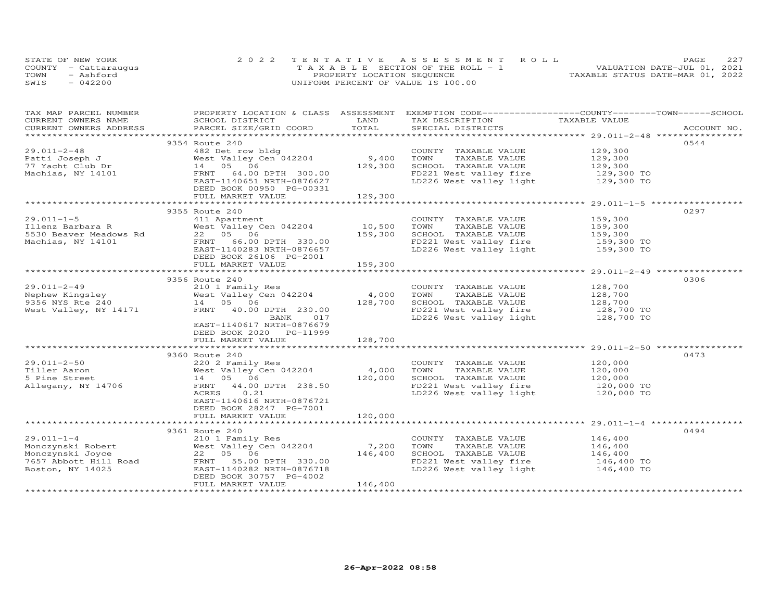|      | STATE OF NEW YORK    | 2022 TENTATIVE ASSESSMENT ROLL     | PAGE.                            | 227 |
|------|----------------------|------------------------------------|----------------------------------|-----|
|      | COUNTY - Cattarauqus | TAXABLE SECTION OF THE ROLL - 1    | VALUATION DATE-JUL 01, 2021      |     |
| TOWN | - Ashford            | PROPERTY LOCATION SEQUENCE         | TAXABLE STATUS DATE-MAR 01, 2022 |     |
| SWIS | $-042200$            | UNIFORM PERCENT OF VALUE IS 100.00 |                                  |     |

| TAXABLE VALUE<br>.CURRENT OWNERS ADDRESS PARCEL SIZE/GRID COORD TOTAL SPECIAL DISTRICTS ACCOUNT NO ACCOUNT NO ACCOUNT NO ACCOUNT<br>0544<br>9354 Route 240<br>129,300<br>482 Det row bldg<br>COUNTY TAXABLE VALUE<br>West Valley Cen 042204<br>9,400<br>TOWN<br>TAXABLE VALUE<br>129,300<br>14  05  06<br>129,300<br>SCHOOL TAXABLE VALUE<br>129,300<br>129,300 TO<br>64.00 DPTH 300.00<br>FD221 West valley fire<br>FRNT<br>LD226 West valley light 129,300 TO<br>EAST-1140651 NRTH-0876627<br>DEED BOOK 00950 PG-00331<br>FULL MARKET VALUE<br>129,300<br>9355 Route 240<br>0297<br>411 Apartment<br>COUNTY TAXABLE VALUE<br>159,300<br>Illenz Barbara R<br>10,500<br>TOWN<br>TAXABLE VALUE<br>West Valley Cen 042204<br>159,300<br>159,300<br>22 05 06<br>159,300<br>SCHOOL TAXABLE VALUE<br>5530 Beaver Meadows Rd<br>FD221 West valley fire 159,300 TO<br>LD226 West valley light 159,300 TO<br>Machias, NY 14101<br>FRNT 66.00 DPTH 330.00<br>EAST-1140283 NRTH-0876657<br>DEED BOOK 26106 PG-2001<br>159,300<br>FULL MARKET VALUE<br>************************ 29.011-2-49 ***********<br>9356 Route 240<br>0306<br>$29.011 - 2 - 49$<br>128,700<br>210 1 Family Res<br>COUNTY TAXABLE VALUE<br>West Valley Cen 042204<br>4,000<br>Nephew Kingsley<br>9356 NYS Rte 240<br>128,700<br>128,700<br>TOWN<br>TAXABLE VALUE<br>128,700<br>9356 NYS Rte 240<br>14 05 06<br>SCHOOL TAXABLE VALUE<br>West Valley, NY 14171<br>FRNT 40.00 DPTH 230.00<br>FD221 West valley fire<br>128,700 TO<br>LD226 West valley light<br>BANK<br>017<br>128,700 TO<br>EAST-1140617 NRTH-0876679<br>DEED BOOK 2020 PG-11999<br>128,700<br>FULL MARKET VALUE<br>9360 Route 240<br>0473<br>$29.011 - 2 - 50$<br>220 2 Family Res<br>120,000<br>COUNTY TAXABLE VALUE<br>4,000<br>Tiller Aaron<br>TOWN<br>TAXABLE VALUE<br>120,000<br>West Valley Cen 042204<br>120,000<br>14 05 06<br>120,000<br>SCHOOL TAXABLE VALUE<br>5 Pine Street<br>FRNT 44.00 DPTH 238.50<br>FD221 West valley fire 120,000 TO<br>LD226 West valley light 120,000 TO<br>Allegany, NY 14706<br>ACRES<br>0.21<br>EAST-1140616 NRTH-0876721<br>DEED BOOK 28247 PG-7001<br>120,000<br>FULL MARKET VALUE<br>************************ 29.011-1-4 ***********<br>*************************<br>9361 Route 240<br>0494<br>$29.011 - 1 - 4$<br>210 1 Family Res<br>COUNTY TAXABLE VALUE<br>146,400<br>7,200<br>Monczynski Robert<br>West Valley Cen 042204<br>TOWN<br>TAXABLE VALUE<br>146,400<br>146,400<br>22 05 06<br>SCHOOL TAXABLE VALUE<br>Monczynski Joyce<br>146,400<br>146,400 TO<br>7657 Abbott Hill Road<br>FRNT 55.00 DPTH 330.00<br>FD221 West valley fire<br>$LD226$ West valley light $146,400$ TO<br>Boston, NY 14025<br>EAST-1140282 NRTH-0876718<br>DEED BOOK 30757 PG-4002<br>146,400<br>FULL MARKET VALUE | TAX MAP PARCEL NUMBER |                 |      | PROPERTY LOCATION & CLASS ASSESSMENT EXEMPTION CODE----------------COUNTY-------TOWN------SCHOOL |  |
|-----------------------------------------------------------------------------------------------------------------------------------------------------------------------------------------------------------------------------------------------------------------------------------------------------------------------------------------------------------------------------------------------------------------------------------------------------------------------------------------------------------------------------------------------------------------------------------------------------------------------------------------------------------------------------------------------------------------------------------------------------------------------------------------------------------------------------------------------------------------------------------------------------------------------------------------------------------------------------------------------------------------------------------------------------------------------------------------------------------------------------------------------------------------------------------------------------------------------------------------------------------------------------------------------------------------------------------------------------------------------------------------------------------------------------------------------------------------------------------------------------------------------------------------------------------------------------------------------------------------------------------------------------------------------------------------------------------------------------------------------------------------------------------------------------------------------------------------------------------------------------------------------------------------------------------------------------------------------------------------------------------------------------------------------------------------------------------------------------------------------------------------------------------------------------------------------------------------------------------------------------------------------------------------------------------------------------------------------------------------------------------------------------------------------------------------------------------------------------------------------------------------------------------------------------------------------------------------------------------------------------------------------------------------------------------------------------------------------------------------------------------------------|-----------------------|-----------------|------|--------------------------------------------------------------------------------------------------|--|
|                                                                                                                                                                                                                                                                                                                                                                                                                                                                                                                                                                                                                                                                                                                                                                                                                                                                                                                                                                                                                                                                                                                                                                                                                                                                                                                                                                                                                                                                                                                                                                                                                                                                                                                                                                                                                                                                                                                                                                                                                                                                                                                                                                                                                                                                                                                                                                                                                                                                                                                                                                                                                                                                                                                                                                       | CURRENT OWNERS NAME   | SCHOOL DISTRICT | LAND | TAX DESCRIPTION                                                                                  |  |
|                                                                                                                                                                                                                                                                                                                                                                                                                                                                                                                                                                                                                                                                                                                                                                                                                                                                                                                                                                                                                                                                                                                                                                                                                                                                                                                                                                                                                                                                                                                                                                                                                                                                                                                                                                                                                                                                                                                                                                                                                                                                                                                                                                                                                                                                                                                                                                                                                                                                                                                                                                                                                                                                                                                                                                       |                       |                 |      |                                                                                                  |  |
|                                                                                                                                                                                                                                                                                                                                                                                                                                                                                                                                                                                                                                                                                                                                                                                                                                                                                                                                                                                                                                                                                                                                                                                                                                                                                                                                                                                                                                                                                                                                                                                                                                                                                                                                                                                                                                                                                                                                                                                                                                                                                                                                                                                                                                                                                                                                                                                                                                                                                                                                                                                                                                                                                                                                                                       |                       |                 |      |                                                                                                  |  |
|                                                                                                                                                                                                                                                                                                                                                                                                                                                                                                                                                                                                                                                                                                                                                                                                                                                                                                                                                                                                                                                                                                                                                                                                                                                                                                                                                                                                                                                                                                                                                                                                                                                                                                                                                                                                                                                                                                                                                                                                                                                                                                                                                                                                                                                                                                                                                                                                                                                                                                                                                                                                                                                                                                                                                                       |                       |                 |      |                                                                                                  |  |
|                                                                                                                                                                                                                                                                                                                                                                                                                                                                                                                                                                                                                                                                                                                                                                                                                                                                                                                                                                                                                                                                                                                                                                                                                                                                                                                                                                                                                                                                                                                                                                                                                                                                                                                                                                                                                                                                                                                                                                                                                                                                                                                                                                                                                                                                                                                                                                                                                                                                                                                                                                                                                                                                                                                                                                       | $29.011 - 2 - 48$     |                 |      |                                                                                                  |  |
|                                                                                                                                                                                                                                                                                                                                                                                                                                                                                                                                                                                                                                                                                                                                                                                                                                                                                                                                                                                                                                                                                                                                                                                                                                                                                                                                                                                                                                                                                                                                                                                                                                                                                                                                                                                                                                                                                                                                                                                                                                                                                                                                                                                                                                                                                                                                                                                                                                                                                                                                                                                                                                                                                                                                                                       | Patti Joseph J        |                 |      |                                                                                                  |  |
|                                                                                                                                                                                                                                                                                                                                                                                                                                                                                                                                                                                                                                                                                                                                                                                                                                                                                                                                                                                                                                                                                                                                                                                                                                                                                                                                                                                                                                                                                                                                                                                                                                                                                                                                                                                                                                                                                                                                                                                                                                                                                                                                                                                                                                                                                                                                                                                                                                                                                                                                                                                                                                                                                                                                                                       | 77 Yacht Club Dr      |                 |      |                                                                                                  |  |
|                                                                                                                                                                                                                                                                                                                                                                                                                                                                                                                                                                                                                                                                                                                                                                                                                                                                                                                                                                                                                                                                                                                                                                                                                                                                                                                                                                                                                                                                                                                                                                                                                                                                                                                                                                                                                                                                                                                                                                                                                                                                                                                                                                                                                                                                                                                                                                                                                                                                                                                                                                                                                                                                                                                                                                       | Machias, NY 14101     |                 |      |                                                                                                  |  |
|                                                                                                                                                                                                                                                                                                                                                                                                                                                                                                                                                                                                                                                                                                                                                                                                                                                                                                                                                                                                                                                                                                                                                                                                                                                                                                                                                                                                                                                                                                                                                                                                                                                                                                                                                                                                                                                                                                                                                                                                                                                                                                                                                                                                                                                                                                                                                                                                                                                                                                                                                                                                                                                                                                                                                                       |                       |                 |      |                                                                                                  |  |
|                                                                                                                                                                                                                                                                                                                                                                                                                                                                                                                                                                                                                                                                                                                                                                                                                                                                                                                                                                                                                                                                                                                                                                                                                                                                                                                                                                                                                                                                                                                                                                                                                                                                                                                                                                                                                                                                                                                                                                                                                                                                                                                                                                                                                                                                                                                                                                                                                                                                                                                                                                                                                                                                                                                                                                       |                       |                 |      |                                                                                                  |  |
|                                                                                                                                                                                                                                                                                                                                                                                                                                                                                                                                                                                                                                                                                                                                                                                                                                                                                                                                                                                                                                                                                                                                                                                                                                                                                                                                                                                                                                                                                                                                                                                                                                                                                                                                                                                                                                                                                                                                                                                                                                                                                                                                                                                                                                                                                                                                                                                                                                                                                                                                                                                                                                                                                                                                                                       |                       |                 |      |                                                                                                  |  |
|                                                                                                                                                                                                                                                                                                                                                                                                                                                                                                                                                                                                                                                                                                                                                                                                                                                                                                                                                                                                                                                                                                                                                                                                                                                                                                                                                                                                                                                                                                                                                                                                                                                                                                                                                                                                                                                                                                                                                                                                                                                                                                                                                                                                                                                                                                                                                                                                                                                                                                                                                                                                                                                                                                                                                                       |                       |                 |      |                                                                                                  |  |
|                                                                                                                                                                                                                                                                                                                                                                                                                                                                                                                                                                                                                                                                                                                                                                                                                                                                                                                                                                                                                                                                                                                                                                                                                                                                                                                                                                                                                                                                                                                                                                                                                                                                                                                                                                                                                                                                                                                                                                                                                                                                                                                                                                                                                                                                                                                                                                                                                                                                                                                                                                                                                                                                                                                                                                       |                       |                 |      |                                                                                                  |  |
|                                                                                                                                                                                                                                                                                                                                                                                                                                                                                                                                                                                                                                                                                                                                                                                                                                                                                                                                                                                                                                                                                                                                                                                                                                                                                                                                                                                                                                                                                                                                                                                                                                                                                                                                                                                                                                                                                                                                                                                                                                                                                                                                                                                                                                                                                                                                                                                                                                                                                                                                                                                                                                                                                                                                                                       | $29.011 - 1 - 5$      |                 |      |                                                                                                  |  |
|                                                                                                                                                                                                                                                                                                                                                                                                                                                                                                                                                                                                                                                                                                                                                                                                                                                                                                                                                                                                                                                                                                                                                                                                                                                                                                                                                                                                                                                                                                                                                                                                                                                                                                                                                                                                                                                                                                                                                                                                                                                                                                                                                                                                                                                                                                                                                                                                                                                                                                                                                                                                                                                                                                                                                                       |                       |                 |      |                                                                                                  |  |
|                                                                                                                                                                                                                                                                                                                                                                                                                                                                                                                                                                                                                                                                                                                                                                                                                                                                                                                                                                                                                                                                                                                                                                                                                                                                                                                                                                                                                                                                                                                                                                                                                                                                                                                                                                                                                                                                                                                                                                                                                                                                                                                                                                                                                                                                                                                                                                                                                                                                                                                                                                                                                                                                                                                                                                       |                       |                 |      |                                                                                                  |  |
|                                                                                                                                                                                                                                                                                                                                                                                                                                                                                                                                                                                                                                                                                                                                                                                                                                                                                                                                                                                                                                                                                                                                                                                                                                                                                                                                                                                                                                                                                                                                                                                                                                                                                                                                                                                                                                                                                                                                                                                                                                                                                                                                                                                                                                                                                                                                                                                                                                                                                                                                                                                                                                                                                                                                                                       |                       |                 |      |                                                                                                  |  |
|                                                                                                                                                                                                                                                                                                                                                                                                                                                                                                                                                                                                                                                                                                                                                                                                                                                                                                                                                                                                                                                                                                                                                                                                                                                                                                                                                                                                                                                                                                                                                                                                                                                                                                                                                                                                                                                                                                                                                                                                                                                                                                                                                                                                                                                                                                                                                                                                                                                                                                                                                                                                                                                                                                                                                                       |                       |                 |      |                                                                                                  |  |
|                                                                                                                                                                                                                                                                                                                                                                                                                                                                                                                                                                                                                                                                                                                                                                                                                                                                                                                                                                                                                                                                                                                                                                                                                                                                                                                                                                                                                                                                                                                                                                                                                                                                                                                                                                                                                                                                                                                                                                                                                                                                                                                                                                                                                                                                                                                                                                                                                                                                                                                                                                                                                                                                                                                                                                       |                       |                 |      |                                                                                                  |  |
|                                                                                                                                                                                                                                                                                                                                                                                                                                                                                                                                                                                                                                                                                                                                                                                                                                                                                                                                                                                                                                                                                                                                                                                                                                                                                                                                                                                                                                                                                                                                                                                                                                                                                                                                                                                                                                                                                                                                                                                                                                                                                                                                                                                                                                                                                                                                                                                                                                                                                                                                                                                                                                                                                                                                                                       |                       |                 |      |                                                                                                  |  |
|                                                                                                                                                                                                                                                                                                                                                                                                                                                                                                                                                                                                                                                                                                                                                                                                                                                                                                                                                                                                                                                                                                                                                                                                                                                                                                                                                                                                                                                                                                                                                                                                                                                                                                                                                                                                                                                                                                                                                                                                                                                                                                                                                                                                                                                                                                                                                                                                                                                                                                                                                                                                                                                                                                                                                                       |                       |                 |      |                                                                                                  |  |
|                                                                                                                                                                                                                                                                                                                                                                                                                                                                                                                                                                                                                                                                                                                                                                                                                                                                                                                                                                                                                                                                                                                                                                                                                                                                                                                                                                                                                                                                                                                                                                                                                                                                                                                                                                                                                                                                                                                                                                                                                                                                                                                                                                                                                                                                                                                                                                                                                                                                                                                                                                                                                                                                                                                                                                       |                       |                 |      |                                                                                                  |  |
|                                                                                                                                                                                                                                                                                                                                                                                                                                                                                                                                                                                                                                                                                                                                                                                                                                                                                                                                                                                                                                                                                                                                                                                                                                                                                                                                                                                                                                                                                                                                                                                                                                                                                                                                                                                                                                                                                                                                                                                                                                                                                                                                                                                                                                                                                                                                                                                                                                                                                                                                                                                                                                                                                                                                                                       |                       |                 |      |                                                                                                  |  |
|                                                                                                                                                                                                                                                                                                                                                                                                                                                                                                                                                                                                                                                                                                                                                                                                                                                                                                                                                                                                                                                                                                                                                                                                                                                                                                                                                                                                                                                                                                                                                                                                                                                                                                                                                                                                                                                                                                                                                                                                                                                                                                                                                                                                                                                                                                                                                                                                                                                                                                                                                                                                                                                                                                                                                                       |                       |                 |      |                                                                                                  |  |
|                                                                                                                                                                                                                                                                                                                                                                                                                                                                                                                                                                                                                                                                                                                                                                                                                                                                                                                                                                                                                                                                                                                                                                                                                                                                                                                                                                                                                                                                                                                                                                                                                                                                                                                                                                                                                                                                                                                                                                                                                                                                                                                                                                                                                                                                                                                                                                                                                                                                                                                                                                                                                                                                                                                                                                       |                       |                 |      |                                                                                                  |  |
|                                                                                                                                                                                                                                                                                                                                                                                                                                                                                                                                                                                                                                                                                                                                                                                                                                                                                                                                                                                                                                                                                                                                                                                                                                                                                                                                                                                                                                                                                                                                                                                                                                                                                                                                                                                                                                                                                                                                                                                                                                                                                                                                                                                                                                                                                                                                                                                                                                                                                                                                                                                                                                                                                                                                                                       |                       |                 |      |                                                                                                  |  |
|                                                                                                                                                                                                                                                                                                                                                                                                                                                                                                                                                                                                                                                                                                                                                                                                                                                                                                                                                                                                                                                                                                                                                                                                                                                                                                                                                                                                                                                                                                                                                                                                                                                                                                                                                                                                                                                                                                                                                                                                                                                                                                                                                                                                                                                                                                                                                                                                                                                                                                                                                                                                                                                                                                                                                                       |                       |                 |      |                                                                                                  |  |
|                                                                                                                                                                                                                                                                                                                                                                                                                                                                                                                                                                                                                                                                                                                                                                                                                                                                                                                                                                                                                                                                                                                                                                                                                                                                                                                                                                                                                                                                                                                                                                                                                                                                                                                                                                                                                                                                                                                                                                                                                                                                                                                                                                                                                                                                                                                                                                                                                                                                                                                                                                                                                                                                                                                                                                       |                       |                 |      |                                                                                                  |  |
|                                                                                                                                                                                                                                                                                                                                                                                                                                                                                                                                                                                                                                                                                                                                                                                                                                                                                                                                                                                                                                                                                                                                                                                                                                                                                                                                                                                                                                                                                                                                                                                                                                                                                                                                                                                                                                                                                                                                                                                                                                                                                                                                                                                                                                                                                                                                                                                                                                                                                                                                                                                                                                                                                                                                                                       |                       |                 |      |                                                                                                  |  |
|                                                                                                                                                                                                                                                                                                                                                                                                                                                                                                                                                                                                                                                                                                                                                                                                                                                                                                                                                                                                                                                                                                                                                                                                                                                                                                                                                                                                                                                                                                                                                                                                                                                                                                                                                                                                                                                                                                                                                                                                                                                                                                                                                                                                                                                                                                                                                                                                                                                                                                                                                                                                                                                                                                                                                                       |                       |                 |      |                                                                                                  |  |
|                                                                                                                                                                                                                                                                                                                                                                                                                                                                                                                                                                                                                                                                                                                                                                                                                                                                                                                                                                                                                                                                                                                                                                                                                                                                                                                                                                                                                                                                                                                                                                                                                                                                                                                                                                                                                                                                                                                                                                                                                                                                                                                                                                                                                                                                                                                                                                                                                                                                                                                                                                                                                                                                                                                                                                       |                       |                 |      |                                                                                                  |  |
|                                                                                                                                                                                                                                                                                                                                                                                                                                                                                                                                                                                                                                                                                                                                                                                                                                                                                                                                                                                                                                                                                                                                                                                                                                                                                                                                                                                                                                                                                                                                                                                                                                                                                                                                                                                                                                                                                                                                                                                                                                                                                                                                                                                                                                                                                                                                                                                                                                                                                                                                                                                                                                                                                                                                                                       |                       |                 |      |                                                                                                  |  |
|                                                                                                                                                                                                                                                                                                                                                                                                                                                                                                                                                                                                                                                                                                                                                                                                                                                                                                                                                                                                                                                                                                                                                                                                                                                                                                                                                                                                                                                                                                                                                                                                                                                                                                                                                                                                                                                                                                                                                                                                                                                                                                                                                                                                                                                                                                                                                                                                                                                                                                                                                                                                                                                                                                                                                                       |                       |                 |      |                                                                                                  |  |
|                                                                                                                                                                                                                                                                                                                                                                                                                                                                                                                                                                                                                                                                                                                                                                                                                                                                                                                                                                                                                                                                                                                                                                                                                                                                                                                                                                                                                                                                                                                                                                                                                                                                                                                                                                                                                                                                                                                                                                                                                                                                                                                                                                                                                                                                                                                                                                                                                                                                                                                                                                                                                                                                                                                                                                       |                       |                 |      |                                                                                                  |  |
|                                                                                                                                                                                                                                                                                                                                                                                                                                                                                                                                                                                                                                                                                                                                                                                                                                                                                                                                                                                                                                                                                                                                                                                                                                                                                                                                                                                                                                                                                                                                                                                                                                                                                                                                                                                                                                                                                                                                                                                                                                                                                                                                                                                                                                                                                                                                                                                                                                                                                                                                                                                                                                                                                                                                                                       |                       |                 |      |                                                                                                  |  |
|                                                                                                                                                                                                                                                                                                                                                                                                                                                                                                                                                                                                                                                                                                                                                                                                                                                                                                                                                                                                                                                                                                                                                                                                                                                                                                                                                                                                                                                                                                                                                                                                                                                                                                                                                                                                                                                                                                                                                                                                                                                                                                                                                                                                                                                                                                                                                                                                                                                                                                                                                                                                                                                                                                                                                                       |                       |                 |      |                                                                                                  |  |
|                                                                                                                                                                                                                                                                                                                                                                                                                                                                                                                                                                                                                                                                                                                                                                                                                                                                                                                                                                                                                                                                                                                                                                                                                                                                                                                                                                                                                                                                                                                                                                                                                                                                                                                                                                                                                                                                                                                                                                                                                                                                                                                                                                                                                                                                                                                                                                                                                                                                                                                                                                                                                                                                                                                                                                       |                       |                 |      |                                                                                                  |  |
|                                                                                                                                                                                                                                                                                                                                                                                                                                                                                                                                                                                                                                                                                                                                                                                                                                                                                                                                                                                                                                                                                                                                                                                                                                                                                                                                                                                                                                                                                                                                                                                                                                                                                                                                                                                                                                                                                                                                                                                                                                                                                                                                                                                                                                                                                                                                                                                                                                                                                                                                                                                                                                                                                                                                                                       |                       |                 |      |                                                                                                  |  |
|                                                                                                                                                                                                                                                                                                                                                                                                                                                                                                                                                                                                                                                                                                                                                                                                                                                                                                                                                                                                                                                                                                                                                                                                                                                                                                                                                                                                                                                                                                                                                                                                                                                                                                                                                                                                                                                                                                                                                                                                                                                                                                                                                                                                                                                                                                                                                                                                                                                                                                                                                                                                                                                                                                                                                                       |                       |                 |      |                                                                                                  |  |
|                                                                                                                                                                                                                                                                                                                                                                                                                                                                                                                                                                                                                                                                                                                                                                                                                                                                                                                                                                                                                                                                                                                                                                                                                                                                                                                                                                                                                                                                                                                                                                                                                                                                                                                                                                                                                                                                                                                                                                                                                                                                                                                                                                                                                                                                                                                                                                                                                                                                                                                                                                                                                                                                                                                                                                       |                       |                 |      |                                                                                                  |  |
|                                                                                                                                                                                                                                                                                                                                                                                                                                                                                                                                                                                                                                                                                                                                                                                                                                                                                                                                                                                                                                                                                                                                                                                                                                                                                                                                                                                                                                                                                                                                                                                                                                                                                                                                                                                                                                                                                                                                                                                                                                                                                                                                                                                                                                                                                                                                                                                                                                                                                                                                                                                                                                                                                                                                                                       |                       |                 |      |                                                                                                  |  |
|                                                                                                                                                                                                                                                                                                                                                                                                                                                                                                                                                                                                                                                                                                                                                                                                                                                                                                                                                                                                                                                                                                                                                                                                                                                                                                                                                                                                                                                                                                                                                                                                                                                                                                                                                                                                                                                                                                                                                                                                                                                                                                                                                                                                                                                                                                                                                                                                                                                                                                                                                                                                                                                                                                                                                                       |                       |                 |      |                                                                                                  |  |
|                                                                                                                                                                                                                                                                                                                                                                                                                                                                                                                                                                                                                                                                                                                                                                                                                                                                                                                                                                                                                                                                                                                                                                                                                                                                                                                                                                                                                                                                                                                                                                                                                                                                                                                                                                                                                                                                                                                                                                                                                                                                                                                                                                                                                                                                                                                                                                                                                                                                                                                                                                                                                                                                                                                                                                       |                       |                 |      |                                                                                                  |  |
|                                                                                                                                                                                                                                                                                                                                                                                                                                                                                                                                                                                                                                                                                                                                                                                                                                                                                                                                                                                                                                                                                                                                                                                                                                                                                                                                                                                                                                                                                                                                                                                                                                                                                                                                                                                                                                                                                                                                                                                                                                                                                                                                                                                                                                                                                                                                                                                                                                                                                                                                                                                                                                                                                                                                                                       |                       |                 |      |                                                                                                  |  |
|                                                                                                                                                                                                                                                                                                                                                                                                                                                                                                                                                                                                                                                                                                                                                                                                                                                                                                                                                                                                                                                                                                                                                                                                                                                                                                                                                                                                                                                                                                                                                                                                                                                                                                                                                                                                                                                                                                                                                                                                                                                                                                                                                                                                                                                                                                                                                                                                                                                                                                                                                                                                                                                                                                                                                                       |                       |                 |      |                                                                                                  |  |
|                                                                                                                                                                                                                                                                                                                                                                                                                                                                                                                                                                                                                                                                                                                                                                                                                                                                                                                                                                                                                                                                                                                                                                                                                                                                                                                                                                                                                                                                                                                                                                                                                                                                                                                                                                                                                                                                                                                                                                                                                                                                                                                                                                                                                                                                                                                                                                                                                                                                                                                                                                                                                                                                                                                                                                       |                       |                 |      |                                                                                                  |  |
|                                                                                                                                                                                                                                                                                                                                                                                                                                                                                                                                                                                                                                                                                                                                                                                                                                                                                                                                                                                                                                                                                                                                                                                                                                                                                                                                                                                                                                                                                                                                                                                                                                                                                                                                                                                                                                                                                                                                                                                                                                                                                                                                                                                                                                                                                                                                                                                                                                                                                                                                                                                                                                                                                                                                                                       |                       |                 |      |                                                                                                  |  |
|                                                                                                                                                                                                                                                                                                                                                                                                                                                                                                                                                                                                                                                                                                                                                                                                                                                                                                                                                                                                                                                                                                                                                                                                                                                                                                                                                                                                                                                                                                                                                                                                                                                                                                                                                                                                                                                                                                                                                                                                                                                                                                                                                                                                                                                                                                                                                                                                                                                                                                                                                                                                                                                                                                                                                                       |                       |                 |      |                                                                                                  |  |
|                                                                                                                                                                                                                                                                                                                                                                                                                                                                                                                                                                                                                                                                                                                                                                                                                                                                                                                                                                                                                                                                                                                                                                                                                                                                                                                                                                                                                                                                                                                                                                                                                                                                                                                                                                                                                                                                                                                                                                                                                                                                                                                                                                                                                                                                                                                                                                                                                                                                                                                                                                                                                                                                                                                                                                       |                       |                 |      |                                                                                                  |  |
|                                                                                                                                                                                                                                                                                                                                                                                                                                                                                                                                                                                                                                                                                                                                                                                                                                                                                                                                                                                                                                                                                                                                                                                                                                                                                                                                                                                                                                                                                                                                                                                                                                                                                                                                                                                                                                                                                                                                                                                                                                                                                                                                                                                                                                                                                                                                                                                                                                                                                                                                                                                                                                                                                                                                                                       |                       |                 |      |                                                                                                  |  |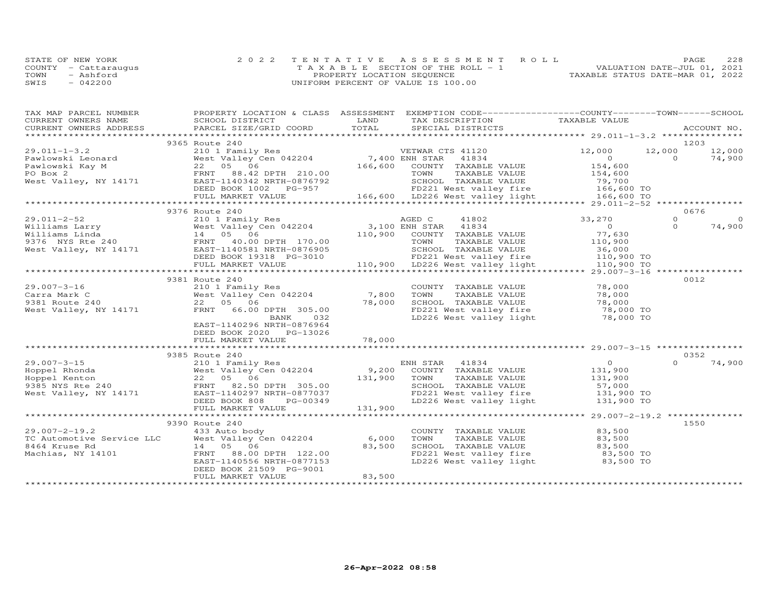|      | STATE OF NEW YORK    | 2022 TENTATIVE ASSESSMENT ROLL        | 228<br>PAGE                      |
|------|----------------------|---------------------------------------|----------------------------------|
|      | COUNTY - Cattaraugus | T A X A B L E SECTION OF THE ROLL - 1 | VALUATION DATE-JUL 01, 2021      |
| TOWN | - Ashford            | PROPERTY LOCATION SEQUENCE            | TAXABLE STATUS DATE-MAR 01, 2022 |
| SWIS | $-042200$            | UNIFORM PERCENT OF VALUE IS 100.00    |                                  |

| TAX MAP PARCEL NUMBER |                                                                                                                                                               |        | PROPERTY LOCATION & CLASS ASSESSMENT EXEMPTION CODE----------------COUNTY--------TOWN-----SCHOOL     |                                                 |             |          |
|-----------------------|---------------------------------------------------------------------------------------------------------------------------------------------------------------|--------|------------------------------------------------------------------------------------------------------|-------------------------------------------------|-------------|----------|
| CURRENT OWNERS NAME   |                                                                                                                                                               |        | TAX DESCRIPTION TAXABLE VALUE                                                                        |                                                 |             |          |
|                       | SCHOOL DISTRICT LAND<br>PARCEL SIZE/GRID COORD TOTAL                                                                                                          |        |                                                                                                      |                                                 | ACCOUNT NO. |          |
|                       |                                                                                                                                                               |        |                                                                                                      |                                                 |             |          |
|                       | 9365 Route 240                                                                                                                                                |        |                                                                                                      |                                                 | 1203        |          |
|                       |                                                                                                                                                               |        |                                                                                                      |                                                 |             |          |
|                       |                                                                                                                                                               |        |                                                                                                      |                                                 |             |          |
|                       |                                                                                                                                                               |        |                                                                                                      |                                                 |             |          |
|                       |                                                                                                                                                               |        |                                                                                                      |                                                 |             |          |
|                       |                                                                                                                                                               |        |                                                                                                      |                                                 |             |          |
|                       |                                                                                                                                                               |        |                                                                                                      |                                                 |             |          |
|                       |                                                                                                                                                               |        |                                                                                                      |                                                 |             |          |
|                       |                                                                                                                                                               |        |                                                                                                      |                                                 |             |          |
|                       | 9376 Route 240                                                                                                                                                |        |                                                                                                      |                                                 | 0676        |          |
|                       |                                                                                                                                                               |        |                                                                                                      |                                                 | $\Omega$    | $\Omega$ |
|                       |                                                                                                                                                               |        |                                                                                                      |                                                 | $\Omega$    | 74,900   |
|                       |                                                                                                                                                               |        |                                                                                                      |                                                 |             |          |
|                       |                                                                                                                                                               |        |                                                                                                      |                                                 |             |          |
|                       |                                                                                                                                                               |        |                                                                                                      |                                                 |             |          |
|                       |                                                                                                                                                               |        |                                                                                                      |                                                 |             |          |
|                       |                                                                                                                                                               |        |                                                                                                      |                                                 |             |          |
|                       |                                                                                                                                                               |        |                                                                                                      |                                                 |             |          |
|                       | 9381 Route 240                                                                                                                                                |        |                                                                                                      |                                                 | 0012        |          |
|                       |                                                                                                                                                               |        | COUNTY TAXABLE VALUE 78,000<br>TOWN TAXABLE VALUE 78,000                                             |                                                 |             |          |
|                       |                                                                                                                                                               |        |                                                                                                      |                                                 |             |          |
|                       |                                                                                                                                                               |        |                                                                                                      |                                                 |             |          |
|                       |                                                                                                                                                               |        |                                                                                                      |                                                 |             |          |
|                       | 29.007-3-16<br>Carra Mark C<br>Carra Mark C<br>9381 Route 240<br>West Valley Cen 042204<br>22 05 06<br>T8,000<br>78,000<br>RENT 66.00 DPTH 305.00<br>BANK 032 |        | SCHOOL TAXABLE VALUE 78,000<br>FD221 West valley fire 78,000 TO<br>LD226 West valley light 78,000 TO |                                                 |             |          |
|                       | EAST-1140296 NRTH-0876964                                                                                                                                     |        |                                                                                                      |                                                 |             |          |
|                       | DEED BOOK 2020 PG-13026                                                                                                                                       |        |                                                                                                      |                                                 |             |          |
|                       | FULL MARKET VALUE                                                                                                                                             | 78,000 |                                                                                                      |                                                 |             |          |
|                       |                                                                                                                                                               |        |                                                                                                      |                                                 |             |          |
|                       | 9385 Route 240                                                                                                                                                |        |                                                                                                      |                                                 | 0352        |          |
|                       |                                                                                                                                                               |        |                                                                                                      |                                                 | $\Omega$    | 74,900   |
|                       |                                                                                                                                                               |        |                                                                                                      | $\begin{smallmatrix}0\131,900\end{smallmatrix}$ |             |          |
|                       |                                                                                                                                                               |        | TAXABLE VALUE 131,900                                                                                |                                                 |             |          |
|                       |                                                                                                                                                               |        | SCHOOL TAXABLE VALUE 57,000<br>FD221 West valley fire 131,900 TO                                     |                                                 |             |          |
|                       |                                                                                                                                                               |        |                                                                                                      |                                                 |             |          |
|                       |                                                                                                                                                               |        |                                                                                                      | 131,900 TO                                      |             |          |
|                       |                                                                                                                                                               |        |                                                                                                      |                                                 |             |          |
|                       |                                                                                                                                                               |        |                                                                                                      |                                                 |             |          |
|                       | 9390 Route 240                                                                                                                                                |        |                                                                                                      |                                                 | 1550        |          |
|                       |                                                                                                                                                               |        | COUNTY TAXABLE VALUE                                                                                 | 83,500                                          |             |          |
|                       |                                                                                                                                                               |        | TAXABLE VALUE 83,500<br>TOWN                                                                         |                                                 |             |          |
|                       |                                                                                                                                                               |        |                                                                                                      |                                                 |             |          |
|                       | 29.007-2-19.2<br>TC Automotive Service LLC Mest Valley Cen 042204 6,000<br>8464 Kruse Rd 14 05 06 83,500<br>Machias, NY 14101 FRNT 88.00 DPTH 122.00          | 83,500 | SCHOOL TAXABLE VALUE 83,500<br>FD221 West valley fire 83,500 TO                                      |                                                 |             |          |
|                       | EAST-1140556 NRTH-0877153                                                                                                                                     |        | LD226 West valley light 83,500 TO                                                                    |                                                 |             |          |
|                       | DEED BOOK 21509 PG-9001                                                                                                                                       |        |                                                                                                      |                                                 |             |          |
|                       | FULL MARKET VALUE                                                                                                                                             | 83,500 |                                                                                                      |                                                 |             |          |
|                       |                                                                                                                                                               |        |                                                                                                      |                                                 |             |          |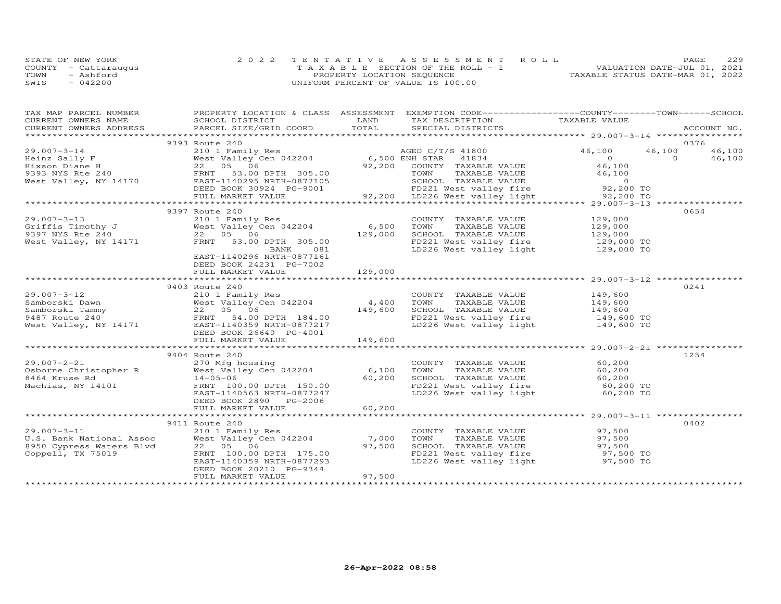|      | STATE OF NEW YORK    | 2022 TENTATIVE ASSESSMENT ROLL        | 229<br>PAGE                      |
|------|----------------------|---------------------------------------|----------------------------------|
|      | COUNTY - Cattaraugus | T A X A B L E SECTION OF THE ROLL - 1 | VALUATION DATE-JUL 01, 2021      |
| TOWN | - Ashford            | PROPERTY LOCATION SEQUENCE            | TAXABLE STATUS DATE-MAR 01, 2022 |
| SWIS | $-042200$            | UNIFORM PERCENT OF VALUE IS 100.00    |                                  |

| CURRENT OWNERS NAME<br>CURRENT OWNERS ADDRESS<br>9393 Route 240<br>0376                                                                                                                                                                                    | PROPERTY LOCATION & CLASS ASSESSMENT EXEMPTION CODE----------------COUNTY-------TOWN------SCHOOL |
|------------------------------------------------------------------------------------------------------------------------------------------------------------------------------------------------------------------------------------------------------------|--------------------------------------------------------------------------------------------------|
|                                                                                                                                                                                                                                                            |                                                                                                  |
|                                                                                                                                                                                                                                                            |                                                                                                  |
|                                                                                                                                                                                                                                                            |                                                                                                  |
|                                                                                                                                                                                                                                                            |                                                                                                  |
|                                                                                                                                                                                                                                                            |                                                                                                  |
|                                                                                                                                                                                                                                                            |                                                                                                  |
|                                                                                                                                                                                                                                                            |                                                                                                  |
|                                                                                                                                                                                                                                                            |                                                                                                  |
|                                                                                                                                                                                                                                                            |                                                                                                  |
|                                                                                                                                                                                                                                                            |                                                                                                  |
|                                                                                                                                                                                                                                                            |                                                                                                  |
| 0654<br>9397 Route 240                                                                                                                                                                                                                                     |                                                                                                  |
| 9397 Route 240<br>210 1 Family Res<br>3397 NYS Rte 240<br>9397 NYS Rte 240<br>9397 NYS Rte 240<br>92 05 06<br>9397 NYS Rte 240<br>22 05 06<br>9397 NYS Rte 240<br>22 05 06<br>9397 NYS Rte 240<br>22 05 06<br>9397 NYS Rte 240<br>22 05 06<br>9397 NYS Rte |                                                                                                  |
|                                                                                                                                                                                                                                                            |                                                                                                  |
|                                                                                                                                                                                                                                                            |                                                                                                  |
|                                                                                                                                                                                                                                                            |                                                                                                  |
|                                                                                                                                                                                                                                                            |                                                                                                  |
| EAST-1140296 NRTH-0877161                                                                                                                                                                                                                                  |                                                                                                  |
| DEED BOOK 24231 PG-7002                                                                                                                                                                                                                                    |                                                                                                  |
| 129,000<br>FULL MARKET VALUE                                                                                                                                                                                                                               |                                                                                                  |
|                                                                                                                                                                                                                                                            |                                                                                                  |
| 0241                                                                                                                                                                                                                                                       |                                                                                                  |
|                                                                                                                                                                                                                                                            |                                                                                                  |
|                                                                                                                                                                                                                                                            |                                                                                                  |
|                                                                                                                                                                                                                                                            |                                                                                                  |
|                                                                                                                                                                                                                                                            |                                                                                                  |
|                                                                                                                                                                                                                                                            |                                                                                                  |
|                                                                                                                                                                                                                                                            |                                                                                                  |
|                                                                                                                                                                                                                                                            |                                                                                                  |
|                                                                                                                                                                                                                                                            |                                                                                                  |
| 9404 Route 240<br>1254                                                                                                                                                                                                                                     |                                                                                                  |
|                                                                                                                                                                                                                                                            |                                                                                                  |
|                                                                                                                                                                                                                                                            |                                                                                                  |
|                                                                                                                                                                                                                                                            |                                                                                                  |
| 29.007-2-21<br>270 Mfg housing<br>270 Mfg housing<br>West Valley Cen 042204<br>214-05-06<br>Machias, NY 14101 FRNT 100.00 DPTH 150.00<br>EAST-1140563 NRTH-0877247<br>EAST-1140563 NRTH-0877247<br>EAST-1140563 NRTH-0877247<br>EAST-1140563 NRT           |                                                                                                  |
|                                                                                                                                                                                                                                                            |                                                                                                  |
| DEED BOOK 2890 PG-2006                                                                                                                                                                                                                                     |                                                                                                  |
| 60, 200<br>FULL MARKET VALUE                                                                                                                                                                                                                               |                                                                                                  |
|                                                                                                                                                                                                                                                            |                                                                                                  |
| 0402                                                                                                                                                                                                                                                       |                                                                                                  |
|                                                                                                                                                                                                                                                            |                                                                                                  |
|                                                                                                                                                                                                                                                            |                                                                                                  |
| COUNTY TAXABLE VALUE $97,500$<br>TOWN TAXABLE VALUE $97,500$<br>SCHOOL TAXABLE VALUE $97,500$<br>FD221 West valley fire $97,500$ TO<br>LD226 West valley light $97,500$ TO                                                                                 |                                                                                                  |
|                                                                                                                                                                                                                                                            |                                                                                                  |
|                                                                                                                                                                                                                                                            |                                                                                                  |
| DEED BOOK 20210 PG-9344<br>97,500<br>FULL MARKET VALUE                                                                                                                                                                                                     |                                                                                                  |
|                                                                                                                                                                                                                                                            |                                                                                                  |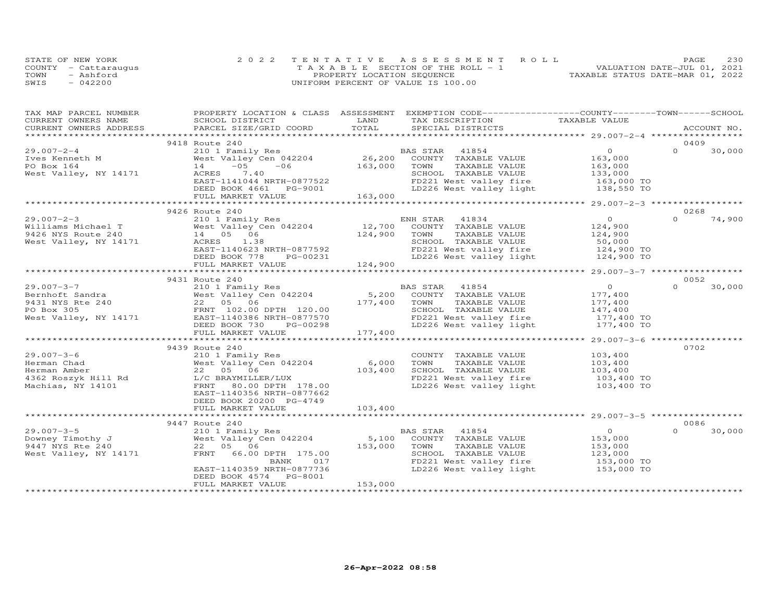| STATE OF NEW YORK    | 2022 TENTATIVE ASSESSMENT ROLL        | 230<br>PAGE.                     |
|----------------------|---------------------------------------|----------------------------------|
| COUNTY - Cattaraugus | T A X A B L E SECTION OF THE ROLL - 1 | VALUATION DATE-JUL 01, 2021      |
| TOWN<br>- Ashford    | PROPERTY LOCATION SEQUENCE            | TAXABLE STATUS DATE-MAR 01, 2022 |
| $-042200$<br>SWIS    | UNIFORM PERCENT OF VALUE IS 100.00    |                                  |

| TAX MAP PARCEL NUMBER  |                                                                                                                                                                                                                                                                                                                                                                       |         | PROPERTY LOCATION & CLASS ASSESSMENT EXEMPTION CODE----------------COUNTY-------TOWN------SCHOOL |                                           |             |        |
|------------------------|-----------------------------------------------------------------------------------------------------------------------------------------------------------------------------------------------------------------------------------------------------------------------------------------------------------------------------------------------------------------------|---------|--------------------------------------------------------------------------------------------------|-------------------------------------------|-------------|--------|
| CURRENT OWNERS NAME    | SCHOOL DISTRICT                                                                                                                                                                                                                                                                                                                                                       | LAND    | TAX DESCRIPTION                                                                                  | TAXABLE VALUE                             |             |        |
| CURRENT OWNERS ADDRESS | PARCEL SIZE/GRID COORD                                                                                                                                                                                                                                                                                                                                                | TOTAL   | SPECIAL DISTRICTS                                                                                |                                           | ACCOUNT NO. |        |
|                        |                                                                                                                                                                                                                                                                                                                                                                       |         |                                                                                                  |                                           |             |        |
|                        | 9418 Route 240                                                                                                                                                                                                                                                                                                                                                        |         |                                                                                                  |                                           | 0409        |        |
| $29.007 - 2 - 4$       | $\begin{array}{lll} \text{Z1U} & \text{I} & \text{Family Res} \\ \text{West Valley Cen} & 042204 & 26,200 \end{array}$                                                                                                                                                                                                                                                |         | BAS STAR 41854                                                                                   | $\overline{O}$                            | $\Omega$    | 30,000 |
| Ives Kenneth M         |                                                                                                                                                                                                                                                                                                                                                                       |         | COUNTY TAXABLE VALUE                                                                             | 163,000                                   |             |        |
| PO Box 164             | $-06$ 163,000<br>$-05$<br>14                                                                                                                                                                                                                                                                                                                                          |         | TOWN<br>TAXABLE VALUE                                                                            | 163,000                                   |             |        |
| West Valley, NY 14171  | ACRES 7.40                                                                                                                                                                                                                                                                                                                                                            |         | SCHOOL TAXABLE VALUE                                                                             | 133,000                                   |             |        |
|                        |                                                                                                                                                                                                                                                                                                                                                                       |         |                                                                                                  |                                           |             |        |
|                        |                                                                                                                                                                                                                                                                                                                                                                       |         | FD221 West valley fire 163,000 TO<br>LD226 West valley light 138,550 TO                          |                                           |             |        |
|                        | ACRES 7.40<br>EAST-1141044 NRTH-0877522<br>DEED BOOK 4661 PG-9001<br>FULL MARKET VALUE 163,000                                                                                                                                                                                                                                                                        |         |                                                                                                  |                                           |             |        |
|                        |                                                                                                                                                                                                                                                                                                                                                                       |         |                                                                                                  |                                           |             |        |
|                        | 9426 Route 240                                                                                                                                                                                                                                                                                                                                                        |         |                                                                                                  |                                           | 0268        |        |
| $29.007 - 2 - 3$       | 210 1 Family Res                                                                                                                                                                                                                                                                                                                                                      |         |                                                                                                  | $\overline{O}$                            | $\Omega$    | 74,900 |
|                        | Williams Michael T<br>$\begin{array}{ccc}\n 0.11111 \text{ and } 0.1111 \text{ and } 0.1111 \text{ and } 0.1111 \text{ and } 0.1111 \text{ and } 0.1111 \text{ and } 0.1111 \text{ and } 0.1111 \text{ and } 0.1111 \text{ and } 0.1111 \text{ and } 0.1111 \text{ and } 0.11111 \text{ and } 0.11111 \text{ and } 0.11111 \text{ and } 0.11111 \text{ and } 0.11111$ |         | ENH STAR 41834<br>12,700 COUNTY TAXABLE VALUE<br>124,900 TOWN TAXABLE VALUE                      | 124,900                                   |             |        |
|                        |                                                                                                                                                                                                                                                                                                                                                                       |         |                                                                                                  | 124,900                                   |             |        |
| West Valley, NY 14171  | ACRES 1.38                                                                                                                                                                                                                                                                                                                                                            |         | SCHOOL TAXABLE VALUE                                                                             | 50,000                                    |             |        |
|                        |                                                                                                                                                                                                                                                                                                                                                                       |         |                                                                                                  |                                           |             |        |
|                        | ACRES 1.38<br>EAST-1140623 NRTH-0877592<br>DEED BOOK 778 PG-00231                                                                                                                                                                                                                                                                                                     |         | FD221 West valley fire 124,900 TO<br>LD226 West valley light 124,900 TO                          |                                           |             |        |
|                        | FULL MARKET VALUE                                                                                                                                                                                                                                                                                                                                                     | 124,900 |                                                                                                  |                                           |             |        |
|                        |                                                                                                                                                                                                                                                                                                                                                                       |         |                                                                                                  |                                           |             |        |
|                        | 9431 Route 240                                                                                                                                                                                                                                                                                                                                                        |         |                                                                                                  |                                           | 0052        |        |
|                        |                                                                                                                                                                                                                                                                                                                                                                       |         |                                                                                                  | $\overline{0}$                            | $\Omega$    | 30,000 |
|                        |                                                                                                                                                                                                                                                                                                                                                                       |         |                                                                                                  |                                           |             |        |
|                        | 29.007-3-7<br>Bernhoft Sandra<br>210 1 Family Res<br>22 05 06<br>PO Box 305<br>22 05 06<br>22 05 06<br>22 05 06<br>22 05 06<br>22 05 06<br>22 05 06<br>22 05 06<br>22 05 06<br>22 05 06<br>22 05 06<br>22 05 06<br>22 05 06<br>22 05 06<br>22 05 06<br>22 05 06<br>22                                                                                                 |         |                                                                                                  | 177,400<br>177,400                        |             |        |
|                        |                                                                                                                                                                                                                                                                                                                                                                       |         |                                                                                                  | 147,400                                   |             |        |
|                        |                                                                                                                                                                                                                                                                                                                                                                       |         | FD221 West valley fire                                                                           | 177,400 TO                                |             |        |
|                        |                                                                                                                                                                                                                                                                                                                                                                       |         | LD226 West valley light                                                                          | 177,400 TO                                |             |        |
|                        | FULL MARKET VALUE                                                                                                                                                                                                                                                                                                                                                     | 177,400 |                                                                                                  |                                           |             |        |
|                        |                                                                                                                                                                                                                                                                                                                                                                       |         |                                                                                                  | *********** 29.007-3-6 ****************** |             |        |
|                        | 9439 Route 240                                                                                                                                                                                                                                                                                                                                                        |         |                                                                                                  |                                           | 0702        |        |
| $29.007 - 3 - 6$       | 210 1 Family Res                                                                                                                                                                                                                                                                                                                                                      |         | COUNTY TAXABLE VALUE                                                                             | 103,400                                   |             |        |
| Herman Chad            |                                                                                                                                                                                                                                                                                                                                                                       |         | TAXABLE VALUE<br>TOWN                                                                            | 103,400                                   |             |        |
|                        |                                                                                                                                                                                                                                                                                                                                                                       |         |                                                                                                  |                                           |             |        |
|                        |                                                                                                                                                                                                                                                                                                                                                                       |         | SCHOOL TAXABLE VALUE 103,400<br>FD221 West valley fire 103,400 TO                                |                                           |             |        |
| Machias, NY 14101      | FRNT 80.00 DPTH 178.00                                                                                                                                                                                                                                                                                                                                                |         | LD226 West valley light                                                                          | 103,400 TO                                |             |        |
|                        | EAST-1140356 NRTH-0877662                                                                                                                                                                                                                                                                                                                                             |         |                                                                                                  |                                           |             |        |
|                        | DEED BOOK 20200 PG-4749                                                                                                                                                                                                                                                                                                                                               |         |                                                                                                  |                                           |             |        |
|                        | FULL MARKET VALUE                                                                                                                                                                                                                                                                                                                                                     | 103,400 |                                                                                                  |                                           |             |        |
|                        |                                                                                                                                                                                                                                                                                                                                                                       |         |                                                                                                  |                                           |             |        |
|                        | 9447 Route 240                                                                                                                                                                                                                                                                                                                                                        |         |                                                                                                  |                                           | 0086        |        |
| $29.007 - 3 - 5$       |                                                                                                                                                                                                                                                                                                                                                                       |         |                                                                                                  | $\overline{O}$                            | $\Omega$    | 30,000 |
| Downey Timothy J       |                                                                                                                                                                                                                                                                                                                                                                       |         |                                                                                                  |                                           |             |        |
| 9447 NYS Rte 240       | Route 240<br>210 1 Family Res<br>West Valley Cen 042204 5,100 COUNTY TAXABLE VALUE<br>22 05 06 153,000 TOWN TAXABLE VALUE<br>SCHOOL TAXABLE VALUE<br>210 I Family<br>West Valley C<br>22 05 06                                                                                                                                                                        |         |                                                                                                  | 153,000<br>153,000                        |             |        |
| West Valley, NY 14171  |                                                                                                                                                                                                                                                                                                                                                                       |         |                                                                                                  |                                           |             |        |
|                        | 017<br>BANK                                                                                                                                                                                                                                                                                                                                                           |         | SCHOOL TAXABLE VALUE 123,000<br>FD221 West valley fire 153,000 TO                                |                                           |             |        |
|                        | EAST-1140359 NRTH-0877736                                                                                                                                                                                                                                                                                                                                             |         | LD226 West valley light 153,000 TO                                                               |                                           |             |        |
|                        | DEED BOOK 4574<br>PG-8001                                                                                                                                                                                                                                                                                                                                             |         |                                                                                                  |                                           |             |        |
|                        | FULL MARKET VALUE                                                                                                                                                                                                                                                                                                                                                     | 153,000 |                                                                                                  |                                           |             |        |
|                        |                                                                                                                                                                                                                                                                                                                                                                       |         |                                                                                                  |                                           |             |        |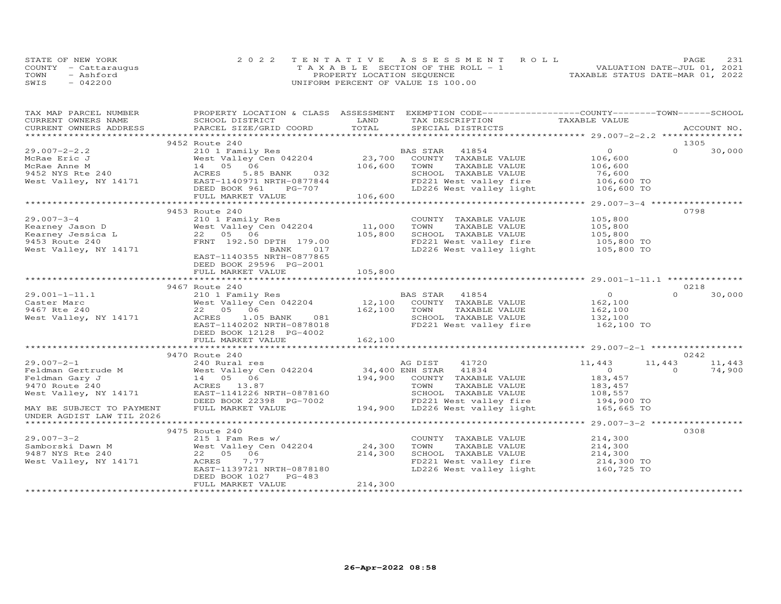|      | STATE OF NEW YORK    | 2022 TENTATIVE ASSESSMENT ROLL        | 231<br>PAGE.                     |
|------|----------------------|---------------------------------------|----------------------------------|
|      | COUNTY - Cattaraugus | T A X A B L E SECTION OF THE ROLL - 1 | VALUATION DATE-JUL 01, 2021      |
| TOWN | - Ashford            | PROPERTY LOCATION SEQUENCE            | TAXABLE STATUS DATE-MAR 01, 2022 |
| SWIS | $-042200$            | UNIFORM PERCENT OF VALUE IS 100.00    |                                  |

| TAX MAP PARCEL NUMBER                              |                                                                                                                                                                                                                                          |         | PROPERTY LOCATION & CLASS ASSESSMENT EXEMPTION CODE----------------COUNTY-------TOWN------SCHOOL |                    |          |        |
|----------------------------------------------------|------------------------------------------------------------------------------------------------------------------------------------------------------------------------------------------------------------------------------------------|---------|--------------------------------------------------------------------------------------------------|--------------------|----------|--------|
|                                                    |                                                                                                                                                                                                                                          |         |                                                                                                  |                    |          |        |
|                                                    |                                                                                                                                                                                                                                          |         |                                                                                                  |                    |          |        |
|                                                    |                                                                                                                                                                                                                                          |         |                                                                                                  |                    |          |        |
|                                                    | 9452 Route 240                                                                                                                                                                                                                           |         |                                                                                                  |                    | 1305     |        |
| $29.007 - 2 - 2.2$                                 |                                                                                                                                                                                                                                          |         |                                                                                                  | $\Omega$           | $\Omega$ | 30,000 |
| McRae Eric J                                       |                                                                                                                                                                                                                                          |         |                                                                                                  | 106,600            |          |        |
|                                                    |                                                                                                                                                                                                                                          | 106,600 | TAXABLE VALUE<br>TOWN                                                                            | 106,600<br>76,600  |          |        |
|                                                    |                                                                                                                                                                                                                                          |         |                                                                                                  |                    |          |        |
| West Valley, NY 14171                              |                                                                                                                                                                                                                                          |         |                                                                                                  |                    |          |        |
|                                                    |                                                                                                                                                                                                                                          |         |                                                                                                  |                    |          |        |
|                                                    | 9452 NYS Rte 240<br>West Valley, NY 14171 ACRES 5.85 BANK 032<br>Mest Valley, NY 14171 BAST-1140971 NRTH-0877844 FD221 West valley fire 106,600 TO<br>EVILL MARKET VALUE 106,600<br>FULL MARKET VALUE 106,600<br>TULL MARKET VALUE 106,6 |         |                                                                                                  |                    |          |        |
|                                                    |                                                                                                                                                                                                                                          |         |                                                                                                  |                    |          |        |
|                                                    | 9453 Route 240                                                                                                                                                                                                                           |         |                                                                                                  |                    | 0798     |        |
| $29.007 - 3 - 4$                                   | 210 1 Family Res                                                                                                                                                                                                                         |         | COUNTY TAXABLE VALUE                                                                             | 105,800            |          |        |
| X3.007 J 4<br>Kearney Jason D<br>Kearney Jessica L | West Valley Cen 042204                                                                                                                                                                                                                   | 11,000  | TOWN<br>TAXABLE VALUE                                                                            | 105,800            |          |        |
|                                                    | 22 05 06                                                                                                                                                                                                                                 | 105,800 | SCHOOL TAXABLE VALUE                                                                             | 105,800            |          |        |
|                                                    | FRNT 192.50 DPTH 179.00                                                                                                                                                                                                                  |         | FD221 West valley fire 105,800 TO<br>LD226 West valley light 105,800 TO                          |                    |          |        |
| 9453 Route 240<br>West Valley, NY 14171            | 017<br>BANK                                                                                                                                                                                                                              |         |                                                                                                  |                    |          |        |
|                                                    | EAST-1140355 NRTH-0877865                                                                                                                                                                                                                |         |                                                                                                  |                    |          |        |
|                                                    | DEED BOOK 29596 PG-2001                                                                                                                                                                                                                  |         |                                                                                                  |                    |          |        |
|                                                    | FULL MARKET VALUE                                                                                                                                                                                                                        | 105,800 |                                                                                                  |                    |          |        |
|                                                    |                                                                                                                                                                                                                                          |         |                                                                                                  |                    |          |        |
|                                                    | 210 1<br>West Valley 0.<br>22 05 06<br>ACRES 1.0<br>FAST-1140207                                                                                                                                                                         |         |                                                                                                  |                    | 0218     |        |
| $29.001 - 1 - 11.1$                                |                                                                                                                                                                                                                                          |         |                                                                                                  | $\overline{0}$     | $\Omega$ | 30,000 |
| Caster Marc                                        |                                                                                                                                                                                                                                          |         |                                                                                                  | 162, 100           |          |        |
| 9467 Rte 240                                       |                                                                                                                                                                                                                                          |         |                                                                                                  | 162,100<br>132,100 |          |        |
| West Valley, NY 14171                              | Note that the pair of the same that the set of the set of the set of the set of the set of the set of the set of the set of the set of the set of the set of the set of the set of the set of the set of the set of the set of           |         |                                                                                                  |                    |          |        |
|                                                    |                                                                                                                                                                                                                                          |         | FD221 West valley fire 162,100 TO                                                                |                    |          |        |
|                                                    | DEED BOOK 12128 PG-4002                                                                                                                                                                                                                  |         |                                                                                                  |                    |          |        |
|                                                    |                                                                                                                                                                                                                                          |         |                                                                                                  |                    |          |        |
|                                                    |                                                                                                                                                                                                                                          |         |                                                                                                  |                    |          |        |
|                                                    | 9470 Route 240                                                                                                                                                                                                                           |         |                                                                                                  |                    | 0242     |        |
| 29.007-2-1<br>Feldman Gertrude M<br>Feldman Gary J | 240 Rural res                                                                                                                                                                                                                            |         | AG DIST 41720<br>34,400 ENH STAR 41834<br>194,900 COUNTY TAXABLE VALUE                           | 11,443             | 11,443   | 11,443 |
|                                                    | West Valley Cen 042204                                                                                                                                                                                                                   |         |                                                                                                  | $\overline{0}$     | $\Omega$ | 74,900 |
|                                                    | 14  05  06                                                                                                                                                                                                                               |         |                                                                                                  | 183,457            |          |        |
| 9470 Route 240                                     |                                                                                                                                                                                                                                          |         |                                                                                                  |                    |          |        |
| West Valley, NY 14171                              |                                                                                                                                                                                                                                          |         |                                                                                                  |                    |          |        |
|                                                    |                                                                                                                                                                                                                                          |         |                                                                                                  |                    |          |        |
| MAY BE SUBJECT TO PAYMENT                          |                                                                                                                                                                                                                                          |         |                                                                                                  |                    |          |        |
| UNDER AGDIST LAW TIL 2026                          |                                                                                                                                                                                                                                          |         |                                                                                                  |                    |          |        |
|                                                    |                                                                                                                                                                                                                                          |         |                                                                                                  |                    |          |        |
|                                                    | 9475 Route 240                                                                                                                                                                                                                           |         |                                                                                                  |                    | 0308     |        |
|                                                    |                                                                                                                                                                                                                                          |         | COUNTY TAXABLE VALUE                                                                             | 214,300            |          |        |
|                                                    |                                                                                                                                                                                                                                          |         | TOWN<br>TAXABLE VALUE                                                                            | 214,300            |          |        |
|                                                    |                                                                                                                                                                                                                                          |         | TOWN IAAADDE VALUE<br>SCHOOL TAXABLE VALUE 214,300<br>ED221 Mest vallev fire 214,300 TO          |                    |          |        |
|                                                    |                                                                                                                                                                                                                                          |         | FD221 West valley fire 214,300 TO<br>LD226 West valley light 160,725 TO                          |                    |          |        |
|                                                    | EAST-1139721 NRTH-0878180                                                                                                                                                                                                                |         |                                                                                                  |                    |          |        |
|                                                    | PG-483<br>DEED BOOK 1027                                                                                                                                                                                                                 |         |                                                                                                  |                    |          |        |
|                                                    | FULL MARKET VALUE                                                                                                                                                                                                                        | 214,300 |                                                                                                  |                    |          |        |
|                                                    |                                                                                                                                                                                                                                          |         |                                                                                                  |                    |          |        |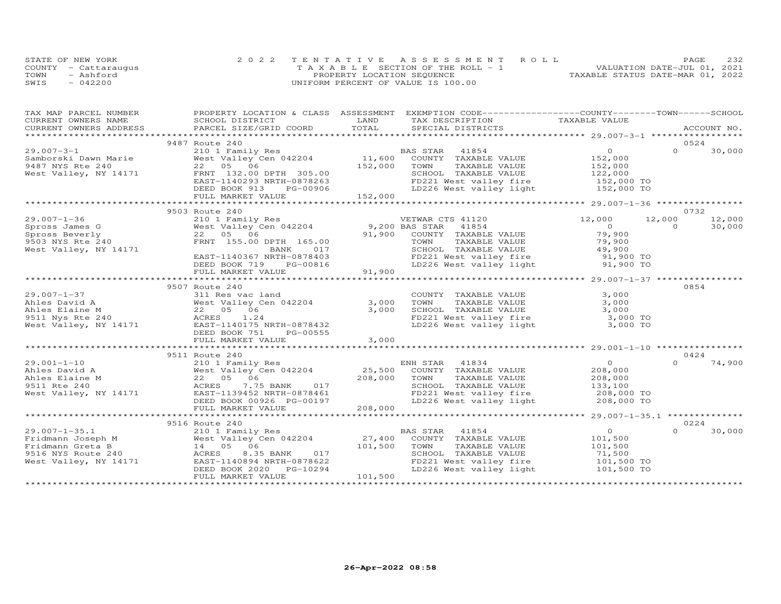|      | STATE OF NEW YORK    | 2022 TENTATIVE ASSESSMENT ROLL        | 232<br>PAGE.                     |
|------|----------------------|---------------------------------------|----------------------------------|
|      | COUNTY - Cattaraugus | T A X A B L E SECTION OF THE ROLL - 1 | VALUATION DATE-JUL 01, 2021      |
| TOWN | - Ashford            | PROPERTY LOCATION SEQUENCE            | TAXABLE STATUS DATE-MAR 01, 2022 |
| SWIS | $-042200$            | UNIFORM PERCENT OF VALUE IS 100.00    |                                  |

| TAX MAP PARCEL NUMBER | PROPERTY LOCATION & CLASS ASSESSMENT EXEMPTION CODE-----------------COUNTY-------TOWN------SCHOOL                                                                                                                                                                           |         |                                                                                                                                       |                                        |          |        |
|-----------------------|-----------------------------------------------------------------------------------------------------------------------------------------------------------------------------------------------------------------------------------------------------------------------------|---------|---------------------------------------------------------------------------------------------------------------------------------------|----------------------------------------|----------|--------|
|                       |                                                                                                                                                                                                                                                                             |         |                                                                                                                                       |                                        |          |        |
|                       |                                                                                                                                                                                                                                                                             |         |                                                                                                                                       |                                        |          |        |
|                       |                                                                                                                                                                                                                                                                             |         |                                                                                                                                       |                                        |          |        |
|                       | 9487 Route 240                                                                                                                                                                                                                                                              |         |                                                                                                                                       |                                        | 0524     |        |
|                       |                                                                                                                                                                                                                                                                             |         |                                                                                                                                       |                                        |          |        |
|                       |                                                                                                                                                                                                                                                                             |         |                                                                                                                                       |                                        |          |        |
|                       |                                                                                                                                                                                                                                                                             |         |                                                                                                                                       |                                        |          |        |
|                       |                                                                                                                                                                                                                                                                             |         |                                                                                                                                       |                                        |          |        |
|                       |                                                                                                                                                                                                                                                                             |         |                                                                                                                                       |                                        |          |        |
|                       |                                                                                                                                                                                                                                                                             |         |                                                                                                                                       |                                        |          |        |
|                       |                                                                                                                                                                                                                                                                             |         |                                                                                                                                       |                                        |          |        |
|                       |                                                                                                                                                                                                                                                                             |         |                                                                                                                                       |                                        |          |        |
|                       | 9503 Route 240                                                                                                                                                                                                                                                              |         |                                                                                                                                       |                                        |          | 0732   |
|                       |                                                                                                                                                                                                                                                                             |         |                                                                                                                                       | 12,000 12,000                          |          | 12,000 |
|                       |                                                                                                                                                                                                                                                                             |         |                                                                                                                                       | $\begin{array}{c}0\\79,900\end{array}$ | $\Omega$ | 30,000 |
|                       |                                                                                                                                                                                                                                                                             |         |                                                                                                                                       |                                        |          |        |
|                       |                                                                                                                                                                                                                                                                             |         |                                                                                                                                       |                                        |          |        |
|                       |                                                                                                                                                                                                                                                                             |         |                                                                                                                                       |                                        |          |        |
|                       |                                                                                                                                                                                                                                                                             |         | TOWN TAXABLE VALUE (19,900<br>SCHOOL TAXABLE VALUE (19,900<br>FD221 West valley fire (19,900 TO<br>LD226 West valley light (19,900 TO |                                        |          |        |
|                       |                                                                                                                                                                                                                                                                             |         |                                                                                                                                       |                                        |          |        |
|                       |                                                                                                                                                                                                                                                                             |         |                                                                                                                                       |                                        |          |        |
|                       |                                                                                                                                                                                                                                                                             |         |                                                                                                                                       |                                        |          |        |
|                       | 9507 Route 240                                                                                                                                                                                                                                                              |         |                                                                                                                                       |                                        | 0854     |        |
|                       |                                                                                                                                                                                                                                                                             |         | COUNTY TAXABLE VALUE                                                                                                                  | 3,000                                  |          |        |
|                       | 311 Res vac land<br>West Valley Cen 042204<br>22 05 06<br>ACRES 1.24                                                                                                                                                                                                        | 3,000   | TAXABLE VALUE<br>TOWN                                                                                                                 | 3,000                                  |          |        |
|                       |                                                                                                                                                                                                                                                                             | 3,000   |                                                                                                                                       |                                        |          |        |
|                       |                                                                                                                                                                                                                                                                             |         |                                                                                                                                       |                                        |          |        |
|                       |                                                                                                                                                                                                                                                                             |         | SCHOOL TAXABLE VALUE<br>FD221 West valley fire<br>LD226 West valley light<br>3,000 TO<br>3,000 TO                                     |                                        |          |        |
|                       |                                                                                                                                                                                                                                                                             |         |                                                                                                                                       |                                        |          |        |
|                       |                                                                                                                                                                                                                                                                             | 3,000   |                                                                                                                                       |                                        |          |        |
|                       |                                                                                                                                                                                                                                                                             |         |                                                                                                                                       |                                        |          |        |
|                       | 9511 Route 240                                                                                                                                                                                                                                                              |         |                                                                                                                                       |                                        |          | 0424   |
|                       | 29.001-1-10<br>29.001-1-10<br>208,000<br>208,000<br>208,000<br>208,000<br>208,000<br>208,000<br>208,000<br>208,000<br>208,000<br>208,000<br>208,000<br>208,000<br>208,000<br>208,000<br>208,000<br>208,000<br>208,000<br>208,000<br>208,000<br>208,000<br>208,000<br>208,00 |         |                                                                                                                                       |                                        | $\Omega$ | 74,900 |
|                       |                                                                                                                                                                                                                                                                             |         |                                                                                                                                       |                                        |          |        |
|                       |                                                                                                                                                                                                                                                                             |         |                                                                                                                                       |                                        |          |        |
|                       |                                                                                                                                                                                                                                                                             |         |                                                                                                                                       |                                        |          |        |
|                       |                                                                                                                                                                                                                                                                             |         |                                                                                                                                       |                                        |          |        |
|                       |                                                                                                                                                                                                                                                                             |         | SCHOOL TAXABLE VALUE 133,100<br>FD221 West valley fire 208,000 TO<br>LD226 West valley light 208,000 TO                               |                                        |          |        |
|                       | FULL MARKET VALUE                                                                                                                                                                                                                                                           | 208,000 |                                                                                                                                       |                                        |          |        |
|                       |                                                                                                                                                                                                                                                                             |         |                                                                                                                                       |                                        |          |        |
|                       |                                                                                                                                                                                                                                                                             |         |                                                                                                                                       |                                        |          | 0224   |
|                       |                                                                                                                                                                                                                                                                             |         |                                                                                                                                       | $\overline{0}$                         | $\Omega$ |        |
|                       |                                                                                                                                                                                                                                                                             |         | BAS STAR 41854<br>COUNTY TAXABLE VALUE 101,500                                                                                        |                                        |          | 30,000 |
|                       |                                                                                                                                                                                                                                                                             |         |                                                                                                                                       |                                        |          |        |
|                       |                                                                                                                                                                                                                                                                             |         | TOWN TAXABLE VALUE 101,500<br>SCHOOL TAXABLE VALUE 71,500<br>TOWN                                                                     |                                        |          |        |
|                       |                                                                                                                                                                                                                                                                             |         |                                                                                                                                       |                                        |          |        |
|                       |                                                                                                                                                                                                                                                                             |         | FD221 West valley fire the 101,500 TO<br>LD226 West valley light 101,500 TO                                                           |                                        |          |        |
|                       |                                                                                                                                                                                                                                                                             |         |                                                                                                                                       |                                        |          |        |
|                       | FULL MARKET VALUE                                                                                                                                                                                                                                                           | 101,500 |                                                                                                                                       |                                        |          |        |
|                       |                                                                                                                                                                                                                                                                             |         |                                                                                                                                       |                                        |          |        |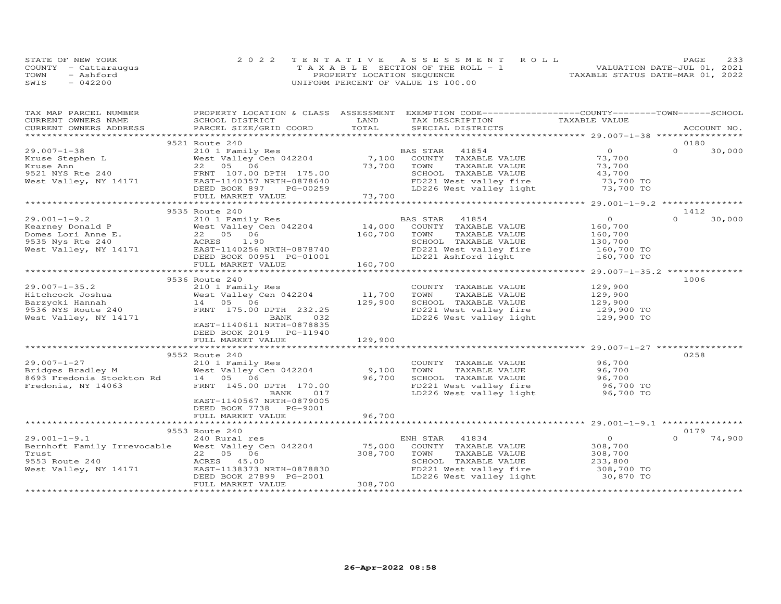| STATE OF NEW YORK    | 2022 TENTATIVE ASSESSMENT ROLL        | PAGE.                            | 233 |
|----------------------|---------------------------------------|----------------------------------|-----|
| COUNTY - Cattaraugus | T A X A B L E SECTION OF THE ROLL - 1 | VALUATION DATE-JUL 01, 2021      |     |
| TOWN<br>- Ashford    | PROPERTY LOCATION SEQUENCE            | TAXABLE STATUS DATE-MAR 01, 2022 |     |
| SWIS<br>$-042200$    | UNIFORM PERCENT OF VALUE IS 100.00    |                                  |     |

| TAX MAP PARCEL NUMBER                                                          |                              |         | PROPERTY LOCATION & CLASS ASSESSMENT EXEMPTION CODE----------------COUNTY-------TOWN------SCHOOL |                                                       |                            |  |
|--------------------------------------------------------------------------------|------------------------------|---------|--------------------------------------------------------------------------------------------------|-------------------------------------------------------|----------------------------|--|
| CURRENT OWNERS NAME                                                            | SCHOOL DISTRICT              | LAND    | TAX DESCRIPTION                                                                                  | TAXABLE VALUE                                         |                            |  |
| CURRENT OWNERS ADDRESS                                                         | PARCEL SIZE/GRID COORD       | TOTAL   | SPECIAL DISTRICTS                                                                                |                                                       | ACCOUNT NO.                |  |
|                                                                                |                              |         |                                                                                                  |                                                       |                            |  |
|                                                                                | 9521 Route 240               |         |                                                                                                  |                                                       | 0180                       |  |
| $29.007 - 1 - 38$                                                              | 210 1 Family Res             |         | 41854<br>BAS STAR                                                                                | $\Omega$                                              | $\Omega$<br>30,000         |  |
| Kruse Stephen L                                                                | West Valley Cen 042204 7,100 |         | COUNTY TAXABLE VALUE                                                                             | 73,700                                                |                            |  |
| Kruse Ann                                                                      | 22 05 06                     | 73,700  | TAXABLE VALUE<br>TOWN                                                                            | 73,700                                                |                            |  |
| 9521 NYS Rte 240                                                               | FRNT 107.00 DPTH 175.00      |         | SCHOOL TAXABLE VALUE                                                                             | 43,700                                                |                            |  |
| West Valley, NY 14171                                                          | EAST-1140357 NRTH-0878640    |         | FD221 West valley fire 373,700 TO<br>LD226 West valley light 373,700 TO                          |                                                       |                            |  |
|                                                                                | DEED BOOK 897<br>PG-00259    |         |                                                                                                  |                                                       |                            |  |
|                                                                                | FULL MARKET VALUE            | 73,700  |                                                                                                  |                                                       |                            |  |
|                                                                                | 9535 Route 240               |         |                                                                                                  |                                                       |                            |  |
| $29.001 - 1 - 9.2$                                                             | 210 1 Family Res             |         | BAS STAR<br>41854                                                                                | $\overline{0}$                                        | 1412<br>$\Omega$<br>30,000 |  |
|                                                                                | West Valley Cen 042204       | 14,000  | COUNTY TAXABLE VALUE                                                                             | 160,700                                               |                            |  |
|                                                                                | 22 05 06                     | 160,700 | TOWN<br>TAXABLE VALUE                                                                            | 160,700                                               |                            |  |
| Kearney Donald P<br>Domes Lori Anne E.<br>9535 Nys Rte 240<br>9535 Nys Rte 240 | ACRES<br>1.90                |         | SCHOOL TAXABLE VALUE                                                                             | 130,700                                               |                            |  |
| West Valley, NY 14171 EAST-1140256 NRTH-0878740                                |                              |         | FD221 West valley fire                                                                           | 160,700 TO                                            |                            |  |
|                                                                                | DEED BOOK 00951 PG-01001     |         | LD221 Ashford light                                                                              | 160,700 TO                                            |                            |  |
|                                                                                | FULL MARKET VALUE            | 160,700 |                                                                                                  |                                                       |                            |  |
|                                                                                |                              |         |                                                                                                  |                                                       |                            |  |
|                                                                                | 9536 Route 240               |         |                                                                                                  |                                                       | 1006                       |  |
| $29.007 - 1 - 35.2$                                                            | 210 1 Family Res             |         | COUNTY TAXABLE VALUE                                                                             | 129,900                                               |                            |  |
| Hitchcock Joshua                                                               | West Valley Cen 042204       | 11,700  | TOWN<br>TAXABLE VALUE                                                                            | 129,900                                               |                            |  |
| Barzycki Hannah                                                                | 14 05 06                     | 129,900 | SCHOOL TAXABLE VALUE                                                                             | 129,900                                               |                            |  |
| 9536 NYS Route 240                                                             | FRNT 175.00 DPTH 232.25      |         | FD221 West valley fire                                                                           | 129,900 TO                                            |                            |  |
| West Valley, NY 14171                                                          | 032<br>BANK                  |         | LD226 West valley light                                                                          | 129,900 TO                                            |                            |  |
|                                                                                | EAST-1140611 NRTH-0878835    |         |                                                                                                  |                                                       |                            |  |
|                                                                                | DEED BOOK 2019 PG-11940      |         |                                                                                                  |                                                       |                            |  |
|                                                                                | FULL MARKET VALUE            | 129,900 |                                                                                                  |                                                       |                            |  |
|                                                                                |                              |         |                                                                                                  |                                                       |                            |  |
|                                                                                | 9552 Route 240               |         |                                                                                                  |                                                       | 0258                       |  |
| $29.007 - 1 - 27$                                                              | 210 1 Family Res             |         | COUNTY TAXABLE VALUE                                                                             | 96,700                                                |                            |  |
| Pridges Bradley M<br>8693 Frederick L                                          | West Valley Cen 042204       | 9,100   | TOWN<br>TAXABLE VALUE                                                                            | 96,700                                                |                            |  |
| 8693 Fredonia Stockton Rd                                                      | 14  05  06                   | 96,700  | SCHOOL TAXABLE VALUE                                                                             | 96,700                                                |                            |  |
| Fredonia, NY 14063                                                             | FRNT 145.00 DPTH 170.00      |         |                                                                                                  | 96,700 TO                                             |                            |  |
|                                                                                | 017<br>BANK                  |         | FD221 West valley fire<br>LD226 West valley light                                                | 96,700 TO                                             |                            |  |
|                                                                                | EAST-1140567 NRTH-0879005    |         |                                                                                                  |                                                       |                            |  |
|                                                                                | DEED BOOK 7738 PG-9001       |         |                                                                                                  |                                                       |                            |  |
|                                                                                | FULL MARKET VALUE            | 96,700  |                                                                                                  |                                                       |                            |  |
|                                                                                |                              |         |                                                                                                  | ************************ 29.001-1-9.1 *************** |                            |  |
|                                                                                | 9553 Route 240               |         |                                                                                                  |                                                       | 0179                       |  |
| $29.001 - 1 - 9.1$                                                             | 240 Rural res                |         | ENH STAR<br>41834                                                                                | $\overline{O}$                                        | 74,900<br>$\Omega$         |  |
| Bernhoft Family Irrevocable                                                    | West Valley Cen 042204       | 75,000  | COUNTY TAXABLE VALUE                                                                             | 308,700                                               |                            |  |
| Trust                                                                          | 22 05 06                     | 308,700 | TOWN<br>TAXABLE VALUE                                                                            | 308,700                                               |                            |  |
| 9553 Route 240                                                                 | ACRES 45.00                  |         | SCHOOL TAXABLE VALUE                                                                             | 233,800                                               |                            |  |
| West Valley, NY 14171                                                          | EAST-1138373 NRTH-0878830    |         | FD221 West valley fire                                                                           | 308,700 TO                                            |                            |  |
|                                                                                | DEED BOOK 27899 PG-2001      |         | LD226 West valley light                                                                          | 30,870 TO                                             |                            |  |
|                                                                                | FULL MARKET VALUE            | 308,700 |                                                                                                  |                                                       |                            |  |
|                                                                                |                              |         |                                                                                                  |                                                       |                            |  |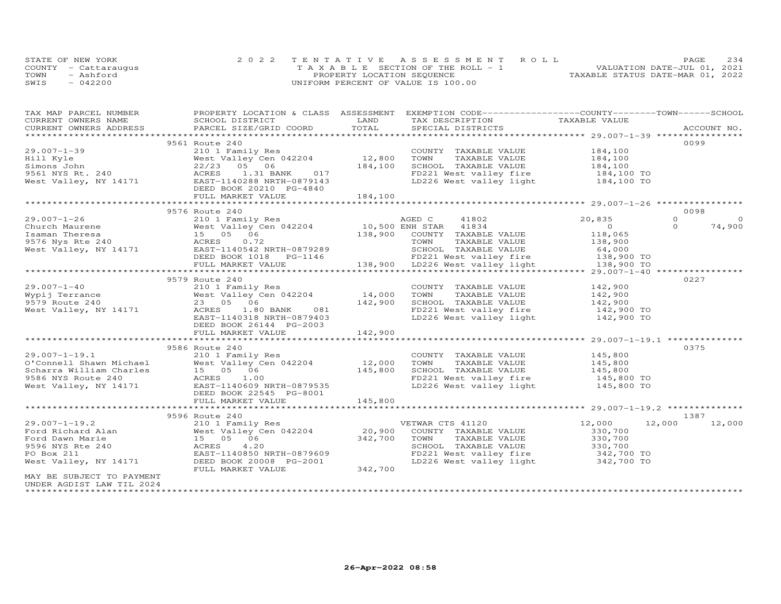|      | STATE OF NEW YORK    | 2022 TENTATIVE ASSESSMENT ROLL        | PAGE                             | 234 |
|------|----------------------|---------------------------------------|----------------------------------|-----|
|      | COUNTY - Cattarauqus | T A X A B L E SECTION OF THE ROLL - 1 | VALUATION DATE-JUL 01, 2021      |     |
| TOWN | - Ashford            | PROPERTY LOCATION SEQUENCE            | TAXABLE STATUS DATE-MAR 01, 2022 |     |
| SWIS | $-042200$            | UNIFORM PERCENT OF VALUE IS 100.00    |                                  |     |

| TAX MAP PARCEL NUMBER                                                                                   |                                                                                                                                                                                                                                                                                                                                                           |                   | PROPERTY LOCATION & CLASS ASSESSMENT EXEMPTION CODE----------------COUNTY-------TOWN-----SCHOOL |                    |                      |
|---------------------------------------------------------------------------------------------------------|-----------------------------------------------------------------------------------------------------------------------------------------------------------------------------------------------------------------------------------------------------------------------------------------------------------------------------------------------------------|-------------------|-------------------------------------------------------------------------------------------------|--------------------|----------------------|
| CURRENT OWNERS NAME                                                                                     | SCHOOL DISTRICT                                                                                                                                                                                                                                                                                                                                           | LAND              | TAX DESCRIPTION                                                                                 | TAXABLE VALUE      |                      |
|                                                                                                         | CORRENT OWNERS NATION BOLOOM DISTRICT THE TAX DESCRIPTION THAT THE TAXING SURFENT OWNERS ACCOUNT NO.<br>CURRENT OWNERS ADDRESS PARCEL SIZE/GRID COORD TOTAL SPECIAL DISTRICTS ACCOUNT NO.                                                                                                                                                                 |                   |                                                                                                 |                    |                      |
|                                                                                                         |                                                                                                                                                                                                                                                                                                                                                           |                   |                                                                                                 |                    | 0099                 |
|                                                                                                         | 9561 Route 240                                                                                                                                                                                                                                                                                                                                            |                   |                                                                                                 |                    |                      |
| $29.007 - 1 - 39$<br>210 1<br>West V<br>9561 NYS Rt. 240<br>West Valley, NY 14171<br>EAST-11<br>EAST-11 | 210 1 Family Res                                                                                                                                                                                                                                                                                                                                          |                   | COUNTY TAXABLE VALUE                                                                            | 184,100<br>184,100 |                      |
|                                                                                                         |                                                                                                                                                                                                                                                                                                                                                           | 184,100           | TAXABLE VALUE                                                                                   |                    |                      |
|                                                                                                         | 22/23 05 06<br>22/23 03 03<br>RCRES 1.31 BANK 017<br>EAST-1140288 NRTH-0879143                                                                                                                                                                                                                                                                            |                   | SCHOOL TAXABLE VALUE 184,100<br>FD221 West valley fire 184,100 TO                               |                    |                      |
|                                                                                                         |                                                                                                                                                                                                                                                                                                                                                           |                   | LD226 West valley light 184,100 TO                                                              |                    |                      |
|                                                                                                         | DEED BOOK 20210 PG-4840                                                                                                                                                                                                                                                                                                                                   |                   |                                                                                                 |                    |                      |
|                                                                                                         |                                                                                                                                                                                                                                                                                                                                                           |                   |                                                                                                 |                    |                      |
|                                                                                                         |                                                                                                                                                                                                                                                                                                                                                           |                   |                                                                                                 |                    |                      |
|                                                                                                         | 9576 Route 240                                                                                                                                                                                                                                                                                                                                            |                   |                                                                                                 |                    | 0098                 |
|                                                                                                         | $\begin{tabular}{lllllllllllllllllll} \hline 29.007–1–26 & 9576 {\rm\;Kulte\;240} & 20,835 \\ {\rm Church\;Maurene & 210 & 10500\;EMH\;STAR & 41834 & 20,835 \\ {\rm Isaman\;Theresa} & 15 & 05 & 06 & 138,900 & {\rm\;COMIT\;}\;{\rm TAXABLE\;VALUE} & 100,500 \\ {\rm Hsmain\;25 & 06 & 138,900 & {\rm\;COMIT\;}\;{\rm TAXABLE\;VALUE} & 100,500 \\ {\$ |                   |                                                                                                 |                    | $\Omega$<br>$\Omega$ |
|                                                                                                         |                                                                                                                                                                                                                                                                                                                                                           |                   |                                                                                                 |                    | $\Omega$<br>74,900   |
|                                                                                                         |                                                                                                                                                                                                                                                                                                                                                           |                   |                                                                                                 |                    |                      |
|                                                                                                         |                                                                                                                                                                                                                                                                                                                                                           |                   |                                                                                                 |                    |                      |
|                                                                                                         |                                                                                                                                                                                                                                                                                                                                                           |                   |                                                                                                 |                    |                      |
|                                                                                                         |                                                                                                                                                                                                                                                                                                                                                           |                   |                                                                                                 |                    |                      |
|                                                                                                         |                                                                                                                                                                                                                                                                                                                                                           |                   |                                                                                                 |                    |                      |
|                                                                                                         |                                                                                                                                                                                                                                                                                                                                                           |                   |                                                                                                 |                    |                      |
|                                                                                                         | 9579 Route 240                                                                                                                                                                                                                                                                                                                                            |                   |                                                                                                 |                    | 0227                 |
| $29.007 - 1 - 40$                                                                                       | 210 1 Family Res                                                                                                                                                                                                                                                                                                                                          |                   | COUNTY TAXABLE VALUE 142,900                                                                    |                    |                      |
| Wypij Terrance                                                                                          |                                                                                                                                                                                                                                                                                                                                                           |                   | TOWN<br>TAXABLE VALUE                                                                           |                    |                      |
| 9579 Route 240                                                                                          | West Valley C<br>West Valley C<br>23 05 06<br>West Valley Cen 042204<br>23 05 06                                                                                                                                                                                                                                                                          | 14,000<br>142,900 | SCHOOL TAXABLE VALUE                                                                            | 142,900<br>142,900 |                      |
| West Valley, NY 14171 ACRES                                                                             | 1.80 BANK 081                                                                                                                                                                                                                                                                                                                                             |                   |                                                                                                 |                    |                      |
|                                                                                                         | EAST-1140318 NRTH-0879403                                                                                                                                                                                                                                                                                                                                 |                   | FD221 West valley fire 142,900 TO<br>LD226 West valley light 142,900 TO                         |                    |                      |
|                                                                                                         | DEED BOOK 26144 PG-2003                                                                                                                                                                                                                                                                                                                                   |                   |                                                                                                 |                    |                      |
|                                                                                                         | FULL MARKET VALUE                                                                                                                                                                                                                                                                                                                                         | 142,900           |                                                                                                 |                    |                      |
|                                                                                                         |                                                                                                                                                                                                                                                                                                                                                           |                   |                                                                                                 |                    |                      |
|                                                                                                         | 9586 Route 240                                                                                                                                                                                                                                                                                                                                            |                   |                                                                                                 |                    | 0375                 |
|                                                                                                         |                                                                                                                                                                                                                                                                                                                                                           |                   | COUNTY TAXABLE VALUE                                                                            | 145,800            |                      |
|                                                                                                         |                                                                                                                                                                                                                                                                                                                                                           |                   | TOWN<br>TAXABLE VALUE                                                                           | 145,800<br>145,800 |                      |
|                                                                                                         |                                                                                                                                                                                                                                                                                                                                                           |                   | SCHOOL TAXABLE VALUE                                                                            |                    |                      |
|                                                                                                         |                                                                                                                                                                                                                                                                                                                                                           |                   | FD221 West valley fire 145,800 TO                                                               |                    |                      |
|                                                                                                         | 29.007-1-19.1<br>C'Connell Shawn Michael (12.000)<br>Scharra William Charles (15 05 06 145,800)<br>9586 NYS Route 240 (16.000)<br>210 1 Family Res<br>15 05 06 145,800<br>9586 NYS Route 240 (16.009)<br>28ST-1140609 NRTH-0879535                                                                                                                        |                   | LD226 West valley light                                                                         | 145,800 TO         |                      |
|                                                                                                         | DEED BOOK 22545 PG-8001                                                                                                                                                                                                                                                                                                                                   |                   |                                                                                                 |                    |                      |
|                                                                                                         | FULL MARKET VALUE                                                                                                                                                                                                                                                                                                                                         | 145,800           |                                                                                                 |                    |                      |
|                                                                                                         |                                                                                                                                                                                                                                                                                                                                                           |                   |                                                                                                 |                    |                      |
|                                                                                                         | 9596 Route 240                                                                                                                                                                                                                                                                                                                                            |                   |                                                                                                 |                    | 1387                 |
|                                                                                                         |                                                                                                                                                                                                                                                                                                                                                           |                   | VETWAR CTS 41120                                                                                | 12,000             | 12,000 12,000        |
|                                                                                                         | West Valley Cen 042204                                                                                                                                                                                                                                                                                                                                    | 20,900            | COUNTY TAXABLE VALUE                                                                            | 330,700            |                      |
|                                                                                                         |                                                                                                                                                                                                                                                                                                                                                           | 342,700           | TOWN<br>TAXABLE VALUE                                                                           |                    |                      |
|                                                                                                         | Ford Richard Alan and all and the Mest Valley Cen 042204<br>Ford Dawn Marie 15 05 06<br>9596 NYS Rte 240<br>PO Box 211<br>PO Box 211<br>PO BOX 211<br>PO BOX 211<br>PO BOX 211<br>PO BOX 211<br>PO BOX 211                                                                                                                                                |                   | SCHOOL TAXABLE VALUE                                                                            | 330,700<br>330,700 |                      |
|                                                                                                         | EAST-1140850 NRTH-0879609                                                                                                                                                                                                                                                                                                                                 |                   | FD221 West valley fire 342,700 TO<br>LD226 West valley light 342,700 TO                         |                    |                      |
|                                                                                                         | West Valley, NY 14171 DEED BOOK 20008 PG-2001<br>FULL MARKET VALUE                                                                                                                                                                                                                                                                                        | 342,700           |                                                                                                 |                    |                      |
| MAY BE SUBJECT TO PAYMENT                                                                               |                                                                                                                                                                                                                                                                                                                                                           |                   |                                                                                                 |                    |                      |
| UNDER AGDIST LAW TIL 2024                                                                               |                                                                                                                                                                                                                                                                                                                                                           |                   |                                                                                                 |                    |                      |
| *********************                                                                                   |                                                                                                                                                                                                                                                                                                                                                           |                   |                                                                                                 |                    |                      |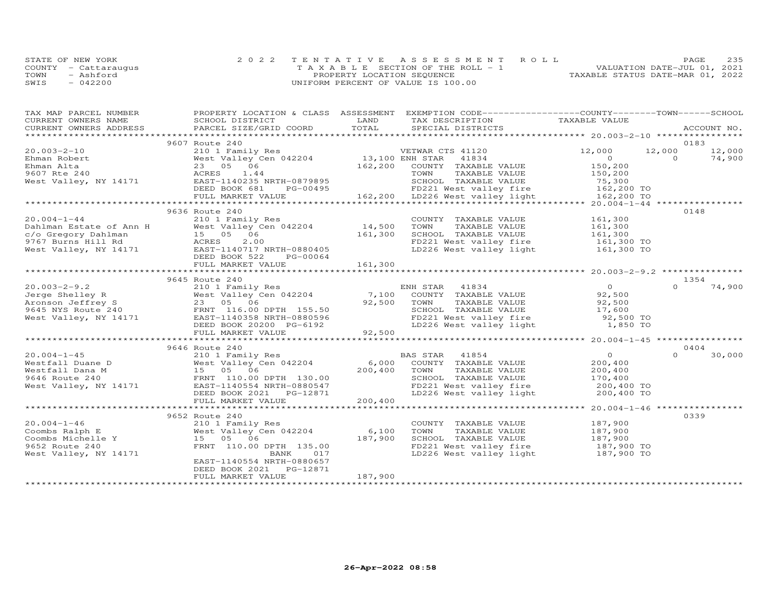| STATE OF NEW YORK    | 2022 TENTATIVE ASSESSMENT ROLL        |                            |  |                                  | PAGE. | 235 |
|----------------------|---------------------------------------|----------------------------|--|----------------------------------|-------|-----|
| COUNTY - Cattaraugus | T A X A B L E SECTION OF THE ROLL - 1 |                            |  | VALUATION DATE-JUL 01, 2021      |       |     |
| TOWN<br>- Ashford    |                                       | PROPERTY LOCATION SEQUENCE |  | TAXABLE STATUS DATE-MAR 01, 2022 |       |     |
| $-042200$<br>SWIS    | UNIFORM PERCENT OF VALUE IS 100.00    |                            |  |                                  |       |     |

| TAX MAP PARCEL NUMBER<br>CURRENT OWNERS NAME | SCHOOL DISTRICT                                                                                                                                                                   | LAND              | PROPERTY LOCATION & CLASS ASSESSMENT EXEMPTION CODE----------------COUNTY-------TOWN------SCHOOL                                                                      |                                            |          |             |
|----------------------------------------------|-----------------------------------------------------------------------------------------------------------------------------------------------------------------------------------|-------------------|-----------------------------------------------------------------------------------------------------------------------------------------------------------------------|--------------------------------------------|----------|-------------|
| CURRENT OWNERS ADDRESS                       | PARCEL SIZE/GRID COORD                                                                                                                                                            | TOTAL             | TAX DESCRIPTION TAXABLE VALUE<br>SPECIAL DISTRICTS                                                                                                                    |                                            |          | ACCOUNT NO. |
|                                              |                                                                                                                                                                                   |                   |                                                                                                                                                                       |                                            |          |             |
|                                              |                                                                                                                                                                                   |                   |                                                                                                                                                                       |                                            | 0183     |             |
| $20.003 - 2 - 10$                            | 9607 Route 240                                                                                                                                                                    |                   |                                                                                                                                                                       | 12,000                                     | 12,000   |             |
|                                              | 210 1 Family Res<br>West Valley Cen 042204 13,100 ENH STAR 41834<br>23___05 _06 06 162,200 COUNTY TAXABLE                                                                         |                   |                                                                                                                                                                       |                                            | $\Omega$ | 12,000      |
| Ehman Robert                                 |                                                                                                                                                                                   |                   |                                                                                                                                                                       | $\overline{O}$                             |          | 74,900      |
| Ehman Alta                                   |                                                                                                                                                                                   |                   | COUNTY TAXABLE VALUE                                                                                                                                                  | 150,200<br>150,200                         |          |             |
| 9607 Rte 240                                 | ACRES<br>1.44                                                                                                                                                                     |                   |                                                                                                                                                                       |                                            |          |             |
|                                              | West Valley, NY 14171 EAST-1140235 NRTH-0879895                                                                                                                                   |                   |                                                                                                                                                                       |                                            |          |             |
|                                              | DEED BOOK 681                                                                                                                                                                     |                   |                                                                                                                                                                       |                                            |          |             |
|                                              | FULL MARKET VALUE                                                                                                                                                                 |                   | TOWN TAXABLE VALUE 150,200<br>RTH-0879895 SCHOOL TAXABLE VALUE 75,300<br>PG-00495 FD221 West valley fire 162,200 TO<br>LUE 162,200 LD226 West valley light 162,200 TO |                                            |          |             |
|                                              |                                                                                                                                                                                   |                   |                                                                                                                                                                       |                                            |          |             |
|                                              | 9636 Route 240                                                                                                                                                                    |                   |                                                                                                                                                                       |                                            | 0148     |             |
| $20.004 - 1 - 44$                            | 210 1 Family Res                                                                                                                                                                  |                   | COUNTY TAXABLE VALUE                                                                                                                                                  | 161,300                                    |          |             |
|                                              |                                                                                                                                                                                   |                   | TOWN<br>TAXABLE VALUE                                                                                                                                                 | 161,300<br>161,300                         |          |             |
|                                              |                                                                                                                                                                                   | 14,500<br>161,300 | SCHOOL TAXABLE VALUE                                                                                                                                                  |                                            |          |             |
|                                              |                                                                                                                                                                                   |                   |                                                                                                                                                                       |                                            |          |             |
|                                              | Dahlman Estate of Ann H West Valley Cen 042204 14,500<br>c/o Gregory Dahlman 15 05 06 161,300<br>9767 Burns Hill Rd ACRES 2.00<br>West Valley, NY 14171 ERST-1140717 NRTH-0880405 |                   | FD221 West valley fire 161,300 TO<br>LD226 West valley light 161,300 TO                                                                                               |                                            |          |             |
|                                              | DEED BOOK 522<br>PG-00064                                                                                                                                                         |                   |                                                                                                                                                                       |                                            |          |             |
|                                              | FULL MARKET VALUE                                                                                                                                                                 | 161,300           |                                                                                                                                                                       |                                            |          |             |
|                                              |                                                                                                                                                                                   |                   |                                                                                                                                                                       |                                            |          |             |
|                                              | 9645 Route 240                                                                                                                                                                    |                   |                                                                                                                                                                       |                                            | 1354     |             |
|                                              |                                                                                                                                                                                   |                   |                                                                                                                                                                       | $\begin{array}{c} 0 \\ 92,500 \end{array}$ | $\Omega$ | 74,900      |
|                                              |                                                                                                                                                                                   |                   |                                                                                                                                                                       |                                            |          |             |
|                                              |                                                                                                                                                                                   |                   |                                                                                                                                                                       |                                            |          |             |
|                                              |                                                                                                                                                                                   |                   | TAXABLE VALUE 92,500<br>TAXABLE VALUE 17,600                                                                                                                          |                                            |          |             |
|                                              |                                                                                                                                                                                   |                   |                                                                                                                                                                       |                                            |          |             |
|                                              |                                                                                                                                                                                   |                   | FD221 West valley fire 92,500 TO<br>LD226 West valley light 1,850 TO                                                                                                  |                                            |          |             |
|                                              | DEED BOOK 20200 PG-6192                                                                                                                                                           |                   |                                                                                                                                                                       |                                            |          |             |
| **************************                   | FULL MARKET VALUE<br>************************************                                                                                                                         | 92,500            |                                                                                                                                                                       |                                            |          |             |
|                                              |                                                                                                                                                                                   |                   |                                                                                                                                                                       |                                            |          |             |
|                                              | 9646 Route 240                                                                                                                                                                    |                   |                                                                                                                                                                       |                                            | 0404     |             |
|                                              |                                                                                                                                                                                   |                   | BAS STAR 41854                                                                                                                                                        | $\overline{0}$                             | $\Omega$ | 30,000      |
|                                              |                                                                                                                                                                                   | 6,000             | COUNTY TAXABLE VALUE                                                                                                                                                  | 200, 400                                   |          |             |
|                                              |                                                                                                                                                                                   | 200,400           | TOWN<br>TAXABLE VALUE                                                                                                                                                 | 200,400                                    |          |             |
|                                              |                                                                                                                                                                                   |                   |                                                                                                                                                                       |                                            |          |             |
|                                              |                                                                                                                                                                                   |                   | SCHOOL TAXABLE VALUE 170,400<br>FD221 West valley fire 200,400 TO<br>LD226 West valley light 200,400 TO                                                               |                                            |          |             |
|                                              |                                                                                                                                                                                   |                   |                                                                                                                                                                       |                                            |          |             |
|                                              |                                                                                                                                                                                   | 200,400           |                                                                                                                                                                       |                                            |          |             |
|                                              |                                                                                                                                                                                   |                   |                                                                                                                                                                       |                                            |          |             |
|                                              | 9652 Route 240                                                                                                                                                                    |                   |                                                                                                                                                                       |                                            | 0339     |             |
| $20.004 - 1 - 46$                            |                                                                                                                                                                                   |                   | COUNTY TAXABLE VALUE                                                                                                                                                  |                                            |          |             |
| Coombs Ralph E                               | 210 1 Family Res<br>West Valley Cen 042204                                                                                                                                        | 6,100             | TOWN<br>TAXABLE VALUE                                                                                                                                                 | 187,900<br>187,900                         |          |             |
| Coombs Michelle Y                            | 15 05 06                                                                                                                                                                          | 187,900           | SCHOOL TAXABLE VALUE                                                                                                                                                  | $187,900$<br>$187,900$ TO                  |          |             |
| 9652 Route 240                               | FRNT 110.00 DPTH 135.00                                                                                                                                                           |                   |                                                                                                                                                                       |                                            |          |             |
| West Valley, NY 14171                        | 017<br>BANK                                                                                                                                                                       |                   | FD221 West valley fire 187,900 TO<br>LD226 West valley light 187,900 TO                                                                                               |                                            |          |             |
|                                              | EAST-1140554 NRTH-0880657                                                                                                                                                         |                   |                                                                                                                                                                       |                                            |          |             |
|                                              | DEED BOOK 2021 PG-12871                                                                                                                                                           |                   |                                                                                                                                                                       |                                            |          |             |
|                                              | FULL MARKET VALUE                                                                                                                                                                 | 187,900           |                                                                                                                                                                       |                                            |          |             |
|                                              |                                                                                                                                                                                   |                   |                                                                                                                                                                       |                                            |          |             |
|                                              |                                                                                                                                                                                   |                   |                                                                                                                                                                       |                                            |          |             |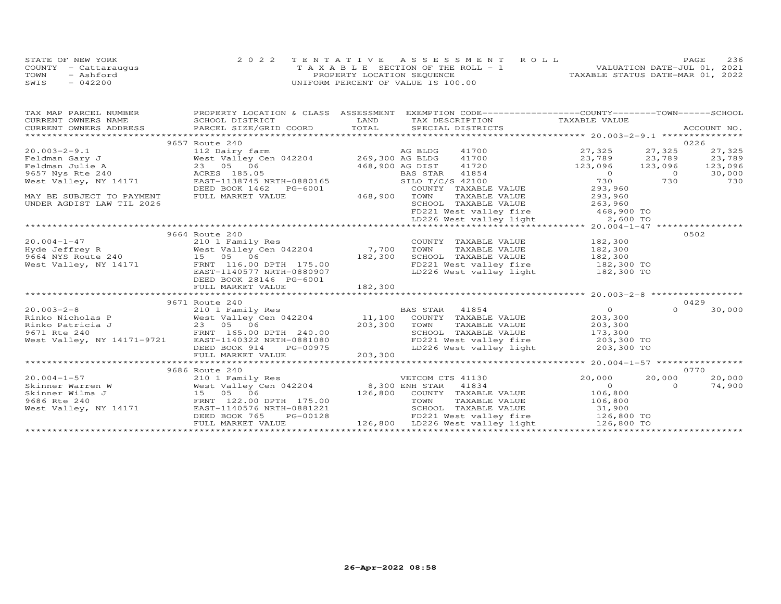|      | STATE OF NEW YORK    | 2022 TENTATIVE ASSESSMENT ROLL        |  |                                  | PAGE                        | 236 |
|------|----------------------|---------------------------------------|--|----------------------------------|-----------------------------|-----|
|      | COUNTY - Cattaraugus | T A X A B L E SECTION OF THE ROLL - 1 |  |                                  | VALUATION DATE-JUL 01, 2021 |     |
| TOWN | - Ashford            | PROPERTY LOCATION SEQUENCE            |  | TAXABLE STATUS DATE-MAR 01, 2022 |                             |     |
| SWIS | $-042200$            | UNIFORM PERCENT OF VALUE IS 100.00    |  |                                  |                             |     |

| 9657 Route 240<br>0226<br>20.003-2-9.1<br>Feldman Gary J<br>Feldman Julie A 23 05 06<br>9657 Nys Rte 240<br>West Valley Cen 042204<br>23 05 06<br>23 05 06<br>23 05 06<br>23 05 06<br>23 05 06<br>23 05 06<br>23 05 06<br>23 05 06<br>23 05 06<br>23 05 06<br>23 05 06<br>23 05 06<br>23 0<br>27,325<br>23,789<br>41720 123,096 123,096 123,096<br>30,000<br>730<br>DEED BOOK 1462 PG-6001<br>FULL MARKET VALUE 468,900 TOWN<br>COUNTY TAXABLE VALUE 293,960<br>MAY BE SUBJECT TO PAYMENT<br>TAXABLE VALUE 293,960<br>UNDER AGDIST LAW TIL 2026<br>9664 Route 240<br>0502<br>20.004-1-47<br>Hyde Jeffrey R<br>9664 NYS Route 240<br>West Valley Cen 042204<br>Mest Valley, NY 14171<br>ERNT 116.00 DPTH 175.00<br>EAST-1140577 NRTH-0880907<br>EAST-1140577 NRTH-0880907<br>EAST-1140577 NRTH-0880907<br>COUNTY TAXABLE VALUE 182,300<br>TAXABLE VALUE 182,300<br>SCHOOL TAXABLE VALUE 182,300<br>FD221 West valley fire 182,300 TO<br>LD226 West valley light<br>182,300 TO<br>DEED BOOK 28146 PG-6001<br>0429<br>9671 Route 240<br>$\overline{a}$ |
|-----------------------------------------------------------------------------------------------------------------------------------------------------------------------------------------------------------------------------------------------------------------------------------------------------------------------------------------------------------------------------------------------------------------------------------------------------------------------------------------------------------------------------------------------------------------------------------------------------------------------------------------------------------------------------------------------------------------------------------------------------------------------------------------------------------------------------------------------------------------------------------------------------------------------------------------------------------------------------------------------------------------------------------------------------|
|                                                                                                                                                                                                                                                                                                                                                                                                                                                                                                                                                                                                                                                                                                                                                                                                                                                                                                                                                                                                                                                     |
|                                                                                                                                                                                                                                                                                                                                                                                                                                                                                                                                                                                                                                                                                                                                                                                                                                                                                                                                                                                                                                                     |
|                                                                                                                                                                                                                                                                                                                                                                                                                                                                                                                                                                                                                                                                                                                                                                                                                                                                                                                                                                                                                                                     |
|                                                                                                                                                                                                                                                                                                                                                                                                                                                                                                                                                                                                                                                                                                                                                                                                                                                                                                                                                                                                                                                     |
|                                                                                                                                                                                                                                                                                                                                                                                                                                                                                                                                                                                                                                                                                                                                                                                                                                                                                                                                                                                                                                                     |
|                                                                                                                                                                                                                                                                                                                                                                                                                                                                                                                                                                                                                                                                                                                                                                                                                                                                                                                                                                                                                                                     |
|                                                                                                                                                                                                                                                                                                                                                                                                                                                                                                                                                                                                                                                                                                                                                                                                                                                                                                                                                                                                                                                     |
|                                                                                                                                                                                                                                                                                                                                                                                                                                                                                                                                                                                                                                                                                                                                                                                                                                                                                                                                                                                                                                                     |
|                                                                                                                                                                                                                                                                                                                                                                                                                                                                                                                                                                                                                                                                                                                                                                                                                                                                                                                                                                                                                                                     |
|                                                                                                                                                                                                                                                                                                                                                                                                                                                                                                                                                                                                                                                                                                                                                                                                                                                                                                                                                                                                                                                     |
|                                                                                                                                                                                                                                                                                                                                                                                                                                                                                                                                                                                                                                                                                                                                                                                                                                                                                                                                                                                                                                                     |
|                                                                                                                                                                                                                                                                                                                                                                                                                                                                                                                                                                                                                                                                                                                                                                                                                                                                                                                                                                                                                                                     |
|                                                                                                                                                                                                                                                                                                                                                                                                                                                                                                                                                                                                                                                                                                                                                                                                                                                                                                                                                                                                                                                     |
|                                                                                                                                                                                                                                                                                                                                                                                                                                                                                                                                                                                                                                                                                                                                                                                                                                                                                                                                                                                                                                                     |
|                                                                                                                                                                                                                                                                                                                                                                                                                                                                                                                                                                                                                                                                                                                                                                                                                                                                                                                                                                                                                                                     |
|                                                                                                                                                                                                                                                                                                                                                                                                                                                                                                                                                                                                                                                                                                                                                                                                                                                                                                                                                                                                                                                     |
|                                                                                                                                                                                                                                                                                                                                                                                                                                                                                                                                                                                                                                                                                                                                                                                                                                                                                                                                                                                                                                                     |
|                                                                                                                                                                                                                                                                                                                                                                                                                                                                                                                                                                                                                                                                                                                                                                                                                                                                                                                                                                                                                                                     |
|                                                                                                                                                                                                                                                                                                                                                                                                                                                                                                                                                                                                                                                                                                                                                                                                                                                                                                                                                                                                                                                     |
|                                                                                                                                                                                                                                                                                                                                                                                                                                                                                                                                                                                                                                                                                                                                                                                                                                                                                                                                                                                                                                                     |
|                                                                                                                                                                                                                                                                                                                                                                                                                                                                                                                                                                                                                                                                                                                                                                                                                                                                                                                                                                                                                                                     |
|                                                                                                                                                                                                                                                                                                                                                                                                                                                                                                                                                                                                                                                                                                                                                                                                                                                                                                                                                                                                                                                     |
|                                                                                                                                                                                                                                                                                                                                                                                                                                                                                                                                                                                                                                                                                                                                                                                                                                                                                                                                                                                                                                                     |
|                                                                                                                                                                                                                                                                                                                                                                                                                                                                                                                                                                                                                                                                                                                                                                                                                                                                                                                                                                                                                                                     |
|                                                                                                                                                                                                                                                                                                                                                                                                                                                                                                                                                                                                                                                                                                                                                                                                                                                                                                                                                                                                                                                     |
|                                                                                                                                                                                                                                                                                                                                                                                                                                                                                                                                                                                                                                                                                                                                                                                                                                                                                                                                                                                                                                                     |
|                                                                                                                                                                                                                                                                                                                                                                                                                                                                                                                                                                                                                                                                                                                                                                                                                                                                                                                                                                                                                                                     |
|                                                                                                                                                                                                                                                                                                                                                                                                                                                                                                                                                                                                                                                                                                                                                                                                                                                                                                                                                                                                                                                     |
|                                                                                                                                                                                                                                                                                                                                                                                                                                                                                                                                                                                                                                                                                                                                                                                                                                                                                                                                                                                                                                                     |
|                                                                                                                                                                                                                                                                                                                                                                                                                                                                                                                                                                                                                                                                                                                                                                                                                                                                                                                                                                                                                                                     |
|                                                                                                                                                                                                                                                                                                                                                                                                                                                                                                                                                                                                                                                                                                                                                                                                                                                                                                                                                                                                                                                     |
|                                                                                                                                                                                                                                                                                                                                                                                                                                                                                                                                                                                                                                                                                                                                                                                                                                                                                                                                                                                                                                                     |
|                                                                                                                                                                                                                                                                                                                                                                                                                                                                                                                                                                                                                                                                                                                                                                                                                                                                                                                                                                                                                                                     |
| 0770<br>9686 Route 240                                                                                                                                                                                                                                                                                                                                                                                                                                                                                                                                                                                                                                                                                                                                                                                                                                                                                                                                                                                                                              |
| 20,000 20,000<br>20,000<br>VETCOM CTS 41130                                                                                                                                                                                                                                                                                                                                                                                                                                                                                                                                                                                                                                                                                                                                                                                                                                                                                                                                                                                                         |
| $\begin{array}{c} 0 \ 106,800 \ 106,800 \end{array}$<br>$\Omega$<br>74,900                                                                                                                                                                                                                                                                                                                                                                                                                                                                                                                                                                                                                                                                                                                                                                                                                                                                                                                                                                          |
|                                                                                                                                                                                                                                                                                                                                                                                                                                                                                                                                                                                                                                                                                                                                                                                                                                                                                                                                                                                                                                                     |
|                                                                                                                                                                                                                                                                                                                                                                                                                                                                                                                                                                                                                                                                                                                                                                                                                                                                                                                                                                                                                                                     |
| 20.004-1-57<br>Southware East Valley Cen 042204<br>Southware West Valley Cen 042204<br>Southware West Valley Cen 042204<br>Southware West Valley Cen 042204<br>Southware West Valley Cen 042204<br>Southware West Valley Alume 175.00<br>Sou<br>SCHOOL TAXABLE VALUE 31,900                                                                                                                                                                                                                                                                                                                                                                                                                                                                                                                                                                                                                                                                                                                                                                         |
| FD221 West valley fire 126,800 TO<br>DEED BOOK 765                                                                                                                                                                                                                                                                                                                                                                                                                                                                                                                                                                                                                                                                                                                                                                                                                                                                                                                                                                                                  |
| PG-00128 FD221 West valley fire 126,800 TO<br>E 126,800 LD226 West valley light 126,800 TO<br>FULL MARKET VALUE                                                                                                                                                                                                                                                                                                                                                                                                                                                                                                                                                                                                                                                                                                                                                                                                                                                                                                                                     |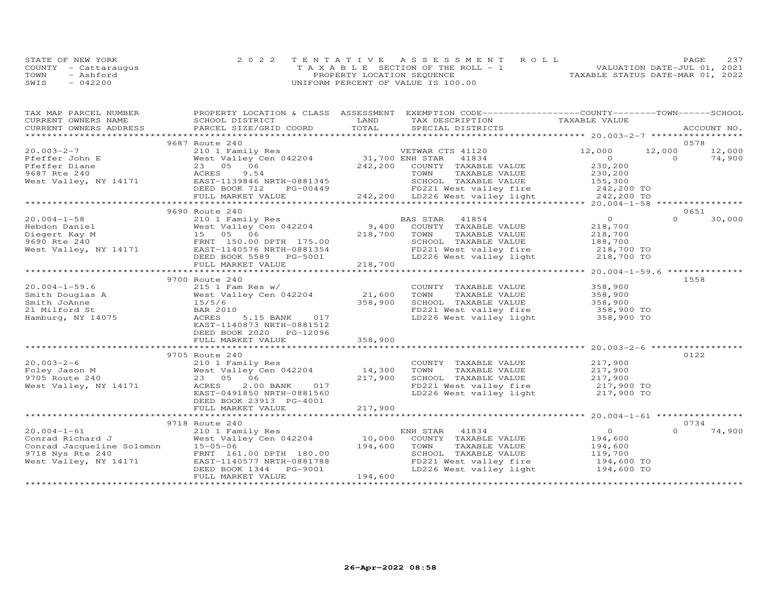|      | STATE OF NEW YORK    | 2022 TENTATIVE ASSESSMENT ROLL        | 237<br>PAGE                      |
|------|----------------------|---------------------------------------|----------------------------------|
|      | COUNTY - Cattaraugus | T A X A B L E SECTION OF THE ROLL - 1 | VALUATION DATE-JUL 01, 2021      |
| TOWN | - Ashford            | PROPERTY LOCATION SEQUENCE            | TAXABLE STATUS DATE-MAR 01, 2022 |
| SWIS | $-042200$            | UNIFORM PERCENT OF VALUE IS 100.00    |                                  |

| TAX MAP PARCEL NUMBER                                                                                                                          |                                                                                                                                                                                                                                                                                       |         | PROPERTY LOCATION & CLASS ASSESSMENT EXEMPTION CODE----------------COUNTY-------TOWN------SCHOOL                              |                |          |        |
|------------------------------------------------------------------------------------------------------------------------------------------------|---------------------------------------------------------------------------------------------------------------------------------------------------------------------------------------------------------------------------------------------------------------------------------------|---------|-------------------------------------------------------------------------------------------------------------------------------|----------------|----------|--------|
| CURRENT OWNERS NAME                                                                                                                            | SCHOOL DISTRICT                                                                                                                                                                                                                                                                       | LAND    | TAX DESCRIPTION TAXABLE VALUE                                                                                                 |                |          |        |
| CURRENT OWNERS ADDRESS                                                                                                                         | .CURRENT OWNERS ADDRESS PARCEL SIZE/GRID COORD TOTAL SPECIAL DISTRICTS ACCOUNT NO ACCOUNT NO ACCOUNT NO ACCOUNT                                                                                                                                                                       | TOTAL   |                                                                                                                               |                |          |        |
|                                                                                                                                                | 9687 Route 240                                                                                                                                                                                                                                                                        |         |                                                                                                                               |                |          | 0578   |
| $20.003 - 2 - 7$                                                                                                                               |                                                                                                                                                                                                                                                                                       |         |                                                                                                                               | 12,000         | 12,000   | 12,000 |
|                                                                                                                                                |                                                                                                                                                                                                                                                                                       |         |                                                                                                                               |                |          |        |
|                                                                                                                                                | 210 1 Family Res<br>West Valley Cen 042204 31,700 ENH STAR 41834<br>23 05 06 242,200 COUNTY TAXABLE VALUE                                                                                                                                                                             |         |                                                                                                                               |                |          |        |
|                                                                                                                                                |                                                                                                                                                                                                                                                                                       |         |                                                                                                                               |                |          |        |
|                                                                                                                                                |                                                                                                                                                                                                                                                                                       |         |                                                                                                                               |                |          |        |
|                                                                                                                                                |                                                                                                                                                                                                                                                                                       |         |                                                                                                                               |                |          |        |
|                                                                                                                                                |                                                                                                                                                                                                                                                                                       |         |                                                                                                                               |                |          |        |
|                                                                                                                                                | $\begin{tabular}{lllllllllllll} 20.003-2-7 & 210\ 1\ Family Res & \text{VETWAR CTS 41120} & 12,000 & 12,000 & 12,000 & 12,000 & 12,000 & 12,000 & 12,000 & 12,000 & 12,000 & 12,000 & 12,000 & 12,000 & 12,000 & 12,000 & 12,000 & 12,000 & 12,000 & 12,000 & 12,000 & 12,000 & 12,0$ |         |                                                                                                                               |                |          |        |
|                                                                                                                                                | 9690 Route 240                                                                                                                                                                                                                                                                        |         |                                                                                                                               |                |          | 0651   |
|                                                                                                                                                |                                                                                                                                                                                                                                                                                       |         |                                                                                                                               |                |          | 30,000 |
|                                                                                                                                                |                                                                                                                                                                                                                                                                                       |         |                                                                                                                               |                |          |        |
|                                                                                                                                                |                                                                                                                                                                                                                                                                                       |         |                                                                                                                               |                |          |        |
|                                                                                                                                                |                                                                                                                                                                                                                                                                                       |         |                                                                                                                               |                |          |        |
|                                                                                                                                                |                                                                                                                                                                                                                                                                                       |         |                                                                                                                               |                |          |        |
|                                                                                                                                                |                                                                                                                                                                                                                                                                                       |         |                                                                                                                               |                |          |        |
|                                                                                                                                                |                                                                                                                                                                                                                                                                                       |         |                                                                                                                               |                |          |        |
|                                                                                                                                                |                                                                                                                                                                                                                                                                                       |         |                                                                                                                               |                |          |        |
|                                                                                                                                                | 9700 Route 240                                                                                                                                                                                                                                                                        |         |                                                                                                                               |                |          | 1558   |
|                                                                                                                                                | $215$ 1 Fam Res w/                                                                                                                                                                                                                                                                    |         |                                                                                                                               |                |          |        |
|                                                                                                                                                | West Valley Cen 042204                                                                                                                                                                                                                                                                | 21,600  | COUNTY TAXABLE VALUE 358,900<br>TOWN TAXABLE VALUE 358,900                                                                    |                |          |        |
|                                                                                                                                                |                                                                                                                                                                                                                                                                                       | 358,900 |                                                                                                                               |                |          |        |
|                                                                                                                                                | BAR 2010                                                                                                                                                                                                                                                                              |         |                                                                                                                               |                |          |        |
| 20.004-1-59.6<br>Smith Douglas A<br>Smith JoAnne<br>215 1 E<br>Smith JoAnne<br>21 Milford St<br>21 Milford St<br>Hamburg, NY 14075<br>22 ACRES | 5.15 BANK 017                                                                                                                                                                                                                                                                         |         | CHOOL TAXABLE VALUE<br>SCHOOL TAXABLE VALUE<br>FD221 West valley fire 358,900 TO<br>LD226 West valley light 358,900 TO        |                |          |        |
|                                                                                                                                                | EAST-1140873 NRTH-0881512                                                                                                                                                                                                                                                             |         |                                                                                                                               |                |          |        |
|                                                                                                                                                | DEED BOOK 2020 PG-12096                                                                                                                                                                                                                                                               |         |                                                                                                                               |                |          |        |
|                                                                                                                                                | FULL MARKET VALUE                                                                                                                                                                                                                                                                     | 358,900 |                                                                                                                               |                |          |        |
|                                                                                                                                                |                                                                                                                                                                                                                                                                                       |         |                                                                                                                               |                |          |        |
|                                                                                                                                                | 9705 Route 240                                                                                                                                                                                                                                                                        |         |                                                                                                                               |                |          | 0122   |
|                                                                                                                                                |                                                                                                                                                                                                                                                                                       |         | COUNTY TAXABLE VALUE 217,900                                                                                                  |                |          |        |
|                                                                                                                                                |                                                                                                                                                                                                                                                                                       |         |                                                                                                                               |                |          |        |
|                                                                                                                                                |                                                                                                                                                                                                                                                                                       |         |                                                                                                                               |                |          |        |
| West Valley, NY 14171 ACRES                                                                                                                    | 2.00 BANK 017                                                                                                                                                                                                                                                                         |         |                                                                                                                               |                |          |        |
|                                                                                                                                                | EAST-0491850 NRTH-0881560                                                                                                                                                                                                                                                             |         | TOWN TAXABLE VALUE<br>SCHOOL TAXABLE VALUE 217,900<br>FD221 West valley fire 217,900 TO<br>LD226 West valley light 217,900 TO |                |          |        |
|                                                                                                                                                | DEED BOOK 23913 PG-4001                                                                                                                                                                                                                                                               |         |                                                                                                                               |                |          |        |
|                                                                                                                                                |                                                                                                                                                                                                                                                                                       |         |                                                                                                                               |                |          |        |
|                                                                                                                                                |                                                                                                                                                                                                                                                                                       |         |                                                                                                                               |                |          |        |
|                                                                                                                                                | 9718 Route 240                                                                                                                                                                                                                                                                        |         |                                                                                                                               |                |          | 0734   |
|                                                                                                                                                |                                                                                                                                                                                                                                                                                       |         | ENH STAR 41834                                                                                                                | $\overline{O}$ | $\Omega$ | 74,900 |
|                                                                                                                                                |                                                                                                                                                                                                                                                                                       |         | COUNTY TAXABLE VALUE 194,600                                                                                                  |                |          |        |
|                                                                                                                                                |                                                                                                                                                                                                                                                                                       |         | TAXABLE VALUE<br>TOWN                                                                                                         | 194,600        |          |        |
|                                                                                                                                                |                                                                                                                                                                                                                                                                                       |         | SCHOOL TAXABLE VALUE 119,700                                                                                                  |                |          |        |
|                                                                                                                                                |                                                                                                                                                                                                                                                                                       |         |                                                                                                                               |                |          |        |
|                                                                                                                                                | DEED BOOK 1344 PG-9001                                                                                                                                                                                                                                                                |         | FD221 West valley fire 194,600 TO<br>LD226 West valley light 194,600 TO                                                       |                |          |        |
|                                                                                                                                                | FULL MARKET VALUE                                                                                                                                                                                                                                                                     | 194,600 |                                                                                                                               |                |          |        |
|                                                                                                                                                |                                                                                                                                                                                                                                                                                       |         |                                                                                                                               |                |          |        |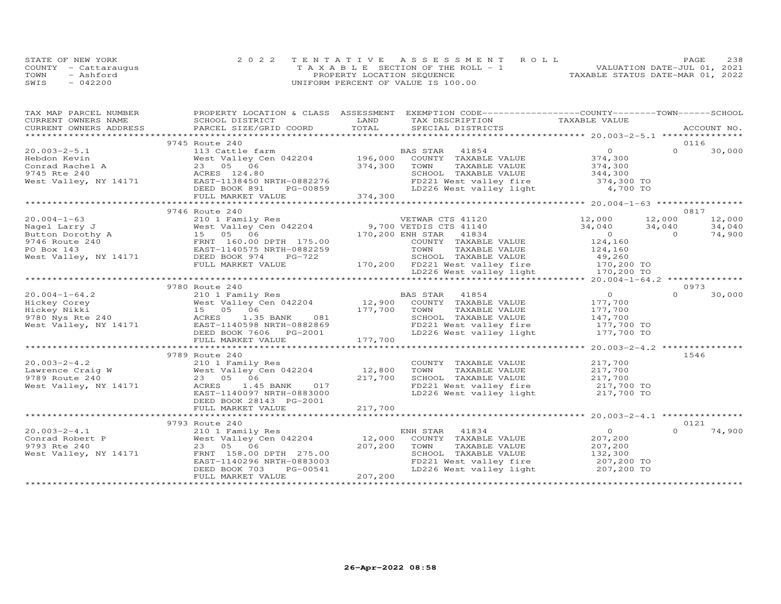|      | STATE OF NEW YORK    | 2022 TENTATIVE ASSESSMENT ROLL        | 238<br>PAGE.                     |
|------|----------------------|---------------------------------------|----------------------------------|
|      | COUNTY - Cattarauqus | T A X A B L E SECTION OF THE ROLL - 1 | VALUATION DATE-JUL 01, 2021      |
| TOWN | - Ashford            | PROPERTY LOCATION SEQUENCE            | TAXABLE STATUS DATE-MAR 01, 2022 |
| SWIS | $-042200$            | UNIFORM PERCENT OF VALUE IS 100.00    |                                  |

| TAX MAP PARCEL NUMBER |                                                                                                                                                                                                                                        |         | PROPERTY LOCATION & CLASS ASSESSMENT EXEMPTION CODE----------------COUNTY-------TOWN------SCHOOL                                                                                                                                         |                |          |        |
|-----------------------|----------------------------------------------------------------------------------------------------------------------------------------------------------------------------------------------------------------------------------------|---------|------------------------------------------------------------------------------------------------------------------------------------------------------------------------------------------------------------------------------------------|----------------|----------|--------|
|                       |                                                                                                                                                                                                                                        |         |                                                                                                                                                                                                                                          |                |          |        |
|                       |                                                                                                                                                                                                                                        |         |                                                                                                                                                                                                                                          |                |          |        |
|                       | 9745 Route 240                                                                                                                                                                                                                         |         |                                                                                                                                                                                                                                          |                |          | 0116   |
|                       |                                                                                                                                                                                                                                        |         |                                                                                                                                                                                                                                          |                |          |        |
|                       |                                                                                                                                                                                                                                        |         |                                                                                                                                                                                                                                          |                |          |        |
|                       |                                                                                                                                                                                                                                        |         |                                                                                                                                                                                                                                          |                |          |        |
|                       |                                                                                                                                                                                                                                        |         |                                                                                                                                                                                                                                          |                |          |        |
|                       |                                                                                                                                                                                                                                        |         |                                                                                                                                                                                                                                          |                |          |        |
|                       |                                                                                                                                                                                                                                        |         |                                                                                                                                                                                                                                          |                |          |        |
|                       |                                                                                                                                                                                                                                        |         |                                                                                                                                                                                                                                          |                |          |        |
|                       |                                                                                                                                                                                                                                        |         |                                                                                                                                                                                                                                          |                |          |        |
|                       | 9746 Route 240                                                                                                                                                                                                                         |         |                                                                                                                                                                                                                                          |                |          | 0817   |
| $20.004 - 1 - 63$     |                                                                                                                                                                                                                                        |         |                                                                                                                                                                                                                                          |                |          | 12,000 |
|                       |                                                                                                                                                                                                                                        |         |                                                                                                                                                                                                                                          |                |          | 34,040 |
|                       | 20.004-1-63<br>Nagel Larry J<br>Nagel Tarry J<br>Button Dorothy A<br>9746 Route 240<br>PO Box 143<br>West Valley, NY 14171<br>DEED BOOK 974<br>PC-722<br>West Valley, NY 14171<br>DEED BOOK 974<br>PC-722                              |         | 210 1 Family Res<br>WETWAR CTS 41120 12,000 12,000<br>West Valley Cen 042204 9,700 VETDIS CTS 41140 34,040 34,040<br>15 05 06 170,200 ENH STAR 41834 0<br>ERNT 160.00 DPTH 175.00 COUNTY TAXABLE VALUE 124,160<br>FAST-1140575 NRTH-0882 |                |          | 74,900 |
|                       |                                                                                                                                                                                                                                        |         |                                                                                                                                                                                                                                          |                |          |        |
|                       |                                                                                                                                                                                                                                        |         |                                                                                                                                                                                                                                          |                |          |        |
|                       |                                                                                                                                                                                                                                        |         |                                                                                                                                                                                                                                          |                |          |        |
|                       |                                                                                                                                                                                                                                        |         |                                                                                                                                                                                                                                          |                |          |        |
|                       |                                                                                                                                                                                                                                        |         |                                                                                                                                                                                                                                          |                |          |        |
|                       | 20 BOX 143<br>West Valley, NY 14171 DEED BOOK 974 PG-722 SCHOOL TAXABLE VALUE 49,260<br>FULL MARKET VALUE 170,200 FD221 West valley fire 170,200 TO<br>EVILL MARKET VALUE 170,200 FD221 West valley light 170,200 TO<br>EXALLEY 170,20 |         |                                                                                                                                                                                                                                          |                |          |        |
|                       | 9780 Route 240                                                                                                                                                                                                                         |         |                                                                                                                                                                                                                                          |                |          | 0973   |
|                       |                                                                                                                                                                                                                                        |         |                                                                                                                                                                                                                                          | $\overline{a}$ | $\Omega$ | 30,000 |
|                       |                                                                                                                                                                                                                                        |         |                                                                                                                                                                                                                                          | 177,700        |          |        |
|                       |                                                                                                                                                                                                                                        |         | TOWN TAXABLE VALUE<br>SCHOOL TAXABLE VALUE 147,700 TO<br>177,700 TO 100 TO 177,700 TO                                                                                                                                                    |                |          |        |
|                       |                                                                                                                                                                                                                                        |         |                                                                                                                                                                                                                                          |                |          |        |
|                       |                                                                                                                                                                                                                                        |         |                                                                                                                                                                                                                                          |                |          |        |
|                       |                                                                                                                                                                                                                                        |         | FD221 West valley fire 177,700 TO<br>LD226 West valley light 177,700 TO                                                                                                                                                                  |                |          |        |
|                       |                                                                                                                                                                                                                                        |         |                                                                                                                                                                                                                                          |                |          |        |
|                       |                                                                                                                                                                                                                                        |         |                                                                                                                                                                                                                                          |                |          |        |
|                       | 9789 Route 240                                                                                                                                                                                                                         |         |                                                                                                                                                                                                                                          |                |          | 1546   |
|                       |                                                                                                                                                                                                                                        |         | COUNTY TAXABLE VALUE 217,700                                                                                                                                                                                                             |                |          |        |
|                       |                                                                                                                                                                                                                                        |         |                                                                                                                                                                                                                                          |                |          |        |
|                       |                                                                                                                                                                                                                                        |         |                                                                                                                                                                                                                                          |                |          |        |
|                       |                                                                                                                                                                                                                                        |         | TOWN TAXABLE VALUE $217,700$<br>SCHOOL TAXABLE VALUE $217,700$<br>FD221 West valley fire $217,700$ TO                                                                                                                                    |                |          |        |
|                       | EAST-1140097 NRTH-0883000                                                                                                                                                                                                              |         | FD221 West valley fire 217,700 TO<br>LD226 West valley light 217,700 TO                                                                                                                                                                  |                |          |        |
|                       | DEED BOOK 28143 PG-2001                                                                                                                                                                                                                |         |                                                                                                                                                                                                                                          |                |          |        |
|                       |                                                                                                                                                                                                                                        |         |                                                                                                                                                                                                                                          |                |          |        |
|                       |                                                                                                                                                                                                                                        |         |                                                                                                                                                                                                                                          |                |          |        |
|                       | 9793 Route 240                                                                                                                                                                                                                         |         |                                                                                                                                                                                                                                          |                |          | 0121   |
|                       |                                                                                                                                                                                                                                        |         | 41834<br>ENH STAR                                                                                                                                                                                                                        | $\overline{O}$ | $\Omega$ | 74,900 |
|                       |                                                                                                                                                                                                                                        |         | COUNTY TAXABLE VALUE 207,200                                                                                                                                                                                                             |                |          |        |
|                       |                                                                                                                                                                                                                                        |         | TOWN<br>TAXABLE VALUE                                                                                                                                                                                                                    | 207,200        |          |        |
|                       |                                                                                                                                                                                                                                        |         | SCHOOL TAXABLE VALUE 132,300                                                                                                                                                                                                             |                |          |        |
|                       | EAST-1140296 NRTH-0883003                                                                                                                                                                                                              |         |                                                                                                                                                                                                                                          |                |          |        |
|                       | DEED BOOK 703<br>PG-00541                                                                                                                                                                                                              |         | FD221 West valley fire 207,200 TO<br>LD226 West valley light 207,200 TO                                                                                                                                                                  |                |          |        |
|                       | FULL MARKET VALUE                                                                                                                                                                                                                      | 207,200 |                                                                                                                                                                                                                                          |                |          |        |
|                       |                                                                                                                                                                                                                                        |         |                                                                                                                                                                                                                                          |                |          |        |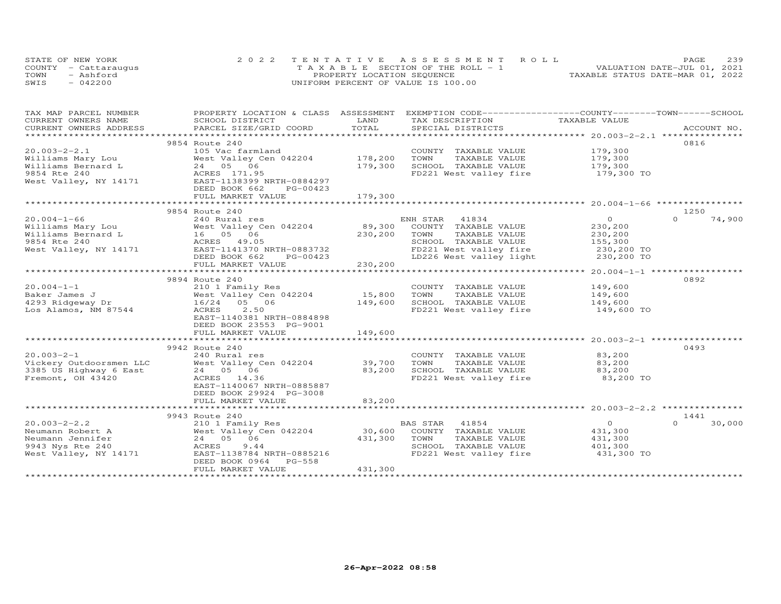|      | STATE OF NEW YORK    | 2022 TENTATIVE ASSESSMENT ROLL        | 239<br>PAGE.                     |  |
|------|----------------------|---------------------------------------|----------------------------------|--|
|      | COUNTY - Cattaraugus | T A X A B L E SECTION OF THE ROLL - 1 | VALUATION DATE-JUL 01, 2021      |  |
| TOWN | - Ashford            | PROPERTY LOCATION SEQUENCE            | TAXABLE STATUS DATE-MAR 01, 2022 |  |
| SWIS | $-042200$            | UNIFORM PERCENT OF VALUE IS 100.00    |                                  |  |

| TAX MAP PARCEL NUMBER  | PROPERTY LOCATION & CLASS ASSESSMENT EXEMPTION CODE----------------COUNTY-------TOWN------SCHOOL               |              |                                    |                                            |                    |
|------------------------|----------------------------------------------------------------------------------------------------------------|--------------|------------------------------------|--------------------------------------------|--------------------|
| CURRENT OWNERS NAME    | SCHOOL DISTRICT                                                                                                | LAND         | TAX DESCRIPTION                    | TAXABLE VALUE                              |                    |
| CURRENT OWNERS ADDRESS | PARCEL SIZE/GRID COORD                                                                                         | TOTAL        | SPECIAL DISTRICTS                  |                                            | ACCOUNT NO.        |
|                        |                                                                                                                |              |                                    |                                            |                    |
|                        | 9854 Route 240                                                                                                 |              |                                    |                                            | 0816               |
| $20.003 - 2 - 2.1$     | 105 Vac farmland                                                                                               |              | COUNTY TAXABLE VALUE               | 179,300                                    |                    |
|                        |                                                                                                                | 178,200      | TOWN<br>TAXABLE VALUE              |                                            |                    |
|                        |                                                                                                                | 179,300      | SCHOOL TAXABLE VALUE               | 179,300<br>179,300                         |                    |
|                        |                                                                                                                |              | FD221 West valley fire 179,300 TO  |                                            |                    |
|                        |                                                                                                                |              |                                    |                                            |                    |
|                        | DEED BOOK 662<br>PG-00423                                                                                      |              |                                    |                                            |                    |
|                        | FULL MARKET VALUE                                                                                              | 179,300      |                                    |                                            |                    |
|                        |                                                                                                                | ************ |                                    |                                            |                    |
|                        | 9854 Route 240                                                                                                 |              |                                    |                                            | 1250               |
| $20.004 - 1 - 66$      | 240 Rural res                                                                                                  |              | ENH STAR<br>41834                  | $\overline{O}$                             | $\Omega$<br>74,900 |
|                        |                                                                                                                |              | 89,300 COUNTY TAXABLE VALUE        | 230,200                                    |                    |
|                        |                                                                                                                | 230,200      | TOWN<br>TAXABLE VALUE              | 230,200                                    |                    |
| 9854 Rte 240           | ACRES 49.05                                                                                                    |              | SCHOOL TAXABLE VALUE               | 155,300                                    |                    |
|                        | West Valley, NY 14171 EAST-1141370 NRTH-0883732                                                                |              | FD221 West valley fire             | $230, 200$ TO<br>$230, 200$ TO             |                    |
|                        | DEED BOOK 662<br>PG-00423                                                                                      |              | LD226 West valley light 230,200 TO |                                            |                    |
|                        | FULL MARKET VALUE                                                                                              | 230,200      |                                    |                                            |                    |
|                        | ****************************                                                                                   |              | *********************************  | ************ 20.004-1-1 ****************** |                    |
|                        | 9894 Route 240                                                                                                 |              |                                    |                                            | 0892               |
| $20.004 - 1 - 1$       | 210 1 Family Res                                                                                               |              | COUNTY TAXABLE VALUE               | 149,600                                    |                    |
| Baker James J          | West Valley Cen 042204                                                                                         | 15,800       | TOWN<br>TAXABLE VALUE              | 149,600                                    |                    |
| 4293 Ridgeway Dr       | 210 1 Family Res<br>West Valley Cen<br>16/24 05 06                                                             | 149,600      | SCHOOL TAXABLE VALUE               | 149,600                                    |                    |
| Los Alamos, NM 87544   | ACRES<br>2.50                                                                                                  |              | FD221 West valley fire             | 149,600 TO                                 |                    |
|                        | EAST-1140381 NRTH-0884898                                                                                      |              |                                    |                                            |                    |
|                        | DEED BOOK 23553 PG-9001                                                                                        |              |                                    |                                            |                    |
|                        | FULL MARKET VALUE                                                                                              | 149,600      |                                    |                                            |                    |
|                        |                                                                                                                |              |                                    |                                            |                    |
|                        | 9942 Route 240                                                                                                 |              |                                    |                                            | 0493               |
| $20.003 - 2 - 1$       | 240 Rural res                                                                                                  |              | COUNTY TAXABLE VALUE               | 83,200                                     |                    |
|                        |                                                                                                                |              | TOWN<br>TAXABLE VALUE              | 83,200                                     |                    |
|                        | 20.0005-2-1<br>Vickery Outdoorsmen LLC Mest Valley Cen 042204 39,700<br>3385 US Highway 6 East 24 05 06 83,200 |              | SCHOOL TAXABLE VALUE               | 83,200                                     |                    |
| Fremont, OH 43420      | ACRES 14.36                                                                                                    |              | FD221 West valley fire             | 83,200 TO                                  |                    |
|                        | EAST-1140067 NRTH-0885887                                                                                      |              |                                    |                                            |                    |
|                        | DEED BOOK 29924 PG-3008                                                                                        |              |                                    |                                            |                    |
|                        | FULL MARKET VALUE                                                                                              | 83,200       |                                    |                                            |                    |
|                        |                                                                                                                |              |                                    |                                            |                    |
|                        | 9943 Route 240                                                                                                 |              |                                    |                                            | 1441               |
| $20.003 - 2 - 2.2$     | 210 1 Family Res                                                                                               |              | BAS STAR 41854                     | $\overline{0}$                             | $\cap$<br>30,000   |
| Neumann Robert A       | West Valley Cen 042204                                                                                         | 30,600       | COUNTY TAXABLE VALUE               | 431,300                                    |                    |
| Neumann Jennifer       | 24 05 06                                                                                                       | 431,300      | TOWN<br>TAXABLE VALUE              | 431,300                                    |                    |
| 9943 Nys Rte 240       | 9.44<br>ACRES                                                                                                  |              | SCHOOL TAXABLE VALUE               | 401,300                                    |                    |
| West Valley, NY 14171  | EAST-1138784 NRTH-0885216                                                                                      |              | FD221 West valley fire             | 431,300 TO                                 |                    |
|                        | DEED BOOK 0964 PG-558                                                                                          |              |                                    |                                            |                    |
|                        | FULL MARKET VALUE                                                                                              | 431,300      |                                    |                                            |                    |
|                        |                                                                                                                |              |                                    |                                            |                    |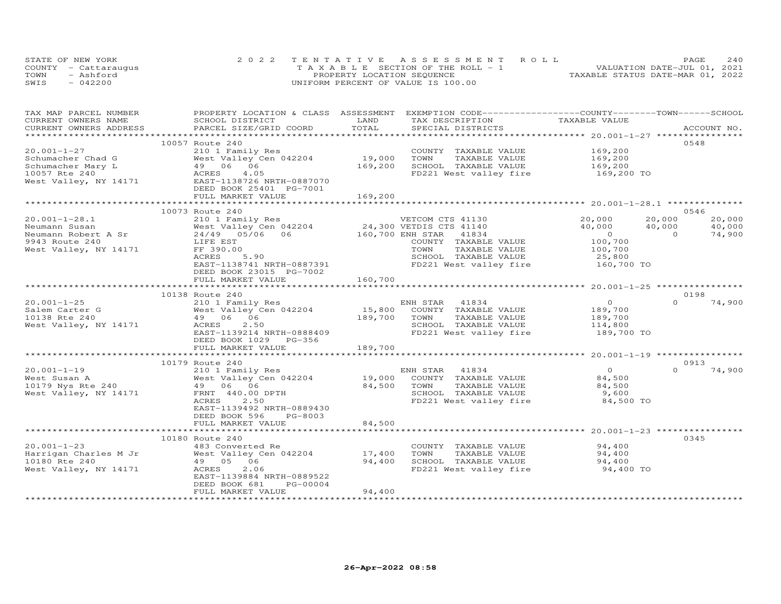| STATE OF NEW YORK    | 2022 TENTATIVE ASSESSMENT ROLL        |                            |  |                                  | PAGE | 240 |
|----------------------|---------------------------------------|----------------------------|--|----------------------------------|------|-----|
| COUNTY - Cattaraugus | T A X A B L E SECTION OF THE ROLL - 1 |                            |  | VALUATION DATE-JUL 01, 2021      |      |     |
| TOWN<br>- Ashford    |                                       | PROPERTY LOCATION SEQUENCE |  | TAXABLE STATUS DATE-MAR 01, 2022 |      |     |
| SWIS<br>$-042200$    | UNIFORM PERCENT OF VALUE IS 100.00    |                            |  |                                  |      |     |

| TAX MAP PARCEL NUMBER<br>CURRENT OWNERS NAME | PROPERTY LOCATION & CLASS ASSESSMENT EXEMPTION CODE-----------------COUNTY-------TOWN------SCHOOL<br>SCHOOL DISTRICT | LAND    | TAX DESCRIPTION             | TAXABLE VALUE        |                          |
|----------------------------------------------|----------------------------------------------------------------------------------------------------------------------|---------|-----------------------------|----------------------|--------------------------|
| CURRENT OWNERS ADDRESS                       | PARCEL SIZE/GRID COORD                                                                                               | TOTAL   | SPECIAL DISTRICTS           |                      | ACCOUNT NO.              |
|                                              |                                                                                                                      |         |                             |                      |                          |
|                                              | 10057 Route 240                                                                                                      |         |                             |                      | 0548                     |
| $20.001 - 1 - 27$                            | 210 1 Family Res                                                                                                     |         | COUNTY TAXABLE VALUE        | 169,200              |                          |
| Schumacher Chad G                            | West Valley Cen 042204                                                                                               | 19,000  | TAXABLE VALUE<br>TOWN       | 169,200              |                          |
| Schumacher Mary L                            |                                                                                                                      | 169,200 | SCHOOL TAXABLE VALUE        | 169,200              |                          |
| 10057 Rte 240                                |                                                                                                                      |         | FD221 West valley fire      | 169,200 TO           |                          |
| West Valley, NY 14171                        | 49 06 06<br>ACRES 4.05<br>EAST-1138726 NRTH-0887070                                                                  |         |                             |                      |                          |
|                                              | DEED BOOK 25401 PG-7001                                                                                              |         |                             |                      |                          |
|                                              | FULL MARKET VALUE                                                                                                    | 169,200 |                             |                      |                          |
|                                              |                                                                                                                      |         |                             |                      |                          |
|                                              | 10073 Route 240                                                                                                      |         |                             |                      | 0546                     |
| $20.001 - 1 - 28.1$                          | 210 1 Family Res                                                                                                     |         | VETCOM CTS 41130            | 20,000               | 20,000<br>20,000         |
| Neumann Susan                                |                                                                                                                      |         |                             | 40,000<br>40,000     | 40,000                   |
| Neumann Robert A Sr                          | West Valley Cen 042204 24,300 VETDIS CTS 41140<br>24/49 05/06 06 160,700 ENH STAR 41834                              |         |                             | $\overline{0}$       | 74,900<br>$\overline{0}$ |
| 9943 Route 240                               | LIFE EST                                                                                                             |         | COUNTY TAXABLE VALUE        | 100,700<br>100,700   |                          |
| West Valley, NY 14171                        | FF 390.00                                                                                                            |         | TOWN<br>TAXABLE VALUE       |                      |                          |
|                                              | 5.90<br>ACRES                                                                                                        |         | SCHOOL TAXABLE VALUE        | 25,800<br>160,700 TO |                          |
|                                              | EAST-1138741 NRTH-0887391                                                                                            |         | FD221 West valley fire      |                      |                          |
|                                              | DEED BOOK 23015 PG-7002                                                                                              |         |                             |                      |                          |
|                                              | FULL MARKET VALUE                                                                                                    | 160,700 |                             |                      |                          |
|                                              |                                                                                                                      |         |                             |                      |                          |
|                                              | 10138 Route 240                                                                                                      |         |                             |                      | 0198                     |
| $20.001 - 1 - 25$                            | 210 1 Family Res                                                                                                     |         | ENH STAR 41834              | $\circ$              | $\Omega$<br>74,900       |
| Salem Carter G                               | West Valley Cen 042204                                                                                               |         | 15,800 COUNTY TAXABLE VALUE | 189,700              |                          |
| 10138 Rte 240                                | 49 06 06                                                                                                             | 189,700 | TOWN<br>TAXABLE VALUE       | 189,700              |                          |
| West Valley, NY 14171                        | ACRES<br>2.50                                                                                                        |         | SCHOOL TAXABLE VALUE        | 114,800              |                          |
|                                              | EAST-1139214 NRTH-0888409                                                                                            |         | FD221 West valley fire      | 189,700 TO           |                          |
|                                              | DEED BOOK 1029 PG-356                                                                                                |         |                             |                      |                          |
|                                              | FULL MARKET VALUE                                                                                                    | 189,700 |                             |                      |                          |
|                                              |                                                                                                                      |         |                             |                      |                          |
|                                              | 10179 Route 240                                                                                                      |         |                             |                      | 0913                     |
| $20.001 - 1 - 19$                            | 210 1 Family Res                                                                                                     |         | ENH STAR 41834              | $\overline{0}$       | $\Omega$<br>74,900       |
| West Susan A<br>10179 Nys Rte 240            | West Valley Cen 042204                                                                                               | 19,000  | COUNTY TAXABLE VALUE        | 84,500               |                          |
|                                              | West vall.<br>49 06 06<br>- 440.00                                                                                   | 84,500  | TAXABLE VALUE<br>TOWN       | 84,500               |                          |
| West Valley, NY 14171                        | FRNT 440.00 DPTH                                                                                                     |         | SCHOOL TAXABLE VALUE        | 9,600                |                          |
|                                              | 2.50<br>ACRES                                                                                                        |         | FD221 West valley fire      | 84,500 TO            |                          |
|                                              | EAST-1139492 NRTH-0889430                                                                                            |         |                             |                      |                          |
|                                              | DEED BOOK 596<br>PG-8003                                                                                             |         |                             |                      |                          |
|                                              | FULL MARKET VALUE<br>***************************                                                                     | 84,500  |                             |                      |                          |
|                                              | 10180 Route 240                                                                                                      |         |                             |                      | 0345                     |
| $20.001 - 1 - 23$                            |                                                                                                                      |         | COUNTY TAXABLE VALUE        | 94,400               |                          |
| Harrigan Charles M Jr                        | 483 Converted Re<br>West Valley Cen 042204                                                                           | 17,400  | TOWN<br>TAXABLE VALUE       | 94,400               |                          |
| 10180 Rte 240                                | 49 05 06                                                                                                             | 94,400  | SCHOOL TAXABLE VALUE        |                      |                          |
| West Valley, NY 14171                        | 2.06<br>ACRES                                                                                                        |         | FD221 West valley fire      | 94,400<br>94,400 TO  |                          |
|                                              | EAST-1139884 NRTH-0889522                                                                                            |         |                             |                      |                          |
|                                              | DEED BOOK 681<br>PG-00004                                                                                            |         |                             |                      |                          |
|                                              | FULL MARKET VALUE                                                                                                    | 94,400  |                             |                      |                          |
|                                              |                                                                                                                      |         |                             |                      |                          |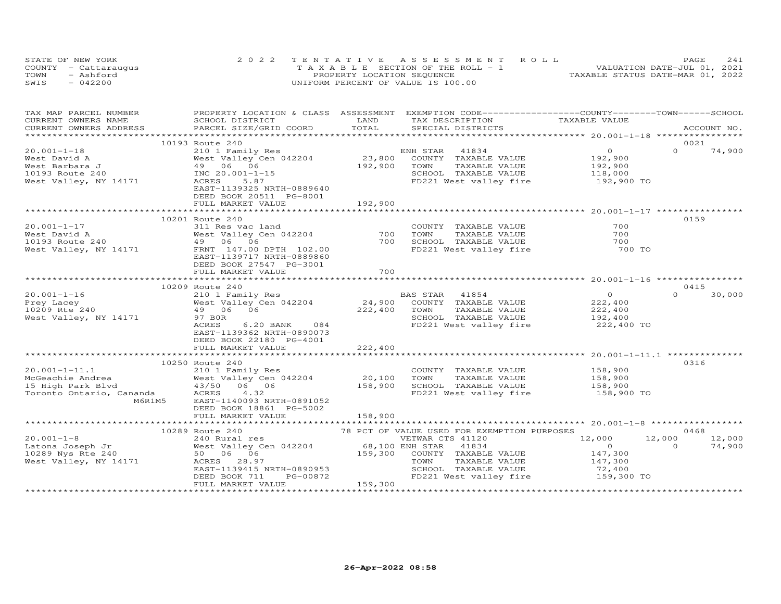|      | STATE OF NEW YORK    | 2022 TENTATIVE ASSESSMENT ROLL        | PAGE.                            | 2.41 |
|------|----------------------|---------------------------------------|----------------------------------|------|
|      | COUNTY - Cattaraugus | T A X A B L E SECTION OF THE ROLL - 1 | VALUATION DATE-JUL 01, 2021      |      |
| TOWN | - Ashford            | PROPERTY LOCATION SEQUENCE            | TAXABLE STATUS DATE-MAR 01, 2022 |      |
| SWIS | $-042200$            | UNIFORM PERCENT OF VALUE IS 100.00    |                                  |      |

| TAX MAP PARCEL NUMBER<br>CURRENT OWNERS NAME                                                                                                                                                                                   | PROPERTY LOCATION & CLASS ASSESSMENT EXEMPTION CODE----------------COUNTY-------TOWN------SCHOOL<br>SCHOOL DISTRICT | LAND    | TAX DESCRIPTION                               | TAXABLE VALUE                                                                                                                   |                    |
|--------------------------------------------------------------------------------------------------------------------------------------------------------------------------------------------------------------------------------|---------------------------------------------------------------------------------------------------------------------|---------|-----------------------------------------------|---------------------------------------------------------------------------------------------------------------------------------|--------------------|
|                                                                                                                                                                                                                                |                                                                                                                     |         |                                               |                                                                                                                                 |                    |
| .CURRENT OWNERS ADDRESS PARCEL SIZE/GRID COORD TOTAL SPECIAL DISTRICTS ACCOUNT NO ACCOUNT NO ACCOUNT NO ARE A LATA AND MALL SERVERS AND RESELL A LATA AND MALL SERVERS AND RESERVE A LATA AND MALL SERVER AND RESERVE A LATA A |                                                                                                                     |         |                                               |                                                                                                                                 |                    |
|                                                                                                                                                                                                                                | 10193 Route 240                                                                                                     |         |                                               |                                                                                                                                 | 0021               |
| $20.001 - 1 - 18$                                                                                                                                                                                                              | 210 1 Family Res                                                                                                    |         | ENH STAR<br>41834                             | $\overline{O}$                                                                                                                  | $\Omega$<br>74,900 |
| West David A                                                                                                                                                                                                                   | West Valley Cen 042204                                                                                              | 23,800  | COUNTY TAXABLE VALUE                          | 192,900                                                                                                                         |                    |
| West Barbara J                                                                                                                                                                                                                 | West Valley Cen 04.<br>49 06 06<br>INC 20.001-15                                                                    | 192,900 | TAXABLE VALUE<br>TOWN                         |                                                                                                                                 |                    |
| 10193 Route 240                                                                                                                                                                                                                |                                                                                                                     |         | SCHOOL TAXABLE VALUE                          | 192,900<br>118,000                                                                                                              |                    |
| West Valley, NY 14171                                                                                                                                                                                                          | ACRES<br>5.87                                                                                                       |         |                                               | FD221 West valley fire 192,900 TO                                                                                               |                    |
|                                                                                                                                                                                                                                | EAST-1139325 NRTH-0889640                                                                                           |         |                                               |                                                                                                                                 |                    |
|                                                                                                                                                                                                                                | DEED BOOK 20511 PG-8001                                                                                             |         |                                               |                                                                                                                                 |                    |
|                                                                                                                                                                                                                                | FULL MARKET VALUE                                                                                                   | 192,900 |                                               |                                                                                                                                 |                    |
|                                                                                                                                                                                                                                |                                                                                                                     |         |                                               |                                                                                                                                 |                    |
|                                                                                                                                                                                                                                | 10201 Route 240                                                                                                     |         |                                               |                                                                                                                                 | 0159               |
| $20.001 - 1 - 17$                                                                                                                                                                                                              |                                                                                                                     |         | COUNTY TAXABLE VALUE                          | 700                                                                                                                             |                    |
| 2000 1 1 1/2<br>West David A 2000 10193 Route 240<br>West Valley, NY 14171 147.00 DPTH 102.00                                                                                                                                  | 311 Res vac land<br>West Valley Cen 042204                                                                          | 700     | TOWN<br>TAXABLE VALUE                         | 700                                                                                                                             |                    |
|                                                                                                                                                                                                                                |                                                                                                                     | 700     | SCHOOL TAXABLE VALUE                          | 700                                                                                                                             |                    |
|                                                                                                                                                                                                                                |                                                                                                                     |         |                                               | FD221 West valley fire 700 TO                                                                                                   |                    |
|                                                                                                                                                                                                                                | EAST-1139717 NRTH-0889860                                                                                           |         |                                               |                                                                                                                                 |                    |
|                                                                                                                                                                                                                                | DEED BOOK 27547 PG-3001                                                                                             |         |                                               |                                                                                                                                 |                    |
|                                                                                                                                                                                                                                | FULL MARKET VALUE                                                                                                   | 700     |                                               |                                                                                                                                 |                    |
|                                                                                                                                                                                                                                |                                                                                                                     |         |                                               |                                                                                                                                 |                    |
|                                                                                                                                                                                                                                | 10209 Route 240                                                                                                     |         |                                               |                                                                                                                                 | 0415               |
| $20.001 - 1 - 16$                                                                                                                                                                                                              | 210 1 Family Res                                                                                                    |         | BAS STAR 41854<br>24,900 COUNTY TAXABLE VALUE | $\overline{O}$<br>222,400                                                                                                       | $\Omega$<br>30,000 |
| Prey Lacey<br>$10209$ Rte $240$                                                                                                                                                                                                | West Valley Cen 042204                                                                                              |         |                                               |                                                                                                                                 |                    |
|                                                                                                                                                                                                                                | 49 06 06                                                                                                            | 222,400 | TOWN<br>TAXABLE VALUE                         | 222,400<br>192,400                                                                                                              |                    |
| West Valley, NY 14171                                                                                                                                                                                                          | 97 BOR                                                                                                              |         | SCHOOL TAXABLE VALUE                          |                                                                                                                                 |                    |
|                                                                                                                                                                                                                                | ACRES<br>6.20 BANK 084                                                                                              |         |                                               | FD221 West valley fire 222,400 TO                                                                                               |                    |
|                                                                                                                                                                                                                                | EAST-1139362 NRTH-0890073                                                                                           |         |                                               |                                                                                                                                 |                    |
|                                                                                                                                                                                                                                | DEED BOOK 22180 PG-4001<br>FULL MARKET VALUE                                                                        | 222,400 |                                               |                                                                                                                                 |                    |
|                                                                                                                                                                                                                                |                                                                                                                     |         |                                               |                                                                                                                                 |                    |
|                                                                                                                                                                                                                                | 10250 Route 240                                                                                                     |         |                                               |                                                                                                                                 | 0316               |
| $20.001 - 1 - 11.1$                                                                                                                                                                                                            | 210 1 Family Res                                                                                                    |         |                                               |                                                                                                                                 |                    |
| McGeachie Andrea                                                                                                                                                                                                               |                                                                                                                     | 20,100  |                                               |                                                                                                                                 |                    |
| 15 High Park Blvd                                                                                                                                                                                                              | West Valley Cen 042204<br>43/50 06 06                                                                               | 158,900 |                                               |                                                                                                                                 |                    |
| Toronto Ontario, Cananda                                                                                                                                                                                                       | 4.32<br>ACRES                                                                                                       |         |                                               | COUNTY TAXABLE VALUE 158,900<br>TOWN TAXABLE VALUE 158,900<br>SCHOOL TAXABLE VALUE 158,900<br>FD221 West valley fire 158,900 TO |                    |
| M6R1M5                                                                                                                                                                                                                         | EAST-1140093 NRTH-0891052                                                                                           |         |                                               |                                                                                                                                 |                    |
|                                                                                                                                                                                                                                | DEED BOOK 18861 PG-5002                                                                                             |         |                                               |                                                                                                                                 |                    |
|                                                                                                                                                                                                                                | FULL MARKET VALUE                                                                                                   | 158,900 |                                               |                                                                                                                                 |                    |
|                                                                                                                                                                                                                                |                                                                                                                     |         |                                               |                                                                                                                                 |                    |
|                                                                                                                                                                                                                                | 10289 Route 240                                                                                                     |         | 78 PCT OF VALUE USED FOR EXEMPTION PURPOSES   |                                                                                                                                 | 0468               |
|                                                                                                                                                                                                                                |                                                                                                                     |         |                                               | 12,000                                                                                                                          | 12,000<br>12,000   |
|                                                                                                                                                                                                                                |                                                                                                                     |         |                                               | $\overline{O}$                                                                                                                  | 74,900<br>$\Omega$ |
|                                                                                                                                                                                                                                |                                                                                                                     |         |                                               |                                                                                                                                 |                    |
|                                                                                                                                                                                                                                |                                                                                                                     |         |                                               | 147,300<br>147,300                                                                                                              |                    |
|                                                                                                                                                                                                                                |                                                                                                                     |         | SCHOOL TAXABLE VALUE                          | 72,400<br>159,300 TO                                                                                                            |                    |
|                                                                                                                                                                                                                                | EAST-1139415 NRTH-0890953<br>DEED BOOK 711 PG-00872                                                                 |         | FD221 West valley fire                        |                                                                                                                                 |                    |
|                                                                                                                                                                                                                                | FULL MARKET VALUE                                                                                                   | 159,300 |                                               |                                                                                                                                 |                    |
|                                                                                                                                                                                                                                |                                                                                                                     |         |                                               |                                                                                                                                 |                    |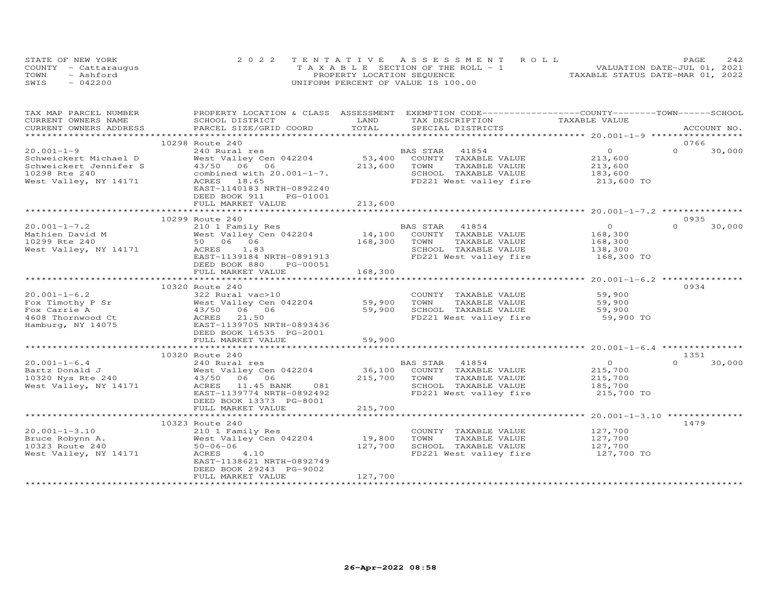|      | STATE OF NEW YORK    | 2022 TENTATIVE ASSESSMENT ROLL        | 242<br>PAGE                      |
|------|----------------------|---------------------------------------|----------------------------------|
|      | COUNTY - Cattaraugus | T A X A B L E SECTION OF THE ROLL - 1 | VALUATION DATE-JUL 01, 2021      |
| TOWN | - Ashford            | PROPERTY LOCATION SEQUENCE            | TAXABLE STATUS DATE-MAR 01, 2022 |
| SWIS | $-042200$            | UNIFORM PERCENT OF VALUE IS 100.00    |                                  |

| TAX MAP PARCEL NUMBER<br>CURRENT OWNERS NAME | PROPERTY LOCATION & CLASS ASSESSMENT EXEMPTION CODE----------------COUNTY--------TOWN-----SCHOOL<br>SCHOOL DISTRICT | LAND                    | TAX DESCRIPTION                               | TAXABLE VALUE      |                  |             |
|----------------------------------------------|---------------------------------------------------------------------------------------------------------------------|-------------------------|-----------------------------------------------|--------------------|------------------|-------------|
| CURRENT OWNERS ADDRESS                       | PARCEL SIZE/GRID COORD                                                                                              | TOTAL                   | SPECIAL DISTRICTS                             |                    |                  | ACCOUNT NO. |
|                                              |                                                                                                                     |                         |                                               |                    |                  |             |
|                                              | 10298 Route 240                                                                                                     |                         |                                               |                    | 0766             |             |
| $20.001 - 1 - 9$                             | 240 Rural res                                                                                                       |                         | 41854<br>BAS STAR                             | $\overline{O}$     | $\Omega$         | 30,000      |
| Schweickert Michael D                        | West Valley Cen 042204                                                                                              |                         | 53,400 COUNTY TAXABLE VALUE                   | 213,600            |                  |             |
| Schweickert Jennifer S                       | 43/50 06 06                                                                                                         | 213,600                 | TOWN<br>TAXABLE VALUE                         |                    |                  |             |
| 10298 Rte 240                                | combined with $20.001-1-7$ .                                                                                        |                         | SCHOOL TAXABLE VALUE                          | 213,600<br>183,600 |                  |             |
| West Valley, NY 14171                        | ACRES 18.65                                                                                                         |                         | FD221 West valley fire 213,600 TO             |                    |                  |             |
|                                              | EAST-1140183 NRTH-0892240                                                                                           |                         |                                               |                    |                  |             |
|                                              | DEED BOOK 911<br>PG-01001                                                                                           |                         |                                               |                    |                  |             |
|                                              | FULL MARKET VALUE                                                                                                   | 213,600                 |                                               |                    |                  |             |
|                                              |                                                                                                                     |                         |                                               |                    |                  |             |
|                                              | 10299 Route 240                                                                                                     |                         |                                               |                    | 0935             |             |
| $20.001 - 1 - 7.2$                           | 210 1 Family Res                                                                                                    |                         | BAS STAR 41854                                | $\overline{0}$     | $\Omega$         | 30,000      |
| Mathien David M<br>10299 Rte 240             | West Valley Cen 042204                                                                                              |                         | 14,100 COUNTY TAXABLE VALUE                   | 168,300            |                  |             |
|                                              | 50 06 06<br>ACRES 1.83                                                                                              | 168,300 TOWN            | TAXABLE VALUE                                 | 168,300<br>138,300 |                  |             |
| West Valley, NY 14171                        | ACRES 1.83                                                                                                          |                         | SCHOOL TAXABLE VALUE                          |                    |                  |             |
|                                              | EAST-1139184 NRTH-0891913                                                                                           |                         | FD221 West valley fire 168,300 TO             |                    |                  |             |
|                                              | DEED BOOK 880<br>PG-00051                                                                                           |                         |                                               |                    |                  |             |
|                                              | FULL MARKET VALUE                                                                                                   | 168,300                 |                                               |                    |                  |             |
|                                              |                                                                                                                     |                         |                                               |                    |                  |             |
|                                              | 10320 Route 240                                                                                                     |                         |                                               |                    | 0934             |             |
| $20.001 - 1 - 6.2$                           | 322 Rural vac>10                                                                                                    |                         | COUNTY TAXABLE VALUE                          | 59,900             |                  |             |
| Fox Timothy P Sr                             | West Valley Cen 042204 59,900                                                                                       |                         | TOWN<br>TAXABLE VALUE                         | 59,900<br>59,900   |                  |             |
| Fox Carrie A                                 | 43/50 06 06                                                                                                         | 59,900                  | SCHOOL TAXABLE VALUE                          |                    |                  |             |
| 4608 Thornwood Ct                            | 21.50<br>ACRES                                                                                                      |                         | FD221 West valley fire 59,900 TO              |                    |                  |             |
| Hamburg, NY 14075                            | EAST-1139705 NRTH-0893436                                                                                           |                         |                                               |                    |                  |             |
|                                              | DEED BOOK 16535 PG-2001                                                                                             |                         |                                               |                    |                  |             |
|                                              | FULL MARKET VALUE                                                                                                   | 59,900<br>************* |                                               |                    |                  |             |
|                                              |                                                                                                                     |                         |                                               |                    |                  |             |
| $20.001 - 1 - 6.4$                           | 10320 Route 240<br>240 Rural res                                                                                    |                         |                                               | $\overline{0}$     | 1351<br>$\Omega$ | 30,000      |
| Bartz Donald J                               |                                                                                                                     |                         | BAS STAR 41854<br>36,100 COUNTY TAXABLE VALUE | 215,700            |                  |             |
| 10320 Nys Rte 240                            | 240 Rural res<br>West Valley Cen 042204<br>43/50  06  06                                                            | 215,700 TOWN            | TAXABLE VALUE                                 |                    |                  |             |
| West Valley, NY 14171                        | ACRES 11.45 BANK 081                                                                                                |                         | SCHOOL TAXABLE VALUE                          | 215,700<br>185,700 |                  |             |
|                                              | EAST-1139774 NRTH-0892492                                                                                           |                         | FD221 West valley fire 215,700 TO             |                    |                  |             |
|                                              | DEED BOOK 13373 PG-8001                                                                                             |                         |                                               |                    |                  |             |
|                                              | FULL MARKET VALUE                                                                                                   | 215,700                 |                                               |                    |                  |             |
|                                              |                                                                                                                     |                         |                                               |                    |                  |             |
|                                              | 10323 Route 240                                                                                                     |                         |                                               |                    | 1479             |             |
| $20.001 - 1 - 3.10$                          | 210 1 Family Res                                                                                                    |                         | COUNTY TAXABLE VALUE                          | 127,700            |                  |             |
| Bruce Robynn A.                              | West Valley Cen 042204                                                                                              | 19,800                  | TAXABLE VALUE 127,700<br>TOWN                 |                    |                  |             |
| 10323 Route 240                              | $50 - 06 - 06$                                                                                                      | 127,700                 | SCHOOL TAXABLE VALUE                          | 127,700            |                  |             |
| West Valley, NY 14171                        | ACRES<br>4.10                                                                                                       |                         | FD221 West valley fire 127,700 TO             |                    |                  |             |
|                                              | EAST-1138621 NRTH-0892749                                                                                           |                         |                                               |                    |                  |             |
|                                              | DEED BOOK 29243 PG-9002                                                                                             |                         |                                               |                    |                  |             |
|                                              | FULL MARKET VALUE                                                                                                   | 127,700                 |                                               |                    |                  |             |
|                                              | ***********************                                                                                             |                         |                                               |                    |                  |             |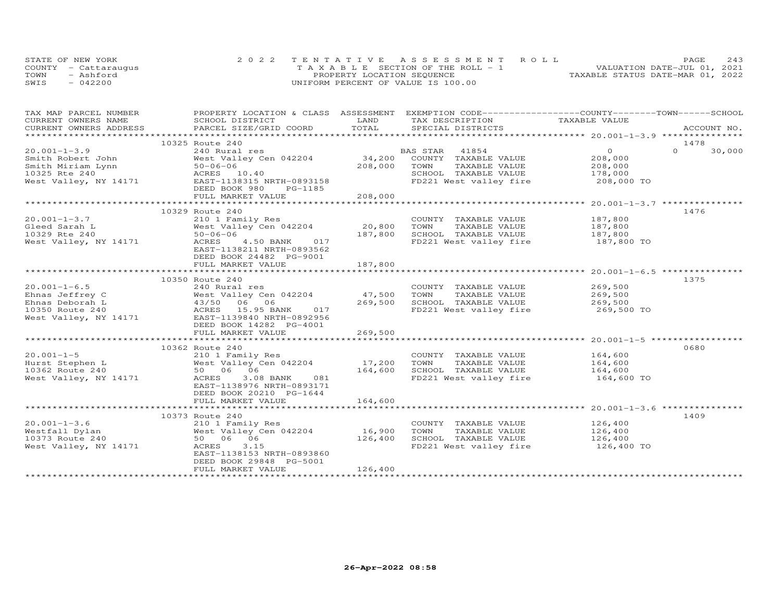|      | STATE OF NEW YORK    | 2022 TENTATIVE ASSESSMENT ROLL            | PAGE                             | 2.43 |
|------|----------------------|-------------------------------------------|----------------------------------|------|
|      | COUNTY - Cattaraugus | $T A X A B I. E$ SECTION OF THE ROLL $-1$ | VALUATION DATE-JUL 01, 2021      |      |
| TOWN | - Ashford            | PROPERTY LOCATION SEQUENCE                | TAXABLE STATUS DATE-MAR 01, 2022 |      |
| SWIS | $-042200$            | UNIFORM PERCENT OF VALUE IS 100.00        |                                  |      |

| TAX MAP PARCEL NUMBER | PROPERTY LOCATION & CLASS ASSESSMENT EXEMPTION CODE----------------COUNTY-------TOWN------SCHOOL                                                                                                                               |         |                                                                                            |                        |                  |
|-----------------------|--------------------------------------------------------------------------------------------------------------------------------------------------------------------------------------------------------------------------------|---------|--------------------------------------------------------------------------------------------|------------------------|------------------|
| CURRENT OWNERS NAME   | SCHOOL DISTRICT                                                                                                                                                                                                                | LAND    | TAX DESCRIPTION TAXABLE VALUE                                                              |                        |                  |
|                       | .CURRENT OWNERS ADDRESS PARCEL SIZE/GRID COORD TOTAL SPECIAL DISTRICTS ACCOUNT NO ACCOUNT NO ACCOUNT NO ARE A LATA AND MALL SERIGAL SERIGE A LATA AND MALL SERIGE A LATA AND MALL SERIGE A LATA AND MALL TATA AND A LATA AND A |         |                                                                                            |                        | ACCOUNT NO.      |
|                       |                                                                                                                                                                                                                                |         |                                                                                            |                        |                  |
|                       | 10325 Route 240                                                                                                                                                                                                                |         |                                                                                            |                        | 1478<br>$\Omega$ |
| $20.001 - 1 - 3.9$    | 240 Rural res                                                                                                                                                                                                                  |         |                                                                                            | $\overline{O}$         | 30,000           |
|                       |                                                                                                                                                                                                                                |         | BAS STAR 41854<br>34,200 COUNTY TAXABLE VALUE<br>208,000 TOWN TAXABLE VALUE                | $208,000$<br>$208,000$ |                  |
|                       |                                                                                                                                                                                                                                |         |                                                                                            |                        |                  |
|                       |                                                                                                                                                                                                                                |         | SCHOOL TAXABLE VALUE 178,000<br>FD221 West valley fire 208,000 TO                          |                        |                  |
|                       |                                                                                                                                                                                                                                |         |                                                                                            |                        |                  |
|                       |                                                                                                                                                                                                                                |         |                                                                                            |                        |                  |
|                       |                                                                                                                                                                                                                                |         |                                                                                            |                        |                  |
|                       |                                                                                                                                                                                                                                |         |                                                                                            |                        | 1476             |
| $20.001 - 1 - 3.7$    | 210 1 Family Res<br>West Valley Cen 042204 20,800<br>50-06-06<br>20,800<br>797 900<br>20,800                                                                                                                                   |         |                                                                                            |                        |                  |
| Gleed Sarah L         |                                                                                                                                                                                                                                |         | COUNTY TAXABLE VALUE 187,800<br>TOWN TAXABLE VALUE 187,800<br>SCHOOL TAXABLE VALUE 187,800 |                        |                  |
| 10329 Rte 240         |                                                                                                                                                                                                                                |         |                                                                                            |                        |                  |
|                       |                                                                                                                                                                                                                                |         | FD221 West valley fire 187,800 TO                                                          |                        |                  |
|                       | West Valley, NY 14171 $\overline{ACRES}$ 4.50 BANK 017<br>EAST-1138211 NRTH-0893562                                                                                                                                            |         |                                                                                            |                        |                  |
|                       | DEED BOOK 24482 PG-9001                                                                                                                                                                                                        |         |                                                                                            |                        |                  |
|                       | FULL MARKET VALUE                                                                                                                                                                                                              | 187,800 |                                                                                            |                        |                  |
|                       |                                                                                                                                                                                                                                |         |                                                                                            |                        |                  |
|                       | 10350 Route 240                                                                                                                                                                                                                |         |                                                                                            |                        | 1375             |
|                       |                                                                                                                                                                                                                                |         |                                                                                            |                        |                  |
|                       |                                                                                                                                                                                                                                |         |                                                                                            |                        |                  |
|                       |                                                                                                                                                                                                                                |         |                                                                                            |                        |                  |
|                       |                                                                                                                                                                                                                                |         |                                                                                            |                        |                  |
|                       |                                                                                                                                                                                                                                |         |                                                                                            |                        |                  |
|                       | DEED BOOK 14282 PG-4001                                                                                                                                                                                                        |         |                                                                                            |                        |                  |
|                       | FULL MARKET VALUE                                                                                                                                                                                                              | 269,500 |                                                                                            |                        |                  |
|                       |                                                                                                                                                                                                                                |         |                                                                                            |                        |                  |
|                       | 10362 Route 240                                                                                                                                                                                                                |         |                                                                                            |                        | 0680             |
|                       |                                                                                                                                                                                                                                |         |                                                                                            |                        |                  |
|                       |                                                                                                                                                                                                                                |         | COUNTY TAXABLE VALUE 164,600<br>TOWN TAXABLE VALUE 164,600                                 |                        |                  |
|                       |                                                                                                                                                                                                                                |         |                                                                                            |                        |                  |
|                       | 20.001-1-5 210 1 Family Res COUNTY<br>Hurst Stephen L West Valley Cen 042204 17,200 TOWN<br>10362 Route 240 50 06 06 164,600 SCHOOL<br>West Valley, NY 14171 ACRES 3.08 BANK 081 FD221 We                                      |         | TOWN IAAADDE VADJE<br>SCHOOL TAXABLE-VALUE 164,600<br>En221 West valley fire 164,600 TO    |                        |                  |
|                       | EAST-1138976 NRTH-0893171                                                                                                                                                                                                      |         |                                                                                            |                        |                  |
|                       | DEED BOOK 20210 PG-1644                                                                                                                                                                                                        |         |                                                                                            |                        |                  |
|                       |                                                                                                                                                                                                                                |         |                                                                                            |                        |                  |
|                       |                                                                                                                                                                                                                                |         |                                                                                            |                        |                  |
|                       | 10373 Route 240                                                                                                                                                                                                                |         |                                                                                            |                        | 1409             |
|                       |                                                                                                                                                                                                                                |         |                                                                                            |                        |                  |
|                       |                                                                                                                                                                                                                                |         | COUNTY TAXABLE VALUE 126,400<br>TOWN TAXABLE VALUE 126,400                                 |                        |                  |
|                       |                                                                                                                                                                                                                                |         |                                                                                            |                        |                  |
|                       |                                                                                                                                                                                                                                |         |                                                                                            |                        |                  |
|                       | EAST-1138153 NRTH-0893860                                                                                                                                                                                                      |         |                                                                                            |                        |                  |
|                       | DEED BOOK 29848 PG-5001                                                                                                                                                                                                        |         |                                                                                            |                        |                  |
|                       | FULL MARKET VALUE                                                                                                                                                                                                              | 126,400 |                                                                                            |                        |                  |
|                       |                                                                                                                                                                                                                                |         |                                                                                            |                        |                  |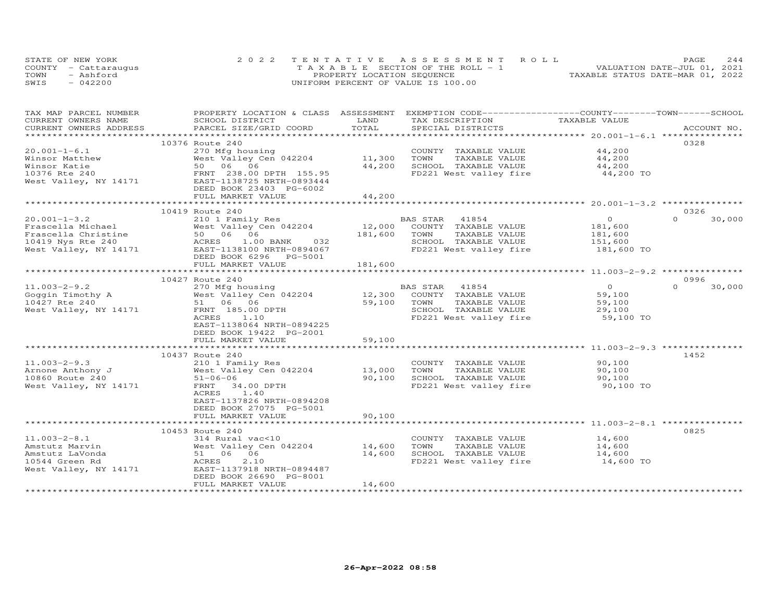|      | STATE OF NEW YORK    | 2022 TENTATIVE ASSESSMENT ROLL        | 2.44<br>PAGE.                    |
|------|----------------------|---------------------------------------|----------------------------------|
|      | COUNTY - Cattaraugus | T A X A B L E SECTION OF THE ROLL - 1 | VALUATION DATE-JUL 01, 2021      |
| TOWN | - Ashford            | PROPERTY LOCATION SEQUENCE            | TAXABLE STATUS DATE-MAR 01, 2022 |
| SWIS | $-042200$            | UNIFORM PERCENT OF VALUE IS 100.00    |                                  |

| TAX MAP PARCEL NUMBER<br>CURRENT OWNERS NAME | PROPERTY LOCATION & CLASS ASSESSMENT EXEMPTION CODE----------------COUNTY-------TOWN------SCHOOL<br>SCHOOL DISTRICT | LAND             | TAX DESCRIPTION                               | TAXABLE VALUE    |                    |
|----------------------------------------------|---------------------------------------------------------------------------------------------------------------------|------------------|-----------------------------------------------|------------------|--------------------|
| CURRENT OWNERS ADDRESS                       | PARCEL SIZE/GRID COORD                                                                                              | TOTAL            | SPECIAL DISTRICTS                             |                  | ACCOUNT NO.        |
|                                              |                                                                                                                     |                  |                                               |                  |                    |
|                                              | 10376 Route 240                                                                                                     |                  |                                               |                  | 0328               |
| $20.001 - 1 - 6.1$                           | 270 Mfg housing                                                                                                     |                  | COUNTY TAXABLE VALUE                          | 44,200           |                    |
| Winsor Matthew                               | West Valley Cen 042204                                                                                              | 11,300           | TOWN<br>TAXABLE VALUE                         | 44,200           |                    |
| Winsor Katie                                 | 50 06 06                                                                                                            | 44,200           | SCHOOL TAXABLE VALUE                          | 44,200           |                    |
| 10376 Rte 240                                | FRNT 238.00 DPTH 155.95                                                                                             |                  | FD221 West valley fire                        | 44,200 TO        |                    |
| West Valley, NY 14171                        | EAST-1138725 NRTH-0893444                                                                                           |                  |                                               |                  |                    |
|                                              | DEED BOOK 23403 PG-6002                                                                                             |                  |                                               |                  |                    |
|                                              | FULL MARKET VALUE                                                                                                   | 44,200           |                                               |                  |                    |
|                                              |                                                                                                                     |                  |                                               |                  |                    |
|                                              | 10419 Route 240                                                                                                     |                  |                                               |                  | 0326               |
| $20.001 - 1 - 3.2$                           | 210 1 Family Res                                                                                                    |                  | BAS STAR<br>41854                             | $\circ$          | $\Omega$<br>30,000 |
| Frascella Michael                            | West Valley Cen 042204                                                                                              | 12,000           | COUNTY TAXABLE VALUE                          | 181,600          |                    |
| Frascella Christine                          | 50 06 06                                                                                                            | 181,600          | TAXABLE VALUE<br>TOWN                         | 181,600          |                    |
| 10419 Nys Rte 240                            | 032<br>ACRES 1.00 BANK                                                                                              |                  | SCHOOL TAXABLE VALUE                          | 151,600          |                    |
| West Valley, NY 14171                        | EAST-1138100 NRTH-0894067                                                                                           |                  | FD221 West valley fire                        | 181,600 TO       |                    |
|                                              | DEED BOOK 6296 PG-5001                                                                                              |                  |                                               |                  |                    |
|                                              | FULL MARKET VALUE                                                                                                   | 181,600          |                                               |                  |                    |
|                                              | ***********                                                                                                         |                  |                                               |                  |                    |
|                                              | 10427 Route 240                                                                                                     |                  |                                               |                  | 0996               |
| $11.003 - 2 - 9.2$                           | 270 Mfg housing                                                                                                     |                  | 41854<br>BAS STAR                             | $\overline{O}$   | $\Omega$<br>30,000 |
| Goggin Timothy A                             | West Valley Cen 042204                                                                                              | 12,300           | COUNTY TAXABLE VALUE                          | 59,100           |                    |
| 10427 Rte 240                                | 51 06 06                                                                                                            | 59,100           | TAXABLE VALUE<br>TOWN                         | 59,100           |                    |
| West Valley, NY 14171                        | FRNT 185.00 DPTH                                                                                                    |                  | SCHOOL TAXABLE VALUE                          | 29,100           |                    |
|                                              | ACRES<br>1.10                                                                                                       |                  | FD221 West valley fire                        | 59,100 TO        |                    |
|                                              | EAST-1138064 NRTH-0894225                                                                                           |                  |                                               |                  |                    |
|                                              | DEED BOOK 19422 PG-2001                                                                                             |                  |                                               |                  |                    |
|                                              | FULL MARKET VALUE                                                                                                   | 59,100           |                                               |                  |                    |
|                                              |                                                                                                                     |                  |                                               |                  |                    |
|                                              | 10437 Route 240                                                                                                     |                  |                                               |                  | 1452               |
| $11.003 - 2 - 9.3$                           | 210 1 Family Res                                                                                                    |                  | COUNTY TAXABLE VALUE                          | 90,100           |                    |
| Arnone Anthony J<br>10860 Route 240          | West Valley Cen 042204                                                                                              | 13,000<br>90,100 | TOWN<br>TAXABLE VALUE<br>SCHOOL TAXABLE VALUE | 90,100<br>90,100 |                    |
| West Valley, NY 14171                        | $51 - 06 - 06$<br>FRNT<br>34.00 DPTH                                                                                |                  | FD221 West valley fire                        | 90,100 TO        |                    |
|                                              | ACRES<br>1.40                                                                                                       |                  |                                               |                  |                    |
|                                              | EAST-1137826 NRTH-0894208                                                                                           |                  |                                               |                  |                    |
|                                              | DEED BOOK 27075 PG-5001                                                                                             |                  |                                               |                  |                    |
|                                              | FULL MARKET VALUE                                                                                                   | 90,100           |                                               |                  |                    |
|                                              | ***********************                                                                                             | **********       |                                               |                  |                    |
|                                              | 10453 Route 240                                                                                                     |                  |                                               |                  | 0825               |
| $11.003 - 2 - 8.1$                           | 314 Rural vac<10                                                                                                    |                  | COUNTY TAXABLE VALUE                          | 14,600           |                    |
| Amstutz Marvin                               | West Valley Cen 042204                                                                                              | 14,600           | TOWN<br>TAXABLE VALUE                         | 14,600           |                    |
| Amstutz LaVonda                              | 51 06 06                                                                                                            | 14,600           | SCHOOL TAXABLE VALUE                          | 14,600           |                    |
| 10544 Green Rd                               | 2.10<br>ACRES                                                                                                       |                  | FD221 West valley fire                        | 14,600 TO        |                    |
| West Valley, NY 14171                        | EAST-1137918 NRTH-0894487                                                                                           |                  |                                               |                  |                    |
|                                              | DEED BOOK 26690 PG-8001                                                                                             |                  |                                               |                  |                    |
|                                              | FULL MARKET VALUE                                                                                                   | 14,600           |                                               |                  |                    |
|                                              | **************************                                                                                          | *************    |                                               |                  |                    |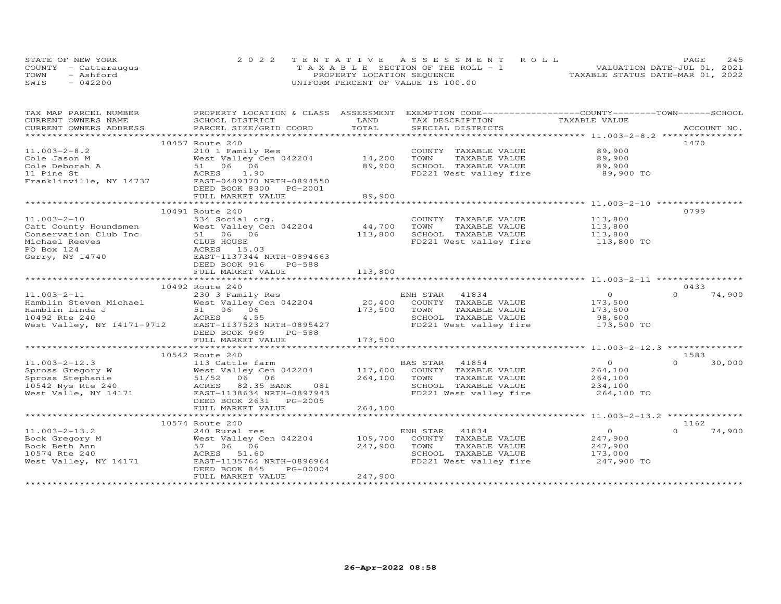| STATE OF NEW YORK    | 2022 TENTATIVE ASSESSMENT ROLL                | PAGE.                            | 245 |
|----------------------|-----------------------------------------------|----------------------------------|-----|
| COUNTY - Cattaraugus | $T A X A B I F S E C T I ON OF THE RO I. - 1$ | VALUATION DATE-JUL 01, 2021      |     |
| TOWN<br>- Ashford    | PROPERTY LOCATION SEQUENCE                    | TAXABLE STATUS DATE-MAR 01, 2022 |     |
| SWIS<br>$-042200$    | UNIFORM PERCENT OF VALUE IS 100.00            |                                  |     |

| TAX MAP PARCEL NUMBER                     | PROPERTY LOCATION & CLASS ASSESSMENT EXEMPTION CODE----------------COUNTY-------TOWN------SCHOOL |         |                                                |                       |                    |
|-------------------------------------------|--------------------------------------------------------------------------------------------------|---------|------------------------------------------------|-----------------------|--------------------|
| CURRENT OWNERS NAME                       | SCHOOL DISTRICT                                                                                  | LAND    | TAX DESCRIPTION                                | TAXABLE VALUE         |                    |
| CURRENT OWNERS ADDRESS                    | PARCEL SIZE/GRID COORD                                                                           | TOTAL   | SPECIAL DISTRICTS                              |                       | ACCOUNT NO.        |
|                                           |                                                                                                  |         |                                                |                       |                    |
|                                           | 10457 Route 240                                                                                  |         |                                                |                       | 1470               |
| $11.003 - 2 - 8.2$                        | 210 1 Family Res                                                                                 |         | COUNTY TAXABLE VALUE                           | 89,900                |                    |
|                                           | West Valley Cen 042204                                                                           | 14,200  | TOWN<br>TAXABLE VALUE                          | 89,900                |                    |
|                                           | 51 06 06                                                                                         | 89,900  | SCHOOL TAXABLE VALUE                           | 89,900                |                    |
| Cole Deborah A<br>11 Pine St<br>Franklist | ACRES 1.90                                                                                       |         | FD221 West valley fire                         | 89,900 TO             |                    |
| Franklinville, NY 14737                   | EAST-0489370 NRTH-0894550                                                                        |         |                                                |                       |                    |
|                                           | DEED BOOK 8300 PG-2001                                                                           |         |                                                |                       |                    |
|                                           | FULL MARKET VALUE                                                                                | 89,900  |                                                |                       |                    |
|                                           |                                                                                                  |         |                                                |                       |                    |
|                                           |                                                                                                  |         |                                                |                       | 0799               |
|                                           | 10491 Route 240                                                                                  |         |                                                |                       |                    |
| $11.003 - 2 - 10$                         | 534 Social org.                                                                                  |         | COUNTY TAXABLE VALUE                           | 113,800               |                    |
| Catt County Houndsmen                     | West Valley Cen 042204                                                                           | 44,700  | TOWN<br>TAXABLE VALUE                          | 113,800               |                    |
| Conservation Club Inc                     | 51 06 06                                                                                         | 113,800 | SCHOOL TAXABLE VALUE                           | 113,800               |                    |
| Michael Reeves                            | CLUB HOUSE                                                                                       |         | FD221 West valley fire 113,800 TO              |                       |                    |
| PO Box 124                                | ACRES 15.03                                                                                      |         |                                                |                       |                    |
| Gerry, NY 14740                           | EAST-1137344 NRTH-0894663                                                                        |         |                                                |                       |                    |
|                                           | DEED BOOK 916<br>PG-588                                                                          |         |                                                |                       |                    |
|                                           | FULL MARKET VALUE                                                                                | 113,800 |                                                |                       |                    |
|                                           |                                                                                                  |         |                                                |                       |                    |
|                                           | 10492 Route 240                                                                                  |         |                                                |                       | 0433               |
| $11.003 - 2 - 11$                         | 230 3 Family Res                                                                                 |         | ENH STAR 41834                                 | $\overline{O}$        | $\Omega$<br>74,900 |
| Hamblin Steven Michael                    | ichael West Valley Cen 042204 20,400<br>51 06 06 173,500<br>ACRES 4.55 100 200 173,500           |         | COUNTY TAXABLE VALUE                           | 173,500               |                    |
| Hamblin Linda J                           |                                                                                                  |         | TOWN<br>TAXABLE VALUE                          | 173,500               |                    |
| 10492 Rte 240                             |                                                                                                  |         | SCHOOL TAXABLE VALUE                           | 98,600                |                    |
| West Valley, NY 14171-9712                | EAST-1137523 NRTH-0895427                                                                        |         | FD221 West valley fire                         | 173,500 TO            |                    |
|                                           | DEED BOOK 969<br>PG-588                                                                          |         |                                                |                       |                    |
|                                           | FULL MARKET VALUE                                                                                | 173,500 |                                                |                       |                    |
|                                           |                                                                                                  |         |                                                |                       |                    |
|                                           |                                                                                                  |         |                                                |                       | 1583               |
|                                           |                                                                                                  |         | BAS STAR<br>41854                              | $\overline{0}$        | $\Omega$<br>30,000 |
|                                           | West Valley Cen 042204                                                                           |         | 117,600 COUNTY TAXABLE VALUE                   | 264,100               |                    |
|                                           |                                                                                                  | 264,100 | TOWN<br>TAXABLE VALUE                          | 264,100               |                    |
|                                           |                                                                                                  |         |                                                |                       |                    |
|                                           | ACRES 82.35 BANK 081                                                                             |         | SCHOOL TAXABLE VALUE<br>FD221 West valley fire | 234,100<br>264,100 TO |                    |
|                                           | EAST-1138634 NRTH-0897943                                                                        |         |                                                |                       |                    |
|                                           | DEED BOOK 2631 PG-2005                                                                           |         |                                                |                       |                    |
|                                           | FULL MARKET VALUE                                                                                | 264,100 |                                                |                       |                    |
|                                           |                                                                                                  |         |                                                |                       |                    |
|                                           | 10574 Route 240                                                                                  |         |                                                |                       | 1162               |
| $11.003 - 2 - 13.2$                       | 240 Rural res                                                                                    |         | ENH STAR 41834                                 | $\overline{0}$        | 74,900             |
| Bock Gregory M                            | West Valley Cen 042204                                                                           | 109,700 | COUNTY TAXABLE VALUE                           | 247,900               |                    |
| Bock Beth Ann                             | 57 06 06                                                                                         | 247,900 | TOWN<br>TAXABLE VALUE                          | 247,900               |                    |
| 10574 Rte 240                             | ACRES 51.60                                                                                      |         | SCHOOL TAXABLE VALUE                           | 173,000               |                    |
| West Valley, NY 14171                     | EAST-1135764 NRTH-0896964                                                                        |         | FD221 West valley fire                         | 247,900 TO            |                    |
|                                           | DEED BOOK 845<br>PG-00004                                                                        |         |                                                |                       |                    |
|                                           | FULL MARKET VALUE                                                                                | 247,900 |                                                |                       |                    |
|                                           |                                                                                                  |         |                                                |                       |                    |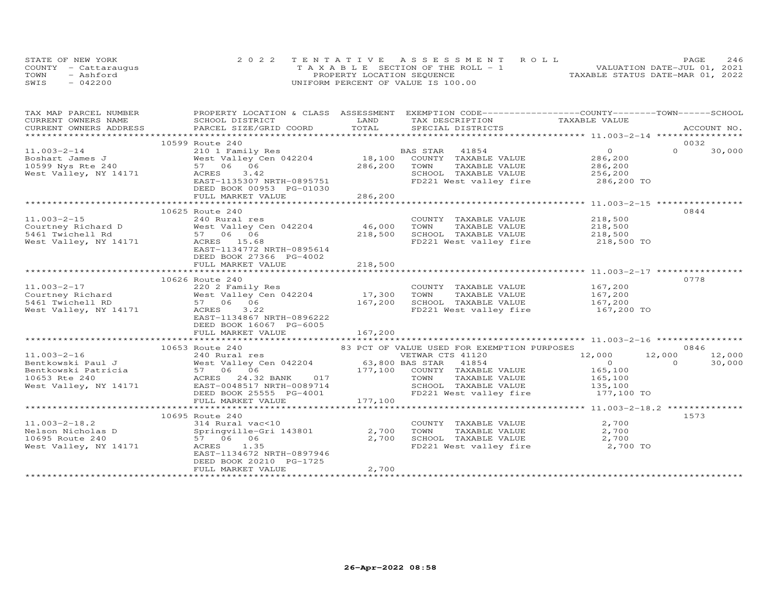| STATE OF NEW YORK    | 2022 TENTATIVE ASSESSMENT ROLL        | PAGE.                            | 246 |
|----------------------|---------------------------------------|----------------------------------|-----|
| COUNTY - Cattaraugus | T A X A B L E SECTION OF THE ROLL - 1 | VALUATION DATE-JUL 01, 2021      |     |
| TOWN<br>- Ashford    | PROPERTY LOCATION SEQUENCE            | TAXABLE STATUS DATE-MAR 01, 2022 |     |
| SWIS<br>$-042200$    | UNIFORM PERCENT OF VALUE IS 100.00    |                                  |     |

| TAX MAP PARCEL NUMBER       | PROPERTY LOCATION & CLASS ASSESSMENT EXEMPTION CODE----------------COUNTY-------TOWN-----SCHOOL                                                                                                                                                                 |         |                                                                                                        |                            |          |        |
|-----------------------------|-----------------------------------------------------------------------------------------------------------------------------------------------------------------------------------------------------------------------------------------------------------------|---------|--------------------------------------------------------------------------------------------------------|----------------------------|----------|--------|
|                             |                                                                                                                                                                                                                                                                 |         |                                                                                                        |                            |          |        |
|                             |                                                                                                                                                                                                                                                                 |         |                                                                                                        |                            |          |        |
|                             | 10599 Route 240                                                                                                                                                                                                                                                 |         |                                                                                                        |                            |          | 0032   |
| $11.003 - 2 - 14$           |                                                                                                                                                                                                                                                                 |         |                                                                                                        | $\overline{0}$             | $\Omega$ | 30,000 |
|                             | 210 1 Family Res<br>West Valley Cen 042204<br>57 06 06 286,200 TOWN TAXABLE VALUE                                                                                                                                                                               |         | 41854<br>TAXABLE VALUE 286,200<br>TAXABLE VALUE 286,200                                                |                            |          |        |
|                             |                                                                                                                                                                                                                                                                 |         |                                                                                                        |                            |          |        |
|                             | 3.42                                                                                                                                                                                                                                                            |         |                                                                                                        |                            |          |        |
| West Valley, NY 14171 ACRES | EAST-1135307 NRTH-0895751                                                                                                                                                                                                                                       |         | SCHOOL TAXABLE VALUE 256,200<br>FD221 West valley fire 286,200 TO                                      |                            |          |        |
|                             | DEED BOOK 00953 PG-01030                                                                                                                                                                                                                                        |         |                                                                                                        |                            |          |        |
|                             | FULL MARKET VALUE                                                                                                                                                                                                                                               | 286,200 |                                                                                                        |                            |          |        |
|                             |                                                                                                                                                                                                                                                                 |         |                                                                                                        |                            |          |        |
|                             | 10625 Route 240                                                                                                                                                                                                                                                 |         |                                                                                                        |                            |          | 0844   |
|                             |                                                                                                                                                                                                                                                                 |         | COUNTY TAXABLE VALUE                                                                                   |                            |          |        |
|                             | 11.003-2-15<br>Courtney Richard D West Valley Cen 042204 46,000<br>5461 Twichell Rd 57 06 06 218,500<br>18,500<br>7 06 06 218,500<br>18,500<br>18,500<br>18,500<br>18,500<br>18,500<br>18,500<br>18,500<br>18,500<br>18,500<br>18,500<br>18,500<br>18,500<br>18 |         |                                                                                                        | 218,500<br>218,500         |          |        |
|                             |                                                                                                                                                                                                                                                                 |         | TOWN<br>TAXABLE VALUE                                                                                  |                            |          |        |
|                             |                                                                                                                                                                                                                                                                 |         | SCHOOL TAXABLE VALUE 218,500                                                                           |                            |          |        |
|                             |                                                                                                                                                                                                                                                                 |         | FD221 West valley fire 218,500 TO                                                                      |                            |          |        |
|                             | EAST-1134772 NRTH-0895614                                                                                                                                                                                                                                       |         |                                                                                                        |                            |          |        |
|                             | DEED BOOK 27366 PG-4002                                                                                                                                                                                                                                         |         |                                                                                                        |                            |          |        |
|                             | FULL MARKET VALUE                                                                                                                                                                                                                                               | 218,500 |                                                                                                        |                            |          |        |
|                             |                                                                                                                                                                                                                                                                 |         |                                                                                                        |                            |          |        |
|                             | 10626 Route 240                                                                                                                                                                                                                                                 |         |                                                                                                        |                            |          | 0778   |
|                             |                                                                                                                                                                                                                                                                 |         | COUNTY TAXABLE VALUE 167,200<br>TOWN TAXABLE VALUE 167,200                                             |                            |          |        |
|                             |                                                                                                                                                                                                                                                                 |         | TAXABLE VALUE<br>en 042204 17,300 IOWN IAADDE VALUE 167,200<br>167,200 SCHOOL TAXABLE VALUE 167,200 TO |                            |          |        |
|                             |                                                                                                                                                                                                                                                                 |         |                                                                                                        |                            |          |        |
|                             |                                                                                                                                                                                                                                                                 |         |                                                                                                        |                            |          |        |
|                             | EAST-1134867 NRTH-0896222                                                                                                                                                                                                                                       |         |                                                                                                        |                            |          |        |
|                             | DEED BOOK 16067 PG-6005                                                                                                                                                                                                                                         |         |                                                                                                        |                            |          |        |
|                             | FULL MARKET VALUE                                                                                                                                                                                                                                               | 167,200 |                                                                                                        |                            |          |        |
|                             |                                                                                                                                                                                                                                                                 |         |                                                                                                        |                            |          |        |
|                             | 10653 Route 240<br>10653 Route 240<br>240 Rural res<br>240 Rural res<br>240 Rural res<br>240 Rural res<br>240 Rural res<br>240 Rural res<br>26,800 BAS STAR 41854<br>26,800 BAS STAR 41854<br>26,800 BAS STAR 41854<br>26,000<br>2653 Rte 240<br>265,100        |         |                                                                                                        |                            |          | 0846   |
|                             |                                                                                                                                                                                                                                                                 |         |                                                                                                        | $12,000$ $12,000$ $12,000$ |          |        |
|                             |                                                                                                                                                                                                                                                                 |         |                                                                                                        |                            | $\Omega$ | 30,000 |
|                             |                                                                                                                                                                                                                                                                 |         |                                                                                                        |                            |          |        |
|                             |                                                                                                                                                                                                                                                                 |         |                                                                                                        |                            |          |        |
|                             |                                                                                                                                                                                                                                                                 |         | SCHOOL TAXABLE VALUE 135, 100                                                                          |                            |          |        |
|                             |                                                                                                                                                                                                                                                                 |         |                                                                                                        | 177,100 TO                 |          |        |
|                             |                                                                                                                                                                                                                                                                 |         |                                                                                                        |                            |          |        |
|                             |                                                                                                                                                                                                                                                                 |         |                                                                                                        |                            |          |        |
|                             | 10695 Route 240                                                                                                                                                                                                                                                 |         |                                                                                                        |                            |          | 1573   |
| $11.003 - 2 - 18.2$         | 314 Rural vac<10                                                                                                                                                                                                                                                |         | COUNTY TAXABLE VALUE                                                                                   | 2,700                      |          |        |
|                             |                                                                                                                                                                                                                                                                 |         | TAXABLE VALUE<br>TOWN                                                                                  | 2,700                      |          |        |
|                             |                                                                                                                                                                                                                                                                 |         |                                                                                                        | 2,700                      |          |        |
|                             | 11.003-2-18.2<br>Nelson Nicholas D<br>10695 Route 240<br>Nest Valley, NY 14171<br>2,700<br>Nest Valley, NY 14171<br>ACRES 1.35<br>ACRES 1.35<br>2,700                                                                                                           |         | SCHOOL TAXABLE VALUE<br>FD221 West valley fire                                                         | 2,700 TO                   |          |        |
|                             | EAST-1134672 NRTH-0897946                                                                                                                                                                                                                                       |         |                                                                                                        |                            |          |        |
|                             | DEED BOOK 20210 PG-1725                                                                                                                                                                                                                                         |         |                                                                                                        |                            |          |        |
|                             | FULL MARKET VALUE                                                                                                                                                                                                                                               | 2,700   |                                                                                                        |                            |          |        |
|                             |                                                                                                                                                                                                                                                                 |         |                                                                                                        |                            |          |        |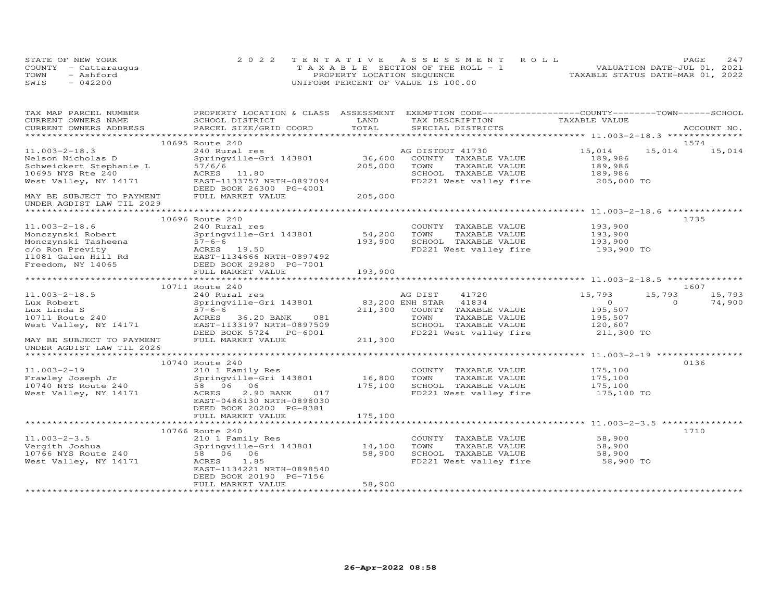|      | STATE OF NEW YORK    | 2022 TENTATIVE ASSESSMENT ROLL        | 2.47<br>PAGE.                    |
|------|----------------------|---------------------------------------|----------------------------------|
|      | COUNTY - Cattaraugus | T A X A B L E SECTION OF THE ROLL - 1 | VALUATION DATE-JUL 01, 2021      |
| TOWN | $-$ Ashford          | PROPERTY LOCATION SEQUENCE            | TAXABLE STATUS DATE-MAR 01, 2022 |
| SWIS | $-042200$            | UNIFORM PERCENT OF VALUE IS 100.00    |                                  |

| TAX MAP PARCEL NUMBER                                  | PROPERTY LOCATION & CLASS ASSESSMENT EXEMPTION CODE----------------COUNTY-------TOWN------SCHOOL |         |                                   |                       |          |             |
|--------------------------------------------------------|--------------------------------------------------------------------------------------------------|---------|-----------------------------------|-----------------------|----------|-------------|
| CURRENT OWNERS NAME                                    | SCHOOL DISTRICT                                                                                  | LAND    | TAX DESCRIPTION                   | TAXABLE VALUE         |          |             |
| CURRENT OWNERS ADDRESS                                 | PARCEL SIZE/GRID COORD                                                                           | TOTAL   | SPECIAL DISTRICTS                 |                       |          | ACCOUNT NO. |
|                                                        |                                                                                                  |         |                                   |                       |          |             |
|                                                        | 10695 Route 240                                                                                  |         |                                   |                       |          | 1574        |
| $11.003 - 2 - 18.3$                                    | 240 Rural res                                                                                    |         | AG DISTOUT 41730                  | 15,014                | 15,014   | 15,014      |
| Nelson Nicholas D                                      | Springville-Gri 143801                                                                           | 36,600  | COUNTY TAXABLE VALUE              | 189,986               |          |             |
| Schweickert Stephanie L                                | 57/6/6                                                                                           | 205,000 | TAXABLE VALUE<br>TOWN             | 189,986               |          |             |
| 10695 NYS Rte 240                                      | ACRES 11.80                                                                                      |         | SCHOOL TAXABLE VALUE              | 189,986               |          |             |
| West Valley, NY 14171                                  | EAST-1133757 NRTH-0897094<br>DEED BOOK 26300 PG-4001                                             |         | FD221 West valley fire            | 205,000 TO            |          |             |
| MAY BE SUBJECT TO PAYMENT<br>UNDER AGDIST LAW TIL 2029 | FULL MARKET VALUE                                                                                | 205,000 |                                   |                       |          |             |
|                                                        |                                                                                                  |         |                                   |                       |          |             |
|                                                        | 10696 Route 240                                                                                  |         |                                   |                       |          | 1735        |
| $11.003 - 2 - 18.6$                                    | 240 Rural res                                                                                    |         | COUNTY TAXABLE VALUE              | 193,900               |          |             |
| Monczynski Robert                                      | Springville-Gri 143801                                                                           | 54,200  | TOWN<br>TAXABLE VALUE             | 193,900<br>193,900    |          |             |
| Monczynski nowoci<br>Monczynski Tasheena<br>Drevity    | $57 - 6 - 6$                                                                                     | 193,900 | SCHOOL TAXABLE VALUE              |                       |          |             |
|                                                        |                                                                                                  |         | FD221 West valley fire 193,900 TO |                       |          |             |
|                                                        |                                                                                                  |         |                                   |                       |          |             |
|                                                        |                                                                                                  |         |                                   |                       |          |             |
|                                                        | FULL MARKET VALUE                                                                                | 193,900 |                                   |                       |          |             |
|                                                        |                                                                                                  |         |                                   |                       |          |             |
|                                                        | 10711 Route 240                                                                                  |         |                                   |                       |          | 1607        |
| $11.003 - 2 - 18.5$                                    | 240 Rural res                                                                                    |         | AG DIST<br>41720                  | 15,793                | 15,793   | 15,793      |
| Lux Robert                                             | Springville-Gri 143801                                                                           |         | 83,200 ENH STAR 41834             | $\overline{0}$        | $\Omega$ | 74,900      |
| Lux Linda S                                            | $57 - 6 - 6$                                                                                     | 211,300 | COUNTY TAXABLE VALUE              | 195,507               |          |             |
| 10711 Route 240                                        | 081<br>36.20 BANK<br>ACRES                                                                       |         | TOWN<br>TAXABLE VALUE             | 195,507               |          |             |
| West Valley, NY 14171                                  | EAST-1133197 NRTH-0897509                                                                        |         | SCHOOL TAXABLE VALUE              | 120,607<br>211,300 TO |          |             |
|                                                        | DEED BOOK 5724 PG-6001                                                                           | 211,300 | FD221 West valley fire            |                       |          |             |
| MAY BE SUBJECT TO PAYMENT                              | FULL MARKET VALUE                                                                                |         |                                   |                       |          |             |
| UNDER AGDIST LAW TIL 2026                              |                                                                                                  |         |                                   |                       |          |             |
|                                                        | 10740 Route 240                                                                                  |         |                                   |                       |          | 0136        |
| $11.003 - 2 - 19$                                      | 210 1 Family Res                                                                                 |         | COUNTY TAXABLE VALUE              | 175,100               |          |             |
| Frawley Joseph Jr                                      | Springville-Gri 143801                                                                           | 16,800  | TOWN<br>TAXABLE VALUE             | 175,100               |          |             |
| 10740 NYS Route 240                                    | 58 06 06                                                                                         | 175,100 | SCHOOL TAXABLE VALUE              | 175,100               |          |             |
| West Valley, NY 14171                                  | ACRES<br>2.90 BANK<br>017                                                                        |         | FD221 West valley fire 175,100 TO |                       |          |             |
|                                                        | EAST-0486130 NRTH-0898030                                                                        |         |                                   |                       |          |             |
|                                                        | DEED BOOK 20200 PG-8381                                                                          |         |                                   |                       |          |             |
|                                                        | FULL MARKET VALUE                                                                                | 175,100 |                                   |                       |          |             |
|                                                        |                                                                                                  |         |                                   |                       |          |             |
|                                                        | 10766 Route 240                                                                                  |         |                                   |                       |          | 1710        |
| $11.003 - 2 - 3.5$                                     | 210 1 Family Res                                                                                 |         | COUNTY TAXABLE VALUE              | 58,900                |          |             |
| Vergith Joshua                                         | Springville-Gri 143801                                                                           | 14,100  | TOWN<br>TAXABLE VALUE             | 58,900                |          |             |
| Vergith Joshua<br>10766 NYS Route 240                  | 58 06 06                                                                                         | 58,900  | SCHOOL TAXABLE VALUE              | 58,900                |          |             |
| West Valley, NY 14171                                  | ACRES 1.85                                                                                       |         | FD221 West valley fire            | 58,900 TO             |          |             |
|                                                        | EAST-1134221 NRTH-0898540                                                                        |         |                                   |                       |          |             |
|                                                        | DEED BOOK 20190 PG-7156                                                                          |         |                                   |                       |          |             |
|                                                        | FULL MARKET VALUE                                                                                | 58,900  |                                   |                       |          |             |
|                                                        |                                                                                                  |         |                                   |                       |          |             |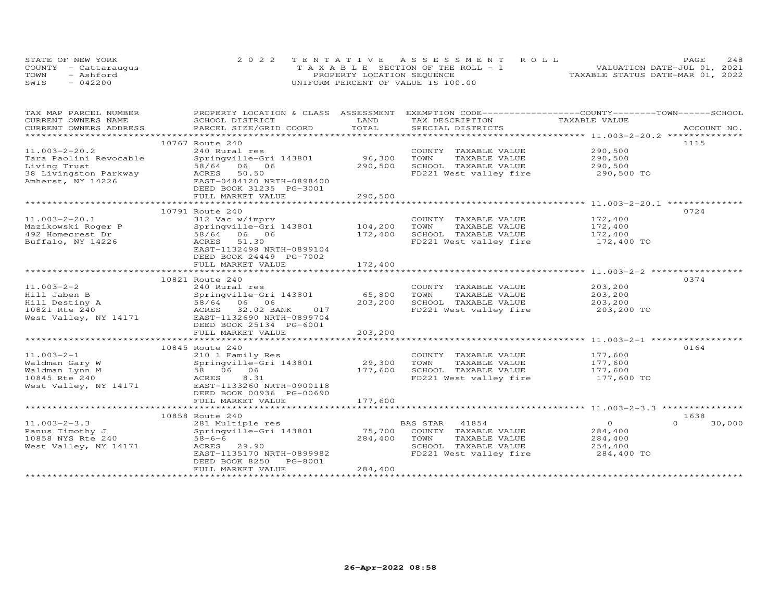| STATE OF NEW YORK    | 2022 TENTATIVE ASSESSMENT ROLL        | 2.48<br>PAGE.                    |
|----------------------|---------------------------------------|----------------------------------|
| COUNTY - Cattaraugus | T A X A B L E SECTION OF THE ROLL - 1 | VALUATION DATE-JUL 01, 2021      |
| TOWN<br>- Ashford    | PROPERTY LOCATION SEQUENCE            | TAXABLE STATUS DATE-MAR 01, 2022 |
| SWIS<br>$-042200$    | UNIFORM PERCENT OF VALUE IS 100.00    |                                  |

| TAX MAP PARCEL NUMBER  | PROPERTY LOCATION & CLASS ASSESSMENT EXEMPTION CODE-----------------COUNTY-------TOWN------SCHOOL |         |                                   |               |                  |
|------------------------|---------------------------------------------------------------------------------------------------|---------|-----------------------------------|---------------|------------------|
| CURRENT OWNERS NAME    | SCHOOL DISTRICT                                                                                   | LAND    | TAX DESCRIPTION                   | TAXABLE VALUE |                  |
| CURRENT OWNERS ADDRESS | PARCEL SIZE/GRID COORD                                                                            | TOTAL   | SPECIAL DISTRICTS                 |               | ACCOUNT NO.      |
|                        |                                                                                                   |         |                                   |               |                  |
|                        | 10767 Route 240                                                                                   |         |                                   |               | 1115             |
| $11.003 - 2 - 20.2$    | 240 Rural res                                                                                     |         | COUNTY TAXABLE VALUE              | 290,500       |                  |
| Tara Paolini Revocable | Springville-Gri 143801                                                                            | 96,300  | TAXABLE VALUE<br>TOWN             | 290,500       |                  |
| Living Trust           | 58/64 06 06                                                                                       | 290,500 | SCHOOL TAXABLE VALUE              | 290,500       |                  |
| 38 Livingston Parkway  | 50.50<br>ACRES                                                                                    |         | FD221 West valley fire 290,500 TO |               |                  |
| Amherst, NY 14226      | EAST-0484120 NRTH-0898400                                                                         |         |                                   |               |                  |
|                        | DEED BOOK 31235 PG-3001                                                                           |         |                                   |               |                  |
|                        | FULL MARKET VALUE                                                                                 | 290,500 |                                   |               |                  |
|                        |                                                                                                   |         |                                   |               |                  |
|                        | 10791 Route 240                                                                                   |         |                                   |               | 0724             |
| $11.003 - 2 - 20.1$    | 312 Vac w/imprv                                                                                   |         | COUNTY TAXABLE VALUE              | 172,400       |                  |
| Mazikowski Roger P     | Siz vac wyimpiv<br>Springville-Gri 143801 104,200                                                 |         | TOWN<br>TAXABLE VALUE             | 172,400       |                  |
| 492 Homecrest Dr       | 58/64 06 06                                                                                       | 172,400 | SCHOOL TAXABLE VALUE              | 172,400       |                  |
| Buffalo, NY 14226      | 51.30<br>ACRES                                                                                    |         | FD221 West valley fire            | 172,400 TO    |                  |
|                        | EAST-1132498 NRTH-0899104                                                                         |         |                                   |               |                  |
|                        | DEED BOOK 24449 PG-7002                                                                           |         |                                   |               |                  |
|                        | FULL MARKET VALUE                                                                                 | 172,400 |                                   |               |                  |
|                        |                                                                                                   |         |                                   |               |                  |
|                        | 10821 Route 240                                                                                   |         |                                   |               | 0374             |
| $11.003 - 2 - 2$       | 240 Rural res                                                                                     |         | COUNTY TAXABLE VALUE              | 203,200       |                  |
| Hill Jaben B           | Springville-Gri 143801                                                                            | 65,800  | TOWN<br>TAXABLE VALUE             | 203,200       |                  |
| Hill Destiny A         | 58/64 06 06                                                                                       | 203,200 | SCHOOL TAXABLE VALUE              | 203,200       |                  |
| 10821 Rte 240          | 32.02 BANK<br>ACRES<br>017                                                                        |         | FD221 West valley fire            | 203,200 TO    |                  |
| West Valley, NY 14171  | EAST-1132690 NRTH-0899704                                                                         |         |                                   |               |                  |
|                        | DEED BOOK 25134 PG-6001                                                                           |         |                                   |               |                  |
|                        | FULL MARKET VALUE                                                                                 | 203,200 |                                   |               |                  |
|                        |                                                                                                   |         |                                   |               |                  |
|                        | 10845 Route 240                                                                                   |         |                                   |               | 0164             |
| $11.003 - 2 - 1$       | 210 1 Family Res                                                                                  |         | COUNTY TAXABLE VALUE              | 177,600       |                  |
| Waldman Gary W         | Springville-Gri 143801                                                                            | 29,300  | TOWN<br>TAXABLE VALUE             | 177,600       |                  |
| Waldman Lynn M         | 58 06 06                                                                                          | 177,600 | SCHOOL TAXABLE VALUE              | 177,600       |                  |
| 10845 Rte 240          | 8.31<br>ACRES                                                                                     |         | FD221 West valley fire            | 177,600 TO    |                  |
| West Valley, NY 14171  | EAST-1133260 NRTH-0900118                                                                         |         |                                   |               |                  |
|                        | DEED BOOK 00936 PG-00690                                                                          |         |                                   |               |                  |
|                        |                                                                                                   |         |                                   |               |                  |
|                        | FULL MARKET VALUE                                                                                 | 177,600 |                                   |               |                  |
|                        |                                                                                                   |         |                                   |               |                  |
|                        | 10858 Route 240                                                                                   |         |                                   | $\Omega$      | 1638<br>$\Omega$ |
| $11.003 - 2 - 3.3$     | 281 Multiple res                                                                                  |         | 41854<br>BAS STAR                 |               | 30,000           |
| Panus Timothy J        | Springville-Gri 143801                                                                            | 75,700  | COUNTY TAXABLE VALUE              | 284,400       |                  |
| 10858 NYS Rte 240      | $58 - 6 - 6$                                                                                      | 284,400 | TAXABLE VALUE<br>TOWN             | 284,400       |                  |
| West Valley, NY 14171  | 29.90<br>ACRES                                                                                    |         | SCHOOL TAXABLE VALUE              | 254,400       |                  |
|                        | EAST-1135170 NRTH-0899982                                                                         |         | FD221 West valley fire            | 284,400 TO    |                  |
|                        | PG-8001<br>DEED BOOK 8250                                                                         |         |                                   |               |                  |
|                        | FULL MARKET VALUE                                                                                 | 284,400 |                                   |               |                  |
|                        |                                                                                                   |         |                                   |               |                  |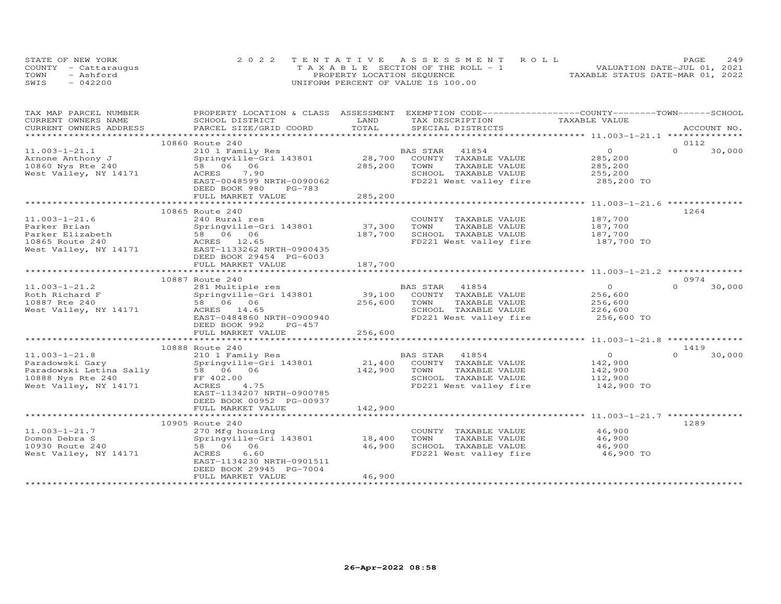|      | STATE OF NEW YORK    | 2022 TENTATIVE ASSESSMENT ROLL        | 249<br><b>PAGE</b>               |
|------|----------------------|---------------------------------------|----------------------------------|
|      | COUNTY - Cattarauqus | T A X A B L E SECTION OF THE ROLL - 1 | VALUATION DATE-JUL 01, 2021      |
| TOWN | - Ashford            | PROPERTY LOCATION SEQUENCE            | TAXABLE STATUS DATE-MAR 01, 2022 |
| SWIS | $-042200$            | UNIFORM PERCENT OF VALUE IS 100.00    |                                  |

| TAX MAP PARCEL NUMBER                           | PROPERTY LOCATION & CLASS ASSESSMENT EXEMPTION CODE----------------COUNTY-------TOWN------SCHOOL |         |                        |                |                    |
|-------------------------------------------------|--------------------------------------------------------------------------------------------------|---------|------------------------|----------------|--------------------|
| CURRENT OWNERS NAME                             | SCHOOL DISTRICT                                                                                  | LAND    | TAX DESCRIPTION        | TAXABLE VALUE  |                    |
| CURRENT OWNERS ADDRESS<br>********************* | PARCEL SIZE/GRID COORD                                                                           | TOTAL   | SPECIAL DISTRICTS      |                | ACCOUNT NO.        |
|                                                 | 10860 Route 240                                                                                  |         |                        |                | 0112               |
| $11.003 - 1 - 21.1$                             | 210 1 Family Res                                                                                 |         | BAS STAR<br>41854      | $\overline{0}$ | $\Omega$<br>30,000 |
| Arnone Anthony J                                | Springville-Gri 143801                                                                           | 28,700  | COUNTY TAXABLE VALUE   | 285,200        |                    |
| 10860 Nys Rte 240                               | 58 06 06                                                                                         | 285,200 | TOWN<br>TAXABLE VALUE  | 285,200        |                    |
| West Valley, NY 14171                           | ACRES<br>7.90                                                                                    |         | SCHOOL TAXABLE VALUE   | 255,200        |                    |
|                                                 | EAST-0048599 NRTH-0090062                                                                        |         | FD221 West valley fire | 285,200 TO     |                    |
|                                                 | DEED BOOK 980<br>PG-783                                                                          |         |                        |                |                    |
|                                                 | FULL MARKET VALUE                                                                                | 285,200 |                        |                |                    |
|                                                 |                                                                                                  |         |                        |                |                    |
|                                                 | 10865 Route 240                                                                                  |         |                        |                | 1264               |
| $11.003 - 1 - 21.6$                             | 240 Rural res                                                                                    |         | COUNTY TAXABLE VALUE   | 187,700        |                    |
| Parker Brian                                    | Springville-Gri 143801                                                                           | 37,300  | TOWN<br>TAXABLE VALUE  | 187,700        |                    |
| Parker Elizabeth                                | 58 06 06                                                                                         | 187,700 | SCHOOL TAXABLE VALUE   | 187,700        |                    |
| 10865 Route 240                                 | ACRES 12.65                                                                                      |         | FD221 West valley fire | 187,700 TO     |                    |
| West Valley, NY 14171                           | EAST-1133262 NRTH-0900435                                                                        |         |                        |                |                    |
|                                                 | DEED BOOK 29454 PG-6003                                                                          |         |                        |                |                    |
|                                                 | FULL MARKET VALUE                                                                                | 187,700 |                        |                |                    |
|                                                 |                                                                                                  |         |                        |                |                    |
|                                                 | 10887 Route 240                                                                                  |         |                        |                | 0974               |
| $11.003 - 1 - 21.2$                             | 281 Multiple res                                                                                 |         | BAS STAR<br>41854      | $\overline{0}$ | $\Omega$<br>30,000 |
| Roth Richard F                                  | Springville-Gri 143801                                                                           | 39,100  | COUNTY TAXABLE VALUE   | 256,600        |                    |
| 10887 Rte 240                                   | 58 06 06                                                                                         | 256,600 | TAXABLE VALUE<br>TOWN  | 256,600        |                    |
| West Valley, NY 14171                           | ACRES 14.65                                                                                      |         | SCHOOL TAXABLE VALUE   | 226,600        |                    |
|                                                 | EAST-0484860 NRTH-0900940                                                                        |         | FD221 West valley fire | 256,600 TO     |                    |
|                                                 | DEED BOOK 992<br>PG-457                                                                          |         |                        |                |                    |
|                                                 | FULL MARKET VALUE                                                                                | 256,600 |                        |                |                    |
|                                                 |                                                                                                  |         |                        |                |                    |
|                                                 | 10888 Route 240                                                                                  |         |                        |                | 1419               |
| $11.003 - 1 - 21.8$                             | 210 1 Family Res                                                                                 |         | BAS STAR 41854         | $\overline{0}$ | $\Omega$<br>30,000 |
| Paradowski Gary                                 | Springville-Gri 143801                                                                           | 21,400  | COUNTY TAXABLE VALUE   | 142,900        |                    |
| Paradowski Letina Sally                         | 58 06 06                                                                                         | 142,900 | TOWN<br>TAXABLE VALUE  | 142,900        |                    |
| 10888 Nys Rte 240                               | FF 402.00                                                                                        |         | SCHOOL TAXABLE VALUE   | 112,900        |                    |
| West Valley, NY 14171                           | 4.75<br>ACRES                                                                                    |         | FD221 West valley fire | 142,900 TO     |                    |
|                                                 | EAST-1134207 NRTH-0900785                                                                        |         |                        |                |                    |
|                                                 | DEED BOOK 00952 PG-00937<br>FULL MARKET VALUE                                                    | 142,900 |                        |                |                    |
|                                                 |                                                                                                  |         |                        |                |                    |
|                                                 | 10905 Route 240                                                                                  |         |                        |                | 1289               |
| $11.003 - 1 - 21.7$                             | 270 Mfg housing                                                                                  |         | COUNTY TAXABLE VALUE   | 46,900         |                    |
| Domon Debra S                                   | Springville-Gri 143801                                                                           | 18,400  | TAXABLE VALUE<br>TOWN  | 46,900         |                    |
| 10930 Route 240                                 | 58 06 06                                                                                         | 46,900  | SCHOOL TAXABLE VALUE   | 46,900         |                    |
| West Valley, NY 14171                           | ACRES<br>6.60                                                                                    |         | FD221 West valley fire | 46,900 TO      |                    |
|                                                 | EAST-1134230 NRTH-0901511                                                                        |         |                        |                |                    |
|                                                 | DEED BOOK 29945 PG-7004                                                                          |         |                        |                |                    |
|                                                 | FULL MARKET VALUE                                                                                | 46,900  |                        |                |                    |
|                                                 |                                                                                                  |         |                        |                |                    |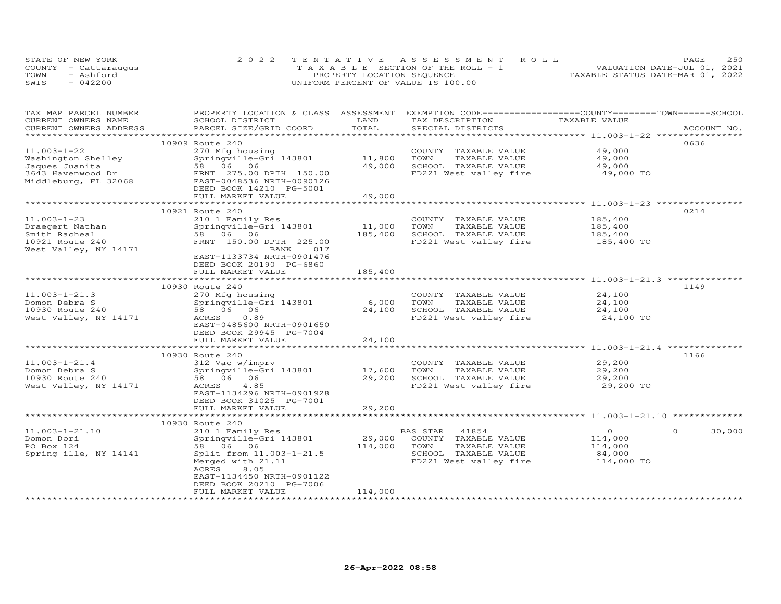| STATE OF NEW YORK    | 2022 TENTATIVE ASSESSMENT ROLL        |                            |  |                                  | PAGE | 250 |
|----------------------|---------------------------------------|----------------------------|--|----------------------------------|------|-----|
| COUNTY - Cattaraugus | T A X A B L E SECTION OF THE ROLL - 1 |                            |  | VALUATION DATE-JUL 01, 2021      |      |     |
| TOWN<br>- Ashford    |                                       | PROPERTY LOCATION SEQUENCE |  | TAXABLE STATUS DATE-MAR 01, 2022 |      |     |
| SWIS<br>$-042200$    | UNIFORM PERCENT OF VALUE IS 100.00    |                            |  |                                  |      |     |

| TAX MAP PARCEL NUMBER<br>CURRENT OWNERS NAME<br>CURRENT OWNERS ADDRESS                                 | PROPERTY LOCATION & CLASS ASSESSMENT EXEMPTION CODE-----------------COUNTY-------TOWN------SCHOOL<br>SCHOOL DISTRICT<br>PARCEL SIZE/GRID COORD                              | LAND<br>TOTAL              | TAX DESCRIPTION<br>SPECIAL DISTRICTS                                                                                 | TAXABLE VALUE                                         | ACCOUNT NO.        |
|--------------------------------------------------------------------------------------------------------|-----------------------------------------------------------------------------------------------------------------------------------------------------------------------------|----------------------------|----------------------------------------------------------------------------------------------------------------------|-------------------------------------------------------|--------------------|
|                                                                                                        |                                                                                                                                                                             |                            |                                                                                                                      |                                                       |                    |
| $11.003 - 1 - 22$<br>Washington Shelley<br>Jaques Juanita<br>3643 Havenwood Dr<br>Middleburg, FL 32068 | 10909 Route 240<br>270 Mfg housing<br>Springville-Gri 143801<br>58 06 06<br>FRNT 275.00 DPTH 150.00<br>EAST-0048536 NRTH-0090126<br>DEED BOOK 14210 PG-5001                 | 11,800<br>49,000           | COUNTY TAXABLE VALUE<br>TOWN<br>TAXABLE VALUE<br>SCHOOL TAXABLE VALUE<br>FD221 West valley fire                      | 49,000<br>49,000<br>49,000<br>49,000 TO               | 0636               |
|                                                                                                        | FULL MARKET VALUE                                                                                                                                                           | 49,000                     |                                                                                                                      |                                                       |                    |
| $11.003 - 1 - 23$<br>Draegert Nathan<br>Smith Racheal<br>10921 Route 240<br>West Valley, NY 14171      | 10921 Route 240<br>210 1 Family Res<br>Springville-Gri 143801<br>58 06 06<br>FRNT 150.00 DPTH 225.00<br>BANK<br>017<br>EAST-1133734 NRTH-0901476<br>DEED BOOK 20190 PG-6860 | 11,000<br>185,400          | COUNTY TAXABLE VALUE<br>TOWN<br>TAXABLE VALUE<br>SCHOOL TAXABLE VALUE<br>FD221 West valley fire                      | 185,400<br>185,400<br>185,400<br>185,400 TO           | 0214               |
|                                                                                                        | FULL MARKET VALUE                                                                                                                                                           | 185,400                    |                                                                                                                      |                                                       |                    |
|                                                                                                        |                                                                                                                                                                             |                            |                                                                                                                      |                                                       |                    |
| $11.003 - 1 - 21.3$<br>Domon Debra S<br>10930 Route 240<br>West Valley, NY 14171                       | 10930 Route 240<br>270 Mfg housing<br>Springville-Gri 143801<br>58 06 06<br>ACRES<br>0.89<br>EAST-0485600 NRTH-0901650<br>DEED BOOK 29945 PG-7004<br>FULL MARKET VALUE      | 6,000<br>24,100<br>24,100  | COUNTY TAXABLE VALUE<br>TOWN<br>TAXABLE VALUE<br>SCHOOL TAXABLE VALUE<br>FD221 West valley fire                      | 24,100<br>24,100<br>24,100<br>24,100 TO               | 1149               |
|                                                                                                        |                                                                                                                                                                             |                            |                                                                                                                      |                                                       |                    |
| $11.003 - 1 - 21.4$<br>Domon Debra S<br>10930 Route 240<br>West Valley, NY 14171                       | 10930 Route 240<br>312 Vac w/imprv<br>Springville-Gri 143801<br>58 06 06<br>ACRES<br>4.85<br>EAST-1134296 NRTH-0901928<br>DEED BOOK 31025 PG-7001<br>FULL MARKET VALUE      | 17,600<br>29,200<br>29,200 | COUNTY TAXABLE VALUE<br>TOWN<br>TAXABLE VALUE<br>SCHOOL TAXABLE VALUE<br>FD221 West valley fire                      | 29,200<br>29,200<br>29,200<br>29,200 TO               | 1166               |
|                                                                                                        |                                                                                                                                                                             |                            |                                                                                                                      |                                                       |                    |
| $11.003 - 1 - 21.10$<br>Domon Dori<br>PO Box 124<br>Spring ille, NY 14141                              | 10930 Route 240<br>210 1 Family Res<br>Springville-Gri 143801<br>58 06 06<br>Split from 11.003-1-21.5<br>Merged with 21.11<br>ACRES<br>8.05<br>EAST-1134450 NRTH-0901122    | 29,000<br>114,000          | BAS STAR<br>41854<br>COUNTY TAXABLE VALUE<br>TOWN<br>TAXABLE VALUE<br>SCHOOL TAXABLE VALUE<br>FD221 West valley fire | $\circ$<br>114,000<br>114,000<br>84,000<br>114,000 TO | 30,000<br>$\Omega$ |
|                                                                                                        | DEED BOOK 20210 PG-7006<br>FULL MARKET VALUE                                                                                                                                | 114,000                    |                                                                                                                      |                                                       |                    |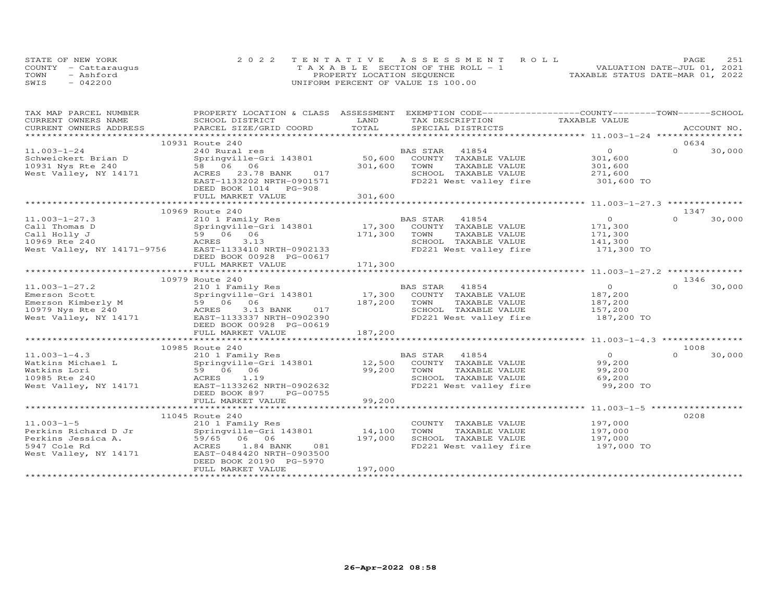|      | STATE OF NEW YORK    | 2022 TENTATIVE ASSESSMENT ROLL        | 251<br>PAGE                      |
|------|----------------------|---------------------------------------|----------------------------------|
|      | COUNTY - Cattaraugus | T A X A B L E SECTION OF THE ROLL - 1 | VALUATION DATE-JUL 01, 2021      |
| TOWN | - Ashford            | PROPERTY LOCATION SEQUENCE            | TAXABLE STATUS DATE-MAR 01, 2022 |
| SWIS | $-042200$            | UNIFORM PERCENT OF VALUE IS 100.00    |                                  |

| TAX MAP PARCEL NUMBER                                                                                                                                                                                                          | PROPERTY LOCATION & CLASS ASSESSMENT EXEMPTION CODE----------------COUNTY-------TOWN------SCHOOL |         |                |                                               |               |                       |          |        |
|--------------------------------------------------------------------------------------------------------------------------------------------------------------------------------------------------------------------------------|--------------------------------------------------------------------------------------------------|---------|----------------|-----------------------------------------------|---------------|-----------------------|----------|--------|
| CURRENT OWNERS NAME                                                                                                                                                                                                            | SCHOOL DISTRICT                                                                                  | LAND    |                | TAX DESCRIPTION                               | TAXABLE VALUE |                       |          |        |
| .CURRENT OWNERS ADDRESS PARCEL SIZE/GRID COORD TOTAL SPECIAL DISTRICTS (ACCOUNT NO ACCOUNT NO ARCOUNT NO ACCOUNT NO ACCOUNT NO A SEXALL SERVERS AND RESELL ASSESS THAT A LATER AND RESERVE A LATER OF THE SERVER SERVER AND RE |                                                                                                  | TOTAL   |                |                                               |               |                       |          |        |
|                                                                                                                                                                                                                                |                                                                                                  |         |                |                                               |               |                       |          |        |
|                                                                                                                                                                                                                                | 10931 Route 240                                                                                  |         |                |                                               |               |                       | 0634     |        |
| $11.003 - 1 - 24$                                                                                                                                                                                                              | 240 Rural res                                                                                    |         | BAS STAR 41854 |                                               |               | $\overline{0}$        | $\Omega$ | 30,000 |
| Schweickert Brian D Springville-0<br>10931 Nys Rte 240 58 06 06                                                                                                                                                                | Springville-Gri 143801                                                                           |         |                | 50,600 COUNTY TAXABLE VALUE                   |               | 301,600               |          |        |
|                                                                                                                                                                                                                                |                                                                                                  | 301,600 | TOWN           | TAXABLE VALUE                                 |               | 301,600               |          |        |
| West Valley, NY 14171 ACRES 23.78 BANK 017                                                                                                                                                                                     |                                                                                                  |         |                | SCHOOL TAXABLE VALUE                          |               |                       |          |        |
|                                                                                                                                                                                                                                | EAST-1133202 NRTH-0901571                                                                        |         |                | FD221 West valley fire                        |               | 271,600<br>301,600 TO |          |        |
|                                                                                                                                                                                                                                | DEED BOOK 1014 PG-908                                                                            |         |                |                                               |               |                       |          |        |
|                                                                                                                                                                                                                                | FULL MARKET VALUE                                                                                | 301,600 |                |                                               |               |                       |          |        |
|                                                                                                                                                                                                                                |                                                                                                  |         |                |                                               |               |                       |          |        |
|                                                                                                                                                                                                                                | 10969 Route 240                                                                                  |         |                |                                               |               |                       | 1347     |        |
| $11.003 - 1 - 27.3$                                                                                                                                                                                                            | 210 1 Family Res BA<br>Springville-Gri 143801 17,300                                             |         | BAS STAR       | 41854                                         |               | $\overline{O}$        | $\Omega$ | 30,000 |
| Call Thomas D                                                                                                                                                                                                                  |                                                                                                  |         |                | COUNTY TAXABLE VALUE                          |               | 171,300               |          |        |
| $5906$<br>ACRES<br>Call Holly J                                                                                                                                                                                                | 59 06 06                                                                                         | 171,300 | TOWN           | TAXABLE VALUE                                 |               | 171,300               |          |        |
| 10969 Rte 240                                                                                                                                                                                                                  | 3.13                                                                                             |         |                | SCHOOL TAXABLE VALUE                          |               | 141,300               |          |        |
| West Valley, NY 14171-9756 EAST-1133410 NRTH-0902133                                                                                                                                                                           |                                                                                                  |         |                | FD221 West valley fire                        |               | 171,300 TO            |          |        |
|                                                                                                                                                                                                                                | DEED BOOK 00928 PG-00617                                                                         |         |                |                                               |               |                       |          |        |
|                                                                                                                                                                                                                                | FULL MARKET VALUE                                                                                | 171,300 |                |                                               |               |                       |          |        |
|                                                                                                                                                                                                                                |                                                                                                  |         |                |                                               |               |                       |          |        |
|                                                                                                                                                                                                                                | 10979 Route 240                                                                                  |         |                |                                               |               |                       | 1346     |        |
| $11.003 - 1 - 27.2$                                                                                                                                                                                                            |                                                                                                  |         |                |                                               |               | $\overline{O}$        | $\Omega$ | 30,000 |
| Emerson Scott                                                                                                                                                                                                                  | 210 1 Family Res<br>Springville-Gri 143801                                                       |         |                | BAS STAR 41854<br>17,300 COUNTY TAXABLE VALUE |               | 187,200               |          |        |
| Emerson Kimberly M                                                                                                                                                                                                             | $59$ 06 06<br>ACRES 3.13                                                                         | 187,200 | TOWN           | TAXABLE VALUE                                 |               | 187,200               |          |        |
| 10979 Nys Rte 240                                                                                                                                                                                                              | 3.13 BANK 017                                                                                    |         |                | SCHOOL TAXABLE VALUE                          |               | 157,200               |          |        |
| West Valley, NY 14171 EAST-1133337 NRTH-0902390                                                                                                                                                                                |                                                                                                  |         |                | FD221 West valley fire                        |               | 187,200 TO            |          |        |
|                                                                                                                                                                                                                                | DEED BOOK 00928 PG-00619                                                                         |         |                |                                               |               |                       |          |        |
|                                                                                                                                                                                                                                | FULL MARKET VALUE                                                                                | 187,200 |                |                                               |               |                       |          |        |
|                                                                                                                                                                                                                                |                                                                                                  |         |                |                                               |               |                       |          |        |
|                                                                                                                                                                                                                                | 10985 Route 240                                                                                  |         |                |                                               |               |                       | 1008     |        |
| $11.003 - 1 - 4.3$                                                                                                                                                                                                             |                                                                                                  |         |                |                                               |               | $\overline{O}$        | $\Omega$ | 30,000 |
|                                                                                                                                                                                                                                |                                                                                                  |         |                |                                               |               | 99,200                |          |        |
|                                                                                                                                                                                                                                | 59 06 06                                                                                         | 99,200  | TOWN           | TAXABLE VALUE                                 |               | 99,200                |          |        |
| Watkins Aichael L<br>Watkins Lori<br>10005 Pto 240                                                                                                                                                                             | ACRES 1.19                                                                                       |         |                | SCHOOL TAXABLE VALUE                          |               | 69,200                |          |        |
| West Valley, NY 14171                                                                                                                                                                                                          | EAST-1133262 NRTH-0902632                                                                        |         |                | FD221 West valley fire                        |               | 99,200 TO             |          |        |
|                                                                                                                                                                                                                                | PG-00755<br>DEED BOOK 897                                                                        |         |                |                                               |               |                       |          |        |
|                                                                                                                                                                                                                                | FULL MARKET VALUE                                                                                | 99,200  |                |                                               |               |                       |          |        |
|                                                                                                                                                                                                                                |                                                                                                  |         |                |                                               |               |                       |          |        |
|                                                                                                                                                                                                                                | 11045 Route 240                                                                                  |         |                |                                               |               |                       | 0208     |        |
| $11.003 - 1 - 5$                                                                                                                                                                                                               | 210 1 Family Res                                                                                 |         |                | COUNTY TAXABLE VALUE                          |               | 197,000               |          |        |
| Perkins Richard D Jr                                                                                                                                                                                                           | Springville-Gri 143801 14,100                                                                    |         | TOWN           | TAXABLE VALUE                                 |               | 197,000               |          |        |
|                                                                                                                                                                                                                                | 59/65 06 06                                                                                      | 197,000 |                | SCHOOL TAXABLE VALUE                          |               |                       |          |        |
| Perkins Jessica A.<br>5947 Cole Rd                                                                                                                                                                                             | 1.84 BANK<br>081<br>ACRES                                                                        |         |                | FD221 West valley fire                        |               | 197,000<br>197,000 TO |          |        |
| West Valley, NY 14171                                                                                                                                                                                                          | EAST-0484420 NRTH-0903500                                                                        |         |                |                                               |               |                       |          |        |
|                                                                                                                                                                                                                                | DEED BOOK 20190 PG-5970                                                                          |         |                |                                               |               |                       |          |        |
|                                                                                                                                                                                                                                | FULL MARKET VALUE                                                                                | 197,000 |                |                                               |               |                       |          |        |
|                                                                                                                                                                                                                                |                                                                                                  |         |                |                                               |               |                       |          |        |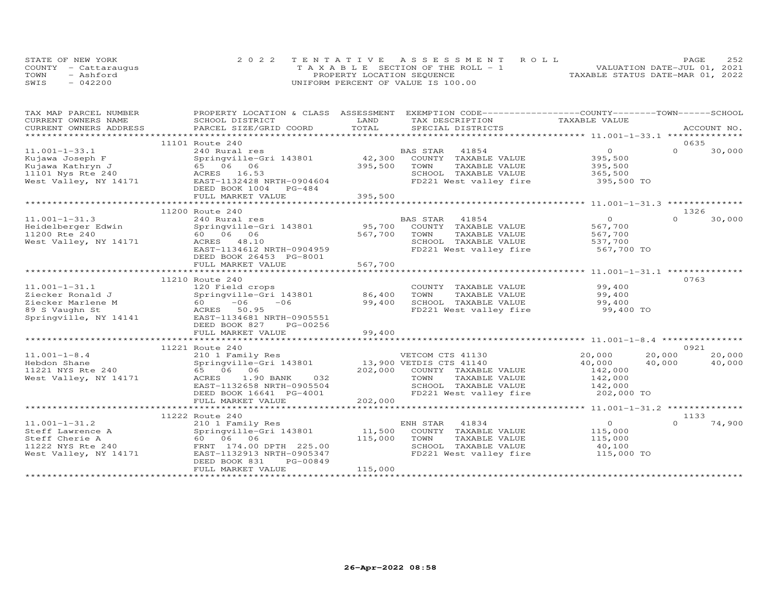|      | STATE OF NEW YORK    | 2022 TENTATIVE ASSESSMENT ROLL        | 252<br>PAGE                      |
|------|----------------------|---------------------------------------|----------------------------------|
|      | COUNTY - Cattaraugus | T A X A B L E SECTION OF THE ROLL - 1 | VALUATION DATE-JUL 01, 2021      |
| TOWN | - Ashford            | PROPERTY LOCATION SEQUENCE            | TAXABLE STATUS DATE-MAR 01, 2022 |
| SWIS | $-042200$            | UNIFORM PERCENT OF VALUE IS 100.00    |                                  |

| TAX MAP PARCEL NUMBER                 | PROPERTY LOCATION & CLASS ASSESSMENT EXEMPTION CODE----------------COUNTY-------TOWN------SCHOOL |         |                              |                  |                    |
|---------------------------------------|--------------------------------------------------------------------------------------------------|---------|------------------------------|------------------|--------------------|
| CURRENT OWNERS NAME                   | SCHOOL DISTRICT                                                                                  | LAND    | TAX DESCRIPTION              | TAXABLE VALUE    |                    |
| CURRENT OWNERS ADDRESS                | PARCEL SIZE/GRID COORD                                                                           | TOTAL   | SPECIAL DISTRICTS            |                  | ACCOUNT NO.        |
|                                       |                                                                                                  |         |                              |                  |                    |
|                                       | 11101 Route 240                                                                                  |         |                              |                  | 0635               |
| $11.001 - 1 - 33.1$                   | 240 Rural res                                                                                    |         | 41854<br>BAS STAR            | $\overline{0}$   | $\Omega$<br>30,000 |
| Kujawa Joseph F                       | Springville-Gri 143801                                                                           | 42,300  | COUNTY TAXABLE VALUE         | 395,500          |                    |
| Kujawa Kathryn J                      | 65 06 06                                                                                         | 395,500 | TOWN<br>TAXABLE VALUE        | 395,500          |                    |
| Kujawa Kuchi, 1.<br>11101 Nys Rte 240 | ACRES 16.53                                                                                      |         | SCHOOL TAXABLE VALUE         | 365,500          |                    |
| West Valley, NY 14171                 | EAST-1132428 NRTH-0904604                                                                        |         | FD221 West valley fire       | 395,500 TO       |                    |
|                                       | DEED BOOK 1004 PG-484                                                                            |         |                              |                  |                    |
|                                       | FULL MARKET VALUE                                                                                | 395,500 |                              |                  |                    |
|                                       |                                                                                                  |         |                              |                  |                    |
|                                       | 11200 Route 240                                                                                  |         |                              |                  | 1326               |
| $11.001 - 1 - 31.3$                   | 240 Rural res                                                                                    |         | BAS STAR<br>41854            | $\overline{O}$   | $\cap$<br>30,000   |
| Heidelberger Edwin                    | Springville-Gri 143801                                                                           | 95,700  | COUNTY TAXABLE VALUE         | 567,700          |                    |
| 11200 Rte 240                         | 60 06 06                                                                                         | 567,700 | TOWN<br>TAXABLE VALUE        | 567,700          |                    |
| West Valley, NY 14171                 | ACRES 48.10                                                                                      |         | SCHOOL TAXABLE VALUE         | 537,700          |                    |
|                                       | EAST-1134612 NRTH-0904959                                                                        |         | FD221 West valley fire       | 567,700 TO       |                    |
|                                       | DEED BOOK 26453 PG-8001                                                                          |         |                              |                  |                    |
|                                       | FULL MARKET VALUE                                                                                | 567,700 |                              |                  |                    |
|                                       |                                                                                                  |         |                              |                  |                    |
|                                       | 11210 Route 240                                                                                  |         |                              |                  | 0763               |
| $11.001 - 1 - 31.1$                   | 120 Field crops                                                                                  |         | COUNTY TAXABLE VALUE         | 99,400           |                    |
| Ziecker Ronald J                      | Springville-Gri 143801                                                                           | 86,400  | TOWN<br>TAXABLE VALUE        | 99,400           |                    |
| Ziecker Marlene M                     | $60 -06 -06$                                                                                     | 99,400  | SCHOOL TAXABLE VALUE         | 99,400           |                    |
| 89 S Vaughn St                        | ACRES 50.95                                                                                      |         | FD221 West valley fire       | 99,400 TO        |                    |
| Springville, NY 14141                 | EAST-1134681 NRTH-0905551                                                                        |         |                              |                  |                    |
|                                       | DEED BOOK 827<br>PG-00256                                                                        |         |                              |                  |                    |
|                                       | FULL MARKET VALUE                                                                                | 99,400  |                              |                  |                    |
|                                       |                                                                                                  |         |                              |                  |                    |
|                                       | 11221 Route 240                                                                                  |         |                              |                  | 0921               |
| $11.001 - 1 - 8.4$                    | 210 1 Family Res                                                                                 |         | VETCOM CTS 41130             | 20,000<br>20,000 | 20,000             |
| Hebdon Shane                          | Springville-Gri 143801                                                                           |         | 13,900 VETDIS CTS 41140      | 40,000<br>40,000 | 40,000             |
| 11221 NYS Rte 240                     | 65 06 06                                                                                         |         | 202,000 COUNTY TAXABLE VALUE | 142,000          |                    |
| West Valley, NY 14171                 | 032<br>ACRES<br>1.90 BANK                                                                        |         | TAXABLE VALUE<br>TOWN        | 142,000          |                    |
|                                       | EAST-1132658 NRTH-0905504                                                                        |         | SCHOOL TAXABLE VALUE         | 142,000          |                    |
|                                       | DEED BOOK 16641 PG-4001                                                                          |         | FD221 West valley fire       | 202,000 TO       |                    |
|                                       | FULL MARKET VALUE                                                                                | 202,000 |                              |                  |                    |
|                                       |                                                                                                  |         |                              |                  |                    |
|                                       | 11222 Route 240                                                                                  |         |                              |                  | 1133               |
| $11.001 - 1 - 31.2$                   | 210 1 Family Res                                                                                 |         | 41834<br>ENH STAR            | $\overline{0}$   | 74,900<br>$\Omega$ |
| Steff Lawrence A                      | Springville-Gri 143801                                                                           | 11,500  | COUNTY TAXABLE VALUE         | 115,000          |                    |
| Steff Cherie A                        | 60 06 06                                                                                         | 115,000 | TAXABLE VALUE<br>TOWN        | 115,000          |                    |
| 11222 NYS Rte 240                     | FRNT 174.00 DPTH 225.00                                                                          |         | SCHOOL TAXABLE VALUE         | 40,100           |                    |
| West Valley, NY 14171                 | EAST-1132913 NRTH-0905347                                                                        |         | FD221 West valley fire       | 115,000 TO       |                    |
|                                       | PG-00849<br>DEED BOOK 831                                                                        |         |                              |                  |                    |
|                                       | FULL MARKET VALUE                                                                                | 115,000 |                              |                  |                    |
|                                       |                                                                                                  |         |                              |                  |                    |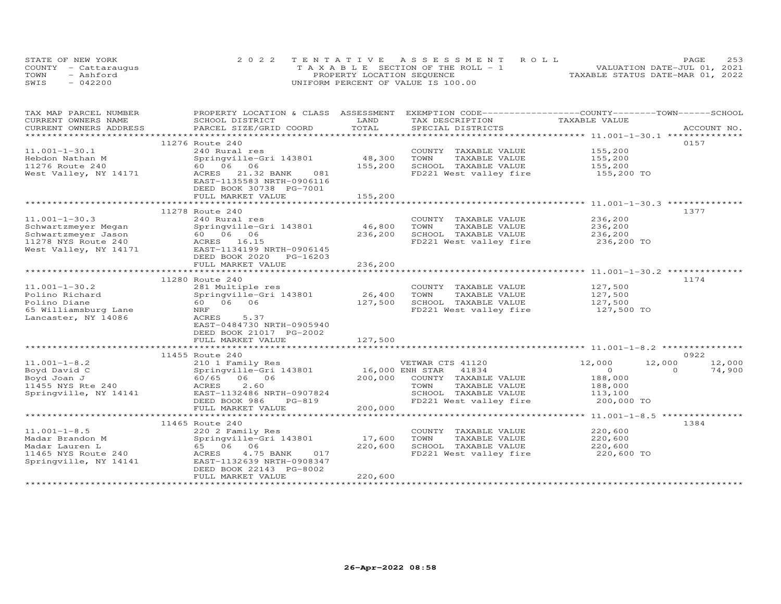| STATE OF NEW YORK    | 2022 TENTATIVE ASSESSMENT ROLL        | 253<br>PAGE                      |
|----------------------|---------------------------------------|----------------------------------|
| COUNTY - Cattaraugus | T A X A B L E SECTION OF THE ROLL - 1 | VALUATION DATE-JUL 01, 2021      |
| TOWN<br>- Ashford    | PROPERTY LOCATION SEQUENCE            | TAXABLE STATUS DATE-MAR 01, 2022 |
| SWIS<br>$-042200$    | UNIFORM PERCENT OF VALUE IS 100.00    |                                  |

| TAX MAP PARCEL NUMBER  |                            |         | PROPERTY LOCATION & CLASS ASSESSMENT EXEMPTION CODE-----------------COUNTY-------TOWN------SCHOOL |               |                    |
|------------------------|----------------------------|---------|---------------------------------------------------------------------------------------------------|---------------|--------------------|
| CURRENT OWNERS NAME    | SCHOOL DISTRICT            | LAND    | TAX DESCRIPTION                                                                                   | TAXABLE VALUE |                    |
| CURRENT OWNERS ADDRESS | PARCEL SIZE/GRID COORD     | TOTAL   | SPECIAL DISTRICTS                                                                                 |               | ACCOUNT NO.        |
|                        |                            |         |                                                                                                   |               |                    |
|                        | 11276 Route 240            |         |                                                                                                   |               | 0157               |
| $11.001 - 1 - 30.1$    | 240 Rural res              |         | COUNTY TAXABLE VALUE                                                                              | 155,200       |                    |
| Hebdon Nathan M        | Springville-Gri 143801     | 48,300  | TOWN<br>TAXABLE VALUE                                                                             | 155,200       |                    |
| 11276 Route 240        | 60 06 06                   | 155,200 | SCHOOL TAXABLE VALUE                                                                              | 155,200       |                    |
| West Valley, NY 14171  | ACRES 21.32 BANK<br>081    |         | FD221 West valley fire                                                                            | 155,200 TO    |                    |
|                        | EAST-1135583 NRTH-0906116  |         |                                                                                                   |               |                    |
|                        | DEED BOOK 30738 PG-7001    |         |                                                                                                   |               |                    |
|                        | FULL MARKET VALUE          | 155,200 |                                                                                                   |               |                    |
|                        |                            |         |                                                                                                   |               |                    |
|                        | 11278 Route 240            |         |                                                                                                   |               | 1377               |
| $11.001 - 1 - 30.3$    | 240 Rural res              |         | COUNTY TAXABLE VALUE                                                                              | 236,200       |                    |
| Schwartzmeyer Megan    | Springville-Gri 143801     | 46,800  | TOWN<br>TAXABLE VALUE                                                                             | 236,200       |                    |
| Schwartzmeyer Jason    | 60 06 06                   | 236,200 | SCHOOL TAXABLE VALUE                                                                              | 236,200       |                    |
| 11278 NYS Route 240    | ACRES 16.15                |         | FD221 West valley fire                                                                            | 236,200 TO    |                    |
| West Valley, NY 14171  | EAST-1134199 NRTH-0906145  |         |                                                                                                   |               |                    |
|                        | DEED BOOK 2020<br>PG-16203 |         |                                                                                                   |               |                    |
|                        | FULL MARKET VALUE          | 236,200 |                                                                                                   |               |                    |
|                        |                            |         |                                                                                                   |               |                    |
|                        | 11280 Route 240            |         |                                                                                                   |               | 1174               |
| $11.001 - 1 - 30.2$    | 281 Multiple res           |         | COUNTY TAXABLE VALUE                                                                              | 127,500       |                    |
| Polino Richard         | Springville-Gri 143801     | 26,400  | TOWN<br>TAXABLE VALUE                                                                             | 127,500       |                    |
| Polino Diane           | 60        06        06     | 127,500 | SCHOOL TAXABLE VALUE                                                                              | 127,500       |                    |
| 65 Williamsburg Lane   | NRF                        |         | FD221 West valley fire                                                                            | 127,500 TO    |                    |
|                        | ACRES<br>5.37              |         |                                                                                                   |               |                    |
| Lancaster, NY 14086    |                            |         |                                                                                                   |               |                    |
|                        | EAST-0484730 NRTH-0905940  |         |                                                                                                   |               |                    |
|                        | DEED BOOK 21017 PG-2002    |         |                                                                                                   |               |                    |
|                        | FULL MARKET VALUE          | 127,500 |                                                                                                   |               |                    |
|                        |                            |         |                                                                                                   |               |                    |
|                        | 11455 Route 240            |         |                                                                                                   |               | 0922               |
| $11.001 - 1 - 8.2$     | 210 1 Family Res           |         | VETWAR CTS 41120                                                                                  | 12,000        | 12,000<br>12,000   |
| Boyd David C           | Springville-Gri 143801     |         | 16,000 ENH STAR<br>41834                                                                          | $\circ$       | $\Omega$<br>74,900 |
| Boyd Joan J            | 60/65 06 06                | 200,000 | COUNTY TAXABLE VALUE                                                                              | 188,000       |                    |
| 11455 NYS Rte 240      | 2.60<br>ACRES              |         | TAXABLE VALUE<br>TOWN                                                                             | 188,000       |                    |
| Springville, NY 14141  | EAST-1132486 NRTH-0907824  |         | SCHOOL TAXABLE VALUE                                                                              | 113,100       |                    |
|                        | DEED BOOK 986<br>$PG-819$  |         | FD221 West valley fire                                                                            | 200,000 TO    |                    |
|                        | FULL MARKET VALUE          | 200,000 |                                                                                                   |               |                    |
|                        |                            |         |                                                                                                   |               |                    |
|                        | 11465 Route 240            |         |                                                                                                   |               | 1384               |
| $11.001 - 1 - 8.5$     | 220 2 Family Res           |         | COUNTY TAXABLE VALUE                                                                              | 220,600       |                    |
| Madar Brandon M        | Springville-Gri 143801     | 17,600  | TOWN<br>TAXABLE VALUE                                                                             | 220,600       |                    |
| Madar Lauren L         | 65 06 06                   | 220,600 | SCHOOL TAXABLE VALUE                                                                              | 220,600       |                    |
| 11465 NYS Route 240    | 4.75 BANK<br>017<br>ACRES  |         | FD221 West valley fire                                                                            | 220,600 TO    |                    |
| Springville, NY 14141  | EAST-1132639 NRTH-0908347  |         |                                                                                                   |               |                    |
|                        | DEED BOOK 22143 PG-8002    |         |                                                                                                   |               |                    |
|                        | FULL MARKET VALUE          | 220,600 |                                                                                                   |               |                    |
|                        |                            |         |                                                                                                   |               |                    |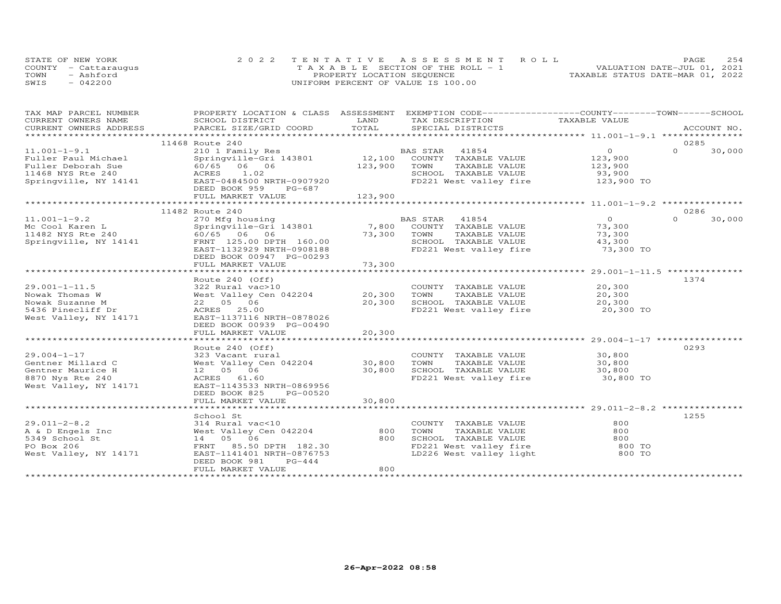| STATE OF NEW YORK    | 2022 TENTATIVE ASSESSMENT ROLL        |  |  |                                  | PAGE. | 254 |
|----------------------|---------------------------------------|--|--|----------------------------------|-------|-----|
| COUNTY - Cattarauqus | T A X A B L E SECTION OF THE ROLL - 1 |  |  | VALUATION DATE-JUL 01, 2021      |       |     |
| TOWN<br>- Ashford    | PROPERTY LOCATION SEQUENCE            |  |  | TAXABLE STATUS DATE-MAR 01, 2022 |       |     |
| SWIS<br>$-042200$    | UNIFORM PERCENT OF VALUE IS 100.00    |  |  |                                  |       |     |

| TAX MAP PARCEL NUMBER                                                                                                                                                                                                                                    | PROPERTY LOCATION & CLASS ASSESSMENT EXEMPTION CODE----------------COUNTY-------TOWN------SCHOOL |             |                                                |                      |          |        |
|----------------------------------------------------------------------------------------------------------------------------------------------------------------------------------------------------------------------------------------------------------|--------------------------------------------------------------------------------------------------|-------------|------------------------------------------------|----------------------|----------|--------|
| CURRENT OWNERS NAME                                                                                                                                                                                                                                      | SCHOOL DISTRICT                                                                                  | LAND        | TAX DESCRIPTION                                | TAXABLE VALUE        |          |        |
| CURRENT OWNERS ADDRESS<br>.CURRENT OWNERS ADDRESS PARCEL SIZE/GRID COORD TOTAL SPECIAL DISTRICTS ACCOUNT NO ACCOUNT NO ACCOUNT NO ACCOUNT NO ACCOUNT NO A LETTING AND MAXILE ASSESS THAT A LETTING A LETTING A LETTING A LETTING A LETTING A LETTING A L |                                                                                                  | TOTAL       |                                                |                      |          |        |
|                                                                                                                                                                                                                                                          |                                                                                                  |             |                                                |                      |          |        |
|                                                                                                                                                                                                                                                          | 11468 Route 240                                                                                  |             |                                                |                      | 0285     |        |
| $11.001 - 1 - 9.1$                                                                                                                                                                                                                                       | 210 1 Family Res                                                                                 |             | BAS STAR 41854                                 | $\overline{0}$       | $\Omega$ | 30,000 |
|                                                                                                                                                                                                                                                          |                                                                                                  |             | 12,100 COUNTY TAXABLE VALUE                    | 123,900              |          |        |
|                                                                                                                                                                                                                                                          |                                                                                                  | 123,900     | TOWN<br>TAXABLE VALUE                          | 123,900              |          |        |
|                                                                                                                                                                                                                                                          |                                                                                                  |             | SCHOOL TAXABLE VALUE<br>FD221 West valley fire | 93,900<br>123,900 TO |          |        |
| Fuller Paul Michael Springville-Gri 143801<br>Fuller Deborah Sue 60/65 06 06<br>11468 NYS Rte 240 ACRES 1.02<br>Springville, NY 14141 EAST-0484500 NRTH-0907920                                                                                          |                                                                                                  |             |                                                |                      |          |        |
|                                                                                                                                                                                                                                                          | DEED BOOK 959<br>PG-687                                                                          |             |                                                |                      |          |        |
|                                                                                                                                                                                                                                                          | FULL MARKET VALUE                                                                                | 123,900     |                                                |                      |          |        |
|                                                                                                                                                                                                                                                          |                                                                                                  |             |                                                |                      |          |        |
|                                                                                                                                                                                                                                                          | 11482 Route 240                                                                                  |             |                                                |                      | 0286     |        |
| $11.001 - 1 - 9.2$                                                                                                                                                                                                                                       |                                                                                                  |             | BAS STAR<br>41854                              | $\overline{0}$       | $\cap$   | 30,000 |
| Mc Cool Karen L                                                                                                                                                                                                                                          | 270 Mfg housing<br>Springville-Gri 143801                                                        |             | 7,800 COUNTY TAXABLE VALUE                     | 73,300               |          |        |
| 11482 NYS Rte 240                                                                                                                                                                                                                                        | 60/65 06 06                                                                                      | 73,300 TOWN | TAXABLE VALUE                                  | 73,300               |          |        |
| Springville, NY 14141                                                                                                                                                                                                                                    | FRNT 125.00 DPTH 160.00                                                                          |             | SCHOOL TAXABLE VALUE                           | 43,300               |          |        |
|                                                                                                                                                                                                                                                          | EAST-1132929 NRTH-0908188                                                                        |             | FD221 West valley fire                         | 73,300 TO            |          |        |
|                                                                                                                                                                                                                                                          | DEED BOOK 00947 PG-00293                                                                         |             |                                                |                      |          |        |
|                                                                                                                                                                                                                                                          | FULL MARKET VALUE                                                                                | 73,300      |                                                |                      |          |        |
|                                                                                                                                                                                                                                                          |                                                                                                  |             |                                                |                      |          |        |
|                                                                                                                                                                                                                                                          | Route 240 (Off)                                                                                  |             |                                                |                      | 1374     |        |
| $29.001 - 1 - 11.5$                                                                                                                                                                                                                                      |                                                                                                  |             | COUNTY TAXABLE VALUE                           | 20,300               |          |        |
| Nowak Thomas W                                                                                                                                                                                                                                           |                                                                                                  |             | TAXABLE VALUE                                  | 20,300               |          |        |
| Nowak Suzanne M                                                                                                                                                                                                                                          | 22 05 06                                                                                         | 20,300      | SCHOOL TAXABLE VALUE                           | 20,300               |          |        |
| 5436 Pinecliff Dr                                                                                                                                                                                                                                        | ACRES 25.00                                                                                      |             | FD221 West valley fire                         | 20,300 TO            |          |        |
| West Valley, NY 14171                                                                                                                                                                                                                                    | EAST-1137116 NRTH-0878026                                                                        |             |                                                |                      |          |        |
|                                                                                                                                                                                                                                                          | DEED BOOK 00939 PG-00490                                                                         |             |                                                |                      |          |        |
|                                                                                                                                                                                                                                                          | FULL MARKET VALUE                                                                                | 20,300      |                                                |                      |          |        |
|                                                                                                                                                                                                                                                          |                                                                                                  |             |                                                |                      |          |        |
|                                                                                                                                                                                                                                                          | Route 240 (Off)                                                                                  |             |                                                |                      | 0293     |        |
| $29.004 - 1 - 17$                                                                                                                                                                                                                                        |                                                                                                  |             | COUNTY TAXABLE VALUE                           |                      |          |        |
| Gentner Millard C                                                                                                                                                                                                                                        | 323 Vacant rural<br>West Valley Cen 042204 30,800                                                |             | TOWN<br>TAXABLE VALUE                          | 30,800<br>30,800     |          |        |
| Gentner Maurice H                                                                                                                                                                                                                                        | 12  05  06                                                                                       | 30,800      | SCHOOL TAXABLE VALUE                           | 30,800               |          |        |
| 8870 Nys Rte 240                                                                                                                                                                                                                                         | ACRES 61.60                                                                                      |             | FD221 West valley fire                         | 30,800 TO            |          |        |
| West Valley, NY 14171                                                                                                                                                                                                                                    | EAST-1143533 NRTH-0869956                                                                        |             |                                                |                      |          |        |
|                                                                                                                                                                                                                                                          | DEED BOOK 825<br>PG-00520                                                                        |             |                                                |                      |          |        |
|                                                                                                                                                                                                                                                          | FULL MARKET VALUE                                                                                | 30,800      |                                                |                      |          |        |
|                                                                                                                                                                                                                                                          |                                                                                                  |             |                                                |                      |          |        |
|                                                                                                                                                                                                                                                          | School St                                                                                        |             |                                                |                      | 1255     |        |
| $29.011 - 2 - 8.2$                                                                                                                                                                                                                                       | 314 Rural vac<10                                                                                 |             | COUNTY TAXABLE VALUE                           | 800                  |          |        |
|                                                                                                                                                                                                                                                          | West Valley Cen 042204                                                                           | 800         | TAXABLE VALUE<br>TOWN                          | 800                  |          |        |
|                                                                                                                                                                                                                                                          | 14  05  06                                                                                       | 800         | SCHOOL TAXABLE VALUE                           |                      |          |        |
| A & D Engels Inc<br>5349 School St<br>PO Box 206<br>PO Box 206                                                                                                                                                                                           | FRNT 85.50 DPTH 182.30                                                                           |             |                                                |                      |          |        |
| West Valley, NY 14171                                                                                                                                                                                                                                    | EAST-1141401 NRTH-0876753                                                                        |             |                                                |                      |          |        |
|                                                                                                                                                                                                                                                          | PG-444<br>DEED BOOK 981                                                                          |             |                                                |                      |          |        |
|                                                                                                                                                                                                                                                          | FULL MARKET VALUE                                                                                | 800         |                                                |                      |          |        |
|                                                                                                                                                                                                                                                          |                                                                                                  |             |                                                |                      |          |        |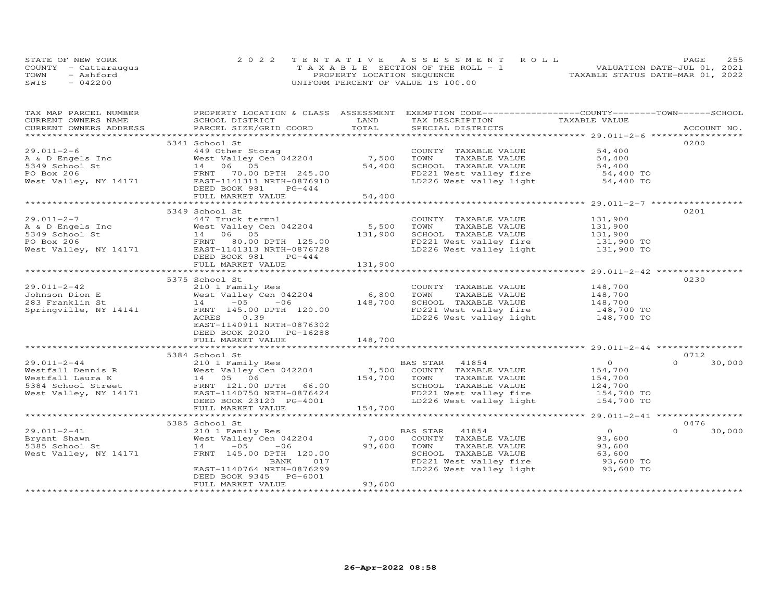| STATE OF NEW YORK    | 2022 TENTATIVE ASSESSMENT ROLL        | 255<br>PAGE.                     |
|----------------------|---------------------------------------|----------------------------------|
| COUNTY - Cattaraugus | T A X A B L E SECTION OF THE ROLL - 1 | VALUATION DATE-JUL 01, 2021      |
| TOWN<br>- Ashford    | PROPERTY LOCATION SEQUENCE            | TAXABLE STATUS DATE-MAR 01, 2022 |
| $-042200$<br>SWIS    | UNIFORM PERCENT OF VALUE IS 100.00    |                                  |

| TAX MAP PARCEL NUMBER                                |                                                                                                                                                                                                                                                                                  |         | PROPERTY LOCATION & CLASS ASSESSMENT EXEMPTION CODE----------------COUNTY-------TOWN------SCHOOL                                                                                                           |                                             |                    |
|------------------------------------------------------|----------------------------------------------------------------------------------------------------------------------------------------------------------------------------------------------------------------------------------------------------------------------------------|---------|------------------------------------------------------------------------------------------------------------------------------------------------------------------------------------------------------------|---------------------------------------------|--------------------|
|                                                      |                                                                                                                                                                                                                                                                                  |         |                                                                                                                                                                                                            |                                             |                    |
|                                                      |                                                                                                                                                                                                                                                                                  |         |                                                                                                                                                                                                            |                                             |                    |
|                                                      |                                                                                                                                                                                                                                                                                  |         |                                                                                                                                                                                                            |                                             |                    |
|                                                      | 5341 School St                                                                                                                                                                                                                                                                   |         |                                                                                                                                                                                                            |                                             | 0200               |
|                                                      | 449 Other Storag<br>West Valley Cen 042204 7,500<br>14 06 05 54,400                                                                                                                                                                                                              |         | COUNTY TAXABLE VALUE<br>TOWN     TAXABLE VALUE                                                                                                                                                             | 54,400                                      |                    |
|                                                      |                                                                                                                                                                                                                                                                                  |         |                                                                                                                                                                                                            | 54,400                                      |                    |
|                                                      |                                                                                                                                                                                                                                                                                  |         |                                                                                                                                                                                                            |                                             |                    |
|                                                      |                                                                                                                                                                                                                                                                                  |         | SCHOOL TAXABLE VALUE<br>FD221 West valley fire 54,400 TO<br>LD226 West valley light 54,400 TO                                                                                                              |                                             |                    |
|                                                      |                                                                                                                                                                                                                                                                                  |         |                                                                                                                                                                                                            |                                             |                    |
|                                                      | 29.011-2-6<br>A & D Engels Inc West Valley Cen 042204<br>534,400<br>90 Box 206<br>West Valley, NY 14171<br>West Valley, NY 14171<br>EAST-1141311 NRTH-0876910<br>DEED BOOK 981<br>PG-444                                                                                         |         |                                                                                                                                                                                                            |                                             |                    |
|                                                      |                                                                                                                                                                                                                                                                                  |         |                                                                                                                                                                                                            |                                             |                    |
|                                                      |                                                                                                                                                                                                                                                                                  |         |                                                                                                                                                                                                            |                                             |                    |
|                                                      | 5349 School St                                                                                                                                                                                                                                                                   |         |                                                                                                                                                                                                            |                                             | 0201               |
| $29.011 - 2 - 7$                                     | 447 Truck termnl                                                                                                                                                                                                                                                                 |         |                                                                                                                                                                                                            |                                             |                    |
|                                                      |                                                                                                                                                                                                                                                                                  | 5,500   |                                                                                                                                                                                                            |                                             |                    |
|                                                      |                                                                                                                                                                                                                                                                                  |         |                                                                                                                                                                                                            |                                             |                    |
|                                                      | 29.011-2-7<br>A & D Engels Inc and the Markov Markov (1990)<br>5,500<br>5,500<br>5,500<br>5,500<br>5,500<br>5,500<br>7,900<br>7,900<br>7,900<br>7,900<br>7,900<br>7,900<br>7,900<br>7,900<br>7,900<br>7,900<br>7,900<br>7,900<br>7,900<br>7,900<br>7,900<br>7,900<br>7,900<br>7, |         | COUNTY TAXABLE VALUE 131,900<br>TOWN TAXABLE VALUE 131,900<br>SCHOOL TAXABLE VALUE 131,900<br>FD221 West valley fire 131,900 TO<br>FD221 West valley fire 131,900 TO<br>LD226 West valley light 131,900 TO |                                             |                    |
|                                                      |                                                                                                                                                                                                                                                                                  |         |                                                                                                                                                                                                            |                                             |                    |
|                                                      | DEED BOOK 981 PG-444                                                                                                                                                                                                                                                             |         |                                                                                                                                                                                                            |                                             |                    |
|                                                      | FULL MARKET VALUE                                                                                                                                                                                                                                                                | 131,900 |                                                                                                                                                                                                            |                                             |                    |
|                                                      |                                                                                                                                                                                                                                                                                  |         |                                                                                                                                                                                                            |                                             |                    |
|                                                      | 5375 School St                                                                                                                                                                                                                                                                   |         |                                                                                                                                                                                                            |                                             | 0230               |
| $29.011 - 2 - 42$                                    | 210 1 Family Res                                                                                                                                                                                                                                                                 |         |                                                                                                                                                                                                            |                                             |                    |
|                                                      |                                                                                                                                                                                                                                                                                  |         |                                                                                                                                                                                                            |                                             |                    |
|                                                      | Res<br>an 042204 6,800<br>-06 130,000 148,700                                                                                                                                                                                                                                    |         | COUNTY TAXABLE VALUE 148,700<br>TOWN TAXABLE VALUE 148,700<br>SCHOOL TAXABLE VALUE 148,700<br>FD221 West valley fire 148,700 TO<br>LD226 West valley light 148,700 TO                                      |                                             |                    |
|                                                      |                                                                                                                                                                                                                                                                                  |         |                                                                                                                                                                                                            |                                             |                    |
|                                                      | 0.39<br>ACRES                                                                                                                                                                                                                                                                    |         |                                                                                                                                                                                                            |                                             |                    |
|                                                      | EAST-1140911 NRTH-0876302                                                                                                                                                                                                                                                        |         |                                                                                                                                                                                                            |                                             |                    |
|                                                      | DEED BOOK 2020 PG-16288                                                                                                                                                                                                                                                          |         |                                                                                                                                                                                                            |                                             |                    |
|                                                      | FULL MARKET VALUE                                                                                                                                                                                                                                                                | 148,700 |                                                                                                                                                                                                            |                                             |                    |
|                                                      |                                                                                                                                                                                                                                                                                  |         |                                                                                                                                                                                                            |                                             |                    |
|                                                      | 5384 School St                                                                                                                                                                                                                                                                   |         |                                                                                                                                                                                                            |                                             | 0712               |
|                                                      | 99.011-2-44<br>Westfall Dennis R<br>Westfall Laura K alley Cen 042204 3,500 COUNTY TAXABLE VALUE<br>Westfall Laura K 14 05 06 5384 School Street<br>West Valley, NY 14171 EAST-1140750 NRTH-0876424 FD221 West Valley (NY 14171 EAST-1                                           |         |                                                                                                                                                                                                            | $\begin{array}{c} 0 \\ 154,700 \end{array}$ | $\Omega$<br>30,000 |
|                                                      |                                                                                                                                                                                                                                                                                  |         |                                                                                                                                                                                                            |                                             |                    |
|                                                      |                                                                                                                                                                                                                                                                                  |         |                                                                                                                                                                                                            |                                             |                    |
|                                                      |                                                                                                                                                                                                                                                                                  |         | TAXABLE VALUE<br>TAXABLE VALUE 154,700<br>TAXABLE VALUE 124,700                                                                                                                                            |                                             |                    |
|                                                      |                                                                                                                                                                                                                                                                                  |         | FD221 West valley fire<br>IS4,700 TO<br>LD226 West valley light 154,700 TO                                                                                                                                 |                                             |                    |
|                                                      |                                                                                                                                                                                                                                                                                  |         |                                                                                                                                                                                                            |                                             |                    |
|                                                      | FULL MARKET VALUE                                                                                                                                                                                                                                                                | 154,700 |                                                                                                                                                                                                            |                                             |                    |
|                                                      |                                                                                                                                                                                                                                                                                  |         |                                                                                                                                                                                                            |                                             |                    |
|                                                      | 5385 School St                                                                                                                                                                                                                                                                   |         |                                                                                                                                                                                                            |                                             | 0476               |
| $29.011 - 2 - 41$                                    |                                                                                                                                                                                                                                                                                  |         |                                                                                                                                                                                                            | $\overline{0}$                              | $\Omega$<br>30,000 |
| 210 1 Famil<br>West Valley<br>14 -05<br>Bryant Shawn |                                                                                                                                                                                                                                                                                  |         |                                                                                                                                                                                                            | 93,600                                      |                    |
| 5385 School St                                       |                                                                                                                                                                                                                                                                                  |         | TAXABLE VALUE                                                                                                                                                                                              | 93,600                                      |                    |
| West Valley, NY 14171                                |                                                                                                                                                                                                                                                                                  |         |                                                                                                                                                                                                            |                                             |                    |
|                                                      |                                                                                                                                                                                                                                                                                  |         |                                                                                                                                                                                                            |                                             |                    |
|                                                      | EAST-1140764 NRTH-0876299                                                                                                                                                                                                                                                        |         |                                                                                                                                                                                                            |                                             |                    |
|                                                      | DEED BOOK 9345 PG-6001                                                                                                                                                                                                                                                           |         |                                                                                                                                                                                                            |                                             |                    |
|                                                      | FULL MARKET VALUE                                                                                                                                                                                                                                                                | 93,600  |                                                                                                                                                                                                            |                                             |                    |
|                                                      |                                                                                                                                                                                                                                                                                  |         |                                                                                                                                                                                                            |                                             |                    |
|                                                      |                                                                                                                                                                                                                                                                                  |         |                                                                                                                                                                                                            |                                             |                    |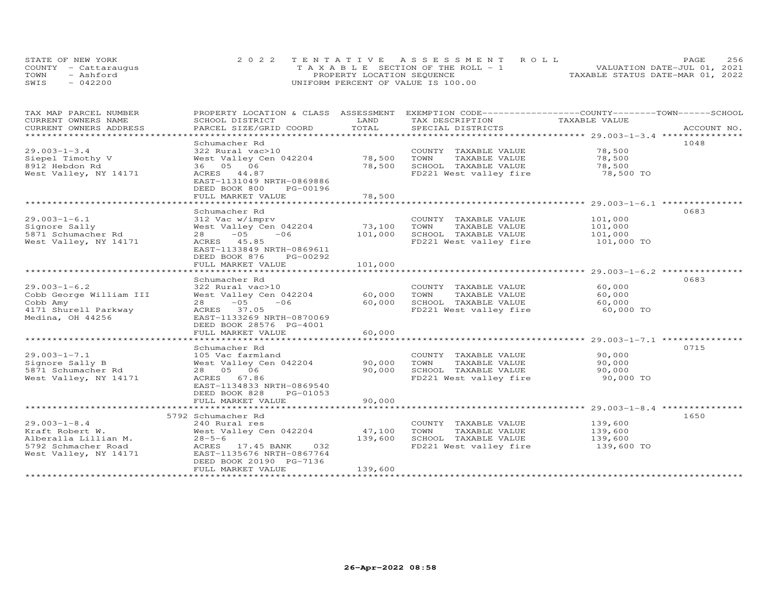| STATE OF NEW YORK    | 2022 TENTATIVE ASSESSMENT ROLL        |                            |  |                                  | PAGE. | 256 |
|----------------------|---------------------------------------|----------------------------|--|----------------------------------|-------|-----|
| COUNTY - Cattaraugus | T A X A B L E SECTION OF THE ROLL - 1 |                            |  | VALUATION DATE-JUL 01, 2021      |       |     |
| TOWN<br>- Ashford    |                                       | PROPERTY LOCATION SEQUENCE |  | TAXABLE STATUS DATE-MAR 01, 2022 |       |     |
| $-042200$<br>SWIS    | UNIFORM PERCENT OF VALUE IS 100.00    |                            |  |                                  |       |     |

| TAX MAP PARCEL NUMBER<br>CURRENT OWNERS NAME         | PROPERTY LOCATION & CLASS ASSESSMENT<br>SCHOOL DISTRICT                                   | LAND                  | EXEMPTION CODE-----------------COUNTY-------TOWN------SCHOOL<br>TAX DESCRIPTION | TAXABLE VALUE       |             |
|------------------------------------------------------|-------------------------------------------------------------------------------------------|-----------------------|---------------------------------------------------------------------------------|---------------------|-------------|
| CURRENT OWNERS ADDRESS                               | PARCEL SIZE/GRID COORD                                                                    | TOTAL                 | SPECIAL DISTRICTS                                                               |                     | ACCOUNT NO. |
|                                                      |                                                                                           |                       |                                                                                 |                     |             |
| $29.003 - 1 - 3.4$<br>Siepel Timothy V               | Schumacher Rd<br>322 Rural vac>10<br>West Valley Cen 042204                               | 78,500                | COUNTY TAXABLE VALUE<br>TOWN<br>TAXABLE VALUE                                   | 78,500<br>78,500    | 1048        |
| 8912 Hebdon Rd<br>West Valley, NY 14171              | 36 05 06<br>ACRES 44.87<br>EAST-1131049 NRTH-0869886<br>DEED BOOK 800<br>PG-00196         | 78,500                | SCHOOL TAXABLE VALUE<br>FD221 West valley fire                                  | 78,500<br>78,500 TO |             |
|                                                      | FULL MARKET VALUE<br>**************************                                           | 78,500<br>*********** | *********************************** 29.003-1-6.1 ****************               |                     |             |
| $29.003 - 1 - 6.1$                                   | Schumacher Rd                                                                             |                       |                                                                                 |                     | 0683        |
| Signore Sally                                        | 312 Vac w/imprv<br>West Valley Cen 042204                                                 | 73,100                | COUNTY TAXABLE VALUE<br>TAXABLE VALUE<br>TOWN                                   | 101,000<br>101,000  |             |
| 5871 Schumacher Rd                                   | $-05$<br>$-06$<br>28                                                                      | 101,000               | SCHOOL TAXABLE VALUE                                                            | 101,000             |             |
| West Valley, NY 14171                                | ACRES 45.85<br>EAST-1133849 NRTH-0869611<br>DEED BOOK 876<br>PG-00292                     |                       | FD221 West valley fire                                                          | 101,000 TO          |             |
|                                                      | FULL MARKET VALUE                                                                         | 101,000               |                                                                                 |                     |             |
|                                                      | *************************<br>Schumacher Rd                                                | ************          |                                                                                 |                     | 0683        |
| $29.003 - 1 - 6.2$                                   | 322 Rural vac>10                                                                          |                       | COUNTY TAXABLE VALUE                                                            | 60,000              |             |
| Cobb George William III                              | West Valley Cen 042204                                                                    | 60,000                | TOWN<br>TAXABLE VALUE                                                           | 60,000              |             |
| Cobb Amy<br>4171 Shurell Parkway<br>Medina, OH 44256 | $28 - 05$<br>$-06$<br>ACRES 37.05<br>EAST-1133269 NRTH-0870069<br>DEED BOOK 28576 PG-4001 | 60,000                | SCHOOL TAXABLE VALUE<br>FD221 West valley fire                                  | 60,000<br>60,000 TO |             |
|                                                      | FULL MARKET VALUE                                                                         | 60,000                |                                                                                 |                     |             |
|                                                      | Schumacher Rd                                                                             |                       |                                                                                 |                     | 0715        |
| $29.003 - 1 - 7.1$                                   | 105 Vac farmland                                                                          |                       | COUNTY TAXABLE VALUE                                                            | 90,000              |             |
| Signore Sally B                                      | West Valley Cen 042204                                                                    | 90,000                | TOWN<br>TAXABLE VALUE                                                           | 90,000              |             |
| 5871 Schumacher Rd<br>West Valley, NY 14171          | 28  05  06<br>ACRES 67.86<br>EAST-1134833 NRTH-0869540<br>DEED BOOK 828<br>PG-01053       | 90,000                | SCHOOL TAXABLE VALUE<br>FD221 West valley fire                                  | 90,000<br>90,000 TO |             |
|                                                      | FULL MARKET VALUE                                                                         | 90,000                |                                                                                 |                     |             |
|                                                      | 5792 Schumacher Rd                                                                        |                       |                                                                                 |                     | 1650        |
| $29.003 - 1 - 8.4$<br>Kraft Robert W.                | 240 Rural res<br>West Valley Cen 042204                                                   | 47,100                | COUNTY TAXABLE VALUE<br>TOWN<br>TAXABLE VALUE                                   | 139,600<br>139,600  |             |
| Alberalla Lillian M.                                 | $28 - 5 - 6$                                                                              | 139,600               | SCHOOL TAXABLE VALUE                                                            | 139,600             |             |
| 5792 Schmacher Road<br>West Valley, NY 14171         | ACRES 17.45 BANK<br>032<br>EAST-1135676 NRTH-0867764<br>DEED BOOK 20190 PG-7136           |                       | FD221 West valley fire                                                          | 139,600 TO          |             |
|                                                      | FULL MARKET VALUE                                                                         | 139,600               |                                                                                 |                     |             |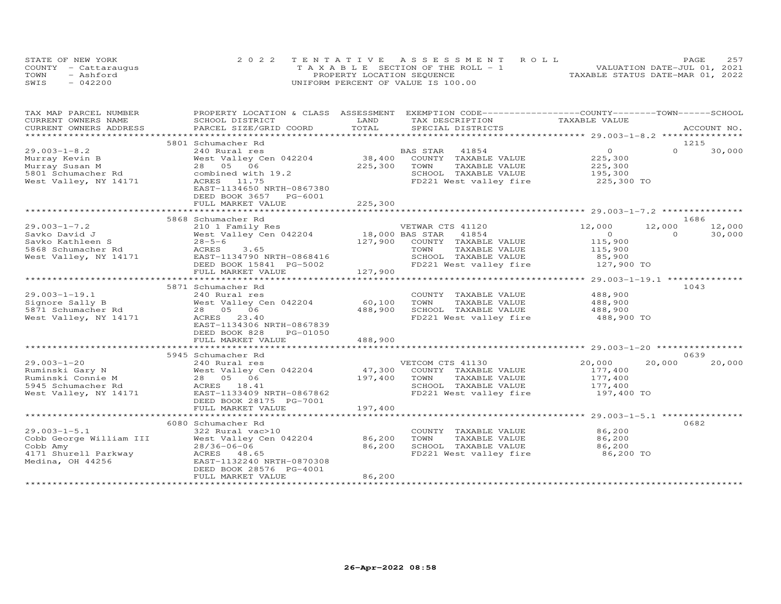|      | STATE OF NEW YORK    | 2022 TENTATIVE ASSESSMENT ROLL        | 2.57<br>PAGE                     |
|------|----------------------|---------------------------------------|----------------------------------|
|      | COUNTY - Cattarauqus | T A X A B L E SECTION OF THE ROLL - 1 | VALUATION DATE-JUL 01, 2021      |
| TOWN | - Ashford            | PROPERTY LOCATION SEQUENCE            | TAXABLE STATUS DATE-MAR 01, 2022 |
| SWIS | $-042200$            | UNIFORM PERCENT OF VALUE IS 100.00    |                                  |

| TAX MAP PARCEL NUMBER            | PROPERTY LOCATION & CLASS ASSESSMENT                                                 |         | EXEMPTION CODE-----------------COUNTY-------TOWN------SCHOOL                                         |                    |                                                                                                                                                                                                                                                                                                                                    |             |
|----------------------------------|--------------------------------------------------------------------------------------|---------|------------------------------------------------------------------------------------------------------|--------------------|------------------------------------------------------------------------------------------------------------------------------------------------------------------------------------------------------------------------------------------------------------------------------------------------------------------------------------|-------------|
| CURRENT OWNERS NAME              | SCHOOL DISTRICT                                                                      | LAND    | TAX DESCRIPTION                                                                                      | TAXABLE VALUE      |                                                                                                                                                                                                                                                                                                                                    |             |
| CURRENT OWNERS ADDRESS           | PARCEL SIZE/GRID COORD                                                               | TOTAL   | SPECIAL DISTRICTS                                                                                    |                    |                                                                                                                                                                                                                                                                                                                                    | ACCOUNT NO. |
|                                  |                                                                                      |         |                                                                                                      |                    |                                                                                                                                                                                                                                                                                                                                    |             |
|                                  | 5801 Schumacher Rd                                                                   |         |                                                                                                      |                    | 1215                                                                                                                                                                                                                                                                                                                               |             |
| $29.003 - 1 - 8.2$               | 240 Rural res                                                                        |         | BAS STAR<br>41854                                                                                    | $\overline{O}$     | $\Omega$                                                                                                                                                                                                                                                                                                                           | 30,000      |
| Murray Kevin B                   | West Valley Cen 042204                                                               |         | 38,400 COUNTY TAXABLE VALUE                                                                          | 225,300            |                                                                                                                                                                                                                                                                                                                                    |             |
| Murray Susan M                   | 28  05  06                                                                           | 225,300 | TOWN<br>TAXABLE VALUE                                                                                |                    |                                                                                                                                                                                                                                                                                                                                    |             |
| 5801 Schumacher Rd               | combined with 19.2                                                                   |         | SCHOOL TAXABLE VALUE                                                                                 | 225,300<br>195,300 |                                                                                                                                                                                                                                                                                                                                    |             |
| West Valley, NY 14171            | ACRES 11.75                                                                          |         | FD221 West valley fire 225,300 TO                                                                    |                    |                                                                                                                                                                                                                                                                                                                                    |             |
|                                  | EAST-1134650 NRTH-0867380                                                            |         |                                                                                                      |                    |                                                                                                                                                                                                                                                                                                                                    |             |
|                                  | DEED BOOK 3657 PG-6001                                                               |         |                                                                                                      |                    |                                                                                                                                                                                                                                                                                                                                    |             |
|                                  | FULL MARKET VALUE                                                                    | 225,300 |                                                                                                      |                    |                                                                                                                                                                                                                                                                                                                                    |             |
|                                  |                                                                                      |         |                                                                                                      |                    |                                                                                                                                                                                                                                                                                                                                    |             |
|                                  | 5868 Schumacher Rd                                                                   |         |                                                                                                      |                    |                                                                                                                                                                                                                                                                                                                                    | 1686        |
| $29.003 - 1 - 7.2$               |                                                                                      |         |                                                                                                      | 12,000             | 12,000                                                                                                                                                                                                                                                                                                                             | 12,000      |
| Savko David J                    | 210 1 Family Res<br>WETWAR CTS 41120<br>West Valley Cen 042204 18,000 BAS STAR 41854 |         |                                                                                                      | $\overline{O}$     | $\overline{a}$ and $\overline{a}$ and $\overline{a}$ and $\overline{a}$ and $\overline{a}$ and $\overline{a}$ and $\overline{a}$ and $\overline{a}$ and $\overline{a}$ and $\overline{a}$ and $\overline{a}$ and $\overline{a}$ and $\overline{a}$ and $\overline{a}$ and $\overline{a}$ and $\overline{a}$ and $\overline{a}$ and | 30,000      |
| Savko Kathleen S                 | $28 - 5 - 6$                                                                         |         | 127,900 COUNTY TAXABLE VALUE                                                                         |                    |                                                                                                                                                                                                                                                                                                                                    |             |
| 5868 Schumacher Rd               | ACRES<br>3.65                                                                        |         | TOWN<br>TAXABLE VALUE                                                                                | 115,900            |                                                                                                                                                                                                                                                                                                                                    |             |
| West Valley, NY 14171            |                                                                                      |         |                                                                                                      | 115,900            |                                                                                                                                                                                                                                                                                                                                    |             |
|                                  | EAST-1134790 NRTH-0868416                                                            |         |                                                                                                      |                    |                                                                                                                                                                                                                                                                                                                                    |             |
|                                  | DEED BOOK 15841 PG-5002                                                              |         |                                                                                                      |                    |                                                                                                                                                                                                                                                                                                                                    |             |
|                                  | FULL MARKET VALUE                                                                    | 127,900 |                                                                                                      |                    |                                                                                                                                                                                                                                                                                                                                    |             |
|                                  |                                                                                      |         |                                                                                                      |                    |                                                                                                                                                                                                                                                                                                                                    |             |
|                                  | 5871 Schumacher Rd                                                                   |         |                                                                                                      |                    | 1043                                                                                                                                                                                                                                                                                                                               |             |
| $29.003 - 1 - 19.1$              | 240 Rural res                                                                        |         | COUNTY TAXABLE VALUE                                                                                 | 488,900            |                                                                                                                                                                                                                                                                                                                                    |             |
| Signore Sally B                  | West Valley Cen 042204                                                               | 60,100  | TOWN<br>TAXABLE VALUE                                                                                | 488,900            |                                                                                                                                                                                                                                                                                                                                    |             |
| 5871 Schumacher Rd               | 28 05 06                                                                             | 488,900 | SCHOOL TAXABLE VALUE                                                                                 | 488,900            |                                                                                                                                                                                                                                                                                                                                    |             |
| West Valley, NY 14171            | ACRES 23.40                                                                          |         | FD221 West valley fire 488,900 TO                                                                    |                    |                                                                                                                                                                                                                                                                                                                                    |             |
|                                  | EAST-1134306 NRTH-0867839                                                            |         |                                                                                                      |                    |                                                                                                                                                                                                                                                                                                                                    |             |
|                                  | DEED BOOK 828<br>PG-01050                                                            |         |                                                                                                      |                    |                                                                                                                                                                                                                                                                                                                                    |             |
|                                  | FULL MARKET VALUE                                                                    | 488,900 |                                                                                                      |                    |                                                                                                                                                                                                                                                                                                                                    |             |
|                                  |                                                                                      |         |                                                                                                      |                    |                                                                                                                                                                                                                                                                                                                                    |             |
|                                  | 5945 Schumacher Rd                                                                   |         |                                                                                                      |                    |                                                                                                                                                                                                                                                                                                                                    | 0639        |
| $29.003 - 1 - 20$                |                                                                                      |         | VETCOM CTS 41130                                                                                     | 20,000             | 20,000                                                                                                                                                                                                                                                                                                                             | 20,000      |
| Ruminski Gary N                  |                                                                                      |         | COUNTY TAXABLE VALUE                                                                                 | 177,400            |                                                                                                                                                                                                                                                                                                                                    |             |
| Ruminski Connie M                | 28  05  06                                                                           | 197,400 | TOWN<br>TAXABLE VALUE                                                                                | 177,400            |                                                                                                                                                                                                                                                                                                                                    |             |
| 5945 Schumacher Rd               | ACRES 18.41                                                                          |         | SCHOOL TAXABLE VALUE                                                                                 | 177,400            |                                                                                                                                                                                                                                                                                                                                    |             |
| West Valley, NY 14171            | EAST-1133409 NRTH-0867862                                                            |         | FD221 West valley fire 197,400 TO                                                                    |                    |                                                                                                                                                                                                                                                                                                                                    |             |
|                                  | DEED BOOK 28175 PG-7001                                                              |         |                                                                                                      |                    |                                                                                                                                                                                                                                                                                                                                    |             |
|                                  | FULL MARKET VALUE                                                                    | 197,400 |                                                                                                      |                    |                                                                                                                                                                                                                                                                                                                                    |             |
|                                  |                                                                                      |         |                                                                                                      |                    |                                                                                                                                                                                                                                                                                                                                    |             |
|                                  | 6080 Schumacher Rd                                                                   |         |                                                                                                      |                    | 0682                                                                                                                                                                                                                                                                                                                               |             |
| $29.003 - 1 - 5.1$               | 322 Rural vac>10                                                                     |         | COUNTY TAXABLE VALUE                                                                                 | 86,200             |                                                                                                                                                                                                                                                                                                                                    |             |
| Cobb George William III          | West Valley Cen 042204                                                               | 86,200  | TAXABLE VALUE<br>TOWN                                                                                | 86,200             |                                                                                                                                                                                                                                                                                                                                    |             |
| Cobb Amy                         | 28/36-06-06                                                                          | 86,200  | SCHOOL TAXABLE VALUE                                                                                 | 86,200             |                                                                                                                                                                                                                                                                                                                                    |             |
| 4171 Shurell Parkway MCRES 48.65 |                                                                                      |         | SCHOOL TAXABLE VALUE                      86,200<br>FD221 West valley fire                 86,200 TO |                    |                                                                                                                                                                                                                                                                                                                                    |             |
| Medina, OH 44256                 | EAST-1132240 NRTH-0870308                                                            |         |                                                                                                      |                    |                                                                                                                                                                                                                                                                                                                                    |             |
|                                  | DEED BOOK 28576 PG-4001                                                              |         |                                                                                                      |                    |                                                                                                                                                                                                                                                                                                                                    |             |
|                                  | FULL MARKET VALUE                                                                    | 86,200  |                                                                                                      |                    |                                                                                                                                                                                                                                                                                                                                    |             |
|                                  |                                                                                      |         |                                                                                                      |                    |                                                                                                                                                                                                                                                                                                                                    |             |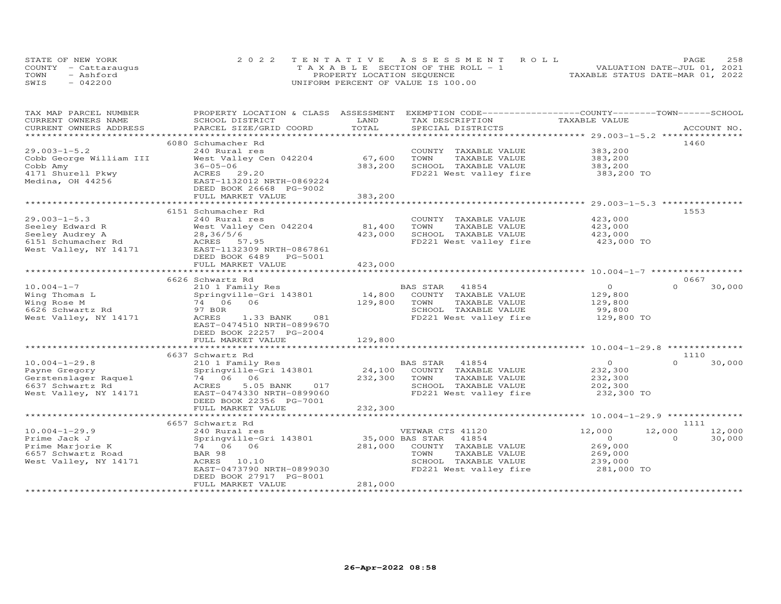|      | STATE OF NEW YORK    | 2022 TENTATIVE ASSESSMENT ROLL        | 258<br>PAGE                      |  |
|------|----------------------|---------------------------------------|----------------------------------|--|
|      | COUNTY - Cattarauqus | T A X A B L E SECTION OF THE ROLL - 1 | VALUATION DATE-JUL 01, 2021      |  |
| TOWN | - Ashford            | PROPERTY LOCATION SEQUENCE            | TAXABLE STATUS DATE-MAR 01, 2022 |  |
| SWIS | $-042200$            | UNIFORM PERCENT OF VALUE IS 100.00    |                                  |  |

| TAX MAP PARCEL NUMBER<br>CURRENT OWNERS NAME | PROPERTY LOCATION & CLASS ASSESSMENT<br>SCHOOL DISTRICT | LAND    | EXEMPTION CODE-----------------COUNTY-------TOWN------SCHOOL<br>TAX DESCRIPTION | TAXABLE VALUE  |                    |
|----------------------------------------------|---------------------------------------------------------|---------|---------------------------------------------------------------------------------|----------------|--------------------|
| CURRENT OWNERS ADDRESS                       | PARCEL SIZE/GRID COORD                                  | TOTAL   | SPECIAL DISTRICTS                                                               |                | ACCOUNT NO.        |
|                                              |                                                         |         |                                                                                 |                |                    |
|                                              | 6080 Schumacher Rd                                      |         |                                                                                 |                | 1460               |
| $29.003 - 1 - 5.2$                           | 240 Rural res                                           |         | COUNTY TAXABLE VALUE                                                            | 383,200        |                    |
| Cobb George William III                      | West Valley Cen 042204                                  | 67,600  | TOWN<br>TAXABLE VALUE                                                           | 383,200        |                    |
| Cobb Amy                                     | $36 - 05 - 06$                                          | 383,200 | SCHOOL TAXABLE VALUE                                                            | 383,200        |                    |
| 4171 Shurell Pkwy                            | ACRES 29.20                                             |         | FD221 West valley fire                                                          | 383,200 TO     |                    |
| Medina, OH 44256                             | EAST-1132012 NRTH-0869224                               |         |                                                                                 |                |                    |
|                                              | DEED BOOK 26668 PG-9002                                 |         |                                                                                 |                |                    |
|                                              | FULL MARKET VALUE                                       | 383,200 |                                                                                 |                |                    |
|                                              |                                                         |         |                                                                                 |                |                    |
|                                              | 6151 Schumacher Rd                                      |         |                                                                                 |                | 1553               |
| $29.003 - 1 - 5.3$                           | 240 Rural res                                           |         | COUNTY TAXABLE VALUE                                                            | 423,000        |                    |
| Seeley Edward R                              | West Valley Cen 042204                                  | 81,400  | TOWN<br>TAXABLE VALUE                                                           | 423,000        |                    |
| Seeley Audrey A                              | 28,36/5/6                                               | 423,000 | SCHOOL TAXABLE VALUE                                                            | 423,000        |                    |
| 6151 Schumacher Rd                           | ACRES 57.95                                             |         | FD221 West valley fire                                                          | 423,000 TO     |                    |
| West Valley, NY 14171                        | EAST-1132309 NRTH-0867861                               |         |                                                                                 |                |                    |
|                                              | DEED BOOK 6489 PG-5001                                  |         |                                                                                 |                |                    |
|                                              | FULL MARKET VALUE                                       | 423,000 |                                                                                 |                |                    |
|                                              |                                                         |         |                                                                                 |                |                    |
|                                              | 6626 Schwartz Rd                                        |         |                                                                                 |                | 0667               |
| $10.004 - 1 - 7$                             | 210 1 Family Res                                        |         | BAS STAR 41854                                                                  | $\overline{O}$ | $\Omega$<br>30,000 |
| Wing Thomas L                                | Springville-Gri 143801 14,800                           |         | COUNTY TAXABLE VALUE                                                            | 129,800        |                    |
| Wing Rose M                                  | 74 06 06                                                | 129,800 | TOWN<br>TAXABLE VALUE                                                           | 129,800        |                    |
| 6626 Schwartz Rd                             | 97 BOR                                                  |         | SCHOOL TAXABLE VALUE                                                            | 99,800         |                    |
| West Valley, NY 14171                        | ACRES<br>1.33 BANK 081                                  |         | FD221 West valley fire                                                          | 129,800 TO     |                    |
|                                              | EAST-0474510 NRTH-0899670                               |         |                                                                                 |                |                    |
|                                              | DEED BOOK 22257 PG-2004                                 | 129,800 |                                                                                 |                |                    |
|                                              | FULL MARKET VALUE                                       |         |                                                                                 |                |                    |
|                                              | 6637 Schwartz Rd                                        |         |                                                                                 |                | 1110               |
| $10.004 - 1 - 29.8$                          | 210 1 Family Res                                        |         | BAS STAR 41854                                                                  | $\overline{O}$ | 30,000<br>$\Omega$ |
| Payne Gregory                                | Springville-Gri 143801                                  |         | 24,100 COUNTY TAXABLE VALUE                                                     | 232,300        |                    |
| Gerstenslager Raquel                         | $74\ 06\ 06$                                            | 232,300 | TOWN<br>TAXABLE VALUE                                                           | 232,300        |                    |
| 6637 Schwartz Rd                             | ACRES<br>5.05 BANK<br>017                               |         | SCHOOL TAXABLE VALUE                                                            | 202,300        |                    |
| West Valley, NY 14171                        | EAST-0474330 NRTH-0899060                               |         | FD221 West valley fire                                                          | 232,300 TO     |                    |
|                                              | DEED BOOK 22356 PG-7001                                 |         |                                                                                 |                |                    |
|                                              | FULL MARKET VALUE                                       | 232,300 |                                                                                 |                |                    |
|                                              |                                                         |         |                                                                                 |                |                    |
|                                              | 6657 Schwartz Rd                                        |         |                                                                                 |                | 1111               |
| $10.004 - 1 - 29.9$                          | 240 Rural res                                           |         | VETWAR CTS 41120                                                                | 12,000         | 12,000<br>12,000   |
| Prime Jack J                                 | Springville-Gri 143801 35,000 BAS STAR                  |         | 41854                                                                           | $\overline{O}$ | 30,000<br>$\Omega$ |
| Prime Marjorie K                             | 74 06 06                                                |         | 281,000 COUNTY TAXABLE VALUE                                                    | 269,000        |                    |
| 6657 Schwartz Road                           | BAR 98                                                  |         | TOWN<br>TAXABLE VALUE                                                           | 269,000        |                    |
| West Valley, NY 14171                        | ACRES 10.10                                             |         | SCHOOL TAXABLE VALUE                                                            | 239,000        |                    |
|                                              | EAST-0473790 NRTH-0899030                               |         | FD221 West valley fire                                                          | 281,000 TO     |                    |
|                                              | DEED BOOK 27917 PG-8001                                 |         |                                                                                 |                |                    |
|                                              | FULL MARKET VALUE                                       | 281,000 |                                                                                 |                |                    |
|                                              |                                                         |         |                                                                                 |                |                    |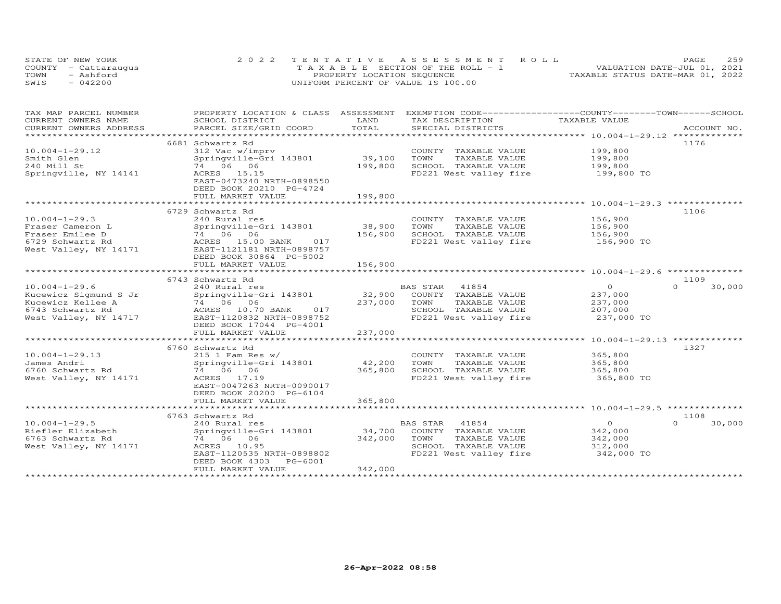|      | STATE OF NEW YORK    | 2022 TENTATIVE ASSESSMENT ROLL        | 259<br>PAGE                      |
|------|----------------------|---------------------------------------|----------------------------------|
|      | COUNTY - Cattarauqus | T A X A B L E SECTION OF THE ROLL - 1 | VALUATION DATE-JUL 01, 2021      |
| TOWN | - Ashford            | PROPERTY LOCATION SEQUENCE            | TAXABLE STATUS DATE-MAR 01, 2022 |
| SWIS | $-042200$            | UNIFORM PERCENT OF VALUE IS 100.00    |                                  |

| TAX MAP PARCEL NUMBER  | PROPERTY LOCATION & CLASS ASSESSMENT EXEMPTION CODE----------------COUNTY-------TOWN------SCHOOL                                                              |                   |                                   |                    |                    |
|------------------------|---------------------------------------------------------------------------------------------------------------------------------------------------------------|-------------------|-----------------------------------|--------------------|--------------------|
| CURRENT OWNERS NAME    | SCHOOL DISTRICT                                                                                                                                               | LAND              | TAX DESCRIPTION                   | TAXABLE VALUE      |                    |
| CURRENT OWNERS ADDRESS | PARCEL SIZE/GRID COORD                                                                                                                                        | TOTAL             | SPECIAL DISTRICTS                 |                    | ACCOUNT NO.        |
|                        | 6681 Schwartz Rd                                                                                                                                              |                   |                                   |                    | 1176               |
| $10.004 - 1 - 29.12$   | 312 Vac w/imprv                                                                                                                                               |                   | COUNTY TAXABLE VALUE              | 199,800            |                    |
| Smith Glen             | Springville-Gri 143801                                                                                                                                        | 39,100            | TOWN<br>TAXABLE VALUE             |                    |                    |
| 240 Mill St            | 74 06 06                                                                                                                                                      | 199,800           | SCHOOL TAXABLE VALUE              | 199,800<br>199,800 |                    |
|                        |                                                                                                                                                               |                   |                                   |                    |                    |
| Springville, NY 14141  | ACRES 15.15<br>EAST-0473240 NRTH-0898550                                                                                                                      |                   | FD221 West valley fire            | 199,800 TO         |                    |
|                        | DEED BOOK 20210 PG-4724                                                                                                                                       |                   |                                   |                    |                    |
|                        | FULL MARKET VALUE                                                                                                                                             | 199,800           |                                   |                    |                    |
|                        |                                                                                                                                                               | ***************** |                                   |                    |                    |
|                        | 6729 Schwartz Rd                                                                                                                                              |                   |                                   |                    | 1106               |
| $10.004 - 1 - 29.3$    | 240 Rural res                                                                                                                                                 |                   | COUNTY TAXABLE VALUE              | 156,900            |                    |
| Fraser Cameron L       | Springville-Gri 143801                                                                                                                                        | 38,900            | TOWN<br>TAXABLE VALUE             | 156,900            |                    |
| Fraser Emilee D        | $74$ 06 06                                                                                                                                                    | 156,900           | SCHOOL TAXABLE VALUE              | 156,900            |                    |
| 6729 Schwartz Rd       | ACRES 15.00 BANK 017                                                                                                                                          |                   | FD221 West valley fire 156,900 TO |                    |                    |
| West Valley, NY 14171  | EAST-1121181 NRTH-0898757                                                                                                                                     |                   |                                   |                    |                    |
|                        | DEED BOOK 30864 PG-5002                                                                                                                                       |                   |                                   |                    |                    |
|                        | FULL MARKET VALUE                                                                                                                                             | 156,900           |                                   |                    |                    |
|                        | ****************************                                                                                                                                  | **************    |                                   |                    |                    |
|                        | 10.004-1-29.6<br>Kucewicz Sigmund S Jr Springville --<br>The MacRES 10.70 BANK 017<br>TACRES 10.70 BANK 017<br>TACRES 10.70 BANK 017<br>TACRES 10.70 BANK 017 |                   |                                   |                    | 1109               |
|                        |                                                                                                                                                               |                   | <b>BAS STAR</b><br>41854          | $\overline{O}$     | $\Omega$<br>30,000 |
|                        |                                                                                                                                                               |                   | 32,900 COUNTY TAXABLE VALUE       | 237,000            |                    |
|                        |                                                                                                                                                               | 237,000           | TOWN<br>TAXABLE VALUE             | 237,000            |                    |
|                        |                                                                                                                                                               |                   | SCHOOL TAXABLE VALUE              | 207,000            |                    |
|                        |                                                                                                                                                               |                   | FD221 West valley fire            | 237,000 TO         |                    |
|                        | DEED BOOK 17044 PG-4001                                                                                                                                       |                   |                                   |                    |                    |
|                        | FULL MARKET VALUE                                                                                                                                             | 237,000           |                                   |                    |                    |
|                        |                                                                                                                                                               |                   |                                   |                    |                    |
|                        | 6760 Schwartz Rd                                                                                                                                              |                   |                                   |                    | 1327               |
| $10.004 - 1 - 29.13$   | $215$ 1 Fam Res w/                                                                                                                                            |                   | COUNTY TAXABLE VALUE              | 365,800            |                    |
| James Andri            | Springville-Gri 143801                                                                                                                                        | 42,200            | TOWN<br>TAXABLE VALUE             | 365,800            |                    |
| 6760 Schwartz Rd       | 74 06 06                                                                                                                                                      | 365,800           | SCHOOL TAXABLE VALUE              | 365,800            |                    |
| West Valley, NY 14171  | ACRES 17.19                                                                                                                                                   |                   | FD221 West valley fire            | 365,800 TO         |                    |
|                        | EAST-0047263 NRTH-0090017                                                                                                                                     |                   |                                   |                    |                    |
|                        | DEED BOOK 20200 PG-6104                                                                                                                                       |                   |                                   |                    |                    |
|                        | FULL MARKET VALUE                                                                                                                                             | 365,800           |                                   |                    |                    |
|                        |                                                                                                                                                               |                   |                                   |                    |                    |
|                        | 6763 Schwartz Rd                                                                                                                                              |                   |                                   |                    | 1108               |
| $10.004 - 1 - 29.5$    | 240 Rural res                                                                                                                                                 |                   | BAS STAR 41854                    | $\overline{O}$     | $\Omega$<br>30,000 |
| Riefler Elizabeth      | Springville-Gri 143801                                                                                                                                        | 34,700            | COUNTY TAXABLE VALUE              | 342,000            |                    |
| 6763 Schwartz Rd       | 74 06 06                                                                                                                                                      | 342,000           | TOWN<br>TAXABLE VALUE             | 342,000            |                    |
| West Valley, NY 14171  | ACRES 10.95                                                                                                                                                   |                   | SCHOOL TAXABLE VALUE              | 312,000            |                    |
|                        | EAST-1120535 NRTH-0898802                                                                                                                                     |                   | FD221 West valley fire            | 342,000 TO         |                    |
|                        | DEED BOOK 4303 PG-6001                                                                                                                                        |                   |                                   |                    |                    |
|                        | FULL MARKET VALUE                                                                                                                                             | 342,000           |                                   |                    |                    |
|                        |                                                                                                                                                               |                   |                                   |                    |                    |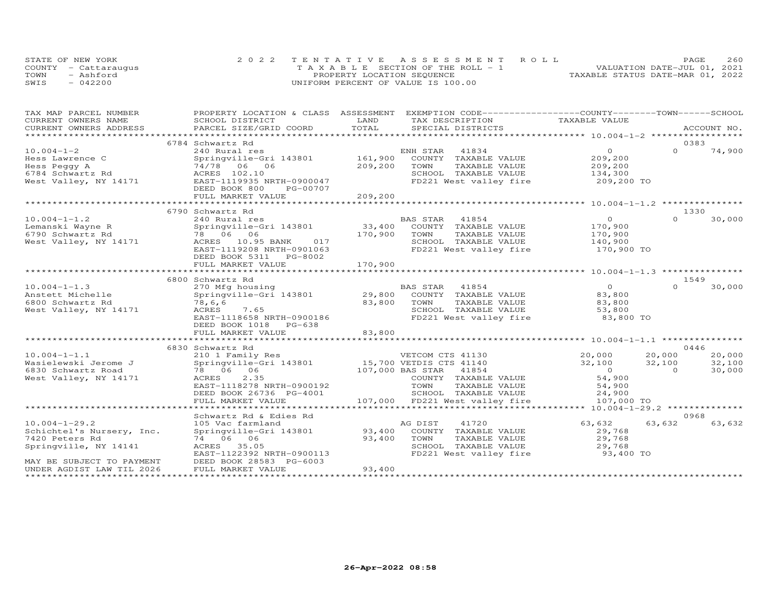|      | STATE OF NEW YORK    | 2022 TENTATIVE ASSESSMENT ROLL     |  |                                  | PAGE | 260 |
|------|----------------------|------------------------------------|--|----------------------------------|------|-----|
|      | COUNTY - Cattaraugus | TAXABLE SECTION OF THE ROLL - 1    |  | VALUATION DATE-JUL 01, 2021      |      |     |
| TOWN | - Ashford            | PROPERTY LOCATION SEQUENCE         |  | TAXABLE STATUS DATE-MAR 01, 2022 |      |     |
| SWIS | $-042200$            | UNIFORM PERCENT OF VALUE IS 100.00 |  |                                  |      |     |

| TAX MAP PARCEL NUMBER     | PROPERTY LOCATION & CLASS ASSESSMENT EXEMPTION CODE----------------COUNTY-------TOWN------SCHOOL                                                                                                                               |                         |                                               |                |          |             |
|---------------------------|--------------------------------------------------------------------------------------------------------------------------------------------------------------------------------------------------------------------------------|-------------------------|-----------------------------------------------|----------------|----------|-------------|
| CURRENT OWNERS NAME       | SCHOOL DISTRICT                                                                                                                                                                                                                | LAND                    | TAX DESCRIPTION                               | TAXABLE VALUE  |          |             |
| CURRENT OWNERS ADDRESS    | .CURRENT OWNERS ADDRESS PARCEL SIZE/GRID COORD TOTAL SPECIAL DISTRICTS ACCOUNT NO ACCOUNT NO ACCOUNT NO ARE THE RAND RESERVE TO A LOST A LOST RESERVE A LOST RESERVE A LOST RESERVE TO A LOST RESERVE THAT A LOST RESERVE THAT | TOTAL                   |                                               |                |          | ACCOUNT NO. |
|                           |                                                                                                                                                                                                                                |                         |                                               |                |          |             |
|                           | 6784 Schwartz Rd                                                                                                                                                                                                               |                         |                                               |                |          | 0383        |
| $10.004 - 1 - 2$          | 240 Rural res                                                                                                                                                                                                                  |                         | 41834<br>ENH STAR                             | $\circ$        | $\Omega$ | 74,900      |
| Hess Lawrence C           | Springville-Gri 143801                                                                                                                                                                                                         | 161,900                 | COUNTY TAXABLE VALUE                          | 209,200        |          |             |
| Hess Peggy A              | 74/78 06 06                                                                                                                                                                                                                    | 209,200                 | TOWN<br>TAXABLE VALUE                         | 209,200        |          |             |
| 6784 Schwartz Rd          | ACRES 102.10                                                                                                                                                                                                                   |                         | SCHOOL TAXABLE VALUE                          | 134,300        |          |             |
| West Valley, NY 14171     | EAST-1119935 NRTH-0900047                                                                                                                                                                                                      |                         | FD221 West valley fire                        | 209,200 TO     |          |             |
|                           | DEED BOOK 800<br>PG-00707                                                                                                                                                                                                      |                         |                                               |                |          |             |
|                           | FULL MARKET VALUE                                                                                                                                                                                                              | 209,200                 |                                               |                |          |             |
|                           |                                                                                                                                                                                                                                |                         |                                               |                |          |             |
|                           | 6790 Schwartz Rd                                                                                                                                                                                                               |                         |                                               |                |          | 1330        |
| $10.004 - 1 - 1.2$        | 240 Rural res                                                                                                                                                                                                                  |                         | BAS STAR<br>41854                             | $\overline{O}$ | $\Omega$ | 30,000      |
| Lemanski Wayne R          | Springville-Gri 143801                                                                                                                                                                                                         | $33,400$ <sup>---</sup> | COUNTY TAXABLE VALUE                          | 170,900        |          |             |
| 6790 Schwartz Rd          | 78 06 06                                                                                                                                                                                                                       | 170,900                 | TAXABLE VALUE<br>TOWN                         | 170,900        |          |             |
| West Valley, NY 14171     | ACRES 10.95 BANK 017                                                                                                                                                                                                           |                         | SCHOOL TAXABLE VALUE                          | 140,900        |          |             |
|                           | EAST-1119208 NRTH-0901063                                                                                                                                                                                                      |                         | FD221 West valley fire                        | 170,900 TO     |          |             |
|                           | DEED BOOK 5311 PG-8002                                                                                                                                                                                                         |                         |                                               |                |          |             |
|                           | FULL MARKET VALUE                                                                                                                                                                                                              | 170,900                 |                                               |                |          |             |
|                           |                                                                                                                                                                                                                                |                         |                                               |                |          |             |
|                           | 6800 Schwartz Rd                                                                                                                                                                                                               |                         |                                               |                |          | 1549        |
| $10.004 - 1 - 1.3$        | 270 Mfg housing                                                                                                                                                                                                                |                         | BAS STAR 41854<br>29,800 COUNTY TAXABLE VALUE | $\overline{O}$ | $\Omega$ | 30,000      |
| Anstett Michelle          | Springville-Gri 143801                                                                                                                                                                                                         |                         |                                               | 83,800         |          |             |
| 6800 Schwartz Rd          | 78,6,6                                                                                                                                                                                                                         | 83,800                  | TAXABLE VALUE<br>TOWN                         | 83,800         |          |             |
| West Valley, NY 14171     | ACRES<br>7.65                                                                                                                                                                                                                  |                         | SCHOOL TAXABLE VALUE                          | 53,800         |          |             |
|                           | EAST-1118658 NRTH-0900186                                                                                                                                                                                                      |                         | FD221 West valley fire                        | 83,800 TO      |          |             |
|                           | DEED BOOK 1018 PG-638                                                                                                                                                                                                          |                         |                                               |                |          |             |
|                           | FULL MARKET VALUE                                                                                                                                                                                                              | 83,800                  |                                               |                |          |             |
|                           |                                                                                                                                                                                                                                |                         |                                               |                |          |             |
|                           | 6830 Schwartz Rd                                                                                                                                                                                                               |                         |                                               |                |          | 0446        |
| $10.004 - 1 - 1.1$        | 210 1 Family Res<br>Springville-Gri 143801 15,700 VETDIS CTS 41140                                                                                                                                                             |                         | VETCOM CTS 41130                              | 20,000         | 20,000   | 20,000      |
| Wasielewski Jerome J      |                                                                                                                                                                                                                                |                         |                                               | 32,100         | 32,100   | 32,100      |
| 6830 Schwartz Road        | 78 06 06                                                                                                                                                                                                                       |                         | 107,000 BAS STAR 41854                        | $\overline{0}$ | $\Omega$ | 30,000      |
| West Valley, NY 14171     | 2.35<br>ACRES                                                                                                                                                                                                                  |                         | COUNTY TAXABLE VALUE                          | 54,900         |          |             |
|                           | EAST-1118278 NRTH-0900192                                                                                                                                                                                                      |                         | TOWN<br>TAXABLE VALUE                         | 54,900         |          |             |
|                           | DEED BOOK 26736 PG-4001                                                                                                                                                                                                        |                         | SCHOOL TAXABLE VALUE                          | 24,900         |          |             |
|                           | FULL MARKET VALUE                                                                                                                                                                                                              |                         | 107,000 FD221 West valley fire                | 107,000 TO     |          |             |
|                           |                                                                                                                                                                                                                                |                         |                                               |                |          |             |
|                           | Schwartz Rd & Edies Rd                                                                                                                                                                                                         |                         |                                               |                |          | 0968        |
| $10.004 - 1 - 29.2$       | 105 Vac farmland                                                                                                                                                                                                               |                         | 41720<br>AG DIST                              | 63,632         | 63,632   | 63,632      |
| Schichtel's Nursery, Inc. | Springville-Gri 143801                                                                                                                                                                                                         | 93,400                  | COUNTY TAXABLE VALUE                          | 29,768         |          |             |
| 7420 Peters Rd            | 74 06 06                                                                                                                                                                                                                       | 93,400                  | TOWN<br>TAXABLE VALUE                         | 29,768         |          |             |
| Springville, NY 14141     | ACRES 35.05                                                                                                                                                                                                                    |                         | SCHOOL TAXABLE VALUE                          | 29,768         |          |             |
|                           | EAST-1122392 NRTH-0900113                                                                                                                                                                                                      |                         | FD221 West valley fire                        | 93,400 TO      |          |             |
| MAY BE SUBJECT TO PAYMENT | DEED BOOK 28583 PG-6003                                                                                                                                                                                                        |                         |                                               |                |          |             |
| UNDER AGDIST LAW TIL 2026 | FULL MARKET VALUE                                                                                                                                                                                                              | 93,400                  |                                               |                |          |             |
|                           |                                                                                                                                                                                                                                |                         |                                               |                |          |             |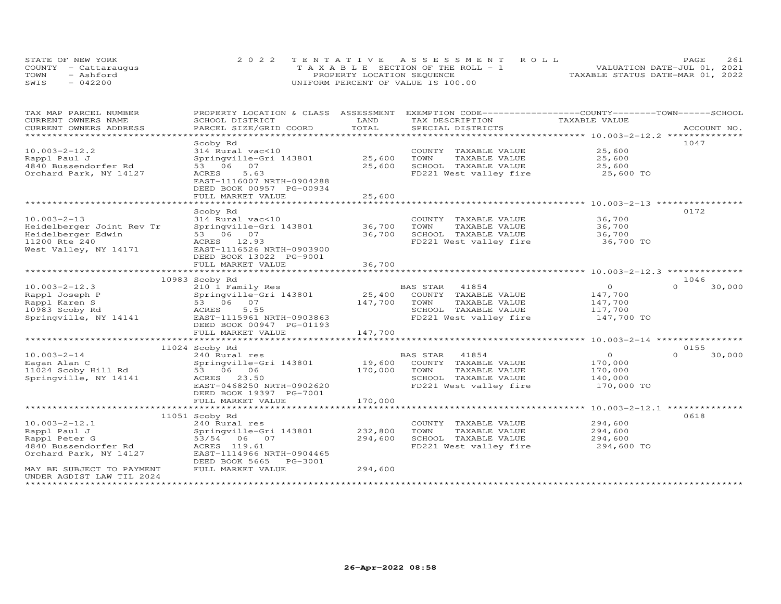| STATE OF NEW YORK    | 2022 TENTATIVE ASSESSMENT ROLL        | 261<br>PAGE.                     |
|----------------------|---------------------------------------|----------------------------------|
| COUNTY - Cattaraugus | T A X A B L E SECTION OF THE ROLL - 1 | VALUATION DATE-JUL 01, 2021      |
| TOWN<br>- Ashford    | PROPERTY LOCATION SEQUENCE            | TAXABLE STATUS DATE-MAR 01, 2022 |
| $-042200$<br>SWIS    | UNIFORM PERCENT OF VALUE IS 100.00    |                                  |

| TAX MAP PARCEL NUMBER                      | PROPERTY LOCATION & CLASS ASSESSMENT  |                     | EXEMPTION CODE-----------------COUNTY-------TOWN------SCHOOL |                                                        |                    |
|--------------------------------------------|---------------------------------------|---------------------|--------------------------------------------------------------|--------------------------------------------------------|--------------------|
| CURRENT OWNERS NAME                        | SCHOOL DISTRICT                       | LAND                | TAX DESCRIPTION                                              | TAXABLE VALUE                                          |                    |
| CURRENT OWNERS ADDRESS<br>**************** | PARCEL SIZE/GRID COORD                | TOTAL<br>********** | SPECIAL DISTRICTS                                            |                                                        | ACCOUNT NO.        |
|                                            |                                       |                     |                                                              | ************************ 10.003-2-12.2 *************** |                    |
|                                            | Scoby Rd                              |                     |                                                              |                                                        | 1047               |
| $10.003 - 2 - 12.2$                        | 314 Rural vac<10                      |                     | COUNTY TAXABLE VALUE                                         | 25,600                                                 |                    |
| Rappl Paul J                               | Springville-Gri 143801                | 25,600              | TOWN<br>TAXABLE VALUE                                        | 25,600                                                 |                    |
| 4840 Bussendorfer Rd                       | 53 06<br>07                           | 25,600              | SCHOOL TAXABLE VALUE                                         | 25,600                                                 |                    |
| Orchard Park, NY 14127                     | ACRES<br>5.63                         |                     | FD221 West valley fire                                       | 25,600 TO                                              |                    |
|                                            | EAST-1116007 NRTH-0904288             |                     |                                                              |                                                        |                    |
|                                            | DEED BOOK 00957 PG-00934              |                     |                                                              |                                                        |                    |
|                                            | FULL MARKET VALUE                     | 25,600              |                                                              |                                                        |                    |
|                                            | ******************                    |                     |                                                              | ***************************** 10.003-2-13 ***********  |                    |
|                                            | Scoby Rd                              |                     |                                                              |                                                        | 0172               |
| $10.003 - 2 - 13$                          | 314 Rural vac<10                      |                     | COUNTY TAXABLE VALUE                                         | 36,700                                                 |                    |
| Heidelberger Joint Rev Tr                  | Springville-Gri 143801                | 36,700              | TOWN<br>TAXABLE VALUE                                        | 36,700                                                 |                    |
| Heidelberger Edwin                         | 53 06 07                              | 36,700              | SCHOOL TAXABLE VALUE                                         | 36,700                                                 |                    |
| 11200 Rte 240                              | ACRES 12.93                           |                     | FD221 West valley fire                                       | 36,700 TO                                              |                    |
| West Valley, NY 14171                      | EAST-1116526 NRTH-0903900             |                     |                                                              |                                                        |                    |
|                                            | DEED BOOK 13022 PG-9001               |                     |                                                              |                                                        |                    |
|                                            | FULL MARKET VALUE                     | 36,700              |                                                              |                                                        |                    |
|                                            |                                       |                     |                                                              |                                                        |                    |
|                                            | 10983 Scoby Rd                        |                     |                                                              |                                                        | 1046               |
| $10.003 - 2 - 12.3$                        | 210 1 Family Res                      |                     | BAS STAR<br>41854                                            | $\circ$                                                | $\Omega$<br>30,000 |
| Rappl Joseph P                             | Springville-Gri 143801                | 25,400              | COUNTY TAXABLE VALUE                                         | 147,700                                                |                    |
| Rappl Karen S                              | 53 06 07                              | 147,700             | TOWN<br>TAXABLE VALUE                                        | 147,700                                                |                    |
| 10983 Scoby Rd                             | ACRES<br>5.55                         |                     | SCHOOL TAXABLE VALUE                                         | 117,700                                                |                    |
| Springville, NY 14141                      | EAST-1115961 NRTH-0903863             |                     | FD221 West valley fire                                       | 147,700 TO                                             |                    |
|                                            | DEED BOOK 00947 PG-01193              |                     |                                                              |                                                        |                    |
|                                            | FULL MARKET VALUE                     | 147,700             |                                                              |                                                        |                    |
|                                            |                                       |                     |                                                              |                                                        |                    |
|                                            | 11024 Scoby Rd                        |                     |                                                              |                                                        | 0155               |
| $10.003 - 2 - 14$                          | 240 Rural res                         |                     | BAS STAR<br>41854                                            | $\circ$                                                | $\Omega$<br>30,000 |
| Eagan Alan C                               | Springville-Gri 143801                | 19,600              | COUNTY TAXABLE VALUE                                         | 170,000                                                |                    |
| 11024 Scoby Hill Rd                        | 53 06 06                              | 170,000             | TOWN<br>TAXABLE VALUE                                        | 170,000                                                |                    |
| Springville, NY 14141                      | ACRES 23.50                           |                     | SCHOOL TAXABLE VALUE                                         | 140,000                                                |                    |
|                                            | EAST-0468250 NRTH-0902620             |                     | FD221 West valley fire                                       | 170,000 TO                                             |                    |
|                                            | DEED BOOK 19397 PG-7001               |                     |                                                              |                                                        |                    |
|                                            | FULL MARKET VALUE                     | 170,000             |                                                              |                                                        |                    |
|                                            | ************************************* |                     |                                                              |                                                        |                    |
|                                            | 11051 Scoby Rd                        |                     |                                                              |                                                        | 0618               |
| $10.003 - 2 - 12.1$                        | 240 Rural res                         |                     | COUNTY TAXABLE VALUE                                         | 294,600                                                |                    |
| Rappl Paul J                               |                                       |                     | TOWN                                                         |                                                        |                    |
|                                            | Springville-Gri 143801                | 232,800             | TAXABLE VALUE                                                | 294,600                                                |                    |
| Rappl Peter G                              | 53/54 06 07                           | 294,600             | SCHOOL TAXABLE VALUE                                         | 294,600                                                |                    |
| 4840 Bussendorfer Rd                       | ACRES 119.61                          |                     | FD221 West valley fire                                       | 294,600 TO                                             |                    |
| Orchard Park, NY 14127                     | EAST-1114966 NRTH-0904465             |                     |                                                              |                                                        |                    |
|                                            | DEED BOOK 5665<br>PG-3001             |                     |                                                              |                                                        |                    |
| MAY BE SUBJECT TO PAYMENT                  | FULL MARKET VALUE                     | 294,600             |                                                              |                                                        |                    |
| UNDER AGDIST LAW TIL 2024                  |                                       |                     |                                                              |                                                        |                    |
|                                            |                                       |                     |                                                              |                                                        |                    |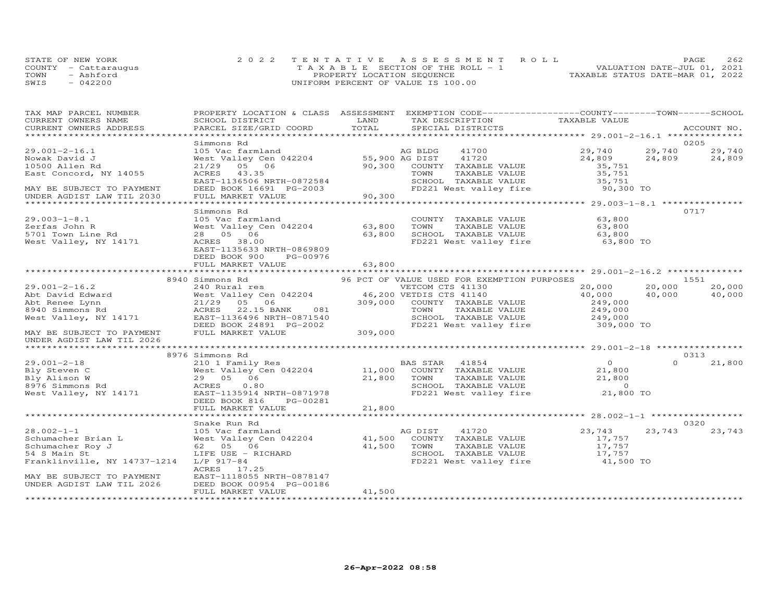| STATE OF NEW YORK    | 2022 TENTATIVE ASSESSMENT ROLL        |                                  | <b>PAGE</b> | 2.62 |
|----------------------|---------------------------------------|----------------------------------|-------------|------|
| COUNTY - Cattaraugus | T A X A B L E SECTION OF THE ROLL - 1 | VALUATION DATE-JUL 01, 2021      |             |      |
| TOWN<br>- Ashford    | PROPERTY LOCATION SEQUENCE            | TAXABLE STATUS DATE-MAR 01, 2022 |             |      |
| $-042200$<br>SWIS    | UNIFORM PERCENT OF VALUE IS 100.00    |                                  |             |      |

| TAX MAP PARCEL NUMBER                                                                                                                                                                                                                                                                                                                                                                                               |                                                                                                                                                                                                                                |                          | PROPERTY LOCATION & CLASS ASSESSMENT EXEMPTION CODE----------------COUNTY-------TOWN-----SCHOOL                                                                                                                     |                                                      |          |             |
|---------------------------------------------------------------------------------------------------------------------------------------------------------------------------------------------------------------------------------------------------------------------------------------------------------------------------------------------------------------------------------------------------------------------|--------------------------------------------------------------------------------------------------------------------------------------------------------------------------------------------------------------------------------|--------------------------|---------------------------------------------------------------------------------------------------------------------------------------------------------------------------------------------------------------------|------------------------------------------------------|----------|-------------|
| CURRENT OWNERS NAME                                                                                                                                                                                                                                                                                                                                                                                                 | SCHOOL DISTRICT                                                                                                                                                                                                                | <b>EXAMPLE TO A LAND</b> | TAX DESCRIPTION TAXABLE VALUE<br>SPECIAL DISTRICTS                                                                                                                                                                  |                                                      |          |             |
| CURRENT OWNERS ADDRESS                                                                                                                                                                                                                                                                                                                                                                                              | PARCEL SIZE/GRID COORD                                                                                                                                                                                                         | TOTAL                    | SPECIAL DISTRICTS                                                                                                                                                                                                   |                                                      |          | ACCOUNT NO. |
|                                                                                                                                                                                                                                                                                                                                                                                                                     |                                                                                                                                                                                                                                |                          |                                                                                                                                                                                                                     |                                                      |          |             |
|                                                                                                                                                                                                                                                                                                                                                                                                                     | Simmons Rd                                                                                                                                                                                                                     |                          |                                                                                                                                                                                                                     |                                                      |          | 0205        |
| 29.001-2-16.1                                                                                                                                                                                                                                                                                                                                                                                                       |                                                                                                                                                                                                                                |                          |                                                                                                                                                                                                                     | 0205<br>29,740 29,740 29,740<br>24,809 35.751 24,809 |          |             |
| Nowak David J                                                                                                                                                                                                                                                                                                                                                                                                       |                                                                                                                                                                                                                                |                          |                                                                                                                                                                                                                     |                                                      |          |             |
| 10500 Allen Rd                                                                                                                                                                                                                                                                                                                                                                                                      |                                                                                                                                                                                                                                |                          |                                                                                                                                                                                                                     |                                                      |          |             |
| East Concord, NY 14055                                                                                                                                                                                                                                                                                                                                                                                              |                                                                                                                                                                                                                                |                          |                                                                                                                                                                                                                     |                                                      |          |             |
|                                                                                                                                                                                                                                                                                                                                                                                                                     |                                                                                                                                                                                                                                |                          |                                                                                                                                                                                                                     |                                                      |          |             |
| MAY BE SUBJECT TO PAYMENT                                                                                                                                                                                                                                                                                                                                                                                           | 105 Vac farmland and an and an and an and the set of the control of the Material of the SAS of the Material of the SAS of the SAS of the SAS of the SAS of the SAS of the SAS of the SAS of the SAS of the SAS of the SAS of t |                          |                                                                                                                                                                                                                     |                                                      |          |             |
| UNDER AGDIST LAW TIL 2030                                                                                                                                                                                                                                                                                                                                                                                           |                                                                                                                                                                                                                                |                          |                                                                                                                                                                                                                     |                                                      |          |             |
|                                                                                                                                                                                                                                                                                                                                                                                                                     |                                                                                                                                                                                                                                |                          |                                                                                                                                                                                                                     |                                                      |          |             |
|                                                                                                                                                                                                                                                                                                                                                                                                                     | Simmons Rd                                                                                                                                                                                                                     |                          |                                                                                                                                                                                                                     |                                                      |          | 0717        |
|                                                                                                                                                                                                                                                                                                                                                                                                                     | 105 Vac farmland                                                                                                                                                                                                               |                          |                                                                                                                                                                                                                     | 63,800                                               |          |             |
| $29.003 - 1 - 8.1$                                                                                                                                                                                                                                                                                                                                                                                                  | West Valley Cen 042204 63,800                                                                                                                                                                                                  |                          | COUNTY TAXABLE VALUE                                                                                                                                                                                                |                                                      |          |             |
| Zerfas John R<br>5701 Town Line Rd                                                                                                                                                                                                                                                                                                                                                                                  |                                                                                                                                                                                                                                |                          | 63,800 TOWN TAXABLE_VALUE = 63,800<br>63,800 SCHOOL TAXABLE_VALUE = 63,800<br>FD221_West_valley_fire = 63,800_TO                                                                                                    |                                                      |          |             |
|                                                                                                                                                                                                                                                                                                                                                                                                                     | 28  05  06                                                                                                                                                                                                                     |                          |                                                                                                                                                                                                                     |                                                      |          |             |
| West Valley, NY 14171                                                                                                                                                                                                                                                                                                                                                                                               | ACRES 38.00                                                                                                                                                                                                                    |                          |                                                                                                                                                                                                                     |                                                      |          |             |
|                                                                                                                                                                                                                                                                                                                                                                                                                     | EAST-1135633 NRTH-0869809                                                                                                                                                                                                      |                          |                                                                                                                                                                                                                     |                                                      |          |             |
|                                                                                                                                                                                                                                                                                                                                                                                                                     | DEED BOOK 900<br>PG-00976                                                                                                                                                                                                      |                          |                                                                                                                                                                                                                     |                                                      |          |             |
|                                                                                                                                                                                                                                                                                                                                                                                                                     | FULL MARKET VALUE                                                                                                                                                                                                              | 63,800                   |                                                                                                                                                                                                                     |                                                      |          |             |
|                                                                                                                                                                                                                                                                                                                                                                                                                     |                                                                                                                                                                                                                                |                          |                                                                                                                                                                                                                     |                                                      |          |             |
| $\begin{tabular}{lllllllllllll} \multicolumn{3}{c }{\textbf{0.001--16.2}} & \multicolumn{3}{c }{\textbf{0.0025}} & \multicolumn{3}{c }{\textbf{0.003}} & \multicolumn{3}{c }{\textbf{0.004}} & \multicolumn{3}{c }{\textbf{0.005}} & \multicolumn{3}{c }{\textbf{0.006}} & \multicolumn{3}{c }{\textbf{0.007}} & \multicolumn{3}{c }{\textbf{0.008}} & \multicolumn{3}{c }{\textbf{0.008}} & \multicolumn{3}{c }{\$ |                                                                                                                                                                                                                                |                          |                                                                                                                                                                                                                     |                                                      |          |             |
|                                                                                                                                                                                                                                                                                                                                                                                                                     |                                                                                                                                                                                                                                |                          |                                                                                                                                                                                                                     |                                                      |          |             |
|                                                                                                                                                                                                                                                                                                                                                                                                                     |                                                                                                                                                                                                                                |                          |                                                                                                                                                                                                                     |                                                      |          |             |
|                                                                                                                                                                                                                                                                                                                                                                                                                     |                                                                                                                                                                                                                                |                          |                                                                                                                                                                                                                     |                                                      |          |             |
|                                                                                                                                                                                                                                                                                                                                                                                                                     |                                                                                                                                                                                                                                |                          |                                                                                                                                                                                                                     |                                                      |          |             |
|                                                                                                                                                                                                                                                                                                                                                                                                                     |                                                                                                                                                                                                                                |                          |                                                                                                                                                                                                                     |                                                      |          |             |
|                                                                                                                                                                                                                                                                                                                                                                                                                     |                                                                                                                                                                                                                                |                          |                                                                                                                                                                                                                     |                                                      |          |             |
|                                                                                                                                                                                                                                                                                                                                                                                                                     |                                                                                                                                                                                                                                |                          |                                                                                                                                                                                                                     |                                                      |          |             |
| UNDER AGDIST LAW TIL 2026                                                                                                                                                                                                                                                                                                                                                                                           |                                                                                                                                                                                                                                |                          |                                                                                                                                                                                                                     |                                                      |          |             |
|                                                                                                                                                                                                                                                                                                                                                                                                                     |                                                                                                                                                                                                                                |                          |                                                                                                                                                                                                                     |                                                      |          |             |
|                                                                                                                                                                                                                                                                                                                                                                                                                     | 8976 Simmons Rd                                                                                                                                                                                                                |                          |                                                                                                                                                                                                                     |                                                      |          | 0313        |
|                                                                                                                                                                                                                                                                                                                                                                                                                     |                                                                                                                                                                                                                                |                          |                                                                                                                                                                                                                     |                                                      | $\Omega$ | 21,800      |
|                                                                                                                                                                                                                                                                                                                                                                                                                     |                                                                                                                                                                                                                                |                          |                                                                                                                                                                                                                     |                                                      |          |             |
|                                                                                                                                                                                                                                                                                                                                                                                                                     |                                                                                                                                                                                                                                |                          |                                                                                                                                                                                                                     |                                                      |          |             |
|                                                                                                                                                                                                                                                                                                                                                                                                                     |                                                                                                                                                                                                                                |                          |                                                                                                                                                                                                                     |                                                      |          |             |
| $\begin{array}{ccccccccc} 29.001-2-18 & & & 03/6& \text{5} & \text{5} & \text{5} & \text{5} & \text{6} & \text{6} & \text{6} & \text{6} & \text{6} & \text{6} & \text{6} & \text{6} & \text{6} & \text{6} & \text{6} & \text{6} & \text{6} & \text{6} & \text{6} & \text{6} & \text{6} & \text{6} & \text{6} & \text{6} & \text{6} & \text{6} & \text{6} & \text{6} & \text{6} & \text{6} & \text{6} & \text{6$     |                                                                                                                                                                                                                                |                          | FD221 West valley fire 31,800 TO                                                                                                                                                                                    |                                                      |          |             |
|                                                                                                                                                                                                                                                                                                                                                                                                                     |                                                                                                                                                                                                                                |                          |                                                                                                                                                                                                                     |                                                      |          |             |
|                                                                                                                                                                                                                                                                                                                                                                                                                     | DEED BOOK 816<br>PG-00281                                                                                                                                                                                                      | 21,800                   |                                                                                                                                                                                                                     |                                                      |          |             |
|                                                                                                                                                                                                                                                                                                                                                                                                                     | FULL MARKET VALUE                                                                                                                                                                                                              |                          |                                                                                                                                                                                                                     |                                                      |          |             |
|                                                                                                                                                                                                                                                                                                                                                                                                                     |                                                                                                                                                                                                                                |                          |                                                                                                                                                                                                                     |                                                      |          |             |
|                                                                                                                                                                                                                                                                                                                                                                                                                     | Snake Run Rd                                                                                                                                                                                                                   |                          |                                                                                                                                                                                                                     |                                                      |          | 0320        |
|                                                                                                                                                                                                                                                                                                                                                                                                                     |                                                                                                                                                                                                                                |                          |                                                                                                                                                                                                                     | 23,743                                               | 23,743   | 23,743      |
| Schumacher Brian L<br>Schumacher Brian L<br>West Valley (<br>Schumacher Roy J<br>54 S Main St<br>105 Vac farm!<br>West Valley (<br>62 05 06<br>LJFF Her Press (1994)                                                                                                                                                                                                                                                |                                                                                                                                                                                                                                |                          |                                                                                                                                                                                                                     | 17,757                                               |          |             |
|                                                                                                                                                                                                                                                                                                                                                                                                                     |                                                                                                                                                                                                                                |                          |                                                                                                                                                                                                                     |                                                      |          |             |
|                                                                                                                                                                                                                                                                                                                                                                                                                     |                                                                                                                                                                                                                                |                          |                                                                                                                                                                                                                     |                                                      |          |             |
| Franklinville, NY 14737-1214                                                                                                                                                                                                                                                                                                                                                                                        | 105 Vac farmland<br>West Valley Cen 042204 41,500 COUNTY TAXABLE VALUE<br>62 05 06 41,500 TOWN TAXABLE VALUE<br>LIFE USE - RICHARD 41,500 TOWN TAXABLE VALUE<br>L/P 917-84 FD221 West valley fire<br>ACRES 17.25               |                          | TOWN TAXABLE VALUE $\begin{array}{ccc} 17,757 \ 17,757 \end{array}$<br>SCHOOL TAXABLE VALUE $\begin{array}{ccc} 17,757 \ 17,757 \end{array}$<br>FD221 West valley fire $\begin{array}{ccc} 41,500 \ 10 \end{array}$ |                                                      |          |             |
|                                                                                                                                                                                                                                                                                                                                                                                                                     | ACRES 17.25                                                                                                                                                                                                                    |                          |                                                                                                                                                                                                                     |                                                      |          |             |
| MAY BE SUBJECT TO PAYMENT                                                                                                                                                                                                                                                                                                                                                                                           | EAST-1118055 NRTH-0878147                                                                                                                                                                                                      |                          |                                                                                                                                                                                                                     |                                                      |          |             |
| UNDER AGDIST LAW TIL 2026                                                                                                                                                                                                                                                                                                                                                                                           | DEED BOOK 00954 PG-00186                                                                                                                                                                                                       |                          |                                                                                                                                                                                                                     |                                                      |          |             |
|                                                                                                                                                                                                                                                                                                                                                                                                                     | FULL MARKET VALUE                                                                                                                                                                                                              | 41,500                   |                                                                                                                                                                                                                     |                                                      |          |             |
|                                                                                                                                                                                                                                                                                                                                                                                                                     |                                                                                                                                                                                                                                |                          |                                                                                                                                                                                                                     |                                                      |          |             |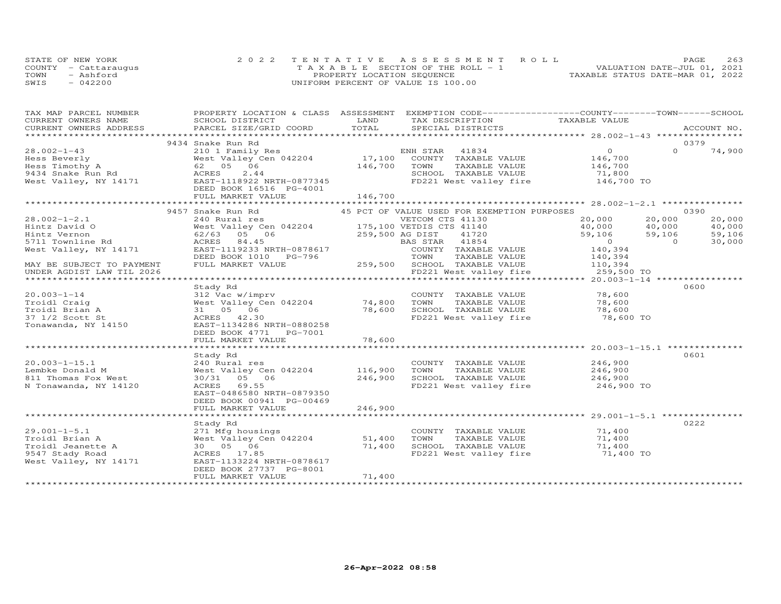|      | STATE OF NEW YORK    | 2022 TENTATIVE ASSESSMENT ROLL        | PAGE                             | 263 |
|------|----------------------|---------------------------------------|----------------------------------|-----|
|      | COUNTY - Cattarauqus | T A X A B L E SECTION OF THE ROLL - 1 | VALUATION DATE-JUL 01, 2021      |     |
| TOWN | - Ashford            | PROPERTY LOCATION SEQUENCE            | TAXABLE STATUS DATE-MAR 01, 2022 |     |
| SWIS | $-042200$            | UNIFORM PERCENT OF VALUE IS 100.00    |                                  |     |

| TAX MAP PARCEL NUMBER                                                                                                                                                                                                                                                                                                                                                                                                                                                                                                  | PROPERTY LOCATION & CLASS ASSESSMENT EXEMPTION CODE----------------COUNTY-------TOWN-----SCHOOL |         |                                                          |                                                                 |                                                                                 |          |        |
|------------------------------------------------------------------------------------------------------------------------------------------------------------------------------------------------------------------------------------------------------------------------------------------------------------------------------------------------------------------------------------------------------------------------------------------------------------------------------------------------------------------------|-------------------------------------------------------------------------------------------------|---------|----------------------------------------------------------|-----------------------------------------------------------------|---------------------------------------------------------------------------------|----------|--------|
| CURRENT OWNERS NAME                                                                                                                                                                                                                                                                                                                                                                                                                                                                                                    | SCHOOL DISTRICT                                                                                 | LAND    |                                                          | TAX DESCRIPTION TAXABLE VALUE                                   |                                                                                 |          |        |
| $\begin{minipage}{.45\textwidth} \begin{minipage}{.45\textwidth} \begin{minipage}{.45\textwidth} \begin{minipage}{.45\textwidth} \begin{minipage}{.45\textwidth} \begin{minipage}{.45\textwidth} \begin{minipage}{.45\textwidth} \begin{minipage}{.45\textwidth} \begin{minipage}{.45\textwidth} \begin{minipage}{.45\textwidth} \begin{minipage}{.45\textwidth} \begin{minipage}{.45\textwidth} \begin{minipage}{.45\textwidth} \begin{minipage}{.45\textwidth} \begin{minipage}{.45\textwidth} \begin{minipage}{.45$ |                                                                                                 |         |                                                          |                                                                 |                                                                                 |          |        |
|                                                                                                                                                                                                                                                                                                                                                                                                                                                                                                                        |                                                                                                 |         |                                                          |                                                                 |                                                                                 |          |        |
|                                                                                                                                                                                                                                                                                                                                                                                                                                                                                                                        | 9434 Snake Run Rd                                                                               |         |                                                          |                                                                 | $\overline{O}$                                                                  | $\Omega$ | 0379   |
| 28.002-1-43                                                                                                                                                                                                                                                                                                                                                                                                                                                                                                            |                                                                                                 |         |                                                          |                                                                 | 146,700                                                                         |          | 74,900 |
|                                                                                                                                                                                                                                                                                                                                                                                                                                                                                                                        |                                                                                                 |         |                                                          |                                                                 |                                                                                 |          |        |
|                                                                                                                                                                                                                                                                                                                                                                                                                                                                                                                        |                                                                                                 | 146,700 | TOWN                                                     | TAXABLE VALUE                                                   | 146,700<br>71,800                                                               |          |        |
|                                                                                                                                                                                                                                                                                                                                                                                                                                                                                                                        |                                                                                                 |         |                                                          | SCHOOL TAXABLE VALUE                                            |                                                                                 |          |        |
| Hess Beverly<br>Hess Timothy A<br>9434 Snake Run Rd<br>West Valley, NY 14171<br>EAST-1118922 NRTH-0877345<br>RES 2.44<br>Mest Valley, NY 14171<br>EAST-1118922 NRTH-0877345                                                                                                                                                                                                                                                                                                                                            |                                                                                                 |         |                                                          | FD221 West valley fire 146,700 TO                               |                                                                                 |          |        |
|                                                                                                                                                                                                                                                                                                                                                                                                                                                                                                                        | DEED BOOK 16516 PG-4001                                                                         |         |                                                          |                                                                 |                                                                                 |          |        |
|                                                                                                                                                                                                                                                                                                                                                                                                                                                                                                                        | FULL MARKET VALUE                                                                               | 146,700 |                                                          |                                                                 |                                                                                 |          |        |
|                                                                                                                                                                                                                                                                                                                                                                                                                                                                                                                        |                                                                                                 |         |                                                          |                                                                 |                                                                                 |          |        |
|                                                                                                                                                                                                                                                                                                                                                                                                                                                                                                                        | 9457 Snake Run Rd                                                                               |         |                                                          | 45 PCT OF VALUE USED FOR EXEMPTION PURPOSES                     |                                                                                 |          | 0390   |
| $28.002 - 1 - 2.1$                                                                                                                                                                                                                                                                                                                                                                                                                                                                                                     | 240 Rural res                                                                                   |         | VETCOM CTS 41130                                         |                                                                 | 20,000                                                                          | 20,000   | 20,000 |
| Hintz David O                                                                                                                                                                                                                                                                                                                                                                                                                                                                                                          | 240 Nutatrics<br>West Valley Cen 042204<br>62/63 05 06 259,500 AG DIST 41720 59,106             |         |                                                          |                                                                 |                                                                                 |          | 40,000 |
| Hintz Vernon                                                                                                                                                                                                                                                                                                                                                                                                                                                                                                           |                                                                                                 |         |                                                          |                                                                 | $\begin{array}{cc} 40,000 & 40,000 \ 59,106 & 59,106 \ 0 & 140,394 \end{array}$ |          | 59,106 |
| 5711 Townline Rd                                                                                                                                                                                                                                                                                                                                                                                                                                                                                                       |                                                                                                 |         | BAS STAR 41854                                           |                                                                 |                                                                                 |          | 30,000 |
| West Valley, NY 14171                                                                                                                                                                                                                                                                                                                                                                                                                                                                                                  |                                                                                                 |         |                                                          | COUNTY TAXABLE VALUE                                            |                                                                                 |          |        |
|                                                                                                                                                                                                                                                                                                                                                                                                                                                                                                                        | DEED BOOK 1010 PG-796                                                                           |         | 5-796 TOWN TAXABLE VALUE<br>259,500 SCHOOL TAXABLE VALUE | TAXABLE VALUE                                                   | 140,394<br>110,394                                                              |          |        |
| MAY BE SUBJECT TO PAYMENT                                                                                                                                                                                                                                                                                                                                                                                                                                                                                              | FULL MARKET VALUE                                                                               |         |                                                          |                                                                 |                                                                                 |          |        |
|                                                                                                                                                                                                                                                                                                                                                                                                                                                                                                                        |                                                                                                 |         |                                                          | FD221 West valley fire 259,500 TO                               |                                                                                 |          |        |
|                                                                                                                                                                                                                                                                                                                                                                                                                                                                                                                        |                                                                                                 |         |                                                          |                                                                 |                                                                                 |          |        |
|                                                                                                                                                                                                                                                                                                                                                                                                                                                                                                                        | Stady Rd                                                                                        |         |                                                          |                                                                 |                                                                                 |          | 0600   |
| $20.003 - 1 - 14$                                                                                                                                                                                                                                                                                                                                                                                                                                                                                                      | 312 Vac w/imprv                                                                                 |         |                                                          | COUNTY TAXABLE VALUE                                            | 78,600                                                                          |          |        |
| Troidl Craig                                                                                                                                                                                                                                                                                                                                                                                                                                                                                                           |                                                                                                 |         | TOWN                                                     | TAXABLE VALUE                                                   | 78,600                                                                          |          |        |
| Troidl Brian A                                                                                                                                                                                                                                                                                                                                                                                                                                                                                                         | West Valley Cen 042204 74,800<br>31 05 06 78,600                                                |         |                                                          | SCHOOL TAXABLE VALUE                                            | 78,600                                                                          |          |        |
| 37 1/2 Scott St                                                                                                                                                                                                                                                                                                                                                                                                                                                                                                        | ACRES 42.30                                                                                     |         |                                                          | FD221 West valley fire 78,600 TO                                |                                                                                 |          |        |
| Tonawanda, NY 14150                                                                                                                                                                                                                                                                                                                                                                                                                                                                                                    | EAST-1134286 NRTH-0880258                                                                       |         |                                                          |                                                                 |                                                                                 |          |        |
|                                                                                                                                                                                                                                                                                                                                                                                                                                                                                                                        | DEED BOOK 4771    PG-7001                                                                       |         |                                                          |                                                                 |                                                                                 |          |        |
|                                                                                                                                                                                                                                                                                                                                                                                                                                                                                                                        | FULL MARKET VALUE                                                                               | 78,600  |                                                          |                                                                 |                                                                                 |          |        |
|                                                                                                                                                                                                                                                                                                                                                                                                                                                                                                                        |                                                                                                 |         |                                                          |                                                                 |                                                                                 |          |        |
|                                                                                                                                                                                                                                                                                                                                                                                                                                                                                                                        | Stady Rd                                                                                        |         |                                                          |                                                                 |                                                                                 |          | 0601   |
| $20.003 - 1 - 15.1$                                                                                                                                                                                                                                                                                                                                                                                                                                                                                                    | 240 Rural res                                                                                   |         |                                                          | COUNTY TAXABLE VALUE 246,900                                    |                                                                                 |          |        |
| Lembke Donald M                                                                                                                                                                                                                                                                                                                                                                                                                                                                                                        | West Valley Cen 042204 116,900                                                                  |         | TOWN                                                     | TAXABLE VALUE                                                   | 246,900                                                                         |          |        |
| 811 Thomas Fox West                                                                                                                                                                                                                                                                                                                                                                                                                                                                                                    | 30/31 05 06                                                                                     | 246,900 |                                                          | SCHOOL TAXABLE VALUE 246,900                                    |                                                                                 |          |        |
| N Tonawanda, NY 14120                                                                                                                                                                                                                                                                                                                                                                                                                                                                                                  | ACRES 69.55                                                                                     |         |                                                          | FD221 West valley fire                                          | 246,900 TO                                                                      |          |        |
|                                                                                                                                                                                                                                                                                                                                                                                                                                                                                                                        | EAST-0486580 NRTH-0879350                                                                       |         |                                                          |                                                                 |                                                                                 |          |        |
|                                                                                                                                                                                                                                                                                                                                                                                                                                                                                                                        | DEED BOOK 00941 PG-00469                                                                        |         |                                                          |                                                                 |                                                                                 |          |        |
|                                                                                                                                                                                                                                                                                                                                                                                                                                                                                                                        | FULL MARKET VALUE                                                                               | 246,900 |                                                          |                                                                 |                                                                                 |          |        |
|                                                                                                                                                                                                                                                                                                                                                                                                                                                                                                                        |                                                                                                 |         |                                                          |                                                                 |                                                                                 |          |        |
|                                                                                                                                                                                                                                                                                                                                                                                                                                                                                                                        | Stady Rd                                                                                        |         |                                                          |                                                                 |                                                                                 |          | 0222   |
| $29.001 - 1 - 5.1$                                                                                                                                                                                                                                                                                                                                                                                                                                                                                                     | 271 Mfg housings                                                                                |         |                                                          | COUNTY TAXABLE VALUE 71,400                                     |                                                                                 |          |        |
| Troidl Brian A                                                                                                                                                                                                                                                                                                                                                                                                                                                                                                         | West Valley Cen 042204 51,400                                                                   |         | TOWN                                                     | TAXABLE VALUE 71,400                                            |                                                                                 |          |        |
| Troidl Jeanette A                                                                                                                                                                                                                                                                                                                                                                                                                                                                                                      | 30  05  06                                                                                      | 71,400  |                                                          |                                                                 |                                                                                 |          |        |
| 9547 Stady Road                                                                                                                                                                                                                                                                                                                                                                                                                                                                                                        | ACRES 17.85                                                                                     |         |                                                          | SCHOOL TAXABLE VALUE 71,400<br>FD221 West valley fire 71,400 TO |                                                                                 |          |        |
| West Valley, NY 14171                                                                                                                                                                                                                                                                                                                                                                                                                                                                                                  | EAST-1133224 NRTH-0878617                                                                       |         |                                                          |                                                                 |                                                                                 |          |        |
|                                                                                                                                                                                                                                                                                                                                                                                                                                                                                                                        | DEED BOOK 27737 PG-8001                                                                         |         |                                                          |                                                                 |                                                                                 |          |        |
|                                                                                                                                                                                                                                                                                                                                                                                                                                                                                                                        | FULL MARKET VALUE                                                                               | 71,400  |                                                          |                                                                 |                                                                                 |          |        |
|                                                                                                                                                                                                                                                                                                                                                                                                                                                                                                                        |                                                                                                 |         |                                                          |                                                                 |                                                                                 |          |        |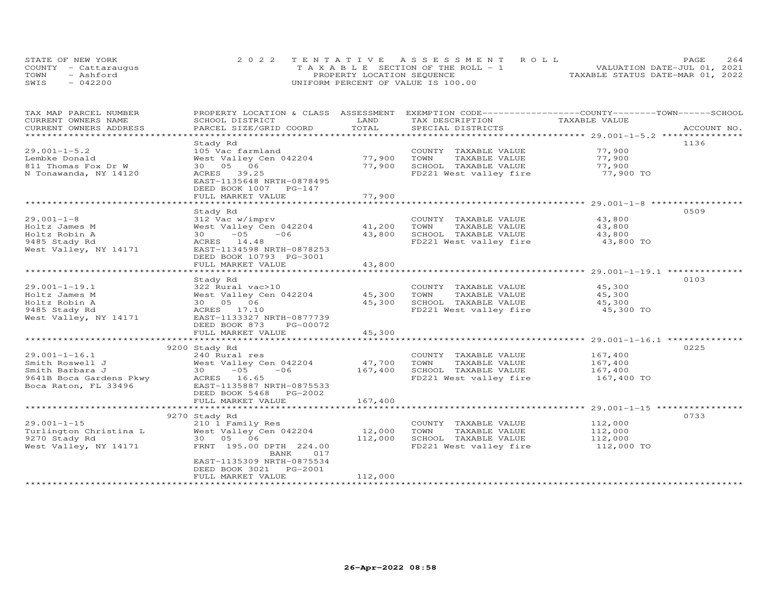| STATE OF NEW YORK    | 2022 TENTATIVE ASSESSMENT ROLL        | 2.64<br><b>PAGE</b>              |
|----------------------|---------------------------------------|----------------------------------|
| COUNTY - Cattaraugus | T A X A B L E SECTION OF THE ROLL - 1 | VALUATION DATE-JUL 01, 2021      |
| TOWN<br>- Ashford    | PROPERTY LOCATION SEQUENCE            | TAXABLE STATUS DATE-MAR 01, 2022 |
| $-042200$<br>SWIS    | UNIFORM PERCENT OF VALUE IS 100.00    |                                  |

| CURRENT OWNERS NAME<br>SCHOOL DISTRICT<br>LAND<br>TAX DESCRIPTION<br>TAXABLE VALUE<br>TOTAL<br>CURRENT OWNERS ADDRESS<br>PARCEL SIZE/GRID COORD<br>SPECIAL DISTRICTS<br>ACCOUNT NO.<br>1136<br>Stady Rd<br>77,900<br>$29.001 - 1 - 5.2$<br>105 Vac farmland<br>COUNTY TAXABLE VALUE<br>77,900<br>77,900<br>Lembke Donald<br>West Valley Cen 042204<br>TOWN<br>TAXABLE VALUE<br>30  05  06<br>77,900<br>SCHOOL TAXABLE VALUE<br>77,900<br>811 Thomas Fox Dr W<br>77,900 TO<br>N Tonawanda, NY 14120<br>ACRES 39.25<br>FD221 West valley fire<br>EAST-1135648 NRTH-0878495<br>DEED BOOK 1007 PG-147<br>77,900<br>FULL MARKET VALUE<br>0509<br>Stady Rd |
|------------------------------------------------------------------------------------------------------------------------------------------------------------------------------------------------------------------------------------------------------------------------------------------------------------------------------------------------------------------------------------------------------------------------------------------------------------------------------------------------------------------------------------------------------------------------------------------------------------------------------------------------------|
|                                                                                                                                                                                                                                                                                                                                                                                                                                                                                                                                                                                                                                                      |
|                                                                                                                                                                                                                                                                                                                                                                                                                                                                                                                                                                                                                                                      |
|                                                                                                                                                                                                                                                                                                                                                                                                                                                                                                                                                                                                                                                      |
|                                                                                                                                                                                                                                                                                                                                                                                                                                                                                                                                                                                                                                                      |
|                                                                                                                                                                                                                                                                                                                                                                                                                                                                                                                                                                                                                                                      |
|                                                                                                                                                                                                                                                                                                                                                                                                                                                                                                                                                                                                                                                      |
|                                                                                                                                                                                                                                                                                                                                                                                                                                                                                                                                                                                                                                                      |
|                                                                                                                                                                                                                                                                                                                                                                                                                                                                                                                                                                                                                                                      |
|                                                                                                                                                                                                                                                                                                                                                                                                                                                                                                                                                                                                                                                      |
|                                                                                                                                                                                                                                                                                                                                                                                                                                                                                                                                                                                                                                                      |
|                                                                                                                                                                                                                                                                                                                                                                                                                                                                                                                                                                                                                                                      |
|                                                                                                                                                                                                                                                                                                                                                                                                                                                                                                                                                                                                                                                      |
| $29.001 - 1 - 8$<br>312 Vac w/imprv<br>COUNTY TAXABLE VALUE<br>43,800                                                                                                                                                                                                                                                                                                                                                                                                                                                                                                                                                                                |
| 41,200<br>TOWN<br>Holtz James M<br>West Valley Cen 042204<br>TAXABLE VALUE<br>43,800                                                                                                                                                                                                                                                                                                                                                                                                                                                                                                                                                                 |
| $30 - 05$<br>43,800<br>$-06$<br>SCHOOL TAXABLE VALUE<br>43,800<br>Holtz Robin A                                                                                                                                                                                                                                                                                                                                                                                                                                                                                                                                                                      |
| FD221 West valley fire 43,800 TO<br>9485 Stady Rd<br>ACRES 14.48                                                                                                                                                                                                                                                                                                                                                                                                                                                                                                                                                                                     |
| EAST-1134598 NRTH-0878253<br>West Valley, NY 14171                                                                                                                                                                                                                                                                                                                                                                                                                                                                                                                                                                                                   |
| DEED BOOK 10793 PG-3001                                                                                                                                                                                                                                                                                                                                                                                                                                                                                                                                                                                                                              |
| 43,800<br>FULL MARKET VALUE                                                                                                                                                                                                                                                                                                                                                                                                                                                                                                                                                                                                                          |
|                                                                                                                                                                                                                                                                                                                                                                                                                                                                                                                                                                                                                                                      |
| 0103<br>Stady Rd                                                                                                                                                                                                                                                                                                                                                                                                                                                                                                                                                                                                                                     |
| 322 Rural vac>10<br>45,300<br>$29.001 - 1 - 19.1$<br>COUNTY TAXABLE VALUE                                                                                                                                                                                                                                                                                                                                                                                                                                                                                                                                                                            |
| Holtz James M<br>West Valley Cen 042204 45,300<br>TOWN<br>TAXABLE VALUE<br>45,300                                                                                                                                                                                                                                                                                                                                                                                                                                                                                                                                                                    |
| Holtz Robin A<br>30  05  06<br>45,300<br>SCHOOL TAXABLE VALUE<br>45,300                                                                                                                                                                                                                                                                                                                                                                                                                                                                                                                                                                              |
| 9485 Stady Rd<br>ACRES 17.10<br>FD221 West valley fire<br>45,300 TO                                                                                                                                                                                                                                                                                                                                                                                                                                                                                                                                                                                  |
| West Valley, NY 14171<br>EAST-1133327 NRTH-0877739                                                                                                                                                                                                                                                                                                                                                                                                                                                                                                                                                                                                   |
| DEED BOOK 873<br>PG-00072                                                                                                                                                                                                                                                                                                                                                                                                                                                                                                                                                                                                                            |
| 45,300<br>FULL MARKET VALUE                                                                                                                                                                                                                                                                                                                                                                                                                                                                                                                                                                                                                          |
| **************<br>***********************************                                                                                                                                                                                                                                                                                                                                                                                                                                                                                                                                                                                                |
| 0225<br>9200 Stady Rd                                                                                                                                                                                                                                                                                                                                                                                                                                                                                                                                                                                                                                |
| $29.001 - 1 - 16.1$<br>240 Rural res<br>167,400<br>COUNTY TAXABLE VALUE                                                                                                                                                                                                                                                                                                                                                                                                                                                                                                                                                                              |
| West Valley Cen 042204<br>47,700<br>TAXABLE VALUE<br>Smith Roswell J<br>TOWN<br>167,400                                                                                                                                                                                                                                                                                                                                                                                                                                                                                                                                                              |
| 167,400<br>Smith Barbara J<br>$30 - 05$<br>$-06$<br>167,400<br>SCHOOL TAXABLE VALUE                                                                                                                                                                                                                                                                                                                                                                                                                                                                                                                                                                  |
| FD221 West valley fire<br>9641B Boca Gardens Pkwy<br>ACRES 16.65<br>167,400 TO                                                                                                                                                                                                                                                                                                                                                                                                                                                                                                                                                                       |
| Boca Raton, FL 33496<br>EAST-1135887 NRTH-0875533                                                                                                                                                                                                                                                                                                                                                                                                                                                                                                                                                                                                    |
| DEED BOOK 5468 PG-2002                                                                                                                                                                                                                                                                                                                                                                                                                                                                                                                                                                                                                               |
| 167,400<br>FULL MARKET VALUE                                                                                                                                                                                                                                                                                                                                                                                                                                                                                                                                                                                                                         |
|                                                                                                                                                                                                                                                                                                                                                                                                                                                                                                                                                                                                                                                      |
| 0733<br>9270 Stady Rd                                                                                                                                                                                                                                                                                                                                                                                                                                                                                                                                                                                                                                |
| $29.001 - 1 - 15$<br>210 1 Family Res<br>COUNTY TAXABLE VALUE<br>112,000                                                                                                                                                                                                                                                                                                                                                                                                                                                                                                                                                                             |
| 12,000<br>West Valley Cen 042204<br>TOWN<br>TAXABLE VALUE<br>112,000<br>Turlington Christina L                                                                                                                                                                                                                                                                                                                                                                                                                                                                                                                                                       |
| 30  05  06<br>112,000<br>SCHOOL TAXABLE VALUE<br>9270 Stady Rd<br>112,000                                                                                                                                                                                                                                                                                                                                                                                                                                                                                                                                                                            |
| FD221 West valley fire<br>West Valley, NY 14171<br>FRNT 195.00 DPTH 224.00<br>112,000 TO                                                                                                                                                                                                                                                                                                                                                                                                                                                                                                                                                             |
| 017<br>BANK                                                                                                                                                                                                                                                                                                                                                                                                                                                                                                                                                                                                                                          |
| EAST-1135309 NRTH-0875534                                                                                                                                                                                                                                                                                                                                                                                                                                                                                                                                                                                                                            |
| DEED BOOK 3021<br>PG-2001                                                                                                                                                                                                                                                                                                                                                                                                                                                                                                                                                                                                                            |
| 112,000<br>FULL MARKET VALUE                                                                                                                                                                                                                                                                                                                                                                                                                                                                                                                                                                                                                         |
|                                                                                                                                                                                                                                                                                                                                                                                                                                                                                                                                                                                                                                                      |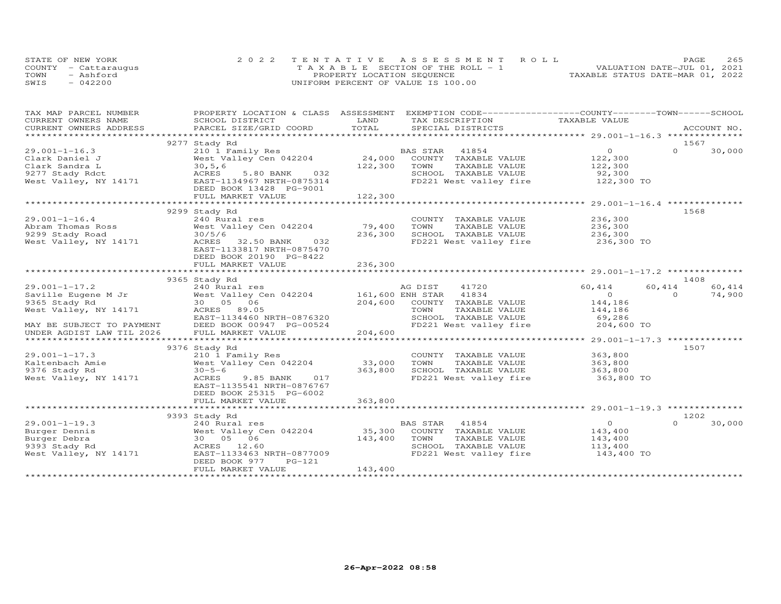| STATE OF NEW YORK    | 2022 TENTATIVE ASSESSMENT ROLL        |  |  |                                  | <b>PAGE</b> | 265 |
|----------------------|---------------------------------------|--|--|----------------------------------|-------------|-----|
| COUNTY - Cattarauqus | T A X A B L E SECTION OF THE ROLL - 1 |  |  | VALUATION DATE-JUL 01, 2021      |             |     |
| TOWN<br>- Ashford    | PROPERTY LOCATION SEQUENCE            |  |  | TAXABLE STATUS DATE-MAR 01, 2022 |             |     |
| SWIS<br>$-042200$    | UNIFORM PERCENT OF VALUE IS 100.00    |  |  |                                  |             |     |

| TAX MAP PARCEL NUMBER  | PROPERTY LOCATION & CLASS ASSESSMENT EXEMPTION CODE----------------COUNTY-------TOWN-----SCHOOL                                                                                                                                                                                                                                                                                                                              |         |                                                |                |                    |
|------------------------|------------------------------------------------------------------------------------------------------------------------------------------------------------------------------------------------------------------------------------------------------------------------------------------------------------------------------------------------------------------------------------------------------------------------------|---------|------------------------------------------------|----------------|--------------------|
| CURRENT OWNERS NAME    | SCHOOL DISTRICT                                                                                                                                                                                                                                                                                                                                                                                                              | LAND    | TAX DESCRIPTION                                | TAXABLE VALUE  |                    |
| CURRENT OWNERS ADDRESS | PARCEL SIZE/GRID COORD                                                                                                                                                                                                                                                                                                                                                                                                       | TOTAL   | SPECIAL DISTRICTS                              |                | ACCOUNT NO.        |
|                        |                                                                                                                                                                                                                                                                                                                                                                                                                              |         |                                                |                |                    |
|                        | 9277 Stady Rd                                                                                                                                                                                                                                                                                                                                                                                                                |         |                                                |                | 1567               |
| $29.001 - 1 - 16.3$    | 210 1 Family Res                                                                                                                                                                                                                                                                                                                                                                                                             |         | BAS STAR<br>41854                              | $\overline{O}$ | $\Omega$<br>30,000 |
| Clark Daniel J         | West Valley Cen 042204                                                                                                                                                                                                                                                                                                                                                                                                       |         | 24,000 COUNTY TAXABLE VALUE                    | 122,300        |                    |
| Clark Sandra L         | 30, 5, 6                                                                                                                                                                                                                                                                                                                                                                                                                     | 122,300 | TAXABLE VALUE<br>TOWN                          | 122,300        |                    |
| 9277 Stady Rdct        | ACRES<br>5.80 BANK 032                                                                                                                                                                                                                                                                                                                                                                                                       |         |                                                | 92,300         |                    |
| West Valley, NY 14171  | EAST-1134967 NRTH-0875314                                                                                                                                                                                                                                                                                                                                                                                                    |         | SCHOOL TAXABLE VALUE<br>FD221 West valley fire | 122,300 TO     |                    |
|                        | DEED BOOK 13428 PG-9001                                                                                                                                                                                                                                                                                                                                                                                                      |         |                                                |                |                    |
|                        | FULL MARKET VALUE                                                                                                                                                                                                                                                                                                                                                                                                            | 122,300 |                                                |                |                    |
|                        |                                                                                                                                                                                                                                                                                                                                                                                                                              |         |                                                |                |                    |
|                        | 9299 Stady Rd                                                                                                                                                                                                                                                                                                                                                                                                                |         |                                                |                | 1568               |
| $29.001 - 1 - 16.4$    | 240 Rural res                                                                                                                                                                                                                                                                                                                                                                                                                |         | COUNTY TAXABLE VALUE                           | 236,300        |                    |
| Abram Thomas Ross      | West Valley Cen 042204                                                                                                                                                                                                                                                                                                                                                                                                       | 79,400  | TOWN<br>TAXABLE VALUE                          | 236,300        |                    |
| 9299 Stady Road        | 30/5/6                                                                                                                                                                                                                                                                                                                                                                                                                       | 236,300 | SCHOOL TAXABLE VALUE                           | 236,300        |                    |
| West Valley, NY 14171  | ACRES 32.50 BANK 032                                                                                                                                                                                                                                                                                                                                                                                                         |         | FD221 West valley fire                         | 236,300 TO     |                    |
|                        | EAST-1133817 NRTH-0875470                                                                                                                                                                                                                                                                                                                                                                                                    |         |                                                |                |                    |
|                        | DEED BOOK 20190 PG-8422                                                                                                                                                                                                                                                                                                                                                                                                      |         |                                                |                |                    |
|                        | FULL MARKET VALUE                                                                                                                                                                                                                                                                                                                                                                                                            | 236,300 |                                                |                |                    |
|                        |                                                                                                                                                                                                                                                                                                                                                                                                                              |         |                                                |                |                    |
|                        | 9365 Stady Rd                                                                                                                                                                                                                                                                                                                                                                                                                |         |                                                |                | 1408               |
|                        | $\begin{tabular}{lllllllllllll} \texttt{z9.001--1-17.2} & & & & & & & & & \text{AG DIST} & 41720 \\ \texttt{Saville Eugene M Jr} & & & & & & \text{West Valley Cen 042204} & & & & \text{161,600 ENH STR} & 41834 \\ \texttt{9365 Stady Rd} & & & & 30 & 0 & 6 & & & \text{204,600 COUNTY TAXABLE} \\ \texttt{West Valley, NY 14171} & & & & & \text{ACRES} & 89.05 & & & \text{TOWN} & TAXABLE \\ & & & & & & & \text{TCRT$ |         |                                                | 60,414         | 60,414<br>60,414   |
|                        |                                                                                                                                                                                                                                                                                                                                                                                                                              |         |                                                | $\overline{0}$ | $\Omega$<br>74,900 |
|                        |                                                                                                                                                                                                                                                                                                                                                                                                                              |         | 204,600 COUNTY TAXABLE VALUE                   | 144,186        |                    |
|                        |                                                                                                                                                                                                                                                                                                                                                                                                                              |         | TAXABLE VALUE                                  | 144,186        |                    |
|                        | EAST-1134460 NRTH-0876320                                                                                                                                                                                                                                                                                                                                                                                                    |         | SCHOOL TAXABLE VALUE                           | 69,286         |                    |
|                        |                                                                                                                                                                                                                                                                                                                                                                                                                              |         |                                                | 204,600 TO     |                    |
|                        | EAST-1134460 NRTH-0876320<br>MAY BE SUBJECT TO PAYMENT DEED BOOK 00947 PG-00524<br>UNDER AGDIST LAW TIL 2026 FULL MARKET VALUE                                                                                                                                                                                                                                                                                               | 204,600 | FD221 West valley fire                         |                |                    |
|                        |                                                                                                                                                                                                                                                                                                                                                                                                                              |         |                                                |                |                    |
|                        |                                                                                                                                                                                                                                                                                                                                                                                                                              |         |                                                |                |                    |
|                        | 9376 Stady Rd                                                                                                                                                                                                                                                                                                                                                                                                                |         |                                                |                | 1507               |
| $29.001 - 1 - 17.3$    | 210 1 Family Res                                                                                                                                                                                                                                                                                                                                                                                                             |         | COUNTY TAXABLE VALUE                           | 363,800        |                    |
| Kaltenbach Amie        | West Valley Cen 042204                                                                                                                                                                                                                                                                                                                                                                                                       | 33,000  | TOWN<br>TAXABLE VALUE                          | 363,800        |                    |
| 9376 Stady Rd          | $30 - 5 - 6$                                                                                                                                                                                                                                                                                                                                                                                                                 | 363,800 | SCHOOL TAXABLE VALUE                           | 363,800        |                    |
| West Valley, NY 14171  | ACRES<br>9.85 BANK 017                                                                                                                                                                                                                                                                                                                                                                                                       |         | FD221 West valley fire                         | 363,800 TO     |                    |
|                        | EAST-1135541 NRTH-0876767                                                                                                                                                                                                                                                                                                                                                                                                    |         |                                                |                |                    |
|                        | DEED BOOK 25315 PG-6002                                                                                                                                                                                                                                                                                                                                                                                                      |         |                                                |                |                    |
|                        | FULL MARKET VALUE                                                                                                                                                                                                                                                                                                                                                                                                            | 363,800 |                                                |                |                    |
|                        |                                                                                                                                                                                                                                                                                                                                                                                                                              |         |                                                |                |                    |
|                        | 9393 Stady Rd                                                                                                                                                                                                                                                                                                                                                                                                                |         |                                                |                | 1202               |
| $29.001 - 1 - 19.3$    | 240 Rural res                                                                                                                                                                                                                                                                                                                                                                                                                |         | BAS STAR 41854                                 | $\overline{O}$ | $\Omega$<br>30,000 |
| Burger Dennis          | West Valley Cen 042204                                                                                                                                                                                                                                                                                                                                                                                                       | 35,300  | COUNTY TAXABLE VALUE                           | 143,400        |                    |
| Burger Debra           | 30  05  06                                                                                                                                                                                                                                                                                                                                                                                                                   | 143,400 | TOWN<br>TAXABLE VALUE                          | 143,400        |                    |
| 9393 Stady Rd          | ACRES 12.60                                                                                                                                                                                                                                                                                                                                                                                                                  |         | SCHOOL TAXABLE VALUE                           | 113,400        |                    |
| West Valley, NY 14171  | EAST-1133463 NRTH-0877009                                                                                                                                                                                                                                                                                                                                                                                                    |         | FD221 West valley fire                         | 143,400 TO     |                    |
|                        | DEED BOOK 977<br>PG-121                                                                                                                                                                                                                                                                                                                                                                                                      |         |                                                |                |                    |
|                        | FULL MARKET VALUE                                                                                                                                                                                                                                                                                                                                                                                                            | 143,400 |                                                |                |                    |
|                        |                                                                                                                                                                                                                                                                                                                                                                                                                              |         |                                                |                |                    |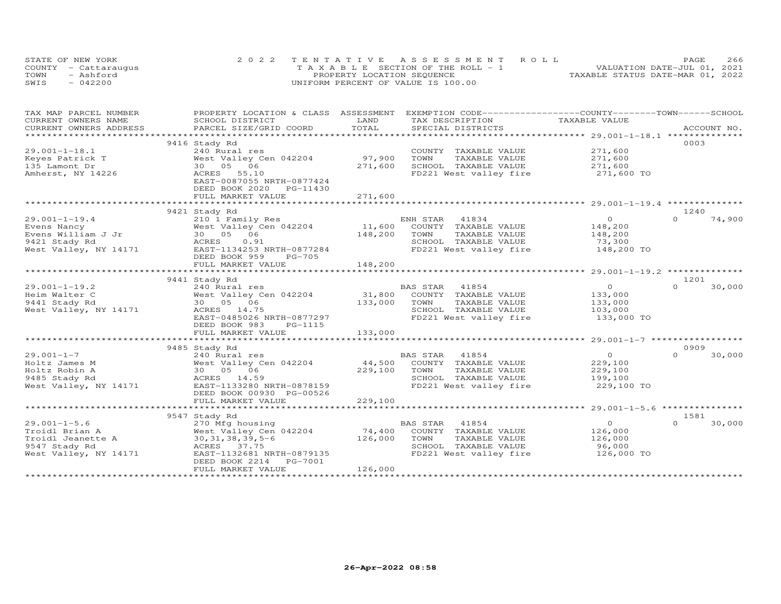|      | STATE OF NEW YORK    | 2022 TENTATIVE ASSESSMENT ROLL        | 266<br>PAGE.                     |
|------|----------------------|---------------------------------------|----------------------------------|
|      | COUNTY - Cattaraugus | T A X A B L E SECTION OF THE ROLL - 1 | VALUATION DATE-JUL 01, 2021      |
| TOWN | - Ashford            | PROPERTY LOCATION SEQUENCE            | TAXABLE STATUS DATE-MAR 01, 2022 |
| SWIS | $-042200$            | UNIFORM PERCENT OF VALUE IS 100.00    |                                  |

| TAX MAP PARCEL NUMBER  |                                                 |             | PROPERTY LOCATION & CLASS ASSESSMENT EXEMPTION CODE----------------COUNTY-------TOWN------SCHOOL |                    |                    |
|------------------------|-------------------------------------------------|-------------|--------------------------------------------------------------------------------------------------|--------------------|--------------------|
| CURRENT OWNERS NAME    | SCHOOL DISTRICT                                 | LAND        | TAX DESCRIPTION                                                                                  | TAXABLE VALUE      |                    |
| CURRENT OWNERS ADDRESS | PARCEL SIZE/GRID COORD                          | TOTAL       | SPECIAL DISTRICTS                                                                                |                    | ACCOUNT NO.        |
|                        |                                                 |             |                                                                                                  |                    |                    |
|                        | 9416 Stady Rd                                   |             |                                                                                                  |                    | 0003               |
| $29.001 - 1 - 18.1$    | 240 Rural res                                   |             | COUNTY TAXABLE VALUE                                                                             | 271,600            |                    |
| Keyes Patrick T        | West Valley Cen 042204                          | 97,900      | TOWN<br>TAXABLE VALUE                                                                            |                    |                    |
| 135 Lamont Dr          | 30 05 06                                        | 271,600     | SCHOOL TAXABLE VALUE                                                                             | 271,600<br>271,600 |                    |
| Amherst, NY 14226      | ACRES<br>55.10                                  |             | FD221 West valley fire 271,600 TO                                                                |                    |                    |
|                        | EAST-0087055 NRTH-0877424                       |             |                                                                                                  |                    |                    |
|                        | DEED BOOK 2020 PG-11430                         |             |                                                                                                  |                    |                    |
|                        | FULL MARKET VALUE                               | 271,600     |                                                                                                  |                    |                    |
|                        | ************************                        | *********** |                                                                                                  |                    |                    |
|                        | 9421 Stady Rd                                   |             |                                                                                                  |                    | 1240               |
| $29.001 - 1 - 19.4$    | 210 1 Family Res                                |             | ENH STAR<br>41834                                                                                | $\overline{O}$     | $\Omega$<br>74,900 |
| Evens Nancy            | West Valley Cen 042204                          | 11,600      | COUNTY TAXABLE VALUE                                                                             | 148,200            |                    |
| Evens William J Jr     | 30  05  06                                      | 148,200     | TOWN<br>TAXABLE VALUE                                                                            | 148,200            |                    |
| 9421 Stady Rd          | ACRES<br>0.91                                   |             | SCHOOL TAXABLE VALUE                                                                             | 73,300             |                    |
|                        | West Valley, NY 14171 EAST-1134253 NRTH-0877284 |             | FD221 West valley fire                                                                           | 148,200 TO         |                    |
|                        | DEED BOOK 959<br>PG-705                         |             |                                                                                                  |                    |                    |
|                        | FULL MARKET VALUE                               | 148,200     |                                                                                                  |                    |                    |
|                        |                                                 |             |                                                                                                  |                    |                    |
|                        | 9441 Stady Rd                                   |             |                                                                                                  |                    | 1201               |
| $29.001 - 1 - 19.2$    | 240 Rural res                                   |             | BAS STAR<br>41854                                                                                | $\overline{O}$     | $\Omega$<br>30,000 |
| Heim Walter C          | West Valley Cen 042204                          |             | 31,800 COUNTY TAXABLE VALUE                                                                      | 133,000            |                    |
| 9441 Stady Rd          | 30  05  06                                      | 133,000     | TOWN<br>TAXABLE VALUE                                                                            | 133,000            |                    |
| West Valley, NY 14171  | ACRES 14.75                                     |             | SCHOOL TAXABLE VALUE                                                                             | 103,000            |                    |
|                        | EAST-0485026 NRTH-0877297                       |             | FD221 West valley fire                                                                           | 133,000 TO         |                    |
|                        | DEED BOOK 983<br>PG-1115                        |             |                                                                                                  |                    |                    |
|                        | FULL MARKET VALUE                               | 133,000     |                                                                                                  |                    |                    |
|                        |                                                 |             |                                                                                                  |                    |                    |
|                        | 9485 Stady Rd                                   |             |                                                                                                  |                    | 0909               |
| $29.001 - 1 - 7$       | 240 Rural res                                   |             | BAS STAR<br>41854                                                                                | $\overline{O}$     | $\Omega$<br>30,000 |
| Holtz James M          | West Valley Cen 042204                          | 44,500      | COUNTY TAXABLE VALUE                                                                             | 229,100            |                    |
| Holtz Robin A          | 30  05  06                                      | 229,100     | TOWN<br>TAXABLE VALUE                                                                            | 229,100            |                    |
| 9485 Stady Rd          | ACRES 14.59                                     |             | SCHOOL TAXABLE VALUE                                                                             | 199,100            |                    |
| West Valley, NY 14171  | EAST-1133280 NRTH-0878159                       |             | FD221 West valley fire                                                                           | 229,100 TO         |                    |
|                        | DEED BOOK 00930 PG-00526                        |             |                                                                                                  |                    |                    |
|                        | FULL MARKET VALUE                               | 229,100     |                                                                                                  |                    |                    |
|                        |                                                 |             |                                                                                                  |                    |                    |
|                        | 9547 Stady Rd                                   |             |                                                                                                  |                    | 1581               |
| $29.001 - 1 - 5.6$     | 270 Mfg housing                                 |             | BAS STAR<br>41854                                                                                | $\overline{O}$     | $\Omega$<br>30,000 |
| Troidl Brian A         | West Valley Cen 042204                          | 74,400      | COUNTY TAXABLE VALUE                                                                             | 126,000            |                    |
| Troidl Jeanette A      | $30, 31, 38, 39, 5 - 6$                         | 126,000     | TOWN<br>TAXABLE VALUE                                                                            | 126,000            |                    |
| 9547 Stady Rd          | ACRES 37.75                                     |             | SCHOOL TAXABLE VALUE                                                                             | 96,000             |                    |
| West Valley, NY 14171  | EAST-1132681 NRTH-0879135                       |             | FD221 West valley fire                                                                           | 126,000 TO         |                    |
|                        | DEED BOOK 2214<br>PG-7001                       |             |                                                                                                  |                    |                    |
|                        | FULL MARKET VALUE                               | 126,000     |                                                                                                  |                    |                    |
|                        |                                                 |             |                                                                                                  |                    |                    |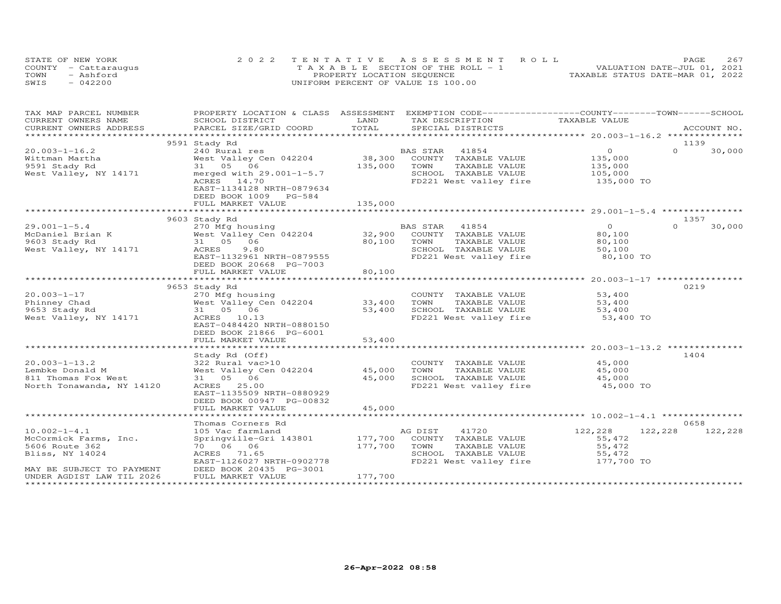| STATE OF NEW YORK    | 2022 TENTATIVE ASSESSMENT ROLL        | 267<br><b>PAGE</b>               |
|----------------------|---------------------------------------|----------------------------------|
| COUNTY - Cattaraugus | T A X A B L E SECTION OF THE ROLL - 1 | VALUATION DATE-JUL 01, 2021      |
| TOWN<br>- Ashford    | PROPERTY LOCATION SEQUENCE            | TAXABLE STATUS DATE-MAR 01, 2022 |
| SWIS<br>$-042200$    | UNIFORM PERCENT OF VALUE IS 100.00    |                                  |

| TAX MAP PARCEL NUMBER     | PROPERTY LOCATION & CLASS ASSESSMENT EXEMPTION CODE----------------COUNTY-------TOWN-----SCHOOL |         |                                   |                |                    |
|---------------------------|-------------------------------------------------------------------------------------------------|---------|-----------------------------------|----------------|--------------------|
| CURRENT OWNERS NAME       | SCHOOL DISTRICT                                                                                 | LAND    | TAX DESCRIPTION                   | TAXABLE VALUE  |                    |
| CURRENT OWNERS ADDRESS    | PARCEL SIZE/GRID COORD                                                                          | TOTAL   | SPECIAL DISTRICTS                 |                | ACCOUNT NO.        |
|                           |                                                                                                 |         |                                   |                |                    |
|                           | 9591 Stady Rd                                                                                   |         |                                   |                | 1139               |
| $20.003 - 1 - 16.2$       | 240 Rural res                                                                                   |         | BAS STAR<br>41854                 | $\overline{O}$ | $\Omega$<br>30,000 |
| Wittman Martha            | West Valley Cen 042204                                                                          | 38,300  | COUNTY TAXABLE VALUE              | 135,000        |                    |
| 9591 Stady Rd             | 31 05 06                                                                                        | 135,000 | TOWN<br>TAXABLE VALUE             | 135,000        |                    |
| West Valley, NY 14171     | merged with $29.001 - 1 - 5.7$                                                                  |         | SCHOOL TAXABLE VALUE              | 105,000        |                    |
|                           | ACRES 14.70                                                                                     |         | FD221 West valley fire 135,000 TO |                |                    |
|                           | EAST-1134128 NRTH-0879634                                                                       |         |                                   |                |                    |
|                           | DEED BOOK 1009 PG-584                                                                           |         |                                   |                |                    |
|                           | FULL MARKET VALUE                                                                               | 135,000 |                                   |                |                    |
|                           |                                                                                                 |         |                                   |                |                    |
|                           | 9603 Stady Rd                                                                                   |         |                                   |                | 1357               |
| $29.001 - 1 - 5.4$        | 270 Mfg housing                                                                                 |         | BAS STAR<br>41854                 | $\overline{O}$ | $\Omega$<br>30,000 |
| McDaniel Brian K          | West Valley Cen 042204                                                                          | 32,900  | COUNTY TAXABLE VALUE              | 80,100         |                    |
| 9603 Stady Rd             | 31 05 06                                                                                        | 80,100  | TAXABLE VALUE<br>TOWN             | 80,100         |                    |
| West Valley, NY 14171     | 9.80<br>ACRES                                                                                   |         | SCHOOL TAXABLE VALUE              | 50,100         |                    |
|                           | EAST-1132961 NRTH-0879555                                                                       |         | FD221 West valley fire            | 80,100 TO      |                    |
|                           | DEED BOOK 20668 PG-7003                                                                         |         |                                   |                |                    |
|                           | FULL MARKET VALUE                                                                               | 80,100  |                                   |                |                    |
|                           |                                                                                                 |         |                                   |                |                    |
|                           | 9653 Stady Rd                                                                                   |         |                                   |                | 0219               |
| $20.003 - 1 - 17$         | 270 Mfg housing                                                                                 |         | COUNTY TAXABLE VALUE              | 53,400         |                    |
| Phinney Chad              | West Valley Cen 042204                                                                          | 33,400  | TOWN<br>TAXABLE VALUE             | 53,400         |                    |
| 9653 Stady Rd             | 31 05 06                                                                                        | 53,400  | SCHOOL TAXABLE VALUE              | 53,400         |                    |
| West Valley, NY 14171     | ACRES 10.13                                                                                     |         | FD221 West valley fire            | 53,400 TO      |                    |
|                           | EAST-0484420 NRTH-0880150                                                                       |         |                                   |                |                    |
|                           | DEED BOOK 21866 PG-6001                                                                         |         |                                   |                |                    |
|                           | FULL MARKET VALUE                                                                               | 53,400  |                                   |                |                    |
|                           |                                                                                                 |         |                                   |                |                    |
|                           | Stady Rd (Off)                                                                                  |         |                                   |                | 1404               |
| $20.003 - 1 - 13.2$       | 322 Rural vac>10                                                                                |         | COUNTY TAXABLE VALUE 45,000       |                |                    |
| Lembke Donald M           | West Valley Cen 042204                                                                          | 45,000  | TAXABLE VALUE<br>TOWN             | 45,000         |                    |
| 811 Thomas Fox West       | 31 05 06                                                                                        | 45,000  | SCHOOL TAXABLE VALUE              | 45,000         |                    |
| North Tonawanda, NY 14120 | ACRES 25.00                                                                                     |         | FD221 West valley fire            | 45,000 TO      |                    |
|                           | EAST-1135509 NRTH-0880929                                                                       |         |                                   |                |                    |
|                           | DEED BOOK 00947 PG-00832                                                                        |         |                                   |                |                    |
|                           | FULL MARKET VALUE                                                                               | 45,000  |                                   |                |                    |
|                           |                                                                                                 |         |                                   |                |                    |
|                           | Thomas Corners Rd                                                                               |         |                                   |                | 0658               |
| $10.002 - 1 - 4.1$        | 105 Vac farmland                                                                                |         | AG DIST<br>41720                  | 122,228        | 122,228<br>122,228 |
| McCormick Farms, Inc.     | Springville-Gri 143801                                                                          | 177,700 | COUNTY TAXABLE VALUE              | 55,472         |                    |
| 5606 Route 362            | 70 06 06                                                                                        | 177,700 | TAXABLE VALUE<br>TOWN             | 55,472         |                    |
| Bliss, NY 14024           | ACRES 71.65                                                                                     |         | SCHOOL TAXABLE VALUE              | 55,472         |                    |
|                           | EAST-1126027 NRTH-0902778                                                                       |         | FD221 West valley fire 177,700 TO |                |                    |
| MAY BE SUBJECT TO PAYMENT | DEED BOOK 20435 PG-3001                                                                         |         |                                   |                |                    |
| UNDER AGDIST LAW TIL 2026 | FULL MARKET VALUE                                                                               | 177,700 |                                   |                |                    |
|                           |                                                                                                 |         |                                   |                |                    |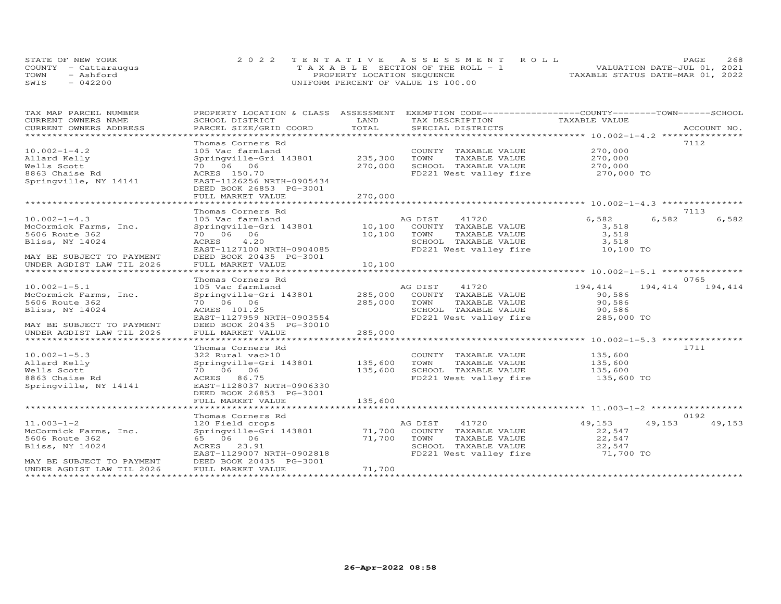| STATE OF NEW YORK    | 2022 TENTATIVE ASSESSMENT ROLL        | PAGE.                            | 268 |
|----------------------|---------------------------------------|----------------------------------|-----|
| COUNTY - Cattaraugus | T A X A B L E SECTION OF THE ROLL - 1 | VALUATION DATE-JUL 01, 2021      |     |
| TOWN<br>- Ashford    | PROPERTY LOCATION SEQUENCE            | TAXABLE STATUS DATE-MAR 01, 2022 |     |
| SWIS<br>$-042200$    | UNIFORM PERCENT OF VALUE IS 100.00    |                                  |     |

| TAX MAP PARCEL NUMBER                           | PROPERTY LOCATION & CLASS ASSESSMENT |         | EXEMPTION CODE-----------------COUNTY-------TOWN------SCHOOL |                    |             |
|-------------------------------------------------|--------------------------------------|---------|--------------------------------------------------------------|--------------------|-------------|
| CURRENT OWNERS NAME                             | SCHOOL DISTRICT                      | LAND    | TAX DESCRIPTION                                              | TAXABLE VALUE      |             |
| CURRENT OWNERS ADDRESS<br>********************* | PARCEL SIZE/GRID COORD               | TOTAL   | SPECIAL DISTRICTS                                            |                    | ACCOUNT NO. |
|                                                 |                                      |         |                                                              |                    |             |
|                                                 | Thomas Corners Rd                    |         |                                                              |                    | 7112        |
| $10.002 - 1 - 4.2$                              | 105 Vac farmland                     |         | COUNTY TAXABLE VALUE                                         | 270,000            |             |
| Allard Kelly                                    | Springville-Gri 143801               | 235,300 | TOWN<br>TAXABLE VALUE                                        | 270,000            |             |
| Wells Scott                                     | 70 06 06                             | 270,000 | SCHOOL TAXABLE VALUE                                         | 270,000            |             |
| 8863 Chaise Rd                                  | ACRES 150.70                         |         | FD221 West valley fire                                       | 270,000 TO         |             |
| Springville, NY 14141                           | EAST-1126256 NRTH-0905434            |         |                                                              |                    |             |
|                                                 | DEED BOOK 26853 PG-3001              |         |                                                              |                    |             |
|                                                 | FULL MARKET VALUE                    | 270,000 |                                                              |                    |             |
|                                                 |                                      |         |                                                              |                    |             |
|                                                 | Thomas Corners Rd                    |         |                                                              |                    | 7113        |
| $10.002 - 1 - 4.3$                              | 105 Vac farmland                     |         | 41720<br>AG DIST                                             | 6,582<br>6,582     | 6,582       |
| McCormick Farms, Inc.                           | Springville-Gri 143801               |         | 10,100 COUNTY TAXABLE VALUE                                  | 3,518              |             |
| 5606 Route 362                                  | 70 06 06                             | 10,100  | TOWN<br>TAXABLE VALUE                                        | 3,518              |             |
| Bliss, NY 14024                                 | ACRES<br>4.20                        |         | SCHOOL TAXABLE VALUE                                         | 3,518              |             |
|                                                 | EAST-1127100 NRTH-0904085            |         | FD221 West valley fire                                       | 10,100 TO          |             |
| MAY BE SUBJECT TO PAYMENT                       | DEED BOOK 20435 PG-3001              |         |                                                              |                    |             |
| UNDER AGDIST LAW TIL 2026                       | FULL MARKET VALUE                    | 10,100  |                                                              |                    |             |
|                                                 |                                      |         |                                                              |                    |             |
|                                                 | Thomas Corners Rd                    |         |                                                              |                    | 0765        |
| $10.002 - 1 - 5.1$                              | 105 Vac farmland                     |         | AG DIST<br>41720                                             | 194,414<br>194,414 | 194,414     |
| McCormick Farms, Inc.                           | Springville-Gri 143801               |         | 285,000 COUNTY TAXABLE VALUE                                 | 90,586             |             |
| 5606 Route 362                                  | 70 06 06                             | 285,000 | TOWN<br>TAXABLE VALUE                                        | 90,586             |             |
| Bliss, NY 14024                                 | ACRES 101.25                         |         | SCHOOL TAXABLE VALUE                                         | 90,586             |             |
|                                                 | EAST-1127959 NRTH-0903554            |         | FD221 West valley fire                                       | 285,000 TO         |             |
| MAY BE SUBJECT TO PAYMENT                       | DEED BOOK 20435 PG-30010             |         |                                                              |                    |             |
| UNDER AGDIST LAW TIL 2026                       | FULL MARKET VALUE                    | 285,000 |                                                              |                    |             |
|                                                 |                                      |         |                                                              |                    |             |
|                                                 | Thomas Corners Rd                    |         |                                                              |                    | 1711        |
| $10.002 - 1 - 5.3$                              | 322 Rural vac>10                     |         | COUNTY TAXABLE VALUE                                         | 135,600            |             |
| Allard Kelly                                    | Springville-Gri 143801               | 135,600 | TOWN<br>TAXABLE VALUE                                        | 135,600            |             |
| Wells Scott                                     | 70 06 06                             | 135,600 | SCHOOL TAXABLE VALUE                                         | 135,600            |             |
| 8863 Chaise Rd                                  | ACRES 86.75                          |         | FD221 West valley fire                                       | 135,600 TO         |             |
| Springville, NY 14141                           | EAST-1128037 NRTH-0906330            |         |                                                              |                    |             |
|                                                 | DEED BOOK 26853 PG-3001              |         |                                                              |                    |             |
|                                                 | FULL MARKET VALUE                    | 135,600 |                                                              |                    |             |
|                                                 |                                      |         |                                                              |                    |             |
|                                                 | Thomas Corners Rd                    |         |                                                              |                    | 0192        |
| $11.003 - 1 - 2$                                | 120 Field crops                      |         | 41720<br>AG DIST                                             | 49,153<br>49,153   | 49,153      |
| McCormick Farms, Inc.                           | Springville-Gri 143801               | 71,700  | COUNTY TAXABLE VALUE                                         | 22,547             |             |
| 5606 Route 362                                  | 65 06 06                             | 71,700  | TAXABLE VALUE<br>TOWN                                        | 22,547             |             |
| Bliss, NY 14024                                 | ACRES 23.91                          |         | SCHOOL TAXABLE VALUE                                         | 22,547             |             |
|                                                 | EAST-1129007 NRTH-0902818            |         | FD221 West valley fire                                       | 71,700 TO          |             |
| MAY BE SUBJECT TO PAYMENT                       | DEED BOOK 20435 PG-3001              |         |                                                              |                    |             |
| UNDER AGDIST LAW TIL 2026                       | FULL MARKET VALUE                    | 71,700  |                                                              |                    |             |
|                                                 |                                      |         |                                                              |                    |             |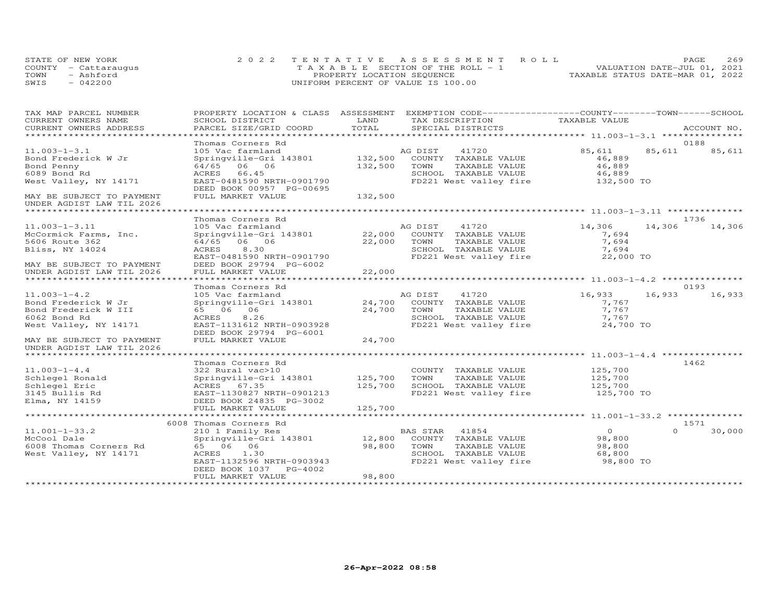|      | STATE OF NEW YORK    | 2022 TENTATIVE ASSESSMENT ROLL        | <b>PAGE</b>                      | 269 |
|------|----------------------|---------------------------------------|----------------------------------|-----|
|      | COUNTY - Cattaraugus | T A X A B L E SECTION OF THE ROLL - 1 | VALUATION DATE-JUL 01, 2021      |     |
| TOWN | $-$ Ashford          | PROPERTY LOCATION SEQUENCE            | TAXABLE STATUS DATE-MAR 01, 2022 |     |
| SWIS | $-042200$            | UNIFORM PERCENT OF VALUE IS 100.00    |                                  |     |

| TAX MAP PARCEL NUMBER                                   | PROPERTY LOCATION & CLASS ASSESSMENT EXEMPTION CODE----------------COUNTY-------TOWN------SCHOOL |         |                                   |                |          |             |
|---------------------------------------------------------|--------------------------------------------------------------------------------------------------|---------|-----------------------------------|----------------|----------|-------------|
| CURRENT OWNERS NAME                                     | SCHOOL DISTRICT                                                                                  | LAND    | TAX DESCRIPTION                   | TAXABLE VALUE  |          |             |
| CURRENT OWNERS ADDRESS<br>***************************** | PARCEL SIZE/GRID COORD                                                                           | TOTAL   | SPECIAL DISTRICTS                 |                |          | ACCOUNT NO. |
|                                                         |                                                                                                  |         |                                   |                |          | 0188        |
| $11.003 - 1 - 3.1$                                      | Thomas Corners Rd<br>105 Vac farmland                                                            |         | AG DIST<br>41720                  | 85,611         | 85,611   | 85,611      |
| Bond Frederick W Jr                                     |                                                                                                  |         | 132,500 COUNTY TAXABLE VALUE      | 46,889         |          |             |
|                                                         | Springville-Gri 143801                                                                           |         |                                   |                |          |             |
| Bond Penny                                              | 64/65 06 06                                                                                      | 132,500 | TOWN<br>TAXABLE VALUE             | 46,889         |          |             |
| 6089 Bond Rd                                            | ACRES 66.45                                                                                      |         | SCHOOL TAXABLE VALUE              | 46,889         |          |             |
| West Valley, NY 14171                                   | EAST-0481590 NRTH-0901790<br>DEED BOOK 00957 PG-00695                                            |         | FD221 West valley fire 132,500 TO |                |          |             |
| MAY BE SUBJECT TO PAYMENT                               | FULL MARKET VALUE                                                                                | 132,500 |                                   |                |          |             |
| UNDER AGDIST LAW TIL 2026                               |                                                                                                  |         |                                   |                |          |             |
| **************************                              |                                                                                                  |         |                                   |                |          |             |
|                                                         | Thomas Corners Rd                                                                                |         |                                   |                |          | 1736        |
| $11.003 - 1 - 3.11$                                     | 105 Vac farmland                                                                                 |         | AG DIST<br>41720                  | 14,306         | 14,306   | 14,306      |
| McCormick Farms, Inc.                                   | Springville-Gri 143801 22,000 COUNTY TAXABLE VALUE                                               |         |                                   | 7,694          |          |             |
| 5606 Route 362                                          | 64/65 06 06                                                                                      | 22,000  | TOWN<br>TAXABLE VALUE             | 7,694          |          |             |
| Bliss, NY 14024                                         | ACRES<br>8,30                                                                                    |         | SCHOOL TAXABLE VALUE              | 7,694          |          |             |
|                                                         | EAST-0481590 NRTH-0901790                                                                        |         | FD221 West valley fire            | 22,000 TO      |          |             |
| MAY BE SUBJECT TO PAYMENT                               | DEED BOOK 29794 PG-6002                                                                          |         |                                   |                |          |             |
| UNDER AGDIST LAW TIL 2026                               | FULL MARKET VALUE                                                                                | 22,000  |                                   |                |          |             |
|                                                         |                                                                                                  |         |                                   |                |          |             |
|                                                         | Thomas Corners Rd                                                                                |         |                                   |                |          | 0193        |
| $11.003 - 1 - 4.2$                                      | 105 Vac farmland                                                                                 |         | AG DIST 41720                     | 16,933         | 16,933   | 16,933      |
| Bond Frederick W Jr                                     | Springville-Gri 143801 24,700                                                                    |         | COUNTY TAXABLE VALUE              | 7,767          |          |             |
| Bond Frederick W III                                    | 65 06 06                                                                                         | 24,700  | TOWN<br>TAXABLE VALUE             | 7,767          |          |             |
| 6062 Bond Rd                                            | ACRES<br>8.26                                                                                    |         | SCHOOL TAXABLE VALUE              | 7,767          |          |             |
| West Valley, NY 14171                                   | EAST-1131612 NRTH-0903928                                                                        |         | FD221 West valley fire            | 24,700 TO      |          |             |
|                                                         | DEED BOOK 29794 PG-6001                                                                          |         |                                   |                |          |             |
|                                                         | FULL MARKET VALUE                                                                                | 24,700  |                                   |                |          |             |
| MAY BE SUBJECT TO PAYMENT                               |                                                                                                  |         |                                   |                |          |             |
| UNDER AGDIST LAW TIL 2026                               |                                                                                                  |         |                                   |                |          |             |
|                                                         | Thomas Corners Rd                                                                                |         |                                   |                |          | 1462        |
| $11.003 - 1 - 4.4$                                      | 322 Rural vac>10                                                                                 |         | COUNTY TAXABLE VALUE              | 125,700        |          |             |
| Schlegel Ronald                                         | Springville-Gri 143801 125,700                                                                   |         | TOWN<br>TAXABLE VALUE             | 125,700        |          |             |
|                                                         | ACRES 67.35                                                                                      | 125,700 | SCHOOL TAXABLE VALUE              | 125,700        |          |             |
| Schlegel Eric                                           |                                                                                                  |         | FD221 West valley fire 125,700 TO |                |          |             |
| 3145 Bullis Rd                                          | EAST-1130827 NRTH-0901213                                                                        |         |                                   |                |          |             |
| Elma, NY 14159                                          | DEED BOOK 24835 PG-3002                                                                          |         |                                   |                |          |             |
|                                                         | FULL MARKET VALUE                                                                                | 125,700 |                                   |                |          |             |
|                                                         | 6008 Thomas Corners Rd                                                                           |         |                                   |                |          | 1571        |
| $11.001 - 1 - 33.2$                                     | 210 1 Family Res                                                                                 |         | BAS STAR<br>41854                 | $\overline{O}$ | $\Omega$ | 30,000      |
|                                                         |                                                                                                  | 12,800  |                                   |                |          |             |
| McCool Dale                                             | Springville-Gri 143801                                                                           |         | COUNTY TAXABLE VALUE              | 98,800         |          |             |
| 6008 Thomas Corners Rd                                  | 65 06 06                                                                                         | 98,800  | TOWN<br>TAXABLE VALUE             | 98,800         |          |             |
| West Valley, NY 14171                                   | ACRES 1.30                                                                                       |         | SCHOOL TAXABLE VALUE              | 68,800         |          |             |
|                                                         | EAST-1132596 NRTH-0903943                                                                        |         | FD221 West valley fire            | 98,800 TO      |          |             |
|                                                         | DEED BOOK 1037<br>PG-4002                                                                        |         |                                   |                |          |             |
|                                                         | FULL MARKET VALUE                                                                                | 98,800  |                                   |                |          |             |
|                                                         |                                                                                                  |         |                                   |                |          |             |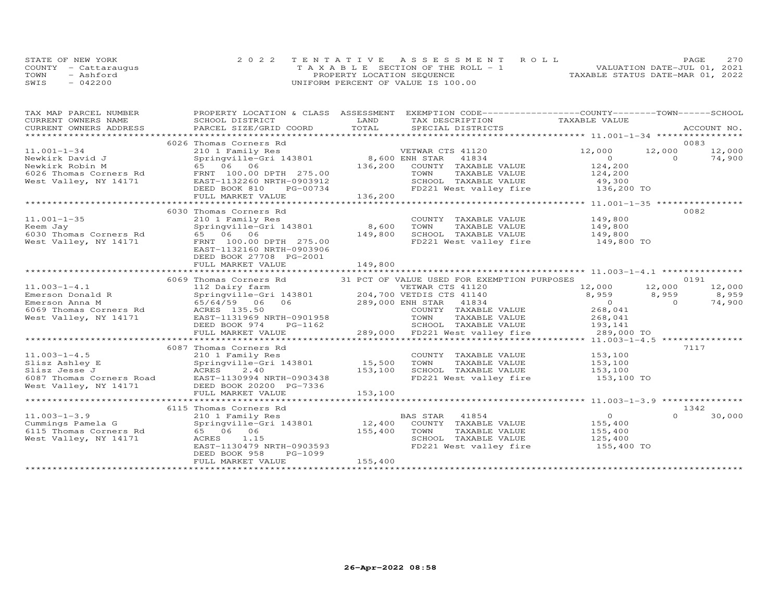| STATE OF NEW YORK    | 2022 TENTATIVE ASSESSMENT ROLL        | PAGE.                            | 2.70 |
|----------------------|---------------------------------------|----------------------------------|------|
| COUNTY - Cattaraugus | T A X A B L E SECTION OF THE ROLL - 1 | VALUATION DATE-JUL 01, 2021      |      |
| TOWN<br>- Ashford    | PROPERTY LOCATION SEQUENCE            | TAXABLE STATUS DATE-MAR 01, 2022 |      |
| SWIS<br>$-042200$    | UNIFORM PERCENT OF VALUE IS 100.00    |                                  |      |

| TAX MAP PARCEL NUMBER<br>CURRENT OWNERS NAME                                                                | SCHOOL DISTRICT                                                                                                                                                                            | PROPERTY LOCATION & CLASS ASSESSMENT EXEMPTION CODE----------------COUNTY-------TOWN------SCHOOL<br>LAND<br>TAX DESCRIPTION                                                                                 | TAXABLE VALUE                                                                                                                                 |
|-------------------------------------------------------------------------------------------------------------|--------------------------------------------------------------------------------------------------------------------------------------------------------------------------------------------|-------------------------------------------------------------------------------------------------------------------------------------------------------------------------------------------------------------|-----------------------------------------------------------------------------------------------------------------------------------------------|
| CURRENT OWNERS ADDRESS                                                                                      | PARCEL SIZE/GRID COORD                                                                                                                                                                     | TOTAL<br>SPECIAL DISTRICTS                                                                                                                                                                                  | ACCOUNT NO.                                                                                                                                   |
|                                                                                                             |                                                                                                                                                                                            |                                                                                                                                                                                                             |                                                                                                                                               |
| $11.001 - 1 - 34$<br>Newkirk David J<br>Newkirk Robin M<br>6026 Thomas Corners Rd<br>West Valley, NY 14171  | 6026 Thomas Corners Rd<br>210 1 Family Res<br>Springville-Gri 143801<br>65 06 06<br>FRNT 100.00 DPTH 275.00<br>EAST-1132260 NRTH-0903912<br>DEED BOOK 810<br>PG-00734<br>FULL MARKET VALUE | VETWAR CTS 41120<br>8,600 ENH STAR<br>41834<br>136,200<br>COUNTY TAXABLE VALUE<br>TAXABLE VALUE<br>TOWN<br>SCHOOL TAXABLE VALUE<br>FD221 West valley fire 136,200 TO<br>136,200                             | 0083<br>12,000<br>12,000<br>12,000<br>$\overline{O}$<br>$\Omega$<br>74,900<br>124,200<br>124,200<br>49,300                                    |
| $11.001 - 1 - 35$<br>Keem Jay<br>6030 Thomas Corners Rd<br>West Valley, NY 14171                            | 6030 Thomas Corners Rd<br>210 1 Family Res<br>Springville-Gri 143801<br>65 06 06<br>FRNT 100.00 DPTH 275.00<br>EAST-1132160 NRTH-0903906<br>DEED BOOK 27708 PG-2001<br>FULL MARKET VALUE   | COUNTY TAXABLE VALUE<br>8,600<br>TOWN<br>TAXABLE VALUE<br>149,800<br>SCHOOL TAXABLE VALUE<br>FD221 West valley fire<br>149,800                                                                              | 0082<br>149,800<br>149,800<br>149,800<br>149,800 TO                                                                                           |
|                                                                                                             | 6069 Thomas Corners Rd                                                                                                                                                                     | 31 PCT OF VALUE USED FOR EXEMPTION PURPOSES                                                                                                                                                                 | 0191                                                                                                                                          |
| $11.003 - 1 - 4.1$<br>Emerson Donald R<br>Emerson Anna M<br>6069 Thomas Corners Rd<br>West Valley, NY 14171 | 112 Dairy farm<br>06<br>65/64/59 06<br>ACRES 135.50<br>EAST-1131969 NRTH-0901958<br>DEED BOOK 974<br>$PG-1162$<br>FULL MARKET VALUE                                                        | VETWAR CTS 41120<br>Springville-Gri 143801 204,700 VETDIS CTS 41140<br>289,000 ENH STAR<br>41834<br>COUNTY TAXABLE VALUE<br>TOWN<br>TAXABLE VALUE<br>SCHOOL TAXABLE VALUE<br>289,000 FD221 West valley fire | 12,000<br>12,000<br>12,000<br>8,959<br>8,959<br>8,959<br>$\overline{0}$<br>$\Omega$<br>74,900<br>268,041<br>268,041<br>193, 141<br>289,000 TO |
| $11.003 - 1 - 4.5$<br>Slisz Ashley E<br>Slisz Jesse J<br>6087 Thomas Corners Road<br>West Valley, NY 14171  | 6087 Thomas Corners Rd<br>210 1 Family Res<br>Springville-Gri 143801<br>ACRES<br>2.40<br>EAST-1130994 NRTH-0903438<br>DEED BOOK 20200 PG-7336<br>FULL MARKET VALUE                         | COUNTY TAXABLE VALUE<br>15,500<br>TAXABLE VALUE<br>TOWN<br>153,100<br>SCHOOL TAXABLE VALUE<br>FD221 West valley fire<br>153,100                                                                             | 7117<br>153,100<br>153,100<br>153,100<br>153,100 TO                                                                                           |
|                                                                                                             | 6115 Thomas Corners Rd                                                                                                                                                                     |                                                                                                                                                                                                             | 1342                                                                                                                                          |
| $11.003 - 1 - 3.9$<br>Cummings Pamela G<br>6115 Thomas Corners Rd<br>West Valley, NY 14171                  | 210 1 Family Res<br>Springville-Gri 143801<br>65 06 06<br>ACRES<br>1.15<br>EAST-1130479 NRTH-0903593<br>DEED BOOK 958<br>PG-1099<br>FULL MARKET VALUE                                      | 41854<br>BAS STAR<br>12,400<br>COUNTY TAXABLE VALUE<br>155,400<br>TOWN<br>TAXABLE VALUE<br>SCHOOL TAXABLE VALUE<br>FD221 West valley fire<br>155,400                                                        | 30,000<br>$\circ$<br>$\Omega$<br>155,400<br>155,400<br>125,400<br>155,400 TO                                                                  |
|                                                                                                             |                                                                                                                                                                                            |                                                                                                                                                                                                             |                                                                                                                                               |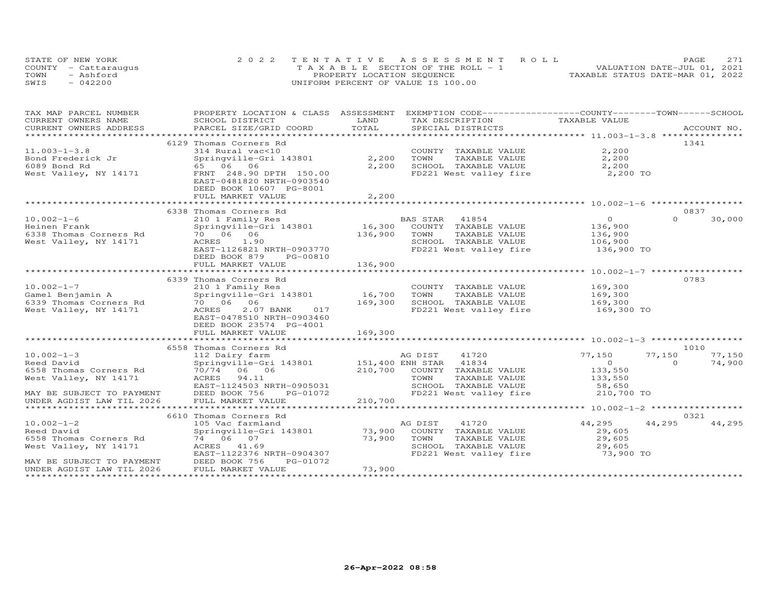|      | STATE OF NEW YORK    | 2022 TENTATIVE ASSESSMENT ROLL                 | 2.71<br>PAGE                     |
|------|----------------------|------------------------------------------------|----------------------------------|
|      | COUNTY - Cattaraugus | $T A X A B I F S E C T T ON OF THE RO I J - 1$ | VALUATION DATE-JUL 01, 2021      |
| TOWN | - Ashford            | PROPERTY LOCATION SEQUENCE                     | TAXABLE STATUS DATE-MAR 01, 2022 |
| SWIS | $-042200$            | UNIFORM PERCENT OF VALUE IS 100.00             |                                  |

| TAX MAP PARCEL NUMBER           | PROPERTY LOCATION & CLASS ASSESSMENT EXEMPTION CODE-----------------COUNTY-------TOWN------SCHOOL                                                                                                                              |         |                                                        |                    |                    |
|---------------------------------|--------------------------------------------------------------------------------------------------------------------------------------------------------------------------------------------------------------------------------|---------|--------------------------------------------------------|--------------------|--------------------|
| CURRENT OWNERS NAME             | SCHOOL DISTRICT                                                                                                                                                                                                                | LAND    | TAX DESCRIPTION                                        | TAXABLE VALUE      |                    |
|                                 | .CURRENT OWNERS ADDRESS PARCEL SIZE/GRID COORD TOTAL SPECIAL DISTRICTS ACCOUNT NO ACCOUNT NO ACCOUNT NO ARE THE SERVER AND THE SERVER'S SERVER AND THE SERVER AND HER ASSESS THAT A THE SERVER AND THE SERVER ASSESSED AND A S |         |                                                        |                    |                    |
|                                 |                                                                                                                                                                                                                                |         |                                                        |                    |                    |
|                                 | 6129 Thomas Corners Rd                                                                                                                                                                                                         |         |                                                        |                    | 1341               |
| $11.003 - 1 - 3.8$              | 314 Rural vac<10                                                                                                                                                                                                               |         | COUNTY TAXABLE VALUE                                   | 2,200              |                    |
| Bond Frederick Jr               | Springville-Gri 143801                                                                                                                                                                                                         | 2,200   | TOWN<br>TAXABLE VALUE                                  | 2,200              |                    |
| 6089 Bond Rd                    | 65 06 06                                                                                                                                                                                                                       | 2,200   | SCHOOL TAXABLE VALUE                                   | 2,200              |                    |
|                                 | West Valley, NY 14171 FRNT 248.90 DPTH 150.00                                                                                                                                                                                  |         | FD221 West valley fire                                 | 2,200 TO           |                    |
|                                 | EAST-0481820 NRTH-0903540                                                                                                                                                                                                      |         |                                                        |                    |                    |
|                                 | DEED BOOK 10607 PG-8001                                                                                                                                                                                                        |         |                                                        |                    |                    |
|                                 | FULL MARKET VALUE                                                                                                                                                                                                              | 2,200   |                                                        |                    |                    |
|                                 |                                                                                                                                                                                                                                |         |                                                        |                    |                    |
|                                 | 6338 Thomas Corners Rd                                                                                                                                                                                                         |         |                                                        |                    | 0837               |
| $10.002 - 1 - 6$                | 210 1 Family Res<br>Springville-Gri 143801 16,300 COUNTY TAXABLE VALUE                                                                                                                                                         |         |                                                        | $\overline{0}$     | 30,000<br>$\Omega$ |
| Heinen Frank                    |                                                                                                                                                                                                                                |         |                                                        | 136,900            |                    |
| 6338 Thomas Corners Rd          | 70 06 06                                                                                                                                                                                                                       | 136,900 | TOWN<br>TAXABLE VALUE                                  | 136,900            |                    |
| West Valley, NY 14171           | ACRES 1.90                                                                                                                                                                                                                     |         | SCHOOL TAXABLE VALUE                                   | 106,900            |                    |
|                                 | EAST-1126821 NRTH-0903770                                                                                                                                                                                                      |         | FD221 West valley fire 136,900 TO                      |                    |                    |
|                                 | DEED BOOK 879<br>PG-00810                                                                                                                                                                                                      |         |                                                        |                    |                    |
|                                 | FULL MARKET VALUE                                                                                                                                                                                                              | 136,900 |                                                        |                    |                    |
|                                 |                                                                                                                                                                                                                                |         |                                                        |                    |                    |
|                                 | 6339 Thomas Corners Rd                                                                                                                                                                                                         |         |                                                        |                    | 0783               |
| $10.002 - 1 - 7$                |                                                                                                                                                                                                                                |         | COUNTY TAXABLE VALUE                                   |                    |                    |
| Gamel Benjamin A                | 210 1 Family Res<br>Springville-Gri 143801 16,700 TOWN                                                                                                                                                                         |         | TAXABLE VALUE                                          | 169,300<br>169,300 |                    |
| 6339 Thomas Corners Rd 70 06 06 |                                                                                                                                                                                                                                | 169,300 |                                                        |                    |                    |
| West Valley, NY 14171           | 017<br>ACRES<br>2.07 BANK                                                                                                                                                                                                      |         | SCHOOL TAXABLE VALUE 169,300<br>FD221 West valley fire | 169,300 TO         |                    |
|                                 | EAST-0478510 NRTH-0903460                                                                                                                                                                                                      |         |                                                        |                    |                    |
|                                 | DEED BOOK 23574 PG-4001                                                                                                                                                                                                        |         |                                                        |                    |                    |
|                                 |                                                                                                                                                                                                                                |         |                                                        |                    |                    |
|                                 | FULL MARKET VALUE                                                                                                                                                                                                              | 169,300 |                                                        |                    |                    |
|                                 |                                                                                                                                                                                                                                |         |                                                        |                    |                    |
|                                 | 6558 Thomas Corners Rd                                                                                                                                                                                                         |         |                                                        |                    | 1010               |
| $10.002 - 1 - 3$                | 112 Dairy farm                                                                                                                                                                                                                 |         | AG DIST<br>41720                                       | 77,150             | 77,150<br>77,150   |
| Reed David                      |                                                                                                                                                                                                                                |         |                                                        | $\sim$ 0           | $\Omega$<br>74,900 |
| 6558 Thomas Corners Rd          | 70/74 06 06                                                                                                                                                                                                                    |         | 210,700 COUNTY TAXABLE VALUE                           | 133,550<br>133,550 |                    |
| West Valley, NY 14171           | ACRES 94.11                                                                                                                                                                                                                    |         | TOWN<br>TAXABLE VALUE                                  |                    |                    |
|                                 | EAST-1124503 NRTH-0905031                                                                                                                                                                                                      |         | SCHOOL TAXABLE VALUE                                   | 58,650             |                    |
| MAY BE SUBJECT TO PAYMENT       | DEED BOOK 756 PG-01072                                                                                                                                                                                                         |         | FD221 West valley fire                                 | 210,700 TO         |                    |
| UNDER AGDIST LAW TIL 2026       | FULL MARKET VALUE                                                                                                                                                                                                              | 210,700 |                                                        |                    |                    |
|                                 |                                                                                                                                                                                                                                |         |                                                        |                    |                    |
|                                 | 6610 Thomas Corners Rd                                                                                                                                                                                                         |         |                                                        |                    | 0321               |
| $10.002 - 1 - 2$                | 105 Vac farmland                                                                                                                                                                                                               |         | 41720<br>AG DIST                                       | 44,295             | 44,295<br>44,295   |
| Reed David                      | Springville-Gri 143801 73,900                                                                                                                                                                                                  |         | COUNTY TAXABLE VALUE                                   | 29,605             |                    |
| 6558 Thomas Corners Rd          | 74 06 07                                                                                                                                                                                                                       | 73,900  | TOWN<br>TAXABLE VALUE                                  | 29,605             |                    |
| West Valley, NY 14171           | ACRES 41.69                                                                                                                                                                                                                    |         | SCHOOL TAXABLE VALUE                                   | 29,605             |                    |
|                                 | EAST-1122376 NRTH-0904307                                                                                                                                                                                                      |         | FD221 West valley fire 3,900 TO                        |                    |                    |
| MAY BE SUBJECT TO PAYMENT       | DEED BOOK 756<br>PG-01072                                                                                                                                                                                                      |         |                                                        |                    |                    |
| UNDER AGDIST LAW TIL 2026       | FULL MARKET VALUE                                                                                                                                                                                                              | 73,900  |                                                        |                    |                    |
|                                 |                                                                                                                                                                                                                                |         |                                                        |                    |                    |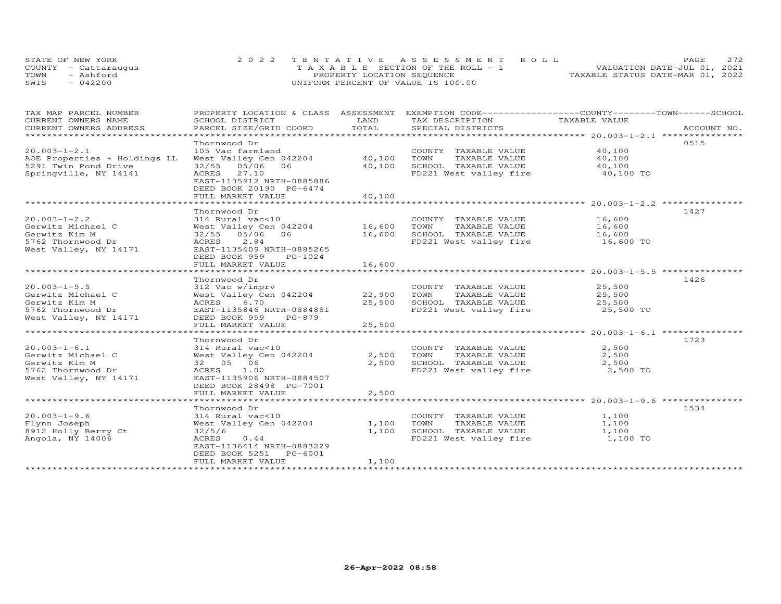| STATE OF NEW YORK    | 2022 TENTATIVE ASSESSMENT ROLL        | 2.72<br>PAGE.                    |
|----------------------|---------------------------------------|----------------------------------|
| COUNTY - Cattaraugus | T A X A B L E SECTION OF THE ROLL - 1 | VALUATION DATE-JUL 01, 2021      |
| TOWN<br>- Ashford    | PROPERTY LOCATION SEQUENCE            | TAXABLE STATUS DATE-MAR 01, 2022 |
| SWIS<br>$-042200$    | UNIFORM PERCENT OF VALUE IS 100.00    |                                  |

| TAX MAP PARCEL NUMBER<br>CURRENT OWNERS NAME<br>CURRENT OWNERS ADDRESS                                 | PROPERTY LOCATION & CLASS ASSESSMENT<br>SCHOOL DISTRICT<br>PARCEL SIZE/GRID COORD                                                                                                     | LAND<br>TOTAL              | EXEMPTION CODE-----------------COUNTY-------TOWN------SCHOOL<br>TAX DESCRIPTION<br>SPECIAL DISTRICTS      | TAXABLE VALUE                           | ACCOUNT NO. |
|--------------------------------------------------------------------------------------------------------|---------------------------------------------------------------------------------------------------------------------------------------------------------------------------------------|----------------------------|-----------------------------------------------------------------------------------------------------------|-----------------------------------------|-------------|
| ******************************                                                                         |                                                                                                                                                                                       |                            |                                                                                                           |                                         |             |
| $20.003 - 1 - 2.1$<br>AOE Properties + Holdings LL<br>5291 Twin Pond Drive<br>Springville, NY 14141    | Thornwood Dr<br>105 Vac farmland<br>West Valley Cen 042204<br>32/55 05/06<br>06<br>ACRES<br>27.10<br>EAST-1135912 NRTH-0885886<br>DEED BOOK 20190 PG-6474<br>FULL MARKET VALUE        | 40,100<br>40,100<br>40,100 | COUNTY TAXABLE VALUE<br>TOWN<br>TAXABLE VALUE<br>SCHOOL TAXABLE VALUE<br>FD221 West valley fire 40,100 TO | 40,100<br>40,100<br>40,100              | 0515        |
| $20.003 - 1 - 2.2$<br>Gerwitz Michael C<br>Gerwitz Kim M<br>5762 Thornwood Dr<br>West Valley, NY 14171 | Thornwood Dr<br>314 Rural vac<10<br>West Valley Cen 042204 16,600<br>32/55 05/06<br>06<br>ACRES<br>2.84<br>EAST-1135409 NRTH-0885265<br>DEED BOOK 959<br>PG-1024<br>FULL MARKET VALUE | 16,600<br>16,600           | COUNTY TAXABLE VALUE<br>TOWN<br>TAXABLE VALUE<br>SCHOOL TAXABLE VALUE<br>FD221 West valley fire           | 16,600<br>16,600<br>16,600<br>16,600 TO | 1427        |
| $20.003 - 1 - 5.5$<br>Gerwitz Michael C<br>Gerwitz Kim M<br>5762 Thornwood Dr<br>West Valley, NY 14171 | Thornwood Dr<br>312 Vac w/imprv<br>West Valley Cen 042204<br>6.70<br>ACRES<br>EAST-1135846 NRTH-0884881<br>DEED BOOK 959<br>PG-879<br>FULL MARKET VALUE                               | 22,900<br>25,500<br>25,500 | COUNTY TAXABLE VALUE<br>TOWN<br>TAXABLE VALUE<br>SCHOOL TAXABLE VALUE<br>FD221 West valley fire           | 25,500<br>25,500<br>25,500<br>25,500 TO | 1426        |
| $20.003 - 1 - 6.1$<br>Gerwitz Michael C<br>Gerwitz Kim M<br>5762 Thornwood Dr<br>West Valley, NY 14171 | Thornwood Dr<br>314 Rural vac<10<br>West Valley Cen 042204<br>32 05 06<br>ACRES<br>1.00<br>EAST-1135906 NRTH-0884507<br>DEED BOOK 28498 PG-7001<br>FULL MARKET VALUE                  | 2,500<br>2,500<br>2,500    | COUNTY TAXABLE VALUE<br>TOWN<br>TAXABLE VALUE<br>SCHOOL TAXABLE VALUE<br>FD221 West valley fire           | 2,500<br>2,500<br>2,500<br>2,500 TO     | 1723        |
| $20.003 - 1 - 9.6$<br>Flynn Joseph<br>8912 Holly Berry Ct<br>Angola, NY 14006                          | Thornwood Dr<br>314 Rural vac<10<br>West Valley Cen 042204<br>32/5/6<br>ACRES<br>0.44<br>EAST-1136414 NRTH-0883229<br>DEED BOOK 5251 PG-6001<br>FULL MARKET VALUE                     | 1,100<br>1,100<br>1,100    | COUNTY TAXABLE VALUE<br>TOWN<br>TAXABLE VALUE<br>SCHOOL TAXABLE VALUE<br>FD221 West valley fire           | 1,100<br>1,100<br>1,100<br>1,100 TO     | 1534        |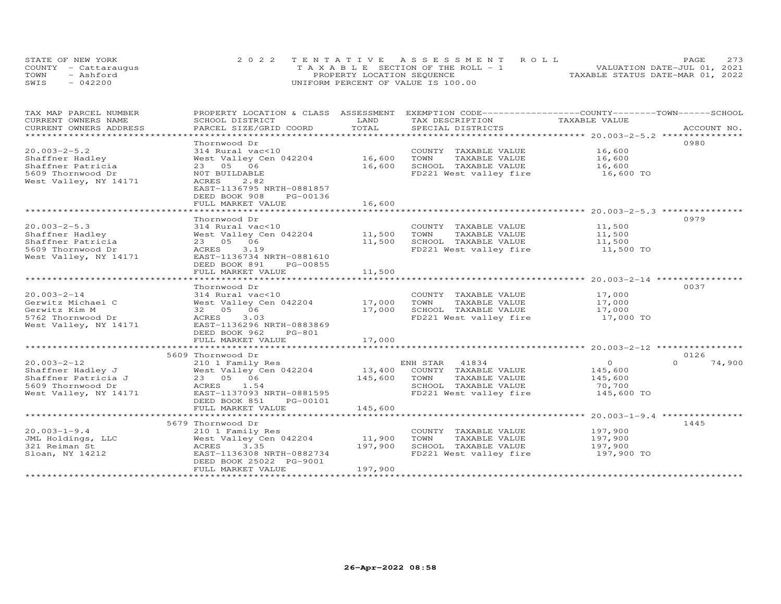| STATE OF NEW YORK    | 2022 TENTATIVE ASSESSMENT ROLL        | 273<br>PAGE.                     |
|----------------------|---------------------------------------|----------------------------------|
| COUNTY - Cattaraugus | T A X A B L E SECTION OF THE ROLL - 1 | VALUATION DATE-JUL 01, 2021      |
| TOWN<br>- Ashford    | PROPERTY LOCATION SEQUENCE            | TAXABLE STATUS DATE-MAR 01, 2022 |
| SWIS<br>$-042200$    | UNIFORM PERCENT OF VALUE IS 100.00    |                                  |

| TAX MAP PARCEL NUMBER<br>CURRENT OWNERS NAME             | PROPERTY LOCATION & CLASS ASSESSMENT<br>SCHOOL DISTRICT | LAND    | EXEMPTION CODE-----------------COUNTY-------TOWN------SCHOOL<br>TAX DESCRIPTION | TAXABLE VALUE         |                    |
|----------------------------------------------------------|---------------------------------------------------------|---------|---------------------------------------------------------------------------------|-----------------------|--------------------|
| CURRENT OWNERS ADDRESS<br>****************************** | PARCEL SIZE/GRID COORD                                  | TOTAL   | SPECIAL DISTRICTS                                                               |                       | ACCOUNT NO.        |
|                                                          | Thornwood Dr                                            |         |                                                                                 |                       | 0980               |
| $20.003 - 2 - 5.2$                                       | 314 Rural vac<10                                        |         | COUNTY TAXABLE VALUE                                                            | 16,600                |                    |
| Shaffner Hadley                                          | West Valley Cen 042204                                  | 16,600  | TOWN<br>TAXABLE VALUE                                                           |                       |                    |
| Shaffner Patricia                                        | 23 05 06                                                | 16,600  | SCHOOL TAXABLE VALUE                                                            | $\frac{16}{16}$ , 600 |                    |
| 5609 Thornwood Dr                                        | NOT BUILDABLE                                           |         | FD221 West valley fire 16,600 TO                                                |                       |                    |
| West Valley, NY 14171                                    | ACRES<br>2.82                                           |         |                                                                                 |                       |                    |
|                                                          | EAST-1136795 NRTH-0881857                               |         |                                                                                 |                       |                    |
|                                                          | DEED BOOK 908<br>PG-00136                               |         |                                                                                 |                       |                    |
|                                                          | FULL MARKET VALUE                                       | 16,600  |                                                                                 |                       |                    |
|                                                          |                                                         |         |                                                                                 |                       |                    |
|                                                          | Thornwood Dr                                            |         |                                                                                 |                       | 0979               |
| $20.003 - 2 - 5.3$                                       | 314 Rural vac<10                                        |         | COUNTY TAXABLE VALUE                                                            | 11,500                |                    |
| Shaffner Hadley                                          | West Valley Cen 042204 11,500                           |         | TOWN<br>TAXABLE VALUE                                                           | 11,500                |                    |
| Shaffner Patricia                                        | 23 05 06                                                | 11,500  | SCHOOL TAXABLE VALUE                                                            | 11,500<br>11,500 TO   |                    |
| 5609 Thornwood Dr<br>West Valley, NY 14171               | 3.19<br>ACRES<br>EAST-1136734 NRTH-0881610              |         | FD221 West valley fire                                                          |                       |                    |
|                                                          | DEED BOOK 891<br>PG-00855                               |         |                                                                                 |                       |                    |
|                                                          | FULL MARKET VALUE                                       | 11,500  |                                                                                 |                       |                    |
|                                                          |                                                         |         |                                                                                 |                       |                    |
|                                                          | Thornwood Dr                                            |         |                                                                                 |                       | 0037               |
| $20.003 - 2 - 14$                                        | 314 Rural vac<10                                        |         | COUNTY TAXABLE VALUE                                                            | 17,000                |                    |
| Gerwitz Michael C                                        | West Valley Cen 042204                                  | 17,000  | TOWN<br>TAXABLE VALUE                                                           | 17,000                |                    |
| Gerwitz Kim M                                            | 32  05  06                                              | 17,000  | SCHOOL TAXABLE VALUE                                                            | 17,000                |                    |
| 5762 Thornwood Dr                                        | ACRES<br>3.03                                           |         | FD221 West valley fire                                                          | 17,000 TO             |                    |
| West Valley, NY 14171                                    | EAST-1136296 NRTH-0883869                               |         |                                                                                 |                       |                    |
|                                                          | DEED BOOK 962<br>PG-801                                 |         |                                                                                 |                       |                    |
|                                                          | FULL MARKET VALUE                                       | 17,000  |                                                                                 |                       |                    |
|                                                          | 5609 Thornwood Dr                                       |         |                                                                                 |                       | 0126               |
| $20.003 - 2 - 12$                                        | 210 1 Family Res                                        |         | ENH STAR 41834                                                                  | $\overline{O}$        | $\Omega$<br>74,900 |
| Shaffner Hadley J                                        | West Valley Cen 042204                                  | 13,400  | COUNTY TAXABLE VALUE                                                            | 145,600               |                    |
| Shaffner Patricia J                                      | 23 05 06                                                | 145,600 | TOWN<br>TAXABLE VALUE                                                           | 145,600               |                    |
| 5609 Thornwood Dr                                        | ACRES 1.54                                              |         | SCHOOL TAXABLE VALUE                                                            | 70,700                |                    |
| West Valley, NY 14171                                    | EAST-1137093 NRTH-0881595                               |         | FD221 West valley fire                                                          | 145,600 TO            |                    |
|                                                          | DEED BOOK 851<br>PG-00101                               |         |                                                                                 |                       |                    |
|                                                          | FULL MARKET VALUE                                       | 145,600 |                                                                                 |                       |                    |
|                                                          |                                                         |         |                                                                                 |                       |                    |
|                                                          | 5679 Thornwood Dr                                       |         |                                                                                 |                       | 1445               |
| $20.003 - 1 - 9.4$                                       | 210 1 Family Res                                        |         | COUNTY TAXABLE VALUE                                                            | 197,900               |                    |
| JML Holdings, LLC                                        | West Valley Cen 042204                                  | 11,900  | TOWN<br>TAXABLE VALUE                                                           | 197,900               |                    |
| 321 Reiman St                                            | 3.35<br>ACRES                                           | 197,900 | SCHOOL TAXABLE VALUE                                                            | 197,900               |                    |
| Sloan, NY 14212                                          | EAST-1136308 NRTH-0882734<br>DEED BOOK 25022 PG-9001    |         | FD221 West valley fire                                                          | 197,900 TO            |                    |
|                                                          | FULL MARKET VALUE                                       | 197,900 |                                                                                 |                       |                    |
|                                                          |                                                         |         |                                                                                 |                       |                    |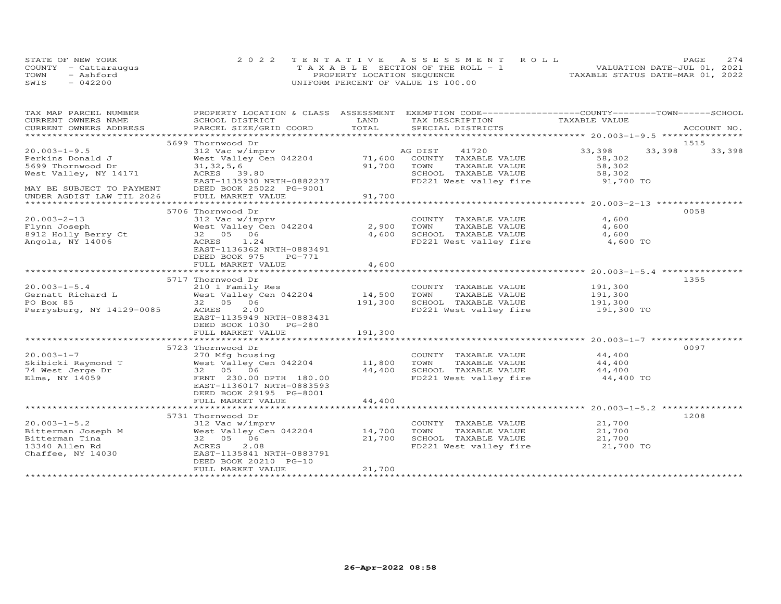|      | STATE OF NEW YORK    | 2022 TENTATIVE ASSESSMENT ROLL        |                                  | PAGE | 2.74 |
|------|----------------------|---------------------------------------|----------------------------------|------|------|
|      | COUNTY - Cattaraugus | T A X A B L E SECTION OF THE ROLL - 1 | VALUATION DATE-JUL 01, 2021      |      |      |
| TOWN | - Ashford            | PROPERTY LOCATION SEQUENCE            | TAXABLE STATUS DATE-MAR 01, 2022 |      |      |
| SWIS | $-042200$            | UNIFORM PERCENT OF VALUE IS 100.00    |                                  |      |      |

| TAX MAP PARCEL NUMBER                                  | PROPERTY LOCATION & CLASS ASSESSMENT EXEMPTION CODE----------------COUNTY-------TOWN-----SCHOOL |         |                                                |               |                  |
|--------------------------------------------------------|-------------------------------------------------------------------------------------------------|---------|------------------------------------------------|---------------|------------------|
| CURRENT OWNERS NAME                                    | SCHOOL DISTRICT                                                                                 | LAND    | TAX DESCRIPTION                                | TAXABLE VALUE |                  |
| CURRENT OWNERS ADDRESS                                 | PARCEL SIZE/GRID COORD                                                                          | TOTAL   | SPECIAL DISTRICTS                              |               | ACCOUNT NO.      |
|                                                        |                                                                                                 |         |                                                |               |                  |
|                                                        | 5699 Thornwood Dr                                                                               |         |                                                |               | 1515             |
| $20.003 - 1 - 9.5$                                     | 312 Vac w/imprv                                                                                 |         | 41720<br>AG DIST                               | 33,398        | 33,398<br>33,398 |
| Perkins Donald J                                       | West Valley Cen 042204                                                                          | 71,600  | COUNTY TAXABLE VALUE                           | 58,302        |                  |
| 5699 Thornwood Dr                                      | 31, 32, 5, 6                                                                                    | 91,700  | TAXABLE VALUE<br>TOWN                          | 58,302        |                  |
| West Valley, NY 14171                                  | ACRES 39.80                                                                                     |         | SCHOOL TAXABLE VALUE<br>FD221 West valley fire | 58,302        |                  |
|                                                        | EAST-1135930 NRTH-0882237                                                                       |         |                                                | 91,700 TO     |                  |
| MAY BE SUBJECT TO PAYMENT<br>UNDER AGDIST LAW TIL 2026 | DEED BOOK 25022 PG-9001                                                                         |         |                                                |               |                  |
|                                                        | FULL MARKET VALUE                                                                               | 91,700  |                                                |               |                  |
|                                                        |                                                                                                 |         |                                                |               |                  |
|                                                        | 5706 Thornwood Dr                                                                               |         |                                                |               | 0058             |
| $20.003 - 2 - 13$                                      | 312 Vac w/imprv                                                                                 |         | COUNTY TAXABLE VALUE                           | 4,600         |                  |
| Flynn Joseph                                           | West Valley Cen 042204                                                                          | 2,900   | TAXABLE VALUE<br>TOWN                          | 4,600         |                  |
| 8912 Holly Berry Ct                                    | 32 05 06                                                                                        | 4,600   | SCHOOL TAXABLE VALUE                           | 4,600         |                  |
| Angola, NY 14006                                       | ACRES<br>1.24                                                                                   |         | FD221 West valley fire                         | 4,600 TO      |                  |
|                                                        | EAST-1136362 NRTH-0883491                                                                       |         |                                                |               |                  |
|                                                        | DEED BOOK 975<br>PG-771                                                                         |         |                                                |               |                  |
|                                                        | FULL MARKET VALUE                                                                               | 4,600   |                                                |               |                  |
|                                                        |                                                                                                 |         |                                                |               |                  |
|                                                        | 5717 Thornwood Dr                                                                               |         |                                                |               | 1355             |
| $20.003 - 1 - 5.4$                                     | 210 1 Family Res                                                                                |         | COUNTY TAXABLE VALUE                           | 191,300       |                  |
| Gernatt Richard L                                      | West Valley Cen 042204                                                                          | 14,500  | TOWN<br>TAXABLE VALUE                          | 191,300       |                  |
| PO Box 85                                              | 32 05 06                                                                                        | 191,300 | SCHOOL TAXABLE VALUE                           | 191,300       |                  |
| Perrysburg, NY 14129-0085                              | ACRES<br>2,00                                                                                   |         | FD221 West valley fire                         | 191,300 TO    |                  |
|                                                        | EAST-1135949 NRTH-0883431                                                                       |         |                                                |               |                  |
|                                                        | DEED BOOK 1030 PG-280                                                                           |         |                                                |               |                  |
|                                                        | FULL MARKET VALUE                                                                               | 191,300 |                                                |               |                  |
|                                                        |                                                                                                 |         |                                                |               |                  |
|                                                        | 5723 Thornwood Dr                                                                               |         |                                                |               | 0097             |
| $20.003 - 1 - 7$                                       | 270 Mfg housing                                                                                 |         | COUNTY TAXABLE VALUE                           | 44,400        |                  |
| Skibicki Raymond T                                     | West Valley Cen 042204                                                                          | 11,800  | TOWN<br>TAXABLE VALUE                          | 44,400        |                  |
| Skibicki Raymond T<br>74 West Jerge Dr                 | 32 05 06                                                                                        | 44,400  | SCHOOL TAXABLE VALUE                           | 44,400        |                  |
| Elma, NY 14059                                         | FRNT 230.00 DPTH 180.00                                                                         |         | FD221 West valley fire                         | 44,400 TO     |                  |
|                                                        | EAST-1136017 NRTH-0883593                                                                       |         |                                                |               |                  |
|                                                        | DEED BOOK 29195 PG-8001                                                                         |         |                                                |               |                  |
|                                                        | FULL MARKET VALUE                                                                               | 44,400  |                                                |               |                  |
|                                                        |                                                                                                 |         |                                                |               |                  |
|                                                        | 5731 Thornwood Dr                                                                               |         |                                                |               | 1208             |
| $20.003 - 1 - 5.2$                                     | 312 Vac w/imprv                                                                                 |         | COUNTY TAXABLE VALUE                           | 21,700        |                  |
| Bitterman Joseph M                                     | West Valley Cen 042204 14,700                                                                   |         | TOWN<br>TAXABLE VALUE                          | 21,700        |                  |
| Bitterman Tina                                         | 32 05 06                                                                                        | 21,700  | SCHOOL TAXABLE VALUE                           | 21,700        |                  |
| 13340 Allen Rd                                         | 2.08<br>ACRES                                                                                   |         | FD221 West valley fire                         | 21,700 TO     |                  |
| Chaffee, NY 14030                                      | EAST-1135841 NRTH-0883791                                                                       |         |                                                |               |                  |
|                                                        | DEED BOOK 20210 PG-10                                                                           |         |                                                |               |                  |
|                                                        | FULL MARKET VALUE                                                                               | 21,700  |                                                |               |                  |
|                                                        |                                                                                                 |         |                                                |               |                  |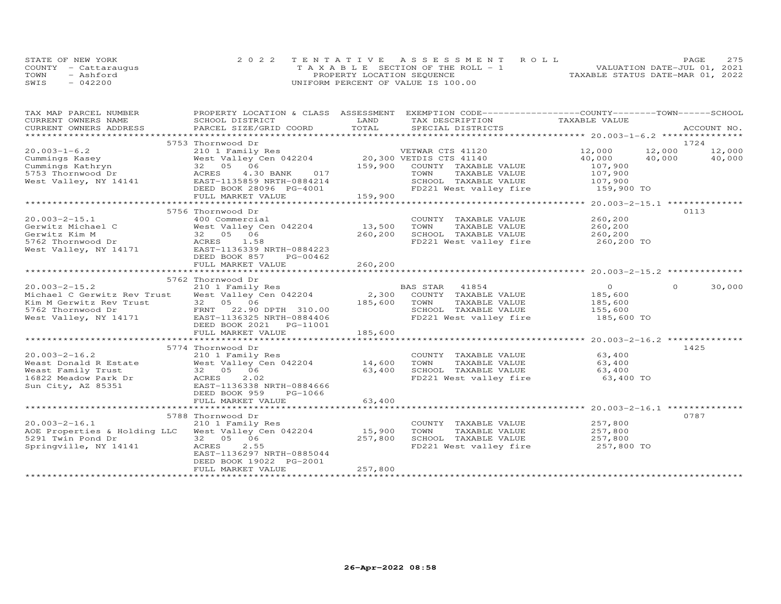| STATE OF NEW YORK    | 2022 TENTATIVE ASSESSMENT ROLL          | 2.75<br>PAGE.                    |
|----------------------|-----------------------------------------|----------------------------------|
| COUNTY - Cattaraugus | $T A X A B L E$ SECTION OF THE ROLL - 1 | VALUATION DATE-JUL 01, 2021      |
| TOWN<br>- Ashford    | PROPERTY LOCATION SEQUENCE              | TAXABLE STATUS DATE-MAR 01, 2022 |
| $-042200$<br>SWIS    | UNIFORM PERCENT OF VALUE IS 100.00      |                                  |

| TAX MAP PARCEL NUMBER                                                                                                                                                                                                               |                            |         | PROPERTY LOCATION & CLASS ASSESSMENT EXEMPTION CODE-----------------COUNTY-------TOWN------SCHOOL |                     |               |        |
|-------------------------------------------------------------------------------------------------------------------------------------------------------------------------------------------------------------------------------------|----------------------------|---------|---------------------------------------------------------------------------------------------------|---------------------|---------------|--------|
|                                                                                                                                                                                                                                     |                            |         |                                                                                                   |                     |               |        |
|                                                                                                                                                                                                                                     |                            |         |                                                                                                   |                     |               |        |
|                                                                                                                                                                                                                                     |                            |         |                                                                                                   |                     |               |        |
|                                                                                                                                                                                                                                     | 5753 Thornwood Dr          |         |                                                                                                   |                     | 1724          |        |
|                                                                                                                                                                                                                                     |                            |         |                                                                                                   |                     | 12,000 12,000 |        |
|                                                                                                                                                                                                                                     |                            |         |                                                                                                   |                     | 40,000        | 40,000 |
|                                                                                                                                                                                                                                     |                            |         |                                                                                                   |                     |               |        |
|                                                                                                                                                                                                                                     |                            |         |                                                                                                   |                     |               |        |
|                                                                                                                                                                                                                                     |                            |         |                                                                                                   |                     |               |        |
|                                                                                                                                                                                                                                     |                            |         |                                                                                                   |                     |               |        |
|                                                                                                                                                                                                                                     |                            |         |                                                                                                   |                     |               |        |
|                                                                                                                                                                                                                                     |                            |         |                                                                                                   |                     |               |        |
|                                                                                                                                                                                                                                     | 5756 Thornwood Dr          |         |                                                                                                   |                     | 0113          |        |
| $20.003 - 2 - 15.1$                                                                                                                                                                                                                 | 400 Commercial             |         | COUNTY TAXABLE VALUE                                                                              | 260,200<br>260,200  |               |        |
|                                                                                                                                                                                                                                     |                            |         | TAXABLE VALUE                                                                                     |                     |               |        |
|                                                                                                                                                                                                                                     |                            |         |                                                                                                   |                     |               |        |
|                                                                                                                                                                                                                                     |                            |         | 260,200 SCHOOL TAXABLE VALUE 260,200<br>260,200 FD221 West valley fire 260,200                    | 260,200 TO          |               |        |
| 5762 Thornwood Dr                 ACRES     1.58<br>West Valley, NY 14171               EAST-1136339 NRTH-0884223                                                                                                                   |                            |         |                                                                                                   |                     |               |        |
|                                                                                                                                                                                                                                     | DEED BOOK 857 PG-00462     |         |                                                                                                   |                     |               |        |
|                                                                                                                                                                                                                                     | FULL MARKET VALUE          | 260,200 |                                                                                                   |                     |               |        |
|                                                                                                                                                                                                                                     |                            |         |                                                                                                   |                     |               |        |
|                                                                                                                                                                                                                                     | 5762 Thornwood Dr          |         |                                                                                                   |                     |               |        |
| %20.003-2-15.2<br>Michael C Gerwitz Rev Trust West Valley Cen 042204 2,300 COUNTY TAXABLE VALUE<br>Kim M Gerwitz Rev Trust 32 05 06 185,600 TOWN TAXABLE VALUE<br>5762 Thornwood Dr FRNT 22.90 DPTH 310.00 185,600 TOWN TAXABLE VAL |                            |         |                                                                                                   | $\bigcirc$          | $\Omega$      | 30,000 |
|                                                                                                                                                                                                                                     |                            |         |                                                                                                   | 185,600             |               |        |
|                                                                                                                                                                                                                                     |                            |         |                                                                                                   |                     |               |        |
|                                                                                                                                                                                                                                     |                            |         | TOWN TAXABLE VALUE 185,600<br>SCHOOL TAXABLE VALUE 155,600                                        |                     |               |        |
|                                                                                                                                                                                                                                     |                            |         | FD221 West valley fire 185,600 TO                                                                 |                     |               |        |
|                                                                                                                                                                                                                                     | DEED BOOK 2021    PG-11001 |         |                                                                                                   |                     |               |        |
|                                                                                                                                                                                                                                     |                            |         |                                                                                                   |                     |               |        |
|                                                                                                                                                                                                                                     |                            |         |                                                                                                   |                     |               |        |
|                                                                                                                                                                                                                                     | 5774 Thornwood Dr          |         |                                                                                                   |                     | 1425          |        |
| $20.003 - 2 - 16.2$                                                                                                                                                                                                                 |                            |         | COUNTY TAXABLE VALUE                                                                              | 63,400              |               |        |
|                                                                                                                                                                                                                                     |                            |         | TAXABLE VALUE 63,400                                                                              |                     |               |        |
|                                                                                                                                                                                                                                     |                            |         |                                                                                                   |                     |               |        |
|                                                                                                                                                                                                                                     |                            |         | SCHOOL TAXABLE VALUE<br>FD221 West valley fire                                                    | 63,400<br>63,400 TO |               |        |
|                                                                                                                                                                                                                                     |                            |         |                                                                                                   |                     |               |        |
|                                                                                                                                                                                                                                     | DEED BOOK 959 PG-1066      |         |                                                                                                   |                     |               |        |
|                                                                                                                                                                                                                                     |                            |         |                                                                                                   |                     |               |        |
|                                                                                                                                                                                                                                     |                            |         |                                                                                                   |                     |               |        |
|                                                                                                                                                                                                                                     | 5788 Thornwood Dr          |         |                                                                                                   |                     | 0787          |        |
| $20.003 - 2 - 16.1$                                                                                                                                                                                                                 | 210 1 Family Res           |         | COUNTY TAXABLE VALUE 257,800                                                                      |                     |               |        |
| AOE Properties & Holding LLC West Valley Cen 042204 15,900                                                                                                                                                                          |                            |         | TAXABLE VALUE 257,800<br>TOWN                                                                     |                     |               |        |
| 5291 Twin Pond Dr                                                                                                                                                                                                                   | 32 05 06                   | 257,800 |                                                                                                   |                     |               |        |
| 5291 Twin Pond Dr<br>Springville, NY 14141                                                                                                                                                                                          | ACRES<br>2.55              |         | SCHOOL TAXABLE VALUE 257,800<br>FD221 West valley fire 257,800 TO                                 |                     |               |        |
|                                                                                                                                                                                                                                     | EAST-1136297 NRTH-0885044  |         |                                                                                                   |                     |               |        |
|                                                                                                                                                                                                                                     | DEED BOOK 19022 PG-2001    |         |                                                                                                   |                     |               |        |
|                                                                                                                                                                                                                                     | FULL MARKET VALUE          | 257,800 |                                                                                                   |                     |               |        |
|                                                                                                                                                                                                                                     |                            |         |                                                                                                   |                     |               |        |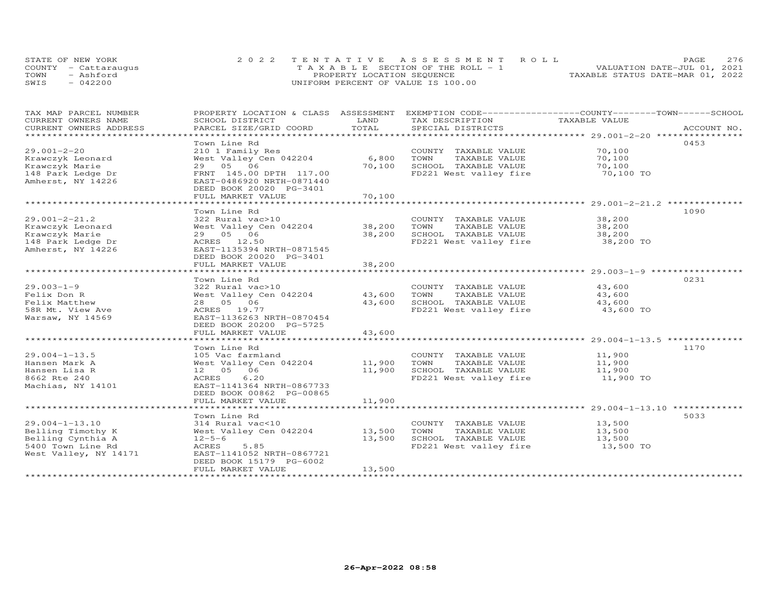| STATE OF NEW YORK    | 2022 TENTATIVE ASSESSMENT ROLL        | 276<br><b>PAGE</b>               |
|----------------------|---------------------------------------|----------------------------------|
| COUNTY - Cattaraugus | T A X A B L E SECTION OF THE ROLL - 1 | VALUATION DATE-JUL 01, 2021      |
| TOWN<br>- Ashford    | PROPERTY LOCATION SEQUENCE            | TAXABLE STATUS DATE-MAR 01, 2022 |
| SWIS<br>$-042200$    | UNIFORM PERCENT OF VALUE IS 100.00    |                                  |

| TAX MAP PARCEL NUMBER   | PROPERTY LOCATION & CLASS ASSESSMENT |        | EXEMPTION CODE-----------------COUNTY-------TOWN------SCHOOL |               |             |
|-------------------------|--------------------------------------|--------|--------------------------------------------------------------|---------------|-------------|
| CURRENT OWNERS NAME     | SCHOOL DISTRICT                      | LAND   | TAX DESCRIPTION                                              | TAXABLE VALUE |             |
| CURRENT OWNERS ADDRESS  | PARCEL SIZE/GRID COORD               | TOTAL  | SPECIAL DISTRICTS                                            |               | ACCOUNT NO. |
| *********************** |                                      |        |                                                              |               |             |
|                         | Town Line Rd                         |        |                                                              |               | 0453        |
| $29.001 - 2 - 20$       | 210 1 Family Res                     |        | COUNTY TAXABLE VALUE                                         | 70,100        |             |
| Krawczyk Leonard        | West Valley Cen 042204               | 6,800  | TAXABLE VALUE<br>TOWN                                        | 70,100        |             |
| Krawczyk Marie          | 29 05 06                             | 70,100 | SCHOOL TAXABLE VALUE                                         | 70,100        |             |
| 148 Park Ledge Dr       | FRNT 145.00 DPTH 117.00              |        | FD221 West valley fire                                       | 70,100 TO     |             |
| Amherst, NY 14226       | EAST-0486920 NRTH-0871440            |        |                                                              |               |             |
|                         | DEED BOOK 20020 PG-3401              |        |                                                              |               |             |
|                         | FULL MARKET VALUE                    | 70,100 |                                                              |               |             |
|                         |                                      |        |                                                              |               |             |
|                         | Town Line Rd                         |        |                                                              |               | 1090        |
| $29.001 - 2 - 21.2$     | 322 Rural vac>10                     |        | COUNTY TAXABLE VALUE                                         | 38,200        |             |
| Krawczyk Leonard        | West Valley Cen 042204               | 38,200 | TAXABLE VALUE<br>TOWN                                        | 38,200        |             |
| Krawczyk Marie          | 29 05 06                             | 38,200 | SCHOOL TAXABLE VALUE                                         | 38,200        |             |
| 148 Park Ledge Dr       | ACRES 12.50                          |        | FD221 West valley fire                                       | 38,200 TO     |             |
| Amherst, NY 14226       | EAST-1135394 NRTH-0871545            |        |                                                              |               |             |
|                         | DEED BOOK 20020 PG-3401              |        |                                                              |               |             |
|                         | FULL MARKET VALUE                    | 38,200 |                                                              |               |             |
|                         |                                      |        |                                                              |               |             |
|                         | Town Line Rd                         |        |                                                              |               | 0231        |
| $29.003 - 1 - 9$        | 322 Rural vac>10                     |        | COUNTY TAXABLE VALUE                                         | 43,600        |             |
| Felix Don R             | West Valley Cen 042204               | 43,600 | TOWN<br>TAXABLE VALUE                                        | 43,600        |             |
| Felix Matthew           | 28 05 06                             | 43,600 | SCHOOL TAXABLE VALUE                                         | 43,600        |             |
| 58R Mt. View Ave        | ACRES 19.77                          |        | FD221 West valley fire                                       | 43,600 TO     |             |
| Warsaw, NY 14569        | EAST-1136263 NRTH-0870454            |        |                                                              |               |             |
|                         | DEED BOOK 20200 PG-5725              |        |                                                              |               |             |
|                         | FULL MARKET VALUE                    | 43,600 |                                                              |               |             |
|                         |                                      |        |                                                              |               |             |
|                         | Town Line Rd                         |        |                                                              |               | 1170        |
|                         |                                      |        |                                                              | 11,900        |             |
| $29.004 - 1 - 13.5$     | 105 Vac farmland                     | 11,900 | COUNTY TAXABLE VALUE                                         |               |             |
| Hansen Mark A           | West Valley Cen 042204               |        | TOWN<br>TAXABLE VALUE                                        | 11,900        |             |
| Hansen Lisa R           | 12  05  06                           | 11,900 | SCHOOL TAXABLE VALUE                                         | 11,900        |             |
| 8662 Rte 240            | 6.20<br>ACRES                        |        | FD221 West valley fire                                       | 11,900 TO     |             |
| Machias, NY 14101       | EAST-1141364 NRTH-0867733            |        |                                                              |               |             |
|                         | DEED BOOK 00862 PG-00865             |        |                                                              |               |             |
|                         | FULL MARKET VALUE                    | 11,900 |                                                              |               |             |
|                         |                                      |        |                                                              |               |             |
|                         | Town Line Rd                         |        |                                                              |               | 5033        |
| 29.004-1-13.10          | 314 Rural vac<10                     |        | COUNTY TAXABLE VALUE                                         | 13,500        |             |
| Belling Timothy K       | West Valley Cen 042204               | 13,500 | TAXABLE VALUE<br>TOWN                                        | 13,500        |             |
| Belling Cynthia A       | $12 - 5 - 6$                         | 13,500 | SCHOOL TAXABLE VALUE                                         | 13,500        |             |
| 5400 Town Line Rd       | ACRES<br>5.85                        |        | FD221 West valley fire                                       | 13,500 TO     |             |
| West Valley, NY 14171   | EAST-1141052 NRTH-0867721            |        |                                                              |               |             |
|                         | DEED BOOK 15179 PG-6002              |        |                                                              |               |             |
|                         | FULL MARKET VALUE                    | 13,500 |                                                              |               |             |
|                         |                                      |        |                                                              |               |             |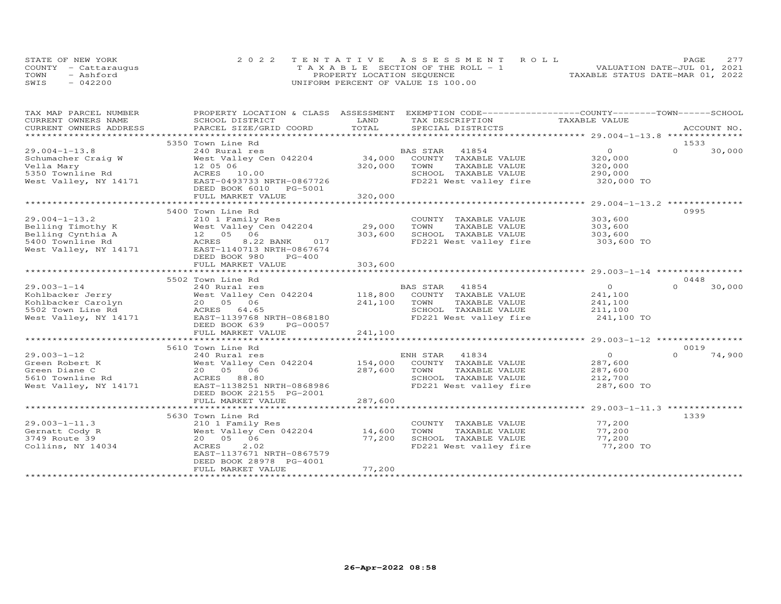|      | STATE OF NEW YORK    | 2022 TENTATIVE ASSESSMENT ROLL        | PAGE.                            | 2.77 |
|------|----------------------|---------------------------------------|----------------------------------|------|
|      | COUNTY - Cattaraugus | T A X A B L E SECTION OF THE ROLL - 1 | VALUATION DATE-JUL 01, 2021      |      |
| TOWN | - Ashford            | PROPERTY LOCATION SEQUENCE            | TAXABLE STATUS DATE-MAR 01, 2022 |      |
| SWIS | $-042200$            | UNIFORM PERCENT OF VALUE IS 100.00    |                                  |      |

| TAX MAP PARCEL NUMBER | PROPERTY LOCATION & CLASS ASSESSMENT EXEMPTION CODE----------------COUNTY-------TOWN-----SCHOOL                                                                                                                                |         |                                                       |                       |                    |
|-----------------------|--------------------------------------------------------------------------------------------------------------------------------------------------------------------------------------------------------------------------------|---------|-------------------------------------------------------|-----------------------|--------------------|
| CURRENT OWNERS NAME   | SCHOOL DISTRICT                                                                                                                                                                                                                | LAND    | TAX DESCRIPTION TAXABLE VALUE                         |                       |                    |
|                       | .CURRENT OWNERS ADDRESS PARCEL SIZE/GRID COORD TOTAL SPECIAL DISTRICTS ACCOUNT NO ACCOUNT NO ARCOUNT NO ARE THE SERVER AND HER A LATER AND HER A LATER AND HER A LATER AND HER A LATER AND HER A LATER ON A LATER OF A LATER O |         |                                                       |                       | ACCOUNT NO.        |
|                       |                                                                                                                                                                                                                                |         |                                                       |                       |                    |
|                       | 5350 Town Line Rd                                                                                                                                                                                                              |         |                                                       |                       | 1533               |
| $29.004 - 1 - 13.8$   | 240 Rural res                                                                                                                                                                                                                  |         | BAS STAR    41854<br>34,000    COUNTY   TAXABLE VALUE | $\overline{O}$        | $\Omega$<br>30,000 |
|                       |                                                                                                                                                                                                                                |         |                                                       | 320,000               |                    |
|                       |                                                                                                                                                                                                                                | 320,000 | TOWN<br>TAXABLE VALUE                                 | 320,000               |                    |
|                       |                                                                                                                                                                                                                                |         | SCHOOL TAXABLE VALUE<br>FD221 West valley fire        | 290,000<br>320,000 TO |                    |
|                       |                                                                                                                                                                                                                                |         |                                                       |                       |                    |
|                       | DEED BOOK 6010 PG-5001                                                                                                                                                                                                         |         |                                                       |                       |                    |
|                       | FULL MARKET VALUE                                                                                                                                                                                                              | 320,000 |                                                       |                       |                    |
|                       |                                                                                                                                                                                                                                |         |                                                       |                       |                    |
|                       | 5400 Town Line Rd                                                                                                                                                                                                              |         |                                                       |                       | 0995               |
| $29.004 - 1 - 13.2$   | 210 1 Family Res                                                                                                                                                                                                               |         | COUNTY TAXABLE VALUE                                  | 303,600               |                    |
|                       | Exp 1 Pamily Res<br>West Valley Cen 042204 29,000 TOWN<br>Belling Timothy K West Valley Cen 042204<br>Belling Cynthia A 12 05 06<br>5400 Townline Rd ACRES 8.22 BANK 017<br>West Valley, NY 14171 EAST-1140713 NRTH-0867674    |         | TAXABLE VALUE                                         | 303,600               |                    |
|                       |                                                                                                                                                                                                                                | 303,600 | SCHOOL TAXABLE VALUE 303,600                          |                       |                    |
|                       | 017                                                                                                                                                                                                                            |         | FD221 West valley fire                                | 303,600 TO            |                    |
|                       |                                                                                                                                                                                                                                |         |                                                       |                       |                    |
|                       | DEED BOOK 980<br>PG-400                                                                                                                                                                                                        |         |                                                       |                       |                    |
|                       | FULL MARKET VALUE                                                                                                                                                                                                              | 303,600 |                                                       |                       |                    |
|                       |                                                                                                                                                                                                                                |         |                                                       |                       |                    |
|                       | 5502 Town Line Rd                                                                                                                                                                                                              |         |                                                       |                       | 0448               |
|                       |                                                                                                                                                                                                                                |         |                                                       | $\overline{O}$        | $\Omega$<br>30,000 |
|                       |                                                                                                                                                                                                                                |         |                                                       | 241,100               |                    |
|                       |                                                                                                                                                                                                                                |         | TAXABLE VALUE                                         | 241,100               |                    |
|                       |                                                                                                                                                                                                                                |         |                                                       | 211,100               |                    |
|                       |                                                                                                                                                                                                                                |         | FD221 West valley fire 241,100 TO                     |                       |                    |
|                       | DEED BOOK 639<br>PG-00057                                                                                                                                                                                                      |         |                                                       |                       |                    |
|                       | FULL MARKET VALUE                                                                                                                                                                                                              | 241,100 |                                                       |                       |                    |
|                       |                                                                                                                                                                                                                                |         |                                                       |                       |                    |
|                       | 5610 Town Line Rd                                                                                                                                                                                                              |         |                                                       |                       | 0019               |
| $29.003 - 1 - 12$     | 240 Rural res                                                                                                                                                                                                                  |         | ENH STAR 41834                                        | $\overline{O}$        | $\Omega$<br>74,900 |
| Green Robert K        | West Valley Cen 042204 154,000                                                                                                                                                                                                 |         | COUNTY TAXABLE VALUE                                  | 287,600               |                    |
| Green Diane C         |                                                                                                                                                                                                                                | 287,600 | TOWN<br>TAXABLE VALUE                                 |                       |                    |
| 5610 Townline Rd      | ---<br>West Valley Ce<br>20 05 06<br>ACRES 88.80                                                                                                                                                                               |         | SCHOOL TAXABLE VALUE                                  | 287,600<br>212,700    |                    |
|                       | West Valley, NY 14171 EAST-1138251 NRTH-0868986                                                                                                                                                                                |         | FD221 West valley fire 287,600 TO                     |                       |                    |
|                       | DEED BOOK 22155 PG-2001                                                                                                                                                                                                        |         |                                                       |                       |                    |
|                       | FULL MARKET VALUE                                                                                                                                                                                                              | 287,600 |                                                       |                       |                    |
|                       |                                                                                                                                                                                                                                |         |                                                       |                       |                    |
|                       | 5630 Town Line Rd                                                                                                                                                                                                              |         |                                                       |                       | 1339               |
| $29.003 - 1 - 11.3$   | 210 1 Family Res                                                                                                                                                                                                               |         | COUNTY TAXABLE VALUE                                  | 77,200                |                    |
| Gernatt Cody R        | West Valley Cen 042204 14,600                                                                                                                                                                                                  |         | TOWN<br>TAXABLE VALUE                                 | 77,200                |                    |
| 3749 Route 39         | 20  05  06                                                                                                                                                                                                                     | 77,200  |                                                       | 77,200                |                    |
| Collins, NY 14034     | ACRES<br>2.02                                                                                                                                                                                                                  |         | SUNUUL TAXABLE VALUE<br>FD221 West valley fire        | 77,200 TO             |                    |
|                       | EAST-1137671 NRTH-0867579                                                                                                                                                                                                      |         |                                                       |                       |                    |
|                       | DEED BOOK 28978 PG-4001                                                                                                                                                                                                        |         |                                                       |                       |                    |
|                       | FULL MARKET VALUE                                                                                                                                                                                                              | 77,200  |                                                       |                       |                    |
|                       |                                                                                                                                                                                                                                |         |                                                       |                       |                    |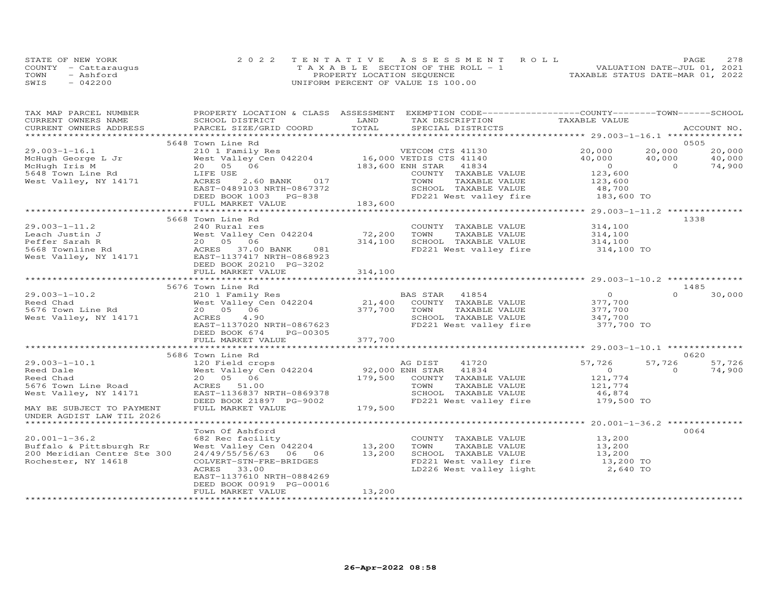|      | STATE OF NEW YORK    | 2022 TENTATIVE ASSESSMENT ROLL        | 278<br>PAGE                      |
|------|----------------------|---------------------------------------|----------------------------------|
|      | COUNTY - Cattaraugus | T A X A B L E SECTION OF THE ROLL - 1 | VALUATION DATE-JUL 01, 2021      |
| TOWN | - Ashford            | PROPERTY LOCATION SEQUENCE            | TAXABLE STATUS DATE-MAR 01, 2022 |
| SWIS | $-042200$            | UNIFORM PERCENT OF VALUE IS 100.00    |                                  |

| TAX MAP PARCEL NUMBER<br>CURRENT OWNERS NAME | SCHOOL DISTRICT                                                                                              | LAND    | PROPERTY LOCATION & CLASS ASSESSMENT EXEMPTION CODE----------------COUNTY-------TOWN------SCHOOL<br>TAX DESCRIPTION | TAXABLE VALUE        |          |             |
|----------------------------------------------|--------------------------------------------------------------------------------------------------------------|---------|---------------------------------------------------------------------------------------------------------------------|----------------------|----------|-------------|
| CURRENT OWNERS ADDRESS                       | PARCEL SIZE/GRID COORD                                                                                       | TOTAL   | SPECIAL DISTRICTS                                                                                                   |                      |          | ACCOUNT NO. |
|                                              |                                                                                                              |         |                                                                                                                     |                      |          |             |
|                                              | 5648 Town Line Rd                                                                                            |         |                                                                                                                     |                      | 0505     |             |
| $29.003 - 1 - 16.1$                          | 210 1 Family Res                                                                                             |         | VETCOM CTS 41130                                                                                                    | 20,000               | 20,000   | 20,000      |
| McHugh George L Jr                           | West Valley Cen 042204 16,000 VETDIS CTS 41140                                                               |         |                                                                                                                     | 40,000               | 40,000   | 40,000      |
| McHugh Iris M                                | 20  05  06                                                                                                   |         | 183,600 ENH STAR 41834                                                                                              | $\overline{O}$       | $\Omega$ | 74,900      |
| 5648 Town Line Rd                            | LIFE USE                                                                                                     |         | COUNTY TAXABLE VALUE                                                                                                | 123,600              |          |             |
| West Valley, NY 14171                        | ACRES<br>2.60 BANK 017                                                                                       |         | TOWN<br>TAXABLE VALUE                                                                                               | 123,600              |          |             |
|                                              | EAST-0489103 NRTH-0867372                                                                                    |         | SCHOOL TAXABLE VALUE                                                                                                |                      |          |             |
|                                              | DEED BOOK 1003 PG-838                                                                                        |         | FD221 West valley fire                                                                                              | 48,700<br>183,600 TO |          |             |
|                                              | FULL MARKET VALUE                                                                                            | 183,600 |                                                                                                                     |                      |          |             |
|                                              |                                                                                                              |         |                                                                                                                     |                      |          |             |
|                                              | 5668 Town Line Rd                                                                                            |         |                                                                                                                     |                      | 1338     |             |
| $29.003 - 1 - 11.2$                          | 240 Rural res                                                                                                |         | COUNTY TAXABLE VALUE                                                                                                | 314,100              |          |             |
| Leach Justin J                               | West Valley Cen 042204                                                                                       | 72,200  | TOWN<br>TAXABLE VALUE                                                                                               | 314,100              |          |             |
| Peffer Sarah R                               | 20  05  06                                                                                                   | 314,100 | SCHOOL TAXABLE VALUE                                                                                                | 314,100              |          |             |
| 5668 Townline Rd                             | ACRES 37.00 BANK 081                                                                                         |         | FD221 West valley fire                                                                                              | 314,100 TO           |          |             |
| West Valley, NY 14171                        | EAST-1137417 NRTH-0868923                                                                                    |         |                                                                                                                     |                      |          |             |
|                                              | DEED BOOK 20210 PG-3202                                                                                      |         |                                                                                                                     |                      |          |             |
|                                              | FULL MARKET VALUE                                                                                            | 314,100 |                                                                                                                     |                      |          |             |
|                                              |                                                                                                              |         |                                                                                                                     |                      |          |             |
|                                              | 5676 Town Line Rd                                                                                            |         |                                                                                                                     |                      | 1485     |             |
| $29.003 - 1 - 10.2$                          | 210 1 Family Res                                                                                             |         |                                                                                                                     | $\overline{0}$       | $\Omega$ | 30,000      |
| Reed Chad                                    | West Valley Cen 042204                                                                                       |         | 21,400 COUNTY TAXABLE VALUE<br>377.700 TOWN TOWN                                                                    | 377,700              |          |             |
| 5676 Town Line Rd                            | 20  05  06                                                                                                   | 377,700 | TOWN<br>TAXABLE VALUE                                                                                               | 377,700              |          |             |
| West Valley, NY 14171                        | ACRES<br>4.90                                                                                                |         | SCHOOL TAXABLE VALUE                                                                                                | 347,700              |          |             |
|                                              | EAST-1137020 NRTH-0867623                                                                                    |         | FD221 West valley fire 377,700 TO                                                                                   |                      |          |             |
|                                              | DEED BOOK 674<br>PG-00305                                                                                    |         |                                                                                                                     |                      |          |             |
|                                              | FULL MARKET VALUE                                                                                            | 377,700 |                                                                                                                     |                      |          |             |
|                                              |                                                                                                              |         |                                                                                                                     |                      |          |             |
|                                              | 5686 Town Line Rd                                                                                            |         |                                                                                                                     |                      |          | 0620        |
| $29.003 - 1 - 10.1$                          | 120 Field crops<br>West Valley Cen 042204 (179,000 ENH STAR (1834)<br>20 05 06 (179,500 COUNTY TAXABLE VALUE |         |                                                                                                                     | 57,726               | 57,726   | 57,726      |
| Reed Dale                                    |                                                                                                              |         |                                                                                                                     | $\overline{O}$       | $\circ$  | 74,900      |
| Reed Chad                                    |                                                                                                              |         |                                                                                                                     | 121,774              |          |             |
| 5676 Town Line Road                          | ACRES 51.00                                                                                                  |         | TOWN<br>TAXABLE VALUE                                                                                               | 121,774              |          |             |
| West Valley, NY 14171                        | EAST-1136837 NRTH-0869378                                                                                    |         | SCHOOL TAXABLE VALUE                                                                                                | 46,874               |          |             |
|                                              | DEED BOOK 21897 PG-9002                                                                                      |         | FD221 West valley fire                                                                                              | 179,500 TO           |          |             |
| MAY BE SUBJECT TO PAYMENT                    | FULL MARKET VALUE                                                                                            | 179,500 |                                                                                                                     |                      |          |             |
| UNDER AGDIST LAW TIL 2026                    |                                                                                                              |         |                                                                                                                     |                      |          |             |
|                                              |                                                                                                              |         |                                                                                                                     |                      |          |             |
|                                              | Town Of Ashford                                                                                              |         |                                                                                                                     |                      | 0064     |             |
| $20.001 - 1 - 36.2$                          | 682 Rec facility                                                                                             |         | COUNTY TAXABLE VALUE                                                                                                | 13,200               |          |             |
| Buffalo & Pittsburgh Rr                      | West Valley Cen $042204$ 13,200                                                                              |         | TAXABLE VALUE<br>TOWN                                                                                               | 13,200               |          |             |
| 200 Meridian Centre Ste 300                  | 24/49/55/56/63 06 06                                                                                         | 13,200  | SCHOOL TAXABLE VALUE                                                                                                | 13,200               |          |             |
| Rochester, NY 14618                          | COLVERT-STN-FRE-BRIDGES                                                                                      |         | FD221 West valley fire 13,200 TO                                                                                    |                      |          |             |
|                                              | ACRES<br>33.00                                                                                               |         | LD226 West valley light                                                                                             | 2,640 TO             |          |             |
|                                              | EAST-1137610 NRTH-0884269                                                                                    |         |                                                                                                                     |                      |          |             |
|                                              | DEED BOOK 00919 PG-00016                                                                                     |         |                                                                                                                     |                      |          |             |
|                                              | FULL MARKET VALUE                                                                                            | 13,200  |                                                                                                                     |                      |          |             |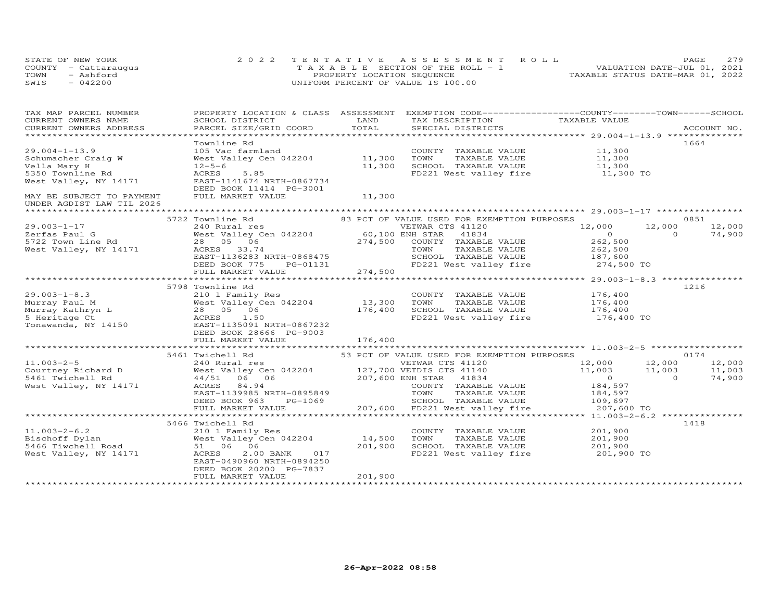| STATE OF NEW YORK    | 2022 TENTATIVE ASSESSMENT ROLL        | <b>PAGE</b>                      | 279 |
|----------------------|---------------------------------------|----------------------------------|-----|
| COUNTY - Cattarauqus | T A X A B L E SECTION OF THE ROLL - 1 | VALUATION DATE-JUL 01, 2021      |     |
| TOWN<br>- Ashford    | PROPERTY LOCATION SEQUENCE            | TAXABLE STATUS DATE-MAR 01, 2022 |     |
| SWIS<br>$-042200$    | UNIFORM PERCENT OF VALUE IS 100.00    |                                  |     |

| TAX MAP PARCEL NUMBER                       | PROPERTY LOCATION & CLASS ASSESSMENT EXEMPTION CODE----------------COUNTY-------TOWN------SCHOOL                                                                                                                                             |         |                                                                                                                                     |                                                                 |      |
|---------------------------------------------|----------------------------------------------------------------------------------------------------------------------------------------------------------------------------------------------------------------------------------------------|---------|-------------------------------------------------------------------------------------------------------------------------------------|-----------------------------------------------------------------|------|
|                                             | CURRENT OWNERS NOWELL SUITS ACCOUNT NO AND THE CONSUMERT OWNERS ADDRESS FOR BURGEL SIZE/GRID COORD TOTAL TAX DESCRIPTION TAXABLE VALUE<br>CURRENT OWNERS ADDRESS PARCEL SIZE/GRID COORD TOTAL SPECIAL DISTRICTS ACCOUNT NO.<br>*****         |         |                                                                                                                                     |                                                                 |      |
|                                             |                                                                                                                                                                                                                                              |         |                                                                                                                                     |                                                                 |      |
|                                             |                                                                                                                                                                                                                                              |         |                                                                                                                                     |                                                                 |      |
|                                             | Townline Rd                                                                                                                                                                                                                                  |         |                                                                                                                                     |                                                                 | 1664 |
| $29.004 - 1 - 13.9$                         |                                                                                                                                                                                                                                              |         | COUNTY TAXABLE VALUE $11,300$<br>TOWN TAXABLE VALUE $11,300$<br>SCHOOL TAXABLE VALUE $11,300$<br>FD221 West valley fire $11,300$ TO |                                                                 |      |
| Schumacher Craig W                          |                                                                                                                                                                                                                                              |         |                                                                                                                                     |                                                                 |      |
| Vella Mary H                                | 12-5-6<br>ACRES 5.85                                                                                                                                                                                                                         | 11,300  |                                                                                                                                     |                                                                 |      |
| 5350 Townline Rd                            | West Valley, NY 14171 EAST-1141674 NRTH-0867734                                                                                                                                                                                              |         |                                                                                                                                     |                                                                 |      |
|                                             | DEED BOOK 11414 PG-3001                                                                                                                                                                                                                      |         |                                                                                                                                     |                                                                 |      |
| MAY BE SUBJECT TO PAYMENT FULL MARKET VALUE |                                                                                                                                                                                                                                              | 11,300  |                                                                                                                                     |                                                                 |      |
| UNDER AGDIST LAW TIL 2026                   |                                                                                                                                                                                                                                              |         |                                                                                                                                     |                                                                 |      |
|                                             |                                                                                                                                                                                                                                              |         |                                                                                                                                     |                                                                 |      |
|                                             | 5722 Townline Rd<br>83 PCT OF VALUE USED FOR EXEMPTION PURPOSES                                                                                                                                                                              |         |                                                                                                                                     |                                                                 | 0851 |
|                                             |                                                                                                                                                                                                                                              |         |                                                                                                                                     |                                                                 |      |
|                                             |                                                                                                                                                                                                                                              |         |                                                                                                                                     |                                                                 |      |
|                                             |                                                                                                                                                                                                                                              |         |                                                                                                                                     |                                                                 |      |
|                                             |                                                                                                                                                                                                                                              |         |                                                                                                                                     |                                                                 |      |
|                                             |                                                                                                                                                                                                                                              |         |                                                                                                                                     |                                                                 |      |
|                                             |                                                                                                                                                                                                                                              |         |                                                                                                                                     |                                                                 |      |
|                                             |                                                                                                                                                                                                                                              |         |                                                                                                                                     |                                                                 |      |
|                                             | 29.003-1-17<br>240 Rural res<br>240 Rural res<br>274,500 CONFERE 21120 12,000 12,000 12,000 12,000 12,000 12,000<br>274,500 CONFERE 41834<br>274,500 CONFERE VALUE 262,500<br>274,500 CONFERE VALUE 262,500<br>274,500 EAST-1136283 NRTH-086 |         |                                                                                                                                     |                                                                 |      |
|                                             | 5798 Townline Rd                                                                                                                                                                                                                             |         |                                                                                                                                     |                                                                 | 1216 |
|                                             |                                                                                                                                                                                                                                              |         |                                                                                                                                     |                                                                 |      |
|                                             |                                                                                                                                                                                                                                              |         |                                                                                                                                     |                                                                 |      |
|                                             |                                                                                                                                                                                                                                              |         |                                                                                                                                     |                                                                 |      |
|                                             |                                                                                                                                                                                                                                              |         |                                                                                                                                     |                                                                 |      |
|                                             |                                                                                                                                                                                                                                              |         |                                                                                                                                     |                                                                 |      |
|                                             |                                                                                                                                                                                                                                              |         |                                                                                                                                     |                                                                 |      |
|                                             | 210 1 Family Res<br>Murray Faul M<br>Murray Kathryn L<br>28 05 06 176,400 SCHOOL TAXABLE VALUE 176,400<br>Tonawanda, NY 14150 28 05 06 176,400 SCHOOL TAXABLE VALUE 176,400<br>28 05 06 176,400 SCHOOL TAXABLE VALUE 176,400<br>28 05 06 1   |         |                                                                                                                                     |                                                                 |      |
|                                             |                                                                                                                                                                                                                                              |         |                                                                                                                                     |                                                                 |      |
|                                             |                                                                                                                                                                                                                                              |         |                                                                                                                                     |                                                                 |      |
|                                             |                                                                                                                                                                                                                                              |         |                                                                                                                                     |                                                                 |      |
|                                             |                                                                                                                                                                                                                                              |         |                                                                                                                                     |                                                                 |      |
|                                             |                                                                                                                                                                                                                                              |         |                                                                                                                                     |                                                                 |      |
|                                             |                                                                                                                                                                                                                                              |         |                                                                                                                                     |                                                                 |      |
|                                             |                                                                                                                                                                                                                                              |         |                                                                                                                                     |                                                                 |      |
|                                             |                                                                                                                                                                                                                                              |         |                                                                                                                                     |                                                                 |      |
|                                             |                                                                                                                                                                                                                                              |         |                                                                                                                                     |                                                                 |      |
|                                             |                                                                                                                                                                                                                                              |         |                                                                                                                                     |                                                                 |      |
|                                             | 5466 Twichell Rd                                                                                                                                                                                                                             |         |                                                                                                                                     |                                                                 | 1418 |
|                                             | 11.003-2-6.2<br>Bischoff Dylan<br>5466 Tiwchell Road<br>51 06 06<br>5466 Tiwchell Road<br>51 06 06<br>75.00060 NPTH-0994250<br>75.00060 NPTH-0994250                                                                                         |         | COUNTY TAXABLE VALUE 201,900                                                                                                        |                                                                 |      |
|                                             |                                                                                                                                                                                                                                              |         | TOWN                                                                                                                                | TAXABLE VALUE<br>TAXABLE VALUE 201,900<br>TAXABLE VALUE 201,900 |      |
|                                             |                                                                                                                                                                                                                                              |         | SCHOOL TAXABLE VALUE                                                                                                                |                                                                 |      |
|                                             |                                                                                                                                                                                                                                              |         | FD221 West valley fire 201,900 TO                                                                                                   |                                                                 |      |
|                                             | EAST-0490960 NRTH-0894250                                                                                                                                                                                                                    |         |                                                                                                                                     |                                                                 |      |
|                                             | DEED BOOK 20200 PG-7837                                                                                                                                                                                                                      |         |                                                                                                                                     |                                                                 |      |
|                                             | FULL MARKET VALUE                                                                                                                                                                                                                            | 201,900 |                                                                                                                                     |                                                                 |      |
|                                             |                                                                                                                                                                                                                                              |         |                                                                                                                                     |                                                                 |      |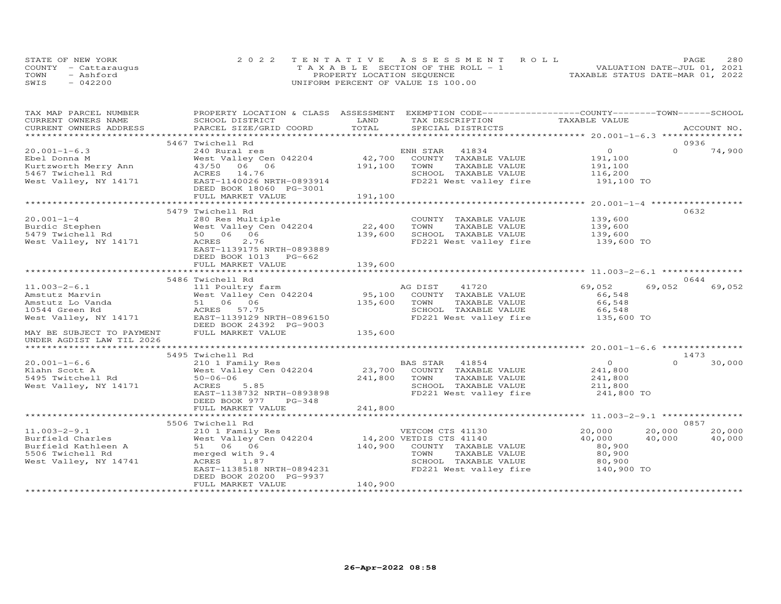|      | STATE OF NEW YORK    | 2022 TENTATIVE ASSESSMENT ROLL        | 280<br>PAGE                      |
|------|----------------------|---------------------------------------|----------------------------------|
|      | COUNTY - Cattarauqus | T A X A B L E SECTION OF THE ROLL - 1 | VALUATION DATE-JUL 01, 2021      |
| TOWN | - Ashford            | PROPERTY LOCATION SEQUENCE            | TAXABLE STATUS DATE-MAR 01, 2022 |
| SWIS | $-042200$            | UNIFORM PERCENT OF VALUE IS 100.00    |                                  |

| TAX MAP PARCEL NUMBER              |                                                |         | PROPERTY LOCATION & CLASS ASSESSMENT EXEMPTION CODE----------------COUNTY-------TOWN------SCHOOL |                |                    |
|------------------------------------|------------------------------------------------|---------|--------------------------------------------------------------------------------------------------|----------------|--------------------|
| CURRENT OWNERS NAME                | SCHOOL DISTRICT                                | LAND    | TAX DESCRIPTION                                                                                  | TAXABLE VALUE  |                    |
| CURRENT OWNERS ADDRESS             | PARCEL SIZE/GRID COORD                         | TOTAL   | SPECIAL DISTRICTS                                                                                |                | ACCOUNT NO.        |
|                                    |                                                |         |                                                                                                  |                |                    |
|                                    | 5467 Twichell Rd                               |         |                                                                                                  |                | 0936               |
| $20.001 - 1 - 6.3$                 | 240 Rural res                                  |         | ENH STAR 41834                                                                                   | $\overline{O}$ | $\Omega$<br>74,900 |
| Ebel Donna M                       | West Valley Cen 042204                         | 42,700  | COUNTY TAXABLE VALUE                                                                             | 191,100        |                    |
| Kurtzworth Merry Ann               | 43/50 06 06                                    | 191,100 | TOWN<br>TAXABLE VALUE                                                                            | 191,100        |                    |
| 5467 Twichell Rd                   | ACRES 14.76                                    |         | SCHOOL TAXABLE VALUE                                                                             | 116,200        |                    |
| West Valley, NY 14171              | AURED 14.75<br>EAST-1140026 NRTH-0893914       |         | FD221 West valley fire                                                                           | 191,100 TO     |                    |
|                                    | DEED BOOK 18060 PG-3001                        |         |                                                                                                  |                |                    |
|                                    |                                                |         |                                                                                                  |                |                    |
|                                    |                                                |         |                                                                                                  |                |                    |
|                                    | 5479 Twichell Rd                               |         |                                                                                                  |                | 0632               |
| $20.001 - 1 - 4$                   | 280 Res Multiple                               |         | COUNTY TAXABLE VALUE                                                                             | 139,600        |                    |
|                                    | West Valley Cen 042204                         | 22,400  | TOWN<br>TAXABLE VALUE                                                                            | 139,600        |                    |
| Burdic Stephen<br>5479 Twichell Rd | West Valley C<br>50   06   06                  | 139,600 | SCHOOL TAXABLE VALUE                                                                             | 139,600        |                    |
| West Valley, NY 14171              | 2.76<br>ACRES                                  |         | FD221 West valley fire                                                                           | 139,600 TO     |                    |
|                                    | EAST-1139175 NRTH-0893889                      |         |                                                                                                  |                |                    |
|                                    | DEED BOOK 1013 PG-662                          |         |                                                                                                  |                |                    |
|                                    | FULL MARKET VALUE                              | 139,600 |                                                                                                  |                |                    |
|                                    |                                                |         |                                                                                                  |                |                    |
|                                    | 5486 Twichell Rd                               |         |                                                                                                  |                | 0644               |
| $11.003 - 2 - 6.1$                 | 111 Poultry farm                               |         | AG DIST 41720                                                                                    | 69,052         | 69,052<br>69,052   |
| Amstutz Marvin                     | West Valley Cen 042204                         |         | 95,100 COUNTY TAXABLE VALUE                                                                      | 66,548         |                    |
| Amstutz Lo Vanda                   | 51 06 06                                       | 135,600 | TOWN<br>TAXABLE VALUE                                                                            | 66,548         |                    |
| 10544 Green Rd                     | ACRES 57.75                                    |         | SCHOOL TAXABLE VALUE                                                                             | 66,548         |                    |
| West Valley, NY 14171              | EAST-1139129 NRTH-0896150                      |         | FD221 West valley fire                                                                           | 135,600 TO     |                    |
|                                    | DEED BOOK 24392 PG-9003                        |         |                                                                                                  |                |                    |
| MAY BE SUBJECT TO PAYMENT          | FULL MARKET VALUE                              | 135,600 |                                                                                                  |                |                    |
| UNDER AGDIST LAW TIL 2026          |                                                |         |                                                                                                  |                |                    |
|                                    |                                                |         |                                                                                                  |                |                    |
|                                    | 5495 Twichell Rd                               |         |                                                                                                  |                | 1473               |
| $20.001 - 1 - 6.6$                 | 210 1 Family Res                               |         | BAS STAR 41854                                                                                   | $\overline{O}$ | 30,000<br>$\Omega$ |
| Klahn Scott A                      | West Valley Cen 042204                         |         | 23,700 COUNTY TAXABLE VALUE                                                                      | 241,800        |                    |
| 5495 Twitchell Rd                  | $50 - 06 - 06$                                 | 241,800 | TOWN<br>TAXABLE VALUE                                                                            | 241,800        |                    |
| West Valley, NY 14171              | ACRES<br>5.85                                  |         | SCHOOL TAXABLE VALUE                                                                             | 211,800        |                    |
|                                    | EAST-1138732 NRTH-0893898                      |         | FD221 West valley fire                                                                           | 241,800 TO     |                    |
|                                    | DEED BOOK 977<br>$PG-348$                      |         |                                                                                                  |                |                    |
|                                    | FULL MARKET VALUE                              | 241,800 |                                                                                                  |                |                    |
|                                    |                                                |         |                                                                                                  |                |                    |
|                                    | 5506 Twichell Rd                               |         |                                                                                                  |                | 0857               |
| $11.003 - 2 - 9.1$                 | 210 1 Family Res                               |         | VETCOM CTS 41130                                                                                 | 20,000         | 20,000<br>20,000   |
| Burfield Charles                   | West Valley Cen 042204 14,200 VETDIS CTS 41140 |         |                                                                                                  | 40,000         | 40,000<br>40,000   |
| Burfield Kathleen A                | 51 06 06                                       |         | 140,900 COUNTY TAXABLE VALUE                                                                     | 80,900         |                    |
| 5506 Twichell Rd                   | merged with 9.4                                |         | TOWN<br>TAXABLE VALUE                                                                            | 80,900         |                    |
| West Valley, NY 14741              | ACRES<br>1.87                                  |         | SCHOOL TAXABLE VALUE                                                                             | 80,900         |                    |
|                                    | EAST-1138518 NRTH-0894231                      |         | FD221 West valley fire 140,900 TO                                                                |                |                    |
|                                    | DEED BOOK 20200 PG-9937                        |         |                                                                                                  |                |                    |
|                                    | FULL MARKET VALUE                              | 140,900 |                                                                                                  |                |                    |
|                                    |                                                |         |                                                                                                  |                |                    |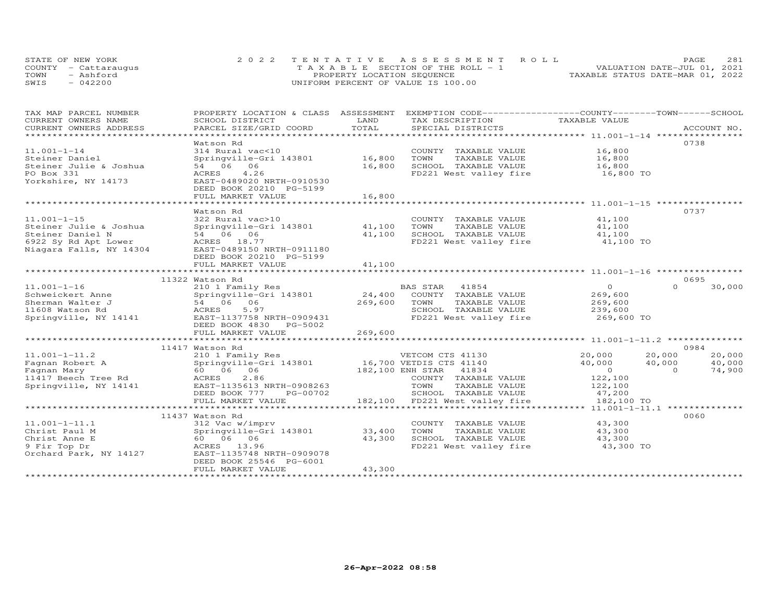|      | STATE OF NEW YORK    | 2022 TENTATIVE ASSESSMENT ROLL        | 281<br>PAGE.                     |
|------|----------------------|---------------------------------------|----------------------------------|
|      | COUNTY - Cattarauqus | T A X A B L E SECTION OF THE ROLL - 1 | VALUATION DATE-JUL 01, 2021      |
| TOWN | - Ashford            | PROPERTY LOCATION SEQUENCE            | TAXABLE STATUS DATE-MAR 01, 2022 |
| SWIS | $-042200$            | UNIFORM PERCENT OF VALUE IS 100.00    |                                  |

| TAX MAP PARCEL NUMBER                         | PROPERTY LOCATION & CLASS                                 |                       | ASSESSMENT EXEMPTION CODE-----------------COUNTY-------TOWN------SCHOOL |                                |                          |  |
|-----------------------------------------------|-----------------------------------------------------------|-----------------------|-------------------------------------------------------------------------|--------------------------------|--------------------------|--|
| CURRENT OWNERS NAME<br>CURRENT OWNERS ADDRESS | SCHOOL DISTRICT<br>PARCEL SIZE/GRID COORD                 | LAND<br>TOTAL         | TAX DESCRIPTION<br>SPECIAL DISTRICTS                                    | TAXABLE VALUE                  | ACCOUNT NO.              |  |
| *************************                     |                                                           |                       |                                                                         |                                |                          |  |
|                                               | Watson Rd                                                 |                       |                                                                         |                                | 0738                     |  |
| $11.001 - 1 - 14$                             | 314 Rural vac<10                                          |                       | COUNTY TAXABLE VALUE                                                    | 16,800                         |                          |  |
| Steiner Daniel                                | Springville-Gri 143801                                    | 16,800                | TOWN<br>TAXABLE VALUE                                                   | 16,800<br>$16,800$<br>$16,800$ |                          |  |
| Steiner Julie & Joshua                        | 54 06 06                                                  | 16,800                | SCHOOL TAXABLE VALUE                                                    |                                |                          |  |
| PO Box 331                                    | ACRES<br>4.26                                             |                       | FD221 West valley fire 16,800 TO                                        |                                |                          |  |
| Yorkshire, NY 14173                           | EAST-0489020 NRTH-0910530                                 |                       |                                                                         |                                |                          |  |
|                                               | DEED BOOK 20210 PG-5199                                   |                       |                                                                         |                                |                          |  |
|                                               | FULL MARKET VALUE<br>************************************ | 16,800<br>*********** |                                                                         |                                |                          |  |
|                                               |                                                           |                       |                                                                         |                                | 0737                     |  |
| $11.001 - 1 - 15$                             | Watson Rd<br>322 Rural vac>10                             |                       | COUNTY TAXABLE VALUE                                                    | 41,100                         |                          |  |
| Steiner Julie & Joshua                        | Springville-Gri 143801                                    | 41,100                | TOWN<br>TAXABLE VALUE                                                   |                                |                          |  |
| Steiner Daniel N                              | 54 06 06                                                  | 41,100                | SCHOOL TAXABLE VALUE                                                    | 41,100<br>41,100               |                          |  |
| 6922 Sy Rd Apt Lower                          | ACRES 18.77                                               |                       | FD221 West valley fire 41,100 TO                                        |                                |                          |  |
| Niagara Falls, NY 14304                       | EAST-0489150 NRTH-0911180                                 |                       |                                                                         |                                |                          |  |
|                                               | DEED BOOK 20210 PG-5199                                   |                       |                                                                         |                                |                          |  |
|                                               | FULL MARKET VALUE                                         | 41,100                |                                                                         |                                |                          |  |
|                                               |                                                           | **************        |                                                                         |                                |                          |  |
|                                               | 11322 Watson Rd                                           |                       |                                                                         |                                | 0695                     |  |
| $11.001 - 1 - 16$                             | 210 1 Family Res                                          |                       | BAS STAR 41854                                                          | $\overline{O}$                 | $\Omega$<br>30,000       |  |
| Schweickert Anne                              | Springville-Gri 143801<br>54 06 06                        | 24,400                | COUNTY TAXABLE VALUE                                                    | 269,600                        |                          |  |
| Sherman Walter J                              |                                                           | 269,600               | TOWN<br>TAXABLE VALUE                                                   | 269,600                        |                          |  |
| 11608 Watson Rd                               | ACRES<br>5.97                                             |                       | SCHOOL TAXABLE VALUE                                                    | 239,600                        |                          |  |
| Springville, NY 14141                         | EAST-1137758 NRTH-0909431                                 |                       | FD221 West valley fire                                                  | 269,600 TO                     |                          |  |
|                                               | DEED BOOK 4830 PG-5002                                    |                       |                                                                         |                                |                          |  |
|                                               | FULL MARKET VALUE                                         | 269,600               |                                                                         |                                |                          |  |
|                                               |                                                           |                       |                                                                         |                                |                          |  |
|                                               | 11417 Watson Rd                                           |                       |                                                                         |                                | 0984                     |  |
| $11.001 - 1 - 11.2$                           | 210 1 Family Res                                          |                       | VETCOM CTS 41130                                                        | 20,000                         | 20,000<br>20,000         |  |
| Fagnan Robert A                               | Springville-Gri 143801 16,700 VETDIS CTS 41140            |                       |                                                                         | 40,000                         | 40,000<br>40,000         |  |
| Fagnan Mary                                   | 60  06  06                                                |                       | 182,100 ENH STAR 41834                                                  | $\overline{O}$                 | 74,900<br>$\overline{O}$ |  |
| 11417 Beech Tree Rd                           | ACRES<br>2.86                                             |                       | COUNTY TAXABLE VALUE                                                    | 122,100                        |                          |  |
| Springville, NY 14141                         | EAST-1135613 NRTH-0908263                                 |                       | TOWN<br>TAXABLE VALUE                                                   | 122,100                        |                          |  |
|                                               | DEED BOOK 777<br>PG-00702                                 |                       | SCHOOL TAXABLE VALUE                                                    | 47,200                         |                          |  |
|                                               | FULL MARKET VALUE                                         |                       | 182,100 FD221 West valley fire                                          | 182,100 TO                     |                          |  |
|                                               |                                                           |                       |                                                                         |                                |                          |  |
|                                               | 11437 Watson Rd                                           |                       |                                                                         |                                | 0060                     |  |
| $11.001 - 1 - 11.1$                           | 312 Vac w/imprv                                           |                       | COUNTY TAXABLE VALUE                                                    | 43,300                         |                          |  |
| Christ Paul M                                 | Springville-Gri 143801                                    | 33,400                | TOWN<br>TAXABLE VALUE                                                   | 43,300                         |                          |  |
| Christ Anne E                                 | 60 06 06                                                  | 43,300                | SCHOOL TAXABLE VALUE                                                    | 43,300                         |                          |  |
| 9 Fir Top Dr                                  | ACRES 13.96                                               |                       | FD221 West valley fire                                                  | 43,300 TO                      |                          |  |
| Orchard Park, NY 14127                        | EAST-1135748 NRTH-0909078                                 |                       |                                                                         |                                |                          |  |
|                                               | DEED BOOK 25546 PG-6001                                   | 43,300                |                                                                         |                                |                          |  |
|                                               | FULL MARKET VALUE                                         |                       |                                                                         |                                |                          |  |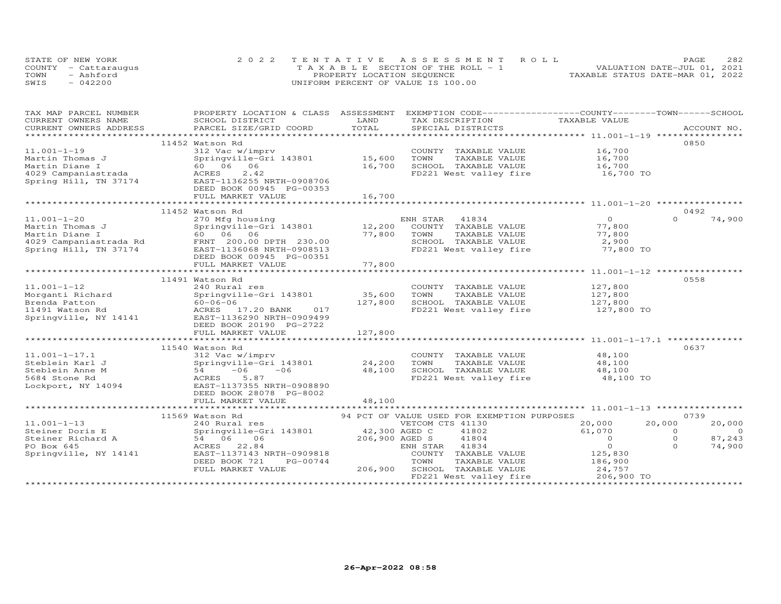| STATE OF NEW YORK    | 2022 TENTATIVE ASSESSMENT ROLL        | 282<br>PAGE.                     |
|----------------------|---------------------------------------|----------------------------------|
| COUNTY - Cattaraugus | T A X A B L E SECTION OF THE ROLL - 1 | VALUATION DATE-JUL 01, 2021      |
| TOWN<br>- Ashford    | PROPERTY LOCATION SEQUENCE            | TAXABLE STATUS DATE-MAR 01, 2022 |
| SWIS<br>$-042200$    | UNIFORM PERCENT OF VALUE IS 100.00    |                                  |

| CURRENT OWNERS NAME<br>LAND<br>TAXABLE VALUE<br>SCHOOL DISTRICT<br>TAX DESCRIPTION<br>TOTAL<br>PARCEL SIZE/GRID COORD<br>CURRENT OWNERS ADDRESS<br>SPECIAL DISTRICTS<br>ACCOUNT NO.<br>0850<br>11452 Watson Rd<br>$11.001 - 1 - 19$<br>312 Vac w/imprv<br>COUNTY TAXABLE VALUE<br>16,700<br>Springville-Gri 143801 15,600<br>TOWN<br>TAXABLE VALUE<br>Martin Thomas J<br>16,700<br>SCHOOL TAXABLE VALUE<br>Martin Diane I<br>60 06 06<br>$\frac{16,100}{16,700}$ TO<br>2.42<br>FD221 West valley fire<br>4029 Campaniastrada<br>ACRES<br>Spring Hill, TN 37174<br>EAST-1136255 NRTH-0908706<br>DEED BOOK 00945 PG-00353<br>16,700<br>FULL MARKET VALUE<br>11452 Watson Rd<br>0492<br>74,900<br>$11.001 - 1 - 20$<br>$\Omega$<br>$\Omega$<br>270 Mfg housing<br>ENH STAR 41834<br>12,200<br>COUNTY TAXABLE VALUE<br>Martin Thomas J<br>77,800<br>77,800<br>TOWN<br>77,800<br>Martin Diane I<br>TAXABLE VALUE<br>4029 Campaniastrada Rd<br>Spring Hill, TN 37174 EAST-1136068 NRTH-0908513<br>SCHOOL TAXABLE VALUE<br>2,900<br>FD221 West valley fire<br>77,800 TO<br>DEED BOOK 00945 PG-00351<br>77,800<br>FULL MARKET VALUE<br>0558<br>11491 Watson Rd<br>$11.001 - 1 - 12$<br>127,800<br>127,800<br>240 Rural res<br>COUNTY TAXABLE VALUE<br>35,600<br>Morganti Richard<br>Springville-Gri 143801<br>TOWN<br>TAXABLE VALUE<br>127,800<br>127,800<br>SCHOOL TAXABLE VALUE<br>Brenda Patton<br>60-06-06<br>ACRES<br>ACRES 17.20 BANK 017<br>FD221 West valley fire<br>11491 Watson Rd<br>127,800 TO<br>Springville, NY 14141 EAST-1136290 NRTH-0909499<br>DEED BOOK 20190 PG-2722<br>FULL MARKET VALUE<br>127,800<br>0637<br>11540 Watson Rd<br>48,100<br>$11.001 - 1 - 17.1$<br>312 Vac w/imprv<br>COUNTY TAXABLE VALUE<br>Springville-Gri 143801<br>24,200<br>TOWN<br>Steblein Karl J<br>TAXABLE VALUE<br>48,100<br>$54 -06$<br>$-06$<br>48,100<br>SCHOOL TAXABLE VALUE<br>48,100<br>Steblein Anne M<br>FD221 West valley fire 48,100 TO<br>ACRES<br>5.87<br>5684 Stone Rd<br>EAST-1137355 NRTH-0908890<br>Lockport, NY 14094<br>DEED BOOK 28078 PG-8002<br>48,100<br>FULL MARKET VALUE<br>**********************************<br>11569 Watson Rd<br>94 PCT OF VALUE USED FOR EXEMPTION PURPOSES<br>0739<br>$11.001 - 1 - 13$<br>VETCOM CTS 41130<br>20,000<br>240 Rural res<br>20,000<br>20,000<br>Springville-Gri 143801<br>42,300 AGED C<br>206,900 AGED S<br>61,070<br>$\overline{0}$<br>Steiner Doris E<br>Springvi<br>54 06<br>41802<br>$\Omega$<br>206,900 AGED S<br>$\Omega$<br>87,243<br>41804<br>$\overline{O}$<br>Steiner Richard A<br>06<br>$\circ$<br>$\Omega$<br>PO Box 645<br>22.84<br>ENH STAR 41834<br>74,900<br>ACRES<br>Springville, NY 14141<br>EAST-1137143 NRTH-0909818<br>COUNTY TAXABLE VALUE<br>125,830<br>DEED BOOK 721<br>PG-00744<br>TAXABLE VALUE<br>186,900<br>TOWN<br>24,757<br>206,900<br>FULL MARKET VALUE<br>SCHOOL TAXABLE VALUE<br>FD221 West valley fire<br>206,900 TO | TAX MAP PARCEL NUMBER | PROPERTY LOCATION & CLASS ASSESSMENT | EXEMPTION CODE-----------------COUNTY-------TOWN------SCHOOL |  |
|-------------------------------------------------------------------------------------------------------------------------------------------------------------------------------------------------------------------------------------------------------------------------------------------------------------------------------------------------------------------------------------------------------------------------------------------------------------------------------------------------------------------------------------------------------------------------------------------------------------------------------------------------------------------------------------------------------------------------------------------------------------------------------------------------------------------------------------------------------------------------------------------------------------------------------------------------------------------------------------------------------------------------------------------------------------------------------------------------------------------------------------------------------------------------------------------------------------------------------------------------------------------------------------------------------------------------------------------------------------------------------------------------------------------------------------------------------------------------------------------------------------------------------------------------------------------------------------------------------------------------------------------------------------------------------------------------------------------------------------------------------------------------------------------------------------------------------------------------------------------------------------------------------------------------------------------------------------------------------------------------------------------------------------------------------------------------------------------------------------------------------------------------------------------------------------------------------------------------------------------------------------------------------------------------------------------------------------------------------------------------------------------------------------------------------------------------------------------------------------------------------------------------------------------------------------------------------------------------------------------------------------------------------------------------------------------------------------------------------------------------------------------------------------------------------------------------------------------------------------------------------------------------------------|-----------------------|--------------------------------------|--------------------------------------------------------------|--|
|                                                                                                                                                                                                                                                                                                                                                                                                                                                                                                                                                                                                                                                                                                                                                                                                                                                                                                                                                                                                                                                                                                                                                                                                                                                                                                                                                                                                                                                                                                                                                                                                                                                                                                                                                                                                                                                                                                                                                                                                                                                                                                                                                                                                                                                                                                                                                                                                                                                                                                                                                                                                                                                                                                                                                                                                                                                                                                             |                       |                                      |                                                              |  |
|                                                                                                                                                                                                                                                                                                                                                                                                                                                                                                                                                                                                                                                                                                                                                                                                                                                                                                                                                                                                                                                                                                                                                                                                                                                                                                                                                                                                                                                                                                                                                                                                                                                                                                                                                                                                                                                                                                                                                                                                                                                                                                                                                                                                                                                                                                                                                                                                                                                                                                                                                                                                                                                                                                                                                                                                                                                                                                             |                       |                                      |                                                              |  |
|                                                                                                                                                                                                                                                                                                                                                                                                                                                                                                                                                                                                                                                                                                                                                                                                                                                                                                                                                                                                                                                                                                                                                                                                                                                                                                                                                                                                                                                                                                                                                                                                                                                                                                                                                                                                                                                                                                                                                                                                                                                                                                                                                                                                                                                                                                                                                                                                                                                                                                                                                                                                                                                                                                                                                                                                                                                                                                             |                       |                                      |                                                              |  |
|                                                                                                                                                                                                                                                                                                                                                                                                                                                                                                                                                                                                                                                                                                                                                                                                                                                                                                                                                                                                                                                                                                                                                                                                                                                                                                                                                                                                                                                                                                                                                                                                                                                                                                                                                                                                                                                                                                                                                                                                                                                                                                                                                                                                                                                                                                                                                                                                                                                                                                                                                                                                                                                                                                                                                                                                                                                                                                             |                       |                                      |                                                              |  |
|                                                                                                                                                                                                                                                                                                                                                                                                                                                                                                                                                                                                                                                                                                                                                                                                                                                                                                                                                                                                                                                                                                                                                                                                                                                                                                                                                                                                                                                                                                                                                                                                                                                                                                                                                                                                                                                                                                                                                                                                                                                                                                                                                                                                                                                                                                                                                                                                                                                                                                                                                                                                                                                                                                                                                                                                                                                                                                             |                       |                                      |                                                              |  |
|                                                                                                                                                                                                                                                                                                                                                                                                                                                                                                                                                                                                                                                                                                                                                                                                                                                                                                                                                                                                                                                                                                                                                                                                                                                                                                                                                                                                                                                                                                                                                                                                                                                                                                                                                                                                                                                                                                                                                                                                                                                                                                                                                                                                                                                                                                                                                                                                                                                                                                                                                                                                                                                                                                                                                                                                                                                                                                             |                       |                                      |                                                              |  |
|                                                                                                                                                                                                                                                                                                                                                                                                                                                                                                                                                                                                                                                                                                                                                                                                                                                                                                                                                                                                                                                                                                                                                                                                                                                                                                                                                                                                                                                                                                                                                                                                                                                                                                                                                                                                                                                                                                                                                                                                                                                                                                                                                                                                                                                                                                                                                                                                                                                                                                                                                                                                                                                                                                                                                                                                                                                                                                             |                       |                                      |                                                              |  |
|                                                                                                                                                                                                                                                                                                                                                                                                                                                                                                                                                                                                                                                                                                                                                                                                                                                                                                                                                                                                                                                                                                                                                                                                                                                                                                                                                                                                                                                                                                                                                                                                                                                                                                                                                                                                                                                                                                                                                                                                                                                                                                                                                                                                                                                                                                                                                                                                                                                                                                                                                                                                                                                                                                                                                                                                                                                                                                             |                       |                                      |                                                              |  |
|                                                                                                                                                                                                                                                                                                                                                                                                                                                                                                                                                                                                                                                                                                                                                                                                                                                                                                                                                                                                                                                                                                                                                                                                                                                                                                                                                                                                                                                                                                                                                                                                                                                                                                                                                                                                                                                                                                                                                                                                                                                                                                                                                                                                                                                                                                                                                                                                                                                                                                                                                                                                                                                                                                                                                                                                                                                                                                             |                       |                                      |                                                              |  |
|                                                                                                                                                                                                                                                                                                                                                                                                                                                                                                                                                                                                                                                                                                                                                                                                                                                                                                                                                                                                                                                                                                                                                                                                                                                                                                                                                                                                                                                                                                                                                                                                                                                                                                                                                                                                                                                                                                                                                                                                                                                                                                                                                                                                                                                                                                                                                                                                                                                                                                                                                                                                                                                                                                                                                                                                                                                                                                             |                       |                                      |                                                              |  |
|                                                                                                                                                                                                                                                                                                                                                                                                                                                                                                                                                                                                                                                                                                                                                                                                                                                                                                                                                                                                                                                                                                                                                                                                                                                                                                                                                                                                                                                                                                                                                                                                                                                                                                                                                                                                                                                                                                                                                                                                                                                                                                                                                                                                                                                                                                                                                                                                                                                                                                                                                                                                                                                                                                                                                                                                                                                                                                             |                       |                                      |                                                              |  |
|                                                                                                                                                                                                                                                                                                                                                                                                                                                                                                                                                                                                                                                                                                                                                                                                                                                                                                                                                                                                                                                                                                                                                                                                                                                                                                                                                                                                                                                                                                                                                                                                                                                                                                                                                                                                                                                                                                                                                                                                                                                                                                                                                                                                                                                                                                                                                                                                                                                                                                                                                                                                                                                                                                                                                                                                                                                                                                             |                       |                                      |                                                              |  |
|                                                                                                                                                                                                                                                                                                                                                                                                                                                                                                                                                                                                                                                                                                                                                                                                                                                                                                                                                                                                                                                                                                                                                                                                                                                                                                                                                                                                                                                                                                                                                                                                                                                                                                                                                                                                                                                                                                                                                                                                                                                                                                                                                                                                                                                                                                                                                                                                                                                                                                                                                                                                                                                                                                                                                                                                                                                                                                             |                       |                                      |                                                              |  |
|                                                                                                                                                                                                                                                                                                                                                                                                                                                                                                                                                                                                                                                                                                                                                                                                                                                                                                                                                                                                                                                                                                                                                                                                                                                                                                                                                                                                                                                                                                                                                                                                                                                                                                                                                                                                                                                                                                                                                                                                                                                                                                                                                                                                                                                                                                                                                                                                                                                                                                                                                                                                                                                                                                                                                                                                                                                                                                             |                       |                                      |                                                              |  |
|                                                                                                                                                                                                                                                                                                                                                                                                                                                                                                                                                                                                                                                                                                                                                                                                                                                                                                                                                                                                                                                                                                                                                                                                                                                                                                                                                                                                                                                                                                                                                                                                                                                                                                                                                                                                                                                                                                                                                                                                                                                                                                                                                                                                                                                                                                                                                                                                                                                                                                                                                                                                                                                                                                                                                                                                                                                                                                             |                       |                                      |                                                              |  |
|                                                                                                                                                                                                                                                                                                                                                                                                                                                                                                                                                                                                                                                                                                                                                                                                                                                                                                                                                                                                                                                                                                                                                                                                                                                                                                                                                                                                                                                                                                                                                                                                                                                                                                                                                                                                                                                                                                                                                                                                                                                                                                                                                                                                                                                                                                                                                                                                                                                                                                                                                                                                                                                                                                                                                                                                                                                                                                             |                       |                                      |                                                              |  |
|                                                                                                                                                                                                                                                                                                                                                                                                                                                                                                                                                                                                                                                                                                                                                                                                                                                                                                                                                                                                                                                                                                                                                                                                                                                                                                                                                                                                                                                                                                                                                                                                                                                                                                                                                                                                                                                                                                                                                                                                                                                                                                                                                                                                                                                                                                                                                                                                                                                                                                                                                                                                                                                                                                                                                                                                                                                                                                             |                       |                                      |                                                              |  |
|                                                                                                                                                                                                                                                                                                                                                                                                                                                                                                                                                                                                                                                                                                                                                                                                                                                                                                                                                                                                                                                                                                                                                                                                                                                                                                                                                                                                                                                                                                                                                                                                                                                                                                                                                                                                                                                                                                                                                                                                                                                                                                                                                                                                                                                                                                                                                                                                                                                                                                                                                                                                                                                                                                                                                                                                                                                                                                             |                       |                                      |                                                              |  |
|                                                                                                                                                                                                                                                                                                                                                                                                                                                                                                                                                                                                                                                                                                                                                                                                                                                                                                                                                                                                                                                                                                                                                                                                                                                                                                                                                                                                                                                                                                                                                                                                                                                                                                                                                                                                                                                                                                                                                                                                                                                                                                                                                                                                                                                                                                                                                                                                                                                                                                                                                                                                                                                                                                                                                                                                                                                                                                             |                       |                                      |                                                              |  |
|                                                                                                                                                                                                                                                                                                                                                                                                                                                                                                                                                                                                                                                                                                                                                                                                                                                                                                                                                                                                                                                                                                                                                                                                                                                                                                                                                                                                                                                                                                                                                                                                                                                                                                                                                                                                                                                                                                                                                                                                                                                                                                                                                                                                                                                                                                                                                                                                                                                                                                                                                                                                                                                                                                                                                                                                                                                                                                             |                       |                                      |                                                              |  |
|                                                                                                                                                                                                                                                                                                                                                                                                                                                                                                                                                                                                                                                                                                                                                                                                                                                                                                                                                                                                                                                                                                                                                                                                                                                                                                                                                                                                                                                                                                                                                                                                                                                                                                                                                                                                                                                                                                                                                                                                                                                                                                                                                                                                                                                                                                                                                                                                                                                                                                                                                                                                                                                                                                                                                                                                                                                                                                             |                       |                                      |                                                              |  |
|                                                                                                                                                                                                                                                                                                                                                                                                                                                                                                                                                                                                                                                                                                                                                                                                                                                                                                                                                                                                                                                                                                                                                                                                                                                                                                                                                                                                                                                                                                                                                                                                                                                                                                                                                                                                                                                                                                                                                                                                                                                                                                                                                                                                                                                                                                                                                                                                                                                                                                                                                                                                                                                                                                                                                                                                                                                                                                             |                       |                                      |                                                              |  |
|                                                                                                                                                                                                                                                                                                                                                                                                                                                                                                                                                                                                                                                                                                                                                                                                                                                                                                                                                                                                                                                                                                                                                                                                                                                                                                                                                                                                                                                                                                                                                                                                                                                                                                                                                                                                                                                                                                                                                                                                                                                                                                                                                                                                                                                                                                                                                                                                                                                                                                                                                                                                                                                                                                                                                                                                                                                                                                             |                       |                                      |                                                              |  |
|                                                                                                                                                                                                                                                                                                                                                                                                                                                                                                                                                                                                                                                                                                                                                                                                                                                                                                                                                                                                                                                                                                                                                                                                                                                                                                                                                                                                                                                                                                                                                                                                                                                                                                                                                                                                                                                                                                                                                                                                                                                                                                                                                                                                                                                                                                                                                                                                                                                                                                                                                                                                                                                                                                                                                                                                                                                                                                             |                       |                                      |                                                              |  |
|                                                                                                                                                                                                                                                                                                                                                                                                                                                                                                                                                                                                                                                                                                                                                                                                                                                                                                                                                                                                                                                                                                                                                                                                                                                                                                                                                                                                                                                                                                                                                                                                                                                                                                                                                                                                                                                                                                                                                                                                                                                                                                                                                                                                                                                                                                                                                                                                                                                                                                                                                                                                                                                                                                                                                                                                                                                                                                             |                       |                                      |                                                              |  |
|                                                                                                                                                                                                                                                                                                                                                                                                                                                                                                                                                                                                                                                                                                                                                                                                                                                                                                                                                                                                                                                                                                                                                                                                                                                                                                                                                                                                                                                                                                                                                                                                                                                                                                                                                                                                                                                                                                                                                                                                                                                                                                                                                                                                                                                                                                                                                                                                                                                                                                                                                                                                                                                                                                                                                                                                                                                                                                             |                       |                                      |                                                              |  |
|                                                                                                                                                                                                                                                                                                                                                                                                                                                                                                                                                                                                                                                                                                                                                                                                                                                                                                                                                                                                                                                                                                                                                                                                                                                                                                                                                                                                                                                                                                                                                                                                                                                                                                                                                                                                                                                                                                                                                                                                                                                                                                                                                                                                                                                                                                                                                                                                                                                                                                                                                                                                                                                                                                                                                                                                                                                                                                             |                       |                                      |                                                              |  |
|                                                                                                                                                                                                                                                                                                                                                                                                                                                                                                                                                                                                                                                                                                                                                                                                                                                                                                                                                                                                                                                                                                                                                                                                                                                                                                                                                                                                                                                                                                                                                                                                                                                                                                                                                                                                                                                                                                                                                                                                                                                                                                                                                                                                                                                                                                                                                                                                                                                                                                                                                                                                                                                                                                                                                                                                                                                                                                             |                       |                                      |                                                              |  |
|                                                                                                                                                                                                                                                                                                                                                                                                                                                                                                                                                                                                                                                                                                                                                                                                                                                                                                                                                                                                                                                                                                                                                                                                                                                                                                                                                                                                                                                                                                                                                                                                                                                                                                                                                                                                                                                                                                                                                                                                                                                                                                                                                                                                                                                                                                                                                                                                                                                                                                                                                                                                                                                                                                                                                                                                                                                                                                             |                       |                                      |                                                              |  |
|                                                                                                                                                                                                                                                                                                                                                                                                                                                                                                                                                                                                                                                                                                                                                                                                                                                                                                                                                                                                                                                                                                                                                                                                                                                                                                                                                                                                                                                                                                                                                                                                                                                                                                                                                                                                                                                                                                                                                                                                                                                                                                                                                                                                                                                                                                                                                                                                                                                                                                                                                                                                                                                                                                                                                                                                                                                                                                             |                       |                                      |                                                              |  |
|                                                                                                                                                                                                                                                                                                                                                                                                                                                                                                                                                                                                                                                                                                                                                                                                                                                                                                                                                                                                                                                                                                                                                                                                                                                                                                                                                                                                                                                                                                                                                                                                                                                                                                                                                                                                                                                                                                                                                                                                                                                                                                                                                                                                                                                                                                                                                                                                                                                                                                                                                                                                                                                                                                                                                                                                                                                                                                             |                       |                                      |                                                              |  |
|                                                                                                                                                                                                                                                                                                                                                                                                                                                                                                                                                                                                                                                                                                                                                                                                                                                                                                                                                                                                                                                                                                                                                                                                                                                                                                                                                                                                                                                                                                                                                                                                                                                                                                                                                                                                                                                                                                                                                                                                                                                                                                                                                                                                                                                                                                                                                                                                                                                                                                                                                                                                                                                                                                                                                                                                                                                                                                             |                       |                                      |                                                              |  |
|                                                                                                                                                                                                                                                                                                                                                                                                                                                                                                                                                                                                                                                                                                                                                                                                                                                                                                                                                                                                                                                                                                                                                                                                                                                                                                                                                                                                                                                                                                                                                                                                                                                                                                                                                                                                                                                                                                                                                                                                                                                                                                                                                                                                                                                                                                                                                                                                                                                                                                                                                                                                                                                                                                                                                                                                                                                                                                             |                       |                                      |                                                              |  |
|                                                                                                                                                                                                                                                                                                                                                                                                                                                                                                                                                                                                                                                                                                                                                                                                                                                                                                                                                                                                                                                                                                                                                                                                                                                                                                                                                                                                                                                                                                                                                                                                                                                                                                                                                                                                                                                                                                                                                                                                                                                                                                                                                                                                                                                                                                                                                                                                                                                                                                                                                                                                                                                                                                                                                                                                                                                                                                             |                       |                                      |                                                              |  |
|                                                                                                                                                                                                                                                                                                                                                                                                                                                                                                                                                                                                                                                                                                                                                                                                                                                                                                                                                                                                                                                                                                                                                                                                                                                                                                                                                                                                                                                                                                                                                                                                                                                                                                                                                                                                                                                                                                                                                                                                                                                                                                                                                                                                                                                                                                                                                                                                                                                                                                                                                                                                                                                                                                                                                                                                                                                                                                             |                       |                                      |                                                              |  |
|                                                                                                                                                                                                                                                                                                                                                                                                                                                                                                                                                                                                                                                                                                                                                                                                                                                                                                                                                                                                                                                                                                                                                                                                                                                                                                                                                                                                                                                                                                                                                                                                                                                                                                                                                                                                                                                                                                                                                                                                                                                                                                                                                                                                                                                                                                                                                                                                                                                                                                                                                                                                                                                                                                                                                                                                                                                                                                             |                       |                                      |                                                              |  |
|                                                                                                                                                                                                                                                                                                                                                                                                                                                                                                                                                                                                                                                                                                                                                                                                                                                                                                                                                                                                                                                                                                                                                                                                                                                                                                                                                                                                                                                                                                                                                                                                                                                                                                                                                                                                                                                                                                                                                                                                                                                                                                                                                                                                                                                                                                                                                                                                                                                                                                                                                                                                                                                                                                                                                                                                                                                                                                             |                       |                                      |                                                              |  |
|                                                                                                                                                                                                                                                                                                                                                                                                                                                                                                                                                                                                                                                                                                                                                                                                                                                                                                                                                                                                                                                                                                                                                                                                                                                                                                                                                                                                                                                                                                                                                                                                                                                                                                                                                                                                                                                                                                                                                                                                                                                                                                                                                                                                                                                                                                                                                                                                                                                                                                                                                                                                                                                                                                                                                                                                                                                                                                             |                       |                                      |                                                              |  |
|                                                                                                                                                                                                                                                                                                                                                                                                                                                                                                                                                                                                                                                                                                                                                                                                                                                                                                                                                                                                                                                                                                                                                                                                                                                                                                                                                                                                                                                                                                                                                                                                                                                                                                                                                                                                                                                                                                                                                                                                                                                                                                                                                                                                                                                                                                                                                                                                                                                                                                                                                                                                                                                                                                                                                                                                                                                                                                             |                       |                                      |                                                              |  |
|                                                                                                                                                                                                                                                                                                                                                                                                                                                                                                                                                                                                                                                                                                                                                                                                                                                                                                                                                                                                                                                                                                                                                                                                                                                                                                                                                                                                                                                                                                                                                                                                                                                                                                                                                                                                                                                                                                                                                                                                                                                                                                                                                                                                                                                                                                                                                                                                                                                                                                                                                                                                                                                                                                                                                                                                                                                                                                             |                       |                                      |                                                              |  |
|                                                                                                                                                                                                                                                                                                                                                                                                                                                                                                                                                                                                                                                                                                                                                                                                                                                                                                                                                                                                                                                                                                                                                                                                                                                                                                                                                                                                                                                                                                                                                                                                                                                                                                                                                                                                                                                                                                                                                                                                                                                                                                                                                                                                                                                                                                                                                                                                                                                                                                                                                                                                                                                                                                                                                                                                                                                                                                             |                       |                                      |                                                              |  |
|                                                                                                                                                                                                                                                                                                                                                                                                                                                                                                                                                                                                                                                                                                                                                                                                                                                                                                                                                                                                                                                                                                                                                                                                                                                                                                                                                                                                                                                                                                                                                                                                                                                                                                                                                                                                                                                                                                                                                                                                                                                                                                                                                                                                                                                                                                                                                                                                                                                                                                                                                                                                                                                                                                                                                                                                                                                                                                             |                       |                                      |                                                              |  |
|                                                                                                                                                                                                                                                                                                                                                                                                                                                                                                                                                                                                                                                                                                                                                                                                                                                                                                                                                                                                                                                                                                                                                                                                                                                                                                                                                                                                                                                                                                                                                                                                                                                                                                                                                                                                                                                                                                                                                                                                                                                                                                                                                                                                                                                                                                                                                                                                                                                                                                                                                                                                                                                                                                                                                                                                                                                                                                             |                       |                                      |                                                              |  |
|                                                                                                                                                                                                                                                                                                                                                                                                                                                                                                                                                                                                                                                                                                                                                                                                                                                                                                                                                                                                                                                                                                                                                                                                                                                                                                                                                                                                                                                                                                                                                                                                                                                                                                                                                                                                                                                                                                                                                                                                                                                                                                                                                                                                                                                                                                                                                                                                                                                                                                                                                                                                                                                                                                                                                                                                                                                                                                             |                       |                                      |                                                              |  |
|                                                                                                                                                                                                                                                                                                                                                                                                                                                                                                                                                                                                                                                                                                                                                                                                                                                                                                                                                                                                                                                                                                                                                                                                                                                                                                                                                                                                                                                                                                                                                                                                                                                                                                                                                                                                                                                                                                                                                                                                                                                                                                                                                                                                                                                                                                                                                                                                                                                                                                                                                                                                                                                                                                                                                                                                                                                                                                             |                       |                                      |                                                              |  |
|                                                                                                                                                                                                                                                                                                                                                                                                                                                                                                                                                                                                                                                                                                                                                                                                                                                                                                                                                                                                                                                                                                                                                                                                                                                                                                                                                                                                                                                                                                                                                                                                                                                                                                                                                                                                                                                                                                                                                                                                                                                                                                                                                                                                                                                                                                                                                                                                                                                                                                                                                                                                                                                                                                                                                                                                                                                                                                             |                       |                                      |                                                              |  |
|                                                                                                                                                                                                                                                                                                                                                                                                                                                                                                                                                                                                                                                                                                                                                                                                                                                                                                                                                                                                                                                                                                                                                                                                                                                                                                                                                                                                                                                                                                                                                                                                                                                                                                                                                                                                                                                                                                                                                                                                                                                                                                                                                                                                                                                                                                                                                                                                                                                                                                                                                                                                                                                                                                                                                                                                                                                                                                             |                       |                                      |                                                              |  |
|                                                                                                                                                                                                                                                                                                                                                                                                                                                                                                                                                                                                                                                                                                                                                                                                                                                                                                                                                                                                                                                                                                                                                                                                                                                                                                                                                                                                                                                                                                                                                                                                                                                                                                                                                                                                                                                                                                                                                                                                                                                                                                                                                                                                                                                                                                                                                                                                                                                                                                                                                                                                                                                                                                                                                                                                                                                                                                             |                       |                                      |                                                              |  |
|                                                                                                                                                                                                                                                                                                                                                                                                                                                                                                                                                                                                                                                                                                                                                                                                                                                                                                                                                                                                                                                                                                                                                                                                                                                                                                                                                                                                                                                                                                                                                                                                                                                                                                                                                                                                                                                                                                                                                                                                                                                                                                                                                                                                                                                                                                                                                                                                                                                                                                                                                                                                                                                                                                                                                                                                                                                                                                             |                       |                                      |                                                              |  |
|                                                                                                                                                                                                                                                                                                                                                                                                                                                                                                                                                                                                                                                                                                                                                                                                                                                                                                                                                                                                                                                                                                                                                                                                                                                                                                                                                                                                                                                                                                                                                                                                                                                                                                                                                                                                                                                                                                                                                                                                                                                                                                                                                                                                                                                                                                                                                                                                                                                                                                                                                                                                                                                                                                                                                                                                                                                                                                             |                       |                                      |                                                              |  |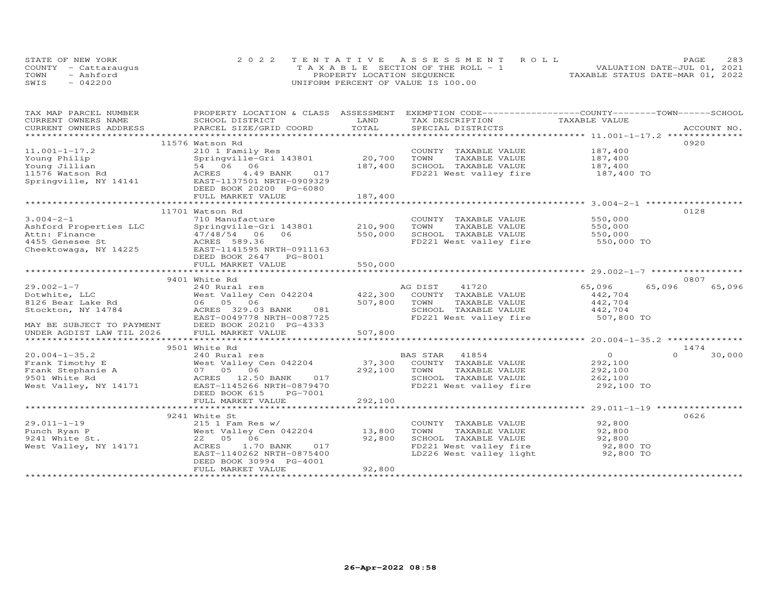|      | STATE OF NEW YORK    | 2022 TENTATIVE ASSESSMENT ROLL        | 283<br>PAGE                      |
|------|----------------------|---------------------------------------|----------------------------------|
|      | COUNTY - Cattaraugus | T A X A B L E SECTION OF THE ROLL - 1 | VALUATION DATE-JUL 01, 2021      |
| TOWN | - Ashford            | PROPERTY LOCATION SEQUENCE            | TAXABLE STATUS DATE-MAR 01, 2022 |
| SWIS | $-042200$            | UNIFORM PERCENT OF VALUE IS 100.00    |                                  |

| TAX MAP PARCEL NUMBER     | PROPERTY LOCATION & CLASS ASSESSMENT EXEMPTION CODE----------------COUNTY-------TOWN------SCHOOL |                 |                              |                |                  |
|---------------------------|--------------------------------------------------------------------------------------------------|-----------------|------------------------------|----------------|------------------|
| CURRENT OWNERS NAME       | SCHOOL DISTRICT                                                                                  | LAND            | TAX DESCRIPTION              | TAXABLE VALUE  |                  |
| CURRENT OWNERS ADDRESS    |                                                                                                  | TOTAL           |                              |                |                  |
|                           |                                                                                                  |                 |                              |                |                  |
|                           | 11576 Watson Rd                                                                                  |                 |                              |                | 0920             |
| $11.001 - 1 - 17.2$       | 210 1 Family Res                                                                                 |                 | COUNTY TAXABLE VALUE         | 187,400        |                  |
| Young Philip              | Springville-Gri 143801                                                                           | 20,700          | TOWN<br>TAXABLE VALUE        | 187,400        |                  |
| Young Jillian             | 54 06 06                                                                                         | 187,400         | SCHOOL TAXABLE VALUE         | 187,400        |                  |
| 11576 Watson Rd           | ACRES<br>4.49 BANK<br>017                                                                        |                 | FD221 West valley fire       | 187,400 TO     |                  |
| Springville, NY 14141     | EAST-1137501 NRTH-0909329                                                                        |                 |                              |                |                  |
|                           | DEED BOOK 20200 PG-6080                                                                          |                 |                              |                |                  |
|                           | FULL MARKET VALUE                                                                                | 187,400         |                              |                |                  |
|                           |                                                                                                  | *************** |                              |                |                  |
|                           | 11701 Watson Rd                                                                                  |                 |                              |                | 0128             |
| $3.004 - 2 - 1$           | 710 Manufacture                                                                                  |                 | COUNTY TAXABLE VALUE         | 550,000        |                  |
| Ashford Properties LLC    | Springville-Gri 143801                                                                           | 210,900         | TOWN<br>TAXABLE VALUE        | 550,000        |                  |
| Attn: Finance             | 47/48/54<br>06<br>06                                                                             | 550,000         | SCHOOL TAXABLE VALUE         | 550,000        |                  |
|                           | 1455 Genesee St<br>Cheektowaga, NY 14225 EAST-1141595 NRTH-0911163                               |                 | FD221 West valley fire       | 550,000 TO     |                  |
|                           |                                                                                                  |                 |                              |                |                  |
|                           | DEED BOOK 2647<br>PG-8001                                                                        |                 |                              |                |                  |
|                           | FULL MARKET VALUE                                                                                | 550,000         |                              |                |                  |
|                           |                                                                                                  |                 |                              |                |                  |
|                           | 9401 White Rd                                                                                    |                 |                              |                | 0807             |
| $29.002 - 1 - 7$          | 240 Rural res                                                                                    |                 | AG DIST<br>41720             | 65,096         | 65,096<br>65,096 |
| Dotwhite, LLC             | West Valley Cen 042204                                                                           |                 | 422,300 COUNTY TAXABLE VALUE | 442,704        |                  |
| 8126 Bear Lake Rd         | 06 05 06                                                                                         | 507,800         | TOWN<br>TAXABLE VALUE        | 442,704        |                  |
| Stockton, NY 14784        | ACRES 329.03 BANK<br>081                                                                         |                 | SCHOOL TAXABLE VALUE         | 442,704        |                  |
|                           | EAST-0049778 NRTH-0087725                                                                        |                 | FD221 West valley fire       | 507,800 TO     |                  |
| MAY BE SUBJECT TO PAYMENT | DEED BOOK 20210 PG-4333                                                                          |                 |                              |                |                  |
| UNDER AGDIST LAW TIL 2026 | FULL MARKET VALUE                                                                                | 507,800         |                              |                |                  |
|                           |                                                                                                  |                 |                              |                |                  |
|                           |                                                                                                  |                 |                              |                | 1474             |
|                           | 9501 White Rd                                                                                    |                 |                              |                | $\cap$           |
| $20.004 - 1 - 35.2$       | 240 Rural res                                                                                    |                 | BAS STAR<br>41854            | $\overline{O}$ | 30,000           |
| Frank Timothy E           | West Valley Cen 042204                                                                           | 37,300          | COUNTY TAXABLE VALUE         | 292,100        |                  |
| Frank Stephanie A         | 07 05 06                                                                                         | 292,100         | TOWN<br>TAXABLE VALUE        | 292,100        |                  |
| 9501 White Rd             | ACRES 12.50 BANK 017                                                                             |                 | SCHOOL TAXABLE VALUE         | 262,100        |                  |
| West Valley, NY 14171     | EAST-1145266 NRTH-0879470                                                                        |                 | FD221 West valley fire       | 292,100 TO     |                  |
|                           | DEED BOOK 615<br>PG-7001                                                                         |                 |                              |                |                  |
|                           | FULL MARKET VALUE                                                                                | 292,100         |                              |                |                  |
|                           |                                                                                                  |                 |                              |                |                  |
|                           | 9241 White St                                                                                    |                 |                              |                | 0626             |
| $29.011 - 1 - 19$         | $215$ 1 Fam Res w/                                                                               |                 | COUNTY TAXABLE VALUE         | 92,800         |                  |
| Punch Ryan P              | West Valley Cen 042204                                                                           | 13,800          | TAXABLE VALUE<br>TOWN        | 92,800         |                  |
| 9241 White St.            | 22 05 06                                                                                         | 92,800          | SCHOOL TAXABLE VALUE         | 92,800         |                  |
| West Valley, NY 14171     | ACRES<br>1.70 BANK<br>017                                                                        |                 | FD221 West valley fire       | 92,800 TO      |                  |
|                           | EAST-1140262 NRTH-0875400                                                                        |                 | LD226 West valley light      | 92,800 TO      |                  |
|                           | DEED BOOK 30994 PG-4001                                                                          |                 |                              |                |                  |
|                           | FULL MARKET VALUE                                                                                | 92,800          |                              |                |                  |
|                           |                                                                                                  |                 |                              |                |                  |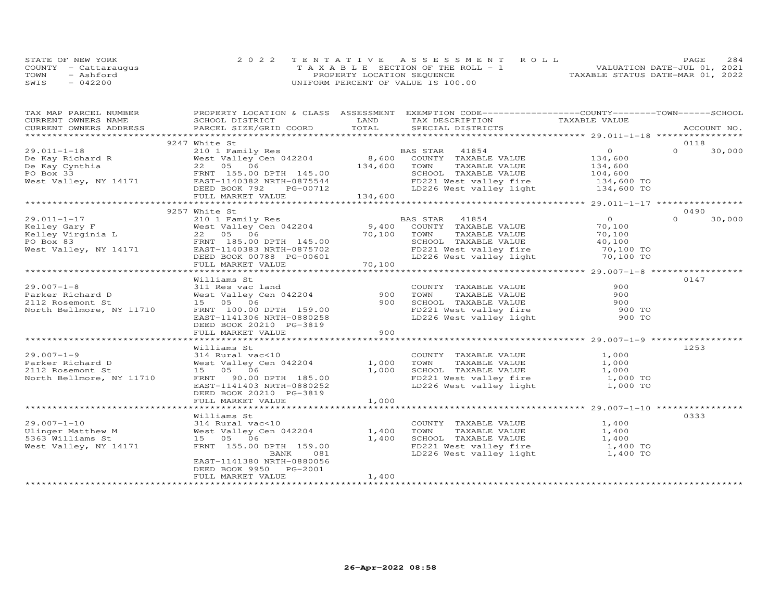| STATE OF NEW YORK    | 2022 TENTATIVE ASSESSMENT ROLL        |  |                                  | PAGE. | 284 |
|----------------------|---------------------------------------|--|----------------------------------|-------|-----|
| COUNTY - Cattaraugus | T A X A B L E SECTION OF THE ROLL - 1 |  | VALUATION DATE-JUL 01, 2021      |       |     |
| TOWN<br>- Ashford    | PROPERTY LOCATION SEQUENCE            |  | TAXABLE STATUS DATE-MAR 01, 2022 |       |     |
| SWIS<br>$-042200$    | UNIFORM PERCENT OF VALUE IS 100.00    |  |                                  |       |     |

| TAX MAP PARCEL NUMBER                                                                                                                                                                                                                                                                                                                                                                                                 |                           |       | PROPERTY LOCATION & CLASS ASSESSMENT EXEMPTION CODE----------------COUNTY-------TOWN-----SCHOOL |                    |                    |
|-----------------------------------------------------------------------------------------------------------------------------------------------------------------------------------------------------------------------------------------------------------------------------------------------------------------------------------------------------------------------------------------------------------------------|---------------------------|-------|-------------------------------------------------------------------------------------------------|--------------------|--------------------|
| CURRENT OWNERS NAME                                                                                                                                                                                                                                                                                                                                                                                                   | SCHOOL DISTRICT           | LAND  | TAX DESCRIPTION TAXABLE VALUE                                                                   |                    |                    |
| CURRENT OWNERS ADDRESS                                                                                                                                                                                                                                                                                                                                                                                                | PARCEL SIZE/GRID COORD    | TOTAL | SPECIAL DISTRICTS                                                                               |                    | ACCOUNT NO.        |
|                                                                                                                                                                                                                                                                                                                                                                                                                       |                           |       |                                                                                                 |                    |                    |
|                                                                                                                                                                                                                                                                                                                                                                                                                       | 9247 White St             |       |                                                                                                 |                    | 0118               |
| 29.011-1-18<br>De Kay Richard R<br>De Kay Cynthia<br>Po Box 33<br>West Valley Cen 042204<br>Mest Valley, NY 14171<br>De Kay Cynthia<br>Po Box 33<br>FRNT 155.00 DPTH 145.00<br>EAST-1140382 NRTH-0875544<br>DEED BOOK 792<br>DEED BOOK 792<br>DEED BOO                                                                                                                                                                |                           |       | BAS STAR 41854                                                                                  | $\Omega$           | $\Omega$<br>30,000 |
|                                                                                                                                                                                                                                                                                                                                                                                                                       |                           |       | COUNTY TAXABLE VALUE                                                                            | 134,600            |                    |
|                                                                                                                                                                                                                                                                                                                                                                                                                       |                           |       | TOWN      TAXABLE VALUE<br>SCHOOL   TAXABLE VALUE                                               | 134,600<br>104,600 |                    |
|                                                                                                                                                                                                                                                                                                                                                                                                                       |                           |       |                                                                                                 |                    |                    |
|                                                                                                                                                                                                                                                                                                                                                                                                                       |                           |       |                                                                                                 |                    |                    |
|                                                                                                                                                                                                                                                                                                                                                                                                                       |                           |       | FD221 West valley fire 134,600 TO<br>LD226 West valley light 134,600 TO                         |                    |                    |
|                                                                                                                                                                                                                                                                                                                                                                                                                       |                           |       |                                                                                                 |                    |                    |
|                                                                                                                                                                                                                                                                                                                                                                                                                       |                           |       |                                                                                                 |                    |                    |
|                                                                                                                                                                                                                                                                                                                                                                                                                       | 9257 White St             |       |                                                                                                 |                    | 0490               |
| $29.011 - 1 - 17$                                                                                                                                                                                                                                                                                                                                                                                                     | 210 1 Family Res          |       | BAS STAR 41854                                                                                  | $\Omega$           | 30,000<br>$\Omega$ |
|                                                                                                                                                                                                                                                                                                                                                                                                                       |                           |       | COUNTY TAXABLE VALUE                                                                            | 70,100             |                    |
|                                                                                                                                                                                                                                                                                                                                                                                                                       |                           |       | TAXABLE VALUE                                                                                   | 70,100             |                    |
|                                                                                                                                                                                                                                                                                                                                                                                                                       |                           |       |                                                                                                 |                    |                    |
|                                                                                                                                                                                                                                                                                                                                                                                                                       |                           |       |                                                                                                 |                    |                    |
|                                                                                                                                                                                                                                                                                                                                                                                                                       |                           |       |                                                                                                 |                    |                    |
| $\begin{tabular}{lllllllllllllllllllllll} \hline 29.011-1-17 & 210\text{ 1 Family Res} & \text{d} & \text{d} & \text{d} & \text{d} & \text{d} & \text{d} & \text{d} & \text{d} & \text{d} & \text{d} & \text{d} & \text{d} & \text{d} & \text{d} & \text{d} & \text{d} & \text{d} & \text{d} & \text{d} & \text{d} & \text{d} & \text{d} & \text{d} & \text{d} & \text{d} & \text{d} & \text{d} & \text{d} & \text{d$ |                           |       |                                                                                                 |                    |                    |
|                                                                                                                                                                                                                                                                                                                                                                                                                       |                           |       |                                                                                                 |                    |                    |
|                                                                                                                                                                                                                                                                                                                                                                                                                       | Williams St               |       |                                                                                                 |                    | 0147               |
| $29.007 - 1 - 8$                                                                                                                                                                                                                                                                                                                                                                                                      | 311 Res vac land          |       | COUNTY TAXABLE VALUE                                                                            | 900                |                    |
| Parker Richard D                                                                                                                                                                                                                                                                                                                                                                                                      | West Valley Cen 042204    | 900   | TAXABLE VALUE<br>TOWN                                                                           | 900                |                    |
| 2112 Rosemont St                                                                                                                                                                                                                                                                                                                                                                                                      | 15  05  06                | 900   |                                                                                                 |                    |                    |
| North Bellmore, NY 11710                                                                                                                                                                                                                                                                                                                                                                                              | FRNT 100.00 DPTH 159.00   |       |                                                                                                 |                    |                    |
|                                                                                                                                                                                                                                                                                                                                                                                                                       | EAST-1141306 NRTH-0880258 |       | SCHOOL TAXABLE VALUE<br>FD221 West valley fire the 900 TO<br>LD226 West valley light the 900 TO |                    |                    |
|                                                                                                                                                                                                                                                                                                                                                                                                                       | DEED BOOK 20210 PG-3819   |       |                                                                                                 |                    |                    |
|                                                                                                                                                                                                                                                                                                                                                                                                                       | FULL MARKET VALUE         | 900   |                                                                                                 |                    |                    |
|                                                                                                                                                                                                                                                                                                                                                                                                                       |                           |       |                                                                                                 |                    |                    |
|                                                                                                                                                                                                                                                                                                                                                                                                                       | Williams St               |       |                                                                                                 |                    | 1253               |
| $29.007 - 1 - 9$                                                                                                                                                                                                                                                                                                                                                                                                      | 314 Rural vac<10          |       | COUNTY TAXABLE VALUE 1,000                                                                      |                    |                    |
| Parker Richard D                                                                                                                                                                                                                                                                                                                                                                                                      | West Valley Cen 042204    | 1,000 |                                                                                                 |                    |                    |
| 2112 Rosemont St                                                                                                                                                                                                                                                                                                                                                                                                      | 15 05 06                  | 1,000 |                                                                                                 |                    |                    |
| North Bellmore, NY 11710                                                                                                                                                                                                                                                                                                                                                                                              | FRNT 90.00 DPTH 185.00    |       | FD221 West valley fire 1,000 TO<br>LD226 West valley light 1,000 TO                             |                    |                    |
|                                                                                                                                                                                                                                                                                                                                                                                                                       | EAST-1141403 NRTH-0880252 |       |                                                                                                 |                    |                    |
|                                                                                                                                                                                                                                                                                                                                                                                                                       | DEED BOOK 20210 PG-3819   |       |                                                                                                 |                    |                    |
|                                                                                                                                                                                                                                                                                                                                                                                                                       | FULL MARKET VALUE         | 1,000 |                                                                                                 |                    |                    |
|                                                                                                                                                                                                                                                                                                                                                                                                                       |                           |       |                                                                                                 |                    |                    |
|                                                                                                                                                                                                                                                                                                                                                                                                                       | Williams St               |       |                                                                                                 |                    | 0333               |
|                                                                                                                                                                                                                                                                                                                                                                                                                       |                           |       | COUNTY TAXABLE VALUE                                                                            | 1,400              |                    |
| Ulinger Matthew M and Mest Valley Cen 042204 1,400<br>5363 Williams St. 15 Arrest Communications of the Communications of the Communications of the Communications o                                                                                                                                                                                                                                                  |                           |       | TAXABLE VALUE<br>TOWN                                                                           | 1,400              |                    |
| 5363 Williams St                                                                                                                                                                                                                                                                                                                                                                                                      | 15 05 06                  | 1,400 | SCHOOL TAXABLE VALUE 1,400<br>FD221 West valley fire 1,400 TO                                   |                    |                    |
| West Valley, NY 14171                                                                                                                                                                                                                                                                                                                                                                                                 | FRNT 155.00 DPTH 159.00   |       |                                                                                                 |                    |                    |
|                                                                                                                                                                                                                                                                                                                                                                                                                       | BANK 081                  |       | LD226 West valley light 1,400 TO                                                                |                    |                    |
|                                                                                                                                                                                                                                                                                                                                                                                                                       | EAST-1141380 NRTH-0880056 |       |                                                                                                 |                    |                    |
|                                                                                                                                                                                                                                                                                                                                                                                                                       | DEED BOOK 9950 PG-2001    |       |                                                                                                 |                    |                    |
|                                                                                                                                                                                                                                                                                                                                                                                                                       | FULL MARKET VALUE         | 1,400 |                                                                                                 |                    |                    |
|                                                                                                                                                                                                                                                                                                                                                                                                                       |                           |       |                                                                                                 |                    |                    |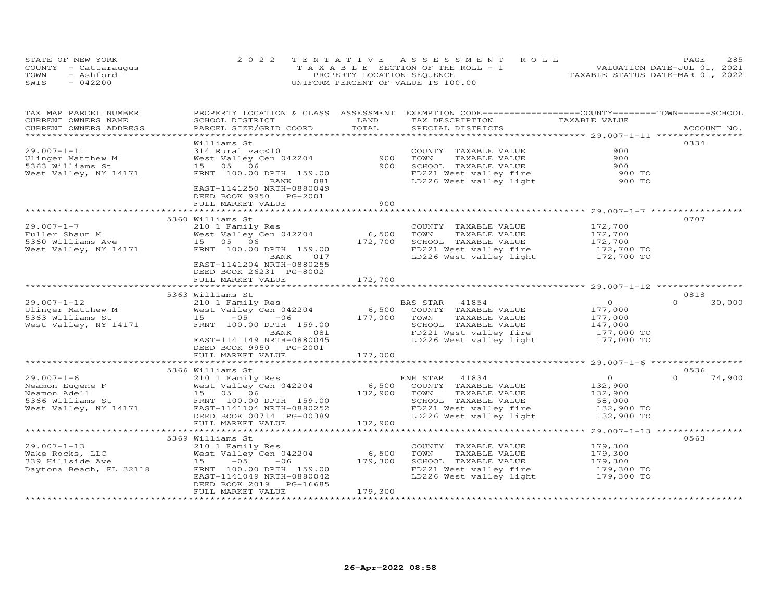| STATE OF NEW YORK    | 2022 TENTATIVE ASSESSMENT ROLL     | <b>PAGE</b>                      | 285 |
|----------------------|------------------------------------|----------------------------------|-----|
| COUNTY - Cattaraugus | TAXABLE SECTION OF THE ROLL - 1    | VALUATION DATE-JUL 01, 2021      |     |
| TOWN<br>- Ashford    | PROPERTY LOCATION SEQUENCE         | TAXABLE STATUS DATE-MAR 01, 2022 |     |
| $-042200$<br>SWIS    | UNIFORM PERCENT OF VALUE IS 100.00 |                                  |     |

| TAX MAP PARCEL NUMBER<br>CURRENT OWNERS NAME | PROPERTY LOCATION & CLASS ASSESSMENT<br>SCHOOL DISTRICT | LAND    | EXEMPTION CODE-----------------COUNTY-------TOWN------SCHOOL<br>TAX DESCRIPTION | TAXABLE VALUE                                 |                    |
|----------------------------------------------|---------------------------------------------------------|---------|---------------------------------------------------------------------------------|-----------------------------------------------|--------------------|
| CURRENT OWNERS ADDRESS                       | PARCEL SIZE/GRID COORD                                  | TOTAL   | SPECIAL DISTRICTS                                                               |                                               | ACCOUNT NO.        |
|                                              | Williams St                                             |         |                                                                                 |                                               | 0334               |
| $29.007 - 1 - 11$                            | 314 Rural vac<10                                        |         | COUNTY TAXABLE VALUE                                                            | 900                                           |                    |
| Ulinger Matthew M                            | West Valley Cen 042204                                  | 900     | TAXABLE VALUE<br>TOWN                                                           | 900                                           |                    |
| 5363 Williams St                             | 15 05 06                                                | 900     | SCHOOL TAXABLE VALUE                                                            | 900                                           |                    |
| West Valley, NY 14171                        | FRNT 100.00 DPTH 159.00                                 |         | FD221 West valley fire                                                          | 900 TO                                        |                    |
|                                              | 081<br>BANK                                             |         | LD226 West valley light                                                         | 900 TO                                        |                    |
|                                              | EAST-1141250 NRTH-0880049                               |         |                                                                                 |                                               |                    |
|                                              | DEED BOOK 9950 PG-2001                                  |         |                                                                                 |                                               |                    |
|                                              | FULL MARKET VALUE                                       | 900     |                                                                                 |                                               |                    |
|                                              |                                                         |         |                                                                                 |                                               |                    |
|                                              | 5360 Williams St                                        |         |                                                                                 |                                               | 0707               |
| $29.007 - 1 - 7$                             | 210 1 Family Res                                        |         | COUNTY TAXABLE VALUE                                                            | 172,700                                       |                    |
| Fuller Shaun M                               | West Valley Cen 042204                                  | 6,500   | TOWN<br>TAXABLE VALUE                                                           | 172,700                                       |                    |
| 5360 Williams Ave                            | 15 05 06                                                | 172,700 | SCHOOL TAXABLE VALUE                                                            | 172,700                                       |                    |
| West Valley, NY 14171                        | FRNT 100.00 DPTH 159.00                                 |         | FD221 West valley fire                                                          | 172,700 TO                                    |                    |
|                                              | BANK<br>017                                             |         | LD226 West valley light 172,700 TO                                              |                                               |                    |
|                                              | EAST-1141204 NRTH-0880255                               |         |                                                                                 |                                               |                    |
|                                              | DEED BOOK 26231 PG-8002                                 | 172,700 |                                                                                 |                                               |                    |
|                                              | FULL MARKET VALUE                                       |         |                                                                                 |                                               |                    |
|                                              | 5363 Williams St                                        |         |                                                                                 |                                               | 0818               |
| $29.007 - 1 - 12$                            | 210 1 Family Res                                        |         | BAS STAR<br>41854                                                               | $\circ$                                       | $\Omega$<br>30,000 |
| Ulinger Matthew M                            | West Valley Cen 042204                                  | 6,500   | COUNTY TAXABLE VALUE                                                            | 177,000                                       |                    |
| 5363 Williams St                             | $-0.5$<br>15<br>$-06$                                   | 177,000 | TOWN<br>TAXABLE VALUE                                                           | 177,000                                       |                    |
| West Valley, NY 14171                        | FRNT 100.00 DPTH 159.00                                 |         | SCHOOL TAXABLE VALUE                                                            | 147,000                                       |                    |
|                                              | BANK<br>081                                             |         | FD221 West valley fire                                                          | 177,000 TO                                    |                    |
|                                              | EAST-1141149 NRTH-0880045                               |         | LD226 West valley light                                                         | 177,000 TO                                    |                    |
|                                              | DEED BOOK 9950<br>PG-2001                               |         |                                                                                 |                                               |                    |
|                                              | FULL MARKET VALUE                                       | 177,000 |                                                                                 |                                               |                    |
|                                              |                                                         |         |                                                                                 |                                               |                    |
|                                              | 5366 Williams St                                        |         |                                                                                 |                                               | 0536               |
| $29.007 - 1 - 6$                             | 210 1 Family Res                                        |         | 41834<br>ENH STAR                                                               | $\circ$                                       | 74,900<br>$\Omega$ |
| Neamon Eugene F                              | West Valley Cen 042204                                  | 6,500   | COUNTY TAXABLE VALUE                                                            | 132,900                                       |                    |
| Neamon Adell                                 | 15 05 06                                                | 132,900 | TOWN<br>TAXABLE VALUE                                                           | 132,900                                       |                    |
| 5366 Williams St                             | FRNT 100.00 DPTH 159.00                                 |         | SCHOOL TAXABLE VALUE                                                            | 58,000                                        |                    |
| West Valley, NY 14171                        | EAST-1141104 NRTH-0880252                               |         | FD221 West valley fire                                                          | 132,900 TO                                    |                    |
|                                              | DEED BOOK 00714 PG-00389<br>FULL MARKET VALUE           | 132,900 | LD226 West valley light                                                         | 132,900 TO                                    |                    |
|                                              | ***************************                             |         |                                                                                 | *************** 29.007-1-13 ***************** |                    |
|                                              | 5369 Williams St                                        |         |                                                                                 |                                               | 0563               |
| $29.007 - 1 - 13$                            | 210 1 Family Res                                        |         | COUNTY TAXABLE VALUE                                                            | 179,300                                       |                    |
| Wake Rocks, LLC                              | West Valley Cen 042204                                  | 6,500   | TOWN<br>TAXABLE VALUE                                                           | 179,300                                       |                    |
| 339 Hillside Ave                             | $15 - 05$<br>$-06$                                      | 179,300 | SCHOOL TAXABLE VALUE                                                            | 179,300                                       |                    |
| Daytona Beach, FL 32118                      | FRNT 100.00 DPTH 159.00                                 |         | FD221 West valley fire                                                          | 179,300 TO                                    |                    |
|                                              | EAST-1141049 NRTH-0880042                               |         | LD226 West valley light                                                         | 179,300 TO                                    |                    |
|                                              | DEED BOOK 2019<br>PG-16685                              |         |                                                                                 |                                               |                    |
|                                              | FULL MARKET VALUE                                       | 179,300 |                                                                                 |                                               |                    |
|                                              |                                                         |         |                                                                                 |                                               |                    |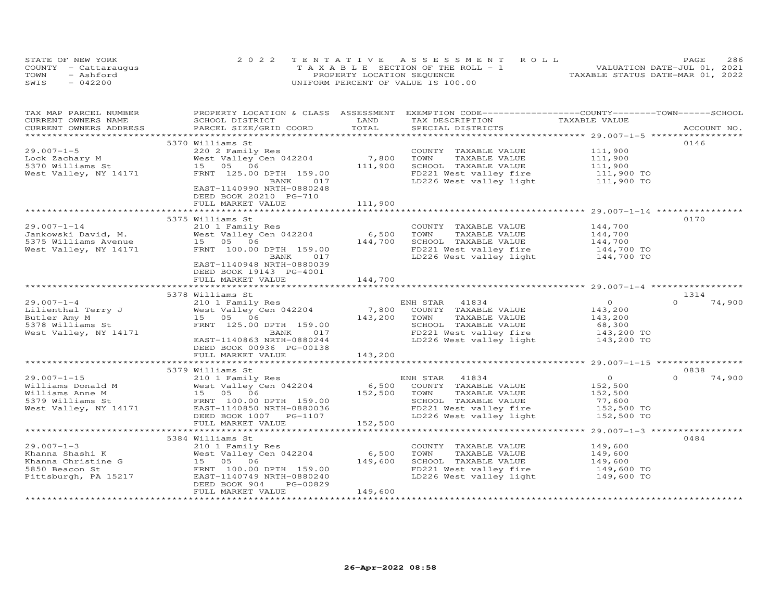| STATE OF NEW YORK    | 2022 TENTATIVE ASSESSMENT ROLL        | 286<br>PAGE.                     |
|----------------------|---------------------------------------|----------------------------------|
| COUNTY - Cattaraugus | T A X A B L E SECTION OF THE ROLL - 1 | VALUATION DATE-JUL 01, 2021      |
| TOWN<br>- Ashford    | PROPERTY LOCATION SEQUENCE            | TAXABLE STATUS DATE-MAR 01, 2022 |
| SWIS<br>$-042200$    | UNIFORM PERCENT OF VALUE IS 100.00    |                                  |

| TAX MAP PARCEL NUMBER<br>CURRENT OWNERS NAME<br>CURRENT OWNERS ADDRESS          | PROPERTY LOCATION & CLASS ASSESSMENT EXEMPTION CODE----------------COUNTY-------TOWN------SCHOOL<br>SCHOOL DISTRICT<br>PARCEL SIZE/GRID COORD                                                                                          | LAND<br>TOTAL               | TAX DESCRIPTION TAXABLE VALUE<br>SPECIAL DISTRICTS                                                                                                                                                                  |                                                              | ACCOUNT NO.                |
|---------------------------------------------------------------------------------|----------------------------------------------------------------------------------------------------------------------------------------------------------------------------------------------------------------------------------------|-----------------------------|---------------------------------------------------------------------------------------------------------------------------------------------------------------------------------------------------------------------|--------------------------------------------------------------|----------------------------|
|                                                                                 |                                                                                                                                                                                                                                        |                             |                                                                                                                                                                                                                     |                                                              |                            |
| $29.007 - 1 - 5$<br>Lock Zachary M<br>5370 Williams St<br>West Valley, NY 14171 | 5370 Williams St<br>220 2 Family Res<br>West Valley Cen 042204 7,800<br>15 05 06<br>FRNT 125.00 DPTH 159.00<br>BANK 017<br>EAST-1140990 NRTH-0880248<br>DEED BOOK 20210 PG-710                                                         | 111,900                     | COUNTY TAXABLE VALUE<br>TOWN<br>TAXABLE VALUE<br>SCHOOL TAXABLE VALUE<br>FD221 West valley fire 111,900 TO<br>LD226 West valley light                                                                               | 111,900<br>111,900<br>111,900<br>111,900 TO                  | 0146                       |
|                                                                                 | FULL MARKET VALUE                                                                                                                                                                                                                      | 111,900                     |                                                                                                                                                                                                                     |                                                              |                            |
| $29.007 - 1 - 14$<br>West Valley, NY 14171                                      | 5375 Williams St<br>210 1 Family Res<br>West Valley Cen 042204 6,500<br>FRNT 100.00 DPTH 159.00<br>017<br>BANK<br>EAST-1140948 NRTH-0880039<br>DEED BOOK 19143 PG-4001                                                                 | 144,700                     | COUNTY TAXABLE VALUE<br>TOWN TAXABLE VALUE<br>SCHOOL TAXABLE VALUE 144,700<br>TRACT Vact valley fire 144,700 TO<br>FD221 West valley fire 144,700 TO<br>LD226 West valley light 144,700 TO                          | 144,700                                                      | 0170                       |
|                                                                                 | FULL MARKET VALUE                                                                                                                                                                                                                      | 144,700                     |                                                                                                                                                                                                                     |                                                              |                            |
|                                                                                 |                                                                                                                                                                                                                                        |                             |                                                                                                                                                                                                                     |                                                              |                            |
| 5378 Williams St<br>West Valley, NY 14171                                       | 5378 Williams St<br>FRNT 125.00 DPTH 159.00<br>BANK<br>017<br>EAST-1140863 NRTH-0880244                                                                                                                                                |                             | SCHOOL TAXABLE VALUE<br>FD221 West valley fire 143,200 TO<br>LD226 West valley light 143,200 TO                                                                                                                     | $\overline{O}$<br>143,200<br>143,200<br>68,300<br>143,200 TO | 1314<br>$\Omega$<br>74,900 |
|                                                                                 | DEED BOOK 00936 PG-00138<br>FULL MARKET VALUE                                                                                                                                                                                          | 143,200                     |                                                                                                                                                                                                                     |                                                              |                            |
|                                                                                 |                                                                                                                                                                                                                                        |                             |                                                                                                                                                                                                                     |                                                              |                            |
|                                                                                 | 5379 Williams St                                                                                                                                                                                                                       |                             |                                                                                                                                                                                                                     |                                                              | 0838                       |
| $29.007 - 1 - 15$                                                               | 210 1 Family Res<br>Williams Donald M<br>Williams Anne M<br>S379 Williams St<br>West Valley Cen 042204<br>FRNT 100.00 DPTH 159.00<br>West Valley, NY 14171<br>EAST-1140850 NRTH-0880036<br>DEED BOOK 1007 PG-1107<br>FULL MARKET VALUE | 6,500<br>152,500<br>152,500 | ENH STAR<br>41834<br>COUNTY TAXABLE VALUE<br>TOWN<br>TAXABLE VALUE<br>SCHOOL TAXABLE VALUE<br>FD221 West valley fire 152,500 TO<br>LD226 West valley light 152,500 TO                                               | $\overline{O}$<br>152,500<br>152,500<br>77,600               | $\Omega$<br>74,900         |
|                                                                                 |                                                                                                                                                                                                                                        |                             |                                                                                                                                                                                                                     |                                                              |                            |
| $29.007 - 1 - 3$<br>5850 Beacon St<br>Pittsburgh, PA 15217                      | 5384 Williams St<br>210 1 Family Res<br>West Valley Cen 042204<br>FRNT 100.00 DPTH 159.00<br>EAST-1140749 NRTH-0880240<br>DEED BOOK 904<br>PG-00829<br>FULL MARKET VALUE                                                               | 6,500<br>149,600<br>149,600 | COUNTY TAXABLE VALUE<br>TOWN<br>TAXABLE VALUE<br>TOWN IAXABLE VALUE<br>SCHOOL TAXABLE VALUE 149,600<br>TRACL Wost valley fire 149,600 TO<br>FD221 West valley fire 149,600 TO<br>LD226 West valley light 149,600 TO | 149,600<br>149,600                                           | 0484                       |
|                                                                                 |                                                                                                                                                                                                                                        |                             |                                                                                                                                                                                                                     |                                                              |                            |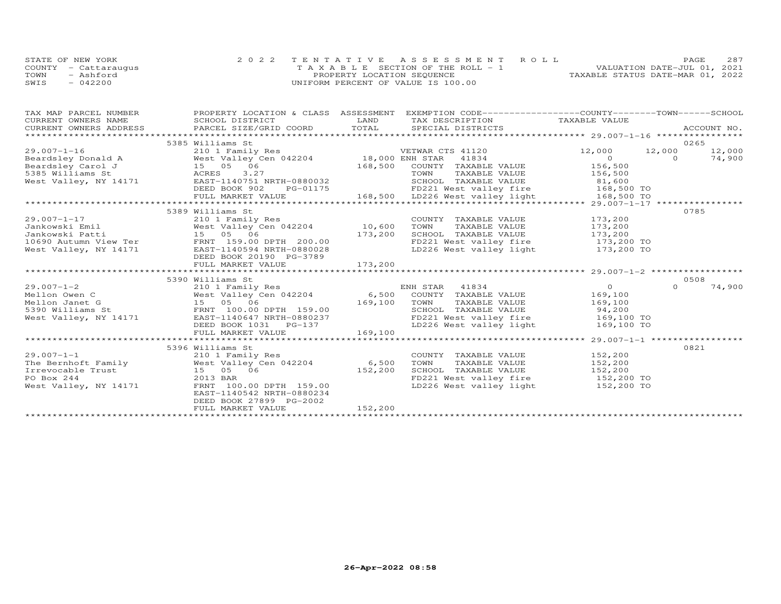|      | STATE OF NEW YORK    | 2022 TENTATIVE ASSESSMENT ROLL        | <b>PAGE</b>                      | 287 |
|------|----------------------|---------------------------------------|----------------------------------|-----|
|      | COUNTY - Cattaraugus | T A X A B L E SECTION OF THE ROLL - 1 | VALUATION DATE-JUL 01, 2021      |     |
| TOWN | - Ashford            | PROPERTY LOCATION SEQUENCE            | TAXABLE STATUS DATE-MAR 01, 2022 |     |
| SWIS | $-042200$            | UNIFORM PERCENT OF VALUE IS 100.00    |                                  |     |

| TAX MAP PARCEL NUMBER<br>CURRENT OWNERS NAME                            | PROPERTY LOCATION & CLASS ASSESSMENT EXEMPTION CODE----------------COUNTY-------TOWN------SCHOOL<br>SCHOOL DISTRICT                                                                                                                                                                                                                                                    | LAND    | TAX DESCRIPTION TAXABLE VALUE<br>SPECIAL DISTRICTS                                                                                                                       |                                                |          | ACCOUNT NO.    |
|-------------------------------------------------------------------------|------------------------------------------------------------------------------------------------------------------------------------------------------------------------------------------------------------------------------------------------------------------------------------------------------------------------------------------------------------------------|---------|--------------------------------------------------------------------------------------------------------------------------------------------------------------------------|------------------------------------------------|----------|----------------|
|                                                                         | 5385 Williams St                                                                                                                                                                                                                                                                                                                                                       |         |                                                                                                                                                                          | 12,000                                         | 12,000   | 0265<br>12,000 |
|                                                                         |                                                                                                                                                                                                                                                                                                                                                                        |         | 168,500 COUNTY TAXABLE VALUE<br>TOWN TAXABLE VALUE 156,500<br>SCHOOL TAXABLE VALUE 81,600                                                                                | $\overline{a}$<br>156,500                      | $\Omega$ | 74,900         |
|                                                                         |                                                                                                                                                                                                                                                                                                                                                                        |         |                                                                                                                                                                          |                                                |          |                |
| $29.007 - 1 - 17$<br>Jankowski Patti 15 05 06                           | 5389 Williams St<br>210 1 Family Res<br>173,200<br>10690 Autumn View Ter FRNT 159.00 DPTH 200.00<br>West Valley, NY 14171 EAST-1140594 NRTH-0880028<br>DEED BOOK 20190 PG-3789<br>FULL MARKET VALUE                                                                                                                                                                    | 173,200 | COUNTY TAXABLE VALUE 173,200<br>TAXABLE VALUE 173,200<br>TOWN<br>SCHOOL TAXABLE VALUE 173,200<br>FD221 West valley fire 173,200 TO<br>LD226 West valley light 173,200 TO |                                                | 0785     |                |
|                                                                         | 5390 Williams St                                                                                                                                                                                                                                                                                                                                                       |         |                                                                                                                                                                          |                                                |          | 0508           |
| $29.007 - 1 - 2$<br>Mellon Owen C<br>Mellon Janet G<br>5390 Williams St | 5390 Williams St<br>210 1 Family Res<br>210 I Family Res<br>West Valley Cen 042204<br>5390 Williams St<br>West Valley Cen 042204<br>54.500 COUNTY TAXABLE VALUE<br>54.500 COUNTY TAXABLE VALUE<br>52.6 169,100 TOWN TAXABLE VALUE<br>52.6 SCHOOL<br>West Valley, NY 14171 EAST-1140647 NRTH-0880237<br>DEED BOOK 1031 PG-137<br>FULL MARKET VALUE                      | 169,100 | SCHOOL TAXABLE VALUE<br>FD221 West valley fire 169,100 TO<br>LD226 West valley light 169,100 TO                                                                          | $\overline{O}$<br>169,100<br>169,100<br>94,200 | $\Omega$ | 74,900         |
|                                                                         | 5396 Williams St                                                                                                                                                                                                                                                                                                                                                       |         |                                                                                                                                                                          |                                                | 0821     |                |
| $29.007 - 1 - 1$<br>PO Box 244<br>West Valley, NY 14171                 | 210 1 Family Res<br>The Bernhoft Family $\begin{array}{ccc}\n\text{West Valley Cen} & 042204 \\ \text{Irrevocable Trust} & 15 & 05 & 06\n\end{array}$ $\begin{array}{ccc}\n\text{Test Value} & 042204 \\ \text{Test Value} & 152,200\n\end{array}$<br>2013 BAR<br>FRNT 100.00 DPTH 159.00<br>EAST-1140542 NRTH-0880234<br>DEED BOOK 27899 PG-2002<br>FULL MARKET VALUE | 152,200 | COUNTY TAXABLE VALUE 152,200<br>TOWN<br>TAXABLE VALUE 152,200<br>SCHOOL TAXABLE VALUE<br>FD221 West valley fire 152,200 TO<br>LD226 West valley light 152,200 TO         | 152,200                                        |          |                |
|                                                                         |                                                                                                                                                                                                                                                                                                                                                                        |         |                                                                                                                                                                          |                                                |          |                |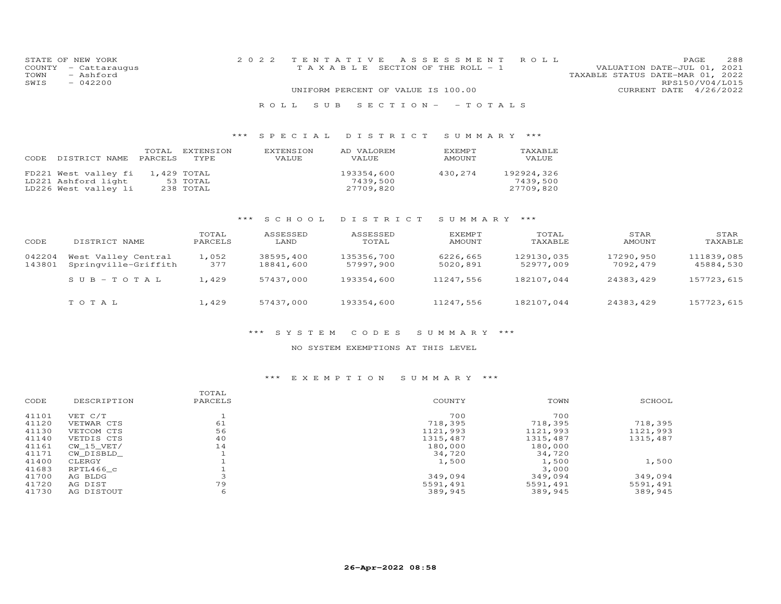|      | STATE OF NEW YORK    |                                    |  | 2022 TENTATIVE ASSESSMENT ROLL        |                                  |                 | <b>PAGE</b> | 288 |
|------|----------------------|------------------------------------|--|---------------------------------------|----------------------------------|-----------------|-------------|-----|
|      | COUNTY - Cattaraugus |                                    |  | T A X A B L E SECTION OF THE ROLL - 1 | VALUATION DATE-JUL 01, 2021      |                 |             |     |
| TOWN | - Ashford            |                                    |  |                                       | TAXABLE STATUS DATE-MAR 01, 2022 |                 |             |     |
| SWIS | $-042200$            |                                    |  |                                       |                                  | RPS150/V04/L015 |             |     |
|      |                      | UNIFORM PERCENT OF VALUE IS 100.00 |  |                                       | CURRENT DATE 4/26/2022           |                 |             |     |
|      |                      |                                    |  |                                       |                                  |                 |             |     |
|      |                      |                                    |  | ROLL SUB SECTION- - TOTALS            |                                  |                 |             |     |

## \*\*\* S P E C I A L D I S T R I C T S U M M A R Y \*\*\*

| CODE | DISTRICT NAME                                                       | TOTAL<br>PARCELS | EXTENSION<br>TYPE.                   | EXTENSION<br>VALUE | AD VALOREM<br>VALUE                 | <b>F.XFMPT</b><br>AMOUNT | TAXABLE<br>VALUE                    |
|------|---------------------------------------------------------------------|------------------|--------------------------------------|--------------------|-------------------------------------|--------------------------|-------------------------------------|
|      | FD221 West valley fi<br>LD221 Ashford light<br>LD226 West valley li |                  | 1,429 TOTAL<br>53 TOTAL<br>238 TOTAL |                    | 193354,600<br>7439,500<br>27709,820 | 430,274                  | 192924,326<br>7439,500<br>27709,820 |

# \*\*\* S C H O O L D I S T R I C T S U M M A R Y \*\*\*

| CODE             | DISTRICT NAME                               | TOTAL<br>PARCELS | ASSESSED<br>LAND       | ASSESSED<br>TOTAL       | EXEMPT<br>AMOUNT     | TOTAL<br>TAXABLE        | STAR<br>AMOUNT        | STAR<br>TAXABLE         |
|------------------|---------------------------------------------|------------------|------------------------|-------------------------|----------------------|-------------------------|-----------------------|-------------------------|
| 042204<br>143801 | West Valley Central<br>Springville-Griffith | 1,052<br>377     | 38595,400<br>18841,600 | 135356,700<br>57997,900 | 6226,665<br>5020,891 | 129130,035<br>52977,009 | 17290,950<br>7092,479 | 111839,085<br>45884,530 |
|                  | $SUB-TOTAL$                                 | 1,429            | 57437,000              | 193354,600              | 11247.556            | 182107.044              | 24383,429             | 157723,615              |
|                  | TOTAL                                       | 1,429            | 57437,000              | 193354,600              | 11247,556            | 182107,044              | 24383,429             | 157723,615              |

#### \*\*\* S Y S T E M C O D E S S U M M A R Y \*\*\*

### NO SYSTEM EXEMPTIONS AT THIS LEVEL

## \*\*\* E X E M P T I O N S U M M A R Y \*\*\*

| CODE  | DESCRIPTION | TOTAL<br>PARCELS | COUNTY   | TOWN     | SCHOOL   |
|-------|-------------|------------------|----------|----------|----------|
|       |             |                  |          |          |          |
| 41101 | VET C/T     |                  | 700      | 700      |          |
| 41120 | VETWAR CTS  | 61               | 718,395  | 718,395  | 718,395  |
| 41130 | VETCOM CTS  | 56               | 1121,993 | 1121,993 | 1121,993 |
| 41140 | VETDIS CTS  | 40               | 1315,487 | 1315,487 | 1315,487 |
| 41161 | CW 15 VET/  | 14               | 180,000  | 180,000  |          |
| 41171 | CW DISBLD   |                  | 34,720   | 34,720   |          |
| 41400 | CLERGY      |                  | 1,500    | 1,500    | 1,500    |
| 41683 | RPTL466 c   |                  |          | 3,000    |          |
| 41700 | AG BLDG     |                  | 349,094  | 349,094  | 349,094  |
| 41720 | AG DIST     | 79               | 5591,491 | 5591,491 | 5591,491 |
| 41730 | AG DISTOUT  | 6                | 389,945  | 389,945  | 389,945  |
|       |             |                  |          |          |          |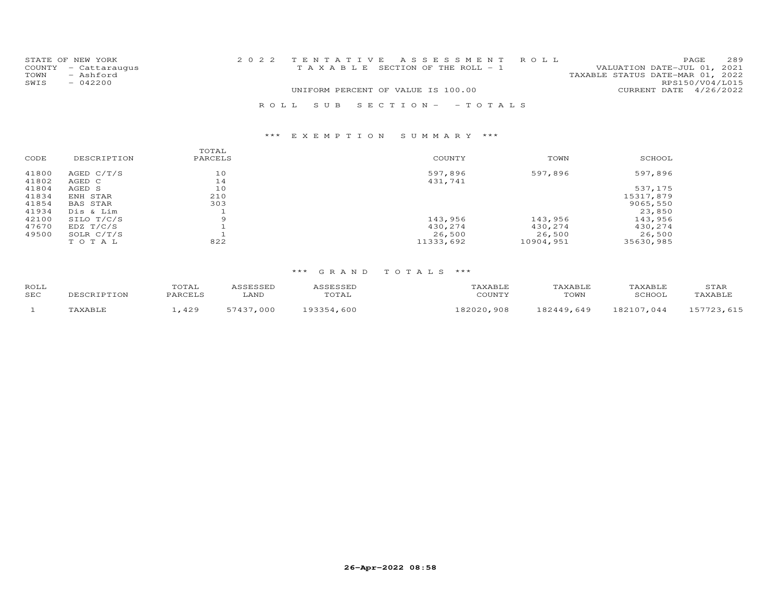|      | STATE OF NEW YORK    |                                    |                                       | 2022 TENTATIVE ASSESSMENT ROLL |                                  |                        | PAGE. | 289 |
|------|----------------------|------------------------------------|---------------------------------------|--------------------------------|----------------------------------|------------------------|-------|-----|
|      | COUNTY - Cattaraugus |                                    | T A X A B L E SECTION OF THE ROLL - 1 |                                | VALUATION DATE-JUL 01, 2021      |                        |       |     |
| TOWN | - Ashford            |                                    |                                       |                                | TAXABLE STATUS DATE-MAR 01, 2022 |                        |       |     |
| SWIS | $-042200$            |                                    |                                       |                                |                                  | RPS150/V04/L015        |       |     |
|      |                      | UNIFORM PERCENT OF VALUE IS 100.00 |                                       |                                |                                  | CURRENT DATE 4/26/2022 |       |     |
|      |                      |                                    |                                       | ROLL SUB SECTION- -TOTALS      |                                  |                        |       |     |

| DESCRIPTION  | PARCELS | COUNTY    | TOWN      | SCHOOL    |
|--------------|---------|-----------|-----------|-----------|
| AGED $C/T/S$ | 10      | 597,896   | 597,896   | 597,896   |
| AGED C       | 14      | 431,741   |           |           |
| AGED S       | 10      |           |           | 537,175   |
| ENH STAR     | 210     |           |           | 15317,879 |
| BAS STAR     | 303     |           |           | 9065,550  |
| Dis & Lim    |         |           |           | 23,850    |
| SILO T/C/S   | 9       | 143,956   | 143,956   | 143,956   |
| EDZ T/C/S    |         | 430,274   | 430,274   | 430,274   |
| SOLR C/T/S   |         | 26,500    | 26,500    | 26,500    |
| TOTAL        | 822     | 11333,692 | 10904,951 | 35630,985 |
|              |         | TOTAL     |           |           |

| ROLL<br>SEC | DESCRIPTION | TOTAL<br>PARCELS | ASSESSED<br>LAND | ASSESSED<br>TOTAL | TAXABLE<br>COUNTY | TAXABLE<br>TOWN | TAXABLE<br>SCHOOL | STAR<br>TAXABLE |
|-------------|-------------|------------------|------------------|-------------------|-------------------|-----------------|-------------------|-----------------|
|             | TAXABLE     | .429             | 57437,000        | 193354,600        | 182020,908        | 182449,649      | 182107.044        | 157723,615      |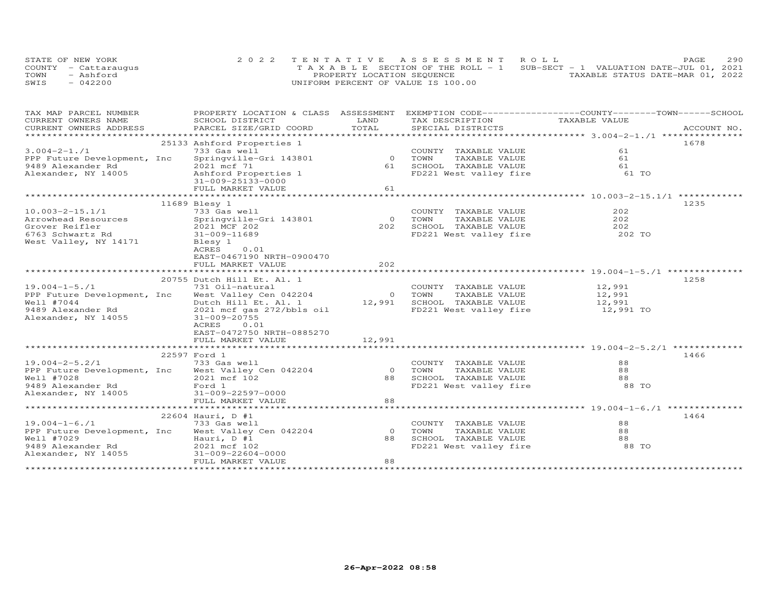| STATE OF NEW YORK    | 2022 TENTATIVE ASSESSMENT ROLL                                                 |                                  | PAGE | 290 |
|----------------------|--------------------------------------------------------------------------------|----------------------------------|------|-----|
| COUNTY - Cattaraugus | T A X A B L E SECTION OF THE ROLL - 1 SUB-SECT - 1 VALUATION DATE-JUL 01, 2021 |                                  |      |     |
| - Ashford<br>TOWN    | PROPERTY LOCATION SEQUENCE                                                     | TAXABLE STATUS DATE-MAR 01, 2022 |      |     |
| $-042200$<br>SWIS    | UNIFORM PERCENT OF VALUE IS 100.00                                             |                                  |      |     |

| TAX MAP PARCEL NUMBER<br>CURRENT OWNERS NAME                                                                 | PROPERTY LOCATION & CLASS ASSESSMENT EXEMPTION CODE----------------COUNTY-------TOWN------SCHOOL                                                                                                                                                   | LAND                 | TAX DESCRIPTION                                                                                       | TAXABLE VALUE                 |      |
|--------------------------------------------------------------------------------------------------------------|----------------------------------------------------------------------------------------------------------------------------------------------------------------------------------------------------------------------------------------------------|----------------------|-------------------------------------------------------------------------------------------------------|-------------------------------|------|
|                                                                                                              | SCHOOL DISTRICT<br>.CURRENT OWNERS ADDRESS PARCEL SIZE/GRID COORD TOTAL SPECIAL DISTRICTS ACCOUNT NO ACCOUNT NO ACCOUNT NO ARE A LATA AND RESELL A LATA AND MAXING A LATA AND A LATA A LATA AND HER A LATA AND A LATA AND HER A LATA AND A LATA A  |                      |                                                                                                       |                               |      |
|                                                                                                              |                                                                                                                                                                                                                                                    |                      |                                                                                                       |                               |      |
| $3.004 - 2 - 1.71$<br>PPP Future Development, Inc<br>9489 Alexander Rd<br>Alexander, NY 14005                | 25133 Ashford Properties 1<br>733 Gas well<br>Springville-Gri 143801 0 TOWN<br>2021 mcf 71<br>Ashford Properties 1<br>31-009-25133-0000                                                                                                            |                      | COUNTY TAXABLE VALUE<br>TAXABLE VALUE<br>61 SCHOOL TAXABLE VALUE<br>FD221 West valley fire 61 TO      | 61<br>61<br>61                | 1678 |
|                                                                                                              | FULL MARKET VALUE                                                                                                                                                                                                                                  | 61                   |                                                                                                       |                               |      |
| $10.003 - 2 - 15.1/1$<br>Arrowhead Resources<br>Grover Reifler<br>6763 Schwartz Rd<br>West Valley, NY 14171  | 11689 Blesy 1<br>733 Gas well<br>Springville-Gri 143801<br>2021 MCF 202<br>31-009-11689<br>Blesy 1<br>0.01<br>ACRES<br>EAST-0467190 NRTH-0900470<br>FULL MARKET VALUE                                                                              | 202                  | COUNTY TAXABLE VALUE<br>0 TOWN<br>TAXABLE VALUE<br>202 SCHOOL TAXABLE VALUE<br>FD221 West valley fire | 202<br>202<br>202<br>202 TO   | 1235 |
|                                                                                                              |                                                                                                                                                                                                                                                    |                      |                                                                                                       |                               |      |
| $19.004 - 1 - 5.71$<br>Well #7044<br>9489 Alexander Rd<br>Alexander, NY 14055                                | 20755 Dutch Hill Et. Al. 1<br>731 Oil-natural<br>PPP Future Development, Inc West Valley Cen 042204 0 TOWN<br>Dutch Hill Et. Al. 1<br>2021 mcf gas 272/bbls oil<br>31-009-20755<br>ACRES<br>0.01<br>EAST-0472750 NRTH-0885270<br>FULL MARKET VALUE | 12,991               | COUNTY TAXABLE VALUE<br>TAXABLE VALUE<br>12,991 SCHOOL TAXABLE VALUE 12,991<br>FD221 West valley fire | 12,991<br>12,991<br>12,991 TO | 1258 |
|                                                                                                              |                                                                                                                                                                                                                                                    |                      |                                                                                                       |                               |      |
| $19.004 - 2 - 5.2/1$<br>Well #7028<br>noir mheir<br>9489 Alexander Rd<br>Alexander, NY 14005                 | 22597 Ford 1<br>733 Gas well<br>PPP Future Development, Inc West Valley Cen 042204<br>2021 mcf 102<br>Ford 1<br>31-009-22597-0000                                                                                                                  | $\Omega$<br>88       | COUNTY TAXABLE VALUE<br>FD221 West valley fire 68 TO                                                  | 88<br>88<br>88                | 1466 |
|                                                                                                              |                                                                                                                                                                                                                                                    |                      |                                                                                                       |                               |      |
| $19.004 - 1 - 6.71$<br>PPP Future Development, Inc<br>Well #7029<br>9489 Alexander Rd<br>Alexander, NY 14055 | 22604 Hauri, D #1<br>733 Gas well<br>West Valley Cen 042204<br>Hauri, D #1<br>2021 mcf 102<br>31-009-22604-0000<br>FULL MARKET VALUE                                                                                                               | $\Omega$<br>88<br>88 | COUNTY TAXABLE VALUE<br>TAXABLE VALUE<br>TOWN<br>SCHOOL TAXABLE VALUE<br>FD221 West valley fire       | 88<br>88<br>88<br>88 TO       | 1464 |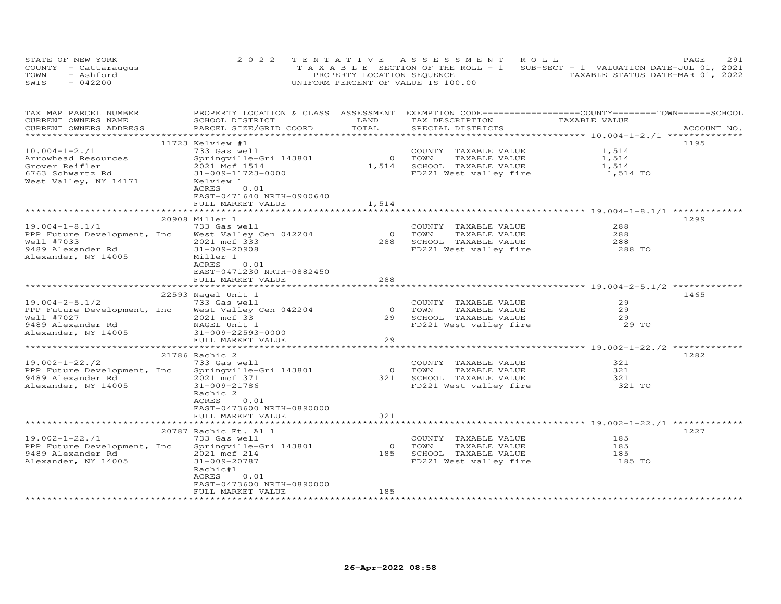| STATE OF NEW YORK    | 2022 TENTATIVE ASSESSMENT ROLL                                                 | PAGE                             | 291 |
|----------------------|--------------------------------------------------------------------------------|----------------------------------|-----|
| COUNTY - Cattaraugus | T A X A B L E SECTION OF THE ROLL - 1 SUB-SECT - 1 VALUATION DATE-JUL 01, 2021 |                                  |     |
| TOWN<br>- Ashford    | PROPERTY LOCATION SEQUENCE                                                     | TAXABLE STATUS DATE-MAR 01, 2022 |     |
| $-042200$<br>SWIS    | UNIFORM PERCENT OF VALUE IS 100.00                                             |                                  |     |

| TAX MAP PARCEL NUMBER<br>CURRENT OWNERS NAME                                                                  | PROPERTY LOCATION & CLASS ASSESSMENT<br>SCHOOL DISTRICT                                                                                      | LAND                       | EXEMPTION CODE-----------------COUNTY-------TOWN------SCHOOL<br>TAX DESCRIPTION                 | TAXABLE VALUE               |             |
|---------------------------------------------------------------------------------------------------------------|----------------------------------------------------------------------------------------------------------------------------------------------|----------------------------|-------------------------------------------------------------------------------------------------|-----------------------------|-------------|
| CURRENT OWNERS ADDRESS                                                                                        | PARCEL SIZE/GRID COORD                                                                                                                       | TOTAL                      | SPECIAL DISTRICTS                                                                               |                             | ACCOUNT NO. |
| $10.004 - 1 - 2.71$                                                                                           | 11723 Kelview #1<br>733 Gas well                                                                                                             |                            | COUNTY TAXABLE VALUE                                                                            | 1,514                       | 1195        |
| Arrowhead Resources<br>Grover Reifler<br>6763 Schwartz Rd<br>West Valley, NY 14171                            | Springville-Gri 143801<br>2021 Mcf 1514<br>31-009-11723-0000<br>Kelview 1<br>ACRES<br>0.01<br>EAST-0471640 NRTH-0900640<br>FULL MARKET VALUE | $\Omega$<br>1,514<br>1,514 | TOWN<br>TAXABLE VALUE<br>SCHOOL TAXABLE VALUE<br>FD221 West valley fire                         | 1,514<br>1,514<br>1,514 TO  |             |
|                                                                                                               |                                                                                                                                              |                            |                                                                                                 |                             |             |
| $19.004 - 1 - 8.1/1$<br>PPP Future Development, Inc<br>Well #7033<br>9489 Alexander Rd<br>Alexander, NY 14005 | 20908 Miller 1<br>733 Gas well<br>West Valley Cen 042204<br>2021 mcf 333<br>31-009-20908<br>Miller 1<br>ACRES<br>0.01                        | $\overline{0}$<br>288      | COUNTY TAXABLE VALUE<br>TOWN<br>TAXABLE VALUE<br>SCHOOL TAXABLE VALUE<br>FD221 West valley fire | 288<br>288<br>288<br>288 TO | 1299        |
|                                                                                                               | EAST-0471230 NRTH-0882450<br>FULL MARKET VALUE                                                                                               | 288                        |                                                                                                 |                             |             |
|                                                                                                               |                                                                                                                                              |                            |                                                                                                 |                             |             |
| $19.004 - 2 - 5.1/2$                                                                                          | 22593 Nagel Unit 1<br>733 Gas well                                                                                                           |                            | COUNTY TAXABLE VALUE                                                                            | 29                          | 1465        |
| PPP Future Development, Inc                                                                                   | West Valley Cen 042204                                                                                                                       | $\circ$                    | TOWN<br>TAXABLE VALUE                                                                           | 29                          |             |
| Well #7027                                                                                                    | 2021 mcf 33                                                                                                                                  | 29                         | SCHOOL TAXABLE VALUE                                                                            | 29                          |             |
| 9489 Alexander Rd<br>Alexander, NY 14005                                                                      | NAGEL Unit 1<br>31-009-22593-0000<br>FULL MARKET VALUE                                                                                       | 29                         | FD221 West valley fire                                                                          | 29 TO                       |             |
|                                                                                                               |                                                                                                                                              |                            |                                                                                                 |                             |             |
|                                                                                                               | 21786 Rachic 2                                                                                                                               |                            |                                                                                                 |                             | 1282        |
| $19.002 - 1 - 22.72$<br>PPP Future Development, Inc<br>9489 Alexander Rd<br>Alexander, NY 14005               | 733 Gas well<br>Springville-Gri 143801<br>2021 mcf 371<br>31-009-21786<br>Rachic 2<br>0.01<br>ACRES                                          | $\overline{0}$<br>321      | COUNTY TAXABLE VALUE<br>TOWN<br>TAXABLE VALUE<br>SCHOOL TAXABLE VALUE<br>FD221 West valley fire | 321<br>321<br>321<br>321 TO |             |
|                                                                                                               | EAST-0473600 NRTH-0890000                                                                                                                    |                            |                                                                                                 |                             |             |
|                                                                                                               | FULL MARKET VALUE                                                                                                                            | 321                        |                                                                                                 |                             |             |
|                                                                                                               | 20787 Rachic Et. Al 1                                                                                                                        |                            |                                                                                                 |                             | 1227        |
| $19.002 - 1 - 22.71$                                                                                          | 733 Gas well                                                                                                                                 |                            | COUNTY TAXABLE VALUE                                                                            | 185                         |             |
| PPP Future Development, Inc                                                                                   | Springville-Gri 143801                                                                                                                       | $\circ$                    | TOWN<br>TAXABLE VALUE                                                                           | 185                         |             |
| 9489 Alexander Rd                                                                                             | 2021 mcf 214                                                                                                                                 | 185                        | SCHOOL TAXABLE VALUE                                                                            | 185                         |             |
| Alexander, NY 14005                                                                                           | 31-009-20787<br>Rachic#1<br>0.01<br>ACRES<br>EAST-0473600 NRTH-0890000<br>FULL MARKET VALUE                                                  | 185                        | FD221 West valley fire                                                                          | 185 TO                      |             |
|                                                                                                               |                                                                                                                                              |                            |                                                                                                 |                             |             |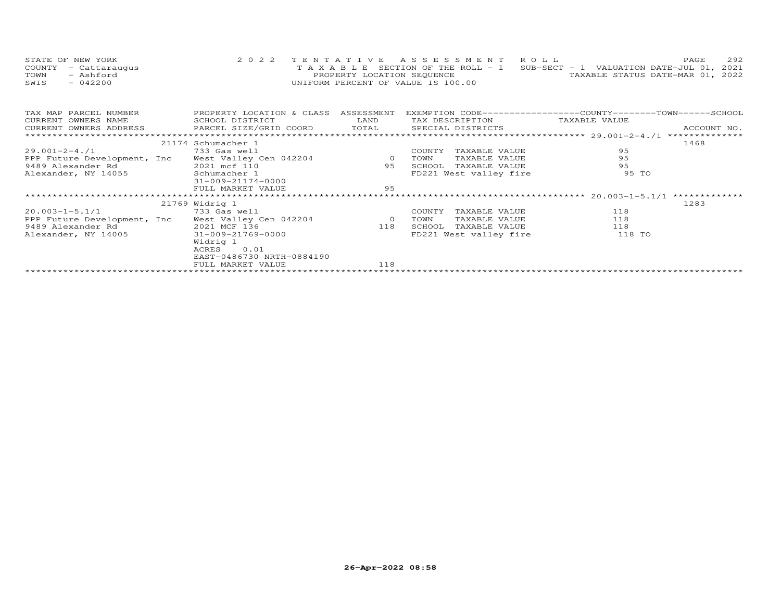| STATE OF NEW YORK    | 2022 TENTATIVE ASSESSMENT ROLL                                                 |                                  | PAGE | 292 |
|----------------------|--------------------------------------------------------------------------------|----------------------------------|------|-----|
| COUNTY - Cattaraugus | T A X A B L E SECTION OF THE ROLL - 1 SUB-SECT - 1 VALUATION DATE-JUL 01, 2021 |                                  |      |     |
| TOWN<br>- Ashford    | PROPERTY LOCATION SEQUENCE                                                     | TAXABLE STATUS DATE-MAR 01, 2022 |      |     |
| SWIS<br>$-042200$    | UNIFORM PERCENT OF VALUE IS 100.00                                             |                                  |      |     |

| TAX MAP PARCEL NUMBER       | PROPERTY LOCATION & CLASS ASSESSMENT                                                                                                                                                                                           |     |        |                               | EXEMPTION CODE-----------------COUNTY-------TOWN------SCHOOL |      |
|-----------------------------|--------------------------------------------------------------------------------------------------------------------------------------------------------------------------------------------------------------------------------|-----|--------|-------------------------------|--------------------------------------------------------------|------|
| CURRENT OWNERS NAME         | SCHOOL DISTRICT LAND                                                                                                                                                                                                           |     |        | TAX DESCRIPTION TAXABLE VALUE |                                                              |      |
|                             | .CURRENT OWNERS ADDRESS PARCEL SIZE/GRID COORD TOTAL SPECIAL DISTRICTS ACCOUNT NO ACCOUNT NO ACCOUNT NO ARE THE SERVER AND HALL SERVER ASSESS THE SERVER SERVER AND HALL SERVER AND HALL SERVER AND THE SERVER SERVER AND HALL |     |        |                               |                                                              |      |
|                             |                                                                                                                                                                                                                                |     |        |                               |                                                              |      |
|                             | 21174 Schumacher 1                                                                                                                                                                                                             |     |        |                               |                                                              | 1468 |
| 29.001-2-4./1               | 733 Gas well                                                                                                                                                                                                                   |     | COUNTY | TAXABLE VALUE                 | 95                                                           |      |
|                             | PPP Future Development, Inc West Valley Cen 042204 0 TOWN TAXABLE VALUE<br>9489 Alexander Rd 2021 mcf 110 95 SCHOOL TAXABLE VALUE                                                                                              |     |        |                               | 95                                                           |      |
|                             |                                                                                                                                                                                                                                |     |        |                               | 95                                                           |      |
|                             | Alexander, NY 14055 Schumacher 1<br>21.000.21174.0000                                                                                                                                                                          |     |        | FD221 West valley fire        | 95 TO                                                        |      |
|                             | 31-009-21174-0000                                                                                                                                                                                                              |     |        |                               |                                                              |      |
|                             | FULL MARKET VALUE                                                                                                                                                                                                              | 95  |        |                               |                                                              |      |
|                             |                                                                                                                                                                                                                                |     |        |                               |                                                              |      |
|                             |                                                                                                                                                                                                                                |     |        |                               |                                                              |      |
|                             | 21769 Widrig 1                                                                                                                                                                                                                 |     |        |                               |                                                              | 1283 |
| 20.003-1-5.1/1 733 Gas well |                                                                                                                                                                                                                                |     | COUNTY | TAXABLE VALUE                 | 118                                                          |      |
|                             | PPP Future Development, Inc West Valley Cen 042204 60 TOWN                                                                                                                                                                     |     |        | TAXABLE VALUE                 | 118                                                          |      |
|                             |                                                                                                                                                                                                                                |     |        | SCHOOL TAXABLE VALUE          | 118                                                          |      |
|                             | Alexander, NY 14005 31-009-21769-0000                                                                                                                                                                                          |     |        | FD221 West valley fire        | 118 TO                                                       |      |
|                             | Widrig 1                                                                                                                                                                                                                       |     |        |                               |                                                              |      |
|                             | ACRES 0.01                                                                                                                                                                                                                     |     |        |                               |                                                              |      |
|                             | EAST-0486730 NRTH-0884190                                                                                                                                                                                                      |     |        |                               |                                                              |      |
|                             | FULL MARKET VALUE                                                                                                                                                                                                              | 118 |        |                               |                                                              |      |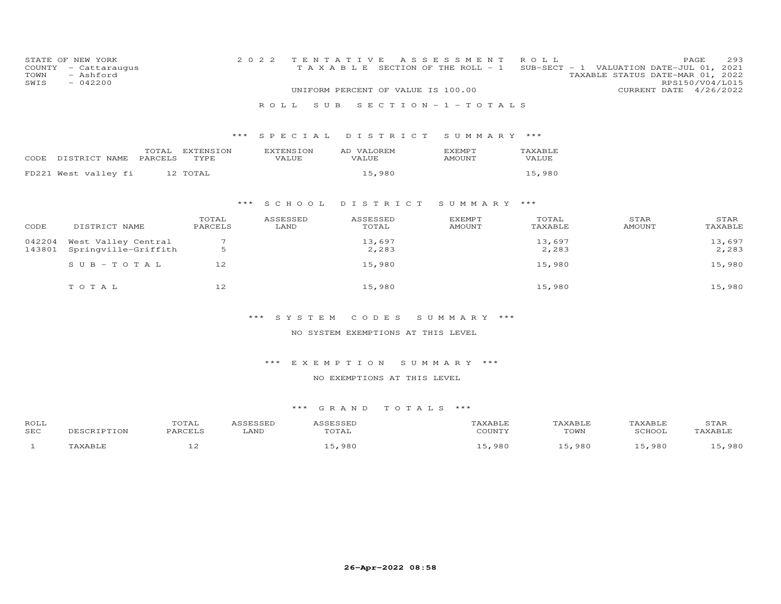| COUNTY<br>TOWN<br>SWIS | STATE OF NEW YORK<br>- Cattaraugus<br>- Ashford<br>$-042200$ |                   | 2 0 2 2                          | TENTATIVE<br>UNIFORM PERCENT OF VALUE IS 100.00 | A S S E S S M E N T<br>TAXABLE SECTION OF THE ROLL - 1 | ROLL                    | SUB-SECT - 1 VALUATION DATE-JUL 01, 2021<br>TAXABLE STATUS DATE-MAR 01, 2022 | 293<br>PAGE<br>RPS150/V04/L015<br>CURRENT DATE 4/26/2022 |
|------------------------|--------------------------------------------------------------|-------------------|----------------------------------|-------------------------------------------------|--------------------------------------------------------|-------------------------|------------------------------------------------------------------------------|----------------------------------------------------------|
|                        |                                                              |                   | ROLL.<br>S U B                   |                                                 | $S E C T I O N - 1 - T O T A L S$                      |                         |                                                                              |                                                          |
|                        |                                                              | $***$             | SPECIAL                          | DISTRICT                                        | SUMMARY ***                                            |                         |                                                                              |                                                          |
| CODE                   | TOTAL<br>PARCELS<br>DISTRICT NAME                            | EXTENSION<br>TYPE | <b>EXTENSION</b><br><b>VALUE</b> | AD VALOREM<br><b>VALUE</b>                      | <b>EXEMPT</b><br><b>AMOUNT</b>                         | TAXABLE<br><b>VALUE</b> |                                                                              |                                                          |
|                        | FD221 West valley fi                                         | 12 TOTAL          |                                  | 15,980                                          |                                                        | 15,980                  |                                                                              |                                                          |
|                        |                                                              | $***$             | S C H O O L                      | DISTRICT                                        | SUMMARY ***                                            |                         |                                                                              |                                                          |
| CODE                   | DISTRICT NAME                                                | TOTAL<br>PARCELS  | ASSESSED<br>LAND                 | ASSESSED<br>TOTAL                               | <b>EXEMPT</b><br><b>AMOUNT</b>                         | TOTAL<br>TAXABLE        | STAR<br><b>AMOUNT</b>                                                        | STAR<br>TAXABLE                                          |
| 042204<br>143801       | West Valley Central<br>Springville-Griffith                  | 7<br>5            |                                  | 13,697<br>2,283                                 |                                                        | 13,697<br>2,283         |                                                                              | 13,697<br>2,283                                          |
|                        | SUB-TOTAL                                                    | 12                |                                  | 15,980                                          |                                                        | 15,980                  |                                                                              | 15,980                                                   |
|                        | TOTAL                                                        | 12                |                                  | 15,980                                          |                                                        | 15,980                  |                                                                              | 15,980                                                   |
|                        |                                                              |                   | ***<br>SYSTEM                    | CODES                                           | SUMMARY ***                                            |                         |                                                                              |                                                          |
|                        |                                                              |                   |                                  | NO SYSTEM EXEMPTIONS AT THIS LEVEL              |                                                        |                         |                                                                              |                                                          |

NO EXEMPTIONS AT THIS LEVEL

| <b>ROLL</b> | ◡⊥▱ |      |                                        |                                           |                                      |                            | JIAK |
|-------------|-----|------|----------------------------------------|-------------------------------------------|--------------------------------------|----------------------------|------|
| <b>SEC</b>  |     | LAND | $m \wedge m \wedge n$<br>$\rightarrow$ | $\alpha$ $\alpha$ then the state $\alpha$ | $T$ $\cap$ $T_1$ $T_2$<br><b>UWI</b> |                            |      |
|             |     |      | ററ                                     | QQf                                       | 980                                  | $\Omega$ $\Omega$ $\Gamma$ | 000  |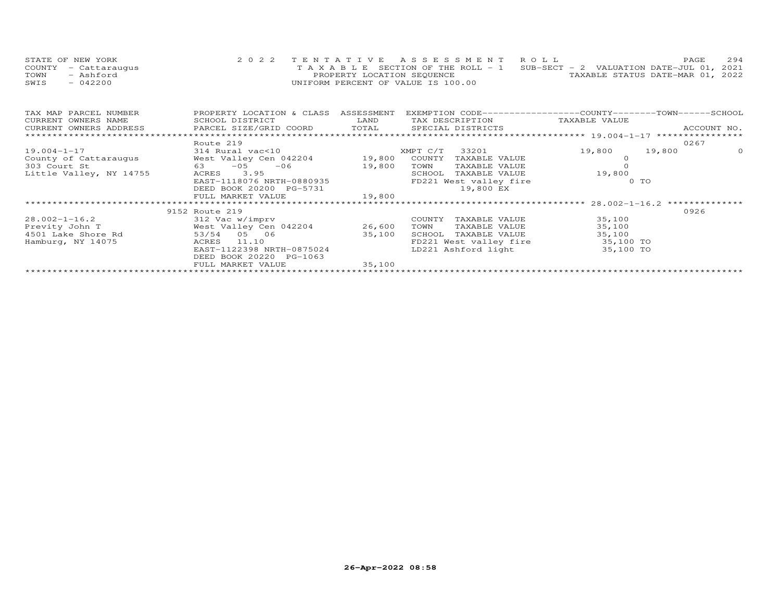| STATE OF NEW YORK    | 2022 TENTATIVE ASSESSMENT ROLL                                                 |                                  | PAGE. | 2.94 |
|----------------------|--------------------------------------------------------------------------------|----------------------------------|-------|------|
| COUNTY - Cattaraugus | T A X A B L E SECTION OF THE ROLL - 1 SUB-SECT - 2 VALUATION DATE-JUL 01, 2021 |                                  |       |      |
| TOWN<br>- Ashford    | PROPERTY LOCATION SEQUENCE                                                     | TAXABLE STATUS DATE-MAR 01, 2022 |       |      |
| $-042200$<br>SWIS    | UNIFORM PERCENT OF VALUE IS 100.00                                             |                                  |       |      |

| TAX MAP PARCEL NUMBER                                                 | PROPERTY LOCATION & CLASS | ASSESSMENT | EXEMPTION CODE-----------------COUNTY-------TOWN------SCHOOL |                  |             |
|-----------------------------------------------------------------------|---------------------------|------------|--------------------------------------------------------------|------------------|-------------|
| CURRENT OWNERS NAME                                                   | SCHOOL DISTRICT           | LAND       | TAX DESCRIPTION TAXABLE VALUE                                |                  |             |
| CURRENT OWNERS ADDRESS FARCEL SIZE/GRID COORD TOTAL SPECIAL DISTRICTS |                           |            |                                                              |                  | ACCOUNT NO. |
|                                                                       |                           |            |                                                              |                  |             |
|                                                                       | Route 219                 |            |                                                              |                  | 0267        |
| 19.004-1-17                                                           | 314 Rural vac<10          |            | XMPT C/T 33201                                               | 19,800<br>19,800 | $\Omega$    |
| County of Cattaraugus                                                 | West Valley Cen 042204    |            | 19,800 COUNTY<br>TAXABLE VALUE                               |                  |             |
| 303 Court St<br>63                                                    | $-05 - 06$                | 19,800     | TOWN<br>TAXABLE VALUE                                        |                  |             |
| Little Valley, NY 14755                                               | 3.95<br>ACRES             |            | SCHOOL<br>TAXABLE VALUE                                      | 19,800           |             |
|                                                                       | EAST-1118076 NRTH-0880935 |            | FD221 West valley fire                                       | $0$ TO           |             |
|                                                                       | DEED BOOK 20200 PG-5731   |            | 19,800 EX                                                    |                  |             |
|                                                                       | FULL MARKET VALUE         | 19,800     |                                                              |                  |             |
|                                                                       |                           |            |                                                              |                  |             |
|                                                                       | 9152 Route 219            |            |                                                              |                  | 0926        |
| $28.002 - 1 - 16.2$                                                   | 312 Vac w/imprv           |            | TAXABLE VALUE<br>COUNTY                                      | 35,100           |             |
| Previty John T                                                        | West Valley Cen 042204    | 26,600     | TOWN<br>TAXABLE VALUE                                        | 35,100           |             |
| 4501 Lake Shore Rd                                                    | 53/54 05 06               | 35,100     | SCHOOL<br>TAXABLE VALUE                                      | 35,100           |             |
| Hamburg, NY 14075                                                     | 11.10<br>ACRES            |            | FD221 West valley fire                                       | 35,100 TO        |             |
|                                                                       | EAST-1122398 NRTH-0875024 |            | LD221 Ashford light                                          | 35,100 TO        |             |
|                                                                       | DEED BOOK 20220 PG-1063   |            |                                                              |                  |             |
|                                                                       | FULL MARKET VALUE         | 35,100     |                                                              |                  |             |
|                                                                       |                           |            |                                                              |                  |             |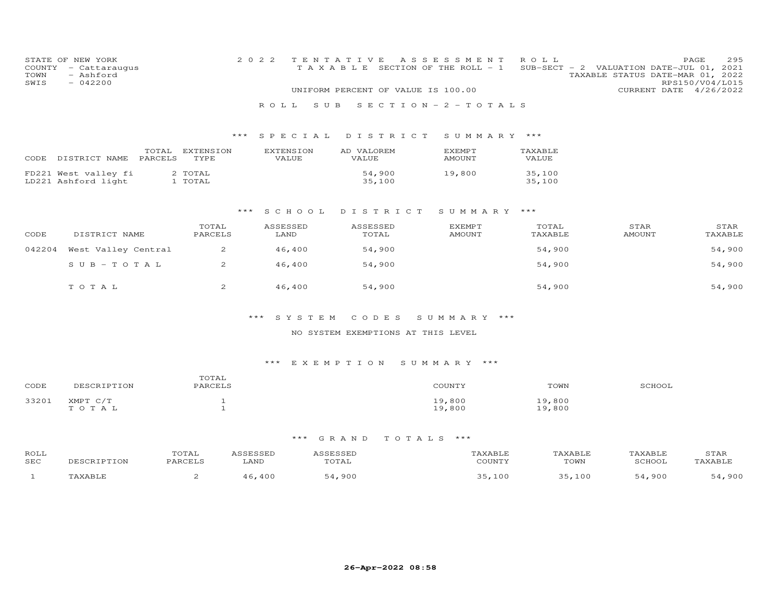| TOWN<br>SWIS | STATE OF NEW YORK<br>COUNTY - Cattaraugus<br>- Ashford<br>$-042200$ |                              | 2 0 2 2<br>ROLL SUB       | TENTATIVE<br>TAXABLE SECTION OF THE ROLL - 1<br>UNIFORM PERCENT OF VALUE IS 100.00 | A S S E S S M E N T<br>$S E C T I O N - 2 - T O T A L S$ | ROLL             | SUB-SECT - 2 VALUATION DATE-JUL 01, 2021<br>TAXABLE STATUS DATE-MAR 01, 2022<br>CURRENT DATE 4/26/2022 | 295<br>PAGE<br>RPS150/V04/L015 |
|--------------|---------------------------------------------------------------------|------------------------------|---------------------------|------------------------------------------------------------------------------------|----------------------------------------------------------|------------------|--------------------------------------------------------------------------------------------------------|--------------------------------|
|              |                                                                     | $***$                        |                           | SPECIAL DISTRICT                                                                   | SUMMARY ***                                              |                  |                                                                                                        |                                |
|              | CODE DISTRICT NAME PARCELS                                          | TOTAL EXTENSION<br>TYPE      | <b>EXTENSION</b><br>VALUE | AD VALOREM<br><b>VALUE</b>                                                         | EXEMPT<br><b>AMOUNT</b>                                  | TAXABLE<br>VALUE |                                                                                                        |                                |
|              | FD221 West valley fi<br>LD221 Ashford light                         | 2 TOTAL<br>1 TOTAL           |                           | 54,900<br>35,100                                                                   | 19,800                                                   | 35,100<br>35,100 |                                                                                                        |                                |
|              |                                                                     | $***$                        | SCHOOL                    | DISTRICT                                                                           | SUMMARY ***                                              |                  |                                                                                                        |                                |
| CODE         | DISTRICT NAME                                                       | TOTAL<br>PARCELS             | ASSESSED<br>LAND          | ASSESSED<br>TOTAL                                                                  | <b>EXEMPT</b><br><b>AMOUNT</b>                           | TOTAL<br>TAXABLE | STAR<br><b>AMOUNT</b>                                                                                  | STAR<br>TAXABLE                |
| 042204       | West Valley Central                                                 | 2                            | 46,400                    | 54,900                                                                             |                                                          | 54,900           |                                                                                                        | 54,900                         |
|              | $S$ U B - T O T A L                                                 | $\overline{2}$               | 46,400                    | 54,900                                                                             |                                                          | 54,900           |                                                                                                        | 54,900                         |
|              | TOTAL                                                               | 2                            | 46,400                    | 54,900                                                                             |                                                          | 54,900           |                                                                                                        | 54,900                         |
|              |                                                                     |                              | *** SYSTEM                | CODES                                                                              | SUMMARY ***                                              |                  |                                                                                                        |                                |
|              |                                                                     |                              |                           | NO SYSTEM EXEMPTIONS AT THIS LEVEL                                                 |                                                          |                  |                                                                                                        |                                |
|              |                                                                     |                              |                           | *** EXEMPTION SUMMARY ***                                                          |                                                          |                  |                                                                                                        |                                |
| CODE         | DESCRIPTION                                                         | TOTAL<br>PARCELS             |                           |                                                                                    | COUNTY                                                   | TOWN             | SCHOOL                                                                                                 |                                |
| 33201        | XMPT C/T<br>TO TAL                                                  | $\mathbf{1}$<br>$\mathbf{1}$ |                           |                                                                                    | 19,800<br>19,800                                         | 19,800<br>19,800 |                                                                                                        |                                |
|              |                                                                     |                              | *** GRAND                 | TOTALS ***                                                                         |                                                          |                  |                                                                                                        |                                |

#### ROLL TOTAL ASSESSED ASSESSED TAXABLE TAXABLE TAXABLE STARTAXABLE SEC DESCRIPTION PARCELS LAND TOTAL COUNTY TOWN SCHOOL TAXABLE1 TAXABLE 2 46,400 54,900 35,100 35,100 54,900 54,900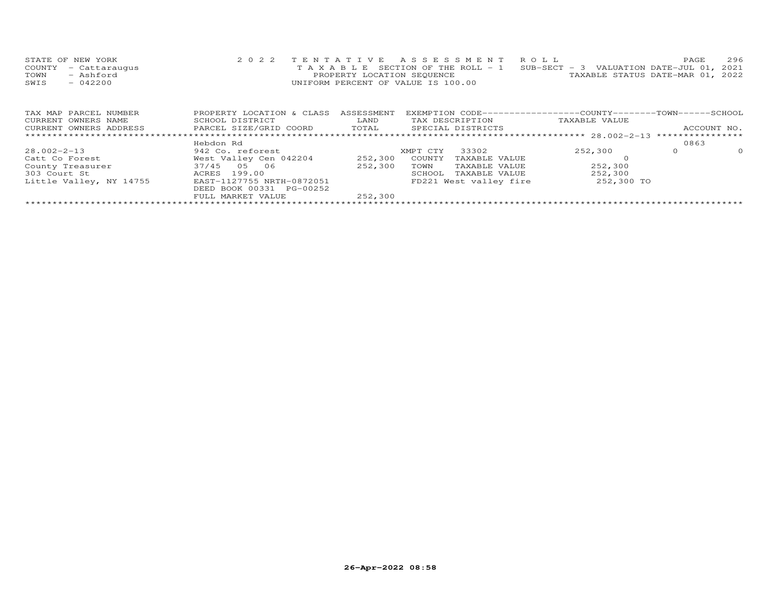| STATE OF NEW YORK    | 2022 TENTATIVE ASSESSMENT ROLL                                                 |                                  | <b>PAGE</b> | 296 |
|----------------------|--------------------------------------------------------------------------------|----------------------------------|-------------|-----|
| COUNTY - Cattaraugus | T A X A B L E SECTION OF THE ROLL - 1 SUB-SECT - 3 VALUATION DATE-JUL 01, 2021 |                                  |             |     |
| TOWN<br>- Ashford    | PROPERTY LOCATION SEQUENCE                                                     | TAXABLE STATUS DATE-MAR 01, 2022 |             |     |
| SWIS<br>$-042200$    | UNIFORM PERCENT OF VALUE IS 100.00                                             |                                  |             |     |
|                      |                                                                                |                                  |             |     |

| TAX MAP PARCEL NUMBER   | PROPERTY LOCATION & CLASS | ASSESSMENT |          |                        | EXEMPTION CODE-----------------COUNTY-------TOWN-----SCHOOL |      |             |
|-------------------------|---------------------------|------------|----------|------------------------|-------------------------------------------------------------|------|-------------|
| CURRENT OWNERS NAME     | SCHOOL DISTRICT           | LAND       |          | TAX DESCRIPTION        | TAXABLE VALUE                                               |      |             |
| CURRENT OWNERS ADDRESS  | PARCEL SIZE/GRID COORD    | TOTAL      |          | SPECIAL DISTRICTS      |                                                             |      | ACCOUNT NO. |
|                         |                           |            |          |                        |                                                             |      |             |
|                         | Hebdon Rd                 |            |          |                        |                                                             | 0863 |             |
| 28.002-2-13             | 942 Co. reforest          |            | XMPT CTY | 33302                  | 252,300                                                     |      | $\Omega$    |
| Catt Co Forest          | West Valley Cen 042204    | 252,300    | COUNTY   | TAXABLE VALUE          |                                                             |      |             |
| County Treasurer        | 37/45 05 06               | 252,300    | TOWN     | TAXABLE VALUE          | 252,300                                                     |      |             |
| 303 Court St            | ACRES 199.00              |            | SCHOOL   | TAXABLE VALUE          | 252,300                                                     |      |             |
| Little Valley, NY 14755 | EAST-1127755 NRTH-0872051 |            |          | FD221 West valley fire | 252,300 TO                                                  |      |             |
|                         | DEED BOOK 00331 PG-00252  |            |          |                        |                                                             |      |             |
|                         | FULL MARKET VALUE         | 252,300    |          |                        |                                                             |      |             |
|                         |                           |            |          |                        |                                                             |      |             |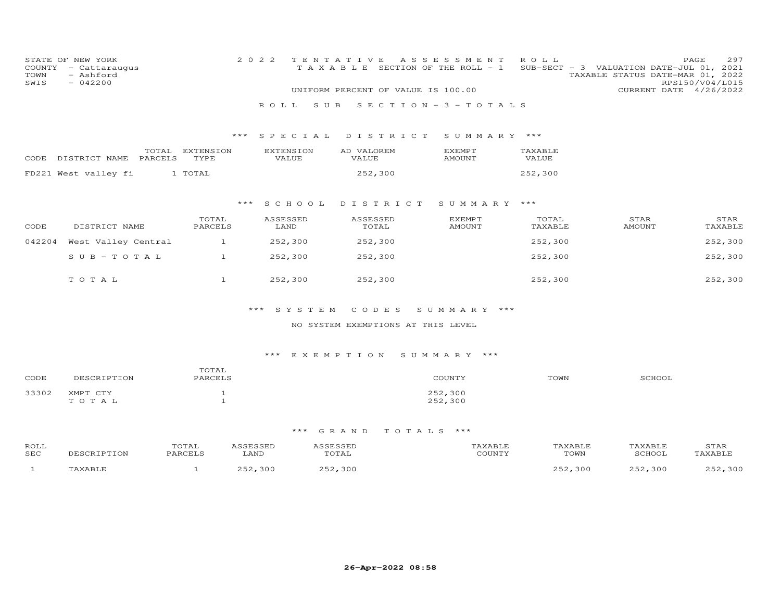| COUNTY<br>TOWN<br>SWIS | STATE OF NEW YORK<br>- Cattaraugus<br>- Ashford<br>$-042200$ |                   | 2 0 2 2<br>ROLL<br>S U B  | TENTATIVE<br>TAXABLE SECTION OF THE ROLL - 1<br>UNIFORM PERCENT OF VALUE IS 100.00 | A S S E S S M E N T<br>SECTION - $3$ - TOTALS | ROLL             | SUB-SECT - 3 VALUATION DATE-JUL 01, 2021<br>TAXABLE STATUS DATE-MAR 01, 2022<br>CURRENT DATE 4/26/2022 | PAGE<br>297<br>RPS150/V04/L015 |
|------------------------|--------------------------------------------------------------|-------------------|---------------------------|------------------------------------------------------------------------------------|-----------------------------------------------|------------------|--------------------------------------------------------------------------------------------------------|--------------------------------|
|                        |                                                              | ***               | SPECIAL                   | DISTRICT                                                                           | SUMMARY ***                                   |                  |                                                                                                        |                                |
| CODE                   | TOTAL<br>DISTRICT NAME<br>PARCELS                            | EXTENSION<br>TYPE | <b>EXTENSION</b><br>VALUE | AD VALOREM<br>VALUE                                                                | <b>EXEMPT</b><br><b>AMOUNT</b>                | TAXABLE<br>VALUE |                                                                                                        |                                |
|                        | FD221 West valley fi                                         | 1 TOTAL           |                           | 252,300                                                                            |                                               | 252,300          |                                                                                                        |                                |
|                        |                                                              | $***$             | S C H O O L               | DISTRICT                                                                           | SUMMARY ***                                   |                  |                                                                                                        |                                |
| CODE                   | DISTRICT NAME                                                | TOTAL<br>PARCELS  | ASSESSED<br>LAND          | ASSESSED<br>TOTAL                                                                  | <b>EXEMPT</b><br><b>AMOUNT</b>                | TOTAL<br>TAXABLE | STAR<br><b>AMOUNT</b>                                                                                  | STAR<br>TAXABLE                |
| 042204                 | West Valley Central                                          | $\mathbf{1}$      | 252,300                   | 252,300                                                                            |                                               | 252,300          |                                                                                                        | 252,300                        |
|                        | $S$ U B $-$ T O T A L                                        | $\mathbf{1}$      | 252,300                   | 252,300                                                                            |                                               | 252,300          |                                                                                                        | 252,300                        |
|                        | TOTAL                                                        | $\mathbf{1}$      | 252,300                   | 252,300                                                                            |                                               | 252,300          |                                                                                                        | 252,300                        |
|                        |                                                              |                   | ***<br>SYSTEM             | CODES                                                                              | SUMMARY ***                                   |                  |                                                                                                        |                                |
|                        |                                                              |                   |                           | NO SYSTEM EXEMPTIONS AT THIS LEVEL                                                 |                                               |                  |                                                                                                        |                                |
|                        |                                                              |                   |                           |                                                                                    |                                               |                  |                                                                                                        |                                |
|                        |                                                              |                   | $***$                     | E X E M P T I O N                                                                  | SUMMARY ***                                   |                  |                                                                                                        |                                |
| CODE                   | DESCRIPTION                                                  | TOTAL<br>PARCELS  |                           |                                                                                    | COUNTY                                        | TOWN             | SCHOOL                                                                                                 |                                |

# \*\*\* G R A N D T O T A L S \*\*\*

 $252,300$ 

33302 XMPT CTY 1<br>
T O T A L 1 252,300

| ROLL<br>SEC | $\sim$ | ידג ה<br>LANL | $\triangleright$ | "OWN | $\sim$ TT $\sim$ $\sim$ |  |
|-------------|--------|---------------|------------------|------|-------------------------|--|
|             |        | $\sim$        |                  | ΩC   | $\sim$ $\sim$           |  |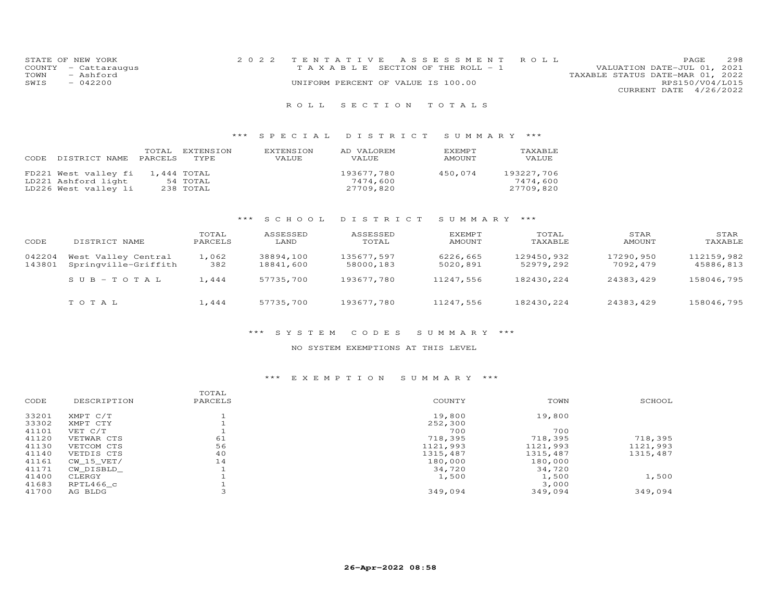| STATE OF NEW YORK    | 2022 TENTATIVE ASSESSMENT ROLL     | PAGE.                       | 298 |
|----------------------|------------------------------------|-----------------------------|-----|
| COUNTY - Cattaraugus | TAXABLE SECTION OF THE ROLL - 1    | VALUATION DATE-JUL 01, 2021 |     |
| TOWN<br>- Ashford    | TAXABLE STATUS DATE-MAR 01, 2022   |                             |     |
| SWIS<br>$-042200$    | UNIFORM PERCENT OF VALUE IS 100.00 | RPS150/V04/L015             |     |
|                      |                                    | CURRENT DATE 4/26/2022      |     |
|                      |                                    |                             |     |

## \*\*\* S P E C I A L D I S T R I C T S U M M A R Y \*\*\*

| DISTRICT NAME PARCELS TYPE<br>CODE.                                 | TOTAL       | EXTENSION             | EXTENSION<br><b>VALUE</b> | AD VALOREM<br><b>VALUE</b>          | EXEMPT<br>AMOUNT | TAXABLE<br>VALUE                    |
|---------------------------------------------------------------------|-------------|-----------------------|---------------------------|-------------------------------------|------------------|-------------------------------------|
| FD221 West valley fi<br>LD221 Ashford light<br>LD226 West valley li | 1,444 TOTAL | 54 TOTAL<br>238 TOTAL |                           | 193677,780<br>7474.600<br>27709,820 | 450,074          | 193227,706<br>7474,600<br>27709,820 |

## \*\*\* S C H O O L D I S T R I C T S U M M A R Y \*\*\*

| CODE             | DISTRICT NAME                               | TOTAL<br>PARCELS | ASSESSED<br>LAND       | ASSESSED<br>TOTAL       | EXEMPT<br>AMOUNT     | TOTAL<br>TAXABLE        | STAR<br>AMOUNT        | STAR<br>TAXABLE         |
|------------------|---------------------------------------------|------------------|------------------------|-------------------------|----------------------|-------------------------|-----------------------|-------------------------|
| 042204<br>143801 | West Valley Central<br>Springville-Griffith | 1,062<br>382     | 38894,100<br>18841,600 | 135677,597<br>58000,183 | 6226,665<br>5020,891 | 129450,932<br>52979,292 | 17290,950<br>7092,479 | 112159,982<br>45886,813 |
|                  | $SUB-TOTAL$                                 | 1,444            | 57735,700              | 193677,780              | 11247,556            | 182430,224              | 24383,429             | 158046,795              |
|                  | TOTAL                                       | 1,444            | 57735,700              | 193677,780              | 11247,556            | 182430,224              | 24383,429             | 158046,795              |

#### \*\*\* S Y S T E M C O D E S S U M M A R Y \*\*\*

#### NO SYSTEM EXEMPTIONS AT THIS LEVEL

## \*\*\* E X E M P T I O N S U M M A R Y \*\*\*

| CODE  | DESCRIPTION | TOTAL<br>PARCELS | COUNTY   | TOWN     | SCHOOL   |
|-------|-------------|------------------|----------|----------|----------|
| 33201 | XMPT C/T    |                  | 19,800   | 19,800   |          |
| 33302 | XMPT CTY    |                  | 252,300  |          |          |
| 41101 | VET C/T     |                  | 700      | 700      |          |
| 41120 | VETWAR CTS  | 61               | 718,395  | 718,395  | 718,395  |
| 41130 | VETCOM CTS  | 56               | 1121,993 | 1121,993 | 1121,993 |
| 41140 | VETDIS CTS  | 40               | 1315,487 | 1315,487 | 1315,487 |
| 41161 | CW 15 VET/  | 14               | 180,000  | 180,000  |          |
| 41171 | CW DISBLD   |                  | 34,720   | 34,720   |          |
| 41400 | CLERGY      |                  | 1,500    | 1,500    | 1,500    |
| 41683 | RPTL466 c   |                  |          | 3,000    |          |
| 41700 | AG BLDG     |                  | 349,094  | 349,094  | 349,094  |
|       |             |                  |          |          |          |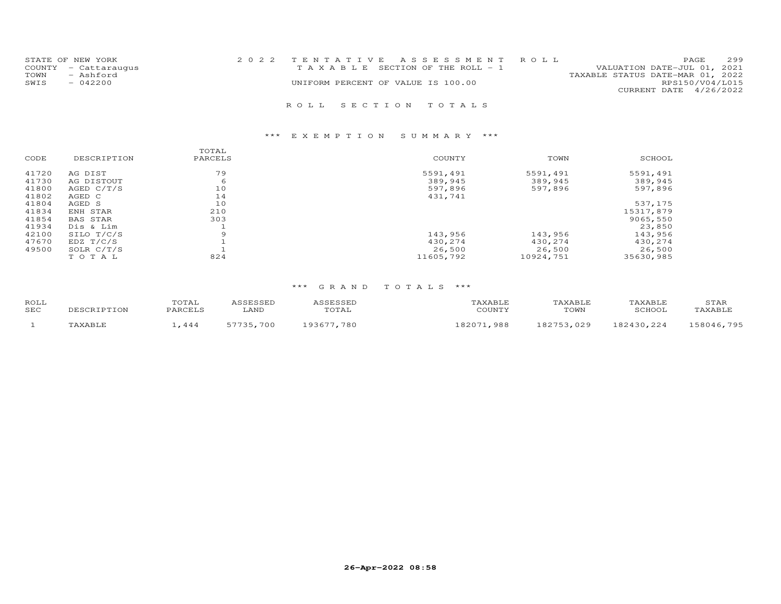| STATE OF NEW YORK<br>COUNTY - Cattaraugus<br>- Ashford<br>TOWN<br>- 042200<br>SWIS | 2022 TENTATIVE ASSESSMENT ROLL<br>T A X A B L E SECTION OF THE ROLL - 1<br>UNIFORM PERCENT OF VALUE IS 100.00 | 2.99<br><b>PAGE</b><br>VALUATION DATE-JUL 01, 2021<br>TAXABLE STATUS DATE-MAR 01, 2022<br>RPS150/V04/L015<br>CURRENT DATE 4/26/2022 |  |
|------------------------------------------------------------------------------------|---------------------------------------------------------------------------------------------------------------|-------------------------------------------------------------------------------------------------------------------------------------|--|
|                                                                                    | ROLL SECTION TOTALS                                                                                           |                                                                                                                                     |  |

|       |              | TOTAL   |           |           |           |
|-------|--------------|---------|-----------|-----------|-----------|
| CODE  | DESCRIPTION  | PARCELS | COUNTY    | TOWN      | SCHOOL    |
| 41720 | AG DIST      | 79      | 5591,491  | 5591,491  | 5591,491  |
| 41730 | AG DISTOUT   | 6       | 389,945   | 389,945   | 389,945   |
| 41800 | AGED $C/T/S$ | 10      | 597,896   | 597,896   | 597,896   |
| 41802 | AGED C       | 14      | 431,741   |           |           |
| 41804 | AGED S       | 10      |           |           | 537,175   |
| 41834 | ENH STAR     | 210     |           |           | 15317,879 |
| 41854 | BAS STAR     | 303     |           |           | 9065,550  |
| 41934 | Dis & Lim    |         |           |           | 23,850    |
| 42100 | SILO T/C/S   | 9       | 143,956   | 143,956   | 143,956   |
| 47670 | EDZ T/C/S    |         | 430,274   | 430,274   | 430,274   |
| 49500 | SOLR C/T/S   |         | 26,500    | 26,500    | 26,500    |
|       | TOTAL        | 824     | 11605,792 | 10924,751 | 35630,985 |

| ROLL<br>SEC | T D T T ON | TOTAL<br>PARCELS | <b>CCFCCFD</b><br>LAND | <b>ESSED</b><br>TOTAL | AXABLI<br>COUNTY | KABLE<br>TOWN | AXABLE <sup>.</sup><br><b>RCHOOL</b> | STAR<br>'AXABLF |
|-------------|------------|------------------|------------------------|-----------------------|------------------|---------------|--------------------------------------|-----------------|
|             | 'AVART     | .444             | 700<br><b>57735</b>    | 780<br>193677         | $92071$<br>988   | ,029<br>07752 | 182430 224                           | 158046,795      |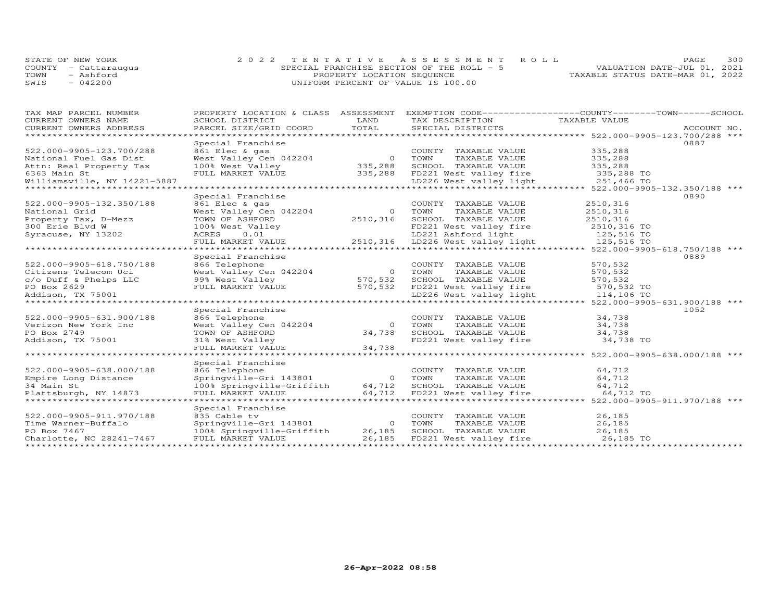|      | STATE OF NEW YORK    | 2022 TENTATIVE ASSESSMENT ROLL            | PAGE.                            | 300 |
|------|----------------------|-------------------------------------------|----------------------------------|-----|
|      | COUNTY - Cattaraugus | SPECIAL FRANCHISE SECTION OF THE ROLL - 5 | VALUATION DATE-JUL 01, 2021      |     |
| TOWN | - Ashford            | PROPERTY LOCATION SEQUENCE                | TAXABLE STATUS DATE-MAR 01, 2022 |     |
| SWIS | $-042200$            | UNIFORM PERCENT OF VALUE IS 100.00        |                                  |     |

| TAX MAP PARCEL NUMBER<br>TAX MAP PARCEL NUMBER TO FRIEND AND ASSOCIATE EXAMPLE THE CONFERENT OWNERS NAMEL AND THE CONFERENT OF THE CONF<br>CURRENT OWNERS ADDRESS BORD DISTRICT TO TAX DESCRIPTION TAXABLE VALUE<br>CURRENT OWNERS ADDRESS PARCEL SIZE/GRID C<br>CURRENT OWNERS NAME<br>CURRENT OWNERS ADDRESS | PROPERTY LOCATION & CLASS ASSESSMENT                                                                                                                                                                                                                        |                  | EXEMPTION CODE-----------------COUNTY-------TOWN------SCHOOL                                                                                                                                   |                                  |      |
|----------------------------------------------------------------------------------------------------------------------------------------------------------------------------------------------------------------------------------------------------------------------------------------------------------------|-------------------------------------------------------------------------------------------------------------------------------------------------------------------------------------------------------------------------------------------------------------|------------------|------------------------------------------------------------------------------------------------------------------------------------------------------------------------------------------------|----------------------------------|------|
| 522.000-9905-123.700/288<br>National Fuel Gas Dist<br>Attn: Real Property Tax<br>6363 Main St<br>Williamsville, NY 14221-5887<br>******************************                                                                                                                                                | Special Franchise<br>961 Elec & gas<br>West Valley Cen 042204 085, 288 SCHOOL TAXABLE VALUE<br>100% West Valley Cen 042204 335, 288 SCHOOL TAXABLE VALUE<br>FULL MARKET VALUE 335, 288 FD221 West valley fire 335, 288 TO<br>FULL MARKET VALUE 335, 288 FD2 |                  |                                                                                                                                                                                                |                                  | 0887 |
| 522.000-9905-132.350/188<br>National Grid<br>Property Tax, D-Mezz<br>300 Erie Blvd W<br>Syracuse, NY 13202                                                                                                                                                                                                     | Special Franchise<br>861 Elec & gas<br>West Valley Cen 042204<br>TOWN OF ASHFORD<br>100% West Valley<br>ACRES 0.01<br>FULL MARKET VALUE                                                                                                                     | 2510,316         | COUNTY TAXABLE VALUE<br>0 TOWN<br>TAXABLE VALUE<br>SCHOOL TAXABLE VALUE<br>FD221 West valley fire 2510,316 TO<br>LD221 Ashford light 125,516 TO<br>2510,316 LD226 West valley light 125,516 TO | 2510,316<br>2510,316<br>2510,316 | 0890 |
| 522.000-9905-618.750/188<br>Citizens Telecom Uci<br>c/o Duff & Phelps LLC<br>PO Box 2629<br>Addison, TX 75001                                                                                                                                                                                                  | Special Franchise<br>866 Telephone COUNT<br>West Valley Cen 042204 0 70WN<br>99% West Valley 570,532 SCHOO<br>FULL MARKET VALUE 570,532 ED221<br>LD226                                                                                                      |                  | COUNTY TAXABLE VALUE<br>TAXABLE VALUE<br>SCHOOL TAXABLE VALUE<br>FD221 West valley fire 570,532 TO<br>LD226 West valley light 114,106 TO                                                       | 570,532<br>570,532<br>570, 532   | 0889 |
| 522.000-9905-631.900/188<br>Verizon New York Inc<br>PO Box 2749<br>Addison, TX 75001                                                                                                                                                                                                                           | Special Franchise<br>866 Telephone<br>TOWN OF ASHFORD<br>31% West Valley<br>FULL MARKET VALUE                                                                                                                                                               | 34,738<br>34,738 | COUNTY TAXABLE VALUE<br>TOWN      TAXABLE VALUE<br>SCHOOL TAXABLE VALUE 34,738<br>FD221 West valley fire 34,738 TO                                                                             | 34,738<br>34,738                 | 1052 |
| 522.000-9905-638.000/188<br>Empire Long Distance                                                                                                                                                                                                                                                               | Special Franchise<br>866 Telephone                                                                                                                                                                                                                          |                  | COUNTY TAXABLE VALUE<br>TAXABLE VALUE                                                                                                                                                          | 64,712<br>64,712                 |      |
| 522.000-9905-911.970/188<br>Time Warner-Buffalo<br>PO Box 7467<br>Charlotte, NC 28241-7467                                                                                                                                                                                                                     | Special Franchise<br>835 Cable tv<br>Springville-Gri 143801 0 TOWN<br>100% Springville-Griffith 26,185<br>FULL MARKET VALUE                                                                                                                                 | 26,185           | COUNTY TAXABLE VALUE<br>TAXABLE VALUE 26,185                                                                                                                                                   | 26,185                           |      |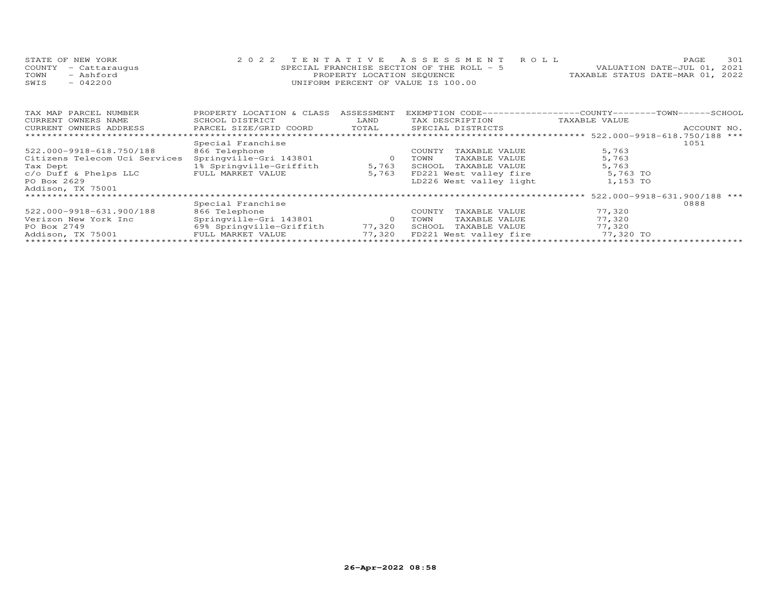| STATE OF NEW YORK    | 2022 TENTATIVE ASSESSMENT ROLL            | 301<br><b>PAGE</b>               |
|----------------------|-------------------------------------------|----------------------------------|
| COUNTY - Cattaraugus | SPECIAL FRANCHISE SECTION OF THE ROLL - 5 | VALUATION DATE-JUL 01, 2021      |
| TOWN<br>- Ashford    | PROPERTY LOCATION SEQUENCE                | TAXABLE STATUS DATE-MAR 01, 2022 |
| SWIS<br>$-042200$    | INIFORM PERCENT OF VALUE IS 100.00        |                                  |

| TAX MAP PARCEL NUMBER         | PROPERTY LOCATION & CLASS | ASSESSMENT | EXEMPTION CODE-----------------COUNTY-------TOWN------SCHOOL |               |             |
|-------------------------------|---------------------------|------------|--------------------------------------------------------------|---------------|-------------|
| CURRENT OWNERS NAME           | SCHOOL DISTRICT           | LAND       | TAX DESCRIPTION                                              | TAXABLE VALUE |             |
| CURRENT OWNERS ADDRESS        | PARCEL SIZE/GRID COORD    | TOTAL      | SPECIAL DISTRICTS                                            |               | ACCOUNT NO. |
|                               |                           |            |                                                              |               |             |
|                               | Special Franchise         |            |                                                              |               | 1051        |
| 522.000-9918-618.750/188      | 866 Telephone             |            | TAXABLE VALUE<br>COUNTY                                      | 5,763         |             |
| Citizens Telecom Uci Services | Springville-Gri 143801    |            | TOWN<br>TAXABLE VALUE                                        | 5,763         |             |
| Tax Dept                      | 1% Springville-Griffith   | 5,763      | TAXABLE VALUE<br>SCHOOL                                      | 5,763         |             |
| c/o Duff & Phelps LLC         | FULL MARKET VALUE         | 5,763      | FD221 West valley fire                                       | 5,763 TO      |             |
| PO Box 2629                   |                           |            | LD226 West valley light                                      | 1,153 TO      |             |
| Addison, TX 75001             |                           |            |                                                              |               |             |
|                               |                           |            |                                                              |               |             |
|                               | Special Franchise         |            |                                                              |               | 0888        |
| 522.000-9918-631.900/188      | 866 Telephone             |            | TAXABLE VALUE<br>COUNTY                                      | 77,320        |             |
| Verizon New York Inc          | Springville-Gri 143801    |            | TAXABLE VALUE<br>TOWN                                        | 77,320        |             |
| PO Box 2749                   | 69% Springville-Griffith  | 77,320     | TAXABLE VALUE<br>SCHOOL                                      | 77.320        |             |
| Addison, TX 75001             | FULL MARKET VALUE         | 77,320     | FD221 West valley fire                                       | 77,320 TO     |             |
|                               |                           |            |                                                              |               |             |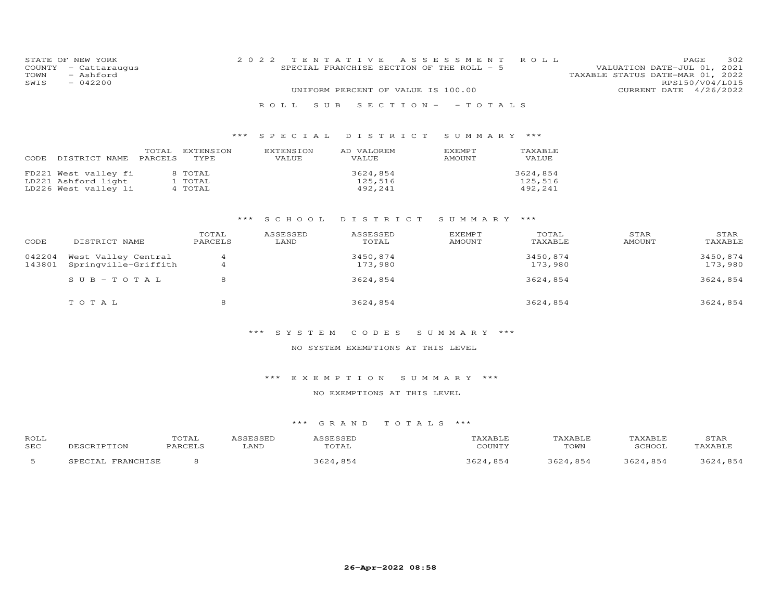| COUNTY<br>TOWN<br>SWIS | STATE OF NEW YORK<br>- Cattaraugus<br>- Ashford<br>$-042200$        |                               | 2 0 2 2                   | TENTATIVE<br>SPECIAL FRANCHISE SECTION OF THE ROLL - 5<br>UNIFORM PERCENT OF VALUE IS 100.00 | A S S E S S M E N T            | ROLL                           | VALUATION DATE-JUL 01, 2021<br>TAXABLE STATUS DATE-MAR 01, 2022 | 302<br>PAGE<br>RPS150/V04/L015<br>CURRENT DATE 4/26/2022 |
|------------------------|---------------------------------------------------------------------|-------------------------------|---------------------------|----------------------------------------------------------------------------------------------|--------------------------------|--------------------------------|-----------------------------------------------------------------|----------------------------------------------------------|
|                        |                                                                     |                               | R O L L<br>S U B          | $S$ E C T I O N $-$                                                                          | - TOTALS                       |                                |                                                                 |                                                          |
|                        |                                                                     | ***                           | SPECIAL                   | DISTRICT                                                                                     | SUMMARY ***                    |                                |                                                                 |                                                          |
| CODE                   | TOTAL<br>PARCELS<br>DISTRICT NAME                                   | <b>EXTENSION</b><br>TYPE      | <b>EXTENSION</b><br>VALUE | AD VALOREM<br>VALUE                                                                          | <b>EXEMPT</b><br><b>AMOUNT</b> | TAXABLE<br>VALUE               |                                                                 |                                                          |
|                        | FD221 West valley fi<br>LD221 Ashford light<br>LD226 West valley li | 8 TOTAL<br>1 TOTAL<br>4 TOTAL |                           | 3624,854<br>125,516<br>492,241                                                               |                                | 3624,854<br>125,516<br>492,241 |                                                                 |                                                          |
|                        |                                                                     | ***                           | S C H O O L               | DISTRICT                                                                                     | SUMMARY ***                    |                                |                                                                 |                                                          |
| CODE                   | DISTRICT NAME                                                       | TOTAL<br>PARCELS              | ASSESSED<br>LAND          | ASSESSED<br>TOTAL                                                                            | <b>EXEMPT</b><br><b>AMOUNT</b> | TOTAL<br>TAXABLE               | STAR<br>AMOUNT                                                  | STAR<br>TAXABLE                                          |
| 042204<br>143801       | West Valley Central<br>Springville-Griffith                         | 4<br>$\overline{4}$           |                           | 3450,874<br>173,980                                                                          |                                | 3450,874<br>173,980            |                                                                 | 3450,874<br>173,980                                      |
|                        | $SUB - TO T AL$                                                     | 8                             |                           | 3624,854                                                                                     |                                | 3624,854                       |                                                                 | 3624,854                                                 |
|                        | TOTAL                                                               | 8                             |                           | 3624,854                                                                                     |                                | 3624,854                       |                                                                 | 3624,854                                                 |

## \*\*\* S Y S T E M C O D E S S U M M A R Y \*\*\*

#### NO SYSTEM EXEMPTIONS AT THIS LEVEL

## \*\*\* E X E M P T I O N S U M M A R Y \*\*\*

## NO EXEMPTIONS AT THIS LEVEL

| ROLL |                   | "OTAL   | ASSESSED | ASSESSED | TAXABLE  | TAXABLE  | TAXABLE  | STAR     |
|------|-------------------|---------|----------|----------|----------|----------|----------|----------|
| SEC  | DESCRIPTION       | PARCELS | LAND     | TOTAL    | COUNTY   | TOWN     | SCHOOL   | TAXABLE  |
|      | SPECIAL FRANCHISE |         |          | 3624,854 | 3624.854 | 3624,854 | 3624.854 | 3624,854 |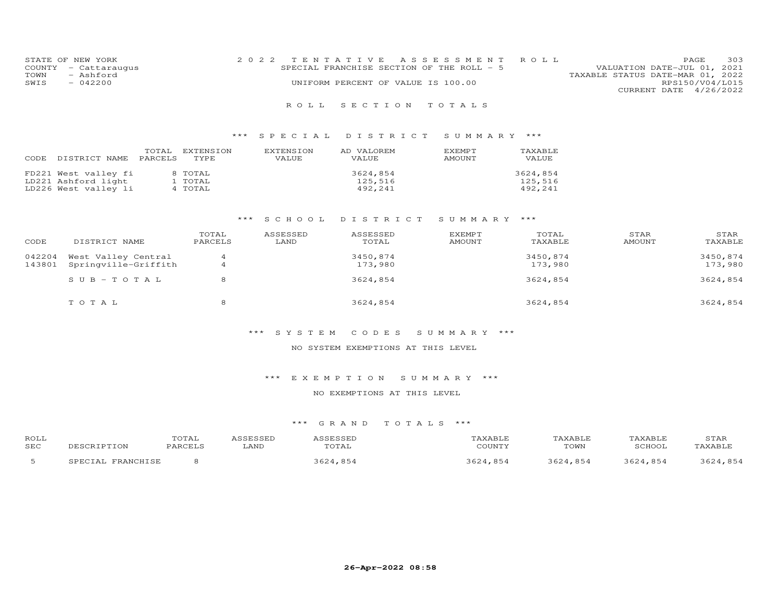| STATE OF NEW YORK    | 2022 TENTATIVE ASSESSMENT ROLL            |                                  | PAGE.                       | 303 |
|----------------------|-------------------------------------------|----------------------------------|-----------------------------|-----|
| COUNTY - Cattaraugus | SPECIAL FRANCHISE SECTION OF THE ROLL - 5 |                                  | VALUATION DATE-JUL 01, 2021 |     |
| TOWN<br>- Ashford    |                                           | TAXABLE STATUS DATE-MAR 01, 2022 |                             |     |
| SWIS<br>$-042200$    | UNIFORM PERCENT OF VALUE IS 100.00        |                                  | RPS150/V04/L015             |     |
|                      |                                           |                                  | CURRENT DATE 4/26/2022      |     |

## \*\*\* S P E C I A L D I S T R I C T S U M M A R Y \*\*\*

| CODE | DISTRICT NAME        | TOTAL<br>PARCELS | EXTENSION<br>TYPE. | EXTENSION<br>VALUE | AD VALOREM<br>VALUE | EXEMPT<br>AMOUNT | TAXABLE<br>VALUE |
|------|----------------------|------------------|--------------------|--------------------|---------------------|------------------|------------------|
|      | FD221 West valley fi |                  | 8 TOTAL            |                    | 3624,854            |                  | 3624,854         |
|      | LD221 Ashford light  |                  | 1 TOTAL            |                    | 125,516             |                  | 125,516          |
|      | LD226 West valley li |                  | 4 TOTAL            |                    | 492,241             |                  | 492,241          |

## \*\*\* S C H O O L D I S T R I C T S U M M A R Y \*\*\*

| CODE             | DISTRICT NAME                               | TOTAL<br>PARCELS | ASSESSED<br>LAND | ASSESSED<br>TOTAL   | <b>EXEMPT</b><br>AMOUNT | TOTAL<br>TAXABLE    | STAR<br>AMOUNT | STAR<br>TAXABLE     |
|------------------|---------------------------------------------|------------------|------------------|---------------------|-------------------------|---------------------|----------------|---------------------|
| 042204<br>143801 | West Valley Central<br>Springville-Griffith | $\overline{4}$   |                  | 3450,874<br>173,980 |                         | 3450,874<br>173,980 |                | 3450,874<br>173,980 |
|                  | $SUB - TO TAL$                              | 8                |                  | 3624,854            |                         | 3624,854            |                | 3624,854            |
|                  | TOTAL                                       | 8                |                  | 3624,854            |                         | 3624,854            |                | 3624,854            |

#### \*\*\* S Y S T E M C O D E S S U M M A R Y \*\*\*

#### NO SYSTEM EXEMPTIONS AT THIS LEVEL

## \*\*\* E X E M P T I O N S U M M A R Y \*\*\*

## NO EXEMPTIONS AT THIS LEVEL

| ROLL |                   | TOTAL   | ASSESSED | ASSESSED | TAXABLE  | TAXABLE  | TAXABLE  | STAR     |
|------|-------------------|---------|----------|----------|----------|----------|----------|----------|
| SEC  | DESCRIPTION       | PARCELS | LAND     | TOTAL    | COUNTY   | TOWN     | SCHOOL   | TAXABLE  |
|      | SPECIAL FRANCHISE |         |          | 3624,854 | 3624,854 | 3624.854 | 3624.854 | 3624,854 |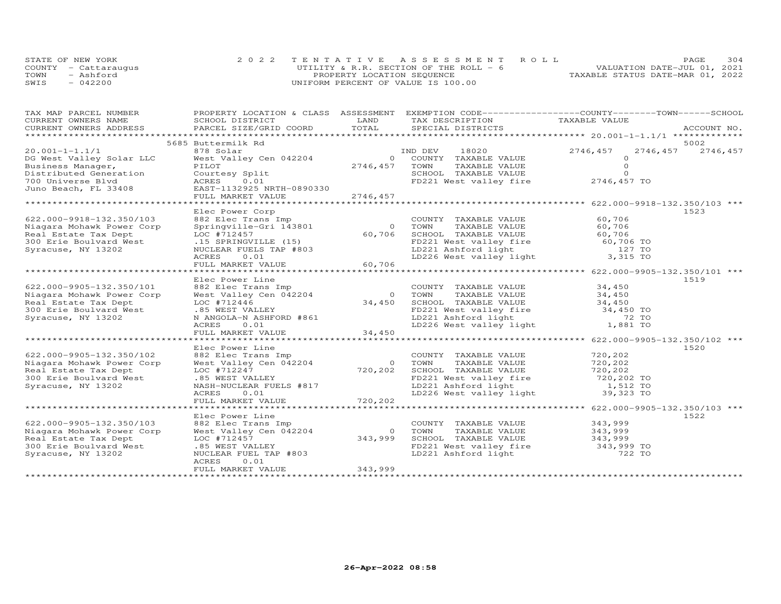|      | STATE OF NEW YORK    | 2022 TENTATIVE ASSESSMENT ROLL          | PAGE.                            | 304 |
|------|----------------------|-----------------------------------------|----------------------------------|-----|
|      | COUNTY - Cattaraugus | UTILITY & R.R. SECTION OF THE ROLL $-6$ | VALUATION DATE-JUL 01, 2021      |     |
| TOWN | - Ashford            | PROPERTY LOCATION SEQUENCE              | TAXABLE STATUS DATE-MAR 01, 2022 |     |
| SWIS | $-042200$            | UNIFORM PERCENT OF VALUE IS 100.00      |                                  |     |

| TAX MAP PARCEL NUMBER                                                                                                                                                                                                                                                                                                                                                                                                                                                    |                                                          |                | PROPERTY LOCATION & CLASS ASSESSMENT EXEMPTION CODE----------------COUNTY-------TOWN-----SCHOOL                                                                                                                                                                          |                       |                     |
|--------------------------------------------------------------------------------------------------------------------------------------------------------------------------------------------------------------------------------------------------------------------------------------------------------------------------------------------------------------------------------------------------------------------------------------------------------------------------|----------------------------------------------------------|----------------|--------------------------------------------------------------------------------------------------------------------------------------------------------------------------------------------------------------------------------------------------------------------------|-----------------------|---------------------|
| CURRENT OWNERS NAME                                                                                                                                                                                                                                                                                                                                                                                                                                                      | SCHOOL DISTRICT                                          | LAND           | TAX DESCRIPTION TAXABLE VALUE                                                                                                                                                                                                                                            |                       |                     |
| $\begin{array}{c}\n\text{CONRENI} \quad \text{NOLI:} \\ \text{CNOTAL} \quad \text{D1STICTS} \\ \text{CNOTAL} \quad \text{D1STICTS} \\ \text{CNOTAL} \quad \text{D1STICTS} \\ \text{CNOTAL} \quad \text{D1STICTS} \\ \text{CNOTAL} \quad \text{D1STICTS} \\ \text{CNOTAL} \quad \text{D1STICTS} \\ \text{CNOTAL} \quad \text{SACCOUNT NO.} \\ \text{CNOTAL} \quad \text{SDCCONT NOL} \\ \text{COTAL} \quad \text{D1STICTS} \\ \text{COTAL} \quad \text{COTIC} \\ \text{C$ |                                                          |                |                                                                                                                                                                                                                                                                          |                       |                     |
|                                                                                                                                                                                                                                                                                                                                                                                                                                                                          | 5685 Buttermilk Rd                                       |                |                                                                                                                                                                                                                                                                          |                       | 5002                |
| $20.001 - 1 - 1.1/1$                                                                                                                                                                                                                                                                                                                                                                                                                                                     |                                                          |                |                                                                                                                                                                                                                                                                          | 2746,457              | 2746, 457 2746, 457 |
|                                                                                                                                                                                                                                                                                                                                                                                                                                                                          | 878 Solar                                                |                | 18020 200<br>IND DEV                                                                                                                                                                                                                                                     | $\Omega$              |                     |
| DG West Valley Solar LLC<br>Business Manager,                                                                                                                                                                                                                                                                                                                                                                                                                            | West Valley Cen 042204<br>PILOT                          | 2746,457       | 0 COUNTY TAXABLE VALUE<br>TOWN<br>TAXABLE VALUE                                                                                                                                                                                                                          | $\Omega$              |                     |
| Distributed Generation                                                                                                                                                                                                                                                                                                                                                                                                                                                   | Courtesy Split                                           |                | SCHOOL TAXABLE VALUE                                                                                                                                                                                                                                                     | $\Omega$              |                     |
| 700 Universe Blyd                                                                                                                                                                                                                                                                                                                                                                                                                                                        | ACRES<br>0.01                                            |                | FD221 West valley fire 2746,457 TO                                                                                                                                                                                                                                       |                       |                     |
| Juno Beach, FL 33408                                                                                                                                                                                                                                                                                                                                                                                                                                                     | EAST-1132925 NRTH-0890330                                |                |                                                                                                                                                                                                                                                                          |                       |                     |
|                                                                                                                                                                                                                                                                                                                                                                                                                                                                          | FULL MARKET VALUE 2746, 457                              |                |                                                                                                                                                                                                                                                                          |                       |                     |
|                                                                                                                                                                                                                                                                                                                                                                                                                                                                          |                                                          |                |                                                                                                                                                                                                                                                                          |                       |                     |
|                                                                                                                                                                                                                                                                                                                                                                                                                                                                          | Elec Power Corp                                          |                |                                                                                                                                                                                                                                                                          |                       | 1523                |
| 622.000-9918-132.350/103                                                                                                                                                                                                                                                                                                                                                                                                                                                 |                                                          |                | COUNTY TAXABLE VALUE<br>Example of the Trans Imp<br>Springville-Gri 143801 0 TOWN TAXABLE VALUE<br>LOC #712457 60,706 SCHOOL TAXABLE VALUE<br>.15 SPRINGVILLE (15) FD221 West valley fire<br>NUCLEAR FUELS TAP #803<br>ACRES 0.01 LD226 West valley light<br>FULL        | 60,706                |                     |
| Niagara Mohawk Power Corp                                                                                                                                                                                                                                                                                                                                                                                                                                                |                                                          |                |                                                                                                                                                                                                                                                                          | 60,706                |                     |
| Real Estate Tax Dept                                                                                                                                                                                                                                                                                                                                                                                                                                                     |                                                          |                |                                                                                                                                                                                                                                                                          | 60,706                |                     |
| 300 Erie Boulvard West                                                                                                                                                                                                                                                                                                                                                                                                                                                   |                                                          |                |                                                                                                                                                                                                                                                                          |                       |                     |
| Syracuse, NY 13202                                                                                                                                                                                                                                                                                                                                                                                                                                                       |                                                          |                |                                                                                                                                                                                                                                                                          |                       |                     |
|                                                                                                                                                                                                                                                                                                                                                                                                                                                                          |                                                          |                | FD221 West valley fire 60,706 TO<br>LD221 Ashford light 127 TO<br>LD226 West valley light 3,315 TO                                                                                                                                                                       |                       |                     |
|                                                                                                                                                                                                                                                                                                                                                                                                                                                                          |                                                          |                |                                                                                                                                                                                                                                                                          |                       |                     |
|                                                                                                                                                                                                                                                                                                                                                                                                                                                                          |                                                          |                |                                                                                                                                                                                                                                                                          |                       |                     |
|                                                                                                                                                                                                                                                                                                                                                                                                                                                                          | Elec Power Line                                          |                |                                                                                                                                                                                                                                                                          |                       | 1519                |
| 622.000-9905-132.350/101                                                                                                                                                                                                                                                                                                                                                                                                                                                 |                                                          |                |                                                                                                                                                                                                                                                                          |                       |                     |
| Niagara Mohawk Power Corp                                                                                                                                                                                                                                                                                                                                                                                                                                                |                                                          |                |                                                                                                                                                                                                                                                                          |                       |                     |
| Real Estate Tax Dept                                                                                                                                                                                                                                                                                                                                                                                                                                                     |                                                          |                |                                                                                                                                                                                                                                                                          |                       |                     |
| 300 Erie Boulvard West                                                                                                                                                                                                                                                                                                                                                                                                                                                   | LOC #712446<br>.85 WEST VALLEY                           |                | Elec Fower Line<br>882 Elec Trans Imp<br>882 Elec Town TAXABLE VALUE 34,450<br>Mest Valley Cen 042204 0 TOWN TAXABLE VALUE 34,450<br>LOC #712446 34,450<br>En 221 West valley fire 34,450 TO<br>FD221 West valley fire<br>LD221 Ashford light<br>LD226 West valley light |                       |                     |
| Syracuse, NY 13202                                                                                                                                                                                                                                                                                                                                                                                                                                                       | N ANGOLA-N ASHFORD #861<br>ACRES 001                     |                |                                                                                                                                                                                                                                                                          |                       |                     |
|                                                                                                                                                                                                                                                                                                                                                                                                                                                                          | ACRES 0.01                                               |                |                                                                                                                                                                                                                                                                          | 72 TO<br>1,881 TO     |                     |
|                                                                                                                                                                                                                                                                                                                                                                                                                                                                          | FULL MARKET VALUE                                        | 34,450         |                                                                                                                                                                                                                                                                          |                       |                     |
|                                                                                                                                                                                                                                                                                                                                                                                                                                                                          |                                                          |                |                                                                                                                                                                                                                                                                          |                       |                     |
|                                                                                                                                                                                                                                                                                                                                                                                                                                                                          | Elec Power Line                                          |                |                                                                                                                                                                                                                                                                          |                       | 1520                |
| 622.000-9905-132.350/102                                                                                                                                                                                                                                                                                                                                                                                                                                                 | 882 Elec Trans Imp                                       |                | COUNTY TAXABLE VALUE                                                                                                                                                                                                                                                     | 720,202               |                     |
| Niagara Mohawk Power Corp                                                                                                                                                                                                                                                                                                                                                                                                                                                | West Valley Cen 042204                                   | $0$ TOWN       | TAXABLE VALUE                                                                                                                                                                                                                                                            | 720,202               |                     |
| Real Estate Tax Dept                                                                                                                                                                                                                                                                                                                                                                                                                                                     | LOC #712247                                              | 720,202        | SCHOOL TAXABLE VALUE 720,202<br>FD221 West valley fire 720,202 TO                                                                                                                                                                                                        |                       |                     |
| 300 Erie Boulvard West                                                                                                                                                                                                                                                                                                                                                                                                                                                   | .85 WEST VALLEY                                          |                |                                                                                                                                                                                                                                                                          |                       |                     |
| Syracuse, NY 13202                                                                                                                                                                                                                                                                                                                                                                                                                                                       | NASH-NUCLEAR FUELS #817<br>ACRES 10.011<br>FUII MARYTT : |                | FD221 West valley fire<br>LD221 Ashford light<br>LD226 West valley light                                                                                                                                                                                                 | 1,512 TO<br>39,323 TO |                     |
|                                                                                                                                                                                                                                                                                                                                                                                                                                                                          |                                                          |                |                                                                                                                                                                                                                                                                          |                       |                     |
|                                                                                                                                                                                                                                                                                                                                                                                                                                                                          | FULL MARKET VALUE                                        | 720, 202       |                                                                                                                                                                                                                                                                          |                       |                     |
|                                                                                                                                                                                                                                                                                                                                                                                                                                                                          |                                                          |                |                                                                                                                                                                                                                                                                          |                       |                     |
|                                                                                                                                                                                                                                                                                                                                                                                                                                                                          | Elec Power Line                                          |                |                                                                                                                                                                                                                                                                          |                       | 1522                |
| 622.000-9905-132.350/103                                                                                                                                                                                                                                                                                                                                                                                                                                                 | 882 Elec Trans Imp                                       |                | COUNTY TAXABLE VALUE                                                                                                                                                                                                                                                     | 343,999               |                     |
| Niagara Mohawk Power Corp                                                                                                                                                                                                                                                                                                                                                                                                                                                | West Valley Cen 042204                                   | $\overline{O}$ | TOWN<br>TAXABLE VALUE                                                                                                                                                                                                                                                    | 343,999               |                     |
| Real Estate Tax Dept                                                                                                                                                                                                                                                                                                                                                                                                                                                     | LOC #712457                                              | 343,999        |                                                                                                                                                                                                                                                                          |                       |                     |
| 300 Erie Boulvard West                                                                                                                                                                                                                                                                                                                                                                                                                                                   | .85 WEST VALLEY                                          |                |                                                                                                                                                                                                                                                                          |                       |                     |
| Syracuse, NY 13202                                                                                                                                                                                                                                                                                                                                                                                                                                                       | NUCLEAR FUEL TAP #803                                    |                | SCHOOL TAXABLE VALUE 343,999<br>FD221 West valley fire 343,999 TO<br>LD221 Ashford light 722 TO                                                                                                                                                                          |                       |                     |
|                                                                                                                                                                                                                                                                                                                                                                                                                                                                          | ACRES<br>0.01                                            |                |                                                                                                                                                                                                                                                                          |                       |                     |
|                                                                                                                                                                                                                                                                                                                                                                                                                                                                          | FULL MARKET VALUE                                        | 343,999        |                                                                                                                                                                                                                                                                          |                       |                     |
|                                                                                                                                                                                                                                                                                                                                                                                                                                                                          |                                                          |                |                                                                                                                                                                                                                                                                          |                       |                     |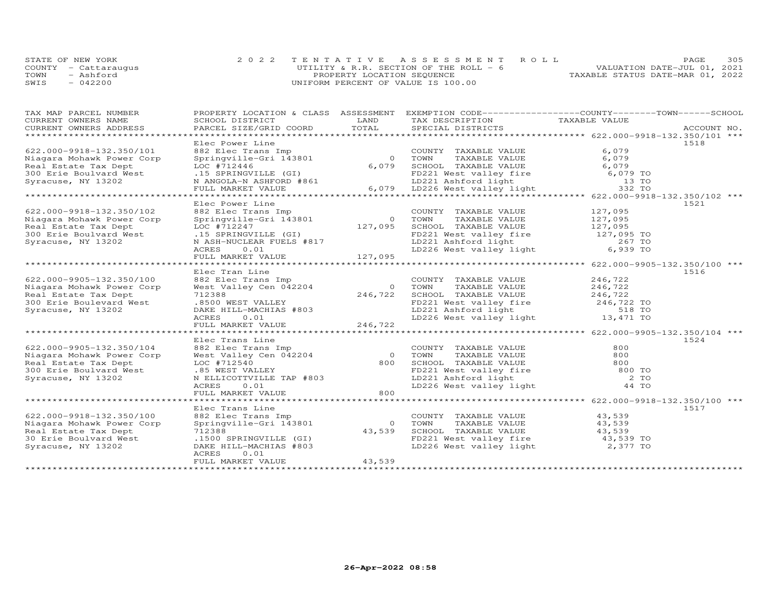| STATE OF NEW YORK    | 2022 TENTATIVE ASSESSMENT ROLL         | PAGE                             | 305 |
|----------------------|----------------------------------------|----------------------------------|-----|
| COUNTY - Cattaraugus | UTILITY & R.R. SECTION OF THE ROLL - 6 | VALUATION DATE-JUL 01, 2021      |     |
| TOWN<br>- Ashford    | PROPERTY LOCATION SEQUENCE             | TAXABLE STATUS DATE-MAR 01, 2022 |     |
| $-042200$<br>SWTS    | UNIFORM PERCENT OF VALUE IS 100.00     |                                  |     |

| TAX MAP PARCEL NUMBER<br>CURRENT OWNERS NAME                                                                                                                                                                                   | PROPERTY LOCATION & CLASS ASSESSMENT EXEMPTION CODE----------------COUNTY-------TOWN------SCHOOL                                                                                                                                             |        |                                                                                                          |                  |      |
|--------------------------------------------------------------------------------------------------------------------------------------------------------------------------------------------------------------------------------|----------------------------------------------------------------------------------------------------------------------------------------------------------------------------------------------------------------------------------------------|--------|----------------------------------------------------------------------------------------------------------|------------------|------|
| CURRENT OWNERS ADDRESS                                                                                                                                                                                                         | FROFIERT EXAMPLE PARABLE VALUE<br>SCHOOL DISTRICT MORE TOTAL SPECIAL DISTRICTS TAXABLE VALUE<br>PARCEL SIZE/GRID COORD TOTAL SPECIAL DISTRICTS ACCOUNT MO.                                                                                   |        |                                                                                                          |                  |      |
| ******************************                                                                                                                                                                                                 |                                                                                                                                                                                                                                              |        |                                                                                                          |                  |      |
|                                                                                                                                                                                                                                | Elec Power Line                                                                                                                                                                                                                              |        |                                                                                                          |                  | 1518 |
| 622.000-9918-132.350/101                                                                                                                                                                                                       | Example 11 and the country TAXABLE VALUE<br>882 Elec Trans Imp<br>Springville-Gri 143801 6,079 SCHOOL TAXABLE VALUE<br>LOC #712446 6,079 SCHOOL TAXABLE VALUE                                                                                |        | COUNTY TAXABLE VALUE<br>TAXABLE VALUE<br>TAXABLE VALUE 6,079<br>-- '''''' 6,079                          | 6,079            |      |
| Niagara Mohawk Power Corp                                                                                                                                                                                                      |                                                                                                                                                                                                                                              |        |                                                                                                          |                  |      |
| Real Estate Tax Dept                                                                                                                                                                                                           |                                                                                                                                                                                                                                              |        |                                                                                                          |                  |      |
|                                                                                                                                                                                                                                |                                                                                                                                                                                                                                              |        |                                                                                                          |                  |      |
|                                                                                                                                                                                                                                |                                                                                                                                                                                                                                              |        |                                                                                                          |                  |      |
| Real Estate Tax Dept both and the state Tax Dept both the state Tax Dept both the state Tax Dept both the state of the state of the state of the state of the state of the state of the state of the state of the state of the |                                                                                                                                                                                                                                              |        |                                                                                                          |                  |      |
|                                                                                                                                                                                                                                | Elec Power Line                                                                                                                                                                                                                              |        |                                                                                                          |                  | 1521 |
| 622.000-9918-132.350/102                                                                                                                                                                                                       | Elec Power Line<br>882 Elec Trans Imp<br>Springville-Gri 143801 0 TOWN TAXABLE VALUE<br>LOC #712247 127,095 SCHOOL TAXABLE VALUE<br>127,095 SCHOOL TAXABLE VALUE<br>127,095 SCHOOL TAXABLE VALUE<br>127,095 TO<br>N ASH-NUCLEAR FUELS #817 L |        |                                                                                                          |                  |      |
| Niagara Mohawk Power Corp                                                                                                                                                                                                      |                                                                                                                                                                                                                                              |        |                                                                                                          |                  |      |
| Real Estate Tax Dept                                                                                                                                                                                                           |                                                                                                                                                                                                                                              |        |                                                                                                          |                  |      |
| 300 Erie Boulvard West                                                                                                                                                                                                         |                                                                                                                                                                                                                                              |        |                                                                                                          |                  |      |
| Syracuse, NY 13202                                                                                                                                                                                                             |                                                                                                                                                                                                                                              |        |                                                                                                          |                  |      |
|                                                                                                                                                                                                                                |                                                                                                                                                                                                                                              |        |                                                                                                          |                  |      |
|                                                                                                                                                                                                                                |                                                                                                                                                                                                                                              |        |                                                                                                          |                  |      |
| ******************************                                                                                                                                                                                                 |                                                                                                                                                                                                                                              |        |                                                                                                          |                  |      |
|                                                                                                                                                                                                                                | Elec Tran Line                                                                                                                                                                                                                               |        |                                                                                                          |                  | 1516 |
| 622.000-9905-132.350/100                                                                                                                                                                                                       |                                                                                                                                                                                                                                              |        | COUNTY TAXABLE VALUE                                                                                     | 246,722          |      |
| Niagara Mohawk Power Corp                                                                                                                                                                                                      |                                                                                                                                                                                                                                              |        | TOWN TAXABLE VALUE 246,722<br>SCHOOL TAXABLE VALUE 246,722                                               |                  |      |
| Real Estate Tax Dept                                                                                                                                                                                                           |                                                                                                                                                                                                                                              |        |                                                                                                          |                  |      |
| 300 Erie Boulevard West                                                                                                                                                                                                        |                                                                                                                                                                                                                                              |        |                                                                                                          |                  |      |
| Syracuse, NY 13202                                                                                                                                                                                                             |                                                                                                                                                                                                                                              |        | FD221 West valley fire the 246,722 TO<br>LD221 Ashford light 518 TO<br>LD226 West valley light 13,471 TO |                  |      |
|                                                                                                                                                                                                                                | Electrin Line<br>Nest Valley Cen 042204 0 TOWN<br>712388 246,722 SCHOO<br>8500 WEST VALLEY<br>ACRES 0.01 LD221<br>ROLL MARKET VALUE<br>FD221<br>ROLL MARKET VALUE<br>FD221                                                                   |        |                                                                                                          |                  |      |
| *****************************                                                                                                                                                                                                  |                                                                                                                                                                                                                                              |        |                                                                                                          |                  |      |
|                                                                                                                                                                                                                                | Elec Trans Line                                                                                                                                                                                                                              |        |                                                                                                          |                  | 1524 |
| 622.000-9905-132.350/104                                                                                                                                                                                                       |                                                                                                                                                                                                                                              |        |                                                                                                          |                  |      |
| Niagara Mohawk Power Corp                                                                                                                                                                                                      |                                                                                                                                                                                                                                              |        |                                                                                                          |                  |      |
| Real Estate Tax Dept                                                                                                                                                                                                           |                                                                                                                                                                                                                                              |        |                                                                                                          |                  |      |
| 300 Erie Boulvard West                                                                                                                                                                                                         |                                                                                                                                                                                                                                              |        |                                                                                                          |                  |      |
| Syracuse, NY 13202                                                                                                                                                                                                             |                                                                                                                                                                                                                                              |        |                                                                                                          |                  |      |
|                                                                                                                                                                                                                                |                                                                                                                                                                                                                                              |        |                                                                                                          |                  |      |
|                                                                                                                                                                                                                                | Accounting the Transition of the Market Value of the Transition of the Market Value of the Market Value of the Market Value of the Market Value of the Market Value of the Market Value of the Market Value of the Market Valu               |        |                                                                                                          |                  |      |
|                                                                                                                                                                                                                                |                                                                                                                                                                                                                                              |        |                                                                                                          |                  |      |
| 622.000-9918-132.350/100                                                                                                                                                                                                       | Elec Trans Line<br>882 Elec Trans Imp                                                                                                                                                                                                        |        | COUNTY TAXABLE VALUE 43,539                                                                              |                  | 1517 |
| Niagara Mohawk Power Corp                                                                                                                                                                                                      | 882 Elec Trans Imp<br>Springville-Gri 143801                                                                                                                                                                                                 |        | 0 TOWN<br>TAXABLE VALUE                                                                                  |                  |      |
| Real Estate Tax Dept                                                                                                                                                                                                           |                                                                                                                                                                                                                                              |        |                                                                                                          | 43,539<br>43,539 |      |
| 30 Erie Boulvard West                                                                                                                                                                                                          | 12388<br>1500 SPRINGVILLE (GI) 43,539 SCHOOL TAXABLE VALUE 43,539<br>1500 SPRINGVILLE (GI) 43,539 TO<br>1500 DAKE HILL-MACHIAS #803 LD226 West valley light 2,377 TO                                                                         |        |                                                                                                          |                  |      |
| Syracuse, NY 13202                                                                                                                                                                                                             |                                                                                                                                                                                                                                              |        |                                                                                                          |                  |      |
|                                                                                                                                                                                                                                | ACRES<br>0.01                                                                                                                                                                                                                                |        |                                                                                                          |                  |      |
|                                                                                                                                                                                                                                | FULL MARKET VALUE                                                                                                                                                                                                                            | 43,539 |                                                                                                          |                  |      |
|                                                                                                                                                                                                                                |                                                                                                                                                                                                                                              |        |                                                                                                          |                  |      |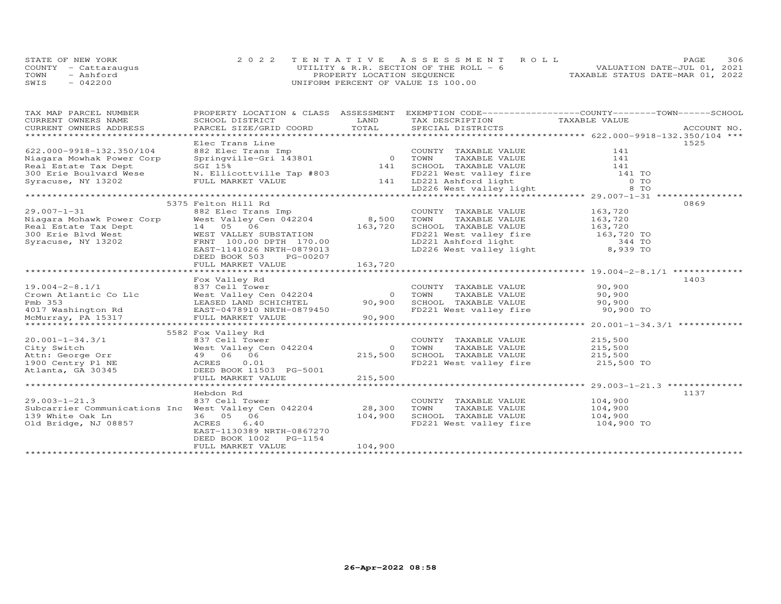|      | STATE OF NEW YORK    | 2022 TENTATIVE ASSESSMENT ROLL           |                                  | PAGE.                       | 306 |
|------|----------------------|------------------------------------------|----------------------------------|-----------------------------|-----|
|      | COUNTY - Cattaraugus | UTILITY & R.R. SECTION OF THE ROLL - $6$ |                                  | VALUATION DATE-JUL 01, 2021 |     |
| TOWN | - Ashford            | PROPERTY LOCATION SEQUENCE               | TAXABLE STATUS DATE-MAR 01, 2022 |                             |     |
| SWIS | $-042200$            | UNIFORM PERCENT OF VALUE IS 100.00       |                                  |                             |     |

| TAX MAP PARCEL NUMBER                                                                                                                                                                                                                              |                                                                                                                                                                                                                                        |         | PROPERTY LOCATION & CLASS ASSESSMENT EXEMPTION CODE----------------COUNTY-------TOWN------SCHOOL    |            |      |
|----------------------------------------------------------------------------------------------------------------------------------------------------------------------------------------------------------------------------------------------------|----------------------------------------------------------------------------------------------------------------------------------------------------------------------------------------------------------------------------------------|---------|-----------------------------------------------------------------------------------------------------|------------|------|
| CURRENT OWNERS NAME                                                                                                                                                                                                                                | SCHOOL DISTRICT                                                                                                                                                                                                                        | LAND    | TAX DESCRIPTION TAXABLE VALUE                                                                       |            |      |
| CURRENT OWNERS ADDRESS                                                                                                                                                                                                                             |                                                                                                                                                                                                                                        |         |                                                                                                     |            |      |
|                                                                                                                                                                                                                                                    |                                                                                                                                                                                                                                        |         |                                                                                                     |            |      |
|                                                                                                                                                                                                                                                    | Elec Trans Line                                                                                                                                                                                                                        |         |                                                                                                     |            | 1525 |
| 622.000-9918-132.350/104                                                                                                                                                                                                                           |                                                                                                                                                                                                                                        |         |                                                                                                     |            |      |
| Niagara Mowhak Power Corp                                                                                                                                                                                                                          |                                                                                                                                                                                                                                        |         |                                                                                                     |            |      |
| Real Estate Tax Dept                                                                                                                                                                                                                               |                                                                                                                                                                                                                                        |         |                                                                                                     |            |      |
| 300 Erie Boulvard Wese                                                                                                                                                                                                                             |                                                                                                                                                                                                                                        |         |                                                                                                     |            |      |
| Syracuse, NY 13202                                                                                                                                                                                                                                 |                                                                                                                                                                                                                                        |         |                                                                                                     |            |      |
|                                                                                                                                                                                                                                                    | Elec Trans Line and Town TAXABLE VALUE 141<br>Springville-Gri 143801 0 TOWN TAXABLE VALUE 141<br>SGI 15% 141 SCHOOL TAXABLE VALUE 141<br>N. Ellicottville Tap #803 141 LD221 West valley fire 141 TO<br>FULL MARKET VALUE 141 LD221 As |         |                                                                                                     |            |      |
|                                                                                                                                                                                                                                                    |                                                                                                                                                                                                                                        |         |                                                                                                     |            |      |
|                                                                                                                                                                                                                                                    | 5375 Felton Hill Rd                                                                                                                                                                                                                    |         |                                                                                                     |            | 0869 |
| %29.007-1-31<br>Niagara Mohawk Power Corp Mest Valley Cen 042204 8,500 TOWN<br>Real Estate Tax Dept 14 05 06 163,720 SCHOOL<br>300 Erie Blvd West WEST VALLEY SUBSTATION FD221 We<br>Syracuse, NY 13202 FRNT 100.00 DPTH 170.00 LD221              |                                                                                                                                                                                                                                        |         |                                                                                                     |            |      |
|                                                                                                                                                                                                                                                    |                                                                                                                                                                                                                                        |         | COUNTY TAXABLE VALUE 163,720<br>TOWN TAXABLE VALUE 163,720                                          |            |      |
|                                                                                                                                                                                                                                                    |                                                                                                                                                                                                                                        |         | SCHOOL TAXABLE VALUE 163,720                                                                        |            |      |
|                                                                                                                                                                                                                                                    |                                                                                                                                                                                                                                        |         |                                                                                                     |            |      |
|                                                                                                                                                                                                                                                    |                                                                                                                                                                                                                                        |         | FD221 West valley fire 163,720 TO<br>LD221 Ashford light 344 TO<br>LD226 West valley light 8,939 TO |            |      |
|                                                                                                                                                                                                                                                    | EAST-1141026 NRTH-0879013                                                                                                                                                                                                              |         |                                                                                                     |            |      |
|                                                                                                                                                                                                                                                    | DEED BOOK 503 PG-00207                                                                                                                                                                                                                 |         |                                                                                                     |            |      |
|                                                                                                                                                                                                                                                    | FULL MARKET VALUE                                                                                                                                                                                                                      | 163,720 |                                                                                                     |            |      |
|                                                                                                                                                                                                                                                    |                                                                                                                                                                                                                                        |         |                                                                                                     |            |      |
|                                                                                                                                                                                                                                                    | Fox Valley Rd                                                                                                                                                                                                                          |         |                                                                                                     |            | 1403 |
|                                                                                                                                                                                                                                                    |                                                                                                                                                                                                                                        |         |                                                                                                     |            |      |
|                                                                                                                                                                                                                                                    |                                                                                                                                                                                                                                        |         |                                                                                                     |            |      |
|                                                                                                                                                                                                                                                    |                                                                                                                                                                                                                                        |         |                                                                                                     |            |      |
|                                                                                                                                                                                                                                                    |                                                                                                                                                                                                                                        |         |                                                                                                     |            |      |
| 19.004-2-8.1/1<br>Crown Atlantic Co Llc Mest Valley Cen 042204<br>Pmb 353<br>The Country Taxable Value<br>Pmb 353<br>The Mest Valley Cen 042204<br>Pmb 353<br>LEASED LAND SCHICHTEL 90,900<br>EAST-0478910 NRTH-0879450<br>MCMurray, PA 15317<br>M |                                                                                                                                                                                                                                        |         |                                                                                                     |            |      |
|                                                                                                                                                                                                                                                    |                                                                                                                                                                                                                                        |         |                                                                                                     |            |      |
| VORTUAL VALLEY IN THE CONTROLL OF SALE OF A CHEAP OF SALE OF A CHEAP OF SALE OF A CHEAP OF SALE OF A CHEAP OF SALE OF A CHEAP OF SALE OF A CHEAP OF SALE OF A CHEAP OF SALE OF A CHEAP OF SALE OF A CHEAP OF SALE OF A CHEAP O                     |                                                                                                                                                                                                                                        |         |                                                                                                     |            |      |
|                                                                                                                                                                                                                                                    |                                                                                                                                                                                                                                        |         |                                                                                                     |            |      |
| 20.001-1-34.3/1                                                                                                                                                                                                                                    | 837 Cell Tower                                                                                                                                                                                                                         |         | COUNTY TAXABLE VALUE                                                                                | 215,500    |      |
| City Switch                                                                                                                                                                                                                                        | West Valley Cen 042204                                                                                                                                                                                                                 |         | TAXABLE VALUE 215,500<br>0 TOWN                                                                     |            |      |
| Attn: George Orr                                                                                                                                                                                                                                   |                                                                                                                                                                                                                                        |         | 215,500 SCHOOL TAXABLE VALUE 215,500<br>FD221 West valley fire 215,500 TO                           |            |      |
| 1900 Centry Pl NE                                                                                                                                                                                                                                  |                                                                                                                                                                                                                                        |         |                                                                                                     |            |      |
| Atlanta, GA 30345                                                                                                                                                                                                                                  | DEED BOOK 11503 PG-5001                                                                                                                                                                                                                |         |                                                                                                     |            |      |
|                                                                                                                                                                                                                                                    | FULL MARKET VALUE                                                                                                                                                                                                                      | 215,500 |                                                                                                     |            |      |
|                                                                                                                                                                                                                                                    |                                                                                                                                                                                                                                        |         |                                                                                                     |            |      |
|                                                                                                                                                                                                                                                    | Hebdon Rd                                                                                                                                                                                                                              |         |                                                                                                     |            | 1137 |
| $29.003 - 1 - 21.3$                                                                                                                                                                                                                                | 837 Cell Tower                                                                                                                                                                                                                         |         | COUNTY TAXABLE VALUE 104,900                                                                        |            |      |
| Subcarrier Communications Inc West Valley Cen 042204 28,300                                                                                                                                                                                        |                                                                                                                                                                                                                                        |         | TAXABLE VALUE 104,900<br>TOWN                                                                       |            |      |
| 139 White Oak Ln                                                                                                                                                                                                                                   | 36 05 06                                                                                                                                                                                                                               | 104,900 |                                                                                                     |            |      |
| Old Bridge, NJ 08857                                                                                                                                                                                                                               | ACRES<br>6.40                                                                                                                                                                                                                          |         |                                                                                                     | 104,900 TO |      |
|                                                                                                                                                                                                                                                    | EAST-1130389 NRTH-0867270                                                                                                                                                                                                              |         |                                                                                                     |            |      |
|                                                                                                                                                                                                                                                    | DEED BOOK 1002 PG-1154                                                                                                                                                                                                                 |         |                                                                                                     |            |      |
|                                                                                                                                                                                                                                                    | FULL MARKET VALUE                                                                                                                                                                                                                      | 104,900 |                                                                                                     |            |      |
|                                                                                                                                                                                                                                                    |                                                                                                                                                                                                                                        |         |                                                                                                     |            |      |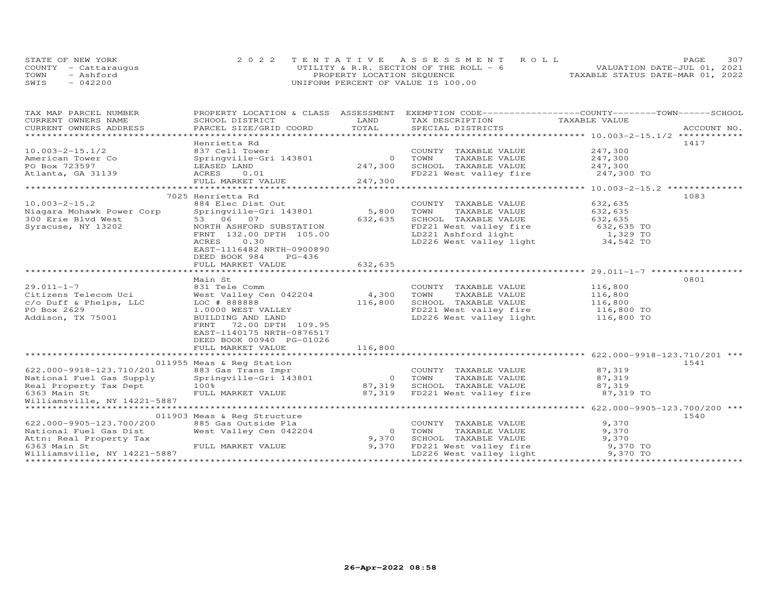| STATE OF NEW YORK    |           | 2022 TENTATIVE ASSESSMENT ROLL          |  |  |                                  | PAGE. | 307 |
|----------------------|-----------|-----------------------------------------|--|--|----------------------------------|-------|-----|
| COUNTY - Cattaraugus |           | UTILITY & R.R. SECTION OF THE ROLL $-6$ |  |  | VALUATION DATE-JUL 01, 2021      |       |     |
| TOWN                 | - Ashford | PROPERTY LOCATION SEQUENCE              |  |  | TAXABLE STATUS DATE-MAR 01, 2022 |       |     |
| SWIS<br>$-042200$    |           | UNIFORM PERCENT OF VALUE IS 100.00      |  |  |                                  |       |     |

| TAX MAP PARCEL NUMBER                                                            |                                                |            | PROPERTY LOCATION & CLASS ASSESSMENT EXEMPTION CODE----------------COUNTY-------TOWN------SCHOOL |                        |      |
|----------------------------------------------------------------------------------|------------------------------------------------|------------|--------------------------------------------------------------------------------------------------|------------------------|------|
| CURRENT OWNERS NAME                                                              | SCHOOL DISTRICT                                | LAND       | TAX DESCRIPTION                                                                                  | TAXABLE VALUE          |      |
| CURRENT OWNERS ADDRESS                                                           |                                                | TOTAL      |                                                                                                  |                        |      |
|                                                                                  |                                                |            |                                                                                                  |                        |      |
|                                                                                  | Henrietta Rd                                   |            |                                                                                                  |                        | 1417 |
| $10.003 - 2 - 15.1/2$                                                            | 837 Cell Tower                                 |            | COUNTY TAXABLE VALUE                                                                             | 247,300                |      |
| American Tower Co                                                                | Springville-Gri 143801                         |            | 0 TOWN<br>TAXABLE VALUE                                                                          | 247,300                |      |
| PO Box 723597                                                                    | LEASED LAND                                    | 247,300    | SCHOOL TAXABLE VALUE 247,300                                                                     |                        |      |
| Atlanta, GA 31139                                                                | ACRES<br>0.01                                  |            | FD221 West valley fire                                                                           | 247,300 TO             |      |
|                                                                                  | FULL MARKET VALUE                              | 247,300    |                                                                                                  |                        |      |
|                                                                                  |                                                |            |                                                                                                  |                        |      |
|                                                                                  | 7025 Henrietta Rd                              |            |                                                                                                  |                        | 1083 |
| $10.003 - 2 - 15.2$                                                              | 884 Elec Dist Out                              |            | COUNTY TAXABLE VALUE                                                                             | 632,635                |      |
| Niagara Mohawk Power Corp                                                        | Springville-Gri 143801 5,800                   |            | TOWN<br>TAXABLE VALUE                                                                            | 632,635                |      |
| 300 Erie Blvd West                                                               | 53 06 07                                       | 632,635    | SCHOOL TAXABLE VALUE                                                                             | 632,635                |      |
| Syracuse, NY 13202                                                               | NORTH ASHFORD SUBSTATION                       |            | FD221 West valley fire<br>LD221 Ashford light                                                    | 632,635 TO<br>1,329 TO |      |
|                                                                                  | FRNT 132.00 DPTH 105.00                        |            |                                                                                                  |                        |      |
|                                                                                  | 0.30<br>ACRES                                  |            | LD226 West valley light 34,542 TO                                                                |                        |      |
|                                                                                  | EAST-1116482 NRTH-0900890                      |            |                                                                                                  |                        |      |
|                                                                                  | DEED BOOK 984<br>PG-436                        |            |                                                                                                  |                        |      |
|                                                                                  | FULL MARKET VALUE                              | 632,635    |                                                                                                  |                        |      |
|                                                                                  |                                                |            |                                                                                                  |                        | 0801 |
|                                                                                  | Main St                                        |            |                                                                                                  |                        |      |
| $29.011 - 1 - 7$                                                                 | 831 Tele Comm                                  |            | COUNTY TAXABLE VALUE                                                                             | 116,800                |      |
| Citizens Telecom Uci                                                             | West Valley Cen 042204 4,300                   |            | TOWN<br>TAXABLE VALUE                                                                            | 116,800                |      |
| $c$ /o Duff & Phelps, LLC<br>PO Box 2629                                         | LOC # 888888<br>1.0000 WEST VALLEY             | 116,800    | SCHOOL TAXABLE VALUE<br>FD221 West valley fire                                                   | 116,800<br>116,800 TO  |      |
|                                                                                  |                                                |            |                                                                                                  |                        |      |
| Addison, TX 75001                                                                | BUILDING AND LAND<br>72.00 DPTH 109.95<br>FRNT |            | LD226 West valley light 116,800 TO                                                               |                        |      |
|                                                                                  | EAST-1140175 NRTH-0876517                      |            |                                                                                                  |                        |      |
|                                                                                  | DEED BOOK 00940 PG-01026                       |            |                                                                                                  |                        |      |
|                                                                                  | FULL MARKET VALUE                              | 116,800    |                                                                                                  |                        |      |
|                                                                                  |                                                |            |                                                                                                  |                        |      |
|                                                                                  | 011955 Meas & Reg Station                      |            |                                                                                                  |                        | 1541 |
| 622.000-9918-123.710/201                                                         |                                                |            | COUNTY TAXABLE VALUE 87,319                                                                      |                        |      |
|                                                                                  | 883 Gas Trans Impr<br>Springville-Gri 143801   |            | 0 TOWN<br>TAXABLE VALUE                                                                          | 87,319                 |      |
| wational Fuel Gas Supply<br>Real Property Tax Dept<br>6363 Main St<br>William St | 100%                                           | 87,319     | SCHOOL TAXABLE VALUE                                                                             | 87,319                 |      |
|                                                                                  | FULL MARKET VALUE 87,319                       |            | FD221 West valley fire 37,319 TO                                                                 |                        |      |
| Williamsville, NY 14221-5887                                                     |                                                |            |                                                                                                  |                        |      |
|                                                                                  |                                                |            |                                                                                                  |                        |      |
|                                                                                  | 011903 Meas & Reg Structure                    |            |                                                                                                  |                        | 1540 |
| 622.000-9905-123.700/200                                                         | 885 Gas Outside Pla                            |            | COUNTY TAXABLE VALUE                                                                             | 9,370                  |      |
| National Fuel Gas Dist                                                           | West Valley Cen 042204                         | $\bigcirc$ | TOWN<br>TAXABLE VALUE                                                                            | 9,370                  |      |
| Attn: Real Property Tax                                                          |                                                | 9,370      | SCHOOL TAXABLE VALUE                                                                             | 9,370                  |      |
| 6363 Main St                                                                     | FULL MARKET VALUE                              | 9,370      | FD221 West valley fire 9,370 TO                                                                  |                        |      |
| Williamsville, NY 14221-5887                                                     |                                                |            | LD226 West valley light                                                                          | 9,370 TO               |      |
|                                                                                  |                                                |            |                                                                                                  |                        |      |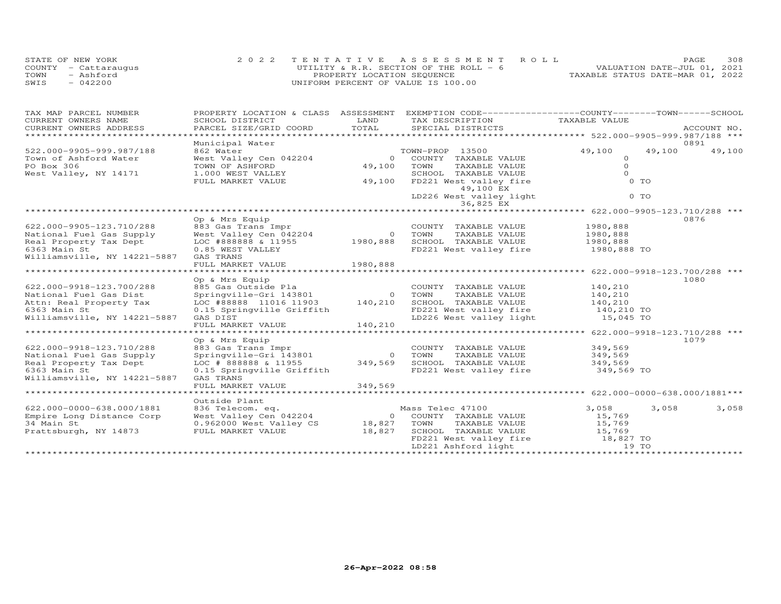|      | STATE OF NEW YORK    | 2022 TENTATIVE ASSESSMENT ROLL          |  |                                  | PAGE | 308 |
|------|----------------------|-----------------------------------------|--|----------------------------------|------|-----|
|      | COUNTY - Cattaraugus | UTILITY & R.R. SECTION OF THE ROLL $-6$ |  | VALUATION DATE-JUL 01, 2021      |      |     |
| TOWN | - Ashford            | PROPERTY LOCATION SEQUENCE              |  | TAXABLE STATUS DATE-MAR 01, 2022 |      |     |
| SWIS | 042200               | UNIFORM PERCENT OF VALUE IS 100.00      |  |                                  |      |     |

| TAX MAP PARCEL NUMBER                              | PROPERTY LOCATION & CLASS ASSESSMENT          |                | EXEMPTION CODE-----------------COUNTY-------TOWN-----SCHOOL |                      |        |             |
|----------------------------------------------------|-----------------------------------------------|----------------|-------------------------------------------------------------|----------------------|--------|-------------|
| CURRENT OWNERS NAME                                | SCHOOL DISTRICT                               | LAND           | TAX DESCRIPTION                                             | TAXABLE VALUE        |        |             |
| CURRENT OWNERS ADDRESS                             | PARCEL SIZE/GRID COORD                        | TOTAL          | SPECIAL DISTRICTS                                           |                      |        | ACCOUNT NO. |
| *************************                          |                                               |                |                                                             |                      |        |             |
|                                                    | Municipal Water                               |                |                                                             |                      |        | 0891        |
| 522.000-9905-999.987/188                           | 862 Water                                     |                | TOWN-PROP 13500                                             | 49,100               | 49,100 | 49,100      |
| Town of Ashford Water                              | West Valley Cen 042204                        | $\overline{O}$ | COUNTY TAXABLE VALUE                                        | $\circ$<br>$\Omega$  |        |             |
| PO Box 306                                         | TOWN OF ASHFORD                               | 49,100         | TOWN<br>TAXABLE VALUE                                       | $\Omega$             |        |             |
| West Valley, NY 14171                              | 1.000 WEST VALLEY                             |                | SCHOOL TAXABLE VALUE                                        |                      |        |             |
|                                                    | FULL MARKET VALUE                             | 49,100         | FD221 West valley fire                                      | $0$ TO               |        |             |
|                                                    |                                               |                | 49,100 EX                                                   |                      |        |             |
|                                                    |                                               |                | LD226 West valley light<br>36,825 EX                        | 0 TO                 |        |             |
|                                                    |                                               |                |                                                             |                      |        |             |
|                                                    | Op & Mrs Equip                                |                |                                                             |                      |        | 0876        |
|                                                    |                                               |                |                                                             |                      |        |             |
| 622.000-9905-123.710/288                           | 883 Gas Trans Impr                            | $\overline{O}$ | COUNTY TAXABLE VALUE                                        | 1980,888<br>1980,888 |        |             |
| National Fuel Gas Supply                           |                                               |                | TOWN<br>TAXABLE VALUE<br>SCHOOL TAXABLE VALUE               |                      |        |             |
| Real Property Tax Dept                             |                                               |                |                                                             | 1980,888             |        |             |
| 6363 Main St                                       | 0.85 WEST VALLEY                              |                | FD221 West valley fire                                      | 1980,888 TO          |        |             |
| Williamsville, NY 14221-5887                       | GAS TRANS                                     | 1980,888       |                                                             |                      |        |             |
|                                                    | FULL MARKET VALUE                             |                |                                                             |                      |        |             |
|                                                    | Op & Mrs Equip                                |                |                                                             |                      |        | 1080        |
|                                                    |                                               |                |                                                             | 140,210              |        |             |
| 622.000-9918-123.700/288<br>National Fuel Gas Dist |                                               |                | COUNTY TAXABLE VALUE<br>0 TOWN<br>TAXABLE VALUE             | 140,210              |        |             |
|                                                    |                                               |                |                                                             | 140,210              |        |             |
| Attn: Real Property Tax<br>6363 Main St            |                                               |                | SCHOOL TAXABLE VALUE                                        |                      |        |             |
|                                                    | 0.15 Springville Griffith                     |                | FD221 West valley fire 140,210 TO                           |                      |        |             |
| Williamsville, NY 14221-5887                       | GAS DIST<br>FULL MARKET VALUE                 | 140,210        | LD226 West valley light                                     | 15,045 TO            |        |             |
| ************************                           |                                               |                |                                                             |                      |        |             |
|                                                    | Op & Mrs Equip                                |                |                                                             |                      |        | 1079        |
| 622.000-9918-123.710/288                           |                                               |                | COUNTY TAXABLE VALUE                                        | 349,569              |        |             |
| National Fuel Gas Supply                           | 883 Gas Trans Impr<br>Springville-Gri 143801  | $\Omega$       | TOWN<br>TAXABLE VALUE                                       | 349,569              |        |             |
| Real Property Tax Dept                             | LOC # 888888 & 11955                          | 349,569        | SCHOOL TAXABLE VALUE                                        | 349,569              |        |             |
| 6363 Main St                                       | 0.15 Springville Griffith                     |                | FD221 West valley fire                                      | 349,569 TO           |        |             |
| Williamsville, NY 14221-5887                       | GAS TRANS                                     |                |                                                             |                      |        |             |
|                                                    | FULL MARKET VALUE                             | 349,569        |                                                             |                      |        |             |
|                                                    | ***********************                       |                |                                                             |                      |        |             |
|                                                    | Outside Plant                                 |                |                                                             |                      |        |             |
| 622.000-0000-638.000/1881                          | 836 Telecom. eq.<br>West Valley Cen 042204 00 |                | Mass Telec 47100                                            | 3,058                | 3,058  | 3,058       |
| Empire Long Distance Corp                          |                                               |                | 0 COUNTY TAXABLE VALUE                                      | 15,769               |        |             |
| 34 Main St                                         | 0.962000 West Valley CS                       | 18,827         | TOWN<br>TAXABLE VALUE                                       | 15,769               |        |             |
| Prattsburgh, NY 14873                              | FULL MARKET VALUE                             | 18,827         |                                                             |                      |        |             |
|                                                    |                                               |                |                                                             |                      |        |             |
|                                                    |                                               |                |                                                             |                      |        |             |
|                                                    |                                               |                |                                                             |                      |        |             |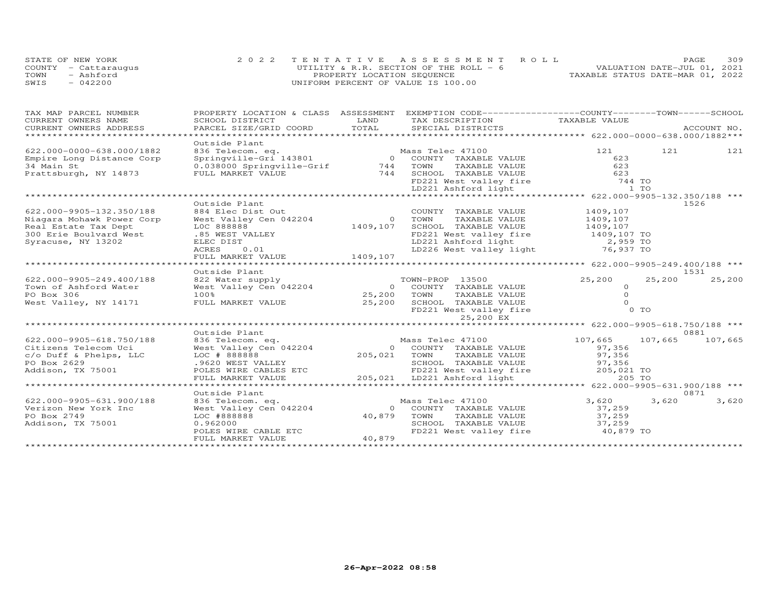|      | STATE OF NEW YORK    | 2022 TENTATIVE ASSESSMENT ROLL         | <b>PAGE</b>                      | 309 |
|------|----------------------|----------------------------------------|----------------------------------|-----|
|      | COUNTY - Cattaraugus | UTILITY & R.R. SECTION OF THE ROLL - 6 | VALUATION DATE-JUL 01, 2021      |     |
| TOWN | - Ashford            | PROPERTY LOCATION SEQUENCE             | TAXABLE STATUS DATE-MAR 01, 2022 |     |
| SWIS | $-042200$            | UNIFORM PERCENT OF VALUE IS 100.00     |                                  |     |

| TAX MAP PARCEL NUMBER                               |                                                                                                                                                     | LAND         | PROPERTY LOCATION & CLASS ASSESSMENT EXEMPTION CODE----------------COUNTY-------TOWN------SCHOOL     |                |         |         |
|-----------------------------------------------------|-----------------------------------------------------------------------------------------------------------------------------------------------------|--------------|------------------------------------------------------------------------------------------------------|----------------|---------|---------|
| CURRENT OWNERS NAME                                 | SCHOOL DISTRICT                                                                                                                                     |              | TAX DESCRIPTION                                                                                      | TAXABLE VALUE  |         |         |
| CURRENT OWNERS ADDRESS<br>************************* | PARCEL SIZE/GRID COORD TOTAL                                                                                                                        |              |                                                                                                      |                |         |         |
|                                                     |                                                                                                                                                     |              |                                                                                                      |                |         |         |
| 622.000-0000-638.000/1882                           | Outside Plant                                                                                                                                       |              |                                                                                                      | 121            | 121     | 121     |
|                                                     | 936 Telecom. eq.<br>Springville-Gri 143801 (and the Mass Telec 47100)<br>0 COUNTY TAXABLE VALUE<br>0.038000 Springville-Grif (and the TAXABLE VALUE |              |                                                                                                      | 623            |         |         |
| Empire Long Distance Corp<br>34 Main St             |                                                                                                                                                     |              |                                                                                                      | 623            |         |         |
| Prattsburgh, NY 14873                               | FULL MARKET VALUE                                                                                                                                   |              | 744 SCHOOL TAXABLE VALUE                                                                             | 623            |         |         |
|                                                     |                                                                                                                                                     |              |                                                                                                      |                |         |         |
|                                                     |                                                                                                                                                     |              | FD221 West valley fire<br>LD221 Ashford light                                                        | 744 TO<br>1 TO |         |         |
|                                                     |                                                                                                                                                     |              |                                                                                                      |                |         |         |
|                                                     | Outside Plant                                                                                                                                       |              |                                                                                                      |                |         | 1526    |
| 622.000-9905-132.350/188                            | 884 Elec Dist Out                                                                                                                                   |              | COUNTY TAXABLE VALUE                                                                                 | 1409,107       |         |         |
| Niagara Mohawk Power Corp                           | West Valley Cen 042204                                                                                                                              |              | 0 TOWN<br>TAXABLE VALUE                                                                              | 1409,107       |         |         |
| Real Estate Tax Dept                                | LOC 888888                                                                                                                                          | 1409,107     | SCHOOL TAXABLE VALUE                                                                                 | 1409,107       |         |         |
| 300 Erie Boulvard West                              | .85 WEST VALLEY                                                                                                                                     |              | FD221 West valley fire 1409,107 TO                                                                   |                |         |         |
| Syracuse, NY 13202                                  | ELEC DIST                                                                                                                                           |              |                                                                                                      |                |         |         |
|                                                     | ACRES<br>0.01                                                                                                                                       |              | LD221 Ashford light<br>LD226 West valley light 76,937 TO                                             |                |         |         |
|                                                     | FULL MARKET VALUE                                                                                                                                   | 1409,107     |                                                                                                      |                |         |         |
|                                                     |                                                                                                                                                     |              |                                                                                                      |                |         |         |
|                                                     | Outside Plant                                                                                                                                       |              |                                                                                                      |                |         | 1531    |
| 622.000-9905-249.400/188                            |                                                                                                                                                     |              | TOWN-PROP 13500                                                                                      | 25,200         | 25,200  | 25,200  |
| Town of Ashford Water                               | 822 Water supply<br>West Valley Cen 042204                                                                                                          |              | 0 COUNTY TAXABLE VALUE                                                                               | $\circ$        |         |         |
| PO Box 306                                          | 100%                                                                                                                                                | 25,200 TOWN  | TAXABLE VALUE                                                                                        | $\circ$        |         |         |
| West Valley, NY 14171                               | FULL MARKET VALUE                                                                                                                                   | 25,200       | SCHOOL TAXABLE VALUE                                                                                 | $\Omega$       |         |         |
|                                                     |                                                                                                                                                     |              | FD221 West valley fire                                                                               | 0 TO           |         |         |
|                                                     |                                                                                                                                                     |              | 25,200 EX                                                                                            |                |         |         |
|                                                     |                                                                                                                                                     |              |                                                                                                      |                |         |         |
|                                                     | Outside Plant                                                                                                                                       |              |                                                                                                      |                |         | 0881    |
| 622.000-9905-618.750/188                            | 836 Telecom. eq.                                                                                                                                    |              | Mass Telec 47100                                                                                     | 107,665        | 107,665 | 107,665 |
| Citizens Telecom Uci                                | West Valley Cen 042204                                                                                                                              |              | 0 COUNTY TAXABLE VALUE                                                                               | 97,356         |         |         |
| c/o Duff & Phelps, LLC                              | LOC # 888888                                                                                                                                        | 205,021 TOWN | TAXABLE VALUE                                                                                        | 97,356         |         |         |
| PO Box 2629                                         | .9620 WEST VALLEY                                                                                                                                   |              | SCHOOL TAXABLE VALUE                                                                                 | 97,356         |         |         |
| Addison, TX 75001                                   | POLES WIRE CABLES ETC                                                                                                                               |              |                                                                                                      | 205,021 TO     |         |         |
|                                                     | FULL MARKET VALUE                                                                                                                                   |              | SCHOOL TAXABLE VALUE<br>FD221 West valley fire<br>LD221 Ashford light<br>205,021 LD221 Ashford light | 205 TO         |         |         |
|                                                     |                                                                                                                                                     |              |                                                                                                      |                |         |         |
|                                                     | Outside Plant                                                                                                                                       |              |                                                                                                      |                |         | 0871    |
| 622.000-9905-631.900/188                            | 836 Telecom. eq.                                                                                                                                    |              | Mass Telec 47100                                                                                     | 3,620          | 3,620   | 3,620   |
| Verizon New York Inc                                | West Valley Cen 042204                                                                                                                              |              | 0 COUNTY TAXABLE VALUE                                                                               | 37,259         |         |         |
| PO Box 2749                                         | LOC #888888                                                                                                                                         |              | 40,879 TOWN<br>TAXABLE VALUE                                                                         | 37,259         |         |         |
| Addison, TX 75001                                   | 0.962000                                                                                                                                            |              | SCHOOL TAXABLE VALUE 37,259                                                                          |                |         |         |
|                                                     | POLES WIRE CABLE ETC                                                                                                                                |              | FD221 West valley fire 40,879 TO                                                                     |                |         |         |
|                                                     | FULL MARKET VALUE                                                                                                                                   | 40,879       |                                                                                                      |                |         |         |
|                                                     |                                                                                                                                                     |              |                                                                                                      |                |         |         |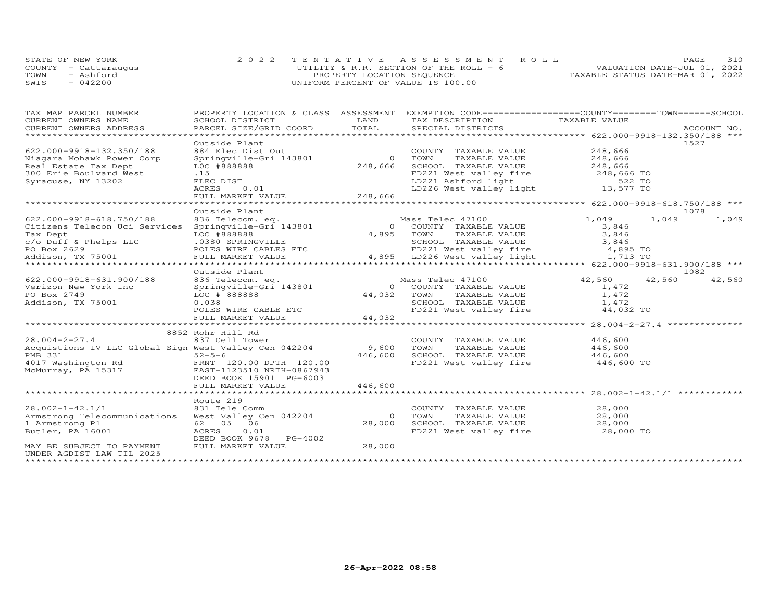|      | STATE OF NEW YORK    |                                    | 2022 TENTATIVE ASSESSMENT ROLL          |                                  | <b>PAGE</b>                 | 310 |
|------|----------------------|------------------------------------|-----------------------------------------|----------------------------------|-----------------------------|-----|
|      | COUNTY - Cattaraugus |                                    | UTILITY & R.R. SECTION OF THE ROLL $-6$ |                                  | VALUATION DATE-JUL 01, 2021 |     |
| TOWN | - Ashford            | PROPERTY LOCATION SEQUENCE         |                                         | TAXABLE STATUS DATE-MAR 01, 2022 |                             |     |
| SWIS | $-042200$            | UNIFORM PERCENT OF VALUE IS 100.00 |                                         |                                  |                             |     |

| TAX MAP PARCEL NUMBER                                    | PROPERTY LOCATION & CLASS   | ASSESSMENT     | EXEMPTION CODE-----------------COUNTY-------TOWN-----SCHOOL                                            |                                                       |        |             |        |
|----------------------------------------------------------|-----------------------------|----------------|--------------------------------------------------------------------------------------------------------|-------------------------------------------------------|--------|-------------|--------|
| CURRENT OWNERS NAME                                      | SCHOOL DISTRICT             | LAND           | TAX DESCRIPTION                                                                                        | TAXABLE VALUE                                         |        |             |        |
| CURRENT OWNERS ADDRESS                                   | PARCEL SIZE/GRID COORD      | TOTAL          | SPECIAL DISTRICTS                                                                                      |                                                       |        | ACCOUNT NO. |        |
|                                                          |                             |                |                                                                                                        |                                                       |        |             |        |
|                                                          | Outside Plant               |                |                                                                                                        |                                                       |        | 1527        |        |
| 622.000-9918-132.350/188                                 | 884 Elec Dist Out           |                | COUNTY TAXABLE VALUE                                                                                   | 248,666                                               |        |             |        |
| Niagara Mohawk Power Corp                                | Springville-Gri 143801      | $\overline{O}$ | TOWN<br>TAXABLE VALUE                                                                                  | 248,666                                               |        |             |        |
| Real Estate Tax Dept                                     | LOC #888888                 | 248,666        | SCHOOL TAXABLE VALUE                                                                                   | 248,666                                               |        |             |        |
| 300 Erie Boulvard West                                   | .15                         |                |                                                                                                        |                                                       |        |             |        |
| Syracuse, NY 13202                                       | ELEC DIST                   |                |                                                                                                        |                                                       |        |             |        |
|                                                          | ACRES<br>0.01               |                | FD221 West valley fire $248,666$ TO<br>LD221 Ashford light 522 TO<br>LD226 West valley light 13,577 TO |                                                       |        |             |        |
|                                                          | FULL MARKET VALUE           | 248,666        |                                                                                                        |                                                       |        |             |        |
|                                                          | ********************        |                |                                                                                                        |                                                       |        |             |        |
|                                                          | Outside Plant               |                |                                                                                                        |                                                       |        | 1078        |        |
| 622.000-9918-618.750/188                                 | 836 Telecom. eq.            |                | Mass Telec 47100                                                                                       | 1,049                                                 | 1,049  |             | 1,049  |
|                                                          | Springville-Gri 143801      |                | 0 COUNTY TAXABLE VALUE                                                                                 |                                                       |        |             |        |
| Citizens Telecon Uci Services                            |                             |                |                                                                                                        | 3,846                                                 |        |             |        |
| Tax Dept                                                 | LOC #888888                 |                | TAXABLE VALUE<br>4,895 TOWN                                                                            | 3,846                                                 |        |             |        |
| c/o Duff & Phelps LLC                                    | .0380 SPRINGVILLE           |                | SCHOOL TAXABLE VALUE                                                                                   | 3,846                                                 |        |             |        |
| PO Box 2629                                              | POLES WIRE CABLES ETC       |                | FD221 West valley fire                                                                                 | 4,895 TO                                              |        |             |        |
| Addison, TX 75001                                        | FULL MARKET VALUE           |                | 4,895 LD226 West valley light                                                                          | 1,713 TO                                              |        |             |        |
|                                                          |                             |                |                                                                                                        |                                                       |        |             |        |
|                                                          | Outside Plant               |                |                                                                                                        |                                                       |        | 1082        |        |
| 622.000-9918-631.900/188                                 | 836 Telecom. eq.            |                | Mass Telec 47100                                                                                       | 42,560                                                | 42,560 |             | 42,560 |
| Verizon New York Inc                                     | Springville-Gri 143801      |                | 0 COUNTY TAXABLE VALUE                                                                                 | 1,472                                                 |        |             |        |
| PO Box 2749                                              | LOC # 888888                | 44,032         | TOWN<br>TAXABLE VALUE                                                                                  | 1,472                                                 |        |             |        |
| Addison, TX 75001                                        | 0.038                       |                | SCHOOL TAXABLE VALUE                                                                                   | 1,472                                                 |        |             |        |
|                                                          | POLES WIRE CABLE ETC        |                | FD221 West valley fire                                                                                 | 44,032 TO                                             |        |             |        |
|                                                          | FULL MARKET VALUE           | 44,032         |                                                                                                        |                                                       |        |             |        |
|                                                          | *************************** | ************** |                                                                                                        | *********************** 28.004-2-27.4 *************** |        |             |        |
|                                                          | 8852 Rohr Hill Rd           |                |                                                                                                        |                                                       |        |             |        |
| $28.004 - 2 - 27.4$                                      | 837 Cell Tower              |                | COUNTY TAXABLE VALUE                                                                                   | 446,600                                               |        |             |        |
| Acquistions IV LLC Global Sign West Valley Cen 042204    |                             | 9,600          | TAXABLE VALUE<br>TOWN                                                                                  | 446,600                                               |        |             |        |
| <b>PMB 331</b>                                           | $52 - 5 - 6$                | 446,600        | SCHOOL TAXABLE VALUE                                                                                   | 446,600                                               |        |             |        |
| 4017 Washington Rd                                       | FRNT 120.00 DPTH 120.00     |                | FD221 West valley fire                                                                                 | 446,600 TO                                            |        |             |        |
| McMurray, PA 15317                                       | EAST-1123510 NRTH-0867943   |                |                                                                                                        |                                                       |        |             |        |
|                                                          | DEED BOOK 15901 PG-6003     |                |                                                                                                        |                                                       |        |             |        |
|                                                          | FULL MARKET VALUE           | 446,600        |                                                                                                        |                                                       |        |             |        |
|                                                          |                             |                |                                                                                                        |                                                       |        |             |        |
|                                                          | Route 219                   |                |                                                                                                        |                                                       |        |             |        |
| $28.002 - 1 - 42.1/1$                                    | 831 Tele Comm               |                | COUNTY TAXABLE VALUE                                                                                   | 28,000                                                |        |             |        |
| Armstrong Telecommunications                             | West Valley Cen 042204      | $\circ$        | TOWN<br>TAXABLE VALUE                                                                                  | 28,000                                                |        |             |        |
| 1 Armstrong Pl                                           | 06<br>62 05                 | 28,000         | SCHOOL TAXABLE VALUE                                                                                   | 28,000                                                |        |             |        |
| Butler, PA 16001                                         | ACRES<br>0.01               |                | FD221 West valley fire                                                                                 | 28,000 TO                                             |        |             |        |
|                                                          | DEED BOOK 9678 PG-4002      |                |                                                                                                        |                                                       |        |             |        |
|                                                          |                             |                |                                                                                                        |                                                       |        |             |        |
| MAY BE SUBJECT TO PAYMENT                                | FULL MARKET VALUE           | 28,000         |                                                                                                        |                                                       |        |             |        |
| UNDER AGDIST LAW TIL 2025<br>*************************** |                             |                |                                                                                                        |                                                       |        |             |        |
|                                                          |                             |                |                                                                                                        |                                                       |        |             |        |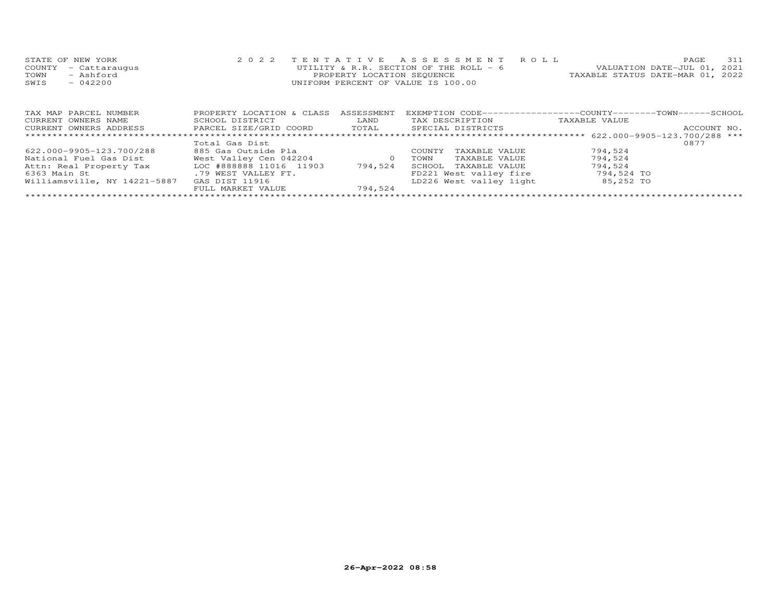| STATE OF NEW YORK    | 2022 TENTATIVE ASSESSMENT ROLL          |                                  | <b>PAGE</b> | 311 |
|----------------------|-----------------------------------------|----------------------------------|-------------|-----|
| COUNTY - Cattaraugus | UTILITY & R.R. SECTION OF THE ROLL $-6$ | VALUATION DATE-JUL 01, 2021      |             |     |
| TOWN<br>- Ashford    | PROPERTY LOCATION SEQUENCE              | TAXABLE STATUS DATE-MAR 01, 2022 |             |     |
| $-042200$<br>SWIS    | UNIFORM PERCENT OF VALUE IS 100.00      |                                  |             |     |

| TAX MAP PARCEL NUMBER        | PROPERTY LOCATION & CLASS | ASSESSMENT | EXEMPTION CODE-----------------COUNTY-------TOWN------SCHOOL |               |             |
|------------------------------|---------------------------|------------|--------------------------------------------------------------|---------------|-------------|
| CURRENT OWNERS NAME          | SCHOOL DISTRICT           | LAND       | TAX DESCRIPTION                                              | TAXABLE VALUE |             |
| CURRENT OWNERS ADDRESS       | PARCEL SIZE/GRID COORD    | TOTAL      | SPECIAL DISTRICTS                                            |               | ACCOUNT NO. |
|                              |                           |            |                                                              |               |             |
|                              | Total Gas Dist            |            |                                                              |               | 0877        |
| 622.000-9905-123.700/288     | 885 Gas Outside Pla       |            | TAXABLE VALUE<br>COUNTY                                      | 794.524       |             |
| National Fuel Gas Dist       | West Valley Cen 042204    |            | TAXABLE VALUE<br>TOWN                                        | 794,524       |             |
| Attn: Real Property Tax      | LOC #888888 11016 11903   | 794.524    | SCHOOL<br>TAXABLE VALUE                                      | 794,524       |             |
| 6363 Main St                 | .79 WEST VALLEY FT.       |            | FD221 West valley fire                                       | 794,524 TO    |             |
| Williamsville, NY 14221-5887 | GAS DIST 11916            |            | LD226 West valley light                                      | 85,252 TO     |             |
|                              | FULL MARKET VALUE         | 794,524    |                                                              |               |             |
|                              |                           |            |                                                              |               |             |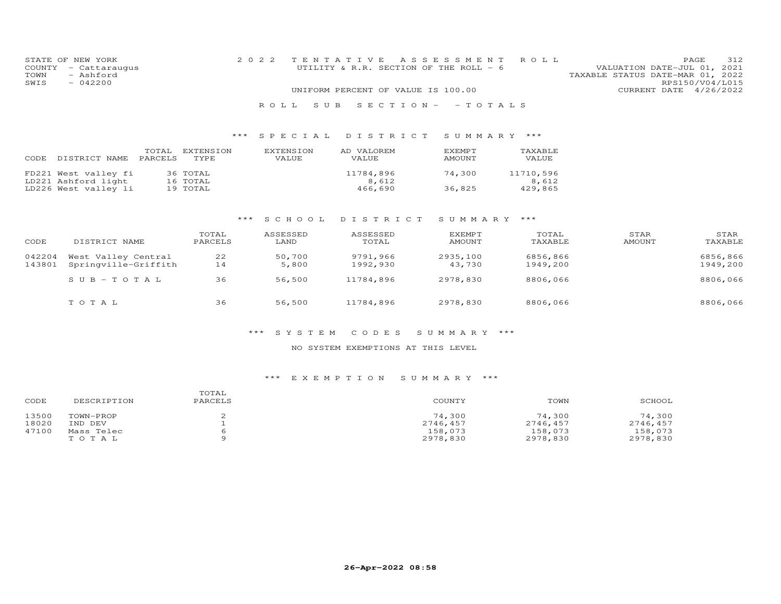| STATE OF<br>COUNTY<br>TOWN<br>SWIS | NEW YORK<br>- Cattaraugus<br>- Ashford<br>$-042200$ |                  |                          | 2 0 2 2 |                           | TENTATIVE<br>UTILITY & R.R. SECTION OF THE ROLL - 6<br>UNIFORM PERCENT OF VALUE IS 100.00 | ASSESSMENT              | ROLL               | VALUATION DATE-JUL 01,<br>TAXABLE STATUS DATE-MAR 01, 2022<br>CURRENT DATE 4/26/2022 | 312<br>PAGE<br>2021<br>RPS150/V04/L015 |
|------------------------------------|-----------------------------------------------------|------------------|--------------------------|---------|---------------------------|-------------------------------------------------------------------------------------------|-------------------------|--------------------|--------------------------------------------------------------------------------------|----------------------------------------|
|                                    |                                                     |                  |                          |         | S U B<br>ROLL.            | $S E C T I O N -$                                                                         | $-$ TO TALS             |                    |                                                                                      |                                        |
|                                    |                                                     |                  |                          | $***$   | SPECIAL                   | DISTRICT                                                                                  | SUMMARY ***             |                    |                                                                                      |                                        |
| CODE                               | DISTRICT NAME                                       | TOTAL<br>PARCELS | <b>EXTENSION</b><br>TYPE |         | <b>EXTENSION</b><br>VALUE | AD VALOREM<br>VALUE                                                                       | EXEMPT<br><b>AMOUNT</b> | TAXABLE<br>VALUE   |                                                                                      |                                        |
|                                    | FD221 West valley fi<br>LD221 Ashford light         |                  | 36 TOTAL<br>16 TOTAL     |         |                           | 11784,896<br>8,612                                                                        | 74,300                  | 11710,596<br>8,612 |                                                                                      |                                        |
|                                    | LD226 West valley li                                |                  | 19 TOTAL                 |         |                           | 466,690                                                                                   | 36,825                  | 429,865            |                                                                                      |                                        |
|                                    |                                                     |                  |                          | ***     | S C H O O L               | DISTRICT                                                                                  | SUMMARY                 | ***                |                                                                                      |                                        |
|                                    |                                                     |                  | TOTAL                    |         | ASSESSED                  | ASSESSED                                                                                  | <b>EXEMPT</b>           | TOTAL              | STAR                                                                                 | STAR                                   |
| CODE                               | DISTRICT NAME                                       |                  | PARCELS                  |         | LAND                      | TOTAL                                                                                     | <b>AMOUNT</b>           | TAXABLE            | <b>AMOUNT</b>                                                                        | TAXABLE                                |
| 042204                             | West Valley Central                                 |                  | 22                       |         | 50,700                    | 9791,966                                                                                  | 2935,100                | 6856,866           |                                                                                      | 6856,866                               |
| 143801                             | Springville-Griffith                                |                  | 14                       |         | 5,800                     | 1992,930                                                                                  | 43,730                  | 1949,200           |                                                                                      | 1949,200                               |

| SUB-TOTAL | 36 | 56,500 | 11784,896 | 2978,830 | 8806,066 | 8806,066 |
|-----------|----|--------|-----------|----------|----------|----------|
| тотаь     | 36 | 56,500 | 11784,896 | 2978,830 | 8806,066 | 8806,066 |

## \*\*\* S Y S T E M C O D E S S U M M A R Y \*\*\*

## NO SYSTEM EXEMPTIONS AT THIS LEVEL

## \*\*\* E X E M P T I O N S U M M A R Y \*\*\*

| CODE  | DESCRIPTION | TOTAL<br>PARCELS | COUNTY   | TOWN     | SCHOOL   |
|-------|-------------|------------------|----------|----------|----------|
| 13500 | TOWN-PROP   |                  | 74,300   | 74,300   | 74,300   |
| 18020 | IND DEV     |                  | 2746,457 | 2746,457 | 2746,457 |
| 47100 | Mass Telec  |                  | 158,073  | 158,073  | 158,073  |
|       | TOTAL       |                  | 2978,830 | 2978,830 | 2978,830 |
|       |             |                  |          |          |          |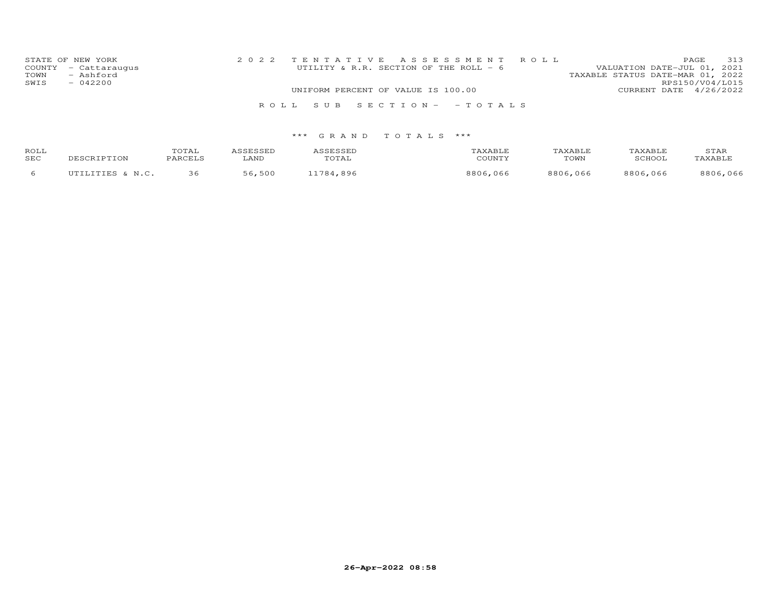| STATE OF NEW YORK<br>COUNTY - Cattaraugus | 2022 TENTATIVE ASSESSMENT ROLL<br>UTILITY & R.R. SECTION OF THE ROLL - 6 | 313<br>PAGE<br>VALUATION DATE-JUL 01, 2021          |
|-------------------------------------------|--------------------------------------------------------------------------|-----------------------------------------------------|
| TOWN<br>- Ashford<br>SWIS<br>$-042200$    |                                                                          | TAXABLE STATUS DATE-MAR 01, 2022<br>RPS150/V04/L015 |
|                                           | UNIFORM PERCENT OF VALUE IS 100.00                                       | CURRENT DATE 4/26/2022                              |
|                                           | ROLL SUB SECTION- - TOTALS                                               |                                                     |

| ROLL<br>SEC | DESCRIPTION      | TOTAL<br>PARCELS | ASSESSED<br>LAND | ASSESSED<br>TOTAL | TAXABLE<br>COUNTY | TAXABLE<br>TOWN | TAXABLE<br>SCHOOL | STAR<br>TAXABLE |
|-------------|------------------|------------------|------------------|-------------------|-------------------|-----------------|-------------------|-----------------|
|             | UTILITIES & N.C. |                  | 56,500           | 11784.896         | 8806,066          | 8806,066        | 8806,066          | 8806,066        |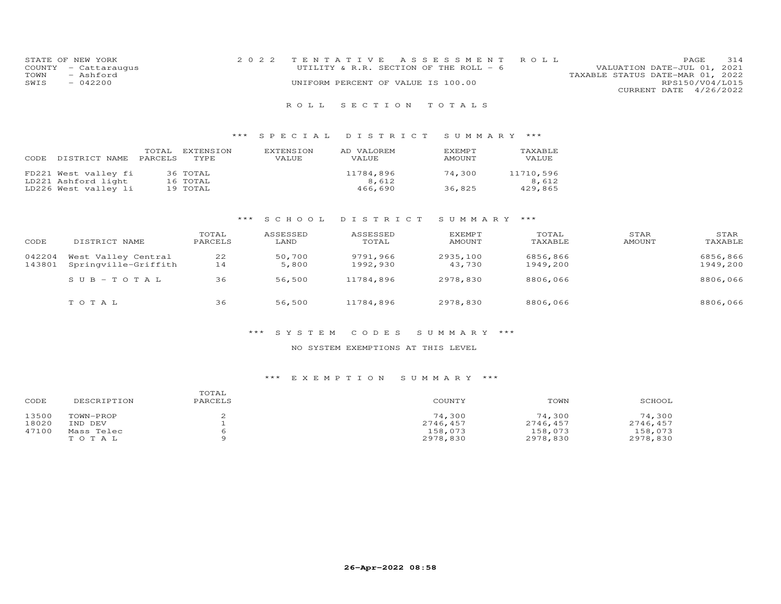| STATE OF NEW YORK    | 2022 TENTATIVE ASSESSMENT ROLL         |                                  | PAGE.                  | 314 |
|----------------------|----------------------------------------|----------------------------------|------------------------|-----|
| COUNTY - Cattaraugus | UTILITY & R.R. SECTION OF THE ROLL - 6 | VALUATION DATE-JUL 01, 2021      |                        |     |
| TOWN<br>- Ashford    |                                        | TAXABLE STATUS DATE-MAR 01, 2022 |                        |     |
| $-042200$<br>SWIS    | UNIFORM PERCENT OF VALUE IS 100.00     |                                  | RPS150/V04/L015        |     |
|                      |                                        |                                  | CURRENT DATE 4/26/2022 |     |
|                      |                                        |                                  |                        |     |

## \*\*\* S P E C I A L D I S T R I C T S U M M A R Y \*\*\*

| CODE | DISTRICT NAME        | TOTAL<br>PARCELS | EXTENSION<br>TYPE. | EXTENSION<br>VALUE | AD VALOREM<br><b>VALUE</b> | EXEMPT<br>AMOUNT | TAXABLE<br>VALUE |
|------|----------------------|------------------|--------------------|--------------------|----------------------------|------------------|------------------|
|      | FD221 West valley fi |                  | 36 TOTAL           |                    | 11784,896                  | 74,300           | 11710,596        |
|      | LD221 Ashford light  |                  | 16 TOTAL           |                    | 8,612                      |                  | 8,612            |
|      | LD226 West valley li |                  | 19 TOTAL           |                    | 466,690                    | 36,825           | 429,865          |

## \*\*\* S C H O O L D I S T R I C T S U M M A R Y \*\*\*

| CODE             | DISTRICT NAME                               | TOTAL<br>PARCELS | ASSESSED<br>LAND | ASSESSED<br>TOTAL    | EXEMPT<br>AMOUNT   | TOTAL<br>TAXABLE     | STAR<br>AMOUNT | STAR<br>TAXABLE      |
|------------------|---------------------------------------------|------------------|------------------|----------------------|--------------------|----------------------|----------------|----------------------|
| 042204<br>143801 | West Valley Central<br>Springville-Griffith | 22<br>14         | 50,700<br>5,800  | 9791,966<br>1992,930 | 2935,100<br>43,730 | 6856,866<br>1949,200 |                | 6856,866<br>1949,200 |
|                  | $SUB-TOTAL$                                 | 36               | 56,500           | 11784,896            | 2978,830           | 8806,066             |                | 8806,066             |
|                  | тотаь                                       | 36               | 56,500           | 11784,896            | 2978,830           | 8806,066             |                | 8806,066             |

#### \*\*\* S Y S T E M C O D E S S U M M A R Y \*\*\*

#### NO SYSTEM EXEMPTIONS AT THIS LEVEL

## \*\*\* E X E M P T I O N S U M M A R Y \*\*\*

| CODE  | DESCRIPTION | TOTAL<br>PARCELS | COUNTY   | TOWN     | SCHOOL   |
|-------|-------------|------------------|----------|----------|----------|
| 13500 | TOWN-PROP   |                  | 74,300   | 74,300   | 74,300   |
| 18020 | IND DEV     |                  | 2746,457 | 2746,457 | 2746,457 |
| 47100 | Mass Telec  |                  | 158,073  | 158,073  | 158,073  |
|       | тотаь       |                  | 2978,830 | 2978,830 | 2978,830 |
|       |             |                  |          |          |          |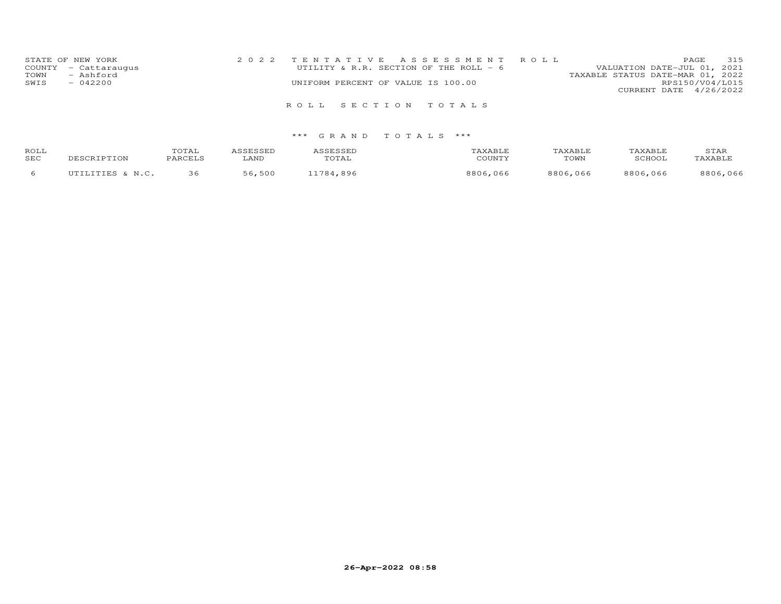| STATE OF NEW YORK    | 2022 TENTATIVE ASSESSMENT ROLL         | 315<br>PAGE                      |
|----------------------|----------------------------------------|----------------------------------|
| COUNTY - Cattaraugus | UTILITY & R.R. SECTION OF THE ROLL - 6 | VALUATION DATE-JUL 01, 2021      |
| - Ashford<br>TOWN    |                                        | TAXABLE STATUS DATE-MAR 01, 2022 |
| $-042200$<br>SWIS    | UNIFORM PERCENT OF VALUE IS 100.00     | RPS150/V04/L015                  |
|                      |                                        | CURRENT DATE 4/26/2022           |
|                      | ROLL SECTION TOTALS                    |                                  |

| ROLL<br>SEC | DESCRIPTION      | TOTAL<br>PARCELS | <i>ce</i> rcern<br>LAND | ASSESSED<br>TOTAL | 'AXABLI<br>COUNTY | TAXABLE<br>TOWN | TAXABLE<br>SCHOOL | STAR<br>TAXABLE |
|-------------|------------------|------------------|-------------------------|-------------------|-------------------|-----------------|-------------------|-----------------|
|             | UTILITIES & N.C. | 36               | 56,500                  | 1784.<br>.896     | 8806.<br>,066     | 8806,066        | 8806,066          | 8806,066        |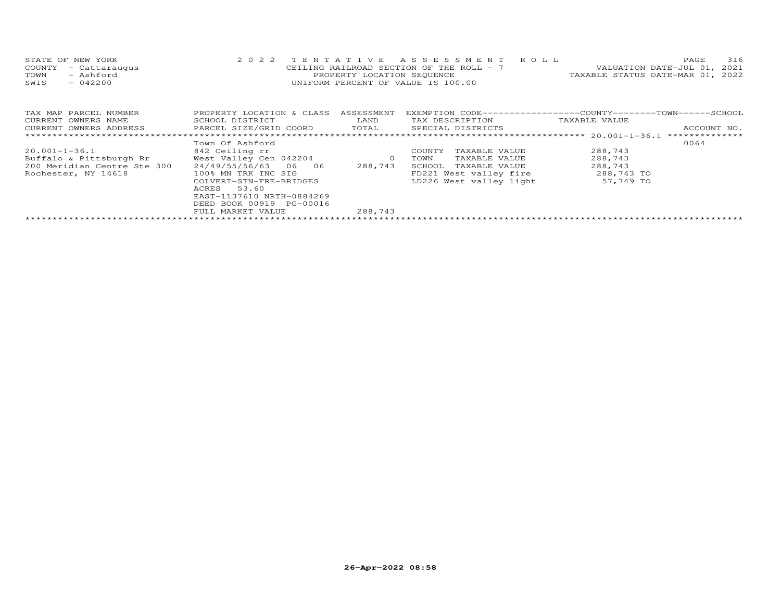| STATE OF NEW YORK    | 2022 TENTATIVE ASSESSMENT ROLL           | 316<br><b>PAGE</b>               |
|----------------------|------------------------------------------|----------------------------------|
| COUNTY - Cattaraugus | CEILING RAILROAD SECTION OF THE ROLL - 7 | VALUATION DATE-JUL 01, 2021      |
| TOWN<br>- Ashford    | PROPERTY LOCATION SEQUENCE               | TAXABLE STATUS DATE-MAR 01, 2022 |
| $-042200$<br>SWIS    | UNIFORM PERCENT OF VALUE IS 100.00       |                                  |
|                      |                                          |                                  |

| TAX MAP PARCEL NUMBER       | PROPERTY LOCATION & CLASS | ASSESSMENT | EXEMPTION CODE-----------------COUNTY-------TOWN------SCHOOL |               |                |
|-----------------------------|---------------------------|------------|--------------------------------------------------------------|---------------|----------------|
| CURRENT OWNERS NAME         | SCHOOL DISTRICT           | LAND       | TAX DESCRIPTION                                              | TAXABLE VALUE |                |
| CURRENT OWNERS ADDRESS      | PARCEL SIZE/GRID COORD    | TOTAL      | SPECIAL DISTRICTS                                            |               | ACCOUNT NO.    |
|                             |                           |            |                                                              |               | ************** |
|                             | Town Of Ashford           |            |                                                              |               | 0064           |
| 20.001-1-36.1               | 842 Ceiling rr            |            | COUNTY<br>TAXABLE VALUE                                      | 288,743       |                |
| Buffalo & Pittsburgh Rr     | West Valley Cen 042204    | $\Omega$   | TAXABLE VALUE<br>TOWN                                        | 288,743       |                |
| 200 Meridian Centre Ste 300 | 24/49/55/56/63 06 06      | 288,743    | TAXABLE VALUE<br>SCHOOL                                      | 288,743       |                |
| Rochester, NY 14618         | 100% MN TRK INC SIG       |            | FD221 West valley fire                                       | 288,743 TO    |                |
|                             | COLVERT-STN-FRE-BRIDGES   |            | LD226 West valley light                                      | 57,749 TO     |                |
|                             | 53.60<br>ACRES            |            |                                                              |               |                |
|                             | EAST-1137610 NRTH-0884269 |            |                                                              |               |                |
|                             | DEED BOOK 00919 PG-00016  |            |                                                              |               |                |
|                             | FULL MARKET VALUE         | 288,743    |                                                              |               |                |
|                             |                           |            |                                                              |               |                |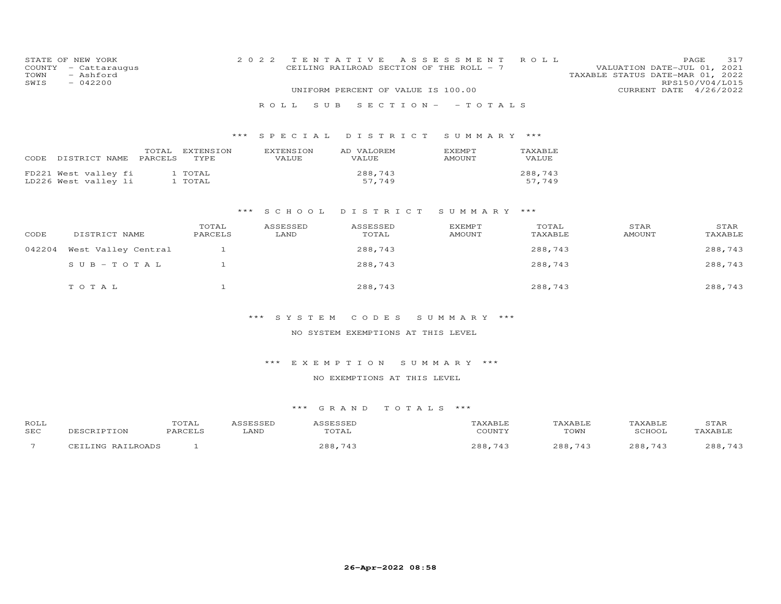| COUNTY<br>TOWN<br>SWIS | STATE OF NEW YORK<br>- Cattaraugus<br>- Ashford<br>$-042200$ | 2 0 2 2                 |                           | TENTATIVE<br>CEILING RAILROAD SECTION OF THE ROLL - 7 | A S S E S S M E N T            | ROLL              | VALUATION DATE-JUL 01, 2021<br>TAXABLE STATUS DATE-MAR 01, 2022 | 317<br>PAGE<br>RPS150/V04/L015 |
|------------------------|--------------------------------------------------------------|-------------------------|---------------------------|-------------------------------------------------------|--------------------------------|-------------------|-----------------------------------------------------------------|--------------------------------|
|                        |                                                              |                         |                           | UNIFORM PERCENT OF VALUE IS 100.00                    |                                |                   |                                                                 | CURRENT DATE 4/26/2022         |
|                        |                                                              |                         | ROLL.<br>S U B            |                                                       | SECTION- - TOTALS              |                   |                                                                 |                                |
|                        |                                                              |                         |                           | *** SPECIAL DISTRICT                                  | SUMMARY ***                    |                   |                                                                 |                                |
|                        | PARCELS<br>CODE DISTRICT NAME                                | TOTAL EXTENSION<br>TYPE | <b>EXTENSION</b><br>VALUE | AD VALOREM<br>VALUE                                   | EXEMPT<br>AMOUNT               | TAXABLE<br>VALUE  |                                                                 |                                |
|                        | FD221 West valley fi<br>LD226 West valley li                 | 1 TOTAL<br>1 TOTAL      |                           | 288,743<br>57,749                                     |                                | 288,743<br>57,749 |                                                                 |                                |
|                        |                                                              | * * *                   | SCHOOL                    | DISTRICT                                              | SUMMARY ***                    |                   |                                                                 |                                |
| CODE                   | DISTRICT NAME                                                | TOTAL<br>PARCELS        | ASSESSED<br>LAND          | ASSESSED<br>TOTAL                                     | <b>EXEMPT</b><br><b>AMOUNT</b> | TOTAL<br>TAXABLE  | STAR<br>AMOUNT                                                  | STAR<br>TAXABLE                |
| 042204                 | West Valley Central                                          | $\mathbf{1}$            |                           | 288,743                                               |                                | 288,743           |                                                                 | 288,743                        |
|                        | $S \cup B - TO T A L$                                        | $\mathbf{1}$            |                           | 288,743                                               |                                | 288,743           |                                                                 | 288,743                        |
|                        | TOTAL                                                        | $\mathbf{1}$            |                           | 288,743                                               |                                | 288,743           |                                                                 | 288,743                        |
|                        |                                                              |                         | *** SYSTEM                | CODES                                                 | SUMMARY ***                    |                   |                                                                 |                                |
|                        |                                                              |                         |                           | NO SYSTEM EXEMPTIONS AT THIS LEVEL                    |                                |                   |                                                                 |                                |

NO EXEMPTIONS AT THIS LEVEL

| ROLL       |                   | $- - -$<br>OTAL: |                       |     |                                           |      | JIAK          |
|------------|-------------------|------------------|-----------------------|-----|-------------------------------------------|------|---------------|
| <b>SEC</b> |                   |                  | $T$ $\lambda$ $T$ $T$ |     | $\sim$ $\sim$ $\sim$ $\sim$ $\sim$ $\sim$ | TOWN |               |
|            | <b>DATT DOADS</b> |                  |                       | מ ה |                                           |      | $\sim$<br>ີດເ |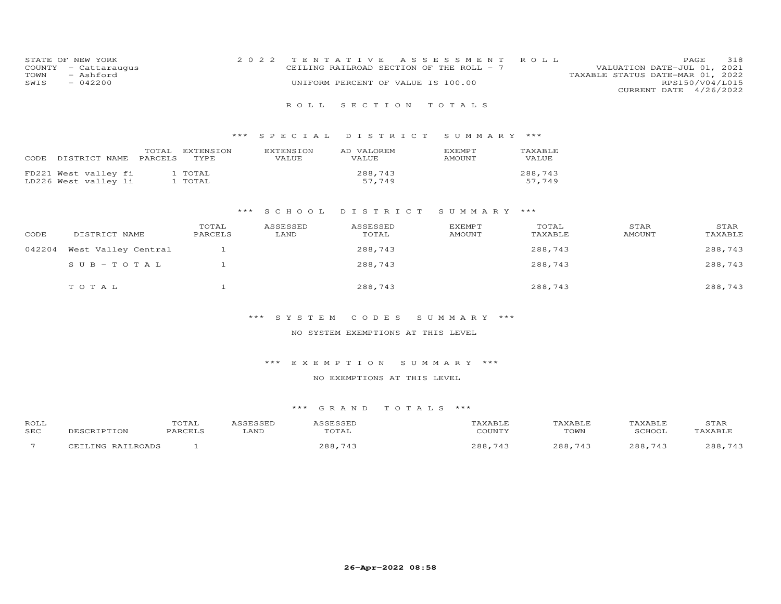| STATE OF NEW YORK    | 2022 TENTATIVE ASSESSMENT ROLL           |  |                                  | PAGE.                  | 318 |
|----------------------|------------------------------------------|--|----------------------------------|------------------------|-----|
| COUNTY - Cattaraugus | CEILING RAILROAD SECTION OF THE ROLL - 7 |  | VALUATION DATE-JUL 01, 2021      |                        |     |
| TOWN<br>- Ashford    |                                          |  | TAXABLE STATUS DATE-MAR 01, 2022 |                        |     |
| $-042200$<br>SWIS    | UNIFORM PERCENT OF VALUE IS 100.00       |  |                                  | RPS150/V04/L015        |     |
|                      |                                          |  |                                  | CURRENT DATE 4/26/2022 |     |
|                      |                                          |  |                                  |                        |     |

## \*\*\* S P E C I A L D I S T R I C T S U M M A R Y \*\*\*

| CODE | DISTRICT NAME                                | TOTAL<br>PARCELS | EXTENSION<br>TYPE. | <b>EXTENSION</b><br>VALUE | AD VALOREM<br>VALUE | <b>F.XFMPT</b><br><b>AMOUNT</b> | TAXABLE<br>VALUE  |
|------|----------------------------------------------|------------------|--------------------|---------------------------|---------------------|---------------------------------|-------------------|
|      | FD221 West valley fi<br>LD226 West valley li |                  | 1 TOTAL<br>1 TOTAL |                           | 288,743<br>57.749   |                                 | 288,743<br>57.749 |

#### \*\*\* S C H O O L D I S T R I C T S U M M A R Y \*\*\*

| CODE   | DISTRICT NAME       | TOTAL<br>PARCELS | ASSESSED<br>LAND | ASSESSED<br>TOTAL | <b>EXEMPT</b><br><b>AMOUNT</b> | TOTAL<br>TAXABLE | STAR<br><b>AMOUNT</b> | STAR<br>TAXABLE |
|--------|---------------------|------------------|------------------|-------------------|--------------------------------|------------------|-----------------------|-----------------|
| 042204 | West Valley Central |                  |                  | 288,743           |                                | 288,743          |                       | 288,743         |
|        | $SUB-TOTAL$         |                  |                  | 288,743           |                                | 288,743          |                       | 288,743         |
|        | TOTAL               |                  |                  | 288,743           |                                | 288,743          |                       | 288,743         |

## \*\*\* S Y S T E M C O D E S S U M M A R Y \*\*\*

#### NO SYSTEM EXEMPTIONS AT THIS LEVEL

#### \*\*\* E X E M P T I O N S U M M A R Y \*\*\*

#### NO EXEMPTIONS AT THIS LEVEL

| ROLL                     |                   | TOTAL   | <i><b>\SSESSED</b></i> | ASSESSED | TAXABLE      | <b>TAXABLE</b> | TAXABLE     | STAR    |
|--------------------------|-------------------|---------|------------------------|----------|--------------|----------------|-------------|---------|
| <b>SEC</b>               | DESCRIPTION       | PARCELS | LAND                   | TOTAL    | COUNTY       | TOWN           | SCHOOL      | TAXABLE |
| $\overline{\phantom{0}}$ | CEILING RAILROADS |         |                        | 288,743  | .743<br>288. | 288,743        | 288.<br>743 | 288,743 |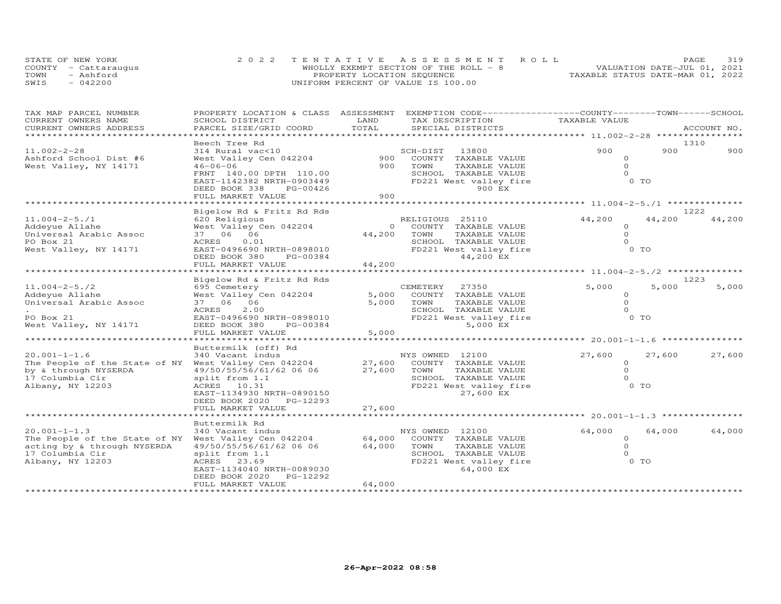|      | STATE OF NEW YORK    |                                    | 2022 TENTATIVE ASSESSMENT ROLL        |                                  | PAGE | 319 |
|------|----------------------|------------------------------------|---------------------------------------|----------------------------------|------|-----|
|      | COUNTY - Cattaraugus |                                    | WHOLLY EXEMPT SECTION OF THE ROLL - 8 | VALUATION DATE-JUL 01, 2021      |      |     |
| TOWN | - Ashford            | PROPERTY LOCATION SEQUENCE         |                                       | TAXABLE STATUS DATE-MAR 01, 2022 |      |     |
| SWIS | $-042200$            | UNIFORM PERCENT OF VALUE IS 100.00 |                                       |                                  |      |     |

| TAX MAP PARCEL NUMBER                                                        | PROPERTY LOCATION & CLASS ASSESSMENT                                                                |                     | EXEMPTION CODE-----------------COUNTY-------TOWN------SCHOOL                      |                                              |        |             |
|------------------------------------------------------------------------------|-----------------------------------------------------------------------------------------------------|---------------------|-----------------------------------------------------------------------------------|----------------------------------------------|--------|-------------|
| CURRENT OWNERS NAME                                                          | SCHOOL DISTRICT                                                                                     | LAND                | TAX DESCRIPTION                                                                   | TAXABLE VALUE                                |        |             |
| CURRENT OWNERS ADDRESS                                                       | PARCEL SIZE/GRID COORD                                                                              | TOTAL<br>********** | SPECIAL DISTRICTS                                                                 | ************ 11.002-2-28 *****************   |        | ACCOUNT NO. |
|                                                                              | Beech Tree Rd                                                                                       |                     |                                                                                   |                                              |        | 1310        |
| $11.002 - 2 - 28$<br>Ashford School Dist #6                                  | 314 Rural vac<10<br>West Valley Cen 042204                                                          | 900                 | SCH-DIST<br>13800<br>COUNTY TAXABLE VALUE                                         | 900<br>$\Omega$                              | 900    | 900         |
| West Valley, NY 14171                                                        | $46 - 06 - 06$<br>FRNT 140.00 DPTH 110.00<br>EAST-1142382 NRTH-0903449<br>DEED BOOK 338<br>PG-00426 | 900                 | TOWN<br>TAXABLE VALUE<br>SCHOOL TAXABLE VALUE<br>FD221 West valley fire<br>900 EX | $\circ$<br>$\circ$<br>0 TO                   |        |             |
|                                                                              | FULL MARKET VALUE                                                                                   | 900                 |                                                                                   |                                              |        |             |
|                                                                              |                                                                                                     |                     |                                                                                   | ********************* 11.004-2-5./1 ******** |        |             |
|                                                                              | Bigelow Rd & Fritz Rd Rds                                                                           |                     |                                                                                   |                                              |        | 1222        |
| $11.004 - 2 - 5.71$                                                          | 620 Religious                                                                                       |                     | RELIGIOUS 25110                                                                   | 44,200                                       | 44,200 | 44,200      |
| Addeyue Allahe                                                               | West Valley Cen 042204                                                                              | $\circ$             | COUNTY TAXABLE VALUE                                                              | $\circ$                                      |        |             |
| Universal Arabic Assoc                                                       | 37 06 06                                                                                            | 44,200              | TOWN<br>TAXABLE VALUE                                                             | $\Omega$                                     |        |             |
| PO Box 21                                                                    | 0.01<br>ACRES                                                                                       |                     | SCHOOL TAXABLE VALUE                                                              | $\Omega$<br>0 TO                             |        |             |
| West Valley, NY 14171                                                        | EAST-0496690 NRTH-0898010<br>DEED BOOK 380                                                          |                     | FD221 West valley fire<br>44,200 EX                                               |                                              |        |             |
|                                                                              | PG-00384<br>FULL MARKET VALUE                                                                       | 44,200              |                                                                                   |                                              |        |             |
|                                                                              |                                                                                                     |                     |                                                                                   |                                              |        |             |
|                                                                              | Bigelow Rd & Fritz Rd Rds                                                                           |                     |                                                                                   |                                              |        | 1223        |
| $11.004 - 2 - 5.72$                                                          | 695 Cemetery                                                                                        |                     | 27350<br>CEMETERY                                                                 | 5,000                                        | 5,000  | 5,000       |
| Addeyue Allahe                                                               | West Valley Cen 042204                                                                              | 5,000               | COUNTY TAXABLE VALUE                                                              | $\circ$                                      |        |             |
| Universal Arabic Assoc                                                       | 37 06 06                                                                                            | 5,000               | TOWN<br>TAXABLE VALUE                                                             | $\Omega$                                     |        |             |
|                                                                              | ACRES<br>2.00                                                                                       |                     | SCHOOL TAXABLE VALUE                                                              | $\Omega$                                     |        |             |
| PO Box 21                                                                    | EAST-0496690 NRTH-0898010                                                                           |                     | FD221 West valley fire                                                            | $0$ TO                                       |        |             |
| West Valley, NY 14171                                                        | DEED BOOK 380<br>PG-00384                                                                           |                     | 5,000 EX                                                                          |                                              |        |             |
|                                                                              | FULL MARKET VALUE                                                                                   | 5,000               |                                                                                   |                                              |        |             |
|                                                                              | ******************                                                                                  |                     |                                                                                   |                                              |        |             |
|                                                                              | Buttermilk (off) Rd                                                                                 |                     |                                                                                   |                                              |        |             |
| $20.001 - 1 - 1.6$                                                           | 340 Vacant indus                                                                                    | 27,600              | NYS OWNED 12100                                                                   | 27,600                                       | 27,600 | 27,600      |
| The People of the State of NY West Valley Cen 042204<br>by & through NYSERDA | 49/50/55/56/61/62 06 06                                                                             | 27,600              | COUNTY TAXABLE VALUE<br>TOWN<br>TAXABLE VALUE                                     | $\circ$<br>$\circ$                           |        |             |
| 17 Columbia Cir                                                              | split from 1.1                                                                                      |                     | SCHOOL TAXABLE VALUE                                                              | $\Omega$                                     |        |             |
| Albany, NY 12203                                                             | ACRES 10.31                                                                                         |                     | FD221 West valley fire                                                            | 0 TO                                         |        |             |
|                                                                              | EAST-1134930 NRTH-0890150                                                                           |                     | 27,600 EX                                                                         |                                              |        |             |
|                                                                              | DEED BOOK 2020<br>PG-12293                                                                          |                     |                                                                                   |                                              |        |             |
|                                                                              | FULL MARKET VALUE                                                                                   | 27,600              |                                                                                   |                                              |        |             |
|                                                                              |                                                                                                     |                     |                                                                                   |                                              |        |             |
|                                                                              | Buttermilk Rd                                                                                       |                     |                                                                                   |                                              |        |             |
| $20.001 - 1 - 1.3$                                                           | 340 Vacant indus                                                                                    |                     | NYS OWNED 12100                                                                   | 64,000                                       | 64,000 | 64,000      |
| The People of the State of NY West Valley Cen 042204                         |                                                                                                     | 64,000              | COUNTY TAXABLE VALUE                                                              | $\circ$                                      |        |             |
| acting by & through NYSERDA                                                  | 49/50/55/56/61/62 06 06                                                                             | 64,000              | TOWN<br>TAXABLE VALUE                                                             | $\Omega$<br>$\Omega$                         |        |             |
| 17 Columbia Cir                                                              | split from 1.1                                                                                      |                     | SCHOOL TAXABLE VALUE                                                              | 0 TO                                         |        |             |
| Albany, NY 12203                                                             | ACRES 23.69<br>EAST-1134040 NRTH-0089030                                                            |                     | FD221 West valley fire<br>64,000 EX                                               |                                              |        |             |
|                                                                              | PG-12292<br>DEED BOOK 2020                                                                          |                     |                                                                                   |                                              |        |             |
|                                                                              | FULL MARKET VALUE                                                                                   | 64,000              |                                                                                   |                                              |        |             |
|                                                                              |                                                                                                     |                     |                                                                                   |                                              |        |             |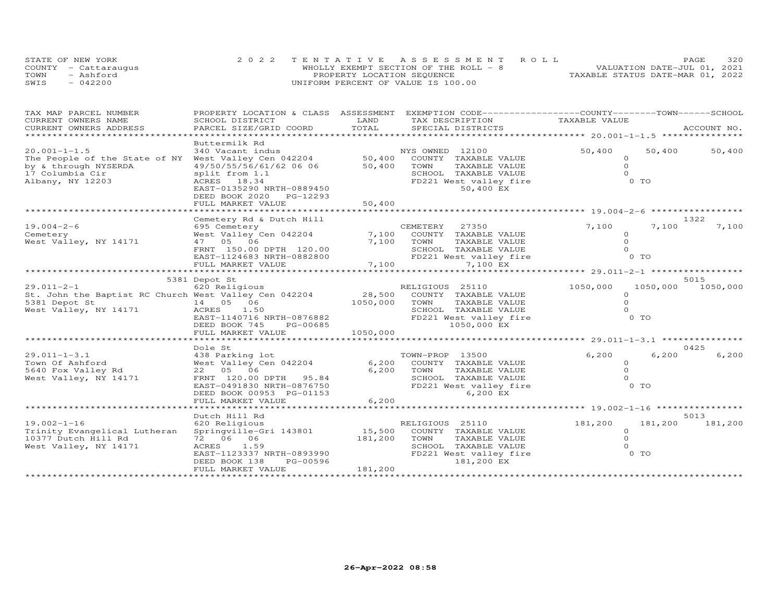|      | STATE OF NEW YORK    |                                    | 2022 TENTATIVE ASSESSMENT ROLL        |                                  | PAGE | 320 |
|------|----------------------|------------------------------------|---------------------------------------|----------------------------------|------|-----|
|      | COUNTY - Cattaraugus |                                    | WHOLLY EXEMPT SECTION OF THE ROLL - 8 | VALUATION DATE-JUL 01, 2021      |      |     |
| TOWN | - Ashford            | PROPERTY LOCATION SEQUENCE         |                                       | TAXABLE STATUS DATE-MAR 01, 2022 |      |     |
| SWIS | $-042200$            | UNIFORM PERCENT OF VALUE IS 100.00 |                                       |                                  |      |     |

| TAX MAP PARCEL NUMBER                                 | PROPERTY LOCATION & CLASS ASSESSMENT          |               | EXEMPTION CODE-----------------COUNTY-------TOWN------SCHOOL |                     |                |             |
|-------------------------------------------------------|-----------------------------------------------|---------------|--------------------------------------------------------------|---------------------|----------------|-------------|
| CURRENT OWNERS NAME<br>CURRENT OWNERS ADDRESS         | SCHOOL DISTRICT<br>PARCEL SIZE/GRID COORD     | LAND<br>TOTAL | TAX DESCRIPTION<br>SPECIAL DISTRICTS                         | TAXABLE VALUE       |                | ACCOUNT NO. |
| ***********************                               |                                               |               |                                                              |                     |                |             |
|                                                       | Buttermilk Rd                                 |               |                                                              |                     |                |             |
| $20.001 - 1 - 1.5$                                    | 340 Vacant indus                              |               | NYS OWNED 12100                                              | 50,400              | 50,400         | 50,400      |
| The People of the State of NY West Valley Cen 042204  |                                               | 50,400        | COUNTY TAXABLE VALUE                                         | $\circ$             |                |             |
| by & through NYSERDA                                  | 49/50/55/56/61/62 06 06                       | 50,400        | TAXABLE VALUE<br>TOWN                                        | $\Omega$            |                |             |
| 17 Columbia Cir                                       | split from 1.1                                |               | SCHOOL TAXABLE VALUE                                         | $\Omega$            |                |             |
| Albany, NY 12203                                      | ACRES 18.34                                   |               | FD221 West valley fire                                       |                     | $0$ TO         |             |
|                                                       | EAST-0135290 NRTH-0889450                     |               | 50,400 EX                                                    |                     |                |             |
|                                                       | DEED BOOK 2020 PG-12293                       |               |                                                              |                     |                |             |
|                                                       | FULL MARKET VALUE                             | 50,400        |                                                              |                     |                |             |
|                                                       |                                               |               | ********************************* 19.004-2-6                 |                     |                |             |
|                                                       | Cemetery Rd & Dutch Hill                      |               |                                                              |                     |                | 1322        |
| $19.004 - 2 - 6$                                      | 695 Cemetery                                  |               | CEMETERY<br>27350                                            | 7,100               | 7,100          | 7,100       |
| Cemetery                                              | West Valley Cen 042204                        | 7,100         | COUNTY TAXABLE VALUE                                         | $\Omega$            |                |             |
| West Valley, NY 14171                                 | 47 05 06                                      | 7,100         | TOWN<br>TAXABLE VALUE                                        | $\Omega$            |                |             |
|                                                       | FRNT 150.00 DPTH 120.00                       |               | SCHOOL TAXABLE VALUE                                         |                     |                |             |
|                                                       | EAST-1124683 NRTH-0882800                     |               | FD221 West valley fire                                       |                     | 0 TO           |             |
|                                                       | FULL MARKET VALUE                             | 7,100         | 7,100 EX                                                     |                     |                |             |
|                                                       |                                               |               |                                                              |                     |                |             |
|                                                       | 5381 Depot St                                 |               |                                                              |                     |                | 5015        |
| $29.011 - 2 - 1$                                      | 620 Religious                                 |               | RELIGIOUS 25110                                              | 1050,000            | 1050,000       | 1050,000    |
| St. John the Baptist RC Church West Valley Cen 042204 |                                               | 28,500        | COUNTY TAXABLE VALUE                                         | $\Omega$            |                |             |
| 5381 Depot St                                         | 14  05  06                                    | 1050,000      | TAXABLE VALUE<br>TOWN                                        | $\Omega$            |                |             |
| West Valley, NY 14171                                 | ACRES<br>1.50                                 |               | SCHOOL TAXABLE VALUE                                         | $\Omega$            |                |             |
|                                                       | EAST-1140716 NRTH-0876882                     |               | FD221 West valley fire                                       |                     | $0$ TO         |             |
|                                                       | DEED BOOK 745<br>PG-00685                     |               | 1050,000 EX                                                  |                     |                |             |
|                                                       | FULL MARKET VALUE                             | 1050,000      |                                                              |                     |                |             |
|                                                       |                                               |               |                                                              |                     |                |             |
|                                                       | Dole St                                       |               |                                                              |                     |                | 0425        |
| $29.011 - 1 - 3.1$                                    | 438 Parking lot                               |               | TOWN-PROP 13500                                              | 6,200               | 6,200          | 6,200       |
| Town Of Ashford                                       | West Valley Cen 042204                        | 6,200         | COUNTY TAXABLE VALUE                                         | $\circ$             |                |             |
| 5640 Fox Valley Rd                                    | 22 05 06                                      | 6,200         | TOWN<br>TAXABLE VALUE                                        | $\circ$<br>$\Omega$ |                |             |
| West Valley, NY 14171                                 | FRNT 120.00 DPTH 95.84                        |               | SCHOOL TAXABLE VALUE                                         |                     | 0 <sub>T</sub> |             |
|                                                       | EAST-0491830 NRTH-0876750                     |               | FD221 West valley fire                                       |                     |                |             |
|                                                       | DEED BOOK 00953 PG-01153<br>FULL MARKET VALUE | 6,200         | 6,200 EX                                                     |                     |                |             |
|                                                       |                                               |               |                                                              |                     |                |             |
|                                                       | Dutch Hill Rd                                 |               |                                                              |                     |                | 5013        |
| $19.002 - 1 - 16$                                     | 620 Religious                                 |               | RELIGIOUS 25110                                              | 181,200             | 181,200        | 181,200     |
| Trinity Evangelical Lutheran                          | Springville-Gri 143801                        | 15,500        | COUNTY TAXABLE VALUE                                         | $\circ$             |                |             |
| 10377 Dutch Hill Rd                                   | 72 06 06                                      | 181,200       | TAXABLE VALUE<br>TOWN                                        | $\Omega$            |                |             |
| West Valley, NY 14171                                 | ACRES<br>1.59                                 |               | SCHOOL TAXABLE VALUE                                         | $\Omega$            |                |             |
|                                                       | EAST-1123337 NRTH-0893990                     |               | FD221 West valley fire                                       |                     | O TO           |             |
|                                                       | PG-00596<br>DEED BOOK 138                     |               | 181,200 EX                                                   |                     |                |             |
|                                                       | FULL MARKET VALUE                             | 181,200       |                                                              |                     |                |             |
|                                                       |                                               |               |                                                              |                     |                |             |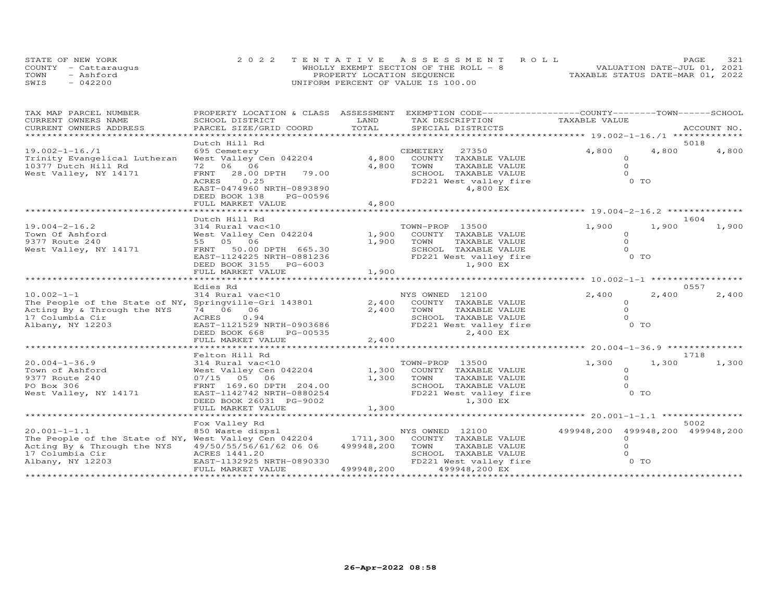|      | STATE OF NEW YORK    |                                    | 2022 TENTATIVE ASSESSMENT ROLL         |                                  | PAGE | 321 |
|------|----------------------|------------------------------------|----------------------------------------|----------------------------------|------|-----|
|      | COUNTY - Cattaraugus |                                    | WHOLLY EXEMPT SECTION OF THE ROLL $-8$ | VALUATION DATE-JUL 01, 2021      |      |     |
| TOWN | - Ashford            | PROPERTY LOCATION SEQUENCE         |                                        | TAXABLE STATUS DATE-MAR 01, 2022 |      |     |
| SWIS | $-042200$            | UNIFORM PERCENT OF VALUE IS 100.00 |                                        |                                  |      |     |

| TOTAL<br>CURRENT OWNERS ADDRESS<br>PARCEL SIZE/GRID COORD<br>SPECIAL DISTRICTS<br>ACCOUNT NO.<br>*****************<br>Dutch Hill Rd<br>5018<br>4,800<br>4,800<br>$19.002 - 1 - 16.71$<br>695 Cemetery<br>CEMETERY<br>27350<br>West Valley Cen 042204<br>4,800<br>Trinity Evangelical Lutheran<br>COUNTY TAXABLE VALUE<br>$\circ$<br>72 06 06<br>4,800<br>$\circ$<br>10377 Dutch Hill Rd<br>TOWN<br>TAXABLE VALUE<br>$\Omega$<br>West Valley, NY 14171<br>28.00 DPTH 79.00<br>SCHOOL TAXABLE VALUE<br>FRNT<br>$0$ TO<br>0.25<br>FD221 West valley fire<br>ACRES<br>EAST-0474960 NRTH-0893890<br>4,800 EX<br>DEED BOOK 138<br>PG-00596<br>FULL MARKET VALUE<br>4,800 | TAX MAP PARCEL NUMBER | PROPERTY LOCATION & CLASS ASSESSMENT |      | EXEMPTION CODE-----------------COUNTY-------TOWN------SCHOOL |               |       |
|--------------------------------------------------------------------------------------------------------------------------------------------------------------------------------------------------------------------------------------------------------------------------------------------------------------------------------------------------------------------------------------------------------------------------------------------------------------------------------------------------------------------------------------------------------------------------------------------------------------------------------------------------------------------|-----------------------|--------------------------------------|------|--------------------------------------------------------------|---------------|-------|
|                                                                                                                                                                                                                                                                                                                                                                                                                                                                                                                                                                                                                                                                    | CURRENT OWNERS NAME   | SCHOOL DISTRICT                      | LAND | TAX DESCRIPTION                                              | TAXABLE VALUE |       |
|                                                                                                                                                                                                                                                                                                                                                                                                                                                                                                                                                                                                                                                                    |                       |                                      |      |                                                              |               |       |
|                                                                                                                                                                                                                                                                                                                                                                                                                                                                                                                                                                                                                                                                    |                       |                                      |      |                                                              |               |       |
|                                                                                                                                                                                                                                                                                                                                                                                                                                                                                                                                                                                                                                                                    |                       |                                      |      |                                                              |               | 4,800 |
|                                                                                                                                                                                                                                                                                                                                                                                                                                                                                                                                                                                                                                                                    |                       |                                      |      |                                                              |               |       |
|                                                                                                                                                                                                                                                                                                                                                                                                                                                                                                                                                                                                                                                                    |                       |                                      |      |                                                              |               |       |
|                                                                                                                                                                                                                                                                                                                                                                                                                                                                                                                                                                                                                                                                    |                       |                                      |      |                                                              |               |       |
|                                                                                                                                                                                                                                                                                                                                                                                                                                                                                                                                                                                                                                                                    |                       |                                      |      |                                                              |               |       |
|                                                                                                                                                                                                                                                                                                                                                                                                                                                                                                                                                                                                                                                                    |                       |                                      |      |                                                              |               |       |
|                                                                                                                                                                                                                                                                                                                                                                                                                                                                                                                                                                                                                                                                    |                       |                                      |      |                                                              |               |       |
|                                                                                                                                                                                                                                                                                                                                                                                                                                                                                                                                                                                                                                                                    |                       |                                      |      |                                                              |               |       |
| Dutch Hill Rd<br>1604                                                                                                                                                                                                                                                                                                                                                                                                                                                                                                                                                                                                                                              |                       |                                      |      |                                                              |               |       |
| 1,900<br>$19.004 - 2 - 16.2$<br>314 Rural vac<10<br>1,900<br>TOWN-PROP 13500                                                                                                                                                                                                                                                                                                                                                                                                                                                                                                                                                                                       |                       |                                      |      |                                                              |               | 1,900 |
| 1,900<br>Town Of Ashford<br>West Valley Cen 042204<br>COUNTY TAXABLE VALUE<br>$\Omega$                                                                                                                                                                                                                                                                                                                                                                                                                                                                                                                                                                             |                       |                                      |      |                                                              |               |       |
| 9377 Route 240<br>55 05 06<br>1,900<br>TAXABLE VALUE<br>$\circ$<br>TOWN                                                                                                                                                                                                                                                                                                                                                                                                                                                                                                                                                                                            |                       |                                      |      |                                                              |               |       |
| West Valley, NY 14171<br>50.00 DPTH 665.30<br>SCHOOL TAXABLE VALUE<br>$\Omega$<br>FRNT                                                                                                                                                                                                                                                                                                                                                                                                                                                                                                                                                                             |                       |                                      |      |                                                              |               |       |
| FD221 West valley fire<br>$0$ TO<br>EAST-1124225 NRTH-0881236                                                                                                                                                                                                                                                                                                                                                                                                                                                                                                                                                                                                      |                       |                                      |      |                                                              |               |       |
| 1,900 EX<br>DEED BOOK 3155 PG-6003                                                                                                                                                                                                                                                                                                                                                                                                                                                                                                                                                                                                                                 |                       |                                      |      |                                                              |               |       |
| 1,900<br>FULL MARKET VALUE                                                                                                                                                                                                                                                                                                                                                                                                                                                                                                                                                                                                                                         |                       |                                      |      |                                                              |               |       |
| *********                                                                                                                                                                                                                                                                                                                                                                                                                                                                                                                                                                                                                                                          |                       |                                      |      |                                                              |               |       |
| Edies Rd<br>0557                                                                                                                                                                                                                                                                                                                                                                                                                                                                                                                                                                                                                                                   |                       |                                      |      |                                                              |               |       |
| $10.002 - 1 - 1$<br>314 Rural vac<10<br>NYS OWNED 12100<br>2,400<br>2,400                                                                                                                                                                                                                                                                                                                                                                                                                                                                                                                                                                                          |                       |                                      |      |                                                              |               | 2,400 |
| 2,400<br>The People of the State of NY, Springville-Gri 143801<br>COUNTY TAXABLE VALUE<br>$\Omega$                                                                                                                                                                                                                                                                                                                                                                                                                                                                                                                                                                 |                       |                                      |      |                                                              |               |       |
| Acting By & Through the NYS<br>74 06 06<br>2,400<br>TOWN<br>TAXABLE VALUE<br>$\circ$<br>17 Columbia Cir<br>SCHOOL TAXABLE VALUE                                                                                                                                                                                                                                                                                                                                                                                                                                                                                                                                    |                       |                                      |      |                                                              |               |       |
| ACRES<br>0.94<br>0 TO<br>FD221 West valley fire<br>Albany, NY 12203<br>EAST-1121529 NRTH-0903686                                                                                                                                                                                                                                                                                                                                                                                                                                                                                                                                                                   |                       |                                      |      |                                                              |               |       |
| 2,400 EX<br>DEED BOOK 668<br>PG-00535                                                                                                                                                                                                                                                                                                                                                                                                                                                                                                                                                                                                                              |                       |                                      |      |                                                              |               |       |
| 2,400<br>FULL MARKET VALUE                                                                                                                                                                                                                                                                                                                                                                                                                                                                                                                                                                                                                                         |                       |                                      |      |                                                              |               |       |
|                                                                                                                                                                                                                                                                                                                                                                                                                                                                                                                                                                                                                                                                    |                       |                                      |      |                                                              |               |       |
| Felton Hill Rd<br>1718                                                                                                                                                                                                                                                                                                                                                                                                                                                                                                                                                                                                                                             |                       |                                      |      |                                                              |               |       |
| $20.004 - 1 - 36.9$<br>1,300<br>314 Rural vac<10<br>TOWN-PROP 13500<br>1,300                                                                                                                                                                                                                                                                                                                                                                                                                                                                                                                                                                                       |                       |                                      |      |                                                              |               | 1,300 |
| 1,300<br>Town of Ashford<br>West Valley Cen 042204<br>COUNTY TAXABLE VALUE<br>$\circ$                                                                                                                                                                                                                                                                                                                                                                                                                                                                                                                                                                              |                       |                                      |      |                                                              |               |       |
| $\circ$<br>1,300<br>TOWN<br>9377 Route 240<br>07/15 05 06<br>TAXABLE VALUE                                                                                                                                                                                                                                                                                                                                                                                                                                                                                                                                                                                         |                       |                                      |      |                                                              |               |       |
| PO Box 306<br>SCHOOL TAXABLE VALUE<br>$\Omega$<br>FRNT 169.60 DPTH 204.00                                                                                                                                                                                                                                                                                                                                                                                                                                                                                                                                                                                          |                       |                                      |      |                                                              |               |       |
| $0$ TO<br>West Valley, NY 14171<br>FD221 West valley fire<br>EAST-1142742 NRTH-0880254                                                                                                                                                                                                                                                                                                                                                                                                                                                                                                                                                                             |                       |                                      |      |                                                              |               |       |
| DEED BOOK 26031 PG-9002<br>1,300 EX<br>FULL MARKET VALUE                                                                                                                                                                                                                                                                                                                                                                                                                                                                                                                                                                                                           |                       |                                      |      |                                                              |               |       |
| 1,300                                                                                                                                                                                                                                                                                                                                                                                                                                                                                                                                                                                                                                                              |                       |                                      |      |                                                              |               |       |
| Fox Valley Rd<br>5002                                                                                                                                                                                                                                                                                                                                                                                                                                                                                                                                                                                                                                              |                       |                                      |      |                                                              |               |       |
| $20.001 - 1 - 1.1$<br>850 Waste dispsl<br>499948,200 499948,200 499948,200<br>NYS OWNED 12100                                                                                                                                                                                                                                                                                                                                                                                                                                                                                                                                                                      |                       |                                      |      |                                                              |               |       |
| The People of the State of NY, West Valley Cen 042204<br>1711,300<br>COUNTY TAXABLE VALUE<br>$\circ$                                                                                                                                                                                                                                                                                                                                                                                                                                                                                                                                                               |                       |                                      |      |                                                              |               |       |
| 499948,200<br>$\Omega$<br>Acting By & Through the NYS<br>49/50/55/56/61/62 06 06<br>TOWN<br>TAXABLE VALUE                                                                                                                                                                                                                                                                                                                                                                                                                                                                                                                                                          |                       |                                      |      |                                                              |               |       |
| SCHOOL TAXABLE VALUE<br>17 Columbia Cir<br>ACRES 1441.20<br>$\Omega$                                                                                                                                                                                                                                                                                                                                                                                                                                                                                                                                                                                               |                       |                                      |      |                                                              |               |       |
| 0 TO<br>Albany, NY 12203<br>EAST-1132925 NRTH-0890330<br>FD221 West valley fire                                                                                                                                                                                                                                                                                                                                                                                                                                                                                                                                                                                    |                       |                                      |      |                                                              |               |       |
| FULL MARKET VALUE<br>499948,200<br>499948,200 EX                                                                                                                                                                                                                                                                                                                                                                                                                                                                                                                                                                                                                   |                       |                                      |      |                                                              |               |       |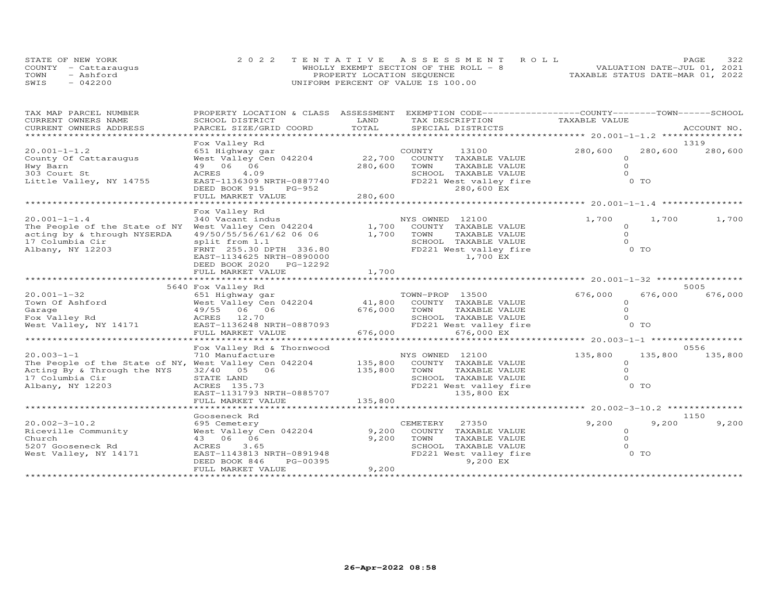|      | STATE OF NEW YORK    | 2022 TENTATIVE ASSESSMENT ROLL         |  |                                  | PAGE | 322 |
|------|----------------------|----------------------------------------|--|----------------------------------|------|-----|
|      | COUNTY - Cattaraugus | WHOLLY EXEMPT SECTION OF THE ROLL $-8$ |  | VALUATION DATE-JUL 01, 2021      |      |     |
| TOWN | - Ashford            | PROPERTY LOCATION SEQUENCE             |  | TAXABLE STATUS DATE-MAR 01, 2022 |      |     |
| SWIS | $-042200$            | UNIFORM PERCENT OF VALUE IS 100.00     |  |                                  |      |     |

| TAX MAP PARCEL NUMBER                                 | PROPERTY LOCATION & CLASS ASSESSMENT               |               | EXEMPTION CODE-----------------COUNTY-------TOWN------SCHOOL |                     |         |             |
|-------------------------------------------------------|----------------------------------------------------|---------------|--------------------------------------------------------------|---------------------|---------|-------------|
| CURRENT OWNERS NAME<br>CURRENT OWNERS ADDRESS         | SCHOOL DISTRICT<br>PARCEL SIZE/GRID COORD          | LAND<br>TOTAL | TAX DESCRIPTION<br>SPECIAL DISTRICTS                         | TAXABLE VALUE       |         | ACCOUNT NO. |
| *************                                         |                                                    |               |                                                              |                     |         |             |
|                                                       | Fox Valley Rd                                      |               |                                                              |                     |         | 1319        |
| $20.001 - 1 - 1.2$                                    | 651 Highway gar                                    |               | COUNTY<br>13100                                              | 280,600             | 280,600 | 280,600     |
| County Of Cattaraugus                                 | West Valley Cen 042204                             | 22,700        | COUNTY TAXABLE VALUE                                         | $\circ$             |         |             |
| Hwy Barn                                              | 49 06 06                                           | 280,600       | TAXABLE VALUE<br>TOWN                                        | $\Omega$            |         |             |
| 303 Court St                                          | ACRES<br>4.09                                      |               | SCHOOL TAXABLE VALUE                                         | $\Omega$            |         |             |
| Little Valley, NY 14755                               | EAST-1136309 NRTH-0887740                          |               | FD221 West valley fire                                       |                     | 0 TO    |             |
|                                                       | DEED BOOK 915<br>PG-952                            |               | 280,600 EX                                                   |                     |         |             |
|                                                       | FULL MARKET VALUE<br>***************************** | 280,600       |                                                              |                     |         |             |
|                                                       |                                                    |               |                                                              |                     |         |             |
| $20.001 - 1 - 1.4$                                    | Fox Valley Rd<br>340 Vacant indus                  |               | NYS OWNED 12100                                              | 1,700               | 1,700   | 1,700       |
| The People of the State of NY West Valley Cen 042204  |                                                    |               | 1,700 COUNTY TAXABLE VALUE                                   | $\circ$             |         |             |
| acting by & through NYSERDA                           | 49/50/55/56/61/62 06 06 1,700 TOWN                 |               | TAXABLE VALUE                                                | $\Omega$            |         |             |
| 17 Columbia Cir                                       | split from 1.1                                     |               | SCHOOL TAXABLE VALUE                                         | $\Omega$            |         |             |
| Albany, NY 12203                                      | FRNT 255.30 DPTH 336.80                            |               | FD221 West valley fire                                       |                     | $0$ TO  |             |
|                                                       | EAST-1134625 NRTH-0890000                          |               | 1,700 EX                                                     |                     |         |             |
|                                                       | DEED BOOK 2020 PG-12292                            |               |                                                              |                     |         |             |
|                                                       | FULL MARKET VALUE                                  | 1,700         |                                                              |                     |         |             |
|                                                       |                                                    |               |                                                              |                     |         |             |
|                                                       | 5640 Fox Valley Rd                                 |               |                                                              |                     |         | 5005        |
| $20.001 - 1 - 32$                                     | 651 Highway gar                                    |               | TOWN-PROP 13500                                              | 676,000             | 676,000 | 676,000     |
| Town Of Ashford                                       | West Valley Cen 042204                             |               | 41,800 COUNTY TAXABLE VALUE                                  | $\circ$             |         |             |
| Garage                                                | 49/55 06 06                                        | 676,000       | TOWN<br>TAXABLE VALUE                                        | $\Omega$            |         |             |
| Fox Valley Rd                                         | ACRES 12.70                                        |               | SCHOOL TAXABLE VALUE                                         | $\Omega$            |         |             |
| West Valley, NY 14171                                 | EAST-1136248 NRTH-0887093<br>FULL MARKET VALUE     | 676,000       | FD221 West valley fire<br>676,000 EX                         |                     | $0$ TO  |             |
|                                                       |                                                    |               |                                                              |                     |         |             |
|                                                       | Fox Valley Rd & Thornwood                          |               |                                                              |                     |         | 0556        |
| $20.003 - 1 - 1$                                      | 710 Manufacture                                    |               | NYS OWNED 12100                                              | 135,800             | 135,800 | 135,800     |
| The People of the State of NY, West Valley Cen 042204 |                                                    | 135,800       | COUNTY TAXABLE VALUE                                         | $\Omega$            |         |             |
| Acting By & Through the NYS                           | 32/40 05 06                                        | 135,800       | TOWN<br>TAXABLE VALUE                                        | $\Omega$            |         |             |
| 17 Columbia Cir                                       | STATE LAND                                         |               | SCHOOL TAXABLE VALUE                                         | $\Omega$            |         |             |
| Albany, NY 12203                                      | ACRES 135.73                                       |               | FD221 West valley fire                                       |                     | 0 TO    |             |
|                                                       | EAST-1131793 NRTH-0885707                          |               | 135,800 EX                                                   |                     |         |             |
|                                                       | FULL MARKET VALUE                                  | 135,800       |                                                              |                     |         |             |
|                                                       |                                                    |               |                                                              |                     |         |             |
|                                                       | Gooseneck Rd                                       |               |                                                              |                     |         | 1150        |
| $20.002 - 3 - 10.2$                                   | 695 Cemetery                                       |               | CEMETERY 27350                                               | 9,200               | 9,200   | 9,200       |
| Riceville Community                                   | West Valley Cen 042204                             | 9,200         | COUNTY TAXABLE VALUE                                         | $\circ$             |         |             |
| Church<br>5207 Gooseneck Rd                           | 43 06 06<br>ACRES<br>3.65                          | 9,200         | TAXABLE VALUE<br>TOWN<br>SCHOOL TAXABLE VALUE                | $\circ$<br>$\Omega$ |         |             |
| West Valley, NY 14171                                 | EAST-1143813 NRTH-0891948                          |               | FD221 West valley fire                                       |                     | O TO    |             |
|                                                       | PG-00395<br>DEED BOOK 846                          |               | 9,200 EX                                                     |                     |         |             |
|                                                       | FULL MARKET VALUE                                  | 9,200         |                                                              |                     |         |             |
|                                                       |                                                    |               |                                                              |                     |         |             |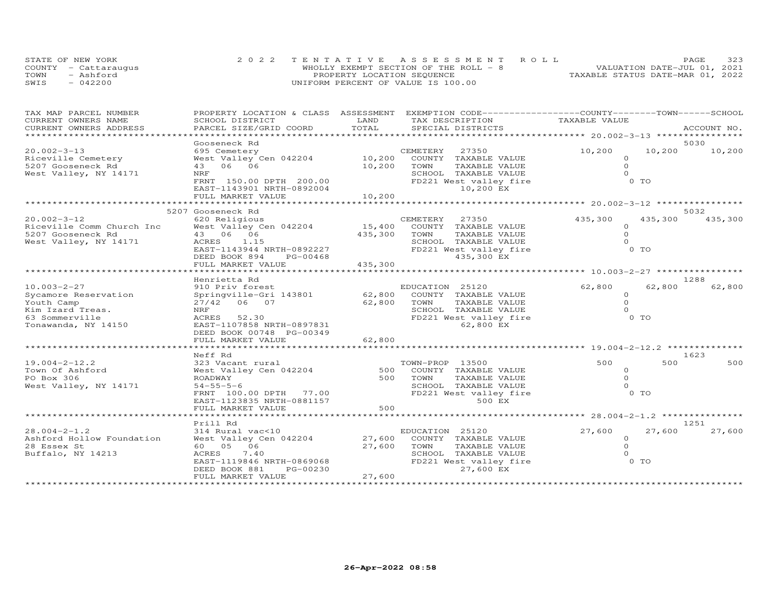|      | STATE OF NEW YORK    | 2022 TENTATIVE ASSESSMENT ROLL        | PAGE.                            | 323 |
|------|----------------------|---------------------------------------|----------------------------------|-----|
|      | COUNTY - Cattarauqus | WHOLLY EXEMPT SECTION OF THE ROLL - 8 | VALUATION DATE-JUL 01, 2021      |     |
| TOWN | - Ashford            | PROPERTY LOCATION SEQUENCE            | TAXABLE STATUS DATE-MAR 01, 2022 |     |
| SWIS | $-042200$            | UNIFORM PERCENT OF VALUE IS 100.00    |                                  |     |

| TAX MAP PARCEL NUMBER                         |                                           | LAND    | PROPERTY LOCATION & CLASS ASSESSMENT EXEMPTION CODE----------------COUNTY-------TOWN------SCHOOL | TAXABLE VALUE       |         |             |
|-----------------------------------------------|-------------------------------------------|---------|--------------------------------------------------------------------------------------------------|---------------------|---------|-------------|
| CURRENT OWNERS NAME<br>CURRENT OWNERS ADDRESS | SCHOOL DISTRICT<br>PARCEL SIZE/GRID COORD | TOTAL   | TAX DESCRIPTION<br>SPECIAL DISTRICTS                                                             |                     |         | ACCOUNT NO. |
|                                               |                                           |         |                                                                                                  |                     |         |             |
|                                               | Gooseneck Rd                              |         |                                                                                                  |                     |         | 5030        |
| $20.002 - 3 - 13$                             | 695 Cemetery                              |         | CEMETERY<br>27350                                                                                | 10,200              | 10,200  | 10,200      |
| Riceville Cemetery                            | West Valley Cen 042204                    |         | 10,200 COUNTY TAXABLE VALUE                                                                      | $\circ$             |         |             |
| 5207 Gooseneck Rd                             | 43 06 06                                  | 10,200  | TOWN<br>TAXABLE VALUE                                                                            | $\Omega$            |         |             |
| West Valley, NY 14171                         | NRF                                       |         | SCHOOL TAXABLE VALUE                                                                             | $\Omega$            |         |             |
|                                               | FRNT 150.00 DPTH 200.00                   |         | FD221 West valley fire                                                                           | 0 TO                |         |             |
|                                               | EAST-1143901 NRTH-0892004                 |         | 10,200 EX                                                                                        |                     |         |             |
|                                               | FULL MARKET VALUE                         | 10,200  |                                                                                                  |                     |         |             |
|                                               |                                           |         |                                                                                                  |                     |         |             |
|                                               | 5207 Gooseneck Rd                         |         |                                                                                                  |                     |         | 5032        |
| $20.002 - 3 - 12$                             | 620 Religious                             |         | CEMETERY 27350                                                                                   | 435,300             | 435,300 | 435,300     |
| Riceville Comm Church Inc                     | West Valley Cen 042204                    | 15,400  | COUNTY TAXABLE VALUE                                                                             | $\Omega$            |         |             |
| 5207 Gooseneck Rd                             | 43 06 06                                  | 435,300 | TOWN<br>TAXABLE VALUE                                                                            | $\Omega$            |         |             |
| West Valley, NY 14171                         | ACRES 1.15                                |         | SCHOOL TAXABLE VALUE                                                                             | $\Omega$            |         |             |
|                                               | EAST-1143944 NRTH-0892227                 |         | FD221 West valley fire                                                                           | 0 TO                |         |             |
|                                               | DEED BOOK 894<br>PG-00468                 |         | 435,300 EX                                                                                       |                     |         |             |
|                                               | FULL MARKET VALUE                         | 435,300 |                                                                                                  |                     |         |             |
|                                               |                                           |         |                                                                                                  |                     |         |             |
|                                               | Henrietta Rd                              |         |                                                                                                  |                     |         | 1288        |
| $10.003 - 2 - 27$                             | 910 Priv forest                           |         | EDUCATION 25120                                                                                  | 62,800              | 62,800  | 62,800      |
| Sycamore Reservation                          | Springville-Gri 143801                    | 62,800  | COUNTY TAXABLE VALUE                                                                             | $\Omega$            |         |             |
| Youth Camp                                    | 27/42 06 07                               | 62,800  | TOWN<br>TAXABLE VALUE                                                                            | $\Omega$            |         |             |
| Kim Izard Treas.                              | NRF                                       |         | SCHOOL TAXABLE VALUE                                                                             | $\Omega$            |         |             |
| 63 Sommerville                                | 52.30<br>ACRES                            |         | FD221 West valley fire                                                                           | $0$ TO              |         |             |
| Tonawanda, NY 14150                           | EAST-1107858 NRTH-0897831                 |         | 62,800 EX                                                                                        |                     |         |             |
|                                               | DEED BOOK 00748 PG-00349                  |         |                                                                                                  |                     |         |             |
|                                               | FULL MARKET VALUE                         | 62,800  |                                                                                                  |                     |         |             |
|                                               | ********************                      |         |                                                                                                  |                     |         |             |
|                                               | Neff Rd                                   |         |                                                                                                  |                     |         | 1623        |
| $19.004 - 2 - 12.2$                           | 323 Vacant rural                          |         | TOWN-PROP 13500                                                                                  | 500                 | 500     | 500         |
| Town Of Ashford                               | West Valley Cen 042204                    | 500     | COUNTY TAXABLE VALUE                                                                             | $\circ$             |         |             |
| PO Box 306                                    | ROADWAY                                   | 500     | TAXABLE VALUE<br>TOWN                                                                            | $\Omega$            |         |             |
| West Valley, NY 14171                         | $54 - 55 - 5 - 6$                         |         | SCHOOL TAXABLE VALUE                                                                             | $\Omega$            |         |             |
|                                               | FRNT 100.00 DPTH 77.00                    |         | FD221 West valley fire                                                                           | 0 <sub>T</sub>      |         |             |
|                                               | EAST-1123835 NRTH-0881157                 |         | 500 EX                                                                                           |                     |         |             |
|                                               | FULL MARKET VALUE                         | 500     |                                                                                                  |                     |         |             |
|                                               |                                           |         |                                                                                                  |                     |         |             |
|                                               | Prill Rd                                  |         |                                                                                                  |                     | 27,600  | 1251        |
| $28.004 - 2 - 1.2$                            | 314 Rural vac<10                          |         | EDUCATION 25120                                                                                  | 27,600              |         | 27,600      |
| Ashford Hollow Foundation                     | West Valley Cen 042204                    | 27,600  | COUNTY TAXABLE VALUE                                                                             | $\circ$             |         |             |
| 28 Essex St                                   | 60  05  06                                | 27,600  | TOWN<br>TAXABLE VALUE                                                                            | $\circ$<br>$\Omega$ |         |             |
| Buffalo, NY 14213                             | 7.40<br>ACRES                             |         | SCHOOL TAXABLE VALUE                                                                             | $0$ TO              |         |             |
|                                               | EAST-1119846 NRTH-0869068                 |         | FD221 West valley fire<br>27,600 EX                                                              |                     |         |             |
|                                               | DEED BOOK 881<br>PG-00230                 |         |                                                                                                  |                     |         |             |
|                                               | FULL MARKET VALUE                         | 27,600  |                                                                                                  |                     |         |             |
|                                               |                                           |         |                                                                                                  |                     |         |             |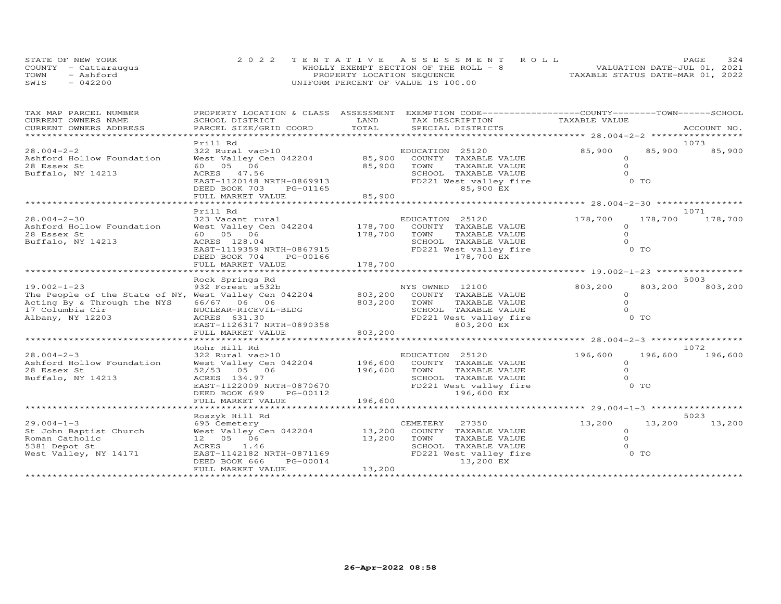|      | STATE OF NEW YORK    | 2022 TENTATIVE ASSESSMENT ROLL         | 324<br>PAGE                      |
|------|----------------------|----------------------------------------|----------------------------------|
|      | COUNTY - Cattaraugus | WHOLLY EXEMPT SECTION OF THE ROLL $-8$ | VALUATION DATE-JUL 01, 2021      |
| TOWN | - Ashford            | PROPERTY LOCATION SEQUENCE             | TAXABLE STATUS DATE-MAR 01, 2022 |
| SWIS | $-042200$            | UNIFORM PERCENT OF VALUE IS 100.00     |                                  |

| TOTAL<br>PARCEL SIZE/GRID COORD<br>CURRENT OWNERS ADDRESS<br>******************************<br>Prill Rd<br>1073<br>85,900<br>85,900<br>$28.004 - 2 - 2$<br>85,900<br>322 Rural vac>10<br>EDUCATION 25120<br>Ashford Hollow Foundation<br>West Valley Cen 042204<br>85,900 COUNTY TAXABLE VALUE<br>$\circ$<br>28 Essex St<br>60  05  06<br>TAXABLE VALUE<br>$\Omega$<br>85,900 TOWN<br>SCHOOL TAXABLE VALUE<br>$\Omega$<br>Buffalo, NY 14213<br>ACRES 47.56<br>$0$ TO<br>EAST-1120148 NRTH-0869913<br>FD221 West valley fire<br>85,900 EX<br>DEED BOOK 703<br>PG-01165<br>85,900<br>FULL MARKET VALUE<br>*************<br>Prill Rd<br>1071<br>$28.004 - 2 - 30$<br>178,700<br>178,700<br>178,700<br>Ashford Hollow Foundation<br>$\Omega$<br>28 Essex St<br>60  05  06<br>178,700<br>TOWN<br>TAXABLE VALUE<br>$\Omega$<br>Buffalo, NY 14213<br>ACRES 128.04<br>SCHOOL TAXABLE VALUE<br>$\Omega$<br>0 <sub>T</sub><br>EAST-1119359 NRTH-0867915<br>FD221 West valley fire<br>178,700 EX<br>DEED BOOK 704<br>PG-00166<br>178,700<br>FULL MARKET VALUE<br>5003<br>Rock Springs Rd<br>$19.002 - 1 - 23$<br>932 Forest s532b<br>NYS OWNED 12100<br>803,200<br>803,200<br>803,200<br>803,200 COUNTY TAXABLE VALUE<br>The People of the State of NY, West Valley Cen 042204<br>$\circ$<br>$\circ$<br>Acting By & Through the NYS<br>66/67 06 06<br>803,200 TOWN<br>TAXABLE VALUE<br>SCHOOL TAXABLE VALUE<br>$\Omega$<br>NUCLEAR-RICEVIL-BLDG<br>0 TO<br>ACRES 631.30<br>FD221 West valley fire<br>803,200 EX<br>EAST-1126317 NRTH-0890358<br>803,200<br>FULL MARKET VALUE<br>1072<br>Rohr Hill Rd<br>$28.004 - 2 - 3$<br>196,600<br>196,600<br>196,600<br>Ashford Hollow Foundation<br>$\Omega$<br>28 Essex St<br>196,600 TOWN<br>$\circ$<br>52/53 05 06<br>TAXABLE VALUE<br>$\Omega$<br>Buffalo, NY 14213<br>SCHOOL TAXABLE VALUE<br>ACRES 134.97<br>0 <sub>T</sub><br>FD221 West valley fire<br>EAST-1122009 NRTH-0870670<br>DEED BOOK 699<br>PG-00112<br>196,600 EX<br>196,600<br>FULL MARKET VALUE<br>Roszyk Hill Rd<br>5023<br>13,200<br>13,200<br>695 Cemetery<br>CEMETERY 27350<br>13,200<br>West Valley Cen 042204 13,200 COUNTY TAXABLE VALUE<br>$\circ$<br>12  05  06<br>13,200<br>TOWN<br>TAXABLE VALUE<br>$\circ$<br>SCHOOL TAXABLE VALUE<br>ACRES 1.46<br>$\Omega$<br>EAST-1142182 NRTH-0871169<br>$0$ TO<br>West Valley, NY 14171<br>FD221 West valley fire<br>DEED BOOK 666<br>PG-00014<br>13,200 EX<br>13,200<br>FULL MARKET VALUE | TAX MAP PARCEL NUMBER  |                 |      | PROPERTY LOCATION & CLASS ASSESSMENT EXEMPTION CODE----------------COUNTY-------TOWN------SCHOOL |               |  |
|--------------------------------------------------------------------------------------------------------------------------------------------------------------------------------------------------------------------------------------------------------------------------------------------------------------------------------------------------------------------------------------------------------------------------------------------------------------------------------------------------------------------------------------------------------------------------------------------------------------------------------------------------------------------------------------------------------------------------------------------------------------------------------------------------------------------------------------------------------------------------------------------------------------------------------------------------------------------------------------------------------------------------------------------------------------------------------------------------------------------------------------------------------------------------------------------------------------------------------------------------------------------------------------------------------------------------------------------------------------------------------------------------------------------------------------------------------------------------------------------------------------------------------------------------------------------------------------------------------------------------------------------------------------------------------------------------------------------------------------------------------------------------------------------------------------------------------------------------------------------------------------------------------------------------------------------------------------------------------------------------------------------------------------------------------------------------------------------------------------------------------------------------------------------------------------------------------------------------------------------------------------------------------------------------------------------------------------------------------------------------------------------------------------------------------------------|------------------------|-----------------|------|--------------------------------------------------------------------------------------------------|---------------|--|
|                                                                                                                                                                                                                                                                                                                                                                                                                                                                                                                                                                                                                                                                                                                                                                                                                                                                                                                                                                                                                                                                                                                                                                                                                                                                                                                                                                                                                                                                                                                                                                                                                                                                                                                                                                                                                                                                                                                                                                                                                                                                                                                                                                                                                                                                                                                                                                                                                                            | CURRENT OWNERS NAME    | SCHOOL DISTRICT | LAND | TAX DESCRIPTION                                                                                  | TAXABLE VALUE |  |
|                                                                                                                                                                                                                                                                                                                                                                                                                                                                                                                                                                                                                                                                                                                                                                                                                                                                                                                                                                                                                                                                                                                                                                                                                                                                                                                                                                                                                                                                                                                                                                                                                                                                                                                                                                                                                                                                                                                                                                                                                                                                                                                                                                                                                                                                                                                                                                                                                                            |                        |                 |      |                                                                                                  |               |  |
|                                                                                                                                                                                                                                                                                                                                                                                                                                                                                                                                                                                                                                                                                                                                                                                                                                                                                                                                                                                                                                                                                                                                                                                                                                                                                                                                                                                                                                                                                                                                                                                                                                                                                                                                                                                                                                                                                                                                                                                                                                                                                                                                                                                                                                                                                                                                                                                                                                            |                        |                 |      |                                                                                                  |               |  |
|                                                                                                                                                                                                                                                                                                                                                                                                                                                                                                                                                                                                                                                                                                                                                                                                                                                                                                                                                                                                                                                                                                                                                                                                                                                                                                                                                                                                                                                                                                                                                                                                                                                                                                                                                                                                                                                                                                                                                                                                                                                                                                                                                                                                                                                                                                                                                                                                                                            |                        |                 |      |                                                                                                  |               |  |
|                                                                                                                                                                                                                                                                                                                                                                                                                                                                                                                                                                                                                                                                                                                                                                                                                                                                                                                                                                                                                                                                                                                                                                                                                                                                                                                                                                                                                                                                                                                                                                                                                                                                                                                                                                                                                                                                                                                                                                                                                                                                                                                                                                                                                                                                                                                                                                                                                                            |                        |                 |      |                                                                                                  |               |  |
|                                                                                                                                                                                                                                                                                                                                                                                                                                                                                                                                                                                                                                                                                                                                                                                                                                                                                                                                                                                                                                                                                                                                                                                                                                                                                                                                                                                                                                                                                                                                                                                                                                                                                                                                                                                                                                                                                                                                                                                                                                                                                                                                                                                                                                                                                                                                                                                                                                            |                        |                 |      |                                                                                                  |               |  |
|                                                                                                                                                                                                                                                                                                                                                                                                                                                                                                                                                                                                                                                                                                                                                                                                                                                                                                                                                                                                                                                                                                                                                                                                                                                                                                                                                                                                                                                                                                                                                                                                                                                                                                                                                                                                                                                                                                                                                                                                                                                                                                                                                                                                                                                                                                                                                                                                                                            |                        |                 |      |                                                                                                  |               |  |
|                                                                                                                                                                                                                                                                                                                                                                                                                                                                                                                                                                                                                                                                                                                                                                                                                                                                                                                                                                                                                                                                                                                                                                                                                                                                                                                                                                                                                                                                                                                                                                                                                                                                                                                                                                                                                                                                                                                                                                                                                                                                                                                                                                                                                                                                                                                                                                                                                                            |                        |                 |      |                                                                                                  |               |  |
|                                                                                                                                                                                                                                                                                                                                                                                                                                                                                                                                                                                                                                                                                                                                                                                                                                                                                                                                                                                                                                                                                                                                                                                                                                                                                                                                                                                                                                                                                                                                                                                                                                                                                                                                                                                                                                                                                                                                                                                                                                                                                                                                                                                                                                                                                                                                                                                                                                            |                        |                 |      |                                                                                                  |               |  |
|                                                                                                                                                                                                                                                                                                                                                                                                                                                                                                                                                                                                                                                                                                                                                                                                                                                                                                                                                                                                                                                                                                                                                                                                                                                                                                                                                                                                                                                                                                                                                                                                                                                                                                                                                                                                                                                                                                                                                                                                                                                                                                                                                                                                                                                                                                                                                                                                                                            |                        |                 |      |                                                                                                  |               |  |
|                                                                                                                                                                                                                                                                                                                                                                                                                                                                                                                                                                                                                                                                                                                                                                                                                                                                                                                                                                                                                                                                                                                                                                                                                                                                                                                                                                                                                                                                                                                                                                                                                                                                                                                                                                                                                                                                                                                                                                                                                                                                                                                                                                                                                                                                                                                                                                                                                                            |                        |                 |      |                                                                                                  |               |  |
|                                                                                                                                                                                                                                                                                                                                                                                                                                                                                                                                                                                                                                                                                                                                                                                                                                                                                                                                                                                                                                                                                                                                                                                                                                                                                                                                                                                                                                                                                                                                                                                                                                                                                                                                                                                                                                                                                                                                                                                                                                                                                                                                                                                                                                                                                                                                                                                                                                            |                        |                 |      |                                                                                                  |               |  |
|                                                                                                                                                                                                                                                                                                                                                                                                                                                                                                                                                                                                                                                                                                                                                                                                                                                                                                                                                                                                                                                                                                                                                                                                                                                                                                                                                                                                                                                                                                                                                                                                                                                                                                                                                                                                                                                                                                                                                                                                                                                                                                                                                                                                                                                                                                                                                                                                                                            |                        |                 |      |                                                                                                  |               |  |
|                                                                                                                                                                                                                                                                                                                                                                                                                                                                                                                                                                                                                                                                                                                                                                                                                                                                                                                                                                                                                                                                                                                                                                                                                                                                                                                                                                                                                                                                                                                                                                                                                                                                                                                                                                                                                                                                                                                                                                                                                                                                                                                                                                                                                                                                                                                                                                                                                                            |                        |                 |      |                                                                                                  |               |  |
|                                                                                                                                                                                                                                                                                                                                                                                                                                                                                                                                                                                                                                                                                                                                                                                                                                                                                                                                                                                                                                                                                                                                                                                                                                                                                                                                                                                                                                                                                                                                                                                                                                                                                                                                                                                                                                                                                                                                                                                                                                                                                                                                                                                                                                                                                                                                                                                                                                            |                        |                 |      |                                                                                                  |               |  |
|                                                                                                                                                                                                                                                                                                                                                                                                                                                                                                                                                                                                                                                                                                                                                                                                                                                                                                                                                                                                                                                                                                                                                                                                                                                                                                                                                                                                                                                                                                                                                                                                                                                                                                                                                                                                                                                                                                                                                                                                                                                                                                                                                                                                                                                                                                                                                                                                                                            |                        |                 |      |                                                                                                  |               |  |
|                                                                                                                                                                                                                                                                                                                                                                                                                                                                                                                                                                                                                                                                                                                                                                                                                                                                                                                                                                                                                                                                                                                                                                                                                                                                                                                                                                                                                                                                                                                                                                                                                                                                                                                                                                                                                                                                                                                                                                                                                                                                                                                                                                                                                                                                                                                                                                                                                                            |                        |                 |      |                                                                                                  |               |  |
|                                                                                                                                                                                                                                                                                                                                                                                                                                                                                                                                                                                                                                                                                                                                                                                                                                                                                                                                                                                                                                                                                                                                                                                                                                                                                                                                                                                                                                                                                                                                                                                                                                                                                                                                                                                                                                                                                                                                                                                                                                                                                                                                                                                                                                                                                                                                                                                                                                            |                        |                 |      |                                                                                                  |               |  |
|                                                                                                                                                                                                                                                                                                                                                                                                                                                                                                                                                                                                                                                                                                                                                                                                                                                                                                                                                                                                                                                                                                                                                                                                                                                                                                                                                                                                                                                                                                                                                                                                                                                                                                                                                                                                                                                                                                                                                                                                                                                                                                                                                                                                                                                                                                                                                                                                                                            |                        |                 |      |                                                                                                  |               |  |
|                                                                                                                                                                                                                                                                                                                                                                                                                                                                                                                                                                                                                                                                                                                                                                                                                                                                                                                                                                                                                                                                                                                                                                                                                                                                                                                                                                                                                                                                                                                                                                                                                                                                                                                                                                                                                                                                                                                                                                                                                                                                                                                                                                                                                                                                                                                                                                                                                                            |                        |                 |      |                                                                                                  |               |  |
|                                                                                                                                                                                                                                                                                                                                                                                                                                                                                                                                                                                                                                                                                                                                                                                                                                                                                                                                                                                                                                                                                                                                                                                                                                                                                                                                                                                                                                                                                                                                                                                                                                                                                                                                                                                                                                                                                                                                                                                                                                                                                                                                                                                                                                                                                                                                                                                                                                            |                        |                 |      |                                                                                                  |               |  |
|                                                                                                                                                                                                                                                                                                                                                                                                                                                                                                                                                                                                                                                                                                                                                                                                                                                                                                                                                                                                                                                                                                                                                                                                                                                                                                                                                                                                                                                                                                                                                                                                                                                                                                                                                                                                                                                                                                                                                                                                                                                                                                                                                                                                                                                                                                                                                                                                                                            |                        |                 |      |                                                                                                  |               |  |
|                                                                                                                                                                                                                                                                                                                                                                                                                                                                                                                                                                                                                                                                                                                                                                                                                                                                                                                                                                                                                                                                                                                                                                                                                                                                                                                                                                                                                                                                                                                                                                                                                                                                                                                                                                                                                                                                                                                                                                                                                                                                                                                                                                                                                                                                                                                                                                                                                                            |                        |                 |      |                                                                                                  |               |  |
|                                                                                                                                                                                                                                                                                                                                                                                                                                                                                                                                                                                                                                                                                                                                                                                                                                                                                                                                                                                                                                                                                                                                                                                                                                                                                                                                                                                                                                                                                                                                                                                                                                                                                                                                                                                                                                                                                                                                                                                                                                                                                                                                                                                                                                                                                                                                                                                                                                            | 17 Columbia Cir        |                 |      |                                                                                                  |               |  |
|                                                                                                                                                                                                                                                                                                                                                                                                                                                                                                                                                                                                                                                                                                                                                                                                                                                                                                                                                                                                                                                                                                                                                                                                                                                                                                                                                                                                                                                                                                                                                                                                                                                                                                                                                                                                                                                                                                                                                                                                                                                                                                                                                                                                                                                                                                                                                                                                                                            | Albany, NY 12203       |                 |      |                                                                                                  |               |  |
|                                                                                                                                                                                                                                                                                                                                                                                                                                                                                                                                                                                                                                                                                                                                                                                                                                                                                                                                                                                                                                                                                                                                                                                                                                                                                                                                                                                                                                                                                                                                                                                                                                                                                                                                                                                                                                                                                                                                                                                                                                                                                                                                                                                                                                                                                                                                                                                                                                            |                        |                 |      |                                                                                                  |               |  |
|                                                                                                                                                                                                                                                                                                                                                                                                                                                                                                                                                                                                                                                                                                                                                                                                                                                                                                                                                                                                                                                                                                                                                                                                                                                                                                                                                                                                                                                                                                                                                                                                                                                                                                                                                                                                                                                                                                                                                                                                                                                                                                                                                                                                                                                                                                                                                                                                                                            |                        |                 |      |                                                                                                  |               |  |
|                                                                                                                                                                                                                                                                                                                                                                                                                                                                                                                                                                                                                                                                                                                                                                                                                                                                                                                                                                                                                                                                                                                                                                                                                                                                                                                                                                                                                                                                                                                                                                                                                                                                                                                                                                                                                                                                                                                                                                                                                                                                                                                                                                                                                                                                                                                                                                                                                                            |                        |                 |      |                                                                                                  |               |  |
|                                                                                                                                                                                                                                                                                                                                                                                                                                                                                                                                                                                                                                                                                                                                                                                                                                                                                                                                                                                                                                                                                                                                                                                                                                                                                                                                                                                                                                                                                                                                                                                                                                                                                                                                                                                                                                                                                                                                                                                                                                                                                                                                                                                                                                                                                                                                                                                                                                            |                        |                 |      |                                                                                                  |               |  |
|                                                                                                                                                                                                                                                                                                                                                                                                                                                                                                                                                                                                                                                                                                                                                                                                                                                                                                                                                                                                                                                                                                                                                                                                                                                                                                                                                                                                                                                                                                                                                                                                                                                                                                                                                                                                                                                                                                                                                                                                                                                                                                                                                                                                                                                                                                                                                                                                                                            |                        |                 |      |                                                                                                  |               |  |
|                                                                                                                                                                                                                                                                                                                                                                                                                                                                                                                                                                                                                                                                                                                                                                                                                                                                                                                                                                                                                                                                                                                                                                                                                                                                                                                                                                                                                                                                                                                                                                                                                                                                                                                                                                                                                                                                                                                                                                                                                                                                                                                                                                                                                                                                                                                                                                                                                                            |                        |                 |      |                                                                                                  |               |  |
|                                                                                                                                                                                                                                                                                                                                                                                                                                                                                                                                                                                                                                                                                                                                                                                                                                                                                                                                                                                                                                                                                                                                                                                                                                                                                                                                                                                                                                                                                                                                                                                                                                                                                                                                                                                                                                                                                                                                                                                                                                                                                                                                                                                                                                                                                                                                                                                                                                            |                        |                 |      |                                                                                                  |               |  |
|                                                                                                                                                                                                                                                                                                                                                                                                                                                                                                                                                                                                                                                                                                                                                                                                                                                                                                                                                                                                                                                                                                                                                                                                                                                                                                                                                                                                                                                                                                                                                                                                                                                                                                                                                                                                                                                                                                                                                                                                                                                                                                                                                                                                                                                                                                                                                                                                                                            |                        |                 |      |                                                                                                  |               |  |
|                                                                                                                                                                                                                                                                                                                                                                                                                                                                                                                                                                                                                                                                                                                                                                                                                                                                                                                                                                                                                                                                                                                                                                                                                                                                                                                                                                                                                                                                                                                                                                                                                                                                                                                                                                                                                                                                                                                                                                                                                                                                                                                                                                                                                                                                                                                                                                                                                                            |                        |                 |      |                                                                                                  |               |  |
|                                                                                                                                                                                                                                                                                                                                                                                                                                                                                                                                                                                                                                                                                                                                                                                                                                                                                                                                                                                                                                                                                                                                                                                                                                                                                                                                                                                                                                                                                                                                                                                                                                                                                                                                                                                                                                                                                                                                                                                                                                                                                                                                                                                                                                                                                                                                                                                                                                            |                        |                 |      |                                                                                                  |               |  |
|                                                                                                                                                                                                                                                                                                                                                                                                                                                                                                                                                                                                                                                                                                                                                                                                                                                                                                                                                                                                                                                                                                                                                                                                                                                                                                                                                                                                                                                                                                                                                                                                                                                                                                                                                                                                                                                                                                                                                                                                                                                                                                                                                                                                                                                                                                                                                                                                                                            |                        |                 |      |                                                                                                  |               |  |
|                                                                                                                                                                                                                                                                                                                                                                                                                                                                                                                                                                                                                                                                                                                                                                                                                                                                                                                                                                                                                                                                                                                                                                                                                                                                                                                                                                                                                                                                                                                                                                                                                                                                                                                                                                                                                                                                                                                                                                                                                                                                                                                                                                                                                                                                                                                                                                                                                                            |                        |                 |      |                                                                                                  |               |  |
|                                                                                                                                                                                                                                                                                                                                                                                                                                                                                                                                                                                                                                                                                                                                                                                                                                                                                                                                                                                                                                                                                                                                                                                                                                                                                                                                                                                                                                                                                                                                                                                                                                                                                                                                                                                                                                                                                                                                                                                                                                                                                                                                                                                                                                                                                                                                                                                                                                            | $29.004 - 1 - 3$       |                 |      |                                                                                                  |               |  |
|                                                                                                                                                                                                                                                                                                                                                                                                                                                                                                                                                                                                                                                                                                                                                                                                                                                                                                                                                                                                                                                                                                                                                                                                                                                                                                                                                                                                                                                                                                                                                                                                                                                                                                                                                                                                                                                                                                                                                                                                                                                                                                                                                                                                                                                                                                                                                                                                                                            | St John Baptist Church |                 |      |                                                                                                  |               |  |
|                                                                                                                                                                                                                                                                                                                                                                                                                                                                                                                                                                                                                                                                                                                                                                                                                                                                                                                                                                                                                                                                                                                                                                                                                                                                                                                                                                                                                                                                                                                                                                                                                                                                                                                                                                                                                                                                                                                                                                                                                                                                                                                                                                                                                                                                                                                                                                                                                                            | Roman Catholic         |                 |      |                                                                                                  |               |  |
|                                                                                                                                                                                                                                                                                                                                                                                                                                                                                                                                                                                                                                                                                                                                                                                                                                                                                                                                                                                                                                                                                                                                                                                                                                                                                                                                                                                                                                                                                                                                                                                                                                                                                                                                                                                                                                                                                                                                                                                                                                                                                                                                                                                                                                                                                                                                                                                                                                            | 5381 Depot St          |                 |      |                                                                                                  |               |  |
|                                                                                                                                                                                                                                                                                                                                                                                                                                                                                                                                                                                                                                                                                                                                                                                                                                                                                                                                                                                                                                                                                                                                                                                                                                                                                                                                                                                                                                                                                                                                                                                                                                                                                                                                                                                                                                                                                                                                                                                                                                                                                                                                                                                                                                                                                                                                                                                                                                            |                        |                 |      |                                                                                                  |               |  |
|                                                                                                                                                                                                                                                                                                                                                                                                                                                                                                                                                                                                                                                                                                                                                                                                                                                                                                                                                                                                                                                                                                                                                                                                                                                                                                                                                                                                                                                                                                                                                                                                                                                                                                                                                                                                                                                                                                                                                                                                                                                                                                                                                                                                                                                                                                                                                                                                                                            |                        |                 |      |                                                                                                  |               |  |
|                                                                                                                                                                                                                                                                                                                                                                                                                                                                                                                                                                                                                                                                                                                                                                                                                                                                                                                                                                                                                                                                                                                                                                                                                                                                                                                                                                                                                                                                                                                                                                                                                                                                                                                                                                                                                                                                                                                                                                                                                                                                                                                                                                                                                                                                                                                                                                                                                                            |                        |                 |      |                                                                                                  |               |  |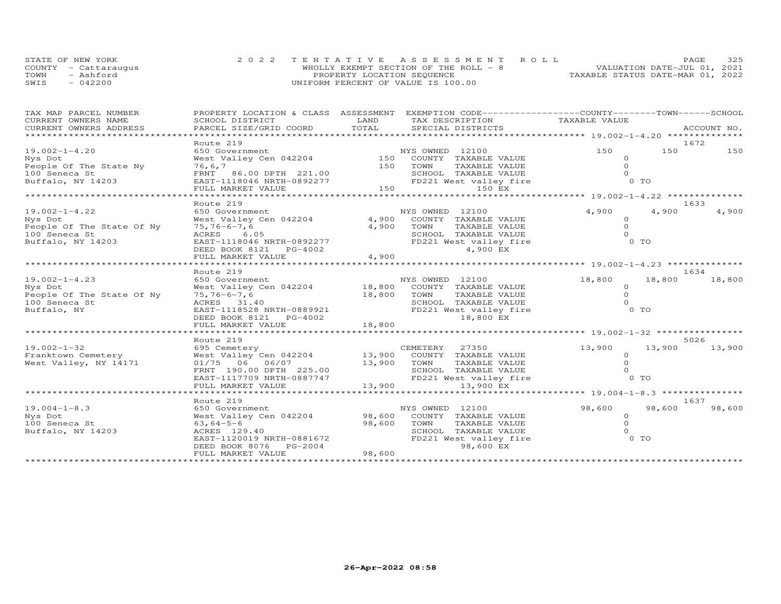|      | STATE OF NEW YORK    |                                    | 2022 TENTATIVE ASSESSMENT ROLL        | PAGE                             | 325 |
|------|----------------------|------------------------------------|---------------------------------------|----------------------------------|-----|
|      | COUNTY - Cattaraugus |                                    | WHOLLY EXEMPT SECTION OF THE ROLL - 8 | VALUATION DATE-JUL 01, 2021      |     |
| TOWN | - Ashford            | PROPERTY LOCATION SEQUENCE         |                                       | TAXABLE STATUS DATE-MAR 01, 2022 |     |
| SWIS | $-042200$            | UNIFORM PERCENT OF VALUE IS 100.00 |                                       |                                  |     |

| TAX MAP PARCEL NUMBER<br>CURRENT OWNERS NAME                                                      | SCHOOL DISTRICT                                                                                                                                                                                          | LAND                            | PROPERTY LOCATION & CLASS ASSESSMENT EXEMPTION CODE----------------COUNTY-------TOWN------SCHOOL<br>TAX DESCRIPTION                          | TAXABLE VALUE                                        |        |                |
|---------------------------------------------------------------------------------------------------|----------------------------------------------------------------------------------------------------------------------------------------------------------------------------------------------------------|---------------------------------|----------------------------------------------------------------------------------------------------------------------------------------------|------------------------------------------------------|--------|----------------|
| CURRENT OWNERS ADDRESS<br>****************************                                            | PARCEL SIZE/GRID COORD                                                                                                                                                                                   | TOTAL                           | SPECIAL DISTRICTS                                                                                                                            |                                                      |        | ACCOUNT NO.    |
|                                                                                                   | Route 219                                                                                                                                                                                                |                                 |                                                                                                                                              |                                                      |        | 1672           |
| $19.002 - 1 - 4.20$<br>Nys Dot<br>People Of The State Ny<br>100 Seneca St<br>Buffalo, NY 14203    | 650 Government<br>West Valley Cen 042204 150 COUNTY TAXABLE VALUE<br>76,6,7<br>FRNT 86.00 DPTH 221.00                                                                                                    |                                 | NYS OWNED 12100<br>150 TOWN<br>TAXABLE VALUE                                                                                                 | 150<br>$\Omega$<br>$\Omega$                          | 150    | 150            |
|                                                                                                   | Route 219                                                                                                                                                                                                |                                 |                                                                                                                                              |                                                      |        | 1633           |
| $19.002 - 1 - 4.22$<br>Nys Dot<br>People Of The State Of Ny<br>100 Seneca St<br>Buffalo, NY 14203 | 650 Government<br>West Valley Cen 042204<br>$75, 76 - 6 - 7, 6$<br>ACRES 6.05<br>EAST-1118046 NRTH-0892277<br>FULL MARKET VALUE                                                                          | 4,900<br>4,900<br>4,900         | NYS OWNED 12100<br>COUNTY TAXABLE VALUE<br>TOWN<br>TAXABLE VALUE<br>SCHOOL TAXABLE VALUE<br>FD221 West valley fire<br>4,900 EX               | 4,900<br>$\circ$<br>$\circ$<br>$\Omega$<br>$0$ TO    | 4,900  | 4,900          |
|                                                                                                   | Route 219                                                                                                                                                                                                |                                 |                                                                                                                                              |                                                      |        | 1634           |
| $19.002 - 1 - 4.23$<br>Nys Dot<br>People Of The State Of Ny<br>100 Seneca St<br>Buffalo, NY       | 650 Government<br>West Valley Cen 042204 18,800 COUNTY TAXABLE VALUE<br>$75, 76 - 6 - 7, 6$<br>ACRES 31.40<br>EAST-1118528 NRTH-0889921<br>DEED BOOK 8121    PG-4002                                     | 18,800 TOWN                     | NYS OWNED 12100<br>TAXABLE VALUE<br>SCHOOL TAXABLE VALUE<br>FD221 West valley fire<br>18,800 EX                                              | 18,800<br>$\circ$<br>$\circ$<br>$\Omega$<br>0 TO     | 18,800 | 18,800         |
|                                                                                                   | FULL MARKET VALUE<br>************************                                                                                                                                                            | 18,800                          |                                                                                                                                              |                                                      |        |                |
| $19.002 - 1 - 32$<br>Franktown Cemetery<br>West Valley, NY 14171                                  | Route 219<br>695 Cemetery<br>West Valley Cen 042204<br>01/75 06 06/07<br>FRNT 190.00 DPTH 225.00<br>EAST-1117709 NRTH-0887747<br>FULL MARKET VALUE                                                       | 13,900                          | CEMETERY 27350<br>13,900 COUNTY TAXABLE VALUE<br>13,900 TOWN<br>TAXABLE VALUE<br>SCHOOL TAXABLE VALUE<br>FD221 West valley fire<br>13,900 EX | 13,900<br>$\circ$<br>$\Omega$<br>$\Omega$<br>$0$ TO  | 13,900 | 5026<br>13,900 |
|                                                                                                   |                                                                                                                                                                                                          |                                 |                                                                                                                                              |                                                      |        |                |
| $19.004 - 1 - 8.3$<br>Nys Dot<br>100 Seneca St<br>Buffalo, NY 14203                               | Route 219<br>650 Government<br>West Valley Cen 042204<br>$63,64-5-6$<br>ACRES 129.40<br>EAST-1120019 NRTH-0881672<br>DEED BOOK 8076 PG-2004<br>FULL MARKET VALUE<br>************************************ | 98,600<br>98,600 TOWN<br>98,600 | NYS OWNED 12100<br>COUNTY TAXABLE VALUE<br>TAXABLE VALUE<br>SCHOOL TAXABLE VALUE<br>FD221 West valley fire<br>98,600 EX                      | 98,600<br>$\Omega$<br>$\Omega$<br>$\Omega$<br>$0$ TO | 98,600 | 1637<br>98,600 |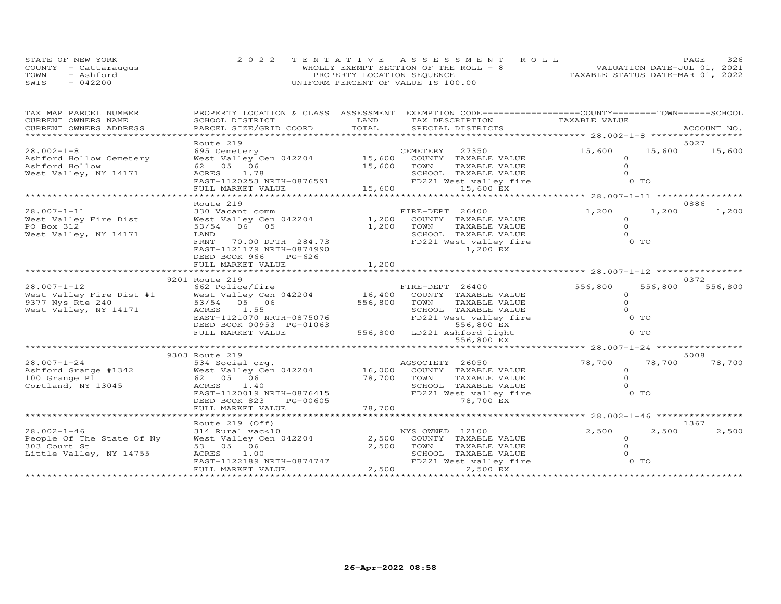| STATE OF NEW YORK |                      | 2022 TENTATIVE ASSESSMENT ROLL         |  |                                  | <b>PAGE</b> | 326 |
|-------------------|----------------------|----------------------------------------|--|----------------------------------|-------------|-----|
|                   | COUNTY - Cattaraugus | WHOLLY EXEMPT SECTION OF THE ROLL $-8$ |  | VALUATION DATE-JUL 01, 2021      |             |     |
| TOWN              | - Ashford            | PROPERTY LOCATION SEQUENCE             |  | TAXABLE STATUS DATE-MAR 01, 2022 |             |     |
| SWIS              | $-042200$            | UNIFORM PERCENT OF VALUE IS 100.00     |  |                                  |             |     |

| TAX MAP PARCEL NUMBER                         |                                                                                                                                                       |               | PROPERTY LOCATION & CLASS ASSESSMENT EXEMPTION CODE----------------COUNTY-------TOWN------SCHOOL |                                                   |                |             |
|-----------------------------------------------|-------------------------------------------------------------------------------------------------------------------------------------------------------|---------------|--------------------------------------------------------------------------------------------------|---------------------------------------------------|----------------|-------------|
| CURRENT OWNERS NAME<br>CURRENT OWNERS ADDRESS | SCHOOL DISTRICT<br>PARCEL SIZE/GRID COORD                                                                                                             | LAND<br>TOTAL | TAX DESCRIPTION<br>SPECIAL DISTRICTS                                                             | TAXABLE VALUE                                     |                | ACCOUNT NO. |
| *************************                     |                                                                                                                                                       |               |                                                                                                  |                                                   |                |             |
|                                               | Route 219                                                                                                                                             |               |                                                                                                  |                                                   |                | 5027        |
| $28.002 - 1 - 8$                              | 695 Cemetery                                                                                                                                          |               | CEMETERY 27350                                                                                   | 15,600                                            | 15,600         | 15,600      |
| Ashford Hollow Cemetery                       | West Valley Cen 042204                                                                                                                                |               | 15,600 COUNTY TAXABLE VALUE                                                                      | $\circ$                                           |                |             |
| Ashford Hollow                                | 62 05 06                                                                                                                                              | 15,600        | TOWN<br>TAXABLE VALUE                                                                            | $\Omega$                                          |                |             |
| West Valley, NY 14171                         | ACRES 1.78                                                                                                                                            |               |                                                                                                  | $\Omega$                                          |                |             |
|                                               | EAST-1120253 NRTH-0876591                                                                                                                             |               | SUNUL TAXABLE VALUE<br>FD221 West valley fire                                                    | 0 TO                                              |                |             |
|                                               | FULL MARKET VALUE                                                                                                                                     | 15,600        | 15,600 EX                                                                                        |                                                   |                |             |
|                                               |                                                                                                                                                       |               |                                                                                                  |                                                   |                |             |
|                                               | Route 219                                                                                                                                             |               |                                                                                                  |                                                   |                | 0886        |
| $28.007 - 1 - 11$                             | 330 Vacant comm                                                                                                                                       |               | FIRE-DEPT 26400                                                                                  | 1,200                                             | 1,200          | 1,200       |
| West Valley Fire Dist                         | West Valley Cen 042204                                                                                                                                | 1,200         | COUNTY TAXABLE VALUE                                                                             | $\circ$                                           |                |             |
| PO Box 312                                    | 53/54 06 05                                                                                                                                           | 1,200         | TOWN<br>TAXABLE VALUE                                                                            | $\Omega$                                          |                |             |
| West Valley, NY 14171                         | LAND                                                                                                                                                  |               | SCHOOL TAXABLE VALUE                                                                             | $\Omega$                                          |                |             |
|                                               | FRNT<br>70.00 DPTH 284.73                                                                                                                             |               | FD221 West valley fire                                                                           | 0 TO                                              |                |             |
|                                               | EAST-1121179 NRTH-0874990                                                                                                                             |               | 1,200 EX                                                                                         |                                                   |                |             |
|                                               | DEED BOOK 966<br>PG-626                                                                                                                               |               |                                                                                                  |                                                   |                |             |
|                                               | FULL MARKET VALUE                                                                                                                                     | 1,200         |                                                                                                  |                                                   |                |             |
|                                               |                                                                                                                                                       |               |                                                                                                  |                                                   |                | 0.372       |
| $28.007 - 1 - 12$                             | 9201 Route 219                                                                                                                                        |               |                                                                                                  |                                                   |                |             |
|                                               | 662 Police/fire<br>28.007-1-12<br>West Valley Fire Dist #1 West Valley Cen 042204<br>9377 Nys Rte 240 53/54 05 06<br>West Valley, NY 14171 ACRES 1.55 |               | FIRE-DEPT 26400<br>16,400 COUNTY TAXABLE VALUE                                                   | 556,800<br>$\Omega$                               | 556,800        | 556,800     |
|                                               |                                                                                                                                                       | 556,800       | TOWN<br>TAXABLE VALUE                                                                            | $\Omega$                                          |                |             |
| West Valley, NY 14171                         | ACRES 1.55                                                                                                                                            |               | SCHOOL TAXABLE VALUE                                                                             | $\Omega$                                          |                |             |
|                                               | EAST-1121070 NRTH-0875076                                                                                                                             |               | FD221 West valley fire                                                                           | $0$ TO                                            |                |             |
|                                               | DEED BOOK 00953 PG-01063                                                                                                                              |               | 556,800 EX                                                                                       |                                                   |                |             |
|                                               | FULL MARKET VALUE                                                                                                                                     |               | 556,800 LD221 Ashford light                                                                      |                                                   | 0 <sub>T</sub> |             |
|                                               |                                                                                                                                                       |               | 556,800 EX                                                                                       |                                                   |                |             |
|                                               |                                                                                                                                                       |               |                                                                                                  | ******************** 28.007-1-24 **************** |                |             |
|                                               | 9303 Route 219                                                                                                                                        |               |                                                                                                  |                                                   |                | 5008        |
| $28.007 - 1 - 24$                             | 534 Social org.                                                                                                                                       |               | AGSOCIETY 26050                                                                                  | 78,700                                            | 78,700         | 78,700      |
|                                               | Ashford Grange #1342 West Valley Cen 042204                                                                                                           |               | 16,000 COUNTY TAXABLE VALUE                                                                      | $\circ$                                           |                |             |
| 100 Grange Pl                                 | 62 05 06                                                                                                                                              | 78,700        | TOWN<br>TAXABLE VALUE                                                                            | $\Omega$                                          |                |             |
| Cortland, NY 13045                            | ACRES<br>1.40                                                                                                                                         |               | SCHOOL TAXABLE VALUE                                                                             | $\Omega$                                          |                |             |
|                                               | EAST-1120019 NRTH-0876415                                                                                                                             |               | FD221 West valley fire                                                                           | $0$ TO                                            |                |             |
|                                               | DEED BOOK 823<br>PG-00605                                                                                                                             |               | 78,700 EX                                                                                        |                                                   |                |             |
|                                               | FULL MARKET VALUE                                                                                                                                     | 78,700        |                                                                                                  |                                                   |                |             |
|                                               |                                                                                                                                                       |               |                                                                                                  |                                                   |                |             |
|                                               | Route 219 (Off)                                                                                                                                       |               |                                                                                                  |                                                   |                | 1367        |
| $28.002 - 1 - 46$                             | 314 Rural vac<10                                                                                                                                      |               | NYS OWNED 12100                                                                                  | 2,500                                             | 2,500          | 2,500       |
| People Of The State Of Ny                     | West Valley Cen 042204                                                                                                                                | 2,500         | COUNTY TAXABLE VALUE                                                                             | $\circ$                                           |                |             |
| 303 Court St                                  | 53 05 06                                                                                                                                              | 2,500         | TAXABLE VALUE<br>TOWN                                                                            | $\Omega$                                          |                |             |
| Little Valley, NY 14755                       | ACRES 1.00                                                                                                                                            |               | SCHOOL TAXABLE VALUE                                                                             | $\Omega$                                          |                |             |
|                                               | EAST-1122189 NRTH-0874747                                                                                                                             |               | FD221 West valley fire                                                                           | 0 TO                                              |                |             |
|                                               | FULL MARKET VALUE                                                                                                                                     | 2,500         | 2,500 EX                                                                                         |                                                   |                |             |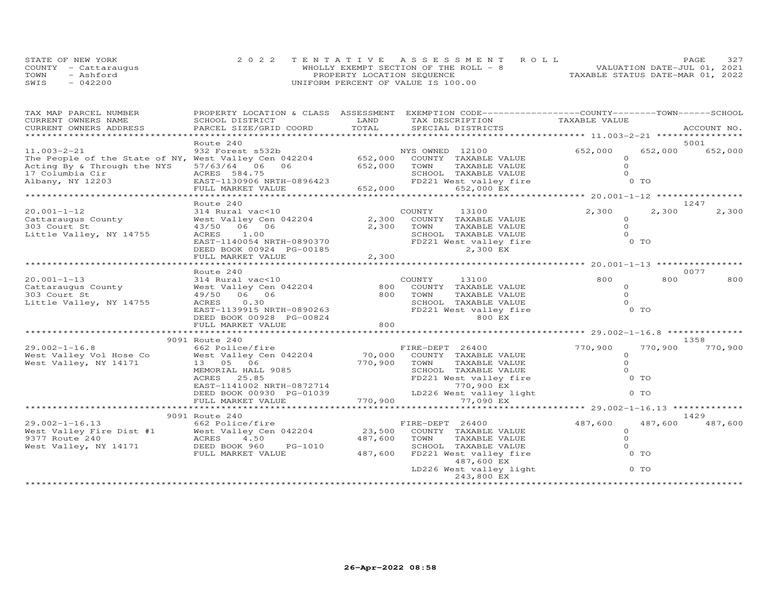| STATE OF NEW YORK    | 2022 TENTATIVE ASSESSMENT ROLL        | <b>PAGE</b>                      | 327 |
|----------------------|---------------------------------------|----------------------------------|-----|
| COUNTY - Cattaraugus | WHOLLY EXEMPT SECTION OF THE ROLL - 8 | VALUATION DATE-JUL 01, 2021      |     |
| TOWN<br>- Ashford    | PROPERTY LOCATION SEQUENCE            | TAXABLE STATUS DATE-MAR 01, 2022 |     |
| $-042200$<br>SWIS    | UNIFORM PERCENT OF VALUE IS 100.00    |                                  |     |

| TAX MAP PARCEL NUMBER<br>CURRENT OWNERS NAME          | PROPERTY LOCATION & CLASS ASSESSMENT<br>SCHOOL DISTRICT | LAND              | EXEMPTION CODE-----------------COUNTY-------TOWN------SCHOOL<br>TAX DESCRIPTION | TAXABLE VALUE                          |         |             |
|-------------------------------------------------------|---------------------------------------------------------|-------------------|---------------------------------------------------------------------------------|----------------------------------------|---------|-------------|
| CURRENT OWNERS ADDRESS                                | PARCEL SIZE/GRID COORD                                  | TOTAL             | SPECIAL DISTRICTS                                                               |                                        |         | ACCOUNT NO. |
|                                                       |                                                         |                   |                                                                                 |                                        |         |             |
|                                                       | Route 240                                               |                   |                                                                                 |                                        |         | 5001        |
| $11.003 - 2 - 21$                                     | 932 Forest s532b                                        |                   | NYS OWNED 12100                                                                 | 652,000                                | 652,000 | 652,000     |
| The People of the State of NY, West Valley Cen 042204 |                                                         | 652,000           | COUNTY TAXABLE VALUE                                                            | $\circ$<br>$\circ$                     |         |             |
| Acting By & Through the NYS<br>17 Columbia Cir        | 57/63/64<br>06 06<br>ACRES 584.75                       | 652,000           | TOWN<br>TAXABLE VALUE<br>SCHOOL TAXABLE VALUE                                   | $\Omega$                               |         |             |
| Albany, NY 12203                                      | EAST-1130906 NRTH-0896423                               |                   | FD221 West valley fire                                                          |                                        | $0$ TO  |             |
|                                                       | FULL MARKET VALUE                                       | 652,000           | 652,000 EX                                                                      |                                        |         |             |
|                                                       | <b>.</b>                                                |                   |                                                                                 | ***** 20.001-1-12 ****************     |         |             |
|                                                       | Route 240                                               |                   |                                                                                 |                                        |         | 1247        |
| $20.001 - 1 - 12$                                     | 314 Rural vac<10                                        |                   | COUNTY<br>13100                                                                 | 2,300                                  | 2,300   | 2,300       |
| Cattaraugus County                                    | West Valley Cen 042204                                  | 2,300             | COUNTY TAXABLE VALUE                                                            | $\circ$                                |         |             |
| 303 Court St                                          | 43/50 06 06                                             | 2,300             | TOWN<br>TAXABLE VALUE                                                           | $\Omega$                               |         |             |
| Little Valley, NY 14755                               | ACRES<br>1.00                                           |                   | SCHOOL TAXABLE VALUE                                                            | $\Omega$                               |         |             |
|                                                       | EAST-1140054 NRTH-0890370                               |                   | FD221 West valley fire                                                          |                                        | 0 TO    |             |
|                                                       | DEED BOOK 00924 PG-00185                                |                   | 2,300 EX                                                                        |                                        |         |             |
|                                                       | FULL MARKET VALUE                                       | 2,300             |                                                                                 | ********* 20.001-1-13 ****             |         |             |
|                                                       | Route 240                                               |                   |                                                                                 |                                        |         | 0077        |
| $20.001 - 1 - 13$                                     | 314 Rural vac<10                                        |                   | COUNTY<br>13100                                                                 | 800                                    | 800     | 800         |
| Cattaraugus County                                    | West Valley Cen 042204                                  | 800               | COUNTY<br>TAXABLE VALUE                                                         | $\Omega$                               |         |             |
| 303 Court St                                          | 49/50 06 06                                             | 800               | TOWN<br>TAXABLE VALUE                                                           | $\circ$                                |         |             |
| Little Valley, NY 14755                               | 0.30<br>ACRES                                           |                   | SCHOOL TAXABLE VALUE                                                            | $\Omega$                               |         |             |
|                                                       | EAST-1139915 NRTH-0890263                               |                   | FD221 West valley fire                                                          |                                        | 0 TO    |             |
|                                                       | DEED BOOK 00928 PG-00824                                |                   | 800 EX                                                                          |                                        |         |             |
|                                                       | FULL MARKET VALUE                                       | 800               |                                                                                 |                                        |         |             |
|                                                       |                                                         |                   |                                                                                 |                                        |         |             |
|                                                       | 9091 Route 240                                          |                   |                                                                                 |                                        |         | 1358        |
| $29.002 - 1 - 16.8$                                   | 662 Police/fire                                         |                   | FIRE-DEPT 26400                                                                 | 770,900                                | 770,900 | 770,900     |
| West Valley Vol Hose Co<br>West Valley, NY 14171      | West Valley Cen 042204<br>13  05  06                    | 70,000<br>770,900 | COUNTY TAXABLE VALUE<br>TOWN<br>TAXABLE VALUE                                   | $\circ$<br>$\Omega$                    |         |             |
|                                                       | MEMORIAL HALL 9085                                      |                   | SCHOOL TAXABLE VALUE                                                            | $\circ$                                |         |             |
|                                                       | 25.85<br>ACRES                                          |                   | FD221 West valley fire                                                          |                                        | $0$ TO  |             |
|                                                       | EAST-1141002 NRTH-0872714                               |                   | 770,900 EX                                                                      |                                        |         |             |
|                                                       | DEED BOOK 00930 PG-01039                                |                   | LD226 West valley light                                                         |                                        | $0$ TO  |             |
|                                                       | FULL MARKET VALUE                                       | 770,900           | 77,090 EX                                                                       |                                        |         |             |
|                                                       |                                                         | ***********       |                                                                                 | ********** 29.002-1-16.13 ************ |         |             |
|                                                       | 9091 Route 240                                          |                   |                                                                                 |                                        |         | 1429        |
| $29.002 - 1 - 16.13$                                  | 662 Police/fire                                         |                   | FIRE-DEPT 26400                                                                 | 487,600                                | 487,600 | 487,600     |
| West Valley Fire Dist #1                              | West Valley Cen 042204                                  | 23,500            | COUNTY TAXABLE VALUE                                                            | $\circ$                                |         |             |
| 9377 Route 240                                        | ACRES<br>4.50                                           | 487,600           | TOWN<br>TAXABLE VALUE                                                           | $\circ$                                |         |             |
| West Valley, NY 14171                                 | DEED BOOK 960<br>PG-1010                                |                   | SCHOOL TAXABLE VALUE                                                            | $\circ$                                |         |             |
|                                                       | FULL MARKET VALUE                                       | 487,600           | FD221 West valley fire<br>487,600 EX                                            |                                        | 0 TO    |             |
|                                                       |                                                         |                   | LD226 West valley light                                                         |                                        | 0 TO    |             |
|                                                       |                                                         |                   | 243,800 EX                                                                      |                                        |         |             |
|                                                       | ***************************                             |                   |                                                                                 |                                        |         |             |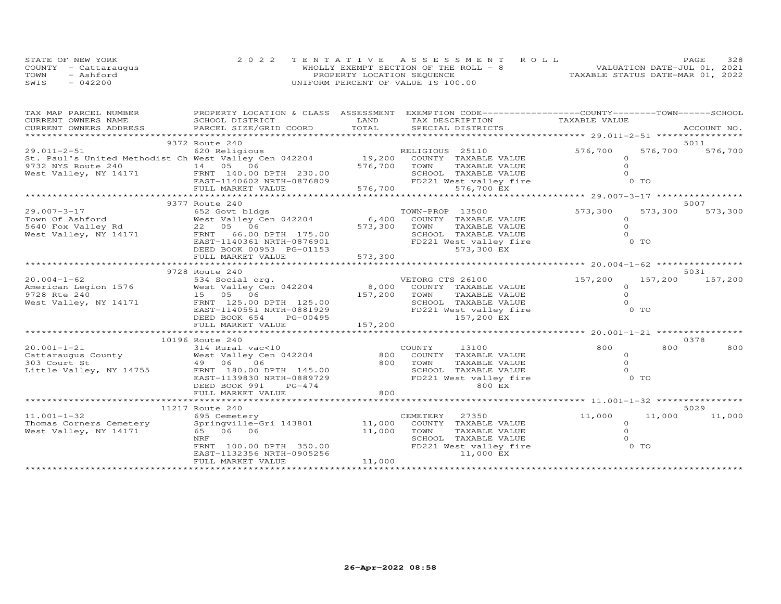| STATE OF NEW YORK    | 2022 TENTATIVE ASSESSMENT ROLL         | PAGE.                            | 328 |
|----------------------|----------------------------------------|----------------------------------|-----|
| COUNTY - Cattaraugus | WHOLLY EXEMPT SECTION OF THE ROLL $-8$ | VALUATION DATE-JUL 01, 2021      |     |
| TOWN<br>- Ashford    | PROPERTY LOCATION SEQUENCE             | TAXABLE STATUS DATE-MAR 01, 2022 |     |
| SWIS<br>$-042200$    | UNIFORM PERCENT OF VALUE IS 100.00     |                                  |     |

| TAX MAP PARCEL NUMBER   | PROPERTY LOCATION & CLASS ASSESSMENT                                                                                                                                 |              | EXEMPTION CODE-----------------COUNTY-------TOWN-----SCHOOL                                                                              |                |                |             |
|-------------------------|----------------------------------------------------------------------------------------------------------------------------------------------------------------------|--------------|------------------------------------------------------------------------------------------------------------------------------------------|----------------|----------------|-------------|
| CURRENT OWNERS NAME     | SCHOOL DISTRICT                                                                                                                                                      | LAND         | TAX DESCRIPTION                                                                                                                          | TAXABLE VALUE  |                |             |
| CURRENT OWNERS ADDRESS  | PARCEL SIZE/GRID COORD                                                                                                                                               |              |                                                                                                                                          |                |                | ACCOUNT NO. |
|                         |                                                                                                                                                                      |              |                                                                                                                                          |                |                |             |
|                         | 9372 Route 240                                                                                                                                                       |              |                                                                                                                                          |                |                | 5011        |
|                         | 29.011-2-51 620 Religious<br>St. Paul's United Methodist Ch West Valley Cen 042204 19,200 COUNTY TAXABLE VALUE                                                       |              |                                                                                                                                          | 576,700        | 576,700        | 576,700     |
|                         |                                                                                                                                                                      |              |                                                                                                                                          | $\circ$        |                |             |
| 9732 NYS Route 240      | $14$ 05 06                                                                                                                                                           | 576,700 TOWN | TAXABLE VALUE                                                                                                                            | $\Omega$       |                |             |
|                         | West Valley, NY 14171 FRNT 140.00 DPTH 230.00                                                                                                                        |              | FRNT 140.00 DPTH 230.00 SCHOOL TAXABLE VALUE<br>EAST-1140602 NRTH-0876809 FD221 West valley fire<br>FULL MARKET VALUE 576,700 576,700 EX | $\Omega$       |                |             |
|                         |                                                                                                                                                                      |              |                                                                                                                                          |                | 0 <sub>T</sub> |             |
|                         |                                                                                                                                                                      |              |                                                                                                                                          |                |                |             |
|                         |                                                                                                                                                                      |              |                                                                                                                                          |                |                |             |
|                         | 9377 Route 240                                                                                                                                                       |              |                                                                                                                                          |                |                | 5007        |
| 29.007-3-17             | 652 Govt bldgs                                                                                                                                                       |              | TOWN-PROP 13500                                                                                                                          | 573,300        | 573,300        | 573,300     |
|                         |                                                                                                                                                                      |              |                                                                                                                                          | $\Omega$       |                |             |
|                         |                                                                                                                                                                      |              |                                                                                                                                          | $\circ$        |                |             |
| West Valley, NY 14171   | FRNT 66.00 DPTH 175.00                                                                                                                                               |              | SCHOOL TAXABLE VALUE                                                                                                                     | $\Omega$       |                |             |
|                         | EAST-1140361 NRTH-0876901                                                                                                                                            | FD22         | FD221 West valley fire                                                                                                                   | 0 <sub>T</sub> |                |             |
|                         | DEED BOOK 00953 PG-01153                                                                                                                                             |              | 573,300 EX                                                                                                                               |                |                |             |
|                         | FULL MARKET VALUE                                                                                                                                                    | 573,300      |                                                                                                                                          |                |                |             |
|                         |                                                                                                                                                                      |              |                                                                                                                                          |                |                |             |
|                         | 9728 Route 240                                                                                                                                                       |              |                                                                                                                                          |                |                | 5031        |
| $20.004 - 1 - 62$       | 534 Social org.                                                                                                                                                      |              | VETORG CTS 26100                                                                                                                         | 157,200        | 157,200        | 157,200     |
|                         | 2000 1576<br>Merican Legion 1576<br>9728 Rte 240 15 05 06                                                                                                            |              | 8,000 COUNTY TAXABLE VALUE                                                                                                               | $\Omega$       |                |             |
|                         |                                                                                                                                                                      | 157,200 TOWN | TAXABLE VALUE                                                                                                                            | $\Omega$       |                |             |
| West Valley, NY 14171   | FRNT 125.00 DPTH 125.00                                                                                                                                              |              | SCHOOL TAXABLE VALUE                                                                                                                     | $\Omega$       |                |             |
|                         | EAST-1140551 NRTH-0881929                                                                                                                                            |              | FD221 West valley fire                                                                                                                   | 0 <sub>T</sub> |                |             |
|                         | DEED BOOK 654<br>PG-00495                                                                                                                                            |              | 157,200 EX                                                                                                                               |                |                |             |
|                         | FULL MARKET VALUE                                                                                                                                                    | 157,200      |                                                                                                                                          |                |                |             |
|                         |                                                                                                                                                                      |              |                                                                                                                                          |                |                |             |
|                         | 10196 Route 240                                                                                                                                                      |              |                                                                                                                                          |                |                | 0378        |
| $20.001 - 1 - 21$       | 314 Rural vac<10                                                                                                                                                     |              | COUNTY<br>13100                                                                                                                          | 800            | 800            | 800         |
|                         |                                                                                                                                                                      |              | 800 COUNTY TAXABLE VALUE                                                                                                                 | $\Omega$       |                |             |
|                         |                                                                                                                                                                      |              | 800 TOWN<br>TAXABLE VALUE                                                                                                                | $\Omega$       |                |             |
|                         | 20.001-1-21<br>Cattaraugus County (14 Mest Valley Cen 042204<br>303 Court St (14755 – 16 Mest Valley Cen 042204<br>Little Valley, NY 14755 – FRNT 180.00 DPTH 145.00 |              | SCHOOL TAXABLE VALUE                                                                                                                     | $\Omega$       |                |             |
|                         | EAST-1139830 NRTH-0889729                                                                                                                                            |              | FD221 West valley fire                                                                                                                   | 0 TO           |                |             |
|                         | DEED BOOK 991<br>$PG-474$                                                                                                                                            |              | 800 EX                                                                                                                                   |                |                |             |
|                         | FULL MARKET VALUE                                                                                                                                                    | 800          |                                                                                                                                          |                |                |             |
|                         |                                                                                                                                                                      |              |                                                                                                                                          |                |                |             |
|                         | 11217 Route 240                                                                                                                                                      |              |                                                                                                                                          |                |                | 5029        |
| $11.001 - 1 - 32$       | 695 Cemetery                                                                                                                                                         |              | CEMETERY<br>27350                                                                                                                        | 11,000         | 11,000         | 11,000      |
| Thomas Corners Cemetery | Springville-Gri 143801                                                                                                                                               | 11,000       | COUNTY TAXABLE VALUE                                                                                                                     | $\circ$        |                |             |
| West Valley, NY 14171   | 65 06 06                                                                                                                                                             | 11,000       | TOWN<br>TAXABLE VALUE                                                                                                                    | $\Omega$       |                |             |
|                         | NRF                                                                                                                                                                  |              | SCHOOL TAXABLE VALUE                                                                                                                     | $\Omega$       |                |             |
|                         | FRNT 100.00 DPTH 350.00                                                                                                                                              |              | FD221 West valley fire                                                                                                                   | $0$ TO         |                |             |
|                         | EAST-1132356 NRTH-0905256                                                                                                                                            |              | 11,000 EX                                                                                                                                |                |                |             |
|                         | FULL MARKET VALUE                                                                                                                                                    | 11,000       |                                                                                                                                          |                |                |             |
|                         |                                                                                                                                                                      |              |                                                                                                                                          |                |                |             |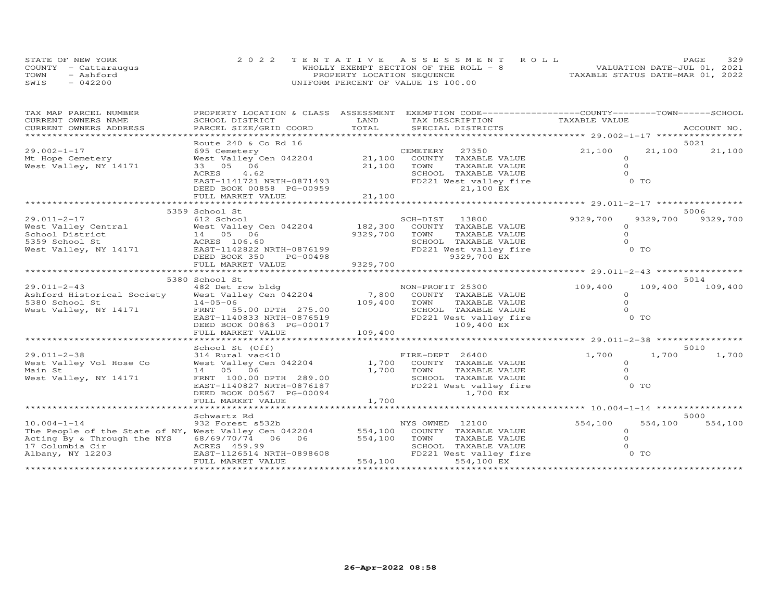| STATE OF NEW YORK    | 2022 TENTATIVE ASSESSMENT ROLL         |  |                                  | <b>PAGE</b> | 329 |
|----------------------|----------------------------------------|--|----------------------------------|-------------|-----|
| COUNTY - Cattaraugus | WHOLLY EXEMPT SECTION OF THE ROLL $-8$ |  | VALUATION DATE-JUL 01, 2021      |             |     |
| TOWN<br>- Ashford    | PROPERTY LOCATION SEQUENCE             |  | TAXABLE STATUS DATE-MAR 01, 2022 |             |     |
| $-042200$<br>SWIS    | UNIFORM PERCENT OF VALUE IS 100.00     |  |                                  |             |     |

| TAX MAP PARCEL NUMBER<br>CURRENT OWNERS NAME                                                                                                     | SCHOOL DISTRICT                                                                                                                                                                                               | LAND                          | PROPERTY LOCATION & CLASS ASSESSMENT EXEMPTION CODE----------------COUNTY-------TOWN-----SCHOOL<br>TAX DESCRIPTION                | TAXABLE VALUE                                        |                            |
|--------------------------------------------------------------------------------------------------------------------------------------------------|---------------------------------------------------------------------------------------------------------------------------------------------------------------------------------------------------------------|-------------------------------|-----------------------------------------------------------------------------------------------------------------------------------|------------------------------------------------------|----------------------------|
| CURRENT OWNERS ADDRESS                                                                                                                           | PARCEL SIZE/GRID COORD                                                                                                                                                                                        | TOTAL                         | SPECIAL DISTRICTS                                                                                                                 |                                                      | ACCOUNT NO.                |
|                                                                                                                                                  |                                                                                                                                                                                                               |                               |                                                                                                                                   |                                                      |                            |
| $29.002 - 1 - 17$<br>Mt Hope Cemetery<br>West Valley, NY 14171                                                                                   | Route 240 & Co Rd 16<br>695 Cemetery<br>West Valley Cen 042204 21,100<br>33 05 06<br>ACRES<br>4.62<br>EAST-1141721 NRTH-0871493<br>EASI-1141/ZI NRTH-0871493<br>DEED BOOK 00858 PG-00959<br>FULL MARKET VALUE | 21,100<br>21,100              | 27350<br>CEMETERY<br>COUNTY TAXABLE VALUE<br>TOWN<br>TAXABLE VALUE<br>SCHOOL TAXABLE VALUE<br>FD221 West valley fire<br>21,100 EX | 21,100<br>$\circ$<br>$\Omega$<br>$\Omega$<br>0 TO    | 5021<br>21,100<br>21,100   |
|                                                                                                                                                  | 5359 School St                                                                                                                                                                                                |                               |                                                                                                                                   |                                                      | 5006                       |
| $29.011 - 2 - 17$<br>West Valley Central Mest Valley Cen 042204 182,300<br>School District<br>5359 School St<br>West Valley, NY 14171            | 612 School<br>14  05  06<br>ACRES  106.60<br>EAST-1142822 NRTH-0876199<br>DEED BOOK 350<br>PG-00498<br>FULL MARKET VALUE                                                                                      | 9329,700<br>9329,700          | SCH-DIST 13800<br>COUNTY TAXABLE VALUE<br>TOWN<br>TAXABLE VALUE<br>SCHOOL TAXABLE VALUE<br>FD221 West valley fire<br>9329,700 EX  | 9329,700<br>$\Omega$<br>$\Omega$<br>$\Omega$<br>O TO | 9329,700<br>9329,700       |
|                                                                                                                                                  | 5380 School St                                                                                                                                                                                                |                               |                                                                                                                                   |                                                      | 5014                       |
| $29.011 - 2 - 43$<br>Ashford Historical Society<br>5380 School St<br>West Valley, NY 14171                                                       | 482 Det row bldg<br>West Valley Cen 042204<br>$14 - 05 - 06$<br>FRNT 55.00 DPTH 275.00<br>EAST-1140833 NRTH-0876519<br>DEED BOOK 00863 PG-00017<br>FULL MARKET VALUE                                          | 7,800<br>109,400<br>109,400   | NON-PROFIT 25300<br>COUNTY TAXABLE VALUE<br>TOWN<br>TAXABLE VALUE<br>SCHOOL TAXABLE VALUE<br>FD221 West valley fire<br>109,400 EX | 109,400<br>$\Omega$<br>$\Omega$<br>$\Omega$<br>0 TO  | 109,400<br>109,400         |
|                                                                                                                                                  |                                                                                                                                                                                                               |                               |                                                                                                                                   |                                                      |                            |
| $29.011 - 2 - 38$<br>West Valley Vol Hose Co<br>Main St<br>West Valley, NY 14171                                                                 | School St (Off)<br>314 Rural vac<10<br>West Valley Cen 042204<br>14  05  06<br>FRNT 100.00 DPTH 289.00<br>EAST-1140827 NRTH-0876187<br>DEED BOOK 00567 PG-00094<br>FULL MARKET VALUE                          | 1,700<br>1,700<br>1,700       | FIRE-DEPT 26400<br>COUNTY TAXABLE VALUE<br>TOWN<br>TAXABLE VALUE<br>SCHOOL TAXABLE VALUE<br>FD221 West valley fire<br>1,700 EX    | 1,700<br>$\Omega$<br>$\Omega$<br>$\Omega$<br>$0$ TO  | 5010<br>1,700<br>1,700     |
|                                                                                                                                                  |                                                                                                                                                                                                               |                               | $*************************************10.004-1-14$                                                                                |                                                      |                            |
| $10.004 - 1 - 14$<br>The People of the State of NY, West Valley Cen 042204<br>Acting By & Through the NYS<br>17 Columbia Cir<br>Albany, NY 12203 | Schwartz Rd<br>932 Forest s532b<br>06<br>68/69/70/74 06<br>ACRES 459.99<br>EAST-1126514 NRTH-0898608<br>FULL MARKET VALUE                                                                                     | 554,100<br>554,100<br>554,100 | NYS OWNED 12100<br>COUNTY TAXABLE VALUE<br>TOWN<br>TAXABLE VALUE<br>SCHOOL TAXABLE VALUE<br>FD221 West valley fire<br>554,100 EX  | 554,100<br>$\circ$<br>$\Omega$<br>0 TO               | 5000<br>554,100<br>554,100 |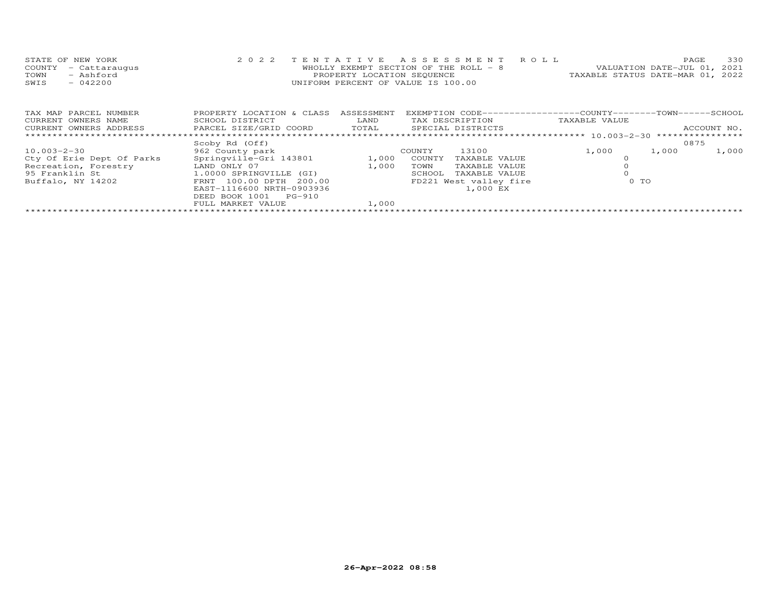|      | STATE OF NEW YORK    | 2022 TENTATIVE ASSESSMENT ROLL     |                                        |                                  | PAGE. | 330 |
|------|----------------------|------------------------------------|----------------------------------------|----------------------------------|-------|-----|
|      | COUNTY - Cattaraugus |                                    | WHOLLY EXEMPT SECTION OF THE ROLL $-8$ | VALUATION DATE-JUL 01, 2021      |       |     |
| TOWN | - Ashford            | PROPERTY LOCATION SEQUENCE         |                                        | TAXABLE STATUS DATE-MAR 01, 2022 |       |     |
| SWIS | $-042200$            | UNIFORM PERCENT OF VALUE IS 100.00 |                                        |                                  |       |     |

| TAX MAP PARCEL NUMBER     | PROPERTY LOCATION & CLASS | ASSESSMENT |                 | EXEMPTION CODE-----------------COUNTY-------TOWN------SCHOOL |               |                |             |
|---------------------------|---------------------------|------------|-----------------|--------------------------------------------------------------|---------------|----------------|-------------|
| CURRENT OWNERS NAME       | SCHOOL DISTRICT           | LAND       | TAX DESCRIPTION |                                                              | TAXABLE VALUE |                |             |
| CURRENT OWNERS ADDRESS    | PARCEL SIZE/GRID COORD    | TOTAL      |                 | SPECIAL DISTRICTS                                            |               |                | ACCOUNT NO. |
|                           |                           |            |                 |                                                              |               |                |             |
|                           | Scoby Rd (Off)            |            |                 |                                                              |               |                | 0875        |
| $10.003 - 2 - 30$         | 962 County park           |            | COUNTY          | 13100                                                        | 1,000         | 1,000          | 1,000       |
| Cty Of Erie Dept Of Parks | Springville-Gri 143801    | 1,000      | COUNTY          | TAXABLE VALUE                                                |               |                |             |
| Recreation, Forestry      | LAND ONLY 07              | 1,000      | TOWN            | TAXABLE VALUE                                                |               |                |             |
| 95 Franklin St            | 1.0000 SPRINGVILLE (GI)   |            | SCHOOL          | TAXABLE VALUE                                                |               |                |             |
| Buffalo, NY 14202         | FRNT 100.00 DPTH 200.00   |            |                 | FD221 West valley fire                                       |               | 0 <sub>T</sub> |             |
|                           | EAST-1116600 NRTH-0903936 |            |                 | 1,000 EX                                                     |               |                |             |
|                           | DEED BOOK 1001 PG-910     |            |                 |                                                              |               |                |             |
|                           | FULL MARKET VALUE         | 1,000      |                 |                                                              |               |                |             |
|                           |                           |            |                 |                                                              |               |                |             |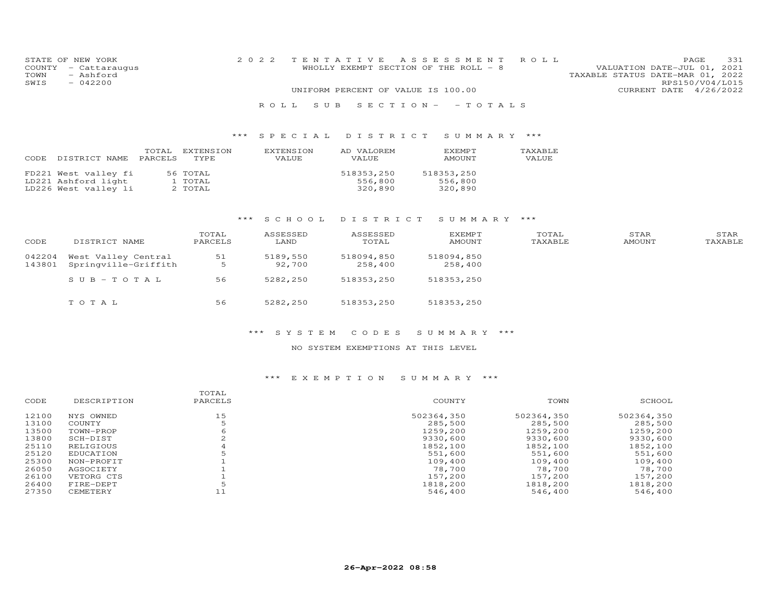|      | STATE OF NEW YORK    | 2022 TENTATIVE ASSESSMENT ROLL     |  |                                       |  |                                  |                 | PAGE | 331 |
|------|----------------------|------------------------------------|--|---------------------------------------|--|----------------------------------|-----------------|------|-----|
|      | COUNTY - Cattaraugus |                                    |  | WHOLLY EXEMPT SECTION OF THE ROLL - 8 |  | VALUATION DATE-JUL 01, 2021      |                 |      |     |
| TOWN | - Ashford            |                                    |  |                                       |  | TAXABLE STATUS DATE-MAR 01, 2022 |                 |      |     |
| SWIS | $-042200$            |                                    |  |                                       |  |                                  | RPS150/V04/L015 |      |     |
|      |                      | UNIFORM PERCENT OF VALUE IS 100.00 |  |                                       |  | CURRENT DATE 4/26/2022           |                 |      |     |
|      |                      | ROLL SUB SECTION- -TOTALS          |  |                                       |  |                                  |                 |      |     |

# \*\*\* S P E C I A L D I S T R I C T S U M M A R Y \*\*\*

| CODE | DISTRICT NAME                                                       | TOTAL<br>PARCELS | EXTENSION<br>TYPE              | EXTENSION<br>VALUE | AD VALOREM<br>VALUE.             | <b>EXEMPT</b><br>AMOUNT          | TAXABLE<br>VALUE |
|------|---------------------------------------------------------------------|------------------|--------------------------------|--------------------|----------------------------------|----------------------------------|------------------|
|      | FD221 West valley fi<br>LD221 Ashford light<br>LD226 West valley li |                  | 56 TOTAL<br>1 TOTAL<br>2 TOTAL |                    | 518353,250<br>556,800<br>320,890 | 518353,250<br>556,800<br>320,890 |                  |

### \*\*\* S C H O O L D I S T R I C T S U M M A R Y \*\*\*

| CODE             | DISTRICT NAME                               | TOTAL<br>PARCELS | ASSESSED<br>LAND   | ASSESSED<br>TOTAL     | <b>EXEMPT</b><br>AMOUNT | TOTAL<br>TAXABLE | STAR<br>AMOUNT | STAR<br>TAXABLE |
|------------------|---------------------------------------------|------------------|--------------------|-----------------------|-------------------------|------------------|----------------|-----------------|
| 042204<br>143801 | West Valley Central<br>Springville-Griffith | 51<br>5          | 5189,550<br>92,700 | 518094,850<br>258,400 | 518094,850<br>258,400   |                  |                |                 |
|                  | SUB-TOTAL                                   | 56               | 5282,250           | 518353,250            | 518353,250              |                  |                |                 |
|                  | TOTAL                                       | 56               | 5282,250           | 518353,250            | 518353,250              |                  |                |                 |

#### \*\*\* S Y S T E M C O D E S S U M M A R Y \*\*\*

#### NO SYSTEM EXEMPTIONS AT THIS LEVEL

|            |             |                  |            | SCHOOL     |
|------------|-------------|------------------|------------|------------|
| NYS OWNED  | 15          | 502364,350       | 502364,350 | 502364,350 |
| COUNTY     |             | 285,500          | 285,500    | 285,500    |
| TOWN-PROP  |             | 1259,200         | 1259,200   | 1259,200   |
| SCH-DIST   |             | 9330,600         | 9330,600   | 9330,600   |
| RELIGIOUS  |             | 1852,100         | 1852,100   | 1852,100   |
| EDUCATION  |             | 551,600          | 551,600    | 551,600    |
| NON-PROFIT |             | 109,400          | 109,400    | 109,400    |
| AGSOCIETY  |             | 78,700           | 78,700     | 78,700     |
| VETORG CTS |             | 157,200          | 157,200    | 157,200    |
| FIRE-DEPT  |             | 1818,200         | 1818,200   | 1818,200   |
| CEMETERY   | 11          | 546,400          | 546,400    | 546,400    |
|            | DESCRIPTION | TOTAL<br>PARCELS | COUNTY     | TOWN       |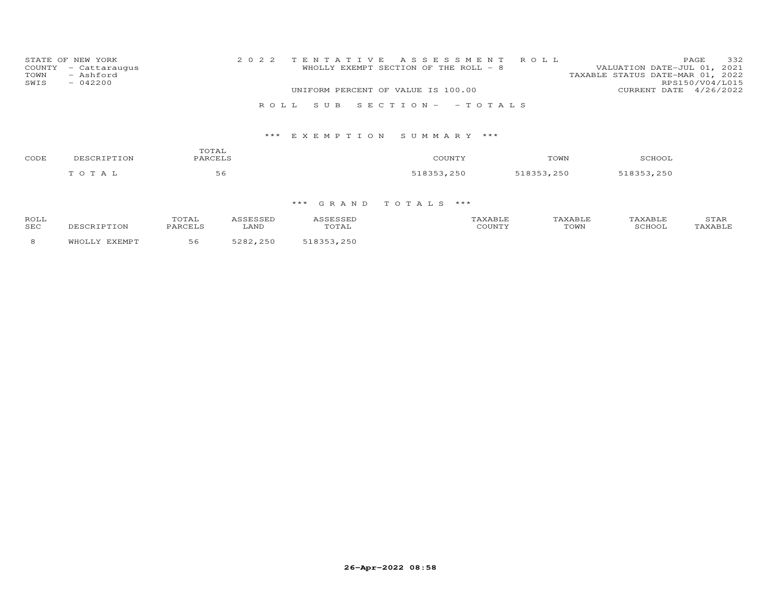| STATE OF NEW YORK<br>COUNTY - Cattaraugus<br>TOWN<br>- Ashford<br>SWIS<br>$-042200$ | 2022 TENTATIVE ASSESSMENT ROLL<br>WHOLLY EXEMPT SECTION OF THE ROLL - 8 | 332<br>PAGE<br>VALUATION DATE-JUL 01, 2021<br>TAXABLE STATUS DATE-MAR 01, 2022<br>RPS150/V04/L015 |
|-------------------------------------------------------------------------------------|-------------------------------------------------------------------------|---------------------------------------------------------------------------------------------------|
|                                                                                     | UNIFORM PERCENT OF VALUE IS 100.00                                      | CURRENT DATE 4/26/2022                                                                            |
|                                                                                     | ROLL SUB SECTION- - TOTALS                                              |                                                                                                   |

| CODE | TOTAL<br>PARCELS<br>DESCRIPTION |    | COUNTY     | TOWN       | SCHOOL     |
|------|---------------------------------|----|------------|------------|------------|
|      | TOTAL                           | 56 | 518353,250 | 518353,250 | 518353,250 |

| ROLI       | "OTAL |               |       | <b>YART.E</b> |      |        | $\sqrt{1}$<br>1000 |
|------------|-------|---------------|-------|---------------|------|--------|--------------------|
| <b>SEC</b> |       | LAND          | 'UIAL |               | TOWN | SCHOL. |                    |
|            |       | $\cap$ $\cap$ |       |               |      |        |                    |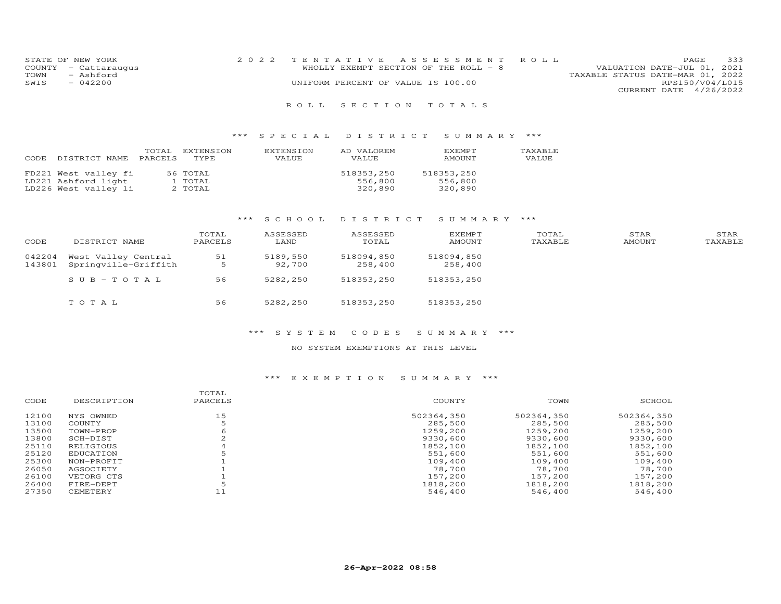| STATE OF NEW YORK    | 2022 TENTATIVE ASSESSMENT ROLL         |                                  | PAGE.                  | 333 |
|----------------------|----------------------------------------|----------------------------------|------------------------|-----|
| COUNTY - Cattaraugus | WHOLLY EXEMPT SECTION OF THE ROLL $-8$ | VALUATION DATE-JUL 01, 2021      |                        |     |
| TOWN<br>- Ashford    |                                        | TAXABLE STATUS DATE-MAR 01, 2022 |                        |     |
| SWTS<br>$-042200$    | UNIFORM PERCENT OF VALUE IS 100.00     |                                  | RPS150/V04/L015        |     |
|                      |                                        |                                  | CURRENT DATE 4/26/2022 |     |
|                      |                                        |                                  |                        |     |

### R O L L S E C T I O N T O T A L S

### \*\*\* S P E C I A L D I S T R I C T S U M M A R Y \*\*\*

| DISTRICT NAME                                                       | TOTAL   | EXTENSION                      | EXTENSION    | AD VALOREM                       | <b>F.XFMPT</b>                   | TAXABLE |
|---------------------------------------------------------------------|---------|--------------------------------|--------------|----------------------------------|----------------------------------|---------|
| CODE                                                                | PARCELS | TYPE.                          | <b>VALUE</b> | VALUE.                           | AMOUNT                           | VALUE   |
| FD221 West valley fi<br>LD221 Ashford light<br>LD226 West valley li |         | 56 TOTAL<br>1 TOTAL<br>2 TOTAL |              | 518353,250<br>556,800<br>320,890 | 518353,250<br>556,800<br>320,890 |         |

### \*\*\* S C H O O L D I S T R I C T S U M M A R Y \*\*\*

| CODE             | DISTRICT NAME                               | TOTAL<br>PARCELS | ASSESSED<br>LAND   | ASSESSED<br>TOTAL     | <b>EXEMPT</b><br>AMOUNT | TOTAL<br>TAXABLE | STAR<br>AMOUNT | STAR<br>TAXABLE |
|------------------|---------------------------------------------|------------------|--------------------|-----------------------|-------------------------|------------------|----------------|-----------------|
| 042204<br>143801 | West Valley Central<br>Springville-Griffith | 51<br>5          | 5189,550<br>92,700 | 518094,850<br>258,400 | 518094,850<br>258,400   |                  |                |                 |
|                  | $SUB-TOTAL$                                 | 56               | 5282,250           | 518353,250            | 518353,250              |                  |                |                 |
|                  | TOTAL                                       | 56               | 5282,250           | 518353,250            | 518353,250              |                  |                |                 |

#### \*\*\* S Y S T E M C O D E S S U M M A R Y \*\*\*

#### NO SYSTEM EXEMPTIONS AT THIS LEVEL

| CODE  | DESCRIPTION | TOTAL<br>PARCELS | COUNTY     | TOWN       | SCHOOL     |
|-------|-------------|------------------|------------|------------|------------|
| 12100 | NYS OWNED   | 15               | 502364,350 | 502364,350 | 502364,350 |
| 13100 | COUNTY      |                  | 285,500    | 285,500    | 285,500    |
| 13500 | TOWN-PROP   |                  | 1259,200   | 1259,200   | 1259,200   |
| 13800 | SCH-DIST    |                  | 9330,600   | 9330,600   | 9330,600   |
| 25110 | RELIGIOUS   |                  | 1852,100   | 1852,100   | 1852,100   |
| 25120 | EDUCATION   |                  | 551,600    | 551,600    | 551,600    |
| 25300 | NON-PROFIT  |                  | 109,400    | 109,400    | 109,400    |
| 26050 | AGSOCIETY   |                  | 78,700     | 78,700     | 78,700     |
| 26100 | VETORG CTS  |                  | 157,200    | 157,200    | 157,200    |
| 26400 | FIRE-DEPT   |                  | 1818,200   | 1818,200   | 1818,200   |
| 27350 | CEMETERY    |                  | 546,400    | 546,400    | 546,400    |
|       |             |                  |            |            |            |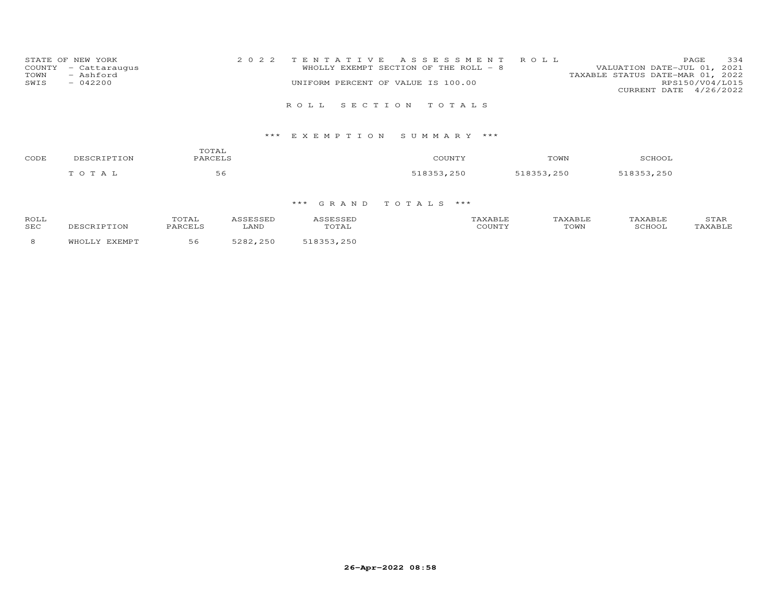|      | STATE OF NEW YORK    | 2022 TENTATIVE ASSESSMENT ROLL        | 334<br>PAGE                      |
|------|----------------------|---------------------------------------|----------------------------------|
|      | COUNTY - Cattaraugus | WHOLLY EXEMPT SECTION OF THE ROLL - 8 | VALUATION DATE-JUL 01, 2021      |
| TOWN | - Ashford            |                                       | TAXABLE STATUS DATE-MAR 01, 2022 |
| SWIS | $-042200$            | UNIFORM PERCENT OF VALUE IS 100.00    | RPS150/V04/L015                  |
|      |                      |                                       | CURRENT DATE 4/26/2022           |
|      |                      |                                       |                                  |
|      |                      | ROLL SECTION TOTALS                   |                                  |

| CODE | TOTAL<br>PARCELS<br>DESCRIPTION | COUNTY | TOWN       | SCHOOL     |            |
|------|---------------------------------|--------|------------|------------|------------|
|      | TOTAL                           | 56     | 518353,250 | 518353,250 | 518353,250 |

| ROLI       | "OTAL |               |       | <b>YART.E</b> |      |        | $\sqrt{1}$<br>1000 |
|------------|-------|---------------|-------|---------------|------|--------|--------------------|
| <b>SEC</b> |       | LAND          | 'UIAL |               | TOWN | SCHOL. |                    |
|            |       | $\cap$ $\cap$ |       |               |      |        |                    |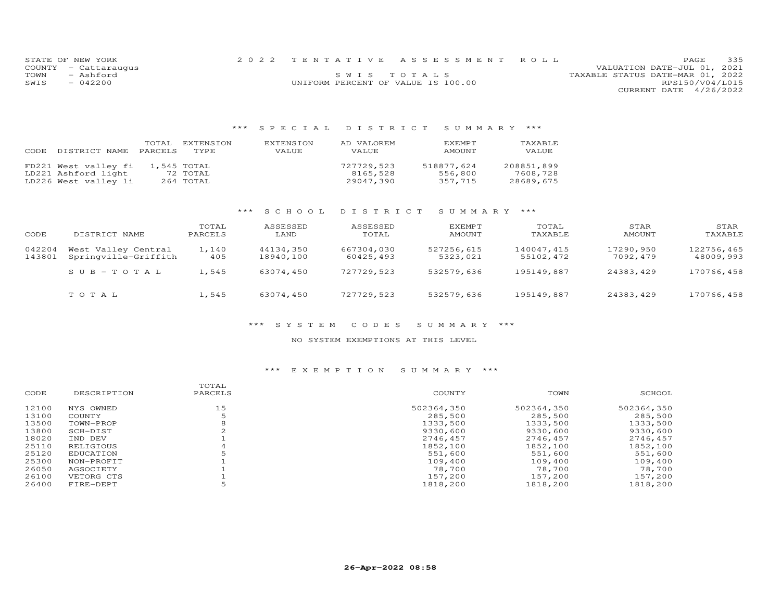|      | STATE OF NEW YORK    |                                    | 2022 TENTATIVE ASSESSMENT ROLL |                                  | PAGE            | 335 |
|------|----------------------|------------------------------------|--------------------------------|----------------------------------|-----------------|-----|
|      | COUNTY - Cattaraugus |                                    |                                | VALUATION DATE-JUL 01, 2021      |                 |     |
| TOWN | - Ashford            |                                    | SWIS TOTALS                    | TAXABLE STATUS DATE-MAR 01, 2022 |                 |     |
| SWIS | $-042200$            | UNIFORM PERCENT OF VALUE IS 100.00 |                                |                                  | RPS150/V04/L015 |     |
|      |                      |                                    |                                | CURRENT DATE 4/26/2022           |                 |     |

### \*\*\* S P E C I A L D I S T R I C T S U M M A R Y \*\*\*

| CODE. | DISTRICT NAME PARCELS TYPE | TOTAL. | EXTENSION   | EXTENSION<br>VALUE | AD VALOREM<br>VALUE | <b>FXFMPT</b><br>AMOUNT | TAXABLE<br>VALUE |
|-------|----------------------------|--------|-------------|--------------------|---------------------|-------------------------|------------------|
|       | FD221 West valley fi       |        | 1,545 TOTAL |                    | 727729,523          | 518877,624              | 208851,899       |
|       | LD221 Ashford light        |        | 72 TOTAL    |                    | 8165,528            | 556,800                 | 7608,728         |
|       | LD226 West valley li       |        | 264 TOTAL   |                    | 29047,390           | 357,715                 | 28689,675        |

#### \*\*\* S C H O O L D I S T R I C T S U M M A R Y \*\*\*

| CODE             | DISTRICT NAME                               | TOTAL<br>PARCELS | ASSESSED<br>LAND       | ASSESSED<br>TOTAL       | EXEMPT<br>AMOUNT       | TOTAL<br>TAXABLE        | STAR<br>AMOUNT        | STAR<br>TAXABLE         |
|------------------|---------------------------------------------|------------------|------------------------|-------------------------|------------------------|-------------------------|-----------------------|-------------------------|
| 042204<br>143801 | West Valley Central<br>Springville-Griffith | 1,140<br>405     | 44134,350<br>18940,100 | 667304,030<br>60425,493 | 527256,615<br>5323,021 | 140047,415<br>55102,472 | 17290,950<br>7092,479 | 122756,465<br>48009,993 |
|                  | $SUB-TOTAL$                                 | 1,545            | 63074,450              | 727729,523              | 532579,636             | 195149,887              | 24383,429             | 170766,458              |
|                  | TOTAL                                       | 1,545            | 63074,450              | 727729,523              | 532579,636             | 195149,887              | 24383,429             | 170766,458              |

### \*\*\* S Y S T E M C O D E S S U M M A R Y \*\*\*

#### NO SYSTEM EXEMPTIONS AT THIS LEVEL

| CODE  | DESCRIPTION | TOTAL<br>PARCELS | COUNTY     | TOWN       | SCHOOL     |
|-------|-------------|------------------|------------|------------|------------|
| 12100 | NYS OWNED   | 15               | 502364,350 | 502364,350 | 502364,350 |
| 13100 | COUNTY      |                  | 285,500    | 285,500    | 285,500    |
| 13500 | TOWN-PROP   | 8                | 1333,500   | 1333,500   | 1333,500   |
| 13800 | SCH-DIST    |                  | 9330,600   | 9330,600   | 9330,600   |
| 18020 | IND DEV     |                  | 2746.457   | 2746,457   | 2746,457   |
| 25110 | RELIGIOUS   |                  | 1852,100   | 1852,100   | 1852,100   |
| 25120 | EDUCATION   |                  | 551,600    | 551,600    | 551,600    |
| 25300 | NON-PROFIT  |                  | 109,400    | 109,400    | 109,400    |
| 26050 | AGSOCIETY   |                  | 78,700     | 78,700     | 78,700     |
| 26100 | VETORG CTS  |                  | 157,200    | 157,200    | 157,200    |
| 26400 | FIRE-DEPT   |                  | 1818,200   | 1818,200   | 1818,200   |
|       |             |                  |            |            |            |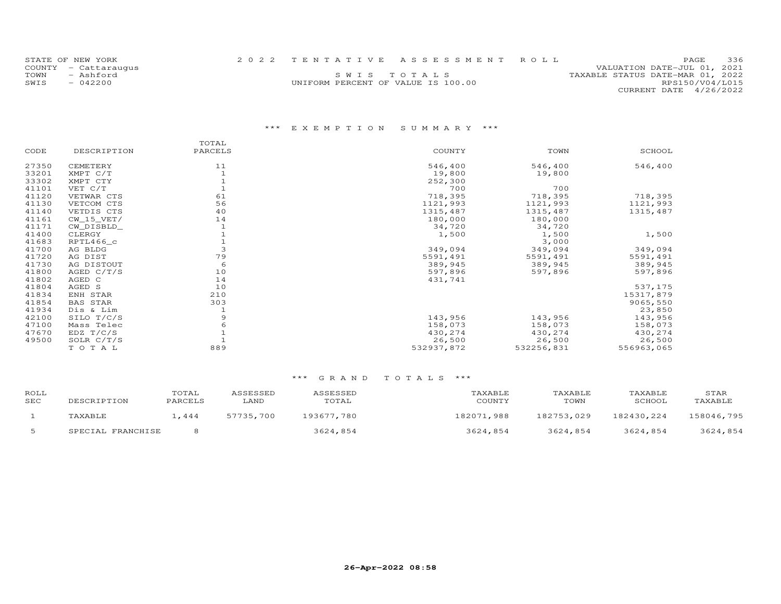|      | STATE OF NEW YORK    |                                    | 2022 TENTATIVE ASSESSMENT ROLL |                                  | <b>PAGE</b>            | 336 |
|------|----------------------|------------------------------------|--------------------------------|----------------------------------|------------------------|-----|
|      | COUNTY - Cattaraugus |                                    |                                | VALUATION DATE-JUL 01, 2021      |                        |     |
| TOWN | - Ashford            |                                    | SWIS TOTALS                    | TAXABLE STATUS DATE-MAR 01, 2022 |                        |     |
| SWIS | $-042200$            | UNIFORM PERCENT OF VALUE IS 100.00 |                                |                                  | RPS150/V04/L015        |     |
|      |                      |                                    |                                |                                  | CURRENT DATE 4/26/2022 |     |

|       |                 | TOTAL   |            |            |            |  |
|-------|-----------------|---------|------------|------------|------------|--|
| CODE  | DESCRIPTION     | PARCELS | COUNTY     | TOWN       | SCHOOL     |  |
| 27350 | CEMETERY        | 11      | 546,400    | 546,400    | 546,400    |  |
| 33201 | XMPT C/T        |         | 19,800     | 19,800     |            |  |
| 33302 | XMPT CTY        |         | 252,300    |            |            |  |
| 41101 | VET C/T         |         | 700        | 700        |            |  |
| 41120 | VETWAR CTS      | 61      | 718,395    | 718,395    | 718,395    |  |
| 41130 | VETCOM CTS      | 56      | 1121,993   | 1121,993   | 1121,993   |  |
| 41140 | VETDIS CTS      | 40      | 1315,487   | 1315,487   | 1315,487   |  |
| 41161 | $CW_15_VET/$    | 14      | 180,000    | 180,000    |            |  |
| 41171 | CW DISBLD       |         | 34,720     | 34,720     |            |  |
| 41400 | CLERGY          |         | 1,500      | 1,500      | 1,500      |  |
| 41683 | RPTL466 c       |         |            | 3,000      |            |  |
| 41700 | AG BLDG         | 3       | 349,094    | 349,094    | 349,094    |  |
| 41720 | AG DIST         | 79      | 5591,491   | 5591,491   | 5591,491   |  |
| 41730 | AG DISTOUT      | 6       | 389,945    | 389,945    | 389,945    |  |
| 41800 | AGED $C/T/S$    | 10      | 597,896    | 597,896    | 597,896    |  |
| 41802 | AGED C          | 14      | 431,741    |            |            |  |
| 41804 | AGED S          | 10      |            |            | 537,175    |  |
| 41834 | ENH STAR        | 210     |            |            | 15317,879  |  |
| 41854 | <b>BAS STAR</b> | 303     |            |            | 9065,550   |  |
| 41934 | Dis & Lim       |         |            |            | 23,850     |  |
| 42100 | SILO T/C/S      | 9       | 143,956    | 143,956    | 143,956    |  |
| 47100 | Mass Telec      |         | 158,073    | 158,073    | 158,073    |  |
| 47670 | EDZ T/C/S       |         | 430,274    | 430,274    | 430,274    |  |
| 49500 | SOLR C/T/S      |         | 26,500     | 26,500     | 26,500     |  |
|       | TOTAL           | 889     | 532937,872 | 532256,831 | 556963,065 |  |
|       |                 |         |            |            |            |  |

| ROLL<br>SEC | DESCRIPTION       | TOTAL<br>PARCELS | ASSESSED<br>LAND | ASSESSED<br>TOTAL | TAXABLE<br>COUNTY | TAXABLE<br>TOWN | TAXABLE<br>SCHOOL | STAR<br>TAXABLE |
|-------------|-------------------|------------------|------------------|-------------------|-------------------|-----------------|-------------------|-----------------|
|             | TAXABLE           | .444             | 57735,700        | 193677.780        | 182071,988        | 182753,029      | 182430,224        | 158046,795      |
|             | SPECIAL FRANCHISE |                  |                  | 3624,854          | 3624,854          | 3624,854        | 3624,854          | 3624,854        |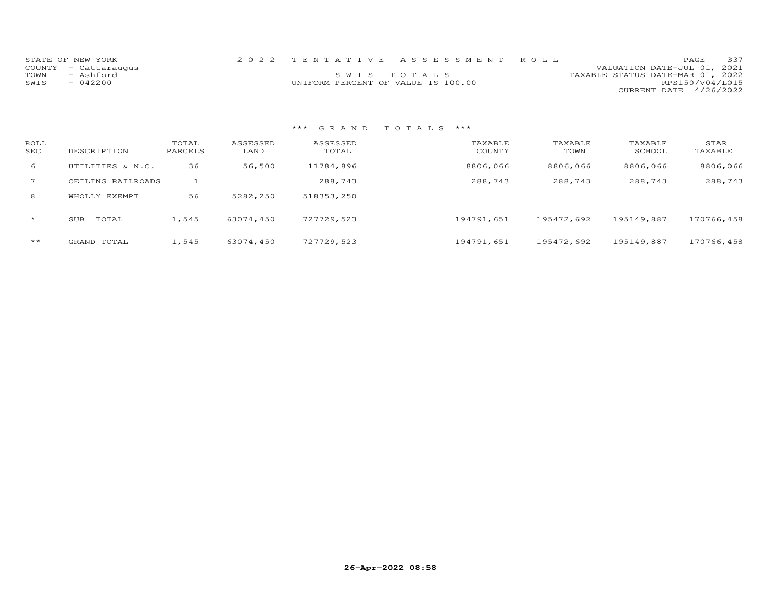| STATE OF NEW YORK |                      |                                    | 2022 TENTATIVE ASSESSMENT ROLL |                                  |                        | PAGE. | 337 |
|-------------------|----------------------|------------------------------------|--------------------------------|----------------------------------|------------------------|-------|-----|
|                   | COUNTY - Cattaraugus |                                    |                                | VALUATION DATE-JUL 01, 2021      |                        |       |     |
| TOWN              | - Ashford            | SWIS TOTALS                        |                                | TAXABLE STATUS DATE-MAR 01, 2022 |                        |       |     |
| SWIS              | $-042200$            | UNIFORM PERCENT OF VALUE IS 100.00 |                                |                                  | RPS150/V04/L015        |       |     |
|                   |                      |                                    |                                |                                  | CURRENT DATE 4/26/2022 |       |     |

| ROLL<br>SEC  | DESCRIPTION       | TOTAL<br>PARCELS | ASSESSED<br>LAND | ASSESSED<br>TOTAL | TAXABLE<br>COUNTY | TAXABLE<br>TOWN | TAXABLE<br>SCHOOL | STAR<br>TAXABLE |
|--------------|-------------------|------------------|------------------|-------------------|-------------------|-----------------|-------------------|-----------------|
| 6            | UTILITIES & N.C.  | 36               | 56,500           | 11784,896         | 8806,066          | 8806,066        | 8806,066          | 8806,066        |
|              | CEILING RAILROADS |                  |                  | 288,743           | 288,743           | 288,743         | 288,743           | 288,743         |
| 8            | WHOLLY EXEMPT     | 56               | 5282,250         | 518353,250        |                   |                 |                   |                 |
| $\star$      | SUB<br>TOTAL      | 1,545            | 63074,450        | 727729,523        | 194791,651        | 195472,692      | 195149,887        | 170766,458      |
| $\star\star$ | GRAND TOTAL       | 1,545            | 63074,450        | 727729,523        | 194791,651        | 195472,692      | 195149,887        | 170766,458      |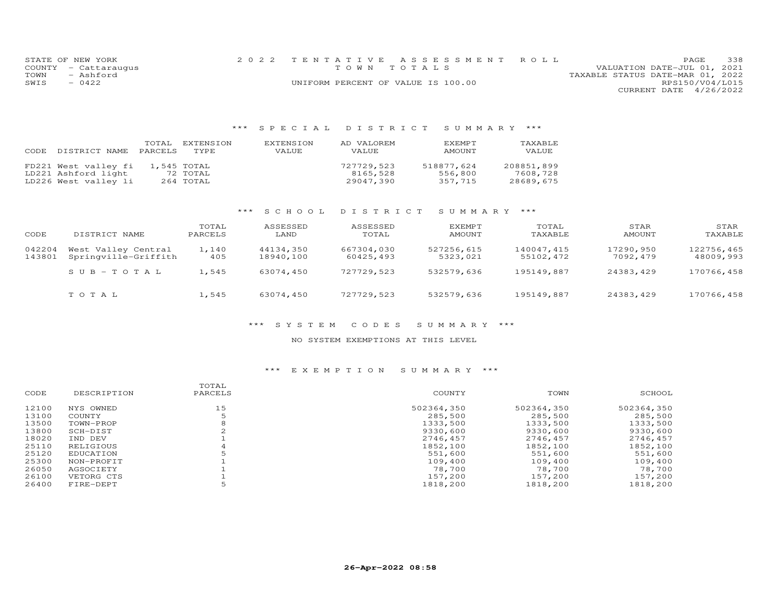|      | STATE OF NEW YORK    | 2022 TENTATIVE ASSESSMENT ROLL     |  |                                  |                        | <b>PAGE</b> | 338 |
|------|----------------------|------------------------------------|--|----------------------------------|------------------------|-------------|-----|
|      | COUNTY - Cattaraugus | TOWN TOTALS                        |  | VALUATION DATE-JUL 01, 2021      |                        |             |     |
| TOWN | - Ashford            |                                    |  | TAXABLE STATUS DATE-MAR 01, 2022 |                        |             |     |
| SWIS | $-0422$              | UNIFORM PERCENT OF VALUE IS 100.00 |  |                                  | RPS150/V04/L015        |             |     |
|      |                      |                                    |  |                                  | CURRENT DATE 4/26/2022 |             |     |

### \*\*\* S P E C I A L D I S T R I C T S U M M A R Y \*\*\*

| CODE | DISTRICT NAME        | TOTAL<br>PARCELS | EXTENSION<br>TYPE. | EXTENSION<br>VALUE. | AD VALOREM<br>VALUE. | <b>EXEMPT</b><br>AMOUNT | TAXABLE<br>VALUE |
|------|----------------------|------------------|--------------------|---------------------|----------------------|-------------------------|------------------|
|      | FD221 West valley fi |                  | 1,545 TOTAL        |                     | 727729,523           | 518877,624              | 208851,899       |
|      | LD221 Ashford light  |                  | 72 TOTAL           |                     | 8165,528             | 556,800                 | 7608,728         |
|      | LD226 West valley li |                  | 264 TOTAL          |                     | 29047,390            | 357,715                 | 28689,675        |

#### \*\*\* S C H O O L D I S T R I C T S U M M A R Y \*\*\*

| CODE             | DISTRICT NAME                               | TOTAL<br>PARCELS | ASSESSED<br>LAND       | ASSESSED<br>TOTAL       | EXEMPT<br>AMOUNT       | TOTAL<br>TAXABLE        | STAR<br>AMOUNT        | STAR<br>TAXABLE         |
|------------------|---------------------------------------------|------------------|------------------------|-------------------------|------------------------|-------------------------|-----------------------|-------------------------|
| 042204<br>143801 | West Valley Central<br>Springville-Griffith | 1,140<br>405     | 44134,350<br>18940,100 | 667304,030<br>60425,493 | 527256,615<br>5323,021 | 140047,415<br>55102,472 | 17290,950<br>7092,479 | 122756,465<br>48009,993 |
|                  | $SUB-TOTAL$                                 | 1,545            | 63074,450              | 727729,523              | 532579,636             | 195149,887              | 24383,429             | 170766,458              |
|                  | TOTAL                                       | 1,545            | 63074,450              | 727729,523              | 532579,636             | 195149,887              | 24383,429             | 170766,458              |

### \*\*\* S Y S T E M C O D E S S U M M A R Y \*\*\*

#### NO SYSTEM EXEMPTIONS AT THIS LEVEL

| CODE  | DESCRIPTION | TOTAL<br>PARCELS | COUNTY     | TOWN       | SCHOOL     |
|-------|-------------|------------------|------------|------------|------------|
| 12100 | NYS OWNED   | 15               | 502364,350 | 502364,350 | 502364,350 |
| 13100 | COUNTY      |                  | 285,500    | 285,500    | 285,500    |
| 13500 | TOWN-PROP   | 8                | 1333,500   | 1333,500   | 1333,500   |
| 13800 | SCH-DIST    |                  | 9330,600   | 9330,600   | 9330,600   |
| 18020 | IND DEV     |                  | 2746.457   | 2746,457   | 2746,457   |
| 25110 | RELIGIOUS   |                  | 1852,100   | 1852,100   | 1852,100   |
| 25120 | EDUCATION   |                  | 551,600    | 551,600    | 551,600    |
| 25300 | NON-PROFIT  |                  | 109,400    | 109,400    | 109,400    |
| 26050 | AGSOCIETY   |                  | 78,700     | 78,700     | 78,700     |
| 26100 | VETORG CTS  |                  | 157,200    | 157,200    | 157,200    |
| 26400 | FIRE-DEPT   |                  | 1818,200   | 1818,200   | 1818,200   |
|       |             |                  |            |            |            |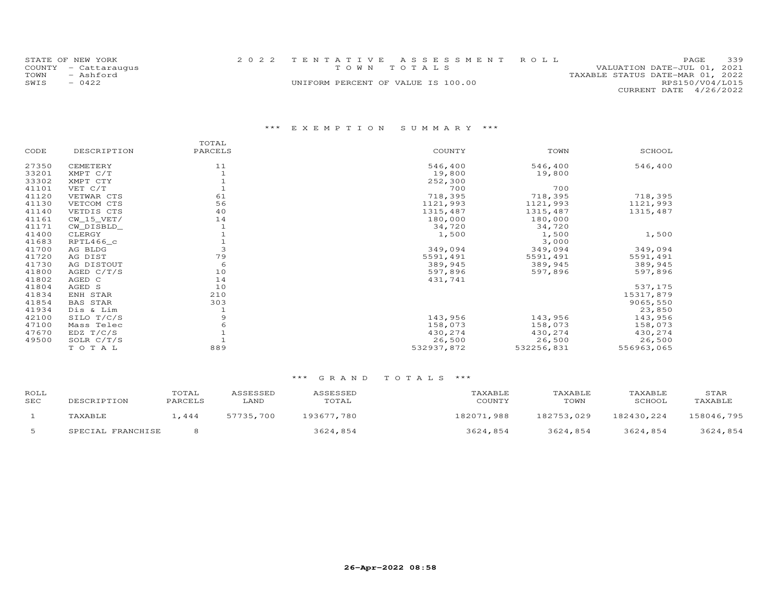|      | STATE OF NEW YORK    |                                    | 2022 TENTATIVE ASSESSMENT ROLL |                                  | <b>PAGE</b>            | 339 |  |
|------|----------------------|------------------------------------|--------------------------------|----------------------------------|------------------------|-----|--|
|      | COUNTY - Cattaraugus |                                    | TOWN TOTALS                    | VALUATION DATE-JUL 01, 2021      |                        |     |  |
| TOWN | - Ashford            |                                    |                                | TAXABLE STATUS DATE-MAR 01, 2022 |                        |     |  |
| SWIS | $-0422$              | UNIFORM PERCENT OF VALUE IS 100.00 |                                |                                  | RPS150/V04/L015        |     |  |
|      |                      |                                    |                                |                                  | CURRENT DATE 4/26/2022 |     |  |

|       |                 | TOTAL   |            |            |            |
|-------|-----------------|---------|------------|------------|------------|
| CODE  | DESCRIPTION     | PARCELS | COUNTY     | TOWN       | SCHOOL     |
| 27350 | CEMETERY        | 11      | 546,400    | 546,400    | 546,400    |
| 33201 | XMPT C/T        |         | 19,800     | 19,800     |            |
| 33302 | XMPT CTY        |         | 252,300    |            |            |
| 41101 | VET C/T         |         | 700        | 700        |            |
| 41120 | VETWAR CTS      | 61      | 718,395    | 718,395    | 718,395    |
| 41130 | VETCOM CTS      | 56      | 1121,993   | 1121,993   | 1121,993   |
| 41140 | VETDIS CTS      | 40      | 1315,487   | 1315,487   | 1315,487   |
| 41161 | $CW_15_VET/$    | 14      | 180,000    | 180,000    |            |
| 41171 | CW DISBLD       |         | 34,720     | 34,720     |            |
| 41400 | CLERGY          |         | 1,500      | 1,500      | 1,500      |
| 41683 | RPTL466_c       |         |            | 3,000      |            |
| 41700 | AG BLDG         | 3       | 349,094    | 349,094    | 349,094    |
| 41720 | AG DIST         | 79      | 5591,491   | 5591,491   | 5591,491   |
| 41730 | AG DISTOUT      | 6       | 389,945    | 389,945    | 389,945    |
| 41800 | AGED C/T/S      | 10      | 597,896    | 597,896    | 597,896    |
| 41802 | AGED C          | 14      | 431,741    |            |            |
| 41804 | AGED S          | 10      |            |            | 537,175    |
| 41834 | ENH STAR        | 210     |            |            | 15317,879  |
| 41854 | <b>BAS STAR</b> | 303     |            |            | 9065,550   |
| 41934 | Dis & Lim       |         |            |            | 23,850     |
| 42100 | SILO T/C/S      | 9       | 143,956    | 143,956    | 143,956    |
| 47100 | Mass Telec      |         | 158,073    | 158,073    | 158,073    |
| 47670 | EDZ T/C/S       |         | 430,274    | 430,274    | 430,274    |
| 49500 | SOLR C/T/S      |         | 26,500     | 26,500     | 26,500     |
|       | TOTAL           | 889     | 532937,872 | 532256,831 | 556963,065 |
|       |                 |         |            |            |            |

| ROLL<br>SEC | DESCRIPTION       | TOTAL<br>PARCELS | ASSESSED<br>LAND | ASSESSED<br>TOTAL | TAXABLE<br>COUNTY | TAXABLE<br>TOWN | TAXABLE<br>SCHOOL | STAR<br>TAXABLE |
|-------------|-------------------|------------------|------------------|-------------------|-------------------|-----------------|-------------------|-----------------|
|             | TAXABLE           | .444             | 57735,700        | 193677.780        | 182071,988        | 182753,029      | 182430,224        | 158046,795      |
|             | SPECIAL FRANCHISE |                  |                  | 3624,854          | 3624,854          | 3624,854        | 3624,854          | 3624,854        |